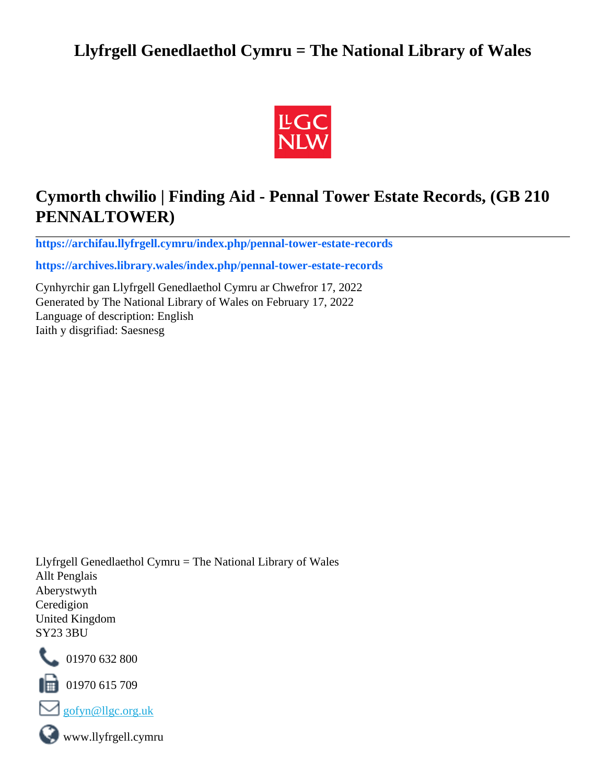# **Llyfrgell Genedlaethol Cymru = The National Library of Wales**



# **Cymorth chwilio | Finding Aid - Pennal Tower Estate Records, (GB 210 PENNALTOWER)**

**[https://archifau.llyfrgell.cymru/index.php/pennal-tower-estate-records](https://archifau.llyfrgell.cymru/index.php/pennal-tower-estate-records;isad?sf_culture=cy)**

**[https://archives.library.wales/index.php/pennal-tower-estate-records](https://archives.library.wales/index.php/pennal-tower-estate-records;isad?sf_culture=en)**

Cynhyrchir gan Llyfrgell Genedlaethol Cymru ar Chwefror 17, 2022 Generated by The National Library of Wales on February 17, 2022 Language of description: English Iaith y disgrifiad: Saesnesg

Llyfrgell Genedlaethol Cymru = The National Library of Wales Allt Penglais Aberystwyth Ceredigion United Kingdom SY23 3BU



101970 632 800

 $\blacksquare$  01970 615 709



www.llyfrgell.cymru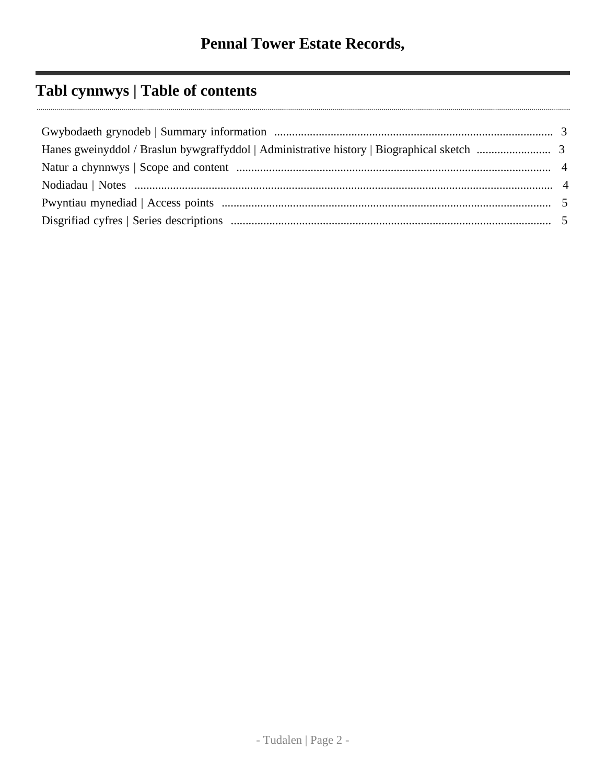# **Tabl cynnwys | Table of contents**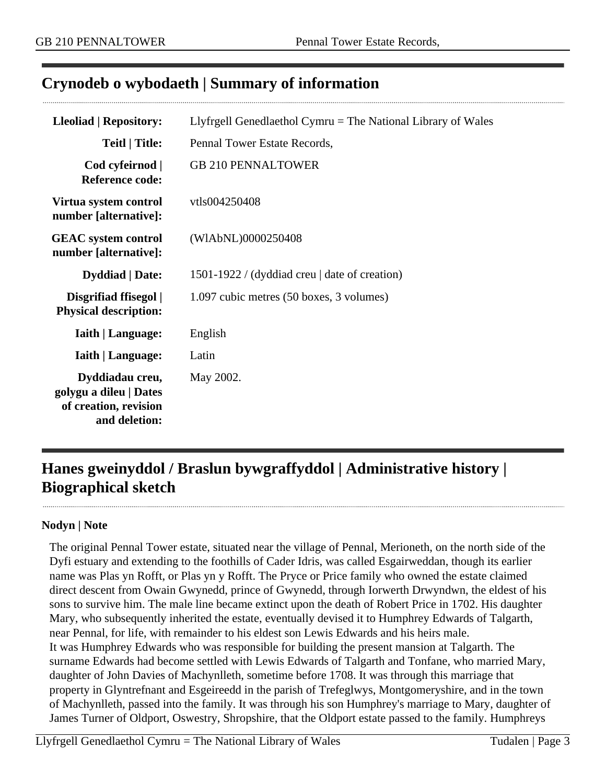# <span id="page-2-0"></span>**Crynodeb o wybodaeth | Summary of information**

| <b>Lleoliad   Repository:</b>                                                       | Llyfrgell Genedlaethol Cymru $=$ The National Library of Wales |  |
|-------------------------------------------------------------------------------------|----------------------------------------------------------------|--|
| Teitl   Title:                                                                      | Pennal Tower Estate Records,                                   |  |
| Cod cyfeirnod  <br><b>Reference code:</b>                                           | <b>GB 210 PENNALTOWER</b>                                      |  |
| Virtua system control<br>number [alternative]:                                      | vtls004250408                                                  |  |
| <b>GEAC</b> system control<br>number [alternative]:                                 | (WIAbNL)0000250408                                             |  |
| <b>Dyddiad</b>   Date:                                                              | 1501-1922 / (dyddiad creu   date of creation)                  |  |
| Disgrifiad ffisegol  <br><b>Physical description:</b>                               | 1.097 cubic metres (50 boxes, 3 volumes)                       |  |
| <b>Iaith   Language:</b>                                                            | English                                                        |  |
| <b>Iaith   Language:</b>                                                            | Latin                                                          |  |
| Dyddiadau creu,<br>golygu a dileu   Dates<br>of creation, revision<br>and deletion: | May 2002.                                                      |  |

# <span id="page-2-1"></span>**Hanes gweinyddol / Braslun bywgraffyddol | Administrative history | Biographical sketch**

#### **Nodyn | Note**

The original Pennal Tower estate, situated near the village of Pennal, Merioneth, on the north side of the Dyfi estuary and extending to the foothills of Cader Idris, was called Esgairweddan, though its earlier name was Plas yn Rofft, or Plas yn y Rofft. The Pryce or Price family who owned the estate claimed direct descent from Owain Gwynedd, prince of Gwynedd, through Iorwerth Drwyndwn, the eldest of his sons to survive him. The male line became extinct upon the death of Robert Price in 1702. His daughter Mary, who subsequently inherited the estate, eventually devised it to Humphrey Edwards of Talgarth, near Pennal, for life, with remainder to his eldest son Lewis Edwards and his heirs male. It was Humphrey Edwards who was responsible for building the present mansion at Talgarth. The surname Edwards had become settled with Lewis Edwards of Talgarth and Tonfane, who married Mary, daughter of John Davies of Machynlleth, sometime before 1708. It was through this marriage that property in Glyntrefnant and Esgeireedd in the parish of Trefeglwys, Montgomeryshire, and in the town of Machynlleth, passed into the family. It was through his son Humphrey's marriage to Mary, daughter of James Turner of Oldport, Oswestry, Shropshire, that the Oldport estate passed to the family. Humphreys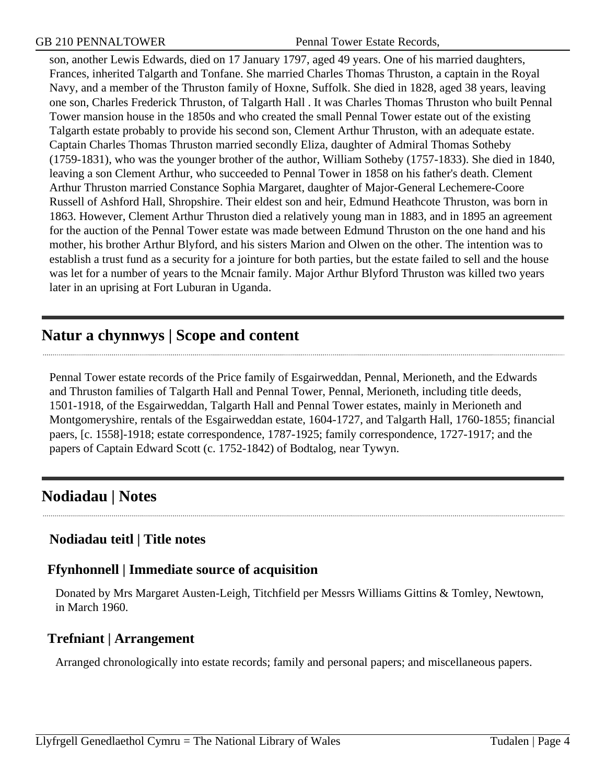son, another Lewis Edwards, died on 17 January 1797, aged 49 years. One of his married daughters, Frances, inherited Talgarth and Tonfane. She married Charles Thomas Thruston, a captain in the Royal Navy, and a member of the Thruston family of Hoxne, Suffolk. She died in 1828, aged 38 years, leaving one son, Charles Frederick Thruston, of Talgarth Hall . It was Charles Thomas Thruston who built Pennal Tower mansion house in the 1850s and who created the small Pennal Tower estate out of the existing Talgarth estate probably to provide his second son, Clement Arthur Thruston, with an adequate estate. Captain Charles Thomas Thruston married secondly Eliza, daughter of Admiral Thomas Sotheby (1759-1831), who was the younger brother of the author, William Sotheby (1757-1833). She died in 1840, leaving a son Clement Arthur, who succeeded to Pennal Tower in 1858 on his father's death. Clement Arthur Thruston married Constance Sophia Margaret, daughter of Major-General Lechemere-Coore Russell of Ashford Hall, Shropshire. Their eldest son and heir, Edmund Heathcote Thruston, was born in 1863. However, Clement Arthur Thruston died a relatively young man in 1883, and in 1895 an agreement for the auction of the Pennal Tower estate was made between Edmund Thruston on the one hand and his mother, his brother Arthur Blyford, and his sisters Marion and Olwen on the other. The intention was to establish a trust fund as a security for a jointure for both parties, but the estate failed to sell and the house was let for a number of years to the Mcnair family. Major Arthur Blyford Thruston was killed two years later in an uprising at Fort Luburan in Uganda.

# <span id="page-3-0"></span>**Natur a chynnwys | Scope and content**

Pennal Tower estate records of the Price family of Esgairweddan, Pennal, Merioneth, and the Edwards and Thruston families of Talgarth Hall and Pennal Tower, Pennal, Merioneth, including title deeds, 1501-1918, of the Esgairweddan, Talgarth Hall and Pennal Tower estates, mainly in Merioneth and Montgomeryshire, rentals of the Esgairweddan estate, 1604-1727, and Talgarth Hall, 1760-1855; financial paers, [c. 1558]-1918; estate correspondence, 1787-1925; family correspondence, 1727-1917; and the papers of Captain Edward Scott (c. 1752-1842) of Bodtalog, near Tywyn.

# <span id="page-3-1"></span>**Nodiadau | Notes**

## **Nodiadau teitl | Title notes**

## **Ffynhonnell | Immediate source of acquisition**

Donated by Mrs Margaret Austen-Leigh, Titchfield per Messrs Williams Gittins & Tomley, Newtown, in March 1960.

## **Trefniant | Arrangement**

Arranged chronologically into estate records; family and personal papers; and miscellaneous papers.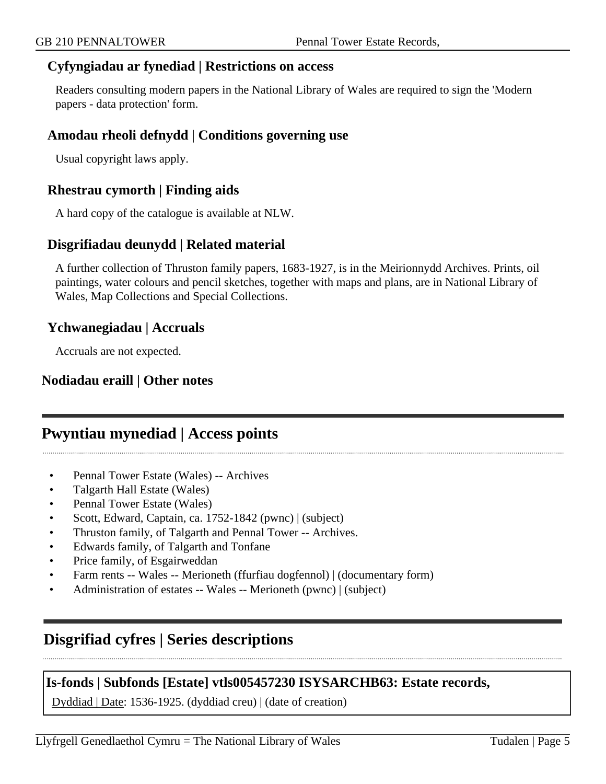#### **Cyfyngiadau ar fynediad | Restrictions on access**

Readers consulting modern papers in the National Library of Wales are required to sign the 'Modern papers - data protection' form.

### **Amodau rheoli defnydd | Conditions governing use**

Usual copyright laws apply.

#### **Rhestrau cymorth | Finding aids**

A hard copy of the catalogue is available at NLW.

#### **Disgrifiadau deunydd | Related material**

A further collection of Thruston family papers, 1683-1927, is in the Meirionnydd Archives. Prints, oil paintings, water colours and pencil sketches, together with maps and plans, are in National Library of Wales, Map Collections and Special Collections.

#### **Ychwanegiadau | Accruals**

Accruals are not expected.

#### **Nodiadau eraill | Other notes**

## <span id="page-4-0"></span>**Pwyntiau mynediad | Access points**

- Pennal Tower Estate (Wales) -- Archives
- Talgarth Hall Estate (Wales)
- Pennal Tower Estate (Wales)
- Scott, Edward, Captain, ca. 1752-1842 (pwnc) | (subject)
- Thruston family, of Talgarth and Pennal Tower -- Archives.
- Edwards family, of Talgarth and Tonfane
- Price family, of Esgairweddan
- Farm rents -- Wales -- Merioneth (ffurfiau dogfennol) | (documentary form)
- Administration of estates -- Wales -- Merioneth (pwnc) | (subject)

# <span id="page-4-1"></span>**Disgrifiad cyfres | Series descriptions**

#### **Is-fonds | Subfonds [Estate] vtls005457230 ISYSARCHB63: Estate records,**

Dyddiad | Date: 1536-1925. (dyddiad creu) | (date of creation)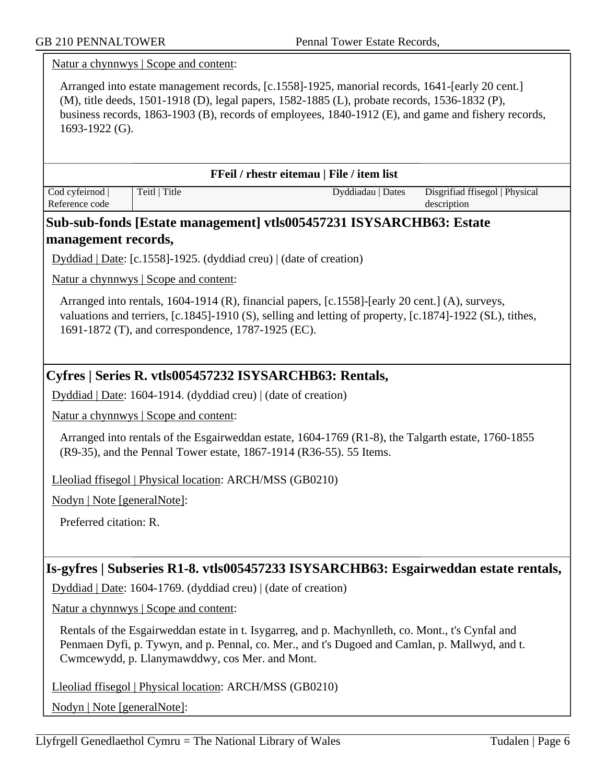Natur a chynnwys | Scope and content: Arranged into estate management records, [c.1558]-1925, manorial records, 1641-[early 20 cent.] (M), title deeds, 1501-1918 (D), legal papers, 1582-1885 (L), probate records, 1536-1832 (P), business records, 1863-1903 (B), records of employees, 1840-1912 (E), and game and fishery records, 1693-1922 (G). **FFeil / rhestr eitemau | File / item list** Cod cyfeirnod | Reference code Teitl | Title Dyddiadau | Dates Disgrifiad ffisegol | Physical description **Sub-sub-fonds [Estate management] vtls005457231 ISYSARCHB63: Estate management records,** Dyddiad | Date: [c.1558]-1925. (dyddiad creu) | (date of creation) Natur a chynnwys | Scope and content: Arranged into rentals, 1604-1914 (R), financial papers, [c.1558]-[early 20 cent.] (A), surveys, valuations and terriers, [c.1845]-1910 (S), selling and letting of property, [c.1874]-1922 (SL), tithes, 1691-1872 (T), and correspondence, 1787-1925 (EC). **Cyfres | Series R. vtls005457232 ISYSARCHB63: Rentals,** Dyddiad | Date: 1604-1914. (dyddiad creu) | (date of creation) Natur a chynnwys | Scope and content: Arranged into rentals of the Esgairweddan estate, 1604-1769 (R1-8), the Talgarth estate, 1760-1855 (R9-35), and the Pennal Tower estate, 1867-1914 (R36-55). 55 Items. Lleoliad ffisegol | Physical location: ARCH/MSS (GB0210) Nodyn | Note [generalNote]: Preferred citation: R. **Is-gyfres | Subseries R1-8. vtls005457233 ISYSARCHB63: Esgairweddan estate rentals,** Dyddiad | Date: 1604-1769. (dyddiad creu) | (date of creation) Natur a chynnwys | Scope and content: Rentals of the Esgairweddan estate in t. Isygarreg, and p. Machynlleth, co. Mont., t's Cynfal and Penmaen Dyfi, p. Tywyn, and p. Pennal, co. Mer., and t's Dugoed and Camlan, p. Mallwyd, and t. Cwmcewydd, p. Llanymawddwy, cos Mer. and Mont. Lleoliad ffisegol | Physical location: ARCH/MSS (GB0210) Nodyn | Note [generalNote]: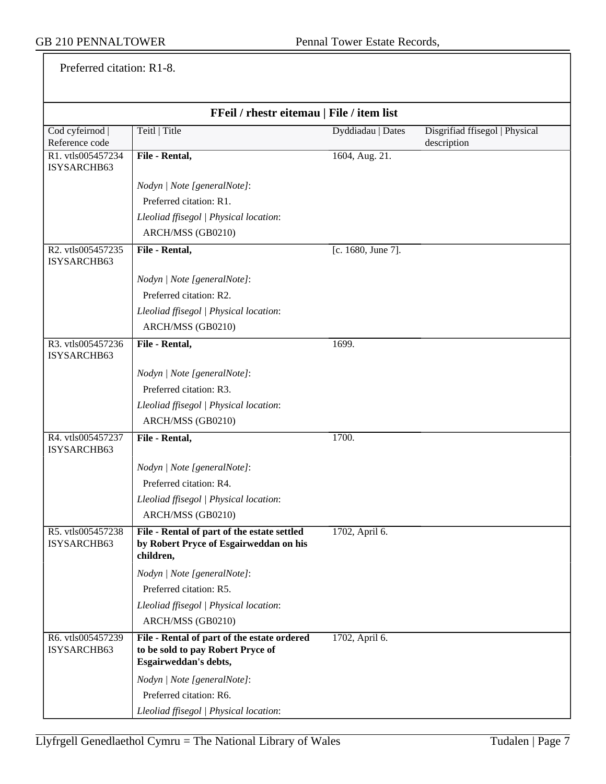Preferred citation: R1-8.

| FFeil / rhestr eitemau   File / item list |                                                                                                           |                    |                                               |
|-------------------------------------------|-----------------------------------------------------------------------------------------------------------|--------------------|-----------------------------------------------|
| Cod cyfeirnod  <br>Reference code         | Teitl   Title                                                                                             | Dyddiadau   Dates  | Disgrifiad ffisegol   Physical<br>description |
| R1. vtls005457234<br>ISYSARCHB63          | File - Rental,                                                                                            | 1604, Aug. 21.     |                                               |
|                                           | Nodyn   Note [generalNote]:                                                                               |                    |                                               |
|                                           | Preferred citation: R1.                                                                                   |                    |                                               |
|                                           | Lleoliad ffisegol   Physical location:                                                                    |                    |                                               |
|                                           | ARCH/MSS (GB0210)                                                                                         |                    |                                               |
| R2. vtls005457235<br>ISYSARCHB63          | File - Rental,                                                                                            | [c. 1680, June 7]. |                                               |
|                                           | Nodyn   Note [generalNote]:                                                                               |                    |                                               |
|                                           | Preferred citation: R2.                                                                                   |                    |                                               |
|                                           | Lleoliad ffisegol   Physical location:                                                                    |                    |                                               |
|                                           | ARCH/MSS (GB0210)                                                                                         |                    |                                               |
| R3. vtls005457236<br>ISYSARCHB63          | File - Rental,                                                                                            | 1699.              |                                               |
|                                           | Nodyn   Note [generalNote]:                                                                               |                    |                                               |
|                                           | Preferred citation: R3.                                                                                   |                    |                                               |
|                                           | Lleoliad ffisegol   Physical location:                                                                    |                    |                                               |
|                                           | ARCH/MSS (GB0210)                                                                                         |                    |                                               |
| R4. vtls005457237<br>ISYSARCHB63          | File - Rental,                                                                                            | 1700.              |                                               |
|                                           | Nodyn   Note [generalNote]:                                                                               |                    |                                               |
|                                           | Preferred citation: R4.                                                                                   |                    |                                               |
|                                           | Lleoliad ffisegol   Physical location:                                                                    |                    |                                               |
|                                           | ARCH/MSS (GB0210)                                                                                         |                    |                                               |
| R5. vtls005457238<br>ISYSARCHB63          | File - Rental of part of the estate settled<br>by Robert Pryce of Esgairweddan on his<br>children,        | 1702, April 6.     |                                               |
|                                           | Nodyn   Note [generalNote]:                                                                               |                    |                                               |
|                                           | Preferred citation: R5.                                                                                   |                    |                                               |
|                                           | Lleoliad ffisegol   Physical location:                                                                    |                    |                                               |
|                                           | ARCH/MSS (GB0210)                                                                                         |                    |                                               |
| R6. vtls005457239<br>ISYSARCHB63          | File - Rental of part of the estate ordered<br>to be sold to pay Robert Pryce of<br>Esgairweddan's debts, | 1702, April 6.     |                                               |
|                                           | Nodyn   Note [generalNote]:                                                                               |                    |                                               |
|                                           | Preferred citation: R6.                                                                                   |                    |                                               |
|                                           | Lleoliad ffisegol   Physical location:                                                                    |                    |                                               |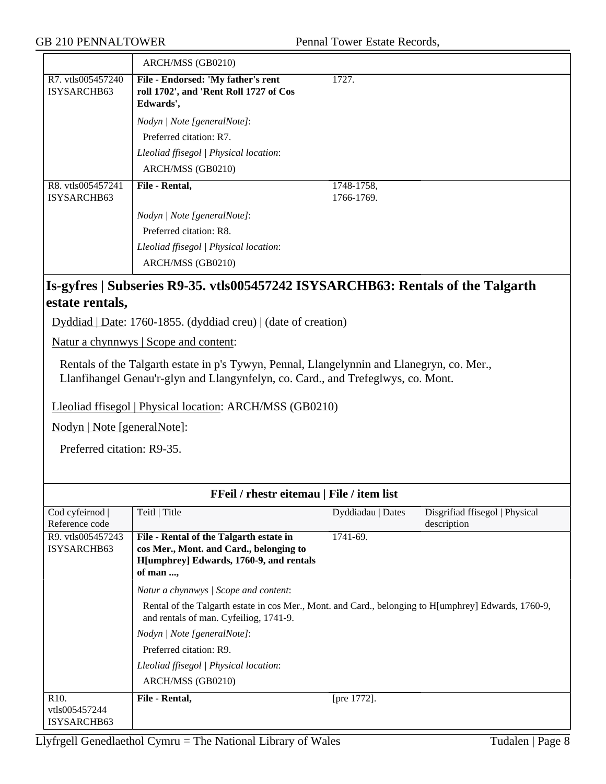| ARCH/MSS (GB0210)                                                                         |                          |
|-------------------------------------------------------------------------------------------|--------------------------|
| File - Endorsed: 'My father's rent<br>roll 1702', and 'Rent Roll 1727 of Cos<br>Edwards', | 1727.                    |
| Nodyn   Note [generalNote]:                                                               |                          |
| Preferred citation: R7.                                                                   |                          |
| Lleoliad ffisegol   Physical location:                                                    |                          |
| ARCH/MSS (GB0210)                                                                         |                          |
| File - Rental,                                                                            | 1748-1758,<br>1766-1769. |
| Nodyn   Note [generalNote]:                                                               |                          |
| Preferred citation: R8.                                                                   |                          |
| Lleoliad ffisegol   Physical location:<br>ARCH/MSS (GB0210)                               |                          |
|                                                                                           |                          |

## **Is-gyfres | Subseries R9-35. vtls005457242 ISYSARCHB63: Rentals of the Talgarth estate rentals,**

Dyddiad | Date: 1760-1855. (dyddiad creu) | (date of creation)

Natur a chynnwys | Scope and content:

Rentals of the Talgarth estate in p's Tywyn, Pennal, Llangelynnin and Llanegryn, co. Mer., Llanfihangel Genau'r-glyn and Llangynfelyn, co. Card., and Trefeglwys, co. Mont.

Lleoliad ffisegol | Physical location: ARCH/MSS (GB0210)

Nodyn | Note [generalNote]:

Preferred citation: R9-35.

| FFeil / rhestr eitemau   File / item list |                                                                                                                                                |                   |                                |
|-------------------------------------------|------------------------------------------------------------------------------------------------------------------------------------------------|-------------------|--------------------------------|
| Cod cyfeirnod                             | Teitl   Title                                                                                                                                  | Dyddiadau   Dates | Disgrifiad ffisegol   Physical |
| Reference code                            |                                                                                                                                                |                   | description                    |
| R9. vtls005457243                         | File - Rental of the Talgarth estate in                                                                                                        | 1741-69.          |                                |
| ISYSARCHB63                               | cos Mer., Mont. and Card., belonging to                                                                                                        |                   |                                |
|                                           | H[umphrey] Edwards, 1760-9, and rentals                                                                                                        |                   |                                |
|                                           | of man ,                                                                                                                                       |                   |                                |
|                                           | Natur a chynnwys / Scope and content:                                                                                                          |                   |                                |
|                                           | Rental of the Talgarth estate in cos Mer., Mont. and Card., belonging to H[umphrey] Edwards, 1760-9,<br>and rentals of man. Cyfeiliog, 1741-9. |                   |                                |
|                                           | Nodyn / Note [generalNote]:                                                                                                                    |                   |                                |
|                                           | Preferred citation: R9.                                                                                                                        |                   |                                |
|                                           | Lleoliad ffisegol   Physical location:                                                                                                         |                   |                                |
|                                           | ARCH/MSS (GB0210)                                                                                                                              |                   |                                |
| R <sub>10</sub> .                         | File - Rental,                                                                                                                                 | [pre 1772].       |                                |
| vtls005457244                             |                                                                                                                                                |                   |                                |
| ISYSARCHB63                               |                                                                                                                                                |                   |                                |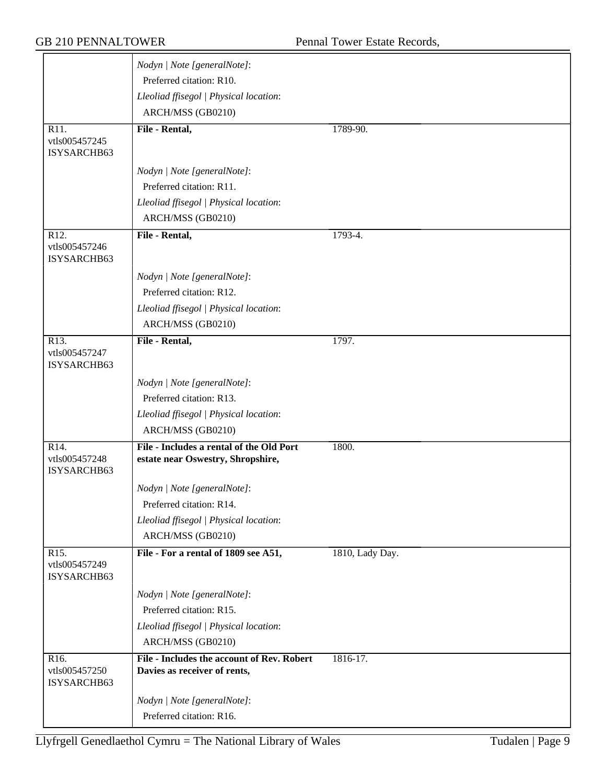|                                                   | Lleoliad ffisegol   Physical location:<br>ARCH/MSS (GB0210)                   |                 |
|---------------------------------------------------|-------------------------------------------------------------------------------|-----------------|
| R11.<br>vtls005457245<br>ISYSARCHB63              | File - Rental,                                                                | 1789-90.        |
|                                                   | Nodyn   Note [generalNote]:                                                   |                 |
|                                                   | Preferred citation: R11.                                                      |                 |
|                                                   | Lleoliad ffisegol   Physical location:                                        |                 |
|                                                   | ARCH/MSS (GB0210)                                                             |                 |
| R <sub>12</sub> .<br>vtls005457246<br>ISYSARCHB63 | File - Rental,                                                                | 1793-4.         |
|                                                   |                                                                               |                 |
|                                                   | Nodyn   Note [generalNote]:                                                   |                 |
|                                                   | Preferred citation: R12.                                                      |                 |
|                                                   | Lleoliad ffisegol   Physical location:<br>ARCH/MSS (GB0210)                   |                 |
| R <sub>13</sub> .                                 | File - Rental,                                                                | 1797.           |
| vtls005457247<br>ISYSARCHB63                      |                                                                               |                 |
|                                                   | Nodyn   Note [generalNote]:                                                   |                 |
|                                                   | Preferred citation: R13.                                                      |                 |
|                                                   | Lleoliad ffisegol   Physical location:                                        |                 |
|                                                   | ARCH/MSS (GB0210)                                                             |                 |
| R14.<br>vtls005457248<br>ISYSARCHB63              | File - Includes a rental of the Old Port<br>estate near Oswestry, Shropshire, | 1800.           |
|                                                   | Nodyn   Note [generalNote]:                                                   |                 |
|                                                   | Preferred citation: R14.                                                      |                 |
|                                                   | Lleoliad ffisegol   Physical location:                                        |                 |
|                                                   | ARCH/MSS (GB0210)                                                             |                 |
| R <sub>15</sub> .<br>vtls005457249<br>ISYSARCHB63 | File - For a rental of 1809 see A51,                                          | 1810, Lady Day. |
|                                                   | Nodyn   Note [generalNote]:                                                   |                 |
|                                                   | Preferred citation: R15.                                                      |                 |
|                                                   | Lleoliad ffisegol   Physical location:                                        |                 |
|                                                   | ARCH/MSS (GB0210)                                                             |                 |
| R16.<br>vtls005457250<br>ISYSARCHB63              | File - Includes the account of Rev. Robert<br>Davies as receiver of rents,    | 1816-17.        |
|                                                   | Nodyn   Note [generalNote]:                                                   |                 |
|                                                   | Preferred citation: R16.                                                      |                 |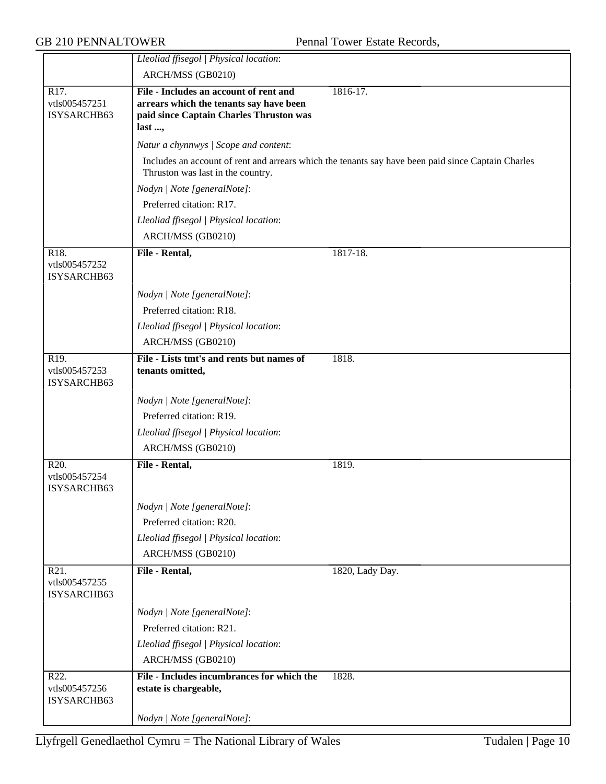|                                                   | Lleoliad ffisegol   Physical location:                                                                                                 |                                                                                                    |
|---------------------------------------------------|----------------------------------------------------------------------------------------------------------------------------------------|----------------------------------------------------------------------------------------------------|
|                                                   | ARCH/MSS (GB0210)                                                                                                                      |                                                                                                    |
| R17.<br>vtls005457251<br>ISYSARCHB63              | File - Includes an account of rent and<br>arrears which the tenants say have been<br>paid since Captain Charles Thruston was<br>last , | 1816-17.                                                                                           |
|                                                   | Natur a chynnwys / Scope and content:                                                                                                  |                                                                                                    |
|                                                   | Thruston was last in the country.                                                                                                      | Includes an account of rent and arrears which the tenants say have been paid since Captain Charles |
|                                                   | Nodyn   Note [generalNote]:                                                                                                            |                                                                                                    |
|                                                   | Preferred citation: R17.                                                                                                               |                                                                                                    |
|                                                   | Lleoliad ffisegol   Physical location:                                                                                                 |                                                                                                    |
|                                                   | ARCH/MSS (GB0210)                                                                                                                      |                                                                                                    |
| R <sub>18</sub> .<br>vtls005457252<br>ISYSARCHB63 | File - Rental,                                                                                                                         | 1817-18.                                                                                           |
|                                                   | Nodyn   Note [generalNote]:                                                                                                            |                                                                                                    |
|                                                   | Preferred citation: R18.                                                                                                               |                                                                                                    |
|                                                   | Lleoliad ffisegol   Physical location:                                                                                                 |                                                                                                    |
|                                                   | ARCH/MSS (GB0210)                                                                                                                      |                                                                                                    |
| R19.<br>vtls005457253<br>ISYSARCHB63              | File - Lists tmt's and rents but names of<br>tenants omitted,                                                                          | 1818.                                                                                              |
|                                                   | Nodyn   Note [generalNote]:                                                                                                            |                                                                                                    |
|                                                   | Preferred citation: R19.                                                                                                               |                                                                                                    |
|                                                   | Lleoliad ffisegol   Physical location:                                                                                                 |                                                                                                    |
|                                                   | ARCH/MSS (GB0210)                                                                                                                      |                                                                                                    |
| R20.<br>vtls005457254<br>ISYSARCHB63              | File - Rental,                                                                                                                         | 1819.                                                                                              |
|                                                   | Nodyn   Note [generalNote]:                                                                                                            |                                                                                                    |
|                                                   | Preferred citation: R20.                                                                                                               |                                                                                                    |
|                                                   | Lleoliad ffisegol   Physical location:                                                                                                 |                                                                                                    |
|                                                   | ARCH/MSS (GB0210)                                                                                                                      |                                                                                                    |
| R21.<br>vtls005457255<br>ISYSARCHB63              | File - Rental,                                                                                                                         | 1820, Lady Day.                                                                                    |
|                                                   | Nodyn   Note [generalNote]:                                                                                                            |                                                                                                    |
|                                                   | Preferred citation: R21.                                                                                                               |                                                                                                    |
|                                                   | Lleoliad ffisegol   Physical location:                                                                                                 |                                                                                                    |
|                                                   | ARCH/MSS (GB0210)                                                                                                                      |                                                                                                    |
| R22.<br>vtls005457256<br>ISYSARCHB63              | File - Includes incumbrances for which the<br>estate is chargeable,                                                                    | 1828.                                                                                              |
|                                                   | Nodyn   Note [generalNote]:                                                                                                            |                                                                                                    |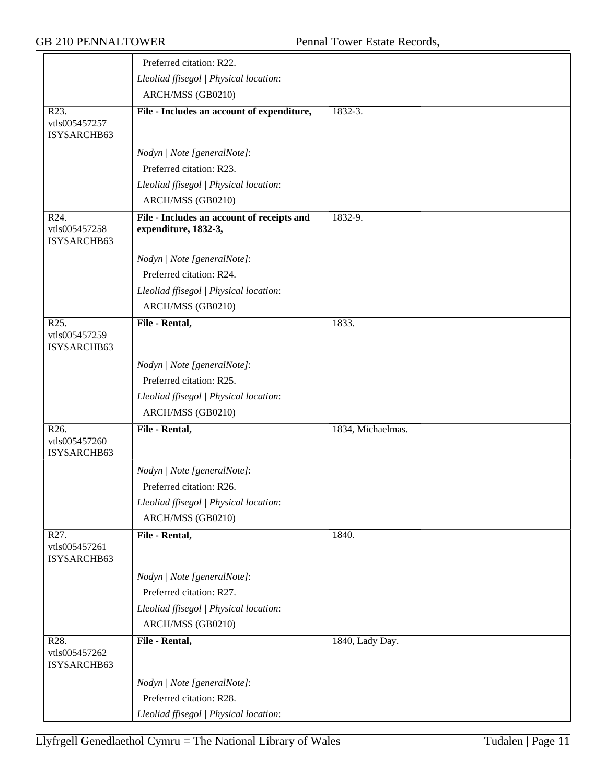|                                                   | Preferred citation: R22.                                           |                   |
|---------------------------------------------------|--------------------------------------------------------------------|-------------------|
|                                                   | Lleoliad ffisegol   Physical location:                             |                   |
|                                                   | ARCH/MSS (GB0210)                                                  |                   |
| R23.<br>vtls005457257<br>ISYSARCHB63              | File - Includes an account of expenditure,                         | $1832 - 3.$       |
|                                                   | Nodyn   Note [generalNote]:                                        |                   |
|                                                   | Preferred citation: R23.                                           |                   |
|                                                   | Lleoliad ffisegol   Physical location:                             |                   |
|                                                   | ARCH/MSS (GB0210)                                                  |                   |
| R24.<br>vtls005457258<br>ISYSARCHB63              | File - Includes an account of receipts and<br>expenditure, 1832-3, | 1832-9.           |
|                                                   | Nodyn   Note [generalNote]:                                        |                   |
|                                                   | Preferred citation: R24.                                           |                   |
|                                                   | Lleoliad ffisegol   Physical location:                             |                   |
|                                                   | ARCH/MSS (GB0210)                                                  |                   |
| R <sub>25</sub> .<br>vtls005457259<br>ISYSARCHB63 | File - Rental,                                                     | 1833.             |
|                                                   | Nodyn   Note [generalNote]:                                        |                   |
|                                                   | Preferred citation: R25.                                           |                   |
|                                                   | Lleoliad ffisegol   Physical location:                             |                   |
|                                                   | ARCH/MSS (GB0210)                                                  |                   |
| R26.<br>vtls005457260<br>ISYSARCHB63              | File - Rental,                                                     | 1834, Michaelmas. |
|                                                   | Nodyn   Note [generalNote]:                                        |                   |
|                                                   | Preferred citation: R26.                                           |                   |
|                                                   | Lleoliad ffisegol   Physical location:                             |                   |
|                                                   | ARCH/MSS (GB0210)                                                  |                   |
| R <sub>27</sub> .<br>vtls005457261<br>ISYSARCHB63 | File - Rental,                                                     | 1840.             |
|                                                   | Nodyn   Note [generalNote]:                                        |                   |
|                                                   | Preferred citation: R27.                                           |                   |
|                                                   | Lleoliad ffisegol   Physical location:                             |                   |
|                                                   | ARCH/MSS (GB0210)                                                  |                   |
| R28.<br>vtls005457262<br>ISYSARCHB63              | File - Rental,                                                     | 1840, Lady Day.   |
|                                                   | Nodyn   Note [generalNote]:                                        |                   |
|                                                   | Preferred citation: R28.                                           |                   |
|                                                   | Lleoliad ffisegol   Physical location:                             |                   |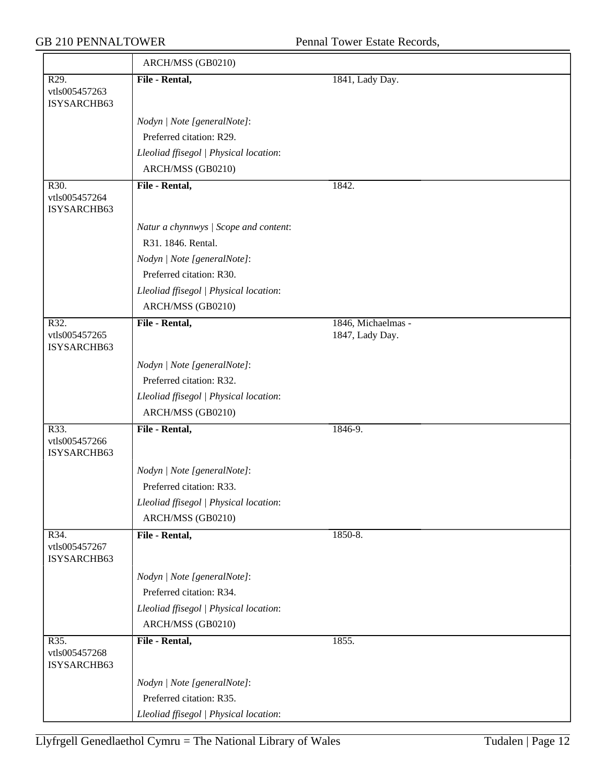|                                                   | ARCH/MSS (GB0210)                                       |                    |
|---------------------------------------------------|---------------------------------------------------------|--------------------|
| R <sub>29</sub> .<br>vtls005457263<br>ISYSARCHB63 | File - Rental,                                          | 1841, Lady Day.    |
|                                                   |                                                         |                    |
|                                                   | Nodyn   Note [generalNote]:<br>Preferred citation: R29. |                    |
|                                                   |                                                         |                    |
|                                                   | Lleoliad ffisegol   Physical location:                  |                    |
|                                                   | ARCH/MSS (GB0210)                                       |                    |
| R30.<br>vtls005457264<br>ISYSARCHB63              | File - Rental,                                          | 1842.              |
|                                                   | Natur a chynnwys / Scope and content:                   |                    |
|                                                   | R31. 1846. Rental.                                      |                    |
|                                                   | Nodyn   Note [generalNote]:                             |                    |
|                                                   | Preferred citation: R30.                                |                    |
|                                                   | Lleoliad ffisegol   Physical location:                  |                    |
|                                                   | ARCH/MSS (GB0210)                                       |                    |
| R32.                                              | File - Rental,                                          | 1846, Michaelmas - |
| vtls005457265<br>ISYSARCHB63                      |                                                         | 1847, Lady Day.    |
|                                                   | Nodyn   Note [generalNote]:                             |                    |
|                                                   | Preferred citation: R32.                                |                    |
|                                                   | Lleoliad ffisegol   Physical location:                  |                    |
|                                                   | ARCH/MSS (GB0210)                                       |                    |
| R33.<br>vtls005457266<br>ISYSARCHB63              | File - Rental,                                          | 1846-9.            |
|                                                   | Nodyn   Note [generalNote]:                             |                    |
|                                                   | Preferred citation: R33.                                |                    |
|                                                   | Lleoliad ffisegol   Physical location:                  |                    |
|                                                   | ARCH/MSS (GB0210)                                       |                    |
| R34.<br>vtls005457267<br>ISYSARCHB63              | File - Rental,                                          | 1850-8.            |
|                                                   | Nodyn   Note [generalNote]:                             |                    |
|                                                   | Preferred citation: R34.                                |                    |
|                                                   | Lleoliad ffisegol   Physical location:                  |                    |
|                                                   | ARCH/MSS (GB0210)                                       |                    |
| R35.<br>vtls005457268<br>ISYSARCHB63              | File - Rental,                                          | 1855.              |
|                                                   | Nodyn   Note [generalNote]:                             |                    |
|                                                   | Preferred citation: R35.                                |                    |
|                                                   | Lleoliad ffisegol   Physical location:                  |                    |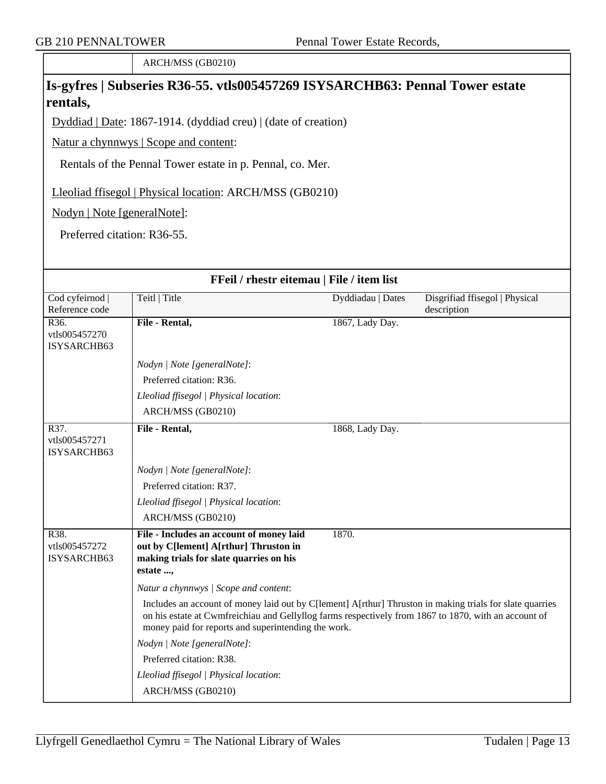ARCH/MSS (GB0210)

## **Is-gyfres | Subseries R36-55. vtls005457269 ISYSARCHB63: Pennal Tower estate rentals,**

Dyddiad | Date: 1867-1914. (dyddiad creu) | (date of creation)

Natur a chynnwys | Scope and content:

Rentals of the Pennal Tower estate in p. Pennal, co. Mer.

Lleoliad ffisegol | Physical location: ARCH/MSS (GB0210)

Nodyn | Note [generalNote]:

Preferred citation: R36-55.

| FFeil / rhestr eitemau   File / item list         |                                                                                                                                                                                                                                                                         |                   |                                               |
|---------------------------------------------------|-------------------------------------------------------------------------------------------------------------------------------------------------------------------------------------------------------------------------------------------------------------------------|-------------------|-----------------------------------------------|
| Cod cyfeirnod<br>Reference code                   | Teitl   Title                                                                                                                                                                                                                                                           | Dyddiadau   Dates | Disgrifiad ffisegol   Physical<br>description |
| R <sub>36</sub> .<br>vtls005457270<br>ISYSARCHB63 | File - Rental,                                                                                                                                                                                                                                                          | 1867, Lady Day.   |                                               |
|                                                   | Nodyn   Note [generalNote]:                                                                                                                                                                                                                                             |                   |                                               |
|                                                   | Preferred citation: R36.                                                                                                                                                                                                                                                |                   |                                               |
|                                                   | Lleoliad ffisegol   Physical location:                                                                                                                                                                                                                                  |                   |                                               |
|                                                   | ARCH/MSS (GB0210)                                                                                                                                                                                                                                                       |                   |                                               |
| R37.<br>vtls005457271<br>ISYSARCHB63              | File - Rental,                                                                                                                                                                                                                                                          | 1868, Lady Day.   |                                               |
|                                                   | Nodyn   Note [generalNote]:                                                                                                                                                                                                                                             |                   |                                               |
|                                                   | Preferred citation: R37.                                                                                                                                                                                                                                                |                   |                                               |
|                                                   | Lleoliad ffisegol   Physical location:                                                                                                                                                                                                                                  |                   |                                               |
|                                                   | ARCH/MSS (GB0210)                                                                                                                                                                                                                                                       |                   |                                               |
| R38.<br>vtls005457272<br>ISYSARCHB63              | File - Includes an account of money laid<br>out by C[lement] A[rthur] Thruston in<br>making trials for slate quarries on his<br>estate ,                                                                                                                                | 1870.             |                                               |
|                                                   | Natur a chynnwys / Scope and content:                                                                                                                                                                                                                                   |                   |                                               |
|                                                   | Includes an account of money laid out by C[lement] A[rthur] Thruston in making trials for slate quarries<br>on his estate at Cwmfreichiau and Gellyllog farms respectively from 1867 to 1870, with an account of<br>money paid for reports and superintending the work. |                   |                                               |
|                                                   | Nodyn   Note [generalNote]:                                                                                                                                                                                                                                             |                   |                                               |
|                                                   | Preferred citation: R38.                                                                                                                                                                                                                                                |                   |                                               |
|                                                   | Lleoliad ffisegol   Physical location:                                                                                                                                                                                                                                  |                   |                                               |
|                                                   | ARCH/MSS (GB0210)                                                                                                                                                                                                                                                       |                   |                                               |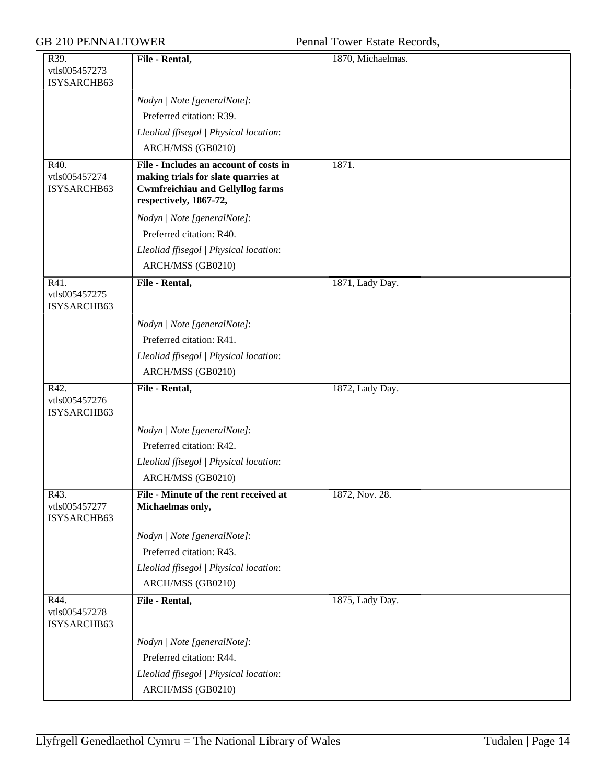| R39.                                 | File - Rental,                                                                                                                                     | 1870, Michaelmas. |
|--------------------------------------|----------------------------------------------------------------------------------------------------------------------------------------------------|-------------------|
| vtls005457273                        |                                                                                                                                                    |                   |
| ISYSARCHB63                          |                                                                                                                                                    |                   |
|                                      | Nodyn   Note [generalNote]:                                                                                                                        |                   |
|                                      | Preferred citation: R39.                                                                                                                           |                   |
|                                      | Lleoliad ffisegol   Physical location:                                                                                                             |                   |
|                                      | ARCH/MSS (GB0210)                                                                                                                                  |                   |
| R40.<br>vtls005457274<br>ISYSARCHB63 | File - Includes an account of costs in<br>making trials for slate quarries at<br><b>Cwmfreichiau and Gellyllog farms</b><br>respectively, 1867-72, | 1871.             |
|                                      | Nodyn   Note [generalNote]:                                                                                                                        |                   |
|                                      | Preferred citation: R40.                                                                                                                           |                   |
|                                      | Lleoliad ffisegol   Physical location:                                                                                                             |                   |
|                                      | ARCH/MSS (GB0210)                                                                                                                                  |                   |
| R41.<br>vtls005457275<br>ISYSARCHB63 | File - Rental,                                                                                                                                     | 1871, Lady Day.   |
|                                      | Nodyn   Note [generalNote]:                                                                                                                        |                   |
|                                      | Preferred citation: R41.                                                                                                                           |                   |
|                                      | Lleoliad ffisegol   Physical location:                                                                                                             |                   |
|                                      | ARCH/MSS (GB0210)                                                                                                                                  |                   |
| R42.<br>vtls005457276<br>ISYSARCHB63 | File - Rental,                                                                                                                                     | 1872, Lady Day.   |
|                                      | Nodyn   Note [generalNote]:                                                                                                                        |                   |
|                                      | Preferred citation: R42.                                                                                                                           |                   |
|                                      | Lleoliad ffisegol   Physical location:                                                                                                             |                   |
|                                      | ARCH/MSS (GB0210)                                                                                                                                  |                   |
| R43.<br>vtls005457277<br>ISYSARCHB63 | File - Minute of the rent received at<br>Michaelmas only,                                                                                          | 1872, Nov. 28.    |
|                                      | Nodyn   Note [generalNote]:                                                                                                                        |                   |
|                                      | Preferred citation: R43.                                                                                                                           |                   |
|                                      | Lleoliad ffisegol   Physical location:                                                                                                             |                   |
|                                      | ARCH/MSS (GB0210)                                                                                                                                  |                   |
| R44.<br>vtls005457278<br>ISYSARCHB63 | File - Rental,                                                                                                                                     | 1875, Lady Day.   |
|                                      | Nodyn   Note [generalNote]:                                                                                                                        |                   |
|                                      | Preferred citation: R44.                                                                                                                           |                   |
|                                      | Lleoliad ffisegol   Physical location:                                                                                                             |                   |
|                                      | ARCH/MSS (GB0210)                                                                                                                                  |                   |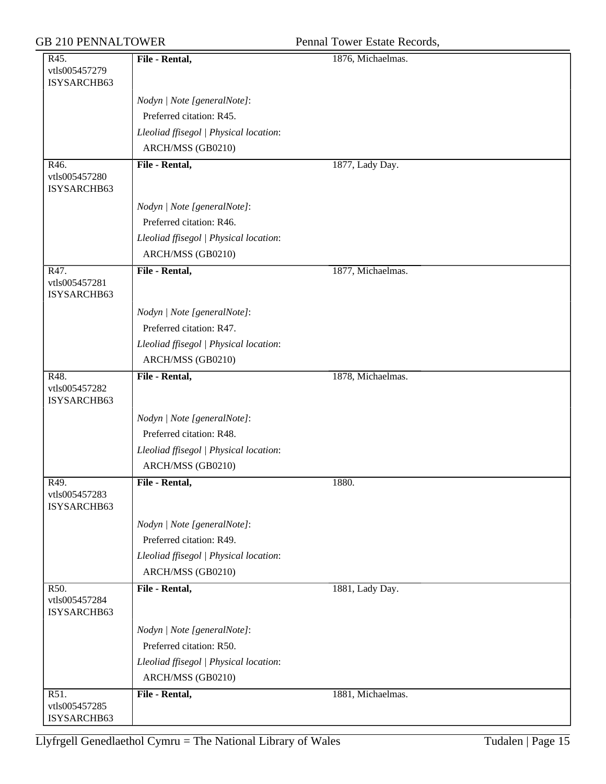GB 210 PENNALTOWER Pennal Tower Estate Records,

| R45.                         | File - Rental,                         | 1876, Michaelmas. |
|------------------------------|----------------------------------------|-------------------|
| vtls005457279                |                                        |                   |
| ISYSARCHB63                  |                                        |                   |
|                              | Nodyn   Note [generalNote]:            |                   |
|                              | Preferred citation: R45.               |                   |
|                              | Lleoliad ffisegol   Physical location: |                   |
|                              | ARCH/MSS (GB0210)                      |                   |
| R46.                         | File - Rental,                         | 1877, Lady Day.   |
| vtls005457280                |                                        |                   |
| ISYSARCHB63                  |                                        |                   |
|                              | Nodyn   Note [generalNote]:            |                   |
|                              | Preferred citation: R46.               |                   |
|                              | Lleoliad ffisegol   Physical location: |                   |
|                              | ARCH/MSS (GB0210)                      |                   |
| R47.                         | File - Rental,                         | 1877, Michaelmas. |
| vtls005457281                |                                        |                   |
| ISYSARCHB63                  |                                        |                   |
|                              | Nodyn   Note [generalNote]:            |                   |
|                              | Preferred citation: R47.               |                   |
|                              | Lleoliad ffisegol   Physical location: |                   |
|                              | ARCH/MSS (GB0210)                      |                   |
| R48.                         | File - Rental,                         | 1878, Michaelmas. |
| vtls005457282                |                                        |                   |
| ISYSARCHB63                  |                                        |                   |
|                              | Nodyn   Note [generalNote]:            |                   |
|                              | Preferred citation: R48.               |                   |
|                              | Lleoliad ffisegol   Physical location: |                   |
|                              | ARCH/MSS (GB0210)                      |                   |
| R49.                         | File - Rental,                         | 1880.             |
| vtls005457283                |                                        |                   |
| ISYSARCHB63                  |                                        |                   |
|                              | Nodyn   Note [generalNote]:            |                   |
|                              | Preferred citation: R49.               |                   |
|                              | Lleoliad ffisegol   Physical location: |                   |
|                              | ARCH/MSS (GB0210)                      |                   |
| R50.                         | File - Rental,                         | 1881, Lady Day.   |
| vtls005457284<br>ISYSARCHB63 |                                        |                   |
|                              |                                        |                   |
|                              | Nodyn   Note [generalNote]:            |                   |
|                              | Preferred citation: R50.               |                   |
|                              | Lleoliad ffisegol   Physical location: |                   |
|                              | ARCH/MSS (GB0210)                      |                   |
| R51.                         | File - Rental,                         | 1881, Michaelmas. |
| vtls005457285<br>ISYSARCHB63 |                                        |                   |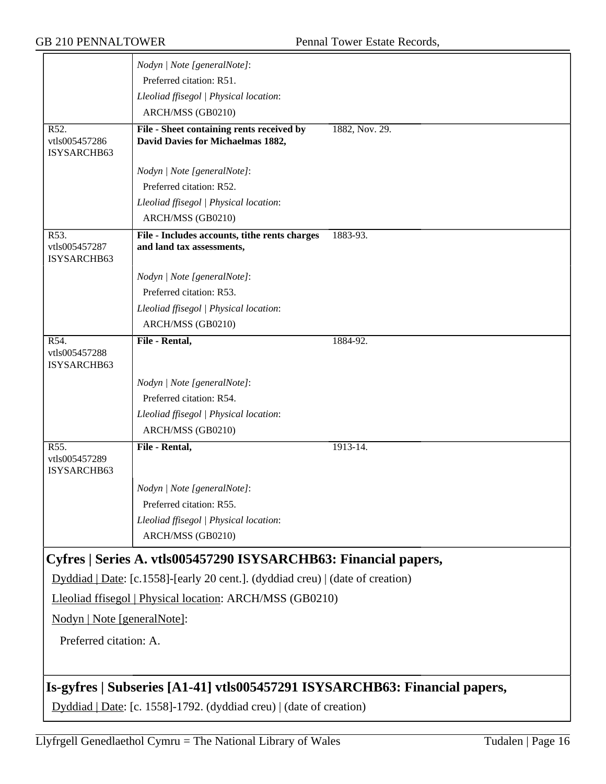|                                      | Nodyn   Note [generalNote]:                                                    |                |
|--------------------------------------|--------------------------------------------------------------------------------|----------------|
|                                      | Preferred citation: R51.                                                       |                |
|                                      | Lleoliad ffisegol   Physical location:                                         |                |
|                                      | ARCH/MSS (GB0210)                                                              |                |
| R52.                                 | File - Sheet containing rents received by                                      | 1882, Nov. 29. |
| vtls005457286<br>ISYSARCHB63         | David Davies for Michaelmas 1882,                                              |                |
|                                      | Nodyn   Note [generalNote]:                                                    |                |
|                                      | Preferred citation: R52.                                                       |                |
|                                      | Lleoliad ffisegol   Physical location:                                         |                |
|                                      | ARCH/MSS (GB0210)                                                              |                |
| R53.<br>vtls005457287<br>ISYSARCHB63 | File - Includes accounts, tithe rents charges<br>and land tax assessments,     | 1883-93.       |
|                                      | Nodyn   Note [generalNote]:                                                    |                |
|                                      | Preferred citation: R53.                                                       |                |
|                                      | Lleoliad ffisegol   Physical location:                                         |                |
|                                      | ARCH/MSS (GB0210)                                                              |                |
| R54.<br>vtls005457288<br>ISYSARCHB63 | File - Rental,                                                                 | 1884-92.       |
|                                      | Nodyn   Note [generalNote]:                                                    |                |
|                                      | Preferred citation: R54.                                                       |                |
|                                      | Lleoliad ffisegol   Physical location:                                         |                |
|                                      | ARCH/MSS (GB0210)                                                              |                |
| R55.<br>vtls005457289<br>ISYSARCHB63 | File - Rental,                                                                 | 1913-14.       |
|                                      | Nodyn   Note [generalNote]:                                                    |                |
|                                      | Preferred citation: R55.                                                       |                |
|                                      | Lleoliad ffisegol   Physical location:                                         |                |
|                                      | ARCH/MSS (GB0210)                                                              |                |
|                                      | Cyfres   Series A. vtls005457290 ISYSARCHB63: Financial papers,                |                |
|                                      | Dyddiad   Date: [c.1558]-[early 20 cent.]. (dyddiad creu)   (date of creation) |                |
|                                      | Lleoliad ffisegol   Physical location: ARCH/MSS (GB0210)                       |                |
| Nodyn   Note [generalNote]:          |                                                                                |                |
| Preferred citation: A.               |                                                                                |                |
|                                      | Is-gyfres   Subseries [A1-41] vtls005457291 ISYSARCHB63: Financial papers,     |                |
|                                      | Dyddiad   Date: [c. 1558]-1792. (dyddiad creu)   (date of creation)            |                |
|                                      |                                                                                |                |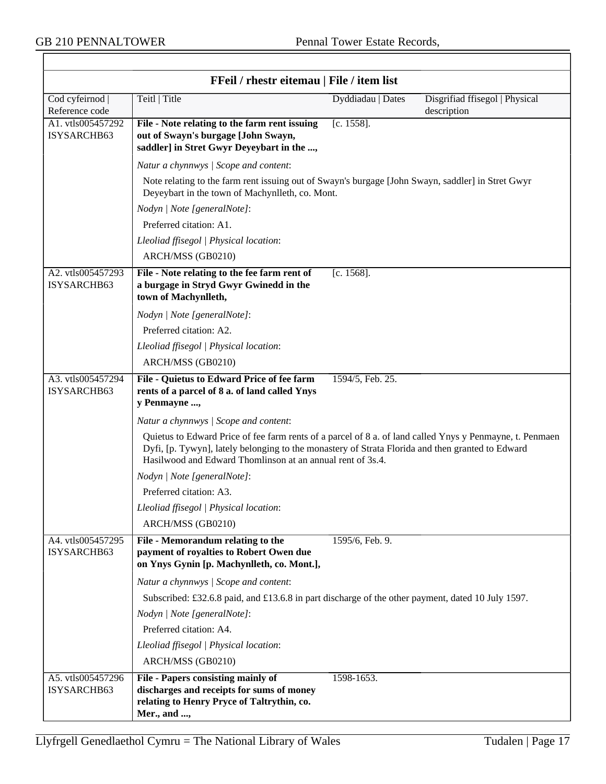$\overline{\top}$ 

| FFeil / rhestr eitemau   File / item list |                                                                                                                                                                                                                                                                            |                   |                                               |
|-------------------------------------------|----------------------------------------------------------------------------------------------------------------------------------------------------------------------------------------------------------------------------------------------------------------------------|-------------------|-----------------------------------------------|
| Cod cyfeirnod  <br>Reference code         | Teitl   Title                                                                                                                                                                                                                                                              | Dyddiadau   Dates | Disgrifiad ffisegol   Physical<br>description |
| A1. vtls005457292<br>ISYSARCHB63          | File - Note relating to the farm rent issuing<br>out of Swayn's burgage [John Swayn,<br>saddler] in Stret Gwyr Deyeybart in the ,                                                                                                                                          | $[c. 1558]$ .     |                                               |
|                                           | Natur a chynnwys / Scope and content:                                                                                                                                                                                                                                      |                   |                                               |
|                                           | Note relating to the farm rent issuing out of Swayn's burgage [John Swayn, saddler] in Stret Gwyr<br>Deyeybart in the town of Machynlleth, co. Mont.                                                                                                                       |                   |                                               |
|                                           | Nodyn   Note [generalNote]:                                                                                                                                                                                                                                                |                   |                                               |
|                                           | Preferred citation: A1.                                                                                                                                                                                                                                                    |                   |                                               |
|                                           | Lleoliad ffisegol   Physical location:                                                                                                                                                                                                                                     |                   |                                               |
|                                           | ARCH/MSS (GB0210)                                                                                                                                                                                                                                                          |                   |                                               |
| A2. vtls005457293<br>ISYSARCHB63          | File - Note relating to the fee farm rent of<br>a burgage in Stryd Gwyr Gwinedd in the<br>town of Machynlleth,                                                                                                                                                             | $[c. 1568]$ .     |                                               |
|                                           | Nodyn   Note [generalNote]:                                                                                                                                                                                                                                                |                   |                                               |
|                                           | Preferred citation: A2.                                                                                                                                                                                                                                                    |                   |                                               |
|                                           | Lleoliad ffisegol   Physical location:                                                                                                                                                                                                                                     |                   |                                               |
|                                           | ARCH/MSS (GB0210)                                                                                                                                                                                                                                                          |                   |                                               |
| A3. vtls005457294<br>ISYSARCHB63          | File - Quietus to Edward Price of fee farm<br>rents of a parcel of 8 a. of land called Ynys<br>y Penmayne ,                                                                                                                                                                | 1594/5, Feb. 25.  |                                               |
|                                           | Natur a chynnwys / Scope and content:                                                                                                                                                                                                                                      |                   |                                               |
|                                           | Quietus to Edward Price of fee farm rents of a parcel of 8 a. of land called Ynys y Penmayne, t. Penmaen<br>Dyfi, [p. Tywyn], lately belonging to the monastery of Strata Florida and then granted to Edward<br>Hasilwood and Edward Thomlinson at an annual rent of 3s.4. |                   |                                               |
|                                           | Nodyn   Note [generalNote]:                                                                                                                                                                                                                                                |                   |                                               |
|                                           | Preferred citation: A3.                                                                                                                                                                                                                                                    |                   |                                               |
|                                           | Lleoliad ffisegol   Physical location:                                                                                                                                                                                                                                     |                   |                                               |
|                                           | ARCH/MSS (GB0210)                                                                                                                                                                                                                                                          |                   |                                               |
| A4. vtls005457295<br>ISYSARCHB63          | File - Memorandum relating to the<br>payment of royalties to Robert Owen due<br>on Ynys Gynin [p. Machynlleth, co. Mont.],                                                                                                                                                 | 1595/6, Feb. 9.   |                                               |
|                                           | Natur a chynnwys / Scope and content:                                                                                                                                                                                                                                      |                   |                                               |
|                                           | Subscribed: £32.6.8 paid, and £13.6.8 in part discharge of the other payment, dated 10 July 1597.                                                                                                                                                                          |                   |                                               |
|                                           | Nodyn   Note [generalNote]:                                                                                                                                                                                                                                                |                   |                                               |
|                                           | Preferred citation: A4.                                                                                                                                                                                                                                                    |                   |                                               |
|                                           | Lleoliad ffisegol   Physical location:                                                                                                                                                                                                                                     |                   |                                               |
|                                           | ARCH/MSS (GB0210)                                                                                                                                                                                                                                                          |                   |                                               |
| A5. vtls005457296<br>ISYSARCHB63          | File - Papers consisting mainly of<br>discharges and receipts for sums of money<br>relating to Henry Pryce of Taltrythin, co.<br>Mer., and ,                                                                                                                               | 1598-1653.        |                                               |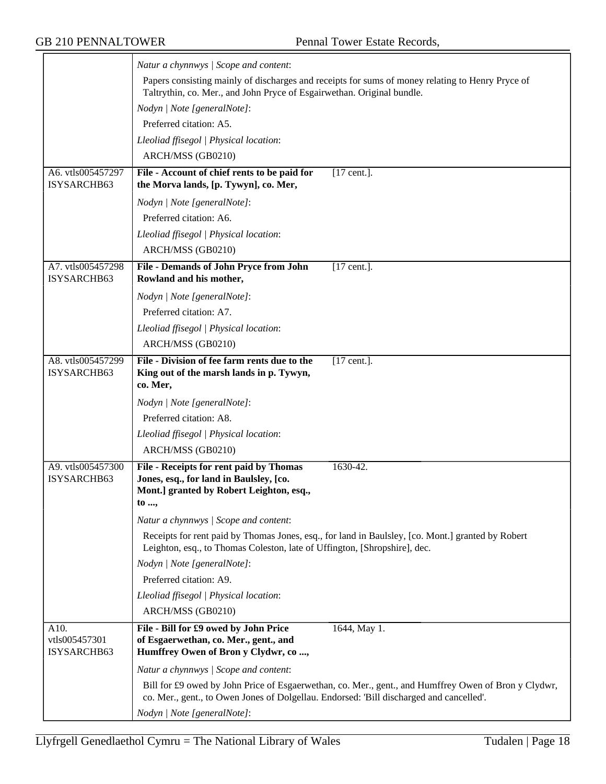$\overline{\phantom{0}}$ 

|                                      | Natur a chynnwys / Scope and content:                                                                                                                                                           |  |  |
|--------------------------------------|-------------------------------------------------------------------------------------------------------------------------------------------------------------------------------------------------|--|--|
|                                      | Papers consisting mainly of discharges and receipts for sums of money relating to Henry Pryce of<br>Taltrythin, co. Mer., and John Pryce of Esgairwethan. Original bundle.                      |  |  |
|                                      | Nodyn   Note [generalNote]:                                                                                                                                                                     |  |  |
|                                      | Preferred citation: A5.                                                                                                                                                                         |  |  |
|                                      | Lleoliad ffisegol   Physical location:                                                                                                                                                          |  |  |
|                                      | ARCH/MSS (GB0210)                                                                                                                                                                               |  |  |
| A6. vtls005457297<br>ISYSARCHB63     | File - Account of chief rents to be paid for<br>$[17$ cent.].<br>the Morva lands, [p. Tywyn], co. Mer,                                                                                          |  |  |
|                                      | Nodyn   Note [generalNote]:                                                                                                                                                                     |  |  |
|                                      | Preferred citation: A6.                                                                                                                                                                         |  |  |
|                                      | Lleoliad ffisegol   Physical location:                                                                                                                                                          |  |  |
|                                      | ARCH/MSS (GB0210)                                                                                                                                                                               |  |  |
| A7. vtls005457298<br>ISYSARCHB63     | File - Demands of John Pryce from John<br>$[17$ cent.].<br>Rowland and his mother,                                                                                                              |  |  |
|                                      | Nodyn   Note [generalNote]:                                                                                                                                                                     |  |  |
|                                      | Preferred citation: A7.                                                                                                                                                                         |  |  |
|                                      | Lleoliad ffisegol   Physical location:                                                                                                                                                          |  |  |
|                                      | ARCH/MSS (GB0210)                                                                                                                                                                               |  |  |
| A8. vtls005457299<br>ISYSARCHB63     | File - Division of fee farm rents due to the<br>$[17$ cent.].<br>King out of the marsh lands in p. Tywyn,<br>co. Mer,                                                                           |  |  |
|                                      | Nodyn   Note [generalNote]:                                                                                                                                                                     |  |  |
|                                      | Preferred citation: A8.                                                                                                                                                                         |  |  |
|                                      | Lleoliad ffisegol   Physical location:                                                                                                                                                          |  |  |
|                                      | ARCH/MSS (GB0210)                                                                                                                                                                               |  |  |
| A9. vtls005457300<br>ISYSARCHB63     | File - Receipts for rent paid by Thomas<br>1630-42.<br>Jones, esq., for land in Baulsley, [co.<br>Mont.] granted by Robert Leighton, esq.,<br>to ,                                              |  |  |
|                                      | Natur a chynnwys / Scope and content:                                                                                                                                                           |  |  |
|                                      | Receipts for rent paid by Thomas Jones, esq., for land in Baulsley, [co. Mont.] granted by Robert<br>Leighton, esq., to Thomas Coleston, late of Uffington, [Shropshire], dec.                  |  |  |
|                                      | Nodyn   Note [generalNote]:                                                                                                                                                                     |  |  |
|                                      | Preferred citation: A9.                                                                                                                                                                         |  |  |
|                                      | Lleoliad ffisegol   Physical location:                                                                                                                                                          |  |  |
|                                      | ARCH/MSS (GB0210)                                                                                                                                                                               |  |  |
| A10.<br>vtls005457301<br>ISYSARCHB63 | File - Bill for £9 owed by John Price<br>1644, May 1.<br>of Esgaerwethan, co. Mer., gent., and<br>Humffrey Owen of Bron y Clydwr, co ,                                                          |  |  |
|                                      | Natur a chynnwys / Scope and content:                                                                                                                                                           |  |  |
|                                      | Bill for £9 owed by John Price of Esgaerwethan, co. Mer., gent., and Humffrey Owen of Bron y Clydwr,<br>co. Mer., gent., to Owen Jones of Dolgellau. Endorsed: 'Bill discharged and cancelled'. |  |  |
|                                      | Nodyn   Note [generalNote]:                                                                                                                                                                     |  |  |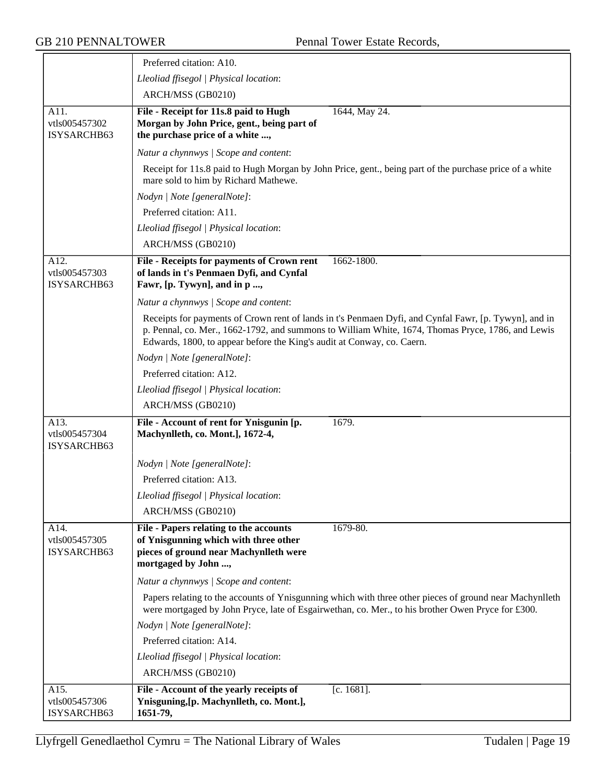|                                      | Preferred citation: A10.                                                                                                                                                                                                                                                             |
|--------------------------------------|--------------------------------------------------------------------------------------------------------------------------------------------------------------------------------------------------------------------------------------------------------------------------------------|
|                                      | Lleoliad ffisegol   Physical location:                                                                                                                                                                                                                                               |
|                                      | ARCH/MSS (GB0210)                                                                                                                                                                                                                                                                    |
| A11.<br>vtls005457302<br>ISYSARCHB63 | File - Receipt for 11s.8 paid to Hugh<br>1644, May 24.<br>Morgan by John Price, gent., being part of<br>the purchase price of a white ,                                                                                                                                              |
|                                      | Natur a chynnwys / Scope and content:                                                                                                                                                                                                                                                |
|                                      | Receipt for 11s.8 paid to Hugh Morgan by John Price, gent., being part of the purchase price of a white<br>mare sold to him by Richard Mathewe.                                                                                                                                      |
|                                      | Nodyn   Note [generalNote]:                                                                                                                                                                                                                                                          |
|                                      | Preferred citation: A11.                                                                                                                                                                                                                                                             |
|                                      | Lleoliad ffisegol   Physical location:                                                                                                                                                                                                                                               |
|                                      | ARCH/MSS (GB0210)                                                                                                                                                                                                                                                                    |
| A12.<br>vtls005457303<br>ISYSARCHB63 | 1662-1800.<br>File - Receipts for payments of Crown rent<br>of lands in t's Penmaen Dyfi, and Cynfal<br>Fawr, [p. Tywyn], and in p ,                                                                                                                                                 |
|                                      | Natur a chynnwys / Scope and content:                                                                                                                                                                                                                                                |
|                                      | Receipts for payments of Crown rent of lands in t's Penmaen Dyfi, and Cynfal Fawr, [p. Tywyn], and in<br>p. Pennal, co. Mer., 1662-1792, and summons to William White, 1674, Thomas Pryce, 1786, and Lewis<br>Edwards, 1800, to appear before the King's audit at Conway, co. Caern. |
|                                      | Nodyn   Note [generalNote]:                                                                                                                                                                                                                                                          |
|                                      | Preferred citation: A12.                                                                                                                                                                                                                                                             |
|                                      | Lleoliad ffisegol   Physical location:                                                                                                                                                                                                                                               |
|                                      | ARCH/MSS (GB0210)                                                                                                                                                                                                                                                                    |
| A13.<br>vtls005457304<br>ISYSARCHB63 | File - Account of rent for Ynisgunin [p.<br>1679.<br>Machynlleth, co. Mont.], 1672-4,                                                                                                                                                                                                |
|                                      | Nodyn   Note [generalNote]:                                                                                                                                                                                                                                                          |
|                                      | Preferred citation: A13.                                                                                                                                                                                                                                                             |
|                                      | Lleoliad ffisegol   Physical location:                                                                                                                                                                                                                                               |
|                                      | ARCH/MSS (GB0210)                                                                                                                                                                                                                                                                    |
| A14.<br>vtls005457305<br>ISYSARCHB63 | File - Papers relating to the accounts<br>1679-80.<br>of Ynisgunning which with three other<br>pieces of ground near Machynlleth were<br>mortgaged by John ,                                                                                                                         |
|                                      | Natur a chynnwys / Scope and content:                                                                                                                                                                                                                                                |
|                                      | Papers relating to the accounts of Ynisgunning which with three other pieces of ground near Machynlleth<br>were mortgaged by John Pryce, late of Esgairwethan, co. Mer., to his brother Owen Pryce for £300.                                                                         |
|                                      | Nodyn   Note [generalNote]:                                                                                                                                                                                                                                                          |
|                                      | Preferred citation: A14.                                                                                                                                                                                                                                                             |
|                                      | Lleoliad ffisegol   Physical location:                                                                                                                                                                                                                                               |
|                                      | ARCH/MSS (GB0210)                                                                                                                                                                                                                                                                    |
| A15.<br>vtls005457306<br>ISYSARCHB63 | File - Account of the yearly receipts of<br>$[c. 1681]$ .<br>Ynisguning, [p. Machynlleth, co. Mont.],<br>1651-79,                                                                                                                                                                    |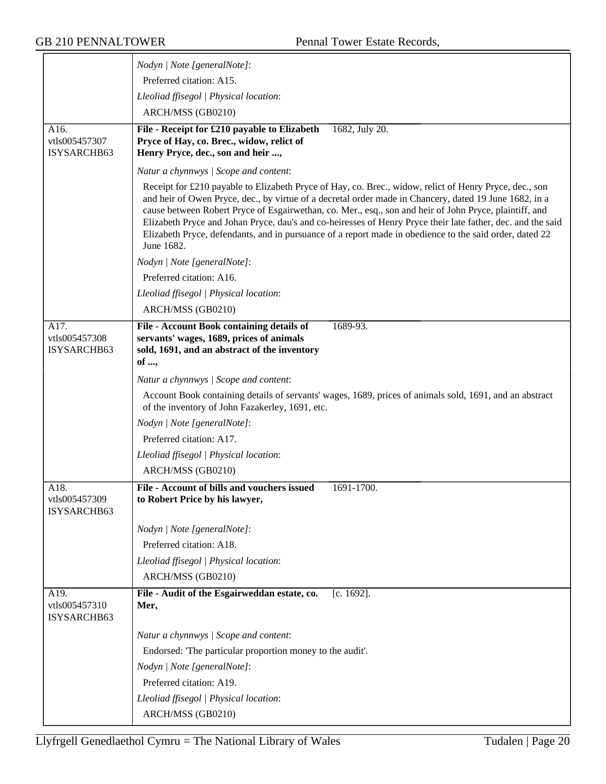|                                      | Nodyn   Note [generalNote]:                                                                                                                                                                                                                                                                                                                                                                                                                                                                                                                                        |
|--------------------------------------|--------------------------------------------------------------------------------------------------------------------------------------------------------------------------------------------------------------------------------------------------------------------------------------------------------------------------------------------------------------------------------------------------------------------------------------------------------------------------------------------------------------------------------------------------------------------|
|                                      | Preferred citation: A15.                                                                                                                                                                                                                                                                                                                                                                                                                                                                                                                                           |
|                                      | Lleoliad ffisegol   Physical location:                                                                                                                                                                                                                                                                                                                                                                                                                                                                                                                             |
|                                      | ARCH/MSS (GB0210)                                                                                                                                                                                                                                                                                                                                                                                                                                                                                                                                                  |
| A16.                                 | File - Receipt for £210 payable to Elizabeth<br>1682, July 20.                                                                                                                                                                                                                                                                                                                                                                                                                                                                                                     |
| vtls005457307<br>ISYSARCHB63         | Pryce of Hay, co. Brec., widow, relict of<br>Henry Pryce, dec., son and heir ,                                                                                                                                                                                                                                                                                                                                                                                                                                                                                     |
|                                      | Natur a chynnwys / Scope and content:                                                                                                                                                                                                                                                                                                                                                                                                                                                                                                                              |
|                                      | Receipt for £210 payable to Elizabeth Pryce of Hay, co. Brec., widow, relict of Henry Pryce, dec., son<br>and heir of Owen Pryce, dec., by virtue of a decretal order made in Chancery, dated 19 June 1682, in a<br>cause between Robert Pryce of Esgairwethan, co. Mer., esq., son and heir of John Pryce, plaintiff, and<br>Elizabeth Pryce and Johan Pryce, dau's and co-heiresses of Henry Pryce their late father, dec. and the said<br>Elizabeth Pryce, defendants, and in pursuance of a report made in obedience to the said order, dated 22<br>June 1682. |
|                                      | Nodyn   Note [generalNote]:                                                                                                                                                                                                                                                                                                                                                                                                                                                                                                                                        |
|                                      | Preferred citation: A16.                                                                                                                                                                                                                                                                                                                                                                                                                                                                                                                                           |
|                                      | Lleoliad ffisegol   Physical location:                                                                                                                                                                                                                                                                                                                                                                                                                                                                                                                             |
|                                      | ARCH/MSS (GB0210)                                                                                                                                                                                                                                                                                                                                                                                                                                                                                                                                                  |
| A17.                                 | File - Account Book containing details of<br>1689-93.                                                                                                                                                                                                                                                                                                                                                                                                                                                                                                              |
| vtls005457308<br>ISYSARCHB63         | servants' wages, 1689, prices of animals<br>sold, 1691, and an abstract of the inventory<br>of ,                                                                                                                                                                                                                                                                                                                                                                                                                                                                   |
|                                      | Natur a chynnwys / Scope and content:                                                                                                                                                                                                                                                                                                                                                                                                                                                                                                                              |
|                                      | Account Book containing details of servants' wages, 1689, prices of animals sold, 1691, and an abstract<br>of the inventory of John Fazakerley, 1691, etc.                                                                                                                                                                                                                                                                                                                                                                                                         |
|                                      | Nodyn   Note [generalNote]:                                                                                                                                                                                                                                                                                                                                                                                                                                                                                                                                        |
|                                      | Preferred citation: A17.                                                                                                                                                                                                                                                                                                                                                                                                                                                                                                                                           |
|                                      | Lleoliad ffisegol   Physical location:                                                                                                                                                                                                                                                                                                                                                                                                                                                                                                                             |
|                                      | ARCH/MSS (GB0210)                                                                                                                                                                                                                                                                                                                                                                                                                                                                                                                                                  |
| A18.<br>vtls005457309<br>ISYSARCHB63 | File - Account of bills and vouchers issued<br>1691-1700.<br>to Robert Price by his lawyer,                                                                                                                                                                                                                                                                                                                                                                                                                                                                        |
|                                      | Nodyn   Note [generalNote]:                                                                                                                                                                                                                                                                                                                                                                                                                                                                                                                                        |
|                                      | Preferred citation: A18.                                                                                                                                                                                                                                                                                                                                                                                                                                                                                                                                           |
|                                      | Lleoliad ffisegol   Physical location:                                                                                                                                                                                                                                                                                                                                                                                                                                                                                                                             |
|                                      | ARCH/MSS (GB0210)                                                                                                                                                                                                                                                                                                                                                                                                                                                                                                                                                  |
| A19.                                 | File - Audit of the Esgairweddan estate, co.<br>$[c. 1692]$ .                                                                                                                                                                                                                                                                                                                                                                                                                                                                                                      |
| vtls005457310<br>ISYSARCHB63         | Mer,                                                                                                                                                                                                                                                                                                                                                                                                                                                                                                                                                               |
|                                      | Natur a chynnwys / Scope and content:                                                                                                                                                                                                                                                                                                                                                                                                                                                                                                                              |
|                                      | Endorsed: 'The particular proportion money to the audit'.                                                                                                                                                                                                                                                                                                                                                                                                                                                                                                          |
|                                      | Nodyn   Note [generalNote]:                                                                                                                                                                                                                                                                                                                                                                                                                                                                                                                                        |
|                                      | Preferred citation: A19.                                                                                                                                                                                                                                                                                                                                                                                                                                                                                                                                           |
|                                      | Lleoliad ffisegol   Physical location:                                                                                                                                                                                                                                                                                                                                                                                                                                                                                                                             |
|                                      | ARCH/MSS (GB0210)                                                                                                                                                                                                                                                                                                                                                                                                                                                                                                                                                  |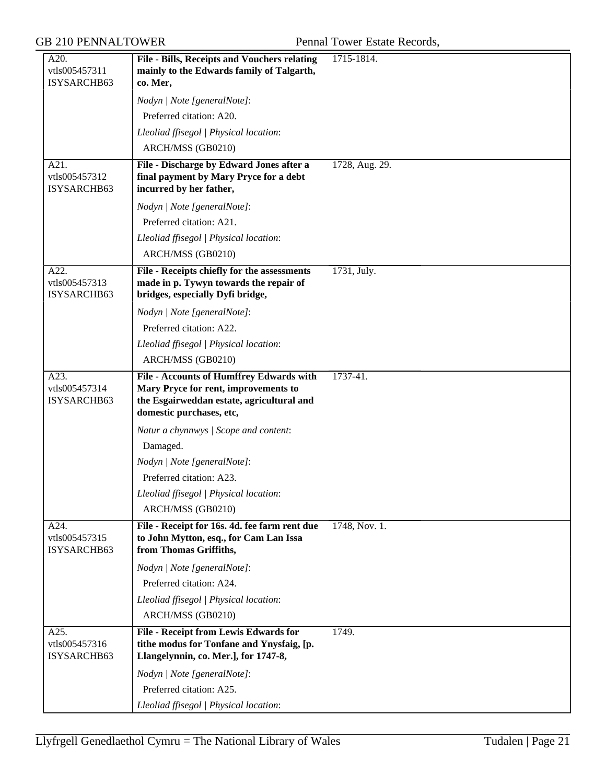| A20.<br>vtls005457311                | File - Bills, Receipts and Vouchers relating<br>mainly to the Edwards family of Talgarth,                                                                 | 1715-1814.     |
|--------------------------------------|-----------------------------------------------------------------------------------------------------------------------------------------------------------|----------------|
| ISYSARCHB63                          | co. Mer,                                                                                                                                                  |                |
|                                      | Nodyn   Note [generalNote]:                                                                                                                               |                |
|                                      | Preferred citation: A20.                                                                                                                                  |                |
|                                      | Lleoliad ffisegol   Physical location:                                                                                                                    |                |
|                                      | ARCH/MSS (GB0210)                                                                                                                                         |                |
| A21.<br>vtls005457312<br>ISYSARCHB63 | File - Discharge by Edward Jones after a<br>final payment by Mary Pryce for a debt<br>incurred by her father,                                             | 1728, Aug. 29. |
|                                      | Nodyn   Note [generalNote]:                                                                                                                               |                |
|                                      | Preferred citation: A21.                                                                                                                                  |                |
|                                      | Lleoliad ffisegol   Physical location:                                                                                                                    |                |
|                                      | ARCH/MSS (GB0210)                                                                                                                                         |                |
| A22.<br>vtls005457313<br>ISYSARCHB63 | File - Receipts chiefly for the assessments<br>made in p. Tywyn towards the repair of<br>bridges, especially Dyfi bridge,                                 | 1731, July.    |
|                                      | Nodyn   Note [generalNote]:                                                                                                                               |                |
|                                      | Preferred citation: A22.                                                                                                                                  |                |
|                                      | Lleoliad ffisegol   Physical location:                                                                                                                    |                |
|                                      | ARCH/MSS (GB0210)                                                                                                                                         |                |
| A23.<br>vtls005457314<br>ISYSARCHB63 | File - Accounts of Humffrey Edwards with<br>Mary Pryce for rent, improvements to<br>the Esgairweddan estate, agricultural and<br>domestic purchases, etc, | 1737-41.       |
|                                      | Natur a chynnwys / Scope and content:                                                                                                                     |                |
|                                      | Damaged.                                                                                                                                                  |                |
|                                      | Nodyn   Note [generalNote]:                                                                                                                               |                |
|                                      | Preferred citation: A23.                                                                                                                                  |                |
|                                      | Lleoliad ffisegol   Physical location:                                                                                                                    |                |
|                                      | ARCH/MSS (GB0210)                                                                                                                                         |                |
| A24.<br>vtls005457315<br>ISYSARCHB63 | File - Receipt for 16s. 4d. fee farm rent due<br>to John Mytton, esq., for Cam Lan Issa<br>from Thomas Griffiths,                                         | 1748, Nov. 1.  |
|                                      | Nodyn   Note [generalNote]:                                                                                                                               |                |
|                                      | Preferred citation: A24.                                                                                                                                  |                |
|                                      | Lleoliad ffisegol   Physical location:                                                                                                                    |                |
|                                      | ARCH/MSS (GB0210)                                                                                                                                         |                |
| A25.<br>vtls005457316<br>ISYSARCHB63 | File - Receipt from Lewis Edwards for<br>tithe modus for Tonfane and Ynysfaig, [p.<br>Llangelynnin, co. Mer.], for 1747-8,                                | 1749.          |
|                                      | Nodyn   Note [generalNote]:                                                                                                                               |                |
|                                      | Preferred citation: A25.                                                                                                                                  |                |
|                                      | Lleoliad ffisegol   Physical location:                                                                                                                    |                |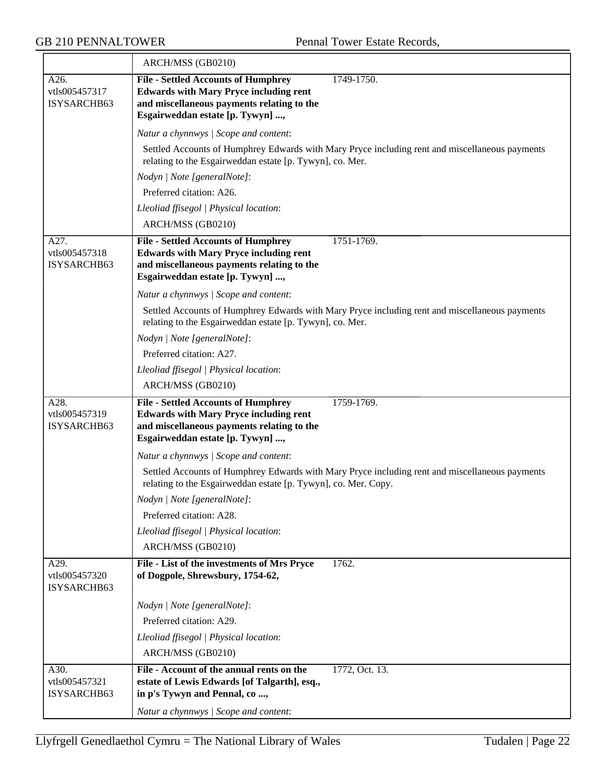|                                      | ARCH/MSS (GB0210)                                                                                                                                                                           |  |  |  |
|--------------------------------------|---------------------------------------------------------------------------------------------------------------------------------------------------------------------------------------------|--|--|--|
| A26.<br>vtls005457317<br>ISYSARCHB63 | 1749-1750.<br><b>File - Settled Accounts of Humphrey</b><br><b>Edwards with Mary Pryce including rent</b><br>and miscellaneous payments relating to the<br>Esgairweddan estate [p. Tywyn] , |  |  |  |
|                                      | Natur a chynnwys / Scope and content:                                                                                                                                                       |  |  |  |
|                                      | Settled Accounts of Humphrey Edwards with Mary Pryce including rent and miscellaneous payments<br>relating to the Esgairweddan estate [p. Tywyn], co. Mer.                                  |  |  |  |
|                                      | Nodyn   Note [generalNote]:                                                                                                                                                                 |  |  |  |
|                                      | Preferred citation: A26.                                                                                                                                                                    |  |  |  |
|                                      | Lleoliad ffisegol   Physical location:                                                                                                                                                      |  |  |  |
|                                      | ARCH/MSS (GB0210)                                                                                                                                                                           |  |  |  |
| A27.<br>vtls005457318<br>ISYSARCHB63 | <b>File - Settled Accounts of Humphrey</b><br>1751-1769.<br><b>Edwards with Mary Pryce including rent</b><br>and miscellaneous payments relating to the<br>Esgairweddan estate [p. Tywyn] , |  |  |  |
|                                      | Natur a chynnwys / Scope and content:                                                                                                                                                       |  |  |  |
|                                      | Settled Accounts of Humphrey Edwards with Mary Pryce including rent and miscellaneous payments<br>relating to the Esgairweddan estate [p. Tywyn], co. Mer.                                  |  |  |  |
|                                      | Nodyn   Note [generalNote]:                                                                                                                                                                 |  |  |  |
|                                      | Preferred citation: A27.                                                                                                                                                                    |  |  |  |
|                                      | Lleoliad ffisegol   Physical location:                                                                                                                                                      |  |  |  |
|                                      | ARCH/MSS (GB0210)                                                                                                                                                                           |  |  |  |
| A28.<br>vtls005457319<br>ISYSARCHB63 | 1759-1769.<br><b>File - Settled Accounts of Humphrey</b><br><b>Edwards with Mary Pryce including rent</b><br>and miscellaneous payments relating to the<br>Esgairweddan estate [p. Tywyn] , |  |  |  |
|                                      | Natur a chynnwys / Scope and content:                                                                                                                                                       |  |  |  |
|                                      | Settled Accounts of Humphrey Edwards with Mary Pryce including rent and miscellaneous payments<br>relating to the Esgairweddan estate [p. Tywyn], co. Mer. Copy.                            |  |  |  |
|                                      | Nodyn   Note [generalNote]:                                                                                                                                                                 |  |  |  |
|                                      | Preferred citation: A28.                                                                                                                                                                    |  |  |  |
|                                      | Lleoliad ffisegol   Physical location:                                                                                                                                                      |  |  |  |
|                                      | ARCH/MSS (GB0210)                                                                                                                                                                           |  |  |  |
| A29.<br>vtls005457320<br>ISYSARCHB63 | 1762.<br>File - List of the investments of Mrs Pryce<br>of Dogpole, Shrewsbury, 1754-62,                                                                                                    |  |  |  |
|                                      | Nodyn   Note [generalNote]:                                                                                                                                                                 |  |  |  |
|                                      | Preferred citation: A29.                                                                                                                                                                    |  |  |  |
|                                      | Lleoliad ffisegol   Physical location:                                                                                                                                                      |  |  |  |
|                                      | ARCH/MSS (GB0210)                                                                                                                                                                           |  |  |  |
| A30.<br>vtls005457321<br>ISYSARCHB63 | File - Account of the annual rents on the<br>1772, Oct. 13.<br>estate of Lewis Edwards [of Talgarth], esq.,<br>in p's Tywyn and Pennal, co,                                                 |  |  |  |
|                                      | Natur a chynnwys / Scope and content:                                                                                                                                                       |  |  |  |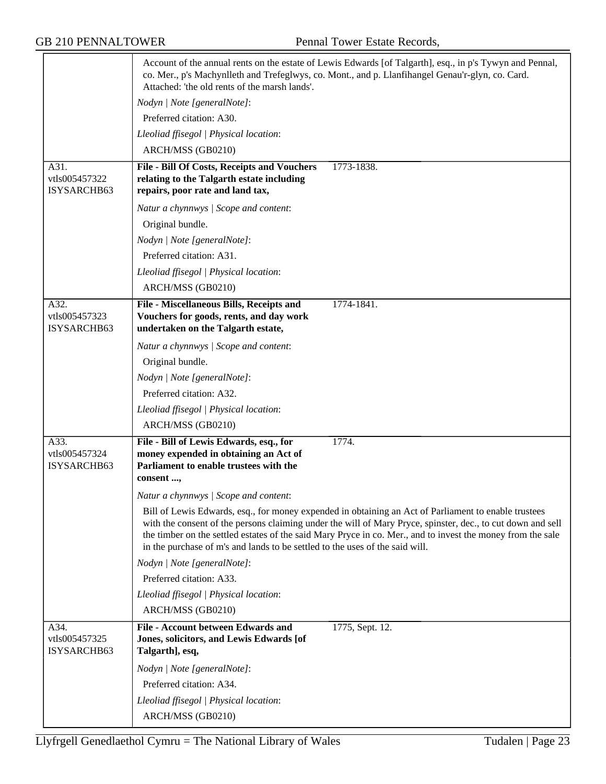|                                      | Account of the annual rents on the estate of Lewis Edwards [of Talgarth], esq., in p's Tywyn and Pennal,<br>co. Mer., p's Machynlleth and Trefeglwys, co. Mont., and p. Llanfihangel Genau'r-glyn, co. Card.<br>Attached: 'the old rents of the marsh lands'.                                                                                                                                                      |  |  |
|--------------------------------------|--------------------------------------------------------------------------------------------------------------------------------------------------------------------------------------------------------------------------------------------------------------------------------------------------------------------------------------------------------------------------------------------------------------------|--|--|
|                                      | Nodyn   Note [generalNote]:                                                                                                                                                                                                                                                                                                                                                                                        |  |  |
|                                      | Preferred citation: A30.                                                                                                                                                                                                                                                                                                                                                                                           |  |  |
|                                      | Lleoliad ffisegol   Physical location:                                                                                                                                                                                                                                                                                                                                                                             |  |  |
|                                      | ARCH/MSS (GB0210)                                                                                                                                                                                                                                                                                                                                                                                                  |  |  |
| A31.<br>vtls005457322<br>ISYSARCHB63 | File - Bill Of Costs, Receipts and Vouchers<br>1773-1838.<br>relating to the Talgarth estate including<br>repairs, poor rate and land tax,                                                                                                                                                                                                                                                                         |  |  |
|                                      | Natur a chynnwys / Scope and content:                                                                                                                                                                                                                                                                                                                                                                              |  |  |
|                                      | Original bundle.                                                                                                                                                                                                                                                                                                                                                                                                   |  |  |
|                                      | Nodyn   Note [generalNote]:                                                                                                                                                                                                                                                                                                                                                                                        |  |  |
|                                      | Preferred citation: A31.                                                                                                                                                                                                                                                                                                                                                                                           |  |  |
|                                      | Lleoliad ffisegol   Physical location:                                                                                                                                                                                                                                                                                                                                                                             |  |  |
|                                      | ARCH/MSS (GB0210)                                                                                                                                                                                                                                                                                                                                                                                                  |  |  |
| A32.<br>vtls005457323<br>ISYSARCHB63 | File - Miscellaneous Bills, Receipts and<br>1774-1841.<br>Vouchers for goods, rents, and day work<br>undertaken on the Talgarth estate,                                                                                                                                                                                                                                                                            |  |  |
|                                      | Natur a chynnwys / Scope and content:                                                                                                                                                                                                                                                                                                                                                                              |  |  |
|                                      | Original bundle.                                                                                                                                                                                                                                                                                                                                                                                                   |  |  |
|                                      | Nodyn   Note [generalNote]:                                                                                                                                                                                                                                                                                                                                                                                        |  |  |
|                                      | Preferred citation: A32.                                                                                                                                                                                                                                                                                                                                                                                           |  |  |
|                                      | Lleoliad ffisegol   Physical location:                                                                                                                                                                                                                                                                                                                                                                             |  |  |
|                                      | ARCH/MSS (GB0210)                                                                                                                                                                                                                                                                                                                                                                                                  |  |  |
| A33.<br>vtls005457324<br>ISYSARCHB63 | 1774.<br>File - Bill of Lewis Edwards, esq., for<br>money expended in obtaining an Act of<br>Parliament to enable trustees with the<br>consent ,                                                                                                                                                                                                                                                                   |  |  |
|                                      | Natur a chynnwys / Scope and content:                                                                                                                                                                                                                                                                                                                                                                              |  |  |
|                                      | Bill of Lewis Edwards, esq., for money expended in obtaining an Act of Parliament to enable trustees<br>with the consent of the persons claiming under the will of Mary Pryce, spinster, dec., to cut down and sell<br>the timber on the settled estates of the said Mary Pryce in co. Mer., and to invest the money from the sale<br>in the purchase of m's and lands to be settled to the uses of the said will. |  |  |
|                                      | Nodyn   Note [generalNote]:                                                                                                                                                                                                                                                                                                                                                                                        |  |  |
|                                      | Preferred citation: A33.                                                                                                                                                                                                                                                                                                                                                                                           |  |  |
|                                      | Lleoliad ffisegol   Physical location:                                                                                                                                                                                                                                                                                                                                                                             |  |  |
|                                      | ARCH/MSS (GB0210)                                                                                                                                                                                                                                                                                                                                                                                                  |  |  |
| A34.<br>vtls005457325<br>ISYSARCHB63 | File - Account between Edwards and<br>1775, Sept. 12.<br>Jones, solicitors, and Lewis Edwards [of<br>Talgarth], esq,                                                                                                                                                                                                                                                                                               |  |  |
|                                      | Nodyn   Note [generalNote]:                                                                                                                                                                                                                                                                                                                                                                                        |  |  |
|                                      | Preferred citation: A34.                                                                                                                                                                                                                                                                                                                                                                                           |  |  |
|                                      | Lleoliad ffisegol   Physical location:                                                                                                                                                                                                                                                                                                                                                                             |  |  |
|                                      | ARCH/MSS (GB0210)                                                                                                                                                                                                                                                                                                                                                                                                  |  |  |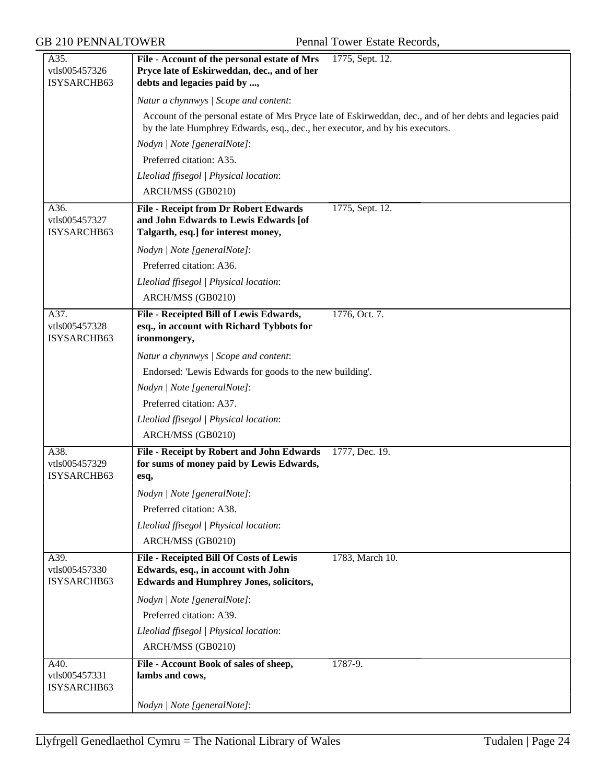| A35.<br>vtls005457326<br>ISYSARCHB63 | File - Account of the personal estate of Mrs<br>Pryce late of Eskirweddan, dec., and of her<br>debts and legacies paid by ,      | 1775, Sept. 12.                                                                                           |
|--------------------------------------|----------------------------------------------------------------------------------------------------------------------------------|-----------------------------------------------------------------------------------------------------------|
|                                      | Natur a chynnwys / Scope and content:                                                                                            |                                                                                                           |
|                                      | by the late Humphrey Edwards, esq., dec., her executor, and by his executors.                                                    | Account of the personal estate of Mrs Pryce late of Eskirweddan, dec., and of her debts and legacies paid |
|                                      | Nodyn   Note [generalNote]:                                                                                                      |                                                                                                           |
|                                      | Preferred citation: A35.                                                                                                         |                                                                                                           |
|                                      | Lleoliad ffisegol   Physical location:                                                                                           |                                                                                                           |
|                                      | ARCH/MSS (GB0210)                                                                                                                |                                                                                                           |
| A36.<br>vtls005457327<br>ISYSARCHB63 | <b>File - Receipt from Dr Robert Edwards</b><br>and John Edwards to Lewis Edwards [of<br>Talgarth, esq.] for interest money,     | 1775, Sept. 12.                                                                                           |
|                                      | Nodyn   Note [generalNote]:                                                                                                      |                                                                                                           |
|                                      | Preferred citation: A36.                                                                                                         |                                                                                                           |
|                                      | Lleoliad ffisegol   Physical location:                                                                                           |                                                                                                           |
|                                      | ARCH/MSS (GB0210)                                                                                                                |                                                                                                           |
| A37.<br>vtls005457328<br>ISYSARCHB63 | File - Receipted Bill of Lewis Edwards,<br>esq., in account with Richard Tybbots for<br>ironmongery,                             | 1776, Oct. 7.                                                                                             |
|                                      | Natur a chynnwys / Scope and content:                                                                                            |                                                                                                           |
|                                      | Endorsed: 'Lewis Edwards for goods to the new building'.                                                                         |                                                                                                           |
|                                      | Nodyn   Note [generalNote]:                                                                                                      |                                                                                                           |
|                                      | Preferred citation: A37.                                                                                                         |                                                                                                           |
|                                      | Lleoliad ffisegol   Physical location:                                                                                           |                                                                                                           |
|                                      | ARCH/MSS (GB0210)                                                                                                                |                                                                                                           |
| A38.<br>vtls005457329<br>ISYSARCHB63 | File - Receipt by Robert and John Edwards<br>for sums of money paid by Lewis Edwards,<br>esq,                                    | 1777, Dec. 19.                                                                                            |
|                                      | Nodyn   Note [generalNote]:                                                                                                      |                                                                                                           |
|                                      | Preferred citation: A38.                                                                                                         |                                                                                                           |
|                                      | Lleoliad ffisegol   Physical location:                                                                                           |                                                                                                           |
|                                      | ARCH/MSS (GB0210)                                                                                                                |                                                                                                           |
| A39.<br>vtls005457330<br>ISYSARCHB63 | File - Receipted Bill Of Costs of Lewis<br>Edwards, esq., in account with John<br><b>Edwards and Humphrey Jones, solicitors,</b> | 1783, March 10.                                                                                           |
|                                      | Nodyn   Note [generalNote]:                                                                                                      |                                                                                                           |
|                                      | Preferred citation: A39.                                                                                                         |                                                                                                           |
|                                      | Lleoliad ffisegol   Physical location:                                                                                           |                                                                                                           |
|                                      | ARCH/MSS (GB0210)                                                                                                                |                                                                                                           |
| A40.<br>vtls005457331<br>ISYSARCHB63 | File - Account Book of sales of sheep,<br>lambs and cows,                                                                        | 1787-9.                                                                                                   |
|                                      | Nodyn   Note [generalNote]:                                                                                                      |                                                                                                           |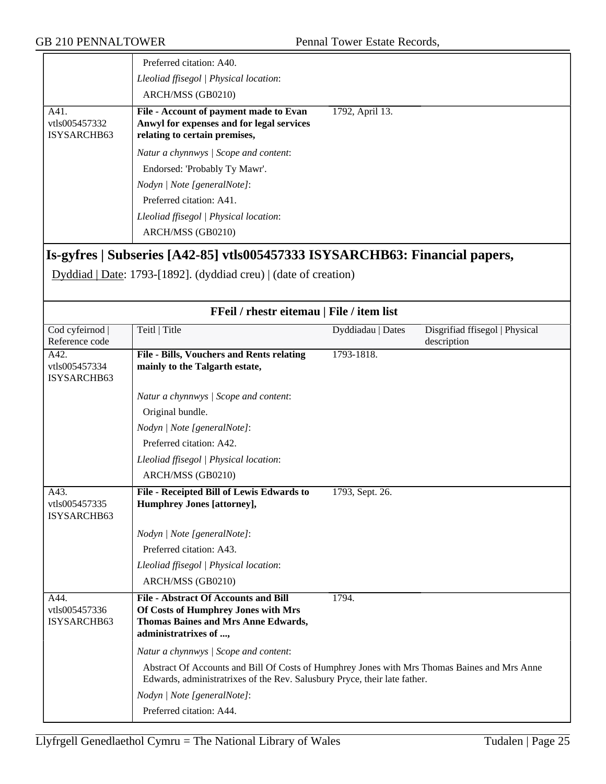|                                      | Preferred citation: A40.<br>Lleoliad ffisegol   Physical location:<br>ARCH/MSS (GB0210)                                                                                                          |                 |  |
|--------------------------------------|--------------------------------------------------------------------------------------------------------------------------------------------------------------------------------------------------|-----------------|--|
| A41.<br>vtls005457332<br>ISYSARCHB63 | File - Account of payment made to Evan<br>Anwyl for expenses and for legal services<br>relating to certain premises,                                                                             | 1792, April 13. |  |
|                                      | Natur a chynnwys / Scope and content:<br>Endorsed: 'Probably Ty Mawr'.<br>Nodyn / Note [generalNote]:<br>Preferred citation: A41.<br>Lleoliad ffisegol   Physical location:<br>ARCH/MSS (GB0210) |                 |  |

# **Is-gyfres | Subseries [A42-85] vtls005457333 ISYSARCHB63: Financial papers,**

Dyddiad | Date: 1793-[1892]. (dyddiad creu) | (date of creation)

| FFeil / rhestr eitemau   File / item list |                                                                                                                                                                           |                   |                                               |
|-------------------------------------------|---------------------------------------------------------------------------------------------------------------------------------------------------------------------------|-------------------|-----------------------------------------------|
| Cod cyfeirnod<br>Reference code           | Teitl   Title                                                                                                                                                             | Dyddiadau   Dates | Disgrifiad ffisegol   Physical<br>description |
| A42.<br>vtls005457334<br>ISYSARCHB63      | File - Bills, Vouchers and Rents relating<br>mainly to the Talgarth estate,                                                                                               | 1793-1818.        |                                               |
|                                           | Natur a chynnwys / Scope and content:                                                                                                                                     |                   |                                               |
|                                           | Original bundle.                                                                                                                                                          |                   |                                               |
|                                           | Nodyn   Note [generalNote]:                                                                                                                                               |                   |                                               |
|                                           | Preferred citation: A42.                                                                                                                                                  |                   |                                               |
|                                           | Lleoliad ffisegol   Physical location:                                                                                                                                    |                   |                                               |
|                                           | ARCH/MSS (GB0210)                                                                                                                                                         |                   |                                               |
| A43.<br>vtls005457335<br>ISYSARCHB63      | File - Receipted Bill of Lewis Edwards to<br><b>Humphrey Jones [attorney],</b>                                                                                            | 1793, Sept. 26.   |                                               |
|                                           | Nodyn   Note [generalNote]:                                                                                                                                               |                   |                                               |
|                                           | Preferred citation: A43.                                                                                                                                                  |                   |                                               |
|                                           | Lleoliad ffisegol   Physical location:                                                                                                                                    |                   |                                               |
|                                           | ARCH/MSS (GB0210)                                                                                                                                                         |                   |                                               |
| A44.<br>vtls005457336<br>ISYSARCHB63      | <b>File - Abstract Of Accounts and Bill</b><br>Of Costs of Humphrey Jones with Mrs<br><b>Thomas Baines and Mrs Anne Edwards,</b><br>administratrixes of ,                 | 1794.             |                                               |
|                                           | Natur a chynnwys / Scope and content:                                                                                                                                     |                   |                                               |
|                                           | Abstract Of Accounts and Bill Of Costs of Humphrey Jones with Mrs Thomas Baines and Mrs Anne<br>Edwards, administratrixes of the Rev. Salusbury Pryce, their late father. |                   |                                               |
|                                           | Nodyn   Note [generalNote]:                                                                                                                                               |                   |                                               |
|                                           | Preferred citation: A44.                                                                                                                                                  |                   |                                               |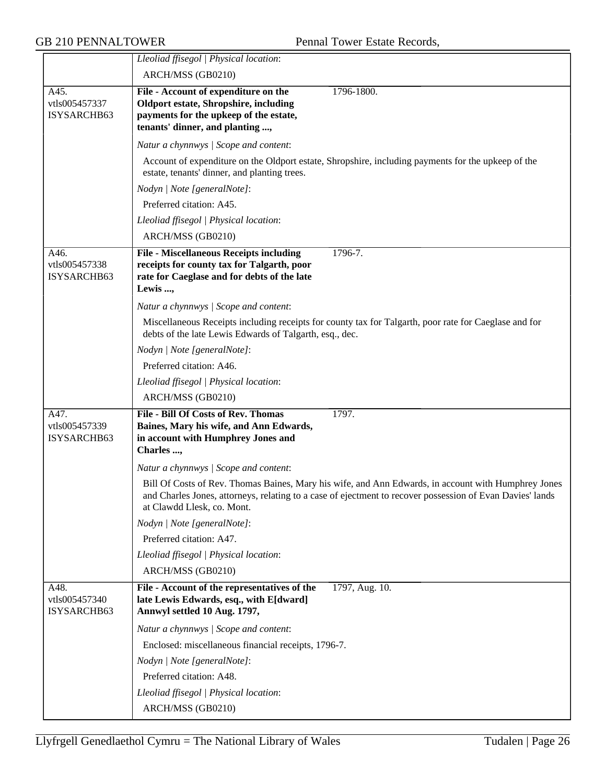|                                      | Lleoliad ffisegol   Physical location:                                                                                                                                                                                                         |
|--------------------------------------|------------------------------------------------------------------------------------------------------------------------------------------------------------------------------------------------------------------------------------------------|
|                                      | ARCH/MSS (GB0210)                                                                                                                                                                                                                              |
| A45.<br>vtls005457337<br>ISYSARCHB63 | File - Account of expenditure on the<br>1796-1800.<br><b>Oldport estate, Shropshire, including</b><br>payments for the upkeep of the estate,<br>tenants' dinner, and planting ,                                                                |
|                                      | Natur a chynnwys / Scope and content:                                                                                                                                                                                                          |
|                                      | Account of expenditure on the Oldport estate, Shropshire, including payments for the upkeep of the<br>estate, tenants' dinner, and planting trees.                                                                                             |
|                                      | Nodyn   Note [generalNote]:                                                                                                                                                                                                                    |
|                                      | Preferred citation: A45.                                                                                                                                                                                                                       |
|                                      | Lleoliad ffisegol   Physical location:                                                                                                                                                                                                         |
|                                      | ARCH/MSS (GB0210)                                                                                                                                                                                                                              |
| A46.<br>vtls005457338<br>ISYSARCHB63 | <b>File - Miscellaneous Receipts including</b><br>1796-7.<br>receipts for county tax for Talgarth, poor<br>rate for Caeglase and for debts of the late<br>Lewis ,                                                                              |
|                                      | Natur a chynnwys / Scope and content:                                                                                                                                                                                                          |
|                                      | Miscellaneous Receipts including receipts for county tax for Talgarth, poor rate for Caeglase and for<br>debts of the late Lewis Edwards of Talgarth, esq., dec.                                                                               |
|                                      | Nodyn   Note [generalNote]:                                                                                                                                                                                                                    |
|                                      | Preferred citation: A46.                                                                                                                                                                                                                       |
|                                      | Lleoliad ffisegol   Physical location:                                                                                                                                                                                                         |
|                                      | ARCH/MSS (GB0210)                                                                                                                                                                                                                              |
| A47.<br>vtls005457339<br>ISYSARCHB63 | File - Bill Of Costs of Rev. Thomas<br>1797.<br>Baines, Mary his wife, and Ann Edwards,<br>in account with Humphrey Jones and<br>Charles ,                                                                                                     |
|                                      | Natur a chynnwys / Scope and content:                                                                                                                                                                                                          |
|                                      | Bill Of Costs of Rev. Thomas Baines, Mary his wife, and Ann Edwards, in account with Humphrey Jones<br>and Charles Jones, attorneys, relating to a case of ejectment to recover possession of Evan Davies' lands<br>at Clawdd Llesk, co. Mont. |
|                                      | Nodyn   Note [generalNote]:                                                                                                                                                                                                                    |
|                                      | Preferred citation: A47.                                                                                                                                                                                                                       |
|                                      | Lleoliad ffisegol   Physical location:                                                                                                                                                                                                         |
|                                      | ARCH/MSS (GB0210)                                                                                                                                                                                                                              |
| A48.<br>vtls005457340<br>ISYSARCHB63 | File - Account of the representatives of the<br>1797, Aug. 10.<br>late Lewis Edwards, esq., with E[dward]<br>Annwyl settled 10 Aug. 1797,                                                                                                      |
|                                      | Natur a chynnwys / Scope and content:                                                                                                                                                                                                          |
|                                      | Enclosed: miscellaneous financial receipts, 1796-7.                                                                                                                                                                                            |
|                                      | Nodyn   Note [generalNote]:                                                                                                                                                                                                                    |
|                                      | Preferred citation: A48.                                                                                                                                                                                                                       |
|                                      | Lleoliad ffisegol   Physical location:                                                                                                                                                                                                         |
|                                      | ARCH/MSS (GB0210)                                                                                                                                                                                                                              |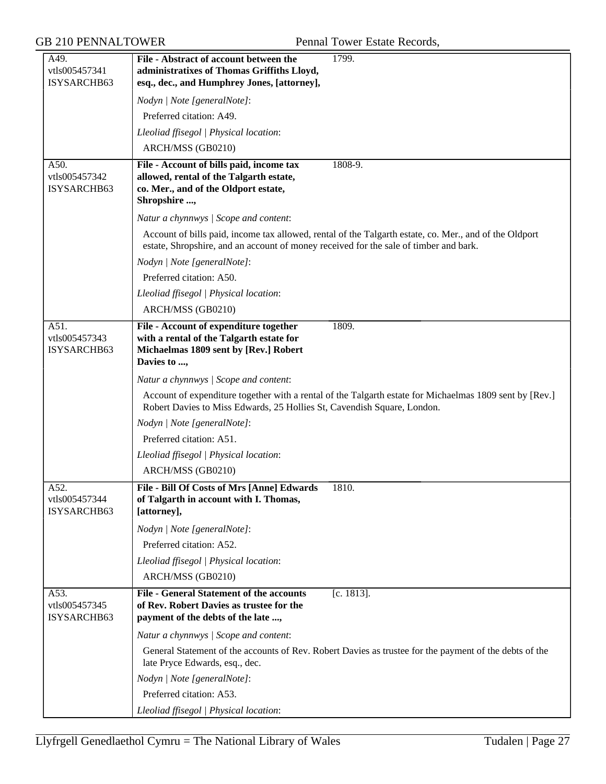| A49.<br>vtls005457341<br>ISYSARCHB63 | File - Abstract of account between the<br>administratixes of Thomas Griffiths Lloyd,<br>esq., dec., and Humphrey Jones, [attorney],         | 1799.                                                                                                   |
|--------------------------------------|---------------------------------------------------------------------------------------------------------------------------------------------|---------------------------------------------------------------------------------------------------------|
|                                      | Nodyn   Note [generalNote]:                                                                                                                 |                                                                                                         |
|                                      | Preferred citation: A49.                                                                                                                    |                                                                                                         |
|                                      | Lleoliad ffisegol   Physical location:                                                                                                      |                                                                                                         |
|                                      | ARCH/MSS (GB0210)                                                                                                                           |                                                                                                         |
| A50.<br>vtls005457342<br>ISYSARCHB63 | File - Account of bills paid, income tax<br>allowed, rental of the Talgarth estate,<br>co. Mer., and of the Oldport estate,<br>Shropshire , | $1808 - 9.$                                                                                             |
|                                      | Natur a chynnwys / Scope and content:                                                                                                       |                                                                                                         |
|                                      | estate, Shropshire, and an account of money received for the sale of timber and bark.                                                       | Account of bills paid, income tax allowed, rental of the Talgarth estate, co. Mer., and of the Oldport  |
|                                      | Nodyn   Note [generalNote]:                                                                                                                 |                                                                                                         |
|                                      | Preferred citation: A50.                                                                                                                    |                                                                                                         |
|                                      | Lleoliad ffisegol   Physical location:                                                                                                      |                                                                                                         |
|                                      | ARCH/MSS (GB0210)                                                                                                                           |                                                                                                         |
| A51.<br>vtls005457343<br>ISYSARCHB63 | File - Account of expenditure together<br>with a rental of the Talgarth estate for<br>Michaelmas 1809 sent by [Rev.] Robert<br>Davies to ,  | 1809.                                                                                                   |
|                                      | Natur a chynnwys / Scope and content:                                                                                                       |                                                                                                         |
|                                      | Robert Davies to Miss Edwards, 25 Hollies St, Cavendish Square, London.                                                                     | Account of expenditure together with a rental of the Talgarth estate for Michaelmas 1809 sent by [Rev.] |
|                                      | Nodyn   Note [generalNote]:                                                                                                                 |                                                                                                         |
|                                      | Preferred citation: A51.                                                                                                                    |                                                                                                         |
|                                      | Lleoliad ffisegol   Physical location:                                                                                                      |                                                                                                         |
|                                      | ARCH/MSS (GB0210)                                                                                                                           |                                                                                                         |
| A52.<br>vtls005457344<br>ISYSARCHB63 | File - Bill Of Costs of Mrs [Anne] Edwards<br>of Talgarth in account with I. Thomas,<br>[attorney],                                         | 1810.                                                                                                   |
|                                      | Nodyn   Note [generalNote]:                                                                                                                 |                                                                                                         |
|                                      | Preferred citation: A52.                                                                                                                    |                                                                                                         |
|                                      | Lleoliad ffisegol   Physical location:                                                                                                      |                                                                                                         |
|                                      | ARCH/MSS (GB0210)                                                                                                                           |                                                                                                         |
| A53.<br>vtls005457345<br>ISYSARCHB63 | <b>File - General Statement of the accounts</b><br>of Rev. Robert Davies as trustee for the<br>payment of the debts of the late ,           | $[c. 1813]$ .                                                                                           |
|                                      | Natur a chynnwys / Scope and content:                                                                                                       |                                                                                                         |
|                                      | late Pryce Edwards, esq., dec.                                                                                                              | General Statement of the accounts of Rev. Robert Davies as trustee for the payment of the debts of the  |
|                                      | Nodyn   Note [generalNote]:                                                                                                                 |                                                                                                         |
|                                      | Preferred citation: A53.                                                                                                                    |                                                                                                         |
|                                      | Lleoliad ffisegol   Physical location:                                                                                                      |                                                                                                         |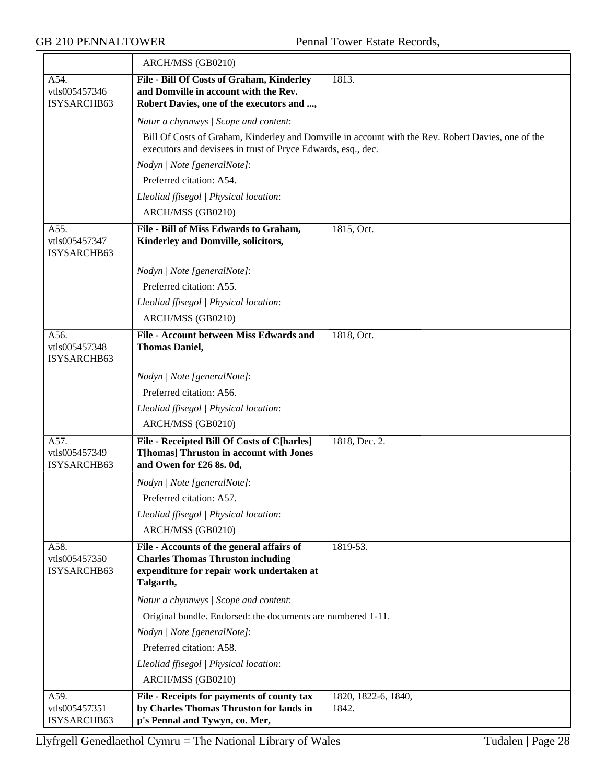|                                      | ARCH/MSS (GB0210)                                                                                                                               |                                                                                                    |
|--------------------------------------|-------------------------------------------------------------------------------------------------------------------------------------------------|----------------------------------------------------------------------------------------------------|
| A54.<br>vtls005457346<br>ISYSARCHB63 | File - Bill Of Costs of Graham, Kinderley<br>and Domville in account with the Rev.<br>Robert Davies, one of the executors and ,                 | 1813.                                                                                              |
|                                      | Natur a chynnwys / Scope and content:                                                                                                           |                                                                                                    |
|                                      | executors and devisees in trust of Pryce Edwards, esq., dec.                                                                                    | Bill Of Costs of Graham, Kinderley and Domville in account with the Rev. Robert Davies, one of the |
|                                      | Nodyn   Note [generalNote]:                                                                                                                     |                                                                                                    |
|                                      | Preferred citation: A54.                                                                                                                        |                                                                                                    |
|                                      | Lleoliad ffisegol   Physical location:                                                                                                          |                                                                                                    |
|                                      | ARCH/MSS (GB0210)                                                                                                                               |                                                                                                    |
| A55.<br>vtls005457347<br>ISYSARCHB63 | File - Bill of Miss Edwards to Graham,<br>Kinderley and Domville, solicitors,                                                                   | 1815, Oct.                                                                                         |
|                                      | Nodyn   Note [generalNote]:                                                                                                                     |                                                                                                    |
|                                      | Preferred citation: A55.                                                                                                                        |                                                                                                    |
|                                      | Lleoliad ffisegol   Physical location:                                                                                                          |                                                                                                    |
|                                      | ARCH/MSS (GB0210)                                                                                                                               |                                                                                                    |
| A56.<br>vtls005457348<br>ISYSARCHB63 | File - Account between Miss Edwards and<br><b>Thomas Daniel,</b>                                                                                | 1818, Oct.                                                                                         |
|                                      | Nodyn   Note [generalNote]:                                                                                                                     |                                                                                                    |
|                                      | Preferred citation: A56.                                                                                                                        |                                                                                                    |
|                                      | Lleoliad ffisegol   Physical location:                                                                                                          |                                                                                                    |
|                                      | ARCH/MSS (GB0210)                                                                                                                               |                                                                                                    |
| A57.<br>vtls005457349<br>ISYSARCHB63 | File - Receipted Bill Of Costs of C[harles]<br><b>T[homas] Thruston in account with Jones</b><br>and Owen for £26 8s. 0d,                       | 1818, Dec. 2.                                                                                      |
|                                      | Nodyn   Note [generalNote]:                                                                                                                     |                                                                                                    |
|                                      | Preferred citation: A57.                                                                                                                        |                                                                                                    |
|                                      | Lleoliad ffisegol   Physical location:                                                                                                          |                                                                                                    |
|                                      | ARCH/MSS (GB0210)                                                                                                                               |                                                                                                    |
| A58.<br>vtls005457350<br>ISYSARCHB63 | File - Accounts of the general affairs of<br><b>Charles Thomas Thruston including</b><br>expenditure for repair work undertaken at<br>Talgarth, | 1819-53.                                                                                           |
|                                      | Natur a chynnwys / Scope and content:                                                                                                           |                                                                                                    |
|                                      | Original bundle. Endorsed: the documents are numbered 1-11.                                                                                     |                                                                                                    |
|                                      | Nodyn   Note [generalNote]:                                                                                                                     |                                                                                                    |
|                                      | Preferred citation: A58.                                                                                                                        |                                                                                                    |
|                                      | Lleoliad ffisegol   Physical location:                                                                                                          |                                                                                                    |
|                                      | ARCH/MSS (GB0210)                                                                                                                               |                                                                                                    |
| A59.<br>vtls005457351<br>ISYSARCHB63 | File - Receipts for payments of county tax<br>by Charles Thomas Thruston for lands in<br>p's Pennal and Tywyn, co. Mer,                         | 1820, 1822-6, 1840,<br>1842.                                                                       |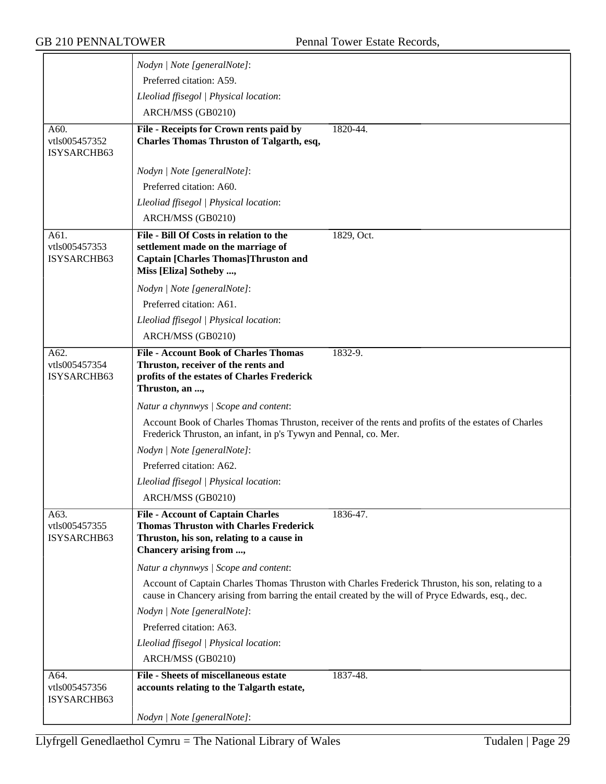|                              | Nodyn   Note [generalNote]:                                                                                                                                              |
|------------------------------|--------------------------------------------------------------------------------------------------------------------------------------------------------------------------|
|                              | Preferred citation: A59.                                                                                                                                                 |
|                              | Lleoliad ffisegol   Physical location:                                                                                                                                   |
|                              | ARCH/MSS (GB0210)                                                                                                                                                        |
| A60.                         | File - Receipts for Crown rents paid by<br>1820-44.                                                                                                                      |
| vtls005457352                | <b>Charles Thomas Thruston of Talgarth, esq,</b>                                                                                                                         |
| ISYSARCHB63                  |                                                                                                                                                                          |
|                              | Nodyn   Note [generalNote]:                                                                                                                                              |
|                              | Preferred citation: A60.                                                                                                                                                 |
|                              | Lleoliad ffisegol   Physical location:                                                                                                                                   |
|                              | ARCH/MSS (GB0210)                                                                                                                                                        |
| A61.                         | File - Bill Of Costs in relation to the<br>1829, Oct.                                                                                                                    |
| vtls005457353<br>ISYSARCHB63 | settlement made on the marriage of<br><b>Captain [Charles Thomas]Thruston and</b>                                                                                        |
|                              | Miss [Eliza] Sotheby ,                                                                                                                                                   |
|                              | Nodyn   Note [generalNote]:                                                                                                                                              |
|                              | Preferred citation: A61.                                                                                                                                                 |
|                              | Lleoliad ffisegol   Physical location:                                                                                                                                   |
|                              | ARCH/MSS (GB0210)                                                                                                                                                        |
| A62.                         | <b>File - Account Book of Charles Thomas</b><br>1832-9.                                                                                                                  |
| vtls005457354                | Thruston, receiver of the rents and                                                                                                                                      |
| ISYSARCHB63                  | profits of the estates of Charles Frederick<br>Thruston, an ,                                                                                                            |
|                              | Natur a chynnwys / Scope and content:                                                                                                                                    |
|                              | Account Book of Charles Thomas Thruston, receiver of the rents and profits of the estates of Charles<br>Frederick Thruston, an infant, in p's Tywyn and Pennal, co. Mer. |
|                              | Nodyn   Note [generalNote]:                                                                                                                                              |
|                              | Preferred citation: A62.                                                                                                                                                 |
|                              | Lleoliad ffisegol   Physical location:                                                                                                                                   |
|                              | ARCH/MSS (GB0210)                                                                                                                                                        |
| A63.                         | <b>File - Account of Captain Charles</b><br>1836-47.                                                                                                                     |
| vtls005457355                | <b>Thomas Thruston with Charles Frederick</b>                                                                                                                            |
| ISYSARCHB63                  | Thruston, his son, relating to a cause in<br>Chancery arising from ,                                                                                                     |
|                              | Natur a chynnwys / Scope and content:                                                                                                                                    |
|                              | Account of Captain Charles Thomas Thruston with Charles Frederick Thruston, his son, relating to a                                                                       |
|                              | cause in Chancery arising from barring the entail created by the will of Pryce Edwards, esq., dec.                                                                       |
|                              | Nodyn   Note [generalNote]:                                                                                                                                              |
|                              | Preferred citation: A63.                                                                                                                                                 |
|                              | Lleoliad ffisegol   Physical location:                                                                                                                                   |
|                              | ARCH/MSS (GB0210)                                                                                                                                                        |
| A64.                         | <b>File - Sheets of miscellaneous estate</b><br>1837-48.                                                                                                                 |
| vtls005457356<br>ISYSARCHB63 | accounts relating to the Talgarth estate,                                                                                                                                |
|                              | Nodyn   Note [generalNote]:                                                                                                                                              |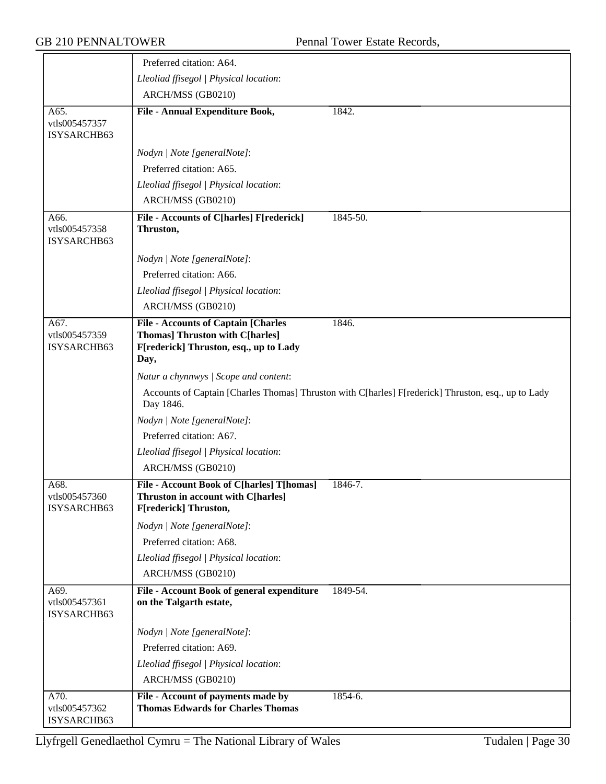|                                      | Preferred citation: A64.                                                                                                               |                                                                                                     |
|--------------------------------------|----------------------------------------------------------------------------------------------------------------------------------------|-----------------------------------------------------------------------------------------------------|
|                                      | Lleoliad ffisegol   Physical location:                                                                                                 |                                                                                                     |
|                                      | ARCH/MSS (GB0210)                                                                                                                      |                                                                                                     |
| A65.<br>vtls005457357<br>ISYSARCHB63 | File - Annual Expenditure Book,                                                                                                        | 1842.                                                                                               |
|                                      | Nodyn   Note [generalNote]:                                                                                                            |                                                                                                     |
|                                      | Preferred citation: A65.                                                                                                               |                                                                                                     |
|                                      | Lleoliad ffisegol   Physical location:                                                                                                 |                                                                                                     |
|                                      | ARCH/MSS (GB0210)                                                                                                                      |                                                                                                     |
| A66.<br>vtls005457358<br>ISYSARCHB63 | File - Accounts of C[harles] F[rederick]<br>Thruston,                                                                                  | 1845-50.                                                                                            |
|                                      | Nodyn   Note [generalNote]:                                                                                                            |                                                                                                     |
|                                      | Preferred citation: A66.                                                                                                               |                                                                                                     |
|                                      | Lleoliad ffisegol   Physical location:                                                                                                 |                                                                                                     |
|                                      | ARCH/MSS (GB0210)                                                                                                                      |                                                                                                     |
| A67.<br>vtls005457359<br>ISYSARCHB63 | <b>File - Accounts of Captain [Charles</b><br><b>Thomas] Thruston with C[harles]</b><br>F[rederick] Thruston, esq., up to Lady<br>Day, | 1846.                                                                                               |
|                                      | Natur a chynnwys / Scope and content:                                                                                                  |                                                                                                     |
|                                      | Day 1846.                                                                                                                              | Accounts of Captain [Charles Thomas] Thruston with C[harles] F[rederick] Thruston, esq., up to Lady |
|                                      | Nodyn   Note [generalNote]:                                                                                                            |                                                                                                     |
|                                      | Preferred citation: A67.                                                                                                               |                                                                                                     |
|                                      | Lleoliad ffisegol   Physical location:                                                                                                 |                                                                                                     |
|                                      | ARCH/MSS (GB0210)                                                                                                                      |                                                                                                     |
| A68.<br>vtls005457360<br>ISYSARCHB63 | File - Account Book of C[harles] T[homas]<br><b>Thruston in account with C[harles]</b><br>F[rederick] Thruston,                        | 1846-7.                                                                                             |
|                                      | Nodyn   Note [generalNote]:                                                                                                            |                                                                                                     |
|                                      | Preferred citation: A68.                                                                                                               |                                                                                                     |
|                                      | Lleoliad ffisegol   Physical location:                                                                                                 |                                                                                                     |
|                                      | ARCH/MSS (GB0210)                                                                                                                      |                                                                                                     |
| A69.<br>vtls005457361<br>ISYSARCHB63 | File - Account Book of general expenditure<br>on the Talgarth estate,                                                                  | 1849-54.                                                                                            |
|                                      | Nodyn   Note [generalNote]:                                                                                                            |                                                                                                     |
|                                      | Preferred citation: A69.                                                                                                               |                                                                                                     |
|                                      | Lleoliad ffisegol   Physical location:                                                                                                 |                                                                                                     |
|                                      | ARCH/MSS (GB0210)                                                                                                                      |                                                                                                     |
| A70.<br>vtls005457362<br>ISYSARCHB63 | File - Account of payments made by<br><b>Thomas Edwards for Charles Thomas</b>                                                         | $1854-6.$                                                                                           |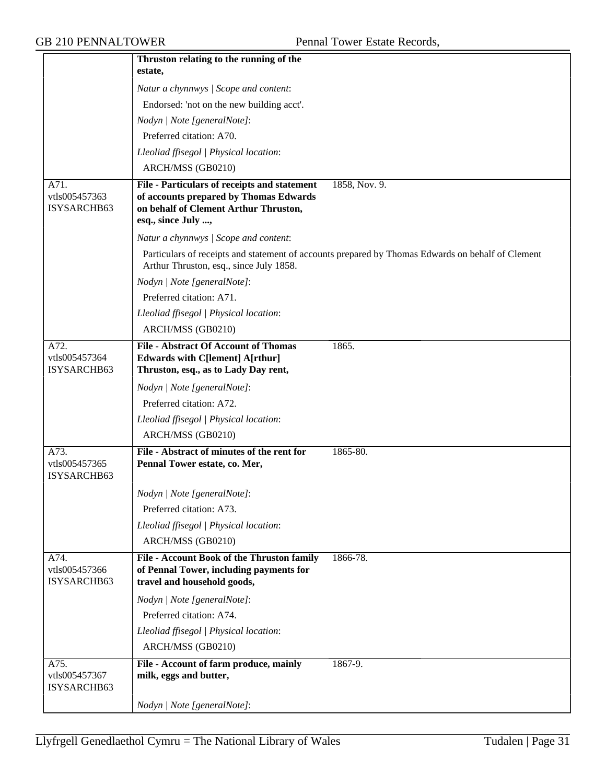|                                      | Thruston relating to the running of the                                                                                                                                |
|--------------------------------------|------------------------------------------------------------------------------------------------------------------------------------------------------------------------|
|                                      | estate,                                                                                                                                                                |
|                                      | Natur a chynnwys / Scope and content:                                                                                                                                  |
|                                      | Endorsed: 'not on the new building acct'.                                                                                                                              |
|                                      | Nodyn   Note [generalNote]:                                                                                                                                            |
|                                      | Preferred citation: A70.                                                                                                                                               |
|                                      | Lleoliad ffisegol   Physical location:                                                                                                                                 |
|                                      | ARCH/MSS (GB0210)                                                                                                                                                      |
| A71.<br>vtls005457363<br>ISYSARCHB63 | File - Particulars of receipts and statement<br>1858, Nov. 9.<br>of accounts prepared by Thomas Edwards<br>on behalf of Clement Arthur Thruston,<br>esq., since July , |
|                                      | Natur a chynnwys / Scope and content:                                                                                                                                  |
|                                      | Particulars of receipts and statement of accounts prepared by Thomas Edwards on behalf of Clement<br>Arthur Thruston, esq., since July 1858.                           |
|                                      | Nodyn   Note [generalNote]:                                                                                                                                            |
|                                      | Preferred citation: A71.                                                                                                                                               |
|                                      | Lleoliad ffisegol   Physical location:                                                                                                                                 |
|                                      | ARCH/MSS (GB0210)                                                                                                                                                      |
| A72.<br>vtls005457364<br>ISYSARCHB63 | <b>File - Abstract Of Account of Thomas</b><br>1865.<br><b>Edwards with C[lement] A[rthur]</b><br>Thruston, esq., as to Lady Day rent,                                 |
|                                      | Nodyn   Note [generalNote]:                                                                                                                                            |
|                                      | Preferred citation: A72.                                                                                                                                               |
|                                      | Lleoliad ffisegol   Physical location:                                                                                                                                 |
|                                      | ARCH/MSS (GB0210)                                                                                                                                                      |
| A73.<br>vtls005457365<br>ISYSARCHB63 | File - Abstract of minutes of the rent for<br>1865-80.<br>Pennal Tower estate, co. Mer,                                                                                |
|                                      | Nodyn   Note [generalNote]:                                                                                                                                            |
|                                      | Preferred citation: A73.                                                                                                                                               |
|                                      | Lleoliad ffisegol   Physical location:                                                                                                                                 |
|                                      | ARCH/MSS (GB0210)                                                                                                                                                      |
| A74.<br>vtls005457366<br>ISYSARCHB63 | File - Account Book of the Thruston family<br>1866-78.<br>of Pennal Tower, including payments for<br>travel and household goods,                                       |
|                                      | Nodyn   Note [generalNote]:                                                                                                                                            |
|                                      | Preferred citation: A74.                                                                                                                                               |
|                                      | Lleoliad ffisegol   Physical location:                                                                                                                                 |
|                                      | ARCH/MSS (GB0210)                                                                                                                                                      |
| A75.<br>vtls005457367<br>ISYSARCHB63 | File - Account of farm produce, mainly<br>$1867 - 9.$<br>milk, eggs and butter,                                                                                        |
|                                      | Nodyn   Note [generalNote]:                                                                                                                                            |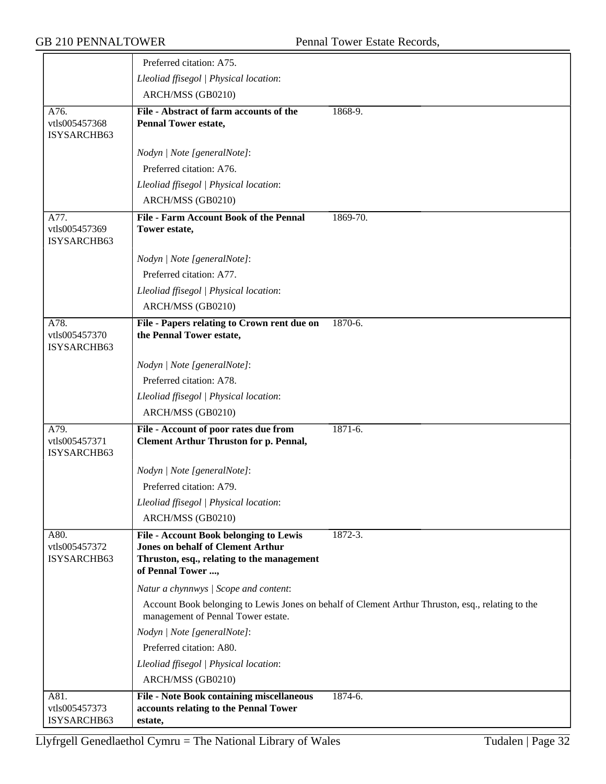|                                      | Preferred citation: A75.                                                                                                                                     |                                                                                                   |
|--------------------------------------|--------------------------------------------------------------------------------------------------------------------------------------------------------------|---------------------------------------------------------------------------------------------------|
|                                      | Lleoliad ffisegol   Physical location:                                                                                                                       |                                                                                                   |
|                                      |                                                                                                                                                              |                                                                                                   |
|                                      | ARCH/MSS (GB0210)                                                                                                                                            |                                                                                                   |
| A76.<br>vtls005457368<br>ISYSARCHB63 | File - Abstract of farm accounts of the<br><b>Pennal Tower estate,</b>                                                                                       | 1868-9.                                                                                           |
|                                      | Nodyn   Note [generalNote]:                                                                                                                                  |                                                                                                   |
|                                      | Preferred citation: A76.                                                                                                                                     |                                                                                                   |
|                                      | Lleoliad ffisegol   Physical location:                                                                                                                       |                                                                                                   |
|                                      | ARCH/MSS (GB0210)                                                                                                                                            |                                                                                                   |
| A77.                                 | <b>File - Farm Account Book of the Pennal</b>                                                                                                                | 1869-70.                                                                                          |
| vtls005457369<br>ISYSARCHB63         | Tower estate,                                                                                                                                                |                                                                                                   |
|                                      | Nodyn   Note [generalNote]:                                                                                                                                  |                                                                                                   |
|                                      | Preferred citation: A77.                                                                                                                                     |                                                                                                   |
|                                      | Lleoliad ffisegol   Physical location:                                                                                                                       |                                                                                                   |
|                                      | ARCH/MSS (GB0210)                                                                                                                                            |                                                                                                   |
| A78.<br>vtls005457370<br>ISYSARCHB63 | File - Papers relating to Crown rent due on<br>the Pennal Tower estate,                                                                                      | 1870-6.                                                                                           |
|                                      | Nodyn   Note [generalNote]:                                                                                                                                  |                                                                                                   |
|                                      | Preferred citation: A78.                                                                                                                                     |                                                                                                   |
|                                      | Lleoliad ffisegol   Physical location:                                                                                                                       |                                                                                                   |
|                                      | ARCH/MSS (GB0210)                                                                                                                                            |                                                                                                   |
| A79.<br>vtls005457371<br>ISYSARCHB63 | File - Account of poor rates due from<br><b>Clement Arthur Thruston for p. Pennal,</b>                                                                       | $1871 - 6.$                                                                                       |
|                                      | Nodyn   Note [generalNote]:                                                                                                                                  |                                                                                                   |
|                                      | Preferred citation: A79.                                                                                                                                     |                                                                                                   |
|                                      | Lleoliad ffisegol   Physical location:                                                                                                                       |                                                                                                   |
|                                      | ARCH/MSS (GB0210)                                                                                                                                            |                                                                                                   |
| A80.<br>vtls005457372<br>ISYSARCHB63 | <b>File - Account Book belonging to Lewis</b><br><b>Jones on behalf of Clement Arthur</b><br>Thruston, esq., relating to the management<br>of Pennal Tower , | 1872-3.                                                                                           |
|                                      | Natur a chynnwys / Scope and content:                                                                                                                        |                                                                                                   |
|                                      | management of Pennal Tower estate.                                                                                                                           | Account Book belonging to Lewis Jones on behalf of Clement Arthur Thruston, esq., relating to the |
|                                      | Nodyn   Note [generalNote]:                                                                                                                                  |                                                                                                   |
|                                      | Preferred citation: A80.                                                                                                                                     |                                                                                                   |
|                                      | Lleoliad ffisegol   Physical location:                                                                                                                       |                                                                                                   |
|                                      | ARCH/MSS (GB0210)                                                                                                                                            |                                                                                                   |
| A81.                                 | <b>File - Note Book containing miscellaneous</b>                                                                                                             | 1874-6.                                                                                           |
| vtls005457373                        | accounts relating to the Pennal Tower                                                                                                                        |                                                                                                   |
| ISYSARCHB63                          | estate,                                                                                                                                                      |                                                                                                   |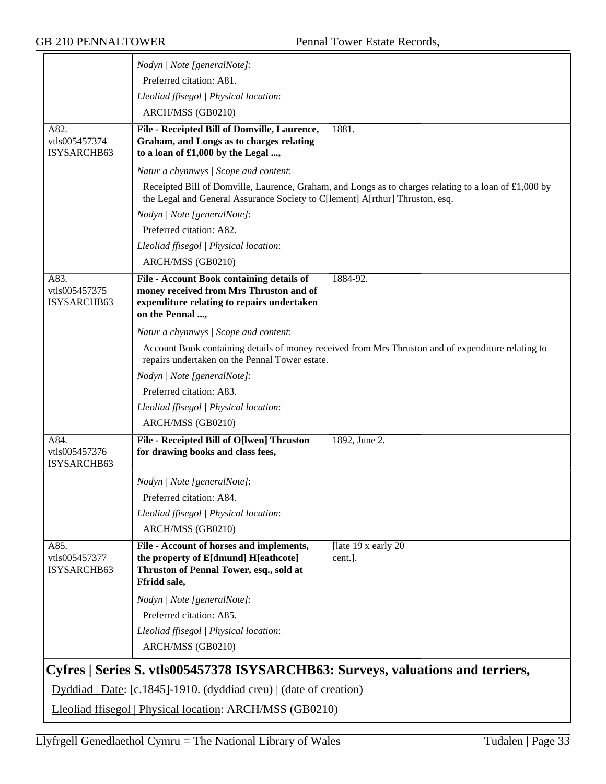|                                      | Nodyn   Note [generalNote]:                                                                                                                           |                                                                                                       |
|--------------------------------------|-------------------------------------------------------------------------------------------------------------------------------------------------------|-------------------------------------------------------------------------------------------------------|
|                                      | Preferred citation: A81.                                                                                                                              |                                                                                                       |
|                                      | Lleoliad ffisegol   Physical location:                                                                                                                |                                                                                                       |
|                                      | ARCH/MSS (GB0210)                                                                                                                                     |                                                                                                       |
| A82.<br>vtls005457374<br>ISYSARCHB63 | File - Receipted Bill of Domville, Laurence,<br>Graham, and Longs as to charges relating<br>to a loan of £1,000 by the Legal ,                        | 1881.                                                                                                 |
|                                      | Natur a chynnwys / Scope and content:                                                                                                                 |                                                                                                       |
|                                      | the Legal and General Assurance Society to C[lement] A[rthur] Thruston, esq.                                                                          | Receipted Bill of Domville, Laurence, Graham, and Longs as to charges relating to a loan of £1,000 by |
|                                      | Nodyn   Note [generalNote]:                                                                                                                           |                                                                                                       |
|                                      | Preferred citation: A82.                                                                                                                              |                                                                                                       |
|                                      | Lleoliad ffisegol   Physical location:                                                                                                                |                                                                                                       |
|                                      | ARCH/MSS (GB0210)                                                                                                                                     |                                                                                                       |
| A83.<br>vtls005457375<br>ISYSARCHB63 | File - Account Book containing details of<br>money received from Mrs Thruston and of<br>expenditure relating to repairs undertaken<br>on the Pennal , | 1884-92.                                                                                              |
|                                      | Natur a chynnwys / Scope and content:                                                                                                                 |                                                                                                       |
|                                      | repairs undertaken on the Pennal Tower estate.                                                                                                        | Account Book containing details of money received from Mrs Thruston and of expenditure relating to    |
|                                      | Nodyn   Note [generalNote]:                                                                                                                           |                                                                                                       |
|                                      | Preferred citation: A83.                                                                                                                              |                                                                                                       |
|                                      | Lleoliad ffisegol   Physical location:                                                                                                                |                                                                                                       |
|                                      | ARCH/MSS (GB0210)                                                                                                                                     |                                                                                                       |
| A84.<br>vtls005457376<br>ISYSARCHB63 | File - Receipted Bill of O[lwen] Thruston<br>for drawing books and class fees,                                                                        | 1892, June 2.                                                                                         |
|                                      | Nodyn   Note [generalNote]:                                                                                                                           |                                                                                                       |
|                                      | Preferred citation: A84.                                                                                                                              |                                                                                                       |
|                                      | Lleoliad ffisegol   Physical location:                                                                                                                |                                                                                                       |
|                                      | ARCH/MSS (GB0210)                                                                                                                                     |                                                                                                       |
| A85.<br>vtls005457377<br>ISYSARCHB63 | File - Account of horses and implements,<br>the property of E[dmund] H[eathcote]<br>Thruston of Pennal Tower, esq., sold at<br>Ffridd sale,           | [late 19 x early 20<br>cent.].                                                                        |
|                                      | Nodyn   Note [generalNote]:                                                                                                                           |                                                                                                       |
|                                      | Preferred citation: A85.                                                                                                                              |                                                                                                       |
|                                      | Lleoliad ffisegol   Physical location:<br>ARCH/MSS (GB0210)                                                                                           |                                                                                                       |
|                                      | Cyfres   Series S. vtls005457378 ISYSARCHB63: Surveys, valuations and terriers,                                                                       |                                                                                                       |
|                                      | Dyddiad   Date: [c.1845]-1910. (dyddiad creu)   (date of creation)                                                                                    |                                                                                                       |
|                                      | Lleoliad ffisegol   Physical location: ARCH/MSS (GB0210)                                                                                              |                                                                                                       |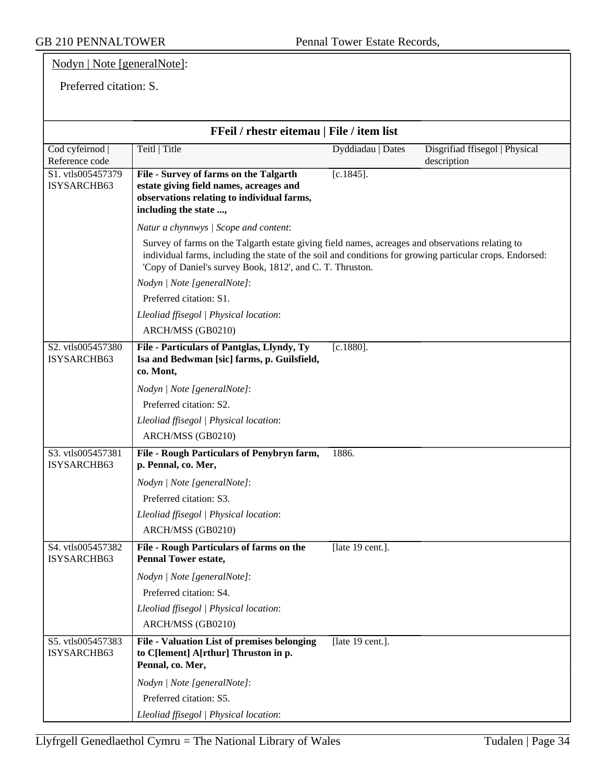GB 210 PENNALTOWER Pennal Tower Estate Records,

Nodyn | Note [generalNote]:

Preferred citation: S.

| FFeil / rhestr eitemau   File / item list |                                                                                                                                                                                                                                                                           |                   |                                               |
|-------------------------------------------|---------------------------------------------------------------------------------------------------------------------------------------------------------------------------------------------------------------------------------------------------------------------------|-------------------|-----------------------------------------------|
| Cod cyfeirnod  <br>Reference code         | Teitl   Title                                                                                                                                                                                                                                                             | Dyddiadau   Dates | Disgrifiad ffisegol   Physical<br>description |
| S1. vtls005457379<br>ISYSARCHB63          | File - Survey of farms on the Talgarth<br>estate giving field names, acreages and<br>observations relating to individual farms,<br>including the state ,                                                                                                                  | $[c.1845]$ .      |                                               |
|                                           | Natur a chynnwys / Scope and content:                                                                                                                                                                                                                                     |                   |                                               |
|                                           | Survey of farms on the Talgarth estate giving field names, acreages and observations relating to<br>individual farms, including the state of the soil and conditions for growing particular crops. Endorsed:<br>'Copy of Daniel's survey Book, 1812', and C. T. Thruston. |                   |                                               |
|                                           | Nodyn   Note [generalNote]:                                                                                                                                                                                                                                               |                   |                                               |
|                                           | Preferred citation: S1.                                                                                                                                                                                                                                                   |                   |                                               |
|                                           | Lleoliad ffisegol   Physical location:                                                                                                                                                                                                                                    |                   |                                               |
|                                           | ARCH/MSS (GB0210)                                                                                                                                                                                                                                                         |                   |                                               |
| S2. vtls005457380<br>ISYSARCHB63          | File - Particulars of Pantglas, Llyndy, Ty<br>Isa and Bedwman [sic] farms, p. Guilsfield,<br>co. Mont,                                                                                                                                                                    | $[c.1880]$ .      |                                               |
|                                           | Nodyn   Note [generalNote]:                                                                                                                                                                                                                                               |                   |                                               |
|                                           | Preferred citation: S2.                                                                                                                                                                                                                                                   |                   |                                               |
|                                           | Lleoliad ffisegol   Physical location:                                                                                                                                                                                                                                    |                   |                                               |
|                                           | ARCH/MSS (GB0210)                                                                                                                                                                                                                                                         |                   |                                               |
| S3. vtls005457381<br>ISYSARCHB63          | File - Rough Particulars of Penybryn farm,<br>p. Pennal, co. Mer,                                                                                                                                                                                                         | 1886.             |                                               |
|                                           | Nodyn   Note [generalNote]:                                                                                                                                                                                                                                               |                   |                                               |
|                                           | Preferred citation: S3.                                                                                                                                                                                                                                                   |                   |                                               |
|                                           | Lleoliad ffisegol   Physical location:                                                                                                                                                                                                                                    |                   |                                               |
|                                           | ARCH/MSS (GB0210)                                                                                                                                                                                                                                                         |                   |                                               |
| S4. vtls005457382<br>ISYSARCHB63          | File - Rough Particulars of farms on the<br><b>Pennal Tower estate,</b>                                                                                                                                                                                                   | [late 19 cent.].  |                                               |
|                                           | Nodyn   Note [generalNote]:                                                                                                                                                                                                                                               |                   |                                               |
|                                           | Preferred citation: S4.                                                                                                                                                                                                                                                   |                   |                                               |
|                                           | Lleoliad ffisegol   Physical location:                                                                                                                                                                                                                                    |                   |                                               |
|                                           | ARCH/MSS (GB0210)                                                                                                                                                                                                                                                         |                   |                                               |
| S5. vtls005457383<br>ISYSARCHB63          | <b>File - Valuation List of premises belonging</b><br>to C[lement] A[rthur] Thruston in p.<br>Pennal, co. Mer,                                                                                                                                                            | [late 19 cent.].  |                                               |
|                                           | Nodyn   Note [generalNote]:                                                                                                                                                                                                                                               |                   |                                               |
|                                           | Preferred citation: S5.                                                                                                                                                                                                                                                   |                   |                                               |
|                                           | Lleoliad ffisegol   Physical location:                                                                                                                                                                                                                                    |                   |                                               |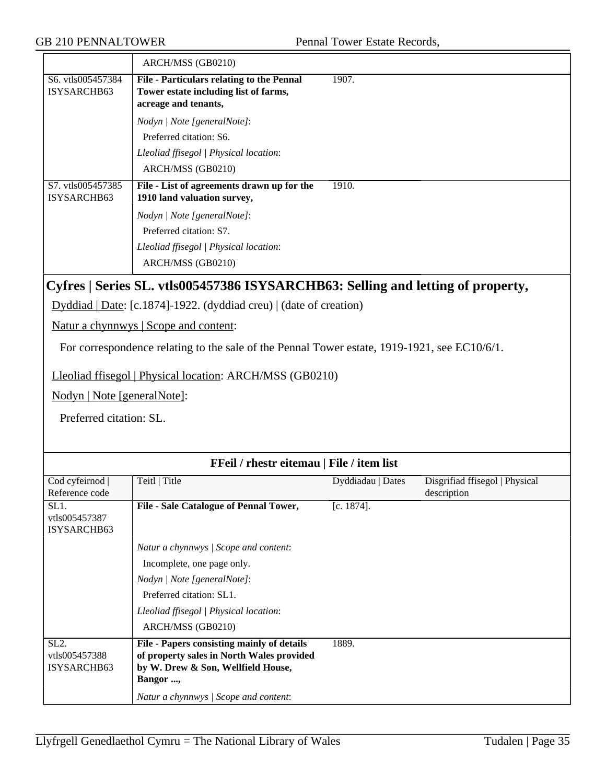|                                               | ARCH/MSS (GB0210)                                                                                                                                                                                  |       |
|-----------------------------------------------|----------------------------------------------------------------------------------------------------------------------------------------------------------------------------------------------------|-------|
| S <sub>6</sub> . vtls005457384<br>ISYSARCHB63 | File - Particulars relating to the Pennal<br>Tower estate including list of farms,<br>acreage and tenants,                                                                                         | 1907. |
|                                               | Nodyn   Note [generalNote]:<br>Preferred citation: S6.<br>Lleoliad ffisegol   Physical location:<br>ARCH/MSS (GB0210)                                                                              |       |
| S7. vtls005457385<br>ISYSARCHB63              | File - List of agreements drawn up for the<br>1910 land valuation survey,<br>Nodyn   Note [generalNote]:<br>Preferred citation: S7.<br>Lleoliad ffisegol   Physical location:<br>ARCH/MSS (GB0210) | 1910. |

## **Cyfres | Series SL. vtls005457386 ISYSARCHB63: Selling and letting of property,**

Dyddiad | Date: [c.1874]-1922. (dyddiad creu) | (date of creation)

Natur a chynnwys | Scope and content:

For correspondence relating to the sale of the Pennal Tower estate, 1919-1921, see EC10/6/1.

Lleoliad ffisegol | Physical location: ARCH/MSS (GB0210)

Nodyn | Note [generalNote]:

Preferred citation: SL.

| FFeil / rhestr eitemau   File / item list |                                            |                   |                                |
|-------------------------------------------|--------------------------------------------|-------------------|--------------------------------|
| Cod cyfeirnod                             | Teitl   Title                              | Dyddiadau   Dates | Disgrifiad ffisegol   Physical |
| Reference code                            |                                            |                   | description                    |
| SL1.                                      | File - Sale Catalogue of Pennal Tower,     | $[c. 1874]$ .     |                                |
| vtls005457387                             |                                            |                   |                                |
| ISYSARCHB63                               |                                            |                   |                                |
|                                           | Natur a chynnwys / Scope and content:      |                   |                                |
|                                           | Incomplete, one page only.                 |                   |                                |
|                                           | Nodyn / Note [generalNote]:                |                   |                                |
|                                           | Preferred citation: SL1.                   |                   |                                |
|                                           | Lleoliad ffisegol   Physical location:     |                   |                                |
|                                           | ARCH/MSS (GB0210)                          |                   |                                |
| SL <sub>2</sub> .                         | File - Papers consisting mainly of details | 1889.             |                                |
| vtls005457388                             | of property sales in North Wales provided  |                   |                                |
| ISYSARCHB63                               | by W. Drew & Son, Wellfield House,         |                   |                                |
|                                           | Bangor ,                                   |                   |                                |
|                                           | Natur a chynnwys   Scope and content:      |                   |                                |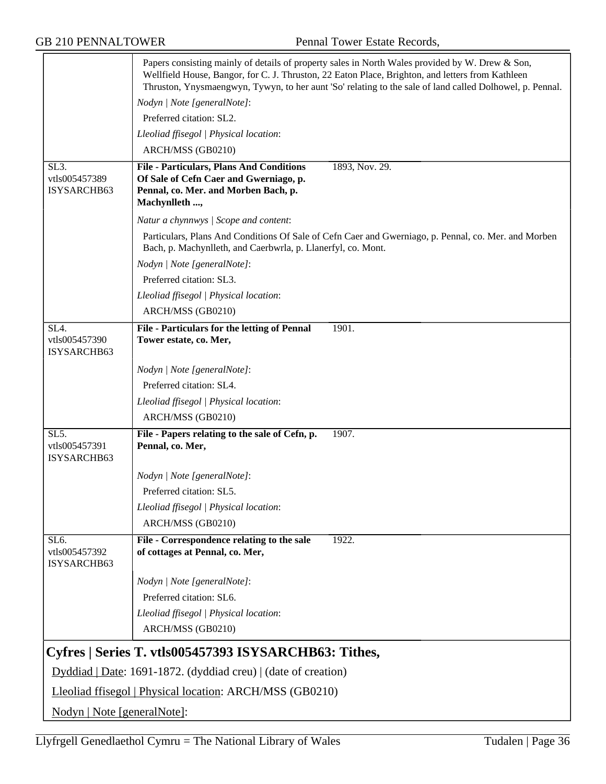GB 210 PENNALTOWER Pennal Tower Estate Records,

|                                                           |                                                                               | Papers consisting mainly of details of property sales in North Wales provided by W. Drew & Son,<br>Wellfield House, Bangor, for C. J. Thruston, 22 Eaton Place, Brighton, and letters from Kathleen<br>Thruston, Ynysmaengwyn, Tywyn, to her aunt 'So' relating to the sale of land called Dolhowel, p. Pennal. |
|-----------------------------------------------------------|-------------------------------------------------------------------------------|-----------------------------------------------------------------------------------------------------------------------------------------------------------------------------------------------------------------------------------------------------------------------------------------------------------------|
|                                                           | Nodyn   Note [generalNote]:                                                   |                                                                                                                                                                                                                                                                                                                 |
|                                                           | Preferred citation: SL2.                                                      |                                                                                                                                                                                                                                                                                                                 |
|                                                           | Lleoliad ffisegol   Physical location:                                        |                                                                                                                                                                                                                                                                                                                 |
|                                                           | ARCH/MSS (GB0210)                                                             |                                                                                                                                                                                                                                                                                                                 |
| SL <sub>3</sub> .                                         | <b>File - Particulars, Plans And Conditions</b>                               | 1893, Nov. 29.                                                                                                                                                                                                                                                                                                  |
| vtls005457389                                             | Of Sale of Cefn Caer and Gwerniago, p.                                        |                                                                                                                                                                                                                                                                                                                 |
| ISYSARCHB63                                               | Pennal, co. Mer. and Morben Bach, p.<br>Machynlleth ,                         |                                                                                                                                                                                                                                                                                                                 |
|                                                           | Natur a chynnwys / Scope and content:                                         |                                                                                                                                                                                                                                                                                                                 |
|                                                           | Bach, p. Machynlleth, and Caerbwrla, p. Llanerfyl, co. Mont.                  | Particulars, Plans And Conditions Of Sale of Cefn Caer and Gwerniago, p. Pennal, co. Mer. and Morben                                                                                                                                                                                                            |
|                                                           | Nodyn   Note [generalNote]:                                                   |                                                                                                                                                                                                                                                                                                                 |
|                                                           | Preferred citation: SL3.                                                      |                                                                                                                                                                                                                                                                                                                 |
|                                                           | Lleoliad ffisegol   Physical location:                                        |                                                                                                                                                                                                                                                                                                                 |
|                                                           | ARCH/MSS (GB0210)                                                             |                                                                                                                                                                                                                                                                                                                 |
| SL4.                                                      | File - Particulars for the letting of Pennal                                  | 1901.                                                                                                                                                                                                                                                                                                           |
| vtls005457390<br>ISYSARCHB63                              | Tower estate, co. Mer,                                                        |                                                                                                                                                                                                                                                                                                                 |
|                                                           | Nodyn   Note [generalNote]:                                                   |                                                                                                                                                                                                                                                                                                                 |
|                                                           | Preferred citation: SL4.                                                      |                                                                                                                                                                                                                                                                                                                 |
|                                                           | Lleoliad ffisegol   Physical location:                                        |                                                                                                                                                                                                                                                                                                                 |
|                                                           | ARCH/MSS (GB0210)                                                             |                                                                                                                                                                                                                                                                                                                 |
| $\overline{\text{SL5}}$ .<br>vtls005457391<br>ISYSARCHB63 | File - Papers relating to the sale of Cefn, p.<br>Pennal, co. Mer,            | 1907.                                                                                                                                                                                                                                                                                                           |
|                                                           | Nodyn   Note [generalNote]:                                                   |                                                                                                                                                                                                                                                                                                                 |
|                                                           | Preferred citation: SL5.                                                      |                                                                                                                                                                                                                                                                                                                 |
|                                                           | Lleoliad ffisegol   Physical location:                                        |                                                                                                                                                                                                                                                                                                                 |
|                                                           | ARCH/MSS (GB0210)                                                             |                                                                                                                                                                                                                                                                                                                 |
| SL <sub>6</sub> .<br>vtls005457392<br>ISYSARCHB63         | File - Correspondence relating to the sale<br>of cottages at Pennal, co. Mer, | 1922.                                                                                                                                                                                                                                                                                                           |
|                                                           | Nodyn   Note [generalNote]:                                                   |                                                                                                                                                                                                                                                                                                                 |
|                                                           | Preferred citation: SL6.                                                      |                                                                                                                                                                                                                                                                                                                 |
|                                                           | Lleoliad ffisegol   Physical location:                                        |                                                                                                                                                                                                                                                                                                                 |
|                                                           | ARCH/MSS (GB0210)                                                             |                                                                                                                                                                                                                                                                                                                 |
|                                                           | Cyfres   Series T. vtls005457393 ISYSARCHB63: Tithes,                         |                                                                                                                                                                                                                                                                                                                 |
|                                                           | $Dyddiad   Date: 1691-1872. (dyddiad creu)   (date of creation)$              |                                                                                                                                                                                                                                                                                                                 |
|                                                           | Lleoliad ffisegol   Physical location: ARCH/MSS (GB0210)                      |                                                                                                                                                                                                                                                                                                                 |
| Nodyn   Note [generalNote]:                               |                                                                               |                                                                                                                                                                                                                                                                                                                 |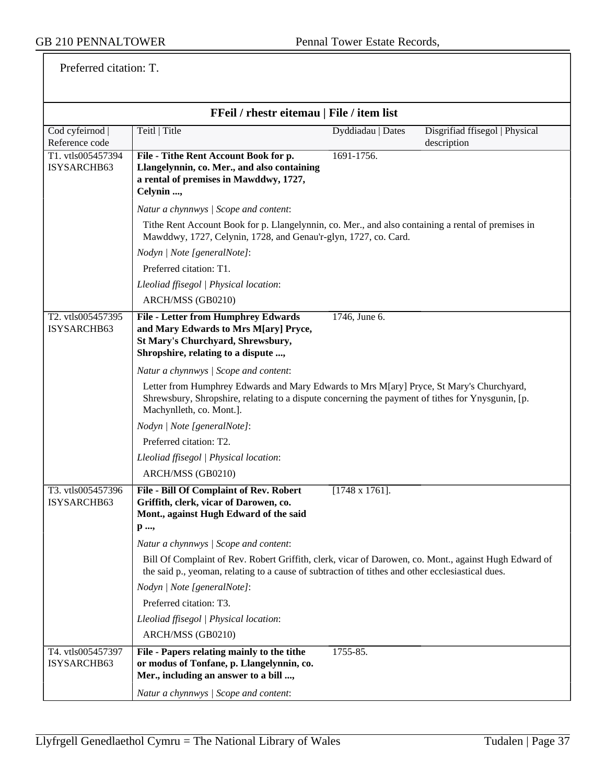Preferred citation: T.

| FFeil / rhestr eitemau   File / item list |                                                                                                                                                                                                                           |                   |                                               |
|-------------------------------------------|---------------------------------------------------------------------------------------------------------------------------------------------------------------------------------------------------------------------------|-------------------|-----------------------------------------------|
| Cod cyfeirnod<br>Reference code           | Teitl   Title                                                                                                                                                                                                             | Dyddiadau   Dates | Disgrifiad ffisegol   Physical<br>description |
| T1. vtls005457394<br>ISYSARCHB63          | 1691-1756.<br>File - Tithe Rent Account Book for p.<br>Llangelynnin, co. Mer., and also containing<br>a rental of premises in Mawddwy, 1727,<br>Celynin ,                                                                 |                   |                                               |
|                                           | Natur a chynnwys / Scope and content:                                                                                                                                                                                     |                   |                                               |
|                                           | Tithe Rent Account Book for p. Llangelynnin, co. Mer., and also containing a rental of premises in<br>Mawddwy, 1727, Celynin, 1728, and Genau'r-glyn, 1727, co. Card.                                                     |                   |                                               |
|                                           | Nodyn   Note [generalNote]:                                                                                                                                                                                               |                   |                                               |
|                                           | Preferred citation: T1.                                                                                                                                                                                                   |                   |                                               |
|                                           | Lleoliad ffisegol   Physical location:                                                                                                                                                                                    |                   |                                               |
|                                           | ARCH/MSS (GB0210)                                                                                                                                                                                                         |                   |                                               |
| T2. vtls005457395<br>ISYSARCHB63          | <b>File - Letter from Humphrey Edwards</b><br>1746, June 6.<br>and Mary Edwards to Mrs M[ary] Pryce,<br>St Mary's Churchyard, Shrewsbury,<br>Shropshire, relating to a dispute ,                                          |                   |                                               |
|                                           | Natur a chynnwys / Scope and content:                                                                                                                                                                                     |                   |                                               |
|                                           | Letter from Humphrey Edwards and Mary Edwards to Mrs M[ary] Pryce, St Mary's Churchyard,<br>Shrewsbury, Shropshire, relating to a dispute concerning the payment of tithes for Ynysgunin, [p.<br>Machynlleth, co. Mont.]. |                   |                                               |
|                                           | Nodyn   Note [generalNote]:                                                                                                                                                                                               |                   |                                               |
|                                           | Preferred citation: T2.                                                                                                                                                                                                   |                   |                                               |
|                                           | Lleoliad ffisegol   Physical location:                                                                                                                                                                                    |                   |                                               |
|                                           | ARCH/MSS (GB0210)                                                                                                                                                                                                         |                   |                                               |
| T3. vtls005457396<br>ISYSARCHB63          | $[1748 \times 1761]$ .<br>File - Bill Of Complaint of Rev. Robert<br>Griffith, clerk, vicar of Darowen, co.<br>Mont., against Hugh Edward of the said<br>p ,                                                              |                   |                                               |
|                                           | Natur a chynnwys / Scope and content:                                                                                                                                                                                     |                   |                                               |
|                                           | Bill Of Complaint of Rev. Robert Griffith, clerk, vicar of Darowen, co. Mont., against Hugh Edward of<br>the said p., yeoman, relating to a cause of subtraction of tithes and other ecclesiastical dues.                 |                   |                                               |
|                                           | Nodyn   Note [generalNote]:                                                                                                                                                                                               |                   |                                               |
|                                           | Preferred citation: T3.                                                                                                                                                                                                   |                   |                                               |
|                                           | Lleoliad ffisegol   Physical location:                                                                                                                                                                                    |                   |                                               |
|                                           | ARCH/MSS (GB0210)                                                                                                                                                                                                         |                   |                                               |
| T4. vtls005457397<br>ISYSARCHB63          | File - Papers relating mainly to the tithe<br>1755-85.<br>or modus of Tonfane, p. Llangelynnin, co.<br>Mer., including an answer to a bill ,<br>Natur a chynnwys / Scope and content:                                     |                   |                                               |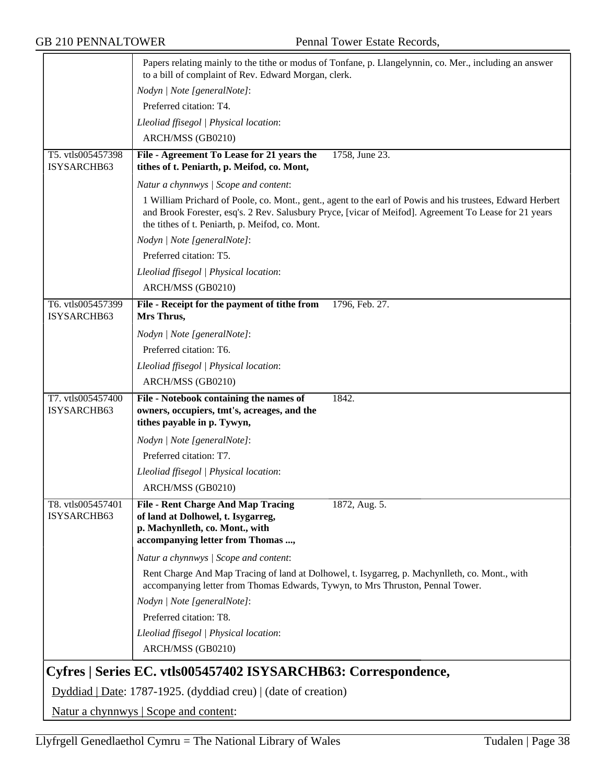|                                  | Papers relating mainly to the tithe or modus of Tonfane, p. Llangelynnin, co. Mer., including an answer<br>to a bill of complaint of Rev. Edward Morgan, clerk.                                                                                                        |
|----------------------------------|------------------------------------------------------------------------------------------------------------------------------------------------------------------------------------------------------------------------------------------------------------------------|
|                                  | Nodyn   Note [generalNote]:                                                                                                                                                                                                                                            |
|                                  | Preferred citation: T4.                                                                                                                                                                                                                                                |
|                                  | Lleoliad ffisegol   Physical location:                                                                                                                                                                                                                                 |
|                                  | ARCH/MSS (GB0210)                                                                                                                                                                                                                                                      |
| T5. vtls005457398                | File - Agreement To Lease for 21 years the<br>1758, June 23.                                                                                                                                                                                                           |
| ISYSARCHB63                      | tithes of t. Peniarth, p. Meifod, co. Mont,                                                                                                                                                                                                                            |
|                                  | Natur a chynnwys / Scope and content:                                                                                                                                                                                                                                  |
|                                  | 1 William Prichard of Poole, co. Mont., gent., agent to the earl of Powis and his trustees, Edward Herbert<br>and Brook Forester, esq's. 2 Rev. Salusbury Pryce, [vicar of Meifod]. Agreement To Lease for 21 years<br>the tithes of t. Peniarth, p. Meifod, co. Mont. |
|                                  | Nodyn   Note [generalNote]:                                                                                                                                                                                                                                            |
|                                  | Preferred citation: T5.                                                                                                                                                                                                                                                |
|                                  | Lleoliad ffisegol   Physical location:                                                                                                                                                                                                                                 |
|                                  | ARCH/MSS (GB0210)                                                                                                                                                                                                                                                      |
| T6. vtls005457399<br>ISYSARCHB63 | 1796, Feb. 27.<br>File - Receipt for the payment of tithe from<br>Mrs Thrus,                                                                                                                                                                                           |
|                                  | Nodyn   Note [generalNote]:                                                                                                                                                                                                                                            |
|                                  | Preferred citation: T6.                                                                                                                                                                                                                                                |
|                                  | Lleoliad ffisegol   Physical location:                                                                                                                                                                                                                                 |
|                                  | ARCH/MSS (GB0210)                                                                                                                                                                                                                                                      |
| T7. vtls005457400<br>ISYSARCHB63 | File - Notebook containing the names of<br>1842.<br>owners, occupiers, tmt's, acreages, and the<br>tithes payable in p. Tywyn,                                                                                                                                         |
|                                  | Nodyn   Note [generalNote]:                                                                                                                                                                                                                                            |
|                                  | Preferred citation: T7.                                                                                                                                                                                                                                                |
|                                  | Lleoliad ffisegol   Physical location:                                                                                                                                                                                                                                 |
|                                  | ARCH/MSS (GB0210)                                                                                                                                                                                                                                                      |
| T8. vtls005457401<br>ISYSARCHB63 | <b>File - Rent Charge And Map Tracing</b><br>1872, Aug. 5.<br>of land at Dolhowel, t. Isygarreg,<br>p. Machynlleth, co. Mont., with<br>accompanying letter from Thomas ,                                                                                               |
|                                  | Natur a chynnwys / Scope and content:                                                                                                                                                                                                                                  |
|                                  | Rent Charge And Map Tracing of land at Dolhowel, t. Isygarreg, p. Machynlleth, co. Mont., with<br>accompanying letter from Thomas Edwards, Tywyn, to Mrs Thruston, Pennal Tower.                                                                                       |
|                                  | Nodyn   Note [generalNote]:                                                                                                                                                                                                                                            |
|                                  | Preferred citation: T8.                                                                                                                                                                                                                                                |
|                                  | Lleoliad ffisegol   Physical location:                                                                                                                                                                                                                                 |
|                                  | ARCH/MSS (GB0210)                                                                                                                                                                                                                                                      |
|                                  | Cyfres   Series EC. vtls005457402 ISYSARCHB63: Correspondence,                                                                                                                                                                                                         |
|                                  | Dyddiad   Date: 1787-1925. (dyddiad creu)   (date of creation)                                                                                                                                                                                                         |
|                                  | Natur a chynnwys   Scope and content:                                                                                                                                                                                                                                  |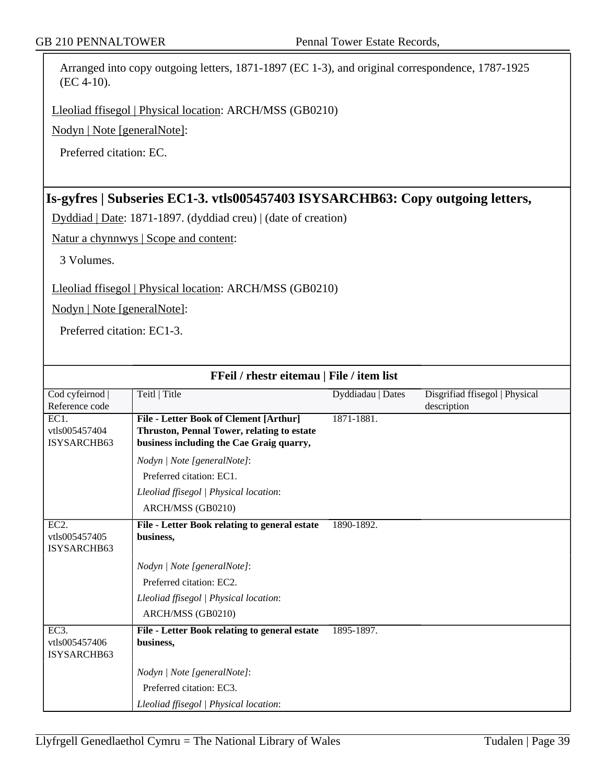Arranged into copy outgoing letters, 1871-1897 (EC 1-3), and original correspondence, 1787-1925 (EC 4-10).

Lleoliad ffisegol | Physical location: ARCH/MSS (GB0210)

Nodyn | Note [generalNote]:

Preferred citation: EC.

# **Is-gyfres | Subseries EC1-3. vtls005457403 ISYSARCHB63: Copy outgoing letters,**

Dyddiad | Date: 1871-1897. (dyddiad creu) | (date of creation)

Natur a chynnwys | Scope and content:

3 Volumes.

Lleoliad ffisegol | Physical location: ARCH/MSS (GB0210)

Nodyn | Note [generalNote]:

Preferred citation: EC1-3.

| FFeil / rhestr eitemau   File / item list |                                                                                        |                   |                                |
|-------------------------------------------|----------------------------------------------------------------------------------------|-------------------|--------------------------------|
| Cod cyfeirnod                             | Teitl   Title                                                                          | Dyddiadau   Dates | Disgrifiad ffisegol   Physical |
| Reference code                            |                                                                                        |                   | description                    |
| EC1.                                      | File - Letter Book of Clement [Arthur]                                                 | 1871-1881.        |                                |
| vtls005457404<br>ISYSARCHB63              | Thruston, Pennal Tower, relating to estate<br>business including the Cae Graig quarry, |                   |                                |
|                                           |                                                                                        |                   |                                |
|                                           | Nodyn   Note [generalNote]:                                                            |                   |                                |
|                                           | Preferred citation: EC1.                                                               |                   |                                |
|                                           | Lleoliad ffisegol   Physical location:                                                 |                   |                                |
|                                           | ARCH/MSS (GB0210)                                                                      |                   |                                |
| $EC2$ .                                   | File - Letter Book relating to general estate                                          | 1890-1892.        |                                |
| vtls005457405                             | business,                                                                              |                   |                                |
| ISYSARCHB63                               |                                                                                        |                   |                                |
|                                           | Nodyn   Note [generalNote]:                                                            |                   |                                |
|                                           | Preferred citation: EC2.                                                               |                   |                                |
|                                           | Lleoliad ffisegol   Physical location:                                                 |                   |                                |
|                                           | ARCH/MSS (GB0210)                                                                      |                   |                                |
| EC3.                                      | File - Letter Book relating to general estate                                          | 1895-1897.        |                                |
| vtls005457406                             | business,                                                                              |                   |                                |
| ISYSARCHB63                               |                                                                                        |                   |                                |
|                                           | Nodyn   Note [generalNote]:                                                            |                   |                                |
|                                           | Preferred citation: EC3.                                                               |                   |                                |
|                                           | Lleoliad ffisegol   Physical location:                                                 |                   |                                |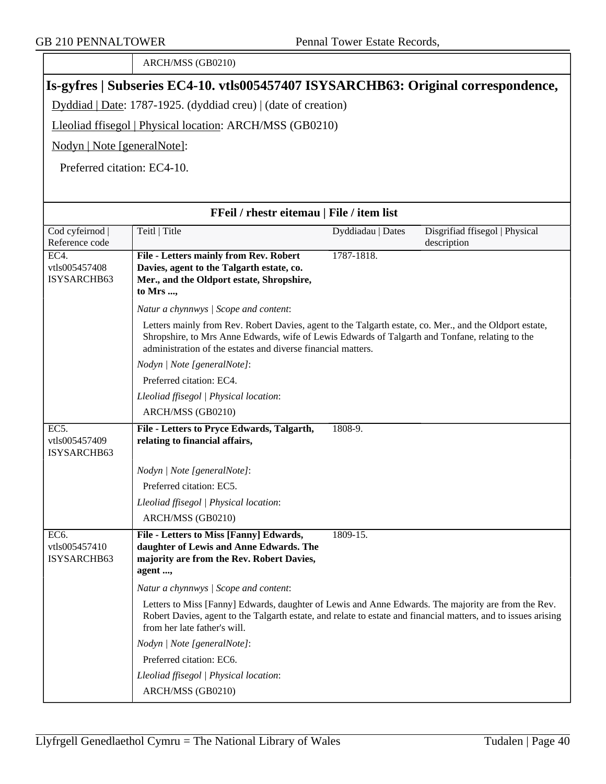|                                      | ARCH/MSS (GB0210)                                                                                                                                                                                                                                                          |                   |                                               |
|--------------------------------------|----------------------------------------------------------------------------------------------------------------------------------------------------------------------------------------------------------------------------------------------------------------------------|-------------------|-----------------------------------------------|
|                                      | [Is-gyfres   Subseries EC4-10. vtls005457407 ISYSARCHB63: Original correspondence,                                                                                                                                                                                         |                   |                                               |
|                                      | Dyddiad   Date: 1787-1925. (dyddiad creu)   (date of creation)                                                                                                                                                                                                             |                   |                                               |
|                                      | Lleoliad ffisegol   Physical location: ARCH/MSS (GB0210)                                                                                                                                                                                                                   |                   |                                               |
| Nodyn   Note [generalNote]:          |                                                                                                                                                                                                                                                                            |                   |                                               |
| Preferred citation: EC4-10.          |                                                                                                                                                                                                                                                                            |                   |                                               |
|                                      |                                                                                                                                                                                                                                                                            |                   |                                               |
|                                      | FFeil / rhestr eitemau   File / item list                                                                                                                                                                                                                                  |                   |                                               |
| Cod cyfeirnod  <br>Reference code    | Teitl   Title                                                                                                                                                                                                                                                              | Dyddiadau   Dates | Disgrifiad ffisegol   Physical<br>description |
| EC4.<br>vtls005457408<br>ISYSARCHB63 | <b>File - Letters mainly from Rev. Robert</b><br>Davies, agent to the Talgarth estate, co.<br>Mer., and the Oldport estate, Shropshire,<br>to Mrs ,                                                                                                                        | 1787-1818.        |                                               |
|                                      | Natur a chynnwys / Scope and content:                                                                                                                                                                                                                                      |                   |                                               |
|                                      | Letters mainly from Rev. Robert Davies, agent to the Talgarth estate, co. Mer., and the Oldport estate,<br>Shropshire, to Mrs Anne Edwards, wife of Lewis Edwards of Talgarth and Tonfane, relating to the<br>administration of the estates and diverse financial matters. |                   |                                               |
|                                      | Nodyn   Note [generalNote]:                                                                                                                                                                                                                                                |                   |                                               |
|                                      | Preferred citation: EC4.                                                                                                                                                                                                                                                   |                   |                                               |
|                                      | Lleoliad ffisegol   Physical location:                                                                                                                                                                                                                                     |                   |                                               |
|                                      | ARCH/MSS (GB0210)                                                                                                                                                                                                                                                          |                   |                                               |
| EC5.<br>vtls005457409<br>ISYSARCHB63 | File - Letters to Pryce Edwards, Talgarth,<br>relating to financial affairs,                                                                                                                                                                                               | 1808-9.           |                                               |
|                                      | Nodyn   Note [generalNote]:                                                                                                                                                                                                                                                |                   |                                               |
|                                      | Preferred citation: EC5.                                                                                                                                                                                                                                                   |                   |                                               |
|                                      | Lleoliad ffisegol   Physical location:                                                                                                                                                                                                                                     |                   |                                               |
|                                      | ARCH/MSS (GB0210)                                                                                                                                                                                                                                                          |                   |                                               |
| EC6.<br>vtls005457410<br>ISYSARCHB63 | File - Letters to Miss [Fanny] Edwards,<br>daughter of Lewis and Anne Edwards. The<br>majority are from the Rev. Robert Davies,<br>agent ,                                                                                                                                 | 1809-15.          |                                               |
|                                      | Natur a chynnwys / Scope and content:                                                                                                                                                                                                                                      |                   |                                               |
|                                      | Letters to Miss [Fanny] Edwards, daughter of Lewis and Anne Edwards. The majority are from the Rev.<br>Robert Davies, agent to the Talgarth estate, and relate to estate and financial matters, and to issues arising<br>from her late father's will.                      |                   |                                               |
|                                      | Nodyn   Note [generalNote]:                                                                                                                                                                                                                                                |                   |                                               |
|                                      | Preferred citation: EC6.                                                                                                                                                                                                                                                   |                   |                                               |
|                                      | Lleoliad ffisegol   Physical location:                                                                                                                                                                                                                                     |                   |                                               |
|                                      | ARCH/MSS (GB0210)                                                                                                                                                                                                                                                          |                   |                                               |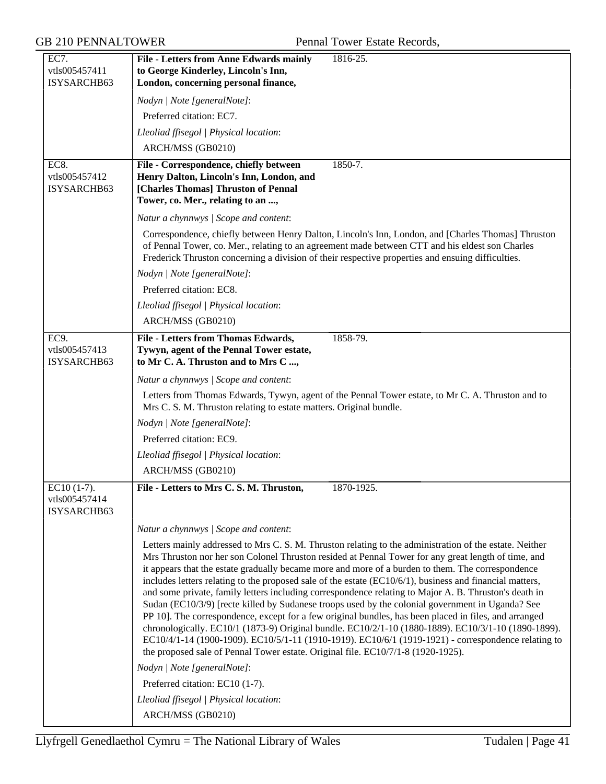| EC7.                           | File - Letters from Anne Edwards mainly<br>1816-25.                                                                                                                                                                                                                                                        |
|--------------------------------|------------------------------------------------------------------------------------------------------------------------------------------------------------------------------------------------------------------------------------------------------------------------------------------------------------|
| vtls005457411<br>ISYSARCHB63   | to George Kinderley, Lincoln's Inn,<br>London, concerning personal finance,                                                                                                                                                                                                                                |
|                                | Nodyn   Note [generalNote]:                                                                                                                                                                                                                                                                                |
|                                | Preferred citation: EC7.                                                                                                                                                                                                                                                                                   |
|                                | Lleoliad ffisegol   Physical location:                                                                                                                                                                                                                                                                     |
|                                | ARCH/MSS (GB0210)                                                                                                                                                                                                                                                                                          |
| EC8.                           | File - Correspondence, chiefly between<br>1850-7.                                                                                                                                                                                                                                                          |
| vtls005457412                  | Henry Dalton, Lincoln's Inn, London, and                                                                                                                                                                                                                                                                   |
| ISYSARCHB63                    | [Charles Thomas] Thruston of Pennal                                                                                                                                                                                                                                                                        |
|                                | Tower, co. Mer., relating to an ,                                                                                                                                                                                                                                                                          |
|                                | Natur a chynnwys / Scope and content:                                                                                                                                                                                                                                                                      |
|                                | Correspondence, chiefly between Henry Dalton, Lincoln's Inn, London, and [Charles Thomas] Thruston<br>of Pennal Tower, co. Mer., relating to an agreement made between CTT and his eldest son Charles<br>Frederick Thruston concerning a division of their respective properties and ensuing difficulties. |
|                                | Nodyn   Note [generalNote]:                                                                                                                                                                                                                                                                                |
|                                | Preferred citation: EC8.                                                                                                                                                                                                                                                                                   |
|                                | Lleoliad ffisegol   Physical location:                                                                                                                                                                                                                                                                     |
|                                | ARCH/MSS (GB0210)                                                                                                                                                                                                                                                                                          |
| EC9.                           | <b>File - Letters from Thomas Edwards,</b><br>1858-79.                                                                                                                                                                                                                                                     |
| vtls005457413<br>ISYSARCHB63   | Tywyn, agent of the Pennal Tower estate,<br>to Mr C. A. Thruston and to Mrs C ,                                                                                                                                                                                                                            |
|                                | Natur a chynnwys / Scope and content:                                                                                                                                                                                                                                                                      |
|                                | Letters from Thomas Edwards, Tywyn, agent of the Pennal Tower estate, to Mr C. A. Thruston and to<br>Mrs C. S. M. Thruston relating to estate matters. Original bundle.                                                                                                                                    |
|                                | Nodyn   Note [generalNote]:                                                                                                                                                                                                                                                                                |
|                                | Preferred citation: EC9.                                                                                                                                                                                                                                                                                   |
|                                | Lleoliad ffisegol   Physical location:                                                                                                                                                                                                                                                                     |
|                                | ARCH/MSS (GB0210)                                                                                                                                                                                                                                                                                          |
| $EC10(1-7)$ .<br>vtls005457414 | File - Letters to Mrs C. S. M. Thruston,<br>1870-1925.                                                                                                                                                                                                                                                     |
| ISYSARCHB63                    |                                                                                                                                                                                                                                                                                                            |
|                                | Natur a chynnwys / Scope and content:                                                                                                                                                                                                                                                                      |
|                                | Letters mainly addressed to Mrs C. S. M. Thruston relating to the administration of the estate. Neither                                                                                                                                                                                                    |
|                                | Mrs Thruston nor her son Colonel Thruston resided at Pennal Tower for any great length of time, and                                                                                                                                                                                                        |
|                                | it appears that the estate gradually became more and more of a burden to them. The correspondence<br>includes letters relating to the proposed sale of the estate (EC10/6/1), business and financial matters,                                                                                              |
|                                | and some private, family letters including correspondence relating to Major A. B. Thruston's death in                                                                                                                                                                                                      |
|                                | Sudan (EC10/3/9) [recte killed by Sudanese troops used by the colonial government in Uganda? See                                                                                                                                                                                                           |
|                                | PP 10]. The correspondence, except for a few original bundles, has been placed in files, and arranged<br>chronologically. EC10/1 (1873-9) Original bundle. EC10/2/1-10 (1880-1889). EC10/3/1-10 (1890-1899).                                                                                               |
|                                | EC10/4/1-14 (1900-1909). EC10/5/1-11 (1910-1919). EC10/6/1 (1919-1921) - correspondence relating to                                                                                                                                                                                                        |
|                                | the proposed sale of Pennal Tower estate. Original file. EC10/7/1-8 (1920-1925).                                                                                                                                                                                                                           |
|                                | Nodyn   Note [generalNote]:                                                                                                                                                                                                                                                                                |
|                                | Preferred citation: EC10 (1-7).                                                                                                                                                                                                                                                                            |
|                                | Lleoliad ffisegol   Physical location:                                                                                                                                                                                                                                                                     |
|                                | ARCH/MSS (GB0210)                                                                                                                                                                                                                                                                                          |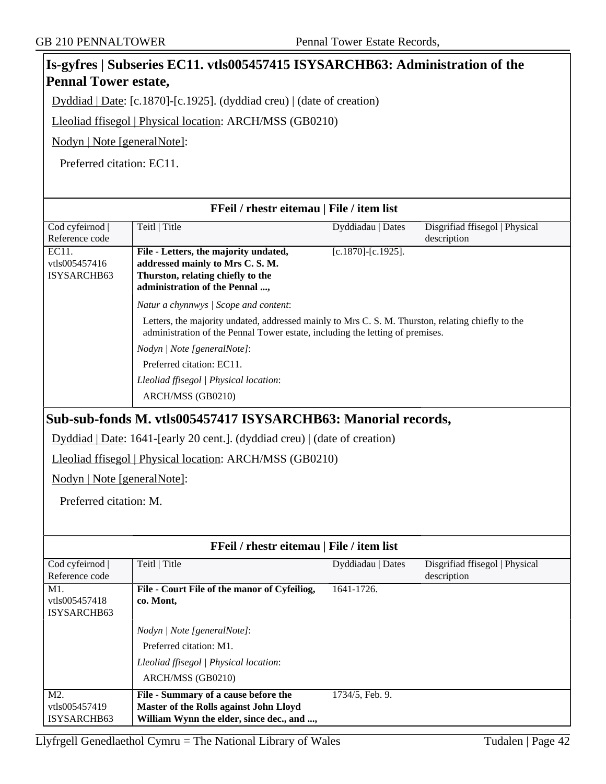#### **Is-gyfres | Subseries EC11. vtls005457415 ISYSARCHB63: Administration of the Pennal Tower estate,** Dyddiad | Date: [c.1870]-[c.1925]. (dyddiad creu) | (date of creation) Lleoliad ffisegol | Physical location: ARCH/MSS (GB0210) Nodyn | Note [generalNote]: Preferred citation: EC11. **FFeil / rhestr eitemau | File / item list** Cod cyfeirnod | Reference code Teitl | Title Dyddiadau | Dates Disgrifiad ffisegol | Physical description EC11. vtls005457416 ISYSARCHB63 **File - Letters, the majority undated, addressed mainly to Mrs C. S. M. Thurston, relating chiefly to the administration of the Pennal ...,** [c.1870]-[c.1925]. *Natur a chynnwys | Scope and content*: Letters, the majority undated, addressed mainly to Mrs C. S. M. Thurston, relating chiefly to the administration of the Pennal Tower estate, including the letting of premises. *Nodyn | Note [generalNote]*: Preferred citation: EC11. *Lleoliad ffisegol | Physical location*: ARCH/MSS (GB0210) **Sub-sub-fonds M. vtls005457417 ISYSARCHB63: Manorial records,** Dyddiad | Date: 1641-[early 20 cent.]. (dyddiad creu) | (date of creation) Lleoliad ffisegol | Physical location: ARCH/MSS (GB0210) Nodyn | Note [generalNote]: Preferred citation: M. **FFeil / rhestr eitemau | File / item list** Cod cyfeirnod | Reference code Teitl | Title Dyddiadau | Dates Disgrifiad ffisegol | Physical description M<sub>1</sub>. vtls005457418 ISYSARCHB63 **File - Court File of the manor of Cyfeiliog, co. Mont,** 1641-1726. *Nodyn | Note [generalNote]*: Preferred citation: M1. *Lleoliad ffisegol | Physical location*: ARCH/MSS (GB0210) M2. vtls005457419 ISYSARCHB63 **File - Summary of a cause before the Master of the Rolls against John Lloyd William Wynn the elder, since dec., and ...,** 1734/5, Feb. 9.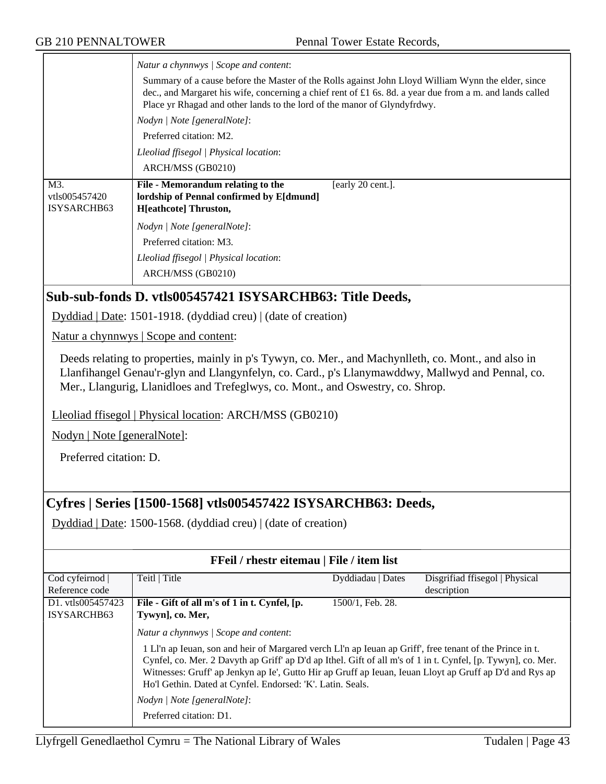|                                     | Natur a chynnwys / Scope and content:                                                                                                                                                                                                                                                      |
|-------------------------------------|--------------------------------------------------------------------------------------------------------------------------------------------------------------------------------------------------------------------------------------------------------------------------------------------|
|                                     | Summary of a cause before the Master of the Rolls against John Lloyd William Wynn the elder, since<br>dec., and Margaret his wife, concerning a chief rent of £1 6s. 8d. a year due from a m. and lands called<br>Place yr Rhagad and other lands to the lord of the manor of Glyndyfrdwy. |
|                                     | Nodyn   Note [generalNote]:                                                                                                                                                                                                                                                                |
|                                     | Preferred citation: M2.                                                                                                                                                                                                                                                                    |
|                                     | Lleoliad ffisegol   Physical location:                                                                                                                                                                                                                                                     |
|                                     | ARCH/MSS (GB0210)                                                                                                                                                                                                                                                                          |
| M3.<br>vtls005457420<br>ISYSARCHB63 | File - Memorandum relating to the<br>[early 20 cent.].<br>lordship of Pennal confirmed by E[dmund]<br><b>H</b> [eathcote] Thruston,                                                                                                                                                        |
|                                     | Nodyn   Note [generalNote]:                                                                                                                                                                                                                                                                |
|                                     | Preferred citation: M3.                                                                                                                                                                                                                                                                    |
|                                     | Lleoliad ffisegol   Physical location:                                                                                                                                                                                                                                                     |
|                                     | ARCH/MSS (GB0210)                                                                                                                                                                                                                                                                          |
|                                     | Sub-sub-fonds D. vtls005457421 ISYSARCHB63: Title Deeds,                                                                                                                                                                                                                                   |

Dyddiad | Date: 1501-1918. (dyddiad creu) | (date of creation)

Natur a chynnwys | Scope and content:

Deeds relating to properties, mainly in p's Tywyn, co. Mer., and Machynlleth, co. Mont., and also in Llanfihangel Genau'r-glyn and Llangynfelyn, co. Card., p's Llanymawddwy, Mallwyd and Pennal, co. Mer., Llangurig, Llanidloes and Trefeglwys, co. Mont., and Oswestry, co. Shrop.

Lleoliad ffisegol | Physical location: ARCH/MSS (GB0210)

Nodyn | Note [generalNote]:

Preferred citation: D.

### **Cyfres | Series [1500-1568] vtls005457422 ISYSARCHB63: Deeds,**

Dyddiad | Date: 1500-1568. (dyddiad creu) | (date of creation)

| FFeil / rhestr eitemau   File / item list |                                                                                                                                                                                                                                                                                                                                                                                                                                                                                                      |                   |                                |
|-------------------------------------------|------------------------------------------------------------------------------------------------------------------------------------------------------------------------------------------------------------------------------------------------------------------------------------------------------------------------------------------------------------------------------------------------------------------------------------------------------------------------------------------------------|-------------------|--------------------------------|
| Cod cyfeirnod                             | Teitl   Title                                                                                                                                                                                                                                                                                                                                                                                                                                                                                        | Dyddiadau   Dates | Disgrifiad ffisegol   Physical |
| Reference code                            |                                                                                                                                                                                                                                                                                                                                                                                                                                                                                                      |                   | description                    |
| D1. vtls005457423                         | File - Gift of all m's of 1 in t. Cynfel, [p.                                                                                                                                                                                                                                                                                                                                                                                                                                                        | 1500/1, Feb. 28.  |                                |
| ISYSARCHB63                               | Tywyn], co. Mer,                                                                                                                                                                                                                                                                                                                                                                                                                                                                                     |                   |                                |
|                                           | Natur a chynnwys   Scope and content:<br>1 Ll'n ap Ieuan, son and heir of Margared verch Ll'n ap Ieuan ap Griff', free tenant of the Prince in t.<br>Cynfel, co. Mer. 2 Davyth ap Griff' ap D'd ap Ithel. Gift of all m's of 1 in t. Cynfel, [p. Tywyn], co. Mer.<br>Witnesses: Gruff' ap Jenkyn ap Ie', Gutto Hir ap Gruff ap Ieuan, Ieuan Lloyt ap Gruff ap D'd and Rys ap<br>Ho'l Gethin. Dated at Cynfel. Endorsed: 'K'. Latin. Seals.<br>Nodyn / Note [generalNote]:<br>Preferred citation: D1. |                   |                                |

Llyfrgell Genedlaethol Cymru = The National Library of Wales Tudalen | Page  $43$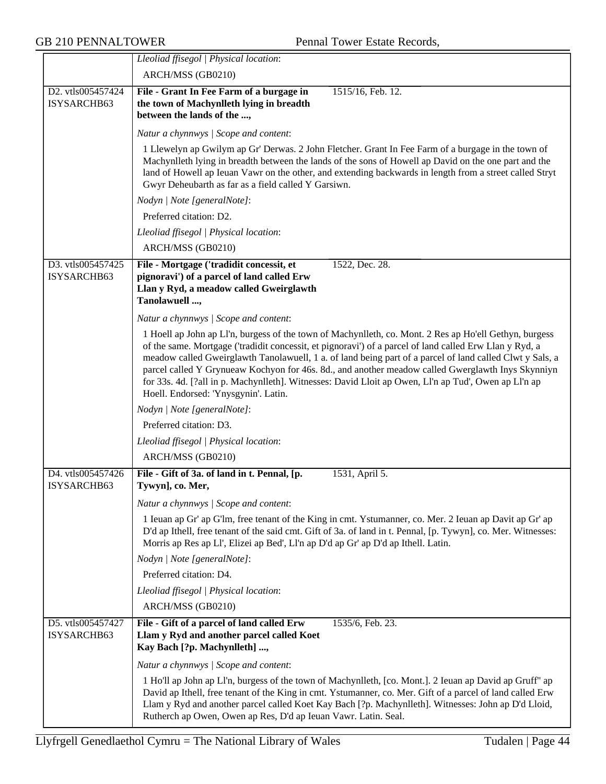|                                  | Lleoliad ffisegol   Physical location:                                                                                                                                                                                                                                                                                                                                                                                                                                                                                                                                             |
|----------------------------------|------------------------------------------------------------------------------------------------------------------------------------------------------------------------------------------------------------------------------------------------------------------------------------------------------------------------------------------------------------------------------------------------------------------------------------------------------------------------------------------------------------------------------------------------------------------------------------|
|                                  | ARCH/MSS (GB0210)                                                                                                                                                                                                                                                                                                                                                                                                                                                                                                                                                                  |
| D2. vtls005457424<br>ISYSARCHB63 | File - Grant In Fee Farm of a burgage in<br>1515/16, Feb. 12.<br>the town of Machynlleth lying in breadth<br>between the lands of the ,                                                                                                                                                                                                                                                                                                                                                                                                                                            |
|                                  | Natur a chynnwys / Scope and content:                                                                                                                                                                                                                                                                                                                                                                                                                                                                                                                                              |
|                                  | 1 Llewelyn ap Gwilym ap Gr' Derwas. 2 John Fletcher. Grant In Fee Farm of a burgage in the town of<br>Machynlleth lying in breadth between the lands of the sons of Howell ap David on the one part and the<br>land of Howell ap Ieuan Vawr on the other, and extending backwards in length from a street called Stryt<br>Gwyr Deheubarth as far as a field called Y Garsiwn.                                                                                                                                                                                                      |
|                                  | Nodyn   Note [generalNote]:                                                                                                                                                                                                                                                                                                                                                                                                                                                                                                                                                        |
|                                  | Preferred citation: D2.                                                                                                                                                                                                                                                                                                                                                                                                                                                                                                                                                            |
|                                  | Lleoliad ffisegol   Physical location:                                                                                                                                                                                                                                                                                                                                                                                                                                                                                                                                             |
|                                  | ARCH/MSS (GB0210)                                                                                                                                                                                                                                                                                                                                                                                                                                                                                                                                                                  |
| D3. vtls005457425<br>ISYSARCHB63 | File - Mortgage ('tradidit concessit, et<br>1522, Dec. 28.<br>pignoravi') of a parcel of land called Erw<br>Llan y Ryd, a meadow called Gweirglawth<br>Tanolawuell ,                                                                                                                                                                                                                                                                                                                                                                                                               |
|                                  | Natur a chynnwys / Scope and content:                                                                                                                                                                                                                                                                                                                                                                                                                                                                                                                                              |
|                                  | 1 Hoell ap John ap Ll'n, burgess of the town of Machynlleth, co. Mont. 2 Res ap Ho'ell Gethyn, burgess<br>of the same. Mortgage ('tradidit concessit, et pignoravi') of a parcel of land called Erw Llan y Ryd, a<br>meadow called Gweirglawth Tanolawuell, 1 a. of land being part of a parcel of land called Clwt y Sals, a<br>parcel called Y Grynueaw Kochyon for 46s. 8d., and another meadow called Gwerglawth Inys Skynniyn<br>for 33s. 4d. [?all in p. Machynlleth]. Witnesses: David Lloit ap Owen, Ll'n ap Tud', Owen ap Ll'n ap<br>Hoell. Endorsed: 'Ynysgynin'. Latin. |
|                                  | Nodyn   Note [generalNote]:                                                                                                                                                                                                                                                                                                                                                                                                                                                                                                                                                        |
|                                  | Preferred citation: D3.                                                                                                                                                                                                                                                                                                                                                                                                                                                                                                                                                            |
|                                  | Lleoliad ffisegol   Physical location:                                                                                                                                                                                                                                                                                                                                                                                                                                                                                                                                             |
|                                  | ARCH/MSS (GB0210)                                                                                                                                                                                                                                                                                                                                                                                                                                                                                                                                                                  |
| D4. vtls005457426<br>ISYSARCHB63 | File - Gift of 3a. of land in t. Pennal, [p.<br>1531, April 5.<br>Tywyn], co. Mer,                                                                                                                                                                                                                                                                                                                                                                                                                                                                                                 |
|                                  | Natur a chynnwys / Scope and content:                                                                                                                                                                                                                                                                                                                                                                                                                                                                                                                                              |
|                                  | 1 Ieuan ap Gr' ap G'lm, free tenant of the King in cmt. Ystumanner, co. Mer. 2 Ieuan ap Davit ap Gr' ap<br>D'd ap Ithell, free tenant of the said cmt. Gift of 3a. of land in t. Pennal, [p. Tywyn], co. Mer. Witnesses:<br>Morris ap Res ap Ll', Elizei ap Bed', Ll'n ap D'd ap Gr' ap D'd ap Ithell. Latin.                                                                                                                                                                                                                                                                      |
|                                  | Nodyn   Note [generalNote]:                                                                                                                                                                                                                                                                                                                                                                                                                                                                                                                                                        |
|                                  | Preferred citation: D4.                                                                                                                                                                                                                                                                                                                                                                                                                                                                                                                                                            |
|                                  | Lleoliad ffisegol   Physical location:                                                                                                                                                                                                                                                                                                                                                                                                                                                                                                                                             |
|                                  | ARCH/MSS (GB0210)                                                                                                                                                                                                                                                                                                                                                                                                                                                                                                                                                                  |
| D5. vtls005457427<br>ISYSARCHB63 | File - Gift of a parcel of land called Erw<br>1535/6, Feb. 23.<br>Llam y Ryd and another parcel called Koet<br>Kay Bach [?p. Machynlleth] ,                                                                                                                                                                                                                                                                                                                                                                                                                                        |
|                                  | Natur a chynnwys / Scope and content:                                                                                                                                                                                                                                                                                                                                                                                                                                                                                                                                              |
|                                  | 1 Ho'll ap John ap Ll'n, burgess of the town of Machynlleth, [co. Mont.]. 2 Ieuan ap David ap Gruff" ap<br>David ap Ithell, free tenant of the King in cmt. Ystumanner, co. Mer. Gift of a parcel of land called Erw<br>Llam y Ryd and another parcel called Koet Kay Bach [?p. Machynlleth]. Witnesses: John ap D'd Lloid,<br>Rutherch ap Owen, Owen ap Res, D'd ap Ieuan Vawr. Latin. Seal.                                                                                                                                                                                      |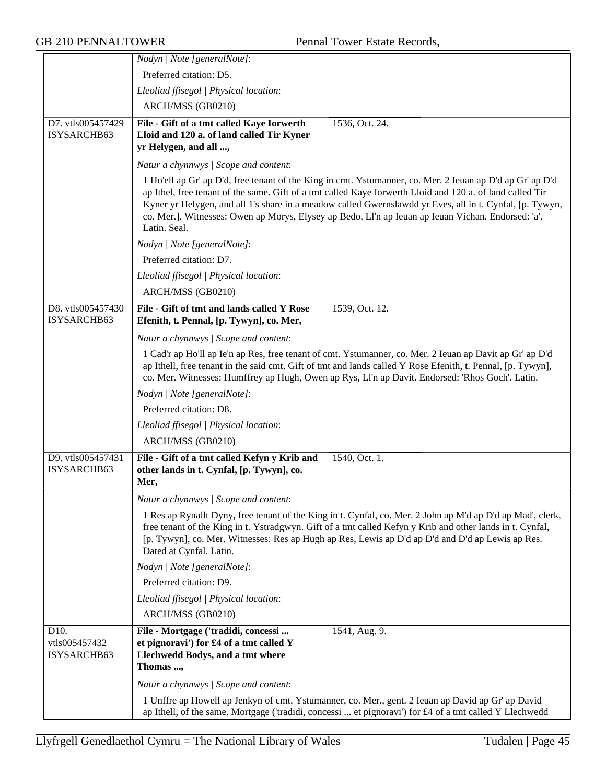|                                                   | Nodyn   Note [generalNote]:                                                                                                                                                                                                                                                                                                                                                                                                                              |
|---------------------------------------------------|----------------------------------------------------------------------------------------------------------------------------------------------------------------------------------------------------------------------------------------------------------------------------------------------------------------------------------------------------------------------------------------------------------------------------------------------------------|
|                                                   | Preferred citation: D5.                                                                                                                                                                                                                                                                                                                                                                                                                                  |
|                                                   | Lleoliad ffisegol   Physical location:                                                                                                                                                                                                                                                                                                                                                                                                                   |
|                                                   | ARCH/MSS (GB0210)                                                                                                                                                                                                                                                                                                                                                                                                                                        |
| D7. vtls005457429                                 | File - Gift of a tmt called Kaye Iorwerth<br>1536, Oct. 24.                                                                                                                                                                                                                                                                                                                                                                                              |
| ISYSARCHB63                                       | Lloid and 120 a. of land called Tir Kyner                                                                                                                                                                                                                                                                                                                                                                                                                |
|                                                   | yr Helygen, and all ,                                                                                                                                                                                                                                                                                                                                                                                                                                    |
|                                                   | Natur a chynnwys / Scope and content:                                                                                                                                                                                                                                                                                                                                                                                                                    |
|                                                   | 1 Ho'ell ap Gr' ap D'd, free tenant of the King in cmt. Ystumanner, co. Mer. 2 Ieuan ap D'd ap Gr' ap D'd<br>ap Ithel, free tenant of the same. Gift of a tmt called Kaye Iorwerth Lloid and 120 a. of land called Tir<br>Kyner yr Helygen, and all 1's share in a meadow called Gwernslawdd yr Eves, all in t. Cynfal, [p. Tywyn,<br>co. Mer.]. Witnesses: Owen ap Morys, Elysey ap Bedo, Ll'n ap Ieuan ap Ieuan Vichan. Endorsed: 'a'.<br>Latin. Seal. |
|                                                   | Nodyn   Note [generalNote]:                                                                                                                                                                                                                                                                                                                                                                                                                              |
|                                                   | Preferred citation: D7.                                                                                                                                                                                                                                                                                                                                                                                                                                  |
|                                                   | Lleoliad ffisegol   Physical location:                                                                                                                                                                                                                                                                                                                                                                                                                   |
|                                                   | ARCH/MSS (GB0210)                                                                                                                                                                                                                                                                                                                                                                                                                                        |
| D8. vtls005457430                                 | File - Gift of tmt and lands called Y Rose<br>1539, Oct. 12.                                                                                                                                                                                                                                                                                                                                                                                             |
| ISYSARCHB63                                       | Efenith, t. Pennal, [p. Tywyn], co. Mer,                                                                                                                                                                                                                                                                                                                                                                                                                 |
|                                                   | Natur a chynnwys / Scope and content:                                                                                                                                                                                                                                                                                                                                                                                                                    |
|                                                   | 1 Cad'r ap Ho'll ap Ie'n ap Res, free tenant of cmt. Ystumanner, co. Mer. 2 Ieuan ap Davit ap Gr' ap D'd<br>ap Ithell, free tenant in the said cmt. Gift of tmt and lands called Y Rose Efenith, t. Pennal, [p. Tywyn],<br>co. Mer. Witnesses: Humffrey ap Hugh, Owen ap Rys, Ll'n ap Davit. Endorsed: 'Rhos Goch'. Latin.                                                                                                                               |
|                                                   | Nodyn   Note [generalNote]:                                                                                                                                                                                                                                                                                                                                                                                                                              |
|                                                   | Preferred citation: D8.                                                                                                                                                                                                                                                                                                                                                                                                                                  |
|                                                   | Lleoliad ffisegol   Physical location:                                                                                                                                                                                                                                                                                                                                                                                                                   |
|                                                   | ARCH/MSS (GB0210)                                                                                                                                                                                                                                                                                                                                                                                                                                        |
| D9. vtls005457431<br>ISYSARCHB63                  | File - Gift of a tmt called Kefyn y Krib and<br>1540, Oct. 1.<br>other lands in t. Cynfal, [p. Tywyn], co.<br>Mer,                                                                                                                                                                                                                                                                                                                                       |
|                                                   | Natur a chynnwys / Scope and content:                                                                                                                                                                                                                                                                                                                                                                                                                    |
|                                                   | 1 Res ap Rynallt Dyny, free tenant of the King in t. Cynfal, co. Mer. 2 John ap M'd ap D'd ap Mad', clerk,<br>free tenant of the King in t. Ystradgwyn. Gift of a tmt called Kefyn y Krib and other lands in t. Cynfal,<br>[p. Tywyn], co. Mer. Witnesses: Res ap Hugh ap Res, Lewis ap D'd ap D'd and D'd ap Lewis ap Res.<br>Dated at Cynfal. Latin.                                                                                                   |
|                                                   | Nodyn   Note [generalNote]:                                                                                                                                                                                                                                                                                                                                                                                                                              |
|                                                   | Preferred citation: D9.                                                                                                                                                                                                                                                                                                                                                                                                                                  |
|                                                   | Lleoliad ffisegol   Physical location:                                                                                                                                                                                                                                                                                                                                                                                                                   |
|                                                   | ARCH/MSS (GB0210)                                                                                                                                                                                                                                                                                                                                                                                                                                        |
| D <sub>10</sub> .<br>vtls005457432<br>ISYSARCHB63 | File - Mortgage ('tradidi, concessi<br>1541, Aug. 9.<br>et pignoravi') for £4 of a tmt called Y<br>Llechwedd Bodys, and a tmt where<br>Thomas ,                                                                                                                                                                                                                                                                                                          |
|                                                   | Natur a chynnwys / Scope and content:                                                                                                                                                                                                                                                                                                                                                                                                                    |
|                                                   | 1 Unffre ap Howell ap Jenkyn of cmt. Ystumanner, co. Mer., gent. 2 Ieuan ap David ap Gr' ap David<br>ap Ithell, of the same. Mortgage ('tradidi, concessi  et pignoravi') for £4 of a tmt called Y Llechwedd                                                                                                                                                                                                                                             |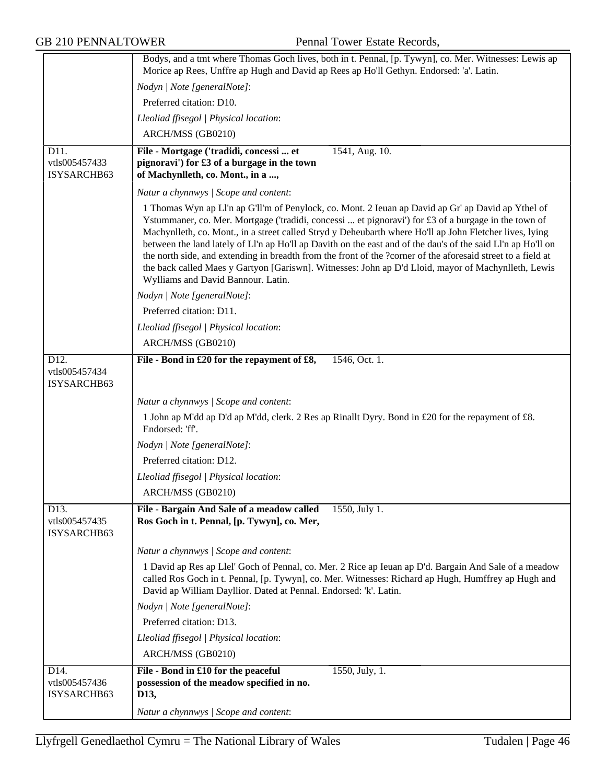|                                      | Bodys, and a tmt where Thomas Goch lives, both in t. Pennal, [p. Tywyn], co. Mer. Witnesses: Lewis ap<br>Morice ap Rees, Unffre ap Hugh and David ap Rees ap Ho'll Gethyn. Endorsed: 'a'. Latin.                                                                                                                                                                                                                                                                                                                                                                                                                                                                                                   |
|--------------------------------------|----------------------------------------------------------------------------------------------------------------------------------------------------------------------------------------------------------------------------------------------------------------------------------------------------------------------------------------------------------------------------------------------------------------------------------------------------------------------------------------------------------------------------------------------------------------------------------------------------------------------------------------------------------------------------------------------------|
|                                      | Nodyn   Note [generalNote]:                                                                                                                                                                                                                                                                                                                                                                                                                                                                                                                                                                                                                                                                        |
|                                      | Preferred citation: D10.                                                                                                                                                                                                                                                                                                                                                                                                                                                                                                                                                                                                                                                                           |
|                                      | Lleoliad ffisegol   Physical location:                                                                                                                                                                                                                                                                                                                                                                                                                                                                                                                                                                                                                                                             |
|                                      |                                                                                                                                                                                                                                                                                                                                                                                                                                                                                                                                                                                                                                                                                                    |
|                                      | ARCH/MSS (GB0210)                                                                                                                                                                                                                                                                                                                                                                                                                                                                                                                                                                                                                                                                                  |
| D11.<br>vtls005457433<br>ISYSARCHB63 | File - Mortgage ('tradidi, concessi  et<br>1541, Aug. 10.<br>pignoravi') for £3 of a burgage in the town<br>of Machynlleth, co. Mont., in a ,                                                                                                                                                                                                                                                                                                                                                                                                                                                                                                                                                      |
|                                      | Natur a chynnwys / Scope and content:                                                                                                                                                                                                                                                                                                                                                                                                                                                                                                                                                                                                                                                              |
|                                      | 1 Thomas Wyn ap Ll'n ap G'll'm of Penylock, co. Mont. 2 Ieuan ap David ap Gr' ap David ap Ythel of<br>Ystummaner, co. Mer. Mortgage ('tradidi, concessi  et pignoravi') for £3 of a burgage in the town of<br>Machynlleth, co. Mont., in a street called Stryd y Deheubarth where Ho'll ap John Fletcher lives, lying<br>between the land lately of Ll'n ap Ho'll ap Davith on the east and of the dau's of the said Ll'n ap Ho'll on<br>the north side, and extending in breadth from the front of the ?corner of the aforesaid street to a field at<br>the back called Maes y Gartyon [Gariswn]. Witnesses: John ap D'd Lloid, mayor of Machynlleth, Lewis<br>Wylliams and David Bannour. Latin. |
|                                      | Nodyn   Note [generalNote]:                                                                                                                                                                                                                                                                                                                                                                                                                                                                                                                                                                                                                                                                        |
|                                      | Preferred citation: D11.                                                                                                                                                                                                                                                                                                                                                                                                                                                                                                                                                                                                                                                                           |
|                                      | Lleoliad ffisegol   Physical location:                                                                                                                                                                                                                                                                                                                                                                                                                                                                                                                                                                                                                                                             |
|                                      | ARCH/MSS (GB0210)                                                                                                                                                                                                                                                                                                                                                                                                                                                                                                                                                                                                                                                                                  |
| D <sub>12</sub> .                    | File - Bond in £20 for the repayment of £8,<br>1546, Oct. 1.                                                                                                                                                                                                                                                                                                                                                                                                                                                                                                                                                                                                                                       |
| vtls005457434<br>ISYSARCHB63         |                                                                                                                                                                                                                                                                                                                                                                                                                                                                                                                                                                                                                                                                                                    |
|                                      | Natur a chynnwys / Scope and content:                                                                                                                                                                                                                                                                                                                                                                                                                                                                                                                                                                                                                                                              |
|                                      | 1 John ap M'dd ap D'd ap M'dd, clerk. 2 Res ap Rinallt Dyry. Bond in £20 for the repayment of £8.<br>Endorsed: 'ff'.                                                                                                                                                                                                                                                                                                                                                                                                                                                                                                                                                                               |
|                                      | Nodyn   Note [generalNote]:                                                                                                                                                                                                                                                                                                                                                                                                                                                                                                                                                                                                                                                                        |
|                                      | Preferred citation: D12.                                                                                                                                                                                                                                                                                                                                                                                                                                                                                                                                                                                                                                                                           |
|                                      | Lleoliad ffisegol   Physical location:                                                                                                                                                                                                                                                                                                                                                                                                                                                                                                                                                                                                                                                             |
|                                      | ARCH/MSS (GB0210)                                                                                                                                                                                                                                                                                                                                                                                                                                                                                                                                                                                                                                                                                  |
| D13.<br>vtls005457435<br>ISYSARCHB63 | File - Bargain And Sale of a meadow called<br>1550, July 1.<br>Ros Goch in t. Pennal, [p. Tywyn], co. Mer,                                                                                                                                                                                                                                                                                                                                                                                                                                                                                                                                                                                         |
|                                      | Natur a chynnwys / Scope and content:                                                                                                                                                                                                                                                                                                                                                                                                                                                                                                                                                                                                                                                              |
|                                      | 1 David ap Res ap Llel' Goch of Pennal, co. Mer. 2 Rice ap Ieuan ap D'd. Bargain And Sale of a meadow<br>called Ros Goch in t. Pennal, [p. Tywyn], co. Mer. Witnesses: Richard ap Hugh, Humffrey ap Hugh and<br>David ap William Dayllior. Dated at Pennal. Endorsed: 'k'. Latin.                                                                                                                                                                                                                                                                                                                                                                                                                  |
|                                      | Nodyn   Note [generalNote]:                                                                                                                                                                                                                                                                                                                                                                                                                                                                                                                                                                                                                                                                        |
|                                      | Preferred citation: D13.                                                                                                                                                                                                                                                                                                                                                                                                                                                                                                                                                                                                                                                                           |
|                                      | Lleoliad ffisegol   Physical location:                                                                                                                                                                                                                                                                                                                                                                                                                                                                                                                                                                                                                                                             |
|                                      | ARCH/MSS (GB0210)                                                                                                                                                                                                                                                                                                                                                                                                                                                                                                                                                                                                                                                                                  |
| D14.                                 | File - Bond in £10 for the peaceful<br>1550, July, 1.                                                                                                                                                                                                                                                                                                                                                                                                                                                                                                                                                                                                                                              |
| vtls005457436                        | possession of the meadow specified in no.                                                                                                                                                                                                                                                                                                                                                                                                                                                                                                                                                                                                                                                          |
| ISYSARCHB63                          | D13,                                                                                                                                                                                                                                                                                                                                                                                                                                                                                                                                                                                                                                                                                               |
|                                      | Natur a chynnwys / Scope and content:                                                                                                                                                                                                                                                                                                                                                                                                                                                                                                                                                                                                                                                              |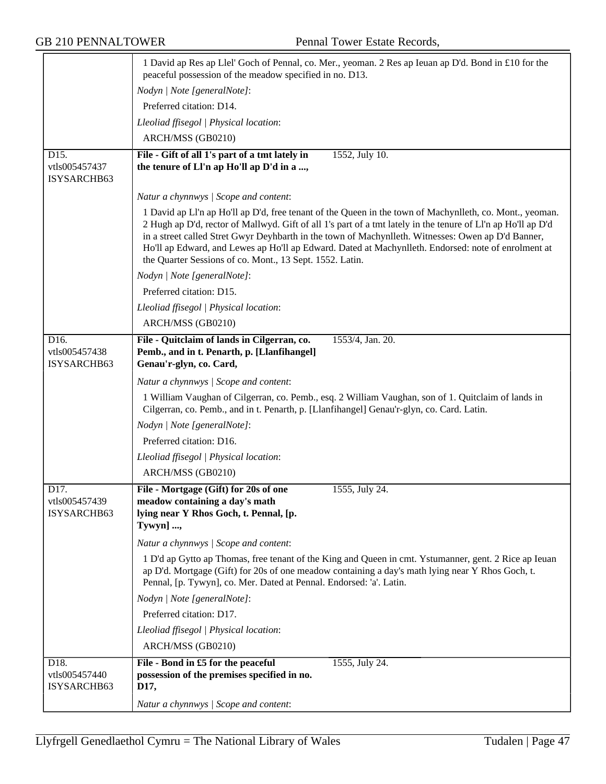|                                                   | 1 David ap Res ap Llel' Goch of Pennal, co. Mer., yeoman. 2 Res ap Ieuan ap D'd. Bond in £10 for the<br>peaceful possession of the meadow specified in no. D13.                                                                                                                                                                                                                                                                                                                                   |
|---------------------------------------------------|---------------------------------------------------------------------------------------------------------------------------------------------------------------------------------------------------------------------------------------------------------------------------------------------------------------------------------------------------------------------------------------------------------------------------------------------------------------------------------------------------|
|                                                   | Nodyn   Note [generalNote]:                                                                                                                                                                                                                                                                                                                                                                                                                                                                       |
|                                                   | Preferred citation: D14.                                                                                                                                                                                                                                                                                                                                                                                                                                                                          |
|                                                   | Lleoliad ffisegol   Physical location:                                                                                                                                                                                                                                                                                                                                                                                                                                                            |
|                                                   | ARCH/MSS (GB0210)                                                                                                                                                                                                                                                                                                                                                                                                                                                                                 |
| D15.                                              | File - Gift of all 1's part of a tmt lately in<br>1552, July 10.                                                                                                                                                                                                                                                                                                                                                                                                                                  |
| vtls005457437<br>ISYSARCHB63                      | the tenure of Ll'n ap Ho'll ap D'd in a ,                                                                                                                                                                                                                                                                                                                                                                                                                                                         |
|                                                   | Natur a chynnwys / Scope and content:                                                                                                                                                                                                                                                                                                                                                                                                                                                             |
|                                                   | 1 David ap Ll'n ap Ho'll ap D'd, free tenant of the Queen in the town of Machynlleth, co. Mont., yeoman.<br>2 Hugh ap D'd, rector of Mallwyd. Gift of all 1's part of a tmt lately in the tenure of Ll'n ap Ho'll ap D'd<br>in a street called Stret Gwyr Deyhbarth in the town of Machynlleth. Witnesses: Owen ap D'd Banner,<br>Ho'll ap Edward, and Lewes ap Ho'll ap Edward. Dated at Machynlleth. Endorsed: note of enrolment at<br>the Quarter Sessions of co. Mont., 13 Sept. 1552. Latin. |
|                                                   | Nodyn   Note [generalNote]:                                                                                                                                                                                                                                                                                                                                                                                                                                                                       |
|                                                   | Preferred citation: D15.                                                                                                                                                                                                                                                                                                                                                                                                                                                                          |
|                                                   | Lleoliad ffisegol   Physical location:                                                                                                                                                                                                                                                                                                                                                                                                                                                            |
|                                                   | ARCH/MSS (GB0210)                                                                                                                                                                                                                                                                                                                                                                                                                                                                                 |
| D16.<br>vtls005457438<br>ISYSARCHB63              | File - Quitclaim of lands in Cilgerran, co.<br>1553/4, Jan. 20.<br>Pemb., and in t. Penarth, p. [Llanfihangel]<br>Genau'r-glyn, co. Card,                                                                                                                                                                                                                                                                                                                                                         |
|                                                   | Natur a chynnwys / Scope and content:                                                                                                                                                                                                                                                                                                                                                                                                                                                             |
|                                                   | 1 William Vaughan of Cilgerran, co. Pemb., esq. 2 William Vaughan, son of 1. Quitclaim of lands in<br>Cilgerran, co. Pemb., and in t. Penarth, p. [Llanfihangel] Genau'r-glyn, co. Card. Latin.                                                                                                                                                                                                                                                                                                   |
|                                                   | Nodyn   Note [generalNote]:                                                                                                                                                                                                                                                                                                                                                                                                                                                                       |
|                                                   | Preferred citation: D16.                                                                                                                                                                                                                                                                                                                                                                                                                                                                          |
|                                                   | Lleoliad ffisegol   Physical location:                                                                                                                                                                                                                                                                                                                                                                                                                                                            |
|                                                   | ARCH/MSS (GB0210)                                                                                                                                                                                                                                                                                                                                                                                                                                                                                 |
| D <sub>17</sub> .<br>vtls005457439<br>ISYSARCHB63 | File - Mortgage (Gift) for 20s of one<br>1555, July 24.<br>meadow containing a day's math<br>lying near Y Rhos Goch, t. Pennal, [p.<br>Tywyn] ,                                                                                                                                                                                                                                                                                                                                                   |
|                                                   | Natur a chynnwys / Scope and content:                                                                                                                                                                                                                                                                                                                                                                                                                                                             |
|                                                   | 1 D'd ap Gytto ap Thomas, free tenant of the King and Queen in cmt. Ystumanner, gent. 2 Rice ap Ieuan<br>ap D'd. Mortgage (Gift) for 20s of one meadow containing a day's math lying near Y Rhos Goch, t.<br>Pennal, [p. Tywyn], co. Mer. Dated at Pennal. Endorsed: 'a'. Latin.                                                                                                                                                                                                                  |
|                                                   | Nodyn   Note [generalNote]:                                                                                                                                                                                                                                                                                                                                                                                                                                                                       |
|                                                   | Preferred citation: D17.                                                                                                                                                                                                                                                                                                                                                                                                                                                                          |
|                                                   | Lleoliad ffisegol   Physical location:                                                                                                                                                                                                                                                                                                                                                                                                                                                            |
|                                                   | ARCH/MSS (GB0210)                                                                                                                                                                                                                                                                                                                                                                                                                                                                                 |
| D18.<br>vtls005457440<br>ISYSARCHB63              | File - Bond in £5 for the peaceful<br>1555, July 24.<br>possession of the premises specified in no.<br>D17,                                                                                                                                                                                                                                                                                                                                                                                       |
|                                                   | Natur a chynnwys / Scope and content:                                                                                                                                                                                                                                                                                                                                                                                                                                                             |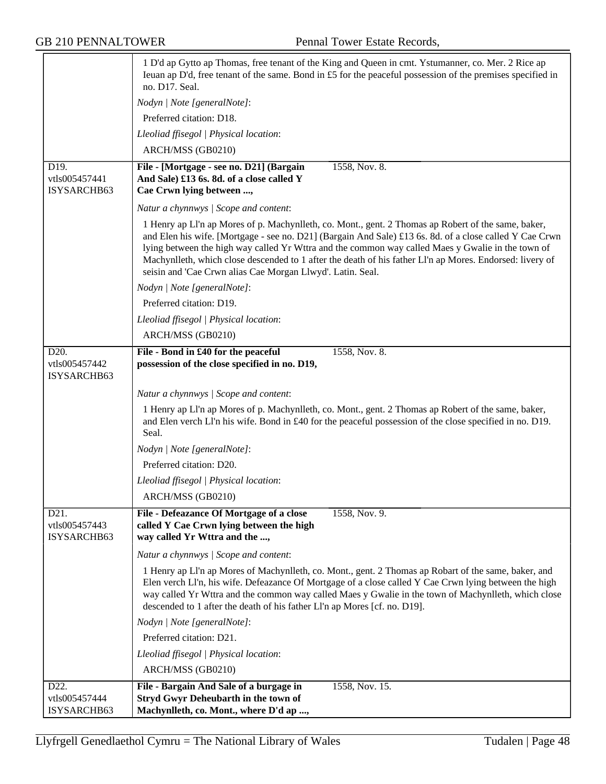|                                                   | 1 D'd ap Gytto ap Thomas, free tenant of the King and Queen in cmt. Ystumanner, co. Mer. 2 Rice ap<br>Ieuan ap D'd, free tenant of the same. Bond in £5 for the peaceful possession of the premises specified in<br>no. D17. Seal.                                                                                                                                                                                                                                                            |
|---------------------------------------------------|-----------------------------------------------------------------------------------------------------------------------------------------------------------------------------------------------------------------------------------------------------------------------------------------------------------------------------------------------------------------------------------------------------------------------------------------------------------------------------------------------|
|                                                   | Nodyn   Note [generalNote]:                                                                                                                                                                                                                                                                                                                                                                                                                                                                   |
|                                                   | Preferred citation: D18.                                                                                                                                                                                                                                                                                                                                                                                                                                                                      |
|                                                   | Lleoliad ffisegol   Physical location:                                                                                                                                                                                                                                                                                                                                                                                                                                                        |
|                                                   | ARCH/MSS (GB0210)                                                                                                                                                                                                                                                                                                                                                                                                                                                                             |
| D19.<br>vtls005457441<br>ISYSARCHB63              | 1558, Nov. 8.<br>File - [Mortgage - see no. D21] (Bargain<br>And Sale) £13 6s. 8d. of a close called Y<br>Cae Crwn lying between ,                                                                                                                                                                                                                                                                                                                                                            |
|                                                   | Natur a chynnwys / Scope and content:                                                                                                                                                                                                                                                                                                                                                                                                                                                         |
|                                                   | 1 Henry ap LI'n ap Mores of p. Machynlleth, co. Mont., gent. 2 Thomas ap Robert of the same, baker,<br>and Elen his wife. [Mortgage - see no. D21] (Bargain And Sale) £13 6s. 8d. of a close called Y Cae Crwn<br>lying between the high way called Yr Wttra and the common way called Maes y Gwalie in the town of<br>Machynlleth, which close descended to 1 after the death of his father Ll'n ap Mores. Endorsed: livery of<br>seisin and 'Cae Crwn alias Cae Morgan Llwyd'. Latin. Seal. |
|                                                   | Nodyn   Note [generalNote]:                                                                                                                                                                                                                                                                                                                                                                                                                                                                   |
|                                                   | Preferred citation: D19.                                                                                                                                                                                                                                                                                                                                                                                                                                                                      |
|                                                   | Lleoliad ffisegol   Physical location:                                                                                                                                                                                                                                                                                                                                                                                                                                                        |
|                                                   | ARCH/MSS (GB0210)                                                                                                                                                                                                                                                                                                                                                                                                                                                                             |
| D <sub>20</sub> .<br>vtls005457442<br>ISYSARCHB63 | File - Bond in £40 for the peaceful<br>1558, Nov. 8.<br>possession of the close specified in no. D19,                                                                                                                                                                                                                                                                                                                                                                                         |
|                                                   | Natur a chynnwys / Scope and content:                                                                                                                                                                                                                                                                                                                                                                                                                                                         |
|                                                   | 1 Henry ap Ll'n ap Mores of p. Machynlleth, co. Mont., gent. 2 Thomas ap Robert of the same, baker,<br>and Elen verch Ll'n his wife. Bond in £40 for the peaceful possession of the close specified in no. D19.<br>Seal.                                                                                                                                                                                                                                                                      |
|                                                   | Nodyn   Note [generalNote]:                                                                                                                                                                                                                                                                                                                                                                                                                                                                   |
|                                                   | Preferred citation: D20.                                                                                                                                                                                                                                                                                                                                                                                                                                                                      |
|                                                   | Lleoliad ffisegol   Physical location:                                                                                                                                                                                                                                                                                                                                                                                                                                                        |
|                                                   | ARCH/MSS (GB0210)                                                                                                                                                                                                                                                                                                                                                                                                                                                                             |
| D <sub>21</sub> .<br>vtls005457443<br>ISYSARCHB63 | File - Defeazance Of Mortgage of a close<br>1558, Nov. 9.<br>called Y Cae Crwn lying between the high<br>way called Yr Wttra and the ,                                                                                                                                                                                                                                                                                                                                                        |
|                                                   | Natur a chynnwys / Scope and content:                                                                                                                                                                                                                                                                                                                                                                                                                                                         |
|                                                   | 1 Henry ap Ll'n ap Mores of Machynlleth, co. Mont., gent. 2 Thomas ap Robart of the same, baker, and<br>Elen verch Ll'n, his wife. Defeazance Of Mortgage of a close called Y Cae Crwn lying between the high<br>way called Yr Wttra and the common way called Maes y Gwalie in the town of Machynlleth, which close<br>descended to 1 after the death of his father Ll'n ap Mores [cf. no. D19].                                                                                             |
|                                                   | Nodyn   Note [generalNote]:                                                                                                                                                                                                                                                                                                                                                                                                                                                                   |
|                                                   | Preferred citation: D21.                                                                                                                                                                                                                                                                                                                                                                                                                                                                      |
|                                                   | Lleoliad ffisegol   Physical location:                                                                                                                                                                                                                                                                                                                                                                                                                                                        |
|                                                   | ARCH/MSS (GB0210)                                                                                                                                                                                                                                                                                                                                                                                                                                                                             |
| D22.                                              | File - Bargain And Sale of a burgage in<br>1558, Nov. 15.                                                                                                                                                                                                                                                                                                                                                                                                                                     |
| vtls005457444<br>ISYSARCHB63                      | <b>Stryd Gwyr Deheubarth in the town of</b><br>Machynlleth, co. Mont., where D'd ap ,                                                                                                                                                                                                                                                                                                                                                                                                         |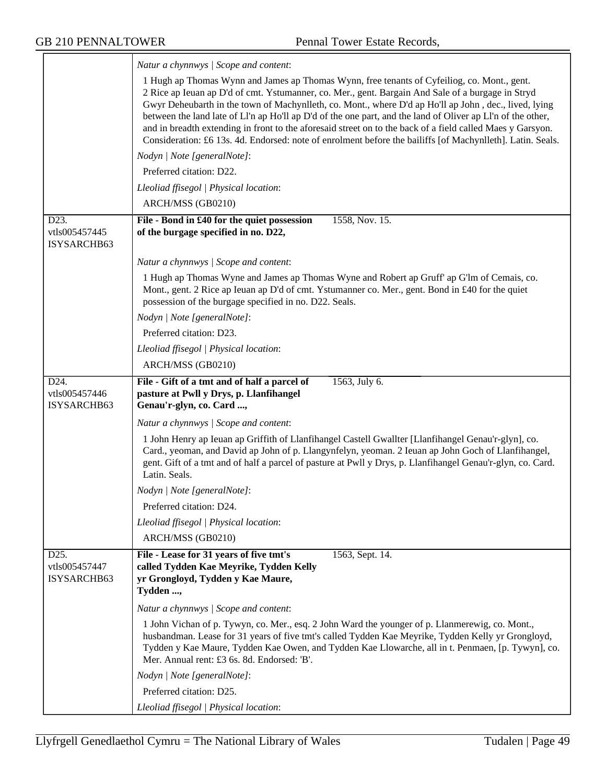|                                                   | Natur a chynnwys / Scope and content:                                                                                                                                                                                                                                                                                                                                                                                                                                                                                                                                                                                                                |
|---------------------------------------------------|------------------------------------------------------------------------------------------------------------------------------------------------------------------------------------------------------------------------------------------------------------------------------------------------------------------------------------------------------------------------------------------------------------------------------------------------------------------------------------------------------------------------------------------------------------------------------------------------------------------------------------------------------|
|                                                   | 1 Hugh ap Thomas Wynn and James ap Thomas Wynn, free tenants of Cyfeiliog, co. Mont., gent.<br>2 Rice ap Ieuan ap D'd of cmt. Ystumanner, co. Mer., gent. Bargain And Sale of a burgage in Stryd<br>Gwyr Deheubarth in the town of Machynlleth, co. Mont., where D'd ap Ho'll ap John, dec., lived, lying<br>between the land late of Ll'n ap Ho'll ap D'd of the one part, and the land of Oliver ap Ll'n of the other,<br>and in breadth extending in front to the aforesaid street on to the back of a field called Maes y Garsyon.<br>Consideration: £6 13s. 4d. Endorsed: note of enrolment before the bailiffs [of Machynlleth]. Latin. Seals. |
|                                                   | Nodyn   Note [generalNote]:                                                                                                                                                                                                                                                                                                                                                                                                                                                                                                                                                                                                                          |
|                                                   | Preferred citation: D22.                                                                                                                                                                                                                                                                                                                                                                                                                                                                                                                                                                                                                             |
|                                                   | Lleoliad ffisegol   Physical location:                                                                                                                                                                                                                                                                                                                                                                                                                                                                                                                                                                                                               |
|                                                   | ARCH/MSS (GB0210)                                                                                                                                                                                                                                                                                                                                                                                                                                                                                                                                                                                                                                    |
| D23.<br>vtls005457445<br>ISYSARCHB63              | File - Bond in £40 for the quiet possession<br>1558, Nov. 15.<br>of the burgage specified in no. D22,                                                                                                                                                                                                                                                                                                                                                                                                                                                                                                                                                |
|                                                   | Natur a chynnwys / Scope and content:                                                                                                                                                                                                                                                                                                                                                                                                                                                                                                                                                                                                                |
|                                                   | 1 Hugh ap Thomas Wyne and James ap Thomas Wyne and Robert ap Gruff' ap G'lm of Cemais, co.<br>Mont., gent. 2 Rice ap Ieuan ap D'd of cmt. Ystumanner co. Mer., gent. Bond in £40 for the quiet<br>possession of the burgage specified in no. D22. Seals.                                                                                                                                                                                                                                                                                                                                                                                             |
|                                                   | Nodyn   Note [generalNote]:                                                                                                                                                                                                                                                                                                                                                                                                                                                                                                                                                                                                                          |
|                                                   | Preferred citation: D23.                                                                                                                                                                                                                                                                                                                                                                                                                                                                                                                                                                                                                             |
|                                                   | Lleoliad ffisegol   Physical location:                                                                                                                                                                                                                                                                                                                                                                                                                                                                                                                                                                                                               |
|                                                   | ARCH/MSS (GB0210)                                                                                                                                                                                                                                                                                                                                                                                                                                                                                                                                                                                                                                    |
| D <sub>24</sub> .<br>vtls005457446<br>ISYSARCHB63 | File - Gift of a tmt and of half a parcel of<br>1563, July 6.<br>pasture at Pwll y Drys, p. Llanfihangel<br>Genau'r-glyn, co. Card ,                                                                                                                                                                                                                                                                                                                                                                                                                                                                                                                 |
|                                                   | Natur a chynnwys / Scope and content:                                                                                                                                                                                                                                                                                                                                                                                                                                                                                                                                                                                                                |
|                                                   | 1 John Henry ap Ieuan ap Griffith of Llanfihangel Castell Gwallter [Llanfihangel Genau'r-glyn], co.<br>Card., yeoman, and David ap John of p. Llangynfelyn, yeoman. 2 Ieuan ap John Goch of Llanfihangel,<br>gent. Gift of a tmt and of half a parcel of pasture at Pwll y Drys, p. Llanfihangel Genau'r-glyn, co. Card.<br>Latin. Seals.                                                                                                                                                                                                                                                                                                            |
|                                                   | Nodyn   Note [generalNote]:                                                                                                                                                                                                                                                                                                                                                                                                                                                                                                                                                                                                                          |
|                                                   | Preferred citation: D24.                                                                                                                                                                                                                                                                                                                                                                                                                                                                                                                                                                                                                             |
|                                                   | Lleoliad ffisegol   Physical location:                                                                                                                                                                                                                                                                                                                                                                                                                                                                                                                                                                                                               |
|                                                   | ARCH/MSS (GB0210)                                                                                                                                                                                                                                                                                                                                                                                                                                                                                                                                                                                                                                    |
| D <sub>25</sub> .<br>vtls005457447<br>ISYSARCHB63 | File - Lease for 31 years of five tmt's<br>1563, Sept. 14.<br>called Tydden Kae Meyrike, Tydden Kelly<br>yr Grongloyd, Tydden y Kae Maure,<br>Tydden ,                                                                                                                                                                                                                                                                                                                                                                                                                                                                                               |
|                                                   | Natur a chynnwys / Scope and content:                                                                                                                                                                                                                                                                                                                                                                                                                                                                                                                                                                                                                |
|                                                   | 1 John Vichan of p. Tywyn, co. Mer., esq. 2 John Ward the younger of p. Llanmerewig, co. Mont.,<br>husbandman. Lease for 31 years of five tmt's called Tydden Kae Meyrike, Tydden Kelly yr Grongloyd,<br>Tydden y Kae Maure, Tydden Kae Owen, and Tydden Kae Llowarche, all in t. Penmaen, [p. Tywyn], co.<br>Mer. Annual rent: £3 6s. 8d. Endorsed: 'B'.                                                                                                                                                                                                                                                                                            |
|                                                   |                                                                                                                                                                                                                                                                                                                                                                                                                                                                                                                                                                                                                                                      |
|                                                   | Nodyn   Note [generalNote]:                                                                                                                                                                                                                                                                                                                                                                                                                                                                                                                                                                                                                          |
|                                                   | Preferred citation: D25.                                                                                                                                                                                                                                                                                                                                                                                                                                                                                                                                                                                                                             |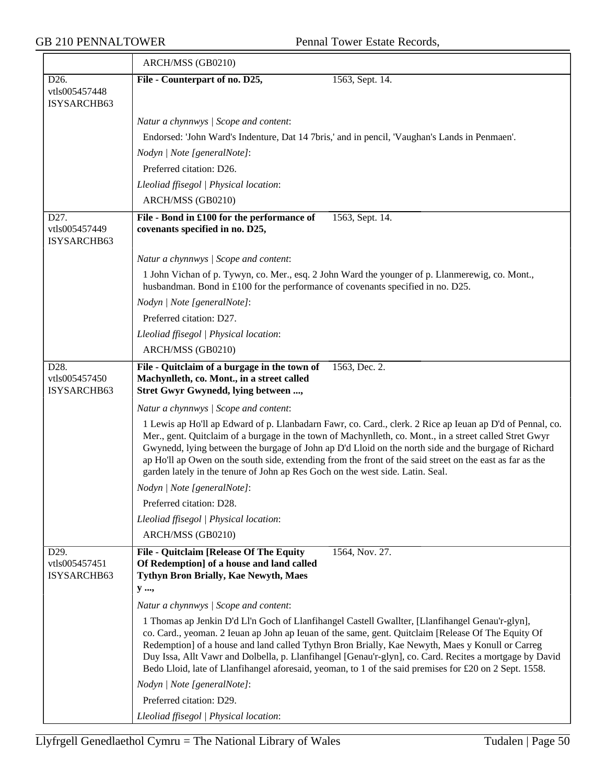$\overline{\phantom{a}}$ 

|                                                   | ARCH/MSS (GB0210)                                                                                                                                                                                                                                                                                                                                                                                                                                                                                                             |
|---------------------------------------------------|-------------------------------------------------------------------------------------------------------------------------------------------------------------------------------------------------------------------------------------------------------------------------------------------------------------------------------------------------------------------------------------------------------------------------------------------------------------------------------------------------------------------------------|
| D26.<br>vtls005457448<br>ISYSARCHB63              | File - Counterpart of no. D25,<br>1563, Sept. 14.                                                                                                                                                                                                                                                                                                                                                                                                                                                                             |
|                                                   | Natur a chynnwys / Scope and content:                                                                                                                                                                                                                                                                                                                                                                                                                                                                                         |
|                                                   | Endorsed: 'John Ward's Indenture, Dat 14 7bris,' and in pencil, 'Vaughan's Lands in Penmaen'.                                                                                                                                                                                                                                                                                                                                                                                                                                 |
|                                                   | Nodyn   Note [generalNote]:                                                                                                                                                                                                                                                                                                                                                                                                                                                                                                   |
|                                                   | Preferred citation: D26.                                                                                                                                                                                                                                                                                                                                                                                                                                                                                                      |
|                                                   | Lleoliad ffisegol   Physical location:                                                                                                                                                                                                                                                                                                                                                                                                                                                                                        |
|                                                   | ARCH/MSS (GB0210)                                                                                                                                                                                                                                                                                                                                                                                                                                                                                                             |
| D27.                                              | File - Bond in £100 for the performance of<br>1563, Sept. 14.                                                                                                                                                                                                                                                                                                                                                                                                                                                                 |
| vtls005457449<br>ISYSARCHB63                      | covenants specified in no. D25,                                                                                                                                                                                                                                                                                                                                                                                                                                                                                               |
|                                                   | Natur a chynnwys / Scope and content:                                                                                                                                                                                                                                                                                                                                                                                                                                                                                         |
|                                                   | 1 John Vichan of p. Tywyn, co. Mer., esq. 2 John Ward the younger of p. Llanmerewig, co. Mont.,<br>husbandman. Bond in £100 for the performance of covenants specified in no. D25.                                                                                                                                                                                                                                                                                                                                            |
|                                                   | Nodyn   Note [generalNote]:                                                                                                                                                                                                                                                                                                                                                                                                                                                                                                   |
|                                                   | Preferred citation: D27.                                                                                                                                                                                                                                                                                                                                                                                                                                                                                                      |
|                                                   | Lleoliad ffisegol   Physical location:                                                                                                                                                                                                                                                                                                                                                                                                                                                                                        |
|                                                   | ARCH/MSS (GB0210)                                                                                                                                                                                                                                                                                                                                                                                                                                                                                                             |
| D28.<br>vtls005457450<br>ISYSARCHB63              | File - Quitclaim of a burgage in the town of<br>1563, Dec. 2.<br>Machynlleth, co. Mont., in a street called<br>Stret Gwyr Gwynedd, lying between ,                                                                                                                                                                                                                                                                                                                                                                            |
|                                                   | Natur a chynnwys / Scope and content:                                                                                                                                                                                                                                                                                                                                                                                                                                                                                         |
|                                                   | 1 Lewis ap Ho'll ap Edward of p. Llanbadarn Fawr, co. Card., clerk. 2 Rice ap Ieuan ap D'd of Pennal, co.<br>Mer., gent. Quitclaim of a burgage in the town of Machynlleth, co. Mont., in a street called Stret Gwyr<br>Gwynedd, lying between the burgage of John ap D'd Lloid on the north side and the burgage of Richard<br>ap Ho'll ap Owen on the south side, extending from the front of the said street on the east as far as the<br>garden lately in the tenure of John ap Res Goch on the west side. Latin. Seal.   |
|                                                   | Nodyn   Note [generalNote]:                                                                                                                                                                                                                                                                                                                                                                                                                                                                                                   |
|                                                   | Preferred citation: D28.                                                                                                                                                                                                                                                                                                                                                                                                                                                                                                      |
|                                                   | Lleoliad ffisegol   Physical location:                                                                                                                                                                                                                                                                                                                                                                                                                                                                                        |
|                                                   | ARCH/MSS (GB0210)                                                                                                                                                                                                                                                                                                                                                                                                                                                                                                             |
| D <sub>29</sub> .<br>vtls005457451<br>ISYSARCHB63 | 1564, Nov. 27.<br><b>File - Quitclaim [Release Of The Equity</b><br>Of Redemption] of a house and land called<br>Tythyn Bron Brially, Kae Newyth, Maes                                                                                                                                                                                                                                                                                                                                                                        |
|                                                   | y ,                                                                                                                                                                                                                                                                                                                                                                                                                                                                                                                           |
|                                                   | Natur a chynnwys / Scope and content:                                                                                                                                                                                                                                                                                                                                                                                                                                                                                         |
|                                                   | 1 Thomas ap Jenkin D'd Ll'n Goch of Llanfihangel Castell Gwallter, [Llanfihangel Genau'r-glyn],<br>co. Card., yeoman. 2 Ieuan ap John ap Ieuan of the same, gent. Quitclaim [Release Of The Equity Of<br>Redemption] of a house and land called Tythyn Bron Brially, Kae Newyth, Maes y Konull or Carreg<br>Duy Issa, Allt Vawr and Dolbella, p. Llanfihangel [Genau'r-glyn], co. Card. Recites a mortgage by David<br>Bedo Lloid, late of Llanfihangel aforesaid, yeoman, to 1 of the said premises for £20 on 2 Sept. 1558. |
|                                                   | Nodyn   Note [generalNote]:                                                                                                                                                                                                                                                                                                                                                                                                                                                                                                   |
|                                                   | Preferred citation: D29.                                                                                                                                                                                                                                                                                                                                                                                                                                                                                                      |
|                                                   | Lleoliad ffisegol   Physical location:                                                                                                                                                                                                                                                                                                                                                                                                                                                                                        |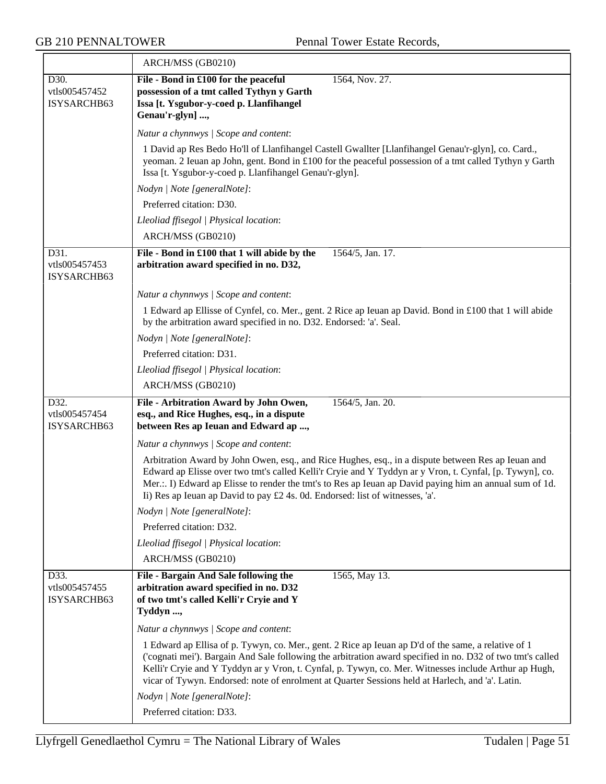$\overline{\phantom{a}}$ 

|                                      | ARCH/MSS (GB0210)                                                                                                                                                                                                                                                                                                                                                                                                              |
|--------------------------------------|--------------------------------------------------------------------------------------------------------------------------------------------------------------------------------------------------------------------------------------------------------------------------------------------------------------------------------------------------------------------------------------------------------------------------------|
| D30.<br>vtls005457452<br>ISYSARCHB63 | File - Bond in £100 for the peaceful<br>1564, Nov. 27.<br>possession of a tmt called Tythyn y Garth<br>Issa [t. Ysgubor-y-coed p. Llanfihangel<br>Genau'r-glyn] ,                                                                                                                                                                                                                                                              |
|                                      | Natur a chynnwys / Scope and content:                                                                                                                                                                                                                                                                                                                                                                                          |
|                                      | 1 David ap Res Bedo Ho'll of Llanfihangel Castell Gwallter [Llanfihangel Genau'r-glyn], co. Card.,<br>yeoman. 2 Ieuan ap John, gent. Bond in £100 for the peaceful possession of a tmt called Tythyn y Garth<br>Issa [t. Ysgubor-y-coed p. Llanfihangel Genau'r-glyn].                                                                                                                                                         |
|                                      | Nodyn   Note [generalNote]:                                                                                                                                                                                                                                                                                                                                                                                                    |
|                                      | Preferred citation: D30.                                                                                                                                                                                                                                                                                                                                                                                                       |
|                                      | Lleoliad ffisegol   Physical location:                                                                                                                                                                                                                                                                                                                                                                                         |
|                                      | ARCH/MSS (GB0210)                                                                                                                                                                                                                                                                                                                                                                                                              |
| D31.<br>vtls005457453<br>ISYSARCHB63 | File - Bond in £100 that 1 will abide by the<br>1564/5, Jan. 17.<br>arbitration award specified in no. D32,                                                                                                                                                                                                                                                                                                                    |
|                                      | Natur a chynnwys / Scope and content:                                                                                                                                                                                                                                                                                                                                                                                          |
|                                      | 1 Edward ap Ellisse of Cynfel, co. Mer., gent. 2 Rice ap Ieuan ap David. Bond in £100 that 1 will abide<br>by the arbitration award specified in no. D32. Endorsed: 'a'. Seal.                                                                                                                                                                                                                                                 |
|                                      | Nodyn   Note [generalNote]:                                                                                                                                                                                                                                                                                                                                                                                                    |
|                                      | Preferred citation: D31.                                                                                                                                                                                                                                                                                                                                                                                                       |
|                                      | Lleoliad ffisegol   Physical location:                                                                                                                                                                                                                                                                                                                                                                                         |
|                                      | ARCH/MSS (GB0210)                                                                                                                                                                                                                                                                                                                                                                                                              |
|                                      |                                                                                                                                                                                                                                                                                                                                                                                                                                |
| D32.<br>vtls005457454<br>ISYSARCHB63 | File - Arbitration Award by John Owen,<br>1564/5, Jan. 20.<br>esq., and Rice Hughes, esq., in a dispute<br>between Res ap Ieuan and Edward ap ,                                                                                                                                                                                                                                                                                |
|                                      | Natur a chynnwys / Scope and content:                                                                                                                                                                                                                                                                                                                                                                                          |
|                                      | Arbitration Award by John Owen, esq., and Rice Hughes, esq., in a dispute between Res ap Ieuan and<br>Edward ap Elisse over two tmt's called Kelli'r Cryie and Y Tyddyn ar y Vron, t. Cynfal, [p. Tywyn], co.<br>Mer.:. I) Edward ap Elisse to render the tmt's to Res ap Ieuan ap David paying him an annual sum of 1d.<br>Ii) Res ap Ieuan ap David to pay £2 4s. 0d. Endorsed: list of witnesses, 'a'.                      |
|                                      | Nodyn   Note [generalNote]:                                                                                                                                                                                                                                                                                                                                                                                                    |
|                                      | Preferred citation: D32.                                                                                                                                                                                                                                                                                                                                                                                                       |
|                                      | Lleoliad ffisegol   Physical location:                                                                                                                                                                                                                                                                                                                                                                                         |
|                                      | ARCH/MSS (GB0210)                                                                                                                                                                                                                                                                                                                                                                                                              |
| D33.<br>vtls005457455<br>ISYSARCHB63 | 1565, May 13.<br>File - Bargain And Sale following the<br>arbitration award specified in no. D32<br>of two tmt's called Kelli'r Cryie and Y<br>Tyddyn ,                                                                                                                                                                                                                                                                        |
|                                      | Natur a chynnwys / Scope and content:                                                                                                                                                                                                                                                                                                                                                                                          |
|                                      | 1 Edward ap Ellisa of p. Tywyn, co. Mer., gent. 2 Rice ap Ieuan ap D'd of the same, a relative of 1<br>('cognati mei'). Bargain And Sale following the arbitration award specified in no. D32 of two tmt's called<br>Kelli'r Cryie and Y Tyddyn ar y Vron, t. Cynfal, p. Tywyn, co. Mer. Witnesses include Arthur ap Hugh,<br>vicar of Tywyn. Endorsed: note of enrolment at Quarter Sessions held at Harlech, and 'a'. Latin. |
|                                      | Nodyn   Note [generalNote]:<br>Preferred citation: D33.                                                                                                                                                                                                                                                                                                                                                                        |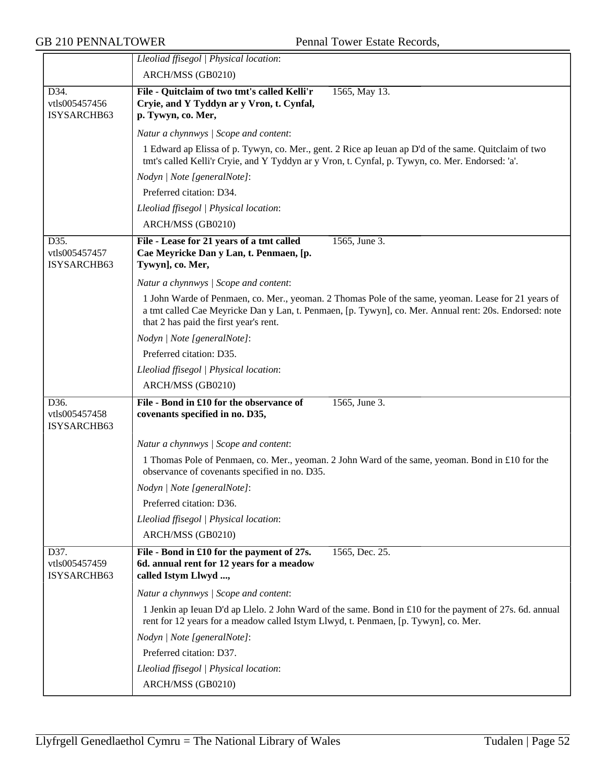|                                                   | Lleoliad ffisegol   Physical location:                                                                                                                                                                                                                  |
|---------------------------------------------------|---------------------------------------------------------------------------------------------------------------------------------------------------------------------------------------------------------------------------------------------------------|
|                                                   | ARCH/MSS (GB0210)                                                                                                                                                                                                                                       |
| D34.<br>vtls005457456<br>ISYSARCHB63              | File - Quitclaim of two tmt's called Kelli'r<br>1565, May 13.<br>Cryie, and Y Tyddyn ar y Vron, t. Cynfal,<br>p. Tywyn, co. Mer,                                                                                                                        |
|                                                   | Natur a chynnwys / Scope and content:                                                                                                                                                                                                                   |
|                                                   | 1 Edward ap Elissa of p. Tywyn, co. Mer., gent. 2 Rice ap Ieuan ap D'd of the same. Quitclaim of two<br>tmt's called Kelli'r Cryie, and Y Tyddyn ar y Vron, t. Cynfal, p. Tywyn, co. Mer. Endorsed: 'a'.                                                |
|                                                   | Nodyn   Note [generalNote]:                                                                                                                                                                                                                             |
|                                                   | Preferred citation: D34.                                                                                                                                                                                                                                |
|                                                   | Lleoliad ffisegol   Physical location:                                                                                                                                                                                                                  |
|                                                   | ARCH/MSS (GB0210)                                                                                                                                                                                                                                       |
| D35.<br>vtls005457457<br>ISYSARCHB63              | File - Lease for 21 years of a tmt called<br>1565, June 3.<br>Cae Meyricke Dan y Lan, t. Penmaen, [p.<br>Tywyn], co. Mer,                                                                                                                               |
|                                                   | Natur a chynnwys / Scope and content:                                                                                                                                                                                                                   |
|                                                   | 1 John Warde of Penmaen, co. Mer., yeoman. 2 Thomas Pole of the same, yeoman. Lease for 21 years of<br>a tmt called Cae Meyricke Dan y Lan, t. Penmaen, [p. Tywyn], co. Mer. Annual rent: 20s. Endorsed: note<br>that 2 has paid the first year's rent. |
|                                                   | Nodyn   Note [generalNote]:                                                                                                                                                                                                                             |
|                                                   | Preferred citation: D35.                                                                                                                                                                                                                                |
|                                                   | Lleoliad ffisegol   Physical location:                                                                                                                                                                                                                  |
|                                                   | ARCH/MSS (GB0210)                                                                                                                                                                                                                                       |
| D <sub>36</sub> .<br>vtls005457458<br>ISYSARCHB63 | File - Bond in £10 for the observance of<br>1565, June 3.<br>covenants specified in no. D35,                                                                                                                                                            |
|                                                   | Natur a chynnwys / Scope and content:                                                                                                                                                                                                                   |
|                                                   | 1 Thomas Pole of Penmaen, co. Mer., yeoman. 2 John Ward of the same, yeoman. Bond in £10 for the<br>observance of covenants specified in no. D35.                                                                                                       |
|                                                   | Nodyn   Note [generalNote]:                                                                                                                                                                                                                             |
|                                                   | Preferred citation: D36.                                                                                                                                                                                                                                |
|                                                   | Lleoliad ffisegol   Physical location:                                                                                                                                                                                                                  |
|                                                   | ARCH/MSS (GB0210)                                                                                                                                                                                                                                       |
| D37.<br>vtls005457459<br>ISYSARCHB63              | File - Bond in £10 for the payment of 27s.<br>1565, Dec. 25.<br>6d. annual rent for 12 years for a meadow<br>called Istym Llwyd ,                                                                                                                       |
|                                                   | Natur a chynnwys / Scope and content:                                                                                                                                                                                                                   |
|                                                   | 1 Jenkin ap Ieuan D'd ap Llelo. 2 John Ward of the same. Bond in £10 for the payment of 27s. 6d. annual<br>rent for 12 years for a meadow called Istym Llwyd, t. Penmaen, [p. Tywyn], co. Mer.                                                          |
|                                                   | Nodyn   Note [generalNote]:                                                                                                                                                                                                                             |
|                                                   | Preferred citation: D37.                                                                                                                                                                                                                                |
|                                                   | Lleoliad ffisegol   Physical location:                                                                                                                                                                                                                  |
|                                                   | ARCH/MSS (GB0210)                                                                                                                                                                                                                                       |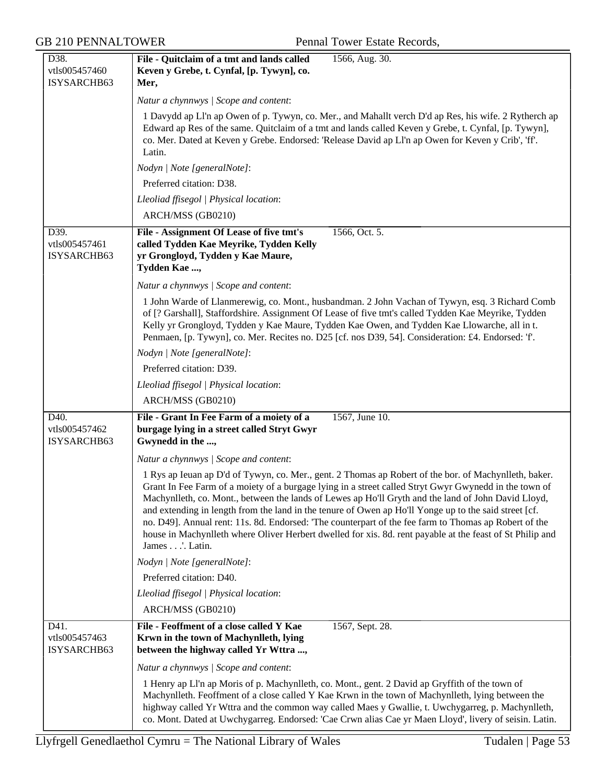| D38.                                 | 1566, Aug. 30.<br>File - Quitclaim of a tmt and lands called                                                                                                                                                                                                                                                                                                                                                                                                                                                                                                                                                                                                           |
|--------------------------------------|------------------------------------------------------------------------------------------------------------------------------------------------------------------------------------------------------------------------------------------------------------------------------------------------------------------------------------------------------------------------------------------------------------------------------------------------------------------------------------------------------------------------------------------------------------------------------------------------------------------------------------------------------------------------|
| vtls005457460                        | Keven y Grebe, t. Cynfal, [p. Tywyn], co.                                                                                                                                                                                                                                                                                                                                                                                                                                                                                                                                                                                                                              |
| ISYSARCHB63                          | Mer,                                                                                                                                                                                                                                                                                                                                                                                                                                                                                                                                                                                                                                                                   |
|                                      | Natur a chynnwys / Scope and content:                                                                                                                                                                                                                                                                                                                                                                                                                                                                                                                                                                                                                                  |
|                                      | 1 Davydd ap Ll'n ap Owen of p. Tywyn, co. Mer., and Mahallt verch D'd ap Res, his wife. 2 Rytherch ap<br>Edward ap Res of the same. Quitclaim of a tmt and lands called Keven y Grebe, t. Cynfal, [p. Tywyn],<br>co. Mer. Dated at Keven y Grebe. Endorsed: 'Release David ap Ll'n ap Owen for Keven y Crib', 'ff'.<br>Latin.                                                                                                                                                                                                                                                                                                                                          |
|                                      | Nodyn   Note [generalNote]:                                                                                                                                                                                                                                                                                                                                                                                                                                                                                                                                                                                                                                            |
|                                      | Preferred citation: D38.                                                                                                                                                                                                                                                                                                                                                                                                                                                                                                                                                                                                                                               |
|                                      | Lleoliad ffisegol   Physical location:                                                                                                                                                                                                                                                                                                                                                                                                                                                                                                                                                                                                                                 |
|                                      | ARCH/MSS (GB0210)                                                                                                                                                                                                                                                                                                                                                                                                                                                                                                                                                                                                                                                      |
| D39.<br>vtls005457461<br>ISYSARCHB63 | File - Assignment Of Lease of five tmt's<br>1566, Oct. 5.<br>called Tydden Kae Meyrike, Tydden Kelly<br>yr Grongloyd, Tydden y Kae Maure,<br>Tydden Kae ,                                                                                                                                                                                                                                                                                                                                                                                                                                                                                                              |
|                                      | Natur a chynnwys / Scope and content:                                                                                                                                                                                                                                                                                                                                                                                                                                                                                                                                                                                                                                  |
|                                      | 1 John Warde of Llanmerewig, co. Mont., husbandman. 2 John Vachan of Tywyn, esq. 3 Richard Comb<br>of [? Garshall], Staffordshire. Assignment Of Lease of five tmt's called Tydden Kae Meyrike, Tydden<br>Kelly yr Grongloyd, Tydden y Kae Maure, Tydden Kae Owen, and Tydden Kae Llowarche, all in t.<br>Penmaen, [p. Tywyn], co. Mer. Recites no. D25 [cf. nos D39, 54]. Consideration: £4. Endorsed: 'f'.                                                                                                                                                                                                                                                           |
|                                      | Nodyn   Note [generalNote]:                                                                                                                                                                                                                                                                                                                                                                                                                                                                                                                                                                                                                                            |
|                                      | Preferred citation: D39.                                                                                                                                                                                                                                                                                                                                                                                                                                                                                                                                                                                                                                               |
|                                      | Lleoliad ffisegol   Physical location:                                                                                                                                                                                                                                                                                                                                                                                                                                                                                                                                                                                                                                 |
|                                      | ARCH/MSS (GB0210)                                                                                                                                                                                                                                                                                                                                                                                                                                                                                                                                                                                                                                                      |
| D40.<br>vtls005457462<br>ISYSARCHB63 | File - Grant In Fee Farm of a moiety of a<br>1567, June 10.<br>burgage lying in a street called Stryt Gwyr<br>Gwynedd in the ,                                                                                                                                                                                                                                                                                                                                                                                                                                                                                                                                         |
|                                      | Natur a chynnwys / Scope and content:                                                                                                                                                                                                                                                                                                                                                                                                                                                                                                                                                                                                                                  |
|                                      | 1 Rys ap Ieuan ap D'd of Tywyn, co. Mer., gent. 2 Thomas ap Robert of the bor. of Machynlleth, baker.<br>Grant In Fee Farm of a moiety of a burgage lying in a street called Stryt Gwyr Gwynedd in the town of<br>Machynlleth, co. Mont., between the lands of Lewes ap Ho'll Gryth and the land of John David Lloyd,<br>and extending in length from the land in the tenure of Owen ap Ho'll Yonge up to the said street [cf.<br>no. D49]. Annual rent: 11s. 8d. Endorsed: 'The counterpart of the fee farm to Thomas ap Robert of the<br>house in Machynlleth where Oliver Herbert dwelled for xis. 8d. rent payable at the feast of St Philip and<br>James'. Latin. |
|                                      | Nodyn   Note [generalNote]:                                                                                                                                                                                                                                                                                                                                                                                                                                                                                                                                                                                                                                            |
|                                      | Preferred citation: D40.                                                                                                                                                                                                                                                                                                                                                                                                                                                                                                                                                                                                                                               |
|                                      | Lleoliad ffisegol   Physical location:                                                                                                                                                                                                                                                                                                                                                                                                                                                                                                                                                                                                                                 |
|                                      | ARCH/MSS (GB0210)                                                                                                                                                                                                                                                                                                                                                                                                                                                                                                                                                                                                                                                      |
| D41.<br>vtls005457463<br>ISYSARCHB63 | File - Feoffment of a close called Y Kae<br>1567, Sept. 28.<br>Krwn in the town of Machynlleth, lying<br>between the highway called Yr Wttra ,                                                                                                                                                                                                                                                                                                                                                                                                                                                                                                                         |
|                                      | Natur a chynnwys / Scope and content:                                                                                                                                                                                                                                                                                                                                                                                                                                                                                                                                                                                                                                  |
|                                      | 1 Henry ap LI'n ap Moris of p. Machynlleth, co. Mont., gent. 2 David ap Gryffith of the town of<br>Machynlleth. Feoffment of a close called Y Kae Krwn in the town of Machynlleth, lying between the<br>highway called Yr Wttra and the common way called Maes y Gwallie, t. Uwchygarreg, p. Machynlleth,<br>co. Mont. Dated at Uwchygarreg. Endorsed: 'Cae Crwn alias Cae yr Maen Lloyd', livery of seisin. Latin.                                                                                                                                                                                                                                                    |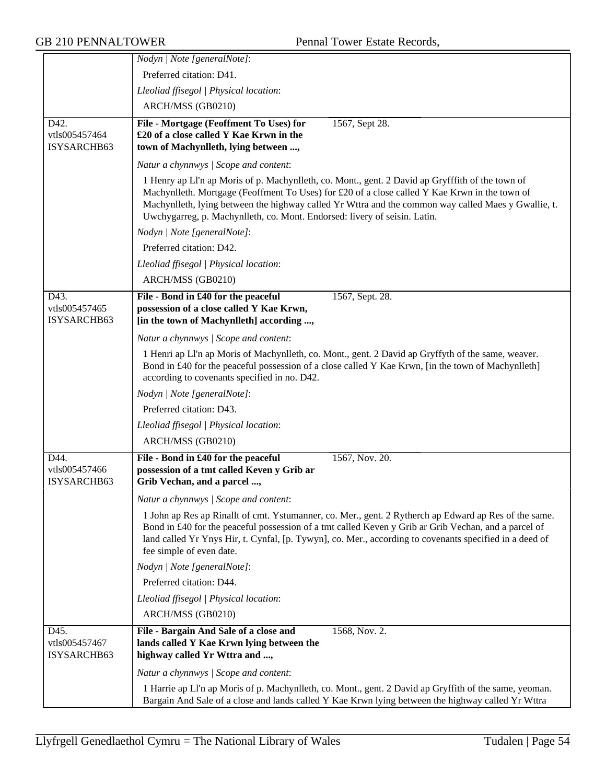|                                      | Nodyn   Note [generalNote]:                                                                                                                                                                                                                                                                                                                                                           |
|--------------------------------------|---------------------------------------------------------------------------------------------------------------------------------------------------------------------------------------------------------------------------------------------------------------------------------------------------------------------------------------------------------------------------------------|
|                                      | Preferred citation: D41.                                                                                                                                                                                                                                                                                                                                                              |
|                                      | Lleoliad ffisegol   Physical location:                                                                                                                                                                                                                                                                                                                                                |
|                                      | ARCH/MSS (GB0210)                                                                                                                                                                                                                                                                                                                                                                     |
| D42.<br>vtls005457464<br>ISYSARCHB63 | File - Mortgage (Feoffment To Uses) for<br>1567, Sept 28.<br>£20 of a close called Y Kae Krwn in the<br>town of Machynlleth, lying between ,                                                                                                                                                                                                                                          |
|                                      | Natur a chynnwys / Scope and content:                                                                                                                                                                                                                                                                                                                                                 |
|                                      | 1 Henry ap LI'n ap Moris of p. Machynlleth, co. Mont., gent. 2 David ap Gryfffith of the town of<br>Machynlleth. Mortgage (Feoffment To Uses) for £20 of a close called Y Kae Krwn in the town of<br>Machynlleth, lying between the highway called Yr Wttra and the common way called Maes y Gwallie, t.<br>Uwchygarreg, p. Machynlleth, co. Mont. Endorsed: livery of seisin. Latin. |
|                                      | Nodyn   Note [generalNote]:                                                                                                                                                                                                                                                                                                                                                           |
|                                      | Preferred citation: D42.                                                                                                                                                                                                                                                                                                                                                              |
|                                      | Lleoliad ffisegol   Physical location:                                                                                                                                                                                                                                                                                                                                                |
|                                      | ARCH/MSS (GB0210)                                                                                                                                                                                                                                                                                                                                                                     |
| D43.<br>vtls005457465<br>ISYSARCHB63 | 1567, Sept. 28.<br>File - Bond in £40 for the peaceful<br>possession of a close called Y Kae Krwn,<br>[in the town of Machynlleth] according ,                                                                                                                                                                                                                                        |
|                                      | Natur a chynnwys / Scope and content:                                                                                                                                                                                                                                                                                                                                                 |
|                                      | 1 Henri ap Ll'n ap Moris of Machynlleth, co. Mont., gent. 2 David ap Gryffyth of the same, weaver.<br>Bond in £40 for the peaceful possession of a close called Y Kae Krwn, [in the town of Machynlleth]<br>according to covenants specified in no. D42.                                                                                                                              |
|                                      | Nodyn   Note [generalNote]:                                                                                                                                                                                                                                                                                                                                                           |
|                                      | Preferred citation: D43.                                                                                                                                                                                                                                                                                                                                                              |
|                                      | Lleoliad ffisegol   Physical location:                                                                                                                                                                                                                                                                                                                                                |
|                                      | ARCH/MSS (GB0210)                                                                                                                                                                                                                                                                                                                                                                     |
| D44.<br>vtls005457466<br>ISYSARCHB63 | File - Bond in £40 for the peaceful<br>1567, Nov. 20.<br>possession of a tmt called Keven y Grib ar<br>Grib Vechan, and a parcel ,                                                                                                                                                                                                                                                    |
|                                      | Natur a chynnwys / Scope and content:                                                                                                                                                                                                                                                                                                                                                 |
|                                      | 1 John ap Res ap Rinallt of cmt. Ystumanner, co. Mer., gent. 2 Rytherch ap Edward ap Res of the same.<br>Bond in £40 for the peaceful possession of a tmt called Keven y Grib ar Grib Vechan, and a parcel of<br>land called Yr Ynys Hir, t. Cynfal, [p. Tywyn], co. Mer., according to covenants specified in a deed of<br>fee simple of even date.                                  |
|                                      | Nodyn   Note [generalNote]:                                                                                                                                                                                                                                                                                                                                                           |
|                                      | Preferred citation: D44.                                                                                                                                                                                                                                                                                                                                                              |
|                                      | Lleoliad ffisegol   Physical location:                                                                                                                                                                                                                                                                                                                                                |
|                                      | ARCH/MSS (GB0210)                                                                                                                                                                                                                                                                                                                                                                     |
| D45.<br>vtls005457467<br>ISYSARCHB63 | File - Bargain And Sale of a close and<br>1568, Nov. 2.<br>lands called Y Kae Krwn lying between the<br>highway called Yr Wttra and ,                                                                                                                                                                                                                                                 |
|                                      | Natur a chynnwys / Scope and content:                                                                                                                                                                                                                                                                                                                                                 |
|                                      | 1 Harrie ap Ll'n ap Moris of p. Machynlleth, co. Mont., gent. 2 David ap Gryffith of the same, yeoman.<br>Bargain And Sale of a close and lands called Y Kae Krwn lying between the highway called Yr Wttra                                                                                                                                                                           |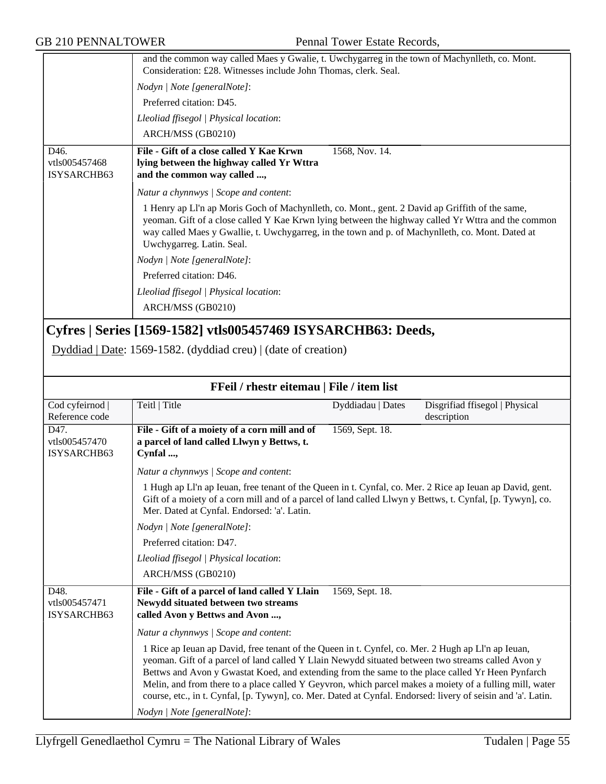|                                      | and the common way called Maes y Gwalie, t. Uwchygarreg in the town of Machynlleth, co. Mont.<br>Consideration: £28. Witnesses include John Thomas, clerk. Seal.                                                                                                                                                                       |
|--------------------------------------|----------------------------------------------------------------------------------------------------------------------------------------------------------------------------------------------------------------------------------------------------------------------------------------------------------------------------------------|
|                                      | Nodyn   Note [generalNote]:                                                                                                                                                                                                                                                                                                            |
|                                      | Preferred citation: D45.                                                                                                                                                                                                                                                                                                               |
|                                      | Lleoliad ffisegol   Physical location:                                                                                                                                                                                                                                                                                                 |
|                                      | ARCH/MSS (GB0210)                                                                                                                                                                                                                                                                                                                      |
| D46.<br>vtls005457468<br>ISYSARCHB63 | File - Gift of a close called Y Kae Krwn<br>1568, Nov. 14.<br>lying between the highway called Yr Wttra<br>and the common way called ,                                                                                                                                                                                                 |
|                                      | Natur a chynnwys / Scope and content:                                                                                                                                                                                                                                                                                                  |
|                                      | 1 Henry ap Ll'n ap Moris Goch of Machynlleth, co. Mont., gent. 2 David ap Griffith of the same,<br>yeoman. Gift of a close called Y Kae Krwn lying between the highway called Yr Wttra and the common<br>way called Maes y Gwallie, t. Uwchygarreg, in the town and p. of Machynlleth, co. Mont. Dated at<br>Uwchygarreg. Latin. Seal. |
|                                      | Nodyn   Note [generalNote]:                                                                                                                                                                                                                                                                                                            |
|                                      | Preferred citation: D46.                                                                                                                                                                                                                                                                                                               |
|                                      | Lleoliad ffisegol   Physical location:                                                                                                                                                                                                                                                                                                 |
|                                      | ARCH/MSS (GB0210)                                                                                                                                                                                                                                                                                                                      |

# **Cyfres | Series [1569-1582] vtls005457469 ISYSARCHB63: Deeds,**

Dyddiad | Date: 1569-1582. (dyddiad creu) | (date of creation)

| FFeil / rhestr eitemau   File / item list |                                                                                                                                                                                                                                                                                                                                                                                                                                                                                                                                                                       |                   |                                               |
|-------------------------------------------|-----------------------------------------------------------------------------------------------------------------------------------------------------------------------------------------------------------------------------------------------------------------------------------------------------------------------------------------------------------------------------------------------------------------------------------------------------------------------------------------------------------------------------------------------------------------------|-------------------|-----------------------------------------------|
| Cod cyfeirnod  <br>Reference code         | Teitl   Title                                                                                                                                                                                                                                                                                                                                                                                                                                                                                                                                                         | Dyddiadau   Dates | Disgrifiad ffisegol   Physical<br>description |
| D47.<br>vtls005457470<br>ISYSARCHB63      | File - Gift of a moiety of a corn mill and of<br>a parcel of land called Llwyn y Bettws, t.<br>Cynfal ,                                                                                                                                                                                                                                                                                                                                                                                                                                                               | 1569, Sept. 18.   |                                               |
|                                           | Natur a chynnwys / Scope and content:                                                                                                                                                                                                                                                                                                                                                                                                                                                                                                                                 |                   |                                               |
|                                           | 1 Hugh ap Ll'n ap Ieuan, free tenant of the Queen in t. Cynfal, co. Mer. 2 Rice ap Ieuan ap David, gent.<br>Gift of a moiety of a corn mill and of a parcel of land called Llwyn y Bettws, t. Cynfal, [p. Tywyn], co.<br>Mer. Dated at Cynfal. Endorsed: 'a'. Latin.                                                                                                                                                                                                                                                                                                  |                   |                                               |
|                                           | Nodyn   Note [generalNote]:                                                                                                                                                                                                                                                                                                                                                                                                                                                                                                                                           |                   |                                               |
|                                           | Preferred citation: D47.                                                                                                                                                                                                                                                                                                                                                                                                                                                                                                                                              |                   |                                               |
|                                           | Lleoliad ffisegol   Physical location:                                                                                                                                                                                                                                                                                                                                                                                                                                                                                                                                |                   |                                               |
|                                           | ARCH/MSS (GB0210)                                                                                                                                                                                                                                                                                                                                                                                                                                                                                                                                                     |                   |                                               |
| D48.<br>vtls005457471<br>ISYSARCHB63      | File - Gift of a parcel of land called Y Llain<br>Newydd situated between two streams<br>called Avon y Bettws and Avon ,                                                                                                                                                                                                                                                                                                                                                                                                                                              | 1569, Sept. 18.   |                                               |
|                                           | Natur a chynnwys / Scope and content:                                                                                                                                                                                                                                                                                                                                                                                                                                                                                                                                 |                   |                                               |
|                                           | 1 Rice ap Ieuan ap David, free tenant of the Queen in t. Cynfel, co. Mer. 2 Hugh ap Ll'n ap Ieuan,<br>yeoman. Gift of a parcel of land called Y Llain Newydd situated between two streams called Avon y<br>Bettws and Avon y Gwastat Koed, and extending from the same to the place called Yr Heen Pynfarch<br>Melin, and from there to a place called Y Geyvron, which parcel makes a moiety of a fulling mill, water<br>course, etc., in t. Cynfal, [p. Tywyn], co. Mer. Dated at Cynfal. Endorsed: livery of seisin and 'a'. Latin.<br>Nodyn   Note [generalNote]: |                   |                                               |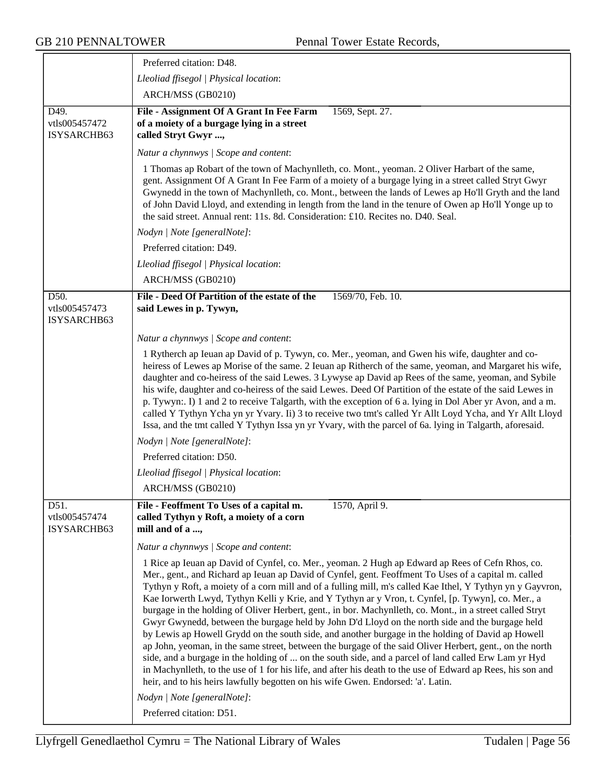| 1 Thomas ap Robart of the town of Machynlleth, co. Mont., yeoman. 2 Oliver Harbart of the same,<br>gent. Assignment Of A Grant In Fee Farm of a moiety of a burgage lying in a street called Stryt Gwyr<br>Gwynedd in the town of Machynlleth, co. Mont., between the lands of Lewes ap Ho'll Gryth and the land<br>of John David Lloyd, and extending in length from the land in the tenure of Owen ap Ho'll Yonge up to                                                                                                                                                                                                                                                                                                                                                                                                                                                                                                                                                                                                                                                            |
|--------------------------------------------------------------------------------------------------------------------------------------------------------------------------------------------------------------------------------------------------------------------------------------------------------------------------------------------------------------------------------------------------------------------------------------------------------------------------------------------------------------------------------------------------------------------------------------------------------------------------------------------------------------------------------------------------------------------------------------------------------------------------------------------------------------------------------------------------------------------------------------------------------------------------------------------------------------------------------------------------------------------------------------------------------------------------------------|
|                                                                                                                                                                                                                                                                                                                                                                                                                                                                                                                                                                                                                                                                                                                                                                                                                                                                                                                                                                                                                                                                                      |
|                                                                                                                                                                                                                                                                                                                                                                                                                                                                                                                                                                                                                                                                                                                                                                                                                                                                                                                                                                                                                                                                                      |
|                                                                                                                                                                                                                                                                                                                                                                                                                                                                                                                                                                                                                                                                                                                                                                                                                                                                                                                                                                                                                                                                                      |
|                                                                                                                                                                                                                                                                                                                                                                                                                                                                                                                                                                                                                                                                                                                                                                                                                                                                                                                                                                                                                                                                                      |
|                                                                                                                                                                                                                                                                                                                                                                                                                                                                                                                                                                                                                                                                                                                                                                                                                                                                                                                                                                                                                                                                                      |
|                                                                                                                                                                                                                                                                                                                                                                                                                                                                                                                                                                                                                                                                                                                                                                                                                                                                                                                                                                                                                                                                                      |
| heiress of Lewes ap Morise of the same. 2 Ieuan ap Ritherch of the same, yeoman, and Margaret his wife,<br>daughter and co-heiress of the said Lewes. 3 Lywyse ap David ap Rees of the same, yeoman, and Sybile<br>his wife, daughter and co-heiress of the said Lewes. Deed Of Partition of the estate of the said Lewes in<br>p. Tywyn: I) 1 and 2 to receive Talgarth, with the exception of 6 a. lying in Dol Aber yr Avon, and a m.<br>called Y Tythyn Ycha yn yr Yvary. Ii) 3 to receive two tmt's called Yr Allt Loyd Ycha, and Yr Allt Lloyd<br>Issa, and the tmt called Y Tythyn Issa yn yr Yvary, with the parcel of 6a. lying in Talgarth, aforesaid.                                                                                                                                                                                                                                                                                                                                                                                                                     |
|                                                                                                                                                                                                                                                                                                                                                                                                                                                                                                                                                                                                                                                                                                                                                                                                                                                                                                                                                                                                                                                                                      |
|                                                                                                                                                                                                                                                                                                                                                                                                                                                                                                                                                                                                                                                                                                                                                                                                                                                                                                                                                                                                                                                                                      |
|                                                                                                                                                                                                                                                                                                                                                                                                                                                                                                                                                                                                                                                                                                                                                                                                                                                                                                                                                                                                                                                                                      |
|                                                                                                                                                                                                                                                                                                                                                                                                                                                                                                                                                                                                                                                                                                                                                                                                                                                                                                                                                                                                                                                                                      |
|                                                                                                                                                                                                                                                                                                                                                                                                                                                                                                                                                                                                                                                                                                                                                                                                                                                                                                                                                                                                                                                                                      |
|                                                                                                                                                                                                                                                                                                                                                                                                                                                                                                                                                                                                                                                                                                                                                                                                                                                                                                                                                                                                                                                                                      |
|                                                                                                                                                                                                                                                                                                                                                                                                                                                                                                                                                                                                                                                                                                                                                                                                                                                                                                                                                                                                                                                                                      |
| 1 Rice ap Ieuan ap David of Cynfel, co. Mer., yeoman. 2 Hugh ap Edward ap Rees of Cefn Rhos, co.<br>Mer., gent., and Richard ap Ieuan ap David of Cynfel, gent. Feoffment To Uses of a capital m. called<br>Tythyn y Roft, a moiety of a corn mill and of a fulling mill, m's called Kae Ithel, Y Tythyn yn y Gayvron,<br>Kae Iorwerth Lwyd, Tythyn Kelli y Krie, and Y Tythyn ar y Vron, t. Cynfel, [p. Tywyn], co. Mer., a<br>burgage in the holding of Oliver Herbert, gent., in bor. Machynlleth, co. Mont., in a street called Stryt<br>Gwyr Gwynedd, between the burgage held by John D'd Lloyd on the north side and the burgage held<br>by Lewis ap Howell Grydd on the south side, and another burgage in the holding of David ap Howell<br>ap John, yeoman, in the same street, between the burgage of the said Oliver Herbert, gent., on the north<br>side, and a burgage in the holding of  on the south side, and a parcel of land called Erw Lam yr Hyd<br>in Machynlleth, to the use of 1 for his life, and after his death to the use of Edward ap Rees, his son and |
| 1 Rytherch ap Ieuan ap David of p. Tywyn, co. Mer., yeoman, and Gwen his wife, daughter and co-                                                                                                                                                                                                                                                                                                                                                                                                                                                                                                                                                                                                                                                                                                                                                                                                                                                                                                                                                                                      |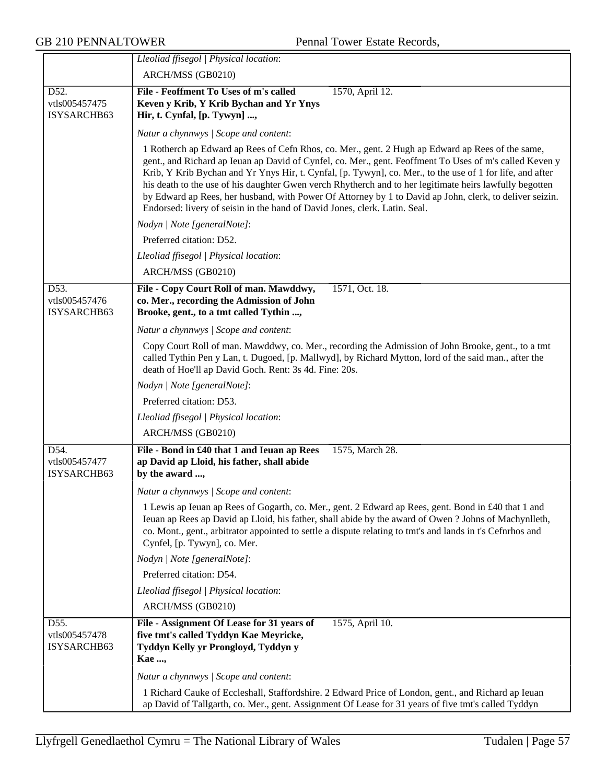|                                      | Lleoliad ffisegol   Physical location:<br>ARCH/MSS (GB0210)                                                                                                                                                                                                                                                                                                                                                                                                                                                                                                                                                                  |
|--------------------------------------|------------------------------------------------------------------------------------------------------------------------------------------------------------------------------------------------------------------------------------------------------------------------------------------------------------------------------------------------------------------------------------------------------------------------------------------------------------------------------------------------------------------------------------------------------------------------------------------------------------------------------|
|                                      |                                                                                                                                                                                                                                                                                                                                                                                                                                                                                                                                                                                                                              |
| D52.<br>vtls005457475                | File - Feoffment To Uses of m's called<br>1570, April 12.<br>Keven y Krib, Y Krib Bychan and Yr Ynys                                                                                                                                                                                                                                                                                                                                                                                                                                                                                                                         |
| ISYSARCHB63                          | Hir, t. Cynfal, [p. Tywyn] ,                                                                                                                                                                                                                                                                                                                                                                                                                                                                                                                                                                                                 |
|                                      | Natur a chynnwys / Scope and content:                                                                                                                                                                                                                                                                                                                                                                                                                                                                                                                                                                                        |
|                                      | 1 Rotherch ap Edward ap Rees of Cefn Rhos, co. Mer., gent. 2 Hugh ap Edward ap Rees of the same,<br>gent., and Richard ap Ieuan ap David of Cynfel, co. Mer., gent. Feoffment To Uses of m's called Keven y<br>Krib, Y Krib Bychan and Yr Ynys Hir, t. Cynfal, [p. Tywyn], co. Mer., to the use of 1 for life, and after<br>his death to the use of his daughter Gwen verch Rhytherch and to her legitimate heirs lawfully begotten<br>by Edward ap Rees, her husband, with Power Of Attorney by 1 to David ap John, clerk, to deliver seizin.<br>Endorsed: livery of seisin in the hand of David Jones, clerk. Latin. Seal. |
|                                      | Nodyn   Note [generalNote]:                                                                                                                                                                                                                                                                                                                                                                                                                                                                                                                                                                                                  |
|                                      | Preferred citation: D52.                                                                                                                                                                                                                                                                                                                                                                                                                                                                                                                                                                                                     |
|                                      | Lleoliad ffisegol   Physical location:                                                                                                                                                                                                                                                                                                                                                                                                                                                                                                                                                                                       |
|                                      | ARCH/MSS (GB0210)                                                                                                                                                                                                                                                                                                                                                                                                                                                                                                                                                                                                            |
| D53.<br>vtls005457476<br>ISYSARCHB63 | File - Copy Court Roll of man. Mawddwy,<br>1571, Oct. 18.<br>co. Mer., recording the Admission of John<br>Brooke, gent., to a tmt called Tythin ,                                                                                                                                                                                                                                                                                                                                                                                                                                                                            |
|                                      | Natur a chynnwys / Scope and content:                                                                                                                                                                                                                                                                                                                                                                                                                                                                                                                                                                                        |
|                                      | Copy Court Roll of man. Mawddwy, co. Mer., recording the Admission of John Brooke, gent., to a tmt<br>called Tythin Pen y Lan, t. Dugoed, [p. Mallwyd], by Richard Mytton, lord of the said man., after the<br>death of Hoe'll ap David Goch. Rent: 3s 4d. Fine: 20s.                                                                                                                                                                                                                                                                                                                                                        |
|                                      | Nodyn   Note [generalNote]:                                                                                                                                                                                                                                                                                                                                                                                                                                                                                                                                                                                                  |
|                                      | Preferred citation: D53.                                                                                                                                                                                                                                                                                                                                                                                                                                                                                                                                                                                                     |
|                                      | Lleoliad ffisegol   Physical location:                                                                                                                                                                                                                                                                                                                                                                                                                                                                                                                                                                                       |
|                                      | ARCH/MSS (GB0210)                                                                                                                                                                                                                                                                                                                                                                                                                                                                                                                                                                                                            |
| D54.<br>vtls005457477<br>ISYSARCHB63 | File - Bond in £40 that 1 and Ieuan ap Rees<br>1575, March 28.<br>ap David ap Lloid, his father, shall abide<br>by the award ,                                                                                                                                                                                                                                                                                                                                                                                                                                                                                               |
|                                      | Natur a chynnwys / Scope and content:                                                                                                                                                                                                                                                                                                                                                                                                                                                                                                                                                                                        |
|                                      | 1 Lewis ap Ieuan ap Rees of Gogarth, co. Mer., gent. 2 Edward ap Rees, gent. Bond in £40 that 1 and<br>Ieuan ap Rees ap David ap Lloid, his father, shall abide by the award of Owen ? Johns of Machynlleth,<br>co. Mont., gent., arbitrator appointed to settle a dispute relating to tmt's and lands in t's Cefnrhos and<br>Cynfel, [p. Tywyn], co. Mer.                                                                                                                                                                                                                                                                   |
|                                      | Nodyn   Note [generalNote]:                                                                                                                                                                                                                                                                                                                                                                                                                                                                                                                                                                                                  |
|                                      | Preferred citation: D54.                                                                                                                                                                                                                                                                                                                                                                                                                                                                                                                                                                                                     |
|                                      | Lleoliad ffisegol   Physical location:                                                                                                                                                                                                                                                                                                                                                                                                                                                                                                                                                                                       |
|                                      | ARCH/MSS (GB0210)                                                                                                                                                                                                                                                                                                                                                                                                                                                                                                                                                                                                            |
| D55.<br>vtls005457478<br>ISYSARCHB63 | 1575, April 10.<br>File - Assignment Of Lease for 31 years of<br>five tmt's called Tyddyn Kae Meyricke,<br>Tyddyn Kelly yr Prongloyd, Tyddyn y<br><b>Kae</b> ,                                                                                                                                                                                                                                                                                                                                                                                                                                                               |
|                                      | Natur a chynnwys / Scope and content:                                                                                                                                                                                                                                                                                                                                                                                                                                                                                                                                                                                        |
|                                      | 1 Richard Cauke of Eccleshall, Staffordshire. 2 Edward Price of London, gent., and Richard ap Ieuan<br>ap David of Tallgarth, co. Mer., gent. Assignment Of Lease for 31 years of five tmt's called Tyddyn                                                                                                                                                                                                                                                                                                                                                                                                                   |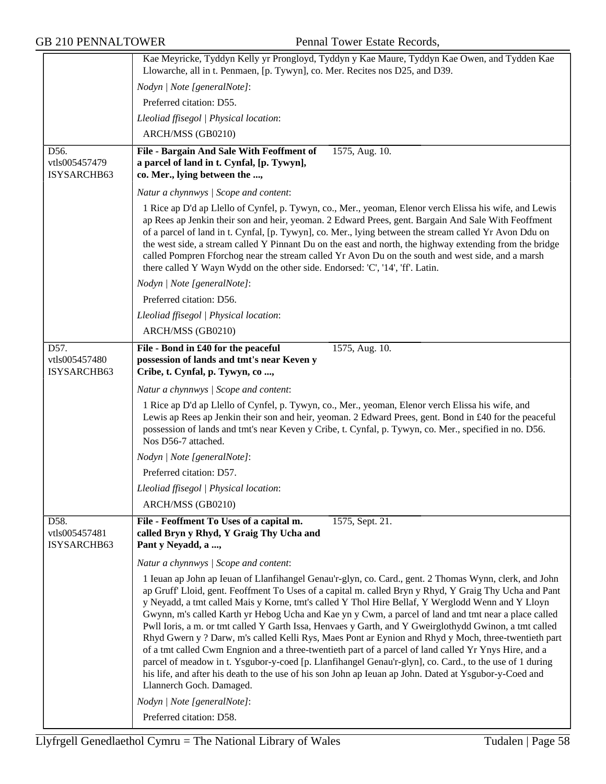| Nodyn   Note [generalNote]:<br>Preferred citation: D55.<br>Lleoliad ffisegol   Physical location:<br>ARCH/MSS (GB0210)<br>D56.<br>File - Bargain And Sale With Feoffment of<br>1575, Aug. 10.<br>vtls005457479<br>a parcel of land in t. Cynfal, [p. Tywyn],<br>ISYSARCHB63<br>co. Mer., lying between the ,<br>Natur a chynnwys / Scope and content:<br>1 Rice ap D'd ap Llello of Cynfel, p. Tywyn, co., Mer., yeoman, Elenor verch Elissa his wife, and Lewis<br>ap Rees ap Jenkin their son and heir, yeoman. 2 Edward Prees, gent. Bargain And Sale With Feoffment<br>of a parcel of land in t. Cynfal, [p. Tywyn], co. Mer., lying between the stream called Yr Avon Ddu on<br>the west side, a stream called Y Pinnant Du on the east and north, the highway extending from the bridge<br>called Pompren Fforchog near the stream called Yr Avon Du on the south and west side, and a marsh<br>there called Y Wayn Wydd on the other side. Endorsed: 'C', '14', 'ff'. Latin.<br>Nodyn   Note [generalNote]:<br>Preferred citation: D56.<br>Lleoliad ffisegol   Physical location:<br>ARCH/MSS (GB0210)<br>D57.<br>File - Bond in £40 for the peaceful<br>1575, Aug. 10.<br>possession of lands and tmt's near Keven y<br>vtls005457480<br>ISYSARCHB63<br>Cribe, t. Cynfal, p. Tywyn, co,<br>Natur a chynnwys / Scope and content:<br>1 Rice ap D'd ap Llello of Cynfel, p. Tywyn, co., Mer., yeoman, Elenor verch Elissa his wife, and<br>Lewis ap Rees ap Jenkin their son and heir, yeoman. 2 Edward Prees, gent. Bond in £40 for the peaceful<br>possession of lands and tmt's near Keven y Cribe, t. Cynfal, p. Tywyn, co. Mer., specified in no. D56.<br>Nos D56-7 attached.<br>Nodyn   Note [generalNote]:<br>Preferred citation: D57.<br>Lleoliad ffisegol   Physical location:<br>ARCH/MSS (GB0210)<br>D58.<br>File - Feoffment To Uses of a capital m.<br>1575, Sept. 21.<br>called Bryn y Rhyd, Y Graig Thy Ucha and<br>vtls005457481<br>Pant y Neyadd, a ,<br>ISYSARCHB63<br>Natur a chynnwys / Scope and content:<br>1 Ieuan ap John ap Ieuan of Llanfihangel Genau'r-glyn, co. Card., gent. 2 Thomas Wynn, clerk, and John<br>ap Gruff' Lloid, gent. Feoffment To Uses of a capital m. called Bryn y Rhyd, Y Graig Thy Ucha and Pant<br>y Neyadd, a tmt called Mais y Korne, tmt's called Y Thol Hire Bellaf, Y Werglodd Wenn and Y Lloyn<br>Gwynn, m's called Karth yr Hebog Ucha and Kae yn y Cwm, a parcel of land and tmt near a place called | Kae Meyricke, Tyddyn Kelly yr Prongloyd, Tyddyn y Kae Maure, Tyddyn Kae Owen, and Tydden Kae<br>Llowarche, all in t. Penmaen, [p. Tywyn], co. Mer. Recites nos D25, and D39. |
|-----------------------------------------------------------------------------------------------------------------------------------------------------------------------------------------------------------------------------------------------------------------------------------------------------------------------------------------------------------------------------------------------------------------------------------------------------------------------------------------------------------------------------------------------------------------------------------------------------------------------------------------------------------------------------------------------------------------------------------------------------------------------------------------------------------------------------------------------------------------------------------------------------------------------------------------------------------------------------------------------------------------------------------------------------------------------------------------------------------------------------------------------------------------------------------------------------------------------------------------------------------------------------------------------------------------------------------------------------------------------------------------------------------------------------------------------------------------------------------------------------------------------------------------------------------------------------------------------------------------------------------------------------------------------------------------------------------------------------------------------------------------------------------------------------------------------------------------------------------------------------------------------------------------------------------------------------------------------------------------------------------------------------------------------------------------------------------------------------------------------------------------------------------------------------------------------------------------------------------------------------------------------------------------------------------------------------------------------------------------------------------------------------------------------------------------------------------------------|------------------------------------------------------------------------------------------------------------------------------------------------------------------------------|
|                                                                                                                                                                                                                                                                                                                                                                                                                                                                                                                                                                                                                                                                                                                                                                                                                                                                                                                                                                                                                                                                                                                                                                                                                                                                                                                                                                                                                                                                                                                                                                                                                                                                                                                                                                                                                                                                                                                                                                                                                                                                                                                                                                                                                                                                                                                                                                                                                                                                       |                                                                                                                                                                              |
|                                                                                                                                                                                                                                                                                                                                                                                                                                                                                                                                                                                                                                                                                                                                                                                                                                                                                                                                                                                                                                                                                                                                                                                                                                                                                                                                                                                                                                                                                                                                                                                                                                                                                                                                                                                                                                                                                                                                                                                                                                                                                                                                                                                                                                                                                                                                                                                                                                                                       |                                                                                                                                                                              |
|                                                                                                                                                                                                                                                                                                                                                                                                                                                                                                                                                                                                                                                                                                                                                                                                                                                                                                                                                                                                                                                                                                                                                                                                                                                                                                                                                                                                                                                                                                                                                                                                                                                                                                                                                                                                                                                                                                                                                                                                                                                                                                                                                                                                                                                                                                                                                                                                                                                                       |                                                                                                                                                                              |
|                                                                                                                                                                                                                                                                                                                                                                                                                                                                                                                                                                                                                                                                                                                                                                                                                                                                                                                                                                                                                                                                                                                                                                                                                                                                                                                                                                                                                                                                                                                                                                                                                                                                                                                                                                                                                                                                                                                                                                                                                                                                                                                                                                                                                                                                                                                                                                                                                                                                       |                                                                                                                                                                              |
|                                                                                                                                                                                                                                                                                                                                                                                                                                                                                                                                                                                                                                                                                                                                                                                                                                                                                                                                                                                                                                                                                                                                                                                                                                                                                                                                                                                                                                                                                                                                                                                                                                                                                                                                                                                                                                                                                                                                                                                                                                                                                                                                                                                                                                                                                                                                                                                                                                                                       |                                                                                                                                                                              |
|                                                                                                                                                                                                                                                                                                                                                                                                                                                                                                                                                                                                                                                                                                                                                                                                                                                                                                                                                                                                                                                                                                                                                                                                                                                                                                                                                                                                                                                                                                                                                                                                                                                                                                                                                                                                                                                                                                                                                                                                                                                                                                                                                                                                                                                                                                                                                                                                                                                                       |                                                                                                                                                                              |
|                                                                                                                                                                                                                                                                                                                                                                                                                                                                                                                                                                                                                                                                                                                                                                                                                                                                                                                                                                                                                                                                                                                                                                                                                                                                                                                                                                                                                                                                                                                                                                                                                                                                                                                                                                                                                                                                                                                                                                                                                                                                                                                                                                                                                                                                                                                                                                                                                                                                       |                                                                                                                                                                              |
|                                                                                                                                                                                                                                                                                                                                                                                                                                                                                                                                                                                                                                                                                                                                                                                                                                                                                                                                                                                                                                                                                                                                                                                                                                                                                                                                                                                                                                                                                                                                                                                                                                                                                                                                                                                                                                                                                                                                                                                                                                                                                                                                                                                                                                                                                                                                                                                                                                                                       |                                                                                                                                                                              |
|                                                                                                                                                                                                                                                                                                                                                                                                                                                                                                                                                                                                                                                                                                                                                                                                                                                                                                                                                                                                                                                                                                                                                                                                                                                                                                                                                                                                                                                                                                                                                                                                                                                                                                                                                                                                                                                                                                                                                                                                                                                                                                                                                                                                                                                                                                                                                                                                                                                                       |                                                                                                                                                                              |
|                                                                                                                                                                                                                                                                                                                                                                                                                                                                                                                                                                                                                                                                                                                                                                                                                                                                                                                                                                                                                                                                                                                                                                                                                                                                                                                                                                                                                                                                                                                                                                                                                                                                                                                                                                                                                                                                                                                                                                                                                                                                                                                                                                                                                                                                                                                                                                                                                                                                       |                                                                                                                                                                              |
|                                                                                                                                                                                                                                                                                                                                                                                                                                                                                                                                                                                                                                                                                                                                                                                                                                                                                                                                                                                                                                                                                                                                                                                                                                                                                                                                                                                                                                                                                                                                                                                                                                                                                                                                                                                                                                                                                                                                                                                                                                                                                                                                                                                                                                                                                                                                                                                                                                                                       |                                                                                                                                                                              |
|                                                                                                                                                                                                                                                                                                                                                                                                                                                                                                                                                                                                                                                                                                                                                                                                                                                                                                                                                                                                                                                                                                                                                                                                                                                                                                                                                                                                                                                                                                                                                                                                                                                                                                                                                                                                                                                                                                                                                                                                                                                                                                                                                                                                                                                                                                                                                                                                                                                                       |                                                                                                                                                                              |
|                                                                                                                                                                                                                                                                                                                                                                                                                                                                                                                                                                                                                                                                                                                                                                                                                                                                                                                                                                                                                                                                                                                                                                                                                                                                                                                                                                                                                                                                                                                                                                                                                                                                                                                                                                                                                                                                                                                                                                                                                                                                                                                                                                                                                                                                                                                                                                                                                                                                       |                                                                                                                                                                              |
|                                                                                                                                                                                                                                                                                                                                                                                                                                                                                                                                                                                                                                                                                                                                                                                                                                                                                                                                                                                                                                                                                                                                                                                                                                                                                                                                                                                                                                                                                                                                                                                                                                                                                                                                                                                                                                                                                                                                                                                                                                                                                                                                                                                                                                                                                                                                                                                                                                                                       |                                                                                                                                                                              |
|                                                                                                                                                                                                                                                                                                                                                                                                                                                                                                                                                                                                                                                                                                                                                                                                                                                                                                                                                                                                                                                                                                                                                                                                                                                                                                                                                                                                                                                                                                                                                                                                                                                                                                                                                                                                                                                                                                                                                                                                                                                                                                                                                                                                                                                                                                                                                                                                                                                                       |                                                                                                                                                                              |
|                                                                                                                                                                                                                                                                                                                                                                                                                                                                                                                                                                                                                                                                                                                                                                                                                                                                                                                                                                                                                                                                                                                                                                                                                                                                                                                                                                                                                                                                                                                                                                                                                                                                                                                                                                                                                                                                                                                                                                                                                                                                                                                                                                                                                                                                                                                                                                                                                                                                       |                                                                                                                                                                              |
|                                                                                                                                                                                                                                                                                                                                                                                                                                                                                                                                                                                                                                                                                                                                                                                                                                                                                                                                                                                                                                                                                                                                                                                                                                                                                                                                                                                                                                                                                                                                                                                                                                                                                                                                                                                                                                                                                                                                                                                                                                                                                                                                                                                                                                                                                                                                                                                                                                                                       |                                                                                                                                                                              |
|                                                                                                                                                                                                                                                                                                                                                                                                                                                                                                                                                                                                                                                                                                                                                                                                                                                                                                                                                                                                                                                                                                                                                                                                                                                                                                                                                                                                                                                                                                                                                                                                                                                                                                                                                                                                                                                                                                                                                                                                                                                                                                                                                                                                                                                                                                                                                                                                                                                                       |                                                                                                                                                                              |
|                                                                                                                                                                                                                                                                                                                                                                                                                                                                                                                                                                                                                                                                                                                                                                                                                                                                                                                                                                                                                                                                                                                                                                                                                                                                                                                                                                                                                                                                                                                                                                                                                                                                                                                                                                                                                                                                                                                                                                                                                                                                                                                                                                                                                                                                                                                                                                                                                                                                       |                                                                                                                                                                              |
|                                                                                                                                                                                                                                                                                                                                                                                                                                                                                                                                                                                                                                                                                                                                                                                                                                                                                                                                                                                                                                                                                                                                                                                                                                                                                                                                                                                                                                                                                                                                                                                                                                                                                                                                                                                                                                                                                                                                                                                                                                                                                                                                                                                                                                                                                                                                                                                                                                                                       |                                                                                                                                                                              |
|                                                                                                                                                                                                                                                                                                                                                                                                                                                                                                                                                                                                                                                                                                                                                                                                                                                                                                                                                                                                                                                                                                                                                                                                                                                                                                                                                                                                                                                                                                                                                                                                                                                                                                                                                                                                                                                                                                                                                                                                                                                                                                                                                                                                                                                                                                                                                                                                                                                                       |                                                                                                                                                                              |
| Rhyd Gwern y ? Darw, m's called Kelli Rys, Maes Pont ar Eynion and Rhyd y Moch, three-twentieth part<br>of a tmt called Cwm Engnion and a three-twentieth part of a parcel of land called Yr Ynys Hire, and a<br>parcel of meadow in t. Ysgubor-y-coed [p. Llanfihangel Genau'r-glyn], co. Card., to the use of 1 during<br>his life, and after his death to the use of his son John ap Ieuan ap John. Dated at Ysgubor-y-Coed and<br>Llannerch Goch. Damaged.<br>Nodyn   Note [generalNote]:                                                                                                                                                                                                                                                                                                                                                                                                                                                                                                                                                                                                                                                                                                                                                                                                                                                                                                                                                                                                                                                                                                                                                                                                                                                                                                                                                                                                                                                                                                                                                                                                                                                                                                                                                                                                                                                                                                                                                                         | Pwll Ioris, a m. or tmt called Y Garth Issa, Henvaes y Garth, and Y Gweirglothydd Gwinon, a tmt called                                                                       |
| Preferred citation: D58.                                                                                                                                                                                                                                                                                                                                                                                                                                                                                                                                                                                                                                                                                                                                                                                                                                                                                                                                                                                                                                                                                                                                                                                                                                                                                                                                                                                                                                                                                                                                                                                                                                                                                                                                                                                                                                                                                                                                                                                                                                                                                                                                                                                                                                                                                                                                                                                                                                              |                                                                                                                                                                              |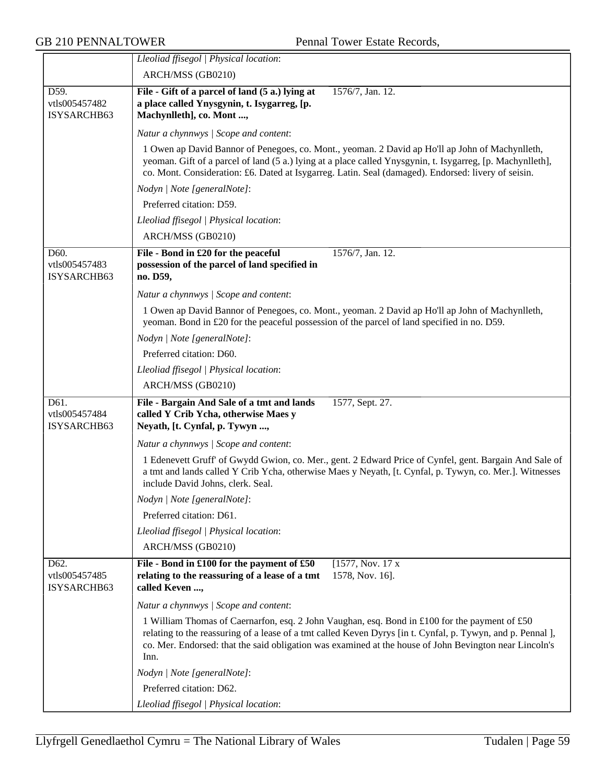|                                      | Lleoliad ffisegol   Physical location:                                                                                                                                                                                                                                                                                         |
|--------------------------------------|--------------------------------------------------------------------------------------------------------------------------------------------------------------------------------------------------------------------------------------------------------------------------------------------------------------------------------|
|                                      | ARCH/MSS (GB0210)                                                                                                                                                                                                                                                                                                              |
| D59.                                 | File - Gift of a parcel of land (5 a.) lying at<br>1576/7, Jan. 12.                                                                                                                                                                                                                                                            |
| vtls005457482                        | a place called Ynysgynin, t. Isygarreg, [p.                                                                                                                                                                                                                                                                                    |
| ISYSARCHB63                          | Machynlleth], co. Mont ,                                                                                                                                                                                                                                                                                                       |
|                                      | Natur a chynnwys / Scope and content:                                                                                                                                                                                                                                                                                          |
|                                      | 1 Owen ap David Bannor of Penegoes, co. Mont., yeoman. 2 David ap Ho'll ap John of Machynlleth,<br>yeoman. Gift of a parcel of land (5 a.) lying at a place called Ynysgynin, t. Isygarreg, [p. Machynlleth],<br>co. Mont. Consideration: £6. Dated at Isygarreg. Latin. Seal (damaged). Endorsed: livery of seisin.           |
|                                      | Nodyn   Note [generalNote]:                                                                                                                                                                                                                                                                                                    |
|                                      | Preferred citation: D59.                                                                                                                                                                                                                                                                                                       |
|                                      | Lleoliad ffisegol   Physical location:                                                                                                                                                                                                                                                                                         |
|                                      | ARCH/MSS (GB0210)                                                                                                                                                                                                                                                                                                              |
| D60.                                 | File - Bond in £20 for the peaceful<br>1576/7, Jan. 12.                                                                                                                                                                                                                                                                        |
| vtls005457483                        | possession of the parcel of land specified in                                                                                                                                                                                                                                                                                  |
| ISYSARCHB63                          | no. D59,                                                                                                                                                                                                                                                                                                                       |
|                                      | Natur a chynnwys / Scope and content:                                                                                                                                                                                                                                                                                          |
|                                      | 1 Owen ap David Bannor of Penegoes, co. Mont., yeoman. 2 David ap Ho'll ap John of Machynlleth,<br>yeoman. Bond in £20 for the peaceful possession of the parcel of land specified in no. D59.                                                                                                                                 |
|                                      | Nodyn   Note [generalNote]:                                                                                                                                                                                                                                                                                                    |
|                                      | Preferred citation: D60.                                                                                                                                                                                                                                                                                                       |
|                                      | Lleoliad ffisegol   Physical location:                                                                                                                                                                                                                                                                                         |
|                                      | ARCH/MSS (GB0210)                                                                                                                                                                                                                                                                                                              |
| D61.<br>vtls005457484<br>ISYSARCHB63 | File - Bargain And Sale of a tmt and lands<br>1577, Sept. 27.<br>called Y Crib Ycha, otherwise Maes y<br>Neyath, [t. Cynfal, p. Tywyn ,                                                                                                                                                                                        |
|                                      | Natur a chynnwys / Scope and content:                                                                                                                                                                                                                                                                                          |
|                                      | 1 Edenevett Gruff' of Gwydd Gwion, co. Mer., gent. 2 Edward Price of Cynfel, gent. Bargain And Sale of<br>a tmt and lands called Y Crib Ycha, otherwise Maes y Neyath, [t. Cynfal, p. Tywyn, co. Mer.]. Witnesses<br>include David Johns, clerk. Seal.                                                                         |
|                                      | Nodyn   Note [generalNote]:                                                                                                                                                                                                                                                                                                    |
|                                      | Preferred citation: D61.                                                                                                                                                                                                                                                                                                       |
|                                      | Lleoliad ffisegol   Physical location:                                                                                                                                                                                                                                                                                         |
|                                      | ARCH/MSS (GB0210)                                                                                                                                                                                                                                                                                                              |
| D62.<br>vtls005457485<br>ISYSARCHB63 | File - Bond in £100 for the payment of £50<br>[1577, Nov. 17 x]<br>relating to the reassuring of a lease of a tmt<br>1578, Nov. 16].<br>called Keven ,                                                                                                                                                                         |
|                                      | Natur a chynnwys / Scope and content:                                                                                                                                                                                                                                                                                          |
|                                      | 1 William Thomas of Caernarfon, esq. 2 John Vaughan, esq. Bond in £100 for the payment of £50<br>relating to the reassuring of a lease of a tmt called Keven Dyrys [in t. Cynfal, p. Tywyn, and p. Pennal ],<br>co. Mer. Endorsed: that the said obligation was examined at the house of John Bevington near Lincoln's<br>Inn. |
|                                      | Nodyn   Note [generalNote]:                                                                                                                                                                                                                                                                                                    |
|                                      | Preferred citation: D62.                                                                                                                                                                                                                                                                                                       |
|                                      | Lleoliad ffisegol   Physical location:                                                                                                                                                                                                                                                                                         |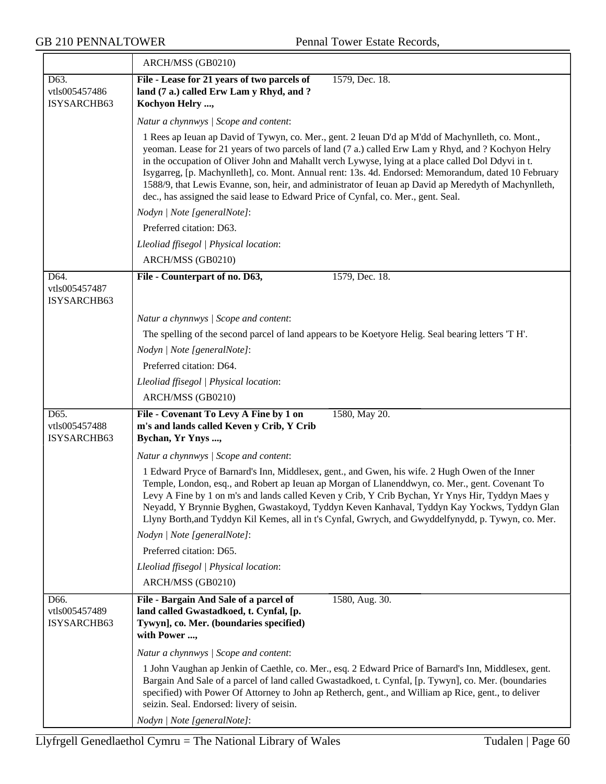|                                      | ARCH/MSS (GB0210)                                                                                                                                                                                                                                                                                                                                                                                                                                                                                                                                                                                                     |
|--------------------------------------|-----------------------------------------------------------------------------------------------------------------------------------------------------------------------------------------------------------------------------------------------------------------------------------------------------------------------------------------------------------------------------------------------------------------------------------------------------------------------------------------------------------------------------------------------------------------------------------------------------------------------|
| D63.<br>vtls005457486<br>ISYSARCHB63 | File - Lease for 21 years of two parcels of<br>1579, Dec. 18.<br>land (7 a.) called Erw Lam y Rhyd, and ?<br>Kochyon Helry ,                                                                                                                                                                                                                                                                                                                                                                                                                                                                                          |
|                                      | Natur a chynnwys / Scope and content:                                                                                                                                                                                                                                                                                                                                                                                                                                                                                                                                                                                 |
|                                      | 1 Rees ap Ieuan ap David of Tywyn, co. Mer., gent. 2 Ieuan D'd ap M'dd of Machynlleth, co. Mont.,<br>yeoman. Lease for 21 years of two parcels of land (7 a.) called Erw Lam y Rhyd, and ? Kochyon Helry<br>in the occupation of Oliver John and Mahallt verch Lywyse, lying at a place called Dol Ddyvi in t.<br>Isygarreg, [p. Machynlleth], co. Mont. Annual rent: 13s. 4d. Endorsed: Memorandum, dated 10 February<br>1588/9, that Lewis Evanne, son, heir, and administrator of Ieuan ap David ap Meredyth of Machynlleth,<br>dec., has assigned the said lease to Edward Price of Cynfal, co. Mer., gent. Seal. |
|                                      | Nodyn   Note [generalNote]:                                                                                                                                                                                                                                                                                                                                                                                                                                                                                                                                                                                           |
|                                      | Preferred citation: D63.                                                                                                                                                                                                                                                                                                                                                                                                                                                                                                                                                                                              |
|                                      | Lleoliad ffisegol   Physical location:                                                                                                                                                                                                                                                                                                                                                                                                                                                                                                                                                                                |
|                                      | ARCH/MSS (GB0210)                                                                                                                                                                                                                                                                                                                                                                                                                                                                                                                                                                                                     |
| D64.<br>vtls005457487<br>ISYSARCHB63 | File - Counterpart of no. D63,<br>1579, Dec. 18.                                                                                                                                                                                                                                                                                                                                                                                                                                                                                                                                                                      |
|                                      | Natur a chynnwys / Scope and content:                                                                                                                                                                                                                                                                                                                                                                                                                                                                                                                                                                                 |
|                                      | The spelling of the second parcel of land appears to be Koetyore Helig. Seal bearing letters 'T H'.                                                                                                                                                                                                                                                                                                                                                                                                                                                                                                                   |
|                                      | Nodyn   Note [generalNote]:                                                                                                                                                                                                                                                                                                                                                                                                                                                                                                                                                                                           |
|                                      | Preferred citation: D64.                                                                                                                                                                                                                                                                                                                                                                                                                                                                                                                                                                                              |
|                                      | Lleoliad ffisegol   Physical location:                                                                                                                                                                                                                                                                                                                                                                                                                                                                                                                                                                                |
|                                      | ARCH/MSS (GB0210)                                                                                                                                                                                                                                                                                                                                                                                                                                                                                                                                                                                                     |
| D65.<br>vtls005457488<br>ISYSARCHB63 | File - Covenant To Levy A Fine by 1 on<br>1580, May 20.<br>m's and lands called Keven y Crib, Y Crib<br>Bychan, Yr Ynys ,                                                                                                                                                                                                                                                                                                                                                                                                                                                                                             |
|                                      | Natur a chynnwys / Scope and content:                                                                                                                                                                                                                                                                                                                                                                                                                                                                                                                                                                                 |
|                                      | 1 Edward Pryce of Barnard's Inn, Middlesex, gent., and Gwen, his wife. 2 Hugh Owen of the Inner<br>Temple, London, esq., and Robert ap Ieuan ap Morgan of Llanenddwyn, co. Mer., gent. Covenant To<br>Levy A Fine by 1 on m's and lands called Keven y Crib, Y Crib Bychan, Yr Ynys Hir, Tyddyn Maes y<br>Neyadd, Y Brynnie Byghen, Gwastakoyd, Tyddyn Keven Kanhaval, Tyddyn Kay Yockws, Tyddyn Glan<br>Llyny Borth, and Tyddyn Kil Kemes, all in t's Cynfal, Gwrych, and Gwyddelfynydd, p. Tywyn, co. Mer.                                                                                                          |
|                                      | Nodyn   Note [generalNote]:                                                                                                                                                                                                                                                                                                                                                                                                                                                                                                                                                                                           |
|                                      | Preferred citation: D65.                                                                                                                                                                                                                                                                                                                                                                                                                                                                                                                                                                                              |
|                                      | Lleoliad ffisegol   Physical location:                                                                                                                                                                                                                                                                                                                                                                                                                                                                                                                                                                                |
|                                      | ARCH/MSS (GB0210)                                                                                                                                                                                                                                                                                                                                                                                                                                                                                                                                                                                                     |
| D66.<br>vtls005457489<br>ISYSARCHB63 | File - Bargain And Sale of a parcel of<br>1580, Aug. 30.<br>land called Gwastadkoed, t. Cynfal, [p.<br>Tywyn], co. Mer. (boundaries specified)<br>with Power ,                                                                                                                                                                                                                                                                                                                                                                                                                                                        |
|                                      | Natur a chynnwys / Scope and content:                                                                                                                                                                                                                                                                                                                                                                                                                                                                                                                                                                                 |
|                                      | 1 John Vaughan ap Jenkin of Caethle, co. Mer., esq. 2 Edward Price of Barnard's Inn, Middlesex, gent.<br>Bargain And Sale of a parcel of land called Gwastadkoed, t. Cynfal, [p. Tywyn], co. Mer. (boundaries<br>specified) with Power Of Attorney to John ap Retherch, gent., and William ap Rice, gent., to deliver<br>seizin. Seal. Endorsed: livery of seisin.                                                                                                                                                                                                                                                    |
|                                      | Nodyn   Note [generalNote]:                                                                                                                                                                                                                                                                                                                                                                                                                                                                                                                                                                                           |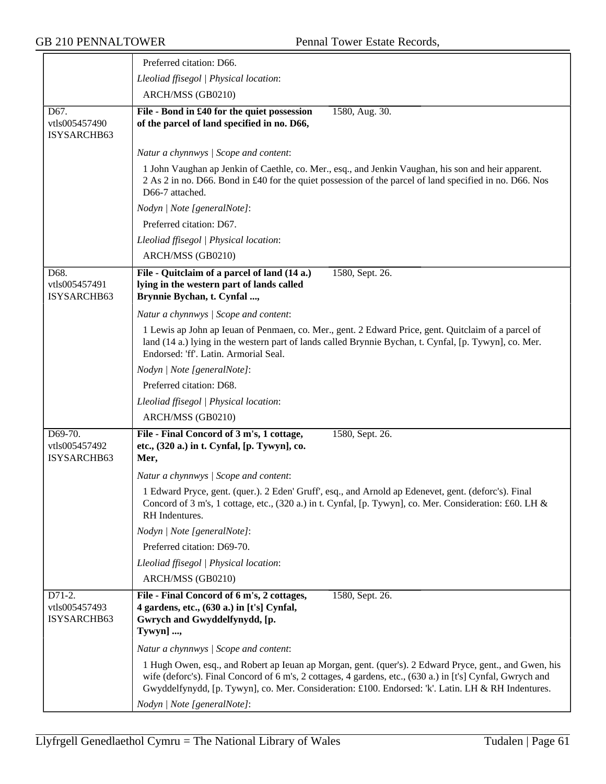|                                                    | Preferred citation: D66.                                                                                                                                                                                                                                                                                                   |
|----------------------------------------------------|----------------------------------------------------------------------------------------------------------------------------------------------------------------------------------------------------------------------------------------------------------------------------------------------------------------------------|
|                                                    | Lleoliad ffisegol   Physical location:                                                                                                                                                                                                                                                                                     |
|                                                    | ARCH/MSS (GB0210)                                                                                                                                                                                                                                                                                                          |
| $\overline{D67}$ .<br>vtls005457490<br>ISYSARCHB63 | File - Bond in £40 for the quiet possession<br>1580, Aug. 30.<br>of the parcel of land specified in no. D66,                                                                                                                                                                                                               |
|                                                    | Natur a chynnwys / Scope and content:                                                                                                                                                                                                                                                                                      |
|                                                    | 1 John Vaughan ap Jenkin of Caethle, co. Mer., esq., and Jenkin Vaughan, his son and heir apparent.<br>2 As 2 in no. D66. Bond in £40 for the quiet possession of the parcel of land specified in no. D66. Nos<br>D66-7 attached.                                                                                          |
|                                                    | Nodyn   Note [generalNote]:                                                                                                                                                                                                                                                                                                |
|                                                    | Preferred citation: D67.                                                                                                                                                                                                                                                                                                   |
|                                                    | Lleoliad ffisegol   Physical location:                                                                                                                                                                                                                                                                                     |
|                                                    | ARCH/MSS (GB0210)                                                                                                                                                                                                                                                                                                          |
| D68.<br>vtls005457491<br>ISYSARCHB63               | File - Quitclaim of a parcel of land (14 a.)<br>1580, Sept. 26.<br>lying in the western part of lands called<br>Brynnie Bychan, t. Cynfal ,                                                                                                                                                                                |
|                                                    | Natur a chynnwys / Scope and content:                                                                                                                                                                                                                                                                                      |
|                                                    | 1 Lewis ap John ap Ieuan of Penmaen, co. Mer., gent. 2 Edward Price, gent. Quitclaim of a parcel of<br>land (14 a.) lying in the western part of lands called Brynnie Bychan, t. Cynfal, [p. Tywyn], co. Mer.<br>Endorsed: 'ff'. Latin. Armorial Seal.                                                                     |
|                                                    | Nodyn   Note [generalNote]:                                                                                                                                                                                                                                                                                                |
|                                                    | Preferred citation: D68.                                                                                                                                                                                                                                                                                                   |
|                                                    | Lleoliad ffisegol   Physical location:                                                                                                                                                                                                                                                                                     |
|                                                    | ARCH/MSS (GB0210)                                                                                                                                                                                                                                                                                                          |
| D69-70.<br>vtls005457492<br>ISYSARCHB63            | File - Final Concord of 3 m's, 1 cottage,<br>1580, Sept. 26.<br>etc., (320 a.) in t. Cynfal, [p. Tywyn], co.<br>Mer,                                                                                                                                                                                                       |
|                                                    | Natur a chynnwys / Scope and content:                                                                                                                                                                                                                                                                                      |
|                                                    | 1 Edward Pryce, gent. (quer.). 2 Eden' Gruff', esq., and Arnold ap Edenevet, gent. (deforc's). Final<br>Concord of 3 m's, 1 cottage, etc., (320 a.) in t. Cynfal, [p. Tywyn], co. Mer. Consideration: £60. LH &<br>RH Indentures.                                                                                          |
|                                                    | Nodyn   Note [generalNote]:                                                                                                                                                                                                                                                                                                |
|                                                    | Preferred citation: D69-70.                                                                                                                                                                                                                                                                                                |
|                                                    | Lleoliad ffisegol   Physical location:                                                                                                                                                                                                                                                                                     |
|                                                    | ARCH/MSS (GB0210)                                                                                                                                                                                                                                                                                                          |
| D71-2.<br>vtls005457493<br>ISYSARCHB63             | File - Final Concord of 6 m's, 2 cottages,<br>1580, Sept. 26.<br>4 gardens, etc., (630 a.) in [t's] Cynfal,<br>Gwrych and Gwyddelfynydd, [p.<br>Tywyn] ,                                                                                                                                                                   |
|                                                    | Natur a chynnwys / Scope and content:                                                                                                                                                                                                                                                                                      |
|                                                    | 1 Hugh Owen, esq., and Robert ap Ieuan ap Morgan, gent. (quer's). 2 Edward Pryce, gent., and Gwen, his<br>wife (deforc's). Final Concord of 6 m's, 2 cottages, 4 gardens, etc., (630 a.) in [t's] Cynfal, Gwrych and<br>Gwyddelfynydd, [p. Tywyn], co. Mer. Consideration: £100. Endorsed: 'k'. Latin. LH & RH Indentures. |
|                                                    | Nodyn   Note [generalNote]:                                                                                                                                                                                                                                                                                                |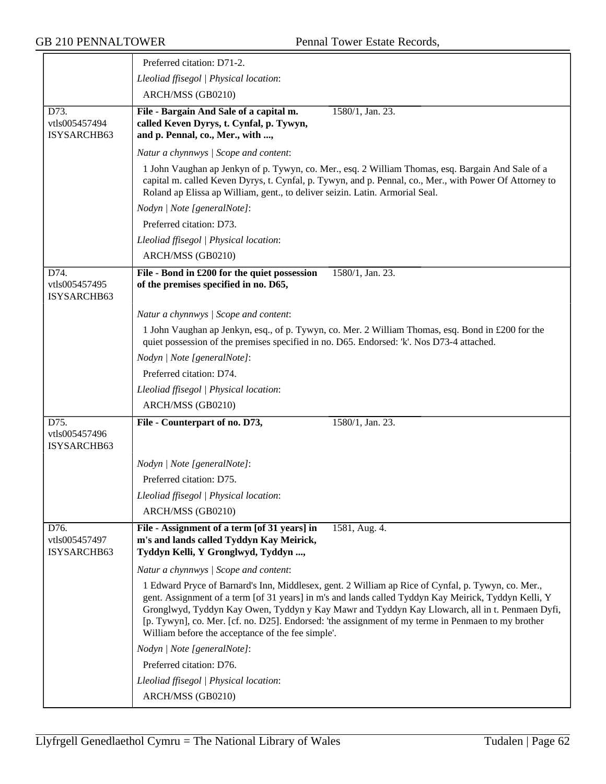|                                                    | Preferred citation: D71-2.                                                                                                                                                                                                                                                                                                                                                                                                                                              |
|----------------------------------------------------|-------------------------------------------------------------------------------------------------------------------------------------------------------------------------------------------------------------------------------------------------------------------------------------------------------------------------------------------------------------------------------------------------------------------------------------------------------------------------|
|                                                    | Lleoliad ffisegol   Physical location:                                                                                                                                                                                                                                                                                                                                                                                                                                  |
|                                                    | ARCH/MSS (GB0210)                                                                                                                                                                                                                                                                                                                                                                                                                                                       |
| $\overline{D73}$ .<br>vtls005457494<br>ISYSARCHB63 | File - Bargain And Sale of a capital m.<br>$1580/1,$ Jan. 23.<br>called Keven Dyrys, t. Cynfal, p. Tywyn,<br>and p. Pennal, co., Mer., with ,                                                                                                                                                                                                                                                                                                                           |
|                                                    | Natur a chynnwys / Scope and content:                                                                                                                                                                                                                                                                                                                                                                                                                                   |
|                                                    | 1 John Vaughan ap Jenkyn of p. Tywyn, co. Mer., esq. 2 William Thomas, esq. Bargain And Sale of a<br>capital m. called Keven Dyrys, t. Cynfal, p. Tywyn, and p. Pennal, co., Mer., with Power Of Attorney to<br>Roland ap Elissa ap William, gent., to deliver seizin. Latin. Armorial Seal.                                                                                                                                                                            |
|                                                    | Nodyn   Note [generalNote]:                                                                                                                                                                                                                                                                                                                                                                                                                                             |
|                                                    | Preferred citation: D73.                                                                                                                                                                                                                                                                                                                                                                                                                                                |
|                                                    | Lleoliad ffisegol   Physical location:                                                                                                                                                                                                                                                                                                                                                                                                                                  |
|                                                    | ARCH/MSS (GB0210)                                                                                                                                                                                                                                                                                                                                                                                                                                                       |
| D74.<br>vtls005457495<br>ISYSARCHB63               | File - Bond in £200 for the quiet possession<br>1580/1, Jan. 23.<br>of the premises specified in no. D65,                                                                                                                                                                                                                                                                                                                                                               |
|                                                    | Natur a chynnwys / Scope and content:                                                                                                                                                                                                                                                                                                                                                                                                                                   |
|                                                    | 1 John Vaughan ap Jenkyn, esq., of p. Tywyn, co. Mer. 2 William Thomas, esq. Bond in £200 for the<br>quiet possession of the premises specified in no. D65. Endorsed: 'k'. Nos D73-4 attached.                                                                                                                                                                                                                                                                          |
|                                                    | Nodyn   Note [generalNote]:                                                                                                                                                                                                                                                                                                                                                                                                                                             |
|                                                    | Preferred citation: D74.                                                                                                                                                                                                                                                                                                                                                                                                                                                |
|                                                    | Lleoliad ffisegol   Physical location:                                                                                                                                                                                                                                                                                                                                                                                                                                  |
|                                                    | ARCH/MSS (GB0210)                                                                                                                                                                                                                                                                                                                                                                                                                                                       |
| D75.<br>vtls005457496<br>ISYSARCHB63               | 1580/1, Jan. 23.<br>File - Counterpart of no. D73,                                                                                                                                                                                                                                                                                                                                                                                                                      |
|                                                    | Nodyn   Note [generalNote]:                                                                                                                                                                                                                                                                                                                                                                                                                                             |
|                                                    | Preferred citation: D75.                                                                                                                                                                                                                                                                                                                                                                                                                                                |
|                                                    | Lleoliad ffisegol   Physical location:                                                                                                                                                                                                                                                                                                                                                                                                                                  |
|                                                    | ARCH/MSS (GB0210)                                                                                                                                                                                                                                                                                                                                                                                                                                                       |
| D76.<br>vtls005457497<br>ISYSARCHB63               | 1581, Aug. 4.<br>File - Assignment of a term [of 31 years] in<br>m's and lands called Tyddyn Kay Meirick,<br>Tyddyn Kelli, Y Gronglwyd, Tyddyn ,                                                                                                                                                                                                                                                                                                                        |
|                                                    | Natur a chynnwys / Scope and content:                                                                                                                                                                                                                                                                                                                                                                                                                                   |
|                                                    | 1 Edward Pryce of Barnard's Inn, Middlesex, gent. 2 William ap Rice of Cynfal, p. Tywyn, co. Mer.,<br>gent. Assignment of a term [of 31 years] in m's and lands called Tyddyn Kay Meirick, Tyddyn Kelli, Y<br>Gronglwyd, Tyddyn Kay Owen, Tyddyn y Kay Mawr and Tyddyn Kay Llowarch, all in t. Penmaen Dyfi,<br>[p. Tywyn], co. Mer. [cf. no. D25]. Endorsed: 'the assignment of my terme in Penmaen to my brother<br>William before the acceptance of the fee simple'. |
|                                                    | Nodyn   Note [generalNote]:                                                                                                                                                                                                                                                                                                                                                                                                                                             |
|                                                    | Preferred citation: D76.                                                                                                                                                                                                                                                                                                                                                                                                                                                |
|                                                    | Lleoliad ffisegol   Physical location:                                                                                                                                                                                                                                                                                                                                                                                                                                  |
|                                                    | ARCH/MSS (GB0210)                                                                                                                                                                                                                                                                                                                                                                                                                                                       |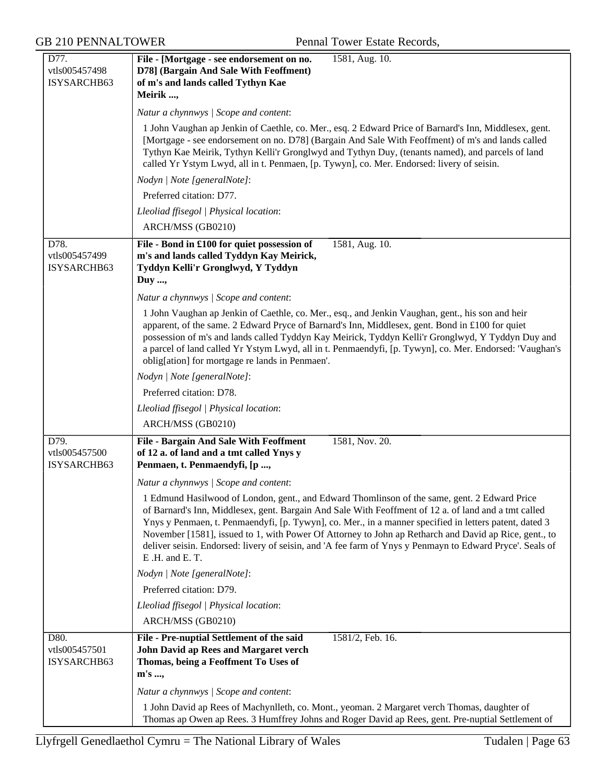| D77.                                 | File - [Mortgage - see endorsement on no.<br>1581, Aug. 10.                                                                                                                                                                                                                                                                                                                                                                                                                                                                                          |
|--------------------------------------|------------------------------------------------------------------------------------------------------------------------------------------------------------------------------------------------------------------------------------------------------------------------------------------------------------------------------------------------------------------------------------------------------------------------------------------------------------------------------------------------------------------------------------------------------|
| vtls005457498<br>ISYSARCHB63         | D78] (Bargain And Sale With Feoffment)<br>of m's and lands called Tythyn Kae                                                                                                                                                                                                                                                                                                                                                                                                                                                                         |
|                                      | Meirik ,                                                                                                                                                                                                                                                                                                                                                                                                                                                                                                                                             |
|                                      | Natur a chynnwys / Scope and content:                                                                                                                                                                                                                                                                                                                                                                                                                                                                                                                |
|                                      | 1 John Vaughan ap Jenkin of Caethle, co. Mer., esq. 2 Edward Price of Barnard's Inn, Middlesex, gent.<br>[Mortgage - see endorsement on no. D78] (Bargain And Sale With Feoffment) of m's and lands called<br>Tythyn Kae Meirik, Tythyn Kelli'r Gronglwyd and Tythyn Duy, (tenants named), and parcels of land<br>called Yr Ystym Lwyd, all in t. Penmaen, [p. Tywyn], co. Mer. Endorsed: livery of seisin.                                                                                                                                          |
|                                      | Nodyn   Note [generalNote]:                                                                                                                                                                                                                                                                                                                                                                                                                                                                                                                          |
|                                      | Preferred citation: D77.                                                                                                                                                                                                                                                                                                                                                                                                                                                                                                                             |
|                                      | Lleoliad ffisegol   Physical location:                                                                                                                                                                                                                                                                                                                                                                                                                                                                                                               |
|                                      | ARCH/MSS (GB0210)                                                                                                                                                                                                                                                                                                                                                                                                                                                                                                                                    |
| D78.<br>vtls005457499<br>ISYSARCHB63 | File - Bond in £100 for quiet possession of<br>1581, Aug. 10.<br>m's and lands called Tyddyn Kay Meirick,<br>Tyddyn Kelli'r Gronglwyd, Y Tyddyn<br>Duy ,                                                                                                                                                                                                                                                                                                                                                                                             |
|                                      | Natur a chynnwys / Scope and content:                                                                                                                                                                                                                                                                                                                                                                                                                                                                                                                |
|                                      | 1 John Vaughan ap Jenkin of Caethle, co. Mer., esq., and Jenkin Vaughan, gent., his son and heir<br>apparent, of the same. 2 Edward Pryce of Barnard's Inn, Middlesex, gent. Bond in £100 for quiet<br>possession of m's and lands called Tyddyn Kay Meirick, Tyddyn Kelli'r Gronglwyd, Y Tyddyn Duy and<br>a parcel of land called Yr Ystym Lwyd, all in t. Penmaendyfi, [p. Tywyn], co. Mer. Endorsed: 'Vaughan's<br>oblig[ation] for mortgage re lands in Penmaen'.                                                                               |
|                                      | Nodyn   Note [generalNote]:                                                                                                                                                                                                                                                                                                                                                                                                                                                                                                                          |
|                                      | Preferred citation: D78.                                                                                                                                                                                                                                                                                                                                                                                                                                                                                                                             |
|                                      | Lleoliad ffisegol   Physical location:                                                                                                                                                                                                                                                                                                                                                                                                                                                                                                               |
|                                      | ARCH/MSS (GB0210)                                                                                                                                                                                                                                                                                                                                                                                                                                                                                                                                    |
| D79.<br>vtls005457500<br>ISYSARCHB63 | 1581, Nov. 20.<br><b>File - Bargain And Sale With Feoffment</b><br>of 12 a. of land and a tmt called Ynys y<br>Penmaen, t. Penmaendyfi, [p ,                                                                                                                                                                                                                                                                                                                                                                                                         |
|                                      | Natur a chynnwys / Scope and content:                                                                                                                                                                                                                                                                                                                                                                                                                                                                                                                |
|                                      | 1 Edmund Hasilwood of London, gent., and Edward Thomlinson of the same, gent. 2 Edward Price<br>of Barnard's Inn, Middlesex, gent. Bargain And Sale With Feoffment of 12 a. of land and a tmt called<br>Ynys y Penmaen, t. Penmaendyfi, [p. Tywyn], co. Mer., in a manner specified in letters patent, dated 3<br>November [1581], issued to 1, with Power Of Attorney to John ap Retharch and David ap Rice, gent., to<br>deliver seisin. Endorsed: livery of seisin, and 'A fee farm of Ynys y Penmayn to Edward Pryce'. Seals of<br>E.H. and E.T. |
|                                      | Nodyn   Note [generalNote]:                                                                                                                                                                                                                                                                                                                                                                                                                                                                                                                          |
|                                      | Preferred citation: D79.                                                                                                                                                                                                                                                                                                                                                                                                                                                                                                                             |
|                                      | Lleoliad ffisegol   Physical location:<br>ARCH/MSS (GB0210)                                                                                                                                                                                                                                                                                                                                                                                                                                                                                          |
| D80.<br>vtls005457501<br>ISYSARCHB63 | File - Pre-nuptial Settlement of the said<br>1581/2, Feb. 16.<br><b>John David ap Rees and Margaret verch</b><br>Thomas, being a Feoffment To Uses of<br>$m's \dots,$                                                                                                                                                                                                                                                                                                                                                                                |
|                                      | Natur a chynnwys / Scope and content:                                                                                                                                                                                                                                                                                                                                                                                                                                                                                                                |
|                                      | 1 John David ap Rees of Machynlleth, co. Mont., yeoman. 2 Margaret verch Thomas, daughter of<br>Thomas ap Owen ap Rees. 3 Humffrey Johns and Roger David ap Rees, gent. Pre-nuptial Settlement of                                                                                                                                                                                                                                                                                                                                                    |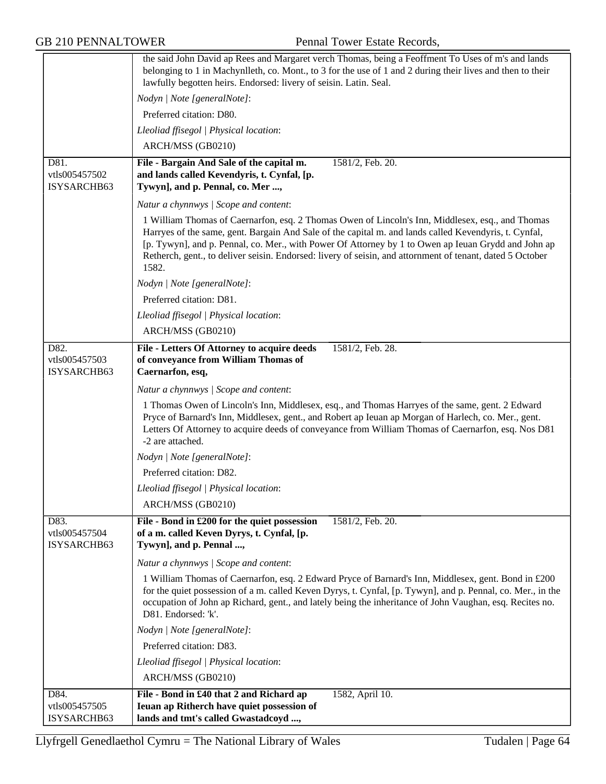GB 210 PENNALTOWER Pennal Tower Estate Records,

|                              | the said John David ap Rees and Margaret verch Thomas, being a Feoffment To Uses of m's and lands<br>belonging to 1 in Machynlleth, co. Mont., to 3 for the use of 1 and 2 during their lives and then to their                                                                                                                                                                                                                        |
|------------------------------|----------------------------------------------------------------------------------------------------------------------------------------------------------------------------------------------------------------------------------------------------------------------------------------------------------------------------------------------------------------------------------------------------------------------------------------|
|                              | lawfully begotten heirs. Endorsed: livery of seisin. Latin. Seal.                                                                                                                                                                                                                                                                                                                                                                      |
|                              | Nodyn   Note [generalNote]:                                                                                                                                                                                                                                                                                                                                                                                                            |
|                              | Preferred citation: D80.                                                                                                                                                                                                                                                                                                                                                                                                               |
|                              | Lleoliad ffisegol   Physical location:                                                                                                                                                                                                                                                                                                                                                                                                 |
|                              | ARCH/MSS (GB0210)                                                                                                                                                                                                                                                                                                                                                                                                                      |
| D81.                         | File - Bargain And Sale of the capital m.<br>1581/2, Feb. 20.                                                                                                                                                                                                                                                                                                                                                                          |
| vtls005457502                | and lands called Kevendyris, t. Cynfal, [p.                                                                                                                                                                                                                                                                                                                                                                                            |
| ISYSARCHB63                  | Tywyn], and p. Pennal, co. Mer ,                                                                                                                                                                                                                                                                                                                                                                                                       |
|                              | Natur a chynnwys / Scope and content:                                                                                                                                                                                                                                                                                                                                                                                                  |
|                              | 1 William Thomas of Caernarfon, esq. 2 Thomas Owen of Lincoln's Inn, Middlesex, esq., and Thomas<br>Harryes of the same, gent. Bargain And Sale of the capital m. and lands called Kevendyris, t. Cynfal,<br>[p. Tywyn], and p. Pennal, co. Mer., with Power Of Attorney by 1 to Owen ap Ieuan Grydd and John ap<br>Retherch, gent., to deliver seisin. Endorsed: livery of seisin, and attornment of tenant, dated 5 October<br>1582. |
|                              | Nodyn   Note [generalNote]:                                                                                                                                                                                                                                                                                                                                                                                                            |
|                              | Preferred citation: D81.                                                                                                                                                                                                                                                                                                                                                                                                               |
|                              | Lleoliad ffisegol   Physical location:                                                                                                                                                                                                                                                                                                                                                                                                 |
|                              | ARCH/MSS (GB0210)                                                                                                                                                                                                                                                                                                                                                                                                                      |
| D82.                         | File - Letters Of Attorney to acquire deeds<br>1581/2, Feb. 28.                                                                                                                                                                                                                                                                                                                                                                        |
| vtls005457503<br>ISYSARCHB63 | of conveyance from William Thomas of<br>Caernarfon, esq,                                                                                                                                                                                                                                                                                                                                                                               |
|                              |                                                                                                                                                                                                                                                                                                                                                                                                                                        |
|                              | Natur a chynnwys / Scope and content:                                                                                                                                                                                                                                                                                                                                                                                                  |
|                              | 1 Thomas Owen of Lincoln's Inn, Middlesex, esq., and Thomas Harryes of the same, gent. 2 Edward<br>Pryce of Barnard's Inn, Middlesex, gent., and Robert ap Ieuan ap Morgan of Harlech, co. Mer., gent.<br>Letters Of Attorney to acquire deeds of conveyance from William Thomas of Caernarfon, esq. Nos D81<br>-2 are attached.                                                                                                       |
|                              | Nodyn   Note [generalNote]:                                                                                                                                                                                                                                                                                                                                                                                                            |
|                              | Preferred citation: D82.                                                                                                                                                                                                                                                                                                                                                                                                               |
|                              | Lleoliad ffisegol   Physical location:                                                                                                                                                                                                                                                                                                                                                                                                 |
|                              | ARCH/MSS (GB0210)                                                                                                                                                                                                                                                                                                                                                                                                                      |
| D83.                         | File - Bond in £200 for the quiet possession<br>1581/2, Feb. 20.                                                                                                                                                                                                                                                                                                                                                                       |
| vtls005457504<br>ISYSARCHB63 | of a m. called Keven Dyrys, t. Cynfal, [p.<br>Tywyn], and p. Pennal ,                                                                                                                                                                                                                                                                                                                                                                  |
|                              | Natur a chynnwys / Scope and content:                                                                                                                                                                                                                                                                                                                                                                                                  |
|                              | 1 William Thomas of Caernarfon, esq. 2 Edward Pryce of Barnard's Inn, Middlesex, gent. Bond in £200<br>for the quiet possession of a m. called Keven Dyrys, t. Cynfal, [p. Tywyn], and p. Pennal, co. Mer., in the<br>occupation of John ap Richard, gent., and lately being the inheritance of John Vaughan, esq. Recites no.<br>D81. Endorsed: 'k'.                                                                                  |
|                              | Nodyn   Note [generalNote]:                                                                                                                                                                                                                                                                                                                                                                                                            |
|                              | Preferred citation: D83.                                                                                                                                                                                                                                                                                                                                                                                                               |
|                              | Lleoliad ffisegol   Physical location:                                                                                                                                                                                                                                                                                                                                                                                                 |
|                              | ARCH/MSS (GB0210)                                                                                                                                                                                                                                                                                                                                                                                                                      |
| D84.                         | 1582, April 10.<br>File - Bond in £40 that 2 and Richard ap                                                                                                                                                                                                                                                                                                                                                                            |
| vtls005457505                | Ieuan ap Ritherch have quiet possession of                                                                                                                                                                                                                                                                                                                                                                                             |
| ISYSARCHB63                  | lands and tmt's called Gwastadcoyd ,                                                                                                                                                                                                                                                                                                                                                                                                   |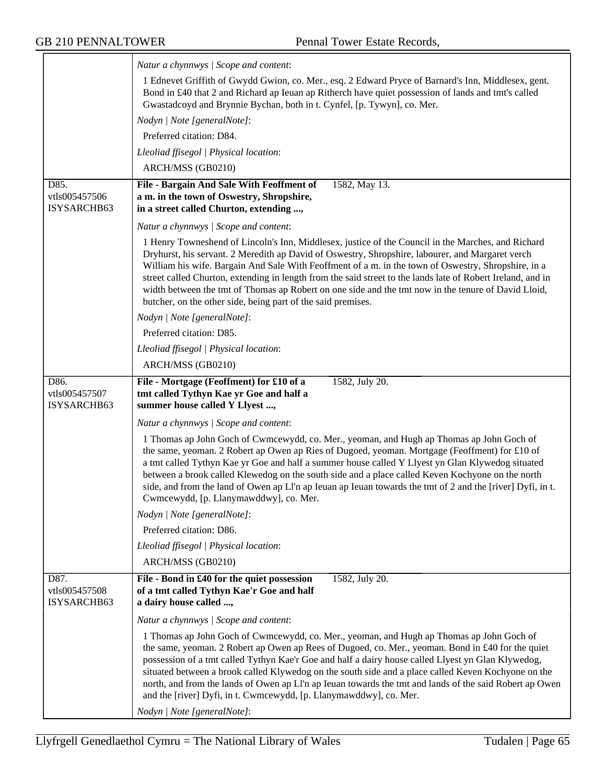|                                                    | Natur a chynnwys / Scope and content:                                                                                                                                                                                                                                                                                                                                                                                                                                                                                                                                                               |
|----------------------------------------------------|-----------------------------------------------------------------------------------------------------------------------------------------------------------------------------------------------------------------------------------------------------------------------------------------------------------------------------------------------------------------------------------------------------------------------------------------------------------------------------------------------------------------------------------------------------------------------------------------------------|
|                                                    | 1 Ednevet Griffith of Gwydd Gwion, co. Mer., esq. 2 Edward Pryce of Barnard's Inn, Middlesex, gent.<br>Bond in £40 that 2 and Richard ap Ieuan ap Ritherch have quiet possession of lands and tmt's called<br>Gwastadcoyd and Brynnie Bychan, both in t. Cynfel, [p. Tywyn], co. Mer.                                                                                                                                                                                                                                                                                                               |
|                                                    | Nodyn   Note [generalNote]:                                                                                                                                                                                                                                                                                                                                                                                                                                                                                                                                                                         |
|                                                    | Preferred citation: D84.                                                                                                                                                                                                                                                                                                                                                                                                                                                                                                                                                                            |
|                                                    | Lleoliad ffisegol   Physical location:                                                                                                                                                                                                                                                                                                                                                                                                                                                                                                                                                              |
|                                                    | ARCH/MSS (GB0210)                                                                                                                                                                                                                                                                                                                                                                                                                                                                                                                                                                                   |
| $\overline{D85}$ .<br>vtls005457506<br>ISYSARCHB63 | File - Bargain And Sale With Feoffment of<br>1582, May 13.<br>a m. in the town of Oswestry, Shropshire,<br>in a street called Churton, extending ,                                                                                                                                                                                                                                                                                                                                                                                                                                                  |
|                                                    | Natur a chynnwys / Scope and content:                                                                                                                                                                                                                                                                                                                                                                                                                                                                                                                                                               |
|                                                    | 1 Henry Towneshend of Lincoln's Inn, Middlesex, justice of the Council in the Marches, and Richard<br>Dryhurst, his servant. 2 Meredith ap David of Oswestry, Shropshire, labourer, and Margaret verch<br>William his wife. Bargain And Sale With Feoffment of a m. in the town of Oswestry, Shropshire, in a<br>street called Churton, extending in length from the said street to the lands late of Robert Ireland, and in<br>width between the tmt of Thomas ap Robert on one side and the tmt now in the tenure of David Lloid,<br>butcher, on the other side, being part of the said premises. |
|                                                    | Nodyn   Note [generalNote]:                                                                                                                                                                                                                                                                                                                                                                                                                                                                                                                                                                         |
|                                                    | Preferred citation: D85.                                                                                                                                                                                                                                                                                                                                                                                                                                                                                                                                                                            |
|                                                    | Lleoliad ffisegol   Physical location:                                                                                                                                                                                                                                                                                                                                                                                                                                                                                                                                                              |
|                                                    | ARCH/MSS (GB0210)                                                                                                                                                                                                                                                                                                                                                                                                                                                                                                                                                                                   |
| D86.<br>vtls005457507<br>ISYSARCHB63               | 1582, July 20.<br>File - Mortgage (Feoffment) for £10 of a<br>tmt called Tythyn Kae yr Goe and half a<br>summer house called Y Llyest ,                                                                                                                                                                                                                                                                                                                                                                                                                                                             |
|                                                    | Natur a chynnwys / Scope and content:                                                                                                                                                                                                                                                                                                                                                                                                                                                                                                                                                               |
|                                                    | 1 Thomas ap John Goch of Cwmcewydd, co. Mer., yeoman, and Hugh ap Thomas ap John Goch of<br>the same, yeoman. 2 Robert ap Owen ap Ries of Dugoed, yeoman. Mortgage (Feoffment) for £10 of<br>a tmt called Tythyn Kae yr Goe and half a summer house called Y Llyest yn Glan Klywedog situated<br>between a brook called Klewedog on the south side and a place called Keven Kochyone on the north<br>side, and from the land of Owen ap LI'n ap Ieuan ap Ieuan towards the tmt of 2 and the [river] Dyfi, in t.<br>Cwmcewydd, [p. Llanymawddwy], co. Mer.                                           |
|                                                    | Nodyn   Note [generalNote]:                                                                                                                                                                                                                                                                                                                                                                                                                                                                                                                                                                         |
|                                                    | Preferred citation: D86.                                                                                                                                                                                                                                                                                                                                                                                                                                                                                                                                                                            |
|                                                    | Lleoliad ffisegol   Physical location:                                                                                                                                                                                                                                                                                                                                                                                                                                                                                                                                                              |
|                                                    | ARCH/MSS (GB0210)                                                                                                                                                                                                                                                                                                                                                                                                                                                                                                                                                                                   |
| D87.<br>vtls005457508<br>ISYSARCHB63               | File - Bond in £40 for the quiet possession<br>1582, July 20.<br>of a tmt called Tythyn Kae'r Goe and half<br>a dairy house called ,                                                                                                                                                                                                                                                                                                                                                                                                                                                                |
|                                                    | Natur a chynnwys / Scope and content:                                                                                                                                                                                                                                                                                                                                                                                                                                                                                                                                                               |
|                                                    | 1 Thomas ap John Goch of Cwmcewydd, co. Mer., yeoman, and Hugh ap Thomas ap John Goch of<br>the same, yeoman. 2 Robert ap Owen ap Rees of Dugoed, co. Mer., yeoman. Bond in £40 for the quiet<br>possession of a tmt called Tythyn Kae'r Goe and half a dairy house called Llyest yn Glan Klywedog,<br>situated between a brook called Klywedog on the south side and a place called Keven Kochyone on the<br>north, and from the lands of Owen ap Ll'n ap Ieuan towards the tmt and lands of the said Robert ap Owen<br>and the [river] Dyfi, in t. Cwmcewydd, [p. Llanymawddwy], co. Mer.         |
|                                                    | Nodyn   Note [generalNote]:                                                                                                                                                                                                                                                                                                                                                                                                                                                                                                                                                                         |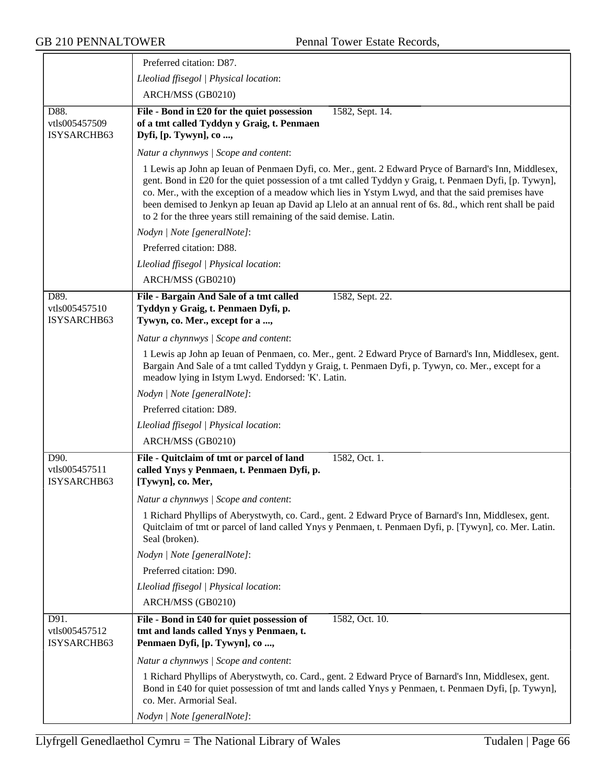|                                      | Preferred citation: D87.                                                                                                                                                                                                                                                                                                                                                                                                                                                                                  |  |
|--------------------------------------|-----------------------------------------------------------------------------------------------------------------------------------------------------------------------------------------------------------------------------------------------------------------------------------------------------------------------------------------------------------------------------------------------------------------------------------------------------------------------------------------------------------|--|
|                                      | Lleoliad ffisegol   Physical location:                                                                                                                                                                                                                                                                                                                                                                                                                                                                    |  |
|                                      | ARCH/MSS (GB0210)                                                                                                                                                                                                                                                                                                                                                                                                                                                                                         |  |
| D88.<br>vtls005457509<br>ISYSARCHB63 | File - Bond in £20 for the quiet possession<br>1582, Sept. 14.<br>of a tmt called Tyddyn y Graig, t. Penmaen<br>Dyfi, [p. Tywyn], co,                                                                                                                                                                                                                                                                                                                                                                     |  |
|                                      | Natur a chynnwys / Scope and content:                                                                                                                                                                                                                                                                                                                                                                                                                                                                     |  |
|                                      | 1 Lewis ap John ap Ieuan of Penmaen Dyfi, co. Mer., gent. 2 Edward Pryce of Barnard's Inn, Middlesex,<br>gent. Bond in £20 for the quiet possession of a tmt called Tyddyn y Graig, t. Penmaen Dyfi, [p. Tywyn],<br>co. Mer., with the exception of a meadow which lies in Ystym Lwyd, and that the said premises have<br>been demised to Jenkyn ap Ieuan ap David ap Llelo at an annual rent of 6s. 8d., which rent shall be paid<br>to 2 for the three years still remaining of the said demise. Latin. |  |
|                                      | Nodyn   Note [generalNote]:                                                                                                                                                                                                                                                                                                                                                                                                                                                                               |  |
|                                      | Preferred citation: D88.                                                                                                                                                                                                                                                                                                                                                                                                                                                                                  |  |
|                                      | Lleoliad ffisegol   Physical location:                                                                                                                                                                                                                                                                                                                                                                                                                                                                    |  |
|                                      | ARCH/MSS (GB0210)                                                                                                                                                                                                                                                                                                                                                                                                                                                                                         |  |
| D89.<br>vtls005457510<br>ISYSARCHB63 | File - Bargain And Sale of a tmt called<br>1582, Sept. 22.<br>Tyddyn y Graig, t. Penmaen Dyfi, p.<br>Tywyn, co. Mer., except for a ,                                                                                                                                                                                                                                                                                                                                                                      |  |
|                                      | Natur a chynnwys / Scope and content:                                                                                                                                                                                                                                                                                                                                                                                                                                                                     |  |
|                                      | 1 Lewis ap John ap Ieuan of Penmaen, co. Mer., gent. 2 Edward Pryce of Barnard's Inn, Middlesex, gent.<br>Bargain And Sale of a tmt called Tyddyn y Graig, t. Penmaen Dyfi, p. Tywyn, co. Mer., except for a<br>meadow lying in Istym Lwyd. Endorsed: 'K'. Latin.                                                                                                                                                                                                                                         |  |
|                                      | Nodyn   Note [generalNote]:                                                                                                                                                                                                                                                                                                                                                                                                                                                                               |  |
|                                      | Preferred citation: D89.                                                                                                                                                                                                                                                                                                                                                                                                                                                                                  |  |
|                                      | Lleoliad ffisegol   Physical location:                                                                                                                                                                                                                                                                                                                                                                                                                                                                    |  |
|                                      | ARCH/MSS (GB0210)                                                                                                                                                                                                                                                                                                                                                                                                                                                                                         |  |
| D90.<br>vtls005457511<br>ISYSARCHB63 | File - Quitclaim of tmt or parcel of land<br>1582, Oct. 1.<br>called Ynys y Penmaen, t. Penmaen Dyfi, p.<br>[Tywyn], co. Mer,                                                                                                                                                                                                                                                                                                                                                                             |  |
|                                      | Natur a chynnwys / Scope and content:                                                                                                                                                                                                                                                                                                                                                                                                                                                                     |  |
|                                      | 1 Richard Phyllips of Aberystwyth, co. Card., gent. 2 Edward Pryce of Barnard's Inn, Middlesex, gent.<br>Quitclaim of tmt or parcel of land called Ynys y Penmaen, t. Penmaen Dyfi, p. [Tywyn], co. Mer. Latin.<br>Seal (broken).                                                                                                                                                                                                                                                                         |  |
|                                      | Nodyn   Note [generalNote]:                                                                                                                                                                                                                                                                                                                                                                                                                                                                               |  |
|                                      | Preferred citation: D90.                                                                                                                                                                                                                                                                                                                                                                                                                                                                                  |  |
|                                      | Lleoliad ffisegol   Physical location:                                                                                                                                                                                                                                                                                                                                                                                                                                                                    |  |
|                                      | ARCH/MSS (GB0210)                                                                                                                                                                                                                                                                                                                                                                                                                                                                                         |  |
| D91.<br>vtls005457512<br>ISYSARCHB63 | File - Bond in £40 for quiet possession of<br>1582, Oct. 10.<br>tmt and lands called Ynys y Penmaen, t.<br>Penmaen Dyfi, [p. Tywyn], co,                                                                                                                                                                                                                                                                                                                                                                  |  |
|                                      | Natur a chynnwys / Scope and content:                                                                                                                                                                                                                                                                                                                                                                                                                                                                     |  |
|                                      | 1 Richard Phyllips of Aberystwyth, co. Card., gent. 2 Edward Pryce of Barnard's Inn, Middlesex, gent.<br>Bond in £40 for quiet possession of tmt and lands called Ynys y Penmaen, t. Penmaen Dyfi, [p. Tywyn],<br>co. Mer. Armorial Seal.                                                                                                                                                                                                                                                                 |  |
|                                      | Nodyn   Note [generalNote]:                                                                                                                                                                                                                                                                                                                                                                                                                                                                               |  |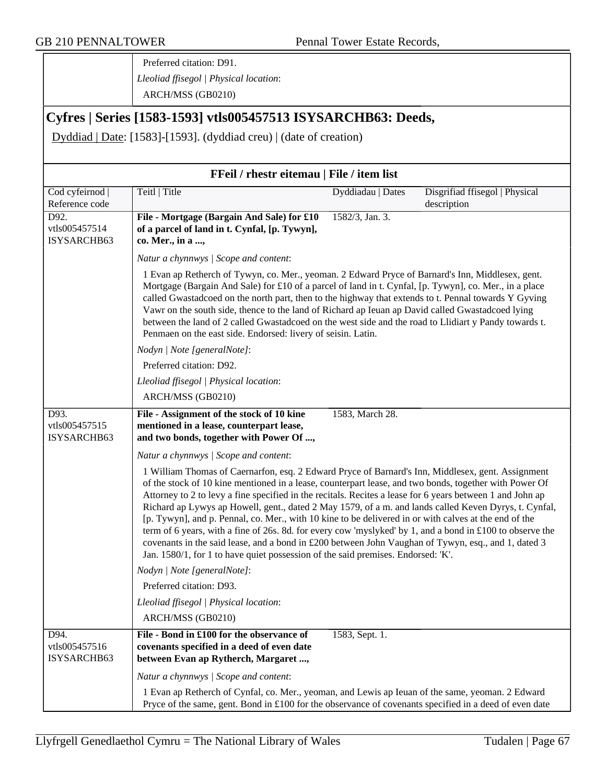Preferred citation: D91. *Lleoliad ffisegol | Physical location*: ARCH/MSS (GB0210)

# **Cyfres | Series [1583-1593] vtls005457513 ISYSARCHB63: Deeds,**

Dyddiad | Date: [1583]-[1593]. (dyddiad creu) | (date of creation)

| FFeil / rhestr eitemau   File / item list |                                                                                                                                                                                                                                                                                                                                                                                                                                                                                                                                                                                                                                                                                                                                                                                                                                                    |                   |                                               |
|-------------------------------------------|----------------------------------------------------------------------------------------------------------------------------------------------------------------------------------------------------------------------------------------------------------------------------------------------------------------------------------------------------------------------------------------------------------------------------------------------------------------------------------------------------------------------------------------------------------------------------------------------------------------------------------------------------------------------------------------------------------------------------------------------------------------------------------------------------------------------------------------------------|-------------------|-----------------------------------------------|
| Cod cyfeirnod  <br>Reference code         | Teitl   Title                                                                                                                                                                                                                                                                                                                                                                                                                                                                                                                                                                                                                                                                                                                                                                                                                                      | Dyddiadau   Dates | Disgrifiad ffisegol   Physical<br>description |
| D92.<br>vtls005457514<br>ISYSARCHB63      | File - Mortgage (Bargain And Sale) for £10<br>of a parcel of land in t. Cynfal, [p. Tywyn],<br>co. Mer., in a ,                                                                                                                                                                                                                                                                                                                                                                                                                                                                                                                                                                                                                                                                                                                                    | 1582/3, Jan. 3.   |                                               |
|                                           | Natur a chynnwys / Scope and content:                                                                                                                                                                                                                                                                                                                                                                                                                                                                                                                                                                                                                                                                                                                                                                                                              |                   |                                               |
|                                           | 1 Evan ap Retherch of Tywyn, co. Mer., yeoman. 2 Edward Pryce of Barnard's Inn, Middlesex, gent.<br>Mortgage (Bargain And Sale) for £10 of a parcel of land in t. Cynfal, [p. Tywyn], co. Mer., in a place<br>called Gwastadcoed on the north part, then to the highway that extends to t. Pennal towards Y Gyving<br>Vawr on the south side, thence to the land of Richard ap Ieuan ap David called Gwastadcoed lying<br>between the land of 2 called Gwastadcoed on the west side and the road to Llidiart y Pandy towards t.<br>Penmaen on the east side. Endorsed: livery of seisin. Latin.                                                                                                                                                                                                                                                    |                   |                                               |
|                                           | Nodyn   Note [generalNote]:                                                                                                                                                                                                                                                                                                                                                                                                                                                                                                                                                                                                                                                                                                                                                                                                                        |                   |                                               |
|                                           | Preferred citation: D92.                                                                                                                                                                                                                                                                                                                                                                                                                                                                                                                                                                                                                                                                                                                                                                                                                           |                   |                                               |
|                                           | Lleoliad ffisegol   Physical location:                                                                                                                                                                                                                                                                                                                                                                                                                                                                                                                                                                                                                                                                                                                                                                                                             |                   |                                               |
|                                           | ARCH/MSS (GB0210)                                                                                                                                                                                                                                                                                                                                                                                                                                                                                                                                                                                                                                                                                                                                                                                                                                  |                   |                                               |
| D93.<br>vtls005457515<br>ISYSARCHB63      | File - Assignment of the stock of 10 kine<br>mentioned in a lease, counterpart lease,<br>and two bonds, together with Power Of ,                                                                                                                                                                                                                                                                                                                                                                                                                                                                                                                                                                                                                                                                                                                   | 1583, March 28.   |                                               |
|                                           | Natur a chynnwys / Scope and content:                                                                                                                                                                                                                                                                                                                                                                                                                                                                                                                                                                                                                                                                                                                                                                                                              |                   |                                               |
|                                           | 1 William Thomas of Caernarfon, esq. 2 Edward Pryce of Barnard's Inn, Middlesex, gent. Assignment<br>of the stock of 10 kine mentioned in a lease, counterpart lease, and two bonds, together with Power Of<br>Attorney to 2 to levy a fine specified in the recitals. Recites a lease for 6 years between 1 and John ap<br>Richard ap Lywys ap Howell, gent., dated 2 May 1579, of a m. and lands called Keven Dyrys, t. Cynfal,<br>[p. Tywyn], and p. Pennal, co. Mer., with 10 kine to be delivered in or with calves at the end of the<br>term of 6 years, with a fine of 26s. 8d. for every cow 'myslyked' by 1, and a bond in £100 to observe the<br>covenants in the said lease, and a bond in £200 between John Vaughan of Tywyn, esq., and 1, dated 3<br>Jan. 1580/1, for 1 to have quiet possession of the said premises. Endorsed: 'K'. |                   |                                               |
|                                           | Nodyn   Note [generalNote]:                                                                                                                                                                                                                                                                                                                                                                                                                                                                                                                                                                                                                                                                                                                                                                                                                        |                   |                                               |
|                                           | Preferred citation: D93.                                                                                                                                                                                                                                                                                                                                                                                                                                                                                                                                                                                                                                                                                                                                                                                                                           |                   |                                               |
|                                           | Lleoliad ffisegol   Physical location:                                                                                                                                                                                                                                                                                                                                                                                                                                                                                                                                                                                                                                                                                                                                                                                                             |                   |                                               |
|                                           | ARCH/MSS (GB0210)                                                                                                                                                                                                                                                                                                                                                                                                                                                                                                                                                                                                                                                                                                                                                                                                                                  |                   |                                               |
| D94.<br>vtls005457516<br>ISYSARCHB63      | File - Bond in £100 for the observance of<br>covenants specified in a deed of even date<br>between Evan ap Rytherch, Margaret ,                                                                                                                                                                                                                                                                                                                                                                                                                                                                                                                                                                                                                                                                                                                    | 1583, Sept. 1.    |                                               |
|                                           | Natur a chynnwys / Scope and content:                                                                                                                                                                                                                                                                                                                                                                                                                                                                                                                                                                                                                                                                                                                                                                                                              |                   |                                               |
|                                           | 1 Evan ap Retherch of Cynfal, co. Mer., yeoman, and Lewis ap Ieuan of the same, yeoman. 2 Edward<br>Pryce of the same, gent. Bond in £100 for the observance of covenants specified in a deed of even date                                                                                                                                                                                                                                                                                                                                                                                                                                                                                                                                                                                                                                         |                   |                                               |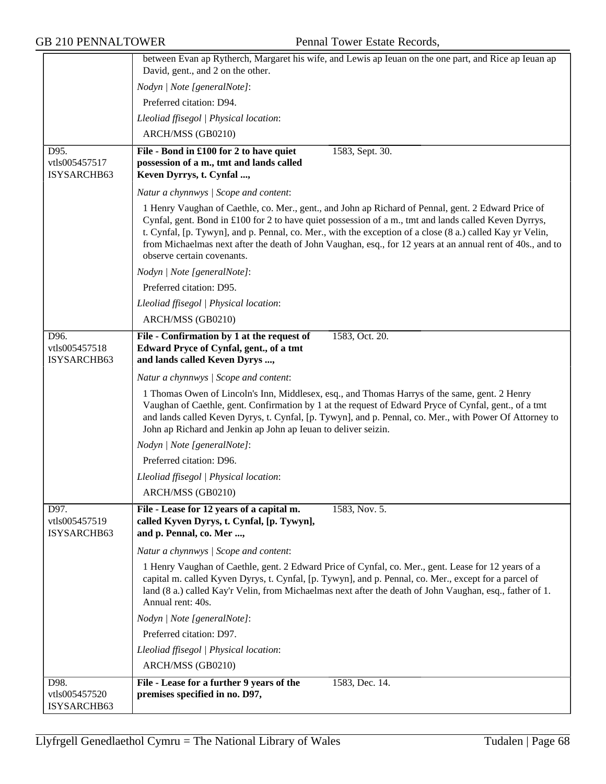|                                      | between Evan ap Rytherch, Margaret his wife, and Lewis ap Ieuan on the one part, and Rice ap Ieuan ap<br>David, gent., and 2 on the other.                                                                                                                                                                                                                                                                                                                            |
|--------------------------------------|-----------------------------------------------------------------------------------------------------------------------------------------------------------------------------------------------------------------------------------------------------------------------------------------------------------------------------------------------------------------------------------------------------------------------------------------------------------------------|
|                                      |                                                                                                                                                                                                                                                                                                                                                                                                                                                                       |
|                                      | Nodyn   Note [generalNote]:                                                                                                                                                                                                                                                                                                                                                                                                                                           |
|                                      | Preferred citation: D94.                                                                                                                                                                                                                                                                                                                                                                                                                                              |
|                                      | Lleoliad ffisegol   Physical location:                                                                                                                                                                                                                                                                                                                                                                                                                                |
|                                      | ARCH/MSS (GB0210)                                                                                                                                                                                                                                                                                                                                                                                                                                                     |
| D95.<br>vtls005457517<br>ISYSARCHB63 | 1583, Sept. 30.<br>File - Bond in £100 for 2 to have quiet<br>possession of a m., tmt and lands called<br>Keven Dyrrys, t. Cynfal ,                                                                                                                                                                                                                                                                                                                                   |
|                                      | Natur a chynnwys / Scope and content:                                                                                                                                                                                                                                                                                                                                                                                                                                 |
|                                      | 1 Henry Vaughan of Caethle, co. Mer., gent., and John ap Richard of Pennal, gent. 2 Edward Price of<br>Cynfal, gent. Bond in £100 for 2 to have quiet possession of a m., tmt and lands called Keven Dyrrys,<br>t. Cynfal, [p. Tywyn], and p. Pennal, co. Mer., with the exception of a close (8 a.) called Kay yr Velin,<br>from Michaelmas next after the death of John Vaughan, esq., for 12 years at an annual rent of 40s., and to<br>observe certain covenants. |
|                                      | Nodyn   Note [generalNote]:                                                                                                                                                                                                                                                                                                                                                                                                                                           |
|                                      | Preferred citation: D95.                                                                                                                                                                                                                                                                                                                                                                                                                                              |
|                                      | Lleoliad ffisegol   Physical location:                                                                                                                                                                                                                                                                                                                                                                                                                                |
|                                      | ARCH/MSS (GB0210)                                                                                                                                                                                                                                                                                                                                                                                                                                                     |
| D96.                                 | File - Confirmation by 1 at the request of<br>1583, Oct. 20.                                                                                                                                                                                                                                                                                                                                                                                                          |
| vtls005457518<br>ISYSARCHB63         | Edward Pryce of Cynfal, gent., of a tmt<br>and lands called Keven Dyrys ,                                                                                                                                                                                                                                                                                                                                                                                             |
|                                      | Natur a chynnwys / Scope and content:                                                                                                                                                                                                                                                                                                                                                                                                                                 |
|                                      | 1 Thomas Owen of Lincoln's Inn, Middlesex, esq., and Thomas Harrys of the same, gent. 2 Henry<br>Vaughan of Caethle, gent. Confirmation by 1 at the request of Edward Pryce of Cynfal, gent., of a tmt<br>and lands called Keven Dyrys, t. Cynfal, [p. Tywyn], and p. Pennal, co. Mer., with Power Of Attorney to<br>John ap Richard and Jenkin ap John ap Ieuan to deliver seizin.                                                                                   |
|                                      | Nodyn   Note [generalNote]:                                                                                                                                                                                                                                                                                                                                                                                                                                           |
|                                      | Preferred citation: D96.                                                                                                                                                                                                                                                                                                                                                                                                                                              |
|                                      | Lleoliad ffisegol   Physical location:                                                                                                                                                                                                                                                                                                                                                                                                                                |
|                                      | ARCH/MSS (GB0210)                                                                                                                                                                                                                                                                                                                                                                                                                                                     |
| D97.<br>vtls005457519<br>ISYSARCHB63 | File - Lease for 12 years of a capital m.<br>1583, Nov. 5.<br>called Kyven Dyrys, t. Cynfal, [p. Tywyn],<br>and p. Pennal, co. Mer ,                                                                                                                                                                                                                                                                                                                                  |
|                                      | Natur a chynnwys / Scope and content:                                                                                                                                                                                                                                                                                                                                                                                                                                 |
|                                      | 1 Henry Vaughan of Caethle, gent. 2 Edward Price of Cynfal, co. Mer., gent. Lease for 12 years of a<br>capital m. called Kyven Dyrys, t. Cynfal, [p. Tywyn], and p. Pennal, co. Mer., except for a parcel of<br>land (8 a.) called Kay'r Velin, from Michaelmas next after the death of John Vaughan, esq., father of 1.<br>Annual rent: 40s.                                                                                                                         |
|                                      | Nodyn   Note [generalNote]:                                                                                                                                                                                                                                                                                                                                                                                                                                           |
|                                      | Preferred citation: D97.                                                                                                                                                                                                                                                                                                                                                                                                                                              |
|                                      | Lleoliad ffisegol   Physical location:                                                                                                                                                                                                                                                                                                                                                                                                                                |
|                                      | ARCH/MSS (GB0210)                                                                                                                                                                                                                                                                                                                                                                                                                                                     |
| D98.                                 | File - Lease for a further 9 years of the<br>1583, Dec. 14.                                                                                                                                                                                                                                                                                                                                                                                                           |
| vtls005457520<br>ISYSARCHB63         | premises specified in no. D97,                                                                                                                                                                                                                                                                                                                                                                                                                                        |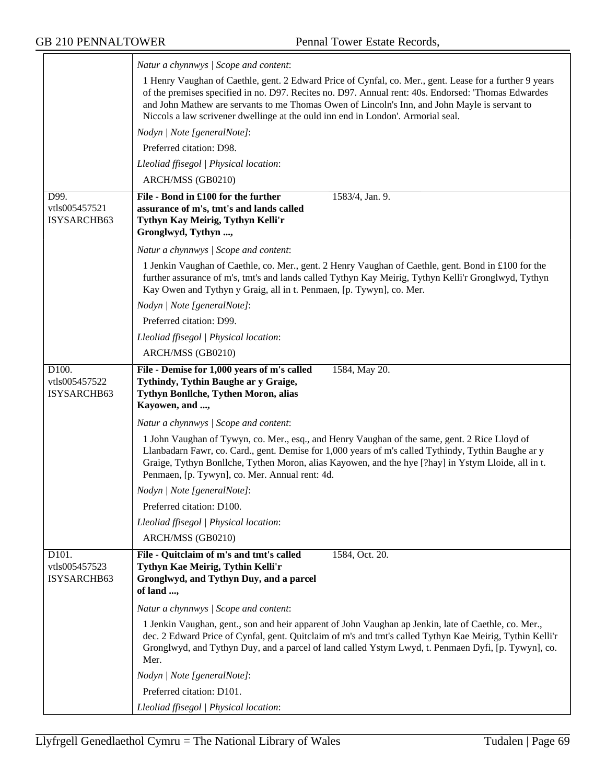|                                                    | Natur a chynnwys / Scope and content:                                                                                                                                                                                                                                                                                                                                                               |
|----------------------------------------------------|-----------------------------------------------------------------------------------------------------------------------------------------------------------------------------------------------------------------------------------------------------------------------------------------------------------------------------------------------------------------------------------------------------|
|                                                    | 1 Henry Vaughan of Caethle, gent. 2 Edward Price of Cynfal, co. Mer., gent. Lease for a further 9 years<br>of the premises specified in no. D97. Recites no. D97. Annual rent: 40s. Endorsed: 'Thomas Edwardes<br>and John Mathew are servants to me Thomas Owen of Lincoln's Inn, and John Mayle is servant to<br>Niccols a law scrivener dwellinge at the ould inn end in London'. Armorial seal. |
|                                                    | Nodyn   Note [generalNote]:                                                                                                                                                                                                                                                                                                                                                                         |
|                                                    | Preferred citation: D98.                                                                                                                                                                                                                                                                                                                                                                            |
|                                                    | Lleoliad ffisegol   Physical location:                                                                                                                                                                                                                                                                                                                                                              |
|                                                    | ARCH/MSS (GB0210)                                                                                                                                                                                                                                                                                                                                                                                   |
| D99.<br>vtls005457521<br>ISYSARCHB63               | File - Bond in £100 for the further<br>1583/4, Jan. 9.<br>assurance of m's, tmt's and lands called<br>Tythyn Kay Meirig, Tythyn Kelli'r<br>Gronglwyd, Tythyn ,                                                                                                                                                                                                                                      |
|                                                    | Natur a chynnwys / Scope and content:                                                                                                                                                                                                                                                                                                                                                               |
|                                                    | 1 Jenkin Vaughan of Caethle, co. Mer., gent. 2 Henry Vaughan of Caethle, gent. Bond in £100 for the<br>further assurance of m's, tmt's and lands called Tythyn Kay Meirig, Tythyn Kelli'r Gronglwyd, Tythyn<br>Kay Owen and Tythyn y Graig, all in t. Penmaen, [p. Tywyn], co. Mer.                                                                                                                 |
|                                                    | Nodyn   Note [generalNote]:                                                                                                                                                                                                                                                                                                                                                                         |
|                                                    | Preferred citation: D99.                                                                                                                                                                                                                                                                                                                                                                            |
|                                                    | Lleoliad ffisegol   Physical location:                                                                                                                                                                                                                                                                                                                                                              |
|                                                    | ARCH/MSS (GB0210)                                                                                                                                                                                                                                                                                                                                                                                   |
| D100.<br>vtls005457522<br>ISYSARCHB63              | File - Demise for 1,000 years of m's called<br>1584, May 20.<br>Tythindy, Tythin Baughe ar y Graige,<br>Tythyn Bonllche, Tythen Moron, alias<br>Kayowen, and ,                                                                                                                                                                                                                                      |
|                                                    | Natur a chynnwys / Scope and content:                                                                                                                                                                                                                                                                                                                                                               |
|                                                    | 1 John Vaughan of Tywyn, co. Mer., esq., and Henry Vaughan of the same, gent. 2 Rice Lloyd of<br>Llanbadarn Fawr, co. Card., gent. Demise for 1,000 years of m's called Tythindy, Tythin Baughe ar y<br>Graige, Tythyn Bonllche, Tythen Moron, alias Kayowen, and the hye [?hay] in Ystym Lloide, all in t.<br>Penmaen, [p. Tywyn], co. Mer. Annual rent: 4d.                                       |
|                                                    | Nodyn   Note [generalNote]:                                                                                                                                                                                                                                                                                                                                                                         |
|                                                    | Preferred citation: D100.                                                                                                                                                                                                                                                                                                                                                                           |
|                                                    | Lleoliad ffisegol   Physical location:                                                                                                                                                                                                                                                                                                                                                              |
|                                                    | ARCH/MSS (GB0210)                                                                                                                                                                                                                                                                                                                                                                                   |
| D <sub>101</sub> .<br>vtls005457523<br>ISYSARCHB63 | 1584, Oct. 20.<br>File - Quitclaim of m's and tmt's called<br>Tythyn Kae Meirig, Tythin Kelli'r<br>Gronglwyd, and Tythyn Duy, and a parcel<br>of land ,                                                                                                                                                                                                                                             |
|                                                    | Natur a chynnwys / Scope and content:                                                                                                                                                                                                                                                                                                                                                               |
|                                                    | 1 Jenkin Vaughan, gent., son and heir apparent of John Vaughan ap Jenkin, late of Caethle, co. Mer.,<br>dec. 2 Edward Price of Cynfal, gent. Quitclaim of m's and tmt's called Tythyn Kae Meirig, Tythin Kelli'r<br>Gronglwyd, and Tythyn Duy, and a parcel of land called Ystym Lwyd, t. Penmaen Dyfi, [p. Tywyn], co.<br>Mer.                                                                     |
|                                                    | Nodyn   Note [generalNote]:                                                                                                                                                                                                                                                                                                                                                                         |
|                                                    | Preferred citation: D101.                                                                                                                                                                                                                                                                                                                                                                           |
|                                                    | Lleoliad ffisegol   Physical location:                                                                                                                                                                                                                                                                                                                                                              |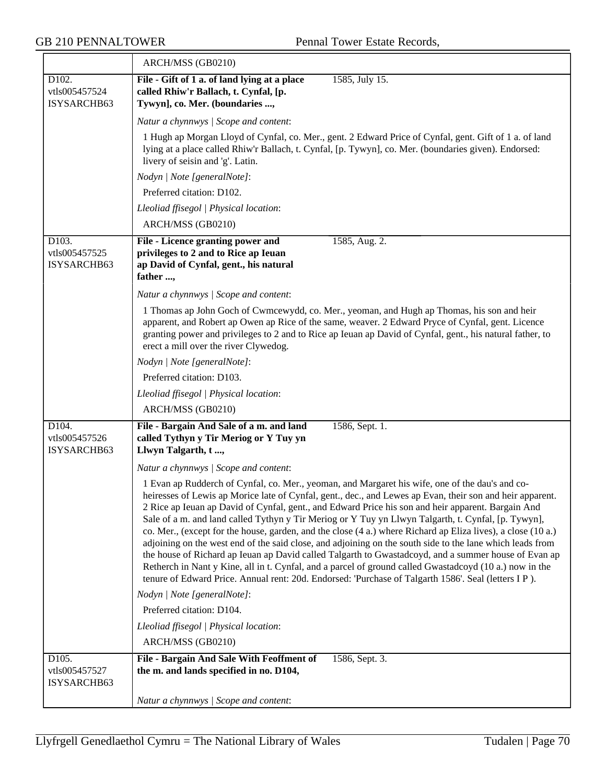$\overline{\phantom{a}}$ 

|                                       | ARCH/MSS (GB0210)                                                                                                                                                                                                                                                                                                                                                                                                                                                                                                                                                                                                                                                                                                                                                                                                                                                                                                                                                                 |
|---------------------------------------|-----------------------------------------------------------------------------------------------------------------------------------------------------------------------------------------------------------------------------------------------------------------------------------------------------------------------------------------------------------------------------------------------------------------------------------------------------------------------------------------------------------------------------------------------------------------------------------------------------------------------------------------------------------------------------------------------------------------------------------------------------------------------------------------------------------------------------------------------------------------------------------------------------------------------------------------------------------------------------------|
| D102.<br>vtls005457524<br>ISYSARCHB63 | File - Gift of 1 a. of land lying at a place<br>1585, July 15.<br>called Rhiw'r Ballach, t. Cynfal, [p.<br>Tywyn], co. Mer. (boundaries ,                                                                                                                                                                                                                                                                                                                                                                                                                                                                                                                                                                                                                                                                                                                                                                                                                                         |
|                                       | Natur a chynnwys / Scope and content:                                                                                                                                                                                                                                                                                                                                                                                                                                                                                                                                                                                                                                                                                                                                                                                                                                                                                                                                             |
|                                       | 1 Hugh ap Morgan Lloyd of Cynfal, co. Mer., gent. 2 Edward Price of Cynfal, gent. Gift of 1 a. of land<br>lying at a place called Rhiw'r Ballach, t. Cynfal, [p. Tywyn], co. Mer. (boundaries given). Endorsed:<br>livery of seisin and 'g'. Latin.                                                                                                                                                                                                                                                                                                                                                                                                                                                                                                                                                                                                                                                                                                                               |
|                                       | Nodyn   Note [generalNote]:                                                                                                                                                                                                                                                                                                                                                                                                                                                                                                                                                                                                                                                                                                                                                                                                                                                                                                                                                       |
|                                       | Preferred citation: D102.                                                                                                                                                                                                                                                                                                                                                                                                                                                                                                                                                                                                                                                                                                                                                                                                                                                                                                                                                         |
|                                       | Lleoliad ffisegol   Physical location:                                                                                                                                                                                                                                                                                                                                                                                                                                                                                                                                                                                                                                                                                                                                                                                                                                                                                                                                            |
|                                       | ARCH/MSS (GB0210)                                                                                                                                                                                                                                                                                                                                                                                                                                                                                                                                                                                                                                                                                                                                                                                                                                                                                                                                                                 |
| D103.<br>vtls005457525<br>ISYSARCHB63 | File - Licence granting power and<br>1585, Aug. 2.<br>privileges to 2 and to Rice ap Ieuan<br>ap David of Cynfal, gent., his natural<br>father ,                                                                                                                                                                                                                                                                                                                                                                                                                                                                                                                                                                                                                                                                                                                                                                                                                                  |
|                                       | Natur a chynnwys / Scope and content:                                                                                                                                                                                                                                                                                                                                                                                                                                                                                                                                                                                                                                                                                                                                                                                                                                                                                                                                             |
|                                       | 1 Thomas ap John Goch of Cwmcewydd, co. Mer., yeoman, and Hugh ap Thomas, his son and heir<br>apparent, and Robert ap Owen ap Rice of the same, weaver. 2 Edward Pryce of Cynfal, gent. Licence<br>granting power and privileges to 2 and to Rice ap Ieuan ap David of Cynfal, gent., his natural father, to<br>erect a mill over the river Clywedog.                                                                                                                                                                                                                                                                                                                                                                                                                                                                                                                                                                                                                             |
|                                       | Nodyn   Note [generalNote]:                                                                                                                                                                                                                                                                                                                                                                                                                                                                                                                                                                                                                                                                                                                                                                                                                                                                                                                                                       |
|                                       | Preferred citation: D103.                                                                                                                                                                                                                                                                                                                                                                                                                                                                                                                                                                                                                                                                                                                                                                                                                                                                                                                                                         |
|                                       | Lleoliad ffisegol   Physical location:                                                                                                                                                                                                                                                                                                                                                                                                                                                                                                                                                                                                                                                                                                                                                                                                                                                                                                                                            |
|                                       | ARCH/MSS (GB0210)                                                                                                                                                                                                                                                                                                                                                                                                                                                                                                                                                                                                                                                                                                                                                                                                                                                                                                                                                                 |
| D104.<br>vtls005457526<br>ISYSARCHB63 | File - Bargain And Sale of a m. and land<br>1586, Sept. 1.<br>called Tythyn y Tir Meriog or Y Tuy yn<br>Llwyn Talgarth, t,                                                                                                                                                                                                                                                                                                                                                                                                                                                                                                                                                                                                                                                                                                                                                                                                                                                        |
|                                       | Natur a chynnwys / Scope and content:                                                                                                                                                                                                                                                                                                                                                                                                                                                                                                                                                                                                                                                                                                                                                                                                                                                                                                                                             |
|                                       | 1 Evan ap Rudderch of Cynfal, co. Mer., yeoman, and Margaret his wife, one of the dau's and co-<br>heiresses of Lewis ap Morice late of Cynfal, gent., dec., and Lewes ap Evan, their son and heir apparent.<br>2 Rice ap Ieuan ap David of Cynfal, gent., and Edward Price his son and heir apparent. Bargain And<br>Sale of a m. and land called Tythyn y Tir Meriog or Y Tuy yn Llwyn Talgarth, t. Cynfal, [p. Tywyn],<br>co. Mer., (except for the house, garden, and the close (4 a.) where Richard ap Eliza lives), a close (10 a.)<br>adjoining on the west end of the said close, and adjoining on the south side to the lane which leads from<br>the house of Richard ap Ieuan ap David called Talgarth to Gwastadcoyd, and a summer house of Evan ap<br>Retherch in Nant y Kine, all in t. Cynfal, and a parcel of ground called Gwastadcoyd (10 a.) now in the<br>tenure of Edward Price. Annual rent: 20d. Endorsed: 'Purchase of Talgarth 1586'. Seal (letters I P). |
|                                       | Nodyn   Note [generalNote]:                                                                                                                                                                                                                                                                                                                                                                                                                                                                                                                                                                                                                                                                                                                                                                                                                                                                                                                                                       |
|                                       | Preferred citation: D104.                                                                                                                                                                                                                                                                                                                                                                                                                                                                                                                                                                                                                                                                                                                                                                                                                                                                                                                                                         |
|                                       | Lleoliad ffisegol   Physical location:                                                                                                                                                                                                                                                                                                                                                                                                                                                                                                                                                                                                                                                                                                                                                                                                                                                                                                                                            |
|                                       | ARCH/MSS (GB0210)                                                                                                                                                                                                                                                                                                                                                                                                                                                                                                                                                                                                                                                                                                                                                                                                                                                                                                                                                                 |
| D105.<br>vtls005457527<br>ISYSARCHB63 | File - Bargain And Sale With Feoffment of<br>1586, Sept. 3.<br>the m. and lands specified in no. D104,                                                                                                                                                                                                                                                                                                                                                                                                                                                                                                                                                                                                                                                                                                                                                                                                                                                                            |
|                                       | Natur a chynnwys / Scope and content:                                                                                                                                                                                                                                                                                                                                                                                                                                                                                                                                                                                                                                                                                                                                                                                                                                                                                                                                             |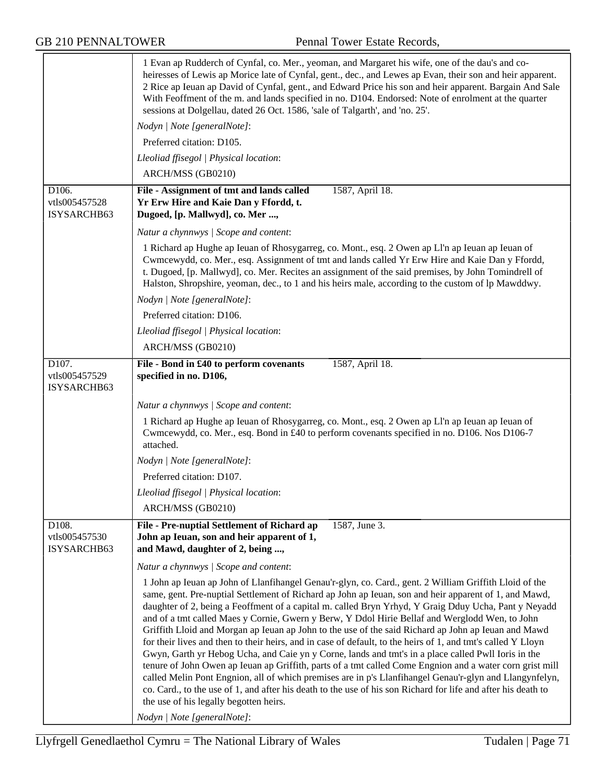|                                       | 1 Evan ap Rudderch of Cynfal, co. Mer., yeoman, and Margaret his wife, one of the dau's and co-<br>heiresses of Lewis ap Morice late of Cynfal, gent., dec., and Lewes ap Evan, their son and heir apparent.<br>2 Rice ap Ieuan ap David of Cynfal, gent., and Edward Price his son and heir apparent. Bargain And Sale<br>With Feoffment of the m. and lands specified in no. D104. Endorsed: Note of enrolment at the quarter<br>sessions at Dolgellau, dated 26 Oct. 1586, 'sale of Talgarth', and 'no. 25'.                                                                                                                                                                                                                                                                                                                                                                                                                                                                                                                                                                                                                                                          |
|---------------------------------------|--------------------------------------------------------------------------------------------------------------------------------------------------------------------------------------------------------------------------------------------------------------------------------------------------------------------------------------------------------------------------------------------------------------------------------------------------------------------------------------------------------------------------------------------------------------------------------------------------------------------------------------------------------------------------------------------------------------------------------------------------------------------------------------------------------------------------------------------------------------------------------------------------------------------------------------------------------------------------------------------------------------------------------------------------------------------------------------------------------------------------------------------------------------------------|
|                                       | Nodyn   Note [generalNote]:                                                                                                                                                                                                                                                                                                                                                                                                                                                                                                                                                                                                                                                                                                                                                                                                                                                                                                                                                                                                                                                                                                                                              |
|                                       | Preferred citation: D105.                                                                                                                                                                                                                                                                                                                                                                                                                                                                                                                                                                                                                                                                                                                                                                                                                                                                                                                                                                                                                                                                                                                                                |
|                                       | Lleoliad ffisegol   Physical location:                                                                                                                                                                                                                                                                                                                                                                                                                                                                                                                                                                                                                                                                                                                                                                                                                                                                                                                                                                                                                                                                                                                                   |
|                                       | ARCH/MSS (GB0210)                                                                                                                                                                                                                                                                                                                                                                                                                                                                                                                                                                                                                                                                                                                                                                                                                                                                                                                                                                                                                                                                                                                                                        |
| D106.<br>vtls005457528<br>ISYSARCHB63 | File - Assignment of tmt and lands called<br>1587, April 18.<br>Yr Erw Hire and Kaie Dan y Ffordd, t.<br>Dugoed, [p. Mallwyd], co. Mer ,                                                                                                                                                                                                                                                                                                                                                                                                                                                                                                                                                                                                                                                                                                                                                                                                                                                                                                                                                                                                                                 |
|                                       | Natur a chynnwys / Scope and content:                                                                                                                                                                                                                                                                                                                                                                                                                                                                                                                                                                                                                                                                                                                                                                                                                                                                                                                                                                                                                                                                                                                                    |
|                                       | 1 Richard ap Hughe ap Ieuan of Rhosygarreg, co. Mont., esq. 2 Owen ap Ll'n ap Ieuan ap Ieuan of<br>Cwmcewydd, co. Mer., esq. Assignment of tmt and lands called Yr Erw Hire and Kaie Dan y Ffordd,<br>t. Dugoed, [p. Mallwyd], co. Mer. Recites an assignment of the said premises, by John Tomindrell of<br>Halston, Shropshire, yeoman, dec., to 1 and his heirs male, according to the custom of lp Mawddwy.                                                                                                                                                                                                                                                                                                                                                                                                                                                                                                                                                                                                                                                                                                                                                          |
|                                       | Nodyn   Note [generalNote]:                                                                                                                                                                                                                                                                                                                                                                                                                                                                                                                                                                                                                                                                                                                                                                                                                                                                                                                                                                                                                                                                                                                                              |
|                                       | Preferred citation: D106.                                                                                                                                                                                                                                                                                                                                                                                                                                                                                                                                                                                                                                                                                                                                                                                                                                                                                                                                                                                                                                                                                                                                                |
|                                       | Lleoliad ffisegol   Physical location:                                                                                                                                                                                                                                                                                                                                                                                                                                                                                                                                                                                                                                                                                                                                                                                                                                                                                                                                                                                                                                                                                                                                   |
|                                       | ARCH/MSS (GB0210)                                                                                                                                                                                                                                                                                                                                                                                                                                                                                                                                                                                                                                                                                                                                                                                                                                                                                                                                                                                                                                                                                                                                                        |
| D107.<br>vtls005457529<br>ISYSARCHB63 | File - Bond in £40 to perform covenants<br>1587, April 18.<br>specified in no. D106,                                                                                                                                                                                                                                                                                                                                                                                                                                                                                                                                                                                                                                                                                                                                                                                                                                                                                                                                                                                                                                                                                     |
|                                       | Natur a chynnwys / Scope and content:                                                                                                                                                                                                                                                                                                                                                                                                                                                                                                                                                                                                                                                                                                                                                                                                                                                                                                                                                                                                                                                                                                                                    |
|                                       | 1 Richard ap Hughe ap Ieuan of Rhosygarreg, co. Mont., esq. 2 Owen ap Ll'n ap Ieuan ap Ieuan of<br>Cwmcewydd, co. Mer., esq. Bond in £40 to perform covenants specified in no. D106. Nos D106-7<br>attached.                                                                                                                                                                                                                                                                                                                                                                                                                                                                                                                                                                                                                                                                                                                                                                                                                                                                                                                                                             |
|                                       | Nodyn   Note [generalNote]:                                                                                                                                                                                                                                                                                                                                                                                                                                                                                                                                                                                                                                                                                                                                                                                                                                                                                                                                                                                                                                                                                                                                              |
|                                       | Preferred citation: D107.                                                                                                                                                                                                                                                                                                                                                                                                                                                                                                                                                                                                                                                                                                                                                                                                                                                                                                                                                                                                                                                                                                                                                |
|                                       | Lleoliad ffisegol   Physical location:                                                                                                                                                                                                                                                                                                                                                                                                                                                                                                                                                                                                                                                                                                                                                                                                                                                                                                                                                                                                                                                                                                                                   |
|                                       | ARCH/MSS (GB0210)                                                                                                                                                                                                                                                                                                                                                                                                                                                                                                                                                                                                                                                                                                                                                                                                                                                                                                                                                                                                                                                                                                                                                        |
| D108.<br>vtls005457530<br>ISYSARCHB63 | 1587, June 3.<br>File - Pre-nuptial Settlement of Richard ap<br>John ap Ieuan, son and heir apparent of 1,<br>and Mawd, daughter of 2, being ,                                                                                                                                                                                                                                                                                                                                                                                                                                                                                                                                                                                                                                                                                                                                                                                                                                                                                                                                                                                                                           |
|                                       | Natur a chynnwys / Scope and content:                                                                                                                                                                                                                                                                                                                                                                                                                                                                                                                                                                                                                                                                                                                                                                                                                                                                                                                                                                                                                                                                                                                                    |
|                                       | 1 John ap Ieuan ap John of Llanfihangel Genau'r-glyn, co. Card., gent. 2 William Griffith Lloid of the<br>same, gent. Pre-nuptial Settlement of Richard ap John ap Ieuan, son and heir apparent of 1, and Mawd,<br>daughter of 2, being a Feoffment of a capital m. called Bryn Yrhyd, Y Graig Dduy Ucha, Pant y Neyadd<br>and of a tmt called Maes y Cornie, Gwern y Berw, Y Ddol Hirie Bellaf and Werglodd Wen, to John<br>Griffith Lloid and Morgan ap Ieuan ap John to the use of the said Richard ap John ap Ieuan and Mawd<br>for their lives and then to their heirs, and in case of default, to the heirs of 1, and tmt's called Y Lloyn<br>Gwyn, Garth yr Hebog Ucha, and Caie yn y Corne, lands and tmt's in a place called Pwll Ioris in the<br>tenure of John Owen ap Ieuan ap Griffith, parts of a tmt called Come Engnion and a water corn grist mill<br>called Melin Pont Engnion, all of which premises are in p's Llanfihangel Genau'r-glyn and Llangynfelyn,<br>co. Card., to the use of 1, and after his death to the use of his son Richard for life and after his death to<br>the use of his legally begotten heirs.<br>Nodyn   Note [generalNote]: |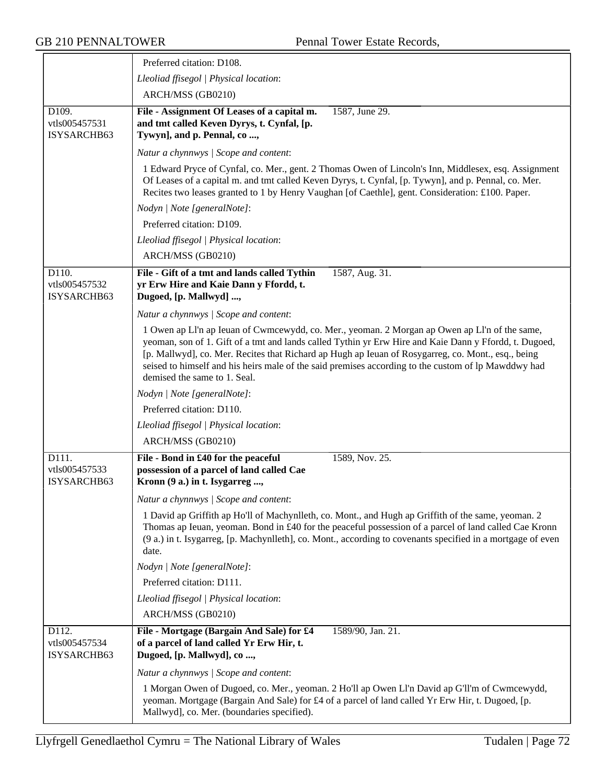|                                                    | Preferred citation: D108.                                                                                                                                                                                                                                                                                                                                                                                                                            |
|----------------------------------------------------|------------------------------------------------------------------------------------------------------------------------------------------------------------------------------------------------------------------------------------------------------------------------------------------------------------------------------------------------------------------------------------------------------------------------------------------------------|
|                                                    | Lleoliad ffisegol   Physical location:                                                                                                                                                                                                                                                                                                                                                                                                               |
|                                                    | ARCH/MSS (GB0210)                                                                                                                                                                                                                                                                                                                                                                                                                                    |
| D <sub>109</sub> .<br>vtls005457531<br>ISYSARCHB63 | 1587, June 29.<br>File - Assignment Of Leases of a capital m.<br>and tmt called Keven Dyrys, t. Cynfal, [p.<br>Tywyn], and p. Pennal, co,                                                                                                                                                                                                                                                                                                            |
|                                                    | Natur a chynnwys / Scope and content:                                                                                                                                                                                                                                                                                                                                                                                                                |
|                                                    | 1 Edward Pryce of Cynfal, co. Mer., gent. 2 Thomas Owen of Lincoln's Inn, Middlesex, esq. Assignment<br>Of Leases of a capital m. and tmt called Keven Dyrys, t. Cynfal, [p. Tywyn], and p. Pennal, co. Mer.<br>Recites two leases granted to 1 by Henry Vaughan [of Caethle], gent. Consideration: £100. Paper.                                                                                                                                     |
|                                                    | Nodyn   Note [generalNote]:                                                                                                                                                                                                                                                                                                                                                                                                                          |
|                                                    | Preferred citation: D109.                                                                                                                                                                                                                                                                                                                                                                                                                            |
|                                                    | Lleoliad ffisegol   Physical location:                                                                                                                                                                                                                                                                                                                                                                                                               |
|                                                    | ARCH/MSS (GB0210)                                                                                                                                                                                                                                                                                                                                                                                                                                    |
| D110.<br>vtls005457532<br>ISYSARCHB63              | 1587, Aug. 31.<br>File - Gift of a tmt and lands called Tythin<br>yr Erw Hire and Kaie Dann y Ffordd, t.<br>Dugoed, [p. Mallwyd] ,                                                                                                                                                                                                                                                                                                                   |
|                                                    | Natur a chynnwys / Scope and content:                                                                                                                                                                                                                                                                                                                                                                                                                |
|                                                    | 1 Owen ap Ll'n ap Ieuan of Cwmcewydd, co. Mer., yeoman. 2 Morgan ap Owen ap Ll'n of the same,<br>yeoman, son of 1. Gift of a tmt and lands called Tythin yr Erw Hire and Kaie Dann y Ffordd, t. Dugoed,<br>[p. Mallwyd], co. Mer. Recites that Richard ap Hugh ap Ieuan of Rosygarreg, co. Mont., esq., being<br>seised to himself and his heirs male of the said premises according to the custom of lp Mawddwy had<br>demised the same to 1. Seal. |
|                                                    | Nodyn   Note [generalNote]:                                                                                                                                                                                                                                                                                                                                                                                                                          |
|                                                    | Preferred citation: D110.                                                                                                                                                                                                                                                                                                                                                                                                                            |
|                                                    | Lleoliad ffisegol   Physical location:                                                                                                                                                                                                                                                                                                                                                                                                               |
|                                                    | ARCH/MSS (GB0210)                                                                                                                                                                                                                                                                                                                                                                                                                                    |
| D111.<br>vtls005457533<br>ISYSARCHB63              | File - Bond in £40 for the peaceful<br>1589, Nov. 25.<br>possession of a parcel of land called Cae<br>Kronn (9 a.) in t. Isygarreg ,                                                                                                                                                                                                                                                                                                                 |
|                                                    | Natur a chynnwys / Scope and content:                                                                                                                                                                                                                                                                                                                                                                                                                |
|                                                    | 1 David ap Griffith ap Ho'll of Machynlleth, co. Mont., and Hugh ap Griffith of the same, yeoman. 2<br>Thomas ap Ieuan, yeoman. Bond in £40 for the peaceful possession of a parcel of land called Cae Kronn<br>(9 a.) in t. Isygarreg, [p. Machynlleth], co. Mont., according to covenants specified in a mortgage of even<br>date.                                                                                                                 |
|                                                    | Nodyn   Note [generalNote]:                                                                                                                                                                                                                                                                                                                                                                                                                          |
|                                                    | Preferred citation: D111.                                                                                                                                                                                                                                                                                                                                                                                                                            |
|                                                    | Lleoliad ffisegol   Physical location:                                                                                                                                                                                                                                                                                                                                                                                                               |
|                                                    | ARCH/MSS (GB0210)                                                                                                                                                                                                                                                                                                                                                                                                                                    |
| D112.<br>vtls005457534<br>ISYSARCHB63              | File - Mortgage (Bargain And Sale) for £4<br>1589/90, Jan. 21.<br>of a parcel of land called Yr Erw Hir, t.<br>Dugoed, [p. Mallwyd], co,                                                                                                                                                                                                                                                                                                             |
|                                                    | Natur a chynnwys / Scope and content:                                                                                                                                                                                                                                                                                                                                                                                                                |
|                                                    | 1 Morgan Owen of Dugoed, co. Mer., yeoman. 2 Ho'll ap Owen Ll'n David ap G'll'm of Cwmcewydd,<br>yeoman. Mortgage (Bargain And Sale) for £4 of a parcel of land called Yr Erw Hir, t. Dugoed, [p.<br>Mallwyd], co. Mer. (boundaries specified).                                                                                                                                                                                                      |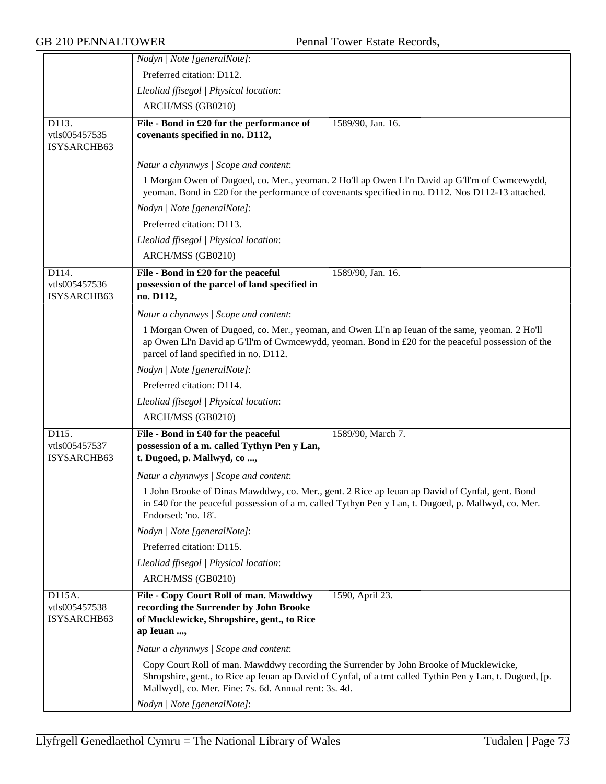|                                        | Nodyn   Note [generalNote]:                                                                                                                                                                                                                                 |
|----------------------------------------|-------------------------------------------------------------------------------------------------------------------------------------------------------------------------------------------------------------------------------------------------------------|
|                                        | Preferred citation: D112.                                                                                                                                                                                                                                   |
|                                        | Lleoliad ffisegol   Physical location:                                                                                                                                                                                                                      |
|                                        | ARCH/MSS (GB0210)                                                                                                                                                                                                                                           |
| D113.<br>vtls005457535<br>ISYSARCHB63  | File - Bond in £20 for the performance of<br>1589/90, Jan. 16.<br>covenants specified in no. D112,                                                                                                                                                          |
|                                        | Natur a chynnwys / Scope and content:                                                                                                                                                                                                                       |
|                                        | 1 Morgan Owen of Dugoed, co. Mer., yeoman. 2 Ho'll ap Owen Ll'n David ap G'll'm of Cwmcewydd,                                                                                                                                                               |
|                                        | yeoman. Bond in £20 for the performance of covenants specified in no. D112. Nos D112-13 attached.                                                                                                                                                           |
|                                        | Nodyn   Note [generalNote]:                                                                                                                                                                                                                                 |
|                                        | Preferred citation: D113.                                                                                                                                                                                                                                   |
|                                        | Lleoliad ffisegol   Physical location:                                                                                                                                                                                                                      |
|                                        | ARCH/MSS (GB0210)                                                                                                                                                                                                                                           |
| D114.<br>vtls005457536<br>ISYSARCHB63  | File - Bond in £20 for the peaceful<br>1589/90, Jan. 16.<br>possession of the parcel of land specified in<br>no. D112,                                                                                                                                      |
|                                        | Natur a chynnwys / Scope and content:                                                                                                                                                                                                                       |
|                                        | 1 Morgan Owen of Dugoed, co. Mer., yeoman, and Owen Ll'n ap Ieuan of the same, yeoman. 2 Ho'll<br>ap Owen Ll'n David ap G'll'm of Cwmcewydd, yeoman. Bond in £20 for the peaceful possession of the<br>parcel of land specified in no. D112.                |
|                                        | Nodyn   Note [generalNote]:                                                                                                                                                                                                                                 |
|                                        | Preferred citation: D114.                                                                                                                                                                                                                                   |
|                                        | Lleoliad ffisegol   Physical location:                                                                                                                                                                                                                      |
|                                        | ARCH/MSS (GB0210)                                                                                                                                                                                                                                           |
| D115.<br>vtls005457537<br>ISYSARCHB63  | File - Bond in £40 for the peaceful<br>1589/90, March 7.<br>possession of a m. called Tythyn Pen y Lan,<br>t. Dugoed, p. Mallwyd, co ,                                                                                                                      |
|                                        | Natur a chynnwys / Scope and content:                                                                                                                                                                                                                       |
|                                        | 1 John Brooke of Dinas Mawddwy, co. Mer., gent. 2 Rice ap Ieuan ap David of Cynfal, gent. Bond<br>in £40 for the peaceful possession of a m. called Tythyn Pen y Lan, t. Dugoed, p. Mallwyd, co. Mer.<br>Endorsed: 'no. 18'.                                |
|                                        | Nodyn   Note [generalNote]:                                                                                                                                                                                                                                 |
|                                        | Preferred citation: D115.                                                                                                                                                                                                                                   |
|                                        | Lleoliad ffisegol   Physical location:                                                                                                                                                                                                                      |
|                                        | ARCH/MSS (GB0210)                                                                                                                                                                                                                                           |
| D115A.<br>vtls005457538<br>ISYSARCHB63 | File - Copy Court Roll of man. Mawddwy<br>1590, April 23.<br>recording the Surrender by John Brooke<br>of Mucklewicke, Shropshire, gent., to Rice<br>ap Ieuan ,                                                                                             |
|                                        | Natur a chynnwys / Scope and content:                                                                                                                                                                                                                       |
|                                        | Copy Court Roll of man. Mawddwy recording the Surrender by John Brooke of Mucklewicke,<br>Shropshire, gent., to Rice ap Ieuan ap David of Cynfal, of a tmt called Tythin Pen y Lan, t. Dugoed, [p.<br>Mallwyd], co. Mer. Fine: 7s. 6d. Annual rent: 3s. 4d. |
|                                        | Nodyn   Note [generalNote]:                                                                                                                                                                                                                                 |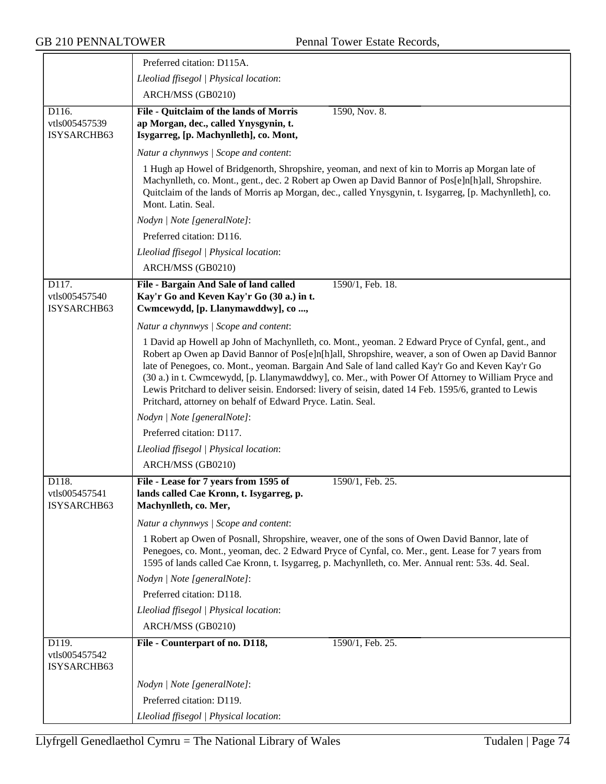|                                       | Preferred citation: D115A.                                                                                                                                                                                                                                                                                                                                                                                                                                                                                                                                                               |
|---------------------------------------|------------------------------------------------------------------------------------------------------------------------------------------------------------------------------------------------------------------------------------------------------------------------------------------------------------------------------------------------------------------------------------------------------------------------------------------------------------------------------------------------------------------------------------------------------------------------------------------|
|                                       | Lleoliad ffisegol   Physical location:                                                                                                                                                                                                                                                                                                                                                                                                                                                                                                                                                   |
|                                       | ARCH/MSS (GB0210)                                                                                                                                                                                                                                                                                                                                                                                                                                                                                                                                                                        |
| D116.<br>vtls005457539<br>ISYSARCHB63 | 1590, Nov. 8.<br>File - Quitclaim of the lands of Morris<br>ap Morgan, dec., called Ynysgynin, t.<br>Isygarreg, [p. Machynlleth], co. Mont,                                                                                                                                                                                                                                                                                                                                                                                                                                              |
|                                       | Natur a chynnwys / Scope and content:                                                                                                                                                                                                                                                                                                                                                                                                                                                                                                                                                    |
|                                       | 1 Hugh ap Howel of Bridgenorth, Shropshire, yeoman, and next of kin to Morris ap Morgan late of<br>Machynlleth, co. Mont., gent., dec. 2 Robert ap Owen ap David Bannor of Pos[e]n[h]all, Shropshire.<br>Quitclaim of the lands of Morris ap Morgan, dec., called Ynysgynin, t. Isygarreg, [p. Machynlleth], co.<br>Mont. Latin. Seal.                                                                                                                                                                                                                                                   |
|                                       | Nodyn   Note [generalNote]:                                                                                                                                                                                                                                                                                                                                                                                                                                                                                                                                                              |
|                                       | Preferred citation: D116.                                                                                                                                                                                                                                                                                                                                                                                                                                                                                                                                                                |
|                                       | Lleoliad ffisegol   Physical location:                                                                                                                                                                                                                                                                                                                                                                                                                                                                                                                                                   |
|                                       | ARCH/MSS (GB0210)                                                                                                                                                                                                                                                                                                                                                                                                                                                                                                                                                                        |
| D117.<br>vtls005457540<br>ISYSARCHB63 | 1590/1, Feb. 18.<br>File - Bargain And Sale of land called<br>Kay'r Go and Keven Kay'r Go (30 a.) in t.<br>Cwmcewydd, [p. Llanymawddwy], co,                                                                                                                                                                                                                                                                                                                                                                                                                                             |
|                                       | Natur a chynnwys / Scope and content:                                                                                                                                                                                                                                                                                                                                                                                                                                                                                                                                                    |
|                                       | 1 David ap Howell ap John of Machynlleth, co. Mont., yeoman. 2 Edward Pryce of Cynfal, gent., and<br>Robert ap Owen ap David Bannor of Pos[e]n[h]all, Shropshire, weaver, a son of Owen ap David Bannor<br>late of Penegoes, co. Mont., yeoman. Bargain And Sale of land called Kay'r Go and Keven Kay'r Go<br>(30 a.) in t. Cwmcewydd, [p. Llanymawddwy], co. Mer., with Power Of Attorney to William Pryce and<br>Lewis Pritchard to deliver seisin. Endorsed: livery of seisin, dated 14 Feb. 1595/6, granted to Lewis<br>Pritchard, attorney on behalf of Edward Pryce. Latin. Seal. |
|                                       | Nodyn   Note [generalNote]:                                                                                                                                                                                                                                                                                                                                                                                                                                                                                                                                                              |
|                                       | Preferred citation: D117.                                                                                                                                                                                                                                                                                                                                                                                                                                                                                                                                                                |
|                                       | Lleoliad ffisegol   Physical location:                                                                                                                                                                                                                                                                                                                                                                                                                                                                                                                                                   |
|                                       | ARCH/MSS (GB0210)                                                                                                                                                                                                                                                                                                                                                                                                                                                                                                                                                                        |
| D118.<br>vtls005457541<br>ISYSARCHB63 | File - Lease for 7 years from 1595 of<br>1590/1, Feb. 25.<br>lands called Cae Kronn, t. Isygarreg, p.<br>Machynlleth, co. Mer,                                                                                                                                                                                                                                                                                                                                                                                                                                                           |
|                                       | Natur a chynnwys / Scope and content:                                                                                                                                                                                                                                                                                                                                                                                                                                                                                                                                                    |
|                                       | 1 Robert ap Owen of Posnall, Shropshire, weaver, one of the sons of Owen David Bannor, late of<br>Penegoes, co. Mont., yeoman, dec. 2 Edward Pryce of Cynfal, co. Mer., gent. Lease for 7 years from<br>1595 of lands called Cae Kronn, t. Isygarreg, p. Machynlleth, co. Mer. Annual rent: 53s. 4d. Seal.                                                                                                                                                                                                                                                                               |
|                                       | Nodyn   Note [generalNote]:                                                                                                                                                                                                                                                                                                                                                                                                                                                                                                                                                              |
|                                       | Preferred citation: D118.                                                                                                                                                                                                                                                                                                                                                                                                                                                                                                                                                                |
|                                       | Lleoliad ffisegol   Physical location:                                                                                                                                                                                                                                                                                                                                                                                                                                                                                                                                                   |
|                                       | ARCH/MSS (GB0210)                                                                                                                                                                                                                                                                                                                                                                                                                                                                                                                                                                        |
| D119.<br>vtls005457542<br>ISYSARCHB63 | File - Counterpart of no. D118,<br>1590/1, Feb. 25.                                                                                                                                                                                                                                                                                                                                                                                                                                                                                                                                      |
|                                       | Nodyn   Note [generalNote]:                                                                                                                                                                                                                                                                                                                                                                                                                                                                                                                                                              |
|                                       | Preferred citation: D119.                                                                                                                                                                                                                                                                                                                                                                                                                                                                                                                                                                |
|                                       | Lleoliad ffisegol   Physical location:                                                                                                                                                                                                                                                                                                                                                                                                                                                                                                                                                   |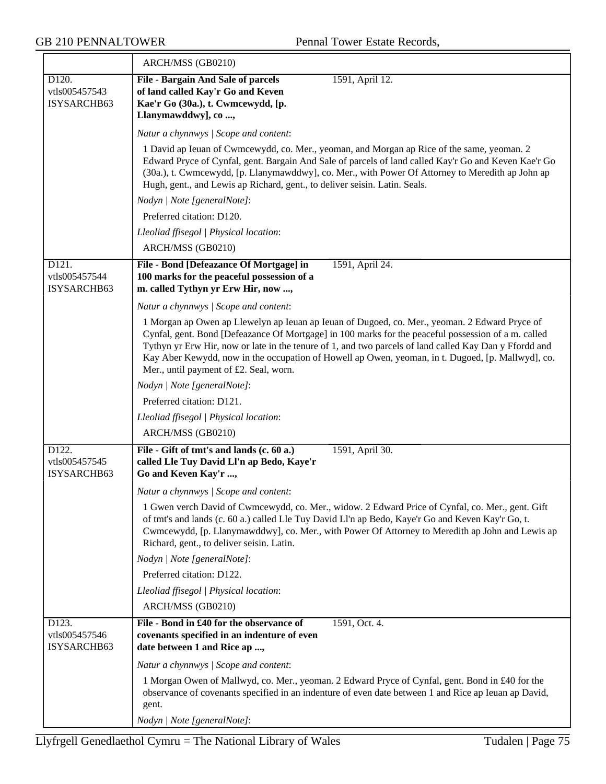$\overline{\phantom{a}}$ 

|                                       | ARCH/MSS (GB0210)                                                                                                                                                                                                                                                                                                                                                                                                                                             |
|---------------------------------------|---------------------------------------------------------------------------------------------------------------------------------------------------------------------------------------------------------------------------------------------------------------------------------------------------------------------------------------------------------------------------------------------------------------------------------------------------------------|
| D120.<br>vtls005457543<br>ISYSARCHB63 | <b>File - Bargain And Sale of parcels</b><br>1591, April 12.<br>of land called Kay'r Go and Keven<br>Kae'r Go (30a.), t. Cwmcewydd, [p.<br>Llanymawddwy], co ,                                                                                                                                                                                                                                                                                                |
|                                       | Natur a chynnwys / Scope and content:                                                                                                                                                                                                                                                                                                                                                                                                                         |
|                                       | 1 David ap Ieuan of Cwmcewydd, co. Mer., yeoman, and Morgan ap Rice of the same, yeoman. 2<br>Edward Pryce of Cynfal, gent. Bargain And Sale of parcels of land called Kay'r Go and Keven Kae'r Go<br>(30a.), t. Cwmcewydd, [p. Llanymawddwy], co. Mer., with Power Of Attorney to Meredith ap John ap<br>Hugh, gent., and Lewis ap Richard, gent., to deliver seisin. Latin. Seals.                                                                          |
|                                       | Nodyn   Note [generalNote]:                                                                                                                                                                                                                                                                                                                                                                                                                                   |
|                                       | Preferred citation: D120.                                                                                                                                                                                                                                                                                                                                                                                                                                     |
|                                       | Lleoliad ffisegol   Physical location:                                                                                                                                                                                                                                                                                                                                                                                                                        |
|                                       | ARCH/MSS (GB0210)                                                                                                                                                                                                                                                                                                                                                                                                                                             |
| D121.<br>vtls005457544<br>ISYSARCHB63 | File - Bond [Defeazance Of Mortgage] in<br>1591, April 24.<br>100 marks for the peaceful possession of a<br>m. called Tythyn yr Erw Hir, now ,                                                                                                                                                                                                                                                                                                                |
|                                       | Natur a chynnwys / Scope and content:                                                                                                                                                                                                                                                                                                                                                                                                                         |
|                                       | 1 Morgan ap Owen ap Llewelyn ap Ieuan ap Ieuan of Dugoed, co. Mer., yeoman. 2 Edward Pryce of<br>Cynfal, gent. Bond [Defeazance Of Mortgage] in 100 marks for the peaceful possession of a m. called<br>Tythyn yr Erw Hir, now or late in the tenure of 1, and two parcels of land called Kay Dan y Ffordd and<br>Kay Aber Kewydd, now in the occupation of Howell ap Owen, yeoman, in t. Dugoed, [p. Mallwyd], co.<br>Mer., until payment of £2. Seal, worn. |
|                                       | Nodyn   Note [generalNote]:                                                                                                                                                                                                                                                                                                                                                                                                                                   |
|                                       | Preferred citation: D121.                                                                                                                                                                                                                                                                                                                                                                                                                                     |
|                                       | Lleoliad ffisegol   Physical location:                                                                                                                                                                                                                                                                                                                                                                                                                        |
|                                       | ARCH/MSS (GB0210)                                                                                                                                                                                                                                                                                                                                                                                                                                             |
| D122.<br>vtls005457545<br>ISYSARCHB63 | File - Gift of tmt's and lands (c. 60 a.)<br>1591, April 30.<br>called Lle Tuy David Ll'n ap Bedo, Kaye'r<br>Go and Keven Kay'r ,                                                                                                                                                                                                                                                                                                                             |
|                                       | Natur a chynnwys / Scope and content:                                                                                                                                                                                                                                                                                                                                                                                                                         |
|                                       | 1 Gwen verch David of Cwmcewydd, co. Mer., widow. 2 Edward Price of Cynfal, co. Mer., gent. Gift<br>of tmt's and lands (c. 60 a.) called Lle Tuy David Ll'n ap Bedo, Kaye'r Go and Keven Kay'r Go, t.<br>Cwmcewydd, [p. Llanymawddwy], co. Mer., with Power Of Attorney to Meredith ap John and Lewis ap<br>Richard, gent., to deliver seisin. Latin.                                                                                                         |
|                                       | Nodyn   Note [generalNote]:                                                                                                                                                                                                                                                                                                                                                                                                                                   |
|                                       | Preferred citation: D122.                                                                                                                                                                                                                                                                                                                                                                                                                                     |
|                                       | Lleoliad ffisegol   Physical location:                                                                                                                                                                                                                                                                                                                                                                                                                        |
|                                       | ARCH/MSS (GB0210)                                                                                                                                                                                                                                                                                                                                                                                                                                             |
| D123.<br>vtls005457546<br>ISYSARCHB63 | File - Bond in £40 for the observance of<br>1591, Oct. 4.<br>covenants specified in an indenture of even<br>date between 1 and Rice ap ,                                                                                                                                                                                                                                                                                                                      |
|                                       | Natur a chynnwys / Scope and content:                                                                                                                                                                                                                                                                                                                                                                                                                         |
|                                       | 1 Morgan Owen of Mallwyd, co. Mer., yeoman. 2 Edward Pryce of Cynfal, gent. Bond in £40 for the<br>observance of covenants specified in an indenture of even date between 1 and Rice ap Ieuan ap David,<br>gent.                                                                                                                                                                                                                                              |
|                                       | Nodyn   Note [generalNote]:                                                                                                                                                                                                                                                                                                                                                                                                                                   |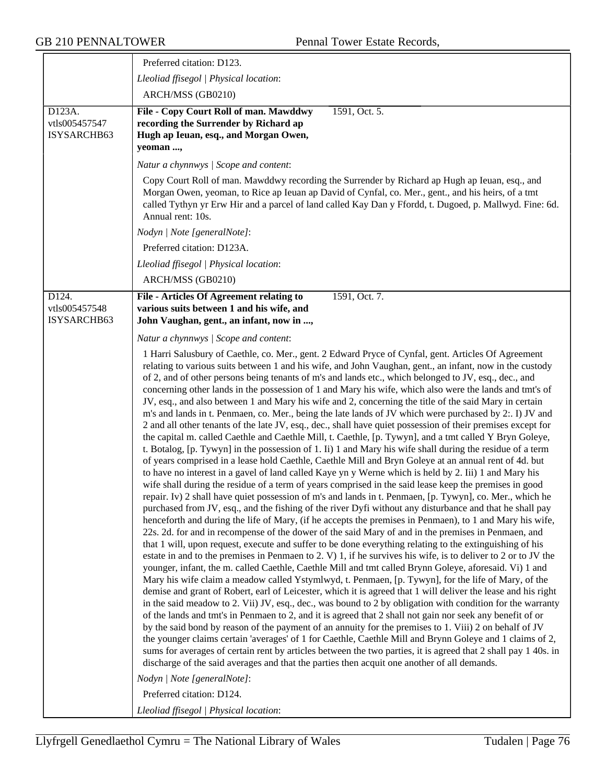|                                                     | Preferred citation: D123.                                                                                                                                                                                                                                                                                                                                                                                                                                                                                                                                                                                                                                                                                                                                                                                                                                                                                                                                                                                                                                                                                                                                                                                                                                                                                                                                                                                                                                                                                                                                                                                                                                                                                                                                                                                                                                                                                                                                                                                                                                                                                                                                                                                                                                                                                                                                                                                                                                                                                                                                                                                                                                                                                                                                                                                                                                                                                                                                                                                |
|-----------------------------------------------------|----------------------------------------------------------------------------------------------------------------------------------------------------------------------------------------------------------------------------------------------------------------------------------------------------------------------------------------------------------------------------------------------------------------------------------------------------------------------------------------------------------------------------------------------------------------------------------------------------------------------------------------------------------------------------------------------------------------------------------------------------------------------------------------------------------------------------------------------------------------------------------------------------------------------------------------------------------------------------------------------------------------------------------------------------------------------------------------------------------------------------------------------------------------------------------------------------------------------------------------------------------------------------------------------------------------------------------------------------------------------------------------------------------------------------------------------------------------------------------------------------------------------------------------------------------------------------------------------------------------------------------------------------------------------------------------------------------------------------------------------------------------------------------------------------------------------------------------------------------------------------------------------------------------------------------------------------------------------------------------------------------------------------------------------------------------------------------------------------------------------------------------------------------------------------------------------------------------------------------------------------------------------------------------------------------------------------------------------------------------------------------------------------------------------------------------------------------------------------------------------------------------------------------------------------------------------------------------------------------------------------------------------------------------------------------------------------------------------------------------------------------------------------------------------------------------------------------------------------------------------------------------------------------------------------------------------------------------------------------------------------------|
|                                                     | Lleoliad ffisegol   Physical location:                                                                                                                                                                                                                                                                                                                                                                                                                                                                                                                                                                                                                                                                                                                                                                                                                                                                                                                                                                                                                                                                                                                                                                                                                                                                                                                                                                                                                                                                                                                                                                                                                                                                                                                                                                                                                                                                                                                                                                                                                                                                                                                                                                                                                                                                                                                                                                                                                                                                                                                                                                                                                                                                                                                                                                                                                                                                                                                                                                   |
|                                                     | ARCH/MSS (GB0210)                                                                                                                                                                                                                                                                                                                                                                                                                                                                                                                                                                                                                                                                                                                                                                                                                                                                                                                                                                                                                                                                                                                                                                                                                                                                                                                                                                                                                                                                                                                                                                                                                                                                                                                                                                                                                                                                                                                                                                                                                                                                                                                                                                                                                                                                                                                                                                                                                                                                                                                                                                                                                                                                                                                                                                                                                                                                                                                                                                                        |
| D123A.<br>vtls005457547<br>ISYSARCHB63              | File - Copy Court Roll of man. Mawddwy<br>1591, Oct. 5.<br>recording the Surrender by Richard ap<br>Hugh ap Ieuan, esq., and Morgan Owen,<br>yeoman ,                                                                                                                                                                                                                                                                                                                                                                                                                                                                                                                                                                                                                                                                                                                                                                                                                                                                                                                                                                                                                                                                                                                                                                                                                                                                                                                                                                                                                                                                                                                                                                                                                                                                                                                                                                                                                                                                                                                                                                                                                                                                                                                                                                                                                                                                                                                                                                                                                                                                                                                                                                                                                                                                                                                                                                                                                                                    |
|                                                     | Natur a chynnwys / Scope and content:                                                                                                                                                                                                                                                                                                                                                                                                                                                                                                                                                                                                                                                                                                                                                                                                                                                                                                                                                                                                                                                                                                                                                                                                                                                                                                                                                                                                                                                                                                                                                                                                                                                                                                                                                                                                                                                                                                                                                                                                                                                                                                                                                                                                                                                                                                                                                                                                                                                                                                                                                                                                                                                                                                                                                                                                                                                                                                                                                                    |
|                                                     | Copy Court Roll of man. Mawddwy recording the Surrender by Richard ap Hugh ap Ieuan, esq., and<br>Morgan Owen, yeoman, to Rice ap Ieuan ap David of Cynfal, co. Mer., gent., and his heirs, of a tmt<br>called Tythyn yr Erw Hir and a parcel of land called Kay Dan y Ffordd, t. Dugoed, p. Mallwyd. Fine: 6d.<br>Annual rent: 10s.                                                                                                                                                                                                                                                                                                                                                                                                                                                                                                                                                                                                                                                                                                                                                                                                                                                                                                                                                                                                                                                                                                                                                                                                                                                                                                                                                                                                                                                                                                                                                                                                                                                                                                                                                                                                                                                                                                                                                                                                                                                                                                                                                                                                                                                                                                                                                                                                                                                                                                                                                                                                                                                                     |
|                                                     | Nodyn   Note [generalNote]:                                                                                                                                                                                                                                                                                                                                                                                                                                                                                                                                                                                                                                                                                                                                                                                                                                                                                                                                                                                                                                                                                                                                                                                                                                                                                                                                                                                                                                                                                                                                                                                                                                                                                                                                                                                                                                                                                                                                                                                                                                                                                                                                                                                                                                                                                                                                                                                                                                                                                                                                                                                                                                                                                                                                                                                                                                                                                                                                                                              |
|                                                     | Preferred citation: D123A.                                                                                                                                                                                                                                                                                                                                                                                                                                                                                                                                                                                                                                                                                                                                                                                                                                                                                                                                                                                                                                                                                                                                                                                                                                                                                                                                                                                                                                                                                                                                                                                                                                                                                                                                                                                                                                                                                                                                                                                                                                                                                                                                                                                                                                                                                                                                                                                                                                                                                                                                                                                                                                                                                                                                                                                                                                                                                                                                                                               |
|                                                     | Lleoliad ffisegol   Physical location:                                                                                                                                                                                                                                                                                                                                                                                                                                                                                                                                                                                                                                                                                                                                                                                                                                                                                                                                                                                                                                                                                                                                                                                                                                                                                                                                                                                                                                                                                                                                                                                                                                                                                                                                                                                                                                                                                                                                                                                                                                                                                                                                                                                                                                                                                                                                                                                                                                                                                                                                                                                                                                                                                                                                                                                                                                                                                                                                                                   |
|                                                     | ARCH/MSS (GB0210)                                                                                                                                                                                                                                                                                                                                                                                                                                                                                                                                                                                                                                                                                                                                                                                                                                                                                                                                                                                                                                                                                                                                                                                                                                                                                                                                                                                                                                                                                                                                                                                                                                                                                                                                                                                                                                                                                                                                                                                                                                                                                                                                                                                                                                                                                                                                                                                                                                                                                                                                                                                                                                                                                                                                                                                                                                                                                                                                                                                        |
| $\overline{D124}$ .<br>vtls005457548<br>ISYSARCHB63 | 1591, Oct. 7.<br><b>File - Articles Of Agreement relating to</b><br>various suits between 1 and his wife, and<br>John Vaughan, gent., an infant, now in ,                                                                                                                                                                                                                                                                                                                                                                                                                                                                                                                                                                                                                                                                                                                                                                                                                                                                                                                                                                                                                                                                                                                                                                                                                                                                                                                                                                                                                                                                                                                                                                                                                                                                                                                                                                                                                                                                                                                                                                                                                                                                                                                                                                                                                                                                                                                                                                                                                                                                                                                                                                                                                                                                                                                                                                                                                                                |
|                                                     | Natur a chynnwys / Scope and content:                                                                                                                                                                                                                                                                                                                                                                                                                                                                                                                                                                                                                                                                                                                                                                                                                                                                                                                                                                                                                                                                                                                                                                                                                                                                                                                                                                                                                                                                                                                                                                                                                                                                                                                                                                                                                                                                                                                                                                                                                                                                                                                                                                                                                                                                                                                                                                                                                                                                                                                                                                                                                                                                                                                                                                                                                                                                                                                                                                    |
|                                                     | 1 Harri Salusbury of Caethle, co. Mer., gent. 2 Edward Pryce of Cynfal, gent. Articles Of Agreement<br>relating to various suits between 1 and his wife, and John Vaughan, gent., an infant, now in the custody<br>of 2, and of other persons being tenants of m's and lands etc., which belonged to JV, esq., dec., and<br>concerning other lands in the possession of 1 and Mary his wife, which also were the lands and tmt's of<br>JV, esq., and also between 1 and Mary his wife and 2, concerning the title of the said Mary in certain<br>m's and lands in t. Penmaen, co. Mer., being the late lands of JV which were purchased by 2:. I) JV and<br>2 and all other tenants of the late JV, esq., dec., shall have quiet possession of their premises except for<br>the capital m. called Caethle and Caethle Mill, t. Caethle, [p. Tywyn], and a tmt called Y Bryn Goleye,<br>t. Botalog, [p. Tywyn] in the possession of 1. Ii) 1 and Mary his wife shall during the residue of a term<br>of years comprised in a lease hold Caethle, Caethle Mill and Bryn Goleye at an annual rent of 4d. but<br>to have no interest in a gavel of land called Kaye yn y Werne which is held by 2. Iii) 1 and Mary his<br>wife shall during the residue of a term of years comprised in the said lease keep the premises in good<br>repair. Iv) 2 shall have quiet possession of m's and lands in t. Penmaen, [p. Tywyn], co. Mer., which he<br>purchased from JV, esq., and the fishing of the river Dyfi without any disturbance and that he shall pay<br>henceforth and during the life of Mary, (if he accepts the premises in Penmaen), to 1 and Mary his wife,<br>22s. 2d. for and in recompense of the dower of the said Mary of and in the premises in Penmaen, and<br>that 1 will, upon request, execute and suffer to be done everything relating to the extinguishing of his<br>estate in and to the premises in Penmaen to 2. V) 1, if he survives his wife, is to deliver to 2 or to JV the<br>younger, infant, the m. called Caethle, Caethle Mill and tmt called Brynn Goleye, aforesaid. Vi) 1 and<br>Mary his wife claim a meadow called Ystymlwyd, t. Penmaen, [p. Tywyn], for the life of Mary, of the<br>demise and grant of Robert, earl of Leicester, which it is agreed that 1 will deliver the lease and his right<br>in the said meadow to 2. Vii) JV, esq., dec., was bound to 2 by obligation with condition for the warranty<br>of the lands and tmt's in Penmaen to 2, and it is agreed that 2 shall not gain nor seek any benefit of or<br>by the said bond by reason of the payment of an annuity for the premises to 1. Viii) 2 on behalf of JV<br>the younger claims certain 'averages' of 1 for Caethle, Caethle Mill and Brynn Goleye and 1 claims of 2,<br>sums for averages of certain rent by articles between the two parties, it is agreed that 2 shall pay 1 40s. in<br>discharge of the said averages and that the parties then acquit one another of all demands. |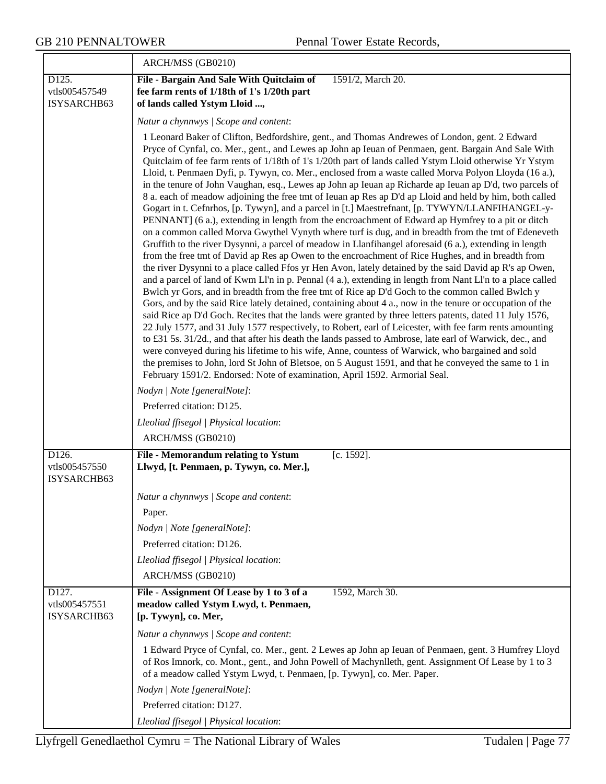|                                       | ARCH/MSS (GB0210)                                                                                                                                                                                                                                                                                                                                                                                                                                                                                                                                                                                                                                                                                                                                                                                                                                                                                                                                                                                                                                                                                                                                                                                                                                                                                                                                                                                                                                                                                                                                                                                                                                                                                                                                                                                                                                                                                                                                                                                                                                                                                                                                                                                                                                         |
|---------------------------------------|-----------------------------------------------------------------------------------------------------------------------------------------------------------------------------------------------------------------------------------------------------------------------------------------------------------------------------------------------------------------------------------------------------------------------------------------------------------------------------------------------------------------------------------------------------------------------------------------------------------------------------------------------------------------------------------------------------------------------------------------------------------------------------------------------------------------------------------------------------------------------------------------------------------------------------------------------------------------------------------------------------------------------------------------------------------------------------------------------------------------------------------------------------------------------------------------------------------------------------------------------------------------------------------------------------------------------------------------------------------------------------------------------------------------------------------------------------------------------------------------------------------------------------------------------------------------------------------------------------------------------------------------------------------------------------------------------------------------------------------------------------------------------------------------------------------------------------------------------------------------------------------------------------------------------------------------------------------------------------------------------------------------------------------------------------------------------------------------------------------------------------------------------------------------------------------------------------------------------------------------------------------|
| D125.<br>vtls005457549<br>ISYSARCHB63 | File - Bargain And Sale With Quitclaim of<br>1591/2, March 20.<br>fee farm rents of 1/18th of 1's 1/20th part<br>of lands called Ystym Lloid ,                                                                                                                                                                                                                                                                                                                                                                                                                                                                                                                                                                                                                                                                                                                                                                                                                                                                                                                                                                                                                                                                                                                                                                                                                                                                                                                                                                                                                                                                                                                                                                                                                                                                                                                                                                                                                                                                                                                                                                                                                                                                                                            |
|                                       | Natur a chynnwys / Scope and content:                                                                                                                                                                                                                                                                                                                                                                                                                                                                                                                                                                                                                                                                                                                                                                                                                                                                                                                                                                                                                                                                                                                                                                                                                                                                                                                                                                                                                                                                                                                                                                                                                                                                                                                                                                                                                                                                                                                                                                                                                                                                                                                                                                                                                     |
|                                       | 1 Leonard Baker of Clifton, Bedfordshire, gent., and Thomas Andrewes of London, gent. 2 Edward<br>Pryce of Cynfal, co. Mer., gent., and Lewes ap John ap Ieuan of Penmaen, gent. Bargain And Sale With<br>Quitclaim of fee farm rents of 1/18th of 1's 1/20th part of lands called Ystym Lloid otherwise Yr Ystym<br>Lloid, t. Penmaen Dyfi, p. Tywyn, co. Mer., enclosed from a waste called Morva Polyon Lloyda (16 a.),<br>in the tenure of John Vaughan, esq., Lewes ap John ap Ieuan ap Richarde ap Ieuan ap D'd, two parcels of<br>8 a. each of meadow adjoining the free tmt of Ieuan ap Res ap D'd ap Lloid and held by him, both called<br>Gogart in t. Cefnrhos, [p. Tywyn], and a parcel in [t.] Maestrefnant, [p. TYWYN/LLANFIHANGEL-y-<br>PENNANT] (6 a.), extending in length from the encroachment of Edward ap Hymfrey to a pit or ditch<br>on a common called Morva Gwythel Vynyth where turf is dug, and in breadth from the tmt of Edeneveth<br>Gruffith to the river Dysynni, a parcel of meadow in Llanfihangel aforesaid (6 a.), extending in length<br>from the free tmt of David ap Res ap Owen to the encroachment of Rice Hughes, and in breadth from<br>the river Dysynni to a place called Ffos yr Hen Avon, lately detained by the said David ap R's ap Owen,<br>and a parcel of land of Kwm Ll'n in p. Pennal (4 a.), extending in length from Nant Ll'n to a place called<br>Bwlch yr Gors, and in breadth from the free tmt of Rice ap D'd Goch to the common called Bwlch y<br>Gors, and by the said Rice lately detained, containing about 4 a., now in the tenure or occupation of the<br>said Rice ap D'd Goch. Recites that the lands were granted by three letters patents, dated 11 July 1576,<br>22 July 1577, and 31 July 1577 respectively, to Robert, earl of Leicester, with fee farm rents amounting<br>to £31 5s. 31/2d., and that after his death the lands passed to Ambrose, late earl of Warwick, dec., and<br>were conveyed during his lifetime to his wife, Anne, countess of Warwick, who bargained and sold<br>the premises to John, lord St John of Bletsoe, on 5 August 1591, and that he conveyed the same to 1 in<br>February 1591/2. Endorsed: Note of examination, April 1592. Armorial Seal. |
|                                       | Nodyn   Note [generalNote]:                                                                                                                                                                                                                                                                                                                                                                                                                                                                                                                                                                                                                                                                                                                                                                                                                                                                                                                                                                                                                                                                                                                                                                                                                                                                                                                                                                                                                                                                                                                                                                                                                                                                                                                                                                                                                                                                                                                                                                                                                                                                                                                                                                                                                               |
|                                       | Preferred citation: D125.                                                                                                                                                                                                                                                                                                                                                                                                                                                                                                                                                                                                                                                                                                                                                                                                                                                                                                                                                                                                                                                                                                                                                                                                                                                                                                                                                                                                                                                                                                                                                                                                                                                                                                                                                                                                                                                                                                                                                                                                                                                                                                                                                                                                                                 |
|                                       | Lleoliad ffisegol   Physical location:<br>ARCH/MSS (GB0210)                                                                                                                                                                                                                                                                                                                                                                                                                                                                                                                                                                                                                                                                                                                                                                                                                                                                                                                                                                                                                                                                                                                                                                                                                                                                                                                                                                                                                                                                                                                                                                                                                                                                                                                                                                                                                                                                                                                                                                                                                                                                                                                                                                                               |
| D126.                                 | [c. 1592].<br>File - Memorandum relating to Ystum                                                                                                                                                                                                                                                                                                                                                                                                                                                                                                                                                                                                                                                                                                                                                                                                                                                                                                                                                                                                                                                                                                                                                                                                                                                                                                                                                                                                                                                                                                                                                                                                                                                                                                                                                                                                                                                                                                                                                                                                                                                                                                                                                                                                         |
| vtls005457550<br>ISYSARCHB63          | Llwyd, [t. Penmaen, p. Tywyn, co. Mer.],                                                                                                                                                                                                                                                                                                                                                                                                                                                                                                                                                                                                                                                                                                                                                                                                                                                                                                                                                                                                                                                                                                                                                                                                                                                                                                                                                                                                                                                                                                                                                                                                                                                                                                                                                                                                                                                                                                                                                                                                                                                                                                                                                                                                                  |
|                                       | Natur a chynnwys / Scope and content:                                                                                                                                                                                                                                                                                                                                                                                                                                                                                                                                                                                                                                                                                                                                                                                                                                                                                                                                                                                                                                                                                                                                                                                                                                                                                                                                                                                                                                                                                                                                                                                                                                                                                                                                                                                                                                                                                                                                                                                                                                                                                                                                                                                                                     |
|                                       | Paper.                                                                                                                                                                                                                                                                                                                                                                                                                                                                                                                                                                                                                                                                                                                                                                                                                                                                                                                                                                                                                                                                                                                                                                                                                                                                                                                                                                                                                                                                                                                                                                                                                                                                                                                                                                                                                                                                                                                                                                                                                                                                                                                                                                                                                                                    |
|                                       | Nodyn   Note [generalNote]:                                                                                                                                                                                                                                                                                                                                                                                                                                                                                                                                                                                                                                                                                                                                                                                                                                                                                                                                                                                                                                                                                                                                                                                                                                                                                                                                                                                                                                                                                                                                                                                                                                                                                                                                                                                                                                                                                                                                                                                                                                                                                                                                                                                                                               |
|                                       | Preferred citation: D126.                                                                                                                                                                                                                                                                                                                                                                                                                                                                                                                                                                                                                                                                                                                                                                                                                                                                                                                                                                                                                                                                                                                                                                                                                                                                                                                                                                                                                                                                                                                                                                                                                                                                                                                                                                                                                                                                                                                                                                                                                                                                                                                                                                                                                                 |
|                                       | Lleoliad ffisegol   Physical location:                                                                                                                                                                                                                                                                                                                                                                                                                                                                                                                                                                                                                                                                                                                                                                                                                                                                                                                                                                                                                                                                                                                                                                                                                                                                                                                                                                                                                                                                                                                                                                                                                                                                                                                                                                                                                                                                                                                                                                                                                                                                                                                                                                                                                    |
|                                       | ARCH/MSS (GB0210)                                                                                                                                                                                                                                                                                                                                                                                                                                                                                                                                                                                                                                                                                                                                                                                                                                                                                                                                                                                                                                                                                                                                                                                                                                                                                                                                                                                                                                                                                                                                                                                                                                                                                                                                                                                                                                                                                                                                                                                                                                                                                                                                                                                                                                         |
| D127.<br>vtls005457551<br>ISYSARCHB63 | File - Assignment Of Lease by 1 to 3 of a<br>1592, March 30.<br>meadow called Ystym Lwyd, t. Penmaen,<br>[p. Tywyn], co. Mer,                                                                                                                                                                                                                                                                                                                                                                                                                                                                                                                                                                                                                                                                                                                                                                                                                                                                                                                                                                                                                                                                                                                                                                                                                                                                                                                                                                                                                                                                                                                                                                                                                                                                                                                                                                                                                                                                                                                                                                                                                                                                                                                             |
|                                       | Natur a chynnwys / Scope and content:                                                                                                                                                                                                                                                                                                                                                                                                                                                                                                                                                                                                                                                                                                                                                                                                                                                                                                                                                                                                                                                                                                                                                                                                                                                                                                                                                                                                                                                                                                                                                                                                                                                                                                                                                                                                                                                                                                                                                                                                                                                                                                                                                                                                                     |
|                                       | 1 Edward Pryce of Cynfal, co. Mer., gent. 2 Lewes ap John ap Ieuan of Penmaen, gent. 3 Humfrey Lloyd<br>of Ros Imnork, co. Mont., gent., and John Powell of Machynlleth, gent. Assignment Of Lease by 1 to 3<br>of a meadow called Ystym Lwyd, t. Penmaen, [p. Tywyn], co. Mer. Paper.                                                                                                                                                                                                                                                                                                                                                                                                                                                                                                                                                                                                                                                                                                                                                                                                                                                                                                                                                                                                                                                                                                                                                                                                                                                                                                                                                                                                                                                                                                                                                                                                                                                                                                                                                                                                                                                                                                                                                                    |
|                                       | Nodyn   Note [generalNote]:                                                                                                                                                                                                                                                                                                                                                                                                                                                                                                                                                                                                                                                                                                                                                                                                                                                                                                                                                                                                                                                                                                                                                                                                                                                                                                                                                                                                                                                                                                                                                                                                                                                                                                                                                                                                                                                                                                                                                                                                                                                                                                                                                                                                                               |
|                                       | Preferred citation: D127.                                                                                                                                                                                                                                                                                                                                                                                                                                                                                                                                                                                                                                                                                                                                                                                                                                                                                                                                                                                                                                                                                                                                                                                                                                                                                                                                                                                                                                                                                                                                                                                                                                                                                                                                                                                                                                                                                                                                                                                                                                                                                                                                                                                                                                 |
|                                       | Lleoliad ffisegol   Physical location:                                                                                                                                                                                                                                                                                                                                                                                                                                                                                                                                                                                                                                                                                                                                                                                                                                                                                                                                                                                                                                                                                                                                                                                                                                                                                                                                                                                                                                                                                                                                                                                                                                                                                                                                                                                                                                                                                                                                                                                                                                                                                                                                                                                                                    |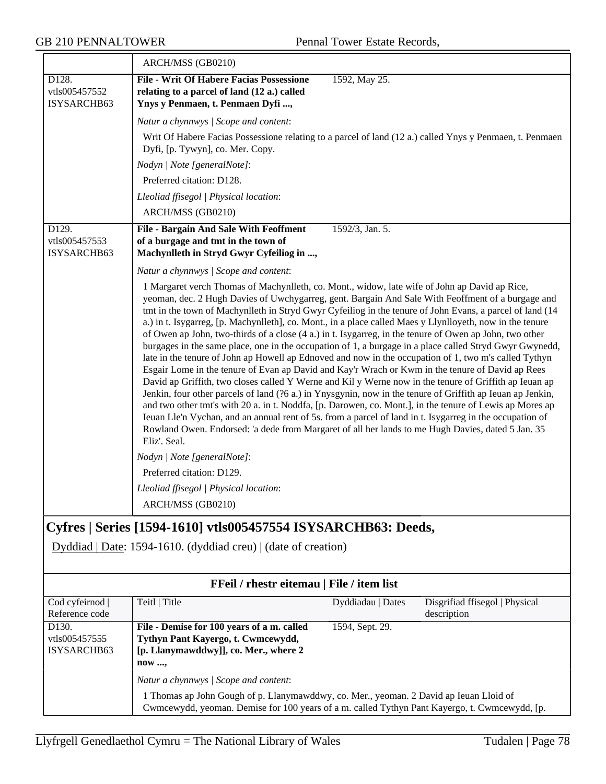|                                       | ARCH/MSS (GB0210)                                                                                                                                                                                                                                                                                                                                                                                                                                                                                                                                                                                                                                                                                                                                                                                                                                                                                                                                                                                                                                                                                                                                                                                                                                                                                                                                                                                                                   |  |
|---------------------------------------|-------------------------------------------------------------------------------------------------------------------------------------------------------------------------------------------------------------------------------------------------------------------------------------------------------------------------------------------------------------------------------------------------------------------------------------------------------------------------------------------------------------------------------------------------------------------------------------------------------------------------------------------------------------------------------------------------------------------------------------------------------------------------------------------------------------------------------------------------------------------------------------------------------------------------------------------------------------------------------------------------------------------------------------------------------------------------------------------------------------------------------------------------------------------------------------------------------------------------------------------------------------------------------------------------------------------------------------------------------------------------------------------------------------------------------------|--|
| D128.<br>vtls005457552<br>ISYSARCHB63 | <b>File - Writ Of Habere Facias Possessione</b><br>1592, May 25.<br>relating to a parcel of land (12 a.) called<br>Ynys y Penmaen, t. Penmaen Dyfi ,                                                                                                                                                                                                                                                                                                                                                                                                                                                                                                                                                                                                                                                                                                                                                                                                                                                                                                                                                                                                                                                                                                                                                                                                                                                                                |  |
|                                       | Natur a chynnwys / Scope and content:                                                                                                                                                                                                                                                                                                                                                                                                                                                                                                                                                                                                                                                                                                                                                                                                                                                                                                                                                                                                                                                                                                                                                                                                                                                                                                                                                                                               |  |
|                                       | Writ Of Habere Facias Possessione relating to a parcel of land (12 a.) called Ynys y Penmaen, t. Penmaen<br>Dyfi, [p. Tywyn], co. Mer. Copy.                                                                                                                                                                                                                                                                                                                                                                                                                                                                                                                                                                                                                                                                                                                                                                                                                                                                                                                                                                                                                                                                                                                                                                                                                                                                                        |  |
|                                       | Nodyn   Note [generalNote]:                                                                                                                                                                                                                                                                                                                                                                                                                                                                                                                                                                                                                                                                                                                                                                                                                                                                                                                                                                                                                                                                                                                                                                                                                                                                                                                                                                                                         |  |
|                                       | Preferred citation: D128.                                                                                                                                                                                                                                                                                                                                                                                                                                                                                                                                                                                                                                                                                                                                                                                                                                                                                                                                                                                                                                                                                                                                                                                                                                                                                                                                                                                                           |  |
|                                       | Lleoliad ffisegol   Physical location:                                                                                                                                                                                                                                                                                                                                                                                                                                                                                                                                                                                                                                                                                                                                                                                                                                                                                                                                                                                                                                                                                                                                                                                                                                                                                                                                                                                              |  |
|                                       | ARCH/MSS (GB0210)                                                                                                                                                                                                                                                                                                                                                                                                                                                                                                                                                                                                                                                                                                                                                                                                                                                                                                                                                                                                                                                                                                                                                                                                                                                                                                                                                                                                                   |  |
| D129.<br>vtls005457553<br>ISYSARCHB63 | 1592/3, Jan. 5.<br><b>File - Bargain And Sale With Feoffment</b><br>of a burgage and tmt in the town of<br>Machynlleth in Stryd Gwyr Cyfeiliog in ,                                                                                                                                                                                                                                                                                                                                                                                                                                                                                                                                                                                                                                                                                                                                                                                                                                                                                                                                                                                                                                                                                                                                                                                                                                                                                 |  |
|                                       | Natur a chynnwys / Scope and content:                                                                                                                                                                                                                                                                                                                                                                                                                                                                                                                                                                                                                                                                                                                                                                                                                                                                                                                                                                                                                                                                                                                                                                                                                                                                                                                                                                                               |  |
|                                       | 1 Margaret verch Thomas of Machynlleth, co. Mont., widow, late wife of John ap David ap Rice,<br>yeoman, dec. 2 Hugh Davies of Uwchygarreg, gent. Bargain And Sale With Feoffment of a burgage and<br>tmt in the town of Machynlleth in Stryd Gwyr Cyfeiliog in the tenure of John Evans, a parcel of land (14<br>a.) in t. Isygarreg, [p. Machynlleth], co. Mont., in a place called Maes y Llynlloyeth, now in the tenure<br>of Owen ap John, two-thirds of a close (4 a.) in t. Isygarreg, in the tenure of Owen ap John, two other<br>burgages in the same place, one in the occupation of 1, a burgage in a place called Stryd Gwyr Gwynedd,<br>late in the tenure of John ap Howell ap Ednoved and now in the occupation of 1, two m's called Tythyn<br>Esgair Lome in the tenure of Evan ap David and Kay'r Wrach or Kwm in the tenure of David ap Rees<br>David ap Griffith, two closes called Y Werne and Kil y Werne now in the tenure of Griffith ap Ieuan ap<br>Jenkin, four other parcels of land (?6 a.) in Ynysgynin, now in the tenure of Griffith ap Ieuan ap Jenkin,<br>and two other tmt's with 20 a. in t. Noddfa, [p. Darowen, co. Mont.], in the tenure of Lewis ap Mores ap<br>Ieuan Lle'n Vychan, and an annual rent of 5s. from a parcel of land in t. Isygarreg in the occupation of<br>Rowland Owen. Endorsed: 'a dede from Margaret of all her lands to me Hugh Davies, dated 5 Jan. 35<br>Eliz'. Seal. |  |
|                                       | Nodyn   Note [generalNote]:                                                                                                                                                                                                                                                                                                                                                                                                                                                                                                                                                                                                                                                                                                                                                                                                                                                                                                                                                                                                                                                                                                                                                                                                                                                                                                                                                                                                         |  |
|                                       | Preferred citation: D129.                                                                                                                                                                                                                                                                                                                                                                                                                                                                                                                                                                                                                                                                                                                                                                                                                                                                                                                                                                                                                                                                                                                                                                                                                                                                                                                                                                                                           |  |
|                                       | Lleoliad ffisegol   Physical location:                                                                                                                                                                                                                                                                                                                                                                                                                                                                                                                                                                                                                                                                                                                                                                                                                                                                                                                                                                                                                                                                                                                                                                                                                                                                                                                                                                                              |  |
|                                       | ARCH/MSS (GB0210)                                                                                                                                                                                                                                                                                                                                                                                                                                                                                                                                                                                                                                                                                                                                                                                                                                                                                                                                                                                                                                                                                                                                                                                                                                                                                                                                                                                                                   |  |
|                                       | Cyfres   Series [1594-1610] vtls005457554 ISYSARCHB63: Deeds,                                                                                                                                                                                                                                                                                                                                                                                                                                                                                                                                                                                                                                                                                                                                                                                                                                                                                                                                                                                                                                                                                                                                                                                                                                                                                                                                                                       |  |
|                                       | Dyddiad   Date: 1594-1610. (dyddiad creu)   (date of creation)                                                                                                                                                                                                                                                                                                                                                                                                                                                                                                                                                                                                                                                                                                                                                                                                                                                                                                                                                                                                                                                                                                                                                                                                                                                                                                                                                                      |  |
|                                       | FFeil / rhestr eitemau   File / item list                                                                                                                                                                                                                                                                                                                                                                                                                                                                                                                                                                                                                                                                                                                                                                                                                                                                                                                                                                                                                                                                                                                                                                                                                                                                                                                                                                                           |  |
| Cod cyfeirnod                         | Teitl   Title<br>Disgrifiad ffisegol   Physical<br>Dyddiadau   Dates                                                                                                                                                                                                                                                                                                                                                                                                                                                                                                                                                                                                                                                                                                                                                                                                                                                                                                                                                                                                                                                                                                                                                                                                                                                                                                                                                                |  |
| Reference code<br>D130.               | description<br>File - Demise for 100 years of a m. called<br>1594, Sept. 29.                                                                                                                                                                                                                                                                                                                                                                                                                                                                                                                                                                                                                                                                                                                                                                                                                                                                                                                                                                                                                                                                                                                                                                                                                                                                                                                                                        |  |
| vtls005457555                         | Tythyn Pant Kayergo, t. Cwmcewydd,                                                                                                                                                                                                                                                                                                                                                                                                                                                                                                                                                                                                                                                                                                                                                                                                                                                                                                                                                                                                                                                                                                                                                                                                                                                                                                                                                                                                  |  |
| ISYSARCHB63                           | [p. Llanymawddwy]], co. Mer., where 2                                                                                                                                                                                                                                                                                                                                                                                                                                                                                                                                                                                                                                                                                                                                                                                                                                                                                                                                                                                                                                                                                                                                                                                                                                                                                                                                                                                               |  |

**now ...,**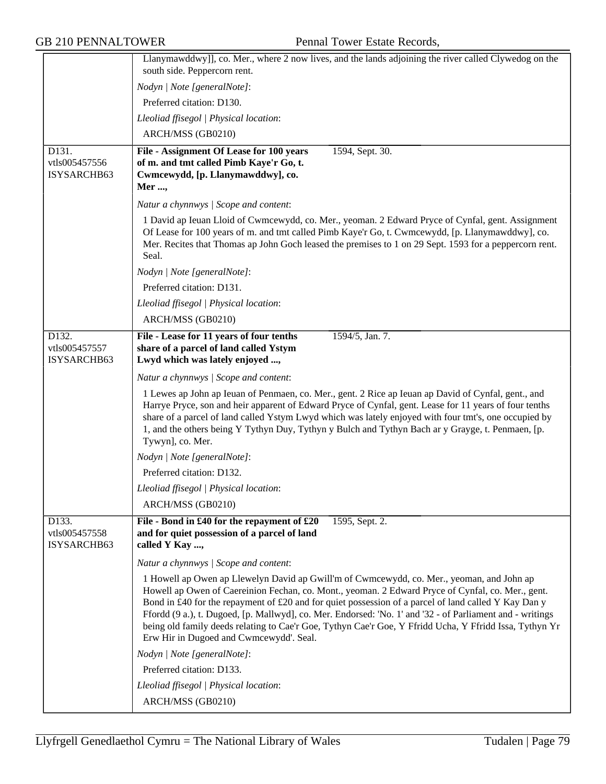|                                       | Llanymawddwy]], co. Mer., where 2 now lives, and the lands adjoining the river called Clywedog on the<br>south side. Peppercorn rent.                                                                                                                                                                                                                                                                                                                                                                                                                                     |
|---------------------------------------|---------------------------------------------------------------------------------------------------------------------------------------------------------------------------------------------------------------------------------------------------------------------------------------------------------------------------------------------------------------------------------------------------------------------------------------------------------------------------------------------------------------------------------------------------------------------------|
|                                       | Nodyn   Note [generalNote]:                                                                                                                                                                                                                                                                                                                                                                                                                                                                                                                                               |
|                                       | Preferred citation: D130.                                                                                                                                                                                                                                                                                                                                                                                                                                                                                                                                                 |
|                                       |                                                                                                                                                                                                                                                                                                                                                                                                                                                                                                                                                                           |
|                                       | Lleoliad ffisegol   Physical location:                                                                                                                                                                                                                                                                                                                                                                                                                                                                                                                                    |
|                                       | ARCH/MSS (GB0210)                                                                                                                                                                                                                                                                                                                                                                                                                                                                                                                                                         |
| D131.<br>vtls005457556<br>ISYSARCHB63 | File - Assignment Of Lease for 100 years<br>1594, Sept. 30.<br>of m. and tmt called Pimb Kaye'r Go, t.<br>Cwmcewydd, [p. Llanymawddwy], co.<br>Mer ,                                                                                                                                                                                                                                                                                                                                                                                                                      |
|                                       | Natur a chynnwys / Scope and content:                                                                                                                                                                                                                                                                                                                                                                                                                                                                                                                                     |
|                                       | 1 David ap Ieuan Lloid of Cwmcewydd, co. Mer., yeoman. 2 Edward Pryce of Cynfal, gent. Assignment<br>Of Lease for 100 years of m. and tmt called Pimb Kaye'r Go, t. Cwmcewydd, [p. Llanymawddwy], co.<br>Mer. Recites that Thomas ap John Goch leased the premises to 1 on 29 Sept. 1593 for a peppercorn rent.<br>Seal.                                                                                                                                                                                                                                                  |
|                                       | Nodyn   Note [generalNote]:                                                                                                                                                                                                                                                                                                                                                                                                                                                                                                                                               |
|                                       | Preferred citation: D131.                                                                                                                                                                                                                                                                                                                                                                                                                                                                                                                                                 |
|                                       | Lleoliad ffisegol   Physical location:                                                                                                                                                                                                                                                                                                                                                                                                                                                                                                                                    |
|                                       | ARCH/MSS (GB0210)                                                                                                                                                                                                                                                                                                                                                                                                                                                                                                                                                         |
| D132.<br>vtls005457557<br>ISYSARCHB63 | File - Lease for 11 years of four tenths<br>1594/5, Jan. 7.<br>share of a parcel of land called Ystym<br>Lwyd which was lately enjoyed ,                                                                                                                                                                                                                                                                                                                                                                                                                                  |
|                                       | Natur a chynnwys / Scope and content:                                                                                                                                                                                                                                                                                                                                                                                                                                                                                                                                     |
|                                       | 1 Lewes ap John ap Ieuan of Penmaen, co. Mer., gent. 2 Rice ap Ieuan ap David of Cynfal, gent., and<br>Harrye Pryce, son and heir apparent of Edward Pryce of Cynfal, gent. Lease for 11 years of four tenths<br>share of a parcel of land called Ystym Lwyd which was lately enjoyed with four tmt's, one occupied by<br>1, and the others being Y Tythyn Duy, Tythyn y Bulch and Tythyn Bach ar y Grayge, t. Penmaen, [p.<br>Tywyn], co. Mer.                                                                                                                           |
|                                       | Nodyn   Note [generalNote]:                                                                                                                                                                                                                                                                                                                                                                                                                                                                                                                                               |
|                                       | Preferred citation: D132.                                                                                                                                                                                                                                                                                                                                                                                                                                                                                                                                                 |
|                                       | Lleoliad ffisegol   Physical location:                                                                                                                                                                                                                                                                                                                                                                                                                                                                                                                                    |
|                                       | ARCH/MSS (GB0210)                                                                                                                                                                                                                                                                                                                                                                                                                                                                                                                                                         |
| D133.<br>vtls005457558<br>ISYSARCHB63 | File - Bond in £40 for the repayment of £20<br>1595, Sept. 2.<br>and for quiet possession of a parcel of land<br>called Y Kay ,                                                                                                                                                                                                                                                                                                                                                                                                                                           |
|                                       | Natur a chynnwys / Scope and content:                                                                                                                                                                                                                                                                                                                                                                                                                                                                                                                                     |
|                                       | 1 Howell ap Owen ap Llewelyn David ap Gwill'm of Cwmcewydd, co. Mer., yeoman, and John ap<br>Howell ap Owen of Caereinion Fechan, co. Mont., yeoman. 2 Edward Pryce of Cynfal, co. Mer., gent.<br>Bond in £40 for the repayment of £20 and for quiet possession of a parcel of land called Y Kay Dan y<br>Ffordd (9 a.), t. Dugoed, [p. Mallwyd], co. Mer. Endorsed: 'No. 1' and '32 - of Parliament and - writings<br>being old family deeds relating to Cae'r Goe, Tythyn Cae'r Goe, Y Ffridd Ucha, Y Ffridd Issa, Tythyn Yr<br>Erw Hir in Dugoed and Cwmcewydd'. Seal. |
|                                       | Nodyn   Note [generalNote]:                                                                                                                                                                                                                                                                                                                                                                                                                                                                                                                                               |
|                                       | Preferred citation: D133.                                                                                                                                                                                                                                                                                                                                                                                                                                                                                                                                                 |
|                                       | Lleoliad ffisegol   Physical location:                                                                                                                                                                                                                                                                                                                                                                                                                                                                                                                                    |
|                                       | ARCH/MSS (GB0210)                                                                                                                                                                                                                                                                                                                                                                                                                                                                                                                                                         |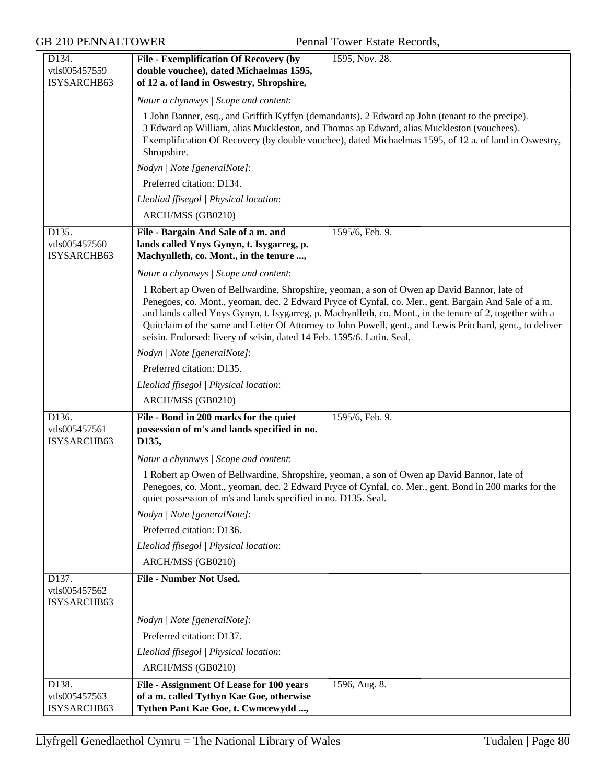| D134.                                 | <b>File - Exemplification Of Recovery (by</b><br>1595, Nov. 28.                                                                                                                                                                                                                                                                                                                                                                                                                                          |
|---------------------------------------|----------------------------------------------------------------------------------------------------------------------------------------------------------------------------------------------------------------------------------------------------------------------------------------------------------------------------------------------------------------------------------------------------------------------------------------------------------------------------------------------------------|
| vtls005457559                         | double vouchee), dated Michaelmas 1595,                                                                                                                                                                                                                                                                                                                                                                                                                                                                  |
| ISYSARCHB63                           | of 12 a. of land in Oswestry, Shropshire,                                                                                                                                                                                                                                                                                                                                                                                                                                                                |
|                                       | Natur a chynnwys / Scope and content:                                                                                                                                                                                                                                                                                                                                                                                                                                                                    |
|                                       | 1 John Banner, esq., and Griffith Kyffyn (demandants). 2 Edward ap John (tenant to the precipe).<br>3 Edward ap William, alias Muckleston, and Thomas ap Edward, alias Muckleston (vouchees).<br>Exemplification Of Recovery (by double vouchee), dated Michaelmas 1595, of 12 a. of land in Oswestry,<br>Shropshire.                                                                                                                                                                                    |
|                                       | Nodyn   Note [generalNote]:                                                                                                                                                                                                                                                                                                                                                                                                                                                                              |
|                                       | Preferred citation: D134.                                                                                                                                                                                                                                                                                                                                                                                                                                                                                |
|                                       | Lleoliad ffisegol   Physical location:                                                                                                                                                                                                                                                                                                                                                                                                                                                                   |
|                                       | ARCH/MSS (GB0210)                                                                                                                                                                                                                                                                                                                                                                                                                                                                                        |
| D135.                                 | 1595/6, Feb. 9.<br>File - Bargain And Sale of a m. and                                                                                                                                                                                                                                                                                                                                                                                                                                                   |
| vtls005457560                         | lands called Ynys Gynyn, t. Isygarreg, p.                                                                                                                                                                                                                                                                                                                                                                                                                                                                |
| ISYSARCHB63                           | Machynlleth, co. Mont., in the tenure ,                                                                                                                                                                                                                                                                                                                                                                                                                                                                  |
|                                       | Natur a chynnwys / Scope and content:                                                                                                                                                                                                                                                                                                                                                                                                                                                                    |
|                                       | 1 Robert ap Owen of Bellwardine, Shropshire, yeoman, a son of Owen ap David Bannor, late of<br>Penegoes, co. Mont., yeoman, dec. 2 Edward Pryce of Cynfal, co. Mer., gent. Bargain And Sale of a m.<br>and lands called Ynys Gynyn, t. Isygarreg, p. Machynlleth, co. Mont., in the tenure of 2, together with a<br>Quitclaim of the same and Letter Of Attorney to John Powell, gent., and Lewis Pritchard, gent., to deliver<br>seisin. Endorsed: livery of seisin, dated 14 Feb. 1595/6. Latin. Seal. |
|                                       | Nodyn   Note [generalNote]:                                                                                                                                                                                                                                                                                                                                                                                                                                                                              |
|                                       | Preferred citation: D135.                                                                                                                                                                                                                                                                                                                                                                                                                                                                                |
|                                       | Lleoliad ffisegol   Physical location:                                                                                                                                                                                                                                                                                                                                                                                                                                                                   |
|                                       | ARCH/MSS (GB0210)                                                                                                                                                                                                                                                                                                                                                                                                                                                                                        |
| D136.                                 | File - Bond in 200 marks for the quiet<br>1595/6, Feb. 9.                                                                                                                                                                                                                                                                                                                                                                                                                                                |
| vtls005457561                         | possession of m's and lands specified in no.                                                                                                                                                                                                                                                                                                                                                                                                                                                             |
| ISYSARCHB63                           | D135,                                                                                                                                                                                                                                                                                                                                                                                                                                                                                                    |
|                                       | Natur a chynnwys / Scope and content:                                                                                                                                                                                                                                                                                                                                                                                                                                                                    |
|                                       | 1 Robert ap Owen of Bellwardine, Shropshire, yeoman, a son of Owen ap David Bannor, late of<br>Penegoes, co. Mont., yeoman, dec. 2 Edward Pryce of Cynfal, co. Mer., gent. Bond in 200 marks for the<br>quiet possession of m's and lands specified in no. D135. Seal.                                                                                                                                                                                                                                   |
|                                       | Nodyn   Note [generalNote]:                                                                                                                                                                                                                                                                                                                                                                                                                                                                              |
|                                       | Preferred citation: D136.                                                                                                                                                                                                                                                                                                                                                                                                                                                                                |
|                                       | Lleoliad ffisegol   Physical location:                                                                                                                                                                                                                                                                                                                                                                                                                                                                   |
|                                       | ARCH/MSS (GB0210)                                                                                                                                                                                                                                                                                                                                                                                                                                                                                        |
| D137.<br>vtls005457562<br>ISYSARCHB63 | <b>File - Number Not Used.</b>                                                                                                                                                                                                                                                                                                                                                                                                                                                                           |
|                                       | Nodyn   Note [generalNote]:                                                                                                                                                                                                                                                                                                                                                                                                                                                                              |
|                                       | Preferred citation: D137.                                                                                                                                                                                                                                                                                                                                                                                                                                                                                |
|                                       | Lleoliad ffisegol   Physical location:                                                                                                                                                                                                                                                                                                                                                                                                                                                                   |
|                                       |                                                                                                                                                                                                                                                                                                                                                                                                                                                                                                          |
|                                       | ARCH/MSS (GB0210)                                                                                                                                                                                                                                                                                                                                                                                                                                                                                        |
| D138.<br>vtls005457563                | 1596, Aug. 8.<br>File - Assignment Of Lease for 100 years<br>of a m. called Tythyn Kae Goe, otherwise                                                                                                                                                                                                                                                                                                                                                                                                    |
| ISYSARCHB63                           | Tythen Pant Kae Goe, t. Cwmcewydd ,                                                                                                                                                                                                                                                                                                                                                                                                                                                                      |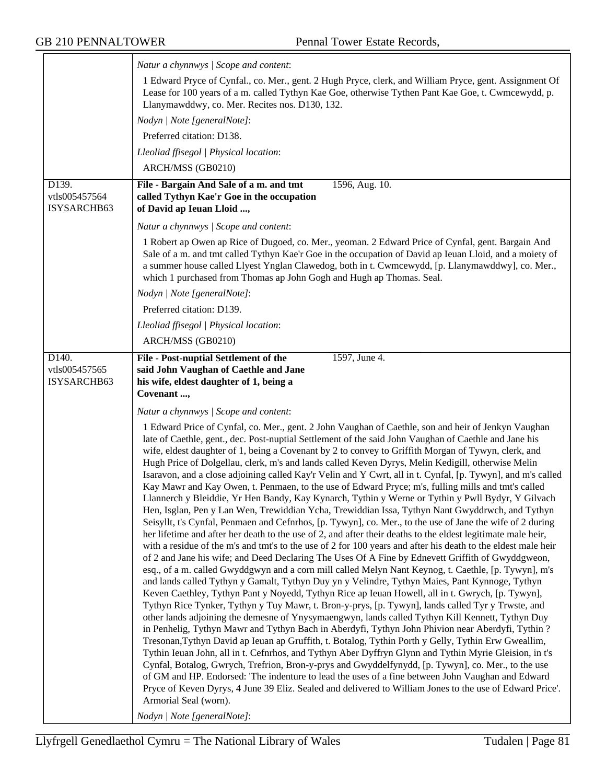|                                                    | Natur a chynnwys / Scope and content:                                                                                                                                                                                                                                                                                                                                                                                                                                                                                                                                                                                                                                                                                                                                                                                                                                                                                                                                                                                                                                                                                                                                                                                                                                                                                                                                                                                                                                                                                                                                                                                                                                                                                                                                                                                                                                                                                                                                                                                                                                                                                                                                                                                                                                                                                                                                                                                                                                                                                               |
|----------------------------------------------------|-------------------------------------------------------------------------------------------------------------------------------------------------------------------------------------------------------------------------------------------------------------------------------------------------------------------------------------------------------------------------------------------------------------------------------------------------------------------------------------------------------------------------------------------------------------------------------------------------------------------------------------------------------------------------------------------------------------------------------------------------------------------------------------------------------------------------------------------------------------------------------------------------------------------------------------------------------------------------------------------------------------------------------------------------------------------------------------------------------------------------------------------------------------------------------------------------------------------------------------------------------------------------------------------------------------------------------------------------------------------------------------------------------------------------------------------------------------------------------------------------------------------------------------------------------------------------------------------------------------------------------------------------------------------------------------------------------------------------------------------------------------------------------------------------------------------------------------------------------------------------------------------------------------------------------------------------------------------------------------------------------------------------------------------------------------------------------------------------------------------------------------------------------------------------------------------------------------------------------------------------------------------------------------------------------------------------------------------------------------------------------------------------------------------------------------------------------------------------------------------------------------------------------------|
|                                                    | 1 Edward Pryce of Cynfal., co. Mer., gent. 2 Hugh Pryce, clerk, and William Pryce, gent. Assignment Of<br>Lease for 100 years of a m. called Tythyn Kae Goe, otherwise Tythen Pant Kae Goe, t. Cwmcewydd, p.<br>Llanymawddwy, co. Mer. Recites nos. D130, 132.                                                                                                                                                                                                                                                                                                                                                                                                                                                                                                                                                                                                                                                                                                                                                                                                                                                                                                                                                                                                                                                                                                                                                                                                                                                                                                                                                                                                                                                                                                                                                                                                                                                                                                                                                                                                                                                                                                                                                                                                                                                                                                                                                                                                                                                                      |
|                                                    | Nodyn   Note [generalNote]:                                                                                                                                                                                                                                                                                                                                                                                                                                                                                                                                                                                                                                                                                                                                                                                                                                                                                                                                                                                                                                                                                                                                                                                                                                                                                                                                                                                                                                                                                                                                                                                                                                                                                                                                                                                                                                                                                                                                                                                                                                                                                                                                                                                                                                                                                                                                                                                                                                                                                                         |
|                                                    | Preferred citation: D138.                                                                                                                                                                                                                                                                                                                                                                                                                                                                                                                                                                                                                                                                                                                                                                                                                                                                                                                                                                                                                                                                                                                                                                                                                                                                                                                                                                                                                                                                                                                                                                                                                                                                                                                                                                                                                                                                                                                                                                                                                                                                                                                                                                                                                                                                                                                                                                                                                                                                                                           |
|                                                    | Lleoliad ffisegol   Physical location:                                                                                                                                                                                                                                                                                                                                                                                                                                                                                                                                                                                                                                                                                                                                                                                                                                                                                                                                                                                                                                                                                                                                                                                                                                                                                                                                                                                                                                                                                                                                                                                                                                                                                                                                                                                                                                                                                                                                                                                                                                                                                                                                                                                                                                                                                                                                                                                                                                                                                              |
|                                                    | ARCH/MSS (GB0210)                                                                                                                                                                                                                                                                                                                                                                                                                                                                                                                                                                                                                                                                                                                                                                                                                                                                                                                                                                                                                                                                                                                                                                                                                                                                                                                                                                                                                                                                                                                                                                                                                                                                                                                                                                                                                                                                                                                                                                                                                                                                                                                                                                                                                                                                                                                                                                                                                                                                                                                   |
| D139.<br>vtls005457564<br>ISYSARCHB63              | File - Bargain And Sale of a m. and tmt<br>1596, Aug. 10.<br>called Tythyn Kae'r Goe in the occupation<br>of David ap Ieuan Lloid ,                                                                                                                                                                                                                                                                                                                                                                                                                                                                                                                                                                                                                                                                                                                                                                                                                                                                                                                                                                                                                                                                                                                                                                                                                                                                                                                                                                                                                                                                                                                                                                                                                                                                                                                                                                                                                                                                                                                                                                                                                                                                                                                                                                                                                                                                                                                                                                                                 |
|                                                    | Natur a chynnwys   Scope and content:                                                                                                                                                                                                                                                                                                                                                                                                                                                                                                                                                                                                                                                                                                                                                                                                                                                                                                                                                                                                                                                                                                                                                                                                                                                                                                                                                                                                                                                                                                                                                                                                                                                                                                                                                                                                                                                                                                                                                                                                                                                                                                                                                                                                                                                                                                                                                                                                                                                                                               |
|                                                    | 1 Robert ap Owen ap Rice of Dugoed, co. Mer., yeoman. 2 Edward Price of Cynfal, gent. Bargain And<br>Sale of a m. and tmt called Tythyn Kae'r Goe in the occupation of David ap Ieuan Lloid, and a moiety of<br>a summer house called Llyest Ynglan Clawedog, both in t. Cwmcewydd, [p. Llanymawddwy], co. Mer.,<br>which 1 purchased from Thomas ap John Gogh and Hugh ap Thomas. Seal.                                                                                                                                                                                                                                                                                                                                                                                                                                                                                                                                                                                                                                                                                                                                                                                                                                                                                                                                                                                                                                                                                                                                                                                                                                                                                                                                                                                                                                                                                                                                                                                                                                                                                                                                                                                                                                                                                                                                                                                                                                                                                                                                            |
|                                                    | Nodyn   Note [generalNote]:                                                                                                                                                                                                                                                                                                                                                                                                                                                                                                                                                                                                                                                                                                                                                                                                                                                                                                                                                                                                                                                                                                                                                                                                                                                                                                                                                                                                                                                                                                                                                                                                                                                                                                                                                                                                                                                                                                                                                                                                                                                                                                                                                                                                                                                                                                                                                                                                                                                                                                         |
|                                                    | Preferred citation: D139.                                                                                                                                                                                                                                                                                                                                                                                                                                                                                                                                                                                                                                                                                                                                                                                                                                                                                                                                                                                                                                                                                                                                                                                                                                                                                                                                                                                                                                                                                                                                                                                                                                                                                                                                                                                                                                                                                                                                                                                                                                                                                                                                                                                                                                                                                                                                                                                                                                                                                                           |
|                                                    | Lleoliad ffisegol   Physical location:                                                                                                                                                                                                                                                                                                                                                                                                                                                                                                                                                                                                                                                                                                                                                                                                                                                                                                                                                                                                                                                                                                                                                                                                                                                                                                                                                                                                                                                                                                                                                                                                                                                                                                                                                                                                                                                                                                                                                                                                                                                                                                                                                                                                                                                                                                                                                                                                                                                                                              |
|                                                    | ARCH/MSS (GB0210)                                                                                                                                                                                                                                                                                                                                                                                                                                                                                                                                                                                                                                                                                                                                                                                                                                                                                                                                                                                                                                                                                                                                                                                                                                                                                                                                                                                                                                                                                                                                                                                                                                                                                                                                                                                                                                                                                                                                                                                                                                                                                                                                                                                                                                                                                                                                                                                                                                                                                                                   |
| D <sub>140</sub> .<br>vtls005457565<br>ISYSARCHB63 | 1597, June 4.<br>File - Post-nuptial Settlement of the<br>said John Vaughan of Caethle and Jane<br>his wife, eldest daughter of 1, being a<br>Covenant,                                                                                                                                                                                                                                                                                                                                                                                                                                                                                                                                                                                                                                                                                                                                                                                                                                                                                                                                                                                                                                                                                                                                                                                                                                                                                                                                                                                                                                                                                                                                                                                                                                                                                                                                                                                                                                                                                                                                                                                                                                                                                                                                                                                                                                                                                                                                                                             |
|                                                    | Natur a chynnwys / Scope and content:                                                                                                                                                                                                                                                                                                                                                                                                                                                                                                                                                                                                                                                                                                                                                                                                                                                                                                                                                                                                                                                                                                                                                                                                                                                                                                                                                                                                                                                                                                                                                                                                                                                                                                                                                                                                                                                                                                                                                                                                                                                                                                                                                                                                                                                                                                                                                                                                                                                                                               |
|                                                    | 1 Edward Price of Cynfal, co. Mer., gent. 2 John Vaughan of Caethle, son and heir of Jenkyn Vaughan<br>late of Caethle, gent., dec. Post-nuptial Settlement of the said John Vaughan of Caethle and Jane his<br>wife, eldest daughter of 1, being a Covenant by 2 to convey to Griffith Morgan of Tywyn, clerk, and<br>Hugh Price of Dolgellau, clerk, m's and lands called Keven Dyrys, Melin Kedigill, otherwise Melin<br>Isaravon, and a close adjoining called Kay'r Velin and Y Cwrt, all in t. Cynfal, [p. Tywyn], and m's called<br>Kay Mawr and Kay Owen, t. Penmaen, to the use of Edward Pryce; m's, fulling mills and tmt's called<br>Llannerch y Bleiddie, Yr Hen Bandy, Kay Kynarch, Tythin y Werne or Tythin y Pwll Bydyr, Y Gilvach<br>Hen, Isglan, Pen y Lan Wen, Trewiddian Ycha, Trewiddian Issa, Tythyn Nant Gwyddrwch, and Tythyn<br>Seisyllt, t's Cynfal, Penmaen and Cefnrhos, [p. Tywyn], co. Mer., to the use of Jane the wife of 2 during<br>her lifetime and after her death to the use of 2, and after their deaths to the eldest legitimate male heir,<br>with a residue of the m's and tmt's to the use of 2 for 100 years and after his death to the eldest male heir<br>of 2 and Jane his wife; and Deed Declaring The Uses Of A Fine by Ednevett Griffith of Gwyddgweon,<br>esq., of a m. called Gwyddgwyn and a corn mill called Melyn Nant Keynog, t. Caethle, [p. Tywyn], m's<br>and lands called Tythyn y Gamalt, Tythyn Duy yn y Velindre, Tythyn Maies, Pant Kynnoge, Tythyn<br>Keven Caethley, Tythyn Pant y Noyedd, Tythyn Rice ap Ieuan Howell, all in t. Gwrych, [p. Tywyn],<br>Tythyn Rice Tynker, Tythyn y Tuy Mawr, t. Bron-y-prys, [p. Tywyn], lands called Tyr y Trwste, and<br>other lands adjoining the demesne of Ynysymaengwyn, lands called Tythyn Kill Kennett, Tythyn Duy<br>in Penhelig, Tythyn Mawr and Tythyn Bach in Aberdyfi, Tythyn John Phivion near Aberdyfi, Tythin?<br>Tresonan, Tythyn David ap Ieuan ap Gruffith, t. Botalog, Tythin Porth y Gelly, Tythin Erw Gweallim,<br>Tythin Ieuan John, all in t. Cefnrhos, and Tythyn Aber Dyffryn Glynn and Tythin Myrie Gleision, in t's<br>Cynfal, Botalog, Gwrych, Trefrion, Bron-y-prys and Gwyddelfynydd, [p. Tywyn], co. Mer., to the use<br>of GM and HP. Endorsed: 'The indenture to lead the uses of a fine between John Vaughan and Edward<br>Pryce of Keven Dyrys, 4 June 39 Eliz. Sealed and delivered to William Jones to the use of Edward Price'.<br>Armorial Seal (worn).<br>Nodyn   Note [generalNote]: |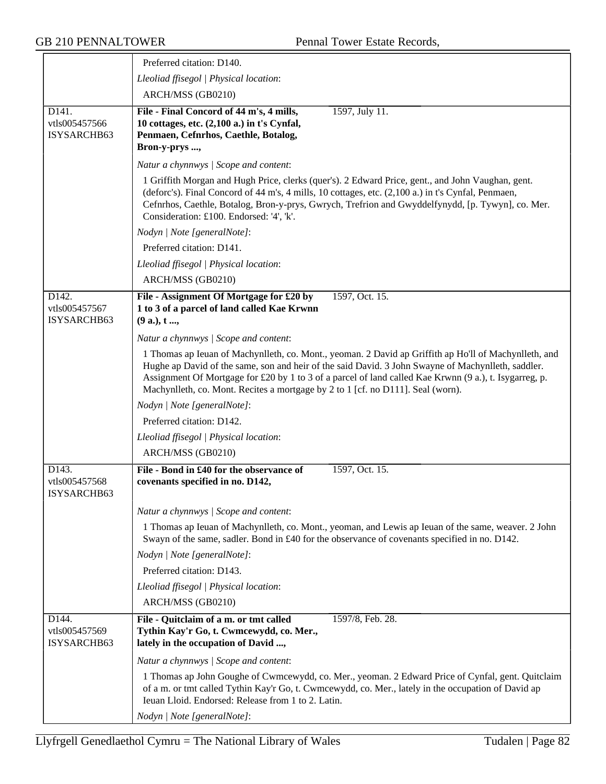|                                                    | Preferred citation: D140.                                                                                                                                                                                                                                                                                                                                                                                |
|----------------------------------------------------|----------------------------------------------------------------------------------------------------------------------------------------------------------------------------------------------------------------------------------------------------------------------------------------------------------------------------------------------------------------------------------------------------------|
|                                                    | Lleoliad ffisegol   Physical location:                                                                                                                                                                                                                                                                                                                                                                   |
|                                                    | ARCH/MSS (GB0210)                                                                                                                                                                                                                                                                                                                                                                                        |
| D <sub>141</sub> .<br>vtls005457566<br>ISYSARCHB63 | File - Final Concord of 44 m's, 4 mills,<br>1597, July 11.<br>10 cottages, etc. (2,100 a.) in t's Cynfal,<br>Penmaen, Cefnrhos, Caethle, Botalog,<br>Bron-y-prys ,                                                                                                                                                                                                                                       |
|                                                    | Natur a chynnwys / Scope and content:                                                                                                                                                                                                                                                                                                                                                                    |
|                                                    | 1 Griffith Morgan and Hugh Price, clerks (quer's). 2 Edward Price, gent., and John Vaughan, gent.<br>(deforc's). Final Concord of 44 m's, 4 mills, 10 cottages, etc. (2,100 a.) in t's Cynfal, Penmaen,<br>Cefnrhos, Caethle, Botalog, Bron-y-prys, Gwrych, Trefrion and Gwyddelfynydd, [p. Tywyn], co. Mer.<br>Consideration: £100. Endorsed: '4', 'k'.                                                 |
|                                                    | Nodyn   Note [generalNote]:                                                                                                                                                                                                                                                                                                                                                                              |
|                                                    | Preferred citation: D141.                                                                                                                                                                                                                                                                                                                                                                                |
|                                                    | Lleoliad ffisegol   Physical location:                                                                                                                                                                                                                                                                                                                                                                   |
|                                                    | ARCH/MSS (GB0210)                                                                                                                                                                                                                                                                                                                                                                                        |
| D142.<br>vtls005457567<br>ISYSARCHB63              | File - Assignment Of Mortgage for £20 by<br>1597, Oct. 15.<br>1 to 3 of a parcel of land called Kae Krwnn<br>(9a.), t,                                                                                                                                                                                                                                                                                   |
|                                                    | Natur a chynnwys / Scope and content:                                                                                                                                                                                                                                                                                                                                                                    |
|                                                    | 1 Thomas ap Ieuan of Machynlleth, co. Mont., yeoman. 2 David ap Griffith ap Ho'll of Machynlleth, and<br>Hughe ap David of the same, son and heir of the said David. 3 John Swayne of Machynlleth, saddler.<br>Assignment Of Mortgage for £20 by 1 to 3 of a parcel of land called Kae Krwnn (9 a.), t. Isygarreg, p.<br>Machynlleth, co. Mont. Recites a mortgage by 2 to 1 [cf. no D111]. Seal (worn). |
|                                                    | Nodyn   Note [generalNote]:                                                                                                                                                                                                                                                                                                                                                                              |
|                                                    | Preferred citation: D142.                                                                                                                                                                                                                                                                                                                                                                                |
|                                                    | Lleoliad ffisegol   Physical location:                                                                                                                                                                                                                                                                                                                                                                   |
|                                                    | ARCH/MSS (GB0210)                                                                                                                                                                                                                                                                                                                                                                                        |
| D <sub>143</sub> .                                 | File - Bond in £40 for the observance of<br>1597, Oct. 15.                                                                                                                                                                                                                                                                                                                                               |
| vtls005457568<br>ISYSARCHB63                       | covenants specified in no. D142,                                                                                                                                                                                                                                                                                                                                                                         |
|                                                    | Natur a chynnwys / Scope and content:                                                                                                                                                                                                                                                                                                                                                                    |
|                                                    | 1 Thomas ap Ieuan of Machynlleth, co. Mont., yeoman, and Lewis ap Ieuan of the same, weaver. 2 John<br>Swayn of the same, sadler. Bond in £40 for the observance of covenants specified in no. D142.                                                                                                                                                                                                     |
|                                                    | Nodyn   Note [generalNote]:                                                                                                                                                                                                                                                                                                                                                                              |
|                                                    | Preferred citation: D143.                                                                                                                                                                                                                                                                                                                                                                                |
|                                                    | Lleoliad ffisegol   Physical location:                                                                                                                                                                                                                                                                                                                                                                   |
|                                                    | ARCH/MSS (GB0210)                                                                                                                                                                                                                                                                                                                                                                                        |
| D144.<br>vtls005457569<br>ISYSARCHB63              | File - Quitclaim of a m. or tmt called<br>1597/8, Feb. 28.<br>Tythin Kay'r Go, t. Cwmcewydd, co. Mer.,<br>lately in the occupation of David ,                                                                                                                                                                                                                                                            |
|                                                    | Natur a chynnwys / Scope and content:                                                                                                                                                                                                                                                                                                                                                                    |
|                                                    | 1 Thomas ap John Goughe of Cwmcewydd, co. Mer., yeoman. 2 Edward Price of Cynfal, gent. Quitclaim<br>of a m. or tmt called Tythin Kay'r Go, t. Cwmcewydd, co. Mer., lately in the occupation of David ap<br>Ieuan Lloid. Endorsed: Release from 1 to 2. Latin.                                                                                                                                           |
|                                                    | Nodyn   Note [generalNote]:                                                                                                                                                                                                                                                                                                                                                                              |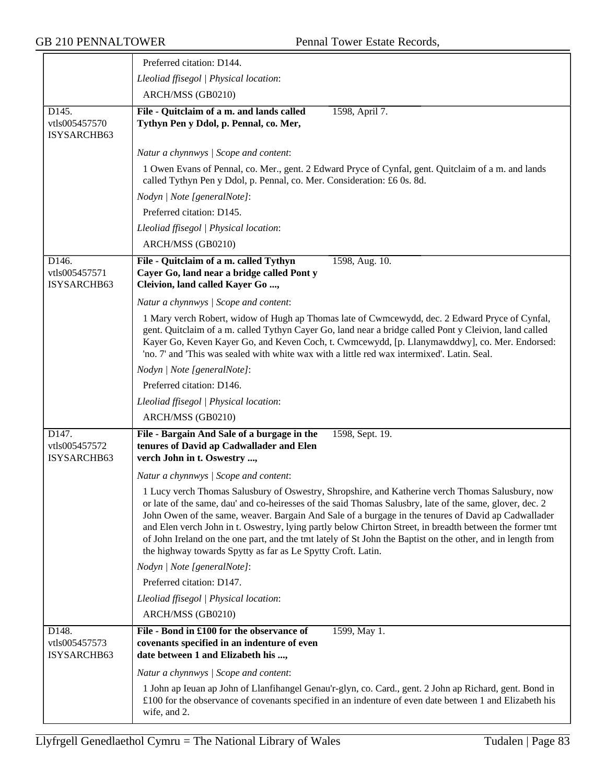|                                                    | Preferred citation: D144.                                                                                                                                                                                                                                                                                                                                                                                                                                                                                                                                                                                      |
|----------------------------------------------------|----------------------------------------------------------------------------------------------------------------------------------------------------------------------------------------------------------------------------------------------------------------------------------------------------------------------------------------------------------------------------------------------------------------------------------------------------------------------------------------------------------------------------------------------------------------------------------------------------------------|
|                                                    | Lleoliad ffisegol   Physical location:                                                                                                                                                                                                                                                                                                                                                                                                                                                                                                                                                                         |
|                                                    | ARCH/MSS (GB0210)                                                                                                                                                                                                                                                                                                                                                                                                                                                                                                                                                                                              |
| D <sub>145</sub> .<br>vtls005457570<br>ISYSARCHB63 | File - Quitclaim of a m. and lands called<br>1598, April 7.<br>Tythyn Pen y Ddol, p. Pennal, co. Mer,                                                                                                                                                                                                                                                                                                                                                                                                                                                                                                          |
|                                                    | Natur a chynnwys / Scope and content:                                                                                                                                                                                                                                                                                                                                                                                                                                                                                                                                                                          |
|                                                    | 1 Owen Evans of Pennal, co. Mer., gent. 2 Edward Pryce of Cynfal, gent. Quitclaim of a m. and lands<br>called Tythyn Pen y Ddol, p. Pennal, co. Mer. Consideration: £6 0s. 8d.                                                                                                                                                                                                                                                                                                                                                                                                                                 |
|                                                    | Nodyn   Note [generalNote]:                                                                                                                                                                                                                                                                                                                                                                                                                                                                                                                                                                                    |
|                                                    | Preferred citation: D145.                                                                                                                                                                                                                                                                                                                                                                                                                                                                                                                                                                                      |
|                                                    | Lleoliad ffisegol   Physical location:                                                                                                                                                                                                                                                                                                                                                                                                                                                                                                                                                                         |
|                                                    | ARCH/MSS (GB0210)                                                                                                                                                                                                                                                                                                                                                                                                                                                                                                                                                                                              |
| D146.<br>vtls005457571<br>ISYSARCHB63              | File - Quitclaim of a m. called Tythyn<br>1598, Aug. 10.<br>Cayer Go, land near a bridge called Pont y<br>Cleivion, land called Kayer Go ,                                                                                                                                                                                                                                                                                                                                                                                                                                                                     |
|                                                    | Natur a chynnwys / Scope and content:                                                                                                                                                                                                                                                                                                                                                                                                                                                                                                                                                                          |
|                                                    | 1 Mary verch Robert, widow of Hugh ap Thomas late of Cwmcewydd, dec. 2 Edward Pryce of Cynfal,<br>gent. Quitclaim of a m. called Tythyn Cayer Go, land near a bridge called Pont y Cleivion, land called<br>Kayer Go, Keven Kayer Go, and Keven Coch, t. Cwmcewydd, [p. Llanymawddwy], co. Mer. Endorsed:<br>'no. 7' and 'This was sealed with white wax with a little red wax intermixed'. Latin. Seal.                                                                                                                                                                                                       |
|                                                    | Nodyn   Note [generalNote]:                                                                                                                                                                                                                                                                                                                                                                                                                                                                                                                                                                                    |
|                                                    | Preferred citation: D146.                                                                                                                                                                                                                                                                                                                                                                                                                                                                                                                                                                                      |
|                                                    | Lleoliad ffisegol   Physical location:                                                                                                                                                                                                                                                                                                                                                                                                                                                                                                                                                                         |
|                                                    | ARCH/MSS (GB0210)                                                                                                                                                                                                                                                                                                                                                                                                                                                                                                                                                                                              |
| D147.<br>vtls005457572<br>ISYSARCHB63              | File - Bargain And Sale of a burgage in the<br>1598, Sept. 19.<br>tenures of David ap Cadwallader and Elen<br>verch John in t. Oswestry ,                                                                                                                                                                                                                                                                                                                                                                                                                                                                      |
|                                                    | Natur a chynnwys / Scope and content:                                                                                                                                                                                                                                                                                                                                                                                                                                                                                                                                                                          |
|                                                    | 1 Lucy verch Thomas Salusbury of Oswestry, Shropshire, and Katherine verch Thomas Salusbury, now<br>or late of the same, dau' and co-heiresses of the said Thomas Salusbry, late of the same, glover, dec. 2<br>John Owen of the same, weaver. Bargain And Sale of a burgage in the tenures of David ap Cadwallader<br>and Elen verch John in t. Oswestry, lying partly below Chirton Street, in breadth between the former tmt<br>of John Ireland on the one part, and the tmt lately of St John the Baptist on the other, and in length from<br>the highway towards Spytty as far as Le Spytty Croft. Latin. |
|                                                    | Nodyn   Note [generalNote]:                                                                                                                                                                                                                                                                                                                                                                                                                                                                                                                                                                                    |
|                                                    | Preferred citation: D147.                                                                                                                                                                                                                                                                                                                                                                                                                                                                                                                                                                                      |
|                                                    | Lleoliad ffisegol   Physical location:                                                                                                                                                                                                                                                                                                                                                                                                                                                                                                                                                                         |
|                                                    | ARCH/MSS (GB0210)                                                                                                                                                                                                                                                                                                                                                                                                                                                                                                                                                                                              |
| D148.<br>vtls005457573<br>ISYSARCHB63              | File - Bond in £100 for the observance of<br>1599, May 1.<br>covenants specified in an indenture of even<br>date between 1 and Elizabeth his ,                                                                                                                                                                                                                                                                                                                                                                                                                                                                 |
|                                                    | Natur a chynnwys / Scope and content:                                                                                                                                                                                                                                                                                                                                                                                                                                                                                                                                                                          |
|                                                    | 1 John ap Ieuan ap John of Llanfihangel Genau'r-glyn, co. Card., gent. 2 John ap Richard, gent. Bond in<br>£100 for the observance of covenants specified in an indenture of even date between 1 and Elizabeth his<br>wife, and 2.                                                                                                                                                                                                                                                                                                                                                                             |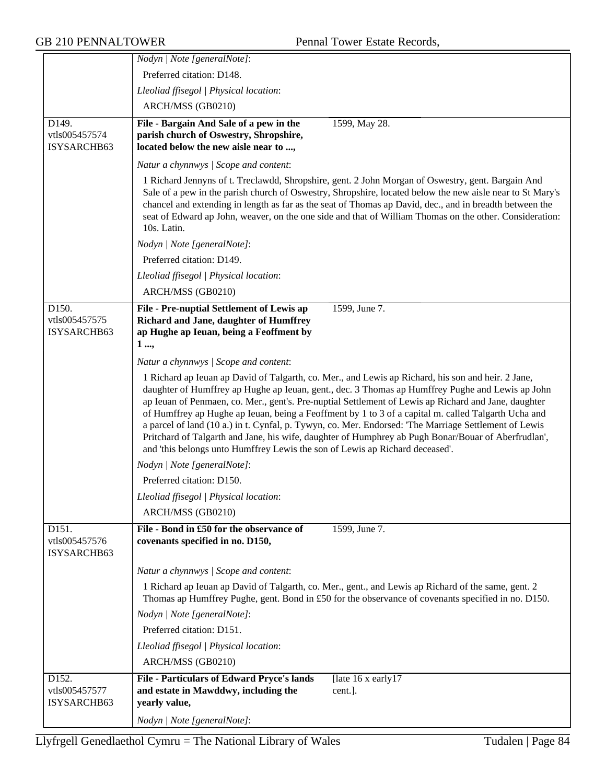|                                       | Nodyn   Note [generalNote]:                                                                                                                                                                                                                                                                                                                                                                                                                                                                                                                                                                                                                                                                                           |
|---------------------------------------|-----------------------------------------------------------------------------------------------------------------------------------------------------------------------------------------------------------------------------------------------------------------------------------------------------------------------------------------------------------------------------------------------------------------------------------------------------------------------------------------------------------------------------------------------------------------------------------------------------------------------------------------------------------------------------------------------------------------------|
|                                       | Preferred citation: D148.                                                                                                                                                                                                                                                                                                                                                                                                                                                                                                                                                                                                                                                                                             |
|                                       | Lleoliad ffisegol   Physical location:                                                                                                                                                                                                                                                                                                                                                                                                                                                                                                                                                                                                                                                                                |
|                                       | ARCH/MSS (GB0210)                                                                                                                                                                                                                                                                                                                                                                                                                                                                                                                                                                                                                                                                                                     |
| D149.                                 | File - Bargain And Sale of a pew in the<br>1599, May 28.                                                                                                                                                                                                                                                                                                                                                                                                                                                                                                                                                                                                                                                              |
| vtls005457574                         | parish church of Oswestry, Shropshire,                                                                                                                                                                                                                                                                                                                                                                                                                                                                                                                                                                                                                                                                                |
| ISYSARCHB63                           | located below the new aisle near to ,                                                                                                                                                                                                                                                                                                                                                                                                                                                                                                                                                                                                                                                                                 |
|                                       | Natur a chynnwys / Scope and content:                                                                                                                                                                                                                                                                                                                                                                                                                                                                                                                                                                                                                                                                                 |
|                                       | 1 Richard Jennyns of t. Treclawdd, Shropshire, gent. 2 John Morgan of Oswestry, gent. Bargain And<br>Sale of a pew in the parish church of Oswestry, Shropshire, located below the new aisle near to St Mary's<br>chancel and extending in length as far as the seat of Thomas ap David, dec., and in breadth between the<br>seat of Edward ap John, weaver, on the one side and that of William Thomas on the other. Consideration:<br>10s. Latin.                                                                                                                                                                                                                                                                   |
|                                       | Nodyn   Note [generalNote]:                                                                                                                                                                                                                                                                                                                                                                                                                                                                                                                                                                                                                                                                                           |
|                                       | Preferred citation: D149.                                                                                                                                                                                                                                                                                                                                                                                                                                                                                                                                                                                                                                                                                             |
|                                       | Lleoliad ffisegol   Physical location:                                                                                                                                                                                                                                                                                                                                                                                                                                                                                                                                                                                                                                                                                |
|                                       | ARCH/MSS (GB0210)                                                                                                                                                                                                                                                                                                                                                                                                                                                                                                                                                                                                                                                                                                     |
| D150.<br>vtls005457575<br>ISYSARCHB63 | 1599, June 7.<br>File - Pre-nuptial Settlement of Lewis ap<br>Richard and Jane, daughter of Humffrey<br>ap Hughe ap Ieuan, being a Feoffment by<br>1 ,                                                                                                                                                                                                                                                                                                                                                                                                                                                                                                                                                                |
|                                       | Natur a chynnwys / Scope and content:                                                                                                                                                                                                                                                                                                                                                                                                                                                                                                                                                                                                                                                                                 |
|                                       | 1 Richard ap Ieuan ap David of Talgarth, co. Mer., and Lewis ap Richard, his son and heir. 2 Jane,<br>daughter of Humffrey ap Hughe ap Ieuan, gent., dec. 3 Thomas ap Humffrey Pughe and Lewis ap John<br>ap Ieuan of Penmaen, co. Mer., gent's. Pre-nuptial Settlement of Lewis ap Richard and Jane, daughter<br>of Humffrey ap Hughe ap Ieuan, being a Feoffment by 1 to 3 of a capital m. called Talgarth Ucha and<br>a parcel of land (10 a.) in t. Cynfal, p. Tywyn, co. Mer. Endorsed: 'The Marriage Settlement of Lewis<br>Pritchard of Talgarth and Jane, his wife, daughter of Humphrey ab Pugh Bonar/Bouar of Aberfrudlan',<br>and 'this belongs unto Humffrey Lewis the son of Lewis ap Richard deceased'. |
|                                       | Nodyn   Note [generalNote]:                                                                                                                                                                                                                                                                                                                                                                                                                                                                                                                                                                                                                                                                                           |
|                                       | Preferred citation: D150.                                                                                                                                                                                                                                                                                                                                                                                                                                                                                                                                                                                                                                                                                             |
|                                       | Lleoliad ffisegol   Physical location:                                                                                                                                                                                                                                                                                                                                                                                                                                                                                                                                                                                                                                                                                |
|                                       | ARCH/MSS (GB0210)                                                                                                                                                                                                                                                                                                                                                                                                                                                                                                                                                                                                                                                                                                     |
| D151.<br>vtls005457576<br>ISYSARCHB63 | 1599, June 7.<br>File - Bond in £50 for the observance of<br>covenants specified in no. D150,                                                                                                                                                                                                                                                                                                                                                                                                                                                                                                                                                                                                                         |
|                                       | Natur a chynnwys / Scope and content:                                                                                                                                                                                                                                                                                                                                                                                                                                                                                                                                                                                                                                                                                 |
|                                       | 1 Richard ap Ieuan ap David of Talgarth, co. Mer., gent., and Lewis ap Richard of the same, gent. 2<br>Thomas ap Humffrey Pughe, gent. Bond in £50 for the observance of covenants specified in no. D150.                                                                                                                                                                                                                                                                                                                                                                                                                                                                                                             |
|                                       | Nodyn   Note [generalNote]:                                                                                                                                                                                                                                                                                                                                                                                                                                                                                                                                                                                                                                                                                           |
|                                       | Preferred citation: D151.                                                                                                                                                                                                                                                                                                                                                                                                                                                                                                                                                                                                                                                                                             |
|                                       | Lleoliad ffisegol   Physical location:                                                                                                                                                                                                                                                                                                                                                                                                                                                                                                                                                                                                                                                                                |
|                                       | ARCH/MSS (GB0210)                                                                                                                                                                                                                                                                                                                                                                                                                                                                                                                                                                                                                                                                                                     |
| D152.<br>vtls005457577<br>ISYSARCHB63 | File - Particulars of Edward Pryce's lands<br>[late $16x$ early $17$<br>and estate in Mawddwy, including the<br>cent.].<br>yearly value,                                                                                                                                                                                                                                                                                                                                                                                                                                                                                                                                                                              |
|                                       | Nodyn   Note [generalNote]:                                                                                                                                                                                                                                                                                                                                                                                                                                                                                                                                                                                                                                                                                           |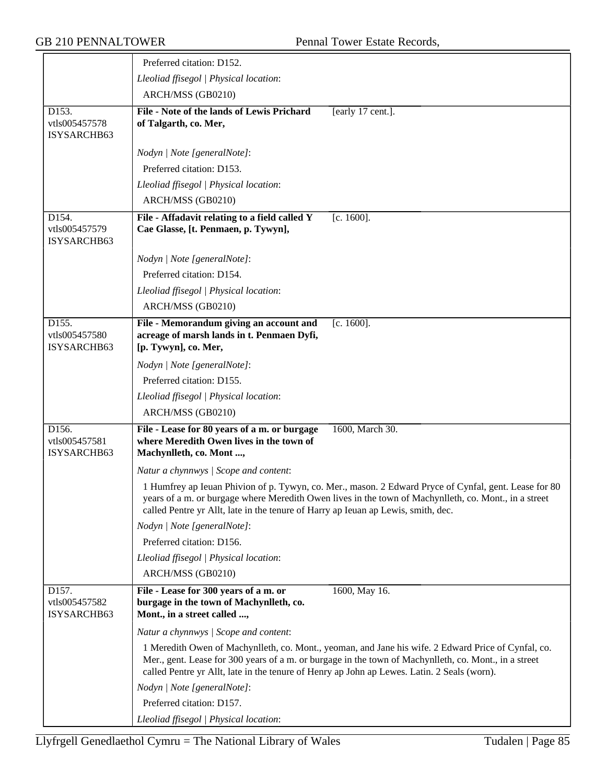|                                       | Preferred citation: D152.                                                                                           |                                                                                                                                                                                                                |
|---------------------------------------|---------------------------------------------------------------------------------------------------------------------|----------------------------------------------------------------------------------------------------------------------------------------------------------------------------------------------------------------|
|                                       | Lleoliad ffisegol   Physical location:                                                                              |                                                                                                                                                                                                                |
|                                       | ARCH/MSS (GB0210)                                                                                                   |                                                                                                                                                                                                                |
| D153.<br>vtls005457578<br>ISYSARCHB63 | File - Note of the lands of Lewis Prichard<br>of Talgarth, co. Mer,                                                 | [early 17 cent.].                                                                                                                                                                                              |
|                                       | Nodyn   Note [generalNote]:                                                                                         |                                                                                                                                                                                                                |
|                                       | Preferred citation: D153.                                                                                           |                                                                                                                                                                                                                |
|                                       | Lleoliad ffisegol   Physical location:                                                                              |                                                                                                                                                                                                                |
|                                       | ARCH/MSS (GB0210)                                                                                                   |                                                                                                                                                                                                                |
| D154.                                 | File - Affadavit relating to a field called Y                                                                       | $[c. 1600]$ .                                                                                                                                                                                                  |
| vtls005457579<br>ISYSARCHB63          | Cae Glasse, [t. Penmaen, p. Tywyn],                                                                                 |                                                                                                                                                                                                                |
|                                       | Nodyn   Note [generalNote]:                                                                                         |                                                                                                                                                                                                                |
|                                       | Preferred citation: D154.                                                                                           |                                                                                                                                                                                                                |
|                                       | Lleoliad ffisegol   Physical location:                                                                              |                                                                                                                                                                                                                |
|                                       | ARCH/MSS (GB0210)                                                                                                   |                                                                                                                                                                                                                |
| D155.<br>vtls005457580<br>ISYSARCHB63 | File - Memorandum giving an account and<br>acreage of marsh lands in t. Penmaen Dyfi,<br>[p. Tywyn], co. Mer,       | $[c. 1600]$ .                                                                                                                                                                                                  |
|                                       | Nodyn   Note [generalNote]:                                                                                         |                                                                                                                                                                                                                |
|                                       | Preferred citation: D155.                                                                                           |                                                                                                                                                                                                                |
|                                       | Lleoliad ffisegol   Physical location:                                                                              |                                                                                                                                                                                                                |
|                                       | ARCH/MSS (GB0210)                                                                                                   |                                                                                                                                                                                                                |
| D156.<br>vtls005457581<br>ISYSARCHB63 | File - Lease for 80 years of a m. or burgage<br>where Meredith Owen lives in the town of<br>Machynlleth, co. Mont , | 1600, March 30.                                                                                                                                                                                                |
|                                       | Natur a chynnwys / Scope and content:                                                                               |                                                                                                                                                                                                                |
|                                       | called Pentre yr Allt, late in the tenure of Harry ap Ieuan ap Lewis, smith, dec.                                   | 1 Humfrey ap Ieuan Phivion of p. Tywyn, co. Mer., mason. 2 Edward Pryce of Cynfal, gent. Lease for 80<br>years of a m. or burgage where Meredith Owen lives in the town of Machynlleth, co. Mont., in a street |
|                                       | Nodyn   Note [generalNote]:                                                                                         |                                                                                                                                                                                                                |
|                                       | Preferred citation: D156.                                                                                           |                                                                                                                                                                                                                |
|                                       | Lleoliad ffisegol   Physical location:                                                                              |                                                                                                                                                                                                                |
|                                       | ARCH/MSS (GB0210)                                                                                                   |                                                                                                                                                                                                                |
| D157.<br>vtls005457582<br>ISYSARCHB63 | File - Lease for 300 years of a m. or<br>burgage in the town of Machynlleth, co.<br>Mont., in a street called ,     | 1600, May 16.                                                                                                                                                                                                  |
|                                       | Natur a chynnwys / Scope and content:                                                                               |                                                                                                                                                                                                                |
|                                       | called Pentre yr Allt, late in the tenure of Henry ap John ap Lewes. Latin. 2 Seals (worn).                         | 1 Meredith Owen of Machynlleth, co. Mont., yeoman, and Jane his wife. 2 Edward Price of Cynfal, co.<br>Mer., gent. Lease for 300 years of a m. or burgage in the town of Machynlleth, co. Mont., in a street   |
|                                       | Nodyn   Note [generalNote]:                                                                                         |                                                                                                                                                                                                                |
|                                       | Preferred citation: D157.                                                                                           |                                                                                                                                                                                                                |
|                                       | Lleoliad ffisegol   Physical location:                                                                              |                                                                                                                                                                                                                |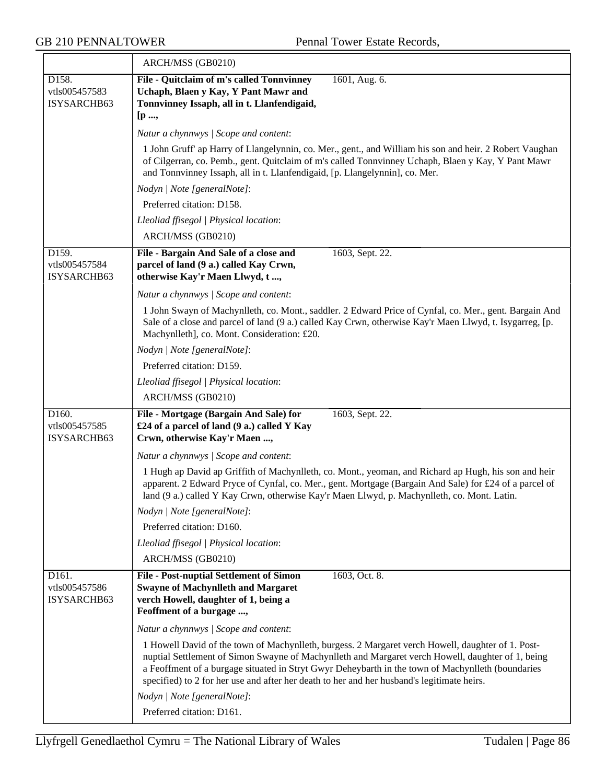$\overline{\phantom{a}}$ 

|                                       | ARCH/MSS (GB0210)                                                                                                                                                                                                                                                                                                                                                                                         |  |
|---------------------------------------|-----------------------------------------------------------------------------------------------------------------------------------------------------------------------------------------------------------------------------------------------------------------------------------------------------------------------------------------------------------------------------------------------------------|--|
| D158.<br>vtls005457583<br>ISYSARCHB63 | File - Quitclaim of m's called Tonnvinney<br>1601, Aug. 6.<br>Uchaph, Blaen y Kay, Y Pant Mawr and<br>Tonnvinney Issaph, all in t. Llanfendigaid,<br>[p ,                                                                                                                                                                                                                                                 |  |
|                                       | Natur a chynnwys / Scope and content:                                                                                                                                                                                                                                                                                                                                                                     |  |
|                                       | 1 John Gruff' ap Harry of Llangelynnin, co. Mer., gent., and William his son and heir. 2 Robert Vaughan<br>of Cilgerran, co. Pemb., gent. Quitclaim of m's called Tonnvinney Uchaph, Blaen y Kay, Y Pant Mawr<br>and Tonnvinney Issaph, all in t. Llanfendigaid, [p. Llangelynnin], co. Mer.                                                                                                              |  |
|                                       | Nodyn   Note [generalNote]:                                                                                                                                                                                                                                                                                                                                                                               |  |
|                                       | Preferred citation: D158.                                                                                                                                                                                                                                                                                                                                                                                 |  |
|                                       | Lleoliad ffisegol   Physical location:                                                                                                                                                                                                                                                                                                                                                                    |  |
|                                       | ARCH/MSS (GB0210)                                                                                                                                                                                                                                                                                                                                                                                         |  |
| D159.<br>vtls005457584<br>ISYSARCHB63 | File - Bargain And Sale of a close and<br>1603, Sept. 22.<br>parcel of land (9 a.) called Kay Crwn,<br>otherwise Kay'r Maen Llwyd, t,                                                                                                                                                                                                                                                                     |  |
|                                       | Natur a chynnwys / Scope and content:                                                                                                                                                                                                                                                                                                                                                                     |  |
|                                       | 1 John Swayn of Machynlleth, co. Mont., saddler. 2 Edward Price of Cynfal, co. Mer., gent. Bargain And<br>Sale of a close and parcel of land (9 a.) called Kay Crwn, otherwise Kay'r Maen Llwyd, t. Isygarreg, [p.<br>Machynlleth], co. Mont. Consideration: £20.                                                                                                                                         |  |
|                                       | Nodyn   Note [generalNote]:                                                                                                                                                                                                                                                                                                                                                                               |  |
|                                       | Preferred citation: D159.                                                                                                                                                                                                                                                                                                                                                                                 |  |
|                                       | Lleoliad ffisegol   Physical location:                                                                                                                                                                                                                                                                                                                                                                    |  |
|                                       | ARCH/MSS (GB0210)                                                                                                                                                                                                                                                                                                                                                                                         |  |
| D160.<br>vtls005457585<br>ISYSARCHB63 | File - Mortgage (Bargain And Sale) for<br>1603, Sept. 22.<br>£24 of a parcel of land (9 a.) called Y Kay<br>Crwn, otherwise Kay'r Maen ,                                                                                                                                                                                                                                                                  |  |
|                                       | Natur a chynnwys / Scope and content:                                                                                                                                                                                                                                                                                                                                                                     |  |
|                                       | 1 Hugh ap David ap Griffith of Machynlleth, co. Mont., yeoman, and Richard ap Hugh, his son and heir<br>apparent. 2 Edward Pryce of Cynfal, co. Mer., gent. Mortgage (Bargain And Sale) for £24 of a parcel of<br>land (9 a.) called Y Kay Crwn, otherwise Kay'r Maen Llwyd, p. Machynlleth, co. Mont. Latin.                                                                                             |  |
|                                       | Nodyn   Note [generalNote]:                                                                                                                                                                                                                                                                                                                                                                               |  |
|                                       | Preferred citation: D160.                                                                                                                                                                                                                                                                                                                                                                                 |  |
|                                       | Lleoliad ffisegol   Physical location:                                                                                                                                                                                                                                                                                                                                                                    |  |
|                                       | ARCH/MSS (GB0210)                                                                                                                                                                                                                                                                                                                                                                                         |  |
| D161.<br>vtls005457586<br>ISYSARCHB63 | <b>File - Post-nuptial Settlement of Simon</b><br>1603, Oct. 8.<br><b>Swayne of Machynlleth and Margaret</b><br>verch Howell, daughter of 1, being a<br>Feoffment of a burgage ,                                                                                                                                                                                                                          |  |
|                                       | Natur a chynnwys / Scope and content:                                                                                                                                                                                                                                                                                                                                                                     |  |
|                                       | 1 Howell David of the town of Machynlleth, burgess. 2 Margaret verch Howell, daughter of 1. Post-<br>nuptial Settlement of Simon Swayne of Machynlleth and Margaret verch Howell, daughter of 1, being<br>a Feoffment of a burgage situated in Stryt Gwyr Deheybarth in the town of Machynlleth (boundaries<br>specified) to 2 for her use and after her death to her and her husband's legitimate heirs. |  |
|                                       | Nodyn   Note [generalNote]:                                                                                                                                                                                                                                                                                                                                                                               |  |
|                                       | Preferred citation: D161.                                                                                                                                                                                                                                                                                                                                                                                 |  |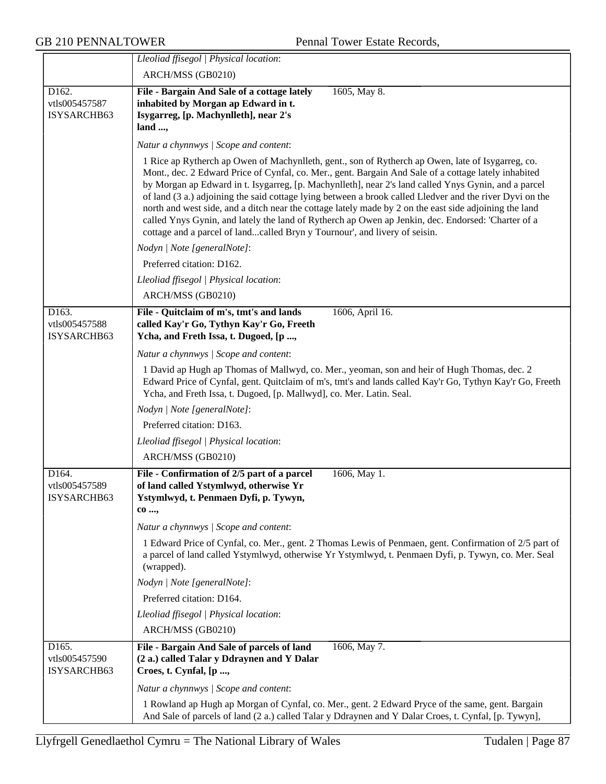|                                       | Lleoliad ffisegol   Physical location:                                                                                                                                                                                                                                                                                                                                                                                                                                                                                                                                                                                                                                                                                      |
|---------------------------------------|-----------------------------------------------------------------------------------------------------------------------------------------------------------------------------------------------------------------------------------------------------------------------------------------------------------------------------------------------------------------------------------------------------------------------------------------------------------------------------------------------------------------------------------------------------------------------------------------------------------------------------------------------------------------------------------------------------------------------------|
|                                       | ARCH/MSS (GB0210)                                                                                                                                                                                                                                                                                                                                                                                                                                                                                                                                                                                                                                                                                                           |
| D162.<br>vtls005457587<br>ISYSARCHB63 | File - Bargain And Sale of a cottage lately<br>1605, May 8.<br>inhabited by Morgan ap Edward in t.<br>Isygarreg, [p. Machynlleth], near 2's<br>land ,                                                                                                                                                                                                                                                                                                                                                                                                                                                                                                                                                                       |
|                                       | Natur a chynnwys / Scope and content:                                                                                                                                                                                                                                                                                                                                                                                                                                                                                                                                                                                                                                                                                       |
|                                       | 1 Rice ap Rytherch ap Owen of Machynlleth, gent., son of Rytherch ap Owen, late of Isygarreg, co.<br>Mont., dec. 2 Edward Price of Cynfal, co. Mer., gent. Bargain And Sale of a cottage lately inhabited<br>by Morgan ap Edward in t. Isygarreg, [p. Machynlleth], near 2's land called Ynys Gynin, and a parcel<br>of land (3 a.) adjoining the said cottage lying between a brook called Lledver and the river Dyvi on the<br>north and west side, and a ditch near the cottage lately made by 2 on the east side adjoining the land<br>called Ynys Gynin, and lately the land of Rytherch ap Owen ap Jenkin, dec. Endorsed: 'Charter of a<br>cottage and a parcel of landcalled Bryn y Tournour', and livery of seisin. |
|                                       | Nodyn   Note [generalNote]:                                                                                                                                                                                                                                                                                                                                                                                                                                                                                                                                                                                                                                                                                                 |
|                                       | Preferred citation: D162.                                                                                                                                                                                                                                                                                                                                                                                                                                                                                                                                                                                                                                                                                                   |
|                                       | Lleoliad ffisegol   Physical location:                                                                                                                                                                                                                                                                                                                                                                                                                                                                                                                                                                                                                                                                                      |
|                                       | ARCH/MSS (GB0210)                                                                                                                                                                                                                                                                                                                                                                                                                                                                                                                                                                                                                                                                                                           |
| D163.<br>vtls005457588<br>ISYSARCHB63 | 1606, April 16.<br>File - Quitclaim of m's, tmt's and lands<br>called Kay'r Go, Tythyn Kay'r Go, Freeth<br>Ycha, and Freth Issa, t. Dugoed, [p ,                                                                                                                                                                                                                                                                                                                                                                                                                                                                                                                                                                            |
|                                       | Natur a chynnwys / Scope and content:                                                                                                                                                                                                                                                                                                                                                                                                                                                                                                                                                                                                                                                                                       |
|                                       | 1 David ap Hugh ap Thomas of Mallwyd, co. Mer., yeoman, son and heir of Hugh Thomas, dec. 2<br>Edward Price of Cynfal, gent. Quitclaim of m's, tmt's and lands called Kay'r Go, Tythyn Kay'r Go, Freeth<br>Ycha, and Freth Issa, t. Dugoed, [p. Mallwyd], co. Mer. Latin. Seal.                                                                                                                                                                                                                                                                                                                                                                                                                                             |
|                                       | Nodyn   Note [generalNote]:                                                                                                                                                                                                                                                                                                                                                                                                                                                                                                                                                                                                                                                                                                 |
|                                       | Preferred citation: D163.                                                                                                                                                                                                                                                                                                                                                                                                                                                                                                                                                                                                                                                                                                   |
|                                       | Lleoliad ffisegol   Physical location:                                                                                                                                                                                                                                                                                                                                                                                                                                                                                                                                                                                                                                                                                      |
|                                       | ARCH/MSS (GB0210)                                                                                                                                                                                                                                                                                                                                                                                                                                                                                                                                                                                                                                                                                                           |
| D164.<br>vtls005457589<br>ISYSARCHB63 | File - Confirmation of 2/5 part of a parcel<br>1606, May 1.<br>of land called Ystymlwyd, otherwise Yr<br>Ystymlwyd, t. Penmaen Dyfi, p. Tywyn,<br>$co$ ,<br>Natur a chynnwys / Scope and content:<br>1 Edward Price of Cynfal, co. Mer., gent. 2 Thomas Lewis of Penmaen, gent. Confirmation of 2/5 part of<br>a parcel of land called Ystymlwyd, otherwise Yr Ystymlwyd, t. Penmaen Dyfi, p. Tywyn, co. Mer. Seal<br>(wrapped).<br>Nodyn   Note [generalNote]:<br>Preferred citation: D164.<br>Lleoliad ffisegol   Physical location:<br>ARCH/MSS (GB0210)                                                                                                                                                                 |
| D165.                                 | File - Bargain And Sale of parcels of land<br>1606, May 7.                                                                                                                                                                                                                                                                                                                                                                                                                                                                                                                                                                                                                                                                  |
| vtls005457590<br>ISYSARCHB63          | (2 a.) called Talar y Ddraynen and Y Dalar<br>Croes, t. Cynfal, [p ,                                                                                                                                                                                                                                                                                                                                                                                                                                                                                                                                                                                                                                                        |
|                                       | Natur a chynnwys / Scope and content:                                                                                                                                                                                                                                                                                                                                                                                                                                                                                                                                                                                                                                                                                       |
|                                       | 1 Rowland ap Hugh ap Morgan of Cynfal, co. Mer., gent. 2 Edward Pryce of the same, gent. Bargain<br>And Sale of parcels of land (2 a.) called Talar y Ddraynen and Y Dalar Croes, t. Cynfal, [p. Tywyn],                                                                                                                                                                                                                                                                                                                                                                                                                                                                                                                    |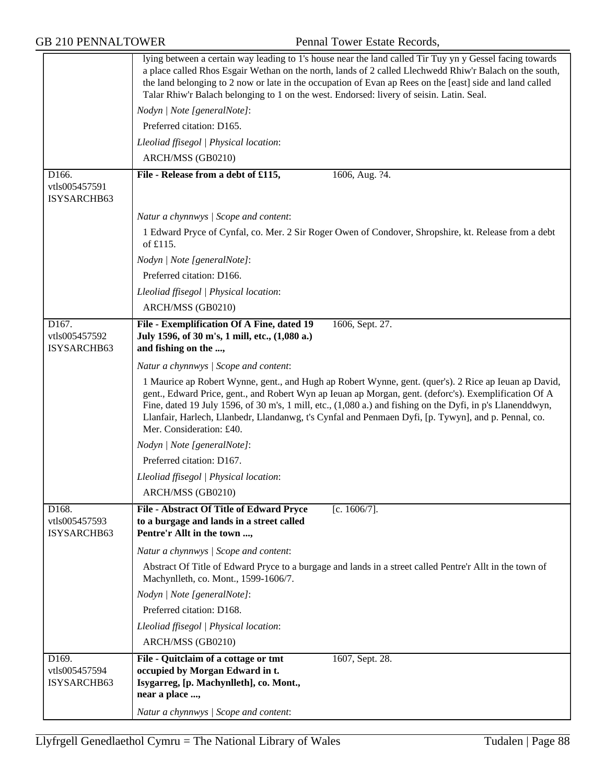|                                                    | lying between a certain way leading to 1's house near the land called Tir Tuy yn y Gessel facing towards<br>a place called Rhos Esgair Wethan on the north, lands of 2 called Llechwedd Rhiw'r Balach on the south,<br>the land belonging to 2 now or late in the occupation of Evan ap Rees on the [east] side and land called<br>Talar Rhiw'r Balach belonging to 1 on the west. Endorsed: livery of seisin. Latin. Seal.                                     |  |
|----------------------------------------------------|-----------------------------------------------------------------------------------------------------------------------------------------------------------------------------------------------------------------------------------------------------------------------------------------------------------------------------------------------------------------------------------------------------------------------------------------------------------------|--|
|                                                    | Nodyn   Note [generalNote]:                                                                                                                                                                                                                                                                                                                                                                                                                                     |  |
|                                                    | Preferred citation: D165.                                                                                                                                                                                                                                                                                                                                                                                                                                       |  |
|                                                    | Lleoliad ffisegol   Physical location:                                                                                                                                                                                                                                                                                                                                                                                                                          |  |
|                                                    | ARCH/MSS (GB0210)                                                                                                                                                                                                                                                                                                                                                                                                                                               |  |
| D166.<br>vtls005457591<br>ISYSARCHB63              | File - Release from a debt of £115,<br>1606, Aug. ?4.                                                                                                                                                                                                                                                                                                                                                                                                           |  |
|                                                    | Natur a chynnwys / Scope and content:                                                                                                                                                                                                                                                                                                                                                                                                                           |  |
|                                                    | 1 Edward Pryce of Cynfal, co. Mer. 2 Sir Roger Owen of Condover, Shropshire, kt. Release from a debt<br>of £115.                                                                                                                                                                                                                                                                                                                                                |  |
|                                                    | Nodyn   Note [generalNote]:                                                                                                                                                                                                                                                                                                                                                                                                                                     |  |
|                                                    | Preferred citation: D166.                                                                                                                                                                                                                                                                                                                                                                                                                                       |  |
|                                                    | Lleoliad ffisegol   Physical location:                                                                                                                                                                                                                                                                                                                                                                                                                          |  |
|                                                    | ARCH/MSS (GB0210)                                                                                                                                                                                                                                                                                                                                                                                                                                               |  |
| D167.                                              | File - Exemplification Of A Fine, dated 19<br>1606, Sept. 27.                                                                                                                                                                                                                                                                                                                                                                                                   |  |
| vtls005457592<br>ISYSARCHB63                       | July 1596, of 30 m's, 1 mill, etc., (1,080 a.)<br>and fishing on the ,                                                                                                                                                                                                                                                                                                                                                                                          |  |
|                                                    | Natur a chynnwys / Scope and content:                                                                                                                                                                                                                                                                                                                                                                                                                           |  |
|                                                    | 1 Maurice ap Robert Wynne, gent., and Hugh ap Robert Wynne, gent. (quer's). 2 Rice ap Ieuan ap David,<br>gent., Edward Price, gent., and Robert Wyn ap Ieuan ap Morgan, gent. (deforc's). Exemplification Of A<br>Fine, dated 19 July 1596, of 30 m's, 1 mill, etc., (1,080 a.) and fishing on the Dyfi, in p's Llanenddwyn,<br>Llanfair, Harlech, Llanbedr, Llandanwg, t's Cynfal and Penmaen Dyfi, [p. Tywyn], and p. Pennal, co.<br>Mer. Consideration: £40. |  |
|                                                    | Nodyn   Note [generalNote]:                                                                                                                                                                                                                                                                                                                                                                                                                                     |  |
|                                                    | Preferred citation: D167.                                                                                                                                                                                                                                                                                                                                                                                                                                       |  |
|                                                    | Lleoliad ffisegol   Physical location:                                                                                                                                                                                                                                                                                                                                                                                                                          |  |
|                                                    | ARCH/MSS (GB0210)                                                                                                                                                                                                                                                                                                                                                                                                                                               |  |
| D <sub>168</sub> .<br>vtls005457593<br>ISYSARCHB63 | File - Abstract Of Title of Edward Pryce<br>[c. $1606/7$ ].<br>to a burgage and lands in a street called<br>Pentre'r Allt in the town ,                                                                                                                                                                                                                                                                                                                         |  |
|                                                    | Natur a chynnwys / Scope and content:                                                                                                                                                                                                                                                                                                                                                                                                                           |  |
|                                                    | Abstract Of Title of Edward Pryce to a burgage and lands in a street called Pentre'r Allt in the town of<br>Machynlleth, co. Mont., 1599-1606/7.                                                                                                                                                                                                                                                                                                                |  |
|                                                    | Nodyn   Note [generalNote]:                                                                                                                                                                                                                                                                                                                                                                                                                                     |  |
|                                                    | Preferred citation: D168.                                                                                                                                                                                                                                                                                                                                                                                                                                       |  |
|                                                    | Lleoliad ffisegol   Physical location:                                                                                                                                                                                                                                                                                                                                                                                                                          |  |
|                                                    | ARCH/MSS (GB0210)                                                                                                                                                                                                                                                                                                                                                                                                                                               |  |
| D169.                                              | 1607, Sept. 28.<br>File - Quitclaim of a cottage or tmt                                                                                                                                                                                                                                                                                                                                                                                                         |  |
| vtls005457594<br>ISYSARCHB63                       | occupied by Morgan Edward in t.<br>Isygarreg, [p. Machynlleth], co. Mont.,<br>near a place ,                                                                                                                                                                                                                                                                                                                                                                    |  |
|                                                    | Natur a chynnwys / Scope and content:                                                                                                                                                                                                                                                                                                                                                                                                                           |  |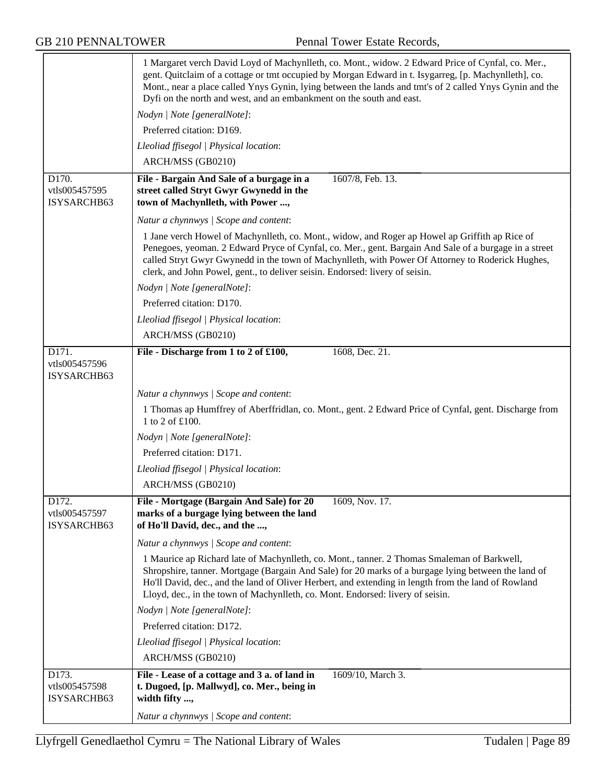|                                       | 1 Margaret verch David Loyd of Machynlleth, co. Mont., widow. 2 Edward Price of Cynfal, co. Mer.,<br>gent. Quitclaim of a cottage or tmt occupied by Morgan Edward in t. Isygarreg, [p. Machynlleth], co.<br>Mont., near a place called Ynys Gynin, lying between the lands and tmt's of 2 called Ynys Gynin and the<br>Dyfi on the north and west, and an embankment on the south and east. |
|---------------------------------------|----------------------------------------------------------------------------------------------------------------------------------------------------------------------------------------------------------------------------------------------------------------------------------------------------------------------------------------------------------------------------------------------|
|                                       | Nodyn   Note [generalNote]:                                                                                                                                                                                                                                                                                                                                                                  |
|                                       | Preferred citation: D169.                                                                                                                                                                                                                                                                                                                                                                    |
|                                       | Lleoliad ffisegol   Physical location:                                                                                                                                                                                                                                                                                                                                                       |
|                                       | ARCH/MSS (GB0210)                                                                                                                                                                                                                                                                                                                                                                            |
| D170.<br>vtls005457595<br>ISYSARCHB63 | File - Bargain And Sale of a burgage in a<br>1607/8, Feb. 13.<br>street called Stryt Gwyr Gwynedd in the<br>town of Machynlleth, with Power ,                                                                                                                                                                                                                                                |
|                                       | Natur a chynnwys / Scope and content:                                                                                                                                                                                                                                                                                                                                                        |
|                                       | 1 Jane verch Howel of Machynlleth, co. Mont., widow, and Roger ap Howel ap Griffith ap Rice of<br>Penegoes, yeoman. 2 Edward Pryce of Cynfal, co. Mer., gent. Bargain And Sale of a burgage in a street<br>called Stryt Gwyr Gwynedd in the town of Machynlleth, with Power Of Attorney to Roderick Hughes,<br>clerk, and John Powel, gent., to deliver seisin. Endorsed: livery of seisin.  |
|                                       | Nodyn   Note [generalNote]:                                                                                                                                                                                                                                                                                                                                                                  |
|                                       | Preferred citation: D170.                                                                                                                                                                                                                                                                                                                                                                    |
|                                       | Lleoliad ffisegol   Physical location:                                                                                                                                                                                                                                                                                                                                                       |
|                                       | ARCH/MSS (GB0210)                                                                                                                                                                                                                                                                                                                                                                            |
| D171.<br>vtls005457596<br>ISYSARCHB63 | 1608, Dec. 21.<br>File - Discharge from 1 to 2 of £100,                                                                                                                                                                                                                                                                                                                                      |
|                                       | Natur a chynnwys / Scope and content:                                                                                                                                                                                                                                                                                                                                                        |
|                                       | 1 Thomas ap Humffrey of Aberffridlan, co. Mont., gent. 2 Edward Price of Cynfal, gent. Discharge from<br>1 to 2 of £100.                                                                                                                                                                                                                                                                     |
|                                       | Nodyn   Note [generalNote]:                                                                                                                                                                                                                                                                                                                                                                  |
|                                       | Preferred citation: D171.                                                                                                                                                                                                                                                                                                                                                                    |
|                                       | Lleoliad ffisegol   Physical location:                                                                                                                                                                                                                                                                                                                                                       |
|                                       | ARCH/MSS (GB0210)                                                                                                                                                                                                                                                                                                                                                                            |
| D172.<br>vtls005457597<br>ISYSARCHB63 | File - Mortgage (Bargain And Sale) for 20<br>1609, Nov. 17.<br>marks of a burgage lying between the land<br>of Ho'll David, dec., and the ,                                                                                                                                                                                                                                                  |
|                                       | Natur a chynnwys / Scope and content:                                                                                                                                                                                                                                                                                                                                                        |
|                                       | 1 Maurice ap Richard late of Machynlleth, co. Mont., tanner. 2 Thomas Smaleman of Barkwell,<br>Shropshire, tanner. Mortgage (Bargain And Sale) for 20 marks of a burgage lying between the land of<br>Ho'll David, dec., and the land of Oliver Herbert, and extending in length from the land of Rowland<br>Lloyd, dec., in the town of Machynlleth, co. Mont. Endorsed: livery of seisin.  |
|                                       | Nodyn   Note [generalNote]:                                                                                                                                                                                                                                                                                                                                                                  |
|                                       | Preferred citation: D172.                                                                                                                                                                                                                                                                                                                                                                    |
|                                       | Lleoliad ffisegol   Physical location:                                                                                                                                                                                                                                                                                                                                                       |
|                                       | ARCH/MSS (GB0210)                                                                                                                                                                                                                                                                                                                                                                            |
| D173.<br>vtls005457598<br>ISYSARCHB63 | File - Lease of a cottage and 3 a. of land in<br>1609/10, March 3.<br>t. Dugoed, [p. Mallwyd], co. Mer., being in<br>width fifty ,                                                                                                                                                                                                                                                           |
|                                       | Natur a chynnwys / Scope and content:                                                                                                                                                                                                                                                                                                                                                        |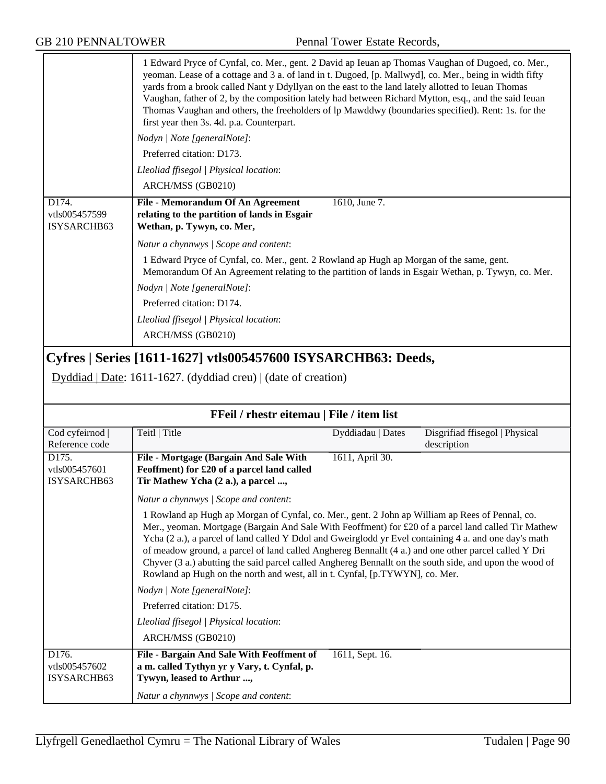|                                       | 1 Edward Pryce of Cynfal, co. Mer., gent. 2 David ap Ieuan ap Thomas Vaughan of Dugoed, co. Mer.,<br>yeoman. Lease of a cottage and 3 a. of land in t. Dugoed, [p. Mallwyd], co. Mer., being in width fifty<br>yards from a brook called Nant y Ddyllyan on the east to the land lately allotted to Ieuan Thomas<br>Vaughan, father of 2, by the composition lately had between Richard Mytton, esq., and the said Ieuan<br>Thomas Vaughan and others, the freeholders of lp Mawddwy (boundaries specified). Rent: 1s. for the<br>first year then 3s. 4d. p.a. Counterpart.<br>Nodyn   Note [generalNote]:<br>Preferred citation: D173.<br>Lleoliad ffisegol   Physical location:<br>ARCH/MSS (GB0210) |                   |                                               |
|---------------------------------------|--------------------------------------------------------------------------------------------------------------------------------------------------------------------------------------------------------------------------------------------------------------------------------------------------------------------------------------------------------------------------------------------------------------------------------------------------------------------------------------------------------------------------------------------------------------------------------------------------------------------------------------------------------------------------------------------------------|-------------------|-----------------------------------------------|
| D174.<br>vtls005457599<br>ISYSARCHB63 | File - Memorandum Of An Agreement<br>relating to the partition of lands in Esgair<br>Wethan, p. Tywyn, co. Mer,                                                                                                                                                                                                                                                                                                                                                                                                                                                                                                                                                                                        | 1610, June 7.     |                                               |
|                                       | Natur a chynnwys / Scope and content:                                                                                                                                                                                                                                                                                                                                                                                                                                                                                                                                                                                                                                                                  |                   |                                               |
|                                       | 1 Edward Pryce of Cynfal, co. Mer., gent. 2 Rowland ap Hugh ap Morgan of the same, gent.<br>Memorandum Of An Agreement relating to the partition of lands in Esgair Wethan, p. Tywyn, co. Mer.                                                                                                                                                                                                                                                                                                                                                                                                                                                                                                         |                   |                                               |
|                                       | Nodyn   Note [generalNote]:                                                                                                                                                                                                                                                                                                                                                                                                                                                                                                                                                                                                                                                                            |                   |                                               |
|                                       | Preferred citation: D174.                                                                                                                                                                                                                                                                                                                                                                                                                                                                                                                                                                                                                                                                              |                   |                                               |
|                                       | Lleoliad ffisegol   Physical location:                                                                                                                                                                                                                                                                                                                                                                                                                                                                                                                                                                                                                                                                 |                   |                                               |
|                                       | ARCH/MSS (GB0210)                                                                                                                                                                                                                                                                                                                                                                                                                                                                                                                                                                                                                                                                                      |                   |                                               |
|                                       | Cyfres   Series [1611-1627] vtls005457600 ISYSARCHB63: Deeds,<br>Dyddiad   Date: 1611-1627. (dyddiad creu)   (date of creation)                                                                                                                                                                                                                                                                                                                                                                                                                                                                                                                                                                        |                   |                                               |
|                                       | FFeil / rhestr eitemau   File / item list                                                                                                                                                                                                                                                                                                                                                                                                                                                                                                                                                                                                                                                              |                   |                                               |
| Cod cyfeirnod<br>Reference code       | Teitl   Title                                                                                                                                                                                                                                                                                                                                                                                                                                                                                                                                                                                                                                                                                          | Dyddiadau   Dates | Disgrifiad ffisegol   Physical<br>description |
| D175.<br>vtls005457601<br>ISYSARCHB63 | File - Mortgage (Bargain And Sale With<br>Feoffment) for £20 of a parcel land called<br>Tir Mathew Ycha (2 a.), a parcel ,                                                                                                                                                                                                                                                                                                                                                                                                                                                                                                                                                                             | 1611, April 30.   |                                               |
|                                       | Natur a chynnwys / Scope and content:                                                                                                                                                                                                                                                                                                                                                                                                                                                                                                                                                                                                                                                                  |                   |                                               |
|                                       | 1 Rowland ap Hugh ap Morgan of Cynfal, co. Mer., gent. 2 John ap William ap Rees of Pennal, co.<br>Mer., yeoman. Mortgage (Bargain And Sale With Feoffment) for £20 of a parcel land called Tir Mathew<br>Ycha (2 a.), a parcel of land called Y Ddol and Gweirglodd yr Evel containing 4 a. and one day's math<br>of meadow ground, a parcel of land called Anghereg Bennallt (4 a.) and one other parcel called Y Dri<br>Chyver (3 a.) abutting the said parcel called Anghereg Bennallt on the south side, and upon the wood of<br>Rowland ap Hugh on the north and west, all in t. Cynfal, [p.TYWYN], co. Mer.                                                                                     |                   |                                               |
|                                       | Nodyn   Note [generalNote]:                                                                                                                                                                                                                                                                                                                                                                                                                                                                                                                                                                                                                                                                            |                   |                                               |
|                                       | Preferred citation: D175.                                                                                                                                                                                                                                                                                                                                                                                                                                                                                                                                                                                                                                                                              |                   |                                               |
|                                       |                                                                                                                                                                                                                                                                                                                                                                                                                                                                                                                                                                                                                                                                                                        |                   |                                               |
|                                       | Lleoliad ffisegol   Physical location:                                                                                                                                                                                                                                                                                                                                                                                                                                                                                                                                                                                                                                                                 |                   |                                               |
|                                       | ARCH/MSS (GB0210)                                                                                                                                                                                                                                                                                                                                                                                                                                                                                                                                                                                                                                                                                      |                   |                                               |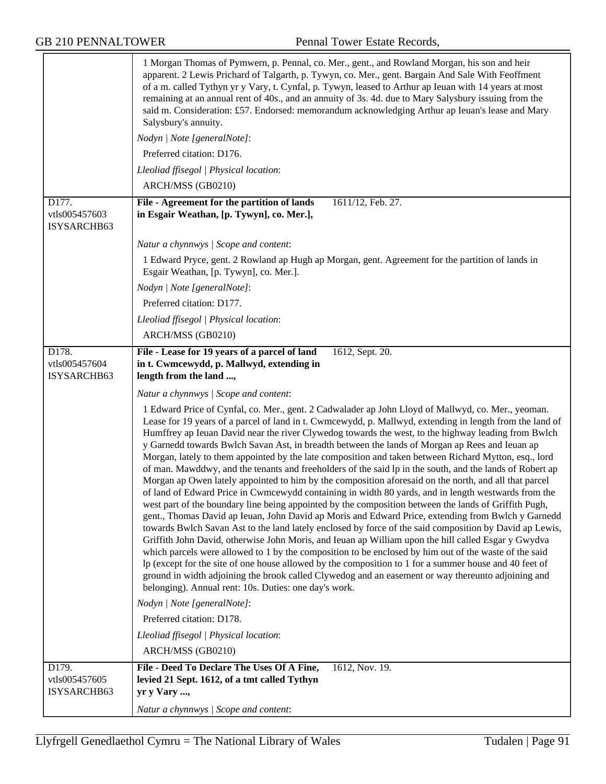|                                       | 1 Morgan Thomas of Pymwern, p. Pennal, co. Mer., gent., and Rowland Morgan, his son and heir<br>apparent. 2 Lewis Prichard of Talgarth, p. Tywyn, co. Mer., gent. Bargain And Sale With Feoffment<br>of a m. called Tythyn yr y Vary, t. Cynfal, p. Tywyn, leased to Arthur ap Ieuan with 14 years at most<br>remaining at an annual rent of 40s., and an annuity of 3s. 4d. due to Mary Salysbury issuing from the<br>said m. Consideration: £57. Endorsed: memorandum acknowledging Arthur ap Ieuan's lease and Mary<br>Salysbury's annuity.<br>Nodyn   Note [generalNote]:                                                                                                                                                                                                                                                                                                                                                                                                                                                                                                                                                                                                                                                                                                                                                                                                                                                                                                                                                                                                                                                                                                                                                                                                                              |  |
|---------------------------------------|------------------------------------------------------------------------------------------------------------------------------------------------------------------------------------------------------------------------------------------------------------------------------------------------------------------------------------------------------------------------------------------------------------------------------------------------------------------------------------------------------------------------------------------------------------------------------------------------------------------------------------------------------------------------------------------------------------------------------------------------------------------------------------------------------------------------------------------------------------------------------------------------------------------------------------------------------------------------------------------------------------------------------------------------------------------------------------------------------------------------------------------------------------------------------------------------------------------------------------------------------------------------------------------------------------------------------------------------------------------------------------------------------------------------------------------------------------------------------------------------------------------------------------------------------------------------------------------------------------------------------------------------------------------------------------------------------------------------------------------------------------------------------------------------------------|--|
|                                       | Preferred citation: D176.                                                                                                                                                                                                                                                                                                                                                                                                                                                                                                                                                                                                                                                                                                                                                                                                                                                                                                                                                                                                                                                                                                                                                                                                                                                                                                                                                                                                                                                                                                                                                                                                                                                                                                                                                                                  |  |
|                                       | Lleoliad ffisegol   Physical location:                                                                                                                                                                                                                                                                                                                                                                                                                                                                                                                                                                                                                                                                                                                                                                                                                                                                                                                                                                                                                                                                                                                                                                                                                                                                                                                                                                                                                                                                                                                                                                                                                                                                                                                                                                     |  |
|                                       | ARCH/MSS (GB0210)                                                                                                                                                                                                                                                                                                                                                                                                                                                                                                                                                                                                                                                                                                                                                                                                                                                                                                                                                                                                                                                                                                                                                                                                                                                                                                                                                                                                                                                                                                                                                                                                                                                                                                                                                                                          |  |
| D177.<br>vtls005457603<br>ISYSARCHB63 | File - Agreement for the partition of lands<br>$16\overline{11/12}$ , Feb. 27.<br>in Esgair Weathan, [p. Tywyn], co. Mer.],                                                                                                                                                                                                                                                                                                                                                                                                                                                                                                                                                                                                                                                                                                                                                                                                                                                                                                                                                                                                                                                                                                                                                                                                                                                                                                                                                                                                                                                                                                                                                                                                                                                                                |  |
|                                       | Natur a chynnwys / Scope and content:                                                                                                                                                                                                                                                                                                                                                                                                                                                                                                                                                                                                                                                                                                                                                                                                                                                                                                                                                                                                                                                                                                                                                                                                                                                                                                                                                                                                                                                                                                                                                                                                                                                                                                                                                                      |  |
|                                       | 1 Edward Pryce, gent. 2 Rowland ap Hugh ap Morgan, gent. Agreement for the partition of lands in<br>Esgair Weathan, [p. Tywyn], co. Mer.].                                                                                                                                                                                                                                                                                                                                                                                                                                                                                                                                                                                                                                                                                                                                                                                                                                                                                                                                                                                                                                                                                                                                                                                                                                                                                                                                                                                                                                                                                                                                                                                                                                                                 |  |
|                                       | Nodyn   Note [generalNote]:                                                                                                                                                                                                                                                                                                                                                                                                                                                                                                                                                                                                                                                                                                                                                                                                                                                                                                                                                                                                                                                                                                                                                                                                                                                                                                                                                                                                                                                                                                                                                                                                                                                                                                                                                                                |  |
|                                       | Preferred citation: D177.                                                                                                                                                                                                                                                                                                                                                                                                                                                                                                                                                                                                                                                                                                                                                                                                                                                                                                                                                                                                                                                                                                                                                                                                                                                                                                                                                                                                                                                                                                                                                                                                                                                                                                                                                                                  |  |
|                                       | Lleoliad ffisegol   Physical location:                                                                                                                                                                                                                                                                                                                                                                                                                                                                                                                                                                                                                                                                                                                                                                                                                                                                                                                                                                                                                                                                                                                                                                                                                                                                                                                                                                                                                                                                                                                                                                                                                                                                                                                                                                     |  |
|                                       | ARCH/MSS (GB0210)                                                                                                                                                                                                                                                                                                                                                                                                                                                                                                                                                                                                                                                                                                                                                                                                                                                                                                                                                                                                                                                                                                                                                                                                                                                                                                                                                                                                                                                                                                                                                                                                                                                                                                                                                                                          |  |
| D178.<br>vtls005457604<br>ISYSARCHB63 | File - Lease for 19 years of a parcel of land<br>1612, Sept. 20.<br>in t. Cwmcewydd, p. Mallwyd, extending in<br>length from the land ,                                                                                                                                                                                                                                                                                                                                                                                                                                                                                                                                                                                                                                                                                                                                                                                                                                                                                                                                                                                                                                                                                                                                                                                                                                                                                                                                                                                                                                                                                                                                                                                                                                                                    |  |
|                                       | Natur a chynnwys / Scope and content:                                                                                                                                                                                                                                                                                                                                                                                                                                                                                                                                                                                                                                                                                                                                                                                                                                                                                                                                                                                                                                                                                                                                                                                                                                                                                                                                                                                                                                                                                                                                                                                                                                                                                                                                                                      |  |
|                                       | 1 Edward Price of Cynfal, co. Mer., gent. 2 Cadwalader ap John Lloyd of Mallwyd, co. Mer., yeoman.<br>Lease for 19 years of a parcel of land in t. Cwmcewydd, p. Mallwyd, extending in length from the land of<br>Humffrey ap Ieuan David near the river Clywedog towards the west, to the highway leading from Bwlch<br>y Garnedd towards Bwlch Savan Ast, in breadth between the lands of Morgan ap Rees and Ieuan ap<br>Morgan, lately to them appointed by the late composition and taken between Richard Mytton, esq., lord<br>of man. Mawddwy, and the tenants and freeholders of the said lp in the south, and the lands of Robert ap<br>Morgan ap Owen lately appointed to him by the composition aforesaid on the north, and all that parcel<br>of land of Edward Price in Cwmcewydd containing in width 80 yards, and in length westwards from the<br>west part of the boundary line being appointed by the composition between the lands of Griffith Pugh,<br>gent., Thomas David ap Ieuan, John David ap Moris and Edward Price, extending from Bwlch y Garnedd<br>towards Bwlch Savan Ast to the land lately enclosed by force of the said composition by David ap Lewis,<br>Griffith John David, otherwise John Moris, and Ieuan ap William upon the hill called Esgar y Gwydva<br>which parcels were allowed to 1 by the composition to be enclosed by him out of the waste of the said<br>lp (except for the site of one house allowed by the composition to 1 for a summer house and 40 feet of<br>ground in width adjoining the brook called Clywedog and an easement or way thereunto adjoining and<br>belonging). Annual rent: 10s. Duties: one day's work.<br>Nodyn   Note [generalNote]:<br>Preferred citation: D178.<br>Lleoliad ffisegol   Physical location:<br>ARCH/MSS (GB0210) |  |
| D179.                                 | File - Deed To Declare The Uses Of A Fine,<br>1612, Nov. 19.                                                                                                                                                                                                                                                                                                                                                                                                                                                                                                                                                                                                                                                                                                                                                                                                                                                                                                                                                                                                                                                                                                                                                                                                                                                                                                                                                                                                                                                                                                                                                                                                                                                                                                                                               |  |
| vtls005457605<br>ISYSARCHB63          | levied 21 Sept. 1612, of a tmt called Tythyn<br>yr y Vary ,                                                                                                                                                                                                                                                                                                                                                                                                                                                                                                                                                                                                                                                                                                                                                                                                                                                                                                                                                                                                                                                                                                                                                                                                                                                                                                                                                                                                                                                                                                                                                                                                                                                                                                                                                |  |
|                                       | Natur a chynnwys / Scope and content:                                                                                                                                                                                                                                                                                                                                                                                                                                                                                                                                                                                                                                                                                                                                                                                                                                                                                                                                                                                                                                                                                                                                                                                                                                                                                                                                                                                                                                                                                                                                                                                                                                                                                                                                                                      |  |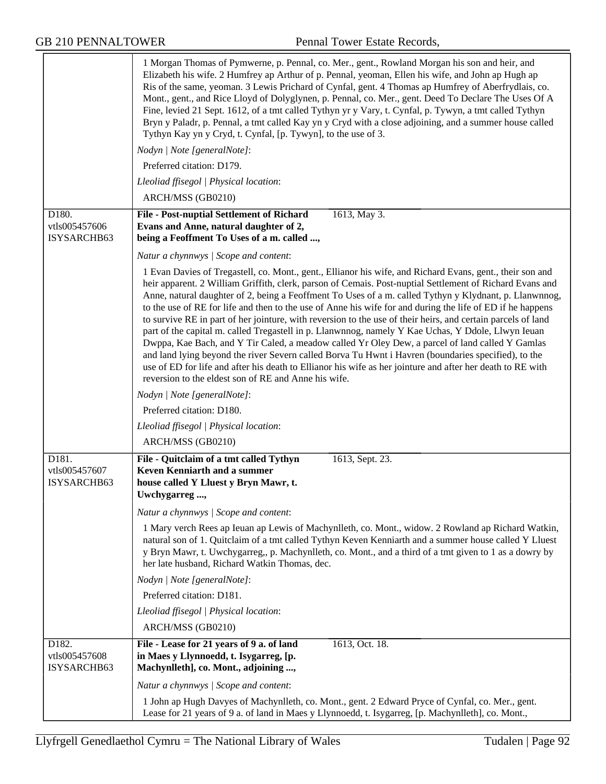|                                                    | 1 Morgan Thomas of Pymwerne, p. Pennal, co. Mer., gent., Rowland Morgan his son and heir, and<br>Elizabeth his wife. 2 Humfrey ap Arthur of p. Pennal, yeoman, Ellen his wife, and John ap Hugh ap<br>Ris of the same, yeoman. 3 Lewis Prichard of Cynfal, gent. 4 Thomas ap Humfrey of Aberfrydlais, co.<br>Mont., gent., and Rice Lloyd of Dolyglynen, p. Pennal, co. Mer., gent. Deed To Declare The Uses Of A<br>Fine, levied 21 Sept. 1612, of a tmt called Tythyn yr y Vary, t. Cynfal, p. Tywyn, a tmt called Tythyn<br>Bryn y Paladr, p. Pennal, a tmt called Kay yn y Cryd with a close adjoining, and a summer house called<br>Tythyn Kay yn y Cryd, t. Cynfal, [p. Tywyn], to the use of 3.                                                                                                                                                                                                                                                                                                                                              |
|----------------------------------------------------|-----------------------------------------------------------------------------------------------------------------------------------------------------------------------------------------------------------------------------------------------------------------------------------------------------------------------------------------------------------------------------------------------------------------------------------------------------------------------------------------------------------------------------------------------------------------------------------------------------------------------------------------------------------------------------------------------------------------------------------------------------------------------------------------------------------------------------------------------------------------------------------------------------------------------------------------------------------------------------------------------------------------------------------------------------|
|                                                    | Nodyn   Note [generalNote]:                                                                                                                                                                                                                                                                                                                                                                                                                                                                                                                                                                                                                                                                                                                                                                                                                                                                                                                                                                                                                         |
|                                                    | Preferred citation: D179.                                                                                                                                                                                                                                                                                                                                                                                                                                                                                                                                                                                                                                                                                                                                                                                                                                                                                                                                                                                                                           |
|                                                    | Lleoliad ffisegol   Physical location:                                                                                                                                                                                                                                                                                                                                                                                                                                                                                                                                                                                                                                                                                                                                                                                                                                                                                                                                                                                                              |
|                                                    | ARCH/MSS (GB0210)                                                                                                                                                                                                                                                                                                                                                                                                                                                                                                                                                                                                                                                                                                                                                                                                                                                                                                                                                                                                                                   |
| D180.                                              | File - Post-nuptial Settlement of Richard<br>1613, May 3.                                                                                                                                                                                                                                                                                                                                                                                                                                                                                                                                                                                                                                                                                                                                                                                                                                                                                                                                                                                           |
| vtls005457606<br>ISYSARCHB63                       | Evans and Anne, natural daughter of 2,<br>being a Feoffment To Uses of a m. called ,                                                                                                                                                                                                                                                                                                                                                                                                                                                                                                                                                                                                                                                                                                                                                                                                                                                                                                                                                                |
|                                                    | Natur a chynnwys   Scope and content:                                                                                                                                                                                                                                                                                                                                                                                                                                                                                                                                                                                                                                                                                                                                                                                                                                                                                                                                                                                                               |
|                                                    | 1 Evan Davies of Tregastell, co. Mont., gent., Ellianor his wife, and Richard Evans, gent., their son and<br>heir apparent. 2 William Griffith, clerk, parson of Cemais. Post-nuptial Settlement of Richard Evans and<br>Anne, natural daughter of 2, being a Feoffment To Uses of a m. called Tythyn y Klydnant, p. Llanwnnog,<br>to the use of RE for life and then to the use of Anne his wife for and during the life of ED if he happens<br>to survive RE in part of her jointure, with reversion to the use of their heirs, and certain parcels of land<br>part of the capital m. called Tregastell in p. Llanwnnog, namely Y Kae Uchas, Y Ddole, Llwyn Ieuan<br>Dwppa, Kae Bach, and Y Tir Caled, a meadow called Yr Oley Dew, a parcel of land called Y Gamlas<br>and land lying beyond the river Severn called Borva Tu Hwnt i Havren (boundaries specified), to the<br>use of ED for life and after his death to Ellianor his wife as her jointure and after her death to RE with<br>reversion to the eldest son of RE and Anne his wife. |
|                                                    | Nodyn   Note [generalNote]:                                                                                                                                                                                                                                                                                                                                                                                                                                                                                                                                                                                                                                                                                                                                                                                                                                                                                                                                                                                                                         |
|                                                    | Preferred citation: D180.                                                                                                                                                                                                                                                                                                                                                                                                                                                                                                                                                                                                                                                                                                                                                                                                                                                                                                                                                                                                                           |
|                                                    | Lleoliad ffisegol   Physical location:                                                                                                                                                                                                                                                                                                                                                                                                                                                                                                                                                                                                                                                                                                                                                                                                                                                                                                                                                                                                              |
|                                                    | ARCH/MSS (GB0210)                                                                                                                                                                                                                                                                                                                                                                                                                                                                                                                                                                                                                                                                                                                                                                                                                                                                                                                                                                                                                                   |
| D <sub>181</sub> .<br>vtls005457607<br>ISYSARCHB63 | File - Quitclaim of a tmt called Tythyn<br>1613, Sept. 23.<br>Keven Kenniarth and a summer<br>house called Y Lluest y Bryn Mawr, t.<br>Uwchygarreg.                                                                                                                                                                                                                                                                                                                                                                                                                                                                                                                                                                                                                                                                                                                                                                                                                                                                                                 |
|                                                    | Natur a chynnwys / Scope and content:                                                                                                                                                                                                                                                                                                                                                                                                                                                                                                                                                                                                                                                                                                                                                                                                                                                                                                                                                                                                               |
|                                                    | 1 Mary verch Rees ap Ieuan ap Lewis of Machynlleth, co. Mont., widow. 2 Rowland ap Richard Watkin,<br>natural son of 1. Quitclaim of a tmt called Tythyn Keven Kenniarth and a summer house called Y Lluest<br>y Bryn Mawr, t. Uwchygarreg,, p. Machynlleth, co. Mont., and a third of a tmt given to 1 as a dowry by<br>her late husband, Richard Watkin Thomas, dec.                                                                                                                                                                                                                                                                                                                                                                                                                                                                                                                                                                                                                                                                              |
|                                                    | Nodyn   Note [generalNote]:                                                                                                                                                                                                                                                                                                                                                                                                                                                                                                                                                                                                                                                                                                                                                                                                                                                                                                                                                                                                                         |
|                                                    | Preferred citation: D181.                                                                                                                                                                                                                                                                                                                                                                                                                                                                                                                                                                                                                                                                                                                                                                                                                                                                                                                                                                                                                           |
|                                                    | Lleoliad ffisegol   Physical location:                                                                                                                                                                                                                                                                                                                                                                                                                                                                                                                                                                                                                                                                                                                                                                                                                                                                                                                                                                                                              |
|                                                    | ARCH/MSS (GB0210)                                                                                                                                                                                                                                                                                                                                                                                                                                                                                                                                                                                                                                                                                                                                                                                                                                                                                                                                                                                                                                   |
| D182.<br>vtls005457608<br>ISYSARCHB63              | File - Lease for 21 years of 9 a. of land<br>1613, Oct. 18.<br>in Maes y Llynnoedd, t. Isygarreg, [p.<br>Machynlleth], co. Mont., adjoining ,                                                                                                                                                                                                                                                                                                                                                                                                                                                                                                                                                                                                                                                                                                                                                                                                                                                                                                       |
|                                                    | Natur a chynnwys / Scope and content:                                                                                                                                                                                                                                                                                                                                                                                                                                                                                                                                                                                                                                                                                                                                                                                                                                                                                                                                                                                                               |
|                                                    | 1 John ap Hugh Davyes of Machynlleth, co. Mont., gent. 2 Edward Pryce of Cynfal, co. Mer., gent.<br>Lease for 21 years of 9 a. of land in Maes y Llynnoedd, t. Isygarreg, [p. Machynlleth], co. Mont.,                                                                                                                                                                                                                                                                                                                                                                                                                                                                                                                                                                                                                                                                                                                                                                                                                                              |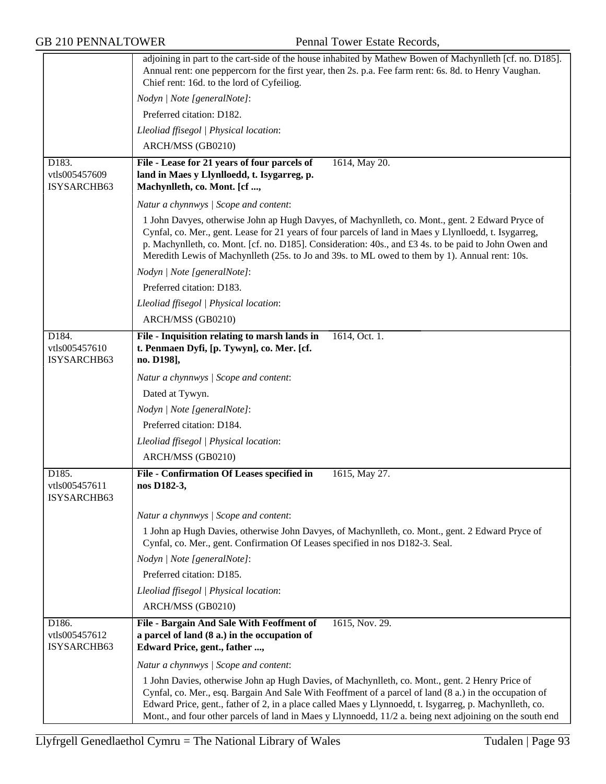|                                       | adjoining in part to the cart-side of the house inhabited by Mathew Bowen of Machynlleth [cf. no. D185].<br>Annual rent: one peppercorn for the first year, then 2s. p.a. Fee farm rent: 6s. 8d. to Henry Vaughan.<br>Chief rent: 16d. to the lord of Cyfeiliog.                                                                                                                                                                 |
|---------------------------------------|----------------------------------------------------------------------------------------------------------------------------------------------------------------------------------------------------------------------------------------------------------------------------------------------------------------------------------------------------------------------------------------------------------------------------------|
|                                       | Nodyn   Note [generalNote]:                                                                                                                                                                                                                                                                                                                                                                                                      |
|                                       | Preferred citation: D182.                                                                                                                                                                                                                                                                                                                                                                                                        |
|                                       | Lleoliad ffisegol   Physical location:                                                                                                                                                                                                                                                                                                                                                                                           |
|                                       | ARCH/MSS (GB0210)                                                                                                                                                                                                                                                                                                                                                                                                                |
| D183.<br>vtls005457609<br>ISYSARCHB63 | File - Lease for 21 years of four parcels of<br>1614, May 20.<br>land in Maes y Llynlloedd, t. Isygarreg, p.<br>Machynlleth, co. Mont. [cf ,                                                                                                                                                                                                                                                                                     |
|                                       | Natur a chynnwys / Scope and content:                                                                                                                                                                                                                                                                                                                                                                                            |
|                                       | 1 John Davyes, otherwise John ap Hugh Davyes, of Machynlleth, co. Mont., gent. 2 Edward Pryce of<br>Cynfal, co. Mer., gent. Lease for 21 years of four parcels of land in Maes y Llynlloedd, t. Isygarreg,<br>p. Machynlleth, co. Mont. [cf. no. D185]. Consideration: 40s., and £3 4s. to be paid to John Owen and<br>Meredith Lewis of Machynlleth (25s. to Jo and 39s. to ML owed to them by 1). Annual rent: 10s.            |
|                                       | Nodyn   Note [generalNote]:                                                                                                                                                                                                                                                                                                                                                                                                      |
|                                       | Preferred citation: D183.                                                                                                                                                                                                                                                                                                                                                                                                        |
|                                       | Lleoliad ffisegol   Physical location:                                                                                                                                                                                                                                                                                                                                                                                           |
|                                       | ARCH/MSS (GB0210)                                                                                                                                                                                                                                                                                                                                                                                                                |
| D184.<br>vtls005457610<br>ISYSARCHB63 | File - Inquisition relating to marsh lands in<br>1614, Oct. 1.<br>t. Penmaen Dyfi, [p. Tywyn], co. Mer. [cf.<br>no. D198],                                                                                                                                                                                                                                                                                                       |
|                                       | Natur a chynnwys / Scope and content:                                                                                                                                                                                                                                                                                                                                                                                            |
|                                       | Dated at Tywyn.                                                                                                                                                                                                                                                                                                                                                                                                                  |
|                                       | Nodyn   Note [generalNote]:                                                                                                                                                                                                                                                                                                                                                                                                      |
|                                       | Preferred citation: D184.                                                                                                                                                                                                                                                                                                                                                                                                        |
|                                       | Lleoliad ffisegol   Physical location:                                                                                                                                                                                                                                                                                                                                                                                           |
|                                       | ARCH/MSS (GB0210)                                                                                                                                                                                                                                                                                                                                                                                                                |
| D185.<br>vtls005457611<br>ISYSARCHB63 | File - Confirmation Of Leases specified in<br>1615, May 27.<br>nos D182-3,                                                                                                                                                                                                                                                                                                                                                       |
|                                       | Natur a chynnwys / Scope and content:                                                                                                                                                                                                                                                                                                                                                                                            |
|                                       | 1 John ap Hugh Davies, otherwise John Davyes, of Machynlleth, co. Mont., gent. 2 Edward Pryce of<br>Cynfal, co. Mer., gent. Confirmation Of Leases specified in nos D182-3. Seal.                                                                                                                                                                                                                                                |
|                                       | Nodyn   Note [generalNote]:                                                                                                                                                                                                                                                                                                                                                                                                      |
|                                       | Preferred citation: D185.                                                                                                                                                                                                                                                                                                                                                                                                        |
|                                       | Lleoliad ffisegol   Physical location:                                                                                                                                                                                                                                                                                                                                                                                           |
|                                       | ARCH/MSS (GB0210)                                                                                                                                                                                                                                                                                                                                                                                                                |
| D186.<br>vtls005457612<br>ISYSARCHB63 | 1615, Nov. 29.<br>File - Bargain And Sale With Feoffment of<br>a parcel of land (8 a.) in the occupation of<br>Edward Price, gent., father ,                                                                                                                                                                                                                                                                                     |
|                                       | Natur a chynnwys / Scope and content:                                                                                                                                                                                                                                                                                                                                                                                            |
|                                       | 1 John Davies, otherwise John ap Hugh Davies, of Machynlleth, co. Mont., gent. 2 Henry Price of<br>Cynfal, co. Mer., esq. Bargain And Sale With Feoffment of a parcel of land (8 a.) in the occupation of<br>Edward Price, gent., father of 2, in a place called Maes y Llynnoedd, t. Isygarreg, p. Machynlleth, co.<br>Mont., and four other parcels of land in Maes y Llynnoedd, 11/2 a. being next adjoining on the south end |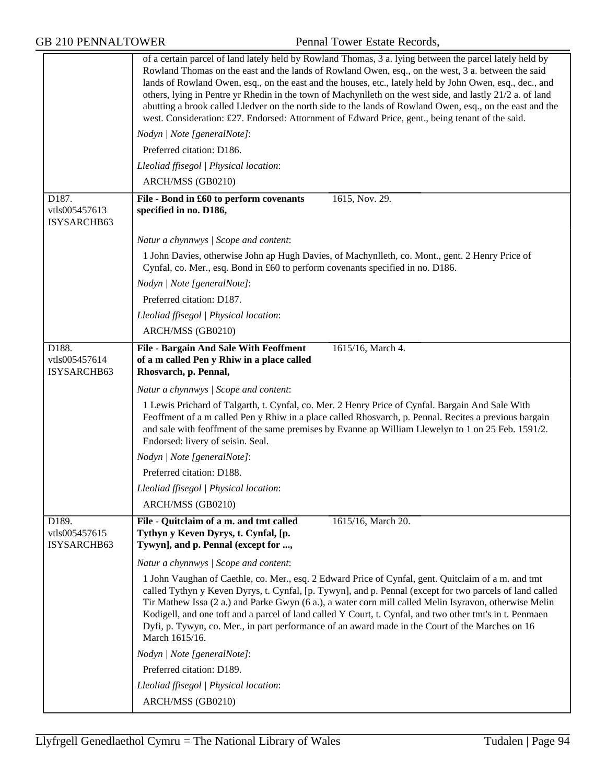|                                       | of a certain parcel of land lately held by Rowland Thomas, 3 a. lying between the parcel lately held by<br>Rowland Thomas on the east and the lands of Rowland Owen, esq., on the west, 3 a. between the said<br>lands of Rowland Owen, esq., on the east and the houses, etc., lately held by John Owen, esq., dec., and<br>others, lying in Pentre yr Rhedin in the town of Machynlleth on the west side, and lastly 21/2 a. of land<br>abutting a brook called Lledver on the north side to the lands of Rowland Owen, esq., on the east and the<br>west. Consideration: £27. Endorsed: Attornment of Edward Price, gent., being tenant of the said. |  |
|---------------------------------------|---------------------------------------------------------------------------------------------------------------------------------------------------------------------------------------------------------------------------------------------------------------------------------------------------------------------------------------------------------------------------------------------------------------------------------------------------------------------------------------------------------------------------------------------------------------------------------------------------------------------------------------------------------|--|
|                                       | Nodyn   Note [generalNote]:                                                                                                                                                                                                                                                                                                                                                                                                                                                                                                                                                                                                                             |  |
|                                       | Preferred citation: D186.                                                                                                                                                                                                                                                                                                                                                                                                                                                                                                                                                                                                                               |  |
|                                       | Lleoliad ffisegol   Physical location:                                                                                                                                                                                                                                                                                                                                                                                                                                                                                                                                                                                                                  |  |
|                                       | ARCH/MSS (GB0210)                                                                                                                                                                                                                                                                                                                                                                                                                                                                                                                                                                                                                                       |  |
| D187.<br>vtls005457613<br>ISYSARCHB63 | File - Bond in £60 to perform covenants<br>1615, Nov. 29.<br>specified in no. D186,                                                                                                                                                                                                                                                                                                                                                                                                                                                                                                                                                                     |  |
|                                       | Natur a chynnwys / Scope and content:                                                                                                                                                                                                                                                                                                                                                                                                                                                                                                                                                                                                                   |  |
|                                       | 1 John Davies, otherwise John ap Hugh Davies, of Machynlleth, co. Mont., gent. 2 Henry Price of<br>Cynfal, co. Mer., esq. Bond in £60 to perform covenants specified in no. D186.                                                                                                                                                                                                                                                                                                                                                                                                                                                                       |  |
|                                       | Nodyn   Note [generalNote]:                                                                                                                                                                                                                                                                                                                                                                                                                                                                                                                                                                                                                             |  |
|                                       | Preferred citation: D187.                                                                                                                                                                                                                                                                                                                                                                                                                                                                                                                                                                                                                               |  |
|                                       | Lleoliad ffisegol   Physical location:                                                                                                                                                                                                                                                                                                                                                                                                                                                                                                                                                                                                                  |  |
|                                       | ARCH/MSS (GB0210)                                                                                                                                                                                                                                                                                                                                                                                                                                                                                                                                                                                                                                       |  |
| D188.<br>vtls005457614<br>ISYSARCHB63 | 1615/16, March 4.<br><b>File - Bargain And Sale With Feoffment</b><br>of a m called Pen y Rhiw in a place called<br>Rhosvarch, p. Pennal,                                                                                                                                                                                                                                                                                                                                                                                                                                                                                                               |  |
|                                       | Natur a chynnwys / Scope and content:                                                                                                                                                                                                                                                                                                                                                                                                                                                                                                                                                                                                                   |  |
|                                       | 1 Lewis Prichard of Talgarth, t. Cynfal, co. Mer. 2 Henry Price of Cynfal. Bargain And Sale With<br>Feoffment of a m called Pen y Rhiw in a place called Rhosvarch, p. Pennal. Recites a previous bargain<br>and sale with feoffment of the same premises by Evanne ap William Llewelyn to 1 on 25 Feb. 1591/2.<br>Endorsed: livery of seisin. Seal.                                                                                                                                                                                                                                                                                                    |  |
|                                       | Nodyn   Note [generalNote]:                                                                                                                                                                                                                                                                                                                                                                                                                                                                                                                                                                                                                             |  |
|                                       | Preferred citation: D188.                                                                                                                                                                                                                                                                                                                                                                                                                                                                                                                                                                                                                               |  |
|                                       | Lleoliad ffisegol   Physical location:                                                                                                                                                                                                                                                                                                                                                                                                                                                                                                                                                                                                                  |  |
|                                       | ARCH/MSS (GB0210)                                                                                                                                                                                                                                                                                                                                                                                                                                                                                                                                                                                                                                       |  |
| D189.<br>vtls005457615<br>ISYSARCHB63 | File - Quitclaim of a m. and tmt called<br>1615/16, March 20.<br>Tythyn y Keven Dyrys, t. Cynfal, [p.<br>Tywyn], and p. Pennal (except for ,                                                                                                                                                                                                                                                                                                                                                                                                                                                                                                            |  |
|                                       | Natur a chynnwys / Scope and content:                                                                                                                                                                                                                                                                                                                                                                                                                                                                                                                                                                                                                   |  |
|                                       | 1 John Vaughan of Caethle, co. Mer., esq. 2 Edward Price of Cynfal, gent. Quitclaim of a m. and tmt<br>called Tythyn y Keven Dyrys, t. Cynfal, [p. Tywyn], and p. Pennal (except for two parcels of land called<br>Tir Mathew Issa (2 a.) and Parke Gwyn (6 a.), a water corn mill called Melin Isyravon, otherwise Melin<br>Kodigell, and one toft and a parcel of land called Y Court, t. Cynfal, and two other tmt's in t. Penmaen<br>Dyfi, p. Tywyn, co. Mer., in part performance of an award made in the Court of the Marches on 16<br>March 1615/16.                                                                                             |  |
|                                       | Nodyn   Note [generalNote]:                                                                                                                                                                                                                                                                                                                                                                                                                                                                                                                                                                                                                             |  |
|                                       | Preferred citation: D189.                                                                                                                                                                                                                                                                                                                                                                                                                                                                                                                                                                                                                               |  |
|                                       | Lleoliad ffisegol   Physical location:                                                                                                                                                                                                                                                                                                                                                                                                                                                                                                                                                                                                                  |  |
|                                       | ARCH/MSS (GB0210)                                                                                                                                                                                                                                                                                                                                                                                                                                                                                                                                                                                                                                       |  |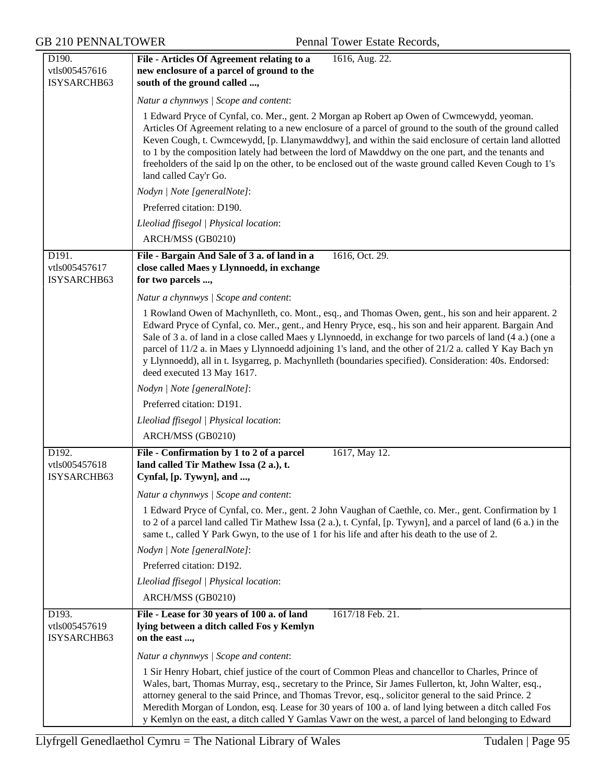| D190.                                 | File - Articles Of Agreement relating to a<br>1616, Aug. 22.                                                                                                                                                                                                                                                                                                                                                                                                                                                                                                                     |
|---------------------------------------|----------------------------------------------------------------------------------------------------------------------------------------------------------------------------------------------------------------------------------------------------------------------------------------------------------------------------------------------------------------------------------------------------------------------------------------------------------------------------------------------------------------------------------------------------------------------------------|
| vtls005457616                         | new enclosure of a parcel of ground to the                                                                                                                                                                                                                                                                                                                                                                                                                                                                                                                                       |
| ISYSARCHB63                           | south of the ground called ,                                                                                                                                                                                                                                                                                                                                                                                                                                                                                                                                                     |
|                                       | Natur a chynnwys / Scope and content:                                                                                                                                                                                                                                                                                                                                                                                                                                                                                                                                            |
|                                       | 1 Edward Pryce of Cynfal, co. Mer., gent. 2 Morgan ap Robert ap Owen of Cwmcewydd, yeoman.<br>Articles Of Agreement relating to a new enclosure of a parcel of ground to the south of the ground called<br>Keven Cough, t. Cwmcewydd, [p. Llanymawddwy], and within the said enclosure of certain land allotted<br>to 1 by the composition lately had between the lord of Mawddwy on the one part, and the tenants and<br>freeholders of the said lp on the other, to be enclosed out of the waste ground called Keven Cough to 1's<br>land called Cay'r Go.                     |
|                                       | Nodyn   Note [generalNote]:                                                                                                                                                                                                                                                                                                                                                                                                                                                                                                                                                      |
|                                       | Preferred citation: D190.                                                                                                                                                                                                                                                                                                                                                                                                                                                                                                                                                        |
|                                       | Lleoliad ffisegol   Physical location:                                                                                                                                                                                                                                                                                                                                                                                                                                                                                                                                           |
|                                       | ARCH/MSS (GB0210)                                                                                                                                                                                                                                                                                                                                                                                                                                                                                                                                                                |
| D191.<br>vtls005457617<br>ISYSARCHB63 | File - Bargain And Sale of 3 a. of land in a<br>1616, Oct. 29.<br>close called Maes y Llynnoedd, in exchange<br>for two parcels ,                                                                                                                                                                                                                                                                                                                                                                                                                                                |
|                                       | Natur a chynnwys / Scope and content:                                                                                                                                                                                                                                                                                                                                                                                                                                                                                                                                            |
|                                       | 1 Rowland Owen of Machynlleth, co. Mont., esq., and Thomas Owen, gent., his son and heir apparent. 2<br>Edward Pryce of Cynfal, co. Mer., gent., and Henry Pryce, esq., his son and heir apparent. Bargain And<br>Sale of 3 a. of land in a close called Maes y Llynnoedd, in exchange for two parcels of land (4 a.) (one a<br>parcel of 11/2 a. in Maes y Llynnoedd adjoining 1's land, and the other of 21/2 a. called Y Kay Bach yn<br>y Llynnoedd), all in t. Isygarreg, p. Machynlleth (boundaries specified). Consideration: 40s. Endorsed:<br>deed executed 13 May 1617. |
|                                       | Nodyn   Note [generalNote]:                                                                                                                                                                                                                                                                                                                                                                                                                                                                                                                                                      |
|                                       | Preferred citation: D191.                                                                                                                                                                                                                                                                                                                                                                                                                                                                                                                                                        |
|                                       | Lleoliad ffisegol   Physical location:                                                                                                                                                                                                                                                                                                                                                                                                                                                                                                                                           |
|                                       | ARCH/MSS (GB0210)                                                                                                                                                                                                                                                                                                                                                                                                                                                                                                                                                                |
| D192.<br>vtls005457618<br>ISYSARCHB63 | File - Confirmation by 1 to 2 of a parcel<br>1617, May 12.<br>land called Tir Mathew Issa (2 a.), t.<br>Cynfal, [p. Tywyn], and ,                                                                                                                                                                                                                                                                                                                                                                                                                                                |
|                                       | Natur a chynnwys   Scope and content:                                                                                                                                                                                                                                                                                                                                                                                                                                                                                                                                            |
|                                       | 1 Edward Pryce of Cynfal, co. Mer., gent. 2 John Vaughan of Caethle, co. Mer., gent. Confirmation by 1<br>to 2 of a parcel land called Tir Mathew Issa (2 a.), t. Cynfal, [p. Tywyn], and a parcel of land (6 a.) in the<br>same t., called Y Park Gwyn, to the use of 1 for his life and after his death to the use of 2.                                                                                                                                                                                                                                                       |
|                                       | Nodyn   Note [generalNote]:                                                                                                                                                                                                                                                                                                                                                                                                                                                                                                                                                      |
|                                       | Preferred citation: D192.                                                                                                                                                                                                                                                                                                                                                                                                                                                                                                                                                        |
|                                       | Lleoliad ffisegol   Physical location:                                                                                                                                                                                                                                                                                                                                                                                                                                                                                                                                           |
|                                       | ARCH/MSS (GB0210)                                                                                                                                                                                                                                                                                                                                                                                                                                                                                                                                                                |
| D193.<br>vtls005457619<br>ISYSARCHB63 | File - Lease for 30 years of 100 a. of land<br>1617/18 Feb. 21.<br>lying between a ditch called Fos y Kemlyn<br>on the east ,                                                                                                                                                                                                                                                                                                                                                                                                                                                    |
|                                       | Natur a chynnwys / Scope and content:                                                                                                                                                                                                                                                                                                                                                                                                                                                                                                                                            |
|                                       | 1 Sir Henry Hobart, chief justice of the court of Common Pleas and chancellor to Charles, Prince of<br>Wales, bart, Thomas Murray, esq., secretary to the Prince, Sir James Fullerton, kt, John Walter, esq.,<br>attorney general to the said Prince, and Thomas Trevor, esq., solicitor general to the said Prince. 2<br>Meredith Morgan of London, esq. Lease for 30 years of 100 a. of land lying between a ditch called Fos<br>y Kemlyn on the east, a ditch called Y Gamlas Vawr on the west, a parcel of land belonging to Edward                                          |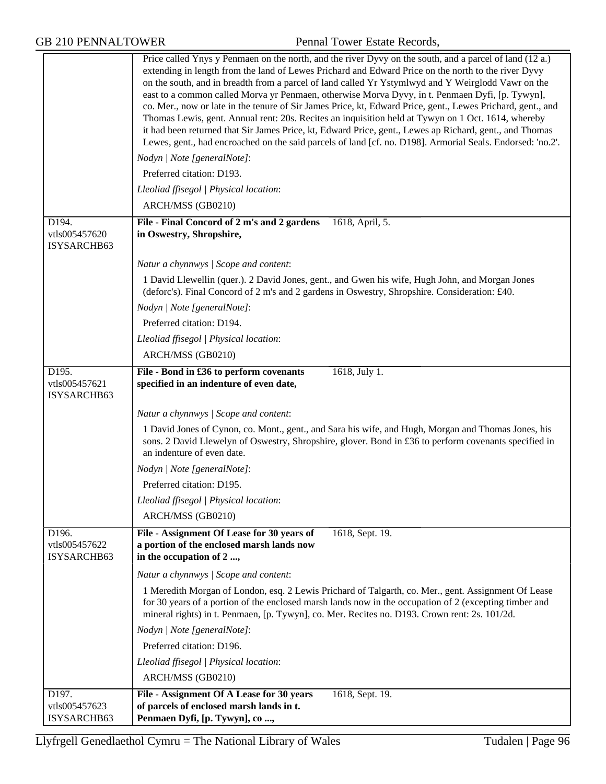| <b>GB 210 PENNALTOWER</b>             | Pennal Tower Estate Records,                                                                                                                                                                                                                                                                                                                                                                                                                                                                                                                                                                                                                                                                                                                                                                                                                                          |
|---------------------------------------|-----------------------------------------------------------------------------------------------------------------------------------------------------------------------------------------------------------------------------------------------------------------------------------------------------------------------------------------------------------------------------------------------------------------------------------------------------------------------------------------------------------------------------------------------------------------------------------------------------------------------------------------------------------------------------------------------------------------------------------------------------------------------------------------------------------------------------------------------------------------------|
|                                       | Price called Ynys y Penmaen on the north, and the river Dyvy on the south, and a parcel of land (12 a.)<br>extending in length from the land of Lewes Prichard and Edward Price on the north to the river Dyvy<br>on the south, and in breadth from a parcel of land called Yr Ystymlwyd and Y Weirglodd Vawr on the<br>east to a common called Morva yr Penmaen, otherwise Morva Dyvy, in t. Penmaen Dyfi, [p. Tywyn],<br>co. Mer., now or late in the tenure of Sir James Price, kt, Edward Price, gent., Lewes Prichard, gent., and<br>Thomas Lewis, gent. Annual rent: 20s. Recites an inquisition held at Tywyn on 1 Oct. 1614, whereby<br>it had been returned that Sir James Price, kt, Edward Price, gent., Lewes ap Richard, gent., and Thomas<br>Lewes, gent., had encroached on the said parcels of land [cf. no. D198]. Armorial Seals. Endorsed: 'no.2'. |
|                                       | Nodyn   Note [generalNote]:<br>Preferred citation: D193.                                                                                                                                                                                                                                                                                                                                                                                                                                                                                                                                                                                                                                                                                                                                                                                                              |
|                                       | Lleoliad ffisegol   Physical location:                                                                                                                                                                                                                                                                                                                                                                                                                                                                                                                                                                                                                                                                                                                                                                                                                                |
|                                       | ARCH/MSS (GB0210)                                                                                                                                                                                                                                                                                                                                                                                                                                                                                                                                                                                                                                                                                                                                                                                                                                                     |
| D194.<br>vtls005457620<br>ISYSARCHB63 | File - Final Concord of 2 m's and 2 gardens<br>1618, April, 5.<br>in Oswestry, Shropshire,                                                                                                                                                                                                                                                                                                                                                                                                                                                                                                                                                                                                                                                                                                                                                                            |
|                                       | Natur a chynnwys / Scope and content:                                                                                                                                                                                                                                                                                                                                                                                                                                                                                                                                                                                                                                                                                                                                                                                                                                 |
|                                       | 1 David Llewellin (quer.). 2 David Jones, gent., and Gwen his wife, Hugh John, and Morgan Jones<br>(deforc's). Final Concord of 2 m's and 2 gardens in Oswestry, Shropshire. Consideration: £40.                                                                                                                                                                                                                                                                                                                                                                                                                                                                                                                                                                                                                                                                      |
|                                       | Nodyn   Note [generalNote]:                                                                                                                                                                                                                                                                                                                                                                                                                                                                                                                                                                                                                                                                                                                                                                                                                                           |
|                                       | Preferred citation: D194.                                                                                                                                                                                                                                                                                                                                                                                                                                                                                                                                                                                                                                                                                                                                                                                                                                             |
|                                       | Lleoliad ffisegol   Physical location:                                                                                                                                                                                                                                                                                                                                                                                                                                                                                                                                                                                                                                                                                                                                                                                                                                |
|                                       | ARCH/MSS (GB0210)                                                                                                                                                                                                                                                                                                                                                                                                                                                                                                                                                                                                                                                                                                                                                                                                                                                     |
| D195.<br>vtls005457621<br>ISYSARCHB63 | File - Bond in £36 to perform covenants<br>1618, July 1.<br>specified in an indenture of even date,                                                                                                                                                                                                                                                                                                                                                                                                                                                                                                                                                                                                                                                                                                                                                                   |
|                                       | Natur a chynnwys / Scope and content:                                                                                                                                                                                                                                                                                                                                                                                                                                                                                                                                                                                                                                                                                                                                                                                                                                 |
|                                       | 1 David Jones of Cynon, co. Mont., gent., and Sara his wife, and Hugh, Morgan and Thomas Jones, his<br>sons. 2 David Llewelyn of Oswestry, Shropshire, glover. Bond in £36 to perform covenants specified in<br>an indenture of even date.                                                                                                                                                                                                                                                                                                                                                                                                                                                                                                                                                                                                                            |
|                                       | Nodyn   Note [generalNote]:                                                                                                                                                                                                                                                                                                                                                                                                                                                                                                                                                                                                                                                                                                                                                                                                                                           |
|                                       | Preferred citation: D195.                                                                                                                                                                                                                                                                                                                                                                                                                                                                                                                                                                                                                                                                                                                                                                                                                                             |
|                                       | Lleoliad ffisegol   Physical location:                                                                                                                                                                                                                                                                                                                                                                                                                                                                                                                                                                                                                                                                                                                                                                                                                                |
|                                       | ARCH/MSS (GB0210)                                                                                                                                                                                                                                                                                                                                                                                                                                                                                                                                                                                                                                                                                                                                                                                                                                                     |
| D196.<br>vtls005457622<br>ISYSARCHB63 | File - Assignment Of Lease for 30 years of<br>1618, Sept. 19.<br>a portion of the enclosed marsh lands now<br>in the occupation of 2 ,                                                                                                                                                                                                                                                                                                                                                                                                                                                                                                                                                                                                                                                                                                                                |
|                                       | Natur a chynnwys / Scope and content:                                                                                                                                                                                                                                                                                                                                                                                                                                                                                                                                                                                                                                                                                                                                                                                                                                 |
|                                       | 1 Meredith Morgan of London, esq. 2 Lewis Prichard of Talgarth, co. Mer., gent. Assignment Of Lease<br>for 30 years of a portion of the enclosed marsh lands now in the occupation of 2 (excepting timber and<br>mineral rights) in t. Penmaen, [p. Tywyn], co. Mer. Recites no. D193. Crown rent: 2s. 101/2d.<br>Nodyn   Note [generalNote]:                                                                                                                                                                                                                                                                                                                                                                                                                                                                                                                         |
|                                       | Preferred citation: D196.                                                                                                                                                                                                                                                                                                                                                                                                                                                                                                                                                                                                                                                                                                                                                                                                                                             |
|                                       | Lleoliad ffisegol   Physical location:                                                                                                                                                                                                                                                                                                                                                                                                                                                                                                                                                                                                                                                                                                                                                                                                                                |
|                                       | ARCH/MSS (GB0210)                                                                                                                                                                                                                                                                                                                                                                                                                                                                                                                                                                                                                                                                                                                                                                                                                                                     |
| D197.                                 | 1618, Sept. 19.<br>File - Assignment Of A Lease for 30 years                                                                                                                                                                                                                                                                                                                                                                                                                                                                                                                                                                                                                                                                                                                                                                                                          |
| vtls005457623<br>ISYSARCHB63          | of parcels of enclosed marsh lands in t.<br>Penmaen Dyfi, [p. Tywyn], co,                                                                                                                                                                                                                                                                                                                                                                                                                                                                                                                                                                                                                                                                                                                                                                                             |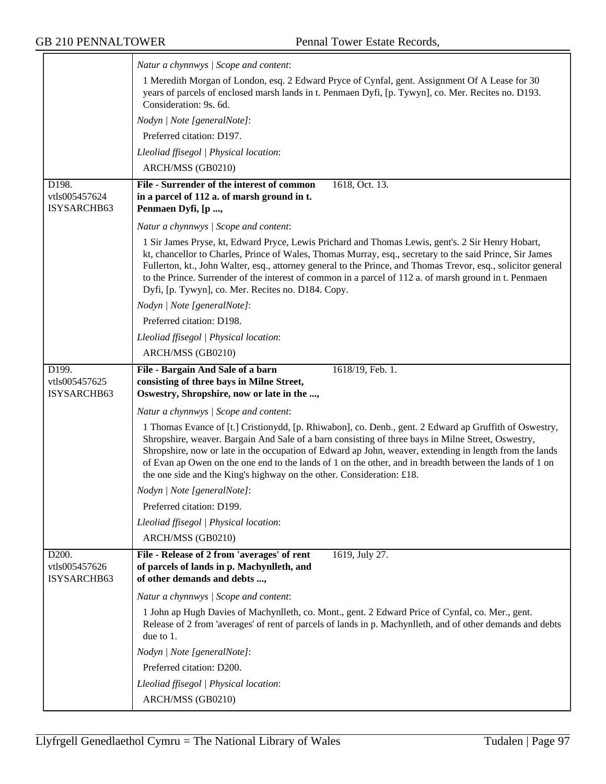|                              | Natur a chynnwys / Scope and content:                                                                                                                                                                                                                                                                                                                                                             |
|------------------------------|---------------------------------------------------------------------------------------------------------------------------------------------------------------------------------------------------------------------------------------------------------------------------------------------------------------------------------------------------------------------------------------------------|
|                              | 1 Meredith Morgan of London, esq. 2 Edward Pryce of Cynfal, gent. Assignment Of A Lease for 30                                                                                                                                                                                                                                                                                                    |
|                              | years of parcels of enclosed marsh lands in t. Penmaen Dyfi, [p. Tywyn], co. Mer. Recites no. D193.<br>Consideration: 9s. 6d.                                                                                                                                                                                                                                                                     |
|                              | Nodyn   Note [generalNote]:                                                                                                                                                                                                                                                                                                                                                                       |
|                              |                                                                                                                                                                                                                                                                                                                                                                                                   |
|                              | Preferred citation: D197.                                                                                                                                                                                                                                                                                                                                                                         |
|                              | Lleoliad ffisegol   Physical location:                                                                                                                                                                                                                                                                                                                                                            |
|                              | ARCH/MSS (GB0210)                                                                                                                                                                                                                                                                                                                                                                                 |
| D198.<br>vtls005457624       | File - Surrender of the interest of common<br>1618, Oct. 13.<br>in a parcel of 112 a. of marsh ground in t.                                                                                                                                                                                                                                                                                       |
| ISYSARCHB63                  | Penmaen Dyfi, [p ,                                                                                                                                                                                                                                                                                                                                                                                |
|                              | Natur a chynnwys   Scope and content:                                                                                                                                                                                                                                                                                                                                                             |
|                              | 1 Sir James Pryse, kt, Edward Pryce, Lewis Prichard and Thomas Lewis, gent's. 2 Sir Henry Hobart,<br>kt, chancellor to Charles, Prince of Wales, Thomas Murray, esq., secretary to the said Prince, Sir James                                                                                                                                                                                     |
|                              | Fullerton, kt., John Walter, esq., attorney general to the Prince, and Thomas Trevor, esq., solicitor general<br>to the Prince. Surrender of the interest of common in a parcel of 112 a. of marsh ground in t. Penmaen                                                                                                                                                                           |
|                              | Dyfi, [p. Tywyn], co. Mer. Recites no. D184. Copy.                                                                                                                                                                                                                                                                                                                                                |
|                              | Nodyn   Note [generalNote]:                                                                                                                                                                                                                                                                                                                                                                       |
|                              | Preferred citation: D198.                                                                                                                                                                                                                                                                                                                                                                         |
|                              | Lleoliad ffisegol   Physical location:                                                                                                                                                                                                                                                                                                                                                            |
|                              | ARCH/MSS (GB0210)                                                                                                                                                                                                                                                                                                                                                                                 |
| D199.<br>vtls005457625       | 1618/19, Feb. 1.<br>File - Bargain And Sale of a barn<br>consisting of three bays in Milne Street,                                                                                                                                                                                                                                                                                                |
| ISYSARCHB63                  | Oswestry, Shropshire, now or late in the ,                                                                                                                                                                                                                                                                                                                                                        |
|                              | Natur a chynnwys / Scope and content:                                                                                                                                                                                                                                                                                                                                                             |
|                              | 1 Thomas Evance of [t.] Cristionydd, [p. Rhiwabon], co. Denb., gent. 2 Edward ap Gruffith of Oswestry,                                                                                                                                                                                                                                                                                            |
|                              | Shropshire, weaver. Bargain And Sale of a barn consisting of three bays in Milne Street, Oswestry,<br>Shropshire, now or late in the occupation of Edward ap John, weaver, extending in length from the lands<br>of Evan ap Owen on the one end to the lands of 1 on the other, and in breadth between the lands of 1 on<br>the one side and the King's highway on the other. Consideration: £18. |
|                              | Nodyn   Note [generalNote]:                                                                                                                                                                                                                                                                                                                                                                       |
|                              | Preferred citation: D199.                                                                                                                                                                                                                                                                                                                                                                         |
|                              | Lleoliad ffisegol   Physical location:                                                                                                                                                                                                                                                                                                                                                            |
|                              | ARCH/MSS (GB0210)                                                                                                                                                                                                                                                                                                                                                                                 |
| D200.                        | File - Release of 2 from 'averages' of rent<br>1619, July 27.                                                                                                                                                                                                                                                                                                                                     |
| vtls005457626<br>ISYSARCHB63 | of parcels of lands in p. Machynlleth, and<br>of other demands and debts ,                                                                                                                                                                                                                                                                                                                        |
|                              | Natur a chynnwys / Scope and content:                                                                                                                                                                                                                                                                                                                                                             |
|                              | 1 John ap Hugh Davies of Machynlleth, co. Mont., gent. 2 Edward Price of Cynfal, co. Mer., gent.<br>Release of 2 from 'averages' of rent of parcels of lands in p. Machynlleth, and of other demands and debts<br>due to 1.                                                                                                                                                                       |
|                              | Nodyn   Note [generalNote]:                                                                                                                                                                                                                                                                                                                                                                       |
|                              | Preferred citation: D200.                                                                                                                                                                                                                                                                                                                                                                         |
|                              | Lleoliad ffisegol   Physical location:                                                                                                                                                                                                                                                                                                                                                            |
|                              | ARCH/MSS (GB0210)                                                                                                                                                                                                                                                                                                                                                                                 |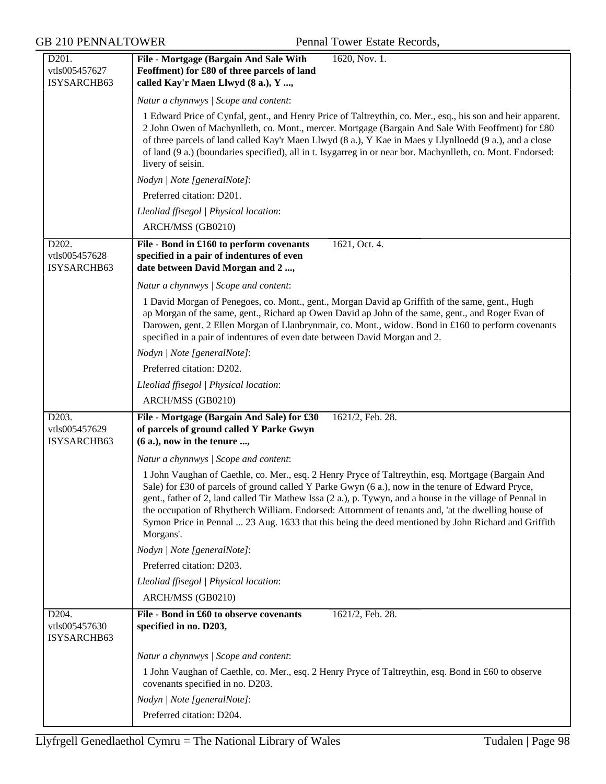GB 210 PENNALTOWER Pennal Tower Estate Records,

| D201.<br>vtls005457627<br>ISYSARCHB63              | File - Mortgage (Bargain And Sale With<br>1620, Nov. 1.<br>Feoffment) for £80 of three parcels of land<br>called Kay'r Maen Llwyd (8 a.), Y ,                                                                                                                                                                                                                                                                                                                                                                                                   |
|----------------------------------------------------|-------------------------------------------------------------------------------------------------------------------------------------------------------------------------------------------------------------------------------------------------------------------------------------------------------------------------------------------------------------------------------------------------------------------------------------------------------------------------------------------------------------------------------------------------|
|                                                    | Natur a chynnwys / Scope and content:                                                                                                                                                                                                                                                                                                                                                                                                                                                                                                           |
|                                                    | 1 Edward Price of Cynfal, gent., and Henry Price of Taltreythin, co. Mer., esq., his son and heir apparent.<br>2 John Owen of Machynlleth, co. Mont., mercer. Mortgage (Bargain And Sale With Feoffment) for £80<br>of three parcels of land called Kay'r Maen Llwyd (8 a.), Y Kae in Maes y Llynlloedd (9 a.), and a close<br>of land (9 a.) (boundaries specified), all in t. Isygarreg in or near bor. Machynlleth, co. Mont. Endorsed:<br>livery of seisin.                                                                                 |
|                                                    | Nodyn   Note [generalNote]:                                                                                                                                                                                                                                                                                                                                                                                                                                                                                                                     |
|                                                    | Preferred citation: D201.                                                                                                                                                                                                                                                                                                                                                                                                                                                                                                                       |
|                                                    | Lleoliad ffisegol   Physical location:                                                                                                                                                                                                                                                                                                                                                                                                                                                                                                          |
|                                                    | ARCH/MSS (GB0210)                                                                                                                                                                                                                                                                                                                                                                                                                                                                                                                               |
| D <sub>202</sub> .<br>vtls005457628<br>ISYSARCHB63 | 1621, Oct. 4.<br>File - Bond in £160 to perform covenants<br>specified in a pair of indentures of even<br>date between David Morgan and 2 ,                                                                                                                                                                                                                                                                                                                                                                                                     |
|                                                    | Natur a chynnwys / Scope and content:                                                                                                                                                                                                                                                                                                                                                                                                                                                                                                           |
|                                                    | 1 David Morgan of Penegoes, co. Mont., gent., Morgan David ap Griffith of the same, gent., Hugh<br>ap Morgan of the same, gent., Richard ap Owen David ap John of the same, gent., and Roger Evan of<br>Darowen, gent. 2 Ellen Morgan of Llanbrynmair, co. Mont., widow. Bond in £160 to perform covenants<br>specified in a pair of indentures of even date between David Morgan and 2.                                                                                                                                                        |
|                                                    | Nodyn   Note [generalNote]:                                                                                                                                                                                                                                                                                                                                                                                                                                                                                                                     |
|                                                    | Preferred citation: D202.                                                                                                                                                                                                                                                                                                                                                                                                                                                                                                                       |
|                                                    | Lleoliad ffisegol   Physical location:                                                                                                                                                                                                                                                                                                                                                                                                                                                                                                          |
|                                                    | ARCH/MSS (GB0210)                                                                                                                                                                                                                                                                                                                                                                                                                                                                                                                               |
| D203.<br>vtls005457629<br>ISYSARCHB63              | File - Mortgage (Bargain And Sale) for £30<br>1621/2, Feb. 28.<br>of parcels of ground called Y Parke Gwyn<br>$(6 a.)$ , now in the tenure ,                                                                                                                                                                                                                                                                                                                                                                                                    |
|                                                    | Natur a chynnwys / Scope and content:                                                                                                                                                                                                                                                                                                                                                                                                                                                                                                           |
|                                                    | 1 John Vaughan of Caethle, co. Mer., esq. 2 Henry Pryce of Taltreythin, esq. Mortgage (Bargain And<br>Sale) for £30 of parcels of ground called Y Parke Gwyn (6 a.), now in the tenure of Edward Pryce,<br>gent., father of 2, land called Tir Mathew Issa (2 a.), p. Tywyn, and a house in the village of Pennal in<br>the occupation of Rhytherch William. Endorsed: Attornment of tenants and, 'at the dwelling house of<br>Symon Price in Pennal  23 Aug. 1633 that this being the deed mentioned by John Richard and Griffith<br>Morgans'. |
|                                                    | Nodyn   Note [generalNote]:                                                                                                                                                                                                                                                                                                                                                                                                                                                                                                                     |
|                                                    | Preferred citation: D203.                                                                                                                                                                                                                                                                                                                                                                                                                                                                                                                       |
|                                                    | Lleoliad ffisegol   Physical location:                                                                                                                                                                                                                                                                                                                                                                                                                                                                                                          |
|                                                    | ARCH/MSS (GB0210)                                                                                                                                                                                                                                                                                                                                                                                                                                                                                                                               |
| D204.<br>vtls005457630<br>ISYSARCHB63              | File - Bond in £60 to observe covenants<br>1621/2, Feb. 28.<br>specified in no. D203,                                                                                                                                                                                                                                                                                                                                                                                                                                                           |
|                                                    | Natur a chynnwys / Scope and content:                                                                                                                                                                                                                                                                                                                                                                                                                                                                                                           |
|                                                    | 1 John Vaughan of Caethle, co. Mer., esq. 2 Henry Pryce of Taltreythin, esq. Bond in £60 to observe<br>covenants specified in no. D203.                                                                                                                                                                                                                                                                                                                                                                                                         |
|                                                    | Nodyn   Note [generalNote]:                                                                                                                                                                                                                                                                                                                                                                                                                                                                                                                     |
|                                                    | Preferred citation: D204.                                                                                                                                                                                                                                                                                                                                                                                                                                                                                                                       |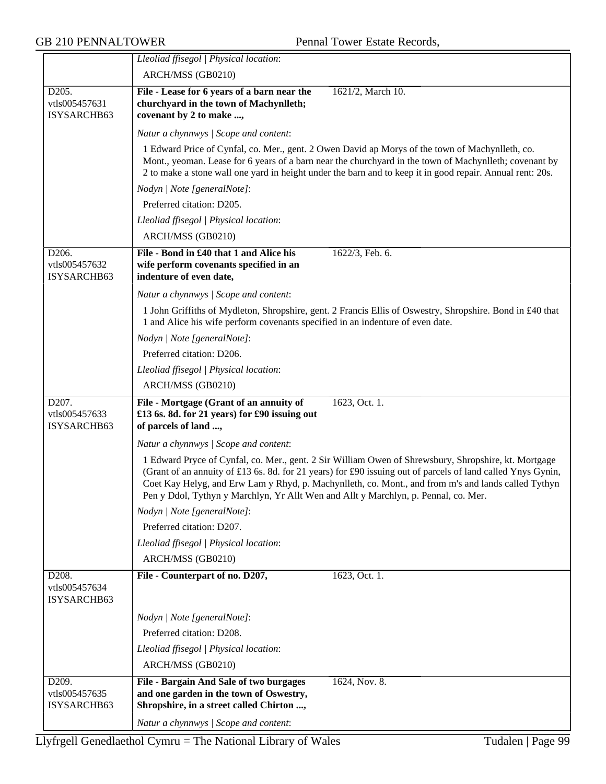|                                       | Lleoliad ffisegol   Physical location:                                                                                                                                                                                                                                                                                                                                                                            |
|---------------------------------------|-------------------------------------------------------------------------------------------------------------------------------------------------------------------------------------------------------------------------------------------------------------------------------------------------------------------------------------------------------------------------------------------------------------------|
|                                       | ARCH/MSS (GB0210)                                                                                                                                                                                                                                                                                                                                                                                                 |
| D205.<br>vtls005457631<br>ISYSARCHB63 | File - Lease for 6 years of a barn near the<br>1621/2, March 10.<br>churchyard in the town of Machynlleth;<br>covenant by 2 to make ,                                                                                                                                                                                                                                                                             |
|                                       | Natur a chynnwys / Scope and content:                                                                                                                                                                                                                                                                                                                                                                             |
|                                       | 1 Edward Price of Cynfal, co. Mer., gent. 2 Owen David ap Morys of the town of Machynlleth, co.<br>Mont., yeoman. Lease for 6 years of a barn near the churchyard in the town of Machynlleth; covenant by<br>2 to make a stone wall one yard in height under the barn and to keep it in good repair. Annual rent: 20s.                                                                                            |
|                                       | Nodyn   Note [generalNote]:                                                                                                                                                                                                                                                                                                                                                                                       |
|                                       | Preferred citation: D205.                                                                                                                                                                                                                                                                                                                                                                                         |
|                                       | Lleoliad ffisegol   Physical location:                                                                                                                                                                                                                                                                                                                                                                            |
|                                       | ARCH/MSS (GB0210)                                                                                                                                                                                                                                                                                                                                                                                                 |
| D206.                                 | File - Bond in £40 that 1 and Alice his<br>1622/3, Feb. 6.                                                                                                                                                                                                                                                                                                                                                        |
| vtls005457632<br>ISYSARCHB63          | wife perform covenants specified in an<br>indenture of even date,                                                                                                                                                                                                                                                                                                                                                 |
|                                       |                                                                                                                                                                                                                                                                                                                                                                                                                   |
|                                       | Natur a chynnwys / Scope and content:                                                                                                                                                                                                                                                                                                                                                                             |
|                                       | 1 John Griffiths of Mydleton, Shropshire, gent. 2 Francis Ellis of Oswestry, Shropshire. Bond in £40 that<br>1 and Alice his wife perform covenants specified in an indenture of even date.                                                                                                                                                                                                                       |
|                                       | Nodyn   Note [generalNote]:                                                                                                                                                                                                                                                                                                                                                                                       |
|                                       | Preferred citation: D206.                                                                                                                                                                                                                                                                                                                                                                                         |
|                                       | Lleoliad ffisegol   Physical location:                                                                                                                                                                                                                                                                                                                                                                            |
|                                       | ARCH/MSS (GB0210)                                                                                                                                                                                                                                                                                                                                                                                                 |
| D207.                                 | File - Mortgage (Grant of an annuity of<br>1623, Oct. 1.                                                                                                                                                                                                                                                                                                                                                          |
| vtls005457633<br>ISYSARCHB63          | £13 6s. 8d. for 21 years) for £90 issuing out<br>of parcels of land ,                                                                                                                                                                                                                                                                                                                                             |
|                                       | Natur a chynnwys / Scope and content:                                                                                                                                                                                                                                                                                                                                                                             |
|                                       | 1 Edward Pryce of Cynfal, co. Mer., gent. 2 Sir William Owen of Shrewsbury, Shropshire, kt. Mortgage<br>(Grant of an annuity of £13 6s. 8d. for 21 years) for £90 issuing out of parcels of land called Ynys Gynin,<br>Coet Kay Helyg, and Erw Lam y Rhyd, p. Machynlleth, co. Mont., and from m's and lands called Tythyn<br>Pen y Ddol, Tythyn y Marchlyn, Yr Allt Wen and Allt y Marchlyn, p. Pennal, co. Mer. |
|                                       | Nodyn   Note [generalNote]:                                                                                                                                                                                                                                                                                                                                                                                       |
|                                       | Preferred citation: D207.                                                                                                                                                                                                                                                                                                                                                                                         |
|                                       | Lleoliad ffisegol   Physical location:                                                                                                                                                                                                                                                                                                                                                                            |
|                                       | ARCH/MSS (GB0210)                                                                                                                                                                                                                                                                                                                                                                                                 |
| D208.<br>vtls005457634                | File - Counterpart of no. D207,<br>1623, Oct. 1.                                                                                                                                                                                                                                                                                                                                                                  |
| ISYSARCHB63                           |                                                                                                                                                                                                                                                                                                                                                                                                                   |
|                                       | Nodyn   Note [generalNote]:                                                                                                                                                                                                                                                                                                                                                                                       |
|                                       | Preferred citation: D208.                                                                                                                                                                                                                                                                                                                                                                                         |
|                                       | Lleoliad ffisegol   Physical location:                                                                                                                                                                                                                                                                                                                                                                            |
|                                       | ARCH/MSS (GB0210)                                                                                                                                                                                                                                                                                                                                                                                                 |
| D209.<br>vtls005457635<br>ISYSARCHB63 | File - Bargain And Sale of two burgages<br>1624, Nov. 8.<br>and one garden in the town of Oswestry,<br>Shropshire, in a street called Chirton ,                                                                                                                                                                                                                                                                   |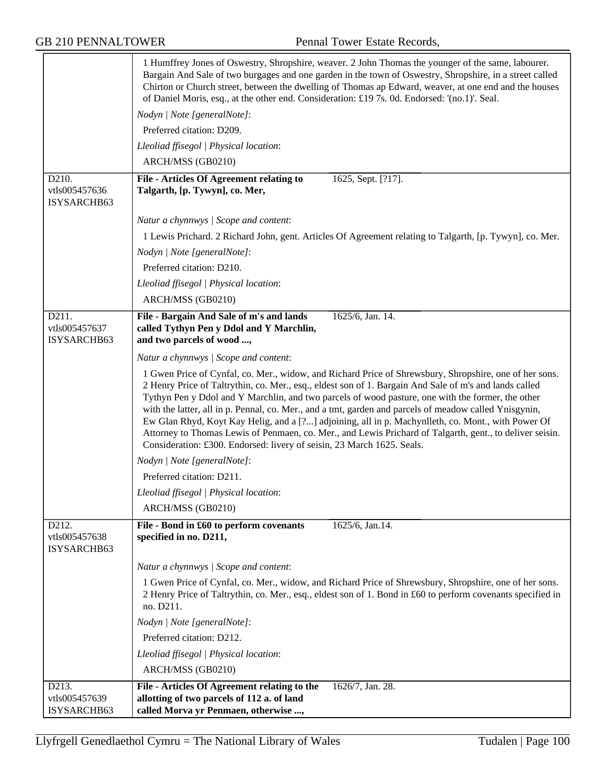|                                       | 1 Humffrey Jones of Oswestry, Shropshire, weaver. 2 John Thomas the younger of the same, labourer.<br>Bargain And Sale of two burgages and one garden in the town of Oswestry, Shropshire, in a street called<br>Chirton or Church street, between the dwelling of Thomas ap Edward, weaver, at one end and the houses<br>of Daniel Moris, esq., at the other end. Consideration: £19 7s. 0d. Endorsed: '(no.1)'. Seal.                                                                                                                                                                                                                                                                                                     |
|---------------------------------------|-----------------------------------------------------------------------------------------------------------------------------------------------------------------------------------------------------------------------------------------------------------------------------------------------------------------------------------------------------------------------------------------------------------------------------------------------------------------------------------------------------------------------------------------------------------------------------------------------------------------------------------------------------------------------------------------------------------------------------|
|                                       | Nodyn   Note [generalNote]:                                                                                                                                                                                                                                                                                                                                                                                                                                                                                                                                                                                                                                                                                                 |
|                                       | Preferred citation: D209.                                                                                                                                                                                                                                                                                                                                                                                                                                                                                                                                                                                                                                                                                                   |
|                                       | Lleoliad ffisegol   Physical location:                                                                                                                                                                                                                                                                                                                                                                                                                                                                                                                                                                                                                                                                                      |
|                                       | ARCH/MSS (GB0210)                                                                                                                                                                                                                                                                                                                                                                                                                                                                                                                                                                                                                                                                                                           |
| D210.<br>vtls005457636<br>ISYSARCHB63 | <b>File - Articles Of Agreement relating to</b><br>1625, Sept. [?17].<br>Talgarth, [p. Tywyn], co. Mer,                                                                                                                                                                                                                                                                                                                                                                                                                                                                                                                                                                                                                     |
|                                       | Natur a chynnwys / Scope and content:                                                                                                                                                                                                                                                                                                                                                                                                                                                                                                                                                                                                                                                                                       |
|                                       | 1 Lewis Prichard. 2 Richard John, gent. Articles Of Agreement relating to Talgarth, [p. Tywyn], co. Mer.                                                                                                                                                                                                                                                                                                                                                                                                                                                                                                                                                                                                                    |
|                                       | Nodyn   Note [generalNote]:                                                                                                                                                                                                                                                                                                                                                                                                                                                                                                                                                                                                                                                                                                 |
|                                       | Preferred citation: D210.                                                                                                                                                                                                                                                                                                                                                                                                                                                                                                                                                                                                                                                                                                   |
|                                       | Lleoliad ffisegol   Physical location:                                                                                                                                                                                                                                                                                                                                                                                                                                                                                                                                                                                                                                                                                      |
|                                       | ARCH/MSS (GB0210)                                                                                                                                                                                                                                                                                                                                                                                                                                                                                                                                                                                                                                                                                                           |
| D211.<br>vtls005457637<br>ISYSARCHB63 | File - Bargain And Sale of m's and lands<br>1625/6, Jan. 14.<br>called Tythyn Pen y Ddol and Y Marchlin,<br>and two parcels of wood ,                                                                                                                                                                                                                                                                                                                                                                                                                                                                                                                                                                                       |
|                                       | Natur a chynnwys / Scope and content:                                                                                                                                                                                                                                                                                                                                                                                                                                                                                                                                                                                                                                                                                       |
|                                       | 1 Gwen Price of Cynfal, co. Mer., widow, and Richard Price of Shrewsbury, Shropshire, one of her sons.<br>2 Henry Price of Taltrythin, co. Mer., esq., eldest son of 1. Bargain And Sale of m's and lands called<br>Tythyn Pen y Ddol and Y Marchlin, and two parcels of wood pasture, one with the former, the other<br>with the latter, all in p. Pennal, co. Mer., and a tmt, garden and parcels of meadow called Ynisgynin,<br>Ew Glan Rhyd, Koyt Kay Helig, and a [?] adjoining, all in p. Machynlleth, co. Mont., with Power Of<br>Attorney to Thomas Lewis of Penmaen, co. Mer., and Lewis Prichard of Talgarth, gent., to deliver seisin.<br>Consideration: £300. Endorsed: livery of seisin, 23 March 1625. Seals. |
|                                       | Nodyn   Note [generalNote]:                                                                                                                                                                                                                                                                                                                                                                                                                                                                                                                                                                                                                                                                                                 |
|                                       | Preferred citation: D211.                                                                                                                                                                                                                                                                                                                                                                                                                                                                                                                                                                                                                                                                                                   |
|                                       | Lleoliad ffisegol   Physical location:                                                                                                                                                                                                                                                                                                                                                                                                                                                                                                                                                                                                                                                                                      |
|                                       | ARCH/MSS (GB0210)                                                                                                                                                                                                                                                                                                                                                                                                                                                                                                                                                                                                                                                                                                           |
| D212.<br>vtls005457638<br>ISYSARCHB63 | File - Bond in £60 to perform covenants<br>1625/6, Jan.14.<br>specified in no. D211,                                                                                                                                                                                                                                                                                                                                                                                                                                                                                                                                                                                                                                        |
|                                       | Natur a chynnwys / Scope and content:                                                                                                                                                                                                                                                                                                                                                                                                                                                                                                                                                                                                                                                                                       |
|                                       | 1 Gwen Price of Cynfal, co. Mer., widow, and Richard Price of Shrewsbury, Shropshire, one of her sons.<br>2 Henry Price of Taltrythin, co. Mer., esq., eldest son of 1. Bond in £60 to perform covenants specified in<br>no. D211.                                                                                                                                                                                                                                                                                                                                                                                                                                                                                          |
|                                       | Nodyn   Note [generalNote]:                                                                                                                                                                                                                                                                                                                                                                                                                                                                                                                                                                                                                                                                                                 |
|                                       | Preferred citation: D212.                                                                                                                                                                                                                                                                                                                                                                                                                                                                                                                                                                                                                                                                                                   |
|                                       | Lleoliad ffisegol   Physical location:                                                                                                                                                                                                                                                                                                                                                                                                                                                                                                                                                                                                                                                                                      |
|                                       | ARCH/MSS (GB0210)                                                                                                                                                                                                                                                                                                                                                                                                                                                                                                                                                                                                                                                                                                           |
| D213.<br>vtls005457639<br>ISYSARCHB63 | File - Articles Of Agreement relating to the<br>1626/7, Jan. 28.<br>allotting of two parcels of 112 a. of land<br>called Morva yr Penmaen, otherwise ,                                                                                                                                                                                                                                                                                                                                                                                                                                                                                                                                                                      |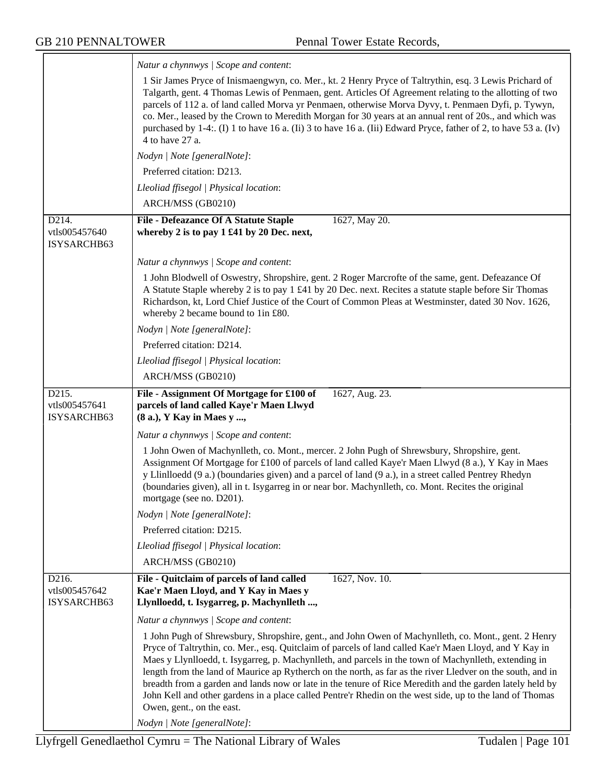|                                       | Natur a chynnwys / Scope and content:                                                                                                                                                                                                                                                                                                                                                                                                                                                                                                                                                                                                                                                                                     |
|---------------------------------------|---------------------------------------------------------------------------------------------------------------------------------------------------------------------------------------------------------------------------------------------------------------------------------------------------------------------------------------------------------------------------------------------------------------------------------------------------------------------------------------------------------------------------------------------------------------------------------------------------------------------------------------------------------------------------------------------------------------------------|
|                                       | 1 Sir James Pryce of Inismaengwyn, co. Mer., kt. 2 Henry Pryce of Taltrythin, esq. 3 Lewis Prichard of<br>Talgarth, gent. 4 Thomas Lewis of Penmaen, gent. Articles Of Agreement relating to the allotting of two<br>parcels of 112 a. of land called Morva yr Penmaen, otherwise Morva Dyvy, t. Penmaen Dyfi, p. Tywyn,<br>co. Mer., leased by the Crown to Meredith Morgan for 30 years at an annual rent of 20s., and which was<br>purchased by 1-4: (I) 1 to have 16 a. (Ii) 3 to have 16 a. (Iii) Edward Pryce, father of 2, to have 53 a. (Iv)<br>4 to have 27 a.                                                                                                                                                   |
|                                       | Nodyn   Note [generalNote]:                                                                                                                                                                                                                                                                                                                                                                                                                                                                                                                                                                                                                                                                                               |
|                                       | Preferred citation: D213.                                                                                                                                                                                                                                                                                                                                                                                                                                                                                                                                                                                                                                                                                                 |
|                                       | Lleoliad ffisegol   Physical location:                                                                                                                                                                                                                                                                                                                                                                                                                                                                                                                                                                                                                                                                                    |
|                                       | ARCH/MSS (GB0210)                                                                                                                                                                                                                                                                                                                                                                                                                                                                                                                                                                                                                                                                                                         |
| D214.                                 | 1627, May 20.<br><b>File - Defeazance Of A Statute Staple</b>                                                                                                                                                                                                                                                                                                                                                                                                                                                                                                                                                                                                                                                             |
| vtls005457640<br>ISYSARCHB63          | whereby 2 is to pay 1 £41 by 20 Dec. next,                                                                                                                                                                                                                                                                                                                                                                                                                                                                                                                                                                                                                                                                                |
|                                       | Natur a chynnwys / Scope and content:                                                                                                                                                                                                                                                                                                                                                                                                                                                                                                                                                                                                                                                                                     |
|                                       | 1 John Blodwell of Oswestry, Shropshire, gent. 2 Roger Marcrofte of the same, gent. Defeazance Of<br>A Statute Staple whereby 2 is to pay 1 £41 by 20 Dec. next. Recites a statute staple before Sir Thomas<br>Richardson, kt, Lord Chief Justice of the Court of Common Pleas at Westminster, dated 30 Nov. 1626,<br>whereby 2 became bound to 1in £80.                                                                                                                                                                                                                                                                                                                                                                  |
|                                       | Nodyn   Note [generalNote]:                                                                                                                                                                                                                                                                                                                                                                                                                                                                                                                                                                                                                                                                                               |
|                                       | Preferred citation: D214.                                                                                                                                                                                                                                                                                                                                                                                                                                                                                                                                                                                                                                                                                                 |
|                                       | Lleoliad ffisegol   Physical location:                                                                                                                                                                                                                                                                                                                                                                                                                                                                                                                                                                                                                                                                                    |
|                                       | ARCH/MSS (GB0210)                                                                                                                                                                                                                                                                                                                                                                                                                                                                                                                                                                                                                                                                                                         |
| D215.<br>vtls005457641<br>ISYSARCHB63 | File - Assignment Of Mortgage for £100 of<br>1627, Aug. 23.<br>parcels of land called Kaye'r Maen Llwyd<br>(8 a.), Y Kay in Maes y ,                                                                                                                                                                                                                                                                                                                                                                                                                                                                                                                                                                                      |
|                                       | Natur a chynnwys / Scope and content:                                                                                                                                                                                                                                                                                                                                                                                                                                                                                                                                                                                                                                                                                     |
|                                       | 1 John Owen of Machynlleth, co. Mont., mercer. 2 John Pugh of Shrewsbury, Shropshire, gent.<br>Assignment Of Mortgage for £100 of parcels of land called Kaye'r Maen Llwyd (8 a.), Y Kay in Maes<br>y Llinlloedd (9 a.) (boundaries given) and a parcel of land (9 a.), in a street called Pentrey Rhedyn<br>(boundaries given), all in t. Isygarreg in or near bor. Machynlleth, co. Mont. Recites the original<br>mortgage (see no. D201).                                                                                                                                                                                                                                                                              |
|                                       | Nodyn   Note [generalNote]:                                                                                                                                                                                                                                                                                                                                                                                                                                                                                                                                                                                                                                                                                               |
|                                       | Preferred citation: D215.                                                                                                                                                                                                                                                                                                                                                                                                                                                                                                                                                                                                                                                                                                 |
|                                       | Lleoliad ffisegol   Physical location:                                                                                                                                                                                                                                                                                                                                                                                                                                                                                                                                                                                                                                                                                    |
|                                       | ARCH/MSS (GB0210)                                                                                                                                                                                                                                                                                                                                                                                                                                                                                                                                                                                                                                                                                                         |
| D216.<br>vtls005457642<br>ISYSARCHB63 | File - Quitclaim of parcels of land called<br>1627, Nov. 10.<br>Kae'r Maen Lloyd, and Y Kay in Maes y<br>Llynlloedd, t. Isygarreg, p. Machynlleth ,                                                                                                                                                                                                                                                                                                                                                                                                                                                                                                                                                                       |
|                                       | Natur a chynnwys / Scope and content:                                                                                                                                                                                                                                                                                                                                                                                                                                                                                                                                                                                                                                                                                     |
|                                       | 1 John Pugh of Shrewsbury, Shropshire, gent., and John Owen of Machynlleth, co. Mont., gent. 2 Henry<br>Pryce of Taltrythin, co. Mer., esq. Quitclaim of parcels of land called Kae'r Maen Lloyd, and Y Kay in<br>Maes y Llynlloedd, t. Isygarreg, p. Machynlleth, and parcels in the town of Machynlleth, extending in<br>length from the land of Maurice ap Rytherch on the north, as far as the river Lledver on the south, and in<br>breadth from a garden and lands now or late in the tenure of Rice Meredith and the garden lately held by<br>John Kell and other gardens in a place called Pentre'r Rhedin on the west side, up to the land of Thomas<br>Owen, gent., on the east.<br>Nodyn   Note [generalNote]: |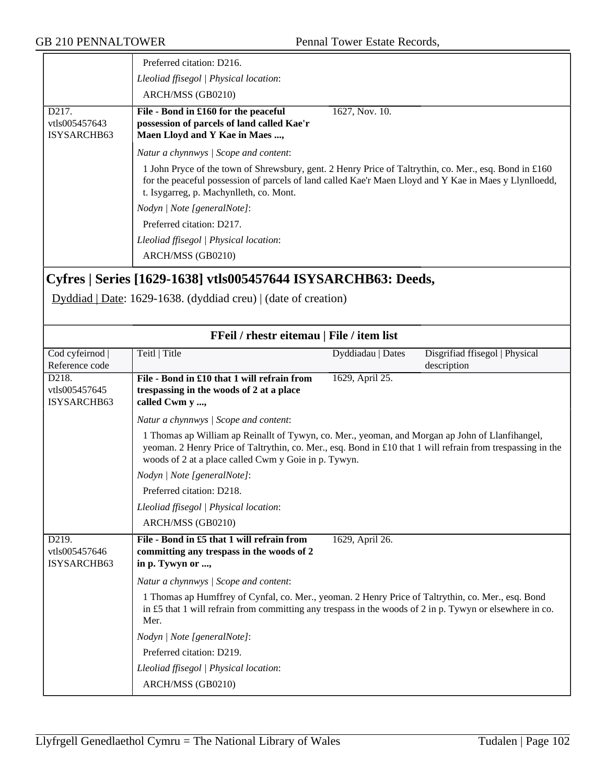|                                                    | Preferred citation: D216.                                                                                                                                                                                                                                   |
|----------------------------------------------------|-------------------------------------------------------------------------------------------------------------------------------------------------------------------------------------------------------------------------------------------------------------|
|                                                    | Lleoliad ffisegol   Physical location:                                                                                                                                                                                                                      |
|                                                    | ARCH/MSS (GB0210)                                                                                                                                                                                                                                           |
| D <sub>217</sub> .<br>vtls005457643<br>ISYSARCHB63 | File - Bond in £160 for the peaceful<br>1627, Nov. 10.<br>possession of parcels of land called Kae'r<br>Maen Lloyd and Y Kae in Maes ,                                                                                                                      |
|                                                    | Natur a chynnwys / Scope and content:                                                                                                                                                                                                                       |
|                                                    | 1 John Pryce of the town of Shrewsbury, gent. 2 Henry Price of Taltrythin, co. Mer., esq. Bond in £160<br>for the peaceful possession of parcels of land called Kae'r Maen Lloyd and Y Kae in Maes y Llynlloedd,<br>t. Isygarreg, p. Machynlleth, co. Mont. |
|                                                    | Nodyn / Note [generalNote]:                                                                                                                                                                                                                                 |
|                                                    | Preferred citation: D217.                                                                                                                                                                                                                                   |
|                                                    | Lleoliad ffisegol   Physical location:                                                                                                                                                                                                                      |
|                                                    | ARCH/MSS (GB0210)                                                                                                                                                                                                                                           |

## **Cyfres | Series [1629-1638] vtls005457644 ISYSARCHB63: Deeds,**

Dyddiad | Date: 1629-1638. (dyddiad creu) | (date of creation)

| FFeil / rhestr eitemau   File / item list |                                                                                                                                                                                                                                                                        |                   |                                |
|-------------------------------------------|------------------------------------------------------------------------------------------------------------------------------------------------------------------------------------------------------------------------------------------------------------------------|-------------------|--------------------------------|
| Cod cyfeirnod                             | Teitl   Title                                                                                                                                                                                                                                                          | Dyddiadau   Dates | Disgrifiad ffisegol   Physical |
| Reference code                            |                                                                                                                                                                                                                                                                        |                   | description                    |
| D218.                                     | File - Bond in £10 that 1 will refrain from                                                                                                                                                                                                                            | 1629, April 25.   |                                |
| vtls005457645                             | trespassing in the woods of 2 at a place                                                                                                                                                                                                                               |                   |                                |
| ISYSARCHB63                               | called Cwm y ,                                                                                                                                                                                                                                                         |                   |                                |
|                                           | Natur a chynnwys / Scope and content:                                                                                                                                                                                                                                  |                   |                                |
|                                           | 1 Thomas ap William ap Reinallt of Tywyn, co. Mer., yeoman, and Morgan ap John of Llanfihangel,<br>yeoman. 2 Henry Price of Taltrythin, co. Mer., esq. Bond in £10 that 1 will refrain from trespassing in the<br>woods of 2 at a place called Cwm y Goie in p. Tywyn. |                   |                                |
|                                           | Nodyn   Note [generalNote]:                                                                                                                                                                                                                                            |                   |                                |
|                                           | Preferred citation: D218.                                                                                                                                                                                                                                              |                   |                                |
|                                           | Lleoliad ffisegol   Physical location:                                                                                                                                                                                                                                 |                   |                                |
|                                           | ARCH/MSS (GB0210)                                                                                                                                                                                                                                                      |                   |                                |
| D219.<br>vtls005457646<br>ISYSARCHB63     | File - Bond in £5 that 1 will refrain from<br>committing any trespass in the woods of 2<br>in p. Tywyn or ,                                                                                                                                                            | 1629, April 26.   |                                |
|                                           | Natur a chynnwys / Scope and content:                                                                                                                                                                                                                                  |                   |                                |
|                                           | 1 Thomas ap Humffrey of Cynfal, co. Mer., yeoman. 2 Henry Price of Taltrythin, co. Mer., esq. Bond<br>in £5 that 1 will refrain from committing any trespass in the woods of 2 in p. Tywyn or elsewhere in co.<br>Mer.                                                 |                   |                                |
|                                           | Nodyn   Note [generalNote]:                                                                                                                                                                                                                                            |                   |                                |
|                                           | Preferred citation: D219.                                                                                                                                                                                                                                              |                   |                                |
|                                           | Lleoliad ffisegol   Physical location:                                                                                                                                                                                                                                 |                   |                                |
|                                           | ARCH/MSS (GB0210)                                                                                                                                                                                                                                                      |                   |                                |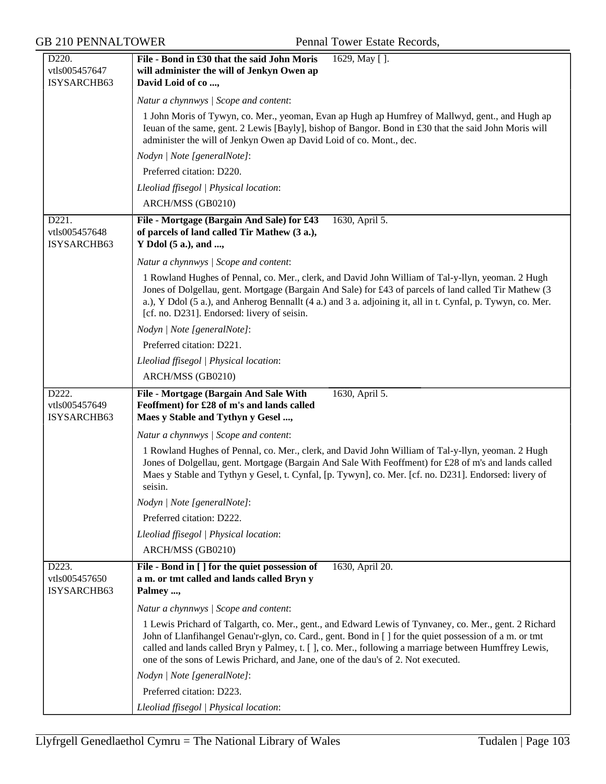| D220.                                 | File - Bond in £30 that the said John Moris<br>1629, May [].                                                                                                                                                                                                                                                                                                                                                    |
|---------------------------------------|-----------------------------------------------------------------------------------------------------------------------------------------------------------------------------------------------------------------------------------------------------------------------------------------------------------------------------------------------------------------------------------------------------------------|
| vtls005457647                         | will administer the will of Jenkyn Owen ap                                                                                                                                                                                                                                                                                                                                                                      |
| ISYSARCHB63                           | David Loid of co,                                                                                                                                                                                                                                                                                                                                                                                               |
|                                       | Natur a chynnwys / Scope and content:                                                                                                                                                                                                                                                                                                                                                                           |
|                                       | 1 John Moris of Tywyn, co. Mer., yeoman, Evan ap Hugh ap Humfrey of Mallwyd, gent., and Hugh ap                                                                                                                                                                                                                                                                                                                 |
|                                       | Ieuan of the same, gent. 2 Lewis [Bayly], bishop of Bangor. Bond in £30 that the said John Moris will<br>administer the will of Jenkyn Owen ap David Loid of co. Mont., dec.                                                                                                                                                                                                                                    |
|                                       | Nodyn   Note [generalNote]:                                                                                                                                                                                                                                                                                                                                                                                     |
|                                       | Preferred citation: D220.                                                                                                                                                                                                                                                                                                                                                                                       |
|                                       | Lleoliad ffisegol   Physical location:                                                                                                                                                                                                                                                                                                                                                                          |
|                                       | ARCH/MSS (GB0210)                                                                                                                                                                                                                                                                                                                                                                                               |
| D221.<br>vtls005457648<br>ISYSARCHB63 | File - Mortgage (Bargain And Sale) for £43<br>1630, April 5.<br>of parcels of land called Tir Mathew (3 a.),<br>Y Ddol (5 a.), and ,                                                                                                                                                                                                                                                                            |
|                                       | Natur a chynnwys / Scope and content:                                                                                                                                                                                                                                                                                                                                                                           |
|                                       | 1 Rowland Hughes of Pennal, co. Mer., clerk, and David John William of Tal-y-llyn, yeoman. 2 Hugh<br>Jones of Dolgellau, gent. Mortgage (Bargain And Sale) for £43 of parcels of land called Tir Mathew (3<br>a.), Y Ddol (5 a.), and Anherog Bennallt (4 a.) and 3 a. adjoining it, all in t. Cynfal, p. Tywyn, co. Mer.<br>[cf. no. D231]. Endorsed: livery of seisin.                                        |
|                                       | Nodyn   Note [generalNote]:                                                                                                                                                                                                                                                                                                                                                                                     |
|                                       | Preferred citation: D221.                                                                                                                                                                                                                                                                                                                                                                                       |
|                                       | Lleoliad ffisegol   Physical location:                                                                                                                                                                                                                                                                                                                                                                          |
|                                       | ARCH/MSS (GB0210)                                                                                                                                                                                                                                                                                                                                                                                               |
|                                       |                                                                                                                                                                                                                                                                                                                                                                                                                 |
| D222.<br>vtls005457649<br>ISYSARCHB63 | File - Mortgage (Bargain And Sale With<br>1630, April 5.<br>Feoffment) for £28 of m's and lands called<br>Maes y Stable and Tythyn y Gesel ,                                                                                                                                                                                                                                                                    |
|                                       | Natur a chynnwys / Scope and content:                                                                                                                                                                                                                                                                                                                                                                           |
|                                       | 1 Rowland Hughes of Pennal, co. Mer., clerk, and David John William of Tal-y-llyn, yeoman. 2 Hugh<br>Jones of Dolgellau, gent. Mortgage (Bargain And Sale With Feoffment) for £28 of m's and lands called<br>Maes y Stable and Tythyn y Gesel, t. Cynfal, [p. Tywyn], co. Mer. [cf. no. D231]. Endorsed: livery of<br>seisin.                                                                                   |
|                                       | Nodyn   Note [generalNote]:                                                                                                                                                                                                                                                                                                                                                                                     |
|                                       | Preferred citation: D222.                                                                                                                                                                                                                                                                                                                                                                                       |
|                                       | Lleoliad ffisegol   Physical location:                                                                                                                                                                                                                                                                                                                                                                          |
|                                       | ARCH/MSS (GB0210)                                                                                                                                                                                                                                                                                                                                                                                               |
| D223.<br>vtls005457650<br>ISYSARCHB63 | File - Bond in [ ] for the quiet possession of<br>1630, April 20.<br>a m. or tmt called and lands called Bryn y<br>Palmey ,                                                                                                                                                                                                                                                                                     |
|                                       | Natur a chynnwys / Scope and content:                                                                                                                                                                                                                                                                                                                                                                           |
|                                       | 1 Lewis Prichard of Talgarth, co. Mer., gent., and Edward Lewis of Tynvaney, co. Mer., gent. 2 Richard<br>John of Llanfihangel Genau'r-glyn, co. Card., gent. Bond in [ ] for the quiet possession of a m. or tmt<br>called and lands called Bryn y Palmey, t. [ ], co. Mer., following a marriage between Humffrey Lewis,<br>one of the sons of Lewis Prichard, and Jane, one of the dau's of 2. Not executed. |
|                                       | Nodyn   Note [generalNote]:                                                                                                                                                                                                                                                                                                                                                                                     |
|                                       | Preferred citation: D223.                                                                                                                                                                                                                                                                                                                                                                                       |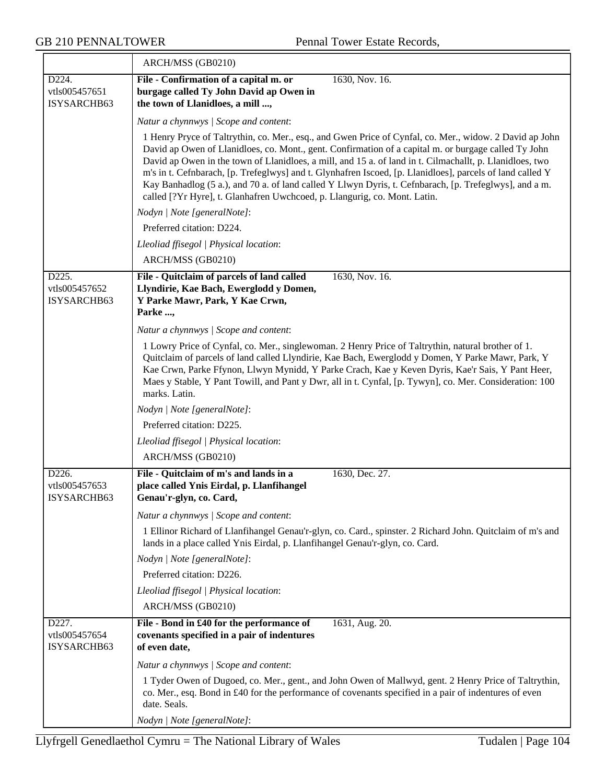|                                       | ARCH/MSS (GB0210)                                                                                                                                                                                                                                                                                                                                                                                                                                                                                                                                                                                                               |  |
|---------------------------------------|---------------------------------------------------------------------------------------------------------------------------------------------------------------------------------------------------------------------------------------------------------------------------------------------------------------------------------------------------------------------------------------------------------------------------------------------------------------------------------------------------------------------------------------------------------------------------------------------------------------------------------|--|
| D224.<br>vtls005457651<br>ISYSARCHB63 | File - Confirmation of a capital m. or<br>1630, Nov. 16.<br>burgage called Ty John David ap Owen in<br>the town of Llanidloes, a mill ,                                                                                                                                                                                                                                                                                                                                                                                                                                                                                         |  |
|                                       | Natur a chynnwys / Scope and content:                                                                                                                                                                                                                                                                                                                                                                                                                                                                                                                                                                                           |  |
|                                       | 1 Henry Pryce of Taltrythin, co. Mer., esq., and Gwen Price of Cynfal, co. Mer., widow. 2 David ap John<br>David ap Owen of Llanidloes, co. Mont., gent. Confirmation of a capital m. or burgage called Ty John<br>David ap Owen in the town of Llanidloes, a mill, and 15 a. of land in t. Cilmachallt, p. Llanidloes, two<br>m's in t. Cefnbarach, [p. Trefeglwys] and t. Glynhafren Iscoed, [p. Llanidloes], parcels of land called Y<br>Kay Banhadlog (5 a.), and 70 a. of land called Y Llwyn Dyris, t. Cefnbarach, [p. Trefeglwys], and a m.<br>called [?Yr Hyre], t. Glanhafren Uwchcoed, p. Llangurig, co. Mont. Latin. |  |
|                                       | Nodyn   Note [generalNote]:                                                                                                                                                                                                                                                                                                                                                                                                                                                                                                                                                                                                     |  |
|                                       | Preferred citation: D224.                                                                                                                                                                                                                                                                                                                                                                                                                                                                                                                                                                                                       |  |
|                                       | Lleoliad ffisegol   Physical location:                                                                                                                                                                                                                                                                                                                                                                                                                                                                                                                                                                                          |  |
|                                       | ARCH/MSS (GB0210)                                                                                                                                                                                                                                                                                                                                                                                                                                                                                                                                                                                                               |  |
| D225.<br>vtls005457652<br>ISYSARCHB63 | File - Quitclaim of parcels of land called<br>1630, Nov. 16.<br>Llyndirie, Kae Bach, Ewerglodd y Domen,<br>Y Parke Mawr, Park, Y Kae Crwn,<br>Parke ,                                                                                                                                                                                                                                                                                                                                                                                                                                                                           |  |
|                                       | Natur a chynnwys / Scope and content:                                                                                                                                                                                                                                                                                                                                                                                                                                                                                                                                                                                           |  |
|                                       | 1 Lowry Price of Cynfal, co. Mer., singlewoman. 2 Henry Price of Taltrythin, natural brother of 1.<br>Quitclaim of parcels of land called Llyndirie, Kae Bach, Ewerglodd y Domen, Y Parke Mawr, Park, Y<br>Kae Crwn, Parke Ffynon, Llwyn Mynidd, Y Parke Crach, Kae y Keven Dyris, Kae'r Sais, Y Pant Heer,<br>Maes y Stable, Y Pant Towill, and Pant y Dwr, all in t. Cynfal, [p. Tywyn], co. Mer. Consideration: 100<br>marks. Latin.                                                                                                                                                                                         |  |
|                                       | Nodyn   Note [generalNote]:                                                                                                                                                                                                                                                                                                                                                                                                                                                                                                                                                                                                     |  |
|                                       | Preferred citation: D225.                                                                                                                                                                                                                                                                                                                                                                                                                                                                                                                                                                                                       |  |
|                                       | Lleoliad ffisegol   Physical location:                                                                                                                                                                                                                                                                                                                                                                                                                                                                                                                                                                                          |  |
|                                       | ARCH/MSS (GB0210)                                                                                                                                                                                                                                                                                                                                                                                                                                                                                                                                                                                                               |  |
| D226.<br>vtls005457653<br>ISYSARCHB63 | File - Quitclaim of m's and lands in a<br>1630, Dec. 27.<br>place called Ynis Eirdal, p. Llanfihangel<br>Genau'r-glyn, co. Card,                                                                                                                                                                                                                                                                                                                                                                                                                                                                                                |  |
|                                       | Natur a chynnwys / Scope and content:                                                                                                                                                                                                                                                                                                                                                                                                                                                                                                                                                                                           |  |
|                                       | 1 Ellinor Richard of Llanfihangel Genau'r-glyn, co. Card., spinster. 2 Richard John. Quitclaim of m's and<br>lands in a place called Ynis Eirdal, p. Llanfihangel Genau'r-glyn, co. Card.                                                                                                                                                                                                                                                                                                                                                                                                                                       |  |
|                                       | Nodyn   Note [generalNote]:                                                                                                                                                                                                                                                                                                                                                                                                                                                                                                                                                                                                     |  |
|                                       | Preferred citation: D226.                                                                                                                                                                                                                                                                                                                                                                                                                                                                                                                                                                                                       |  |
|                                       | Lleoliad ffisegol   Physical location:                                                                                                                                                                                                                                                                                                                                                                                                                                                                                                                                                                                          |  |
|                                       | ARCH/MSS (GB0210)                                                                                                                                                                                                                                                                                                                                                                                                                                                                                                                                                                                                               |  |
| D227.<br>vtls005457654<br>ISYSARCHB63 | File - Bond in £40 for the performance of<br>1631, Aug. 20.<br>covenants specified in a pair of indentures<br>of even date,                                                                                                                                                                                                                                                                                                                                                                                                                                                                                                     |  |
|                                       | Natur a chynnwys / Scope and content:                                                                                                                                                                                                                                                                                                                                                                                                                                                                                                                                                                                           |  |
|                                       | 1 Tyder Owen of Dugoed, co. Mer., gent., and John Owen of Mallwyd, gent. 2 Henry Price of Taltrythin,<br>co. Mer., esq. Bond in £40 for the performance of covenants specified in a pair of indentures of even<br>date. Seals.                                                                                                                                                                                                                                                                                                                                                                                                  |  |
|                                       | Nodyn   Note [generalNote]:                                                                                                                                                                                                                                                                                                                                                                                                                                                                                                                                                                                                     |  |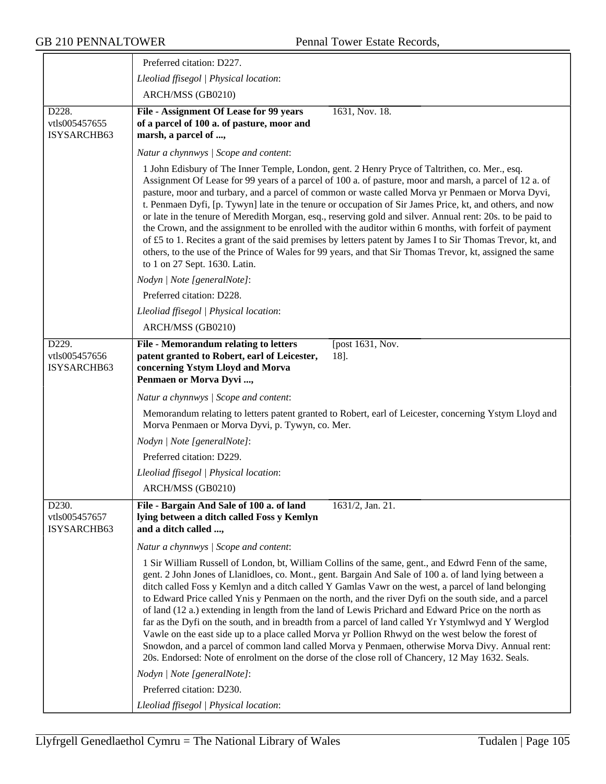|                                       | Preferred citation: D227.                                                                                                                                                                                                                                                                                                                                                                                                                                                                                                                                                                                                                                                                                                                                                                                                                                                                                                                                   |
|---------------------------------------|-------------------------------------------------------------------------------------------------------------------------------------------------------------------------------------------------------------------------------------------------------------------------------------------------------------------------------------------------------------------------------------------------------------------------------------------------------------------------------------------------------------------------------------------------------------------------------------------------------------------------------------------------------------------------------------------------------------------------------------------------------------------------------------------------------------------------------------------------------------------------------------------------------------------------------------------------------------|
|                                       | Lleoliad ffisegol   Physical location:                                                                                                                                                                                                                                                                                                                                                                                                                                                                                                                                                                                                                                                                                                                                                                                                                                                                                                                      |
|                                       | ARCH/MSS (GB0210)                                                                                                                                                                                                                                                                                                                                                                                                                                                                                                                                                                                                                                                                                                                                                                                                                                                                                                                                           |
| D228.<br>vtls005457655<br>ISYSARCHB63 | File - Assignment Of Lease for 99 years<br>1631, Nov. 18.<br>of a parcel of 100 a. of pasture, moor and<br>marsh, a parcel of ,                                                                                                                                                                                                                                                                                                                                                                                                                                                                                                                                                                                                                                                                                                                                                                                                                             |
|                                       | Natur a chynnwys / Scope and content:                                                                                                                                                                                                                                                                                                                                                                                                                                                                                                                                                                                                                                                                                                                                                                                                                                                                                                                       |
|                                       | 1 John Edisbury of The Inner Temple, London, gent. 2 Henry Pryce of Taltrithen, co. Mer., esq.<br>Assignment Of Lease for 99 years of a parcel of 100 a. of pasture, moor and marsh, a parcel of 12 a. of<br>pasture, moor and turbary, and a parcel of common or waste called Morva yr Penmaen or Morva Dyvi,<br>t. Penmaen Dyfi, [p. Tywyn] late in the tenure or occupation of Sir James Price, kt, and others, and now<br>or late in the tenure of Meredith Morgan, esq., reserving gold and silver. Annual rent: 20s. to be paid to<br>the Crown, and the assignment to be enrolled with the auditor within 6 months, with forfeit of payment<br>of £5 to 1. Recites a grant of the said premises by letters patent by James I to Sir Thomas Trevor, kt, and<br>others, to the use of the Prince of Wales for 99 years, and that Sir Thomas Trevor, kt, assigned the same<br>to 1 on 27 Sept. 1630. Latin.                                             |
|                                       | Nodyn   Note [generalNote]:                                                                                                                                                                                                                                                                                                                                                                                                                                                                                                                                                                                                                                                                                                                                                                                                                                                                                                                                 |
|                                       | Preferred citation: D228.                                                                                                                                                                                                                                                                                                                                                                                                                                                                                                                                                                                                                                                                                                                                                                                                                                                                                                                                   |
|                                       | Lleoliad ffisegol   Physical location:                                                                                                                                                                                                                                                                                                                                                                                                                                                                                                                                                                                                                                                                                                                                                                                                                                                                                                                      |
|                                       | ARCH/MSS (GB0210)                                                                                                                                                                                                                                                                                                                                                                                                                                                                                                                                                                                                                                                                                                                                                                                                                                                                                                                                           |
| D229.<br>vtls005457656<br>ISYSARCHB63 | File - Memorandum relating to letters<br>[post 1631, Nov.<br>patent granted to Robert, earl of Leicester,<br>18].<br>concerning Ystym Lloyd and Morva<br>Penmaen or Morva Dyvi ,                                                                                                                                                                                                                                                                                                                                                                                                                                                                                                                                                                                                                                                                                                                                                                            |
|                                       | Natur a chynnwys / Scope and content:                                                                                                                                                                                                                                                                                                                                                                                                                                                                                                                                                                                                                                                                                                                                                                                                                                                                                                                       |
|                                       | Memorandum relating to letters patent granted to Robert, earl of Leicester, concerning Ystym Lloyd and<br>Morva Penmaen or Morva Dyvi, p. Tywyn, co. Mer.                                                                                                                                                                                                                                                                                                                                                                                                                                                                                                                                                                                                                                                                                                                                                                                                   |
|                                       | Nodyn   Note [generalNote]:                                                                                                                                                                                                                                                                                                                                                                                                                                                                                                                                                                                                                                                                                                                                                                                                                                                                                                                                 |
|                                       | Preferred citation: D229.                                                                                                                                                                                                                                                                                                                                                                                                                                                                                                                                                                                                                                                                                                                                                                                                                                                                                                                                   |
|                                       | Lleoliad ffisegol   Physical location:                                                                                                                                                                                                                                                                                                                                                                                                                                                                                                                                                                                                                                                                                                                                                                                                                                                                                                                      |
|                                       | ARCH/MSS (GB0210)                                                                                                                                                                                                                                                                                                                                                                                                                                                                                                                                                                                                                                                                                                                                                                                                                                                                                                                                           |
| D230.<br>vtls005457657<br>ISYSARCHB63 | File - Bargain And Sale of 100 a. of land<br>1631/2, Jan. 21.<br>lying between a ditch called Foss y Kemlyn<br>and a ditch called ,                                                                                                                                                                                                                                                                                                                                                                                                                                                                                                                                                                                                                                                                                                                                                                                                                         |
|                                       | Natur a chynnwys / Scope and content:                                                                                                                                                                                                                                                                                                                                                                                                                                                                                                                                                                                                                                                                                                                                                                                                                                                                                                                       |
|                                       | 1 Sir William Russell of London, bt, William Collins of the same, gent., and Edwrd Fenn of the same,<br>gent. 2 John Jones of Llanidloes, co. Mont., gent. Bargain And Sale of 100 a. of land lying between a<br>ditch called Foss y Kemlyn and a ditch called Y Gamlas Vawr on the west, a parcel of land belonging<br>to Edward Price called Ynis y Penmaen on the north, and the river Dyfi on the south side, and a parcel<br>of land (12 a.) extending in length from the land of Lewis Prichard and Edward Price on the north as<br>far as the Dyfi on the south, and in breadth from a parcel of land called Yr Ystymlwyd and Y Werglod<br>Vawle on the east side up to a place called Morva yr Pollion Rhwyd on the west below the forest of<br>Snowdon, and a parcel of common land called Morva y Penmaen, otherwise Morva Divy. Annual rent:<br>20s. Endorsed: Note of enrolment on the dorse of the close roll of Chancery, 12 May 1632. Seals. |
|                                       | Nodyn   Note [generalNote]:                                                                                                                                                                                                                                                                                                                                                                                                                                                                                                                                                                                                                                                                                                                                                                                                                                                                                                                                 |
|                                       | Preferred citation: D230.                                                                                                                                                                                                                                                                                                                                                                                                                                                                                                                                                                                                                                                                                                                                                                                                                                                                                                                                   |
|                                       | Lleoliad ffisegol   Physical location:                                                                                                                                                                                                                                                                                                                                                                                                                                                                                                                                                                                                                                                                                                                                                                                                                                                                                                                      |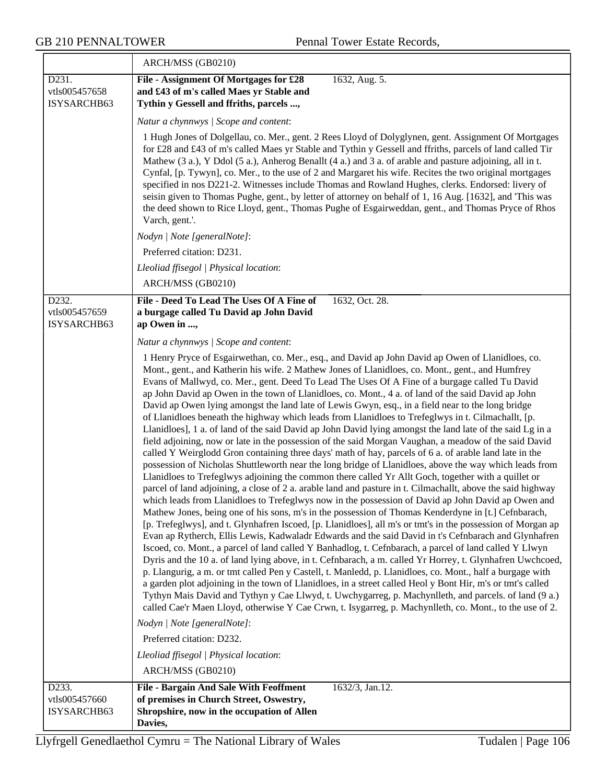|                                       | ARCH/MSS (GB0210)                                                                                                                                                                                                                                                                                                                                                                                                                                                                                                                                                                                                                                                                                                                                                                                                                                                                                                                                                                                                                                                                                                                                                                                                                                                                                                                                                                                                                                                                                                                                                                                                                                                                                                                                                                                                                                                                                                                                                                                                                                                                                                                                                                                                                                                                                                                                                                                                                                                                                                                                                                                  |
|---------------------------------------|----------------------------------------------------------------------------------------------------------------------------------------------------------------------------------------------------------------------------------------------------------------------------------------------------------------------------------------------------------------------------------------------------------------------------------------------------------------------------------------------------------------------------------------------------------------------------------------------------------------------------------------------------------------------------------------------------------------------------------------------------------------------------------------------------------------------------------------------------------------------------------------------------------------------------------------------------------------------------------------------------------------------------------------------------------------------------------------------------------------------------------------------------------------------------------------------------------------------------------------------------------------------------------------------------------------------------------------------------------------------------------------------------------------------------------------------------------------------------------------------------------------------------------------------------------------------------------------------------------------------------------------------------------------------------------------------------------------------------------------------------------------------------------------------------------------------------------------------------------------------------------------------------------------------------------------------------------------------------------------------------------------------------------------------------------------------------------------------------------------------------------------------------------------------------------------------------------------------------------------------------------------------------------------------------------------------------------------------------------------------------------------------------------------------------------------------------------------------------------------------------------------------------------------------------------------------------------------------------|
| D231.<br>vtls005457658<br>ISYSARCHB63 | File - Assignment Of Mortgages for £28<br>1632, Aug. 5.<br>and £43 of m's called Maes yr Stable and<br>Tythin y Gessell and ffriths, parcels ,                                                                                                                                                                                                                                                                                                                                                                                                                                                                                                                                                                                                                                                                                                                                                                                                                                                                                                                                                                                                                                                                                                                                                                                                                                                                                                                                                                                                                                                                                                                                                                                                                                                                                                                                                                                                                                                                                                                                                                                                                                                                                                                                                                                                                                                                                                                                                                                                                                                     |
|                                       | Natur a chynnwys / Scope and content:                                                                                                                                                                                                                                                                                                                                                                                                                                                                                                                                                                                                                                                                                                                                                                                                                                                                                                                                                                                                                                                                                                                                                                                                                                                                                                                                                                                                                                                                                                                                                                                                                                                                                                                                                                                                                                                                                                                                                                                                                                                                                                                                                                                                                                                                                                                                                                                                                                                                                                                                                              |
|                                       | 1 Hugh Jones of Dolgellau, co. Mer., gent. 2 Rees Lloyd of Dolyglynen, gent. Assignment Of Mortgages<br>for £28 and £43 of m's called Maes yr Stable and Tythin y Gessell and ffriths, parcels of land called Tir<br>Mathew (3 a.), Y Ddol (5 a.), Anherog Benallt (4 a.) and 3 a. of arable and pasture adjoining, all in t.<br>Cynfal, [p. Tywyn], co. Mer., to the use of 2 and Margaret his wife. Recites the two original mortgages<br>specified in nos D221-2. Witnesses include Thomas and Rowland Hughes, clerks. Endorsed: livery of<br>seisin given to Thomas Pughe, gent., by letter of attorney on behalf of 1, 16 Aug. [1632], and 'This was<br>the deed shown to Rice Lloyd, gent., Thomas Pughe of Esgairweddan, gent., and Thomas Pryce of Rhos<br>Varch, gent.'.                                                                                                                                                                                                                                                                                                                                                                                                                                                                                                                                                                                                                                                                                                                                                                                                                                                                                                                                                                                                                                                                                                                                                                                                                                                                                                                                                                                                                                                                                                                                                                                                                                                                                                                                                                                                                  |
|                                       | Nodyn   Note [generalNote]:                                                                                                                                                                                                                                                                                                                                                                                                                                                                                                                                                                                                                                                                                                                                                                                                                                                                                                                                                                                                                                                                                                                                                                                                                                                                                                                                                                                                                                                                                                                                                                                                                                                                                                                                                                                                                                                                                                                                                                                                                                                                                                                                                                                                                                                                                                                                                                                                                                                                                                                                                                        |
|                                       | Preferred citation: D231.                                                                                                                                                                                                                                                                                                                                                                                                                                                                                                                                                                                                                                                                                                                                                                                                                                                                                                                                                                                                                                                                                                                                                                                                                                                                                                                                                                                                                                                                                                                                                                                                                                                                                                                                                                                                                                                                                                                                                                                                                                                                                                                                                                                                                                                                                                                                                                                                                                                                                                                                                                          |
|                                       | Lleoliad ffisegol   Physical location:                                                                                                                                                                                                                                                                                                                                                                                                                                                                                                                                                                                                                                                                                                                                                                                                                                                                                                                                                                                                                                                                                                                                                                                                                                                                                                                                                                                                                                                                                                                                                                                                                                                                                                                                                                                                                                                                                                                                                                                                                                                                                                                                                                                                                                                                                                                                                                                                                                                                                                                                                             |
|                                       | ARCH/MSS (GB0210)                                                                                                                                                                                                                                                                                                                                                                                                                                                                                                                                                                                                                                                                                                                                                                                                                                                                                                                                                                                                                                                                                                                                                                                                                                                                                                                                                                                                                                                                                                                                                                                                                                                                                                                                                                                                                                                                                                                                                                                                                                                                                                                                                                                                                                                                                                                                                                                                                                                                                                                                                                                  |
| D232.<br>vtls005457659<br>ISYSARCHB63 | File - Deed To Lead The Uses Of A Fine of<br>1632, Oct. 28.<br>a burgage called Tu David ap John David<br>ap Owen in ,                                                                                                                                                                                                                                                                                                                                                                                                                                                                                                                                                                                                                                                                                                                                                                                                                                                                                                                                                                                                                                                                                                                                                                                                                                                                                                                                                                                                                                                                                                                                                                                                                                                                                                                                                                                                                                                                                                                                                                                                                                                                                                                                                                                                                                                                                                                                                                                                                                                                             |
|                                       | Natur a chynnwys / Scope and content:                                                                                                                                                                                                                                                                                                                                                                                                                                                                                                                                                                                                                                                                                                                                                                                                                                                                                                                                                                                                                                                                                                                                                                                                                                                                                                                                                                                                                                                                                                                                                                                                                                                                                                                                                                                                                                                                                                                                                                                                                                                                                                                                                                                                                                                                                                                                                                                                                                                                                                                                                              |
| D233.                                 | 1 Henry Pryce of Esgairwethan, co. Mer., esq., and David ap John David ap Owen of Llanidloes, co.<br>Mont., gent., and Katherin his wife. 2 Mathew Jones of Llanidloes, co. Mont., gent., and Humfrey<br>Evans of Mallwyd, co. Mer., gent. Deed To Lead The Uses Of A Fine of a burgage called Tu David<br>ap John David ap Owen in the town of Llanidloes, co. Mont., 4 a. of land of the said David ap John<br>David ap Owen lying amongst the land late of Lewis Gwyn, esq., in a field near to the long bridge<br>of Llanidloes beneath the highway which leads from Llanidloes to Trefeglwys in t. Cilmachallt, [p.<br>Llanidloes], 1 a. of land of the said David ap John David lying amongst the land late of the said Lg in a<br>field adjoining, now or late in the possession of the said Morgan Vaughan, a meadow of the said David<br>called Y Weirglodd Gron containing three days' math of hay, parcels of 6 a. of arable land late in the<br>possession of Nicholas Shuttleworth near the long bridge of Llanidloes, above the way which leads from<br>Llanidloes to Trefeglwys adjoining the common there called Yr Allt Goch, together with a quillet or<br>parcel of land adjoining, a close of 2 a. arable land and pasture in t. Cilmachallt, above the said highway<br>which leads from Llanidloes to Trefeglwys now in the possession of David ap John David ap Owen and<br>Mathew Jones, being one of his sons, m's in the possession of Thomas Kenderdyne in [t.] Cefnbarach,<br>[p. Trefeglwys], and t. Glynhafren Iscoed, [p. Llanidloes], all m's or tmt's in the possession of Morgan ap<br>Evan ap Rytherch, Ellis Lewis, Kadwaladr Edwards and the said David in t's Cefnbarach and Glynhafren<br>Iscoed, co. Mont., a parcel of land called Y Banhadlog, t. Cefnbarach, a parcel of land called Y Llwyn<br>Dyris and the 10 a. of land lying above, in t. Cefnbarach, a m. called Yr Horrey, t. Glynhafren Uwchcoed,<br>p. Llangurig, a m. or tmt called Pen y Castell, t. Manledd, p. Llanidloes, co. Mont., half a burgage with<br>a garden plot adjoining in the town of Llanidloes, in a street called Heol y Bont Hir, m's or tmt's called<br>Tythyn Mais David and Tythyn y Cae Llwyd, t. Uwchygarreg, p. Machynlleth, and parcels. of land (9 a.)<br>called Cae'r Maen Lloyd, otherwise Y Cae Crwn, t. Isygarreg, p. Machynlleth, co. Mont., to the use of 2.<br>Nodyn   Note [generalNote]:<br>Preferred citation: D232.<br>Lleoliad ffisegol   Physical location:<br>ARCH/MSS (GB0210)<br>1632/3, Jan.12.<br><b>File - Bargain And Sale With Feoffment</b> |
| vtls005457660                         | of premises in Church Street, Oswestry,                                                                                                                                                                                                                                                                                                                                                                                                                                                                                                                                                                                                                                                                                                                                                                                                                                                                                                                                                                                                                                                                                                                                                                                                                                                                                                                                                                                                                                                                                                                                                                                                                                                                                                                                                                                                                                                                                                                                                                                                                                                                                                                                                                                                                                                                                                                                                                                                                                                                                                                                                            |
| ISYSARCHB63                           | Shropshire, now in the occupation of Allen<br>Davies,                                                                                                                                                                                                                                                                                                                                                                                                                                                                                                                                                                                                                                                                                                                                                                                                                                                                                                                                                                                                                                                                                                                                                                                                                                                                                                                                                                                                                                                                                                                                                                                                                                                                                                                                                                                                                                                                                                                                                                                                                                                                                                                                                                                                                                                                                                                                                                                                                                                                                                                                              |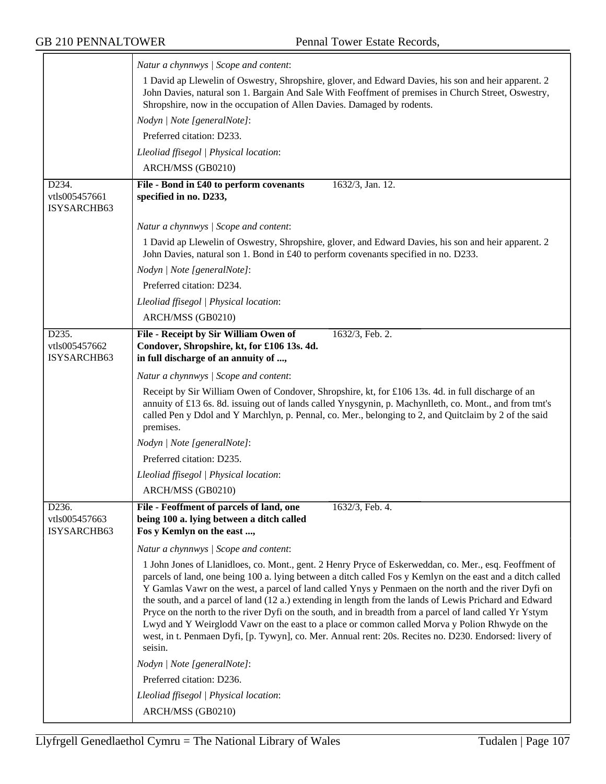|                                       | Natur a chynnwys / Scope and content:                                                                                                                                                                                                                                                                                                                                                                                                                                                                                                                                                                                                                                                                                                                                     |
|---------------------------------------|---------------------------------------------------------------------------------------------------------------------------------------------------------------------------------------------------------------------------------------------------------------------------------------------------------------------------------------------------------------------------------------------------------------------------------------------------------------------------------------------------------------------------------------------------------------------------------------------------------------------------------------------------------------------------------------------------------------------------------------------------------------------------|
|                                       | 1 David ap Llewelin of Oswestry, Shropshire, glover, and Edward Davies, his son and heir apparent. 2<br>John Davies, natural son 1. Bargain And Sale With Feoffment of premises in Church Street, Oswestry,<br>Shropshire, now in the occupation of Allen Davies. Damaged by rodents.                                                                                                                                                                                                                                                                                                                                                                                                                                                                                     |
|                                       | Nodyn   Note [generalNote]:                                                                                                                                                                                                                                                                                                                                                                                                                                                                                                                                                                                                                                                                                                                                               |
|                                       | Preferred citation: D233.                                                                                                                                                                                                                                                                                                                                                                                                                                                                                                                                                                                                                                                                                                                                                 |
|                                       | Lleoliad ffisegol   Physical location:                                                                                                                                                                                                                                                                                                                                                                                                                                                                                                                                                                                                                                                                                                                                    |
|                                       | ARCH/MSS (GB0210)                                                                                                                                                                                                                                                                                                                                                                                                                                                                                                                                                                                                                                                                                                                                                         |
| D234.<br>vtls005457661<br>ISYSARCHB63 | File - Bond in £40 to perform covenants<br>1632/3, Jan. 12.<br>specified in no. D233,                                                                                                                                                                                                                                                                                                                                                                                                                                                                                                                                                                                                                                                                                     |
|                                       | Natur a chynnwys / Scope and content:                                                                                                                                                                                                                                                                                                                                                                                                                                                                                                                                                                                                                                                                                                                                     |
|                                       | 1 David ap Llewelin of Oswestry, Shropshire, glover, and Edward Davies, his son and heir apparent. 2<br>John Davies, natural son 1. Bond in £40 to perform covenants specified in no. D233.<br>Nodyn   Note [generalNote]:                                                                                                                                                                                                                                                                                                                                                                                                                                                                                                                                                |
|                                       | Preferred citation: D234.                                                                                                                                                                                                                                                                                                                                                                                                                                                                                                                                                                                                                                                                                                                                                 |
|                                       | Lleoliad ffisegol   Physical location:                                                                                                                                                                                                                                                                                                                                                                                                                                                                                                                                                                                                                                                                                                                                    |
|                                       | ARCH/MSS (GB0210)                                                                                                                                                                                                                                                                                                                                                                                                                                                                                                                                                                                                                                                                                                                                                         |
| D <sub>235</sub> .                    | File - Receipt by Sir William Owen of<br>1632/3, Feb. 2.                                                                                                                                                                                                                                                                                                                                                                                                                                                                                                                                                                                                                                                                                                                  |
| vtls005457662<br>ISYSARCHB63          | Condover, Shropshire, kt, for £106 13s. 4d.<br>in full discharge of an annuity of ,                                                                                                                                                                                                                                                                                                                                                                                                                                                                                                                                                                                                                                                                                       |
|                                       | Natur a chynnwys / Scope and content:                                                                                                                                                                                                                                                                                                                                                                                                                                                                                                                                                                                                                                                                                                                                     |
|                                       | Receipt by Sir William Owen of Condover, Shropshire, kt, for £106 13s. 4d. in full discharge of an<br>annuity of £13 6s. 8d. issuing out of lands called Ynysgynin, p. Machynlleth, co. Mont., and from tmt's<br>called Pen y Ddol and Y Marchlyn, p. Pennal, co. Mer., belonging to 2, and Quitclaim by 2 of the said<br>premises.                                                                                                                                                                                                                                                                                                                                                                                                                                       |
|                                       | Nodyn   Note [generalNote]:                                                                                                                                                                                                                                                                                                                                                                                                                                                                                                                                                                                                                                                                                                                                               |
|                                       | Preferred citation: D235.                                                                                                                                                                                                                                                                                                                                                                                                                                                                                                                                                                                                                                                                                                                                                 |
|                                       | Lleoliad ffisegol   Physical location:                                                                                                                                                                                                                                                                                                                                                                                                                                                                                                                                                                                                                                                                                                                                    |
|                                       | ARCH/MSS (GB0210)                                                                                                                                                                                                                                                                                                                                                                                                                                                                                                                                                                                                                                                                                                                                                         |
| D236.                                 | File - Feoffment of parcels of land, one<br>1632/3, Feb. 4.                                                                                                                                                                                                                                                                                                                                                                                                                                                                                                                                                                                                                                                                                                               |
| vtls005457663<br>ISYSARCHB63          | being 100 a. lying between a ditch called<br>Fos y Kemlyn on the east ,                                                                                                                                                                                                                                                                                                                                                                                                                                                                                                                                                                                                                                                                                                   |
|                                       | Natur a chynnwys / Scope and content:                                                                                                                                                                                                                                                                                                                                                                                                                                                                                                                                                                                                                                                                                                                                     |
|                                       | 1 John Jones of Llanidloes, co. Mont., gent. 2 Henry Pryce of Eskerweddan, co. Mer., esq. Feoffment of<br>parcels of land, one being 100 a. lying between a ditch called Fos y Kemlyn on the east and a ditch called<br>Y Gamlas Vawr on the west, a parcel of land called Ynys y Penmaen on the north and the river Dyfi on<br>the south, and a parcel of land (12 a.) extending in length from the lands of Lewis Prichard and Edward<br>Pryce on the north to the river Dyfi on the south, and in breadth from a parcel of land called Yr Ystym<br>Lwyd and Y Weirglodd Vawr on the east to a place or common called Morva y Polion Rhwyde on the<br>west, in t. Penmaen Dyfi, [p. Tywyn], co. Mer. Annual rent: 20s. Recites no. D230. Endorsed: livery of<br>seisin. |
|                                       | Nodyn   Note [generalNote]:                                                                                                                                                                                                                                                                                                                                                                                                                                                                                                                                                                                                                                                                                                                                               |
|                                       | Preferred citation: D236.                                                                                                                                                                                                                                                                                                                                                                                                                                                                                                                                                                                                                                                                                                                                                 |
|                                       | Lleoliad ffisegol   Physical location:                                                                                                                                                                                                                                                                                                                                                                                                                                                                                                                                                                                                                                                                                                                                    |
|                                       | ARCH/MSS (GB0210)                                                                                                                                                                                                                                                                                                                                                                                                                                                                                                                                                                                                                                                                                                                                                         |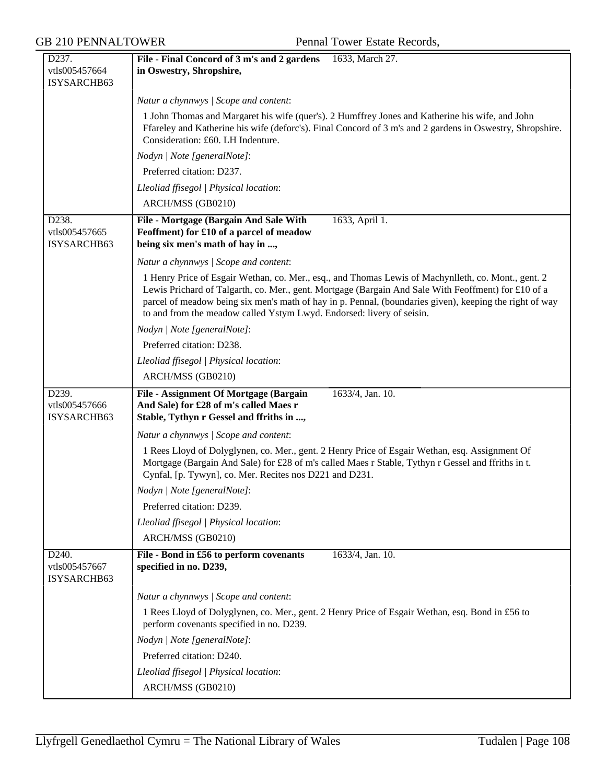| D237.                                              | File - Final Concord of 3 m's and 2 gardens<br>1633, March 27.                                                                                                                                                                                                                                                                                                                                 |
|----------------------------------------------------|------------------------------------------------------------------------------------------------------------------------------------------------------------------------------------------------------------------------------------------------------------------------------------------------------------------------------------------------------------------------------------------------|
| vtls005457664                                      | in Oswestry, Shropshire,                                                                                                                                                                                                                                                                                                                                                                       |
| ISYSARCHB63                                        |                                                                                                                                                                                                                                                                                                                                                                                                |
|                                                    | Natur a chynnwys / Scope and content:                                                                                                                                                                                                                                                                                                                                                          |
|                                                    | 1 John Thomas and Margaret his wife (quer's). 2 Humffrey Jones and Katherine his wife, and John<br>Ffareley and Katherine his wife (deforc's). Final Concord of 3 m's and 2 gardens in Oswestry, Shropshire.<br>Consideration: £60. LH Indenture.                                                                                                                                              |
|                                                    | Nodyn   Note [generalNote]:                                                                                                                                                                                                                                                                                                                                                                    |
|                                                    | Preferred citation: D237.                                                                                                                                                                                                                                                                                                                                                                      |
|                                                    | Lleoliad ffisegol   Physical location:                                                                                                                                                                                                                                                                                                                                                         |
|                                                    | ARCH/MSS (GB0210)                                                                                                                                                                                                                                                                                                                                                                              |
| D238.<br>vtls005457665<br>ISYSARCHB63              | File - Mortgage (Bargain And Sale With<br>1633, April 1.<br>Feoffment) for £10 of a parcel of meadow<br>being six men's math of hay in ,                                                                                                                                                                                                                                                       |
|                                                    | Natur a chynnwys / Scope and content:                                                                                                                                                                                                                                                                                                                                                          |
|                                                    | 1 Henry Price of Esgair Wethan, co. Mer., esq., and Thomas Lewis of Machynlleth, co. Mont., gent. 2<br>Lewis Prichard of Talgarth, co. Mer., gent. Mortgage (Bargain And Sale With Feoffment) for £10 of a<br>parcel of meadow being six men's math of hay in p. Pennal, (boundaries given), keeping the right of way<br>to and from the meadow called Ystym Lwyd. Endorsed: livery of seisin. |
|                                                    | Nodyn   Note [generalNote]:                                                                                                                                                                                                                                                                                                                                                                    |
|                                                    | Preferred citation: D238.                                                                                                                                                                                                                                                                                                                                                                      |
|                                                    | Lleoliad ffisegol   Physical location:                                                                                                                                                                                                                                                                                                                                                         |
|                                                    | ARCH/MSS (GB0210)                                                                                                                                                                                                                                                                                                                                                                              |
| D <sub>239</sub> .<br>vtls005457666<br>ISYSARCHB63 | File - Assignment Of Mortgage (Bargain<br>1633/4, Jan. 10.<br>And Sale) for £28 of m's called Maes r<br>Stable, Tythyn r Gessel and ffriths in ,                                                                                                                                                                                                                                               |
|                                                    | Natur a chynnwys / Scope and content:                                                                                                                                                                                                                                                                                                                                                          |
|                                                    | 1 Rees Lloyd of Dolyglynen, co. Mer., gent. 2 Henry Price of Esgair Wethan, esq. Assignment Of<br>Mortgage (Bargain And Sale) for £28 of m's called Maes r Stable, Tythyn r Gessel and ffriths in t.<br>Cynfal, [p. Tywyn], co. Mer. Recites nos D221 and D231.                                                                                                                                |
|                                                    | Nodyn   Note [generalNote]:                                                                                                                                                                                                                                                                                                                                                                    |
|                                                    | Preferred citation: D239.                                                                                                                                                                                                                                                                                                                                                                      |
|                                                    | Lleoliad ffisegol   Physical location:                                                                                                                                                                                                                                                                                                                                                         |
|                                                    | ARCH/MSS (GB0210)                                                                                                                                                                                                                                                                                                                                                                              |
| D <sub>240</sub> .<br>vtls005457667<br>ISYSARCHB63 | File - Bond in £56 to perform covenants<br>1633/4, Jan. 10.<br>specified in no. D239,                                                                                                                                                                                                                                                                                                          |
|                                                    | Natur a chynnwys / Scope and content:                                                                                                                                                                                                                                                                                                                                                          |
|                                                    | 1 Rees Lloyd of Dolyglynen, co. Mer., gent. 2 Henry Price of Esgair Wethan, esq. Bond in £56 to<br>perform covenants specified in no. D239.                                                                                                                                                                                                                                                    |
|                                                    | Nodyn   Note [generalNote]:                                                                                                                                                                                                                                                                                                                                                                    |
|                                                    | Preferred citation: D240.                                                                                                                                                                                                                                                                                                                                                                      |
|                                                    | Lleoliad ffisegol   Physical location:                                                                                                                                                                                                                                                                                                                                                         |
|                                                    | ARCH/MSS (GB0210)                                                                                                                                                                                                                                                                                                                                                                              |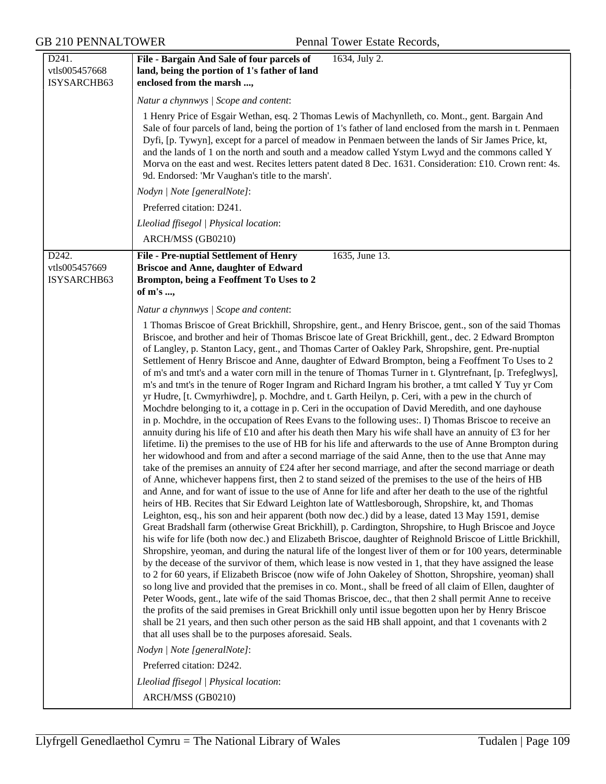| D241.                        | 1634, July 2.<br>File - Bargain And Sale of four parcels of                                                                                                                                                                                                                                                                                                                                                                                                                                                                                                                                                                                                                                                                                                                                                                                                                                                                                                                                                                                                                                                                                                                                                                                                                                                                                                                                                                                                                                                                                                                                                                                                                                                                                                                                                                                                                                                                                                                                                                                                                                                                                                                                                                                                                                                                                                                                                                                                                                                                                                                                                                                                                                                                                                                                                                                                                                                                                                               |
|------------------------------|---------------------------------------------------------------------------------------------------------------------------------------------------------------------------------------------------------------------------------------------------------------------------------------------------------------------------------------------------------------------------------------------------------------------------------------------------------------------------------------------------------------------------------------------------------------------------------------------------------------------------------------------------------------------------------------------------------------------------------------------------------------------------------------------------------------------------------------------------------------------------------------------------------------------------------------------------------------------------------------------------------------------------------------------------------------------------------------------------------------------------------------------------------------------------------------------------------------------------------------------------------------------------------------------------------------------------------------------------------------------------------------------------------------------------------------------------------------------------------------------------------------------------------------------------------------------------------------------------------------------------------------------------------------------------------------------------------------------------------------------------------------------------------------------------------------------------------------------------------------------------------------------------------------------------------------------------------------------------------------------------------------------------------------------------------------------------------------------------------------------------------------------------------------------------------------------------------------------------------------------------------------------------------------------------------------------------------------------------------------------------------------------------------------------------------------------------------------------------------------------------------------------------------------------------------------------------------------------------------------------------------------------------------------------------------------------------------------------------------------------------------------------------------------------------------------------------------------------------------------------------------------------------------------------------------------------------------------------------|
| vtls005457668                | land, being the portion of 1's father of land                                                                                                                                                                                                                                                                                                                                                                                                                                                                                                                                                                                                                                                                                                                                                                                                                                                                                                                                                                                                                                                                                                                                                                                                                                                                                                                                                                                                                                                                                                                                                                                                                                                                                                                                                                                                                                                                                                                                                                                                                                                                                                                                                                                                                                                                                                                                                                                                                                                                                                                                                                                                                                                                                                                                                                                                                                                                                                                             |
| ISYSARCHB63                  | enclosed from the marsh ,                                                                                                                                                                                                                                                                                                                                                                                                                                                                                                                                                                                                                                                                                                                                                                                                                                                                                                                                                                                                                                                                                                                                                                                                                                                                                                                                                                                                                                                                                                                                                                                                                                                                                                                                                                                                                                                                                                                                                                                                                                                                                                                                                                                                                                                                                                                                                                                                                                                                                                                                                                                                                                                                                                                                                                                                                                                                                                                                                 |
|                              | Natur a chynnwys / Scope and content:                                                                                                                                                                                                                                                                                                                                                                                                                                                                                                                                                                                                                                                                                                                                                                                                                                                                                                                                                                                                                                                                                                                                                                                                                                                                                                                                                                                                                                                                                                                                                                                                                                                                                                                                                                                                                                                                                                                                                                                                                                                                                                                                                                                                                                                                                                                                                                                                                                                                                                                                                                                                                                                                                                                                                                                                                                                                                                                                     |
|                              | 1 Henry Price of Esgair Wethan, esq. 2 Thomas Lewis of Machynlleth, co. Mont., gent. Bargain And<br>Sale of four parcels of land, being the portion of 1's father of land enclosed from the marsh in t. Penmaen<br>Dyfi, [p. Tywyn], except for a parcel of meadow in Penmaen between the lands of Sir James Price, kt,<br>and the lands of 1 on the north and south and a meadow called Ystym Lwyd and the commons called Y<br>Morva on the east and west. Recites letters patent dated 8 Dec. 1631. Consideration: £10. Crown rent: 4s.<br>9d. Endorsed: 'Mr Vaughan's title to the marsh'.                                                                                                                                                                                                                                                                                                                                                                                                                                                                                                                                                                                                                                                                                                                                                                                                                                                                                                                                                                                                                                                                                                                                                                                                                                                                                                                                                                                                                                                                                                                                                                                                                                                                                                                                                                                                                                                                                                                                                                                                                                                                                                                                                                                                                                                                                                                                                                             |
|                              | Nodyn   Note [generalNote]:                                                                                                                                                                                                                                                                                                                                                                                                                                                                                                                                                                                                                                                                                                                                                                                                                                                                                                                                                                                                                                                                                                                                                                                                                                                                                                                                                                                                                                                                                                                                                                                                                                                                                                                                                                                                                                                                                                                                                                                                                                                                                                                                                                                                                                                                                                                                                                                                                                                                                                                                                                                                                                                                                                                                                                                                                                                                                                                                               |
|                              | Preferred citation: D241.                                                                                                                                                                                                                                                                                                                                                                                                                                                                                                                                                                                                                                                                                                                                                                                                                                                                                                                                                                                                                                                                                                                                                                                                                                                                                                                                                                                                                                                                                                                                                                                                                                                                                                                                                                                                                                                                                                                                                                                                                                                                                                                                                                                                                                                                                                                                                                                                                                                                                                                                                                                                                                                                                                                                                                                                                                                                                                                                                 |
|                              | Lleoliad ffisegol   Physical location:                                                                                                                                                                                                                                                                                                                                                                                                                                                                                                                                                                                                                                                                                                                                                                                                                                                                                                                                                                                                                                                                                                                                                                                                                                                                                                                                                                                                                                                                                                                                                                                                                                                                                                                                                                                                                                                                                                                                                                                                                                                                                                                                                                                                                                                                                                                                                                                                                                                                                                                                                                                                                                                                                                                                                                                                                                                                                                                                    |
|                              | ARCH/MSS (GB0210)                                                                                                                                                                                                                                                                                                                                                                                                                                                                                                                                                                                                                                                                                                                                                                                                                                                                                                                                                                                                                                                                                                                                                                                                                                                                                                                                                                                                                                                                                                                                                                                                                                                                                                                                                                                                                                                                                                                                                                                                                                                                                                                                                                                                                                                                                                                                                                                                                                                                                                                                                                                                                                                                                                                                                                                                                                                                                                                                                         |
| D242.                        | 1635, June 13.<br><b>File - Pre-nuptial Settlement of Henry</b>                                                                                                                                                                                                                                                                                                                                                                                                                                                                                                                                                                                                                                                                                                                                                                                                                                                                                                                                                                                                                                                                                                                                                                                                                                                                                                                                                                                                                                                                                                                                                                                                                                                                                                                                                                                                                                                                                                                                                                                                                                                                                                                                                                                                                                                                                                                                                                                                                                                                                                                                                                                                                                                                                                                                                                                                                                                                                                           |
| vtls005457669<br>ISYSARCHB63 | Briscoe and Anne, daughter of Edward<br>Brompton, being a Feoffment To Uses to 2<br>of m's ,                                                                                                                                                                                                                                                                                                                                                                                                                                                                                                                                                                                                                                                                                                                                                                                                                                                                                                                                                                                                                                                                                                                                                                                                                                                                                                                                                                                                                                                                                                                                                                                                                                                                                                                                                                                                                                                                                                                                                                                                                                                                                                                                                                                                                                                                                                                                                                                                                                                                                                                                                                                                                                                                                                                                                                                                                                                                              |
|                              | Natur a chynnwys / Scope and content:                                                                                                                                                                                                                                                                                                                                                                                                                                                                                                                                                                                                                                                                                                                                                                                                                                                                                                                                                                                                                                                                                                                                                                                                                                                                                                                                                                                                                                                                                                                                                                                                                                                                                                                                                                                                                                                                                                                                                                                                                                                                                                                                                                                                                                                                                                                                                                                                                                                                                                                                                                                                                                                                                                                                                                                                                                                                                                                                     |
|                              | 1 Thomas Briscoe of Great Brickhill, Shropshire, gent., and Henry Briscoe, gent., son of the said Thomas<br>Briscoe, and brother and heir of Thomas Briscoe late of Great Brickhill, gent., dec. 2 Edward Brompton<br>of Langley, p. Stanton Lacy, gent., and Thomas Carter of Oakley Park, Shropshire, gent. Pre-nuptial<br>Settlement of Henry Briscoe and Anne, daughter of Edward Brompton, being a Feoffment To Uses to 2<br>of m's and tmt's and a water corn mill in the tenure of Thomas Turner in t. Glyntrefnant, [p. Trefeglwys],<br>m's and tmt's in the tenure of Roger Ingram and Richard Ingram his brother, a tmt called Y Tuy yr Com<br>yr Hudre, [t. Cwmyrhiwdre], p. Mochdre, and t. Garth Heilyn, p. Ceri, with a pew in the church of<br>Mochdre belonging to it, a cottage in p. Ceri in the occupation of David Meredith, and one dayhouse<br>in p. Mochdre, in the occupation of Rees Evans to the following uses:. I) Thomas Briscoe to receive an<br>annuity during his life of £10 and after his death then Mary his wife shall have an annuity of £3 for her<br>lifetime. Ii) the premises to the use of HB for his life and afterwards to the use of Anne Brompton during<br>her widowhood and from and after a second marriage of the said Anne, then to the use that Anne may<br>take of the premises an annuity of $£24$ after her second marriage, and after the second marriage or death<br>of Anne, whichever happens first, then 2 to stand seized of the premises to the use of the heirs of HB<br>and Anne, and for want of issue to the use of Anne for life and after her death to the use of the rightful<br>heirs of HB. Recites that Sir Edward Leighton late of Wattlesborough, Shropshire, kt, and Thomas<br>Leighton, esq., his son and heir apparent (both now dec.) did by a lease, dated 13 May 1591, demise<br>Great Bradshall farm (otherwise Great Brickhill), p. Cardington, Shropshire, to Hugh Briscoe and Joyce<br>his wife for life (both now dec.) and Elizabeth Briscoe, daughter of Reighnold Briscoe of Little Brickhill,<br>Shropshire, yeoman, and during the natural life of the longest liver of them or for 100 years, determinable<br>by the decease of the survivor of them, which lease is now vested in 1, that they have assigned the lease<br>to 2 for 60 years, if Elizabeth Briscoe (now wife of John Oakeley of Shotton, Shropshire, yeoman) shall<br>so long live and provided that the premises in co. Mont., shall be freed of all claim of Ellen, daughter of<br>Peter Woods, gent., late wife of the said Thomas Briscoe, dec., that then 2 shall permit Anne to receive<br>the profits of the said premises in Great Brickhill only until issue begotten upon her by Henry Briscoe<br>shall be 21 years, and then such other person as the said HB shall appoint, and that 1 covenants with 2<br>that all uses shall be to the purposes aforesaid. Seals.<br>Nodyn   Note [generalNote]: |
|                              | Preferred citation: D242.                                                                                                                                                                                                                                                                                                                                                                                                                                                                                                                                                                                                                                                                                                                                                                                                                                                                                                                                                                                                                                                                                                                                                                                                                                                                                                                                                                                                                                                                                                                                                                                                                                                                                                                                                                                                                                                                                                                                                                                                                                                                                                                                                                                                                                                                                                                                                                                                                                                                                                                                                                                                                                                                                                                                                                                                                                                                                                                                                 |
|                              | Lleoliad ffisegol   Physical location:                                                                                                                                                                                                                                                                                                                                                                                                                                                                                                                                                                                                                                                                                                                                                                                                                                                                                                                                                                                                                                                                                                                                                                                                                                                                                                                                                                                                                                                                                                                                                                                                                                                                                                                                                                                                                                                                                                                                                                                                                                                                                                                                                                                                                                                                                                                                                                                                                                                                                                                                                                                                                                                                                                                                                                                                                                                                                                                                    |
|                              | ARCH/MSS (GB0210)                                                                                                                                                                                                                                                                                                                                                                                                                                                                                                                                                                                                                                                                                                                                                                                                                                                                                                                                                                                                                                                                                                                                                                                                                                                                                                                                                                                                                                                                                                                                                                                                                                                                                                                                                                                                                                                                                                                                                                                                                                                                                                                                                                                                                                                                                                                                                                                                                                                                                                                                                                                                                                                                                                                                                                                                                                                                                                                                                         |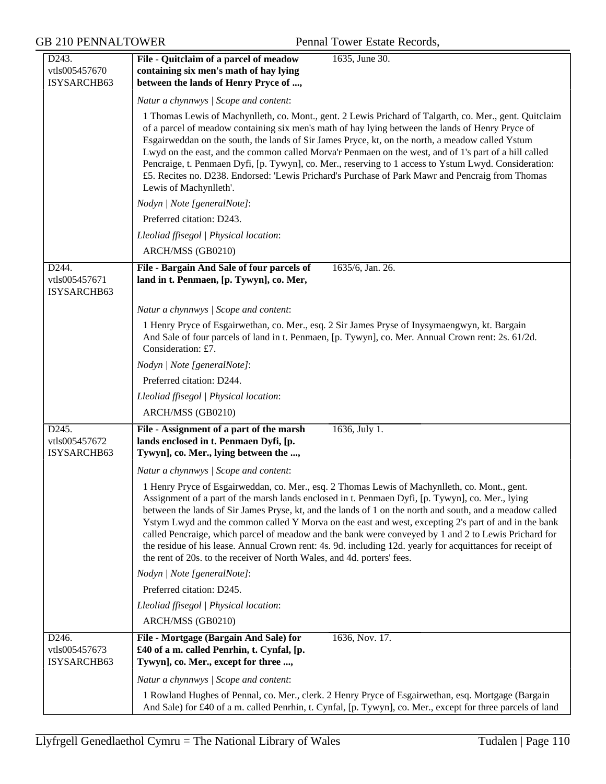| D <sub>243</sub> .<br>vtls005457670<br>ISYSARCHB63 | 1635, June 30.<br>File - Quitclaim of a parcel of meadow<br>containing six men's math of hay lying<br>between the lands of Henry Pryce of ,                                                                                                                                                                                                                                                                                                                                                                                                                                                                                                                                                                            |
|----------------------------------------------------|------------------------------------------------------------------------------------------------------------------------------------------------------------------------------------------------------------------------------------------------------------------------------------------------------------------------------------------------------------------------------------------------------------------------------------------------------------------------------------------------------------------------------------------------------------------------------------------------------------------------------------------------------------------------------------------------------------------------|
|                                                    | Natur a chynnwys / Scope and content:                                                                                                                                                                                                                                                                                                                                                                                                                                                                                                                                                                                                                                                                                  |
|                                                    | 1 Thomas Lewis of Machynlleth, co. Mont., gent. 2 Lewis Prichard of Talgarth, co. Mer., gent. Quitclaim<br>of a parcel of meadow containing six men's math of hay lying between the lands of Henry Pryce of<br>Esgairweddan on the south, the lands of Sir James Pryce, kt, on the north, a meadow called Ystum<br>Lwyd on the east, and the common called Morva'r Penmaen on the west, and of 1's part of a hill called<br>Pencraige, t. Penmaen Dyfi, [p. Tywyn], co. Mer., reserving to 1 access to Ystum Lwyd. Consideration:<br>£5. Recites no. D238. Endorsed: 'Lewis Prichard's Purchase of Park Mawr and Pencraig from Thomas<br>Lewis of Machynlleth'.                                                        |
|                                                    | Nodyn   Note [generalNote]:                                                                                                                                                                                                                                                                                                                                                                                                                                                                                                                                                                                                                                                                                            |
|                                                    | Preferred citation: D243.                                                                                                                                                                                                                                                                                                                                                                                                                                                                                                                                                                                                                                                                                              |
|                                                    | Lleoliad ffisegol   Physical location:                                                                                                                                                                                                                                                                                                                                                                                                                                                                                                                                                                                                                                                                                 |
|                                                    | ARCH/MSS (GB0210)                                                                                                                                                                                                                                                                                                                                                                                                                                                                                                                                                                                                                                                                                                      |
| D <sub>244</sub> .<br>vtls005457671<br>ISYSARCHB63 | File - Bargain And Sale of four parcels of<br>1635/6, Jan. 26.<br>land in t. Penmaen, [p. Tywyn], co. Mer,                                                                                                                                                                                                                                                                                                                                                                                                                                                                                                                                                                                                             |
|                                                    | Natur a chynnwys / Scope and content:                                                                                                                                                                                                                                                                                                                                                                                                                                                                                                                                                                                                                                                                                  |
|                                                    | 1 Henry Pryce of Esgairwethan, co. Mer., esq. 2 Sir James Pryse of Inysymaengwyn, kt. Bargain<br>And Sale of four parcels of land in t. Penmaen, [p. Tywyn], co. Mer. Annual Crown rent: 2s. 61/2d.<br>Consideration: £7.                                                                                                                                                                                                                                                                                                                                                                                                                                                                                              |
|                                                    | Nodyn   Note [generalNote]:                                                                                                                                                                                                                                                                                                                                                                                                                                                                                                                                                                                                                                                                                            |
|                                                    | Preferred citation: D244.                                                                                                                                                                                                                                                                                                                                                                                                                                                                                                                                                                                                                                                                                              |
|                                                    | Lleoliad ffisegol   Physical location:                                                                                                                                                                                                                                                                                                                                                                                                                                                                                                                                                                                                                                                                                 |
|                                                    | ARCH/MSS (GB0210)                                                                                                                                                                                                                                                                                                                                                                                                                                                                                                                                                                                                                                                                                                      |
| D245.<br>vtls005457672<br>ISYSARCHB63              | File - Assignment of a part of the marsh<br>1636, July 1.<br>lands enclosed in t. Penmaen Dyfi, [p.<br>Tywyn], co. Mer., lying between the ,                                                                                                                                                                                                                                                                                                                                                                                                                                                                                                                                                                           |
|                                                    | Natur a chynnwys / Scope and content:                                                                                                                                                                                                                                                                                                                                                                                                                                                                                                                                                                                                                                                                                  |
|                                                    | 1 Henry Pryce of Esgairweddan, co. Mer., esq. 2 Thomas Lewis of Machynlleth, co. Mont., gent.<br>Assignment of a part of the marsh lands enclosed in t. Penmaen Dyfi, [p. Tywyn], co. Mer., lying<br>between the lands of Sir James Pryse, kt, and the lands of 1 on the north and south, and a meadow called<br>Ystym Lwyd and the common called Y Morva on the east and west, excepting 2's part of and in the bank<br>called Pencraige, which parcel of meadow and the bank were conveyed by 1 and 2 to Lewis Prichard for<br>the residue of his lease. Annual Crown rent: 4s. 9d. including 12d. yearly for acquittances for receipt of<br>the rent of 20s. to the receiver of North Wales, and 4d. porters' fees. |
|                                                    | Nodyn   Note [generalNote]:                                                                                                                                                                                                                                                                                                                                                                                                                                                                                                                                                                                                                                                                                            |
|                                                    | Preferred citation: D245.                                                                                                                                                                                                                                                                                                                                                                                                                                                                                                                                                                                                                                                                                              |
|                                                    | Lleoliad ffisegol   Physical location:                                                                                                                                                                                                                                                                                                                                                                                                                                                                                                                                                                                                                                                                                 |
|                                                    | ARCH/MSS (GB0210)                                                                                                                                                                                                                                                                                                                                                                                                                                                                                                                                                                                                                                                                                                      |
| D246.<br>vtls005457673<br>ISYSARCHB63              | File - Mortgage (Bargain And Sale) for<br>1636, Nov. 17.<br>£40 of a m. called Penrhin, t. Cynfal, [p.<br>Tywyn], co. Mer., except for three ,                                                                                                                                                                                                                                                                                                                                                                                                                                                                                                                                                                         |
|                                                    | Natur a chynnwys / Scope and content:                                                                                                                                                                                                                                                                                                                                                                                                                                                                                                                                                                                                                                                                                  |
|                                                    | 1 Rowland Hughes of Pennal, co. Mer., clerk. 2 Henry Pryce of Esgairwethan, esq. Mortgage (Bargain<br>And Sale) for £40 of a m. called Penrhin, t. Cynfal, [p. Tywyn], co. Mer., except for three parcels of land                                                                                                                                                                                                                                                                                                                                                                                                                                                                                                      |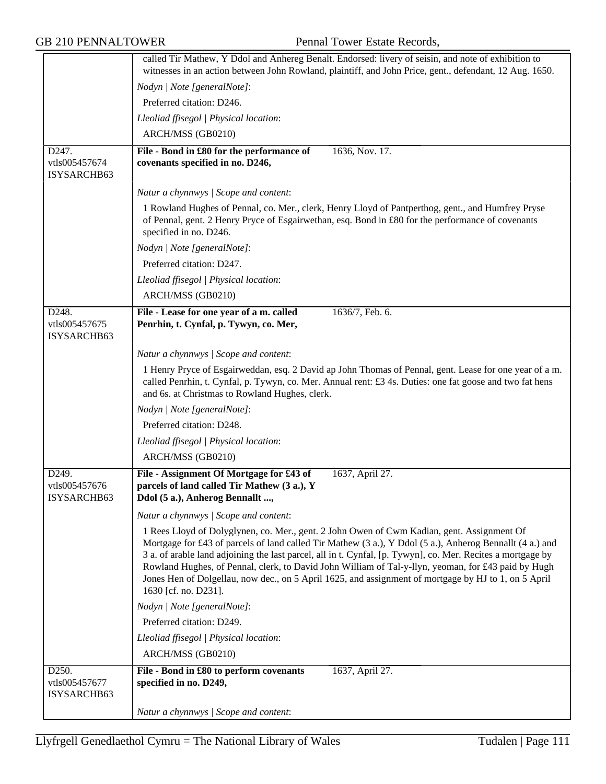|                                       | called Tir Mathew, Y Ddol and Anhereg Benalt. Endorsed: livery of seisin, and note of exhibition to<br>witnesses in an action between John Rowland, plaintiff, and John Price, gent., defendant, 12 Aug. 1650.                                                                                                                                                                                                                                                                                                                                               |
|---------------------------------------|--------------------------------------------------------------------------------------------------------------------------------------------------------------------------------------------------------------------------------------------------------------------------------------------------------------------------------------------------------------------------------------------------------------------------------------------------------------------------------------------------------------------------------------------------------------|
|                                       | Nodyn   Note [generalNote]:                                                                                                                                                                                                                                                                                                                                                                                                                                                                                                                                  |
|                                       | Preferred citation: D246.                                                                                                                                                                                                                                                                                                                                                                                                                                                                                                                                    |
|                                       | Lleoliad ffisegol   Physical location:                                                                                                                                                                                                                                                                                                                                                                                                                                                                                                                       |
|                                       | ARCH/MSS (GB0210)                                                                                                                                                                                                                                                                                                                                                                                                                                                                                                                                            |
|                                       |                                                                                                                                                                                                                                                                                                                                                                                                                                                                                                                                                              |
| D247.<br>vtls005457674<br>ISYSARCHB63 | File - Bond in £80 for the performance of<br>1636, Nov. 17.<br>covenants specified in no. D246,                                                                                                                                                                                                                                                                                                                                                                                                                                                              |
|                                       |                                                                                                                                                                                                                                                                                                                                                                                                                                                                                                                                                              |
|                                       | Natur a chynnwys / Scope and content:                                                                                                                                                                                                                                                                                                                                                                                                                                                                                                                        |
|                                       | 1 Rowland Hughes of Pennal, co. Mer., clerk, Henry Lloyd of Pantperthog, gent., and Humfrey Pryse<br>of Pennal, gent. 2 Henry Pryce of Esgairwethan, esq. Bond in £80 for the performance of covenants<br>specified in no. D246.                                                                                                                                                                                                                                                                                                                             |
|                                       | Nodyn   Note [generalNote]:                                                                                                                                                                                                                                                                                                                                                                                                                                                                                                                                  |
|                                       | Preferred citation: D247.                                                                                                                                                                                                                                                                                                                                                                                                                                                                                                                                    |
|                                       | Lleoliad ffisegol   Physical location:                                                                                                                                                                                                                                                                                                                                                                                                                                                                                                                       |
|                                       | ARCH/MSS (GB0210)                                                                                                                                                                                                                                                                                                                                                                                                                                                                                                                                            |
| D248.                                 | File - Lease for one year of a m. called<br>1636/7, Feb. 6.                                                                                                                                                                                                                                                                                                                                                                                                                                                                                                  |
| vtls005457675<br>ISYSARCHB63          | Penrhin, t. Cynfal, p. Tywyn, co. Mer,                                                                                                                                                                                                                                                                                                                                                                                                                                                                                                                       |
|                                       | Natur a chynnwys / Scope and content:                                                                                                                                                                                                                                                                                                                                                                                                                                                                                                                        |
|                                       | 1 Henry Pryce of Esgairweddan, esq. 2 David ap John Thomas of Pennal, gent. Lease for one year of a m.<br>called Penrhin, t. Cynfal, p. Tywyn, co. Mer. Annual rent: £3 4s. Duties: one fat goose and two fat hens<br>and 6s. at Christmas to Rowland Hughes, clerk.                                                                                                                                                                                                                                                                                         |
|                                       | Nodyn   Note [generalNote]:                                                                                                                                                                                                                                                                                                                                                                                                                                                                                                                                  |
|                                       | Preferred citation: D248.                                                                                                                                                                                                                                                                                                                                                                                                                                                                                                                                    |
|                                       | Lleoliad ffisegol   Physical location:                                                                                                                                                                                                                                                                                                                                                                                                                                                                                                                       |
|                                       | ARCH/MSS (GB0210)                                                                                                                                                                                                                                                                                                                                                                                                                                                                                                                                            |
| D249.<br>vtls005457676<br>ISYSARCHB63 | File - Assignment Of Mortgage for £43 of<br>1637, April 27.<br>parcels of land called Tir Mathew (3 a.), Y<br>Ddol (5 a.), Anherog Bennallt ,                                                                                                                                                                                                                                                                                                                                                                                                                |
|                                       | Natur a chynnwys / Scope and content:                                                                                                                                                                                                                                                                                                                                                                                                                                                                                                                        |
|                                       | 1 Rees Lloyd of Dolyglynen, co. Mer., gent. 2 John Owen of Cwm Kadian, gent. Assignment Of<br>Mortgage for £43 of parcels of land called Tir Mathew (3 a.), Y Ddol (5 a.), Anherog Bennallt (4 a.) and<br>3 a. of arable land adjoining the last parcel, all in t. Cynfal, [p. Tywyn], co. Mer. Recites a mortgage by<br>Rowland Hughes, of Pennal, clerk, to David John William of Tal-y-llyn, yeoman, for £43 paid by Hugh<br>Jones Hen of Dolgellau, now dec., on 5 April 1625, and assignment of mortgage by HJ to 1, on 5 April<br>1630 [cf. no. D231]. |
|                                       | Nodyn   Note [generalNote]:                                                                                                                                                                                                                                                                                                                                                                                                                                                                                                                                  |
|                                       | Preferred citation: D249.                                                                                                                                                                                                                                                                                                                                                                                                                                                                                                                                    |
|                                       | Lleoliad ffisegol   Physical location:                                                                                                                                                                                                                                                                                                                                                                                                                                                                                                                       |
|                                       | ARCH/MSS (GB0210)                                                                                                                                                                                                                                                                                                                                                                                                                                                                                                                                            |
| D250.                                 | File - Bond in £80 to perform covenants<br>1637, April 27.                                                                                                                                                                                                                                                                                                                                                                                                                                                                                                   |
| vtls005457677                         | specified in no. D249,                                                                                                                                                                                                                                                                                                                                                                                                                                                                                                                                       |
| ISYSARCHB63                           |                                                                                                                                                                                                                                                                                                                                                                                                                                                                                                                                                              |
|                                       | Natur a chynnwys / Scope and content:                                                                                                                                                                                                                                                                                                                                                                                                                                                                                                                        |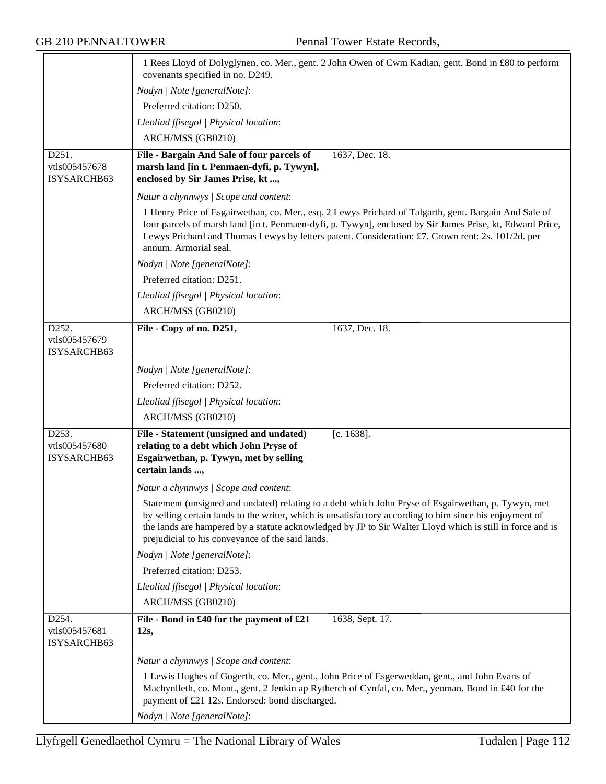|                                       | 1 Rees Lloyd of Dolyglynen, co. Mer., gent. 2 John Owen of Cwm Kadian, gent. Bond in £80 to perform<br>covenants specified in no. D249.                                                                                                                                                                                                                                         |
|---------------------------------------|---------------------------------------------------------------------------------------------------------------------------------------------------------------------------------------------------------------------------------------------------------------------------------------------------------------------------------------------------------------------------------|
|                                       | Nodyn   Note [generalNote]:                                                                                                                                                                                                                                                                                                                                                     |
|                                       | Preferred citation: D250.                                                                                                                                                                                                                                                                                                                                                       |
|                                       | Lleoliad ffisegol   Physical location:                                                                                                                                                                                                                                                                                                                                          |
|                                       | ARCH/MSS (GB0210)                                                                                                                                                                                                                                                                                                                                                               |
| D251.                                 | 1637, Dec. 18.<br>File - Bargain And Sale of four parcels of                                                                                                                                                                                                                                                                                                                    |
| vtls005457678<br>ISYSARCHB63          | marsh land [in t. Penmaen-dyfi, p. Tywyn],<br>enclosed by Sir James Prise, kt ,                                                                                                                                                                                                                                                                                                 |
|                                       | Natur a chynnwys / Scope and content:                                                                                                                                                                                                                                                                                                                                           |
|                                       | 1 Henry Price of Esgairwethan, co. Mer., esq. 2 Lewys Prichard of Talgarth, gent. Bargain And Sale of<br>four parcels of marsh land [in t. Penmaen-dyfi, p. Tywyn], enclosed by Sir James Prise, kt, Edward Price,<br>Lewys Prichard and Thomas Lewys by letters patent. Consideration: £7. Crown rent: 2s. 101/2d. per<br>annum. Armorial seal.                                |
|                                       | Nodyn   Note [generalNote]:                                                                                                                                                                                                                                                                                                                                                     |
|                                       | Preferred citation: D251.                                                                                                                                                                                                                                                                                                                                                       |
|                                       | Lleoliad ffisegol   Physical location:                                                                                                                                                                                                                                                                                                                                          |
|                                       | ARCH/MSS (GB0210)                                                                                                                                                                                                                                                                                                                                                               |
| D252.                                 | File - Copy of no. D251,<br>1637, Dec. 18.                                                                                                                                                                                                                                                                                                                                      |
| vtls005457679<br>ISYSARCHB63          |                                                                                                                                                                                                                                                                                                                                                                                 |
|                                       | Nodyn   Note [generalNote]:                                                                                                                                                                                                                                                                                                                                                     |
|                                       | Preferred citation: D252.                                                                                                                                                                                                                                                                                                                                                       |
|                                       | Lleoliad ffisegol   Physical location:                                                                                                                                                                                                                                                                                                                                          |
|                                       | ARCH/MSS (GB0210)                                                                                                                                                                                                                                                                                                                                                               |
| D253.<br>vtls005457680<br>ISYSARCHB63 | File - Statement (unsigned and undated)<br>$[c. 1638]$ .<br>relating to a debt which John Pryse of<br>Esgairwethan, p. Tywyn, met by selling<br>certain lands ,                                                                                                                                                                                                                 |
|                                       | Natur a chynnwys / Scope and content:                                                                                                                                                                                                                                                                                                                                           |
|                                       | Statement (unsigned and undated) relating to a debt which John Pryse of Esgairwethan, p. Tywyn, met<br>by selling certain lands to the writer, which is unsatisfactory according to him since his enjoyment of<br>the lands are hampered by a statute acknowledged by JP to Sir Walter Lloyd which is still in force and is<br>prejudicial to his conveyance of the said lands. |
|                                       | Nodyn   Note [generalNote]:                                                                                                                                                                                                                                                                                                                                                     |
|                                       | Preferred citation: D253.                                                                                                                                                                                                                                                                                                                                                       |
|                                       | Lleoliad ffisegol   Physical location:                                                                                                                                                                                                                                                                                                                                          |
|                                       | ARCH/MSS (GB0210)                                                                                                                                                                                                                                                                                                                                                               |
| D254.<br>vtls005457681<br>ISYSARCHB63 | File - Bond in £40 for the payment of £21<br>1638, Sept. 17.<br>12s,                                                                                                                                                                                                                                                                                                            |
|                                       | Natur a chynnwys / Scope and content:                                                                                                                                                                                                                                                                                                                                           |
|                                       | 1 Lewis Hughes of Gogerth, co. Mer., gent., John Price of Esgerweddan, gent., and John Evans of<br>Machynlleth, co. Mont., gent. 2 Jenkin ap Rytherch of Cynfal, co. Mer., yeoman. Bond in £40 for the<br>payment of £21 12s. Endorsed: bond discharged.                                                                                                                        |
|                                       | Nodyn   Note [generalNote]:                                                                                                                                                                                                                                                                                                                                                     |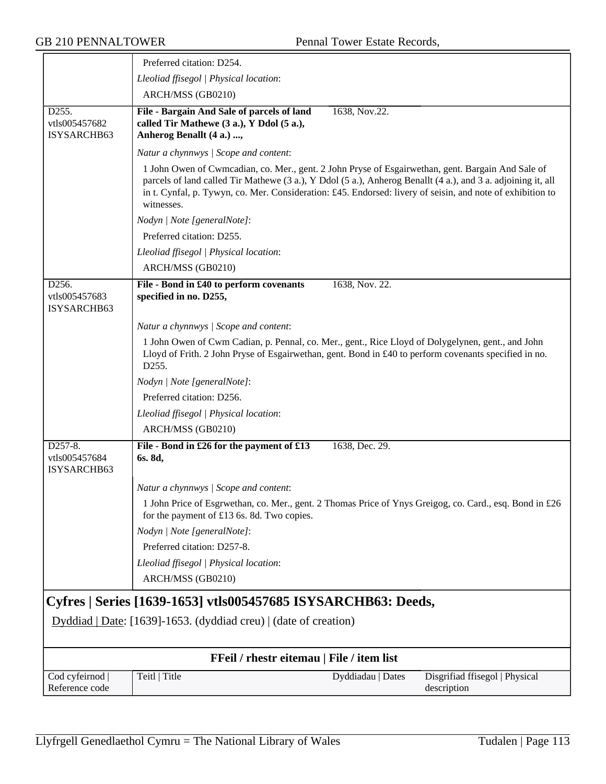|                                                    | Preferred citation: D254.                                                                                                                                                                                                                                                                                                                     |                                               |
|----------------------------------------------------|-----------------------------------------------------------------------------------------------------------------------------------------------------------------------------------------------------------------------------------------------------------------------------------------------------------------------------------------------|-----------------------------------------------|
|                                                    | Lleoliad ffisegol   Physical location:                                                                                                                                                                                                                                                                                                        |                                               |
|                                                    | ARCH/MSS (GB0210)                                                                                                                                                                                                                                                                                                                             |                                               |
| D <sub>255</sub> .<br>vtls005457682<br>ISYSARCHB63 | File - Bargain And Sale of parcels of land<br>1638, Nov.22.<br>called Tir Mathewe (3 a.), Y Ddol (5 a.),<br>Anherog Benallt (4 a.) ,                                                                                                                                                                                                          |                                               |
|                                                    | Natur a chynnwys / Scope and content:                                                                                                                                                                                                                                                                                                         |                                               |
|                                                    | 1 John Owen of Cwmcadian, co. Mer., gent. 2 John Pryse of Esgairwethan, gent. Bargain And Sale of<br>parcels of land called Tir Mathewe (3 a.), Y Ddol (5 a.), Anherog Benallt (4 a.), and 3 a. adjoining it, all<br>in t. Cynfal, p. Tywyn, co. Mer. Consideration: £45. Endorsed: livery of seisin, and note of exhibition to<br>witnesses. |                                               |
|                                                    | Nodyn   Note [generalNote]:                                                                                                                                                                                                                                                                                                                   |                                               |
|                                                    | Preferred citation: D255.                                                                                                                                                                                                                                                                                                                     |                                               |
|                                                    | Lleoliad ffisegol   Physical location:                                                                                                                                                                                                                                                                                                        |                                               |
|                                                    | ARCH/MSS (GB0210)                                                                                                                                                                                                                                                                                                                             |                                               |
| D256.<br>vtls005457683<br>ISYSARCHB63              | File - Bond in £40 to perform covenants<br>1638, Nov. 22.<br>specified in no. D255,                                                                                                                                                                                                                                                           |                                               |
|                                                    | Natur a chynnwys / Scope and content:                                                                                                                                                                                                                                                                                                         |                                               |
|                                                    | 1 John Owen of Cwm Cadian, p. Pennal, co. Mer., gent., Rice Lloyd of Dolygelynen, gent., and John<br>Lloyd of Frith. 2 John Pryse of Esgairwethan, gent. Bond in £40 to perform covenants specified in no.<br>D255.                                                                                                                           |                                               |
|                                                    | Nodyn   Note [generalNote]:                                                                                                                                                                                                                                                                                                                   |                                               |
|                                                    | Preferred citation: D256.                                                                                                                                                                                                                                                                                                                     |                                               |
|                                                    | Lleoliad ffisegol   Physical location:                                                                                                                                                                                                                                                                                                        |                                               |
|                                                    | ARCH/MSS (GB0210)                                                                                                                                                                                                                                                                                                                             |                                               |
| D257-8.<br>vtls005457684<br>ISYSARCHB63            | File - Bond in £26 for the payment of £13<br>1638, Dec. 29.<br>6s. 8d,                                                                                                                                                                                                                                                                        |                                               |
|                                                    | Natur a chynnwys / Scope and content:                                                                                                                                                                                                                                                                                                         |                                               |
|                                                    | 1 John Price of Esgrwethan, co. Mer., gent. 2 Thomas Price of Ynys Greigog, co. Card., esq. Bond in £26<br>for the payment of £13 6s. 8d. Two copies.                                                                                                                                                                                         |                                               |
|                                                    | Nodyn   Note [generalNote]:                                                                                                                                                                                                                                                                                                                   |                                               |
|                                                    | Preferred citation: D257-8.                                                                                                                                                                                                                                                                                                                   |                                               |
|                                                    | Lleoliad ffisegol   Physical location:                                                                                                                                                                                                                                                                                                        |                                               |
|                                                    | ARCH/MSS (GB0210)                                                                                                                                                                                                                                                                                                                             |                                               |
|                                                    | Cyfres   Series [1639-1653] vtls005457685 ISYSARCHB63: Deeds,                                                                                                                                                                                                                                                                                 |                                               |
|                                                    |                                                                                                                                                                                                                                                                                                                                               |                                               |
|                                                    | Dyddiad   Date: [1639]-1653. (dyddiad creu)   (date of creation)                                                                                                                                                                                                                                                                              |                                               |
|                                                    | FFeil / rhestr eitemau   File / item list                                                                                                                                                                                                                                                                                                     |                                               |
| Cod cyfeirnod<br>Reference code                    | Teitl   Title<br>Dyddiadau   Dates                                                                                                                                                                                                                                                                                                            | Disgrifiad ffisegol   Physical<br>description |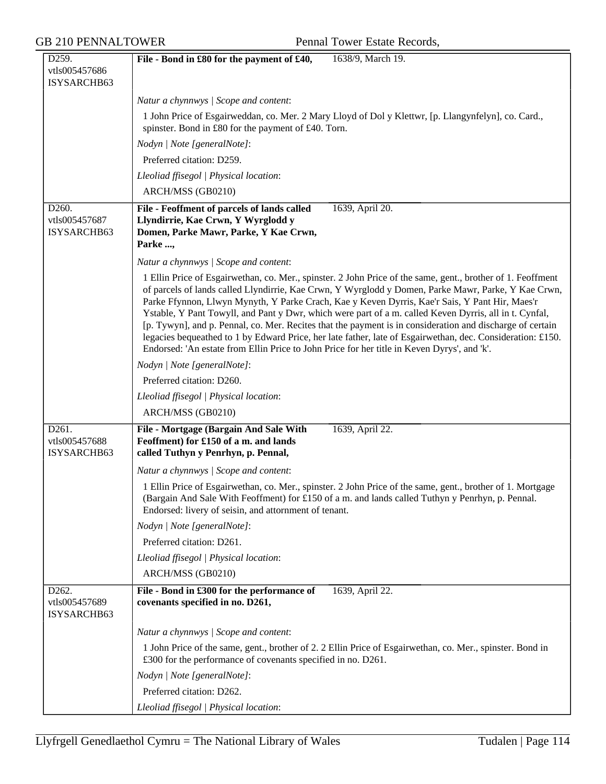| D259.                                 | 1638/9, March 19.<br>File - Bond in £80 for the payment of £40,                                                                                                                                                                                                                                                                                                                                                                                                                                                                                                                                                                                                                                                                                          |
|---------------------------------------|----------------------------------------------------------------------------------------------------------------------------------------------------------------------------------------------------------------------------------------------------------------------------------------------------------------------------------------------------------------------------------------------------------------------------------------------------------------------------------------------------------------------------------------------------------------------------------------------------------------------------------------------------------------------------------------------------------------------------------------------------------|
| vtls005457686                         |                                                                                                                                                                                                                                                                                                                                                                                                                                                                                                                                                                                                                                                                                                                                                          |
| ISYSARCHB63                           |                                                                                                                                                                                                                                                                                                                                                                                                                                                                                                                                                                                                                                                                                                                                                          |
|                                       | Natur a chynnwys / Scope and content:                                                                                                                                                                                                                                                                                                                                                                                                                                                                                                                                                                                                                                                                                                                    |
|                                       | 1 John Price of Esgairweddan, co. Mer. 2 Mary Lloyd of Dol y Klettwr, [p. Llangynfelyn], co. Card.,<br>spinster. Bond in £80 for the payment of £40. Torn.                                                                                                                                                                                                                                                                                                                                                                                                                                                                                                                                                                                               |
|                                       | Nodyn   Note [generalNote]:                                                                                                                                                                                                                                                                                                                                                                                                                                                                                                                                                                                                                                                                                                                              |
|                                       | Preferred citation: D259.                                                                                                                                                                                                                                                                                                                                                                                                                                                                                                                                                                                                                                                                                                                                |
|                                       | Lleoliad ffisegol   Physical location:                                                                                                                                                                                                                                                                                                                                                                                                                                                                                                                                                                                                                                                                                                                   |
|                                       | ARCH/MSS (GB0210)                                                                                                                                                                                                                                                                                                                                                                                                                                                                                                                                                                                                                                                                                                                                        |
| D260.<br>vtls005457687<br>ISYSARCHB63 | File - Feoffment of parcels of lands called<br>1639, April 20.<br>Llyndirrie, Kae Crwn, Y Wyrglodd y<br>Domen, Parke Mawr, Parke, Y Kae Crwn,<br>Parke ,                                                                                                                                                                                                                                                                                                                                                                                                                                                                                                                                                                                                 |
|                                       | Natur a chynnwys / Scope and content:                                                                                                                                                                                                                                                                                                                                                                                                                                                                                                                                                                                                                                                                                                                    |
|                                       | 1 Ellin Price of Esgairwethan, co. Mer., spinster. 2 John Price of the same, gent., brother of 1. Feoffment<br>of parcels of lands called Llyndirrie, Kae Crwn, Y Wyrglodd y Domen, Parke Mawr, Parke, Y Kae Crwn,<br>Parke Ffynnon, Llwyn Mynyth, Y Parke Crach, Kae y Keven Dyrris, Kae'r Sais, Y Pant Hir, Maes'r<br>Ystable, Y Pant Towyll, and Pant y Dwr, which were part of a m. called Keven Dyrris, all in t. Cynfal,<br>[p. Tywyn], and p. Pennal, co. Mer. Recites that the payment is in consideration and discharge of certain<br>legacies bequeathed to 1 by Edward Price, her late father, late of Esgairwethan, dec. Consideration: £150.<br>Endorsed: 'An estate from Ellin Price to John Price for her title in Keven Dyrys', and 'k'. |
|                                       | Nodyn   Note [generalNote]:                                                                                                                                                                                                                                                                                                                                                                                                                                                                                                                                                                                                                                                                                                                              |
|                                       | Preferred citation: D260.                                                                                                                                                                                                                                                                                                                                                                                                                                                                                                                                                                                                                                                                                                                                |
|                                       | Lleoliad ffisegol   Physical location:                                                                                                                                                                                                                                                                                                                                                                                                                                                                                                                                                                                                                                                                                                                   |
|                                       | ARCH/MSS (GB0210)                                                                                                                                                                                                                                                                                                                                                                                                                                                                                                                                                                                                                                                                                                                                        |
| D261.<br>vtls005457688<br>ISYSARCHB63 | File - Mortgage (Bargain And Sale With<br>1639, April 22.<br>Feoffment) for £150 of a m. and lands<br>called Tuthyn y Penrhyn, p. Pennal,                                                                                                                                                                                                                                                                                                                                                                                                                                                                                                                                                                                                                |
|                                       | Natur a chynnwys / Scope and content:                                                                                                                                                                                                                                                                                                                                                                                                                                                                                                                                                                                                                                                                                                                    |
|                                       | 1 Ellin Price of Esgairwethan, co. Mer., spinster. 2 John Price of the same, gent., brother of 1. Mortgage<br>(Bargain And Sale With Feoffment) for £150 of a m. and lands called Tuthyn y Penrhyn, p. Pennal.<br>Endorsed: livery of seisin, and attornment of tenant.                                                                                                                                                                                                                                                                                                                                                                                                                                                                                  |
|                                       | Nodyn   Note [generalNote]:                                                                                                                                                                                                                                                                                                                                                                                                                                                                                                                                                                                                                                                                                                                              |
|                                       | Preferred citation: D261.                                                                                                                                                                                                                                                                                                                                                                                                                                                                                                                                                                                                                                                                                                                                |
|                                       | Lleoliad ffisegol   Physical location:                                                                                                                                                                                                                                                                                                                                                                                                                                                                                                                                                                                                                                                                                                                   |
|                                       | ARCH/MSS (GB0210)                                                                                                                                                                                                                                                                                                                                                                                                                                                                                                                                                                                                                                                                                                                                        |
| D262.<br>vtls005457689<br>ISYSARCHB63 | File - Bond in £300 for the performance of<br>1639, April 22.<br>covenants specified in no. D261,                                                                                                                                                                                                                                                                                                                                                                                                                                                                                                                                                                                                                                                        |
|                                       | Natur a chynnwys / Scope and content:                                                                                                                                                                                                                                                                                                                                                                                                                                                                                                                                                                                                                                                                                                                    |
|                                       | 1 John Price of the same, gent., brother of 2. 2 Ellin Price of Esgairwethan, co. Mer., spinster. Bond in<br>£300 for the performance of covenants specified in no. D261.                                                                                                                                                                                                                                                                                                                                                                                                                                                                                                                                                                                |
|                                       | Nodyn   Note [generalNote]:                                                                                                                                                                                                                                                                                                                                                                                                                                                                                                                                                                                                                                                                                                                              |
|                                       | Preferred citation: D262.                                                                                                                                                                                                                                                                                                                                                                                                                                                                                                                                                                                                                                                                                                                                |
|                                       | Lleoliad ffisegol   Physical location:                                                                                                                                                                                                                                                                                                                                                                                                                                                                                                                                                                                                                                                                                                                   |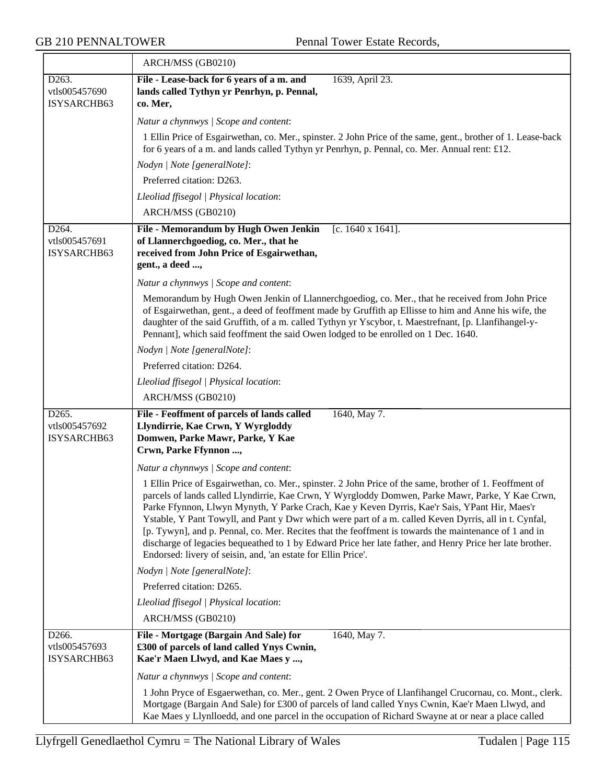|                                       | ARCH/MSS (GB0210)                                                                                                                                                                                                                                                                                                                                                                                                                                                                                                                                                                                                                                                                                           |
|---------------------------------------|-------------------------------------------------------------------------------------------------------------------------------------------------------------------------------------------------------------------------------------------------------------------------------------------------------------------------------------------------------------------------------------------------------------------------------------------------------------------------------------------------------------------------------------------------------------------------------------------------------------------------------------------------------------------------------------------------------------|
| D263.<br>vtls005457690<br>ISYSARCHB63 | File - Lease-back for 6 years of a m. and<br>1639, April 23.<br>lands called Tythyn yr Penrhyn, p. Pennal,<br>co. Mer,                                                                                                                                                                                                                                                                                                                                                                                                                                                                                                                                                                                      |
|                                       | Natur a chynnwys / Scope and content:                                                                                                                                                                                                                                                                                                                                                                                                                                                                                                                                                                                                                                                                       |
|                                       | 1 Ellin Price of Esgairwethan, co. Mer., spinster. 2 John Price of the same, gent., brother of 1. Lease-back<br>for 6 years of a m. and lands called Tythyn yr Penrhyn, p. Pennal, co. Mer. Annual rent: £12.                                                                                                                                                                                                                                                                                                                                                                                                                                                                                               |
|                                       | Nodyn   Note [generalNote]:                                                                                                                                                                                                                                                                                                                                                                                                                                                                                                                                                                                                                                                                                 |
|                                       | Preferred citation: D263.                                                                                                                                                                                                                                                                                                                                                                                                                                                                                                                                                                                                                                                                                   |
|                                       | Lleoliad ffisegol   Physical location:                                                                                                                                                                                                                                                                                                                                                                                                                                                                                                                                                                                                                                                                      |
|                                       | ARCH/MSS (GB0210)                                                                                                                                                                                                                                                                                                                                                                                                                                                                                                                                                                                                                                                                                           |
| D264.<br>vtls005457691<br>ISYSARCHB63 | File - Memorandum by Hugh Owen Jenkin<br>[c. $1640 \times 1641$ ].<br>of Llannerchgoediog, co. Mer., that he<br>received from John Price of Esgairwethan,<br>gent., a deed ,                                                                                                                                                                                                                                                                                                                                                                                                                                                                                                                                |
|                                       | Natur a chynnwys / Scope and content:                                                                                                                                                                                                                                                                                                                                                                                                                                                                                                                                                                                                                                                                       |
|                                       | Memorandum by Hugh Owen Jenkin of Llannerchgoediog, co. Mer., that he received from John Price<br>of Esgairwethan, gent., a deed of feoffment made by Gruffith ap Ellisse to him and Anne his wife, the<br>daughter of the said Gruffith, of a m. called Tythyn yr Yscybor, t. Maestrefnant, [p. Llanfihangel-y-<br>Pennant], which said feoffment the said Owen lodged to be enrolled on 1 Dec. 1640.                                                                                                                                                                                                                                                                                                      |
|                                       | Nodyn   Note [generalNote]:                                                                                                                                                                                                                                                                                                                                                                                                                                                                                                                                                                                                                                                                                 |
|                                       | Preferred citation: D264.                                                                                                                                                                                                                                                                                                                                                                                                                                                                                                                                                                                                                                                                                   |
|                                       | Lleoliad ffisegol   Physical location:                                                                                                                                                                                                                                                                                                                                                                                                                                                                                                                                                                                                                                                                      |
|                                       | ARCH/MSS (GB0210)                                                                                                                                                                                                                                                                                                                                                                                                                                                                                                                                                                                                                                                                                           |
| D265.<br>vtls005457692<br>ISYSARCHB63 | File - Feoffment of parcels of lands called<br>1640, May 7.<br>Llyndirrie, Kae Crwn, Y Wyrgloddy<br>Domwen, Parke Mawr, Parke, Y Kae<br>Crwn, Parke Ffynnon ,                                                                                                                                                                                                                                                                                                                                                                                                                                                                                                                                               |
|                                       | Natur a chynnwys / Scope and content:                                                                                                                                                                                                                                                                                                                                                                                                                                                                                                                                                                                                                                                                       |
|                                       | 1 Ellin Price of Esgairwethan, co. Mer., spinster. 2 John Price of the same, brother of 1. Feoffment of<br>parcels of lands called Llyndirrie, Kae Crwn, Y Wyrgloddy Domwen, Parke Mawr, Parke, Y Kae Crwn,<br>Parke Ffynnon, Llwyn Mynyth, Y Parke Crach, Kae y Keven Dyrris, Kae'r Sais, YPant Hir, Maes'r<br>Ystable, Y Pant Towyll, and Pant y Dwr which were part of a m. called Keven Dyrris, all in t. Cynfal,<br>[p. Tywyn], and p. Pennal, co. Mer. Recites that the feoffment is towards the maintenance of 1 and in<br>discharge of legacies bequeathed to 1 by Edward Price her late father, and Henry Price her late brother.<br>Endorsed: livery of seisin, and, 'an estate for Ellin Price'. |
|                                       | Nodyn   Note [generalNote]:                                                                                                                                                                                                                                                                                                                                                                                                                                                                                                                                                                                                                                                                                 |
|                                       | Preferred citation: D265.                                                                                                                                                                                                                                                                                                                                                                                                                                                                                                                                                                                                                                                                                   |
|                                       | Lleoliad ffisegol   Physical location:                                                                                                                                                                                                                                                                                                                                                                                                                                                                                                                                                                                                                                                                      |
|                                       | ARCH/MSS (GB0210)                                                                                                                                                                                                                                                                                                                                                                                                                                                                                                                                                                                                                                                                                           |
| D266.<br>vtls005457693<br>ISYSARCHB63 | File - Mortgage (Bargain And Sale) for<br>1640, May 7.<br>£300 of parcels of land called Ynys Cwnin,<br>Kae'r Maen Llwyd, and Kae Maes y ,                                                                                                                                                                                                                                                                                                                                                                                                                                                                                                                                                                  |
|                                       | Natur a chynnwys / Scope and content:                                                                                                                                                                                                                                                                                                                                                                                                                                                                                                                                                                                                                                                                       |
|                                       | 1 John Pryce of Esgaerwethan, co. Mer., gent. 2 Owen Pryce of Llanfihangel Crucornau, co. Mont., clerk.<br>Mortgage (Bargain And Sale) for £300 of parcels of land called Ynys Cwnin, Kae'r Maen Llwyd, and<br>Kae Maes y Llynlloedd, and one parcel in the occupation of Richard Swayne at or near a place called                                                                                                                                                                                                                                                                                                                                                                                          |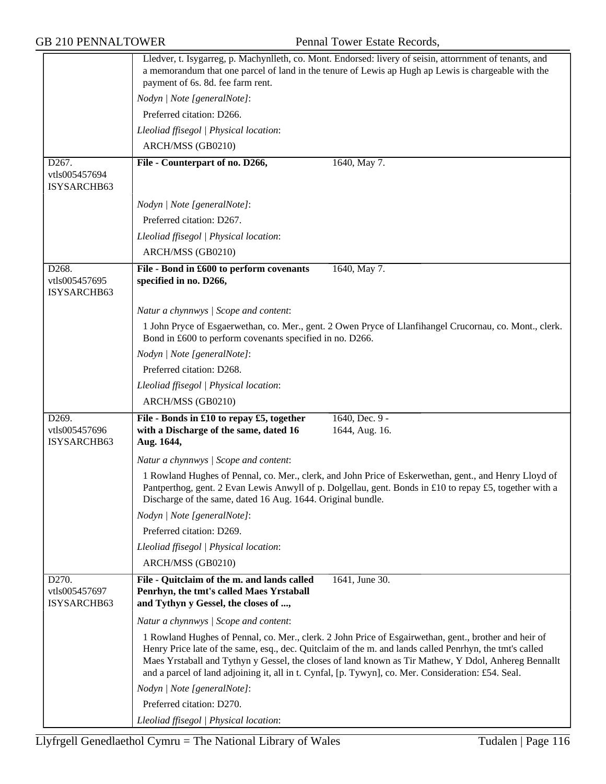|                                       | payment of 6s. 8d. fee farm rent.                                                                                               | Lledver, t. Isygarreg, p. Machynlleth, co. Mont. Endorsed: livery of seisin, attorrnment of tenants, and<br>a memorandum that one parcel of land in the tenure of Lewis ap Hugh ap Lewis is chargeable with the                                                                                                                                                                                                                 |
|---------------------------------------|---------------------------------------------------------------------------------------------------------------------------------|---------------------------------------------------------------------------------------------------------------------------------------------------------------------------------------------------------------------------------------------------------------------------------------------------------------------------------------------------------------------------------------------------------------------------------|
|                                       | Nodyn   Note [generalNote]:                                                                                                     |                                                                                                                                                                                                                                                                                                                                                                                                                                 |
|                                       | Preferred citation: D266.                                                                                                       |                                                                                                                                                                                                                                                                                                                                                                                                                                 |
|                                       | Lleoliad ffisegol   Physical location:                                                                                          |                                                                                                                                                                                                                                                                                                                                                                                                                                 |
|                                       | ARCH/MSS (GB0210)                                                                                                               |                                                                                                                                                                                                                                                                                                                                                                                                                                 |
| D267.                                 | File - Counterpart of no. D266,                                                                                                 | 1640, May 7.                                                                                                                                                                                                                                                                                                                                                                                                                    |
| vtls005457694<br>ISYSARCHB63          |                                                                                                                                 |                                                                                                                                                                                                                                                                                                                                                                                                                                 |
|                                       | Nodyn   Note [generalNote]:                                                                                                     |                                                                                                                                                                                                                                                                                                                                                                                                                                 |
|                                       | Preferred citation: D267.                                                                                                       |                                                                                                                                                                                                                                                                                                                                                                                                                                 |
|                                       | Lleoliad ffisegol   Physical location:                                                                                          |                                                                                                                                                                                                                                                                                                                                                                                                                                 |
|                                       | ARCH/MSS (GB0210)                                                                                                               |                                                                                                                                                                                                                                                                                                                                                                                                                                 |
| D268.<br>vtls005457695<br>ISYSARCHB63 | File - Bond in £600 to perform covenants<br>specified in no. D266,                                                              | 1640, May 7.                                                                                                                                                                                                                                                                                                                                                                                                                    |
|                                       | Natur a chynnwys / Scope and content:                                                                                           |                                                                                                                                                                                                                                                                                                                                                                                                                                 |
|                                       | Bond in £600 to perform covenants specified in no. D266.                                                                        | 1 John Pryce of Esgaerwethan, co. Mer., gent. 2 Owen Pryce of Llanfihangel Crucornau, co. Mont., clerk.                                                                                                                                                                                                                                                                                                                         |
|                                       | Nodyn   Note [generalNote]:                                                                                                     |                                                                                                                                                                                                                                                                                                                                                                                                                                 |
|                                       | Preferred citation: D268.                                                                                                       |                                                                                                                                                                                                                                                                                                                                                                                                                                 |
|                                       | Lleoliad ffisegol   Physical location:                                                                                          |                                                                                                                                                                                                                                                                                                                                                                                                                                 |
|                                       | ARCH/MSS (GB0210)                                                                                                               |                                                                                                                                                                                                                                                                                                                                                                                                                                 |
| D269.<br>vtls005457696<br>ISYSARCHB63 | File - Bonds in £10 to repay £5, together<br>with a Discharge of the same, dated 16<br>Aug. 1644,                               | 1640, Dec. 9 -<br>1644, Aug. 16.                                                                                                                                                                                                                                                                                                                                                                                                |
|                                       | Natur a chynnwys / Scope and content:                                                                                           |                                                                                                                                                                                                                                                                                                                                                                                                                                 |
|                                       | Discharge of the same, dated 16 Aug. 1644. Original bundle.                                                                     | 1 Rowland Hughes of Pennal, co. Mer., clerk, and John Price of Eskerwethan, gent., and Henry Lloyd of<br>Pantperthog, gent. 2 Evan Lewis Anwyll of p. Dolgellau, gent. Bonds in £10 to repay £5, together with a                                                                                                                                                                                                                |
|                                       | Nodyn   Note [generalNote]:                                                                                                     |                                                                                                                                                                                                                                                                                                                                                                                                                                 |
|                                       | Preferred citation: D269.                                                                                                       |                                                                                                                                                                                                                                                                                                                                                                                                                                 |
|                                       | Lleoliad ffisegol   Physical location:                                                                                          |                                                                                                                                                                                                                                                                                                                                                                                                                                 |
|                                       | ARCH/MSS (GB0210)                                                                                                               |                                                                                                                                                                                                                                                                                                                                                                                                                                 |
| D270.<br>vtls005457697<br>ISYSARCHB63 | File - Quitclaim of the m. and lands called<br>Penrhyn, the tmt's called Maes Yrstaball<br>and Tythyn y Gessel, the closes of , | 1641, June 30.                                                                                                                                                                                                                                                                                                                                                                                                                  |
|                                       | Natur a chynnwys / Scope and content:                                                                                           |                                                                                                                                                                                                                                                                                                                                                                                                                                 |
|                                       |                                                                                                                                 | 1 Rowland Hughes of Pennal, co. Mer., clerk. 2 John Price of Esgairwethan, gent., brother and heir of<br>Henry Price late of the same, esq., dec. Quitclaim of the m. and lands called Penrhyn, the tmt's called<br>Maes Yrstaball and Tythyn y Gessel, the closes of land known as Tir Mathew, Y Ddol, Anhereg Bennallt<br>and a parcel of land adjoining it, all in t. Cynfal, [p. Tywyn], co. Mer. Consideration: £54. Seal. |
|                                       | Nodyn   Note [generalNote]:                                                                                                     |                                                                                                                                                                                                                                                                                                                                                                                                                                 |
|                                       | Preferred citation: D270.                                                                                                       |                                                                                                                                                                                                                                                                                                                                                                                                                                 |
|                                       | Lleoliad ffisegol   Physical location:                                                                                          |                                                                                                                                                                                                                                                                                                                                                                                                                                 |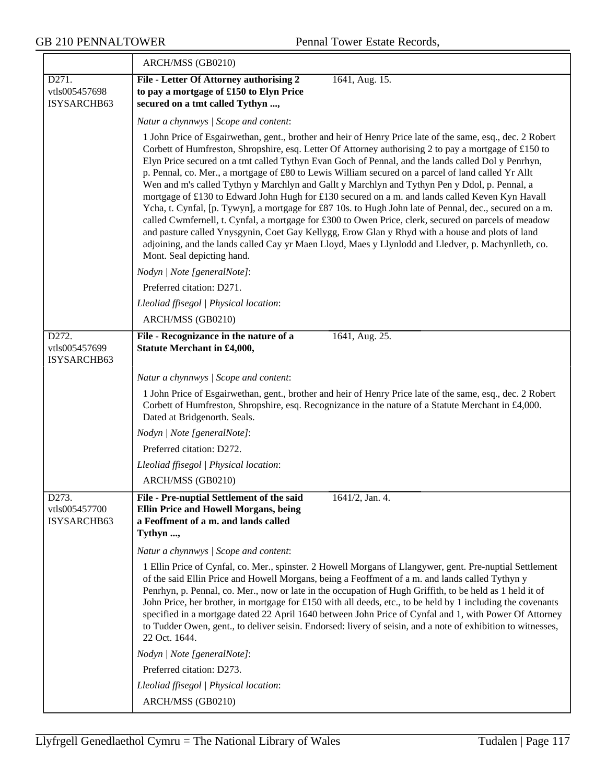|                                                    | ARCH/MSS (GB0210)                                                                                                                                                                                                                                                                                                                                                                                                                                                                                                                                                                                                                                                                                                                                                                                                                                                                                                                                                                                                                                                                              |
|----------------------------------------------------|------------------------------------------------------------------------------------------------------------------------------------------------------------------------------------------------------------------------------------------------------------------------------------------------------------------------------------------------------------------------------------------------------------------------------------------------------------------------------------------------------------------------------------------------------------------------------------------------------------------------------------------------------------------------------------------------------------------------------------------------------------------------------------------------------------------------------------------------------------------------------------------------------------------------------------------------------------------------------------------------------------------------------------------------------------------------------------------------|
| D271.<br>vtls005457698<br>ISYSARCHB63              | File - Letter Of Attorney authorising 2<br>1641, Aug. 15.<br>to pay a mortgage of £150 to Elyn Price<br>secured on a tmt called Tythyn ,                                                                                                                                                                                                                                                                                                                                                                                                                                                                                                                                                                                                                                                                                                                                                                                                                                                                                                                                                       |
|                                                    | Natur a chynnwys / Scope and content:                                                                                                                                                                                                                                                                                                                                                                                                                                                                                                                                                                                                                                                                                                                                                                                                                                                                                                                                                                                                                                                          |
|                                                    | 1 John Price of Esgairwethan, gent., brother and heir of Henry Price late of the same, esq., dec. 2 Robert<br>Corbett of Humfreston, Shropshire, esq. Letter Of Attorney authorising 2 to pay a mortgage of £150 to<br>Elyn Price secured on a tmt called Tythyn Evan Goch of Pennal, and the lands called Dol y Penrhyn,<br>p. Pennal, co. Mer., a mortgage of £80 to Lewis William secured on a parcel of land called Yr Allt<br>Wen and m's called Tythyn y Marchlyn and Gallt y Marchlyn and Tythyn Pen y Ddol, p. Pennal, a<br>mortgage of £130 to Edward John Hugh for £130 secured on a m. and lands called Keven Kyn Havall<br>Ycha, t. Cynfal, [p. Tywyn], a mortgage for £87 10s. to Hugh John late of Pennal, dec., secured on a m.<br>called Cwmfernell, t. Cynfal, a mortgage for £300 to Owen Price, clerk, secured on parcels of meadow<br>and pasture called Ynysgynin, Coet Gay Kellygg, Erow Glan y Rhyd with a house and plots of land<br>adjoining, and the lands called Cay yr Maen Lloyd, Maes y Llynlodd and Lledver, p. Machynlleth, co.<br>Mont. Seal depicting hand. |
|                                                    | Nodyn   Note [generalNote]:                                                                                                                                                                                                                                                                                                                                                                                                                                                                                                                                                                                                                                                                                                                                                                                                                                                                                                                                                                                                                                                                    |
|                                                    | Preferred citation: D271.                                                                                                                                                                                                                                                                                                                                                                                                                                                                                                                                                                                                                                                                                                                                                                                                                                                                                                                                                                                                                                                                      |
|                                                    | Lleoliad ffisegol   Physical location:                                                                                                                                                                                                                                                                                                                                                                                                                                                                                                                                                                                                                                                                                                                                                                                                                                                                                                                                                                                                                                                         |
|                                                    | ARCH/MSS (GB0210)                                                                                                                                                                                                                                                                                                                                                                                                                                                                                                                                                                                                                                                                                                                                                                                                                                                                                                                                                                                                                                                                              |
| D272.<br>vtls005457699<br>ISYSARCHB63              | File - Recognizance in the nature of a<br>1641, Aug. 25.<br><b>Statute Merchant in £4,000,</b>                                                                                                                                                                                                                                                                                                                                                                                                                                                                                                                                                                                                                                                                                                                                                                                                                                                                                                                                                                                                 |
|                                                    | Natur a chynnwys / Scope and content:                                                                                                                                                                                                                                                                                                                                                                                                                                                                                                                                                                                                                                                                                                                                                                                                                                                                                                                                                                                                                                                          |
|                                                    | 1 John Price of Esgairwethan, gent., brother and heir of Henry Price late of the same, esq., dec. 2 Robert<br>Corbett of Humfreston, Shropshire, esq. Recognizance in the nature of a Statute Merchant in £4,000.<br>Dated at Bridgenorth. Seals.                                                                                                                                                                                                                                                                                                                                                                                                                                                                                                                                                                                                                                                                                                                                                                                                                                              |
|                                                    | Nodyn   Note [generalNote]:                                                                                                                                                                                                                                                                                                                                                                                                                                                                                                                                                                                                                                                                                                                                                                                                                                                                                                                                                                                                                                                                    |
|                                                    | Preferred citation: D272.                                                                                                                                                                                                                                                                                                                                                                                                                                                                                                                                                                                                                                                                                                                                                                                                                                                                                                                                                                                                                                                                      |
|                                                    | Lleoliad ffisegol   Physical location:                                                                                                                                                                                                                                                                                                                                                                                                                                                                                                                                                                                                                                                                                                                                                                                                                                                                                                                                                                                                                                                         |
|                                                    | ARCH/MSS (GB0210)                                                                                                                                                                                                                                                                                                                                                                                                                                                                                                                                                                                                                                                                                                                                                                                                                                                                                                                                                                                                                                                                              |
| D <sub>273</sub> .<br>vtls005457700<br>ISYSARCHB63 | File - Pre-nuptial Settlement of the said<br>$1641/2$ , Jan. 4.<br><b>Ellin Price and Howell Morgans, being</b><br>a Feoffment of a m. and lands called<br>Tythyn ,                                                                                                                                                                                                                                                                                                                                                                                                                                                                                                                                                                                                                                                                                                                                                                                                                                                                                                                            |
|                                                    | Natur a chynnwys / Scope and content:                                                                                                                                                                                                                                                                                                                                                                                                                                                                                                                                                                                                                                                                                                                                                                                                                                                                                                                                                                                                                                                          |
|                                                    | 1 Ellin Price of Cynfal, co. Mer., spinster. 2 Howell Morgans of Llangywer, gent. Pre-nuptial Settlement<br>of the said Ellin Price and Howell Morgans, being a Feoffment of a m. and lands called Tythyn y<br>Penrhyn, p. Pennal, co. Mer., now or late in the occupation of Hugh Griffith, to be held as 1 held it of<br>John Price, her brother, in mortgage for £150 with all deeds, etc., to be held by 1 including the covenants<br>specified in a mortgage dated 22 April 1640 between John Price of Cynfal and 1, with Power Of Attorney<br>to Tudder Owen, gent., to deliver seisin. Endorsed: livery of seisin, and a note of exhibition to witnesses,<br>22 Oct. 1644.                                                                                                                                                                                                                                                                                                                                                                                                              |
|                                                    | Nodyn   Note [generalNote]:                                                                                                                                                                                                                                                                                                                                                                                                                                                                                                                                                                                                                                                                                                                                                                                                                                                                                                                                                                                                                                                                    |
|                                                    | Preferred citation: D273.                                                                                                                                                                                                                                                                                                                                                                                                                                                                                                                                                                                                                                                                                                                                                                                                                                                                                                                                                                                                                                                                      |
|                                                    | Lleoliad ffisegol   Physical location:                                                                                                                                                                                                                                                                                                                                                                                                                                                                                                                                                                                                                                                                                                                                                                                                                                                                                                                                                                                                                                                         |
|                                                    | ARCH/MSS (GB0210)                                                                                                                                                                                                                                                                                                                                                                                                                                                                                                                                                                                                                                                                                                                                                                                                                                                                                                                                                                                                                                                                              |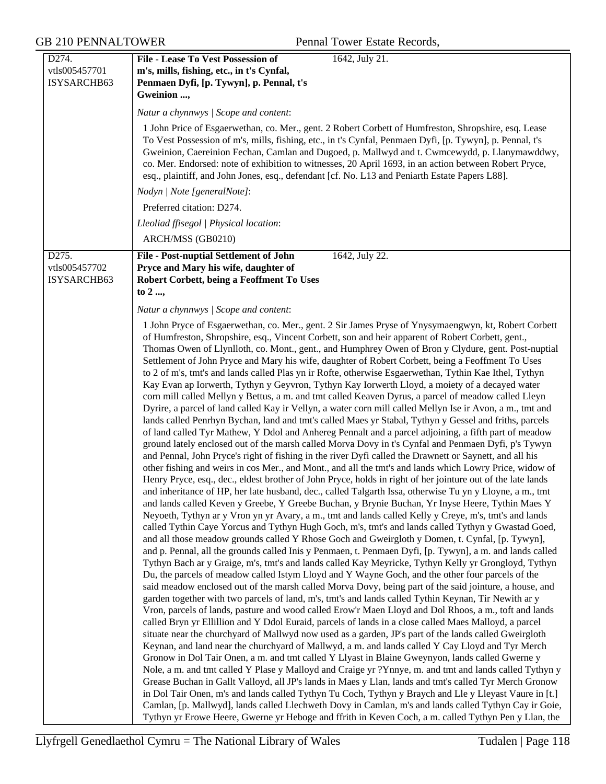| D274.                        | 1642, July 21.<br>File - Lease To Vest Possession of                                                                                                                                                                                                                                                                                                                                                                                                                                                                                                                                                                                                                                                                                                                                                                                                                                                                                                                                                                                                                                                                                                                                                                                                                                                                                                                                                                                                                                                                                                                                                                                                                                                                                                                                                                                                                                                                                                                                                                                                                                                                                                                                                                                                                                                                                                                                                                                                                                                                                                                                                                                                                                                                                                                                                                                                                                                                                                                                                                                                                                                                                                                                                                                                                                                                                                                                                                                                                                                                                                                                                                                                                             |  |
|------------------------------|----------------------------------------------------------------------------------------------------------------------------------------------------------------------------------------------------------------------------------------------------------------------------------------------------------------------------------------------------------------------------------------------------------------------------------------------------------------------------------------------------------------------------------------------------------------------------------------------------------------------------------------------------------------------------------------------------------------------------------------------------------------------------------------------------------------------------------------------------------------------------------------------------------------------------------------------------------------------------------------------------------------------------------------------------------------------------------------------------------------------------------------------------------------------------------------------------------------------------------------------------------------------------------------------------------------------------------------------------------------------------------------------------------------------------------------------------------------------------------------------------------------------------------------------------------------------------------------------------------------------------------------------------------------------------------------------------------------------------------------------------------------------------------------------------------------------------------------------------------------------------------------------------------------------------------------------------------------------------------------------------------------------------------------------------------------------------------------------------------------------------------------------------------------------------------------------------------------------------------------------------------------------------------------------------------------------------------------------------------------------------------------------------------------------------------------------------------------------------------------------------------------------------------------------------------------------------------------------------------------------------------------------------------------------------------------------------------------------------------------------------------------------------------------------------------------------------------------------------------------------------------------------------------------------------------------------------------------------------------------------------------------------------------------------------------------------------------------------------------------------------------------------------------------------------------------------------------------------------------------------------------------------------------------------------------------------------------------------------------------------------------------------------------------------------------------------------------------------------------------------------------------------------------------------------------------------------------------------------------------------------------------------------------------------------------|--|
| vtls005457701<br>ISYSARCHB63 | m's, mills, fishing, etc., in t's Cynfal,<br>Penmaen Dyfi, [p. Tywyn], p. Pennal, t's                                                                                                                                                                                                                                                                                                                                                                                                                                                                                                                                                                                                                                                                                                                                                                                                                                                                                                                                                                                                                                                                                                                                                                                                                                                                                                                                                                                                                                                                                                                                                                                                                                                                                                                                                                                                                                                                                                                                                                                                                                                                                                                                                                                                                                                                                                                                                                                                                                                                                                                                                                                                                                                                                                                                                                                                                                                                                                                                                                                                                                                                                                                                                                                                                                                                                                                                                                                                                                                                                                                                                                                            |  |
|                              | Gweinion ,                                                                                                                                                                                                                                                                                                                                                                                                                                                                                                                                                                                                                                                                                                                                                                                                                                                                                                                                                                                                                                                                                                                                                                                                                                                                                                                                                                                                                                                                                                                                                                                                                                                                                                                                                                                                                                                                                                                                                                                                                                                                                                                                                                                                                                                                                                                                                                                                                                                                                                                                                                                                                                                                                                                                                                                                                                                                                                                                                                                                                                                                                                                                                                                                                                                                                                                                                                                                                                                                                                                                                                                                                                                                       |  |
|                              | Natur a chynnwys / Scope and content:                                                                                                                                                                                                                                                                                                                                                                                                                                                                                                                                                                                                                                                                                                                                                                                                                                                                                                                                                                                                                                                                                                                                                                                                                                                                                                                                                                                                                                                                                                                                                                                                                                                                                                                                                                                                                                                                                                                                                                                                                                                                                                                                                                                                                                                                                                                                                                                                                                                                                                                                                                                                                                                                                                                                                                                                                                                                                                                                                                                                                                                                                                                                                                                                                                                                                                                                                                                                                                                                                                                                                                                                                                            |  |
|                              | 1 John Price of Esgaerwethan, co. Mer., gent. 2 Robert Corbett of Humfreston, Shropshire, esq. Lease<br>To Vest Possession of m's, mills, fishing, etc., in t's Cynfal, Penmaen Dyfi, [p. Tywyn], p. Pennal, t's<br>Gweinion, Caereinion Fechan, Camlan and Dugoed, p. Mallwyd and t. Cwmcewydd, p. Llanymawddwy,<br>co. Mer. Endorsed: note of exhibition to witnesses, 20 April 1693, in an action between Robert Pryce,<br>esq., plaintiff, and John Jones, esq., defendant [cf. No. L13 and Peniarth Estate Papers L88].                                                                                                                                                                                                                                                                                                                                                                                                                                                                                                                                                                                                                                                                                                                                                                                                                                                                                                                                                                                                                                                                                                                                                                                                                                                                                                                                                                                                                                                                                                                                                                                                                                                                                                                                                                                                                                                                                                                                                                                                                                                                                                                                                                                                                                                                                                                                                                                                                                                                                                                                                                                                                                                                                                                                                                                                                                                                                                                                                                                                                                                                                                                                                     |  |
|                              | Nodyn   Note [generalNote]:                                                                                                                                                                                                                                                                                                                                                                                                                                                                                                                                                                                                                                                                                                                                                                                                                                                                                                                                                                                                                                                                                                                                                                                                                                                                                                                                                                                                                                                                                                                                                                                                                                                                                                                                                                                                                                                                                                                                                                                                                                                                                                                                                                                                                                                                                                                                                                                                                                                                                                                                                                                                                                                                                                                                                                                                                                                                                                                                                                                                                                                                                                                                                                                                                                                                                                                                                                                                                                                                                                                                                                                                                                                      |  |
|                              | Preferred citation: D274.                                                                                                                                                                                                                                                                                                                                                                                                                                                                                                                                                                                                                                                                                                                                                                                                                                                                                                                                                                                                                                                                                                                                                                                                                                                                                                                                                                                                                                                                                                                                                                                                                                                                                                                                                                                                                                                                                                                                                                                                                                                                                                                                                                                                                                                                                                                                                                                                                                                                                                                                                                                                                                                                                                                                                                                                                                                                                                                                                                                                                                                                                                                                                                                                                                                                                                                                                                                                                                                                                                                                                                                                                                                        |  |
|                              | Lleoliad ffisegol   Physical location:                                                                                                                                                                                                                                                                                                                                                                                                                                                                                                                                                                                                                                                                                                                                                                                                                                                                                                                                                                                                                                                                                                                                                                                                                                                                                                                                                                                                                                                                                                                                                                                                                                                                                                                                                                                                                                                                                                                                                                                                                                                                                                                                                                                                                                                                                                                                                                                                                                                                                                                                                                                                                                                                                                                                                                                                                                                                                                                                                                                                                                                                                                                                                                                                                                                                                                                                                                                                                                                                                                                                                                                                                                           |  |
|                              | ARCH/MSS (GB0210)                                                                                                                                                                                                                                                                                                                                                                                                                                                                                                                                                                                                                                                                                                                                                                                                                                                                                                                                                                                                                                                                                                                                                                                                                                                                                                                                                                                                                                                                                                                                                                                                                                                                                                                                                                                                                                                                                                                                                                                                                                                                                                                                                                                                                                                                                                                                                                                                                                                                                                                                                                                                                                                                                                                                                                                                                                                                                                                                                                                                                                                                                                                                                                                                                                                                                                                                                                                                                                                                                                                                                                                                                                                                |  |
| D275.                        | 1642, July 22.<br><b>File - Post-nuptial Settlement of John</b>                                                                                                                                                                                                                                                                                                                                                                                                                                                                                                                                                                                                                                                                                                                                                                                                                                                                                                                                                                                                                                                                                                                                                                                                                                                                                                                                                                                                                                                                                                                                                                                                                                                                                                                                                                                                                                                                                                                                                                                                                                                                                                                                                                                                                                                                                                                                                                                                                                                                                                                                                                                                                                                                                                                                                                                                                                                                                                                                                                                                                                                                                                                                                                                                                                                                                                                                                                                                                                                                                                                                                                                                                  |  |
| vtls005457702<br>ISYSARCHB63 | Pryce and Mary his wife, daughter of<br>Robert Corbett, being a Feoffment To Uses<br>to 2 ,                                                                                                                                                                                                                                                                                                                                                                                                                                                                                                                                                                                                                                                                                                                                                                                                                                                                                                                                                                                                                                                                                                                                                                                                                                                                                                                                                                                                                                                                                                                                                                                                                                                                                                                                                                                                                                                                                                                                                                                                                                                                                                                                                                                                                                                                                                                                                                                                                                                                                                                                                                                                                                                                                                                                                                                                                                                                                                                                                                                                                                                                                                                                                                                                                                                                                                                                                                                                                                                                                                                                                                                      |  |
|                              | Natur a chynnwys / Scope and content:                                                                                                                                                                                                                                                                                                                                                                                                                                                                                                                                                                                                                                                                                                                                                                                                                                                                                                                                                                                                                                                                                                                                                                                                                                                                                                                                                                                                                                                                                                                                                                                                                                                                                                                                                                                                                                                                                                                                                                                                                                                                                                                                                                                                                                                                                                                                                                                                                                                                                                                                                                                                                                                                                                                                                                                                                                                                                                                                                                                                                                                                                                                                                                                                                                                                                                                                                                                                                                                                                                                                                                                                                                            |  |
|                              | 1 John Pryce of Esgaerwethan, co. Mer., gent. 2 Sir James Pryse of Ynysymaengwyn, kt, Robert Corbett<br>of Humfreston, Shropshire, esq., Vincent Corbett, son and heir apparent of Robert Corbett, gent.,<br>Thomas Owen of Llynlloth, co. Mont., gent., and Humphrey Owen of Bron y Clydure, gent. Post-nuptial<br>Settlement of John Pryce and Mary his wife, daughter of Robert Corbett, being a Feoffment To Uses<br>to 2 of m's, tmt's and lands called Plas yn ir Rofte, otherwise Esgaerwethan, Tythin Kae Ithel, Tythyn<br>Kay Evan ap Iorwerth, Tythyn y Geyvron, Tythyn Kay Iorwerth Lloyd, a moiety of a decayed water<br>corn mill called Mellyn y Bettus, a m. and tmt called Keaven Dyrus, a parcel of meadow called Lleyn<br>Dyrire, a parcel of land called Kay ir Vellyn, a water corn mill called Mellyn Ise ir Avon, a m., tmt and<br>lands called Penrhyn Bychan, land and tmt's called Maes yr Stabal, Tythyn y Gessel and friths, parcels<br>of land called Tyr Mathew, Y Ddol and Anhereg Pennalt and a parcel adjoining, a fifth part of meadow<br>ground lately enclosed out of the marsh called Morva Dovy in t's Cynfal and Penmaen Dyfi, p's Tywyn<br>and Pennal, John Pryce's right of fishing in the river Dyfi called the Drawnett or Saynett, and all his<br>other fishing and weirs in cos Mer., and Mont., and all the tmt's and lands which Lowry Price, widow of<br>Henry Pryce, esq., dec., eldest brother of John Pryce, holds in right of her jointure out of the late lands<br>and inheritance of HP, her late husband, dec., called Talgarth Issa, otherwise Tu yn y Lloyne, a m., tmt<br>and lands called Keven y Greebe, Y Greebe Buchan, y Brynie Buchan, Yr Inyse Heere, Tythin Maes Y<br>Neyoeth, Tythyn ar y Vron yn yr Avary, a m., tmt and lands called Kelly y Creye, m's, tmt's and lands<br>called Tythin Caye Yorcus and Tythyn Hugh Goch, m's, tmt's and lands called Tythyn y Gwastad Goed,<br>and all those meadow grounds called Y Rhose Goch and Gweirgloth y Domen, t. Cynfal, [p. Tywyn],<br>and p. Pennal, all the grounds called Inis y Penmaen, t. Penmaen Dyfi, [p. Tywyn], a m. and lands called<br>Tythyn Bach ar y Graige, m's, tmt's and lands called Kay Meyricke, Tythyn Kelly yr Grongloyd, Tythyn<br>Du, the parcels of meadow called Istym Lloyd and Y Wayne Goch, and the other four parcels of the<br>said meadow enclosed out of the marsh called Morva Dovy, being part of the said jointure, a house, and<br>garden together with two parcels of land, m's, tmt's and lands called Tythin Keynan, Tir Newith ar y<br>Vron, parcels of lands, pasture and wood called Erow'r Maen Lloyd and Dol Rhoos, a m., toft and lands<br>called Bryn yr Ellillion and Y Ddol Euraid, parcels of lands in a close called Maes Malloyd, a parcel<br>situate near the churchyard of Mallwyd now used as a garden, JP's part of the lands called Gweirgloth<br>Keynan, and land near the churchyard of Mallwyd, a m. and lands called Y Cay Lloyd and Tyr Merch<br>Gronow in Dol Tair Onen, a m. and tmt called Y Llyast in Blaine Gweynyon, lands called Gwerne y<br>Nole, a m. and tmt called Y Plase y Malloyd and Craige yr ?Ynnye, m. and tmt and lands called Tythyn y<br>Grease Buchan in Gallt Valloyd, all JP's lands in Maes y Llan, lands and tmt's called Tyr Merch Gronow<br>in Dol Tair Onen, m's and lands called Tythyn Tu Coch, Tythyn y Braych and Lle y Lleyast Vaure in [t.]<br>Camlan, [p. Mallwyd], lands called Llechweth Dovy in Camlan, m's and lands called Tythyn Cay ir Goie,<br>Tythyn yr Erowe Heere, Gwerne yr Heboge and ffrith in Keven Coch, a m. called Tythyn Pen y Llan, the |  |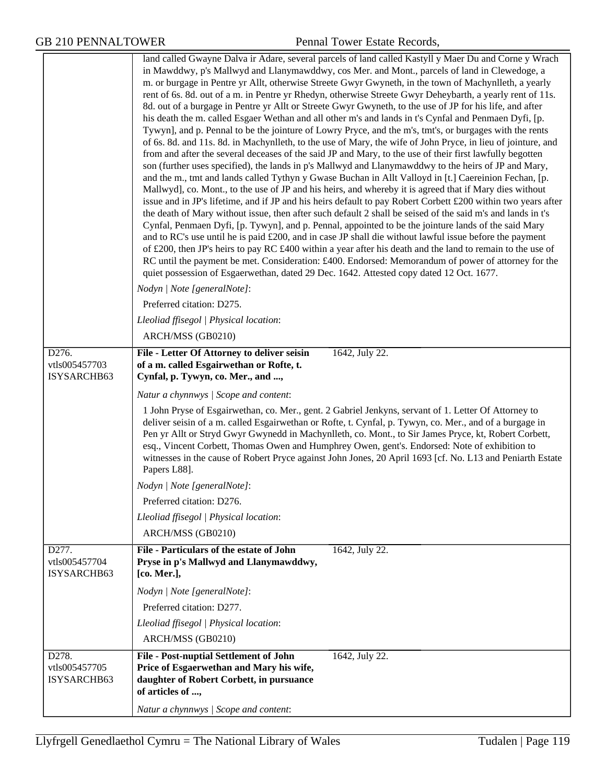|                                       | land called Gwayne Dalva ir Adare, several parcels of land called Kastyll y Maer Du and Corne y Wrach<br>in Mawddwy, p's Mallwyd and Llanymawddwy, cos Mer. and Mont., parcels of land in Clewedoge, a<br>m. or burgage in Pentre yr Allt, otherwise Streete Gwyr Gwyneth, in the town of Machynlleth, a yearly<br>rent of 6s. 8d. out of a m. in Pentre yr Rhedyn, otherwise Streete Gwyr Deheybarth, a yearly rent of 11s.<br>8d. out of a burgage in Pentre yr Allt or Streete Gwyr Gwyneth, to the use of JP for his life, and after<br>his death the m. called Esgaer Wethan and all other m's and lands in t's Cynfal and Penmaen Dyfi, [p.<br>Tywyn], and p. Pennal to be the jointure of Lowry Pryce, and the m's, tmt's, or burgages with the rents<br>of 6s. 8d. and 11s. 8d. in Machynlleth, to the use of Mary, the wife of John Pryce, in lieu of jointure, and<br>from and after the several deceases of the said JP and Mary, to the use of their first lawfully begotten<br>son (further uses specified), the lands in p's Mallwyd and Llanymawddwy to the heirs of JP and Mary,<br>and the m., tmt and lands called Tythyn y Gwase Buchan in Allt Valloyd in [t.] Caereinion Fechan, [p.<br>Mallwyd], co. Mont., to the use of JP and his heirs, and whereby it is agreed that if Mary dies without<br>issue and in JP's lifetime, and if JP and his heirs default to pay Robert Corbett £200 within two years after<br>the death of Mary without issue, then after such default 2 shall be seised of the said m's and lands in t's<br>Cynfal, Penmaen Dyfi, [p. Tywyn], and p. Pennal, appointed to be the jointure lands of the said Mary<br>and to RC's use until he is paid £200, and in case JP shall die without lawful issue before the payment<br>of £200, then JP's heirs to pay RC $\text{\pounds}400$ within a year after his death and the land to remain to the use of<br>RC until the payment be met. Consideration: £400. Endorsed: Memorandum of power of attorney for the<br>quiet possession of Esgaerwethan, dated 29 Dec. 1642. Attested copy dated 12 Oct. 1677.<br>Nodyn   Note [generalNote]:<br>Preferred citation: D275.<br>Lleoliad ffisegol   Physical location:<br>ARCH/MSS (GB0210) |  |
|---------------------------------------|-----------------------------------------------------------------------------------------------------------------------------------------------------------------------------------------------------------------------------------------------------------------------------------------------------------------------------------------------------------------------------------------------------------------------------------------------------------------------------------------------------------------------------------------------------------------------------------------------------------------------------------------------------------------------------------------------------------------------------------------------------------------------------------------------------------------------------------------------------------------------------------------------------------------------------------------------------------------------------------------------------------------------------------------------------------------------------------------------------------------------------------------------------------------------------------------------------------------------------------------------------------------------------------------------------------------------------------------------------------------------------------------------------------------------------------------------------------------------------------------------------------------------------------------------------------------------------------------------------------------------------------------------------------------------------------------------------------------------------------------------------------------------------------------------------------------------------------------------------------------------------------------------------------------------------------------------------------------------------------------------------------------------------------------------------------------------------------------------------------------------------------------------------------------------------------------------------------------------------------|--|
| D276.                                 | File - Letter Of Attorney to deliver seisin<br>1642, July 22.                                                                                                                                                                                                                                                                                                                                                                                                                                                                                                                                                                                                                                                                                                                                                                                                                                                                                                                                                                                                                                                                                                                                                                                                                                                                                                                                                                                                                                                                                                                                                                                                                                                                                                                                                                                                                                                                                                                                                                                                                                                                                                                                                                     |  |
| vtls005457703                         | of a m. called Esgairwethan or Rofte, t.                                                                                                                                                                                                                                                                                                                                                                                                                                                                                                                                                                                                                                                                                                                                                                                                                                                                                                                                                                                                                                                                                                                                                                                                                                                                                                                                                                                                                                                                                                                                                                                                                                                                                                                                                                                                                                                                                                                                                                                                                                                                                                                                                                                          |  |
| ISYSARCHB63                           | Cynfal, p. Tywyn, co. Mer., and ,                                                                                                                                                                                                                                                                                                                                                                                                                                                                                                                                                                                                                                                                                                                                                                                                                                                                                                                                                                                                                                                                                                                                                                                                                                                                                                                                                                                                                                                                                                                                                                                                                                                                                                                                                                                                                                                                                                                                                                                                                                                                                                                                                                                                 |  |
|                                       | Natur a chynnwys / Scope and content:                                                                                                                                                                                                                                                                                                                                                                                                                                                                                                                                                                                                                                                                                                                                                                                                                                                                                                                                                                                                                                                                                                                                                                                                                                                                                                                                                                                                                                                                                                                                                                                                                                                                                                                                                                                                                                                                                                                                                                                                                                                                                                                                                                                             |  |
|                                       | 1 John Pryse of Esgairwethan, co. Mer., gent. 2 Gabriel Jenkyns, servant of 1. Letter Of Attorney to<br>deliver seisin of a m. called Esgairwethan or Rofte, t. Cynfal, p. Tywyn, co. Mer., and of a burgage in<br>Pen yr Allt or Stryd Gwyr Gwynedd in Machynlleth, co. Mont., to Sir James Pryce, kt, Robert Corbett,<br>esq., Vincent Corbett, Thomas Owen and Humphrey Owen, gent's. Endorsed: Note of exhibition to<br>witnesses in the cause of Robert Pryce against John Jones, 20 April 1693 [cf. No. L13 and Peniarth Estate<br>Papers L88].                                                                                                                                                                                                                                                                                                                                                                                                                                                                                                                                                                                                                                                                                                                                                                                                                                                                                                                                                                                                                                                                                                                                                                                                                                                                                                                                                                                                                                                                                                                                                                                                                                                                             |  |
|                                       | Nodyn   Note [generalNote]:                                                                                                                                                                                                                                                                                                                                                                                                                                                                                                                                                                                                                                                                                                                                                                                                                                                                                                                                                                                                                                                                                                                                                                                                                                                                                                                                                                                                                                                                                                                                                                                                                                                                                                                                                                                                                                                                                                                                                                                                                                                                                                                                                                                                       |  |
|                                       | Preferred citation: D276.                                                                                                                                                                                                                                                                                                                                                                                                                                                                                                                                                                                                                                                                                                                                                                                                                                                                                                                                                                                                                                                                                                                                                                                                                                                                                                                                                                                                                                                                                                                                                                                                                                                                                                                                                                                                                                                                                                                                                                                                                                                                                                                                                                                                         |  |
|                                       | Lleoliad ffisegol   Physical location:                                                                                                                                                                                                                                                                                                                                                                                                                                                                                                                                                                                                                                                                                                                                                                                                                                                                                                                                                                                                                                                                                                                                                                                                                                                                                                                                                                                                                                                                                                                                                                                                                                                                                                                                                                                                                                                                                                                                                                                                                                                                                                                                                                                            |  |
|                                       | ARCH/MSS (GB0210)                                                                                                                                                                                                                                                                                                                                                                                                                                                                                                                                                                                                                                                                                                                                                                                                                                                                                                                                                                                                                                                                                                                                                                                                                                                                                                                                                                                                                                                                                                                                                                                                                                                                                                                                                                                                                                                                                                                                                                                                                                                                                                                                                                                                                 |  |
| D277.<br>vtls005457704<br>ISYSARCHB63 | File - Particulars of the estate of John<br>1642, July 22.<br>Pryse in p's Mallwyd and Llanymawddwy,<br>[co. Mer.],                                                                                                                                                                                                                                                                                                                                                                                                                                                                                                                                                                                                                                                                                                                                                                                                                                                                                                                                                                                                                                                                                                                                                                                                                                                                                                                                                                                                                                                                                                                                                                                                                                                                                                                                                                                                                                                                                                                                                                                                                                                                                                               |  |
|                                       | Nodyn   Note [generalNote]:                                                                                                                                                                                                                                                                                                                                                                                                                                                                                                                                                                                                                                                                                                                                                                                                                                                                                                                                                                                                                                                                                                                                                                                                                                                                                                                                                                                                                                                                                                                                                                                                                                                                                                                                                                                                                                                                                                                                                                                                                                                                                                                                                                                                       |  |
|                                       | Preferred citation: D277.                                                                                                                                                                                                                                                                                                                                                                                                                                                                                                                                                                                                                                                                                                                                                                                                                                                                                                                                                                                                                                                                                                                                                                                                                                                                                                                                                                                                                                                                                                                                                                                                                                                                                                                                                                                                                                                                                                                                                                                                                                                                                                                                                                                                         |  |
|                                       | Lleoliad ffisegol   Physical location:                                                                                                                                                                                                                                                                                                                                                                                                                                                                                                                                                                                                                                                                                                                                                                                                                                                                                                                                                                                                                                                                                                                                                                                                                                                                                                                                                                                                                                                                                                                                                                                                                                                                                                                                                                                                                                                                                                                                                                                                                                                                                                                                                                                            |  |
|                                       | ARCH/MSS (GB0210)                                                                                                                                                                                                                                                                                                                                                                                                                                                                                                                                                                                                                                                                                                                                                                                                                                                                                                                                                                                                                                                                                                                                                                                                                                                                                                                                                                                                                                                                                                                                                                                                                                                                                                                                                                                                                                                                                                                                                                                                                                                                                                                                                                                                                 |  |
| D278.                                 | <b>File - Post-nuptial Settlement of John</b><br>1642, July 22.                                                                                                                                                                                                                                                                                                                                                                                                                                                                                                                                                                                                                                                                                                                                                                                                                                                                                                                                                                                                                                                                                                                                                                                                                                                                                                                                                                                                                                                                                                                                                                                                                                                                                                                                                                                                                                                                                                                                                                                                                                                                                                                                                                   |  |
| vtls005457705<br>ISYSARCHB63          | Price of Esgaerwethan and Mary his wife,<br>daughter of Robert Corbett, in pursuance<br>of articles of ,                                                                                                                                                                                                                                                                                                                                                                                                                                                                                                                                                                                                                                                                                                                                                                                                                                                                                                                                                                                                                                                                                                                                                                                                                                                                                                                                                                                                                                                                                                                                                                                                                                                                                                                                                                                                                                                                                                                                                                                                                                                                                                                          |  |
|                                       | Natur a chynnwys / Scope and content:                                                                                                                                                                                                                                                                                                                                                                                                                                                                                                                                                                                                                                                                                                                                                                                                                                                                                                                                                                                                                                                                                                                                                                                                                                                                                                                                                                                                                                                                                                                                                                                                                                                                                                                                                                                                                                                                                                                                                                                                                                                                                                                                                                                             |  |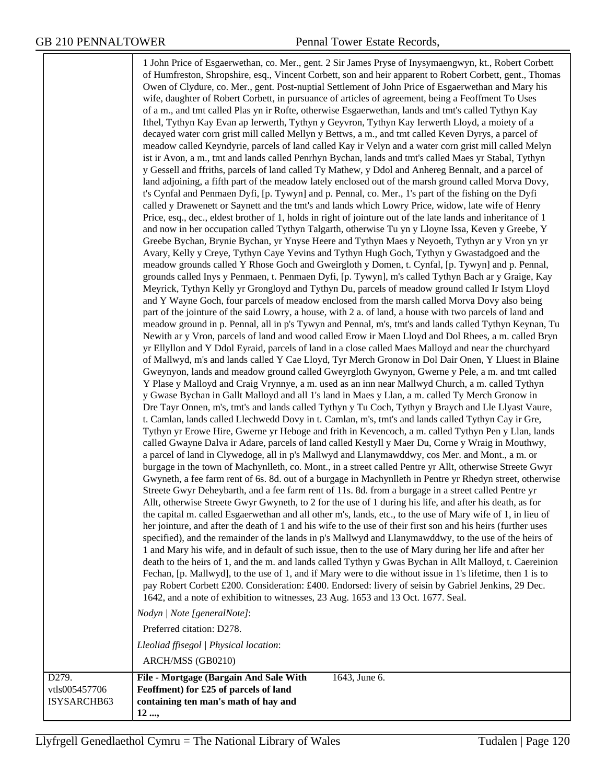1 John Price of Esgaerwethan, co. Mer., gent. 2 Sir James Pryse of Inysymaengwyn, kt., Robert Corbett of Humfreston, Shropshire, esq., Vincent Corbett, son and heir apparent to Robert Corbett, gent., Thomas Owen of Clydure, co. Mer., gent. Post-nuptial Settlement of John Price of Esgaerwethan and Mary his wife, daughter of Robert Corbett, in pursuance of articles of agreement, being a Feoffment To Uses of a m., and tmt called Plas yn ir Rofte, otherwise Esgaerwethan, lands and tmt's called Tythyn Kay Ithel, Tythyn Kay Evan ap Ierwerth, Tythyn y Geyvron, Tythyn Kay Ierwerth Lloyd, a moiety of a decayed water corn grist mill called Mellyn y Bettws, a m., and tmt called Keven Dyrys, a parcel of meadow called Keyndyrie, parcels of land called Kay ir Velyn and a water corn grist mill called Melyn ist ir Avon, a m., tmt and lands called Penrhyn Bychan, lands and tmt's called Maes yr Stabal, Tythyn y Gessell and ffriths, parcels of land called Ty Mathew, y Ddol and Anhereg Bennalt, and a parcel of land adjoining, a fifth part of the meadow lately enclosed out of the marsh ground called Morva Dovy, t's Cynfal and Penmaen Dyfi, [p. Tywyn] and p. Pennal, co. Mer., 1's part of the fishing on the Dyfi called y Drawenett or Saynett and the tmt's and lands which Lowry Price, widow, late wife of Henry Price, esq., dec., eldest brother of 1, holds in right of jointure out of the late lands and inheritance of 1 and now in her occupation called Tythyn Talgarth, otherwise Tu yn y Lloyne Issa, Keven y Greebe, Y Greebe Bychan, Brynie Bychan, yr Ynyse Heere and Tythyn Maes y Neyoeth, Tythyn ar y Vron yn yr Avary, Kelly y Creye, Tythyn Caye Yevins and Tythyn Hugh Goch, Tythyn y Gwastadgoed and the meadow grounds called Y Rhose Goch and Gweirgloth y Domen, t. Cynfal, [p. Tywyn] and p. Pennal, grounds called Inys y Penmaen, t. Penmaen Dyfi, [p. Tywyn], m's called Tythyn Bach ar y Graige, Kay Meyrick, Tythyn Kelly yr Grongloyd and Tythyn Du, parcels of meadow ground called Ir Istym Lloyd and Y Wayne Goch, four parcels of meadow enclosed from the marsh called Morva Dovy also being part of the jointure of the said Lowry, a house, with 2 a. of land, a house with two parcels of land and meadow ground in p. Pennal, all in p's Tywyn and Pennal, m's, tmt's and lands called Tythyn Keynan, Tu Newith ar y Vron, parcels of land and wood called Erow ir Maen Lloyd and Dol Rhees, a m. called Bryn yr Ellyllon and Y Ddol Eyraid, parcels of land in a close called Maes Malloyd and near the churchyard of Mallwyd, m's and lands called Y Cae Lloyd, Tyr Merch Gronow in Dol Dair Onen, Y Lluest in Blaine Gweynyon, lands and meadow ground called Gweyrgloth Gwynyon, Gwerne y Pele, a m. and tmt called Y Plase y Malloyd and Craig Vrynnye, a m. used as an inn near Mallwyd Church, a m. called Tythyn y Gwase Bychan in Gallt Malloyd and all 1's land in Maes y Llan, a m. called Ty Merch Gronow in Dre Tayr Onnen, m's, tmt's and lands called Tythyn y Tu Coch, Tythyn y Braych and Lle Llyast Vaure, t. Camlan, lands called Llechwedd Dovy in t. Camlan, m's, tmt's and lands called Tythyn Cay ir Gre, Tythyn yr Erowe Hire, Gwerne yr Heboge and frith in Kevencoch, a m. called Tythyn Pen y Llan, lands called Gwayne Dalva ir Adare, parcels of land called Kestyll y Maer Du, Corne y Wraig in Mouthwy, a parcel of land in Clywedoge, all in p's Mallwyd and Llanymawddwy, cos Mer. and Mont., a m. or burgage in the town of Machynlleth, co. Mont., in a street called Pentre yr Allt, otherwise Streete Gwyr Gwyneth, a fee farm rent of 6s. 8d. out of a burgage in Machynlleth in Pentre yr Rhedyn street, otherwise Streete Gwyr Deheybarth, and a fee farm rent of 11s. 8d. from a burgage in a street called Pentre yr Allt, otherwise Streete Gwyr Gwyneth, to 2 for the use of 1 during his life, and after his death, as for the capital m. called Esgaerwethan and all other m's, lands, etc., to the use of Mary wife of 1, in lieu of her jointure, and after the death of 1 and his wife to the use of their first son and his heirs (further uses specified), and the remainder of the lands in p's Mallwyd and Llanymawddwy, to the use of the heirs of 1 and Mary his wife, and in default of such issue, then to the use of Mary during her life and after her death to the heirs of 1, and the m. and lands called Tythyn y Gwas Bychan in Allt Malloyd, t. Caereinion Fechan, [p. Mallwyd], to the use of 1, and if Mary were to die without issue in 1's lifetime, then 1 is to pay Robert Corbett £200. Consideration: £400. Endorsed: livery of seisin by Gabriel Jenkins, 29 Dec. 1642, and a note of exhibition to witnesses, 23 Aug. 1653 and 13 Oct. 1677. Seal. *Nodyn | Note [generalNote]*: Preferred citation: D278. *Lleoliad ffisegol | Physical location*: ARCH/MSS (GB0210) vtls005457706 ISYSARCHB63 **File - Mortgage (Bargain And Sale With Feoffment) for £25 of parcels of land containing ten man's math of hay and 12 ...,** 1643, June 6.

D<sub>279</sub>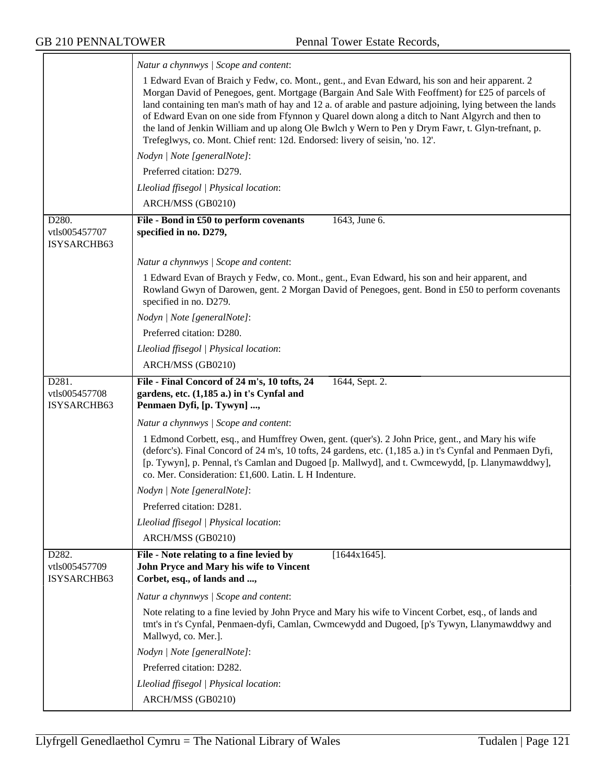$\overline{\phantom{a}}$ 

|                                       | Natur a chynnwys / Scope and content:                                                                                                                                                                                                                                                                                                                                                                                                                                                                                                                                                                   |
|---------------------------------------|---------------------------------------------------------------------------------------------------------------------------------------------------------------------------------------------------------------------------------------------------------------------------------------------------------------------------------------------------------------------------------------------------------------------------------------------------------------------------------------------------------------------------------------------------------------------------------------------------------|
|                                       | 1 Edward Evan of Braich y Fedw, co. Mont., gent., and Evan Edward, his son and heir apparent. 2<br>Morgan David of Penegoes, gent. Mortgage (Bargain And Sale With Feoffment) for £25 of parcels of<br>land containing ten man's math of hay and 12 a. of arable and pasture adjoining, lying between the lands<br>of Edward Evan on one side from Ffynnon y Quarel down along a ditch to Nant Algyrch and then to<br>the land of Jenkin William and up along Ole Bwlch y Wern to Pen y Drym Fawr, t. Glyn-trefnant, p.<br>Trefeglwys, co. Mont. Chief rent: 12d. Endorsed: livery of seisin, 'no. 12'. |
|                                       | Nodyn   Note [generalNote]:                                                                                                                                                                                                                                                                                                                                                                                                                                                                                                                                                                             |
|                                       | Preferred citation: D279.                                                                                                                                                                                                                                                                                                                                                                                                                                                                                                                                                                               |
|                                       | Lleoliad ffisegol   Physical location:                                                                                                                                                                                                                                                                                                                                                                                                                                                                                                                                                                  |
|                                       | ARCH/MSS (GB0210)                                                                                                                                                                                                                                                                                                                                                                                                                                                                                                                                                                                       |
| D280.<br>vtls005457707<br>ISYSARCHB63 | File - Bond in £50 to perform covenants<br>1643, June 6.<br>specified in no. D279,                                                                                                                                                                                                                                                                                                                                                                                                                                                                                                                      |
|                                       | Natur a chynnwys / Scope and content:                                                                                                                                                                                                                                                                                                                                                                                                                                                                                                                                                                   |
|                                       | 1 Edward Evan of Braych y Fedw, co. Mont., gent., Evan Edward, his son and heir apparent, and<br>Rowland Gwyn of Darowen, gent. 2 Morgan David of Penegoes, gent. Bond in £50 to perform covenants<br>specified in no. D279.                                                                                                                                                                                                                                                                                                                                                                            |
|                                       | Nodyn   Note [generalNote]:                                                                                                                                                                                                                                                                                                                                                                                                                                                                                                                                                                             |
|                                       | Preferred citation: D280.                                                                                                                                                                                                                                                                                                                                                                                                                                                                                                                                                                               |
|                                       | Lleoliad ffisegol   Physical location:                                                                                                                                                                                                                                                                                                                                                                                                                                                                                                                                                                  |
|                                       | ARCH/MSS (GB0210)                                                                                                                                                                                                                                                                                                                                                                                                                                                                                                                                                                                       |
| D281.<br>vtls005457708<br>ISYSARCHB63 | File - Final Concord of 24 m's, 10 tofts, 24<br>1644, Sept. 2.<br>gardens, etc. (1,185 a.) in t's Cynfal and<br>Penmaen Dyfi, [p. Tywyn] ,                                                                                                                                                                                                                                                                                                                                                                                                                                                              |
|                                       | Natur a chynnwys / Scope and content:                                                                                                                                                                                                                                                                                                                                                                                                                                                                                                                                                                   |
|                                       | 1 Edmond Corbett, esq., and Humffrey Owen, gent. (quer's). 2 John Price, gent., and Mary his wife<br>(deforc's). Final Concord of 24 m's, 10 tofts, 24 gardens, etc. (1,185 a.) in t's Cynfal and Penmaen Dyfi,<br>[p. Tywyn], p. Pennal, t's Camlan and Dugoed [p. Mallwyd], and t. Cwmcewydd, [p. Llanymawddwy],<br>co. Mer. Consideration: £1,600. Latin. L H Indenture.                                                                                                                                                                                                                             |
|                                       | Nodyn   Note [generalNote]:                                                                                                                                                                                                                                                                                                                                                                                                                                                                                                                                                                             |
|                                       | Preferred citation: D281.                                                                                                                                                                                                                                                                                                                                                                                                                                                                                                                                                                               |
|                                       | Lleoliad ffisegol   Physical location:                                                                                                                                                                                                                                                                                                                                                                                                                                                                                                                                                                  |
|                                       | ARCH/MSS (GB0210)                                                                                                                                                                                                                                                                                                                                                                                                                                                                                                                                                                                       |
| D282.<br>vtls005457709<br>ISYSARCHB63 | File - Note relating to a fine levied by<br>$[1644x1645]$ .<br>John Pryce and Mary his wife to Vincent<br>Corbet, esq., of lands and ,                                                                                                                                                                                                                                                                                                                                                                                                                                                                  |
|                                       | Natur a chynnwys / Scope and content:                                                                                                                                                                                                                                                                                                                                                                                                                                                                                                                                                                   |
|                                       | Note relating to a fine levied by John Pryce and Mary his wife to Vincent Corbet, esq., of lands and<br>tmt's in t's Cynfal, Penmaen-dyfi, Camlan, Cwmcewydd and Dugoed, [p's Tywyn, Llanymawddwy and<br>Mallwyd, co. Mer.].                                                                                                                                                                                                                                                                                                                                                                            |
|                                       | Nodyn   Note [generalNote]:                                                                                                                                                                                                                                                                                                                                                                                                                                                                                                                                                                             |
|                                       |                                                                                                                                                                                                                                                                                                                                                                                                                                                                                                                                                                                                         |
|                                       | Preferred citation: D282.                                                                                                                                                                                                                                                                                                                                                                                                                                                                                                                                                                               |
|                                       | Lleoliad ffisegol   Physical location:<br>ARCH/MSS (GB0210)                                                                                                                                                                                                                                                                                                                                                                                                                                                                                                                                             |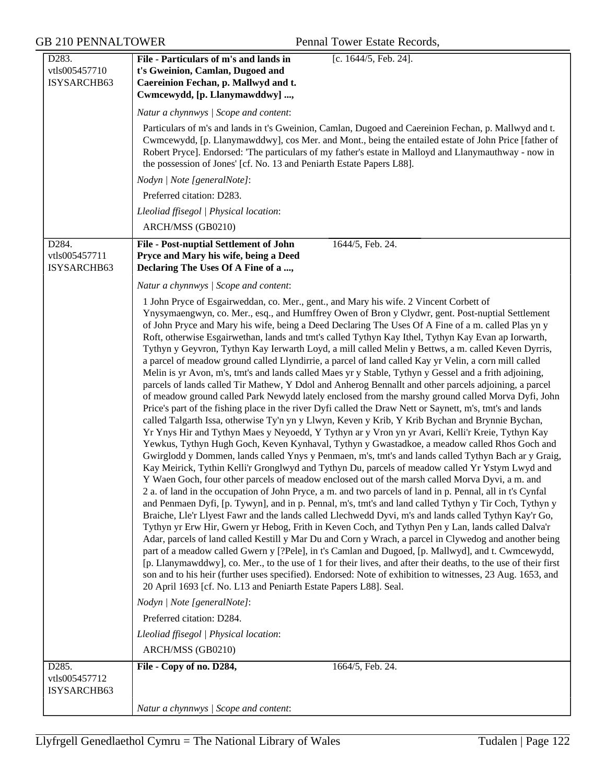| D <sub>283</sub> .<br>vtls005457710<br>ISYSARCHB63 | File - Particulars of m's and lands in<br>[c. 1644/5, Feb. 24].<br>t's Gweinion, Camlan, Dugoed and<br>Caereinion Fechan, p. Mallwyd and t.<br>Cwmcewydd, [p. Llanymawddwy] ,                                                                                                                                                                                                                                                                                                                                                                                                                                                                                                                                                                                                                                                                                                                                                                                                                                                                                                                                                                                                                                                                                                                                                                                                                                                                                                                                                                                                                                                                                                                                                                                                                                                                                                                                                                                                                                                                                                                                                                                                                                                                                                                                                                                                                                                                                                                                                                                                                                                                     |
|----------------------------------------------------|---------------------------------------------------------------------------------------------------------------------------------------------------------------------------------------------------------------------------------------------------------------------------------------------------------------------------------------------------------------------------------------------------------------------------------------------------------------------------------------------------------------------------------------------------------------------------------------------------------------------------------------------------------------------------------------------------------------------------------------------------------------------------------------------------------------------------------------------------------------------------------------------------------------------------------------------------------------------------------------------------------------------------------------------------------------------------------------------------------------------------------------------------------------------------------------------------------------------------------------------------------------------------------------------------------------------------------------------------------------------------------------------------------------------------------------------------------------------------------------------------------------------------------------------------------------------------------------------------------------------------------------------------------------------------------------------------------------------------------------------------------------------------------------------------------------------------------------------------------------------------------------------------------------------------------------------------------------------------------------------------------------------------------------------------------------------------------------------------------------------------------------------------------------------------------------------------------------------------------------------------------------------------------------------------------------------------------------------------------------------------------------------------------------------------------------------------------------------------------------------------------------------------------------------------------------------------------------------------------------------------------------------------|
|                                                    | Natur a chynnwys / Scope and content:                                                                                                                                                                                                                                                                                                                                                                                                                                                                                                                                                                                                                                                                                                                                                                                                                                                                                                                                                                                                                                                                                                                                                                                                                                                                                                                                                                                                                                                                                                                                                                                                                                                                                                                                                                                                                                                                                                                                                                                                                                                                                                                                                                                                                                                                                                                                                                                                                                                                                                                                                                                                             |
|                                                    | Particulars of m's and lands in t's Gweinion, Camlan, Dugoed and Caereinion Fechan, p. Mallwyd and t.<br>Cwmcewydd, [p. Llanymawddwy], cos Mer. and Mont., being the entailed estate of John Price [father of<br>Robert Pryce]. Endorsed: 'The particulars of my father's estate in Malloyd and Llanymauthway - now in<br>the possession of Jones' [cf. No. 13 and Peniarth Estate Papers L88].                                                                                                                                                                                                                                                                                                                                                                                                                                                                                                                                                                                                                                                                                                                                                                                                                                                                                                                                                                                                                                                                                                                                                                                                                                                                                                                                                                                                                                                                                                                                                                                                                                                                                                                                                                                                                                                                                                                                                                                                                                                                                                                                                                                                                                                   |
|                                                    | Nodyn   Note [generalNote]:                                                                                                                                                                                                                                                                                                                                                                                                                                                                                                                                                                                                                                                                                                                                                                                                                                                                                                                                                                                                                                                                                                                                                                                                                                                                                                                                                                                                                                                                                                                                                                                                                                                                                                                                                                                                                                                                                                                                                                                                                                                                                                                                                                                                                                                                                                                                                                                                                                                                                                                                                                                                                       |
|                                                    | Preferred citation: D283.                                                                                                                                                                                                                                                                                                                                                                                                                                                                                                                                                                                                                                                                                                                                                                                                                                                                                                                                                                                                                                                                                                                                                                                                                                                                                                                                                                                                                                                                                                                                                                                                                                                                                                                                                                                                                                                                                                                                                                                                                                                                                                                                                                                                                                                                                                                                                                                                                                                                                                                                                                                                                         |
|                                                    | Lleoliad ffisegol   Physical location:                                                                                                                                                                                                                                                                                                                                                                                                                                                                                                                                                                                                                                                                                                                                                                                                                                                                                                                                                                                                                                                                                                                                                                                                                                                                                                                                                                                                                                                                                                                                                                                                                                                                                                                                                                                                                                                                                                                                                                                                                                                                                                                                                                                                                                                                                                                                                                                                                                                                                                                                                                                                            |
|                                                    | ARCH/MSS (GB0210)                                                                                                                                                                                                                                                                                                                                                                                                                                                                                                                                                                                                                                                                                                                                                                                                                                                                                                                                                                                                                                                                                                                                                                                                                                                                                                                                                                                                                                                                                                                                                                                                                                                                                                                                                                                                                                                                                                                                                                                                                                                                                                                                                                                                                                                                                                                                                                                                                                                                                                                                                                                                                                 |
| D284.<br>vtls005457711<br>ISYSARCHB63              | <b>File - Post-nuptial Settlement of John</b><br>1644/5, Feb. 24.<br>Pryce and Mary his wife, being a Deed<br>Declaring The Uses Of A Fine of a ,                                                                                                                                                                                                                                                                                                                                                                                                                                                                                                                                                                                                                                                                                                                                                                                                                                                                                                                                                                                                                                                                                                                                                                                                                                                                                                                                                                                                                                                                                                                                                                                                                                                                                                                                                                                                                                                                                                                                                                                                                                                                                                                                                                                                                                                                                                                                                                                                                                                                                                 |
|                                                    | Natur a chynnwys / Scope and content:                                                                                                                                                                                                                                                                                                                                                                                                                                                                                                                                                                                                                                                                                                                                                                                                                                                                                                                                                                                                                                                                                                                                                                                                                                                                                                                                                                                                                                                                                                                                                                                                                                                                                                                                                                                                                                                                                                                                                                                                                                                                                                                                                                                                                                                                                                                                                                                                                                                                                                                                                                                                             |
|                                                    | 1 John Pryce of Esgairweddan, co. Mer., gent., and Mary his wife. 2 Vincent Corbett of<br>Ynysymaengwyn, co. Mer., esq., and Humffrey Owen of Bron y Clydwr, gent. Post-nuptial Settlement<br>of John Pryce and Mary his wife, being a Deed Declaring The Uses Of A Fine of a m. called Plas yn y<br>Roft, otherwise Esgairwethan, lands and tmt's called Tythyn Kay Ithel, Tythyn Kay Evan ap Iorwarth,<br>Tythyn y Geyvron, Tythyn Kay Ierwarth Loyd, a mill called Melin y Bettws, a m. called Keven Dyrris,<br>a parcel of meadow ground called Llyndirrie, a parcel of land called Kay yr Velin, a corn mill called<br>Melin is yr Avon, m's, tmt's and lands called Maes yr y Stable, Tythyn y Gessel and a frith adjoining,<br>parcels of lands called Tir Mathew, Y Ddol and Anherog Bennallt and other parcels adjoining, a parcel<br>of meadow ground called Park Newydd lately enclosed from the marshy ground called Morva Dyfi, John<br>Price's part of the fishing place in the river Dyfi called the Draw Nett or Saynett, m's, tmt's and lands<br>called Talgarth Issa, otherwise Ty'n yn y Llwyn, Keven y Krib, Y Krib Bychan and Brynnie Bychan,<br>Yr Ynys Hir and Tythyn Maes y Neyoedd, Y Tythyn ar y Vron yn yr Avari, Kelli'r Kreie, Tythyn Kay<br>Yewkus, Tythyn Hugh Goch, Keven Kynhaval, Tythyn y Gwastadkoe, a meadow called Rhos Goch and<br>Gwirglodd y Dommen, lands called Ynys y Penmaen, m's, tmt's and lands called Tythyn Bach ar y Graig,<br>Kay Meirick, Tythin Kelli'r Gronglwyd and Tythyn Du, parcels of meadow called Yr Ystym Lwyd and<br>Y Waen Goch, four other parcels of meadow enclosed out of the marsh called Morva Dyvi, a m. and<br>2 a. of land in the occupation of John Pryce, a m. and two parcels of land in p. Pennal, all in t's Cynfal<br>and Penmaen Dyfi, [p. Tywyn], and in p. Pennal, m's, tmt's and land called Tythyn y Tir Coch, Tythyn y<br>Braiche, Lle'r Llyest Fawr and the lands called Llechwedd Dyvi, m's and lands called Tythyn Kay'r Go,<br>Tythyn yr Erw Hir, Gwern yr Hebog, Frith in Keven Coch, and Tythyn Pen y Lan, lands called Dalva'r<br>Adar, parcels of land called Kestill y Mar Du and Corn y Wrach, a parcel in Clywedog and another being<br>part of a meadow called Gwern y [?Pele], in t's Camlan and Dugoed, [p. Mallwyd], and t. Cwmcewydd,<br>[p. Llanymawddwy], co. Mer., to the use of 1 for their lives, and after their deaths, to the use of their first<br>son and to his heir (further uses specified). Endorsed: Note of exhibition to witnesses, 23 Aug. 1653, and<br>20 April 1693 [cf. No. L13 and Peniarth Estate Papers L88]. Seal. |
|                                                    | Nodyn   Note [generalNote]:                                                                                                                                                                                                                                                                                                                                                                                                                                                                                                                                                                                                                                                                                                                                                                                                                                                                                                                                                                                                                                                                                                                                                                                                                                                                                                                                                                                                                                                                                                                                                                                                                                                                                                                                                                                                                                                                                                                                                                                                                                                                                                                                                                                                                                                                                                                                                                                                                                                                                                                                                                                                                       |
|                                                    | Preferred citation: D284.                                                                                                                                                                                                                                                                                                                                                                                                                                                                                                                                                                                                                                                                                                                                                                                                                                                                                                                                                                                                                                                                                                                                                                                                                                                                                                                                                                                                                                                                                                                                                                                                                                                                                                                                                                                                                                                                                                                                                                                                                                                                                                                                                                                                                                                                                                                                                                                                                                                                                                                                                                                                                         |
|                                                    | Lleoliad ffisegol   Physical location:                                                                                                                                                                                                                                                                                                                                                                                                                                                                                                                                                                                                                                                                                                                                                                                                                                                                                                                                                                                                                                                                                                                                                                                                                                                                                                                                                                                                                                                                                                                                                                                                                                                                                                                                                                                                                                                                                                                                                                                                                                                                                                                                                                                                                                                                                                                                                                                                                                                                                                                                                                                                            |
|                                                    | ARCH/MSS (GB0210)                                                                                                                                                                                                                                                                                                                                                                                                                                                                                                                                                                                                                                                                                                                                                                                                                                                                                                                                                                                                                                                                                                                                                                                                                                                                                                                                                                                                                                                                                                                                                                                                                                                                                                                                                                                                                                                                                                                                                                                                                                                                                                                                                                                                                                                                                                                                                                                                                                                                                                                                                                                                                                 |
| D285.<br>vtls005457712<br>ISYSARCHB63              | 1664/5, Feb. 24.<br>File - Copy of no. D284,<br>Natur a chynnwys / Scope and content:                                                                                                                                                                                                                                                                                                                                                                                                                                                                                                                                                                                                                                                                                                                                                                                                                                                                                                                                                                                                                                                                                                                                                                                                                                                                                                                                                                                                                                                                                                                                                                                                                                                                                                                                                                                                                                                                                                                                                                                                                                                                                                                                                                                                                                                                                                                                                                                                                                                                                                                                                             |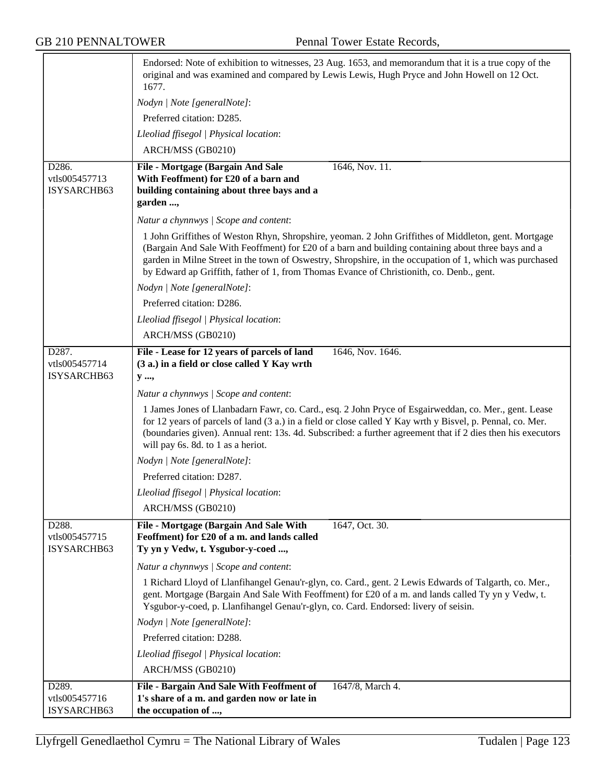|                                       | Endorsed: Note of exhibition to witnesses, 23 Aug. 1653, and memorandum that it is a true copy of the<br>original and was examined and compared by Lewis Lewis, Hugh Pryce and John Howell on 12 Oct.<br>1677.                                                                                                                                                                                                    |
|---------------------------------------|-------------------------------------------------------------------------------------------------------------------------------------------------------------------------------------------------------------------------------------------------------------------------------------------------------------------------------------------------------------------------------------------------------------------|
|                                       | Nodyn   Note [generalNote]:                                                                                                                                                                                                                                                                                                                                                                                       |
|                                       | Preferred citation: D285.                                                                                                                                                                                                                                                                                                                                                                                         |
|                                       | Lleoliad ffisegol   Physical location:                                                                                                                                                                                                                                                                                                                                                                            |
|                                       | ARCH/MSS (GB0210)                                                                                                                                                                                                                                                                                                                                                                                                 |
| D286.                                 | 1646, Nov. 11.<br>File - Mortgage (Bargain And Sale                                                                                                                                                                                                                                                                                                                                                               |
| vtls005457713                         | With Feoffment) for £20 of a barn and                                                                                                                                                                                                                                                                                                                                                                             |
| ISYSARCHB63                           | building containing about three bays and a                                                                                                                                                                                                                                                                                                                                                                        |
|                                       | garden ,                                                                                                                                                                                                                                                                                                                                                                                                          |
|                                       | Natur a chynnwys   Scope and content:                                                                                                                                                                                                                                                                                                                                                                             |
|                                       | 1 John Griffithes of Weston Rhyn, Shropshire, yeoman. 2 John Griffithes of Middleton, gent. Mortgage<br>(Bargain And Sale With Feoffment) for £20 of a barn and building containing about three bays and a<br>garden in Milne Street in the town of Oswestry, Shropshire, in the occupation of 1, which was purchased<br>by Edward ap Griffith, father of 1, from Thomas Evance of Christionith, co. Denb., gent. |
|                                       | Nodyn   Note [generalNote]:                                                                                                                                                                                                                                                                                                                                                                                       |
|                                       | Preferred citation: D286.                                                                                                                                                                                                                                                                                                                                                                                         |
|                                       | Lleoliad ffisegol   Physical location:                                                                                                                                                                                                                                                                                                                                                                            |
|                                       | ARCH/MSS (GB0210)                                                                                                                                                                                                                                                                                                                                                                                                 |
| D287.                                 | File - Lease for 12 years of parcels of land<br>1646, Nov. 1646.                                                                                                                                                                                                                                                                                                                                                  |
| vtls005457714<br>ISYSARCHB63          | (3 a.) in a field or close called Y Kay wrth                                                                                                                                                                                                                                                                                                                                                                      |
|                                       | y ,                                                                                                                                                                                                                                                                                                                                                                                                               |
|                                       | Natur a chynnwys / Scope and content:                                                                                                                                                                                                                                                                                                                                                                             |
|                                       | 1 James Jones of Llanbadarn Fawr, co. Card., esq. 2 John Pryce of Esgairweddan, co. Mer., gent. Lease<br>for 12 years of parcels of land (3 a.) in a field or close called Y Kay wrth y Bisvel, p. Pennal, co. Mer.<br>(boundaries given). Annual rent: 13s. 4d. Subscribed: a further agreement that if 2 dies then his executors<br>will pay 6s. 8d. to 1 as a heriot.                                          |
|                                       | Nodyn   Note [generalNote]:                                                                                                                                                                                                                                                                                                                                                                                       |
|                                       | Preferred citation: D287.                                                                                                                                                                                                                                                                                                                                                                                         |
|                                       | Lleoliad ffisegol   Physical location:                                                                                                                                                                                                                                                                                                                                                                            |
|                                       | ARCH/MSS (GB0210)                                                                                                                                                                                                                                                                                                                                                                                                 |
| D288.<br>vtls005457715<br>ISYSARCHB63 | File - Mortgage (Bargain And Sale With<br>1647, Oct. 30.<br>Feoffment) for £20 of a m. and lands called<br>Ty yn y Vedw, t. Ysgubor-y-coed ,                                                                                                                                                                                                                                                                      |
|                                       | Natur a chynnwys / Scope and content:                                                                                                                                                                                                                                                                                                                                                                             |
|                                       | 1 Richard Lloyd of Llanfihangel Genau'r-glyn, co. Card., gent. 2 Lewis Edwards of Talgarth, co. Mer.,<br>gent. Mortgage (Bargain And Sale With Feoffment) for £20 of a m. and lands called Ty yn y Vedw, t.<br>Ysgubor-y-coed, p. Llanfihangel Genau'r-glyn, co. Card. Endorsed: livery of seisin.                                                                                                                |
|                                       | Nodyn   Note [generalNote]:                                                                                                                                                                                                                                                                                                                                                                                       |
|                                       | Preferred citation: D288.                                                                                                                                                                                                                                                                                                                                                                                         |
|                                       | Lleoliad ffisegol   Physical location:                                                                                                                                                                                                                                                                                                                                                                            |
|                                       | ARCH/MSS (GB0210)                                                                                                                                                                                                                                                                                                                                                                                                 |
| D289.                                 | File - Bargain And Sale With Feoffment of<br>1647/8, March 4.                                                                                                                                                                                                                                                                                                                                                     |
| vtls005457716                         | 1's share of a m. and garden now or late in                                                                                                                                                                                                                                                                                                                                                                       |
| ISYSARCHB63                           | the occupation of ,                                                                                                                                                                                                                                                                                                                                                                                               |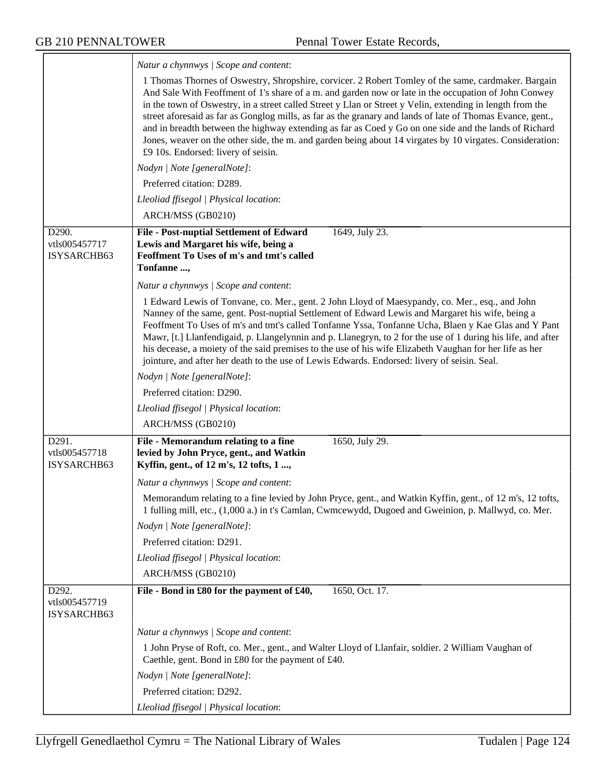|                                       | Natur a chynnwys / Scope and content:                                                                                                                                                                                                                                                                                                                                                                                                                                                                                                                                                                                                                                                               |
|---------------------------------------|-----------------------------------------------------------------------------------------------------------------------------------------------------------------------------------------------------------------------------------------------------------------------------------------------------------------------------------------------------------------------------------------------------------------------------------------------------------------------------------------------------------------------------------------------------------------------------------------------------------------------------------------------------------------------------------------------------|
|                                       | 1 Thomas Thornes of Oswestry, Shropshire, corvicer. 2 Robert Tomley of the same, cardmaker. Bargain<br>And Sale With Feoffment of 1's share of a m. and garden now or late in the occupation of John Conwey<br>in the town of Oswestry, in a street called Street y Llan or Street y Velin, extending in length from the<br>street aforesaid as far as Gonglog mills, as far as the granary and lands of late of Thomas Evance, gent.,<br>and in breadth between the highway extending as far as Coed y Go on one side and the lands of Richard<br>Jones, weaver on the other side, the m. and garden being about 14 virgates by 10 virgates. Consideration:<br>£9 10s. Endorsed: livery of seisin. |
|                                       | Nodyn   Note [generalNote]:                                                                                                                                                                                                                                                                                                                                                                                                                                                                                                                                                                                                                                                                         |
|                                       | Preferred citation: D289.                                                                                                                                                                                                                                                                                                                                                                                                                                                                                                                                                                                                                                                                           |
|                                       | Lleoliad ffisegol   Physical location:                                                                                                                                                                                                                                                                                                                                                                                                                                                                                                                                                                                                                                                              |
|                                       | ARCH/MSS (GB0210)                                                                                                                                                                                                                                                                                                                                                                                                                                                                                                                                                                                                                                                                                   |
| D290.<br>vtls005457717<br>ISYSARCHB63 | File - Post-nuptial Settlement of Edward<br>1649, July 23.<br>Lewis and Margaret his wife, being a<br>Feoffment To Uses of m's and tmt's called<br>Tonfanne,                                                                                                                                                                                                                                                                                                                                                                                                                                                                                                                                        |
|                                       | Natur a chynnwys / Scope and content:                                                                                                                                                                                                                                                                                                                                                                                                                                                                                                                                                                                                                                                               |
|                                       | 1 Edward Lewis of Tonvane, co. Mer., gent. 2 John Lloyd of Maesypandy, co. Mer., esq., and John<br>Nanney of the same, gent. Post-nuptial Settlement of Edward Lewis and Margaret his wife, being a<br>Feoffment To Uses of m's and tmt's called Tonfanne Yssa, Tonfanne Ucha, Blaen y Kae Glas and Y Pant<br>Mawr, [t.] Llanfendigaid, p. Llangelynnin and p. Llanegryn, to 2 for the use of 1 during his life, and after<br>his decease, a moiety of the said premises to the use of his wife Elizabeth Vaughan for her life as her<br>jointure, and after her death to the use of Lewis Edwards. Endorsed: livery of seisin. Seal.                                                               |
|                                       | Nodyn   Note [generalNote]:                                                                                                                                                                                                                                                                                                                                                                                                                                                                                                                                                                                                                                                                         |
|                                       | Preferred citation: D290.                                                                                                                                                                                                                                                                                                                                                                                                                                                                                                                                                                                                                                                                           |
|                                       | Lleoliad ffisegol   Physical location:                                                                                                                                                                                                                                                                                                                                                                                                                                                                                                                                                                                                                                                              |
|                                       | ARCH/MSS (GB0210)                                                                                                                                                                                                                                                                                                                                                                                                                                                                                                                                                                                                                                                                                   |
| D291.<br>vtls005457718<br>ISYSARCHB63 | File - Memorandum relating to a fine<br>1650, July 29.<br>levied by John Pryce, gent., and Watkin<br>Kyffin, gent., of 12 m's, 12 tofts, 1 ,                                                                                                                                                                                                                                                                                                                                                                                                                                                                                                                                                        |
|                                       | Natur a chynnwys / Scope and content:                                                                                                                                                                                                                                                                                                                                                                                                                                                                                                                                                                                                                                                               |
|                                       | Memorandum relating to a fine levied by John Pryce, gent., and Watkin Kyffin, gent., of 12 m's, 12 tofts,<br>1 fulling mill, etc., (1,000 a.) in t's Camlan, Cwmcewydd, Dugoed and Gweinion, p. Mallwyd, co. Mer.                                                                                                                                                                                                                                                                                                                                                                                                                                                                                   |
|                                       | Nodyn   Note [generalNote]:                                                                                                                                                                                                                                                                                                                                                                                                                                                                                                                                                                                                                                                                         |
|                                       | Preferred citation: D291.                                                                                                                                                                                                                                                                                                                                                                                                                                                                                                                                                                                                                                                                           |
|                                       | Lleoliad ffisegol   Physical location:                                                                                                                                                                                                                                                                                                                                                                                                                                                                                                                                                                                                                                                              |
|                                       | ARCH/MSS (GB0210)                                                                                                                                                                                                                                                                                                                                                                                                                                                                                                                                                                                                                                                                                   |
| D292.<br>vtls005457719<br>ISYSARCHB63 | File - Bond in £80 for the payment of £40,<br>1650, Oct. 17.                                                                                                                                                                                                                                                                                                                                                                                                                                                                                                                                                                                                                                        |
|                                       | Natur a chynnwys / Scope and content:                                                                                                                                                                                                                                                                                                                                                                                                                                                                                                                                                                                                                                                               |
|                                       | 1 John Pryse of Roft, co. Mer., gent., and Walter Lloyd of Llanfair, soldier. 2 William Vaughan of<br>Caethle, gent. Bond in £80 for the payment of £40.                                                                                                                                                                                                                                                                                                                                                                                                                                                                                                                                            |
|                                       | Nodyn   Note [generalNote]:                                                                                                                                                                                                                                                                                                                                                                                                                                                                                                                                                                                                                                                                         |
|                                       | Preferred citation: D292.                                                                                                                                                                                                                                                                                                                                                                                                                                                                                                                                                                                                                                                                           |
|                                       | Lleoliad ffisegol   Physical location:                                                                                                                                                                                                                                                                                                                                                                                                                                                                                                                                                                                                                                                              |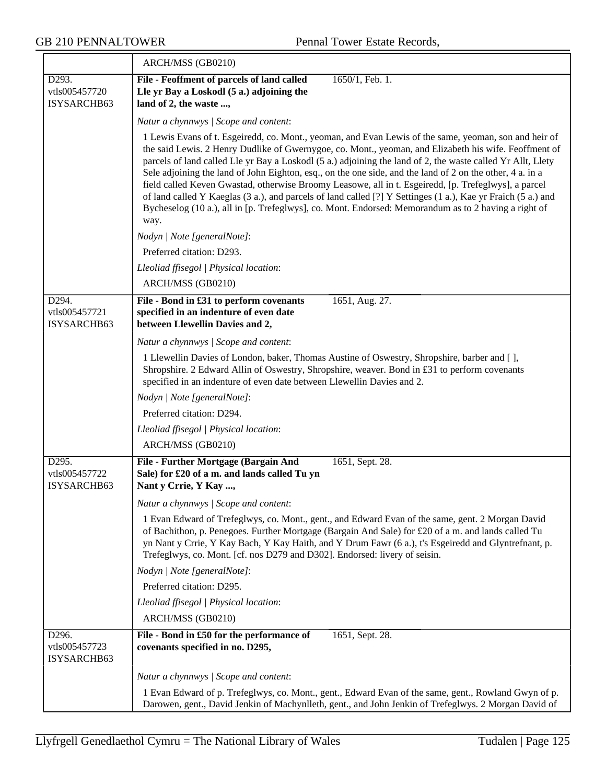|                                       | ARCH/MSS (GB0210)                                                                                                                                                                                                                                                                                                                                                                                                                                                                                                                                                                                                                                                                                                                                                                  |  |
|---------------------------------------|------------------------------------------------------------------------------------------------------------------------------------------------------------------------------------------------------------------------------------------------------------------------------------------------------------------------------------------------------------------------------------------------------------------------------------------------------------------------------------------------------------------------------------------------------------------------------------------------------------------------------------------------------------------------------------------------------------------------------------------------------------------------------------|--|
| D293.<br>vtls005457720<br>ISYSARCHB63 | File - Feoffment of parcels of land called<br>1650/1, Feb. 1.<br>Lle yr Bay a Loskodl (5 a.) adjoining the<br>land of 2, the waste ,                                                                                                                                                                                                                                                                                                                                                                                                                                                                                                                                                                                                                                               |  |
|                                       | Natur a chynnwys / Scope and content:                                                                                                                                                                                                                                                                                                                                                                                                                                                                                                                                                                                                                                                                                                                                              |  |
|                                       | 1 Lewis Evans of t. Esgeiredd, co. Mont., yeoman, and Evan Lewis of the same, yeoman, son and heir of<br>the said Lewis. 2 Henry Dudlike of Gwernygoe, co. Mont., yeoman, and Elizabeth his wife. Feoffment of<br>parcels of land called Lle yr Bay a Loskodl (5 a.) adjoining the land of 2, the waste called Yr Allt, Llety<br>Sele adjoining the land of John Eighton, esq., on the one side, and the land of 2 on the other, 4 a. in a<br>field called Keven Gwastad, otherwise Broomy Leasowe, all in t. Esgeiredd, [p. Trefeglwys], a parcel<br>of land called Y Kaeglas (3 a.), and parcels of land called [?] Y Settinges (1 a.), Kae yr Fraich (5 a.) and<br>Bycheselog (10 a.), all in [p. Trefeglwys], co. Mont. Endorsed: Memorandum as to 2 having a right of<br>way. |  |
|                                       | Nodyn   Note [generalNote]:                                                                                                                                                                                                                                                                                                                                                                                                                                                                                                                                                                                                                                                                                                                                                        |  |
|                                       | Preferred citation: D293.                                                                                                                                                                                                                                                                                                                                                                                                                                                                                                                                                                                                                                                                                                                                                          |  |
|                                       | Lleoliad ffisegol   Physical location:                                                                                                                                                                                                                                                                                                                                                                                                                                                                                                                                                                                                                                                                                                                                             |  |
|                                       | ARCH/MSS (GB0210)                                                                                                                                                                                                                                                                                                                                                                                                                                                                                                                                                                                                                                                                                                                                                                  |  |
| D294.<br>vtls005457721<br>ISYSARCHB63 | File - Bond in £31 to perform covenants<br>1651, Aug. 27.<br>specified in an indenture of even date<br>between Llewellin Davies and 2,                                                                                                                                                                                                                                                                                                                                                                                                                                                                                                                                                                                                                                             |  |
|                                       | Natur a chynnwys / Scope and content:                                                                                                                                                                                                                                                                                                                                                                                                                                                                                                                                                                                                                                                                                                                                              |  |
|                                       | 1 Llewellin Davies of London, baker, Thomas Austine of Oswestry, Shropshire, barber and [],<br>Shropshire. 2 Edward Allin of Oswestry, Shropshire, weaver. Bond in £31 to perform covenants<br>specified in an indenture of even date between Llewellin Davies and 2.                                                                                                                                                                                                                                                                                                                                                                                                                                                                                                              |  |
|                                       | Nodyn   Note [generalNote]:                                                                                                                                                                                                                                                                                                                                                                                                                                                                                                                                                                                                                                                                                                                                                        |  |
|                                       | Preferred citation: D294.                                                                                                                                                                                                                                                                                                                                                                                                                                                                                                                                                                                                                                                                                                                                                          |  |
|                                       | Lleoliad ffisegol   Physical location:                                                                                                                                                                                                                                                                                                                                                                                                                                                                                                                                                                                                                                                                                                                                             |  |
|                                       | ARCH/MSS (GB0210)                                                                                                                                                                                                                                                                                                                                                                                                                                                                                                                                                                                                                                                                                                                                                                  |  |
| D295.<br>vtls005457722<br>ISYSARCHB63 | File - Further Mortgage (Bargain And<br>1651, Sept. 28.<br>Sale) for £20 of a m. and lands called Tu yn<br>Nant y Crrie, Y Kay ,                                                                                                                                                                                                                                                                                                                                                                                                                                                                                                                                                                                                                                                   |  |
|                                       | Natur a chynnwys / Scope and content:                                                                                                                                                                                                                                                                                                                                                                                                                                                                                                                                                                                                                                                                                                                                              |  |
|                                       | 1 Evan Edward of Trefeglwys, co. Mont., gent., and Edward Evan of the same, gent. 2 Morgan David<br>of Bachithon, p. Penegoes. Further Mortgage (Bargain And Sale) for £20 of a m. and lands called Tu<br>yn Nant y Crrie, Y Kay Bach, Y Kay Haith, and Y Drum Fawr (6 a.), t's Esgeiredd and Glyntrefnant, p.<br>Trefeglwys, co. Mont. [cf. nos D279 and D302]. Endorsed: livery of seisin.                                                                                                                                                                                                                                                                                                                                                                                       |  |
|                                       | Nodyn   Note [generalNote]:                                                                                                                                                                                                                                                                                                                                                                                                                                                                                                                                                                                                                                                                                                                                                        |  |
|                                       | Preferred citation: D295.                                                                                                                                                                                                                                                                                                                                                                                                                                                                                                                                                                                                                                                                                                                                                          |  |
|                                       | Lleoliad ffisegol   Physical location:                                                                                                                                                                                                                                                                                                                                                                                                                                                                                                                                                                                                                                                                                                                                             |  |
|                                       | ARCH/MSS (GB0210)                                                                                                                                                                                                                                                                                                                                                                                                                                                                                                                                                                                                                                                                                                                                                                  |  |
| D296.<br>vtls005457723<br>ISYSARCHB63 | 1651, Sept. 28.<br>File - Bond in £50 for the performance of<br>covenants specified in no. D295,                                                                                                                                                                                                                                                                                                                                                                                                                                                                                                                                                                                                                                                                                   |  |
|                                       | Natur a chynnwys / Scope and content:                                                                                                                                                                                                                                                                                                                                                                                                                                                                                                                                                                                                                                                                                                                                              |  |
|                                       | 1 Evan Edward of p. Trefeglwys, co. Mont., gent., Edward Evan of the same, gent., Rowland Gwyn of p.<br>Darowen, gent., David Jenkin of Machynlleth, gent., and John Jenkin of Trefeglwys. 2 Morgan David of                                                                                                                                                                                                                                                                                                                                                                                                                                                                                                                                                                       |  |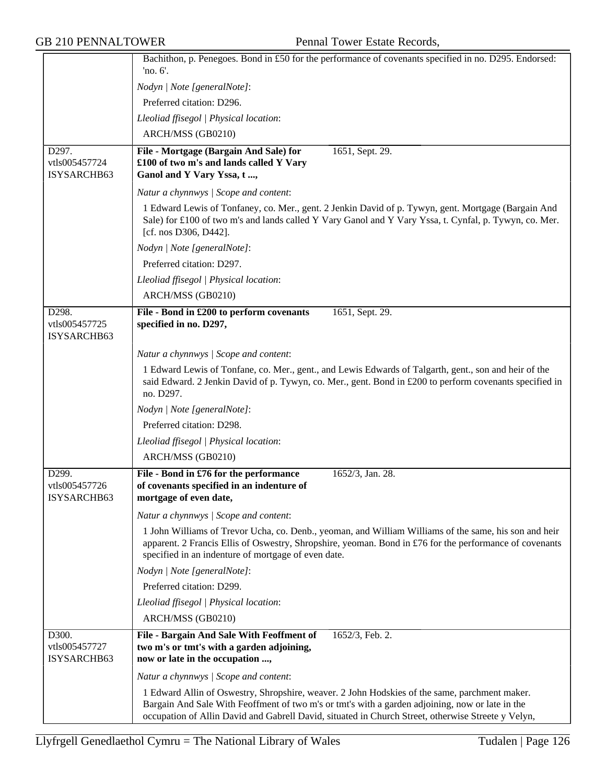|                              | Bachithon, p. Penegoes. Bond in £50 for the performance of covenants specified in no. D295. Endorsed:                                                                                                                                                                                                  |
|------------------------------|--------------------------------------------------------------------------------------------------------------------------------------------------------------------------------------------------------------------------------------------------------------------------------------------------------|
|                              | 'no. 6'.                                                                                                                                                                                                                                                                                               |
|                              | Nodyn   Note [generalNote]:                                                                                                                                                                                                                                                                            |
|                              | Preferred citation: D296.                                                                                                                                                                                                                                                                              |
|                              | Lleoliad ffisegol   Physical location:                                                                                                                                                                                                                                                                 |
|                              | ARCH/MSS (GB0210)                                                                                                                                                                                                                                                                                      |
| D297.<br>vtls005457724       | File - Mortgage (Bargain And Sale) for<br>1651, Sept. 29.<br>£100 of two m's and lands called Y Vary                                                                                                                                                                                                   |
| ISYSARCHB63                  | Ganol and Y Vary Yssa, t,                                                                                                                                                                                                                                                                              |
|                              | Natur a chynnwys / Scope and content:                                                                                                                                                                                                                                                                  |
|                              | 1 Edward Lewis of Tonfaney, co. Mer., gent. 2 Jenkin David of p. Tywyn, gent. Mortgage (Bargain And<br>Sale) for £100 of two m's and lands called Y Vary Ganol and Y Vary Yssa, t. Cynfal, p. Tywyn, co. Mer.<br>[cf. nos D306, D442].                                                                 |
|                              | Nodyn   Note [generalNote]:                                                                                                                                                                                                                                                                            |
|                              | Preferred citation: D297.                                                                                                                                                                                                                                                                              |
|                              | Lleoliad ffisegol   Physical location:                                                                                                                                                                                                                                                                 |
|                              | ARCH/MSS (GB0210)                                                                                                                                                                                                                                                                                      |
| D298.                        | File - Bond in £200 to perform covenants<br>1651, Sept. 29.                                                                                                                                                                                                                                            |
| vtls005457725<br>ISYSARCHB63 | specified in no. D297,                                                                                                                                                                                                                                                                                 |
|                              | Natur a chynnwys / Scope and content:                                                                                                                                                                                                                                                                  |
|                              | 1 Edward Lewis of Tonfane, co. Mer., gent., and Lewis Edwards of Talgarth, gent., son and heir of the<br>said Edward. 2 Jenkin David of p. Tywyn, co. Mer., gent. Bond in £200 to perform covenants specified in<br>no. D297.                                                                          |
|                              | Nodyn   Note [generalNote]:                                                                                                                                                                                                                                                                            |
|                              | Preferred citation: D298.                                                                                                                                                                                                                                                                              |
|                              | Lleoliad ffisegol   Physical location:                                                                                                                                                                                                                                                                 |
|                              | ARCH/MSS (GB0210)                                                                                                                                                                                                                                                                                      |
| D299.                        | File - Bond in £76 for the performance<br>1652/3, Jan. 28.                                                                                                                                                                                                                                             |
| vtls005457726                | of covenants specified in an indenture of                                                                                                                                                                                                                                                              |
| ISYSARCHB63                  | mortgage of even date,                                                                                                                                                                                                                                                                                 |
|                              | Natur a chynnwys / Scope and content:                                                                                                                                                                                                                                                                  |
|                              | 1 John Williams of Trevor Ucha, co. Denb., yeoman, and William Williams of the same, his son and heir<br>apparent. 2 Francis Ellis of Oswestry, Shropshire, yeoman. Bond in £76 for the performance of covenants<br>specified in an indenture of mortgage of even date.                                |
|                              | Nodyn   Note [generalNote]:                                                                                                                                                                                                                                                                            |
|                              | Preferred citation: D299.                                                                                                                                                                                                                                                                              |
|                              | Lleoliad ffisegol   Physical location:                                                                                                                                                                                                                                                                 |
|                              | ARCH/MSS (GB0210)                                                                                                                                                                                                                                                                                      |
| D300.                        | File - Bargain And Sale With Feoffment of<br>1652/3, Feb. 2.                                                                                                                                                                                                                                           |
| vtls005457727<br>ISYSARCHB63 | two m's or tmt's with a garden adjoining,<br>now or late in the occupation ,                                                                                                                                                                                                                           |
|                              | Natur a chynnwys   Scope and content:                                                                                                                                                                                                                                                                  |
|                              | 1 Edward Allin of Oswestry, Shropshire, weaver. 2 John Hodskies of the same, parchment maker.<br>Bargain And Sale With Feoffment of two m's or tmt's with a garden adjoining, now or late in the<br>occupation of Allin David and Gabrell David, situated in Church Street, otherwise Streete y Velyn, |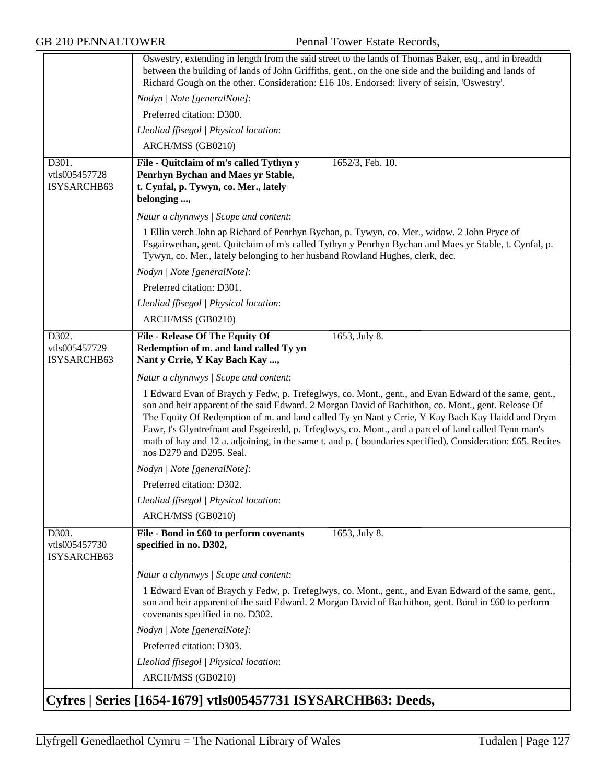|                                       | Oswestry, extending in length from the said street to the lands of Thomas Baker, esq., and in breadth<br>between the building of lands of John Griffiths, gent., on the one side and the building and lands of                                                                                                                                                                                                                                                                                                                                                    |
|---------------------------------------|-------------------------------------------------------------------------------------------------------------------------------------------------------------------------------------------------------------------------------------------------------------------------------------------------------------------------------------------------------------------------------------------------------------------------------------------------------------------------------------------------------------------------------------------------------------------|
|                                       | Richard Gough on the other. Consideration: £16 10s. Endorsed: livery of seisin, 'Oswestry'.                                                                                                                                                                                                                                                                                                                                                                                                                                                                       |
|                                       | Nodyn   Note [generalNote]:                                                                                                                                                                                                                                                                                                                                                                                                                                                                                                                                       |
|                                       | Preferred citation: D300.                                                                                                                                                                                                                                                                                                                                                                                                                                                                                                                                         |
|                                       | Lleoliad ffisegol   Physical location:                                                                                                                                                                                                                                                                                                                                                                                                                                                                                                                            |
|                                       | ARCH/MSS (GB0210)                                                                                                                                                                                                                                                                                                                                                                                                                                                                                                                                                 |
| D301.<br>vtls005457728<br>ISYSARCHB63 | 1652/3, Feb. 10.<br>File - Quitclaim of m's called Tythyn y<br>Penrhyn Bychan and Maes yr Stable,<br>t. Cynfal, p. Tywyn, co. Mer., lately<br>belonging ,                                                                                                                                                                                                                                                                                                                                                                                                         |
|                                       | Natur a chynnwys / Scope and content:                                                                                                                                                                                                                                                                                                                                                                                                                                                                                                                             |
|                                       | 1 Ellin verch John ap Richard of Penrhyn Bychan, p. Tywyn, co. Mer., widow. 2 John Pryce of<br>Esgairwethan, gent. Quitclaim of m's called Tythyn y Penrhyn Bychan and Maes yr Stable, t. Cynfal, p.<br>Tywyn, co. Mer., lately belonging to her husband Rowland Hughes, clerk, dec.                                                                                                                                                                                                                                                                              |
|                                       | Nodyn   Note [generalNote]:                                                                                                                                                                                                                                                                                                                                                                                                                                                                                                                                       |
|                                       | Preferred citation: D301.                                                                                                                                                                                                                                                                                                                                                                                                                                                                                                                                         |
|                                       | Lleoliad ffisegol   Physical location:                                                                                                                                                                                                                                                                                                                                                                                                                                                                                                                            |
|                                       | ARCH/MSS (GB0210)                                                                                                                                                                                                                                                                                                                                                                                                                                                                                                                                                 |
| D302.<br>vtls005457729<br>ISYSARCHB63 | 1653, July 8.<br><b>File - Release Of The Equity Of</b><br>Redemption of m. and land called Ty yn<br>Nant y Crrie, Y Kay Bach Kay ,                                                                                                                                                                                                                                                                                                                                                                                                                               |
|                                       | Natur a chynnwys / Scope and content:                                                                                                                                                                                                                                                                                                                                                                                                                                                                                                                             |
|                                       | 1 Edward Evan of Braych y Fedw, p. Trefeglwys, co. Mont., gent., and Evan Edward of the same, gent.,<br>son and heir apparent of the said Edward. 2 Morgan David of Bachithon, co. Mont., gent. Release Of<br>The Equity Of Redemption of m. and land called Ty yn Nant y Crrie, Y Kay Bach Kay Haidd and Drym<br>Fawr, t's Glyntrefnant and Esgeiredd, p. Trfeglwys, co. Mont., and a parcel of land called Tenn man's<br>math of hay and 12 a. adjoining, in the same t. and p. (boundaries specified). Consideration: £65. Recites<br>nos D279 and D295. Seal. |
|                                       | Nodyn   Note [generalNote]:                                                                                                                                                                                                                                                                                                                                                                                                                                                                                                                                       |
|                                       | Preferred citation: D302.                                                                                                                                                                                                                                                                                                                                                                                                                                                                                                                                         |
|                                       | Lleoliad ffisegol   Physical location:                                                                                                                                                                                                                                                                                                                                                                                                                                                                                                                            |
|                                       | ARCH/MSS (GB0210)                                                                                                                                                                                                                                                                                                                                                                                                                                                                                                                                                 |
| D303.<br>vtls005457730<br>ISYSARCHB63 | 1653, July 8.<br>File - Bond in £60 to perform covenants<br>specified in no. D302,                                                                                                                                                                                                                                                                                                                                                                                                                                                                                |
|                                       | Natur a chynnwys / Scope and content:                                                                                                                                                                                                                                                                                                                                                                                                                                                                                                                             |
|                                       | 1 Edward Evan of Braych y Fedw, p. Trefeglwys, co. Mont., gent., and Evan Edward of the same, gent.,<br>son and heir apparent of the said Edward. 2 Morgan David of Bachithon, gent. Bond in £60 to perform<br>covenants specified in no. D302.                                                                                                                                                                                                                                                                                                                   |
|                                       | Nodyn   Note [generalNote]:                                                                                                                                                                                                                                                                                                                                                                                                                                                                                                                                       |
|                                       | Preferred citation: D303.                                                                                                                                                                                                                                                                                                                                                                                                                                                                                                                                         |
|                                       | Lleoliad ffisegol   Physical location:                                                                                                                                                                                                                                                                                                                                                                                                                                                                                                                            |
|                                       | ARCH/MSS (GB0210)                                                                                                                                                                                                                                                                                                                                                                                                                                                                                                                                                 |
|                                       | Cyfres   Series [1654-1679] vtls005457731 ISYSARCHB63: Deeds,                                                                                                                                                                                                                                                                                                                                                                                                                                                                                                     |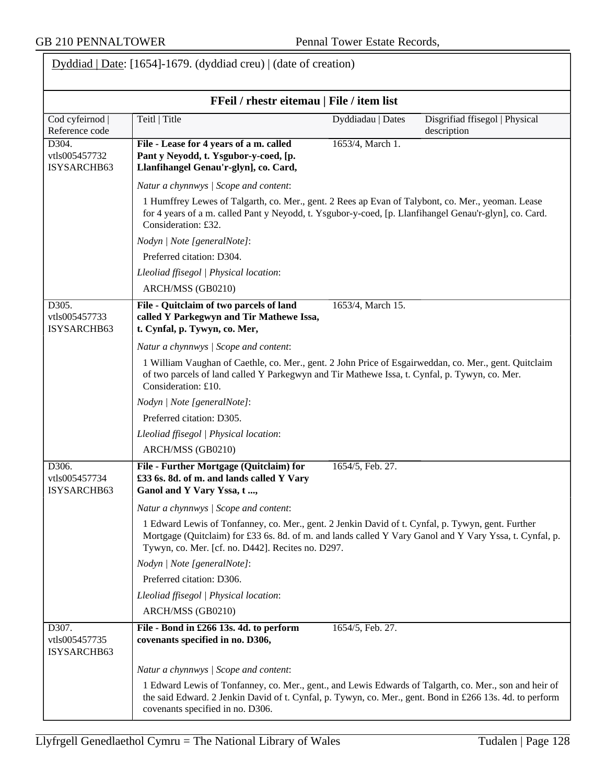|                                       | FFeil / rhestr eitemau   File / item list                                                                                                                                                                                                                         |                   |                                               |
|---------------------------------------|-------------------------------------------------------------------------------------------------------------------------------------------------------------------------------------------------------------------------------------------------------------------|-------------------|-----------------------------------------------|
| Cod cyfeirnod<br>Reference code       | Teitl   Title                                                                                                                                                                                                                                                     | Dyddiadau   Dates | Disgrifiad ffisegol   Physical<br>description |
| D304.<br>vtls005457732<br>ISYSARCHB63 | File - Lease for 4 years of a m. called<br>Pant y Neyodd, t. Ysgubor-y-coed, [p.<br>Llanfihangel Genau'r-glyn], co. Card,                                                                                                                                         | 1653/4, March 1.  |                                               |
|                                       | Natur a chynnwys / Scope and content:                                                                                                                                                                                                                             |                   |                                               |
|                                       | 1 Humffrey Lewes of Talgarth, co. Mer., gent. 2 Rees ap Evan of Talybont, co. Mer., yeoman. Lease<br>for 4 years of a m. called Pant y Neyodd, t. Ysgubor-y-coed, [p. Llanfihangel Genau'r-glyn], co. Card.<br>Consideration: £32.                                |                   |                                               |
|                                       | Nodyn   Note [generalNote]:                                                                                                                                                                                                                                       |                   |                                               |
|                                       | Preferred citation: D304.                                                                                                                                                                                                                                         |                   |                                               |
|                                       | Lleoliad ffisegol   Physical location:                                                                                                                                                                                                                            |                   |                                               |
|                                       | ARCH/MSS (GB0210)                                                                                                                                                                                                                                                 |                   |                                               |
| D305.<br>vtls005457733<br>ISYSARCHB63 | File - Quitclaim of two parcels of land<br>called Y Parkegwyn and Tir Mathewe Issa,<br>t. Cynfal, p. Tywyn, co. Mer,                                                                                                                                              | 1653/4, March 15. |                                               |
|                                       | Natur a chynnwys / Scope and content:                                                                                                                                                                                                                             |                   |                                               |
|                                       | 1 William Vaughan of Caethle, co. Mer., gent. 2 John Price of Esgairweddan, co. Mer., gent. Quitclaim<br>of two parcels of land called Y Parkegwyn and Tir Mathewe Issa, t. Cynfal, p. Tywyn, co. Mer.<br>Consideration: £10.                                     |                   |                                               |
|                                       | Nodyn   Note [generalNote]:                                                                                                                                                                                                                                       |                   |                                               |
|                                       | Preferred citation: D305.                                                                                                                                                                                                                                         |                   |                                               |
|                                       | Lleoliad ffisegol   Physical location:                                                                                                                                                                                                                            |                   |                                               |
|                                       | ARCH/MSS (GB0210)                                                                                                                                                                                                                                                 |                   |                                               |
| D306.<br>vtls005457734<br>ISYSARCHB63 | File - Further Mortgage (Quitclaim) for<br>£33 6s. 8d. of m. and lands called Y Vary<br>Ganol and Y Vary Yssa, t,                                                                                                                                                 | 1654/5, Feb. 27.  |                                               |
|                                       | Natur a chynnwys / Scope and content:                                                                                                                                                                                                                             |                   |                                               |
|                                       | 1 Edward Lewis of Tonfanney, co. Mer., gent. 2 Jenkin David of t. Cynfal, p. Tywyn, gent. Further<br>Mortgage (Quitclaim) for £33 6s. 8d. of m. and lands called Y Vary Ganol and Y Vary Yssa, t. Cynfal, p.<br>Tywyn, co. Mer. [cf. no. D442]. Recites no. D297. |                   |                                               |
|                                       | Nodyn   Note [generalNote]:                                                                                                                                                                                                                                       |                   |                                               |
|                                       | Preferred citation: D306.                                                                                                                                                                                                                                         |                   |                                               |
|                                       | Lleoliad ffisegol   Physical location:                                                                                                                                                                                                                            |                   |                                               |
|                                       | ARCH/MSS (GB0210)                                                                                                                                                                                                                                                 |                   |                                               |
| D307.<br>vtls005457735<br>ISYSARCHB63 | File - Bond in £266 13s. 4d. to perform<br>covenants specified in no. D306,                                                                                                                                                                                       | 1654/5, Feb. 27.  |                                               |
|                                       | Natur a chynnwys / Scope and content:                                                                                                                                                                                                                             |                   |                                               |
|                                       | 1 Edward Lewis of Tonfanney, co. Mer., gent., and Lewis Edwards of Talgarth, co. Mer., son and heir of<br>the said Edward. 2 Jenkin David of t. Cynfal, p. Tywyn, co. Mer., gent. Bond in £266 13s. 4d. to perform<br>covenants specified in no. D306.            |                   |                                               |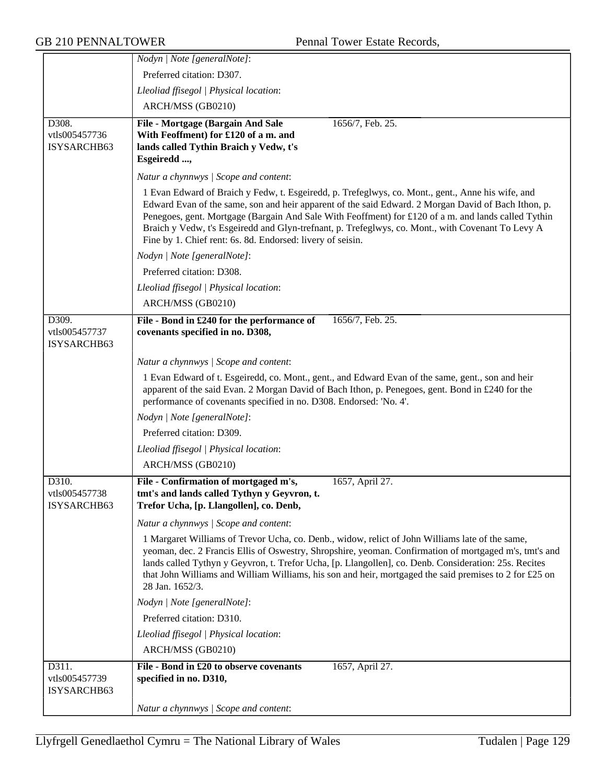|                              | Nodyn   Note [generalNote]:                                                                                                                                                                                                                                                                                                                                                                                                                                                        |
|------------------------------|------------------------------------------------------------------------------------------------------------------------------------------------------------------------------------------------------------------------------------------------------------------------------------------------------------------------------------------------------------------------------------------------------------------------------------------------------------------------------------|
|                              | Preferred citation: D307.                                                                                                                                                                                                                                                                                                                                                                                                                                                          |
|                              | Lleoliad ffisegol   Physical location:                                                                                                                                                                                                                                                                                                                                                                                                                                             |
|                              | ARCH/MSS (GB0210)                                                                                                                                                                                                                                                                                                                                                                                                                                                                  |
| D308.                        | File - Mortgage (Bargain And Sale<br>1656/7, Feb. 25.                                                                                                                                                                                                                                                                                                                                                                                                                              |
| vtls005457736                | With Feoffment) for £120 of a m. and                                                                                                                                                                                                                                                                                                                                                                                                                                               |
| ISYSARCHB63                  | lands called Tythin Braich y Vedw, t's                                                                                                                                                                                                                                                                                                                                                                                                                                             |
|                              | Esgeiredd ,                                                                                                                                                                                                                                                                                                                                                                                                                                                                        |
|                              | Natur a chynnwys / Scope and content:                                                                                                                                                                                                                                                                                                                                                                                                                                              |
|                              | 1 Evan Edward of Braich y Fedw, t. Esgeiredd, p. Trefeglwys, co. Mont., gent., Anne his wife, and<br>Edward Evan of the same, son and heir apparent of the said Edward. 2 Morgan David of Bach Ithon, p.<br>Penegoes, gent. Mortgage (Bargain And Sale With Feoffment) for £120 of a m. and lands called Tythin<br>Braich y Vedw, t's Esgeiredd and Glyn-trefnant, p. Trefeglwys, co. Mont., with Covenant To Levy A<br>Fine by 1. Chief rent: 6s. 8d. Endorsed: livery of seisin. |
|                              | Nodyn   Note [generalNote]:                                                                                                                                                                                                                                                                                                                                                                                                                                                        |
|                              | Preferred citation: D308.                                                                                                                                                                                                                                                                                                                                                                                                                                                          |
|                              | Lleoliad ffisegol   Physical location:                                                                                                                                                                                                                                                                                                                                                                                                                                             |
|                              | ARCH/MSS (GB0210)                                                                                                                                                                                                                                                                                                                                                                                                                                                                  |
| D309.                        | File - Bond in £240 for the performance of<br>1656/7, Feb. 25.                                                                                                                                                                                                                                                                                                                                                                                                                     |
| vtls005457737<br>ISYSARCHB63 | covenants specified in no. D308,                                                                                                                                                                                                                                                                                                                                                                                                                                                   |
|                              | Natur a chynnwys / Scope and content:                                                                                                                                                                                                                                                                                                                                                                                                                                              |
|                              | 1 Evan Edward of t. Esgeiredd, co. Mont., gent., and Edward Evan of the same, gent., son and heir<br>apparent of the said Evan. 2 Morgan David of Bach Ithon, p. Penegoes, gent. Bond in £240 for the<br>performance of covenants specified in no. D308. Endorsed: 'No. 4'.                                                                                                                                                                                                        |
|                              | Nodyn   Note [generalNote]:                                                                                                                                                                                                                                                                                                                                                                                                                                                        |
|                              | Preferred citation: D309.                                                                                                                                                                                                                                                                                                                                                                                                                                                          |
|                              | Lleoliad ffisegol   Physical location:                                                                                                                                                                                                                                                                                                                                                                                                                                             |
|                              | ARCH/MSS (GB0210)                                                                                                                                                                                                                                                                                                                                                                                                                                                                  |
| D310.                        | File - Confirmation of mortgaged m's,<br>1657, April 27.                                                                                                                                                                                                                                                                                                                                                                                                                           |
| vtls005457738<br>ISYSARCHB63 | tmt's and lands called Tythyn y Geyvron, t.<br>Trefor Ucha, [p. Llangollen], co. Denb,                                                                                                                                                                                                                                                                                                                                                                                             |
|                              | Natur a chynnwys / Scope and content:                                                                                                                                                                                                                                                                                                                                                                                                                                              |
|                              | 1 Margaret Williams of Trevor Ucha, co. Denb., widow, relict of John Williams late of the same,<br>yeoman, dec. 2 Francis Ellis of Oswestry, Shropshire, yeoman. Confirmation of mortgaged m's, tmt's and<br>lands called Tythyn y Geyvron, t. Trefor Ucha, [p. Llangollen], co. Denb. Consideration: 25s. Recites<br>that John Williams and William Williams, his son and heir, mortgaged the said premises to 2 for £25 on<br>28 Jan. 1652/3.                                    |
|                              | Nodyn   Note [generalNote]:                                                                                                                                                                                                                                                                                                                                                                                                                                                        |
|                              | Preferred citation: D310.                                                                                                                                                                                                                                                                                                                                                                                                                                                          |
|                              | Lleoliad ffisegol   Physical location:                                                                                                                                                                                                                                                                                                                                                                                                                                             |
|                              | ARCH/MSS (GB0210)                                                                                                                                                                                                                                                                                                                                                                                                                                                                  |
| D311.                        | File - Bond in £20 to observe covenants<br>1657, April 27.                                                                                                                                                                                                                                                                                                                                                                                                                         |
| vtls005457739<br>ISYSARCHB63 | specified in no. D310,                                                                                                                                                                                                                                                                                                                                                                                                                                                             |
|                              | Natur a chynnwys / Scope and content:                                                                                                                                                                                                                                                                                                                                                                                                                                              |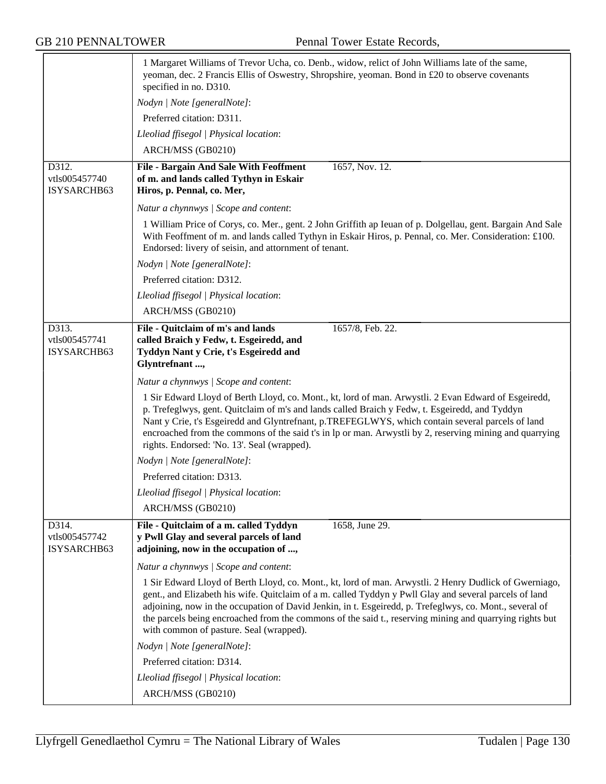|                                       | 1 Margaret Williams of Trevor Ucha, co. Denb., widow, relict of John Williams late of the same,<br>yeoman, dec. 2 Francis Ellis of Oswestry, Shropshire, yeoman. Bond in £20 to observe covenants<br>specified in no. D310.                                                                                                                                                                                                                                                       |
|---------------------------------------|-----------------------------------------------------------------------------------------------------------------------------------------------------------------------------------------------------------------------------------------------------------------------------------------------------------------------------------------------------------------------------------------------------------------------------------------------------------------------------------|
|                                       | Nodyn   Note [generalNote]:                                                                                                                                                                                                                                                                                                                                                                                                                                                       |
|                                       | Preferred citation: D311.                                                                                                                                                                                                                                                                                                                                                                                                                                                         |
|                                       | Lleoliad ffisegol   Physical location:                                                                                                                                                                                                                                                                                                                                                                                                                                            |
|                                       | ARCH/MSS (GB0210)                                                                                                                                                                                                                                                                                                                                                                                                                                                                 |
| D312.<br>vtls005457740<br>ISYSARCHB63 | 1657, Nov. 12.<br><b>File - Bargain And Sale With Feoffment</b><br>of m. and lands called Tythyn in Eskair<br>Hiros, p. Pennal, co. Mer,                                                                                                                                                                                                                                                                                                                                          |
|                                       | Natur a chynnwys / Scope and content:                                                                                                                                                                                                                                                                                                                                                                                                                                             |
|                                       | 1 William Price of Corys, co. Mer., gent. 2 John Griffith ap Ieuan of p. Dolgellau, gent. Bargain And Sale<br>With Feoffment of m. and lands called Tythyn in Eskair Hiros, p. Pennal, co. Mer. Consideration: £100.<br>Endorsed: livery of seisin, and attornment of tenant.                                                                                                                                                                                                     |
|                                       | Nodyn   Note [generalNote]:                                                                                                                                                                                                                                                                                                                                                                                                                                                       |
|                                       | Preferred citation: D312.                                                                                                                                                                                                                                                                                                                                                                                                                                                         |
|                                       | Lleoliad ffisegol   Physical location:                                                                                                                                                                                                                                                                                                                                                                                                                                            |
|                                       | ARCH/MSS (GB0210)                                                                                                                                                                                                                                                                                                                                                                                                                                                                 |
| D313.<br>vtls005457741<br>ISYSARCHB63 | File - Quitclaim of m's and lands<br>1657/8, Feb. 22.<br>called Braich y Fedw, t. Esgeiredd, and<br>Tyddyn Nant y Crie, t's Esgeiredd and<br>Glyntrefnant,                                                                                                                                                                                                                                                                                                                        |
|                                       | Natur a chynnwys / Scope and content:                                                                                                                                                                                                                                                                                                                                                                                                                                             |
|                                       | 1 Sir Edward Lloyd of Berth Lloyd, co. Mont., kt, lord of man. Arwystli. 2 Evan Edward of Esgeiredd,<br>p. Trefeglwys, gent. Quitclaim of m's and lands called Braich y Fedw, t. Esgeiredd, and Tyddyn<br>Nant y Crie, t's Esgeiredd and Glyntrefnant, p.TREFEGLWYS, which contain several parcels of land<br>encroached from the commons of the said t's in lp or man. Arwystli by 2, reserving mining and quarrying<br>rights. Endorsed: 'No. 13'. Seal (wrapped).              |
|                                       | Nodyn   Note [generalNote]:                                                                                                                                                                                                                                                                                                                                                                                                                                                       |
|                                       | Preferred citation: D313.                                                                                                                                                                                                                                                                                                                                                                                                                                                         |
|                                       | Lleoliad ffisegol   Physical location:                                                                                                                                                                                                                                                                                                                                                                                                                                            |
|                                       | ARCH/MSS (GB0210)                                                                                                                                                                                                                                                                                                                                                                                                                                                                 |
| D314.<br>vtls005457742<br>ISYSARCHB63 | File - Quitclaim of a m. called Tyddyn<br>1658, June 29.<br>y Pwll Glay and several parcels of land<br>adjoining, now in the occupation of ,                                                                                                                                                                                                                                                                                                                                      |
|                                       | Natur a chynnwys / Scope and content:                                                                                                                                                                                                                                                                                                                                                                                                                                             |
|                                       | 1 Sir Edward Lloyd of Berth Lloyd, co. Mont., kt, lord of man. Arwystli. 2 Henry Dudlick of Gwerniago,<br>gent., and Elizabeth his wife. Quitclaim of a m. called Tyddyn y Pwll Glay and several parcels of land<br>adjoining, now in the occupation of David Jenkin, in t. Esgeiredd, p. Trefeglwys, co. Mont., several of<br>the parcels being encroached from the commons of the said t., reserving mining and quarrying rights but<br>with common of pasture. Seal (wrapped). |
|                                       | Nodyn   Note [generalNote]:                                                                                                                                                                                                                                                                                                                                                                                                                                                       |
|                                       | Preferred citation: D314.                                                                                                                                                                                                                                                                                                                                                                                                                                                         |
|                                       | Lleoliad ffisegol   Physical location:                                                                                                                                                                                                                                                                                                                                                                                                                                            |
|                                       | ARCH/MSS (GB0210)                                                                                                                                                                                                                                                                                                                                                                                                                                                                 |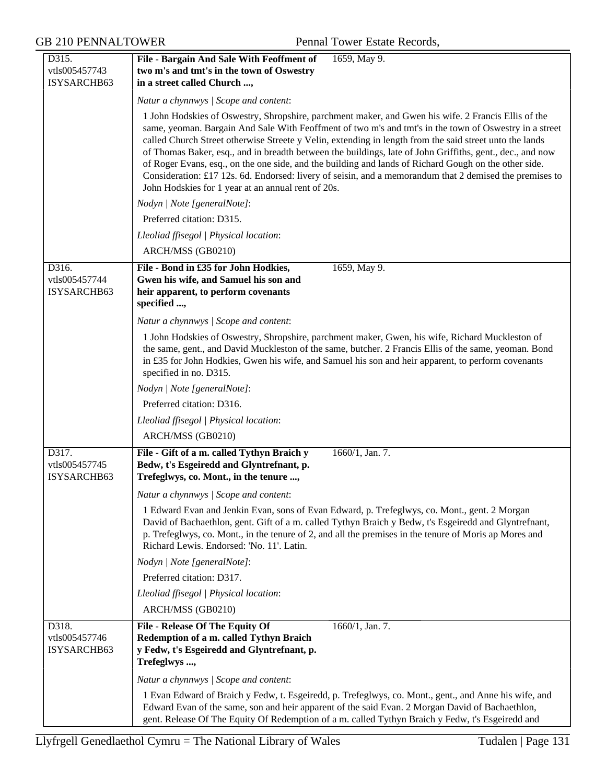| D315.                                 | File - Bargain And Sale With Feoffment of<br>1659, May 9.                                                                                                                                                                                                                                                                                                                                                                                                                                                                                                                                                                                                                                                       |
|---------------------------------------|-----------------------------------------------------------------------------------------------------------------------------------------------------------------------------------------------------------------------------------------------------------------------------------------------------------------------------------------------------------------------------------------------------------------------------------------------------------------------------------------------------------------------------------------------------------------------------------------------------------------------------------------------------------------------------------------------------------------|
| vtls005457743                         | two m's and tmt's in the town of Oswestry                                                                                                                                                                                                                                                                                                                                                                                                                                                                                                                                                                                                                                                                       |
| ISYSARCHB63                           | in a street called Church ,                                                                                                                                                                                                                                                                                                                                                                                                                                                                                                                                                                                                                                                                                     |
|                                       | Natur a chynnwys / Scope and content:                                                                                                                                                                                                                                                                                                                                                                                                                                                                                                                                                                                                                                                                           |
|                                       | 1 John Hodskies of Oswestry, Shropshire, parchment maker, and Gwen his wife. 2 Francis Ellis of the<br>same, yeoman. Bargain And Sale With Feoffment of two m's and tmt's in the town of Oswestry in a street<br>called Church Street otherwise Streete y Velin, extending in length from the said street unto the lands<br>of Thomas Baker, esq., and in breadth between the buildings, late of John Griffiths, gent., dec., and now<br>of Roger Evans, esq., on the one side, and the building and lands of Richard Gough on the other side.<br>Consideration: £17 12s. 6d. Endorsed: livery of seisin, and a memorandum that 2 demised the premises to<br>John Hodskies for 1 year at an annual rent of 20s. |
|                                       | Nodyn   Note [generalNote]:                                                                                                                                                                                                                                                                                                                                                                                                                                                                                                                                                                                                                                                                                     |
|                                       | Preferred citation: D315.                                                                                                                                                                                                                                                                                                                                                                                                                                                                                                                                                                                                                                                                                       |
|                                       | Lleoliad ffisegol   Physical location:                                                                                                                                                                                                                                                                                                                                                                                                                                                                                                                                                                                                                                                                          |
|                                       | ARCH/MSS (GB0210)                                                                                                                                                                                                                                                                                                                                                                                                                                                                                                                                                                                                                                                                                               |
| D316.<br>vtls005457744<br>ISYSARCHB63 | File - Bond in £35 for John Hodkies,<br>1659, May 9.<br>Gwen his wife, and Samuel his son and<br>heir apparent, to perform covenants<br>specified ,                                                                                                                                                                                                                                                                                                                                                                                                                                                                                                                                                             |
|                                       | Natur a chynnwys / Scope and content:                                                                                                                                                                                                                                                                                                                                                                                                                                                                                                                                                                                                                                                                           |
|                                       | 1 John Hodskies of Oswestry, Shropshire, parchment maker, Gwen, his wife, Richard Muckleston of<br>the same, gent., and David Muckleston of the same, butcher. 2 Francis Ellis of the same, yeoman. Bond<br>in £35 for John Hodkies, Gwen his wife, and Samuel his son and heir apparent, to perform covenants<br>specified in no. D315.                                                                                                                                                                                                                                                                                                                                                                        |
|                                       | Nodyn   Note [generalNote]:                                                                                                                                                                                                                                                                                                                                                                                                                                                                                                                                                                                                                                                                                     |
|                                       | Preferred citation: D316.                                                                                                                                                                                                                                                                                                                                                                                                                                                                                                                                                                                                                                                                                       |
|                                       | Lleoliad ffisegol   Physical location:                                                                                                                                                                                                                                                                                                                                                                                                                                                                                                                                                                                                                                                                          |
|                                       | ARCH/MSS (GB0210)                                                                                                                                                                                                                                                                                                                                                                                                                                                                                                                                                                                                                                                                                               |
| D317.<br>vtls005457745<br>ISYSARCHB63 | File - Gift of a m. called Tythyn Braich y<br>1660/1, Jan. 7.<br>Bedw, t's Esgeiredd and Glyntrefnant, p.<br>Trefeglwys, co. Mont., in the tenure ,                                                                                                                                                                                                                                                                                                                                                                                                                                                                                                                                                             |
|                                       | Natur a chynnwys / Scope and content:                                                                                                                                                                                                                                                                                                                                                                                                                                                                                                                                                                                                                                                                           |
|                                       | 1 Edward Evan and Jenkin Evan, sons of Evan Edward, p. Trefeglwys, co. Mont., gent. 2 Morgan<br>David of Bachaethlon, gent. Gift of a m. called Tythyn Braich y Bedw, t's Esgeiredd and Glyntrefnant,<br>p. Trefeglwys, co. Mont., in the tenure of 2, and all the premises in the tenure of Moris ap Mores and<br>Richard Lewis. Endorsed: 'No. 11'. Latin.                                                                                                                                                                                                                                                                                                                                                    |
|                                       | Nodyn   Note [generalNote]:                                                                                                                                                                                                                                                                                                                                                                                                                                                                                                                                                                                                                                                                                     |
|                                       | Preferred citation: D317.                                                                                                                                                                                                                                                                                                                                                                                                                                                                                                                                                                                                                                                                                       |
|                                       | Lleoliad ffisegol   Physical location:                                                                                                                                                                                                                                                                                                                                                                                                                                                                                                                                                                                                                                                                          |
|                                       | ARCH/MSS (GB0210)                                                                                                                                                                                                                                                                                                                                                                                                                                                                                                                                                                                                                                                                                               |
| D318.<br>vtls005457746<br>ISYSARCHB63 | $\overline{1660/1, \text{ Jan. } 7.}$<br><b>File - Release Of The Equity Of</b><br>Redemption of a m. called Tythyn Braich<br>y Fedw, t's Esgeiredd and Glyntrefnant, p.<br>Trefeglwys ,                                                                                                                                                                                                                                                                                                                                                                                                                                                                                                                        |
|                                       | Natur a chynnwys / Scope and content:                                                                                                                                                                                                                                                                                                                                                                                                                                                                                                                                                                                                                                                                           |
|                                       | 1 Evan Edward of Braich y Fedw, t. Esgeiredd, p. Trefeglwys, co. Mont., gent., and Anne his wife, and<br>Edward Evan of the same, son and heir apparent of the said Evan. 2 Morgan David of Bachaethlon,<br>gent. Release Of The Equity Of Redemption of a m. called Tythyn Braich y Fedw, t's Esgeiredd and                                                                                                                                                                                                                                                                                                                                                                                                    |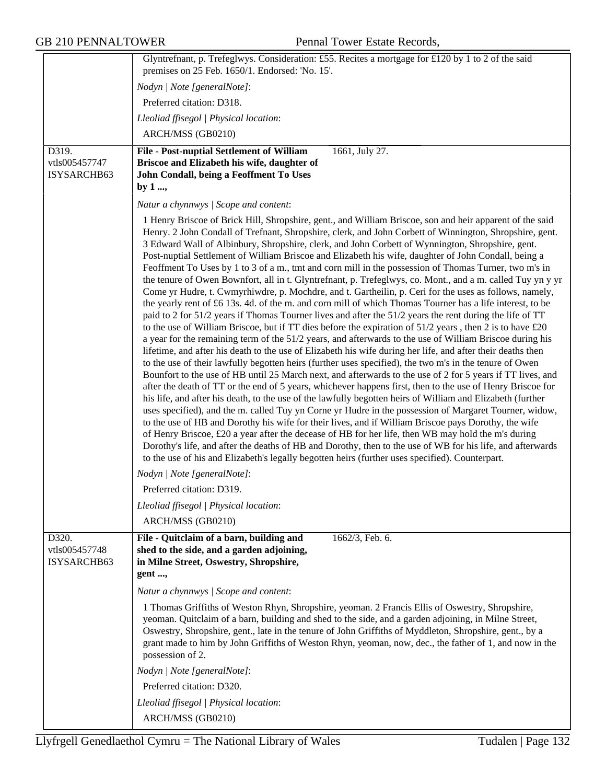|                                       | Glyntrefnant, p. Trefeglwys. Consideration: £55. Recites a mortgage for £120 by 1 to 2 of the said                                                                                                                                                                                                                                                                                                                                                                                                                                                                                                                                                                                                                                                                                                                                                                                                                                                                                                                                                                                                                                                                                                                                                                                                                                                                                                                                                                                                                                                                                                                                                                                                                                                                                                                                                                                                                                                                                                                                                                                                                                                                                                                                                                                                                             |
|---------------------------------------|--------------------------------------------------------------------------------------------------------------------------------------------------------------------------------------------------------------------------------------------------------------------------------------------------------------------------------------------------------------------------------------------------------------------------------------------------------------------------------------------------------------------------------------------------------------------------------------------------------------------------------------------------------------------------------------------------------------------------------------------------------------------------------------------------------------------------------------------------------------------------------------------------------------------------------------------------------------------------------------------------------------------------------------------------------------------------------------------------------------------------------------------------------------------------------------------------------------------------------------------------------------------------------------------------------------------------------------------------------------------------------------------------------------------------------------------------------------------------------------------------------------------------------------------------------------------------------------------------------------------------------------------------------------------------------------------------------------------------------------------------------------------------------------------------------------------------------------------------------------------------------------------------------------------------------------------------------------------------------------------------------------------------------------------------------------------------------------------------------------------------------------------------------------------------------------------------------------------------------------------------------------------------------------------------------------------------------|
|                                       | premises on 25 Feb. 1650/1. Endorsed: 'No. 15'.                                                                                                                                                                                                                                                                                                                                                                                                                                                                                                                                                                                                                                                                                                                                                                                                                                                                                                                                                                                                                                                                                                                                                                                                                                                                                                                                                                                                                                                                                                                                                                                                                                                                                                                                                                                                                                                                                                                                                                                                                                                                                                                                                                                                                                                                                |
|                                       | Nodyn   Note [generalNote]:                                                                                                                                                                                                                                                                                                                                                                                                                                                                                                                                                                                                                                                                                                                                                                                                                                                                                                                                                                                                                                                                                                                                                                                                                                                                                                                                                                                                                                                                                                                                                                                                                                                                                                                                                                                                                                                                                                                                                                                                                                                                                                                                                                                                                                                                                                    |
|                                       | Preferred citation: D318.                                                                                                                                                                                                                                                                                                                                                                                                                                                                                                                                                                                                                                                                                                                                                                                                                                                                                                                                                                                                                                                                                                                                                                                                                                                                                                                                                                                                                                                                                                                                                                                                                                                                                                                                                                                                                                                                                                                                                                                                                                                                                                                                                                                                                                                                                                      |
|                                       | Lleoliad ffisegol   Physical location:                                                                                                                                                                                                                                                                                                                                                                                                                                                                                                                                                                                                                                                                                                                                                                                                                                                                                                                                                                                                                                                                                                                                                                                                                                                                                                                                                                                                                                                                                                                                                                                                                                                                                                                                                                                                                                                                                                                                                                                                                                                                                                                                                                                                                                                                                         |
|                                       | ARCH/MSS (GB0210)                                                                                                                                                                                                                                                                                                                                                                                                                                                                                                                                                                                                                                                                                                                                                                                                                                                                                                                                                                                                                                                                                                                                                                                                                                                                                                                                                                                                                                                                                                                                                                                                                                                                                                                                                                                                                                                                                                                                                                                                                                                                                                                                                                                                                                                                                                              |
| D319.<br>vtls005457747<br>ISYSARCHB63 | 1661, July 27.<br>File - Post-nuptial Settlement of William<br>Briscoe and Elizabeth his wife, daughter of<br>John Condall, being a Feoffment To Uses<br>by $1 \dots$                                                                                                                                                                                                                                                                                                                                                                                                                                                                                                                                                                                                                                                                                                                                                                                                                                                                                                                                                                                                                                                                                                                                                                                                                                                                                                                                                                                                                                                                                                                                                                                                                                                                                                                                                                                                                                                                                                                                                                                                                                                                                                                                                          |
|                                       | Natur a chynnwys / Scope and content:                                                                                                                                                                                                                                                                                                                                                                                                                                                                                                                                                                                                                                                                                                                                                                                                                                                                                                                                                                                                                                                                                                                                                                                                                                                                                                                                                                                                                                                                                                                                                                                                                                                                                                                                                                                                                                                                                                                                                                                                                                                                                                                                                                                                                                                                                          |
|                                       | 1 Henry Briscoe of Brick Hill, Shropshire, gent., and William Briscoe, son and heir apparent of the said<br>Henry. 2 John Condall of Trefnant, Shropshire, clerk, and John Corbett of Winnington, Shropshire, gent.<br>3 Edward Wall of Albinbury, Shropshire, clerk, and John Corbett of Wynnington, Shropshire, gent.<br>Post-nuptial Settlement of William Briscoe and Elizabeth his wife, daughter of John Condall, being a<br>Feoffment To Uses by 1 to 3 of a m., tmt and corn mill in the possession of Thomas Turner, two m's in<br>the tenure of Owen Bownfort, all in t. Glyntrefnant, p. Trefeglwys, co. Mont., and a m. called Tuy yn y yr<br>Come yr Hudre, t. Cwmyrhiwdre, p. Mochdre, and t. Gartheilin, p. Ceri for the uses as follows, namely,<br>the yearly rent of £6 13s. 4d. of the m. and corn mill of which Thomas Tourner has a life interest, to be<br>paid to 2 for 51/2 years if Thomas Tourner lives and after the 51/2 years the rent during the life of TT<br>to the use of William Briscoe, but if TT dies before the expiration of 51/2 years, then 2 is to have £20<br>a year for the remaining term of the 51/2 years, and afterwards to the use of William Briscoe during his<br>lifetime, and after his death to the use of Elizabeth his wife during her life, and after their deaths then<br>to the use of their lawfully begotten heirs (further uses specified), the two m's in the tenure of Owen<br>Bounfort to the use of HB until 25 March next, and afterwards to the use of 2 for 5 years if TT lives, and<br>after the death of TT or the end of 5 years, whichever happens first, then to the use of Henry Briscoe for<br>his life, and after his death, to the use of the lawfully begotten heirs of William and Elizabeth (further<br>uses specified), and the m. called Tuy yn Corne yr Hudre in the possession of Margaret Tourner, widow,<br>to the use of HB and Dorothy his wife for their lives, and if William Briscoe pays Dorothy, the wife<br>of Henry Briscoe, £20 a year after the decease of HB for her life, then WB may hold the m's during<br>Dorothy's life, and after the deaths of HB and Dorothy, then to the use of WB for his life, and afterwards<br>to the use of his and Elizabeth's legally begotten heirs (further uses specified). Counterpart. |
|                                       | Nodyn   Note [generalNote]:                                                                                                                                                                                                                                                                                                                                                                                                                                                                                                                                                                                                                                                                                                                                                                                                                                                                                                                                                                                                                                                                                                                                                                                                                                                                                                                                                                                                                                                                                                                                                                                                                                                                                                                                                                                                                                                                                                                                                                                                                                                                                                                                                                                                                                                                                                    |
|                                       | Preferred citation: D319.                                                                                                                                                                                                                                                                                                                                                                                                                                                                                                                                                                                                                                                                                                                                                                                                                                                                                                                                                                                                                                                                                                                                                                                                                                                                                                                                                                                                                                                                                                                                                                                                                                                                                                                                                                                                                                                                                                                                                                                                                                                                                                                                                                                                                                                                                                      |
|                                       | Lleoliad ffisegol   Physical location:                                                                                                                                                                                                                                                                                                                                                                                                                                                                                                                                                                                                                                                                                                                                                                                                                                                                                                                                                                                                                                                                                                                                                                                                                                                                                                                                                                                                                                                                                                                                                                                                                                                                                                                                                                                                                                                                                                                                                                                                                                                                                                                                                                                                                                                                                         |
|                                       | ARCH/MSS (GB0210)                                                                                                                                                                                                                                                                                                                                                                                                                                                                                                                                                                                                                                                                                                                                                                                                                                                                                                                                                                                                                                                                                                                                                                                                                                                                                                                                                                                                                                                                                                                                                                                                                                                                                                                                                                                                                                                                                                                                                                                                                                                                                                                                                                                                                                                                                                              |
| D320.<br>vtls005457748<br>ISYSARCHB63 | 1662/3, Feb. 6.<br>File - Quitclaim of a barn, building and<br>shed to the side, and a garden adjoining,<br>in Milne Street, Oswestry, Shropshire,<br>gent ,                                                                                                                                                                                                                                                                                                                                                                                                                                                                                                                                                                                                                                                                                                                                                                                                                                                                                                                                                                                                                                                                                                                                                                                                                                                                                                                                                                                                                                                                                                                                                                                                                                                                                                                                                                                                                                                                                                                                                                                                                                                                                                                                                                   |
|                                       | Natur a chynnwys / Scope and content:                                                                                                                                                                                                                                                                                                                                                                                                                                                                                                                                                                                                                                                                                                                                                                                                                                                                                                                                                                                                                                                                                                                                                                                                                                                                                                                                                                                                                                                                                                                                                                                                                                                                                                                                                                                                                                                                                                                                                                                                                                                                                                                                                                                                                                                                                          |
|                                       | 1 Thomas Griffiths of Weston Rhyn, Shropshire, yeoman. 2 Francis Ellis of Oswestry, Shropshire,<br>yeoman. Quitclaim of a barn, building and shed to the side, and a garden adjoining, in Milne Street,<br>Oswestry, Shropshire, gent., late in the tenure of John Griffiths of Myddleton, Shropshire, gent., by a<br>grant made to him by John Griffiths of Weston Rhyn, yeoman, now, dec., the father of 1, and now in the<br>possession of 2.                                                                                                                                                                                                                                                                                                                                                                                                                                                                                                                                                                                                                                                                                                                                                                                                                                                                                                                                                                                                                                                                                                                                                                                                                                                                                                                                                                                                                                                                                                                                                                                                                                                                                                                                                                                                                                                                               |
|                                       | Nodyn   Note [generalNote]:                                                                                                                                                                                                                                                                                                                                                                                                                                                                                                                                                                                                                                                                                                                                                                                                                                                                                                                                                                                                                                                                                                                                                                                                                                                                                                                                                                                                                                                                                                                                                                                                                                                                                                                                                                                                                                                                                                                                                                                                                                                                                                                                                                                                                                                                                                    |
|                                       | Preferred citation: D320.                                                                                                                                                                                                                                                                                                                                                                                                                                                                                                                                                                                                                                                                                                                                                                                                                                                                                                                                                                                                                                                                                                                                                                                                                                                                                                                                                                                                                                                                                                                                                                                                                                                                                                                                                                                                                                                                                                                                                                                                                                                                                                                                                                                                                                                                                                      |
|                                       | Lleoliad ffisegol   Physical location:                                                                                                                                                                                                                                                                                                                                                                                                                                                                                                                                                                                                                                                                                                                                                                                                                                                                                                                                                                                                                                                                                                                                                                                                                                                                                                                                                                                                                                                                                                                                                                                                                                                                                                                                                                                                                                                                                                                                                                                                                                                                                                                                                                                                                                                                                         |
|                                       | ARCH/MSS (GB0210)                                                                                                                                                                                                                                                                                                                                                                                                                                                                                                                                                                                                                                                                                                                                                                                                                                                                                                                                                                                                                                                                                                                                                                                                                                                                                                                                                                                                                                                                                                                                                                                                                                                                                                                                                                                                                                                                                                                                                                                                                                                                                                                                                                                                                                                                                                              |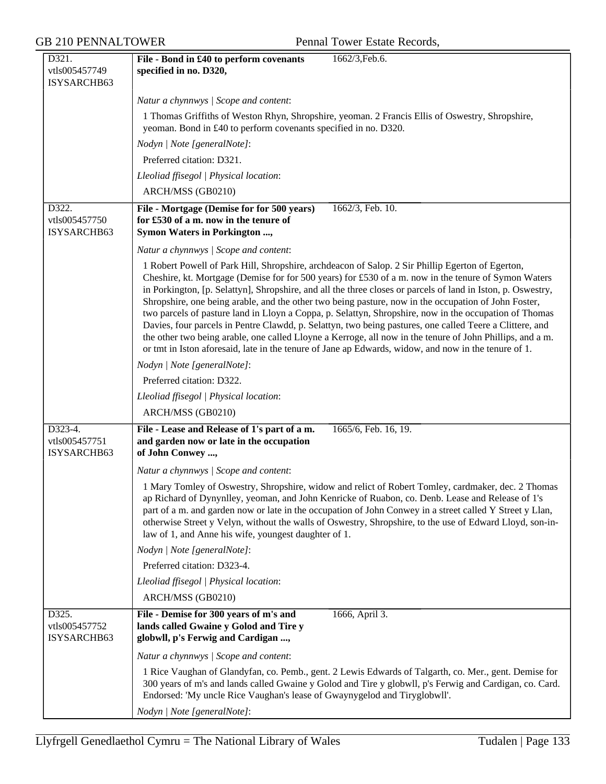| D321.                                   | 1662/3, Feb.6.<br>File - Bond in £40 to perform covenants                                                                                                                                                                                                                                                                                                                                                                                                                                                                                                                                                                                                                                                                                                                                                                                                                   |
|-----------------------------------------|-----------------------------------------------------------------------------------------------------------------------------------------------------------------------------------------------------------------------------------------------------------------------------------------------------------------------------------------------------------------------------------------------------------------------------------------------------------------------------------------------------------------------------------------------------------------------------------------------------------------------------------------------------------------------------------------------------------------------------------------------------------------------------------------------------------------------------------------------------------------------------|
| vtls005457749                           | specified in no. D320,                                                                                                                                                                                                                                                                                                                                                                                                                                                                                                                                                                                                                                                                                                                                                                                                                                                      |
| ISYSARCHB63                             |                                                                                                                                                                                                                                                                                                                                                                                                                                                                                                                                                                                                                                                                                                                                                                                                                                                                             |
|                                         | Natur a chynnwys / Scope and content:                                                                                                                                                                                                                                                                                                                                                                                                                                                                                                                                                                                                                                                                                                                                                                                                                                       |
|                                         | 1 Thomas Griffiths of Weston Rhyn, Shropshire, yeoman. 2 Francis Ellis of Oswestry, Shropshire,<br>yeoman. Bond in £40 to perform covenants specified in no. D320.                                                                                                                                                                                                                                                                                                                                                                                                                                                                                                                                                                                                                                                                                                          |
|                                         | Nodyn   Note [generalNote]:                                                                                                                                                                                                                                                                                                                                                                                                                                                                                                                                                                                                                                                                                                                                                                                                                                                 |
|                                         | Preferred citation: D321.                                                                                                                                                                                                                                                                                                                                                                                                                                                                                                                                                                                                                                                                                                                                                                                                                                                   |
|                                         | Lleoliad ffisegol   Physical location:                                                                                                                                                                                                                                                                                                                                                                                                                                                                                                                                                                                                                                                                                                                                                                                                                                      |
|                                         | ARCH/MSS (GB0210)                                                                                                                                                                                                                                                                                                                                                                                                                                                                                                                                                                                                                                                                                                                                                                                                                                                           |
| D322.                                   | File - Mortgage (Demise for for 500 years)<br>1662/3, Feb. 10.                                                                                                                                                                                                                                                                                                                                                                                                                                                                                                                                                                                                                                                                                                                                                                                                              |
| vtls005457750                           | for £530 of a m. now in the tenure of                                                                                                                                                                                                                                                                                                                                                                                                                                                                                                                                                                                                                                                                                                                                                                                                                                       |
| ISYSARCHB63                             | Symon Waters in Porkington ,                                                                                                                                                                                                                                                                                                                                                                                                                                                                                                                                                                                                                                                                                                                                                                                                                                                |
|                                         | Natur a chynnwys / Scope and content:                                                                                                                                                                                                                                                                                                                                                                                                                                                                                                                                                                                                                                                                                                                                                                                                                                       |
|                                         | 1 Robert Powell of Park Hill, Shropshire, archdeacon of Salop. 2 Sir Phillip Egerton of Egerton,<br>Cheshire, kt. Mortgage (Demise for for 500 years) for £530 of a m. now in the tenure of Symon Waters<br>in Porkington, [p. Selattyn], Shropshire, and all the three closes or parcels of land in Iston, p. Oswestry,<br>Shropshire, one being arable, and the other two being pasture, now in the occupation of John Foster,<br>two parcels of pasture land in Lloyn a Coppa, p. Selattyn, Shropshire, now in the occupation of Thomas<br>Davies, four parcels in Pentre Clawdd, p. Selattyn, two being pastures, one called Teere a Clittere, and<br>the other two being arable, one called Lloyne a Kerroge, all now in the tenure of John Phillips, and a m.<br>or tmt in Iston aforesaid, late in the tenure of Jane ap Edwards, widow, and now in the tenure of 1. |
|                                         | Nodyn   Note [generalNote]:                                                                                                                                                                                                                                                                                                                                                                                                                                                                                                                                                                                                                                                                                                                                                                                                                                                 |
|                                         | Preferred citation: D322.                                                                                                                                                                                                                                                                                                                                                                                                                                                                                                                                                                                                                                                                                                                                                                                                                                                   |
|                                         |                                                                                                                                                                                                                                                                                                                                                                                                                                                                                                                                                                                                                                                                                                                                                                                                                                                                             |
|                                         | Lleoliad ffisegol   Physical location:                                                                                                                                                                                                                                                                                                                                                                                                                                                                                                                                                                                                                                                                                                                                                                                                                                      |
|                                         | ARCH/MSS (GB0210)                                                                                                                                                                                                                                                                                                                                                                                                                                                                                                                                                                                                                                                                                                                                                                                                                                                           |
| D323-4.<br>vtls005457751<br>ISYSARCHB63 | File - Lease and Release of 1's part of a m.<br>1665/6, Feb. 16, 19.<br>and garden now or late in the occupation<br>of John Conwey ,                                                                                                                                                                                                                                                                                                                                                                                                                                                                                                                                                                                                                                                                                                                                        |
|                                         | Natur a chynnwys / Scope and content:                                                                                                                                                                                                                                                                                                                                                                                                                                                                                                                                                                                                                                                                                                                                                                                                                                       |
|                                         | 1 Mary Tomley of Oswestry, Shropshire, widow and relict of Robert Tomley, cardmaker, dec. 2 Thomas<br>ap Richard of Dynynlley, yeoman, and John Kenricke of Ruabon, co. Denb. Lease and Release of 1's<br>part of a m. and garden now or late in the occupation of John Conwey in a street called Y Street y Llan,<br>otherwise Street y Velyn, without the walls of Oswestry, Shropshire, to the use of Edward Lloyd, son-in-<br>law of 1, and Anne his wife, youngest daughter of 1.                                                                                                                                                                                                                                                                                                                                                                                      |
|                                         | Nodyn   Note [generalNote]:                                                                                                                                                                                                                                                                                                                                                                                                                                                                                                                                                                                                                                                                                                                                                                                                                                                 |
|                                         | Preferred citation: D323-4.                                                                                                                                                                                                                                                                                                                                                                                                                                                                                                                                                                                                                                                                                                                                                                                                                                                 |
|                                         | Lleoliad ffisegol   Physical location:                                                                                                                                                                                                                                                                                                                                                                                                                                                                                                                                                                                                                                                                                                                                                                                                                                      |
|                                         | ARCH/MSS (GB0210)                                                                                                                                                                                                                                                                                                                                                                                                                                                                                                                                                                                                                                                                                                                                                                                                                                                           |
| D325.<br>vtls005457752<br>ISYSARCHB63   | File - Demise for 300 years of m's and<br>1666, April 3.<br>lands called Gwaine y Golod and Tire y<br>globwll, p's Ferwig and Cardigan ,                                                                                                                                                                                                                                                                                                                                                                                                                                                                                                                                                                                                                                                                                                                                    |
|                                         | Natur a chynnwys / Scope and content:                                                                                                                                                                                                                                                                                                                                                                                                                                                                                                                                                                                                                                                                                                                                                                                                                                       |
|                                         | 1 Rice Vaughan of Glandyfan, co. Pemb., gent. 2 Lewis Edwards of Talgarth, co. Mer., gent. Demise for<br>300 years of m's and lands called Gwaine y Golod and Tire y globwll, p's Ferwig and Cardigan, co. Card.<br>Endorsed: 'My uncle Rice Vaughan's lease of Gwaynygelod and Tiryglobwll'.                                                                                                                                                                                                                                                                                                                                                                                                                                                                                                                                                                               |
|                                         | Nodyn   Note [generalNote]:                                                                                                                                                                                                                                                                                                                                                                                                                                                                                                                                                                                                                                                                                                                                                                                                                                                 |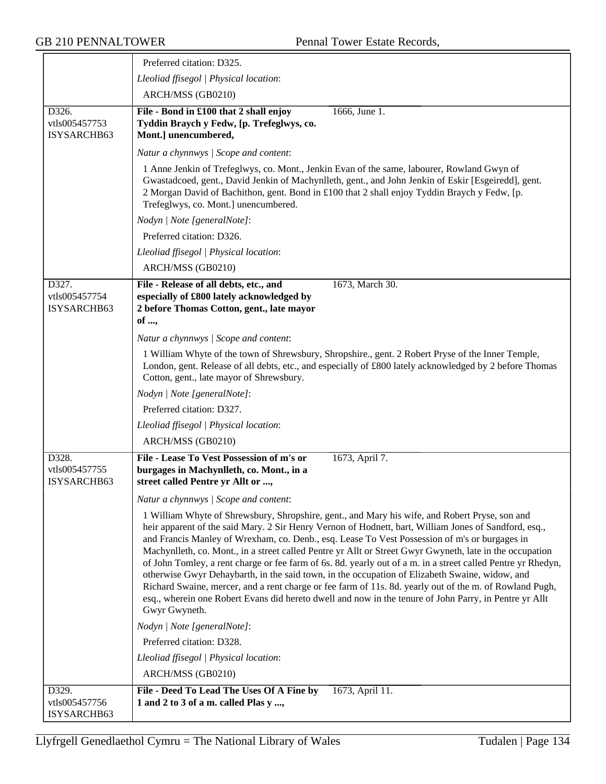|                                       | Preferred citation: D325.                                                                                                                                                                                                                                                                                                                                                                                                                                                                                                                                                                                                                                                                                                                                                                                                                                                    |
|---------------------------------------|------------------------------------------------------------------------------------------------------------------------------------------------------------------------------------------------------------------------------------------------------------------------------------------------------------------------------------------------------------------------------------------------------------------------------------------------------------------------------------------------------------------------------------------------------------------------------------------------------------------------------------------------------------------------------------------------------------------------------------------------------------------------------------------------------------------------------------------------------------------------------|
|                                       | Lleoliad ffisegol   Physical location:                                                                                                                                                                                                                                                                                                                                                                                                                                                                                                                                                                                                                                                                                                                                                                                                                                       |
|                                       | ARCH/MSS (GB0210)                                                                                                                                                                                                                                                                                                                                                                                                                                                                                                                                                                                                                                                                                                                                                                                                                                                            |
| D326.<br>vtls005457753<br>ISYSARCHB63 | 1666, June 1.<br>File - Bond in £100 that 2 shall enjoy<br>Tyddin Braych y Fedw, [p. Trefeglwys, co.<br>Mont.] unencumbered,                                                                                                                                                                                                                                                                                                                                                                                                                                                                                                                                                                                                                                                                                                                                                 |
|                                       | Natur a chynnwys / Scope and content:                                                                                                                                                                                                                                                                                                                                                                                                                                                                                                                                                                                                                                                                                                                                                                                                                                        |
|                                       | 1 Anne Jenkin of Trefeglwys, co. Mont., Jenkin Evan of the same, labourer, Rowland Gwyn of<br>Gwastadcoed, gent., David Jenkin of Machynlleth, gent., and John Jenkin of Eskir [Esgeiredd], gent.<br>2 Morgan David of Bachithon, gent. Bond in £100 that 2 shall enjoy Tyddin Braych y Fedw, [p.<br>Trefeglwys, co. Mont.] unencumbered.                                                                                                                                                                                                                                                                                                                                                                                                                                                                                                                                    |
|                                       | Nodyn   Note [generalNote]:                                                                                                                                                                                                                                                                                                                                                                                                                                                                                                                                                                                                                                                                                                                                                                                                                                                  |
|                                       | Preferred citation: D326.                                                                                                                                                                                                                                                                                                                                                                                                                                                                                                                                                                                                                                                                                                                                                                                                                                                    |
|                                       | Lleoliad ffisegol   Physical location:                                                                                                                                                                                                                                                                                                                                                                                                                                                                                                                                                                                                                                                                                                                                                                                                                                       |
|                                       | ARCH/MSS (GB0210)                                                                                                                                                                                                                                                                                                                                                                                                                                                                                                                                                                                                                                                                                                                                                                                                                                                            |
| D327.<br>vtls005457754<br>ISYSARCHB63 | 1673, March 30.<br>File - Release of all debts, etc., and<br>especially of £800 lately acknowledged by<br>2 before Thomas Cotton, gent., late mayor<br>of ,                                                                                                                                                                                                                                                                                                                                                                                                                                                                                                                                                                                                                                                                                                                  |
|                                       | Natur a chynnwys / Scope and content:                                                                                                                                                                                                                                                                                                                                                                                                                                                                                                                                                                                                                                                                                                                                                                                                                                        |
|                                       | 1 William Whyte of the town of Shrewsbury, Shropshire., gent. 2 Robert Pryse of the Inner Temple,<br>London, gent. Release of all debts, etc., and especially of £800 lately acknowledged by 2 before Thomas<br>Cotton, gent., late mayor of Shrewsbury.                                                                                                                                                                                                                                                                                                                                                                                                                                                                                                                                                                                                                     |
|                                       | Nodyn   Note [generalNote]:                                                                                                                                                                                                                                                                                                                                                                                                                                                                                                                                                                                                                                                                                                                                                                                                                                                  |
|                                       | Preferred citation: D327.                                                                                                                                                                                                                                                                                                                                                                                                                                                                                                                                                                                                                                                                                                                                                                                                                                                    |
|                                       | Lleoliad ffisegol   Physical location:                                                                                                                                                                                                                                                                                                                                                                                                                                                                                                                                                                                                                                                                                                                                                                                                                                       |
|                                       | ARCH/MSS (GB0210)                                                                                                                                                                                                                                                                                                                                                                                                                                                                                                                                                                                                                                                                                                                                                                                                                                                            |
| D328.<br>vtls005457755<br>ISYSARCHB63 | File - Lease To Vest Possession of m's or<br>1673, April 7.<br>burgages in Machynlleth, co. Mont., in a<br>street called Pentre yr Allt or ,                                                                                                                                                                                                                                                                                                                                                                                                                                                                                                                                                                                                                                                                                                                                 |
|                                       | Natur a chynnwys / Scope and content:                                                                                                                                                                                                                                                                                                                                                                                                                                                                                                                                                                                                                                                                                                                                                                                                                                        |
|                                       | 1 William Whyte of Shrewsbury, Shropshire, gent., and Mary his wife, and Robert Pryse, son and<br>heir apparent of the said Mary. 2 Sir Henry Vernon of Hodnett, bart, William Jones of Sandford, esq.,<br>and Francis Manley of Wrexham, co. Denb., esq. Lease To Vest Possession of m's or burgages in<br>Machynlleth, co. Mont., in a street called Pentre yr Allt or Street Gwyr Gwyneth, late in the occupation<br>of John Tomley, a rent charge or fee farm of 6s. 8d. yearly out of a m. in a street called Pentre yr Rhedyn,<br>otherwise Gwyr Dehaybarth, in the said town, in the occupation of Elizabeth Swaine, widow, and<br>Richard Swaine, mercer, and a rent charge or fee farm of 11s. 8d. yearly out of the m. of Rowland Pugh,<br>esq., wherein one Robert Evans did hereto dwell and now in the tenure of John Parry, in Pentre yr Allt<br>Gwyr Gwyneth. |
|                                       | Nodyn   Note [generalNote]:                                                                                                                                                                                                                                                                                                                                                                                                                                                                                                                                                                                                                                                                                                                                                                                                                                                  |
|                                       | Preferred citation: D328.                                                                                                                                                                                                                                                                                                                                                                                                                                                                                                                                                                                                                                                                                                                                                                                                                                                    |
|                                       | Lleoliad ffisegol   Physical location:                                                                                                                                                                                                                                                                                                                                                                                                                                                                                                                                                                                                                                                                                                                                                                                                                                       |
|                                       | ARCH/MSS (GB0210)                                                                                                                                                                                                                                                                                                                                                                                                                                                                                                                                                                                                                                                                                                                                                                                                                                                            |
| D329.<br>vtls005457756<br>ISYSARCHB63 | File - Deed To Lead The Uses Of A Fine by<br>1673, April 11.<br>1 and 2 to 3 of a m. called Plas y ,                                                                                                                                                                                                                                                                                                                                                                                                                                                                                                                                                                                                                                                                                                                                                                         |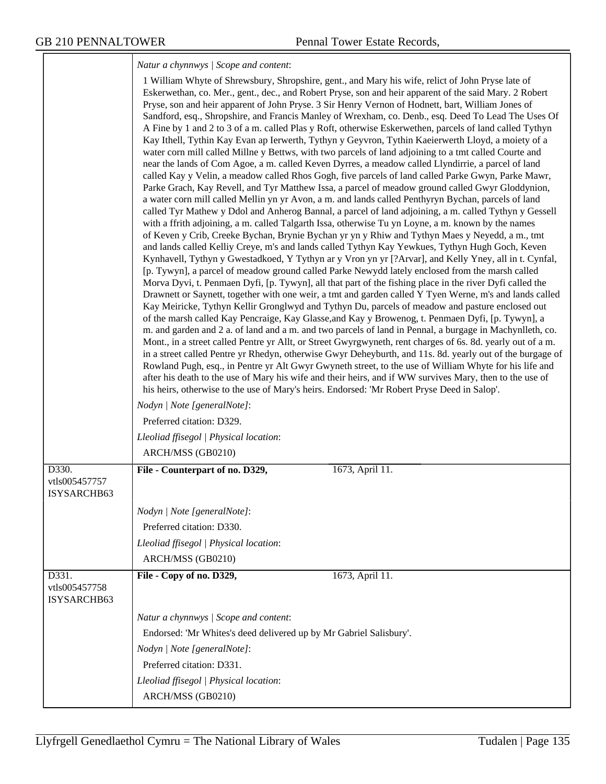*Natur a chynnwys | Scope and content*:

|                                       | 1 William Whyte of Shrewsbury, Shropshire, gent., and Mary his wife, relict of John Pryse late of<br>Eskerwethan, co. Mer., gent., dec., and Robert Pryse, son and heir apparent of the said Mary. 2 Robert<br>Pryse, son and heir apparent of John Pryse. 3 Sir Henry Vernon of Hodnett, bart, William Jones of<br>Sandford, esq., Shropshire, and Francis Manley of Wrexham, co. Denb., esq. Deed To Lead The Uses Of<br>A Fine by 1 and 2 to 3 of a m. called Plas y Roft, otherwise Eskerwethen, parcels of land called Tythyn<br>Kay Ithell, Tythin Kay Evan ap Ierwerth, Tythyn y Geyvron, Tythin Kaeierwerth Lloyd, a moiety of a<br>water corn mill called Millne y Bettws, with two parcels of land adjoining to a tmt called Courte and<br>near the lands of Com Agoe, a m. called Keven Dyrres, a meadow called Llyndirrie, a parcel of land<br>called Kay y Velin, a meadow called Rhos Gogh, five parcels of land called Parke Gwyn, Parke Mawr,<br>Parke Grach, Kay Revell, and Tyr Matthew Issa, a parcel of meadow ground called Gwyr Gloddynion,<br>a water corn mill called Mellin yn yr Avon, a m. and lands called Penthyryn Bychan, parcels of land<br>called Tyr Mathew y Ddol and Anherog Bannal, a parcel of land adjoining, a m. called Tythyn y Gessell<br>with a ffrith adjoining, a m. called Talgarth Issa, otherwise Tu yn Loyne, a m. known by the names<br>of Keven y Crib, Creeke Bychan, Brynie Bychan yr yn y Rhiw and Tythyn Maes y Neyedd, a m., tmt<br>and lands called Kelliy Creye, m's and lands called Tythyn Kay Yewkues, Tythyn Hugh Goch, Keven<br>Kynhavell, Tythyn y Gwestadkoed, Y Tythyn ar y Vron yn yr [?Arvar], and Kelly Yney, all in t. Cynfal,<br>[p. Tywyn], a parcel of meadow ground called Parke Newydd lately enclosed from the marsh called<br>Morva Dyvi, t. Penmaen Dyfi, [p. Tywyn], all that part of the fishing place in the river Dyfi called the<br>Drawnett or Saynett, together with one weir, a tmt and garden called Y Tyen Werne, m's and lands called<br>Kay Meiricke, Tythyn Kellir Gronglwyd and Tythyn Du, parcels of meadow and pasture enclosed out<br>of the marsh called Kay Pencraige, Kay Glasse, and Kay y Browenog, t. Penmaen Dyfi, [p. Tywyn], a<br>m. and garden and 2 a. of land and a m. and two parcels of land in Pennal, a burgage in Machynlleth, co.<br>Mont., in a street called Pentre yr Allt, or Street Gwyrgwyneth, rent charges of 6s. 8d. yearly out of a m.<br>in a street called Pentre yr Rhedyn, otherwise Gwyr Deheyburth, and 11s. 8d. yearly out of the burgage of<br>Rowland Pugh, esq., in Pentre yr Alt Gwyr Gwyneth street, to the use of William Whyte for his life and<br>after his death to the use of Mary his wife and their heirs, and if WW survives Mary, then to the use of<br>his heirs, otherwise to the use of Mary's heirs. Endorsed: 'Mr Robert Pryse Deed in Salop'.<br>Nodyn   Note [generalNote]: |
|---------------------------------------|-------------------------------------------------------------------------------------------------------------------------------------------------------------------------------------------------------------------------------------------------------------------------------------------------------------------------------------------------------------------------------------------------------------------------------------------------------------------------------------------------------------------------------------------------------------------------------------------------------------------------------------------------------------------------------------------------------------------------------------------------------------------------------------------------------------------------------------------------------------------------------------------------------------------------------------------------------------------------------------------------------------------------------------------------------------------------------------------------------------------------------------------------------------------------------------------------------------------------------------------------------------------------------------------------------------------------------------------------------------------------------------------------------------------------------------------------------------------------------------------------------------------------------------------------------------------------------------------------------------------------------------------------------------------------------------------------------------------------------------------------------------------------------------------------------------------------------------------------------------------------------------------------------------------------------------------------------------------------------------------------------------------------------------------------------------------------------------------------------------------------------------------------------------------------------------------------------------------------------------------------------------------------------------------------------------------------------------------------------------------------------------------------------------------------------------------------------------------------------------------------------------------------------------------------------------------------------------------------------------------------------------------------------------------------------------------------------------------------------------------------------------------------------------------------------------------------------------------------------------------------------------------------------------------------------------|
|                                       | Preferred citation: D329.                                                                                                                                                                                                                                                                                                                                                                                                                                                                                                                                                                                                                                                                                                                                                                                                                                                                                                                                                                                                                                                                                                                                                                                                                                                                                                                                                                                                                                                                                                                                                                                                                                                                                                                                                                                                                                                                                                                                                                                                                                                                                                                                                                                                                                                                                                                                                                                                                                                                                                                                                                                                                                                                                                                                                                                                                                                                                                           |
|                                       | Lleoliad ffisegol   Physical location:                                                                                                                                                                                                                                                                                                                                                                                                                                                                                                                                                                                                                                                                                                                                                                                                                                                                                                                                                                                                                                                                                                                                                                                                                                                                                                                                                                                                                                                                                                                                                                                                                                                                                                                                                                                                                                                                                                                                                                                                                                                                                                                                                                                                                                                                                                                                                                                                                                                                                                                                                                                                                                                                                                                                                                                                                                                                                              |
|                                       | ARCH/MSS (GB0210)                                                                                                                                                                                                                                                                                                                                                                                                                                                                                                                                                                                                                                                                                                                                                                                                                                                                                                                                                                                                                                                                                                                                                                                                                                                                                                                                                                                                                                                                                                                                                                                                                                                                                                                                                                                                                                                                                                                                                                                                                                                                                                                                                                                                                                                                                                                                                                                                                                                                                                                                                                                                                                                                                                                                                                                                                                                                                                                   |
| D330.<br>vtls005457757<br>ISYSARCHB63 | File - Counterpart of no. D329,<br>1673, April 11.                                                                                                                                                                                                                                                                                                                                                                                                                                                                                                                                                                                                                                                                                                                                                                                                                                                                                                                                                                                                                                                                                                                                                                                                                                                                                                                                                                                                                                                                                                                                                                                                                                                                                                                                                                                                                                                                                                                                                                                                                                                                                                                                                                                                                                                                                                                                                                                                                                                                                                                                                                                                                                                                                                                                                                                                                                                                                  |
|                                       | Nodyn   Note [generalNote]:                                                                                                                                                                                                                                                                                                                                                                                                                                                                                                                                                                                                                                                                                                                                                                                                                                                                                                                                                                                                                                                                                                                                                                                                                                                                                                                                                                                                                                                                                                                                                                                                                                                                                                                                                                                                                                                                                                                                                                                                                                                                                                                                                                                                                                                                                                                                                                                                                                                                                                                                                                                                                                                                                                                                                                                                                                                                                                         |
|                                       | Preferred citation: D330.                                                                                                                                                                                                                                                                                                                                                                                                                                                                                                                                                                                                                                                                                                                                                                                                                                                                                                                                                                                                                                                                                                                                                                                                                                                                                                                                                                                                                                                                                                                                                                                                                                                                                                                                                                                                                                                                                                                                                                                                                                                                                                                                                                                                                                                                                                                                                                                                                                                                                                                                                                                                                                                                                                                                                                                                                                                                                                           |
|                                       | Lleoliad ffisegol   Physical location:                                                                                                                                                                                                                                                                                                                                                                                                                                                                                                                                                                                                                                                                                                                                                                                                                                                                                                                                                                                                                                                                                                                                                                                                                                                                                                                                                                                                                                                                                                                                                                                                                                                                                                                                                                                                                                                                                                                                                                                                                                                                                                                                                                                                                                                                                                                                                                                                                                                                                                                                                                                                                                                                                                                                                                                                                                                                                              |
|                                       | ARCH/MSS (GB0210)                                                                                                                                                                                                                                                                                                                                                                                                                                                                                                                                                                                                                                                                                                                                                                                                                                                                                                                                                                                                                                                                                                                                                                                                                                                                                                                                                                                                                                                                                                                                                                                                                                                                                                                                                                                                                                                                                                                                                                                                                                                                                                                                                                                                                                                                                                                                                                                                                                                                                                                                                                                                                                                                                                                                                                                                                                                                                                                   |
| D331.<br>vtls005457758<br>ISYSARCHB63 | File - Copy of no. D329,<br>1673, April 11.                                                                                                                                                                                                                                                                                                                                                                                                                                                                                                                                                                                                                                                                                                                                                                                                                                                                                                                                                                                                                                                                                                                                                                                                                                                                                                                                                                                                                                                                                                                                                                                                                                                                                                                                                                                                                                                                                                                                                                                                                                                                                                                                                                                                                                                                                                                                                                                                                                                                                                                                                                                                                                                                                                                                                                                                                                                                                         |
|                                       | Natur a chynnwys / Scope and content:                                                                                                                                                                                                                                                                                                                                                                                                                                                                                                                                                                                                                                                                                                                                                                                                                                                                                                                                                                                                                                                                                                                                                                                                                                                                                                                                                                                                                                                                                                                                                                                                                                                                                                                                                                                                                                                                                                                                                                                                                                                                                                                                                                                                                                                                                                                                                                                                                                                                                                                                                                                                                                                                                                                                                                                                                                                                                               |
|                                       | Endorsed: 'Mr Whites's deed delivered up by Mr Gabriel Salisbury'.                                                                                                                                                                                                                                                                                                                                                                                                                                                                                                                                                                                                                                                                                                                                                                                                                                                                                                                                                                                                                                                                                                                                                                                                                                                                                                                                                                                                                                                                                                                                                                                                                                                                                                                                                                                                                                                                                                                                                                                                                                                                                                                                                                                                                                                                                                                                                                                                                                                                                                                                                                                                                                                                                                                                                                                                                                                                  |
|                                       | Nodyn   Note [generalNote]:                                                                                                                                                                                                                                                                                                                                                                                                                                                                                                                                                                                                                                                                                                                                                                                                                                                                                                                                                                                                                                                                                                                                                                                                                                                                                                                                                                                                                                                                                                                                                                                                                                                                                                                                                                                                                                                                                                                                                                                                                                                                                                                                                                                                                                                                                                                                                                                                                                                                                                                                                                                                                                                                                                                                                                                                                                                                                                         |
|                                       | Preferred citation: D331.                                                                                                                                                                                                                                                                                                                                                                                                                                                                                                                                                                                                                                                                                                                                                                                                                                                                                                                                                                                                                                                                                                                                                                                                                                                                                                                                                                                                                                                                                                                                                                                                                                                                                                                                                                                                                                                                                                                                                                                                                                                                                                                                                                                                                                                                                                                                                                                                                                                                                                                                                                                                                                                                                                                                                                                                                                                                                                           |
|                                       | Lleoliad ffisegol   Physical location:                                                                                                                                                                                                                                                                                                                                                                                                                                                                                                                                                                                                                                                                                                                                                                                                                                                                                                                                                                                                                                                                                                                                                                                                                                                                                                                                                                                                                                                                                                                                                                                                                                                                                                                                                                                                                                                                                                                                                                                                                                                                                                                                                                                                                                                                                                                                                                                                                                                                                                                                                                                                                                                                                                                                                                                                                                                                                              |
|                                       | ARCH/MSS (GB0210)                                                                                                                                                                                                                                                                                                                                                                                                                                                                                                                                                                                                                                                                                                                                                                                                                                                                                                                                                                                                                                                                                                                                                                                                                                                                                                                                                                                                                                                                                                                                                                                                                                                                                                                                                                                                                                                                                                                                                                                                                                                                                                                                                                                                                                                                                                                                                                                                                                                                                                                                                                                                                                                                                                                                                                                                                                                                                                                   |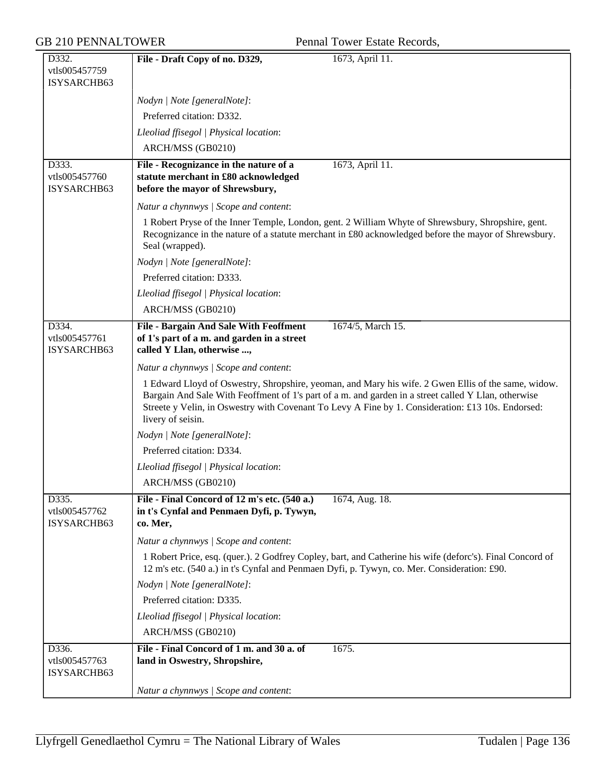| D332.                                 | File - Draft Copy of no. D329,<br>1673, April 11.                                                                                                                                                                                                                                                                                    |  |
|---------------------------------------|--------------------------------------------------------------------------------------------------------------------------------------------------------------------------------------------------------------------------------------------------------------------------------------------------------------------------------------|--|
| vtls005457759                         |                                                                                                                                                                                                                                                                                                                                      |  |
| ISYSARCHB63                           |                                                                                                                                                                                                                                                                                                                                      |  |
|                                       | Nodyn   Note [generalNote]:                                                                                                                                                                                                                                                                                                          |  |
|                                       | Preferred citation: D332.                                                                                                                                                                                                                                                                                                            |  |
|                                       | Lleoliad ffisegol   Physical location:                                                                                                                                                                                                                                                                                               |  |
|                                       | ARCH/MSS (GB0210)                                                                                                                                                                                                                                                                                                                    |  |
| D333.                                 | 1673, April 11.<br>File - Recognizance in the nature of a                                                                                                                                                                                                                                                                            |  |
| vtls005457760                         | statute merchant in £80 acknowledged                                                                                                                                                                                                                                                                                                 |  |
| ISYSARCHB63                           | before the mayor of Shrewsbury,                                                                                                                                                                                                                                                                                                      |  |
|                                       | Natur a chynnwys / Scope and content:                                                                                                                                                                                                                                                                                                |  |
|                                       | 1 Robert Pryse of the Inner Temple, London, gent. 2 William Whyte of Shrewsbury, Shropshire, gent.<br>Recognizance in the nature of a statute merchant in £80 acknowledged before the mayor of Shrewsbury.<br>Seal (wrapped).                                                                                                        |  |
|                                       | Nodyn   Note [generalNote]:                                                                                                                                                                                                                                                                                                          |  |
|                                       | Preferred citation: D333.                                                                                                                                                                                                                                                                                                            |  |
|                                       | Lleoliad ffisegol   Physical location:                                                                                                                                                                                                                                                                                               |  |
|                                       | ARCH/MSS (GB0210)                                                                                                                                                                                                                                                                                                                    |  |
| D334.                                 | 1674/5, March 15.<br><b>File - Bargain And Sale With Feoffment</b>                                                                                                                                                                                                                                                                   |  |
| vtls005457761<br>ISYSARCHB63          | of 1's part of a m. and garden in a street<br>called Y Llan, otherwise ,                                                                                                                                                                                                                                                             |  |
|                                       | Natur a chynnwys / Scope and content:                                                                                                                                                                                                                                                                                                |  |
|                                       | 1 Edward Lloyd of Oswestry, Shropshire, yeoman, and Mary his wife. 2 Gwen Ellis of the same, widow.<br>Bargain And Sale With Feoffment of 1's part of a m. and garden in a street called Y Llan, otherwise<br>Streete y Velin, in Oswestry with Covenant To Levy A Fine by 1. Consideration: £13 10s. Endorsed:<br>livery of seisin. |  |
|                                       | Nodyn   Note [generalNote]:                                                                                                                                                                                                                                                                                                          |  |
|                                       | Preferred citation: D334.                                                                                                                                                                                                                                                                                                            |  |
|                                       | Lleoliad ffisegol   Physical location:                                                                                                                                                                                                                                                                                               |  |
|                                       | ARCH/MSS (GB0210)                                                                                                                                                                                                                                                                                                                    |  |
| D335.                                 | File - Final Concord of 12 m's etc. (540 a.)<br>1674, Aug. 18.                                                                                                                                                                                                                                                                       |  |
| vtls005457762<br>ISYSARCHB63          | in t's Cynfal and Penmaen Dyfi, p. Tywyn,<br>co. Mer,                                                                                                                                                                                                                                                                                |  |
|                                       | Natur a chynnwys / Scope and content:                                                                                                                                                                                                                                                                                                |  |
|                                       | 1 Robert Price, esq. (quer.). 2 Godfrey Copley, bart, and Catherine his wife (deforc's). Final Concord of<br>12 m's etc. (540 a.) in t's Cynfal and Penmaen Dyfi, p. Tywyn, co. Mer. Consideration: £90.                                                                                                                             |  |
|                                       | Nodyn   Note [generalNote]:                                                                                                                                                                                                                                                                                                          |  |
|                                       | Preferred citation: D335.                                                                                                                                                                                                                                                                                                            |  |
|                                       | Lleoliad ffisegol   Physical location:                                                                                                                                                                                                                                                                                               |  |
|                                       | ARCH/MSS (GB0210)                                                                                                                                                                                                                                                                                                                    |  |
| D336.<br>vtls005457763<br>ISYSARCHB63 | File - Final Concord of 1 m. and 30 a. of<br>1675.<br>land in Oswestry, Shropshire,                                                                                                                                                                                                                                                  |  |
|                                       | Natur a chynnwys / Scope and content:                                                                                                                                                                                                                                                                                                |  |
|                                       |                                                                                                                                                                                                                                                                                                                                      |  |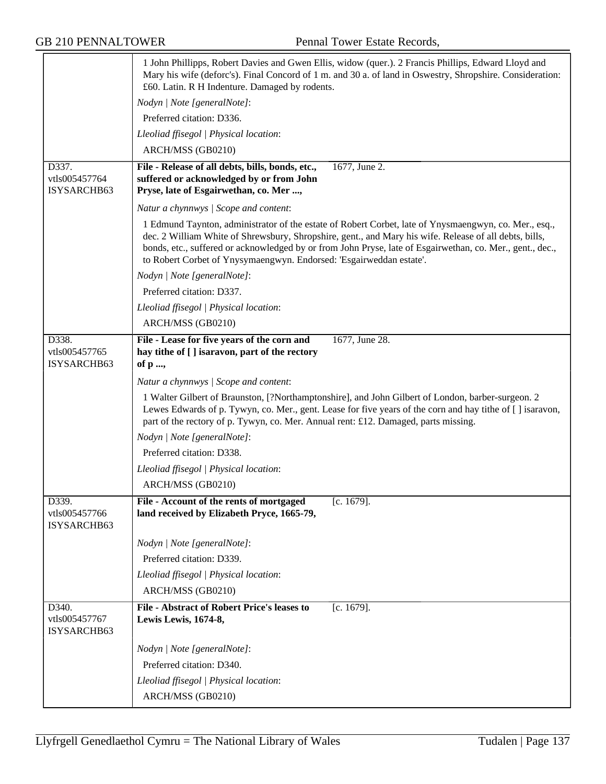|                                       | 1 John Phillipps, Robert Davies and Gwen Ellis, widow (quer.). 2 Francis Phillips, Edward Lloyd and<br>Mary his wife (deforc's). Final Concord of 1 m. and 30 a. of land in Oswestry, Shropshire. Consideration:<br>£60. Latin. R H Indenture. Damaged by rodents.                                                                                                                                  |
|---------------------------------------|-----------------------------------------------------------------------------------------------------------------------------------------------------------------------------------------------------------------------------------------------------------------------------------------------------------------------------------------------------------------------------------------------------|
|                                       | Nodyn   Note [generalNote]:                                                                                                                                                                                                                                                                                                                                                                         |
|                                       | Preferred citation: D336.                                                                                                                                                                                                                                                                                                                                                                           |
|                                       | Lleoliad ffisegol   Physical location:                                                                                                                                                                                                                                                                                                                                                              |
|                                       | ARCH/MSS (GB0210)                                                                                                                                                                                                                                                                                                                                                                                   |
| D337.                                 | File - Release of all debts, bills, bonds, etc.,<br>1677, June 2.                                                                                                                                                                                                                                                                                                                                   |
| vtls005457764                         | suffered or acknowledged by or from John                                                                                                                                                                                                                                                                                                                                                            |
| ISYSARCHB63                           | Pryse, late of Esgairwethan, co. Mer ,                                                                                                                                                                                                                                                                                                                                                              |
|                                       | Natur a chynnwys / Scope and content:                                                                                                                                                                                                                                                                                                                                                               |
|                                       | 1 Edmund Taynton, administrator of the estate of Robert Corbet, late of Ynysmaengwyn, co. Mer., esq.,<br>dec. 2 William White of Shrewsbury, Shropshire, gent., and Mary his wife. Release of all debts, bills,<br>bonds, etc., suffered or acknowledged by or from John Pryse, late of Esgairwethan, co. Mer., gent., dec.,<br>to Robert Corbet of Ynysymaengwyn. Endorsed: 'Esgairweddan estate'. |
|                                       | Nodyn   Note [generalNote]:                                                                                                                                                                                                                                                                                                                                                                         |
|                                       | Preferred citation: D337.                                                                                                                                                                                                                                                                                                                                                                           |
|                                       | Lleoliad ffisegol   Physical location:                                                                                                                                                                                                                                                                                                                                                              |
|                                       | ARCH/MSS (GB0210)                                                                                                                                                                                                                                                                                                                                                                                   |
| D338.<br>vtls005457765<br>ISYSARCHB63 | 1677, June 28.<br>File - Lease for five years of the corn and<br>hay tithe of [ ] isaravon, part of the rectory<br>of p ,                                                                                                                                                                                                                                                                           |
|                                       | Natur a chynnwys / Scope and content:                                                                                                                                                                                                                                                                                                                                                               |
|                                       | 1 Walter Gilbert of Braunston, [?Northamptonshire], and John Gilbert of London, barber-surgeon. 2<br>Lewes Edwards of p. Tywyn, co. Mer., gent. Lease for five years of the corn and hay tithe of [] isaravon,<br>part of the rectory of p. Tywyn, co. Mer. Annual rent: £12. Damaged, parts missing.                                                                                               |
|                                       | Nodyn   Note [generalNote]:                                                                                                                                                                                                                                                                                                                                                                         |
|                                       | Preferred citation: D338.                                                                                                                                                                                                                                                                                                                                                                           |
|                                       | Lleoliad ffisegol   Physical location:                                                                                                                                                                                                                                                                                                                                                              |
|                                       | ARCH/MSS (GB0210)                                                                                                                                                                                                                                                                                                                                                                                   |
| D339.<br>vtls005457766<br>ISYSARCHB63 | File - Account of the rents of mortgaged<br>$[c. 1679]$ .<br>land received by Elizabeth Pryce, 1665-79,                                                                                                                                                                                                                                                                                             |
|                                       | Nodyn   Note [generalNote]:                                                                                                                                                                                                                                                                                                                                                                         |
|                                       | Preferred citation: D339.                                                                                                                                                                                                                                                                                                                                                                           |
|                                       | Lleoliad ffisegol   Physical location:                                                                                                                                                                                                                                                                                                                                                              |
|                                       | ARCH/MSS (GB0210)                                                                                                                                                                                                                                                                                                                                                                                   |
| D340.<br>vtls005457767<br>ISYSARCHB63 | <b>File - Abstract of Robert Price's leases to</b><br>$[c. 1679]$ .<br>Lewis Lewis, 1674-8,                                                                                                                                                                                                                                                                                                         |
|                                       | Nodyn   Note [generalNote]:                                                                                                                                                                                                                                                                                                                                                                         |
|                                       | Preferred citation: D340.                                                                                                                                                                                                                                                                                                                                                                           |
|                                       | Lleoliad ffisegol   Physical location:                                                                                                                                                                                                                                                                                                                                                              |
|                                       | ARCH/MSS (GB0210)                                                                                                                                                                                                                                                                                                                                                                                   |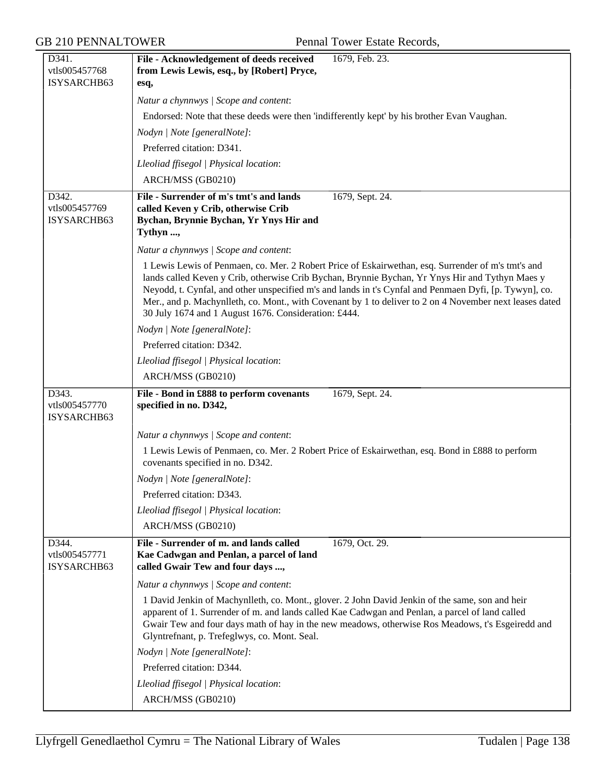| D341.                                 | File - Acknowledgement of deeds received<br>1679, Feb. 23.                                                                                                                                                                                                                                                                                                                                                                                                                         |
|---------------------------------------|------------------------------------------------------------------------------------------------------------------------------------------------------------------------------------------------------------------------------------------------------------------------------------------------------------------------------------------------------------------------------------------------------------------------------------------------------------------------------------|
| vtls005457768<br>ISYSARCHB63          | from Lewis Lewis, esq., by [Robert] Pryce,                                                                                                                                                                                                                                                                                                                                                                                                                                         |
|                                       | esq,                                                                                                                                                                                                                                                                                                                                                                                                                                                                               |
|                                       | Natur a chynnwys / Scope and content:                                                                                                                                                                                                                                                                                                                                                                                                                                              |
|                                       | Endorsed: Note that these deeds were then 'indifferently kept' by his brother Evan Vaughan.                                                                                                                                                                                                                                                                                                                                                                                        |
|                                       | Nodyn   Note [generalNote]:                                                                                                                                                                                                                                                                                                                                                                                                                                                        |
|                                       | Preferred citation: D341.                                                                                                                                                                                                                                                                                                                                                                                                                                                          |
|                                       | Lleoliad ffisegol   Physical location:                                                                                                                                                                                                                                                                                                                                                                                                                                             |
|                                       | ARCH/MSS (GB0210)                                                                                                                                                                                                                                                                                                                                                                                                                                                                  |
| D342.<br>vtls005457769<br>ISYSARCHB63 | File - Surrender of m's tmt's and lands<br>1679, Sept. 24.<br>called Keven y Crib, otherwise Crib<br>Bychan, Brynnie Bychan, Yr Ynys Hir and<br>Tythyn ,                                                                                                                                                                                                                                                                                                                           |
|                                       | Natur a chynnwys / Scope and content:                                                                                                                                                                                                                                                                                                                                                                                                                                              |
|                                       | 1 Lewis Lewis of Penmaen, co. Mer. 2 Robert Price of Eskairwethan, esq. Surrender of m's tmt's and<br>lands called Keven y Crib, otherwise Crib Bychan, Brynnie Bychan, Yr Ynys Hir and Tythyn Maes y<br>Neyodd, t. Cynfal, and other unspecified m's and lands in t's Cynfal and Penmaen Dyfi, [p. Tywyn], co.<br>Mer., and p. Machynlleth, co. Mont., with Covenant by 1 to deliver to 2 on 4 November next leases dated<br>30 July 1674 and 1 August 1676. Consideration: £444. |
|                                       | Nodyn   Note [generalNote]:                                                                                                                                                                                                                                                                                                                                                                                                                                                        |
|                                       | Preferred citation: D342.                                                                                                                                                                                                                                                                                                                                                                                                                                                          |
|                                       | Lleoliad ffisegol   Physical location:                                                                                                                                                                                                                                                                                                                                                                                                                                             |
|                                       | ARCH/MSS (GB0210)                                                                                                                                                                                                                                                                                                                                                                                                                                                                  |
| D343.<br>vtls005457770<br>ISYSARCHB63 | File - Bond in £888 to perform covenants<br>1679, Sept. 24.<br>specified in no. D342,                                                                                                                                                                                                                                                                                                                                                                                              |
|                                       | Natur a chynnwys / Scope and content:                                                                                                                                                                                                                                                                                                                                                                                                                                              |
|                                       | 1 Lewis Lewis of Penmaen, co. Mer. 2 Robert Price of Eskairwethan, esq. Bond in £888 to perform<br>covenants specified in no. D342.                                                                                                                                                                                                                                                                                                                                                |
|                                       | Nodyn   Note [generalNote]:                                                                                                                                                                                                                                                                                                                                                                                                                                                        |
|                                       | Preferred citation: D343.                                                                                                                                                                                                                                                                                                                                                                                                                                                          |
|                                       | Lleoliad ffisegol   Physical location:                                                                                                                                                                                                                                                                                                                                                                                                                                             |
|                                       | ARCH/MSS (GB0210)                                                                                                                                                                                                                                                                                                                                                                                                                                                                  |
| D344.<br>vtls005457771<br>ISYSARCHB63 | File - Surrender of m. and lands called<br>1679, Oct. 29.<br>Kae Cadwgan and Penlan, a parcel of land<br>called Gwair Tew and four days ,                                                                                                                                                                                                                                                                                                                                          |
|                                       | Natur a chynnwys / Scope and content:                                                                                                                                                                                                                                                                                                                                                                                                                                              |
|                                       | 1 David Jenkin of Machynlleth, co. Mont., glover. 2 John David Jenkin of the same, son and heir<br>apparent of 1. Surrender of m. and lands called Kae Cadwgan and Penlan, a parcel of land called<br>Gwair Tew and four days math of hay in the new meadows, otherwise Ros Meadows, t's Esgeiredd and<br>Glyntrefnant, p. Trefeglwys, co. Mont. Seal.                                                                                                                             |
|                                       | Nodyn   Note [generalNote]:                                                                                                                                                                                                                                                                                                                                                                                                                                                        |
|                                       | Preferred citation: D344.                                                                                                                                                                                                                                                                                                                                                                                                                                                          |
|                                       | Lleoliad ffisegol   Physical location:                                                                                                                                                                                                                                                                                                                                                                                                                                             |
|                                       | ARCH/MSS (GB0210)                                                                                                                                                                                                                                                                                                                                                                                                                                                                  |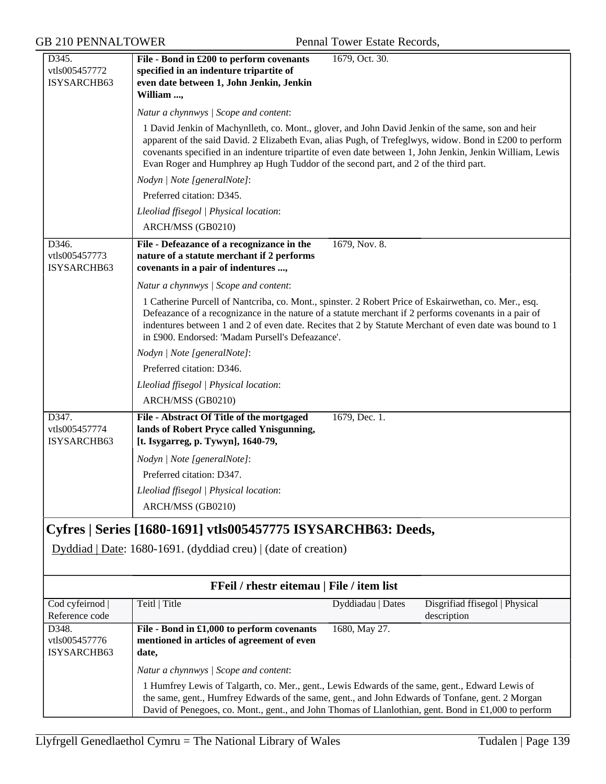| D345.                           | File - Bond in £200 to perform covenants                                                                                                                                                                             | 1679, Oct. 30.    |                                               |
|---------------------------------|----------------------------------------------------------------------------------------------------------------------------------------------------------------------------------------------------------------------|-------------------|-----------------------------------------------|
| vtls005457772                   | specified in an indenture tripartite of                                                                                                                                                                              |                   |                                               |
| ISYSARCHB63                     | even date between 1, John Jenkin, Jenkin                                                                                                                                                                             |                   |                                               |
|                                 | William ,                                                                                                                                                                                                            |                   |                                               |
|                                 | Natur a chynnwys / Scope and content:                                                                                                                                                                                |                   |                                               |
|                                 | 1 David Jenkin of Machynlleth, co. Mont., glover, and John David Jenkin of the same, son and heir                                                                                                                    |                   |                                               |
|                                 | apparent of the said David. 2 Elizabeth Evan, alias Pugh, of Trefeglwys, widow. Bond in £200 to perform<br>covenants specified in an indenture tripartite of even date between 1, John Jenkin, Jenkin William, Lewis |                   |                                               |
|                                 | Evan Roger and Humphrey ap Hugh Tuddor of the second part, and 2 of the third part.                                                                                                                                  |                   |                                               |
|                                 | Nodyn   Note [generalNote]:                                                                                                                                                                                          |                   |                                               |
|                                 | Preferred citation: D345.                                                                                                                                                                                            |                   |                                               |
|                                 | Lleoliad ffisegol   Physical location:                                                                                                                                                                               |                   |                                               |
|                                 | ARCH/MSS (GB0210)                                                                                                                                                                                                    |                   |                                               |
| D346.                           | File - Defeazance of a recognizance in the                                                                                                                                                                           | 1679, Nov. 8.     |                                               |
| vtls005457773                   | nature of a statute merchant if 2 performs                                                                                                                                                                           |                   |                                               |
| ISYSARCHB63                     | covenants in a pair of indentures ,                                                                                                                                                                                  |                   |                                               |
|                                 | Natur a chynnwys / Scope and content:                                                                                                                                                                                |                   |                                               |
|                                 | 1 Catherine Purcell of Nantcriba, co. Mont., spinster. 2 Robert Price of Eskairwethan, co. Mer., esq.                                                                                                                |                   |                                               |
|                                 | Defeazance of a recognizance in the nature of a statute merchant if 2 performs covenants in a pair of                                                                                                                |                   |                                               |
|                                 | indentures between 1 and 2 of even date. Recites that 2 by Statute Merchant of even date was bound to 1<br>in £900. Endorsed: 'Madam Pursell's Defeazance'.                                                          |                   |                                               |
|                                 |                                                                                                                                                                                                                      |                   |                                               |
|                                 | Nodyn   Note [generalNote]:<br>Preferred citation: D346.                                                                                                                                                             |                   |                                               |
|                                 |                                                                                                                                                                                                                      |                   |                                               |
|                                 | Lleoliad ffisegol   Physical location:                                                                                                                                                                               |                   |                                               |
|                                 | ARCH/MSS (GB0210)                                                                                                                                                                                                    |                   |                                               |
| D347.                           | File - Abstract Of Title of the mortgaged                                                                                                                                                                            | 1679, Dec. 1.     |                                               |
| vtls005457774<br>ISYSARCHB63    | lands of Robert Pryce called Ynisgunning,<br>[t. Isygarreg, p. Tywyn], 1640-79,                                                                                                                                      |                   |                                               |
|                                 |                                                                                                                                                                                                                      |                   |                                               |
|                                 | Nodyn   Note [generalNote]:                                                                                                                                                                                          |                   |                                               |
|                                 | Preferred citation: D347.                                                                                                                                                                                            |                   |                                               |
|                                 | Lleoliad ffisegol   Physical location:                                                                                                                                                                               |                   |                                               |
|                                 | ARCH/MSS (GB0210)                                                                                                                                                                                                    |                   |                                               |
|                                 | Cyfres   Series [1680-1691] vtls005457775 ISYSARCHB63: Deeds,                                                                                                                                                        |                   |                                               |
|                                 | Dyddiad   Date: 1680-1691. (dyddiad creu)   (date of creation)                                                                                                                                                       |                   |                                               |
|                                 |                                                                                                                                                                                                                      |                   |                                               |
|                                 |                                                                                                                                                                                                                      |                   |                                               |
|                                 | FFeil / rhestr eitemau   File / item list                                                                                                                                                                            |                   |                                               |
| Cod cyfeirnod<br>Reference code | Teitl   Title                                                                                                                                                                                                        | Dyddiadau   Dates | Disgrifiad ffisegol   Physical<br>description |
| D348.                           | File - Bond in £1,000 to perform covenants                                                                                                                                                                           | 1680, May 27.     |                                               |
| vtls005457776<br>ISYSARCHB63    | mentioned in articles of agreement of even<br>date,                                                                                                                                                                  |                   |                                               |
|                                 | Natur a chynnwys / Scope and content:                                                                                                                                                                                |                   |                                               |
|                                 | 1 Humfrey Lewis of Talgarth, co. Mer., gent., Lewis Edwards of the same, gent., Edward Lewis of                                                                                                                      |                   |                                               |
|                                 | the same, gent., Humfrey Edwards of the same, gent., and John Edwards of Tonfane, gent. 2 Morgan                                                                                                                     |                   |                                               |
|                                 | David of Penegoes, co. Mont., gent., and John Thomas of Llanlothian, gent. Bond in £1,000 to perform                                                                                                                 |                   |                                               |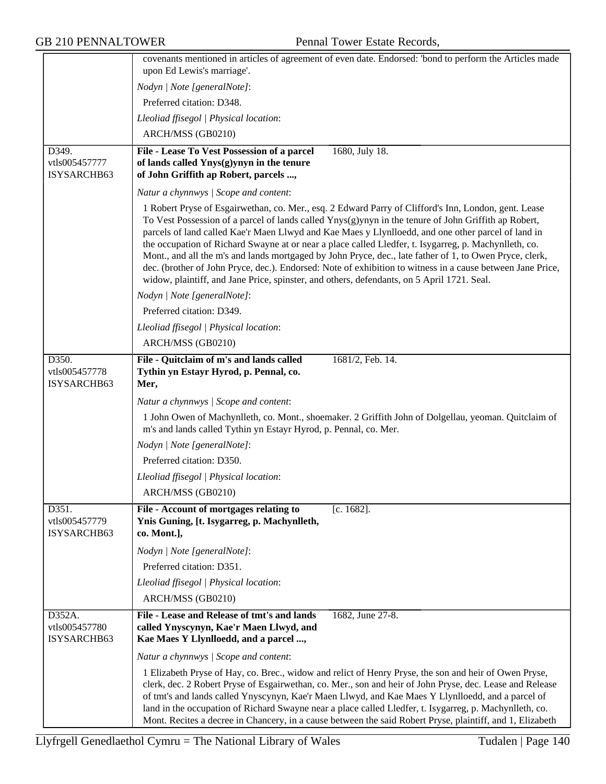|                                       | covenants mentioned in articles of agreement of even date. Endorsed: 'bond to perform the Articles made<br>upon Ed Lewis's marriage'.                                                                                                                                                                                                                                                                                                                                                                                                                                                                                                                                                                                                                |
|---------------------------------------|------------------------------------------------------------------------------------------------------------------------------------------------------------------------------------------------------------------------------------------------------------------------------------------------------------------------------------------------------------------------------------------------------------------------------------------------------------------------------------------------------------------------------------------------------------------------------------------------------------------------------------------------------------------------------------------------------------------------------------------------------|
|                                       |                                                                                                                                                                                                                                                                                                                                                                                                                                                                                                                                                                                                                                                                                                                                                      |
|                                       | Nodyn   Note [generalNote]:                                                                                                                                                                                                                                                                                                                                                                                                                                                                                                                                                                                                                                                                                                                          |
|                                       | Preferred citation: D348.                                                                                                                                                                                                                                                                                                                                                                                                                                                                                                                                                                                                                                                                                                                            |
|                                       | Lleoliad ffisegol   Physical location:                                                                                                                                                                                                                                                                                                                                                                                                                                                                                                                                                                                                                                                                                                               |
|                                       | ARCH/MSS (GB0210)                                                                                                                                                                                                                                                                                                                                                                                                                                                                                                                                                                                                                                                                                                                                    |
| D349.                                 | 1680, July 18.<br>File - Lease To Vest Possession of a parcel                                                                                                                                                                                                                                                                                                                                                                                                                                                                                                                                                                                                                                                                                        |
| vtls005457777<br>ISYSARCHB63          | of lands called Ynys(g)ynyn in the tenure<br>of John Griffith ap Robert, parcels ,                                                                                                                                                                                                                                                                                                                                                                                                                                                                                                                                                                                                                                                                   |
|                                       | Natur a chynnwys / Scope and content:                                                                                                                                                                                                                                                                                                                                                                                                                                                                                                                                                                                                                                                                                                                |
|                                       | 1 Robert Pryse of Esgairwethan, co. Mer., esq. 2 Edward Parry of Clifford's Inn, London, gent. Lease<br>To Vest Possession of a parcel of lands called $Ynys(g)ynyn$ in the tenure of John Griffith ap Robert,<br>parcels of land called Kae'r Maen Llwyd and Kae Maes y Llynlloedd, and one other parcel of land in<br>the occupation of Richard Swayne at or near a place called Lledfer, t. Isygarreg, p. Machynlleth, co.<br>Mont., and all the m's and lands mortgaged by John Pryce, dec., late father of 1, to Owen Pryce, clerk,<br>dec. (brother of John Pryce, dec.). Endorsed: Note of exhibition to witness in a cause between Jane Price,<br>widow, plaintiff, and Jane Price, spinster, and others, defendants, on 5 April 1721. Seal. |
|                                       | Nodyn   Note [generalNote]:                                                                                                                                                                                                                                                                                                                                                                                                                                                                                                                                                                                                                                                                                                                          |
|                                       | Preferred citation: D349.                                                                                                                                                                                                                                                                                                                                                                                                                                                                                                                                                                                                                                                                                                                            |
|                                       | Lleoliad ffisegol   Physical location:                                                                                                                                                                                                                                                                                                                                                                                                                                                                                                                                                                                                                                                                                                               |
|                                       | ARCH/MSS (GB0210)                                                                                                                                                                                                                                                                                                                                                                                                                                                                                                                                                                                                                                                                                                                                    |
| D350.<br>vtls005457778<br>ISYSARCHB63 | File - Quitclaim of m's and lands called<br>1681/2, Feb. 14.<br>Tythin yn Estayr Hyrod, p. Pennal, co.<br>Mer,                                                                                                                                                                                                                                                                                                                                                                                                                                                                                                                                                                                                                                       |
|                                       | Natur a chynnwys / Scope and content:                                                                                                                                                                                                                                                                                                                                                                                                                                                                                                                                                                                                                                                                                                                |
|                                       | 1 John Owen of Machynlleth, co. Mont., shoemaker. 2 Griffith John of Dolgellau, yeoman. Quitclaim of<br>m's and lands called Tythin yn Estayr Hyrod, p. Pennal, co. Mer.                                                                                                                                                                                                                                                                                                                                                                                                                                                                                                                                                                             |
|                                       | Nodyn   Note [generalNote]:                                                                                                                                                                                                                                                                                                                                                                                                                                                                                                                                                                                                                                                                                                                          |
|                                       | Preferred citation: D350.                                                                                                                                                                                                                                                                                                                                                                                                                                                                                                                                                                                                                                                                                                                            |
|                                       | Lleoliad ffisegol   Physical location:                                                                                                                                                                                                                                                                                                                                                                                                                                                                                                                                                                                                                                                                                                               |
|                                       | ARCH/MSS (GB0210)                                                                                                                                                                                                                                                                                                                                                                                                                                                                                                                                                                                                                                                                                                                                    |
| D351.                                 | File - Account of mortgages relating to<br>$[c. 1682]$ .                                                                                                                                                                                                                                                                                                                                                                                                                                                                                                                                                                                                                                                                                             |
| vtls005457779<br>ISYSARCHB63          | Ynis Guning, [t. Isygarreg, p. Machynlleth,<br>co. Mont.],                                                                                                                                                                                                                                                                                                                                                                                                                                                                                                                                                                                                                                                                                           |
|                                       | Nodyn   Note [generalNote]:                                                                                                                                                                                                                                                                                                                                                                                                                                                                                                                                                                                                                                                                                                                          |
|                                       | Preferred citation: D351.                                                                                                                                                                                                                                                                                                                                                                                                                                                                                                                                                                                                                                                                                                                            |
|                                       | Lleoliad ffisegol   Physical location:                                                                                                                                                                                                                                                                                                                                                                                                                                                                                                                                                                                                                                                                                                               |
|                                       | ARCH/MSS (GB0210)                                                                                                                                                                                                                                                                                                                                                                                                                                                                                                                                                                                                                                                                                                                                    |
| D352A.                                | File - Lease and Release of tmt's and lands<br>1682, June 27-8.                                                                                                                                                                                                                                                                                                                                                                                                                                                                                                                                                                                                                                                                                      |
| vtls005457780<br>ISYSARCHB63          | called Ynyscynyn, Kae'r Maen Llwyd, and<br>Kae Maes Y Llynlloedd, and a parcel ,                                                                                                                                                                                                                                                                                                                                                                                                                                                                                                                                                                                                                                                                     |
|                                       | Natur a chynnwys / Scope and content:                                                                                                                                                                                                                                                                                                                                                                                                                                                                                                                                                                                                                                                                                                                |
|                                       | 1 Elizabeth Pryse of Hay, co. Brec., widow and relict of Henry Pryse, the son and heir of Owen Pryse,<br>clerk, dec. 2 Robert Pryse of Esgairwethan, co. Mer., son and heir of John Pryse, dec. Lease and Release<br>of tmt's and lands called Ynyscynyn, Kae'r Maen Llwyd, and Kae Maes Y Llynlloedd, and a parcel of<br>land in the occupation of Richard Swayne near a place called Lledfer, t. Isygarreg, p. Machynlleth, co.<br>Mont. Recites a decree in Chancery, in a cause between the said Robert Pryse, plaintiff, and 1, Elizabeth                                                                                                                                                                                                       |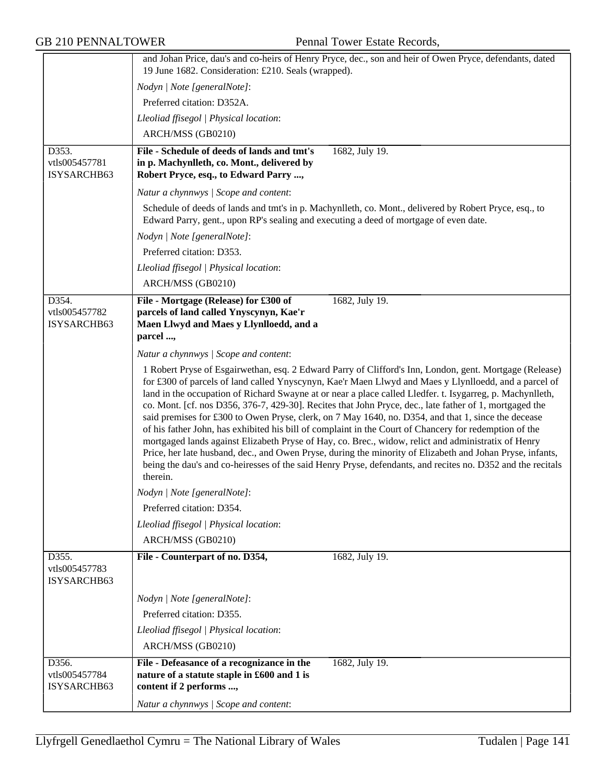|                                       | and Johan Price, dau's and co-heirs of Henry Pryce, dec., son and heir of Owen Pryce, defendants, dated<br>19 June 1682. Consideration: £210. Seals (wrapped).                                                                                                                                                                                                                                                                                                                                                                                                                                                                                                                                                                                                                                                                                                                                                                                                                                           |
|---------------------------------------|----------------------------------------------------------------------------------------------------------------------------------------------------------------------------------------------------------------------------------------------------------------------------------------------------------------------------------------------------------------------------------------------------------------------------------------------------------------------------------------------------------------------------------------------------------------------------------------------------------------------------------------------------------------------------------------------------------------------------------------------------------------------------------------------------------------------------------------------------------------------------------------------------------------------------------------------------------------------------------------------------------|
|                                       | Nodyn   Note [generalNote]:                                                                                                                                                                                                                                                                                                                                                                                                                                                                                                                                                                                                                                                                                                                                                                                                                                                                                                                                                                              |
|                                       | Preferred citation: D352A.                                                                                                                                                                                                                                                                                                                                                                                                                                                                                                                                                                                                                                                                                                                                                                                                                                                                                                                                                                               |
|                                       | Lleoliad ffisegol   Physical location:                                                                                                                                                                                                                                                                                                                                                                                                                                                                                                                                                                                                                                                                                                                                                                                                                                                                                                                                                                   |
|                                       | ARCH/MSS (GB0210)                                                                                                                                                                                                                                                                                                                                                                                                                                                                                                                                                                                                                                                                                                                                                                                                                                                                                                                                                                                        |
| D353.                                 | File - Schedule of deeds of lands and tmt's<br>1682, July 19.                                                                                                                                                                                                                                                                                                                                                                                                                                                                                                                                                                                                                                                                                                                                                                                                                                                                                                                                            |
| vtls005457781<br>ISYSARCHB63          | in p. Machynlleth, co. Mont., delivered by<br>Robert Pryce, esq., to Edward Parry ,                                                                                                                                                                                                                                                                                                                                                                                                                                                                                                                                                                                                                                                                                                                                                                                                                                                                                                                      |
|                                       | Natur a chynnwys / Scope and content:                                                                                                                                                                                                                                                                                                                                                                                                                                                                                                                                                                                                                                                                                                                                                                                                                                                                                                                                                                    |
|                                       | Schedule of deeds of lands and tmt's in p. Machynlleth, co. Mont., delivered by Robert Pryce, esq., to<br>Edward Parry, gent., upon RP's sealing and executing a deed of mortgage of even date.                                                                                                                                                                                                                                                                                                                                                                                                                                                                                                                                                                                                                                                                                                                                                                                                          |
|                                       | Nodyn   Note [generalNote]:                                                                                                                                                                                                                                                                                                                                                                                                                                                                                                                                                                                                                                                                                                                                                                                                                                                                                                                                                                              |
|                                       | Preferred citation: D353.                                                                                                                                                                                                                                                                                                                                                                                                                                                                                                                                                                                                                                                                                                                                                                                                                                                                                                                                                                                |
|                                       | Lleoliad ffisegol   Physical location:                                                                                                                                                                                                                                                                                                                                                                                                                                                                                                                                                                                                                                                                                                                                                                                                                                                                                                                                                                   |
|                                       | ARCH/MSS (GB0210)                                                                                                                                                                                                                                                                                                                                                                                                                                                                                                                                                                                                                                                                                                                                                                                                                                                                                                                                                                                        |
| D354.<br>vtls005457782<br>ISYSARCHB63 | 1682, July 19.<br>File - Mortgage (Release) for £300 of<br>parcels of land called Ynyscynyn, Kae'r<br>Maen Llwyd and Maes y Llynlloedd, and a<br>parcel ,                                                                                                                                                                                                                                                                                                                                                                                                                                                                                                                                                                                                                                                                                                                                                                                                                                                |
|                                       | Natur a chynnwys / Scope and content:                                                                                                                                                                                                                                                                                                                                                                                                                                                                                                                                                                                                                                                                                                                                                                                                                                                                                                                                                                    |
|                                       | 1 Robert Pryse of Esgairwethan, esq. 2 Edward Parry of Clifford's Inn, London, gent. Mortgage (Release)<br>for £300 of parcels of land called Ynyscynyn, Kae'r Maen Llwyd and Maes y Llynlloedd, and a parcel of<br>land in the occupation of Richard Swayne at or near a place called Lledfer. t. Isygarreg, p. Machynlleth,<br>co. Mont. [cf. nos D356, 376-7, 429-30]. Recites that John Pryce, dec., late father of 1, mortgaged the<br>said premises for £300 to Owen Pryse, clerk, on 7 May 1640, no. D354, and that 1, since the decease<br>of his father John, has exhibited his bill of complaint in the Court of Chancery for redemption of the<br>mortgaged lands against Elizabeth Pryse of Hay, co. Brec., widow, relict and administratix of Henry<br>Price, her late husband, dec., and Owen Pryse, during the minority of Elizabeth and Johan Pryse, infants,<br>being the dau's and co-heiresses of the said Henry Pryse, defendants, and recites no. D352 and the recitals<br>therein. |
|                                       | Nodyn   Note [generalNote]:                                                                                                                                                                                                                                                                                                                                                                                                                                                                                                                                                                                                                                                                                                                                                                                                                                                                                                                                                                              |
|                                       | Preferred citation: D354.                                                                                                                                                                                                                                                                                                                                                                                                                                                                                                                                                                                                                                                                                                                                                                                                                                                                                                                                                                                |
|                                       | Lleoliad ffisegol   Physical location:                                                                                                                                                                                                                                                                                                                                                                                                                                                                                                                                                                                                                                                                                                                                                                                                                                                                                                                                                                   |
|                                       | ARCH/MSS (GB0210)                                                                                                                                                                                                                                                                                                                                                                                                                                                                                                                                                                                                                                                                                                                                                                                                                                                                                                                                                                                        |
| D355.<br>vtls005457783<br>ISYSARCHB63 | 1682, July 19.<br>File - Counterpart of no. D354,                                                                                                                                                                                                                                                                                                                                                                                                                                                                                                                                                                                                                                                                                                                                                                                                                                                                                                                                                        |
|                                       | Nodyn   Note [generalNote]:                                                                                                                                                                                                                                                                                                                                                                                                                                                                                                                                                                                                                                                                                                                                                                                                                                                                                                                                                                              |
|                                       | Preferred citation: D355.                                                                                                                                                                                                                                                                                                                                                                                                                                                                                                                                                                                                                                                                                                                                                                                                                                                                                                                                                                                |
|                                       | Lleoliad ffisegol   Physical location:                                                                                                                                                                                                                                                                                                                                                                                                                                                                                                                                                                                                                                                                                                                                                                                                                                                                                                                                                                   |
|                                       | ARCH/MSS (GB0210)                                                                                                                                                                                                                                                                                                                                                                                                                                                                                                                                                                                                                                                                                                                                                                                                                                                                                                                                                                                        |
| D356.<br>vtls005457784<br>ISYSARCHB63 | File - Defeasance of a recognizance in the<br>1682, July 19.<br>nature of a statute staple in £600 and 1 is<br>content if 2 performs ,                                                                                                                                                                                                                                                                                                                                                                                                                                                                                                                                                                                                                                                                                                                                                                                                                                                                   |
|                                       | Natur a chynnwys / Scope and content:                                                                                                                                                                                                                                                                                                                                                                                                                                                                                                                                                                                                                                                                                                                                                                                                                                                                                                                                                                    |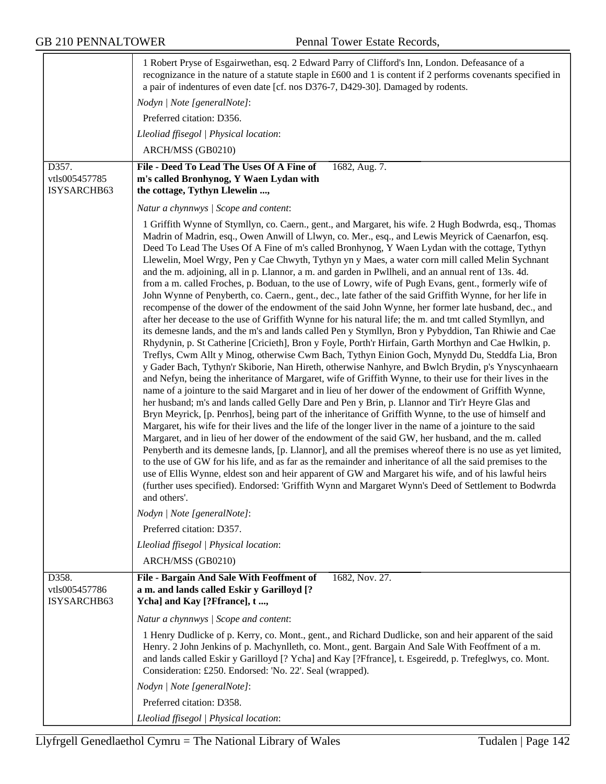|                                       | 1 Robert Pryse of Esgairwethan, esq. 2 Edward Parry of Clifford's Inn, London. Defeasance of a<br>recognizance in the nature of a statute staple in £600 and 1 is content if 2 performs covenants specified in<br>a pair of indentures of even date [cf. nos D376-7, D429-30]. Damaged by rodents.<br>Nodyn   Note [generalNote]:<br>Preferred citation: D356.                                                                                                                                                                                                                                                                                                                                                                                                                                                                                                                                                                                                                                                                                                                                                                                                                                                                                                                                                                                                                                                                                                                                                                                                                                                                                                                                                                                                                                                                                                                                                                                                                                                                                                                                                                                                                                                                                                                                                                                                                                                                                                                                                    |
|---------------------------------------|-------------------------------------------------------------------------------------------------------------------------------------------------------------------------------------------------------------------------------------------------------------------------------------------------------------------------------------------------------------------------------------------------------------------------------------------------------------------------------------------------------------------------------------------------------------------------------------------------------------------------------------------------------------------------------------------------------------------------------------------------------------------------------------------------------------------------------------------------------------------------------------------------------------------------------------------------------------------------------------------------------------------------------------------------------------------------------------------------------------------------------------------------------------------------------------------------------------------------------------------------------------------------------------------------------------------------------------------------------------------------------------------------------------------------------------------------------------------------------------------------------------------------------------------------------------------------------------------------------------------------------------------------------------------------------------------------------------------------------------------------------------------------------------------------------------------------------------------------------------------------------------------------------------------------------------------------------------------------------------------------------------------------------------------------------------------------------------------------------------------------------------------------------------------------------------------------------------------------------------------------------------------------------------------------------------------------------------------------------------------------------------------------------------------------------------------------------------------------------------------------------------------|
|                                       | Lleoliad ffisegol   Physical location:                                                                                                                                                                                                                                                                                                                                                                                                                                                                                                                                                                                                                                                                                                                                                                                                                                                                                                                                                                                                                                                                                                                                                                                                                                                                                                                                                                                                                                                                                                                                                                                                                                                                                                                                                                                                                                                                                                                                                                                                                                                                                                                                                                                                                                                                                                                                                                                                                                                                            |
| D357.                                 | ARCH/MSS (GB0210)<br>File - Deed To Lead The Uses Of A Fine of<br>1682, Aug. 7.                                                                                                                                                                                                                                                                                                                                                                                                                                                                                                                                                                                                                                                                                                                                                                                                                                                                                                                                                                                                                                                                                                                                                                                                                                                                                                                                                                                                                                                                                                                                                                                                                                                                                                                                                                                                                                                                                                                                                                                                                                                                                                                                                                                                                                                                                                                                                                                                                                   |
| vtls005457785                         | m's called Bronhynog, Y Waen Lydan with                                                                                                                                                                                                                                                                                                                                                                                                                                                                                                                                                                                                                                                                                                                                                                                                                                                                                                                                                                                                                                                                                                                                                                                                                                                                                                                                                                                                                                                                                                                                                                                                                                                                                                                                                                                                                                                                                                                                                                                                                                                                                                                                                                                                                                                                                                                                                                                                                                                                           |
| ISYSARCHB63                           | the cottage, Tythyn Llewelin ,                                                                                                                                                                                                                                                                                                                                                                                                                                                                                                                                                                                                                                                                                                                                                                                                                                                                                                                                                                                                                                                                                                                                                                                                                                                                                                                                                                                                                                                                                                                                                                                                                                                                                                                                                                                                                                                                                                                                                                                                                                                                                                                                                                                                                                                                                                                                                                                                                                                                                    |
|                                       | Natur a chynnwys / Scope and content:                                                                                                                                                                                                                                                                                                                                                                                                                                                                                                                                                                                                                                                                                                                                                                                                                                                                                                                                                                                                                                                                                                                                                                                                                                                                                                                                                                                                                                                                                                                                                                                                                                                                                                                                                                                                                                                                                                                                                                                                                                                                                                                                                                                                                                                                                                                                                                                                                                                                             |
|                                       | 1 Griffith Wynne of Stymllyn, co. Caern., gent., and Margaret, his wife. 2 Hugh Bodwrda, esq., Thomas<br>Madrin of Madrin, esq., Owen Anwill of Llwyn, co. Mer., esq., and Lewis Meyrick of Caenarfon, esq.<br>Deed To Lead The Uses Of A Fine of m's called Bronhynog, Y Waen Lydan with the cottage, Tythyn<br>Llewelin, Moel Wrgy, Pen y Cae Chwyth, Tythyn yn y Maes, a water corn mill called Melin Sychnant<br>and the m. adjoining, all in p. Llannor, a m. and garden in Pwllheli, and an annual rent of 13s. 4d.<br>from a m. called Froches, p. Boduan, to the use of Lowry, wife of Pugh Evans, gent., formerly wife of<br>John Wynne of Penyberth, co. Caern., gent., dec., late father of the said Griffith Wynne, for her life in<br>recompense of the dower of the endowment of the said John Wynne, her former late husband, dec., and<br>after her decease to the use of Griffith Wynne for his natural life; the m. and tmt called Stymllyn, and<br>its demesne lands, and the m's and lands called Pen y Stymllyn, Bron y Pybyddion, Tan Rhiwie and Cae<br>Rhydynin, p. St Catherine [Cricieth], Bron y Foyle, Porth'r Hirfain, Garth Morthyn and Cae Hwlkin, p.<br>Treflys, Cwm Allt y Minog, otherwise Cwm Bach, Tythyn Einion Goch, Mynydd Du, Steddfa Lia, Bron<br>y Gader Bach, Tythyn'r Skiborie, Nan Hireth, otherwise Nanhyre, and Bwlch Brydin, p's Ynyscynhaearn<br>and Nefyn, being the inheritance of Margaret, wife of Griffith Wynne, to their use for their lives in the<br>name of a jointure to the said Margaret and in lieu of her dower of the endowment of Griffith Wynne,<br>her husband; m's and lands called Gelly Dare and Pen y Brin, p. Llannor and Tir'r Heyre Glas and<br>Bryn Meyrick, [p. Penrhos], being part of the inheritance of Griffith Wynne, to the use of himself and<br>Margaret, his wife for their lives and the life of the longer liver in the name of a jointure to the said<br>Margaret, and in lieu of her dower of the endowment of the said GW, her husband, and the m. called<br>Penyberth and its demesne lands, [p. Llannor], and all the premises whereof there is no use as yet limited,<br>to the use of GW for his life, and as far as the remainder and inheritance of all the said premises to the<br>use of Ellis Wynne, eldest son and heir apparent of GW and Margaret his wife, and of his lawful heirs<br>(further uses specified). Endorsed: 'Griffith Wynn and Margaret Wynn's Deed of Settlement to Bodwrda<br>and others'. |
|                                       | Nodyn   Note [generalNote]:                                                                                                                                                                                                                                                                                                                                                                                                                                                                                                                                                                                                                                                                                                                                                                                                                                                                                                                                                                                                                                                                                                                                                                                                                                                                                                                                                                                                                                                                                                                                                                                                                                                                                                                                                                                                                                                                                                                                                                                                                                                                                                                                                                                                                                                                                                                                                                                                                                                                                       |
|                                       | Preferred citation: D357.                                                                                                                                                                                                                                                                                                                                                                                                                                                                                                                                                                                                                                                                                                                                                                                                                                                                                                                                                                                                                                                                                                                                                                                                                                                                                                                                                                                                                                                                                                                                                                                                                                                                                                                                                                                                                                                                                                                                                                                                                                                                                                                                                                                                                                                                                                                                                                                                                                                                                         |
|                                       | Lleoliad ffisegol   Physical location:                                                                                                                                                                                                                                                                                                                                                                                                                                                                                                                                                                                                                                                                                                                                                                                                                                                                                                                                                                                                                                                                                                                                                                                                                                                                                                                                                                                                                                                                                                                                                                                                                                                                                                                                                                                                                                                                                                                                                                                                                                                                                                                                                                                                                                                                                                                                                                                                                                                                            |
|                                       | ARCH/MSS (GB0210)                                                                                                                                                                                                                                                                                                                                                                                                                                                                                                                                                                                                                                                                                                                                                                                                                                                                                                                                                                                                                                                                                                                                                                                                                                                                                                                                                                                                                                                                                                                                                                                                                                                                                                                                                                                                                                                                                                                                                                                                                                                                                                                                                                                                                                                                                                                                                                                                                                                                                                 |
| D358.<br>vtls005457786<br>ISYSARCHB63 | 1682, Nov. 27.<br>File - Bargain And Sale With Feoffment of<br>a m. and lands called Eskir y Garilloyd [?<br>Ycha] and Kay [?Ffrance], t ,                                                                                                                                                                                                                                                                                                                                                                                                                                                                                                                                                                                                                                                                                                                                                                                                                                                                                                                                                                                                                                                                                                                                                                                                                                                                                                                                                                                                                                                                                                                                                                                                                                                                                                                                                                                                                                                                                                                                                                                                                                                                                                                                                                                                                                                                                                                                                                        |
|                                       | Natur a chynnwys / Scope and content:                                                                                                                                                                                                                                                                                                                                                                                                                                                                                                                                                                                                                                                                                                                                                                                                                                                                                                                                                                                                                                                                                                                                                                                                                                                                                                                                                                                                                                                                                                                                                                                                                                                                                                                                                                                                                                                                                                                                                                                                                                                                                                                                                                                                                                                                                                                                                                                                                                                                             |
|                                       | 1 Henry Dudlicke of p. Kerry, co. Mont., gent., and Richard Dudlicke, son and heir apparent of the said<br>Henry. 2 John Jenkins of p. Machynlleth, co. Mont., gent. Bargain And Sale With Feoffment of a m.<br>and lands called Eskir y Garilloyd [? Ycha] and Kay [?Ffrance], t. Esgeiredd, p. Trefeglwys, co. Mont.<br>Consideration: £250. Endorsed: 'No. 22'. Seal (wrapped).                                                                                                                                                                                                                                                                                                                                                                                                                                                                                                                                                                                                                                                                                                                                                                                                                                                                                                                                                                                                                                                                                                                                                                                                                                                                                                                                                                                                                                                                                                                                                                                                                                                                                                                                                                                                                                                                                                                                                                                                                                                                                                                                |
|                                       | Nodyn   Note [generalNote]:                                                                                                                                                                                                                                                                                                                                                                                                                                                                                                                                                                                                                                                                                                                                                                                                                                                                                                                                                                                                                                                                                                                                                                                                                                                                                                                                                                                                                                                                                                                                                                                                                                                                                                                                                                                                                                                                                                                                                                                                                                                                                                                                                                                                                                                                                                                                                                                                                                                                                       |
|                                       | Preferred citation: D358.                                                                                                                                                                                                                                                                                                                                                                                                                                                                                                                                                                                                                                                                                                                                                                                                                                                                                                                                                                                                                                                                                                                                                                                                                                                                                                                                                                                                                                                                                                                                                                                                                                                                                                                                                                                                                                                                                                                                                                                                                                                                                                                                                                                                                                                                                                                                                                                                                                                                                         |
|                                       | Lleoliad ffisegol   Physical location:                                                                                                                                                                                                                                                                                                                                                                                                                                                                                                                                                                                                                                                                                                                                                                                                                                                                                                                                                                                                                                                                                                                                                                                                                                                                                                                                                                                                                                                                                                                                                                                                                                                                                                                                                                                                                                                                                                                                                                                                                                                                                                                                                                                                                                                                                                                                                                                                                                                                            |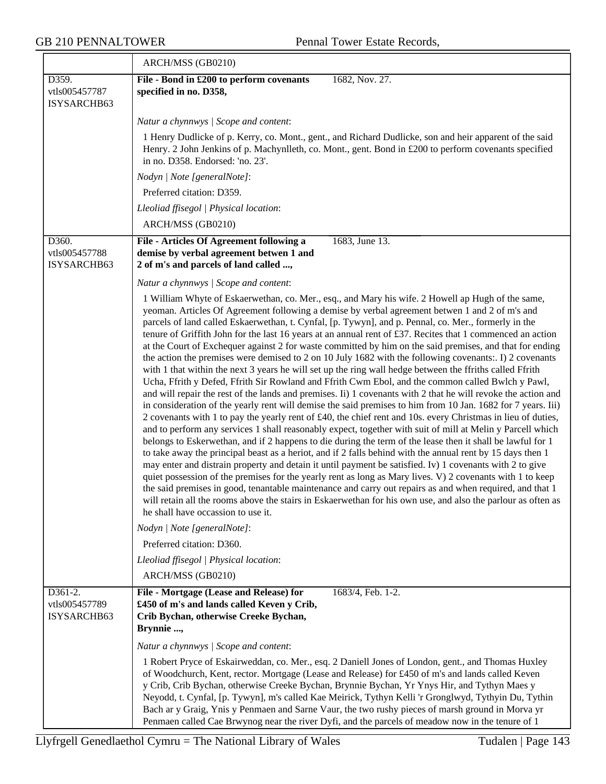$\overline{\phantom{a}}$ 

|                                           | ARCH/MSS (GB0210)                                                                                                                                                                                                                                                                                                                                                                                                                                                                                                                                                                                                                                                                                                                                                                                                                                                                                                                                                                                                                                                                                                                                                                                                                                                                                                                                                                                                                                                                                                                                                                                                                                                                                                                                                                                                                                                                                                                                                                                                                                      |
|-------------------------------------------|--------------------------------------------------------------------------------------------------------------------------------------------------------------------------------------------------------------------------------------------------------------------------------------------------------------------------------------------------------------------------------------------------------------------------------------------------------------------------------------------------------------------------------------------------------------------------------------------------------------------------------------------------------------------------------------------------------------------------------------------------------------------------------------------------------------------------------------------------------------------------------------------------------------------------------------------------------------------------------------------------------------------------------------------------------------------------------------------------------------------------------------------------------------------------------------------------------------------------------------------------------------------------------------------------------------------------------------------------------------------------------------------------------------------------------------------------------------------------------------------------------------------------------------------------------------------------------------------------------------------------------------------------------------------------------------------------------------------------------------------------------------------------------------------------------------------------------------------------------------------------------------------------------------------------------------------------------------------------------------------------------------------------------------------------------|
| D359.<br>vtls005457787<br>ISYSARCHB63     | File - Bond in £200 to perform covenants<br>1682, Nov. 27.<br>specified in no. D358,                                                                                                                                                                                                                                                                                                                                                                                                                                                                                                                                                                                                                                                                                                                                                                                                                                                                                                                                                                                                                                                                                                                                                                                                                                                                                                                                                                                                                                                                                                                                                                                                                                                                                                                                                                                                                                                                                                                                                                   |
|                                           | Natur a chynnwys / Scope and content:                                                                                                                                                                                                                                                                                                                                                                                                                                                                                                                                                                                                                                                                                                                                                                                                                                                                                                                                                                                                                                                                                                                                                                                                                                                                                                                                                                                                                                                                                                                                                                                                                                                                                                                                                                                                                                                                                                                                                                                                                  |
|                                           | 1 Henry Dudlicke of p. Kerry, co. Mont., gent., and Richard Dudlicke, son and heir apparent of the said<br>Henry. 2 John Jenkins of p. Machynlleth, co. Mont., gent. Bond in £200 to perform covenants specified<br>in no. D358. Endorsed: 'no. 23'.                                                                                                                                                                                                                                                                                                                                                                                                                                                                                                                                                                                                                                                                                                                                                                                                                                                                                                                                                                                                                                                                                                                                                                                                                                                                                                                                                                                                                                                                                                                                                                                                                                                                                                                                                                                                   |
|                                           | Nodyn   Note [generalNote]:                                                                                                                                                                                                                                                                                                                                                                                                                                                                                                                                                                                                                                                                                                                                                                                                                                                                                                                                                                                                                                                                                                                                                                                                                                                                                                                                                                                                                                                                                                                                                                                                                                                                                                                                                                                                                                                                                                                                                                                                                            |
|                                           | Preferred citation: D359.                                                                                                                                                                                                                                                                                                                                                                                                                                                                                                                                                                                                                                                                                                                                                                                                                                                                                                                                                                                                                                                                                                                                                                                                                                                                                                                                                                                                                                                                                                                                                                                                                                                                                                                                                                                                                                                                                                                                                                                                                              |
|                                           | Lleoliad ffisegol   Physical location:                                                                                                                                                                                                                                                                                                                                                                                                                                                                                                                                                                                                                                                                                                                                                                                                                                                                                                                                                                                                                                                                                                                                                                                                                                                                                                                                                                                                                                                                                                                                                                                                                                                                                                                                                                                                                                                                                                                                                                                                                 |
|                                           | ARCH/MSS (GB0210)                                                                                                                                                                                                                                                                                                                                                                                                                                                                                                                                                                                                                                                                                                                                                                                                                                                                                                                                                                                                                                                                                                                                                                                                                                                                                                                                                                                                                                                                                                                                                                                                                                                                                                                                                                                                                                                                                                                                                                                                                                      |
| D360.<br>vtls005457788<br>ISYSARCHB63     | File - Articles Of Agreement following a<br>1683, June 13.<br>demise by verbal agreement betwen 1 and<br>2 of m's and parcels of land called ,                                                                                                                                                                                                                                                                                                                                                                                                                                                                                                                                                                                                                                                                                                                                                                                                                                                                                                                                                                                                                                                                                                                                                                                                                                                                                                                                                                                                                                                                                                                                                                                                                                                                                                                                                                                                                                                                                                         |
|                                           | Natur a chynnwys / Scope and content:                                                                                                                                                                                                                                                                                                                                                                                                                                                                                                                                                                                                                                                                                                                                                                                                                                                                                                                                                                                                                                                                                                                                                                                                                                                                                                                                                                                                                                                                                                                                                                                                                                                                                                                                                                                                                                                                                                                                                                                                                  |
|                                           | 1 William Whyte of Eskaerwethan, co. Mer., esq., and Mary his wife. 2 Howell ap Hugh of the same,<br>yeoman. Articles Of Agreement following a demise by verbal agreement betwen 1 and 2 of m's and<br>parcels of land called Eskaerwethan, t. Cynfal, [p. Tywyn], and p. Pennal, co. Mer., formerly in the<br>tenure of Griffith John for the last 16 years at an annual rent of £37. Recites that 1 commenced an action<br>at the Court of Exchequer against 2 for waste committed by him on the said premises, and that for ending<br>the action the premises were demised to 2 on 10 July 1682 with the following covenants: I) 2 covenants<br>with 1 that within the next 3 years he will set up the ring wall hedge between the ffriths called Ffrith<br>Ucha, Ffrith y Defed, Ffrith Sir Rowland and Ffrith Cwm Ebol, and the common called Bwlch y Pawl,<br>and will repair the rest of the lands and premises. Ii) 1 covenants with 2 that he will revoke the action and<br>in consideration of the yearly rent will demise the said premises to him from 10 Jan. 1682 for 7 years. Iii)<br>2 covenants with 1 to pay the yearly rent of £40, the chief rent and 10s. every Christmas in lieu of duties,<br>and to perform any services 1 shall reasonably expect, together with suit of mill at Melin y Parcell which<br>belongs to Eskerwethan, and if 2 happens to die during the term of the lease then it shall be lawful for 1<br>to take away the principal beast as a heriot, and if 2 falls behind with the annual rent by 15 days then 1<br>may enter and distrain property and detain it until payment be satisfied. Iv) 1 covenants with 2 to give<br>quiet possession of the premises for the yearly rent as long as Mary lives. V) 2 covenants with 1 to keep<br>the said premises in good, tenantable maintenance and carry out repairs as and when required, and that 1<br>will retain all the rooms above the stairs in Eskaerwethan for his own use, and also the parlour as often as<br>he shall have occassion to use it. |
|                                           | Nodyn   Note [generalNote]:                                                                                                                                                                                                                                                                                                                                                                                                                                                                                                                                                                                                                                                                                                                                                                                                                                                                                                                                                                                                                                                                                                                                                                                                                                                                                                                                                                                                                                                                                                                                                                                                                                                                                                                                                                                                                                                                                                                                                                                                                            |
|                                           | Preferred citation: D360.                                                                                                                                                                                                                                                                                                                                                                                                                                                                                                                                                                                                                                                                                                                                                                                                                                                                                                                                                                                                                                                                                                                                                                                                                                                                                                                                                                                                                                                                                                                                                                                                                                                                                                                                                                                                                                                                                                                                                                                                                              |
|                                           | Lleoliad ffisegol   Physical location:                                                                                                                                                                                                                                                                                                                                                                                                                                                                                                                                                                                                                                                                                                                                                                                                                                                                                                                                                                                                                                                                                                                                                                                                                                                                                                                                                                                                                                                                                                                                                                                                                                                                                                                                                                                                                                                                                                                                                                                                                 |
|                                           | ARCH/MSS (GB0210)                                                                                                                                                                                                                                                                                                                                                                                                                                                                                                                                                                                                                                                                                                                                                                                                                                                                                                                                                                                                                                                                                                                                                                                                                                                                                                                                                                                                                                                                                                                                                                                                                                                                                                                                                                                                                                                                                                                                                                                                                                      |
| $D361-2.$<br>vtls005457789<br>ISYSARCHB63 | File - Mortgage (Lease and Release) for<br>1683/4, Feb. 1-2.<br>£450 of m's and lands called Keven y Crib,<br>Crib Bychan, otherwise Creeke Bychan,<br>Brynnie ,                                                                                                                                                                                                                                                                                                                                                                                                                                                                                                                                                                                                                                                                                                                                                                                                                                                                                                                                                                                                                                                                                                                                                                                                                                                                                                                                                                                                                                                                                                                                                                                                                                                                                                                                                                                                                                                                                       |
|                                           | Natur a chynnwys / Scope and content:                                                                                                                                                                                                                                                                                                                                                                                                                                                                                                                                                                                                                                                                                                                                                                                                                                                                                                                                                                                                                                                                                                                                                                                                                                                                                                                                                                                                                                                                                                                                                                                                                                                                                                                                                                                                                                                                                                                                                                                                                  |
|                                           | 1 Robert Pryce of Eskairweddan, co. Mer., esq. 2 Daniell Jones of London, gent., and Thomas Huxley<br>of Woodchurch, Kent, rector. Mortgage (Lease and Release) for £450 of m's and lands called Keven<br>y Crib, Crib Bychan, otherwise Creeke Bychan, Brynnie Bychan, Yr Ynys Hir, and Tythyn Maes y<br>Neyodd, t. Cynfal, [p. Tywyn], m's called Kae Meirick, Tythyn Kelli 'r Gronglwyd, Tythyin Du, Tythin<br>Bach ar y Graig, Ynis y Penmaen and Sarne Vaur, the two rushy pieces of marsh ground in Morva yr<br>Penmaen called Cae Brwynog near the river Dyfi, and the parcels of meadow now in the tenure of 1                                                                                                                                                                                                                                                                                                                                                                                                                                                                                                                                                                                                                                                                                                                                                                                                                                                                                                                                                                                                                                                                                                                                                                                                                                                                                                                                                                                                                                 |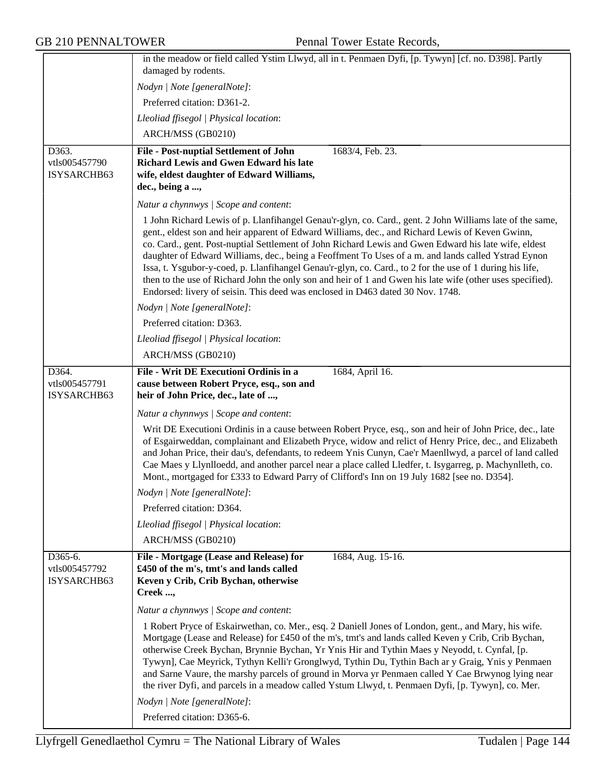|                                         | in the meadow or field called Ystim Llwyd, all in t. Penmaen Dyfi, [p. Tywyn] [cf. no. D398]. Partly                                                                                                                                                                                                                                                                                                                                                                                                                                                                                                                                                                                                                                 |
|-----------------------------------------|--------------------------------------------------------------------------------------------------------------------------------------------------------------------------------------------------------------------------------------------------------------------------------------------------------------------------------------------------------------------------------------------------------------------------------------------------------------------------------------------------------------------------------------------------------------------------------------------------------------------------------------------------------------------------------------------------------------------------------------|
|                                         | damaged by rodents.                                                                                                                                                                                                                                                                                                                                                                                                                                                                                                                                                                                                                                                                                                                  |
|                                         | Nodyn   Note [generalNote]:                                                                                                                                                                                                                                                                                                                                                                                                                                                                                                                                                                                                                                                                                                          |
|                                         | Preferred citation: D361-2.                                                                                                                                                                                                                                                                                                                                                                                                                                                                                                                                                                                                                                                                                                          |
|                                         | Lleoliad ffisegol   Physical location:                                                                                                                                                                                                                                                                                                                                                                                                                                                                                                                                                                                                                                                                                               |
|                                         | ARCH/MSS (GB0210)                                                                                                                                                                                                                                                                                                                                                                                                                                                                                                                                                                                                                                                                                                                    |
| D363.                                   | <b>File - Post-nuptial Settlement of John</b><br>1683/4, Feb. 23.<br><b>Richard Lewis and Gwen Edward his late</b>                                                                                                                                                                                                                                                                                                                                                                                                                                                                                                                                                                                                                   |
| vtls005457790<br>ISYSARCHB63            | wife, eldest daughter of Edward Williams,                                                                                                                                                                                                                                                                                                                                                                                                                                                                                                                                                                                                                                                                                            |
|                                         | dec., being a ,                                                                                                                                                                                                                                                                                                                                                                                                                                                                                                                                                                                                                                                                                                                      |
|                                         | Natur a chynnwys / Scope and content:                                                                                                                                                                                                                                                                                                                                                                                                                                                                                                                                                                                                                                                                                                |
|                                         | 1 John Richard Lewis of p. Llanfihangel Genau'r-glyn, co. Card., gent. 2 John Williams late of the same,<br>gent., eldest son and heir apparent of Edward Williams, dec., and Richard Lewis of Keven Gwinn,<br>co. Card., gent. Post-nuptial Settlement of John Richard Lewis and Gwen Edward his late wife, eldest<br>daughter of Edward Williams, dec., being a Feoffment To Uses of a m. and lands called Ystrad Eynon<br>Issa, t. Ysgubor-y-coed, p. Llanfihangel Genau'r-glyn, co. Card., to 2 for the use of 1 during his life,<br>then to the use of Richard John the only son and heir of 1 and Gwen his late wife (other uses specified).<br>Endorsed: livery of seisin. This deed was enclosed in D463 dated 30 Nov. 1748. |
|                                         | Nodyn   Note [generalNote]:                                                                                                                                                                                                                                                                                                                                                                                                                                                                                                                                                                                                                                                                                                          |
|                                         | Preferred citation: D363.                                                                                                                                                                                                                                                                                                                                                                                                                                                                                                                                                                                                                                                                                                            |
|                                         | Lleoliad ffisegol   Physical location:                                                                                                                                                                                                                                                                                                                                                                                                                                                                                                                                                                                                                                                                                               |
|                                         | ARCH/MSS (GB0210)                                                                                                                                                                                                                                                                                                                                                                                                                                                                                                                                                                                                                                                                                                                    |
| D364.                                   | File - Writ DE Executioni Ordinis in a<br>1684, April 16.                                                                                                                                                                                                                                                                                                                                                                                                                                                                                                                                                                                                                                                                            |
| vtls005457791<br>ISYSARCHB63            | cause between Robert Pryce, esq., son and<br>heir of John Price, dec., late of ,                                                                                                                                                                                                                                                                                                                                                                                                                                                                                                                                                                                                                                                     |
|                                         | Natur a chynnwys / Scope and content:                                                                                                                                                                                                                                                                                                                                                                                                                                                                                                                                                                                                                                                                                                |
|                                         | Writ DE Executioni Ordinis in a cause between Robert Pryce, esq., son and heir of John Price, dec., late<br>of Esgairweddan, complainant and Elizabeth Pryce, widow and relict of Henry Price, dec., and Elizabeth<br>and Johan Price, their dau's, defendants, to redeem Ynis Cunyn, Cae'r Maenllwyd, a parcel of land called<br>Cae Maes y Llynlloedd, and another parcel near a place called Lledfer, t. Isygarreg, p. Machynlleth, co.<br>Mont., mortgaged for £333 to Edward Parry of Clifford's Inn on 19 July 1682 [see no. D354].                                                                                                                                                                                            |
|                                         | Nodyn   Note [generalNote]:                                                                                                                                                                                                                                                                                                                                                                                                                                                                                                                                                                                                                                                                                                          |
|                                         | Preferred citation: D364.                                                                                                                                                                                                                                                                                                                                                                                                                                                                                                                                                                                                                                                                                                            |
|                                         | Lleoliad ffisegol   Physical location:                                                                                                                                                                                                                                                                                                                                                                                                                                                                                                                                                                                                                                                                                               |
|                                         | ARCH/MSS (GB0210)                                                                                                                                                                                                                                                                                                                                                                                                                                                                                                                                                                                                                                                                                                                    |
| D365-6.<br>vtls005457792<br>ISYSARCHB63 | File - Mortgage (Lease and Release) for<br>1684, Aug. 15-16.<br>£450 of the m's, tmt's and lands called<br>Keven y Crib, Crib Bychan, otherwise<br>Creek ,                                                                                                                                                                                                                                                                                                                                                                                                                                                                                                                                                                           |
|                                         | Natur a chynnwys / Scope and content:                                                                                                                                                                                                                                                                                                                                                                                                                                                                                                                                                                                                                                                                                                |
|                                         | 1 Robert Pryce of Eskairwethan, co. Mer., esq. 2 Daniell Jones of London, gent., and Mary, his wife.<br>Mortgage (Lease and Release) for £450 of the m's, tmt's and lands called Keven y Crib, Crib Bychan,<br>otherwise Creek Bychan, Brynnie Bychan, Yr Ynis Hir and Tythin Maes y Neyodd, t. Cynfal, [p.<br>Tywyn], Cae Meyrick, Tythyn Kelli'r Gronglwyd, Tythin Du, Tythin Bach ar y Graig, Ynis y Penmaen<br>and Sarne Vaure, the marshy parcels of ground in Morva yr Penmaen called Y Cae Brwynog lying near<br>the river Dyfi, and parcels in a meadow called Ystum Llwyd, t. Penmaen Dyfi, [p. Tywyn], co. Mer.                                                                                                            |
|                                         | Nodyn   Note [generalNote]:                                                                                                                                                                                                                                                                                                                                                                                                                                                                                                                                                                                                                                                                                                          |
|                                         | Preferred citation: D365-6.                                                                                                                                                                                                                                                                                                                                                                                                                                                                                                                                                                                                                                                                                                          |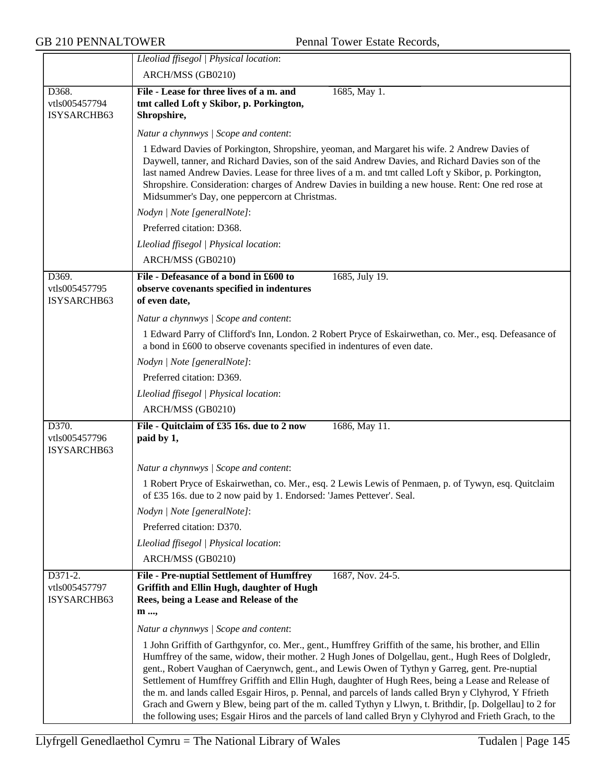|                                         | Lleoliad ffisegol   Physical location:                                                                                                                                                                                                                                                                                                                                                                                                                                                                                                                                                                                                                                                                                                                     |
|-----------------------------------------|------------------------------------------------------------------------------------------------------------------------------------------------------------------------------------------------------------------------------------------------------------------------------------------------------------------------------------------------------------------------------------------------------------------------------------------------------------------------------------------------------------------------------------------------------------------------------------------------------------------------------------------------------------------------------------------------------------------------------------------------------------|
|                                         | ARCH/MSS (GB0210)                                                                                                                                                                                                                                                                                                                                                                                                                                                                                                                                                                                                                                                                                                                                          |
| D368.<br>vtls005457794<br>ISYSARCHB63   | File - Lease for three lives of a m. and<br>1685, May 1.<br>tmt called Loft y Skibor, p. Porkington,<br>Shropshire,                                                                                                                                                                                                                                                                                                                                                                                                                                                                                                                                                                                                                                        |
|                                         | Natur a chynnwys / Scope and content:                                                                                                                                                                                                                                                                                                                                                                                                                                                                                                                                                                                                                                                                                                                      |
|                                         | 1 Edward Davies of Porkington, Shropshire, yeoman, and Margaret his wife. 2 Andrew Davies of<br>Daywell, tanner, and Richard Davies, son of the said Andrew Davies, and Richard Davies son of the<br>last named Andrew Davies. Lease for three lives of a m. and tmt called Loft y Skibor, p. Porkington,<br>Shropshire. Consideration: charges of Andrew Davies in building a new house. Rent: One red rose at<br>Midsummer's Day, one peppercorn at Christmas.                                                                                                                                                                                                                                                                                           |
|                                         | Nodyn   Note [generalNote]:                                                                                                                                                                                                                                                                                                                                                                                                                                                                                                                                                                                                                                                                                                                                |
|                                         | Preferred citation: D368.                                                                                                                                                                                                                                                                                                                                                                                                                                                                                                                                                                                                                                                                                                                                  |
|                                         | Lleoliad ffisegol   Physical location:                                                                                                                                                                                                                                                                                                                                                                                                                                                                                                                                                                                                                                                                                                                     |
|                                         | ARCH/MSS (GB0210)                                                                                                                                                                                                                                                                                                                                                                                                                                                                                                                                                                                                                                                                                                                                          |
| D369.<br>vtls005457795<br>ISYSARCHB63   | File - Defeasance of a bond in £600 to<br>1685, July 19.<br>observe covenants specified in indentures<br>of even date,                                                                                                                                                                                                                                                                                                                                                                                                                                                                                                                                                                                                                                     |
|                                         | Natur a chynnwys / Scope and content:                                                                                                                                                                                                                                                                                                                                                                                                                                                                                                                                                                                                                                                                                                                      |
|                                         | 1 Edward Parry of Clifford's Inn, London. 2 Robert Pryce of Eskairwethan, co. Mer., esq. Defeasance of<br>a bond in £600 to observe covenants specified in indentures of even date.                                                                                                                                                                                                                                                                                                                                                                                                                                                                                                                                                                        |
|                                         | Nodyn   Note [generalNote]:                                                                                                                                                                                                                                                                                                                                                                                                                                                                                                                                                                                                                                                                                                                                |
|                                         | Preferred citation: D369.                                                                                                                                                                                                                                                                                                                                                                                                                                                                                                                                                                                                                                                                                                                                  |
|                                         | Lleoliad ffisegol   Physical location:                                                                                                                                                                                                                                                                                                                                                                                                                                                                                                                                                                                                                                                                                                                     |
|                                         | ARCH/MSS (GB0210)                                                                                                                                                                                                                                                                                                                                                                                                                                                                                                                                                                                                                                                                                                                                          |
| D370.<br>vtls005457796<br>ISYSARCHB63   | File - Quitclaim of £35 16s. due to 2 now<br>1686, May 11.<br>paid by 1,                                                                                                                                                                                                                                                                                                                                                                                                                                                                                                                                                                                                                                                                                   |
|                                         | Natur a chynnwys / Scope and content:                                                                                                                                                                                                                                                                                                                                                                                                                                                                                                                                                                                                                                                                                                                      |
|                                         | 1 Robert Pryce of Eskairwethan, co. Mer., esq. 2 Lewis Lewis of Penmaen, p. of Tywyn, esq. Quitclaim<br>of £35 16s. due to 2 now paid by 1. Endorsed: 'James Pettever'. Seal.                                                                                                                                                                                                                                                                                                                                                                                                                                                                                                                                                                              |
|                                         | Nodyn   Note [generalNote]:                                                                                                                                                                                                                                                                                                                                                                                                                                                                                                                                                                                                                                                                                                                                |
|                                         | Preferred citation: D370.                                                                                                                                                                                                                                                                                                                                                                                                                                                                                                                                                                                                                                                                                                                                  |
|                                         | Lleoliad ffisegol   Physical location:                                                                                                                                                                                                                                                                                                                                                                                                                                                                                                                                                                                                                                                                                                                     |
|                                         | ARCH/MSS (GB0210)                                                                                                                                                                                                                                                                                                                                                                                                                                                                                                                                                                                                                                                                                                                                          |
| D371-2.<br>vtls005457797<br>ISYSARCHB63 | <b>File - Pre-nuptial Settlement of Humffrey</b><br>1687, Nov. 24-5.<br>Griffith and Ellin Hugh, daughter of Hugh<br>Rees, being a Lease and Release of the<br>m ,                                                                                                                                                                                                                                                                                                                                                                                                                                                                                                                                                                                         |
|                                         | Natur a chynnwys / Scope and content:                                                                                                                                                                                                                                                                                                                                                                                                                                                                                                                                                                                                                                                                                                                      |
|                                         | 1 John Griffith of Garthgynfor, co. Mer., gent., Humffrey Griffith of the same, his brother, and Ellin<br>Humffrey of the same, widow, their mother. 2 Hugh Jones of Dolgellau, gent., Hugh Rees of Dolgledr,<br>gent., Robert Vaughan of Caerynwch, gent., and Lewis Owen of Tythyn y Garreg, gent. Pre-nuptial<br>Settlement of Humffrey Griffith and Ellin Hugh, daughter of Hugh Rees, being a Lease and Release of<br>the m. and lands called Esgair Hiros, p. Pennal, and parcels of lands called Bryn y Clyhyrod, Y Ffrieth<br>Grach and Gwern y Blew, being part of the m. called Tythyn y Llwyn, t. Brithdir, [p. Dolgellau] to 2 for<br>the following uses; Esgair Hiros and the parcels of land called Bryn y Clyhyrod and Frieth Grach, to the |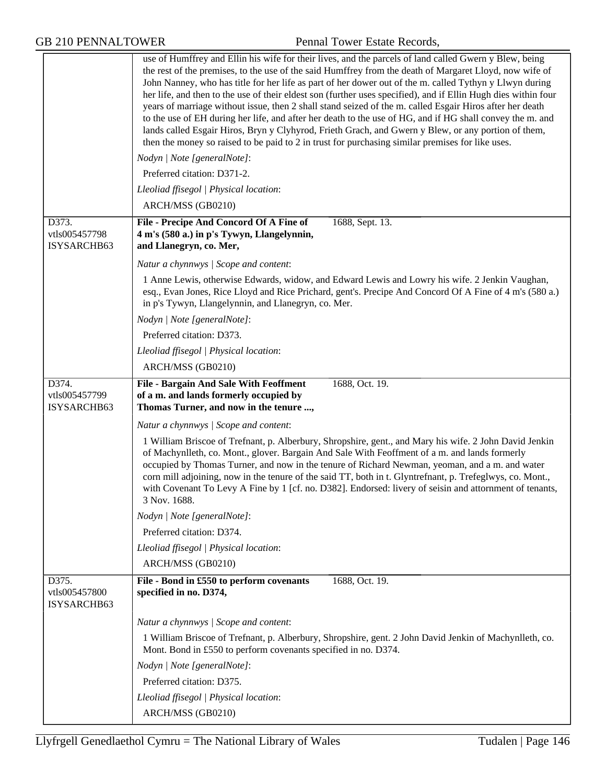|                                       | use of Humffrey and Ellin his wife for their lives, and the parcels of land called Gwern y Blew, being<br>the rest of the premises, to the use of the said Humffrey from the death of Margaret Lloyd, now wife of<br>John Nanney, who has title for her life as part of her dower out of the m. called Tythyn y Llwyn during<br>her life, and then to the use of their eldest son (further uses specified), and if Ellin Hugh dies within four<br>years of marriage without issue, then 2 shall stand seized of the m. called Esgair Hiros after her death<br>to the use of EH during her life, and after her death to the use of HG, and if HG shall convey the m. and<br>lands called Esgair Hiros, Bryn y Clyhyrod, Frieth Grach, and Gwern y Blew, or any portion of them,<br>then the money so raised to be paid to 2 in trust for purchasing similar premises for like uses. |
|---------------------------------------|------------------------------------------------------------------------------------------------------------------------------------------------------------------------------------------------------------------------------------------------------------------------------------------------------------------------------------------------------------------------------------------------------------------------------------------------------------------------------------------------------------------------------------------------------------------------------------------------------------------------------------------------------------------------------------------------------------------------------------------------------------------------------------------------------------------------------------------------------------------------------------|
|                                       | Nodyn   Note [generalNote]:                                                                                                                                                                                                                                                                                                                                                                                                                                                                                                                                                                                                                                                                                                                                                                                                                                                        |
|                                       | Preferred citation: D371-2.                                                                                                                                                                                                                                                                                                                                                                                                                                                                                                                                                                                                                                                                                                                                                                                                                                                        |
|                                       | Lleoliad ffisegol   Physical location:                                                                                                                                                                                                                                                                                                                                                                                                                                                                                                                                                                                                                                                                                                                                                                                                                                             |
|                                       | ARCH/MSS (GB0210)                                                                                                                                                                                                                                                                                                                                                                                                                                                                                                                                                                                                                                                                                                                                                                                                                                                                  |
| D373.<br>vtls005457798<br>ISYSARCHB63 | File - Precipe And Concord Of A Fine of<br>1688, Sept. 13.<br>4 m's (580 a.) in p's Tywyn, Llangelynnin,<br>and Llanegryn, co. Mer,                                                                                                                                                                                                                                                                                                                                                                                                                                                                                                                                                                                                                                                                                                                                                |
|                                       | Natur a chynnwys / Scope and content:                                                                                                                                                                                                                                                                                                                                                                                                                                                                                                                                                                                                                                                                                                                                                                                                                                              |
|                                       | 1 Anne Lewis, otherwise Edwards, widow, and Edward Lewis and Lowry his wife. 2 Jenkin Vaughan,<br>esq., Evan Jones, Rice Lloyd and Rice Prichard, gent's. Precipe And Concord Of A Fine of 4 m's (580 a.)<br>in p's Tywyn, Llangelynnin, and Llanegryn, co. Mer.                                                                                                                                                                                                                                                                                                                                                                                                                                                                                                                                                                                                                   |
|                                       | Nodyn   Note [generalNote]:                                                                                                                                                                                                                                                                                                                                                                                                                                                                                                                                                                                                                                                                                                                                                                                                                                                        |
|                                       | Preferred citation: D373.                                                                                                                                                                                                                                                                                                                                                                                                                                                                                                                                                                                                                                                                                                                                                                                                                                                          |
|                                       | Lleoliad ffisegol   Physical location:                                                                                                                                                                                                                                                                                                                                                                                                                                                                                                                                                                                                                                                                                                                                                                                                                                             |
|                                       | ARCH/MSS (GB0210)                                                                                                                                                                                                                                                                                                                                                                                                                                                                                                                                                                                                                                                                                                                                                                                                                                                                  |
| D374.<br>vtls005457799<br>ISYSARCHB63 | <b>File - Bargain And Sale With Feoffment</b><br>1688, Oct. 19.<br>of a m. and lands formerly occupied by<br>Thomas Turner, and now in the tenure ,                                                                                                                                                                                                                                                                                                                                                                                                                                                                                                                                                                                                                                                                                                                                |
|                                       | Natur a chynnwys / Scope and content:                                                                                                                                                                                                                                                                                                                                                                                                                                                                                                                                                                                                                                                                                                                                                                                                                                              |
|                                       | 1 William Briscoe of Trefnant, p. Alberbury, Shropshire, gent., and Mary his wife. 2 John David Jenkin<br>of Machynlleth, co. Mont., glover. Bargain And Sale With Feoffment of a m. and lands formerly<br>occupied by Thomas Turner, and now in the tenure of Richard Newman, yeoman, and a m. and water<br>corn mill adjoining, now in the tenure of the said TT, both in t. Glyntrefnant, p. Trefeglwys, co. Mont.,<br>with Covenant To Levy A Fine by 1 [cf. no. D382]. Endorsed: livery of seisin and attornment of tenants,<br>3 Nov. 1688.                                                                                                                                                                                                                                                                                                                                  |
|                                       | Nodyn   Note [generalNote]:                                                                                                                                                                                                                                                                                                                                                                                                                                                                                                                                                                                                                                                                                                                                                                                                                                                        |
|                                       | Preferred citation: D374.                                                                                                                                                                                                                                                                                                                                                                                                                                                                                                                                                                                                                                                                                                                                                                                                                                                          |
|                                       | Lleoliad ffisegol   Physical location:                                                                                                                                                                                                                                                                                                                                                                                                                                                                                                                                                                                                                                                                                                                                                                                                                                             |
|                                       | ARCH/MSS (GB0210)                                                                                                                                                                                                                                                                                                                                                                                                                                                                                                                                                                                                                                                                                                                                                                                                                                                                  |
| D375.<br>vtls005457800<br>ISYSARCHB63 | File - Bond in £550 to perform covenants<br>1688, Oct. 19.<br>specified in no. D374,                                                                                                                                                                                                                                                                                                                                                                                                                                                                                                                                                                                                                                                                                                                                                                                               |
|                                       | Natur a chynnwys / Scope and content:                                                                                                                                                                                                                                                                                                                                                                                                                                                                                                                                                                                                                                                                                                                                                                                                                                              |
|                                       | 1 William Briscoe of Trefnant, p. Alberbury, Shropshire, gent. 2 John David Jenkin of Machynlleth, co.<br>Mont. Bond in £550 to perform covenants specified in no. D374.                                                                                                                                                                                                                                                                                                                                                                                                                                                                                                                                                                                                                                                                                                           |
|                                       | Nodyn   Note [generalNote]:                                                                                                                                                                                                                                                                                                                                                                                                                                                                                                                                                                                                                                                                                                                                                                                                                                                        |
|                                       | Preferred citation: D375.                                                                                                                                                                                                                                                                                                                                                                                                                                                                                                                                                                                                                                                                                                                                                                                                                                                          |
|                                       | Lleoliad ffisegol   Physical location:<br>ARCH/MSS (GB0210)                                                                                                                                                                                                                                                                                                                                                                                                                                                                                                                                                                                                                                                                                                                                                                                                                        |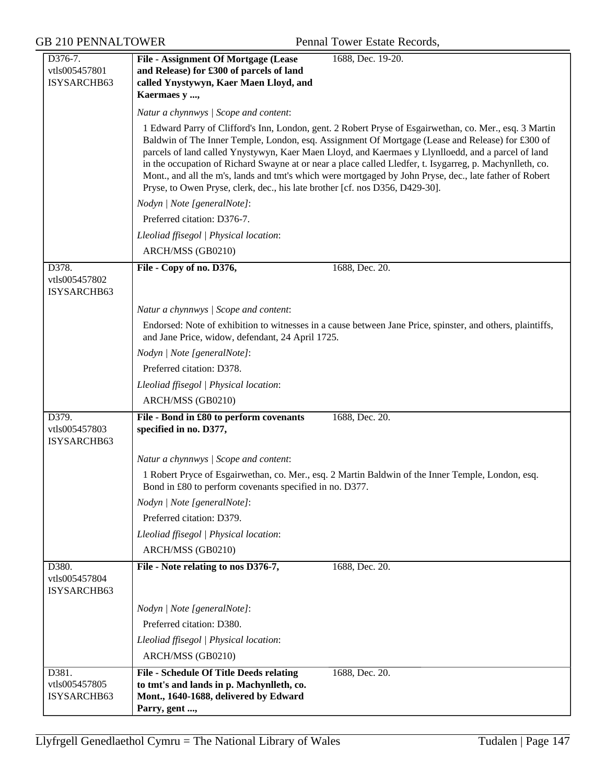| D376-7.<br>vtls005457801<br>ISYSARCHB63 | <b>File - Assignment Of Mortgage (Lease</b><br>1688, Dec. 19-20.<br>and Release) for £300 of parcels of land<br>called Ynystywyn, Kaer Maen Lloyd, and                                                                                                                                                                                                                                                                                                                                                                                                                                                                   |
|-----------------------------------------|--------------------------------------------------------------------------------------------------------------------------------------------------------------------------------------------------------------------------------------------------------------------------------------------------------------------------------------------------------------------------------------------------------------------------------------------------------------------------------------------------------------------------------------------------------------------------------------------------------------------------|
|                                         | Kaermaes y ,                                                                                                                                                                                                                                                                                                                                                                                                                                                                                                                                                                                                             |
|                                         | Natur a chynnwys / Scope and content:                                                                                                                                                                                                                                                                                                                                                                                                                                                                                                                                                                                    |
|                                         | 1 Edward Parry of Clifford's Inn, London, gent. 2 Robert Pryse of Esgairwethan, co. Mer., esq. 3 Martin<br>Baldwin of The Inner Temple, London, esq. Assignment Of Mortgage (Lease and Release) for £300 of<br>parcels of land called Ynystywyn, Kaer Maen Lloyd, and Kaermaes y Llynlloedd, and a parcel of land<br>in the occupation of Richard Swayne at or near a place called Lledfer, t. Isygarreg, p. Machynlleth, co.<br>Mont., and all the m's, lands and tmt's which were mortgaged by John Pryse, dec., late father of Robert<br>Pryse, to Owen Pryse, clerk, dec., his late brother [cf. nos D356, D429-30]. |
|                                         | Nodyn   Note [generalNote]:                                                                                                                                                                                                                                                                                                                                                                                                                                                                                                                                                                                              |
|                                         | Preferred citation: D376-7.                                                                                                                                                                                                                                                                                                                                                                                                                                                                                                                                                                                              |
|                                         | Lleoliad ffisegol   Physical location:                                                                                                                                                                                                                                                                                                                                                                                                                                                                                                                                                                                   |
|                                         | ARCH/MSS (GB0210)                                                                                                                                                                                                                                                                                                                                                                                                                                                                                                                                                                                                        |
| D378.<br>vtls005457802<br>ISYSARCHB63   | 1688, Dec. 20.<br>File - Copy of no. D376,                                                                                                                                                                                                                                                                                                                                                                                                                                                                                                                                                                               |
|                                         | Natur a chynnwys / Scope and content:                                                                                                                                                                                                                                                                                                                                                                                                                                                                                                                                                                                    |
|                                         | Endorsed: Note of exhibition to witnesses in a cause between Jane Price, spinster, and others, plaintiffs,<br>and Jane Price, widow, defendant, 24 April 1725.                                                                                                                                                                                                                                                                                                                                                                                                                                                           |
|                                         | Nodyn   Note [generalNote]:                                                                                                                                                                                                                                                                                                                                                                                                                                                                                                                                                                                              |
|                                         | Preferred citation: D378.                                                                                                                                                                                                                                                                                                                                                                                                                                                                                                                                                                                                |
|                                         | Lleoliad ffisegol   Physical location:                                                                                                                                                                                                                                                                                                                                                                                                                                                                                                                                                                                   |
|                                         | ARCH/MSS (GB0210)                                                                                                                                                                                                                                                                                                                                                                                                                                                                                                                                                                                                        |
| D379.<br>vtls005457803<br>ISYSARCHB63   | File - Bond in £80 to perform covenants<br>1688, Dec. 20.<br>specified in no. D377,                                                                                                                                                                                                                                                                                                                                                                                                                                                                                                                                      |
|                                         | Natur a chynnwys / Scope and content:                                                                                                                                                                                                                                                                                                                                                                                                                                                                                                                                                                                    |
|                                         | 1 Robert Pryce of Esgairwethan, co. Mer., esq. 2 Martin Baldwin of the Inner Temple, London, esq.<br>Bond in £80 to perform covenants specified in no. D377.                                                                                                                                                                                                                                                                                                                                                                                                                                                             |
|                                         | Nodyn   Note [generalNote]:                                                                                                                                                                                                                                                                                                                                                                                                                                                                                                                                                                                              |
|                                         | Preferred citation: D379.                                                                                                                                                                                                                                                                                                                                                                                                                                                                                                                                                                                                |
|                                         | Lleoliad ffisegol   Physical location:                                                                                                                                                                                                                                                                                                                                                                                                                                                                                                                                                                                   |
|                                         | ARCH/MSS (GB0210)                                                                                                                                                                                                                                                                                                                                                                                                                                                                                                                                                                                                        |
| D380.<br>vtls005457804<br>ISYSARCHB63   | File - Note relating to nos D376-7,<br>1688, Dec. 20.                                                                                                                                                                                                                                                                                                                                                                                                                                                                                                                                                                    |
|                                         | Nodyn   Note [generalNote]:                                                                                                                                                                                                                                                                                                                                                                                                                                                                                                                                                                                              |
|                                         | Preferred citation: D380.                                                                                                                                                                                                                                                                                                                                                                                                                                                                                                                                                                                                |
|                                         | Lleoliad ffisegol   Physical location:                                                                                                                                                                                                                                                                                                                                                                                                                                                                                                                                                                                   |
|                                         | ARCH/MSS (GB0210)                                                                                                                                                                                                                                                                                                                                                                                                                                                                                                                                                                                                        |
| D381.<br>vtls005457805<br>ISYSARCHB63   | <b>File - Schedule Of Title Deeds relating</b><br>1688, Dec. 20.<br>to tmt's and lands in p. Machynlleth, co.<br>Mont., 1640-1688, delivered by Edward<br>Parry, gent ,                                                                                                                                                                                                                                                                                                                                                                                                                                                  |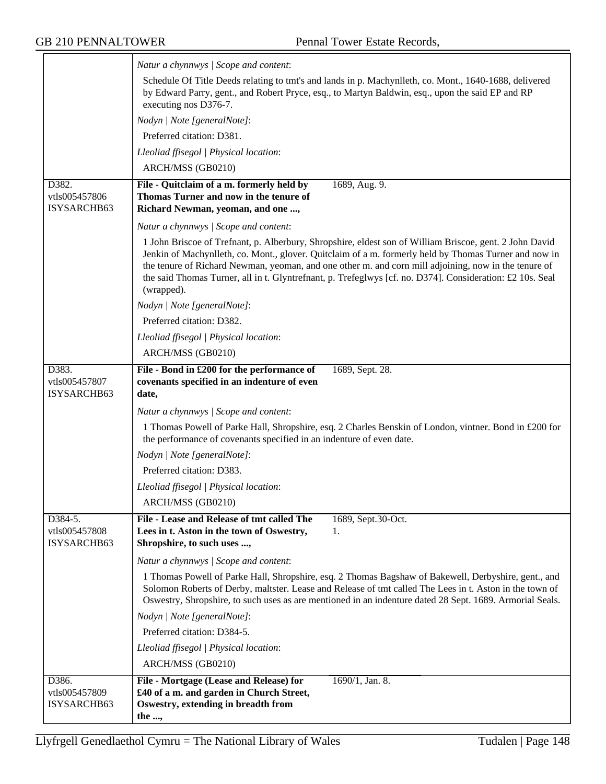|                                         | Natur a chynnwys / Scope and content:                                                                                                                                                                                                                                                                                                                                                                                                               |
|-----------------------------------------|-----------------------------------------------------------------------------------------------------------------------------------------------------------------------------------------------------------------------------------------------------------------------------------------------------------------------------------------------------------------------------------------------------------------------------------------------------|
|                                         | Schedule Of Title Deeds relating to tmt's and lands in p. Machynlleth, co. Mont., 1640-1688, delivered<br>by Edward Parry, gent., and Robert Pryce, esq., to Martyn Baldwin, esq., upon the said EP and RP<br>executing nos D376-7.                                                                                                                                                                                                                 |
|                                         | Nodyn   Note [generalNote]:                                                                                                                                                                                                                                                                                                                                                                                                                         |
|                                         | Preferred citation: D381.                                                                                                                                                                                                                                                                                                                                                                                                                           |
|                                         | Lleoliad ffisegol   Physical location:                                                                                                                                                                                                                                                                                                                                                                                                              |
|                                         | ARCH/MSS (GB0210)                                                                                                                                                                                                                                                                                                                                                                                                                                   |
| D382.<br>vtls005457806<br>ISYSARCHB63   | File - Quitclaim of a m. formerly held by<br>1689, Aug. 9.<br>Thomas Turner and now in the tenure of<br>Richard Newman, yeoman, and one ,                                                                                                                                                                                                                                                                                                           |
|                                         | Natur a chynnwys / Scope and content:                                                                                                                                                                                                                                                                                                                                                                                                               |
|                                         | 1 John Briscoe of Trefnant, p. Alberbury, Shropshire, eldest son of William Briscoe, gent. 2 John David<br>Jenkin of Machynlleth, co. Mont., glover. Quitclaim of a m. formerly held by Thomas Turner and now in<br>the tenure of Richard Newman, yeoman, and one other m. and corn mill adjoining, now in the tenure of<br>the said Thomas Turner, all in t. Glyntrefnant, p. Trefeglwys [cf. no. D374]. Consideration: £2 10s. Seal<br>(wrapped). |
|                                         | Nodyn   Note [generalNote]:                                                                                                                                                                                                                                                                                                                                                                                                                         |
|                                         | Preferred citation: D382.                                                                                                                                                                                                                                                                                                                                                                                                                           |
|                                         | Lleoliad ffisegol   Physical location:                                                                                                                                                                                                                                                                                                                                                                                                              |
|                                         | ARCH/MSS (GB0210)                                                                                                                                                                                                                                                                                                                                                                                                                                   |
| D383.<br>vtls005457807<br>ISYSARCHB63   | File - Bond in £200 for the performance of<br>1689, Sept. 28.<br>covenants specified in an indenture of even<br>date,                                                                                                                                                                                                                                                                                                                               |
|                                         | Natur a chynnwys / Scope and content:                                                                                                                                                                                                                                                                                                                                                                                                               |
|                                         | 1 Thomas Powell of Parke Hall, Shropshire, esq. 2 Charles Benskin of London, vintner. Bond in £200 for<br>the performance of covenants specified in an indenture of even date.                                                                                                                                                                                                                                                                      |
|                                         | Nodyn   Note [generalNote]:                                                                                                                                                                                                                                                                                                                                                                                                                         |
|                                         | Preferred citation: D383.                                                                                                                                                                                                                                                                                                                                                                                                                           |
|                                         | Lleoliad ffisegol   Physical location:                                                                                                                                                                                                                                                                                                                                                                                                              |
|                                         | ARCH/MSS (GB0210)                                                                                                                                                                                                                                                                                                                                                                                                                                   |
| D384-5.<br>vtls005457808<br>ISYSARCHB63 | File - Lease and Release of tmt called The<br>1689, Sept.30-Oct.<br>Lees in t. Aston in the town of Oswestry,<br>1.<br>Shropshire, to such uses ,                                                                                                                                                                                                                                                                                                   |
|                                         | Natur a chynnwys / Scope and content:                                                                                                                                                                                                                                                                                                                                                                                                               |
|                                         | 1 Thomas Powell of Parke Hall, Shropshire, esq. 2 Thomas Bagshaw of Bakewell, Derbyshire, gent., and<br>Solomon Roberts of Derby, maltster. Lease and Release of tmt called The Lees in t. Aston in the town of<br>Oswestry, Shropshire, to such uses as are mentioned in an indenture dated 28 Sept. 1689. Armorial Seals.                                                                                                                         |
|                                         | Nodyn   Note [generalNote]:                                                                                                                                                                                                                                                                                                                                                                                                                         |
|                                         | Preferred citation: D384-5.                                                                                                                                                                                                                                                                                                                                                                                                                         |
|                                         | Lleoliad ffisegol   Physical location:                                                                                                                                                                                                                                                                                                                                                                                                              |
|                                         | ARCH/MSS (GB0210)                                                                                                                                                                                                                                                                                                                                                                                                                                   |
| D386.                                   | 1690/1, Jan. 8.<br>File - Mortgage (Lease and Release) for                                                                                                                                                                                                                                                                                                                                                                                          |
| vtls005457809<br>ISYSARCHB63            | £40 of a m. and garden in Church Street,                                                                                                                                                                                                                                                                                                                                                                                                            |
|                                         | Oswestry, extending in breadth from                                                                                                                                                                                                                                                                                                                                                                                                                 |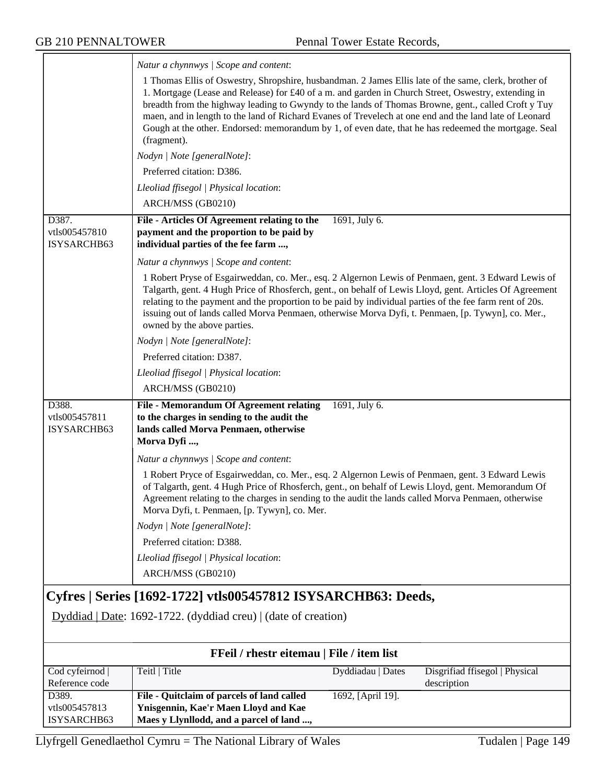$\overline{\phantom{0}}$ 

|                                       | Natur a chynnwys / Scope and content:                                                                                                                                                                                                                                                                                                                                                                                                                                                                                                                |
|---------------------------------------|------------------------------------------------------------------------------------------------------------------------------------------------------------------------------------------------------------------------------------------------------------------------------------------------------------------------------------------------------------------------------------------------------------------------------------------------------------------------------------------------------------------------------------------------------|
|                                       | 1 Thomas Ellis of Oswestry, Shropshire, husbandman. 2 James Ellis late of the same, clerk, brother of<br>1. Mortgage (Lease and Release) for £40 of a m. and garden in Church Street, Oswestry, extending in<br>breadth from the highway leading to Gwyndy to the lands of Thomas Browne, gent., called Croft y Tuy<br>maen, and in length to the land of Richard Evanes of Trevelech at one end and the land late of Leonard<br>Gough at the other. Endorsed: memorandum by 1, of even date, that he has redeemed the mortgage. Seal<br>(fragment). |
|                                       | Nodyn   Note [generalNote]:                                                                                                                                                                                                                                                                                                                                                                                                                                                                                                                          |
|                                       | Preferred citation: D386.                                                                                                                                                                                                                                                                                                                                                                                                                                                                                                                            |
|                                       | Lleoliad ffisegol   Physical location:                                                                                                                                                                                                                                                                                                                                                                                                                                                                                                               |
|                                       | ARCH/MSS (GB0210)                                                                                                                                                                                                                                                                                                                                                                                                                                                                                                                                    |
| D387.<br>vtls005457810<br>ISYSARCHB63 | File - Articles Of Agreement relating to the<br>1691, July 6.<br>payment and the proportion to be paid by<br>individual parties of the fee farm ,                                                                                                                                                                                                                                                                                                                                                                                                    |
|                                       | Natur a chynnwys / Scope and content:                                                                                                                                                                                                                                                                                                                                                                                                                                                                                                                |
|                                       | 1 Robert Pryse of Esgairweddan, co. Mer., esq. 2 Algernon Lewis of Penmaen, gent. 3 Edward Lewis of<br>Talgarth, gent. 4 Hugh Price of Rhosferch, gent., on behalf of Lewis Lloyd, gent. Articles Of Agreement<br>relating to the payment and the proportion to be paid by individual parties of the fee farm rent of 20s.<br>issuing out of lands called Morva Penmaen, otherwise Morva Dyfi, t. Penmaen, [p. Tywyn], co. Mer.,<br>owned by the above parties.                                                                                      |
|                                       | Nodyn   Note [generalNote]:                                                                                                                                                                                                                                                                                                                                                                                                                                                                                                                          |
|                                       | Preferred citation: D387.                                                                                                                                                                                                                                                                                                                                                                                                                                                                                                                            |
|                                       | Lleoliad ffisegol   Physical location:                                                                                                                                                                                                                                                                                                                                                                                                                                                                                                               |
|                                       | ARCH/MSS (GB0210)                                                                                                                                                                                                                                                                                                                                                                                                                                                                                                                                    |
| D388.<br>vtls005457811<br>ISYSARCHB63 | File - Memorandum Of Agreement relating<br>1691, July 6.<br>to the charges in sending to the audit the<br>lands called Morva Penmaen, otherwise<br>Morva Dyfi ,                                                                                                                                                                                                                                                                                                                                                                                      |
|                                       | Natur a chynnwys / Scope and content:                                                                                                                                                                                                                                                                                                                                                                                                                                                                                                                |
|                                       | 1 Robert Pryce of Esgairweddan, co. Mer., esq. 2 Algernon Lewis of Penmaen, gent. 3 Edward Lewis<br>of Talgarth, gent. 4 Hugh Price of Rhosferch, gent., on behalf of Lewis Lloyd, gent. Memorandum Of<br>Agreement relating to the charges in sending to the audit the lands called Morva Penmaen, otherwise<br>Morva Dyfi, t. Penmaen, [p. Tywyn], co. Mer.                                                                                                                                                                                        |
|                                       | Nodyn   Note [generalNote]:                                                                                                                                                                                                                                                                                                                                                                                                                                                                                                                          |
|                                       | Preferred citation: D388.                                                                                                                                                                                                                                                                                                                                                                                                                                                                                                                            |
|                                       | Lleoliad ffisegol   Physical location:                                                                                                                                                                                                                                                                                                                                                                                                                                                                                                               |
|                                       | ARCH/MSS (GB0210)                                                                                                                                                                                                                                                                                                                                                                                                                                                                                                                                    |
|                                       | Cyfres   Series [1692-1722] vtls005457812 ISYSARCHB63: Deeds,                                                                                                                                                                                                                                                                                                                                                                                                                                                                                        |
|                                       | Dyddiad   Date: 1692-1722. (dyddiad creu)   (date of creation)                                                                                                                                                                                                                                                                                                                                                                                                                                                                                       |
|                                       | FFeil / rhestr eitemau   File / item list                                                                                                                                                                                                                                                                                                                                                                                                                                                                                                            |
| Cod cyfeirnod  <br>Reference code     | Teitl   Title<br>Dyddiadau   Dates<br>Disgrifiad ffisegol   Physical<br>description                                                                                                                                                                                                                                                                                                                                                                                                                                                                  |
| D389.<br>vtls005457813<br>ISYSARCHB63 | File - Quitclaim of parcels of land called<br>1692, [April 19].<br>Ynisgennin, Kae'r Maen Lloyd and Kae<br>Maes y Llynllodd, and a parcel of land ,                                                                                                                                                                                                                                                                                                                                                                                                  |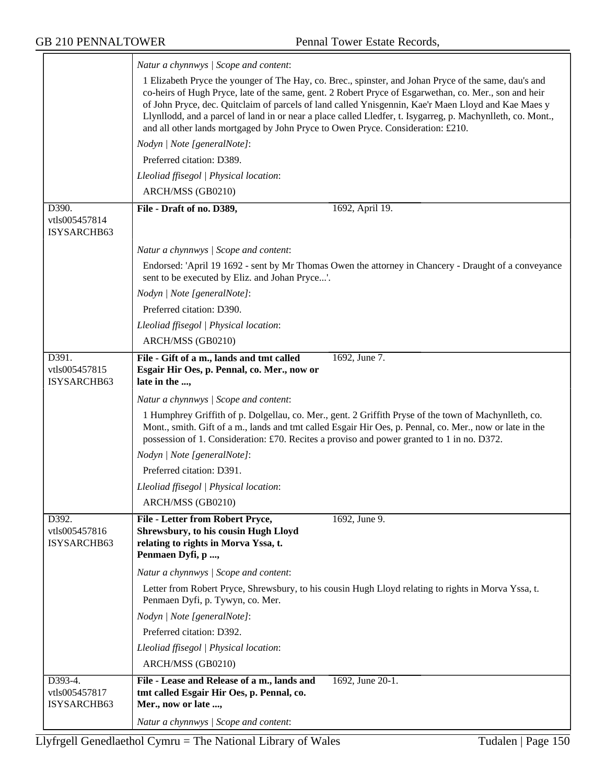$\equiv$ 

|                                         | Natur a chynnwys / Scope and content:                                                                                                                                                                                                                                                                                                                                                                                                                                                                                   |
|-----------------------------------------|-------------------------------------------------------------------------------------------------------------------------------------------------------------------------------------------------------------------------------------------------------------------------------------------------------------------------------------------------------------------------------------------------------------------------------------------------------------------------------------------------------------------------|
|                                         | 1 Elizabeth Pryce the younger of The Hay, co. Brec., spinster, and Johan Pryce of the same, dau's and<br>co-heirs of Hugh Pryce, late of the same, gent. 2 Robert Pryce of Esgarwethan, co. Mer., son and heir<br>of John Pryce, dec. Quitclaim of parcels of land called Ynisgennin, Kae'r Maen Lloyd and Kae Maes y<br>Llynllodd, and a parcel of land in or near a place called Lledfer, t. Isygarreg, p. Machynlleth, co. Mont.,<br>and all other lands mortgaged by John Pryce to Owen Pryce. Consideration: £210. |
|                                         | Nodyn   Note [generalNote]:                                                                                                                                                                                                                                                                                                                                                                                                                                                                                             |
|                                         | Preferred citation: D389.                                                                                                                                                                                                                                                                                                                                                                                                                                                                                               |
|                                         | Lleoliad ffisegol   Physical location:                                                                                                                                                                                                                                                                                                                                                                                                                                                                                  |
|                                         | ARCH/MSS (GB0210)                                                                                                                                                                                                                                                                                                                                                                                                                                                                                                       |
| D390.<br>vtls005457814<br>ISYSARCHB63   | File - Draft of no. D389,<br>1692, April 19.                                                                                                                                                                                                                                                                                                                                                                                                                                                                            |
|                                         | Natur a chynnwys / Scope and content:                                                                                                                                                                                                                                                                                                                                                                                                                                                                                   |
|                                         | Endorsed: 'April 19 1692 - sent by Mr Thomas Owen the attorney in Chancery - Draught of a conveyance<br>sent to be executed by Eliz. and Johan Pryce'.                                                                                                                                                                                                                                                                                                                                                                  |
|                                         | Nodyn   Note [generalNote]:                                                                                                                                                                                                                                                                                                                                                                                                                                                                                             |
|                                         | Preferred citation: D390.                                                                                                                                                                                                                                                                                                                                                                                                                                                                                               |
|                                         | Lleoliad ffisegol   Physical location:                                                                                                                                                                                                                                                                                                                                                                                                                                                                                  |
|                                         | ARCH/MSS (GB0210)                                                                                                                                                                                                                                                                                                                                                                                                                                                                                                       |
| D391.<br>vtls005457815<br>ISYSARCHB63   | File - Gift of a m., lands and tmt called<br>1692, June 7.<br>Esgair Hir Oes, p. Pennal, co. Mer., now or<br>late in the ,                                                                                                                                                                                                                                                                                                                                                                                              |
|                                         | Natur a chynnwys / Scope and content:                                                                                                                                                                                                                                                                                                                                                                                                                                                                                   |
|                                         | 1 Humphrey Griffith of p. Dolgellau, co. Mer., gent. 2 Griffith Pryse of the town of Machynlleth, co.<br>Mont., smith. Gift of a m., lands and tmt called Esgair Hir Oes, p. Pennal, co. Mer., now or late in the<br>possession of 1. Consideration: £70. Recites a proviso and power granted to 1 in no. D372.                                                                                                                                                                                                         |
|                                         | Nodyn   Note [generalNote]:                                                                                                                                                                                                                                                                                                                                                                                                                                                                                             |
|                                         | Preferred citation: D391.                                                                                                                                                                                                                                                                                                                                                                                                                                                                                               |
|                                         | Lleoliad ffisegol   Physical location:                                                                                                                                                                                                                                                                                                                                                                                                                                                                                  |
|                                         | ARCH/MSS (GB0210)                                                                                                                                                                                                                                                                                                                                                                                                                                                                                                       |
| D392.<br>vtls005457816<br>ISYSARCHB63   | File - Letter from Robert Pryce,<br>1692, June 9.<br>Shrewsbury, to his cousin Hugh Lloyd<br>relating to rights in Morva Yssa, t.<br>Penmaen Dyfi, p ,                                                                                                                                                                                                                                                                                                                                                                  |
|                                         | Natur a chynnwys / Scope and content:                                                                                                                                                                                                                                                                                                                                                                                                                                                                                   |
|                                         | Letter from Robert Pryce, Shrewsbury, to his cousin Hugh Lloyd relating to rights in Morva Yssa, t.<br>Penmaen Dyfi, p. Tywyn, co. Mer.                                                                                                                                                                                                                                                                                                                                                                                 |
|                                         | Nodyn   Note [generalNote]:                                                                                                                                                                                                                                                                                                                                                                                                                                                                                             |
|                                         | Preferred citation: D392.                                                                                                                                                                                                                                                                                                                                                                                                                                                                                               |
|                                         | Lleoliad ffisegol   Physical location:                                                                                                                                                                                                                                                                                                                                                                                                                                                                                  |
|                                         | ARCH/MSS (GB0210)                                                                                                                                                                                                                                                                                                                                                                                                                                                                                                       |
| D393-4.<br>vtls005457817<br>ISYSARCHB63 | File - Lease and Release of a m., lands and<br>1692, June 20-1.<br>tmt called Esgair Hir Oes, p. Pennal, co.<br>Mer., now or late ,                                                                                                                                                                                                                                                                                                                                                                                     |
|                                         | Natur a chynnwys / Scope and content:                                                                                                                                                                                                                                                                                                                                                                                                                                                                                   |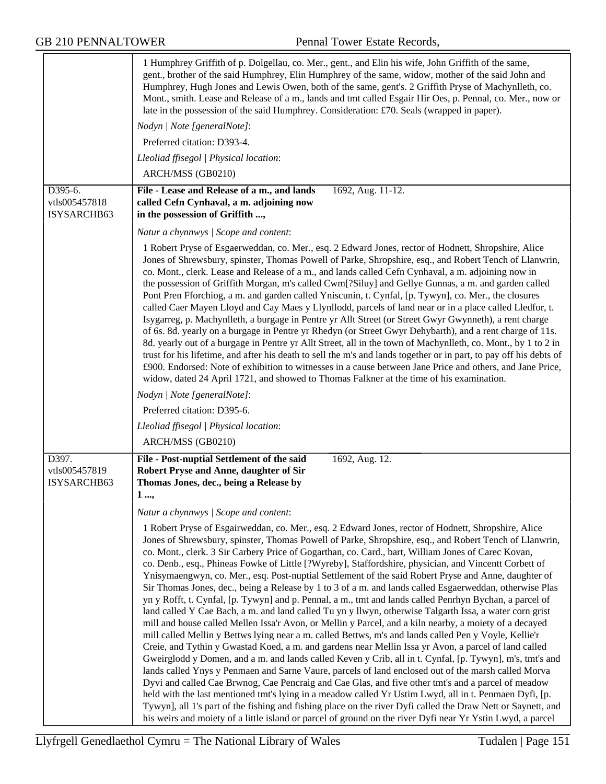|                                         | 1 Humphrey Griffith of p. Dolgellau, co. Mer., gent., and Elin his wife, John Griffith of the same,<br>gent., brother of the said Humphrey, Elin Humphrey of the same, widow, mother of the said John and<br>Humphrey, Hugh Jones and Lewis Owen, both of the same, gent's. 2 Griffith Pryse of Machynlleth, co.<br>Mont., smith. Lease and Release of a m., lands and tmt called Esgair Hir Oes, p. Pennal, co. Mer., now or<br>late in the possession of the said Humphrey. Consideration: £70. Seals (wrapped in paper).                                                                                                                                                                                                                                                                                                                                                                                                                                                                                                                                                                                                                                                                                                                                                                                                                                                                                                                                                                                                                                                                                                                                                                                                                                                                                                                                       |
|-----------------------------------------|-------------------------------------------------------------------------------------------------------------------------------------------------------------------------------------------------------------------------------------------------------------------------------------------------------------------------------------------------------------------------------------------------------------------------------------------------------------------------------------------------------------------------------------------------------------------------------------------------------------------------------------------------------------------------------------------------------------------------------------------------------------------------------------------------------------------------------------------------------------------------------------------------------------------------------------------------------------------------------------------------------------------------------------------------------------------------------------------------------------------------------------------------------------------------------------------------------------------------------------------------------------------------------------------------------------------------------------------------------------------------------------------------------------------------------------------------------------------------------------------------------------------------------------------------------------------------------------------------------------------------------------------------------------------------------------------------------------------------------------------------------------------------------------------------------------------------------------------------------------------|
|                                         | Nodyn   Note [generalNote]:                                                                                                                                                                                                                                                                                                                                                                                                                                                                                                                                                                                                                                                                                                                                                                                                                                                                                                                                                                                                                                                                                                                                                                                                                                                                                                                                                                                                                                                                                                                                                                                                                                                                                                                                                                                                                                       |
|                                         | Preferred citation: D393-4.                                                                                                                                                                                                                                                                                                                                                                                                                                                                                                                                                                                                                                                                                                                                                                                                                                                                                                                                                                                                                                                                                                                                                                                                                                                                                                                                                                                                                                                                                                                                                                                                                                                                                                                                                                                                                                       |
|                                         | Lleoliad ffisegol   Physical location:                                                                                                                                                                                                                                                                                                                                                                                                                                                                                                                                                                                                                                                                                                                                                                                                                                                                                                                                                                                                                                                                                                                                                                                                                                                                                                                                                                                                                                                                                                                                                                                                                                                                                                                                                                                                                            |
|                                         | ARCH/MSS (GB0210)                                                                                                                                                                                                                                                                                                                                                                                                                                                                                                                                                                                                                                                                                                                                                                                                                                                                                                                                                                                                                                                                                                                                                                                                                                                                                                                                                                                                                                                                                                                                                                                                                                                                                                                                                                                                                                                 |
| D395-6.<br>vtls005457818<br>ISYSARCHB63 | File - Lease and Release of a m., and lands<br>1692, Aug. 11-12.<br>called Cefn Cynhaval, a m. adjoining now<br>in the possession of Griffith ,                                                                                                                                                                                                                                                                                                                                                                                                                                                                                                                                                                                                                                                                                                                                                                                                                                                                                                                                                                                                                                                                                                                                                                                                                                                                                                                                                                                                                                                                                                                                                                                                                                                                                                                   |
|                                         | Natur a chynnwys / Scope and content:                                                                                                                                                                                                                                                                                                                                                                                                                                                                                                                                                                                                                                                                                                                                                                                                                                                                                                                                                                                                                                                                                                                                                                                                                                                                                                                                                                                                                                                                                                                                                                                                                                                                                                                                                                                                                             |
|                                         | 1 Robert Pryse of Esgaerweddan, co. Mer., esq. 2 Edward Jones, rector of Hodnett, Shropshire, Alice<br>Jones of Shrewsbury, spinster, Thomas Powell of Parke, Shropshire, esq., and Robert Tench of Llanwrin,<br>co. Mont., clerk. Lease and Release of a m., and lands called Cefn Cynhaval, a m. adjoining now in<br>the possession of Griffith Morgan, m's called Cwm[?Siluy] and Gellye Gunnas, a m. and garden called<br>Pont Pren Fforchiog, a m. and garden called Yniscunin, t. Cynfal, [p. Tywyn], co. Mer., the closures<br>called Caer Mayen Lloyd and Cay Maes y Llynllodd, parcels of land near or in a place called Lledfor, t.<br>Isygarreg, p. Machynlleth, a burgage in Pentre yr Allt Street (or Street Gwyr Gwynneth), a rent charge<br>of 6s. 8d. yearly on a burgage in Pentre yr Rhedyn (or Street Gwyr Dehybarth), and a rent charge of 11s.<br>8d. yearly out of a burgage in Pentre yr Allt Street, all in the town of Machynlleth, co. Mont., by 1 to 2 in<br>trust for his lifetime, and after his death to sell the m's and lands together or in part, to pay off his debts of<br>£900. Endorsed: Note of exhibition to witnesses in a cause between Jane Price and others, and Jane Price,<br>widow, dated 24 April 1721, and showed to Thomas Falkner at the time of his examination.                                                                                                                                                                                                                                                                                                                                                                                                                                                                                                                                               |
|                                         | Nodyn   Note [generalNote]:                                                                                                                                                                                                                                                                                                                                                                                                                                                                                                                                                                                                                                                                                                                                                                                                                                                                                                                                                                                                                                                                                                                                                                                                                                                                                                                                                                                                                                                                                                                                                                                                                                                                                                                                                                                                                                       |
|                                         | Preferred citation: D395-6.                                                                                                                                                                                                                                                                                                                                                                                                                                                                                                                                                                                                                                                                                                                                                                                                                                                                                                                                                                                                                                                                                                                                                                                                                                                                                                                                                                                                                                                                                                                                                                                                                                                                                                                                                                                                                                       |
|                                         | Lleoliad ffisegol   Physical location:                                                                                                                                                                                                                                                                                                                                                                                                                                                                                                                                                                                                                                                                                                                                                                                                                                                                                                                                                                                                                                                                                                                                                                                                                                                                                                                                                                                                                                                                                                                                                                                                                                                                                                                                                                                                                            |
|                                         | ARCH/MSS (GB0210)                                                                                                                                                                                                                                                                                                                                                                                                                                                                                                                                                                                                                                                                                                                                                                                                                                                                                                                                                                                                                                                                                                                                                                                                                                                                                                                                                                                                                                                                                                                                                                                                                                                                                                                                                                                                                                                 |
| D397.<br>vtls005457819<br>ISYSARCHB63   | File - Post-nuptial Settlement of the said<br>1692, Aug. 12.<br>Robert Pryse and Anne, daughter of Sir<br>Thomas Jones, dec., being a Release by<br>$1, \ldots$<br>Natur a chynnwys / Scope and content:                                                                                                                                                                                                                                                                                                                                                                                                                                                                                                                                                                                                                                                                                                                                                                                                                                                                                                                                                                                                                                                                                                                                                                                                                                                                                                                                                                                                                                                                                                                                                                                                                                                          |
|                                         | 1 Robert Pryse of Esgairweddan, co. Mer., esq. 2 Edward Jones, rector of Hodnett, Shropshire, Alice<br>Jones of Shrewsbury, spinster, Thomas Powell of Parke, Shropshire, esq., and Robert Tench of Llanwrin,<br>co. Mont., clerk. 3 Sir Carbery Price of Gogarthan, co. Card., bart, William Jones of Carec Kovan,<br>co. Denb., esq., Phineas Fowke of Little [?Wyreby], Staffordshire, physician, and Vincentt Corbett of<br>Ynisymaengwyn, co. Mer., esq. Post-nuptial Settlement of the said Robert Pryse and Anne, daughter of<br>Sir Thomas Jones, dec., being a Release by 1 to 3 of a m. and lands called Esgaerweddan, otherwise Plas<br>yn y Rofft, t. Cynfal, [p. Tywyn] and p. Pennal, a m., tmt and lands called Penrhyn Bychan, a parcel of<br>land called Y Cae Bach, a m. and land called Tu yn y llwyn, otherwise Talgarth Issa, a water corn grist<br>mill and house called Mellen Issa'r Avon, or Mellin y Parcel, and a kiln nearby, a moiety of a decayed<br>mill called Mellin y Bettws lying near a m. called Bettws, m's and lands called Pen y Voyle, Kellie'r<br>Creie, and Tythin y Gwastad Koed, a m. and gardens near Mellin Issa yr Avon, a parcel of land called<br>Gweirglodd y Domen, and a m. and lands called Keven y Crib, all in t. Cynfal, [p. Tywyn], m's, tmt's and<br>lands called Ynys y Penmaen and Sarne Vaure, parcels of land enclosed out of the marsh called Morva<br>Dyvi and called Cae Brwnog, Cae Pencraig and Cae Glas, and five other tmt's and a parcel of meadow<br>held with the last mentioned tmt's lying in a meadow called Yr Ustim Lwyd, all in t. Penmaen Dyfi, [p.<br>Tywyn], all 1's part of the fishing and fishing place on the river Dyfi called the Draw Nett or Saynett, and<br>his weirs and moiety of a little island or parcel of ground on the river Dyfi near Yr Ystin Lwyd, a parcel |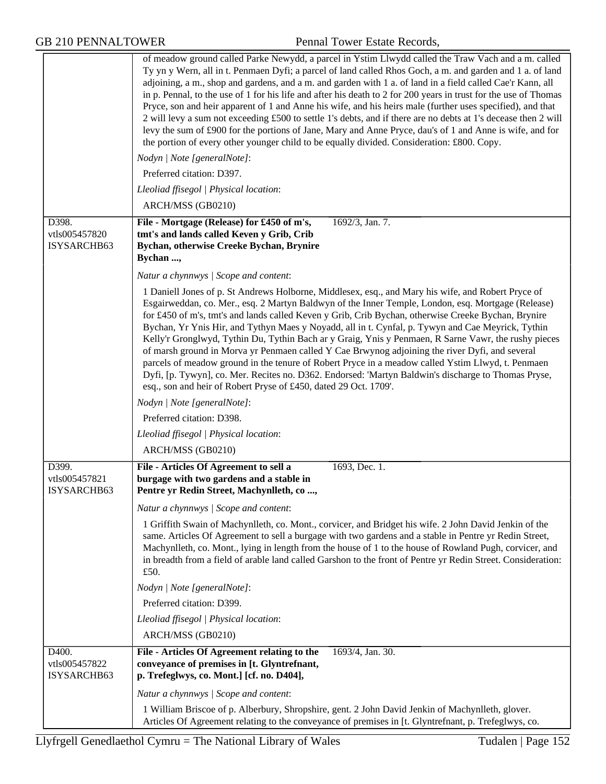|                                       | of meadow ground called Parke Newydd, a parcel in Ystim Llwydd called the Traw Vach and a m. called<br>Ty yn y Wern, all in t. Penmaen Dyfi; a parcel of land called Rhos Goch, a m. and garden and 1 a. of land<br>adjoining, a m., shop and gardens, and a m. and garden with 1 a. of land in a field called Cae'r Kann, all<br>in p. Pennal, to the use of 1 for his life and after his death to 2 for 200 years in trust for the use of Thomas<br>Pryce, son and heir apparent of 1 and Anne his wife, and his heirs male (further uses specified), and that<br>2 will levy a sum not exceeding £500 to settle 1's debts, and if there are no debts at 1's decease then 2 will<br>levy the sum of £900 for the portions of Jane, Mary and Anne Pryce, dau's of 1 and Anne is wife, and for<br>the portion of every other younger child to be equally divided. Consideration: £800. Copy.                   |
|---------------------------------------|----------------------------------------------------------------------------------------------------------------------------------------------------------------------------------------------------------------------------------------------------------------------------------------------------------------------------------------------------------------------------------------------------------------------------------------------------------------------------------------------------------------------------------------------------------------------------------------------------------------------------------------------------------------------------------------------------------------------------------------------------------------------------------------------------------------------------------------------------------------------------------------------------------------|
|                                       | Nodyn   Note [generalNote]:                                                                                                                                                                                                                                                                                                                                                                                                                                                                                                                                                                                                                                                                                                                                                                                                                                                                                    |
|                                       | Preferred citation: D397.                                                                                                                                                                                                                                                                                                                                                                                                                                                                                                                                                                                                                                                                                                                                                                                                                                                                                      |
|                                       | Lleoliad ffisegol   Physical location:                                                                                                                                                                                                                                                                                                                                                                                                                                                                                                                                                                                                                                                                                                                                                                                                                                                                         |
|                                       | ARCH/MSS (GB0210)                                                                                                                                                                                                                                                                                                                                                                                                                                                                                                                                                                                                                                                                                                                                                                                                                                                                                              |
| D398.<br>vtls005457820<br>ISYSARCHB63 | File - Mortgage (Release) for £450 of m's,<br>1692/3, Jan. 7.<br>tmt's and lands called Keven y Grib, Crib<br>Bychan, otherwise Creeke Bychan, Brynire<br>Bychan ,                                                                                                                                                                                                                                                                                                                                                                                                                                                                                                                                                                                                                                                                                                                                             |
|                                       | Natur a chynnwys / Scope and content:                                                                                                                                                                                                                                                                                                                                                                                                                                                                                                                                                                                                                                                                                                                                                                                                                                                                          |
|                                       | 1 Daniell Jones of p. St Andrews Holborne, Middlesex, esq., and Mary his wife, and Robert Pryce of<br>Esgairweddan, co. Mer., esq. 2 Martyn Baldwyn of the Inner Temple, London, esq. Mortgage (Release)<br>for £450 of m's, tmt's and lands called Keven y Grib, Crib Bychan, otherwise Creeke Bychan, Brynire<br>Bychan, Yr Ynis Hir, and Tythyn Maes y Noyadd, all in t. Cynfal, p. Tywyn and Cae Meyrick, Tythin<br>Kelly'r Gronglwyd, Tythin Du, Tythin Bach ar y Graig, Ynis y Penmaen, R Sarne Vawr, the rushy pieces<br>of marsh ground in Morva yr Penmaen called Y Cae Brwynog adjoining the river Dyfi, and several<br>parcels of meadow ground in the tenure of Robert Pryce in a meadow called Ystim Llwyd, t. Penmaen<br>Dyfi, [p. Tywyn], co. Mer. Recites no. D362. Endorsed: 'Martyn Baldwin's discharge to Thomas Pryse,<br>esq., son and heir of Robert Pryse of £450, dated 29 Oct. 1709'. |
|                                       | Nodyn   Note [generalNote]:                                                                                                                                                                                                                                                                                                                                                                                                                                                                                                                                                                                                                                                                                                                                                                                                                                                                                    |
|                                       | Preferred citation: D398.                                                                                                                                                                                                                                                                                                                                                                                                                                                                                                                                                                                                                                                                                                                                                                                                                                                                                      |
|                                       | Lleoliad ffisegol   Physical location:                                                                                                                                                                                                                                                                                                                                                                                                                                                                                                                                                                                                                                                                                                                                                                                                                                                                         |
|                                       | ARCH/MSS (GB0210)                                                                                                                                                                                                                                                                                                                                                                                                                                                                                                                                                                                                                                                                                                                                                                                                                                                                                              |
| D399.                                 | File - Articles Of Agreement to sell a<br>1693, Dec. 1.                                                                                                                                                                                                                                                                                                                                                                                                                                                                                                                                                                                                                                                                                                                                                                                                                                                        |
| vtls005457821<br>ISYSARCHB63          | burgage with two gardens and a stable in<br>Pentre yr Redin Street, Machynlleth, co                                                                                                                                                                                                                                                                                                                                                                                                                                                                                                                                                                                                                                                                                                                                                                                                                            |
|                                       |                                                                                                                                                                                                                                                                                                                                                                                                                                                                                                                                                                                                                                                                                                                                                                                                                                                                                                                |
|                                       | Natur a chynnwys / Scope and content:                                                                                                                                                                                                                                                                                                                                                                                                                                                                                                                                                                                                                                                                                                                                                                                                                                                                          |
|                                       | 1 Griffith Swain of Machynlleth, co. Mont., corvicer, and Bridget his wife. 2 John David Jenkin of the<br>same. Articles Of Agreement to sell a burgage with two gardens and a stable in Pentre yr Redin Street,<br>Machynlleth, co. Mont., lying in length from the house of 1 to the house of Rowland Pugh, corvicer, and<br>in breadth from a field of arable land called Garshon to the front of Pentre yr Redin Street. Consideration:<br>£50.                                                                                                                                                                                                                                                                                                                                                                                                                                                            |
|                                       | Nodyn   Note [generalNote]:                                                                                                                                                                                                                                                                                                                                                                                                                                                                                                                                                                                                                                                                                                                                                                                                                                                                                    |
|                                       | Preferred citation: D399.                                                                                                                                                                                                                                                                                                                                                                                                                                                                                                                                                                                                                                                                                                                                                                                                                                                                                      |
|                                       | Lleoliad ffisegol   Physical location:                                                                                                                                                                                                                                                                                                                                                                                                                                                                                                                                                                                                                                                                                                                                                                                                                                                                         |
|                                       | ARCH/MSS (GB0210)                                                                                                                                                                                                                                                                                                                                                                                                                                                                                                                                                                                                                                                                                                                                                                                                                                                                                              |
| D400.<br>vtls005457822<br>ISYSARCHB63 | File - Articles Of Agreement relating to the<br>1693/4, Jan. 30.<br>conveyance of premises in [t. Glyntrefnant,<br>p. Trefeglwys, co. Mont.] [cf. no. D404],                                                                                                                                                                                                                                                                                                                                                                                                                                                                                                                                                                                                                                                                                                                                                   |
|                                       | Natur a chynnwys / Scope and content:                                                                                                                                                                                                                                                                                                                                                                                                                                                                                                                                                                                                                                                                                                                                                                                                                                                                          |
|                                       | 1 William Briscoe of p. Alberbury, Shropshire, gent. 2 John David Jenkin of Machynlleth, glover.<br>Articles Of Agreement relating to the conveyance of premises in [t. Glyntrefnant, p. Trefeglwys, co.                                                                                                                                                                                                                                                                                                                                                                                                                                                                                                                                                                                                                                                                                                       |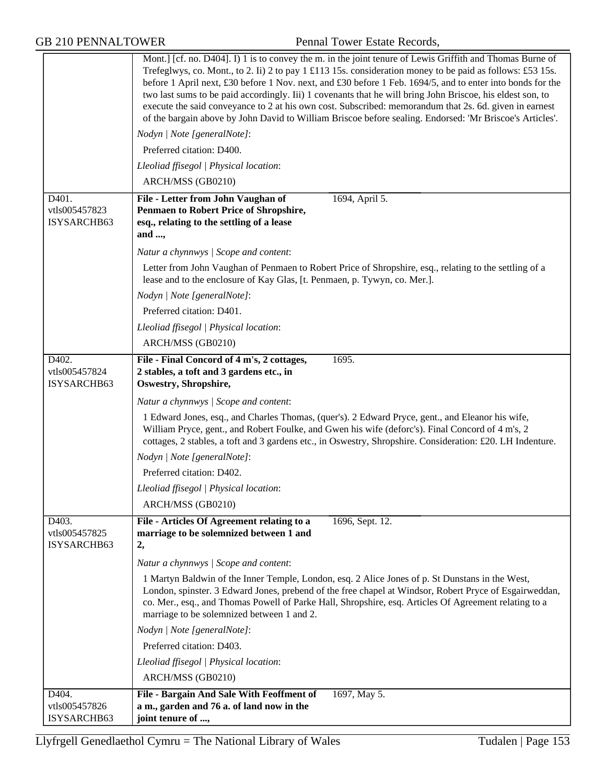|                                                    | Mont.] [cf. no. D404]. I) 1 is to convey the m. in the joint tenure of Lewis Griffith and Thomas Burne of<br>Trefeglwys, co. Mont., to 2. Ii) 2 to pay 1 £113 15s. consideration money to be paid as follows: £53 15s.<br>before 1 April next, £30 before 1 Nov. next, and £30 before 1 Feb. 1694/5, and to enter into bonds for the<br>two last sums to be paid accordingly. Iii) 1 covenants that he will bring John Briscoe, his eldest son, to<br>execute the said conveyance to 2 at his own cost. Subscribed: memorandum that 2s. 6d. given in earnest<br>of the bargain above by John David to William Briscoe before sealing. Endorsed: 'Mr Briscoe's Articles'.<br>Nodyn   Note [generalNote]:<br>Preferred citation: D400.<br>Lleoliad ffisegol   Physical location: |
|----------------------------------------------------|--------------------------------------------------------------------------------------------------------------------------------------------------------------------------------------------------------------------------------------------------------------------------------------------------------------------------------------------------------------------------------------------------------------------------------------------------------------------------------------------------------------------------------------------------------------------------------------------------------------------------------------------------------------------------------------------------------------------------------------------------------------------------------|
|                                                    | ARCH/MSS (GB0210)                                                                                                                                                                                                                                                                                                                                                                                                                                                                                                                                                                                                                                                                                                                                                              |
| D401.<br>vtls005457823<br>ISYSARCHB63              | 1694, April 5.<br>File - Letter from John Vaughan of<br><b>Penmaen to Robert Price of Shropshire,</b><br>esq., relating to the settling of a lease<br>and ,                                                                                                                                                                                                                                                                                                                                                                                                                                                                                                                                                                                                                    |
|                                                    | Natur a chynnwys / Scope and content:                                                                                                                                                                                                                                                                                                                                                                                                                                                                                                                                                                                                                                                                                                                                          |
|                                                    | Letter from John Vaughan of Penmaen to Robert Price of Shropshire, esq., relating to the settling of a<br>lease and to the enclosure of Kay Glas, [t. Penmaen, p. Tywyn, co. Mer.].                                                                                                                                                                                                                                                                                                                                                                                                                                                                                                                                                                                            |
|                                                    | Nodyn   Note [generalNote]:                                                                                                                                                                                                                                                                                                                                                                                                                                                                                                                                                                                                                                                                                                                                                    |
|                                                    | Preferred citation: D401.                                                                                                                                                                                                                                                                                                                                                                                                                                                                                                                                                                                                                                                                                                                                                      |
|                                                    | Lleoliad ffisegol   Physical location:                                                                                                                                                                                                                                                                                                                                                                                                                                                                                                                                                                                                                                                                                                                                         |
|                                                    | ARCH/MSS (GB0210)                                                                                                                                                                                                                                                                                                                                                                                                                                                                                                                                                                                                                                                                                                                                                              |
| D402.<br>vtls005457824<br>ISYSARCHB63              | File - Final Concord of 4 m's, 2 cottages,<br>1695.<br>2 stables, a toft and 3 gardens etc., in<br>Oswestry, Shropshire,                                                                                                                                                                                                                                                                                                                                                                                                                                                                                                                                                                                                                                                       |
|                                                    | Natur a chynnwys / Scope and content:                                                                                                                                                                                                                                                                                                                                                                                                                                                                                                                                                                                                                                                                                                                                          |
|                                                    | 1 Edward Jones, esq., and Charles Thomas, (quer's). 2 Edward Pryce, gent., and Eleanor his wife,<br>William Pryce, gent., and Robert Foulke, and Gwen his wife (deforc's). Final Concord of 4 m's, 2<br>cottages, 2 stables, a toft and 3 gardens etc., in Oswestry, Shropshire. Consideration: £20. LH Indenture.                                                                                                                                                                                                                                                                                                                                                                                                                                                             |
|                                                    | Nodyn   Note [generalNote]:                                                                                                                                                                                                                                                                                                                                                                                                                                                                                                                                                                                                                                                                                                                                                    |
|                                                    | Preferred citation: D402.                                                                                                                                                                                                                                                                                                                                                                                                                                                                                                                                                                                                                                                                                                                                                      |
|                                                    | Lleoliad ffisegol   Physical location:                                                                                                                                                                                                                                                                                                                                                                                                                                                                                                                                                                                                                                                                                                                                         |
|                                                    | ARCH/MSS (GB0210)                                                                                                                                                                                                                                                                                                                                                                                                                                                                                                                                                                                                                                                                                                                                                              |
| D403.                                              | File - Articles Of Agreement relating to a<br>1696, Sept. 12.                                                                                                                                                                                                                                                                                                                                                                                                                                                                                                                                                                                                                                                                                                                  |
| vtls005457825                                      | marriage to be solemnized between 1 and                                                                                                                                                                                                                                                                                                                                                                                                                                                                                                                                                                                                                                                                                                                                        |
| ISYSARCHB63                                        | 2,                                                                                                                                                                                                                                                                                                                                                                                                                                                                                                                                                                                                                                                                                                                                                                             |
|                                                    | Natur a chynnwys / Scope and content:                                                                                                                                                                                                                                                                                                                                                                                                                                                                                                                                                                                                                                                                                                                                          |
|                                                    | 1 Martyn Baldwin of the Inner Temple, London, esq. 2 Alice Jones of p. St Dunstans in the West,<br>London, spinster. 3 Edward Jones, prebend of the free chapel at Windsor, Robert Pryce of Esgairweddan,<br>co. Mer., esq., and Thomas Powell of Parke Hall, Shropshire, esq. Articles Of Agreement relating to a<br>marriage to be solemnized between 1 and 2.                                                                                                                                                                                                                                                                                                                                                                                                               |
|                                                    | Nodyn   Note [generalNote]:                                                                                                                                                                                                                                                                                                                                                                                                                                                                                                                                                                                                                                                                                                                                                    |
|                                                    | Preferred citation: D403.                                                                                                                                                                                                                                                                                                                                                                                                                                                                                                                                                                                                                                                                                                                                                      |
|                                                    | Lleoliad ffisegol   Physical location:                                                                                                                                                                                                                                                                                                                                                                                                                                                                                                                                                                                                                                                                                                                                         |
|                                                    | ARCH/MSS (GB0210)                                                                                                                                                                                                                                                                                                                                                                                                                                                                                                                                                                                                                                                                                                                                                              |
| D <sub>404</sub> .<br>vtls005457826<br>ISYSARCHB63 | File - Bargain And Sale With Feoffment of<br>1697, May 5.<br>a m., garden and 76 a. of land now in the<br>joint tenure of ,                                                                                                                                                                                                                                                                                                                                                                                                                                                                                                                                                                                                                                                    |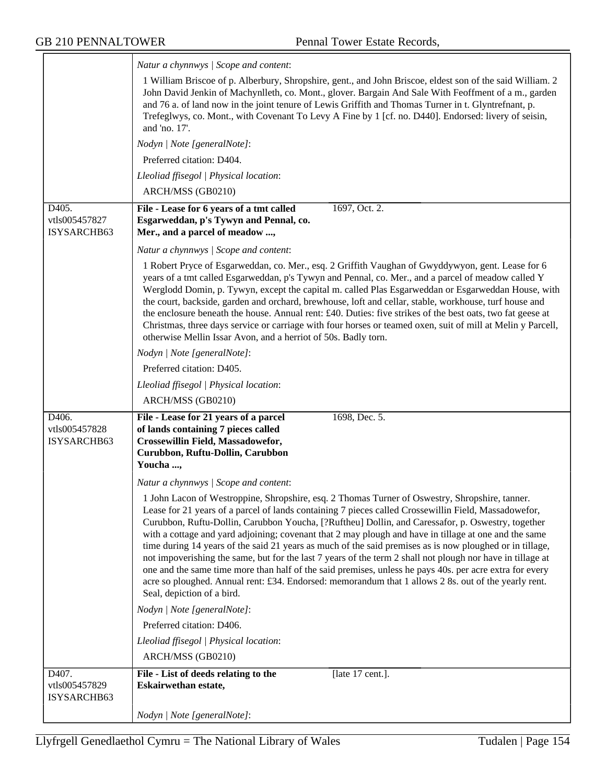|                                       | Natur a chynnwys / Scope and content:                                                                                                                                                                                                                                                                                                                                                                                                                                                                                                                                                                                                                                                                                                                                                                                                                                                                                                                                                                                                                                                                                                                                                                                                                     |
|---------------------------------------|-----------------------------------------------------------------------------------------------------------------------------------------------------------------------------------------------------------------------------------------------------------------------------------------------------------------------------------------------------------------------------------------------------------------------------------------------------------------------------------------------------------------------------------------------------------------------------------------------------------------------------------------------------------------------------------------------------------------------------------------------------------------------------------------------------------------------------------------------------------------------------------------------------------------------------------------------------------------------------------------------------------------------------------------------------------------------------------------------------------------------------------------------------------------------------------------------------------------------------------------------------------|
|                                       | 1 William Briscoe of p. Alberbury, Shropshire, gent., and John Briscoe, eldest son of the said William. 2<br>John David Jenkin of Machynlleth, co. Mont., glover. Bargain And Sale With Feoffment of a m., garden<br>and 76 a. of land now in the joint tenure of Lewis Griffith and Thomas Turner in t. Glyntrefnant, p.<br>Trefeglwys, co. Mont., with Covenant To Levy A Fine by 1 [cf. no. D440]. Endorsed: livery of seisin,<br>and 'no. 17'.                                                                                                                                                                                                                                                                                                                                                                                                                                                                                                                                                                                                                                                                                                                                                                                                        |
|                                       | Nodyn   Note [generalNote]:                                                                                                                                                                                                                                                                                                                                                                                                                                                                                                                                                                                                                                                                                                                                                                                                                                                                                                                                                                                                                                                                                                                                                                                                                               |
|                                       | Preferred citation: D404.                                                                                                                                                                                                                                                                                                                                                                                                                                                                                                                                                                                                                                                                                                                                                                                                                                                                                                                                                                                                                                                                                                                                                                                                                                 |
|                                       | Lleoliad ffisegol   Physical location:                                                                                                                                                                                                                                                                                                                                                                                                                                                                                                                                                                                                                                                                                                                                                                                                                                                                                                                                                                                                                                                                                                                                                                                                                    |
|                                       | ARCH/MSS (GB0210)                                                                                                                                                                                                                                                                                                                                                                                                                                                                                                                                                                                                                                                                                                                                                                                                                                                                                                                                                                                                                                                                                                                                                                                                                                         |
| D405.<br>vtls005457827<br>ISYSARCHB63 | File - Lease for 6 years of a tmt called<br>1697, Oct. 2.<br>Esgarweddan, p's Tywyn and Pennal, co.<br>Mer., and a parcel of meadow ,                                                                                                                                                                                                                                                                                                                                                                                                                                                                                                                                                                                                                                                                                                                                                                                                                                                                                                                                                                                                                                                                                                                     |
|                                       | Natur a chynnwys / Scope and content:                                                                                                                                                                                                                                                                                                                                                                                                                                                                                                                                                                                                                                                                                                                                                                                                                                                                                                                                                                                                                                                                                                                                                                                                                     |
|                                       | 1 Robert Pryce of Esgarweddan, co. Mer., esq. 2 Griffith Vaughan of Gwyddywyon, gent. Lease for 6<br>years of a tmt called Esgarweddan, p's Tywyn and Pennal, co. Mer., and a parcel of meadow called Y<br>Werglodd Domin, p. Tywyn, except the capital m. called Plas Esgarweddan or Esgarweddan House, with<br>the court, backside, garden and orchard, brewhouse, loft and cellar, stable, workhouse, turf house and<br>the enclosure beneath the house. Annual rent: £40. Duties: five strikes of the best oats, two fat geese at<br>Christmas, three days service or carriage with four horses or teamed oxen, suit of mill at Melin y Parcell,<br>otherwise Mellin Issar Avon, and a herriot of 50s. Badly torn.                                                                                                                                                                                                                                                                                                                                                                                                                                                                                                                                    |
|                                       | Nodyn   Note [generalNote]:                                                                                                                                                                                                                                                                                                                                                                                                                                                                                                                                                                                                                                                                                                                                                                                                                                                                                                                                                                                                                                                                                                                                                                                                                               |
|                                       | Preferred citation: D405.                                                                                                                                                                                                                                                                                                                                                                                                                                                                                                                                                                                                                                                                                                                                                                                                                                                                                                                                                                                                                                                                                                                                                                                                                                 |
|                                       | Lleoliad ffisegol   Physical location:                                                                                                                                                                                                                                                                                                                                                                                                                                                                                                                                                                                                                                                                                                                                                                                                                                                                                                                                                                                                                                                                                                                                                                                                                    |
|                                       | ARCH/MSS (GB0210)                                                                                                                                                                                                                                                                                                                                                                                                                                                                                                                                                                                                                                                                                                                                                                                                                                                                                                                                                                                                                                                                                                                                                                                                                                         |
| D406.<br>vtls005457828<br>ISYSARCHB63 | 1698, Dec. 5.<br>File - Lease for 21 years of a parcel<br>of lands containing 7 pieces called<br>Crossewillin Field, Massadowefor,<br>Curubbon, Ruftu-Dollin, Carubbon<br>Youcha ,<br>Natur a chynnwys / Scope and content:<br>1 John Lacon of Westroppine, Shropshire, esq. 2 Thomas Turner of Oswestry, Shropshire, tanner.<br>Lease for 21 years of a parcel of lands containing 7 pieces called Crossewillin Field, Massadowefor,<br>Curubbon, Ruftu-Dollin, Carubbon Youcha, [?Ruftheu] Dollin, and Caressafor, p. Oswestry, together<br>with a cottage and yard adjoining; covenant that 2 may plough and have in tillage at one and the same<br>time during 14 years of the said 21 years as much of the said premises as is now ploughed or in tillage,<br>not impoverishing the same, but for the last 7 years of the term 2 shall not plough nor have in tillage at<br>one and the same time more than half of the said premises, unless he pays 40s. per acre extra for every<br>acre so ploughed. Annual rent: £34. Endorsed: memorandum that 1 allows 2 8s. out of the yearly rent.<br>Seal, depiction of a bird.<br>Nodyn   Note [generalNote]:<br>Preferred citation: D406.<br>Lleoliad ffisegol   Physical location:<br>ARCH/MSS (GB0210) |
| D407.                                 | [late 17 cent.].<br>File - List of deeds relating to the                                                                                                                                                                                                                                                                                                                                                                                                                                                                                                                                                                                                                                                                                                                                                                                                                                                                                                                                                                                                                                                                                                                                                                                                  |
| vtls005457829<br>ISYSARCHB63          | Eskairwethan estate,                                                                                                                                                                                                                                                                                                                                                                                                                                                                                                                                                                                                                                                                                                                                                                                                                                                                                                                                                                                                                                                                                                                                                                                                                                      |
|                                       | Nodyn   Note [generalNote]:                                                                                                                                                                                                                                                                                                                                                                                                                                                                                                                                                                                                                                                                                                                                                                                                                                                                                                                                                                                                                                                                                                                                                                                                                               |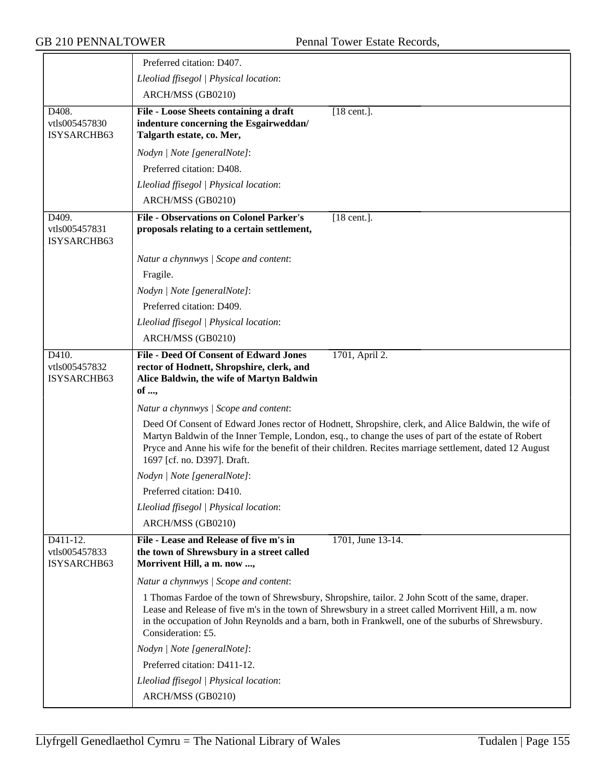|                                          | Preferred citation: D407.                                                                                                                                                                                                                                                                                                                              |
|------------------------------------------|--------------------------------------------------------------------------------------------------------------------------------------------------------------------------------------------------------------------------------------------------------------------------------------------------------------------------------------------------------|
|                                          | Lleoliad ffisegol   Physical location:                                                                                                                                                                                                                                                                                                                 |
|                                          | ARCH/MSS (GB0210)                                                                                                                                                                                                                                                                                                                                      |
| D408.<br>vtls005457830<br>ISYSARCHB63    | File - Loose Sheets containing a draft<br>$[18$ cent.].<br>indenture concerning the Esgairweddan/<br>Talgarth estate, co. Mer,                                                                                                                                                                                                                         |
|                                          | Nodyn   Note [generalNote]:                                                                                                                                                                                                                                                                                                                            |
|                                          | Preferred citation: D408.                                                                                                                                                                                                                                                                                                                              |
|                                          | Lleoliad ffisegol   Physical location:                                                                                                                                                                                                                                                                                                                 |
|                                          | ARCH/MSS (GB0210)                                                                                                                                                                                                                                                                                                                                      |
| D409.<br>vtls005457831<br>ISYSARCHB63    | <b>File - Observations on Colonel Parker's</b><br>$\overline{[18 \text{ cent.}]}$ .<br>proposals relating to a certain settlement,                                                                                                                                                                                                                     |
|                                          | Natur a chynnwys / Scope and content:                                                                                                                                                                                                                                                                                                                  |
|                                          | Fragile.                                                                                                                                                                                                                                                                                                                                               |
|                                          | Nodyn   Note [generalNote]:                                                                                                                                                                                                                                                                                                                            |
|                                          | Preferred citation: D409.                                                                                                                                                                                                                                                                                                                              |
|                                          | Lleoliad ffisegol   Physical location:                                                                                                                                                                                                                                                                                                                 |
|                                          | ARCH/MSS (GB0210)                                                                                                                                                                                                                                                                                                                                      |
| D410.<br>vtls005457832<br>ISYSARCHB63    | <b>File - Deed Of Consent of Edward Jones</b><br>1701, April 2.<br>rector of Hodnett, Shropshire, clerk, and<br>Alice Baldwin, the wife of Martyn Baldwin<br>of ,                                                                                                                                                                                      |
|                                          | Natur a chynnwys / Scope and content:                                                                                                                                                                                                                                                                                                                  |
|                                          | Deed Of Consent of Edward Jones rector of Hodnett, Shropshire, clerk, and Alice Baldwin, the wife of<br>Martyn Baldwin of the Inner Temple, London, esq., to change the uses of part of the estate of Robert<br>Pryce and Anne his wife for the benefit of their children. Recites marriage settlement, dated 12 August<br>1697 [cf. no. D397]. Draft. |
|                                          | Nodyn   Note [generalNote]:                                                                                                                                                                                                                                                                                                                            |
|                                          | Preferred citation: D410.                                                                                                                                                                                                                                                                                                                              |
|                                          | Lleoliad ffisegol   Physical location:                                                                                                                                                                                                                                                                                                                 |
|                                          | ARCH/MSS (GB0210)                                                                                                                                                                                                                                                                                                                                      |
| D411-12.<br>vtls005457833<br>ISYSARCHB63 | File - Lease and Release of five m's in<br>1701, June 13-14.<br>the town of Shrewsbury in a street called<br>Morrivent Hill, a m. now ,                                                                                                                                                                                                                |
|                                          | Natur a chynnwys / Scope and content:                                                                                                                                                                                                                                                                                                                  |
|                                          | 1 Thomas Fardoe of the town of Shrewsbury, Shropshire, tailor. 2 John Scott of the same, draper.<br>Lease and Release of five m's in the town of Shrewsbury in a street called Morrivent Hill, a m. now<br>in the occupation of John Reynolds and a barn, both in Frankwell, one of the suburbs of Shrewsbury.<br>Consideration: £5.                   |
|                                          | Nodyn   Note [generalNote]:                                                                                                                                                                                                                                                                                                                            |
|                                          | Preferred citation: D411-12.                                                                                                                                                                                                                                                                                                                           |
|                                          | Lleoliad ffisegol   Physical location:                                                                                                                                                                                                                                                                                                                 |
|                                          | ARCH/MSS (GB0210)                                                                                                                                                                                                                                                                                                                                      |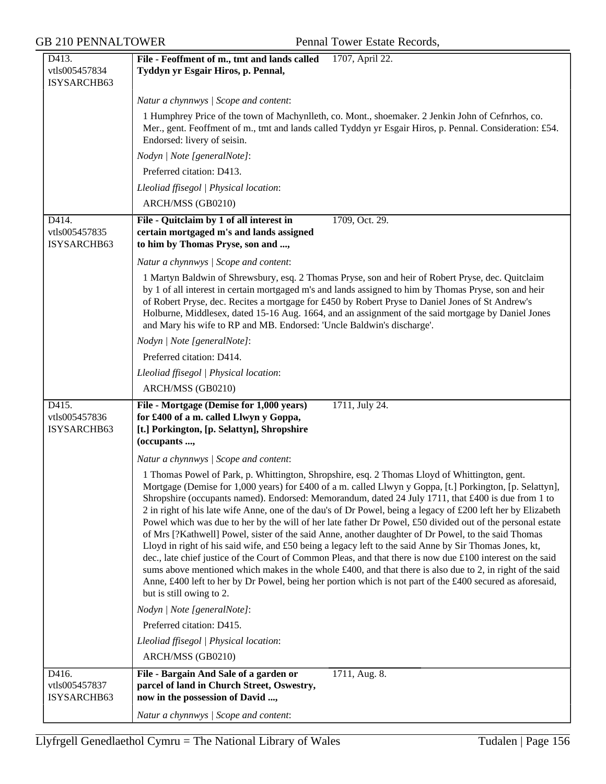| D413.                                 | File - Feoffment of m., tmt and lands called<br>1707, April 22.                                                                                                                                                                                                                                                                                                                                                                                                                                                                                                                                                                                                                                                                                                                                                                                                                                                                                                                                                                                                                                                                    |
|---------------------------------------|------------------------------------------------------------------------------------------------------------------------------------------------------------------------------------------------------------------------------------------------------------------------------------------------------------------------------------------------------------------------------------------------------------------------------------------------------------------------------------------------------------------------------------------------------------------------------------------------------------------------------------------------------------------------------------------------------------------------------------------------------------------------------------------------------------------------------------------------------------------------------------------------------------------------------------------------------------------------------------------------------------------------------------------------------------------------------------------------------------------------------------|
| vtls005457834                         | Tyddyn yr Esgair Hiros, p. Pennal,                                                                                                                                                                                                                                                                                                                                                                                                                                                                                                                                                                                                                                                                                                                                                                                                                                                                                                                                                                                                                                                                                                 |
| ISYSARCHB63                           |                                                                                                                                                                                                                                                                                                                                                                                                                                                                                                                                                                                                                                                                                                                                                                                                                                                                                                                                                                                                                                                                                                                                    |
|                                       | Natur a chynnwys / Scope and content:                                                                                                                                                                                                                                                                                                                                                                                                                                                                                                                                                                                                                                                                                                                                                                                                                                                                                                                                                                                                                                                                                              |
|                                       | 1 Humphrey Price of the town of Machynlleth, co. Mont., shoemaker. 2 Jenkin John of Cefnrhos, co.<br>Mer., gent. Feoffment of m., tmt and lands called Tyddyn yr Esgair Hiros, p. Pennal. Consideration: £54.<br>Endorsed: livery of seisin.                                                                                                                                                                                                                                                                                                                                                                                                                                                                                                                                                                                                                                                                                                                                                                                                                                                                                       |
|                                       | Nodyn   Note [generalNote]:                                                                                                                                                                                                                                                                                                                                                                                                                                                                                                                                                                                                                                                                                                                                                                                                                                                                                                                                                                                                                                                                                                        |
|                                       | Preferred citation: D413.                                                                                                                                                                                                                                                                                                                                                                                                                                                                                                                                                                                                                                                                                                                                                                                                                                                                                                                                                                                                                                                                                                          |
|                                       | Lleoliad ffisegol   Physical location:                                                                                                                                                                                                                                                                                                                                                                                                                                                                                                                                                                                                                                                                                                                                                                                                                                                                                                                                                                                                                                                                                             |
|                                       | ARCH/MSS (GB0210)                                                                                                                                                                                                                                                                                                                                                                                                                                                                                                                                                                                                                                                                                                                                                                                                                                                                                                                                                                                                                                                                                                                  |
| D414.<br>vtls005457835<br>ISYSARCHB63 | File - Quitclaim by 1 of all interest in<br>1709, Oct. 29.<br>certain mortgaged m's and lands assigned<br>to him by Thomas Pryse, son and ,                                                                                                                                                                                                                                                                                                                                                                                                                                                                                                                                                                                                                                                                                                                                                                                                                                                                                                                                                                                        |
|                                       | Natur a chynnwys / Scope and content:                                                                                                                                                                                                                                                                                                                                                                                                                                                                                                                                                                                                                                                                                                                                                                                                                                                                                                                                                                                                                                                                                              |
|                                       | 1 Martyn Baldwin of Shrewsbury, esq. 2 Thomas Pryse, son and heir of Robert Pryse, dec. Quitclaim<br>by 1 of all interest in certain mortgaged m's and lands assigned to him by Thomas Pryse, son and heir<br>of Robert Pryse, dec. Recites a mortgage for £450 by Robert Pryse to Daniel Jones of St Andrew's<br>Holburne, Middlesex, dated 15-16 Aug. 1664, and an assignment of the said mortgage by Daniel Jones<br>and Mary his wife to RP and MB. Endorsed: 'Uncle Baldwin's discharge'.                                                                                                                                                                                                                                                                                                                                                                                                                                                                                                                                                                                                                                     |
|                                       | Nodyn   Note [generalNote]:                                                                                                                                                                                                                                                                                                                                                                                                                                                                                                                                                                                                                                                                                                                                                                                                                                                                                                                                                                                                                                                                                                        |
|                                       | Preferred citation: D414.                                                                                                                                                                                                                                                                                                                                                                                                                                                                                                                                                                                                                                                                                                                                                                                                                                                                                                                                                                                                                                                                                                          |
|                                       | Lleoliad ffisegol   Physical location:                                                                                                                                                                                                                                                                                                                                                                                                                                                                                                                                                                                                                                                                                                                                                                                                                                                                                                                                                                                                                                                                                             |
|                                       | ARCH/MSS (GB0210)                                                                                                                                                                                                                                                                                                                                                                                                                                                                                                                                                                                                                                                                                                                                                                                                                                                                                                                                                                                                                                                                                                                  |
| D415.<br>vtls005457836<br>ISYSARCHB63 | File - Mortgage (Demise for 1,000 years)<br>1711, July 24.<br>for £400 of a m. called Llwyn y Goppa,<br>[t.] Porkington, [p. Selattyn], Shropshire<br>(occupants ,                                                                                                                                                                                                                                                                                                                                                                                                                                                                                                                                                                                                                                                                                                                                                                                                                                                                                                                                                                 |
|                                       | Natur a chynnwys / Scope and content:                                                                                                                                                                                                                                                                                                                                                                                                                                                                                                                                                                                                                                                                                                                                                                                                                                                                                                                                                                                                                                                                                              |
|                                       | 1 Thomas Powel of Park, p. Whittington, Shropshire, esq. 2 Thomas Lloyd of Whittington, gent.<br>Mortgage (Demise for 1,000 years) for £400 of a m. called Llwyn y Goppa, [t.] Porkington, [p. Selattyn],<br>Shropshire (occupants named). Endorsed: Memorandum, dated 24 July 1711, that £400 is due from 1 to<br>2 in right of his late wife Anne, one of the dau's of Dr Powel, being a legacy of £200 left her by Elizabeth<br>Powel which was due to her by the will of her late father Dr Powel, £50 divided out of the personal estate<br>of Mrs [?Kathwell] Powel, sister of the said Anne, another daughter of Dr Powel, to the said Thomas<br>Lloyd in right of his said wife, and £50 being a legacy left to the said Anne by Sir Thomas Jones, kt,<br>dec., late chief justice of the Court of Common Pleas, and that there is now due £100 interest on the said<br>sums above mentioned which makes in the whole £400, and that there is also due to 2, in right of the said<br>Anne, £400 left to her by Dr Powel, being her portion which is not part of the £400 secured as aforesaid,<br>but is still owing to 2. |
|                                       | Nodyn   Note [generalNote]:                                                                                                                                                                                                                                                                                                                                                                                                                                                                                                                                                                                                                                                                                                                                                                                                                                                                                                                                                                                                                                                                                                        |
|                                       | Preferred citation: D415.                                                                                                                                                                                                                                                                                                                                                                                                                                                                                                                                                                                                                                                                                                                                                                                                                                                                                                                                                                                                                                                                                                          |
|                                       | Lleoliad ffisegol   Physical location:                                                                                                                                                                                                                                                                                                                                                                                                                                                                                                                                                                                                                                                                                                                                                                                                                                                                                                                                                                                                                                                                                             |
|                                       | ARCH/MSS (GB0210)                                                                                                                                                                                                                                                                                                                                                                                                                                                                                                                                                                                                                                                                                                                                                                                                                                                                                                                                                                                                                                                                                                                  |
| D416.<br>vtls005457837<br>ISYSARCHB63 | File - Bargain And Sale of a garden or<br>1711, Aug. 8.<br>parcel of land in Church Street, Oswestry,<br>now in the possession of David ,                                                                                                                                                                                                                                                                                                                                                                                                                                                                                                                                                                                                                                                                                                                                                                                                                                                                                                                                                                                          |
|                                       | Natur a chynnwys / Scope and content:                                                                                                                                                                                                                                                                                                                                                                                                                                                                                                                                                                                                                                                                                                                                                                                                                                                                                                                                                                                                                                                                                              |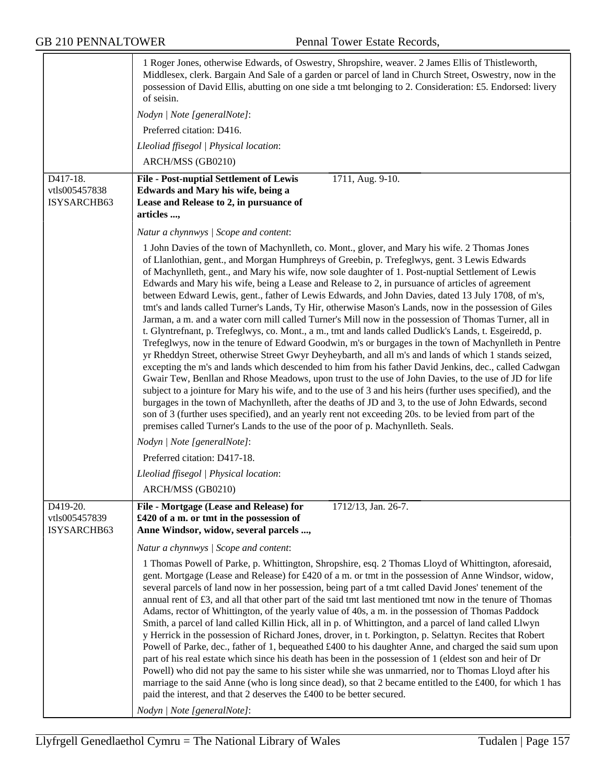|                                          | 1 Roger Jones, otherwise Edwards, of Oswestry, Shropshire, weaver. 2 James Ellis of Thistleworth,<br>Middlesex, clerk. Bargain And Sale of a garden or parcel of land in Church Street, Oswestry, now in the<br>possession of David Ellis, abutting on one side a tmt belonging to 2. Consideration: £5. Endorsed: livery<br>of seisin.                                                                                                                                                                                                                                                                                                                                                                                                                                                                                                                                                                                                                                                                                                                                                                                                                                                                                                                                                                                                                                                                                                                                                                                                                                                                                                                                                                                                 |
|------------------------------------------|-----------------------------------------------------------------------------------------------------------------------------------------------------------------------------------------------------------------------------------------------------------------------------------------------------------------------------------------------------------------------------------------------------------------------------------------------------------------------------------------------------------------------------------------------------------------------------------------------------------------------------------------------------------------------------------------------------------------------------------------------------------------------------------------------------------------------------------------------------------------------------------------------------------------------------------------------------------------------------------------------------------------------------------------------------------------------------------------------------------------------------------------------------------------------------------------------------------------------------------------------------------------------------------------------------------------------------------------------------------------------------------------------------------------------------------------------------------------------------------------------------------------------------------------------------------------------------------------------------------------------------------------------------------------------------------------------------------------------------------------|
|                                          | Nodyn   Note [generalNote]:                                                                                                                                                                                                                                                                                                                                                                                                                                                                                                                                                                                                                                                                                                                                                                                                                                                                                                                                                                                                                                                                                                                                                                                                                                                                                                                                                                                                                                                                                                                                                                                                                                                                                                             |
|                                          | Preferred citation: D416.                                                                                                                                                                                                                                                                                                                                                                                                                                                                                                                                                                                                                                                                                                                                                                                                                                                                                                                                                                                                                                                                                                                                                                                                                                                                                                                                                                                                                                                                                                                                                                                                                                                                                                               |
|                                          | Lleoliad ffisegol   Physical location:                                                                                                                                                                                                                                                                                                                                                                                                                                                                                                                                                                                                                                                                                                                                                                                                                                                                                                                                                                                                                                                                                                                                                                                                                                                                                                                                                                                                                                                                                                                                                                                                                                                                                                  |
|                                          | ARCH/MSS (GB0210)                                                                                                                                                                                                                                                                                                                                                                                                                                                                                                                                                                                                                                                                                                                                                                                                                                                                                                                                                                                                                                                                                                                                                                                                                                                                                                                                                                                                                                                                                                                                                                                                                                                                                                                       |
| D417-18.<br>vtls005457838<br>ISYSARCHB63 | <b>File - Post-nuptial Settlement of Lewis</b><br>1711, Aug. 9-10.<br>Edwards and Mary his wife, being a<br>Lease and Release to 2, in pursuance of<br>articles ,                                                                                                                                                                                                                                                                                                                                                                                                                                                                                                                                                                                                                                                                                                                                                                                                                                                                                                                                                                                                                                                                                                                                                                                                                                                                                                                                                                                                                                                                                                                                                                       |
|                                          | Natur a chynnwys / Scope and content:                                                                                                                                                                                                                                                                                                                                                                                                                                                                                                                                                                                                                                                                                                                                                                                                                                                                                                                                                                                                                                                                                                                                                                                                                                                                                                                                                                                                                                                                                                                                                                                                                                                                                                   |
|                                          | 1 John Davies of the town of Machynlleth, co. Mont., glover, and Mary his wife. 2 Thomas Jones<br>of Llanlothian, gent., and Morgan Humphreys of Greebin, p. Trefeglwys, gent. 3 Lewis Edwards<br>of Machynlleth, gent., and Mary his wife, now sole daughter of 1. Post-nuptial Settlement of Lewis<br>Edwards and Mary his wife, being a Lease and Release to 2, in pursuance of articles of agreement<br>between Edward Lewis, gent., father of Lewis Edwards, and John Davies, dated 13 July 1708, of m's,<br>tmt's and lands called Turner's Lands, Ty Hir, otherwise Mason's Lands, now in the possession of Giles<br>Jarman, a m. and a water corn mill called Turner's Mill now in the possession of Thomas Turner, all in<br>t. Glyntrefnant, p. Trefeglwys, co. Mont., a m., tmt and lands called Dudlick's Lands, t. Esgeiredd, p.<br>Trefeglwys, now in the tenure of Edward Goodwin, m's or burgages in the town of Machynlleth in Pentre<br>yr Rheddyn Street, otherwise Street Gwyr Deyheybarth, and all m's and lands of which 1 stands seized,<br>excepting the m's and lands which descended to him from his father David Jenkins, dec., called Cadwgan<br>Gwair Tew, Benllan and Rhose Meadows, upon trust to the use of John Davies, to the use of JD for life<br>subject to a jointure for Mary his wife, and to the use of 3 and his heirs (further uses specified), and the<br>burgages in the town of Machynlleth, after the deaths of JD and 3, to the use of John Edwards, second<br>son of 3 (further uses specified), and an yearly rent not exceeding 20s. to be levied from part of the<br>premises called Turner's Lands to the use of the poor of p. Machynlleth. Seals.<br>Nodyn   Note [generalNote]: |
|                                          | Preferred citation: D417-18.                                                                                                                                                                                                                                                                                                                                                                                                                                                                                                                                                                                                                                                                                                                                                                                                                                                                                                                                                                                                                                                                                                                                                                                                                                                                                                                                                                                                                                                                                                                                                                                                                                                                                                            |
|                                          | Lleoliad ffisegol   Physical location:                                                                                                                                                                                                                                                                                                                                                                                                                                                                                                                                                                                                                                                                                                                                                                                                                                                                                                                                                                                                                                                                                                                                                                                                                                                                                                                                                                                                                                                                                                                                                                                                                                                                                                  |
|                                          | ARCH/MSS (GB0210)                                                                                                                                                                                                                                                                                                                                                                                                                                                                                                                                                                                                                                                                                                                                                                                                                                                                                                                                                                                                                                                                                                                                                                                                                                                                                                                                                                                                                                                                                                                                                                                                                                                                                                                       |
|                                          |                                                                                                                                                                                                                                                                                                                                                                                                                                                                                                                                                                                                                                                                                                                                                                                                                                                                                                                                                                                                                                                                                                                                                                                                                                                                                                                                                                                                                                                                                                                                                                                                                                                                                                                                         |
| D419-20.<br>vtls005457839<br>ISYSARCHB63 | File - Mortgage (Lease and Release) for<br>1712/13, Jan. 26-7.<br>£420 of a m. or tmt in the possession of<br>Anne Windsor, widow, several parcels ,                                                                                                                                                                                                                                                                                                                                                                                                                                                                                                                                                                                                                                                                                                                                                                                                                                                                                                                                                                                                                                                                                                                                                                                                                                                                                                                                                                                                                                                                                                                                                                                    |
|                                          | Natur a chynnwys / Scope and content:                                                                                                                                                                                                                                                                                                                                                                                                                                                                                                                                                                                                                                                                                                                                                                                                                                                                                                                                                                                                                                                                                                                                                                                                                                                                                                                                                                                                                                                                                                                                                                                                                                                                                                   |
|                                          | 1 Thomas Powell of Parke, p. Whittington, Shropshire, esq. 2 Thomas Lloyd of Whittington, aforesaid,<br>gent. Mortgage (Lease and Release) for £420 of a m. or tmt in the possession of Anne Windsor, widow,<br>several parcels of land now in her possession, being part of a tmt called David Jones' tenement of the<br>annual rent of $\pounds 3$ , and all that other part of the said tmt last mentioned tmt now in the tenure of Thomas<br>Adams, rector of Whittington, of the yearly value of 40s, a m. in the possession of Thomas Paddock<br>Smith, a parcel of land called Killin Hick, all in p. of Whittington, and a parcel of land called Llwyn<br>y Herrick in the possession of Richard Jones, drover, in t. Porkington, p. Selattyn. Recites that Robert<br>Powell of Parke, dec., father of 1, bequeathed £400 to his daughter Anne, and charged the said sum upon<br>part of his real estate which since his death has been in the possession of 1 (eldest son and heir of Dr<br>Powell) who did not pay the same to his sister while she was unmarried, nor to Thomas Lloyd after his<br>marriage to the said Anne (who is long since dead), so that 2 became entitled to the £400, for which 1 has<br>paid the interest, and that 2 deserves the £400 to be better secured.                                                                                                                                                                                                                                                                                                                                                                                                                                       |
|                                          | Nodyn   Note [generalNote]:                                                                                                                                                                                                                                                                                                                                                                                                                                                                                                                                                                                                                                                                                                                                                                                                                                                                                                                                                                                                                                                                                                                                                                                                                                                                                                                                                                                                                                                                                                                                                                                                                                                                                                             |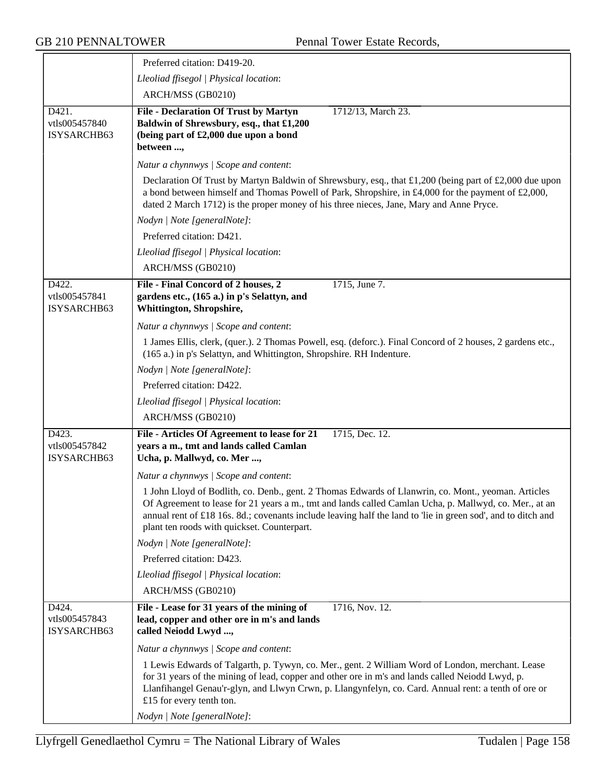|                                                     | Preferred citation: D419-20.                                                                                                                                                                                                                                                                                                                                                 |
|-----------------------------------------------------|------------------------------------------------------------------------------------------------------------------------------------------------------------------------------------------------------------------------------------------------------------------------------------------------------------------------------------------------------------------------------|
|                                                     | Lleoliad ffisegol   Physical location:                                                                                                                                                                                                                                                                                                                                       |
|                                                     | ARCH/MSS (GB0210)                                                                                                                                                                                                                                                                                                                                                            |
| $\overline{D421}$ .<br>vtls005457840<br>ISYSARCHB63 | File - Declaration Of Trust by Martyn<br>1712/13, March 23.<br>Baldwin of Shrewsbury, esq., that £1,200<br>(being part of £2,000 due upon a bond<br>between ,                                                                                                                                                                                                                |
|                                                     | Natur a chynnwys / Scope and content:                                                                                                                                                                                                                                                                                                                                        |
|                                                     | Declaration Of Trust by Martyn Baldwin of Shrewsbury, esq., that £1,200 (being part of £2,000 due upon<br>a bond between himself and Thomas Powell of Park, Shropshire, in £4,000 for the payment of £2,000,<br>dated 2 March 1712) is the proper money of his three nieces, Jane, Mary and Anne Pryce.                                                                      |
|                                                     | Nodyn   Note [generalNote]:                                                                                                                                                                                                                                                                                                                                                  |
|                                                     | Preferred citation: D421.                                                                                                                                                                                                                                                                                                                                                    |
|                                                     | Lleoliad ffisegol   Physical location:                                                                                                                                                                                                                                                                                                                                       |
|                                                     | ARCH/MSS (GB0210)                                                                                                                                                                                                                                                                                                                                                            |
| D422.<br>vtls005457841<br>ISYSARCHB63               | 1715, June 7.<br>File - Final Concord of 2 houses, 2<br>gardens etc., (165 a.) in p's Selattyn, and<br>Whittington, Shropshire,                                                                                                                                                                                                                                              |
|                                                     | Natur a chynnwys / Scope and content:                                                                                                                                                                                                                                                                                                                                        |
|                                                     | 1 James Ellis, clerk, (quer.). 2 Thomas Powell, esq. (deforc.). Final Concord of 2 houses, 2 gardens etc.,<br>(165 a.) in p's Selattyn, and Whittington, Shropshire. RH Indenture.                                                                                                                                                                                           |
|                                                     | Nodyn   Note [generalNote]:                                                                                                                                                                                                                                                                                                                                                  |
|                                                     | Preferred citation: D422.                                                                                                                                                                                                                                                                                                                                                    |
|                                                     | Lleoliad ffisegol   Physical location:                                                                                                                                                                                                                                                                                                                                       |
|                                                     | ARCH/MSS (GB0210)                                                                                                                                                                                                                                                                                                                                                            |
| D423.<br>vtls005457842<br>ISYSARCHB63               | File - Articles Of Agreement to lease for 21<br>1715, Dec. 12.<br>years a m., tmt and lands called Camlan<br>Ucha, p. Mallwyd, co. Mer ,                                                                                                                                                                                                                                     |
|                                                     | Natur a chynnwys / Scope and content:                                                                                                                                                                                                                                                                                                                                        |
|                                                     | 1 John Lloyd of Bodlith, co. Denb., gent. 2 Thomas Edwards of Llanwrin, co. Mont., yeoman. Articles<br>Of Agreement to lease for 21 years a m., tmt and lands called Camlan Ucha, p. Mallwyd, co. Mer., at an<br>annual rent of £18 16s. 8d.; covenants include leaving half the land to 'lie in green sod', and to ditch and<br>plant ten roods with quickset. Counterpart. |
|                                                     | Nodyn   Note [generalNote]:                                                                                                                                                                                                                                                                                                                                                  |
|                                                     | Preferred citation: D423.                                                                                                                                                                                                                                                                                                                                                    |
|                                                     | Lleoliad ffisegol   Physical location:                                                                                                                                                                                                                                                                                                                                       |
|                                                     | ARCH/MSS (GB0210)                                                                                                                                                                                                                                                                                                                                                            |
| D424.<br>vtls005457843<br>ISYSARCHB63               | File - Lease for 31 years of the mining of<br>1716, Nov. 12.<br>lead, copper and other ore in m's and lands<br>called Neiodd Lwyd ,                                                                                                                                                                                                                                          |
|                                                     | Natur a chynnwys / Scope and content:                                                                                                                                                                                                                                                                                                                                        |
|                                                     | 1 Lewis Edwards of Talgarth, p. Tywyn, co. Mer., gent. 2 William Word of London, merchant. Lease<br>for 31 years of the mining of lead, copper and other ore in m's and lands called Neiodd Lwyd, p.<br>Llanfihangel Genau'r-glyn, and Llwyn Crwn, p. Llangynfelyn, co. Card. Annual rent: a tenth of ore or<br>£15 for every tenth ton.                                     |
|                                                     | Nodyn   Note [generalNote]:                                                                                                                                                                                                                                                                                                                                                  |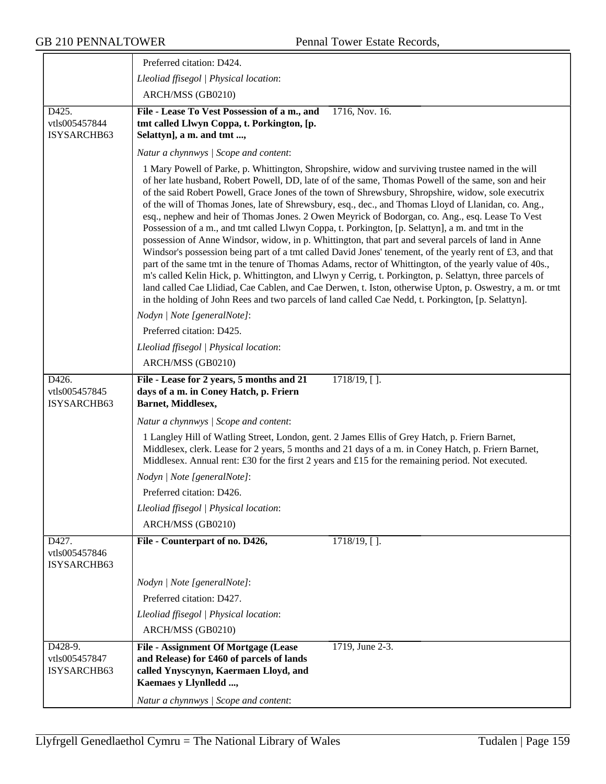|                                         | Preferred citation: D424.                                                                                                                                                                                                                                                                                                                                                                                                                                                                                                                                                                                                                                                                                                                                                                                                                                                                                                                                                                                                                                                                                                                                                                                                                                                                    |
|-----------------------------------------|----------------------------------------------------------------------------------------------------------------------------------------------------------------------------------------------------------------------------------------------------------------------------------------------------------------------------------------------------------------------------------------------------------------------------------------------------------------------------------------------------------------------------------------------------------------------------------------------------------------------------------------------------------------------------------------------------------------------------------------------------------------------------------------------------------------------------------------------------------------------------------------------------------------------------------------------------------------------------------------------------------------------------------------------------------------------------------------------------------------------------------------------------------------------------------------------------------------------------------------------------------------------------------------------|
|                                         | Lleoliad ffisegol   Physical location:                                                                                                                                                                                                                                                                                                                                                                                                                                                                                                                                                                                                                                                                                                                                                                                                                                                                                                                                                                                                                                                                                                                                                                                                                                                       |
|                                         | ARCH/MSS (GB0210)                                                                                                                                                                                                                                                                                                                                                                                                                                                                                                                                                                                                                                                                                                                                                                                                                                                                                                                                                                                                                                                                                                                                                                                                                                                                            |
| D425.<br>vtls005457844<br>ISYSARCHB63   | File - Lease To Vest Possession of a m., and<br>1716, Nov. 16.<br>tmt called Llwyn Coppa, t. Porkington, [p.<br>Selattyn], a m. and tmt ,                                                                                                                                                                                                                                                                                                                                                                                                                                                                                                                                                                                                                                                                                                                                                                                                                                                                                                                                                                                                                                                                                                                                                    |
|                                         | Natur a chynnwys / Scope and content:                                                                                                                                                                                                                                                                                                                                                                                                                                                                                                                                                                                                                                                                                                                                                                                                                                                                                                                                                                                                                                                                                                                                                                                                                                                        |
|                                         | 1 Mary Powell of Parke, p. Whittington, Shropshire, widow and surviving trustee named in the will<br>of her late husband, Robert Powell, DD, late of of the same, Thomas Powell of the same, son and heir<br>of the said Robert Powell, Grace Jones of the town of Shrewsbury, Shropshire, widow, sole executrix<br>of the will of Thomas Jones, late of Shrewsbury, esq., dec., and Thomas Lloyd of Llanidan, co. Ang.,<br>esq., nephew and heir of Thomas Jones. 2 Owen Meyrick of Bodorgan, co. Ang., esq. Lease To Vest<br>Possession of a m., and tmt called Llwyn Coppa, t. Porkington, [p. Selattyn], a m. and tmt in the<br>possession of Anne Windsor, widow, in p. Whittington, that part and several parcels of land in Anne<br>Windsor's possession being part of a tmt called David Jones' tenement, of the yearly rent of £3, and that<br>part of the same tmt in the tenure of Thomas Adams, rector of Whittington, of the yearly value of 40s.,<br>m's called Kelin Hick, p. Whittington, and Llwyn y Cerrig, t. Porkington, p. Selattyn, three parcels of<br>land called Cae Llidiad, Cae Cablen, and Cae Derwen, t. Iston, otherwise Upton, p. Oswestry, a m. or tmt<br>in the holding of John Rees and two parcels of land called Cae Nedd, t. Porkington, [p. Selattyn]. |
|                                         | Nodyn   Note [generalNote]:                                                                                                                                                                                                                                                                                                                                                                                                                                                                                                                                                                                                                                                                                                                                                                                                                                                                                                                                                                                                                                                                                                                                                                                                                                                                  |
|                                         | Preferred citation: D425.                                                                                                                                                                                                                                                                                                                                                                                                                                                                                                                                                                                                                                                                                                                                                                                                                                                                                                                                                                                                                                                                                                                                                                                                                                                                    |
|                                         | Lleoliad ffisegol   Physical location:                                                                                                                                                                                                                                                                                                                                                                                                                                                                                                                                                                                                                                                                                                                                                                                                                                                                                                                                                                                                                                                                                                                                                                                                                                                       |
|                                         | ARCH/MSS (GB0210)                                                                                                                                                                                                                                                                                                                                                                                                                                                                                                                                                                                                                                                                                                                                                                                                                                                                                                                                                                                                                                                                                                                                                                                                                                                                            |
| D426.<br>vtls005457845<br>ISYSARCHB63   | File - Lease for 2 years, 5 months and 21<br>$1718/19$ , [].<br>days of a m. in Coney Hatch, p. Friern<br>Barnet, Middlesex,                                                                                                                                                                                                                                                                                                                                                                                                                                                                                                                                                                                                                                                                                                                                                                                                                                                                                                                                                                                                                                                                                                                                                                 |
|                                         | Natur a chynnwys / Scope and content:                                                                                                                                                                                                                                                                                                                                                                                                                                                                                                                                                                                                                                                                                                                                                                                                                                                                                                                                                                                                                                                                                                                                                                                                                                                        |
|                                         | 1 Langley Hill of Watling Street, London, gent. 2 James Ellis of Grey Hatch, p. Friern Barnet,<br>Middlesex, clerk. Lease for 2 years, 5 months and 21 days of a m. in Coney Hatch, p. Friern Barnet,<br>Middlesex. Annual rent: £30 for the first 2 years and £15 for the remaining period. Not executed.                                                                                                                                                                                                                                                                                                                                                                                                                                                                                                                                                                                                                                                                                                                                                                                                                                                                                                                                                                                   |
|                                         | Nodyn   Note [generalNote]:                                                                                                                                                                                                                                                                                                                                                                                                                                                                                                                                                                                                                                                                                                                                                                                                                                                                                                                                                                                                                                                                                                                                                                                                                                                                  |
|                                         | Preferred citation: D426.                                                                                                                                                                                                                                                                                                                                                                                                                                                                                                                                                                                                                                                                                                                                                                                                                                                                                                                                                                                                                                                                                                                                                                                                                                                                    |
|                                         | Lleoliad ffisegol   Physical location:                                                                                                                                                                                                                                                                                                                                                                                                                                                                                                                                                                                                                                                                                                                                                                                                                                                                                                                                                                                                                                                                                                                                                                                                                                                       |
|                                         | ARCH/MSS (GB0210)                                                                                                                                                                                                                                                                                                                                                                                                                                                                                                                                                                                                                                                                                                                                                                                                                                                                                                                                                                                                                                                                                                                                                                                                                                                                            |
| D427.<br>vtls005457846<br>ISYSARCHB63   | File - Counterpart of no. D426,<br>$1718/19,$ [].                                                                                                                                                                                                                                                                                                                                                                                                                                                                                                                                                                                                                                                                                                                                                                                                                                                                                                                                                                                                                                                                                                                                                                                                                                            |
|                                         | Nodyn   Note [generalNote]:                                                                                                                                                                                                                                                                                                                                                                                                                                                                                                                                                                                                                                                                                                                                                                                                                                                                                                                                                                                                                                                                                                                                                                                                                                                                  |
|                                         | Preferred citation: D427.                                                                                                                                                                                                                                                                                                                                                                                                                                                                                                                                                                                                                                                                                                                                                                                                                                                                                                                                                                                                                                                                                                                                                                                                                                                                    |
|                                         | Lleoliad ffisegol   Physical location:                                                                                                                                                                                                                                                                                                                                                                                                                                                                                                                                                                                                                                                                                                                                                                                                                                                                                                                                                                                                                                                                                                                                                                                                                                                       |
|                                         | ARCH/MSS (GB0210)                                                                                                                                                                                                                                                                                                                                                                                                                                                                                                                                                                                                                                                                                                                                                                                                                                                                                                                                                                                                                                                                                                                                                                                                                                                                            |
| D428-9.<br>vtls005457847<br>ISYSARCHB63 | File - Assignment Of Mortgage (Lease<br>1719, June 2-3.<br>and Release) for £460 of parcels of lands<br>called Ynyscynyn, Kaermaen Lloyd, and<br>Kaemaes y Llynlledd ,                                                                                                                                                                                                                                                                                                                                                                                                                                                                                                                                                                                                                                                                                                                                                                                                                                                                                                                                                                                                                                                                                                                       |
|                                         | Natur a chynnwys / Scope and content:                                                                                                                                                                                                                                                                                                                                                                                                                                                                                                                                                                                                                                                                                                                                                                                                                                                                                                                                                                                                                                                                                                                                                                                                                                                        |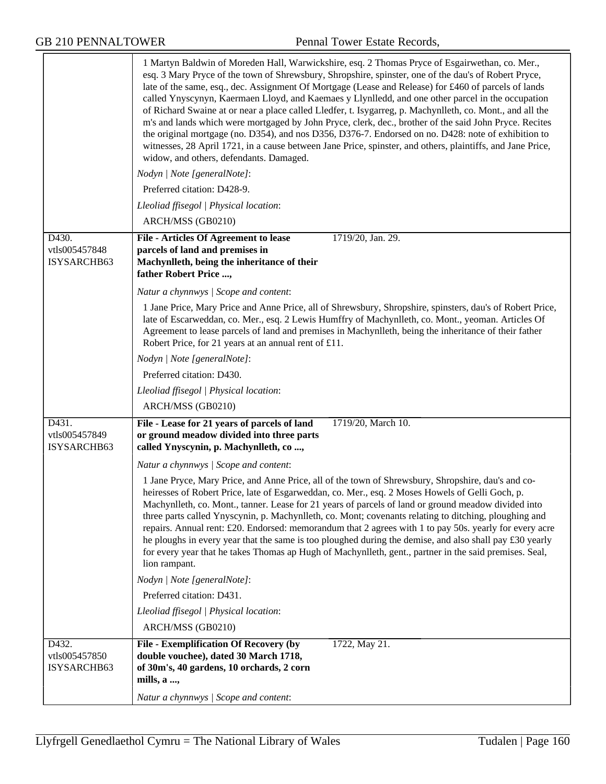|                                       | 1 Martyn Baldwin of Moreden Hall, Warwickshire, esq. 2 Thomas Pryce of Esgairwethan, co. Mer.,<br>esq. 3 Mary Pryce of the town of Shrewsbury, Shropshire, spinster, one of the dau's of Robert Pryce,<br>late of the same, esq., dec. Assignment Of Mortgage (Lease and Release) for £460 of parcels of lands<br>called Ynyscynyn, Kaermaen Lloyd, and Kaemaes y Llynlledd, and one other parcel in the occupation<br>of Richard Swaine at or near a place called Lledfer, t. Isygarreg, p. Machynlleth, co. Mont., and all the<br>m's and lands which were mortgaged by John Pryce, clerk, dec., brother of the said John Pryce. Recites<br>the original mortgage (no. D354), and nos D356, D376-7. Endorsed on no. D428: note of exhibition to<br>witnesses, 28 April 1721, in a cause between Jane Price, spinster, and others, plaintiffs, and Jane Price,<br>widow, and others, defendants. Damaged. |
|---------------------------------------|------------------------------------------------------------------------------------------------------------------------------------------------------------------------------------------------------------------------------------------------------------------------------------------------------------------------------------------------------------------------------------------------------------------------------------------------------------------------------------------------------------------------------------------------------------------------------------------------------------------------------------------------------------------------------------------------------------------------------------------------------------------------------------------------------------------------------------------------------------------------------------------------------------|
|                                       | Nodyn   Note [generalNote]:                                                                                                                                                                                                                                                                                                                                                                                                                                                                                                                                                                                                                                                                                                                                                                                                                                                                                |
|                                       | Preferred citation: D428-9.                                                                                                                                                                                                                                                                                                                                                                                                                                                                                                                                                                                                                                                                                                                                                                                                                                                                                |
|                                       | Lleoliad ffisegol   Physical location:                                                                                                                                                                                                                                                                                                                                                                                                                                                                                                                                                                                                                                                                                                                                                                                                                                                                     |
|                                       | ARCH/MSS (GB0210)                                                                                                                                                                                                                                                                                                                                                                                                                                                                                                                                                                                                                                                                                                                                                                                                                                                                                          |
| D430.                                 | File - Articles Of Agreement to lease<br>1719/20, Jan. 29.                                                                                                                                                                                                                                                                                                                                                                                                                                                                                                                                                                                                                                                                                                                                                                                                                                                 |
| vtls005457848<br>ISYSARCHB63          | parcels of land and premises in<br>Machynlleth, being the inheritance of their<br>father Robert Price ,                                                                                                                                                                                                                                                                                                                                                                                                                                                                                                                                                                                                                                                                                                                                                                                                    |
|                                       | Natur a chynnwys / Scope and content:                                                                                                                                                                                                                                                                                                                                                                                                                                                                                                                                                                                                                                                                                                                                                                                                                                                                      |
|                                       | 1 Jane Price, Mary Price and Anne Price, all of Shrewsbury, Shropshire, spinsters, dau's of Robert Price,<br>late of Escarweddan, co. Mer., esq. 2 Lewis Humffry of Machynlleth, co. Mont., yeoman. Articles Of<br>Agreement to lease parcels of land and premises in Machynlleth, being the inheritance of their father<br>Robert Price, for 21 years at an annual rent of £11.                                                                                                                                                                                                                                                                                                                                                                                                                                                                                                                           |
|                                       | Nodyn   Note [generalNote]:                                                                                                                                                                                                                                                                                                                                                                                                                                                                                                                                                                                                                                                                                                                                                                                                                                                                                |
|                                       | Preferred citation: D430.                                                                                                                                                                                                                                                                                                                                                                                                                                                                                                                                                                                                                                                                                                                                                                                                                                                                                  |
|                                       | Lleoliad ffisegol   Physical location:                                                                                                                                                                                                                                                                                                                                                                                                                                                                                                                                                                                                                                                                                                                                                                                                                                                                     |
|                                       | ARCH/MSS (GB0210)                                                                                                                                                                                                                                                                                                                                                                                                                                                                                                                                                                                                                                                                                                                                                                                                                                                                                          |
| D431.<br>vtls005457849<br>ISYSARCHB63 | File - Lease for 21 years of parcels of land<br>1719/20, March 10.<br>or ground meadow divided into three parts<br>called Ynyscynin, p. Machynlleth, co,                                                                                                                                                                                                                                                                                                                                                                                                                                                                                                                                                                                                                                                                                                                                                   |
|                                       | Natur a chynnwys / Scope and content:                                                                                                                                                                                                                                                                                                                                                                                                                                                                                                                                                                                                                                                                                                                                                                                                                                                                      |
|                                       | 1 Jane Pryce, Mary Price, and Anne Price, all of the town of Shrewsbury, Shropshire, dau's and co-<br>heiresses of Robert Price, late of Esgarweddan, co. Mer., esq. 2 Moses Howels of Gelli Goch, p.<br>Machynlleth, co. Mont., tanner. Lease for 21 years of parcels of land or ground meadow divided into<br>three parts called Ynyscynin, p. Machynlleth, co. Mont; covenants relating to ditching, ploughing and<br>repairs. Annual rent: £20. Endorsed: memorandum that 2 agrees with 1 to pay 50s. yearly for every acre<br>he ploughs in every year that the same is too ploughed during the demise, and also shall pay £30 yearly<br>for every year that he takes Thomas ap Hugh of Machynlleth, gent., partner in the said premises. Seal,<br>lion rampant.                                                                                                                                      |
|                                       | Nodyn   Note [generalNote]:                                                                                                                                                                                                                                                                                                                                                                                                                                                                                                                                                                                                                                                                                                                                                                                                                                                                                |
|                                       | Preferred citation: D431.                                                                                                                                                                                                                                                                                                                                                                                                                                                                                                                                                                                                                                                                                                                                                                                                                                                                                  |
|                                       | Lleoliad ffisegol   Physical location:                                                                                                                                                                                                                                                                                                                                                                                                                                                                                                                                                                                                                                                                                                                                                                                                                                                                     |
|                                       | ARCH/MSS (GB0210)                                                                                                                                                                                                                                                                                                                                                                                                                                                                                                                                                                                                                                                                                                                                                                                                                                                                                          |
| D432.                                 | <b>File - Exemplification Of Recovery (by</b><br>1722, May 21.                                                                                                                                                                                                                                                                                                                                                                                                                                                                                                                                                                                                                                                                                                                                                                                                                                             |
| vtls005457850                         | double vouchee), dated 30 March 1718,                                                                                                                                                                                                                                                                                                                                                                                                                                                                                                                                                                                                                                                                                                                                                                                                                                                                      |
| ISYSARCHB63                           | of 30m's, 40 gardens, 10 orchards, 2 corn<br>mills, a ,                                                                                                                                                                                                                                                                                                                                                                                                                                                                                                                                                                                                                                                                                                                                                                                                                                                    |
|                                       | Natur a chynnwys / Scope and content:                                                                                                                                                                                                                                                                                                                                                                                                                                                                                                                                                                                                                                                                                                                                                                                                                                                                      |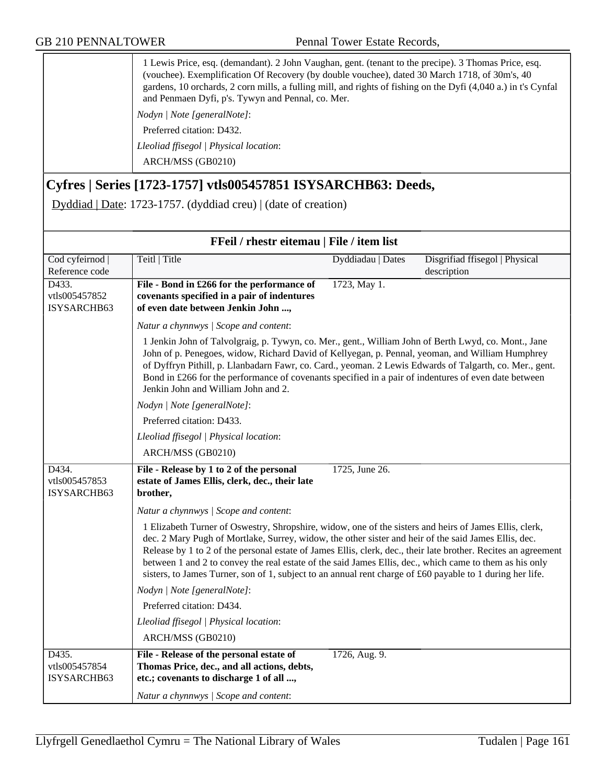|                                                                | 1 Lewis Price, esq. (demandant). 2 John Vaughan, gent. (tenant to the precipe). 3 Thomas Price, esq.<br>(vouchee). Exemplification Of Recovery (by double vouchee), dated 30 March 1718, of 30m's, 40<br>gardens, 10 orchards, 2 corn mills, a fulling mill, and rights of fishing on the Dyfi (4,040 a.) in t's Cynfal<br>and Penmaen Dyfi, p's. Tywyn and Pennal, co. Mer. |                   |                                |
|----------------------------------------------------------------|------------------------------------------------------------------------------------------------------------------------------------------------------------------------------------------------------------------------------------------------------------------------------------------------------------------------------------------------------------------------------|-------------------|--------------------------------|
|                                                                | Nodyn / Note [generalNote]:                                                                                                                                                                                                                                                                                                                                                  |                   |                                |
|                                                                | Preferred citation: D432.                                                                                                                                                                                                                                                                                                                                                    |                   |                                |
|                                                                | Lleoliad ffisegol   Physical location:                                                                                                                                                                                                                                                                                                                                       |                   |                                |
|                                                                | ARCH/MSS (GB0210)                                                                                                                                                                                                                                                                                                                                                            |                   |                                |
| Cyfres   Series [1723-1757] vtls005457851 ISYSARCHB63: Deeds,  |                                                                                                                                                                                                                                                                                                                                                                              |                   |                                |
| Dyddiad   Date: 1723-1757. (dyddiad creu)   (date of creation) |                                                                                                                                                                                                                                                                                                                                                                              |                   |                                |
|                                                                |                                                                                                                                                                                                                                                                                                                                                                              |                   |                                |
| FFeil / rhestr eitemau   File / item list                      |                                                                                                                                                                                                                                                                                                                                                                              |                   |                                |
| Cod cyfeirnod                                                  | Teitl   Title                                                                                                                                                                                                                                                                                                                                                                | Dyddiadau   Dates | Disgrifiad ffisegol   Physical |
| Reference code                                                 |                                                                                                                                                                                                                                                                                                                                                                              |                   | description                    |
| D433.                                                          | File - Bond in £266 for the performance of                                                                                                                                                                                                                                                                                                                                   | 1723, May 1.      |                                |
| vtls005457852                                                  | covenants specified in a pair of indentures                                                                                                                                                                                                                                                                                                                                  |                   |                                |
| ISYSARCHB63                                                    | of even date between Jenkin John ,                                                                                                                                                                                                                                                                                                                                           |                   |                                |
|                                                                |                                                                                                                                                                                                                                                                                                                                                                              |                   |                                |

| <b>FFeil</b> / rhestr eitemau   File / item list |                                                                                                                                                                                                                                                                                                                                                                                                                                                                                                                                                          |                   |                                               |
|--------------------------------------------------|----------------------------------------------------------------------------------------------------------------------------------------------------------------------------------------------------------------------------------------------------------------------------------------------------------------------------------------------------------------------------------------------------------------------------------------------------------------------------------------------------------------------------------------------------------|-------------------|-----------------------------------------------|
| Cod cyfeirnod  <br>Reference code                | Teitl   Title                                                                                                                                                                                                                                                                                                                                                                                                                                                                                                                                            | Dyddiadau   Dates | Disgrifiad ffisegol   Physical<br>description |
| D433.<br>vtls005457852<br>ISYSARCHB63            | File - Bond in £266 for the performance of<br>covenants specified in a pair of indentures<br>of even date between Jenkin John ,                                                                                                                                                                                                                                                                                                                                                                                                                          | 1723, May 1.      |                                               |
|                                                  | Natur a chynnwys / Scope and content:                                                                                                                                                                                                                                                                                                                                                                                                                                                                                                                    |                   |                                               |
|                                                  | 1 Jenkin John of Talvolgraig, p. Tywyn, co. Mer., gent., William John of Berth Lwyd, co. Mont., Jane<br>John of p. Penegoes, widow, Richard David of Kellyegan, p. Pennal, yeoman, and William Humphrey<br>of Dyffryn Pithill, p. Llanbadarn Fawr, co. Card., yeoman. 2 Lewis Edwards of Talgarth, co. Mer., gent.<br>Bond in £266 for the performance of covenants specified in a pair of indentures of even date between<br>Jenkin John and William John and 2.                                                                                        |                   |                                               |
|                                                  | Nodyn   Note [generalNote]:                                                                                                                                                                                                                                                                                                                                                                                                                                                                                                                              |                   |                                               |
|                                                  | Preferred citation: D433.                                                                                                                                                                                                                                                                                                                                                                                                                                                                                                                                |                   |                                               |
|                                                  | Lleoliad ffisegol   Physical location:                                                                                                                                                                                                                                                                                                                                                                                                                                                                                                                   |                   |                                               |
|                                                  | ARCH/MSS (GB0210)                                                                                                                                                                                                                                                                                                                                                                                                                                                                                                                                        |                   |                                               |
| D434.<br>vtls005457853<br>ISYSARCHB63            | File - Release by 1 to 2 of the personal<br>estate of James Ellis, clerk, dec., their late<br>brother,                                                                                                                                                                                                                                                                                                                                                                                                                                                   | 1725, June 26.    |                                               |
|                                                  | Natur a chynnwys / Scope and content:                                                                                                                                                                                                                                                                                                                                                                                                                                                                                                                    |                   |                                               |
|                                                  | 1 Elizabeth Turner of Oswestry, Shropshire, widow, one of the sisters and heirs of James Ellis, clerk,<br>dec. 2 Mary Pugh of Mortlake, Surrey, widow, the other sister and heir of the said James Ellis, dec.<br>Release by 1 to 2 of the personal estate of James Ellis, clerk, dec., their late brother. Recites an agreement<br>between 1 and 2 to convey the real estate of the said James Ellis, dec., which came to them as his only<br>sisters, to James Turner, son of 1, subject to an annual rent charge of £60 payable to 1 during her life. |                   |                                               |
|                                                  | Nodyn   Note [generalNote]:                                                                                                                                                                                                                                                                                                                                                                                                                                                                                                                              |                   |                                               |
|                                                  | Preferred citation: D434.                                                                                                                                                                                                                                                                                                                                                                                                                                                                                                                                |                   |                                               |
|                                                  | Lleoliad ffisegol   Physical location:<br>ARCH/MSS (GB0210)                                                                                                                                                                                                                                                                                                                                                                                                                                                                                              |                   |                                               |
| D435.<br>vtls005457854<br>ISYSARCHB63            | File - Release of the personal estate of<br>Thomas Price, dec., and all actions, debts,<br>etc.; covenants to discharge 1 of all ,                                                                                                                                                                                                                                                                                                                                                                                                                       | 1726, Aug. 9.     |                                               |
|                                                  | Natur a chynnwys / Scope and content:                                                                                                                                                                                                                                                                                                                                                                                                                                                                                                                    |                   |                                               |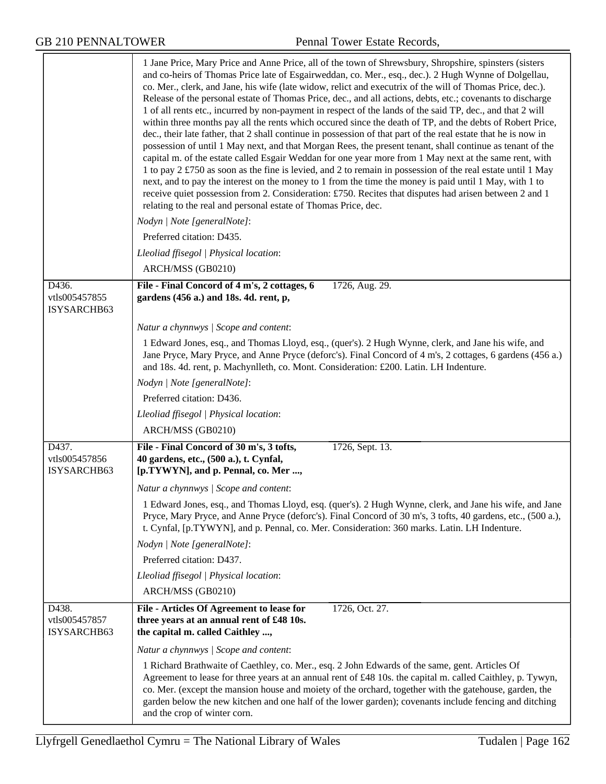|                                       | 1 Jane Price, Mary Price and Anne Price, all of the town of Shrewsbury, Shropshire, spinsters (sisters<br>and co-heirs of Thomas Price late of Esgairweddan, co. Mer., esq., dec.). 2 Hugh Wynne of Dolgellau,<br>co. Mer., clerk, and Jane, his wife (late widow, relict and executrix of the will of Thomas Price, dec.).<br>Release of the personal estate of Thomas Price, dec., and all actions, debts, etc.; covenants to discharge<br>1 of all rents etc., incurred by non-payment in respect of the lands of the said TP, dec., and that 2 will<br>within three months pay all the rents which occured since the death of TP, and the debts of Robert Price,<br>dec., their late father, that 2 shall continue in possession of that part of the real estate that he is now in<br>possession of until 1 May next, and that Morgan Rees, the present tenant, shall continue as tenant of the<br>capital m. of the estate called Esgair Weddan for one year more from 1 May next at the same rent, with<br>1 to pay 2 £750 as soon as the fine is levied, and 2 to remain in possession of the real estate until 1 May<br>next, and to pay the interest on the money to 1 from the time the money is paid until 1 May, with 1 to<br>receive quiet possession from 2. Consideration: £750. Recites that disputes had arisen between 2 and 1<br>relating to the real and personal estate of Thomas Price, dec. |
|---------------------------------------|--------------------------------------------------------------------------------------------------------------------------------------------------------------------------------------------------------------------------------------------------------------------------------------------------------------------------------------------------------------------------------------------------------------------------------------------------------------------------------------------------------------------------------------------------------------------------------------------------------------------------------------------------------------------------------------------------------------------------------------------------------------------------------------------------------------------------------------------------------------------------------------------------------------------------------------------------------------------------------------------------------------------------------------------------------------------------------------------------------------------------------------------------------------------------------------------------------------------------------------------------------------------------------------------------------------------------------------------------------------------------------------------------------------------|
|                                       | Nodyn   Note [generalNote]:                                                                                                                                                                                                                                                                                                                                                                                                                                                                                                                                                                                                                                                                                                                                                                                                                                                                                                                                                                                                                                                                                                                                                                                                                                                                                                                                                                                        |
|                                       | Preferred citation: D435.                                                                                                                                                                                                                                                                                                                                                                                                                                                                                                                                                                                                                                                                                                                                                                                                                                                                                                                                                                                                                                                                                                                                                                                                                                                                                                                                                                                          |
|                                       | Lleoliad ffisegol   Physical location:                                                                                                                                                                                                                                                                                                                                                                                                                                                                                                                                                                                                                                                                                                                                                                                                                                                                                                                                                                                                                                                                                                                                                                                                                                                                                                                                                                             |
|                                       | ARCH/MSS (GB0210)                                                                                                                                                                                                                                                                                                                                                                                                                                                                                                                                                                                                                                                                                                                                                                                                                                                                                                                                                                                                                                                                                                                                                                                                                                                                                                                                                                                                  |
| D436.<br>vtls005457855<br>ISYSARCHB63 | File - Final Concord of 4 m's, 2 cottages, 6<br>1726, Aug. 29.<br>gardens (456 a.) and 18s. 4d. rent, p,                                                                                                                                                                                                                                                                                                                                                                                                                                                                                                                                                                                                                                                                                                                                                                                                                                                                                                                                                                                                                                                                                                                                                                                                                                                                                                           |
|                                       | Natur a chynnwys / Scope and content:                                                                                                                                                                                                                                                                                                                                                                                                                                                                                                                                                                                                                                                                                                                                                                                                                                                                                                                                                                                                                                                                                                                                                                                                                                                                                                                                                                              |
|                                       | 1 Edward Jones, esq., and Thomas Lloyd, esq., (quer's). 2 Hugh Wynne, clerk, and Jane his wife, and<br>Jane Pryce, Mary Pryce, and Anne Pryce (deforc's). Final Concord of 4 m's, 2 cottages, 6 gardens (456 a.)<br>and 18s. 4d. rent, p. Machynlleth, co. Mont. Consideration: £200. Latin. LH Indenture.                                                                                                                                                                                                                                                                                                                                                                                                                                                                                                                                                                                                                                                                                                                                                                                                                                                                                                                                                                                                                                                                                                         |
|                                       | Nodyn   Note [generalNote]:                                                                                                                                                                                                                                                                                                                                                                                                                                                                                                                                                                                                                                                                                                                                                                                                                                                                                                                                                                                                                                                                                                                                                                                                                                                                                                                                                                                        |
|                                       | Preferred citation: D436.                                                                                                                                                                                                                                                                                                                                                                                                                                                                                                                                                                                                                                                                                                                                                                                                                                                                                                                                                                                                                                                                                                                                                                                                                                                                                                                                                                                          |
|                                       | Lleoliad ffisegol   Physical location:                                                                                                                                                                                                                                                                                                                                                                                                                                                                                                                                                                                                                                                                                                                                                                                                                                                                                                                                                                                                                                                                                                                                                                                                                                                                                                                                                                             |
|                                       | ARCH/MSS (GB0210)                                                                                                                                                                                                                                                                                                                                                                                                                                                                                                                                                                                                                                                                                                                                                                                                                                                                                                                                                                                                                                                                                                                                                                                                                                                                                                                                                                                                  |
| D437.<br>vtls005457856<br>ISYSARCHB63 | File - Final Concord of 30 m's, 3 tofts,<br>1726, Sept. 13.<br>40 gardens, etc., (500 a.), t. Cynfal,<br>[p.TYWYN], and p. Pennal, co. Mer ,                                                                                                                                                                                                                                                                                                                                                                                                                                                                                                                                                                                                                                                                                                                                                                                                                                                                                                                                                                                                                                                                                                                                                                                                                                                                       |
|                                       | Natur a chynnwys / Scope and content:                                                                                                                                                                                                                                                                                                                                                                                                                                                                                                                                                                                                                                                                                                                                                                                                                                                                                                                                                                                                                                                                                                                                                                                                                                                                                                                                                                              |
|                                       | 1 Edward Jones, esq., and Thomas Lloyd, esq. (quer's). 2 Hugh Wynne, clerk, and Jane his wife, and Jane<br>Pryce, Mary Pryce, and Anne Pryce (deforc's). Final Concord of 30 m's, 3 tofts, 40 gardens, etc., (500 a.),<br>t. Cynfal, [p.TYWYN], and p. Pennal, co. Mer. Consideration: 360 marks. Latin. LH Indenture.                                                                                                                                                                                                                                                                                                                                                                                                                                                                                                                                                                                                                                                                                                                                                                                                                                                                                                                                                                                                                                                                                             |
|                                       | Nodyn   Note [generalNote]:                                                                                                                                                                                                                                                                                                                                                                                                                                                                                                                                                                                                                                                                                                                                                                                                                                                                                                                                                                                                                                                                                                                                                                                                                                                                                                                                                                                        |
|                                       | Preferred citation: D437.                                                                                                                                                                                                                                                                                                                                                                                                                                                                                                                                                                                                                                                                                                                                                                                                                                                                                                                                                                                                                                                                                                                                                                                                                                                                                                                                                                                          |
|                                       | Lleoliad ffisegol   Physical location:                                                                                                                                                                                                                                                                                                                                                                                                                                                                                                                                                                                                                                                                                                                                                                                                                                                                                                                                                                                                                                                                                                                                                                                                                                                                                                                                                                             |
|                                       | ARCH/MSS (GB0210)                                                                                                                                                                                                                                                                                                                                                                                                                                                                                                                                                                                                                                                                                                                                                                                                                                                                                                                                                                                                                                                                                                                                                                                                                                                                                                                                                                                                  |
| D438.<br>vtls005457857<br>ISYSARCHB63 | 1726, Oct. 27.<br>File - Articles Of Agreement to lease for<br>three years at an annual rent of £48 10s.<br>the capital m. called Caithley ,                                                                                                                                                                                                                                                                                                                                                                                                                                                                                                                                                                                                                                                                                                                                                                                                                                                                                                                                                                                                                                                                                                                                                                                                                                                                       |
|                                       | Natur a chynnwys / Scope and content:                                                                                                                                                                                                                                                                                                                                                                                                                                                                                                                                                                                                                                                                                                                                                                                                                                                                                                                                                                                                                                                                                                                                                                                                                                                                                                                                                                              |
|                                       | 1 Richard Brathwaite of Caethley, co. Mer., esq. 2 John Edwards of the same, gent. Articles Of<br>Agreement to lease for three years at an annual rent of £48 10s. the capital m. called Caithley, p. Tywyn,<br>co. Mer. (except the mansion house and moiety of the orchard, together with the gatehouse, garden, the<br>garden below the new kitchen and one half of the lower garden); covenants include fencing and ditching<br>and the crop of winter corn.                                                                                                                                                                                                                                                                                                                                                                                                                                                                                                                                                                                                                                                                                                                                                                                                                                                                                                                                                   |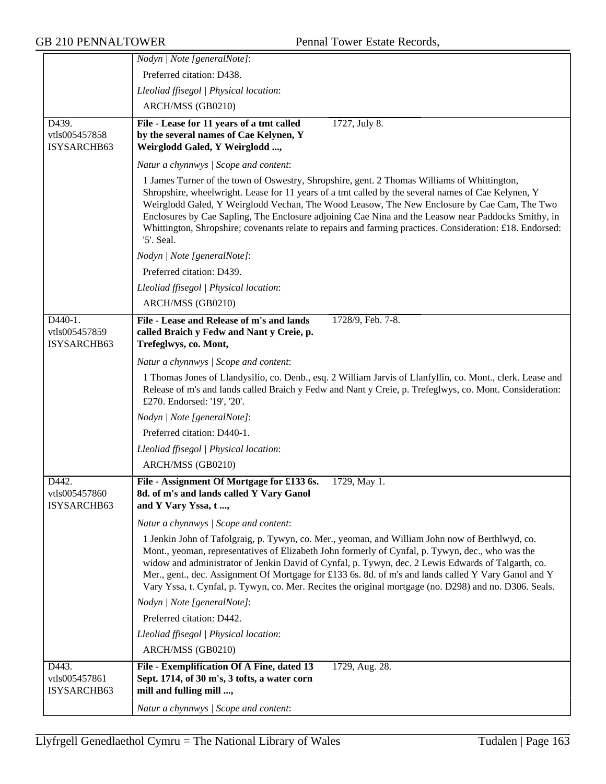|                                         | Nodyn   Note [generalNote]:                                                                                                                                                                                                                                                                                                                                                                                                                                                                                                        |
|-----------------------------------------|------------------------------------------------------------------------------------------------------------------------------------------------------------------------------------------------------------------------------------------------------------------------------------------------------------------------------------------------------------------------------------------------------------------------------------------------------------------------------------------------------------------------------------|
|                                         | Preferred citation: D438.                                                                                                                                                                                                                                                                                                                                                                                                                                                                                                          |
|                                         | Lleoliad ffisegol   Physical location:                                                                                                                                                                                                                                                                                                                                                                                                                                                                                             |
|                                         | ARCH/MSS (GB0210)                                                                                                                                                                                                                                                                                                                                                                                                                                                                                                                  |
| D439.                                   | File - Lease for 11 years of a tmt called<br>1727, July 8.                                                                                                                                                                                                                                                                                                                                                                                                                                                                         |
| vtls005457858                           | by the several names of Cae Kelynen, Y                                                                                                                                                                                                                                                                                                                                                                                                                                                                                             |
| ISYSARCHB63                             | Weirglodd Galed, Y Weirglodd ,                                                                                                                                                                                                                                                                                                                                                                                                                                                                                                     |
|                                         | Natur a chynnwys / Scope and content:                                                                                                                                                                                                                                                                                                                                                                                                                                                                                              |
|                                         | 1 James Turner of the town of Oswestry, Shropshire, gent. 2 Thomas Williams of Whittington,<br>Shropshire, wheelwright. Lease for 11 years of a tmt called by the several names of Cae Kelynen, Y<br>Weirglodd Galed, Y Weirglodd Vechan, The Wood Leasow, The New Enclosure by Cae Cam, The Two<br>Enclosures by Cae Sapling, The Enclosure adjoining Cae Nina and the Leasow near Paddocks Smithy, in<br>Whittington, Shropshire; covenants relate to repairs and farming practices. Consideration: £18. Endorsed:<br>'5'. Seal. |
|                                         | Nodyn   Note [generalNote]:                                                                                                                                                                                                                                                                                                                                                                                                                                                                                                        |
|                                         | Preferred citation: D439.                                                                                                                                                                                                                                                                                                                                                                                                                                                                                                          |
|                                         | Lleoliad ffisegol   Physical location:                                                                                                                                                                                                                                                                                                                                                                                                                                                                                             |
|                                         | ARCH/MSS (GB0210)                                                                                                                                                                                                                                                                                                                                                                                                                                                                                                                  |
| D440-1.<br>vtls005457859<br>ISYSARCHB63 | File - Lease and Release of m's and lands<br>1728/9, Feb. 7-8.<br>called Braich y Fedw and Nant y Creie, p.<br>Trefeglwys, co. Mont,                                                                                                                                                                                                                                                                                                                                                                                               |
|                                         | Natur a chynnwys / Scope and content:                                                                                                                                                                                                                                                                                                                                                                                                                                                                                              |
|                                         | 1 Thomas Jones of Llandysilio, co. Denb., esq. 2 William Jarvis of Llanfyllin, co. Mont., clerk. Lease and<br>Release of m's and lands called Braich y Fedw and Nant y Creie, p. Trefeglwys, co. Mont. Consideration:<br>£270. Endorsed: '19', '20'.                                                                                                                                                                                                                                                                               |
|                                         | Nodyn   Note [generalNote]:                                                                                                                                                                                                                                                                                                                                                                                                                                                                                                        |
|                                         | Preferred citation: D440-1.                                                                                                                                                                                                                                                                                                                                                                                                                                                                                                        |
|                                         | Lleoliad ffisegol   Physical location:                                                                                                                                                                                                                                                                                                                                                                                                                                                                                             |
|                                         | ARCH/MSS (GB0210)                                                                                                                                                                                                                                                                                                                                                                                                                                                                                                                  |
| D442.<br>vtls005457860<br>ISYSARCHB63   | File - Assignment Of Mortgage for £133 6s.<br>1729, May 1.<br>8d. of m's and lands called Y Vary Ganol<br>and Y Vary Yssa, t,                                                                                                                                                                                                                                                                                                                                                                                                      |
|                                         | Natur a chynnwys / Scope and content:                                                                                                                                                                                                                                                                                                                                                                                                                                                                                              |
|                                         | 1 Jenkin John of Tafolgraig, p. Tywyn, co. Mer., yeoman, and William John now of Berthlwyd, co.<br>Mont., yeoman, representatives of Elizabeth John formerly of Cynfal, p. Tywyn, dec., who was the<br>widow and administrator of Jenkin David of Cynfal, p. Tywyn, dec. 2 Lewis Edwards of Talgarth, co.<br>Mer., gent., dec. Assignment Of Mortgage for £133 6s. 8d. of m's and lands called Y Vary Ganol and Y<br>Vary Yssa, t. Cynfal, p. Tywyn, co. Mer. Recites the original mortgage (no. D298) and no. D306. Seals.        |
|                                         | Nodyn   Note [generalNote]:                                                                                                                                                                                                                                                                                                                                                                                                                                                                                                        |
|                                         | Preferred citation: D442.                                                                                                                                                                                                                                                                                                                                                                                                                                                                                                          |
|                                         | Lleoliad ffisegol   Physical location:                                                                                                                                                                                                                                                                                                                                                                                                                                                                                             |
|                                         | ARCH/MSS (GB0210)                                                                                                                                                                                                                                                                                                                                                                                                                                                                                                                  |
| D443.<br>vtls005457861<br>ISYSARCHB63   | File - Exemplification Of A Fine, dated 13<br>1729, Aug. 28.<br>Sept. 1714, of 30 m's, 3 tofts, a water corn<br>mill and fulling mill ,                                                                                                                                                                                                                                                                                                                                                                                            |
|                                         | Natur a chynnwys / Scope and content:                                                                                                                                                                                                                                                                                                                                                                                                                                                                                              |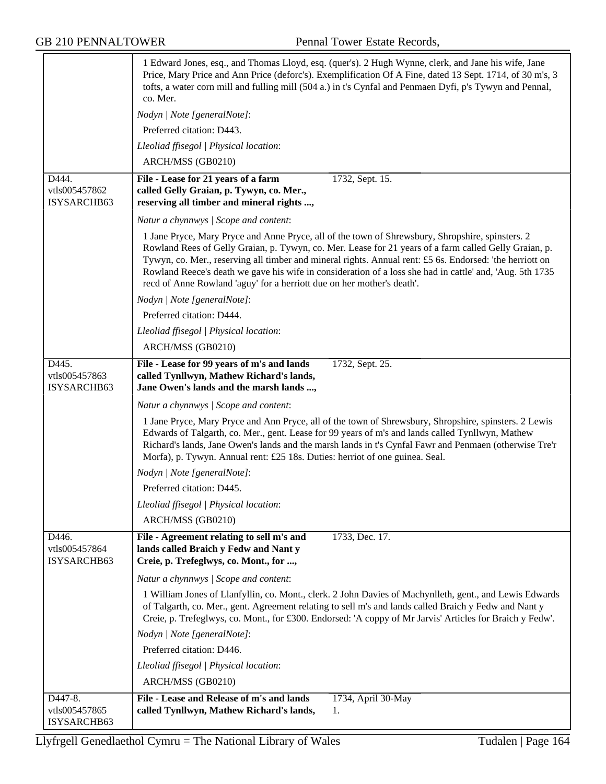|                                       | 1 Edward Jones, esq., and Thomas Lloyd, esq. (quer's). 2 Hugh Wynne, clerk, and Jane his wife, Jane<br>Price, Mary Price and Ann Price (deforc's). Exemplification Of A Fine, dated 13 Sept. 1714, of 30 m's, 3<br>tofts, a water corn mill and fulling mill (504 a.) in t's Cynfal and Penmaen Dyfi, p's Tywyn and Pennal,<br>co. Mer.                                                                                                                                                                     |
|---------------------------------------|-------------------------------------------------------------------------------------------------------------------------------------------------------------------------------------------------------------------------------------------------------------------------------------------------------------------------------------------------------------------------------------------------------------------------------------------------------------------------------------------------------------|
|                                       | Nodyn   Note [generalNote]:                                                                                                                                                                                                                                                                                                                                                                                                                                                                                 |
|                                       | Preferred citation: D443.                                                                                                                                                                                                                                                                                                                                                                                                                                                                                   |
|                                       | Lleoliad ffisegol   Physical location:                                                                                                                                                                                                                                                                                                                                                                                                                                                                      |
|                                       | ARCH/MSS (GB0210)                                                                                                                                                                                                                                                                                                                                                                                                                                                                                           |
| D444.                                 | File - Lease for 21 years of a farm<br>1732, Sept. 15.                                                                                                                                                                                                                                                                                                                                                                                                                                                      |
| vtls005457862                         | called Gelly Graian, p. Tywyn, co. Mer.,                                                                                                                                                                                                                                                                                                                                                                                                                                                                    |
| ISYSARCHB63                           | reserving all timber and mineral rights ,                                                                                                                                                                                                                                                                                                                                                                                                                                                                   |
|                                       | Natur a chynnwys / Scope and content:                                                                                                                                                                                                                                                                                                                                                                                                                                                                       |
|                                       | 1 Jane Pryce, Mary Pryce and Anne Pryce, all of the town of Shrewsbury, Shropshire, spinsters. 2<br>Rowland Rees of Gelly Graian, p. Tywyn, co. Mer. Lease for 21 years of a farm called Gelly Graian, p.<br>Tywyn, co. Mer., reserving all timber and mineral rights. Annual rent: £5 6s. Endorsed: 'the herriott on<br>Rowland Reece's death we gave his wife in consideration of a loss she had in cattle' and, 'Aug. 5th 1735<br>recd of Anne Rowland 'aguy' for a herriott due on her mother's death'. |
|                                       | Nodyn   Note [generalNote]:                                                                                                                                                                                                                                                                                                                                                                                                                                                                                 |
|                                       | Preferred citation: D444.                                                                                                                                                                                                                                                                                                                                                                                                                                                                                   |
|                                       | Lleoliad ffisegol   Physical location:                                                                                                                                                                                                                                                                                                                                                                                                                                                                      |
|                                       | ARCH/MSS (GB0210)                                                                                                                                                                                                                                                                                                                                                                                                                                                                                           |
| D445.<br>vtls005457863<br>ISYSARCHB63 | File - Lease for 99 years of m's and lands<br>1732, Sept. 25.<br>called Tynllwyn, Mathew Richard's lands,<br>Jane Owen's lands and the marsh lands ,                                                                                                                                                                                                                                                                                                                                                        |
|                                       | Natur a chynnwys / Scope and content:                                                                                                                                                                                                                                                                                                                                                                                                                                                                       |
|                                       | 1 Jane Pryce, Mary Pryce and Ann Pryce, all of the town of Shrewsbury, Shropshire, spinsters. 2 Lewis<br>Edwards of Talgarth, co. Mer., gent. Lease for 99 years of m's and lands called Tynllwyn, Mathew<br>Richard's lands, Jane Owen's lands and the marsh lands in t's Cynfal Fawr and Penmaen (otherwise Tre'r<br>Morfa), p. Tywyn. Annual rent: £25 18s. Duties: herriot of one guinea. Seal.                                                                                                         |
|                                       | Nodyn   Note [generalNote]:                                                                                                                                                                                                                                                                                                                                                                                                                                                                                 |
|                                       | Preferred citation: D445.                                                                                                                                                                                                                                                                                                                                                                                                                                                                                   |
|                                       | Lleoliad ffisegol   Physical location:                                                                                                                                                                                                                                                                                                                                                                                                                                                                      |
|                                       | ARCH/MSS (GB0210)                                                                                                                                                                                                                                                                                                                                                                                                                                                                                           |
| D446.<br>vtls005457864<br>ISYSARCHB63 | File - Agreement relating to sell m's and<br>1733, Dec. 17.<br>lands called Braich y Fedw and Nant y<br>Creie, p. Trefeglwys, co. Mont., for ,                                                                                                                                                                                                                                                                                                                                                              |
|                                       | Natur a chynnwys / Scope and content:                                                                                                                                                                                                                                                                                                                                                                                                                                                                       |
|                                       | 1 William Jones of Llanfyllin, co. Mont., clerk. 2 John Davies of Machynlleth, gent., and Lewis Edwards<br>of Talgarth, co. Mer., gent. Agreement relating to sell m's and lands called Braich y Fedw and Nant y<br>Creie, p. Trefeglwys, co. Mont., for £300. Endorsed: 'A coppy of Mr Jarvis' Articles for Braich y Fedw'.                                                                                                                                                                                |
|                                       | Nodyn   Note [generalNote]:                                                                                                                                                                                                                                                                                                                                                                                                                                                                                 |
|                                       | Preferred citation: D446.                                                                                                                                                                                                                                                                                                                                                                                                                                                                                   |
|                                       | Lleoliad ffisegol   Physical location:                                                                                                                                                                                                                                                                                                                                                                                                                                                                      |
|                                       | ARCH/MSS (GB0210)                                                                                                                                                                                                                                                                                                                                                                                                                                                                                           |
| D447-8.                               | File - Lease and Release of m's and lands<br>1734, April 30-May                                                                                                                                                                                                                                                                                                                                                                                                                                             |
| vtls005457865<br>ISYSARCHB63          | called Tynllwyn, Mathew Richard's lands,<br>1.                                                                                                                                                                                                                                                                                                                                                                                                                                                              |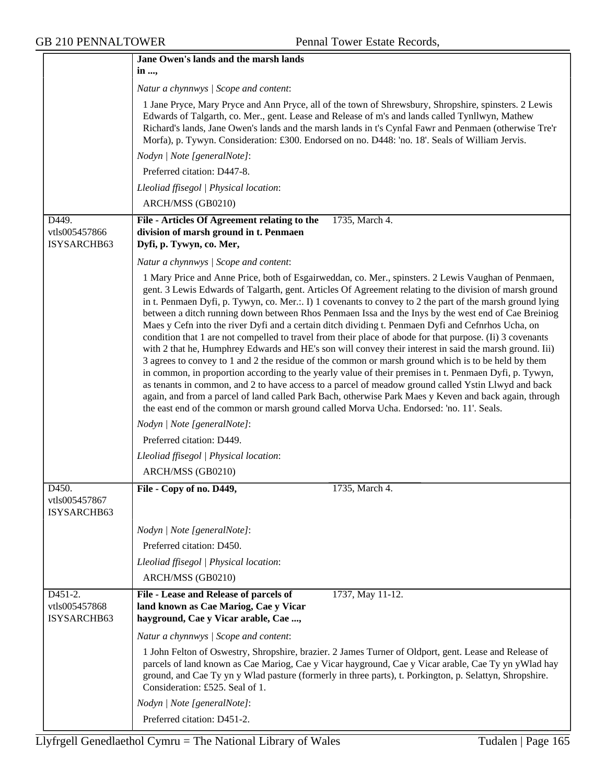|                                                      | Jane Owen's lands and the marsh lands                                                                                                                                                                                                                                                                                                                                                                                                                                                                                                                                                                                                                                                                                                                                                                                                                                                                                                                                                                                                                                                                                                                                                                                                                                                          |
|------------------------------------------------------|------------------------------------------------------------------------------------------------------------------------------------------------------------------------------------------------------------------------------------------------------------------------------------------------------------------------------------------------------------------------------------------------------------------------------------------------------------------------------------------------------------------------------------------------------------------------------------------------------------------------------------------------------------------------------------------------------------------------------------------------------------------------------------------------------------------------------------------------------------------------------------------------------------------------------------------------------------------------------------------------------------------------------------------------------------------------------------------------------------------------------------------------------------------------------------------------------------------------------------------------------------------------------------------------|
|                                                      | in ,                                                                                                                                                                                                                                                                                                                                                                                                                                                                                                                                                                                                                                                                                                                                                                                                                                                                                                                                                                                                                                                                                                                                                                                                                                                                                           |
|                                                      | Natur a chynnwys / Scope and content:                                                                                                                                                                                                                                                                                                                                                                                                                                                                                                                                                                                                                                                                                                                                                                                                                                                                                                                                                                                                                                                                                                                                                                                                                                                          |
|                                                      | 1 Jane Pryce, Mary Pryce and Ann Pryce, all of the town of Shrewsbury, Shropshire, spinsters. 2 Lewis<br>Edwards of Talgarth, co. Mer., gent. Lease and Release of m's and lands called Tynllwyn, Mathew<br>Richard's lands, Jane Owen's lands and the marsh lands in t's Cynfal Fawr and Penmaen (otherwise Tre'r<br>Morfa), p. Tywyn. Consideration: £300. Endorsed on no. D448: 'no. 18'. Seals of William Jervis.                                                                                                                                                                                                                                                                                                                                                                                                                                                                                                                                                                                                                                                                                                                                                                                                                                                                          |
|                                                      | Nodyn   Note [generalNote]:                                                                                                                                                                                                                                                                                                                                                                                                                                                                                                                                                                                                                                                                                                                                                                                                                                                                                                                                                                                                                                                                                                                                                                                                                                                                    |
|                                                      | Preferred citation: D447-8.                                                                                                                                                                                                                                                                                                                                                                                                                                                                                                                                                                                                                                                                                                                                                                                                                                                                                                                                                                                                                                                                                                                                                                                                                                                                    |
|                                                      | Lleoliad ffisegol   Physical location:                                                                                                                                                                                                                                                                                                                                                                                                                                                                                                                                                                                                                                                                                                                                                                                                                                                                                                                                                                                                                                                                                                                                                                                                                                                         |
|                                                      | ARCH/MSS (GB0210)                                                                                                                                                                                                                                                                                                                                                                                                                                                                                                                                                                                                                                                                                                                                                                                                                                                                                                                                                                                                                                                                                                                                                                                                                                                                              |
| D449.                                                | File - Articles Of Agreement relating to the<br>1735, March 4.                                                                                                                                                                                                                                                                                                                                                                                                                                                                                                                                                                                                                                                                                                                                                                                                                                                                                                                                                                                                                                                                                                                                                                                                                                 |
| vtls005457866<br>ISYSARCHB63                         | division of marsh ground in t. Penmaen<br>Dyfi, p. Tywyn, co. Mer,                                                                                                                                                                                                                                                                                                                                                                                                                                                                                                                                                                                                                                                                                                                                                                                                                                                                                                                                                                                                                                                                                                                                                                                                                             |
|                                                      | Natur a chynnwys / Scope and content:                                                                                                                                                                                                                                                                                                                                                                                                                                                                                                                                                                                                                                                                                                                                                                                                                                                                                                                                                                                                                                                                                                                                                                                                                                                          |
|                                                      | 1 Mary Price and Anne Price, both of Esgairweddan, co. Mer., spinsters. 2 Lewis Vaughan of Penmaen,<br>gent. 3 Lewis Edwards of Talgarth, gent. Articles Of Agreement relating to the division of marsh ground<br>in t. Penmaen Dyfi, p. Tywyn, co. Mer.:. I) 1 covenants to convey to 2 the part of the marsh ground lying<br>between a ditch running down between Rhos Penmaen Issa and the Inys by the west end of Cae Breiniog<br>Maes y Cefn into the river Dyfi and a certain ditch dividing t. Penmaen Dyfi and Cefnrhos Ucha, on<br>condition that 1 are not compelled to travel from their place of abode for that purpose. (Ii) 3 covenants<br>with 2 that he, Humphrey Edwards and HE's son will convey their interest in said the marsh ground. Iii)<br>3 agrees to convey to 1 and 2 the residue of the common or marsh ground which is to be held by them<br>in common, in proportion according to the yearly value of their premises in t. Penmaen Dyfi, p. Tywyn,<br>as tenants in common, and 2 to have access to a parcel of meadow ground called Ystin Llwyd and back<br>again, and from a parcel of land called Park Bach, otherwise Park Maes y Keven and back again, through<br>the east end of the common or marsh ground called Morva Ucha. Endorsed: 'no. 11'. Seals. |
|                                                      | Nodyn   Note [generalNote]:                                                                                                                                                                                                                                                                                                                                                                                                                                                                                                                                                                                                                                                                                                                                                                                                                                                                                                                                                                                                                                                                                                                                                                                                                                                                    |
|                                                      | Preferred citation: D449.                                                                                                                                                                                                                                                                                                                                                                                                                                                                                                                                                                                                                                                                                                                                                                                                                                                                                                                                                                                                                                                                                                                                                                                                                                                                      |
|                                                      | Lleoliad ffisegol   Physical location:                                                                                                                                                                                                                                                                                                                                                                                                                                                                                                                                                                                                                                                                                                                                                                                                                                                                                                                                                                                                                                                                                                                                                                                                                                                         |
|                                                      | ARCH/MSS (GB0210)                                                                                                                                                                                                                                                                                                                                                                                                                                                                                                                                                                                                                                                                                                                                                                                                                                                                                                                                                                                                                                                                                                                                                                                                                                                                              |
| D450.                                                | File - Copy of no. D449,<br>1735, March 4.                                                                                                                                                                                                                                                                                                                                                                                                                                                                                                                                                                                                                                                                                                                                                                                                                                                                                                                                                                                                                                                                                                                                                                                                                                                     |
| vtls005457867<br>ISYSARCHB63                         |                                                                                                                                                                                                                                                                                                                                                                                                                                                                                                                                                                                                                                                                                                                                                                                                                                                                                                                                                                                                                                                                                                                                                                                                                                                                                                |
|                                                      | Nodyn   Note [generalNote]:                                                                                                                                                                                                                                                                                                                                                                                                                                                                                                                                                                                                                                                                                                                                                                                                                                                                                                                                                                                                                                                                                                                                                                                                                                                                    |
|                                                      | Preferred citation: D450.                                                                                                                                                                                                                                                                                                                                                                                                                                                                                                                                                                                                                                                                                                                                                                                                                                                                                                                                                                                                                                                                                                                                                                                                                                                                      |
|                                                      | Lleoliad ffisegol   Physical location:                                                                                                                                                                                                                                                                                                                                                                                                                                                                                                                                                                                                                                                                                                                                                                                                                                                                                                                                                                                                                                                                                                                                                                                                                                                         |
|                                                      | ARCH/MSS (GB0210)                                                                                                                                                                                                                                                                                                                                                                                                                                                                                                                                                                                                                                                                                                                                                                                                                                                                                                                                                                                                                                                                                                                                                                                                                                                                              |
| D <sub>451</sub> -2.<br>vtls005457868<br>ISYSARCHB63 | File - Lease and Release of parcels of<br>1737, May 11-12.<br>land known as Cae Mariog, Cae y Vicar<br>hayground, Cae y Vicar arable, Cae ,                                                                                                                                                                                                                                                                                                                                                                                                                                                                                                                                                                                                                                                                                                                                                                                                                                                                                                                                                                                                                                                                                                                                                    |
|                                                      | Natur a chynnwys   Scope and content:                                                                                                                                                                                                                                                                                                                                                                                                                                                                                                                                                                                                                                                                                                                                                                                                                                                                                                                                                                                                                                                                                                                                                                                                                                                          |
|                                                      | 1 John Felton of Oswestry, Shropshire, brazier. 2 James Turner of Oldport, gent. Lease and Release of<br>parcels of land known as Cae Mariog, Cae y Vicar hayground, Cae y Vicar arable, Cae Ty yn y Wlad hay<br>ground, and Cae Ty yn y Wlad pasture (formerly in three parts), t. Porkington, p. Selattyn, Shropshire.<br>Consideration: £525. Seal of 1.                                                                                                                                                                                                                                                                                                                                                                                                                                                                                                                                                                                                                                                                                                                                                                                                                                                                                                                                    |
|                                                      | Nodyn   Note [generalNote]:                                                                                                                                                                                                                                                                                                                                                                                                                                                                                                                                                                                                                                                                                                                                                                                                                                                                                                                                                                                                                                                                                                                                                                                                                                                                    |
|                                                      | Preferred citation: D451-2.                                                                                                                                                                                                                                                                                                                                                                                                                                                                                                                                                                                                                                                                                                                                                                                                                                                                                                                                                                                                                                                                                                                                                                                                                                                                    |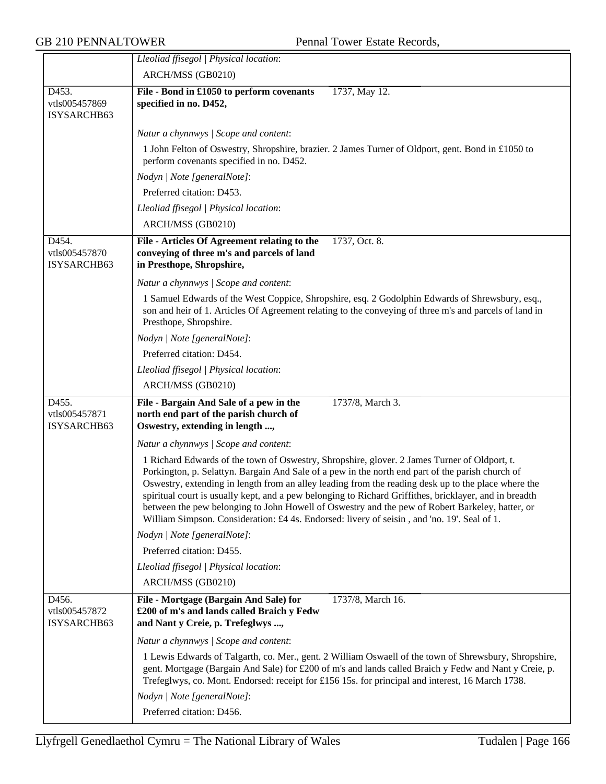|                                       | Lleoliad ffisegol   Physical location:                                                                                                                                                                                                                                                                                                                                                                                                                                                                                                                                                                              |
|---------------------------------------|---------------------------------------------------------------------------------------------------------------------------------------------------------------------------------------------------------------------------------------------------------------------------------------------------------------------------------------------------------------------------------------------------------------------------------------------------------------------------------------------------------------------------------------------------------------------------------------------------------------------|
|                                       | ARCH/MSS (GB0210)                                                                                                                                                                                                                                                                                                                                                                                                                                                                                                                                                                                                   |
| D453.<br>vtls005457869<br>ISYSARCHB63 | File - Bond in £1050 to perform covenants<br>1737, May 12.<br>specified in no. D452,                                                                                                                                                                                                                                                                                                                                                                                                                                                                                                                                |
|                                       | Natur a chynnwys / Scope and content:                                                                                                                                                                                                                                                                                                                                                                                                                                                                                                                                                                               |
|                                       | 1 John Felton of Oswestry, Shropshire, brazier. 2 James Turner of Oldport, gent. Bond in £1050 to<br>perform covenants specified in no. D452.                                                                                                                                                                                                                                                                                                                                                                                                                                                                       |
|                                       | Nodyn   Note [generalNote]:                                                                                                                                                                                                                                                                                                                                                                                                                                                                                                                                                                                         |
|                                       | Preferred citation: D453.                                                                                                                                                                                                                                                                                                                                                                                                                                                                                                                                                                                           |
|                                       | Lleoliad ffisegol   Physical location:                                                                                                                                                                                                                                                                                                                                                                                                                                                                                                                                                                              |
|                                       | ARCH/MSS (GB0210)                                                                                                                                                                                                                                                                                                                                                                                                                                                                                                                                                                                                   |
| D454.<br>vtls005457870<br>ISYSARCHB63 | File - Articles Of Agreement relating to the<br>1737, Oct. 8.<br>conveying of three m's and parcels of land<br>in Presthope, Shropshire,                                                                                                                                                                                                                                                                                                                                                                                                                                                                            |
|                                       | Natur a chynnwys / Scope and content:                                                                                                                                                                                                                                                                                                                                                                                                                                                                                                                                                                               |
|                                       | 1 Samuel Edwards of the West Coppice, Shropshire, esq. 2 Godolphin Edwards of Shrewsbury, esq.,<br>son and heir of 1. Articles Of Agreement relating to the conveying of three m's and parcels of land in<br>Presthope, Shropshire.                                                                                                                                                                                                                                                                                                                                                                                 |
|                                       | Nodyn   Note [generalNote]:                                                                                                                                                                                                                                                                                                                                                                                                                                                                                                                                                                                         |
|                                       | Preferred citation: D454.                                                                                                                                                                                                                                                                                                                                                                                                                                                                                                                                                                                           |
|                                       | Lleoliad ffisegol   Physical location:                                                                                                                                                                                                                                                                                                                                                                                                                                                                                                                                                                              |
|                                       | ARCH/MSS (GB0210)                                                                                                                                                                                                                                                                                                                                                                                                                                                                                                                                                                                                   |
| D455.<br>vtls005457871<br>ISYSARCHB63 | File - Bargain And Sale of a pew in the<br>1737/8, March 3.<br>north end part of the parish church of<br>Oswestry, extending in length ,                                                                                                                                                                                                                                                                                                                                                                                                                                                                            |
|                                       | Natur a chynnwys / Scope and content:                                                                                                                                                                                                                                                                                                                                                                                                                                                                                                                                                                               |
|                                       | 1 Richard Edwards of the town of Oswestry, Shropshire, glover. 2 James Turner of Oldport, t.<br>Porkington, p. Selattyn. Bargain And Sale of a pew in the north end part of the parish church of<br>Oswestry, extending in length from an alley leading from the reading desk up to the place where the<br>spiritual court is usually kept, and a pew belonging to Richard Griffithes, bricklayer, and in breadth<br>between the pew belonging to John Howell of Oswestry and the pew of Robert Barkeley, hatter, or<br>William Simpson. Consideration: £4 4s. Endorsed: livery of seisin, and 'no. 19'. Seal of 1. |
|                                       | Nodyn   Note [generalNote]:                                                                                                                                                                                                                                                                                                                                                                                                                                                                                                                                                                                         |
|                                       | Preferred citation: D455.                                                                                                                                                                                                                                                                                                                                                                                                                                                                                                                                                                                           |
|                                       | Lleoliad ffisegol   Physical location:                                                                                                                                                                                                                                                                                                                                                                                                                                                                                                                                                                              |
|                                       | ARCH/MSS (GB0210)                                                                                                                                                                                                                                                                                                                                                                                                                                                                                                                                                                                                   |
| D456.<br>vtls005457872<br>ISYSARCHB63 | File - Mortgage (Bargain And Sale) for<br>1737/8, March 16.<br>£200 of m's and lands called Braich y Fedw<br>and Nant y Creie, p. Trefeglwys ,                                                                                                                                                                                                                                                                                                                                                                                                                                                                      |
|                                       | Natur a chynnwys / Scope and content:                                                                                                                                                                                                                                                                                                                                                                                                                                                                                                                                                                               |
|                                       | 1 Lewis Edwards of Talgarth, co. Mer., gent. 2 William Oswaell of the town of Shrewsbury, Shropshire,<br>gent. Mortgage (Bargain And Sale) for £200 of m's and lands called Braich y Fedw and Nant y Creie, p.<br>Trefeglwys, co. Mont. Endorsed: receipt for £156 15s. for principal and interest, 16 March 1738.                                                                                                                                                                                                                                                                                                  |
|                                       | Nodyn   Note [generalNote]:                                                                                                                                                                                                                                                                                                                                                                                                                                                                                                                                                                                         |
|                                       | Preferred citation: D456.                                                                                                                                                                                                                                                                                                                                                                                                                                                                                                                                                                                           |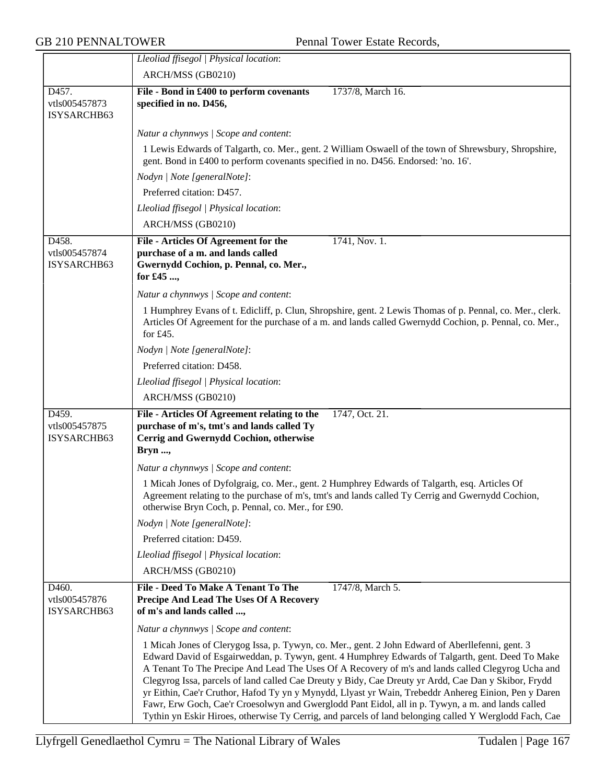|                                       | Lleoliad ffisegol   Physical location:                                                                                                                                                                                                                                                                                                                                                                                                                                                                                                                                                                                                                                                                                                   |
|---------------------------------------|------------------------------------------------------------------------------------------------------------------------------------------------------------------------------------------------------------------------------------------------------------------------------------------------------------------------------------------------------------------------------------------------------------------------------------------------------------------------------------------------------------------------------------------------------------------------------------------------------------------------------------------------------------------------------------------------------------------------------------------|
|                                       | ARCH/MSS (GB0210)                                                                                                                                                                                                                                                                                                                                                                                                                                                                                                                                                                                                                                                                                                                        |
| D457.<br>vtls005457873<br>ISYSARCHB63 | File - Bond in £400 to perform covenants<br>1737/8, March 16.<br>specified in no. D456,                                                                                                                                                                                                                                                                                                                                                                                                                                                                                                                                                                                                                                                  |
|                                       | Natur a chynnwys / Scope and content:                                                                                                                                                                                                                                                                                                                                                                                                                                                                                                                                                                                                                                                                                                    |
|                                       | 1 Lewis Edwards of Talgarth, co. Mer., gent. 2 William Oswaell of the town of Shrewsbury, Shropshire,<br>gent. Bond in £400 to perform covenants specified in no. D456. Endorsed: 'no. 16'.                                                                                                                                                                                                                                                                                                                                                                                                                                                                                                                                              |
|                                       | Nodyn   Note [generalNote]:                                                                                                                                                                                                                                                                                                                                                                                                                                                                                                                                                                                                                                                                                                              |
|                                       | Preferred citation: D457.                                                                                                                                                                                                                                                                                                                                                                                                                                                                                                                                                                                                                                                                                                                |
|                                       | Lleoliad ffisegol   Physical location:                                                                                                                                                                                                                                                                                                                                                                                                                                                                                                                                                                                                                                                                                                   |
|                                       | ARCH/MSS (GB0210)                                                                                                                                                                                                                                                                                                                                                                                                                                                                                                                                                                                                                                                                                                                        |
| D458.<br>vtls005457874<br>ISYSARCHB63 | 1741, Nov. 1.<br>File - Articles Of Agreement for the<br>purchase of a m. and lands called<br>Gwernydd Cochion, p. Pennal, co. Mer.,<br>for £45 ,                                                                                                                                                                                                                                                                                                                                                                                                                                                                                                                                                                                        |
|                                       | Natur a chynnwys / Scope and content:                                                                                                                                                                                                                                                                                                                                                                                                                                                                                                                                                                                                                                                                                                    |
|                                       | 1 Humphrey Evans of t. Edicliff, p. Clun, Shropshire, gent. 2 Lewis Thomas of p. Pennal, co. Mer., clerk.<br>Articles Of Agreement for the purchase of a m. and lands called Gwernydd Cochion, p. Pennal, co. Mer.,<br>for $£45$ .                                                                                                                                                                                                                                                                                                                                                                                                                                                                                                       |
|                                       | Nodyn   Note [generalNote]:                                                                                                                                                                                                                                                                                                                                                                                                                                                                                                                                                                                                                                                                                                              |
|                                       | Preferred citation: D458.                                                                                                                                                                                                                                                                                                                                                                                                                                                                                                                                                                                                                                                                                                                |
|                                       | Lleoliad ffisegol   Physical location:                                                                                                                                                                                                                                                                                                                                                                                                                                                                                                                                                                                                                                                                                                   |
|                                       | ARCH/MSS (GB0210)                                                                                                                                                                                                                                                                                                                                                                                                                                                                                                                                                                                                                                                                                                                        |
| D459.<br>vtls005457875<br>ISYSARCHB63 | 1747, Oct. 21.<br>File - Articles Of Agreement relating to the<br>purchase of m's, tmt's and lands called Ty<br>Cerrig and Gwernydd Cochion, otherwise<br>Bryn ,                                                                                                                                                                                                                                                                                                                                                                                                                                                                                                                                                                         |
|                                       | Natur a chynnwys / Scope and content:                                                                                                                                                                                                                                                                                                                                                                                                                                                                                                                                                                                                                                                                                                    |
|                                       | 1 Micah Jones of Dyfolgraig, co. Mer., gent. 2 Humphrey Edwards of Talgarth, esq. Articles Of<br>Agreement relating to the purchase of m's, tmt's and lands called Ty Cerrig and Gwernydd Cochion,<br>otherwise Bryn Coch, p. Pennal, co. Mer., for £90.                                                                                                                                                                                                                                                                                                                                                                                                                                                                                 |
|                                       | Nodyn   Note [generalNote]:                                                                                                                                                                                                                                                                                                                                                                                                                                                                                                                                                                                                                                                                                                              |
|                                       | Preferred citation: D459.                                                                                                                                                                                                                                                                                                                                                                                                                                                                                                                                                                                                                                                                                                                |
|                                       | Lleoliad ffisegol   Physical location:                                                                                                                                                                                                                                                                                                                                                                                                                                                                                                                                                                                                                                                                                                   |
|                                       | ARCH/MSS (GB0210)                                                                                                                                                                                                                                                                                                                                                                                                                                                                                                                                                                                                                                                                                                                        |
| D460.<br>vtls005457876<br>ISYSARCHB63 | File - Deed To Make A Tenant To The<br>1747/8, March 5.<br>Precipe And Lead The Uses Of A Recovery<br>of m's and lands called ,                                                                                                                                                                                                                                                                                                                                                                                                                                                                                                                                                                                                          |
|                                       | Natur a chynnwys / Scope and content:                                                                                                                                                                                                                                                                                                                                                                                                                                                                                                                                                                                                                                                                                                    |
|                                       | 1 Micah Jones of Clerygog Issa, p. Tywyn, co. Mer., gent. 2 John Edward of Aberllefenni, gent. 3<br>Edward David of Esgairweddan, p. Tywyn, gent. 4 Humphrey Edwards of Talgarth, gent. Deed To Make<br>A Tenant To The Precipe And Lead The Uses Of A Recovery of m's and lands called Clegyrog Ucha and<br>Clegyrog Issa, parcels of land called Cae Dreuty y Bidy, Cae Dreuty yr Ardd, Cae Dan y Skibor, Frydd<br>yr Eithin, Cae'r Cruthor, Hafod Ty yn y Mynydd, Llyast yr Wain, Trebeddr Anhereg Einion, Pen y Daren<br>Fawr, Erw Goch, Cae'r Croesolwyn and Gwerglodd Pant Eidol, all in p. Tywyn, a m. and lands called<br>Tythin yn Eskir Hiroes, otherwise Ty Cerrig, and parcels of land belonging called Y Werglodd Fach, Cae |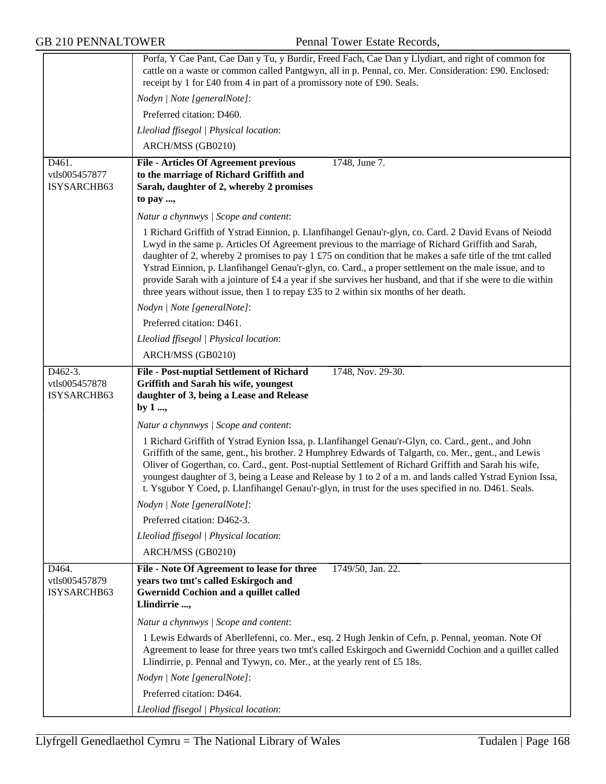GB 210 PENNALTOWER Pennal Tower Estate Records,

|                                         | Porfa, Y Cae Pant, Cae Dan y Tu, y Burdir, Freed Fach, Cae Dan y Llydiart, and right of common for<br>cattle on a waste or common called Pantgwyn, all in p. Pennal, co. Mer. Consideration: £90. Enclosed:<br>receipt by 1 for £40 from 4 in part of a promissory note of £90. Seals.                                                                                                                                                                                                                                                                                                                                                  |
|-----------------------------------------|-----------------------------------------------------------------------------------------------------------------------------------------------------------------------------------------------------------------------------------------------------------------------------------------------------------------------------------------------------------------------------------------------------------------------------------------------------------------------------------------------------------------------------------------------------------------------------------------------------------------------------------------|
|                                         | Nodyn   Note [generalNote]:                                                                                                                                                                                                                                                                                                                                                                                                                                                                                                                                                                                                             |
|                                         | Preferred citation: D460.                                                                                                                                                                                                                                                                                                                                                                                                                                                                                                                                                                                                               |
|                                         | Lleoliad ffisegol   Physical location:                                                                                                                                                                                                                                                                                                                                                                                                                                                                                                                                                                                                  |
|                                         | ARCH/MSS (GB0210)                                                                                                                                                                                                                                                                                                                                                                                                                                                                                                                                                                                                                       |
| D461.                                   | 1748, June 7.<br><b>File - Articles Of Agreement previous</b>                                                                                                                                                                                                                                                                                                                                                                                                                                                                                                                                                                           |
| vtls005457877                           | to the marriage of Richard Griffith and                                                                                                                                                                                                                                                                                                                                                                                                                                                                                                                                                                                                 |
| ISYSARCHB63                             | Sarah, daughter of 2, whereby 2 promises                                                                                                                                                                                                                                                                                                                                                                                                                                                                                                                                                                                                |
|                                         | to pay ,                                                                                                                                                                                                                                                                                                                                                                                                                                                                                                                                                                                                                                |
|                                         | Natur a chynnwys / Scope and content:                                                                                                                                                                                                                                                                                                                                                                                                                                                                                                                                                                                                   |
|                                         | 1 Richard Griffith of Ystrad Einnion, p. Llanfihangel Genau'r-glyn, co. Card. 2 David Evans of Neiodd<br>Lwyd in the same p. Articles Of Agreement previous to the marriage of Richard Griffith and Sarah,<br>daughter of 2, whereby 2 promises to pay 1 £75 on condition that he makes a safe title of the tmt called<br>Ystrad Einnion, p. Llanfihangel Genau'r-glyn, co. Card., a proper settlement on the male issue, and to<br>provide Sarah with a jointure of £4 a year if she survives her husband, and that if she were to die within<br>three years without issue, then 1 to repay $£35$ to 2 within six months of her death. |
|                                         | Nodyn   Note [generalNote]:                                                                                                                                                                                                                                                                                                                                                                                                                                                                                                                                                                                                             |
|                                         | Preferred citation: D461.                                                                                                                                                                                                                                                                                                                                                                                                                                                                                                                                                                                                               |
|                                         | Lleoliad ffisegol   Physical location:                                                                                                                                                                                                                                                                                                                                                                                                                                                                                                                                                                                                  |
|                                         | ARCH/MSS (GB0210)                                                                                                                                                                                                                                                                                                                                                                                                                                                                                                                                                                                                                       |
| D462-3.<br>vtls005457878<br>ISYSARCHB63 | File - Post-nuptial Settlement of Richard<br>1748, Nov. 29-30.<br>Griffith and Sarah his wife, youngest<br>daughter of 3, being a Lease and Release<br>by $1 \dots$                                                                                                                                                                                                                                                                                                                                                                                                                                                                     |
|                                         | Natur a chynnwys / Scope and content:                                                                                                                                                                                                                                                                                                                                                                                                                                                                                                                                                                                                   |
|                                         | 1 Richard Griffith of Ystrad Eynion Issa, p. Llanfihangel Genau'r-Glyn, co. Card., gent., and John<br>Griffith of the same, gent., his brother. 2 Humphrey Edwards of Talgarth, co. Mer., gent., and Lewis<br>Oliver of Gogerthan, co. Card., gent. Post-nuptial Settlement of Richard Griffith and Sarah his wife,<br>youngest daughter of 3, being a Lease and Release by 1 to 2 of a m. and lands called Ystrad Eynion Issa,<br>t. Ysgubor Y Coed, p. Llanfihangel Genau'r-glyn, in trust for the uses specified in no. D461. Seals.                                                                                                 |
|                                         | Nodyn   Note [generalNote]:                                                                                                                                                                                                                                                                                                                                                                                                                                                                                                                                                                                                             |
|                                         | Preferred citation: D462-3.                                                                                                                                                                                                                                                                                                                                                                                                                                                                                                                                                                                                             |
|                                         | Lleoliad ffisegol   Physical location:                                                                                                                                                                                                                                                                                                                                                                                                                                                                                                                                                                                                  |
|                                         | ARCH/MSS (GB0210)                                                                                                                                                                                                                                                                                                                                                                                                                                                                                                                                                                                                                       |
| D464.<br>vtls005457879<br>ISYSARCHB63   | 1749/50, Jan. 22.<br>File - Note Of Agreement to lease for three<br>years two tmt's called Eskirgoch and<br><b>Gwernidd Cochion and a quillet called</b><br>Llindirrie ,                                                                                                                                                                                                                                                                                                                                                                                                                                                                |
|                                         | Natur a chynnwys / Scope and content:                                                                                                                                                                                                                                                                                                                                                                                                                                                                                                                                                                                                   |
|                                         | 1 Lewis Edwards of Aberllefenni, co. Mer., esq. 2 Hugh Jenkin of Cefn, p. Pennal, yeoman. Note Of<br>Agreement to lease for three years two tmt's called Eskirgoch and Gwernidd Cochion and a quillet called<br>Llindirrie, p. Pennal and Tywyn, co. Mer., at the yearly rent of £5 18s.                                                                                                                                                                                                                                                                                                                                                |
|                                         | Nodyn   Note [generalNote]:                                                                                                                                                                                                                                                                                                                                                                                                                                                                                                                                                                                                             |
|                                         | Preferred citation: D464.                                                                                                                                                                                                                                                                                                                                                                                                                                                                                                                                                                                                               |
|                                         | Lleoliad ffisegol   Physical location:                                                                                                                                                                                                                                                                                                                                                                                                                                                                                                                                                                                                  |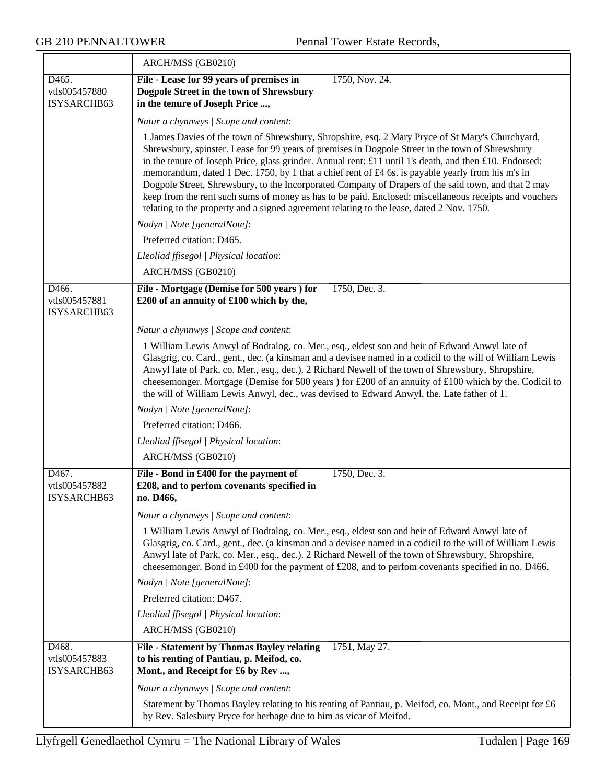|                                       | ARCH/MSS (GB0210)                                                                                                                                                                                                                                                                                                                                                                                                                                                                                                                                                                                                                                                                                                                  |  |
|---------------------------------------|------------------------------------------------------------------------------------------------------------------------------------------------------------------------------------------------------------------------------------------------------------------------------------------------------------------------------------------------------------------------------------------------------------------------------------------------------------------------------------------------------------------------------------------------------------------------------------------------------------------------------------------------------------------------------------------------------------------------------------|--|
| D465.<br>vtls005457880<br>ISYSARCHB63 | File - Lease for 99 years of premises in<br>1750, Nov. 24.<br>Dogpole Street in the town of Shrewsbury<br>in the tenure of Joseph Price ,                                                                                                                                                                                                                                                                                                                                                                                                                                                                                                                                                                                          |  |
|                                       | Natur a chynnwys / Scope and content:                                                                                                                                                                                                                                                                                                                                                                                                                                                                                                                                                                                                                                                                                              |  |
|                                       | 1 James Davies of the town of Shrewsbury, Shropshire, esq. 2 Mary Pryce of St Mary's Churchyard,<br>Shrewsbury, spinster. Lease for 99 years of premises in Dogpole Street in the town of Shrewsbury<br>in the tenure of Joseph Price, glass grinder. Annual rent: £11 until 1's death, and then £10. Endorsed:<br>memorandum, dated 1 Dec. 1750, by 1 that a chief rent of £4 6s. is payable yearly from his m's in<br>Dogpole Street, Shrewsbury, to the Incorporated Company of Drapers of the said town, and that 2 may<br>keep from the rent such sums of money as has to be paid. Enclosed: miscellaneous receipts and vouchers<br>relating to the property and a signed agreement relating to the lease, dated 2 Nov. 1750. |  |
|                                       | Nodyn   Note [generalNote]:                                                                                                                                                                                                                                                                                                                                                                                                                                                                                                                                                                                                                                                                                                        |  |
|                                       | Preferred citation: D465.                                                                                                                                                                                                                                                                                                                                                                                                                                                                                                                                                                                                                                                                                                          |  |
|                                       | Lleoliad ffisegol   Physical location:                                                                                                                                                                                                                                                                                                                                                                                                                                                                                                                                                                                                                                                                                             |  |
|                                       | ARCH/MSS (GB0210)                                                                                                                                                                                                                                                                                                                                                                                                                                                                                                                                                                                                                                                                                                                  |  |
| D466.<br>vtls005457881<br>ISYSARCHB63 | File - Mortgage (Demise for 500 years) for<br>1750, Dec. 3.<br>£200 of an annuity of £100 which by the,                                                                                                                                                                                                                                                                                                                                                                                                                                                                                                                                                                                                                            |  |
|                                       | Natur a chynnwys / Scope and content:                                                                                                                                                                                                                                                                                                                                                                                                                                                                                                                                                                                                                                                                                              |  |
|                                       | 1 William Lewis Anwyl of Bodtalog, co. Mer., esq., eldest son and heir of Edward Anwyl late of<br>Glasgrig, co. Card., gent., dec. (a kinsman and a devisee named in a codicil to the will of William Lewis<br>Anwyl late of Park, co. Mer., esq., dec.). 2 Richard Newell of the town of Shrewsbury, Shropshire,<br>cheesemonger. Mortgage (Demise for 500 years) for £200 of an annuity of £100 which by the. Codicil to<br>the will of William Lewis Anwyl, dec., was devised to Edward Anwyl, the. Late father of 1.                                                                                                                                                                                                           |  |
|                                       | Nodyn   Note [generalNote]:                                                                                                                                                                                                                                                                                                                                                                                                                                                                                                                                                                                                                                                                                                        |  |
|                                       | Preferred citation: D466.                                                                                                                                                                                                                                                                                                                                                                                                                                                                                                                                                                                                                                                                                                          |  |
|                                       | Lleoliad ffisegol   Physical location:                                                                                                                                                                                                                                                                                                                                                                                                                                                                                                                                                                                                                                                                                             |  |
|                                       | ARCH/MSS (GB0210)                                                                                                                                                                                                                                                                                                                                                                                                                                                                                                                                                                                                                                                                                                                  |  |
| D467.<br>vtls005457882<br>ISYSARCHB63 | File - Bond in £400 for the payment of<br>1750, Dec. 3.<br>£208, and to perfom covenants specified in<br>no. D466,                                                                                                                                                                                                                                                                                                                                                                                                                                                                                                                                                                                                                 |  |
|                                       | Natur a chynnwys / Scope and content:                                                                                                                                                                                                                                                                                                                                                                                                                                                                                                                                                                                                                                                                                              |  |
|                                       | 1 William Lewis Anwyl of Bodtalog, co. Mer., esq., eldest son and heir of Edward Anwyl late of<br>Glasgrig, co. Card., gent., dec. (a kinsman and a devisee named in a codicil to the will of William Lewis<br>Anwyl late of Park, co. Mer., esq., dec.). 2 Richard Newell of the town of Shrewsbury, Shropshire,<br>cheesemonger. Bond in £400 for the payment of £208, and to perfom covenants specified in no. D466.                                                                                                                                                                                                                                                                                                            |  |
|                                       | Nodyn   Note [generalNote]:                                                                                                                                                                                                                                                                                                                                                                                                                                                                                                                                                                                                                                                                                                        |  |
|                                       | Preferred citation: D467.                                                                                                                                                                                                                                                                                                                                                                                                                                                                                                                                                                                                                                                                                                          |  |
|                                       | Lleoliad ffisegol   Physical location:                                                                                                                                                                                                                                                                                                                                                                                                                                                                                                                                                                                                                                                                                             |  |
|                                       | ARCH/MSS (GB0210)                                                                                                                                                                                                                                                                                                                                                                                                                                                                                                                                                                                                                                                                                                                  |  |
| D468.<br>vtls005457883<br>ISYSARCHB63 | <b>File - Statement by Thomas Bayley relating</b><br>1751, May 27.<br>to his renting of Pantiau, p. Meifod, co.<br>Mont., and Receipt for £6 by Rev ,                                                                                                                                                                                                                                                                                                                                                                                                                                                                                                                                                                              |  |
|                                       | Natur a chynnwys / Scope and content:                                                                                                                                                                                                                                                                                                                                                                                                                                                                                                                                                                                                                                                                                              |  |
|                                       | Statement by Thomas Bayley relating to his renting of Pantiau, p. Meifod, co. Mont., and Receipt for £6<br>by Rev. Salesbury Pryce for herbage due to him as vicar of Meifod.                                                                                                                                                                                                                                                                                                                                                                                                                                                                                                                                                      |  |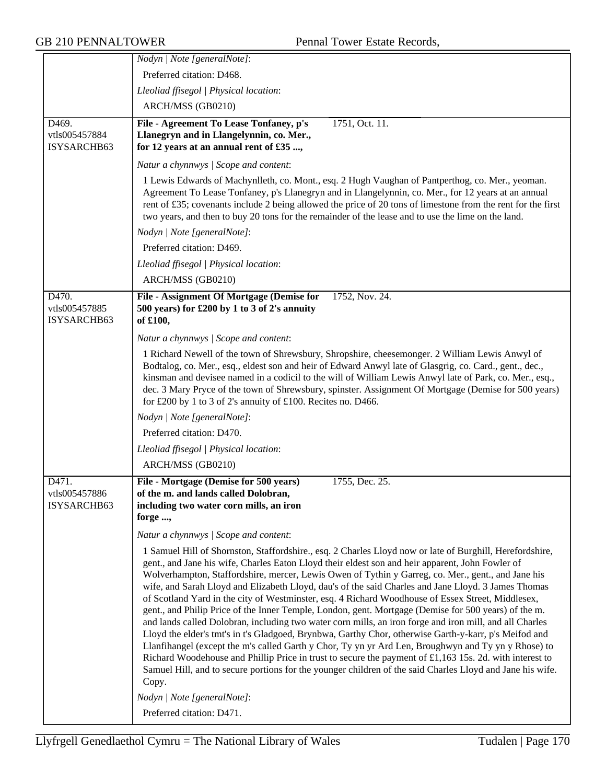|                                       | Nodyn   Note [generalNote]:                                                                                                                                                                                                                                                                                                                                                                                                                                                                                                                                                                                                                                                                                                                                                                                                                                                                                                                                                                                                                                                                                           |
|---------------------------------------|-----------------------------------------------------------------------------------------------------------------------------------------------------------------------------------------------------------------------------------------------------------------------------------------------------------------------------------------------------------------------------------------------------------------------------------------------------------------------------------------------------------------------------------------------------------------------------------------------------------------------------------------------------------------------------------------------------------------------------------------------------------------------------------------------------------------------------------------------------------------------------------------------------------------------------------------------------------------------------------------------------------------------------------------------------------------------------------------------------------------------|
|                                       | Preferred citation: D468.                                                                                                                                                                                                                                                                                                                                                                                                                                                                                                                                                                                                                                                                                                                                                                                                                                                                                                                                                                                                                                                                                             |
|                                       | Lleoliad ffisegol   Physical location:                                                                                                                                                                                                                                                                                                                                                                                                                                                                                                                                                                                                                                                                                                                                                                                                                                                                                                                                                                                                                                                                                |
|                                       | ARCH/MSS (GB0210)                                                                                                                                                                                                                                                                                                                                                                                                                                                                                                                                                                                                                                                                                                                                                                                                                                                                                                                                                                                                                                                                                                     |
| D469.                                 | File - Agreement To Lease Tonfaney, p's<br>1751, Oct. 11.                                                                                                                                                                                                                                                                                                                                                                                                                                                                                                                                                                                                                                                                                                                                                                                                                                                                                                                                                                                                                                                             |
| vtls005457884                         | Llanegryn and in Llangelynnin, co. Mer.,                                                                                                                                                                                                                                                                                                                                                                                                                                                                                                                                                                                                                                                                                                                                                                                                                                                                                                                                                                                                                                                                              |
| ISYSARCHB63                           | for 12 years at an annual rent of £35 ,                                                                                                                                                                                                                                                                                                                                                                                                                                                                                                                                                                                                                                                                                                                                                                                                                                                                                                                                                                                                                                                                               |
|                                       | Natur a chynnwys / Scope and content:                                                                                                                                                                                                                                                                                                                                                                                                                                                                                                                                                                                                                                                                                                                                                                                                                                                                                                                                                                                                                                                                                 |
|                                       | 1 Lewis Edwards of Machynlleth, co. Mont., esq. 2 Hugh Vaughan of Pantperthog, co. Mer., yeoman.<br>Agreement To Lease Tonfaney, p's Llanegryn and in Llangelynnin, co. Mer., for 12 years at an annual<br>rent of £35; covenants include 2 being allowed the price of 20 tons of limestone from the rent for the first<br>two years, and then to buy 20 tons for the remainder of the lease and to use the lime on the land.                                                                                                                                                                                                                                                                                                                                                                                                                                                                                                                                                                                                                                                                                         |
|                                       | Nodyn   Note [generalNote]:                                                                                                                                                                                                                                                                                                                                                                                                                                                                                                                                                                                                                                                                                                                                                                                                                                                                                                                                                                                                                                                                                           |
|                                       | Preferred citation: D469.                                                                                                                                                                                                                                                                                                                                                                                                                                                                                                                                                                                                                                                                                                                                                                                                                                                                                                                                                                                                                                                                                             |
|                                       | Lleoliad ffisegol   Physical location:                                                                                                                                                                                                                                                                                                                                                                                                                                                                                                                                                                                                                                                                                                                                                                                                                                                                                                                                                                                                                                                                                |
|                                       | ARCH/MSS (GB0210)                                                                                                                                                                                                                                                                                                                                                                                                                                                                                                                                                                                                                                                                                                                                                                                                                                                                                                                                                                                                                                                                                                     |
| D470.<br>vtls005457885<br>ISYSARCHB63 | File - Assignment Of Mortgage (Demise for<br>1752, Nov. 24.<br>500 years) for £200 by 1 to 3 of 2's annuity<br>of £100,                                                                                                                                                                                                                                                                                                                                                                                                                                                                                                                                                                                                                                                                                                                                                                                                                                                                                                                                                                                               |
|                                       | Natur a chynnwys / Scope and content:                                                                                                                                                                                                                                                                                                                                                                                                                                                                                                                                                                                                                                                                                                                                                                                                                                                                                                                                                                                                                                                                                 |
|                                       | 1 Richard Newell of the town of Shrewsbury, Shropshire, cheesemonger. 2 William Lewis Anwyl of<br>Bodtalog, co. Mer., esq., eldest son and heir of Edward Anwyl late of Glasgrig, co. Card., gent., dec.,<br>kinsman and devisee named in a codicil to the will of William Lewis Anwyl late of Park, co. Mer., esq.,<br>dec. 3 Mary Pryce of the town of Shrewsbury, spinster. Assignment Of Mortgage (Demise for 500 years)<br>for £200 by 1 to 3 of 2's annuity of £100. Recites no. D466.                                                                                                                                                                                                                                                                                                                                                                                                                                                                                                                                                                                                                          |
|                                       | Nodyn   Note [generalNote]:                                                                                                                                                                                                                                                                                                                                                                                                                                                                                                                                                                                                                                                                                                                                                                                                                                                                                                                                                                                                                                                                                           |
|                                       | Preferred citation: D470.                                                                                                                                                                                                                                                                                                                                                                                                                                                                                                                                                                                                                                                                                                                                                                                                                                                                                                                                                                                                                                                                                             |
|                                       | Lleoliad ffisegol   Physical location:                                                                                                                                                                                                                                                                                                                                                                                                                                                                                                                                                                                                                                                                                                                                                                                                                                                                                                                                                                                                                                                                                |
|                                       | ARCH/MSS (GB0210)                                                                                                                                                                                                                                                                                                                                                                                                                                                                                                                                                                                                                                                                                                                                                                                                                                                                                                                                                                                                                                                                                                     |
| D471.<br>vtls005457886<br>ISYSARCHB63 | File - Mortgage (Demise for 500 years)<br>1755, Dec. 25.<br>of the m. and lands called Dolobran,<br>including two water corn mills, an iron<br>forge ,<br>Natur a chynnwys / Scope and content:                                                                                                                                                                                                                                                                                                                                                                                                                                                                                                                                                                                                                                                                                                                                                                                                                                                                                                                       |
|                                       | 1 Samuel Hill of Shornston, Staffordshire., esq. 2 Charles Lloyd now or late of Burghill, Herefordshire,                                                                                                                                                                                                                                                                                                                                                                                                                                                                                                                                                                                                                                                                                                                                                                                                                                                                                                                                                                                                              |
|                                       | gent., and Jane his wife, Charles Eaton Lloyd their eldest son and heir apparent, John Fowler of<br>Wolverhampton, Staffordshire, mercer, Lewis Owen of Tythin y Garreg, co. Mer., gent., and Jane his<br>wife, and Sarah Lloyd and Elizabeth Lloyd, dau's of the said Charles and Jane Lloyd. 3 James Thomas<br>of Scotland Yard in the city of Westminster, esq. 4 Richard Woodhouse of Essex Street, Middlesex,<br>gent., and Philip Price of the Inner Temple, London, gent. Mortgage (Demise for 500 years) of the m.<br>and lands called Dolobran, including two water corn mills, an iron forge and iron mill, and all Charles<br>Lloyd the elder's tmt's in t's Gladgoed, Brynbwa, Garthy Chor, otherwise Garth-y-karr, p's Meifod and<br>Llanfihangel (except the m's called Garth y Chor, Ty yn yr Ard Len, Broughwyn and Ty yn y Rhose) to<br>Richard Woodehouse and Phillip Price in trust to secure the payment of £1,163 15s. 2d. with interest to<br>Samuel Hill, and to secure portions for the younger children of the said Charles Lloyd and Jane his wife.<br>Copy.<br>Nodyn   Note [generalNote]: |
|                                       | Preferred citation: D471.                                                                                                                                                                                                                                                                                                                                                                                                                                                                                                                                                                                                                                                                                                                                                                                                                                                                                                                                                                                                                                                                                             |
|                                       |                                                                                                                                                                                                                                                                                                                                                                                                                                                                                                                                                                                                                                                                                                                                                                                                                                                                                                                                                                                                                                                                                                                       |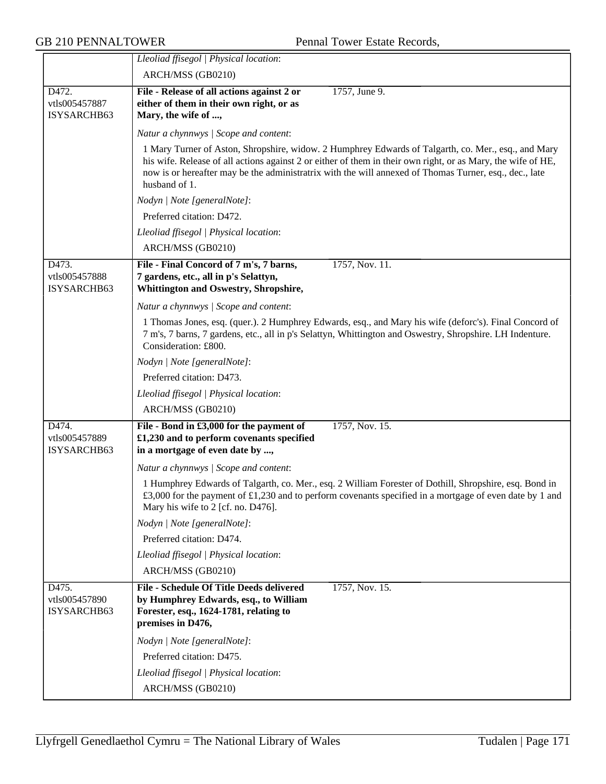|                                       | Lleoliad ffisegol   Physical location:<br>ARCH/MSS (GB0210)                                                                                                                                                                                                                                                                                    |
|---------------------------------------|------------------------------------------------------------------------------------------------------------------------------------------------------------------------------------------------------------------------------------------------------------------------------------------------------------------------------------------------|
| D472.                                 | 1757, June 9.<br>File - Release of all actions against 2 or                                                                                                                                                                                                                                                                                    |
| vtls005457887                         | either of them in their own right, or as                                                                                                                                                                                                                                                                                                       |
| ISYSARCHB63                           | Mary, the wife of ,                                                                                                                                                                                                                                                                                                                            |
|                                       | Natur a chynnwys / Scope and content:                                                                                                                                                                                                                                                                                                          |
|                                       | 1 Mary Turner of Aston, Shropshire, widow. 2 Humphrey Edwards of Talgarth, co. Mer., esq., and Mary<br>his wife. Release of all actions against 2 or either of them in their own right, or as Mary, the wife of HE,<br>now is or hereafter may be the administratrix with the will annexed of Thomas Turner, esq., dec., late<br>husband of 1. |
|                                       | Nodyn   Note [generalNote]:                                                                                                                                                                                                                                                                                                                    |
|                                       | Preferred citation: D472.                                                                                                                                                                                                                                                                                                                      |
|                                       | Lleoliad ffisegol   Physical location:                                                                                                                                                                                                                                                                                                         |
|                                       | ARCH/MSS (GB0210)                                                                                                                                                                                                                                                                                                                              |
| D473.                                 | File - Final Concord of 7 m's, 7 barns,<br>1757, Nov. 11.                                                                                                                                                                                                                                                                                      |
| vtls005457888                         | 7 gardens, etc., all in p's Selattyn,                                                                                                                                                                                                                                                                                                          |
| ISYSARCHB63                           | <b>Whittington and Oswestry, Shropshire,</b>                                                                                                                                                                                                                                                                                                   |
|                                       | Natur a chynnwys / Scope and content:                                                                                                                                                                                                                                                                                                          |
|                                       | 1 Thomas Jones, esq. (quer.). 2 Humphrey Edwards, esq., and Mary his wife (deforc's). Final Concord of<br>7 m's, 7 barns, 7 gardens, etc., all in p's Selattyn, Whittington and Oswestry, Shropshire. LH Indenture.<br>Consideration: £800.                                                                                                    |
|                                       | Nodyn   Note [generalNote]:                                                                                                                                                                                                                                                                                                                    |
|                                       | Preferred citation: D473.                                                                                                                                                                                                                                                                                                                      |
|                                       | Lleoliad ffisegol   Physical location:                                                                                                                                                                                                                                                                                                         |
|                                       | ARCH/MSS (GB0210)                                                                                                                                                                                                                                                                                                                              |
| D474.                                 | File - Bond in £3,000 for the payment of<br>1757, Nov. 15.                                                                                                                                                                                                                                                                                     |
| vtls005457889                         | £1,230 and to perform covenants specified                                                                                                                                                                                                                                                                                                      |
| ISYSARCHB63                           | in a mortgage of even date by ,                                                                                                                                                                                                                                                                                                                |
|                                       | Natur a chynnwys / Scope and content:                                                                                                                                                                                                                                                                                                          |
|                                       | 1 Humphrey Edwards of Talgarth, co. Mer., esq. 2 William Forester of Dothill, Shropshire, esq. Bond in<br>£3,000 for the payment of £1,230 and to perform covenants specified in a mortgage of even date by 1 and<br>Mary his wife to 2 [cf. no. D476].                                                                                        |
|                                       | Nodyn   Note [generalNote]:                                                                                                                                                                                                                                                                                                                    |
|                                       | Preferred citation: D474.                                                                                                                                                                                                                                                                                                                      |
|                                       | Lleoliad ffisegol   Physical location:                                                                                                                                                                                                                                                                                                         |
|                                       | ARCH/MSS (GB0210)                                                                                                                                                                                                                                                                                                                              |
| D475.<br>vtls005457890<br>ISYSARCHB63 | <b>File - Schedule Of Title Deeds delivered</b><br>1757, Nov. 15.<br>by Humphrey Edwards, esq., to William<br>Forester, esq., 1624-1781, relating to<br>premises in D476,                                                                                                                                                                      |
|                                       | Nodyn   Note [generalNote]:                                                                                                                                                                                                                                                                                                                    |
|                                       | Preferred citation: D475.                                                                                                                                                                                                                                                                                                                      |
|                                       | Lleoliad ffisegol   Physical location:                                                                                                                                                                                                                                                                                                         |
|                                       | ARCH/MSS (GB0210)                                                                                                                                                                                                                                                                                                                              |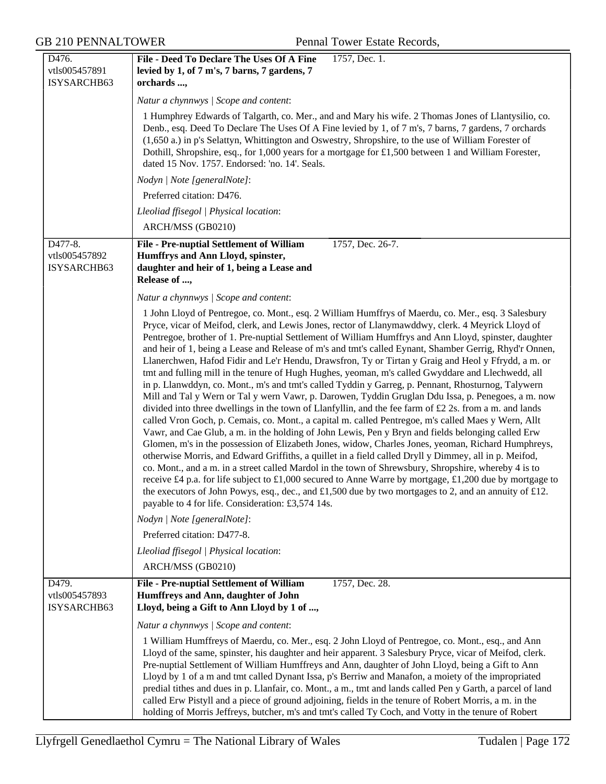GB 210 PENNALTOWER Pennal Tower Estate Records,

| D476.                                              | File - Deed To Declare The Uses Of A Fine<br>1757, Dec. 1.                                                                                                                                                                                                                                                                                                                                                                                                                                                                                                                                                                                                                                                                                                                                                                                                                                                                                                                                                                                                                                                                                                                                                                                                                                                                                                                                                                                                                                                                                                                                                                                                                                                                                                                |
|----------------------------------------------------|---------------------------------------------------------------------------------------------------------------------------------------------------------------------------------------------------------------------------------------------------------------------------------------------------------------------------------------------------------------------------------------------------------------------------------------------------------------------------------------------------------------------------------------------------------------------------------------------------------------------------------------------------------------------------------------------------------------------------------------------------------------------------------------------------------------------------------------------------------------------------------------------------------------------------------------------------------------------------------------------------------------------------------------------------------------------------------------------------------------------------------------------------------------------------------------------------------------------------------------------------------------------------------------------------------------------------------------------------------------------------------------------------------------------------------------------------------------------------------------------------------------------------------------------------------------------------------------------------------------------------------------------------------------------------------------------------------------------------------------------------------------------------|
| vtls005457891                                      | levied by 1, of 7 m's, 7 barns, 7 gardens, 7                                                                                                                                                                                                                                                                                                                                                                                                                                                                                                                                                                                                                                                                                                                                                                                                                                                                                                                                                                                                                                                                                                                                                                                                                                                                                                                                                                                                                                                                                                                                                                                                                                                                                                                              |
| ISYSARCHB63                                        | orchards ,                                                                                                                                                                                                                                                                                                                                                                                                                                                                                                                                                                                                                                                                                                                                                                                                                                                                                                                                                                                                                                                                                                                                                                                                                                                                                                                                                                                                                                                                                                                                                                                                                                                                                                                                                                |
|                                                    | Natur a chynnwys / Scope and content:                                                                                                                                                                                                                                                                                                                                                                                                                                                                                                                                                                                                                                                                                                                                                                                                                                                                                                                                                                                                                                                                                                                                                                                                                                                                                                                                                                                                                                                                                                                                                                                                                                                                                                                                     |
|                                                    | 1 Humphrey Edwards of Talgarth, co. Mer., and and Mary his wife. 2 Thomas Jones of Llantysilio, co.<br>Denb., esq. Deed To Declare The Uses Of A Fine levied by 1, of 7 m's, 7 barns, 7 gardens, 7 orchards<br>(1,650 a.) in p's Selattyn, Whittington and Oswestry, Shropshire, to the use of William Forester of<br>Dothill, Shropshire, esq., for 1,000 years for a mortgage for £1,500 between 1 and William Forester,<br>dated 15 Nov. 1757. Endorsed: 'no. 14'. Seals.                                                                                                                                                                                                                                                                                                                                                                                                                                                                                                                                                                                                                                                                                                                                                                                                                                                                                                                                                                                                                                                                                                                                                                                                                                                                                              |
|                                                    | Nodyn   Note [generalNote]:                                                                                                                                                                                                                                                                                                                                                                                                                                                                                                                                                                                                                                                                                                                                                                                                                                                                                                                                                                                                                                                                                                                                                                                                                                                                                                                                                                                                                                                                                                                                                                                                                                                                                                                                               |
|                                                    | Preferred citation: D476.                                                                                                                                                                                                                                                                                                                                                                                                                                                                                                                                                                                                                                                                                                                                                                                                                                                                                                                                                                                                                                                                                                                                                                                                                                                                                                                                                                                                                                                                                                                                                                                                                                                                                                                                                 |
|                                                    | Lleoliad ffisegol   Physical location:                                                                                                                                                                                                                                                                                                                                                                                                                                                                                                                                                                                                                                                                                                                                                                                                                                                                                                                                                                                                                                                                                                                                                                                                                                                                                                                                                                                                                                                                                                                                                                                                                                                                                                                                    |
|                                                    | ARCH/MSS (GB0210)                                                                                                                                                                                                                                                                                                                                                                                                                                                                                                                                                                                                                                                                                                                                                                                                                                                                                                                                                                                                                                                                                                                                                                                                                                                                                                                                                                                                                                                                                                                                                                                                                                                                                                                                                         |
| D477-8.<br>vtls005457892<br>ISYSARCHB63            | File - Pre-nuptial Settlement of William<br>1757, Dec. 26-7.<br>Humffrys and Ann Lloyd, spinster,<br>daughter and heir of 1, being a Lease and<br>Release of ,                                                                                                                                                                                                                                                                                                                                                                                                                                                                                                                                                                                                                                                                                                                                                                                                                                                                                                                                                                                                                                                                                                                                                                                                                                                                                                                                                                                                                                                                                                                                                                                                            |
|                                                    | Natur a chynnwys / Scope and content:                                                                                                                                                                                                                                                                                                                                                                                                                                                                                                                                                                                                                                                                                                                                                                                                                                                                                                                                                                                                                                                                                                                                                                                                                                                                                                                                                                                                                                                                                                                                                                                                                                                                                                                                     |
|                                                    | 1 John Lloyd of Pentregoe, co. Mont., esq. 2 William Humffrys of Maerdu, co. Mer., esq. 3 Salesbury<br>Pryce, vicar of Meifod, clerk, and Lewis Jones, rector of Llanymawddwy, clerk. 4 Meyrick Lloyd of<br>Pentregoe, brother of 1. Pre-nuptial Settlement of William Humffrys and Ann Lloyd, spinster, daughter<br>and heir of 1, being a Lease and Release of m's and tmt's called Eynant, Shamber Gerrig, Rhyd'r Onnen,<br>Llanerchwen, Hafod Fidir and Le'r Hendu, Drawsfron, Ty or Tirtan y Graig and Heol y Ffrydd, a m. or<br>tmt and fulling mill in the tenure of Hugh Hughes, yeoman, m's called Gwyddare and Llechwedd, all<br>in p. Llanwddyn, co. Mont., m's and tmt's called Tyddin y Garreg, p. Pennant, Rhosturnog, Talywern<br>Mill and Tal y Wern or Tal y wern Vawr, p. Darowen, Tyddin Gruglan Ddu Issa, p. Penegoes, a m. now<br>divided into three dwellings in the town of Llanfyllin, and the fee farm of £2 2s. from a m. and lands<br>called Vron Goch, p. Cemais, co. Mont., a capital m. called Pentregoe, m's called Maes y Wern, Allt<br>Vawr, and Cae Glub, a m. in the holding of John Lewis, Pen y Bryn and fields belonging called Erw<br>Glomen, m's in the possession of Elizabeth Jones, widow, Charles Jones, yeoman, Richard Humphreys,<br>otherwise Morris, and Edward Griffiths, a quillet in a field called Dryll y Dimmey, all in p. Meifod,<br>co. Mont., and a m. in a street called Mardol in the town of Shrewsbury, Shropshire, whereby 4 is to<br>receive £4 p.a. for life subject to £1,000 secured to Anne Warre by mortgage, £1,200 due by mortgage to<br>the executors of John Powys, esq., dec., and £1,500 due by two mortgages to 2, and an annuity of £12.<br>payable to 4 for life. Consideration: £3,574 14s. |
|                                                    | Nodyn   Note [generalNote]:                                                                                                                                                                                                                                                                                                                                                                                                                                                                                                                                                                                                                                                                                                                                                                                                                                                                                                                                                                                                                                                                                                                                                                                                                                                                                                                                                                                                                                                                                                                                                                                                                                                                                                                                               |
|                                                    | Preferred citation: D477-8.                                                                                                                                                                                                                                                                                                                                                                                                                                                                                                                                                                                                                                                                                                                                                                                                                                                                                                                                                                                                                                                                                                                                                                                                                                                                                                                                                                                                                                                                                                                                                                                                                                                                                                                                               |
|                                                    | Lleoliad ffisegol   Physical location:                                                                                                                                                                                                                                                                                                                                                                                                                                                                                                                                                                                                                                                                                                                                                                                                                                                                                                                                                                                                                                                                                                                                                                                                                                                                                                                                                                                                                                                                                                                                                                                                                                                                                                                                    |
|                                                    | ARCH/MSS (GB0210)                                                                                                                                                                                                                                                                                                                                                                                                                                                                                                                                                                                                                                                                                                                                                                                                                                                                                                                                                                                                                                                                                                                                                                                                                                                                                                                                                                                                                                                                                                                                                                                                                                                                                                                                                         |
| D <sub>479</sub> .<br>vtls005457893<br>ISYSARCHB63 | File - Pre-nuptial Settlement of William<br>1757, Dec. 28.<br>Humffreys and Ann, daughter of John<br>Lloyd, being a Gift to Ann Lloyd by 1 of ,                                                                                                                                                                                                                                                                                                                                                                                                                                                                                                                                                                                                                                                                                                                                                                                                                                                                                                                                                                                                                                                                                                                                                                                                                                                                                                                                                                                                                                                                                                                                                                                                                           |
|                                                    | Natur a chynnwys / Scope and content:                                                                                                                                                                                                                                                                                                                                                                                                                                                                                                                                                                                                                                                                                                                                                                                                                                                                                                                                                                                                                                                                                                                                                                                                                                                                                                                                                                                                                                                                                                                                                                                                                                                                                                                                     |
|                                                    | 1 William Humffreys of Maerdu, co. Mer., esq. 2 John Lloyd of Pentregoe, co. Mont., esq., and Ann<br>Lloyd of the same, spinster, his daughter and heir apparent. 3 Salesbury Pryce, vicar of Meifod, clerk.<br>Pre-nuptial Settlement of William Humffreys and Ann, daughter of John Lloyd, being a Gift to Ann<br>Lloyd by 1 of a m and tmt called Dynant Issa, p's Berriw and Manafon, a moiety of the impropriated<br>predial tithes and dues in p. Llanfair, co. Mont., a m., tmt and lands called Pen y Garth, a parcel of land<br>called Erw Pistyll and a piece of ground adjoining, fields in the tenure of Robert Morris, a m. in the<br>holding of Morris Jeffreys, butcher, m's and tmt's called Ty Coch, and Votty in the tenure of Robert                                                                                                                                                                                                                                                                                                                                                                                                                                                                                                                                                                                                                                                                                                                                                                                                                                                                                                                                                                                                                   |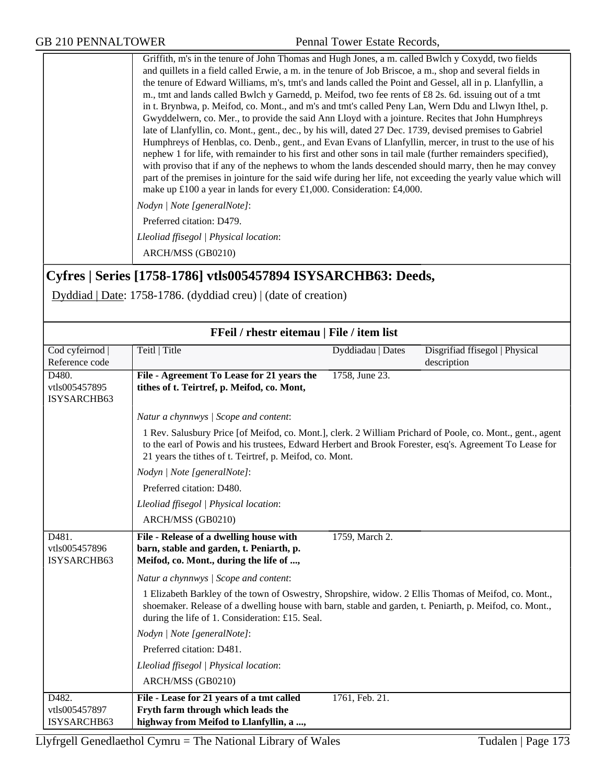Griffith, m's in the tenure of John Thomas and Hugh Jones, a m. called Bwlch y Coxydd, two fields and quillets in a field called Erwie, a m. in the tenure of Job Briscoe, a m., shop and several fields in the tenure of Edward Williams, m's, tmt's and lands called the Point and Gessel, all in p. Llanfyllin, a m., tmt and lands called Bwlch y Garnedd, p. Meifod, two fee rents of £8 2s. 6d. issuing out of a tmt in t. Brynbwa, p. Meifod, co. Mont., and m's and tmt's called Peny Lan, Wern Ddu and Llwyn Ithel, p. Gwyddelwern, co. Mer., to provide the said Ann Lloyd with a jointure. Recites that John Humphreys late of Llanfyllin, co. Mont., gent., dec., by his will, dated 27 Dec. 1739, devised premises to Gabriel Humphreys of Henblas, co. Denb., gent., and Evan Evans of Llanfyllin, mercer, in trust to the use of his nephew 1 for life, with remainder to his first and other sons in tail male (further remainders specified), with proviso that if any of the nephews to whom the lands descended should marry, then he may convey part of the premises in jointure for the said wife during her life, not exceeding the yearly value which will make up £100 a year in lands for every £1,000. Consideration: £4,000.

*Nodyn | Note [generalNote]*:

Preferred citation: D479.

*Lleoliad ffisegol | Physical location*:

ARCH/MSS (GB0210)

## **Cyfres | Series [1758-1786] vtls005457894 ISYSARCHB63: Deeds,**

Dyddiad | Date: 1758-1786. (dyddiad creu) | (date of creation)

|                                       | FFeil / rhestr eitemau   File / item list                                                                                                                                                                                                                                                                                                                                                                                                             |                   |                                               |
|---------------------------------------|-------------------------------------------------------------------------------------------------------------------------------------------------------------------------------------------------------------------------------------------------------------------------------------------------------------------------------------------------------------------------------------------------------------------------------------------------------|-------------------|-----------------------------------------------|
| Cod cyfeirnod  <br>Reference code     | Teitl   Title                                                                                                                                                                                                                                                                                                                                                                                                                                         | Dyddiadau   Dates | Disgrifiad ffisegol   Physical<br>description |
| D480.<br>vtls005457895<br>ISYSARCHB63 | File - Agreement To Lease for 21 years the<br>tithes of t. Teirtref, p. Meifod, co. Mont,                                                                                                                                                                                                                                                                                                                                                             | 1758, June 23.    |                                               |
|                                       | Natur a chynnwys / Scope and content:<br>1 Rev. Salusbury Price [of Meifod, co. Mont.], clerk. 2 William Prichard of Poole, co. Mont., gent., agent<br>to the earl of Powis and his trustees, Edward Herbert and Brook Forester, esq's. Agreement To Lease for<br>21 years the tithes of t. Teirtref, p. Meifod, co. Mont.<br>Nodyn   Note [generalNote]:<br>Preferred citation: D480.<br>Lleoliad ffisegol   Physical location:<br>ARCH/MSS (GB0210) |                   |                                               |
| D481.<br>vtls005457896<br>ISYSARCHB63 | File - Release of a dwelling house with<br>barn, stable and garden, t. Peniarth, p.<br>Meifod, co. Mont., during the life of ,                                                                                                                                                                                                                                                                                                                        | 1759, March 2.    |                                               |
|                                       | Natur a chynnwys / Scope and content:<br>1 Elizabeth Barkley of the town of Oswestry, Shropshire, widow. 2 Ellis Thomas of Meifod, co. Mont.,<br>shoemaker. Release of a dwelling house with barn, stable and garden, t. Peniarth, p. Meifod, co. Mont.,<br>during the life of 1. Consideration: £15. Seal.                                                                                                                                           |                   |                                               |
|                                       | Nodyn   Note [generalNote]:<br>Preferred citation: D481.                                                                                                                                                                                                                                                                                                                                                                                              |                   |                                               |
|                                       | Lleoliad ffisegol   Physical location:<br>ARCH/MSS (GB0210)                                                                                                                                                                                                                                                                                                                                                                                           |                   |                                               |
| D482.<br>vtls005457897<br>ISYSARCHB63 | File - Lease for 21 years of a tmt called<br>Fryth farm through which leads the<br>highway from Meifod to Llanfyllin, a ,                                                                                                                                                                                                                                                                                                                             | 1761, Feb. 21.    |                                               |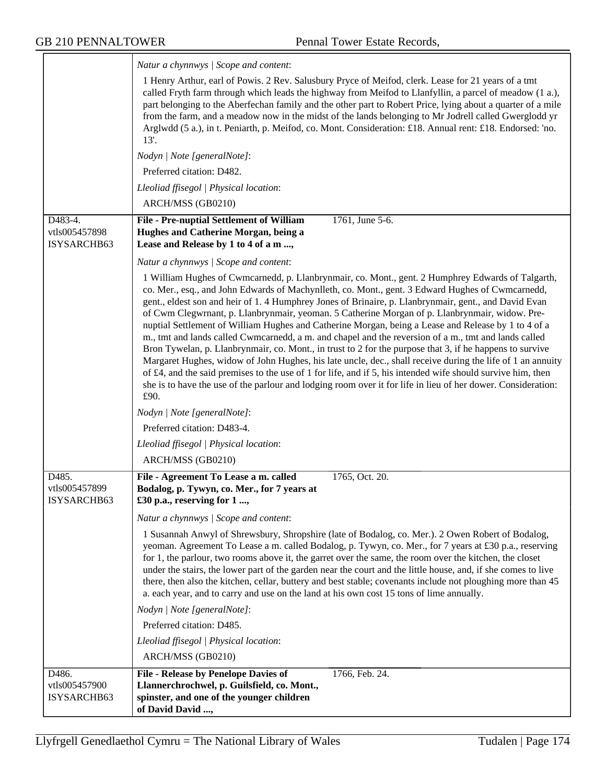|                                         | Natur a chynnwys / Scope and content:                                                                                                                                                                                                                                                                                                                                                                                                                                                                                                                                                                                                                                                                                                                                                                                                                                                                                                                                                                                                                                                           |
|-----------------------------------------|-------------------------------------------------------------------------------------------------------------------------------------------------------------------------------------------------------------------------------------------------------------------------------------------------------------------------------------------------------------------------------------------------------------------------------------------------------------------------------------------------------------------------------------------------------------------------------------------------------------------------------------------------------------------------------------------------------------------------------------------------------------------------------------------------------------------------------------------------------------------------------------------------------------------------------------------------------------------------------------------------------------------------------------------------------------------------------------------------|
|                                         | 1 Henry Arthur, earl of Powis. 2 Rev. Salusbury Pryce of Meifod, clerk. Lease for 21 years of a tmt<br>called Fryth farm through which leads the highway from Meifod to Llanfyllin, a parcel of meadow (1 a.),<br>part belonging to the Aberfechan family and the other part to Robert Price, lying about a quarter of a mile<br>from the farm, and a meadow now in the midst of the lands belonging to Mr Jodrell called Gwerglodd yr<br>Arglwdd (5 a.), in t. Peniarth, p. Meifod, co. Mont. Consideration: £18. Annual rent: £18. Endorsed: 'no.<br>13'.                                                                                                                                                                                                                                                                                                                                                                                                                                                                                                                                     |
|                                         | Nodyn   Note [generalNote]:                                                                                                                                                                                                                                                                                                                                                                                                                                                                                                                                                                                                                                                                                                                                                                                                                                                                                                                                                                                                                                                                     |
|                                         | Preferred citation: D482.                                                                                                                                                                                                                                                                                                                                                                                                                                                                                                                                                                                                                                                                                                                                                                                                                                                                                                                                                                                                                                                                       |
|                                         | Lleoliad ffisegol   Physical location:                                                                                                                                                                                                                                                                                                                                                                                                                                                                                                                                                                                                                                                                                                                                                                                                                                                                                                                                                                                                                                                          |
|                                         | ARCH/MSS (GB0210)                                                                                                                                                                                                                                                                                                                                                                                                                                                                                                                                                                                                                                                                                                                                                                                                                                                                                                                                                                                                                                                                               |
| D483-4.<br>vtls005457898<br>ISYSARCHB63 | File - Pre-nuptial Settlement of William<br>1761, June 5-6.<br>Hughes and Catherine Morgan, being a<br>Lease and Release by 1 to 4 of a m ,                                                                                                                                                                                                                                                                                                                                                                                                                                                                                                                                                                                                                                                                                                                                                                                                                                                                                                                                                     |
|                                         | Natur a chynnwys / Scope and content:                                                                                                                                                                                                                                                                                                                                                                                                                                                                                                                                                                                                                                                                                                                                                                                                                                                                                                                                                                                                                                                           |
|                                         | 1 William Hughes of Cwmcarnedd, p. Llanbrynmair, co. Mont., gent. 2 Humphrey Edwards of Talgarth,<br>co. Mer., esq., and John Edwards of Machynlleth, co. Mont., gent. 3 Edward Hughes of Cwmcarnedd,<br>gent., eldest son and heir of 1.4 Humphrey Jones of Brinaire, p. Llanbrynmair, gent., and David Evan<br>of Cwm Clegwrnant, p. Llanbrynmair, yeoman. 5 Catherine Morgan of p. Llanbrynmair, widow. Pre-<br>nuptial Settlement of William Hughes and Catherine Morgan, being a Lease and Release by 1 to 4 of a<br>m., tmt and lands called Cwmcarnedd, a m. and chapel and the reversion of a m., tmt and lands called<br>Bron Tywelan, p. Llanbrynmair, co. Mont., in trust to 2 for the purpose that 3, if he happens to survive<br>Margaret Hughes, widow of John Hughes, his late uncle, dec., shall receive during the life of 1 an annuity<br>of £4, and the said premises to the use of 1 for life, and if 5, his intended wife should survive him, then<br>she is to have the use of the parlour and lodging room over it for life in lieu of her dower. Consideration:<br>£90. |
|                                         | Nodyn   Note [generalNote]:                                                                                                                                                                                                                                                                                                                                                                                                                                                                                                                                                                                                                                                                                                                                                                                                                                                                                                                                                                                                                                                                     |
|                                         | Preferred citation: D483-4.                                                                                                                                                                                                                                                                                                                                                                                                                                                                                                                                                                                                                                                                                                                                                                                                                                                                                                                                                                                                                                                                     |
|                                         | Lleoliad ffisegol   Physical location:                                                                                                                                                                                                                                                                                                                                                                                                                                                                                                                                                                                                                                                                                                                                                                                                                                                                                                                                                                                                                                                          |
|                                         | ARCH/MSS (GB0210)                                                                                                                                                                                                                                                                                                                                                                                                                                                                                                                                                                                                                                                                                                                                                                                                                                                                                                                                                                                                                                                                               |
| D485.<br>vtls005457899<br>ISYSARCHB63   | File - Agreement To Lease a m. called<br>1765, Oct. 20.<br>Bodalog, p. Tywyn, co. Mer., for 7 years at<br>£30 p.a., reserving for 1.                                                                                                                                                                                                                                                                                                                                                                                                                                                                                                                                                                                                                                                                                                                                                                                                                                                                                                                                                            |
|                                         | Natur a chynnwys / Scope and content:                                                                                                                                                                                                                                                                                                                                                                                                                                                                                                                                                                                                                                                                                                                                                                                                                                                                                                                                                                                                                                                           |
|                                         | 1 Susannah Anwyl of Shrewsbury, Shropshire (late of Bodalog, co. Mer.). 2 Owen Robert of Bodalog,<br>yeoman. Agreement To Lease a m. called Bodalog, p. Tywyn, co. Mer., for 7 years at £30 p.a., reserving<br>for 1, the parlour, two rooms above it, the garret over the same, the room over the kitchen, the closet<br>under the stairs, the lower part of the garden near the court and the little house, and, if she comes to live<br>there, then also the kitchen, cellar, buttery and best stable; covenants include not ploughing more than 45<br>a. each year, and to carry and use on the land at his own cost 15 tons of lime annually.                                                                                                                                                                                                                                                                                                                                                                                                                                              |
|                                         | Nodyn   Note [generalNote]:                                                                                                                                                                                                                                                                                                                                                                                                                                                                                                                                                                                                                                                                                                                                                                                                                                                                                                                                                                                                                                                                     |
|                                         | Preferred citation: D485.                                                                                                                                                                                                                                                                                                                                                                                                                                                                                                                                                                                                                                                                                                                                                                                                                                                                                                                                                                                                                                                                       |
|                                         | Lleoliad ffisegol   Physical location:                                                                                                                                                                                                                                                                                                                                                                                                                                                                                                                                                                                                                                                                                                                                                                                                                                                                                                                                                                                                                                                          |
|                                         | ARCH/MSS (GB0210)                                                                                                                                                                                                                                                                                                                                                                                                                                                                                                                                                                                                                                                                                                                                                                                                                                                                                                                                                                                                                                                                               |
| D486.                                   | 1766, Feb. 24.<br>File - Release by Penelope Davies of                                                                                                                                                                                                                                                                                                                                                                                                                                                                                                                                                                                                                                                                                                                                                                                                                                                                                                                                                                                                                                          |
| vtls005457900<br>ISYSARCHB63            | Llannerchrochwel, p. Guilsfield, co. Mont.,<br>spinster, and one of the younger children<br>of David David ,                                                                                                                                                                                                                                                                                                                                                                                                                                                                                                                                                                                                                                                                                                                                                                                                                                                                                                                                                                                    |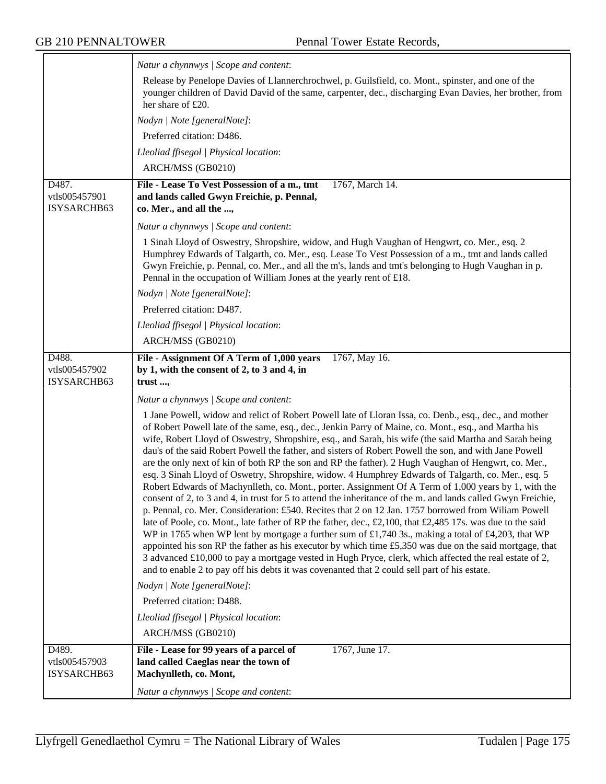|                                       | Natur a chynnwys / Scope and content:                                                                                                                                                                                                                                                                                                                                                                                                                                                                                                                                                                                                                                                                                                                                                                                                                                                                                                                                                                                                                                                                                                                                                                                                                                                                                                                                                                                                                                                                                                                                                   |
|---------------------------------------|-----------------------------------------------------------------------------------------------------------------------------------------------------------------------------------------------------------------------------------------------------------------------------------------------------------------------------------------------------------------------------------------------------------------------------------------------------------------------------------------------------------------------------------------------------------------------------------------------------------------------------------------------------------------------------------------------------------------------------------------------------------------------------------------------------------------------------------------------------------------------------------------------------------------------------------------------------------------------------------------------------------------------------------------------------------------------------------------------------------------------------------------------------------------------------------------------------------------------------------------------------------------------------------------------------------------------------------------------------------------------------------------------------------------------------------------------------------------------------------------------------------------------------------------------------------------------------------------|
|                                       | Release by Penelope Davies of Llannerchrochwel, p. Guilsfield, co. Mont., spinster, and one of the<br>younger children of David David of the same, carpenter, dec., discharging Evan Davies, her brother, from<br>her share of £20.                                                                                                                                                                                                                                                                                                                                                                                                                                                                                                                                                                                                                                                                                                                                                                                                                                                                                                                                                                                                                                                                                                                                                                                                                                                                                                                                                     |
|                                       | Nodyn   Note [generalNote]:                                                                                                                                                                                                                                                                                                                                                                                                                                                                                                                                                                                                                                                                                                                                                                                                                                                                                                                                                                                                                                                                                                                                                                                                                                                                                                                                                                                                                                                                                                                                                             |
|                                       | Preferred citation: D486.                                                                                                                                                                                                                                                                                                                                                                                                                                                                                                                                                                                                                                                                                                                                                                                                                                                                                                                                                                                                                                                                                                                                                                                                                                                                                                                                                                                                                                                                                                                                                               |
|                                       | Lleoliad ffisegol   Physical location:                                                                                                                                                                                                                                                                                                                                                                                                                                                                                                                                                                                                                                                                                                                                                                                                                                                                                                                                                                                                                                                                                                                                                                                                                                                                                                                                                                                                                                                                                                                                                  |
|                                       | ARCH/MSS (GB0210)                                                                                                                                                                                                                                                                                                                                                                                                                                                                                                                                                                                                                                                                                                                                                                                                                                                                                                                                                                                                                                                                                                                                                                                                                                                                                                                                                                                                                                                                                                                                                                       |
| D487.<br>vtls005457901<br>ISYSARCHB63 | File - Lease To Vest Possession of a m., tmt<br>1767, March 14.<br>and lands called Gwyn Freichie, p. Pennal,<br>co. Mer., and all the ,                                                                                                                                                                                                                                                                                                                                                                                                                                                                                                                                                                                                                                                                                                                                                                                                                                                                                                                                                                                                                                                                                                                                                                                                                                                                                                                                                                                                                                                |
|                                       | Natur a chynnwys / Scope and content:                                                                                                                                                                                                                                                                                                                                                                                                                                                                                                                                                                                                                                                                                                                                                                                                                                                                                                                                                                                                                                                                                                                                                                                                                                                                                                                                                                                                                                                                                                                                                   |
|                                       | 1 Sinah Lloyd of Oswestry, Shropshire, widow, and Hugh Vaughan of Hengwrt, co. Mer., esq. 2<br>Humphrey Edwards of Talgarth, co. Mer., esq. Lease To Vest Possession of a m., tmt and lands called<br>Gwyn Freichie, p. Pennal, co. Mer., and all the m's, lands and tmt's belonging to Hugh Vaughan in p.<br>Pennal in the occupation of William Jones at the yearly rent of £18.                                                                                                                                                                                                                                                                                                                                                                                                                                                                                                                                                                                                                                                                                                                                                                                                                                                                                                                                                                                                                                                                                                                                                                                                      |
|                                       | Nodyn   Note [generalNote]:                                                                                                                                                                                                                                                                                                                                                                                                                                                                                                                                                                                                                                                                                                                                                                                                                                                                                                                                                                                                                                                                                                                                                                                                                                                                                                                                                                                                                                                                                                                                                             |
|                                       | Preferred citation: D487.                                                                                                                                                                                                                                                                                                                                                                                                                                                                                                                                                                                                                                                                                                                                                                                                                                                                                                                                                                                                                                                                                                                                                                                                                                                                                                                                                                                                                                                                                                                                                               |
|                                       | Lleoliad ffisegol   Physical location:                                                                                                                                                                                                                                                                                                                                                                                                                                                                                                                                                                                                                                                                                                                                                                                                                                                                                                                                                                                                                                                                                                                                                                                                                                                                                                                                                                                                                                                                                                                                                  |
|                                       | ARCH/MSS (GB0210)                                                                                                                                                                                                                                                                                                                                                                                                                                                                                                                                                                                                                                                                                                                                                                                                                                                                                                                                                                                                                                                                                                                                                                                                                                                                                                                                                                                                                                                                                                                                                                       |
| D488.<br>vtls005457902<br>ISYSARCHB63 | File - Assignment Of A Term of 1,000 years<br>1767, May 16.<br>by 1, with the consent of 2, to 3 and 4, in<br>trust,                                                                                                                                                                                                                                                                                                                                                                                                                                                                                                                                                                                                                                                                                                                                                                                                                                                                                                                                                                                                                                                                                                                                                                                                                                                                                                                                                                                                                                                                    |
|                                       | Natur a chynnwys / Scope and content:                                                                                                                                                                                                                                                                                                                                                                                                                                                                                                                                                                                                                                                                                                                                                                                                                                                                                                                                                                                                                                                                                                                                                                                                                                                                                                                                                                                                                                                                                                                                                   |
|                                       | 1 Jane Powell, widow and relict of Robert Powell late of Lloran Issa, co. Denb., esq., dec., and mother<br>of Robert Powell late of the same, esq., dec., Jenkin Parry of Maine, co. Mont., esq., and Martha his<br>wife, Robert Lloyd of Oswestry, Shropshire, esq., and Sarah, his wife (the said Martha and Sarah being<br>dau's of the said Robert Powell the father, and sisters of Robert Powell the son, and with Jane Powell<br>are the only next of kin of both RP the son and RP the father). 2 Hugh Vaughan of Hengwrt, co. Mer.,<br>esq. 3 Sinah Lloyd of Oswetry, Shropshire, widow. 4 Humphrey Edwards of Talgarth, co. Mer., esq. 5<br>Robert Edwards of Machynlleth, co. Mont., porter. Assignment Of A Term of 1,000 years by 1, with the<br>consent of 2, to 3 and 4, in trust for 5 to attend the inheritance of the m, and lands called Gwyn Freichie<br>p. Pennal, co. Mer. Consideration: £540. Recites that 2 on 12 Jan. 1757 borrowed from Wiliam Powell<br>late of Poole, co. Mont., late father of RP the father, dec., £2,100, that £2,485 17s. was due to the said<br>WP in 1765 when WP lent by mortgage a further sum of £1,740 3s., making a total of £4,203, that WP<br>appointed his son RP the father as his executor by which time $£5,350$ was due on the said mortgage, that<br>3 advanced £10,000 to pay a mortgage vested in Hugh Pryce, clerk, which affected the real estate of 2,<br>and to enable 2 to pay off his debts it was covenanted that 2 could sell part of his estate.<br>Nodyn   Note [generalNote]:<br>Preferred citation: D488. |
|                                       |                                                                                                                                                                                                                                                                                                                                                                                                                                                                                                                                                                                                                                                                                                                                                                                                                                                                                                                                                                                                                                                                                                                                                                                                                                                                                                                                                                                                                                                                                                                                                                                         |
|                                       | Lleoliad ffisegol   Physical location:                                                                                                                                                                                                                                                                                                                                                                                                                                                                                                                                                                                                                                                                                                                                                                                                                                                                                                                                                                                                                                                                                                                                                                                                                                                                                                                                                                                                                                                                                                                                                  |
|                                       | ARCH/MSS (GB0210)                                                                                                                                                                                                                                                                                                                                                                                                                                                                                                                                                                                                                                                                                                                                                                                                                                                                                                                                                                                                                                                                                                                                                                                                                                                                                                                                                                                                                                                                                                                                                                       |
| D489.<br>vtls005457903<br>ISYSARCHB63 | 1767, June 17.<br>File - Lease for 99 years of a parcel of<br>land called Caeglas near the town of<br>Machynlleth, co. Mont,<br>Natur a chynnwys / Scope and content:                                                                                                                                                                                                                                                                                                                                                                                                                                                                                                                                                                                                                                                                                                                                                                                                                                                                                                                                                                                                                                                                                                                                                                                                                                                                                                                                                                                                                   |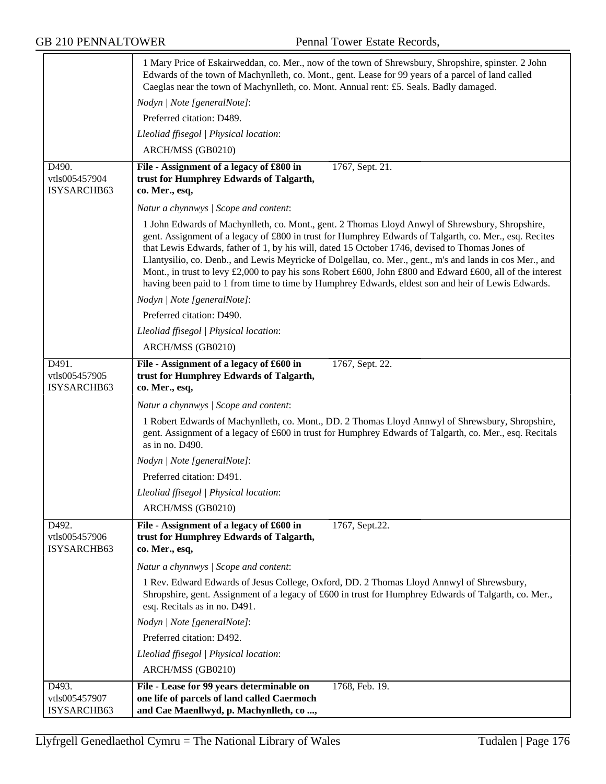|                                       | 1 Mary Price of Eskairweddan, co. Mer., now of the town of Shrewsbury, Shropshire, spinster. 2 John<br>Edwards of the town of Machynlleth, co. Mont., gent. Lease for 99 years of a parcel of land called<br>Caeglas near the town of Machynlleth, co. Mont. Annual rent: £5. Seals. Badly damaged.                                                                                                                                                                                                                                                                                                                                          |
|---------------------------------------|----------------------------------------------------------------------------------------------------------------------------------------------------------------------------------------------------------------------------------------------------------------------------------------------------------------------------------------------------------------------------------------------------------------------------------------------------------------------------------------------------------------------------------------------------------------------------------------------------------------------------------------------|
|                                       | Nodyn   Note [generalNote]:                                                                                                                                                                                                                                                                                                                                                                                                                                                                                                                                                                                                                  |
|                                       | Preferred citation: D489.                                                                                                                                                                                                                                                                                                                                                                                                                                                                                                                                                                                                                    |
|                                       | Lleoliad ffisegol   Physical location:                                                                                                                                                                                                                                                                                                                                                                                                                                                                                                                                                                                                       |
|                                       | ARCH/MSS (GB0210)                                                                                                                                                                                                                                                                                                                                                                                                                                                                                                                                                                                                                            |
| D490.<br>vtls005457904<br>ISYSARCHB63 | File - Assignment of a legacy of £800 in<br>1767, Sept. 21.<br>trust for Humphrey Edwards of Talgarth,<br>co. Mer., esq,                                                                                                                                                                                                                                                                                                                                                                                                                                                                                                                     |
|                                       | Natur a chynnwys / Scope and content:                                                                                                                                                                                                                                                                                                                                                                                                                                                                                                                                                                                                        |
|                                       | 1 John Edwards of Machynlleth, co. Mont., gent. 2 Thomas Lloyd Anwyl of Shrewsbury, Shropshire,<br>gent. Assignment of a legacy of £800 in trust for Humphrey Edwards of Talgarth, co. Mer., esq. Recites<br>that Lewis Edwards, father of 1, by his will, dated 15 October 1746, devised to Thomas Jones of<br>Llantysilio, co. Denb., and Lewis Meyricke of Dolgellau, co. Mer., gent., m's and lands in cos Mer., and<br>Mont., in trust to levy £2,000 to pay his sons Robert £600, John £800 and Edward £600, all of the interest<br>having been paid to 1 from time to time by Humphrey Edwards, eldest son and heir of Lewis Edwards. |
|                                       | Nodyn   Note [generalNote]:                                                                                                                                                                                                                                                                                                                                                                                                                                                                                                                                                                                                                  |
|                                       | Preferred citation: D490.                                                                                                                                                                                                                                                                                                                                                                                                                                                                                                                                                                                                                    |
|                                       | Lleoliad ffisegol   Physical location:                                                                                                                                                                                                                                                                                                                                                                                                                                                                                                                                                                                                       |
|                                       | ARCH/MSS (GB0210)                                                                                                                                                                                                                                                                                                                                                                                                                                                                                                                                                                                                                            |
| D491.<br>vtls005457905<br>ISYSARCHB63 | File - Assignment of a legacy of £600 in<br>1767, Sept. 22.<br>trust for Humphrey Edwards of Talgarth,<br>co. Mer., esq,                                                                                                                                                                                                                                                                                                                                                                                                                                                                                                                     |
|                                       | Natur a chynnwys / Scope and content:                                                                                                                                                                                                                                                                                                                                                                                                                                                                                                                                                                                                        |
|                                       | 1 Robert Edwards of Machynlleth, co. Mont., DD. 2 Thomas Lloyd Annwyl of Shrewsbury, Shropshire,<br>gent. Assignment of a legacy of £600 in trust for Humphrey Edwards of Talgarth, co. Mer., esq. Recitals<br>as in no. D490.                                                                                                                                                                                                                                                                                                                                                                                                               |
|                                       | Nodyn   Note [generalNote]:                                                                                                                                                                                                                                                                                                                                                                                                                                                                                                                                                                                                                  |
|                                       | Preferred citation: D491.                                                                                                                                                                                                                                                                                                                                                                                                                                                                                                                                                                                                                    |
|                                       | Lleoliad ffisegol   Physical location:                                                                                                                                                                                                                                                                                                                                                                                                                                                                                                                                                                                                       |
|                                       | ARCH/MSS (GB0210)                                                                                                                                                                                                                                                                                                                                                                                                                                                                                                                                                                                                                            |
| D492.<br>vtls005457906<br>ISYSARCHB63 | File - Assignment of a legacy of £600 in<br>1767, Sept.22.<br>trust for Humphrey Edwards of Talgarth,<br>co. Mer., esq,                                                                                                                                                                                                                                                                                                                                                                                                                                                                                                                      |
|                                       | Natur a chynnwys / Scope and content:                                                                                                                                                                                                                                                                                                                                                                                                                                                                                                                                                                                                        |
|                                       | 1 Rev. Edward Edwards of Jesus College, Oxford, DD. 2 Thomas Lloyd Annwyl of Shrewsbury,<br>Shropshire, gent. Assignment of a legacy of £600 in trust for Humphrey Edwards of Talgarth, co. Mer.,<br>esq. Recitals as in no. D491.                                                                                                                                                                                                                                                                                                                                                                                                           |
|                                       | Nodyn   Note [generalNote]:                                                                                                                                                                                                                                                                                                                                                                                                                                                                                                                                                                                                                  |
|                                       | Preferred citation: D492.                                                                                                                                                                                                                                                                                                                                                                                                                                                                                                                                                                                                                    |
|                                       | Lleoliad ffisegol   Physical location:                                                                                                                                                                                                                                                                                                                                                                                                                                                                                                                                                                                                       |
|                                       | ARCH/MSS (GB0210)                                                                                                                                                                                                                                                                                                                                                                                                                                                                                                                                                                                                                            |
| D493.<br>vtls005457907                | File - Lease for 99 years determinable on<br>1768, Feb. 19.<br>one life of parcels of land called Caermoch                                                                                                                                                                                                                                                                                                                                                                                                                                                                                                                                   |
| ISYSARCHB63                           | and Cae Maenllwyd, p. Machynlleth, co,                                                                                                                                                                                                                                                                                                                                                                                                                                                                                                                                                                                                       |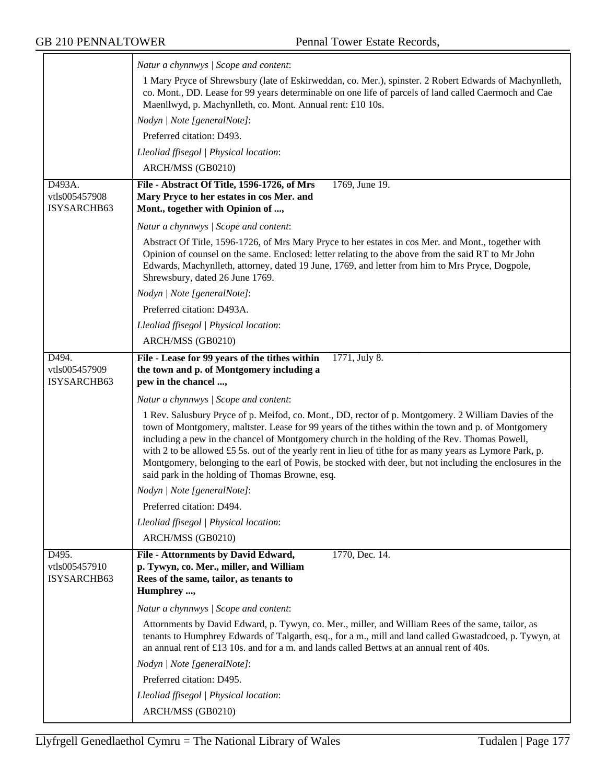|                                        | Natur a chynnwys / Scope and content:                                                                                                                                                                                                                                                                                                                                                                                                                                                                                                                                                    |
|----------------------------------------|------------------------------------------------------------------------------------------------------------------------------------------------------------------------------------------------------------------------------------------------------------------------------------------------------------------------------------------------------------------------------------------------------------------------------------------------------------------------------------------------------------------------------------------------------------------------------------------|
|                                        | 1 Mary Pryce of Shrewsbury (late of Eskirweddan, co. Mer.), spinster. 2 Robert Edwards of Machynlleth,<br>co. Mont., DD. Lease for 99 years determinable on one life of parcels of land called Caermoch and Cae<br>Maenllwyd, p. Machynlleth, co. Mont. Annual rent: £10 10s.                                                                                                                                                                                                                                                                                                            |
|                                        | Nodyn   Note [generalNote]:                                                                                                                                                                                                                                                                                                                                                                                                                                                                                                                                                              |
|                                        | Preferred citation: D493.                                                                                                                                                                                                                                                                                                                                                                                                                                                                                                                                                                |
|                                        | Lleoliad ffisegol   Physical location:                                                                                                                                                                                                                                                                                                                                                                                                                                                                                                                                                   |
|                                        | ARCH/MSS (GB0210)                                                                                                                                                                                                                                                                                                                                                                                                                                                                                                                                                                        |
| D493A.<br>vtls005457908<br>ISYSARCHB63 | File - Abstract Of Title, 1596-1726, of Mrs<br>1769, June 19.<br>Mary Pryce to her estates in cos Mer. and<br>Mont., together with Opinion of ,                                                                                                                                                                                                                                                                                                                                                                                                                                          |
|                                        | Natur a chynnwys / Scope and content:                                                                                                                                                                                                                                                                                                                                                                                                                                                                                                                                                    |
|                                        | Abstract Of Title, 1596-1726, of Mrs Mary Pryce to her estates in cos Mer. and Mont., together with<br>Opinion of counsel on the same. Enclosed: letter relating to the above from the said RT to Mr John<br>Edwards, Machynlleth, attorney, dated 19 June, 1769, and letter from him to Mrs Pryce, Dogpole,<br>Shrewsbury, dated 26 June 1769.                                                                                                                                                                                                                                          |
|                                        | Nodyn   Note [generalNote]:                                                                                                                                                                                                                                                                                                                                                                                                                                                                                                                                                              |
|                                        | Preferred citation: D493A.                                                                                                                                                                                                                                                                                                                                                                                                                                                                                                                                                               |
|                                        | Lleoliad ffisegol   Physical location:                                                                                                                                                                                                                                                                                                                                                                                                                                                                                                                                                   |
|                                        | ARCH/MSS (GB0210)                                                                                                                                                                                                                                                                                                                                                                                                                                                                                                                                                                        |
| D494.<br>vtls005457909<br>ISYSARCHB63  | File - Lease for 99 years of the tithes within<br>1771, July 8.<br>the town and p. of Montgomery including a<br>pew in the chancel ,                                                                                                                                                                                                                                                                                                                                                                                                                                                     |
|                                        | Natur a chynnwys / Scope and content:                                                                                                                                                                                                                                                                                                                                                                                                                                                                                                                                                    |
|                                        | 1 Rev. Salusbury Pryce of p. Meifod, co. Mont., DD, rector of p. Montgomery. 2 William Davies of the<br>town of Montgomery, maltster. Lease for 99 years of the tithes within the town and p. of Montgomery<br>including a pew in the chancel of Montgomery church in the holding of the Rev. Thomas Powell,<br>with 2 to be allowed £5 5s. out of the yearly rent in lieu of tithe for as many years as Lymore Park, p.<br>Montgomery, belonging to the earl of Powis, be stocked with deer, but not including the enclosures in the<br>said park in the holding of Thomas Browne, esq. |
|                                        | Nodyn   Note [generalNote]:                                                                                                                                                                                                                                                                                                                                                                                                                                                                                                                                                              |
|                                        | Preferred citation: D494.                                                                                                                                                                                                                                                                                                                                                                                                                                                                                                                                                                |
|                                        | Lleoliad ffisegol   Physical location:                                                                                                                                                                                                                                                                                                                                                                                                                                                                                                                                                   |
|                                        | ARCH/MSS (GB0210)                                                                                                                                                                                                                                                                                                                                                                                                                                                                                                                                                                        |
| D495.<br>vtls005457910<br>ISYSARCHB63  | 1770, Dec. 14.<br>File - Attornments by David Edward,<br>p. Tywyn, co. Mer., miller, and William<br>Rees of the same, tailor, as tenants to<br>Humphrey ,                                                                                                                                                                                                                                                                                                                                                                                                                                |
|                                        | Natur a chynnwys / Scope and content:                                                                                                                                                                                                                                                                                                                                                                                                                                                                                                                                                    |
|                                        | Attornments by David Edward, p. Tywyn, co. Mer., miller, and William Rees of the same, tailor, as<br>tenants to Humphrey Edwards of Talgarth, esq., for a m., mill and land called Gwastadcoed, p. Tywyn, at<br>an annual rent of £13 10s. and for a m. and lands called Bettws at an annual rent of 40s.                                                                                                                                                                                                                                                                                |
|                                        | Nodyn   Note [generalNote]:                                                                                                                                                                                                                                                                                                                                                                                                                                                                                                                                                              |
|                                        | Preferred citation: D495.                                                                                                                                                                                                                                                                                                                                                                                                                                                                                                                                                                |
|                                        | Lleoliad ffisegol   Physical location:<br>ARCH/MSS (GB0210)                                                                                                                                                                                                                                                                                                                                                                                                                                                                                                                              |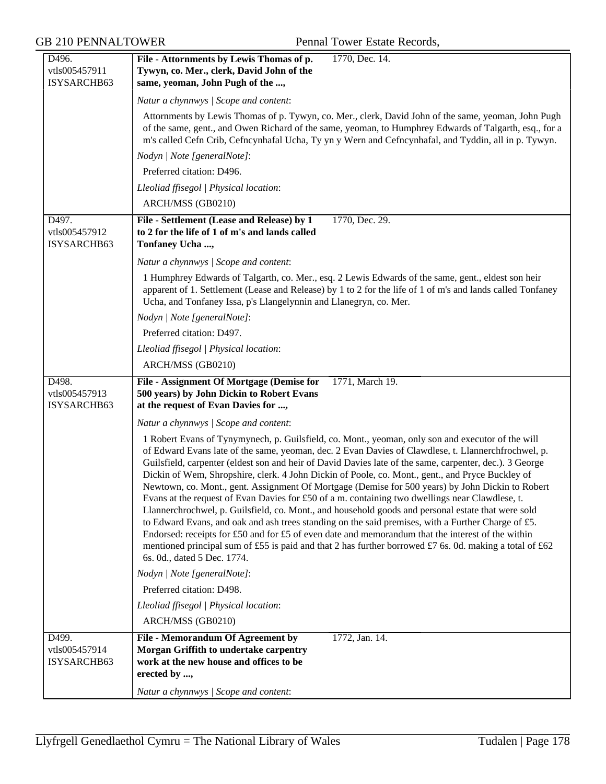| D496.                        | File - Attornments by Lewis Thomas of p.<br>1770, Dec. 14.                                                                                                                                                                                                                                                                                                                                                                                                                                                                                                                                                                                                                                                                                                                                                                                                                                                                                                                                                                                                                                |
|------------------------------|-------------------------------------------------------------------------------------------------------------------------------------------------------------------------------------------------------------------------------------------------------------------------------------------------------------------------------------------------------------------------------------------------------------------------------------------------------------------------------------------------------------------------------------------------------------------------------------------------------------------------------------------------------------------------------------------------------------------------------------------------------------------------------------------------------------------------------------------------------------------------------------------------------------------------------------------------------------------------------------------------------------------------------------------------------------------------------------------|
| vtls005457911                | Tywyn, co. Mer., clerk, David John of the                                                                                                                                                                                                                                                                                                                                                                                                                                                                                                                                                                                                                                                                                                                                                                                                                                                                                                                                                                                                                                                 |
| ISYSARCHB63                  | same, yeoman, John Pugh of the ,                                                                                                                                                                                                                                                                                                                                                                                                                                                                                                                                                                                                                                                                                                                                                                                                                                                                                                                                                                                                                                                          |
|                              | Natur a chynnwys / Scope and content:                                                                                                                                                                                                                                                                                                                                                                                                                                                                                                                                                                                                                                                                                                                                                                                                                                                                                                                                                                                                                                                     |
|                              | Attornments by Lewis Thomas of p. Tywyn, co. Mer., clerk, David John of the same, yeoman, John Pugh<br>of the same, gent., and Owen Richard of the same, yeoman, to Humphrey Edwards of Talgarth, esq., for a<br>m's called Cefn Crib, Cefncynhafal Ucha, Ty yn y Wern and Cefncynhafal, and Tyddin, all in p. Tywyn.                                                                                                                                                                                                                                                                                                                                                                                                                                                                                                                                                                                                                                                                                                                                                                     |
|                              | Nodyn   Note [generalNote]:                                                                                                                                                                                                                                                                                                                                                                                                                                                                                                                                                                                                                                                                                                                                                                                                                                                                                                                                                                                                                                                               |
|                              | Preferred citation: D496.                                                                                                                                                                                                                                                                                                                                                                                                                                                                                                                                                                                                                                                                                                                                                                                                                                                                                                                                                                                                                                                                 |
|                              | Lleoliad ffisegol   Physical location:                                                                                                                                                                                                                                                                                                                                                                                                                                                                                                                                                                                                                                                                                                                                                                                                                                                                                                                                                                                                                                                    |
|                              | ARCH/MSS (GB0210)                                                                                                                                                                                                                                                                                                                                                                                                                                                                                                                                                                                                                                                                                                                                                                                                                                                                                                                                                                                                                                                                         |
| D497.                        | 1770, Dec. 29.<br>File - Settlement (Lease and Release) by 1                                                                                                                                                                                                                                                                                                                                                                                                                                                                                                                                                                                                                                                                                                                                                                                                                                                                                                                                                                                                                              |
| vtls005457912<br>ISYSARCHB63 | to 2 for the life of 1 of m's and lands called<br>Tonfaney Ucha ,                                                                                                                                                                                                                                                                                                                                                                                                                                                                                                                                                                                                                                                                                                                                                                                                                                                                                                                                                                                                                         |
|                              | Natur a chynnwys / Scope and content:                                                                                                                                                                                                                                                                                                                                                                                                                                                                                                                                                                                                                                                                                                                                                                                                                                                                                                                                                                                                                                                     |
|                              | 1 Humphrey Edwards of Talgarth, co. Mer., esq. 2 Lewis Edwards of the same, gent., eldest son heir<br>apparent of 1. Settlement (Lease and Release) by 1 to 2 for the life of 1 of m's and lands called Tonfaney<br>Ucha, and Tonfaney Issa, p's Llangelynnin and Llanegryn, co. Mer.                                                                                                                                                                                                                                                                                                                                                                                                                                                                                                                                                                                                                                                                                                                                                                                                     |
|                              | Nodyn   Note [generalNote]:                                                                                                                                                                                                                                                                                                                                                                                                                                                                                                                                                                                                                                                                                                                                                                                                                                                                                                                                                                                                                                                               |
|                              | Preferred citation: D497.                                                                                                                                                                                                                                                                                                                                                                                                                                                                                                                                                                                                                                                                                                                                                                                                                                                                                                                                                                                                                                                                 |
|                              | Lleoliad ffisegol   Physical location:                                                                                                                                                                                                                                                                                                                                                                                                                                                                                                                                                                                                                                                                                                                                                                                                                                                                                                                                                                                                                                                    |
|                              | ARCH/MSS (GB0210)                                                                                                                                                                                                                                                                                                                                                                                                                                                                                                                                                                                                                                                                                                                                                                                                                                                                                                                                                                                                                                                                         |
| D498.                        | File - Assignment Of Mortgage (Demise for<br>1771, March 19.                                                                                                                                                                                                                                                                                                                                                                                                                                                                                                                                                                                                                                                                                                                                                                                                                                                                                                                                                                                                                              |
| vtls005457913                | 500 years) by John Dickin to Robert Evans                                                                                                                                                                                                                                                                                                                                                                                                                                                                                                                                                                                                                                                                                                                                                                                                                                                                                                                                                                                                                                                 |
| ISYSARCHB63                  | at the request of Evan Davies for ,                                                                                                                                                                                                                                                                                                                                                                                                                                                                                                                                                                                                                                                                                                                                                                                                                                                                                                                                                                                                                                                       |
|                              | Natur a chynnwys / Scope and content:                                                                                                                                                                                                                                                                                                                                                                                                                                                                                                                                                                                                                                                                                                                                                                                                                                                                                                                                                                                                                                                     |
|                              | 1 Robert Evans of Tynymynech, p. Guilsfield, co. Mont., yeoman, only son and executor of the will<br>of Edward Evans late of the same, yeoman, dec. 2 Evan Davies of Clawdlese, t. Llannerchfrochwel, p.<br>Guilsfield, carpenter (eldest son and heir of David Davies late of the same, carpenter, dec.). 3 George<br>Dickin of Wem, Shropshire, clerk. 4 John Dickin of Poole, co. Mont., gent., and Pryce Buckley of<br>Newtown, co. Mont., gent. Assignment Of Mortgage (Demise for 500 years) by John Dickin to Robert<br>Evans at the request of Evan Davies for £50 of a m. containing two dwellings near Clawdlese, t.<br>Llannerchrochwel, p. Guilsfield, co. Mont., and household goods and personal estate that were sold<br>to Edward Evans, and oak and ash trees standing on the said premises, with a Further Charge of £5.<br>Endorsed: receipts for £50 and for £5 of even date and memorandum that the interest of the within<br>mentioned principal sum of £55 is paid and that 2 has further borrowed £7 6s. 0d. making a total of £62<br>6s. 0d., dated 5 Dec. 1774. |
|                              | Nodyn   Note [generalNote]:                                                                                                                                                                                                                                                                                                                                                                                                                                                                                                                                                                                                                                                                                                                                                                                                                                                                                                                                                                                                                                                               |
|                              | Preferred citation: D498.                                                                                                                                                                                                                                                                                                                                                                                                                                                                                                                                                                                                                                                                                                                                                                                                                                                                                                                                                                                                                                                                 |
|                              | Lleoliad ffisegol   Physical location:                                                                                                                                                                                                                                                                                                                                                                                                                                                                                                                                                                                                                                                                                                                                                                                                                                                                                                                                                                                                                                                    |
|                              | ARCH/MSS (GB0210)                                                                                                                                                                                                                                                                                                                                                                                                                                                                                                                                                                                                                                                                                                                                                                                                                                                                                                                                                                                                                                                                         |
| D499.                        | File - Memorandum Of Agreement by<br>1772, Jan. 14.                                                                                                                                                                                                                                                                                                                                                                                                                                                                                                                                                                                                                                                                                                                                                                                                                                                                                                                                                                                                                                       |
| vtls005457914                | Morgan Griffith to undertake carpentry                                                                                                                                                                                                                                                                                                                                                                                                                                                                                                                                                                                                                                                                                                                                                                                                                                                                                                                                                                                                                                                    |
| ISYSARCHB63                  | work at the new house and offices to be                                                                                                                                                                                                                                                                                                                                                                                                                                                                                                                                                                                                                                                                                                                                                                                                                                                                                                                                                                                                                                                   |
|                              | erected by ,                                                                                                                                                                                                                                                                                                                                                                                                                                                                                                                                                                                                                                                                                                                                                                                                                                                                                                                                                                                                                                                                              |
|                              | Natur a chynnwys / Scope and content:                                                                                                                                                                                                                                                                                                                                                                                                                                                                                                                                                                                                                                                                                                                                                                                                                                                                                                                                                                                                                                                     |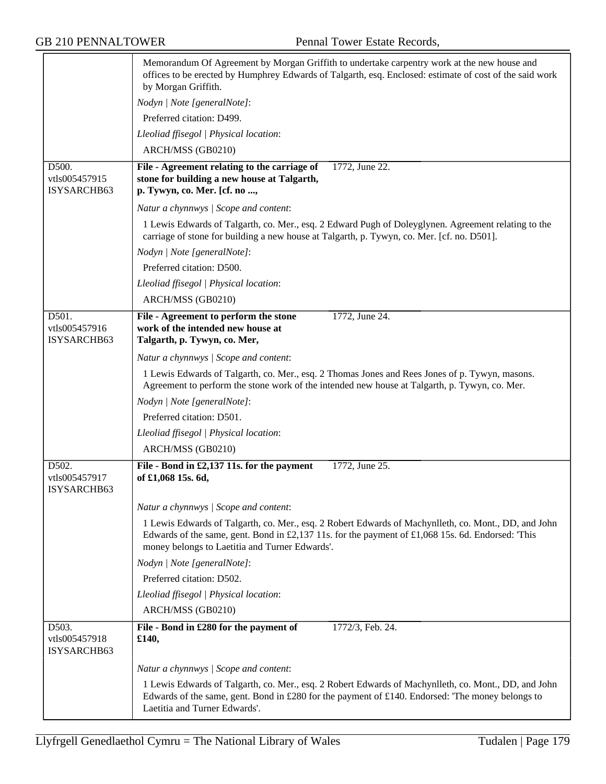|                                       | Memorandum Of Agreement by Morgan Griffith to undertake carpentry work at the new house and<br>offices to be erected by Humphrey Edwards of Talgarth, esq. Enclosed: estimate of cost of the said work<br>by Morgan Griffith.                               |
|---------------------------------------|-------------------------------------------------------------------------------------------------------------------------------------------------------------------------------------------------------------------------------------------------------------|
|                                       | Nodyn   Note [generalNote]:                                                                                                                                                                                                                                 |
|                                       | Preferred citation: D499.                                                                                                                                                                                                                                   |
|                                       | Lleoliad ffisegol   Physical location:                                                                                                                                                                                                                      |
|                                       | ARCH/MSS (GB0210)                                                                                                                                                                                                                                           |
| D500.<br>vtls005457915<br>ISYSARCHB63 | File - Agreement relating to the carriage of<br>1772, June 22.<br>stone for building a new house at Talgarth,<br>p. Tywyn, co. Mer. [cf. no ,                                                                                                               |
|                                       | Natur a chynnwys / Scope and content:                                                                                                                                                                                                                       |
|                                       | 1 Lewis Edwards of Talgarth, co. Mer., esq. 2 Edward Pugh of Doleyglynen. Agreement relating to the<br>carriage of stone for building a new house at Talgarth, p. Tywyn, co. Mer. [cf. no. D501].                                                           |
|                                       | Nodyn   Note [generalNote]:                                                                                                                                                                                                                                 |
|                                       | Preferred citation: D500.                                                                                                                                                                                                                                   |
|                                       | Lleoliad ffisegol   Physical location:                                                                                                                                                                                                                      |
|                                       | ARCH/MSS (GB0210)                                                                                                                                                                                                                                           |
| D501.                                 | File - Agreement to perform the stone<br>1772, June 24.                                                                                                                                                                                                     |
| vtls005457916<br>ISYSARCHB63          | work of the intended new house at<br>Talgarth, p. Tywyn, co. Mer,                                                                                                                                                                                           |
|                                       | Natur a chynnwys / Scope and content:                                                                                                                                                                                                                       |
|                                       | 1 Lewis Edwards of Talgarth, co. Mer., esq. 2 Thomas Jones and Rees Jones of p. Tywyn, masons.<br>Agreement to perform the stone work of the intended new house at Talgarth, p. Tywyn, co. Mer.                                                             |
|                                       | Nodyn   Note [generalNote]:                                                                                                                                                                                                                                 |
|                                       | Preferred citation: D501.                                                                                                                                                                                                                                   |
|                                       | Lleoliad ffisegol   Physical location:                                                                                                                                                                                                                      |
|                                       | ARCH/MSS (GB0210)                                                                                                                                                                                                                                           |
| D502.                                 | File - Bond in £2,137 11s. for the payment<br>1772, June 25.                                                                                                                                                                                                |
| vtls005457917<br>ISYSARCHB63          | of £1,068 15s. 6d,                                                                                                                                                                                                                                          |
|                                       | Natur a chynnwys / Scope and content:                                                                                                                                                                                                                       |
|                                       | 1 Lewis Edwards of Talgarth, co. Mer., esq. 2 Robert Edwards of Machynlleth, co. Mont., DD, and John<br>Edwards of the same, gent. Bond in £2,137 11s. for the payment of £1,068 15s. 6d. Endorsed: 'This<br>money belongs to Laetitia and Turner Edwards'. |
|                                       | Nodyn   Note [generalNote]:                                                                                                                                                                                                                                 |
|                                       | Preferred citation: D502.                                                                                                                                                                                                                                   |
|                                       | Lleoliad ffisegol   Physical location:                                                                                                                                                                                                                      |
|                                       | ARCH/MSS (GB0210)                                                                                                                                                                                                                                           |
| D503.<br>vtls005457918<br>ISYSARCHB63 | File - Bond in £280 for the payment of<br>1772/3, Feb. 24.<br>£140,                                                                                                                                                                                         |
|                                       | Natur a chynnwys / Scope and content:                                                                                                                                                                                                                       |
|                                       | 1 Lewis Edwards of Talgarth, co. Mer., esq. 2 Robert Edwards of Machynlleth, co. Mont., DD, and John<br>Edwards of the same, gent. Bond in £280 for the payment of £140. Endorsed: 'The money belongs to<br>Laetitia and Turner Edwards'.                   |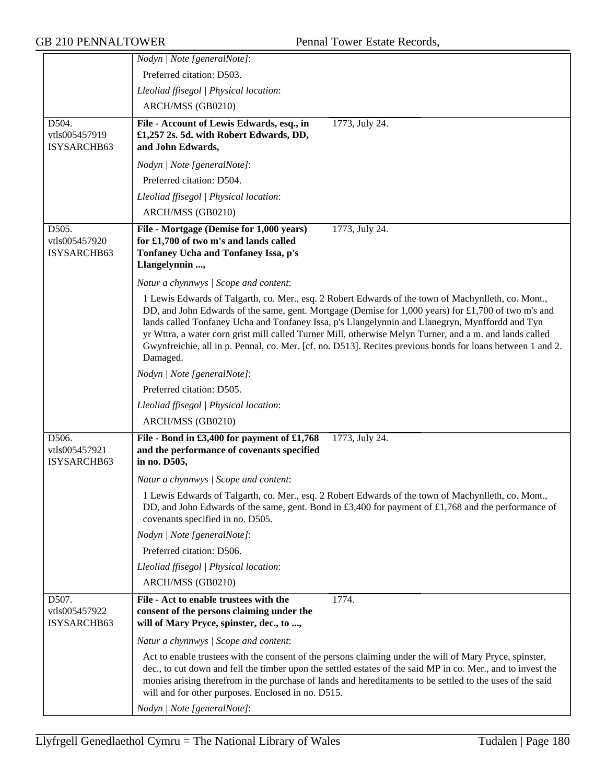|                                       | Nodyn   Note [generalNote]:                                                                                                                                                                                                                                                                                                                                                                                                                                                                                                                        |
|---------------------------------------|----------------------------------------------------------------------------------------------------------------------------------------------------------------------------------------------------------------------------------------------------------------------------------------------------------------------------------------------------------------------------------------------------------------------------------------------------------------------------------------------------------------------------------------------------|
|                                       | Preferred citation: D503.                                                                                                                                                                                                                                                                                                                                                                                                                                                                                                                          |
|                                       | Lleoliad ffisegol   Physical location:                                                                                                                                                                                                                                                                                                                                                                                                                                                                                                             |
|                                       | ARCH/MSS (GB0210)                                                                                                                                                                                                                                                                                                                                                                                                                                                                                                                                  |
| D504.<br>vtls005457919<br>ISYSARCHB63 | File - Account of Lewis Edwards, esq., in<br>1773, July 24.<br>£1,257 2s. 5d. with Robert Edwards, DD,<br>and John Edwards,                                                                                                                                                                                                                                                                                                                                                                                                                        |
|                                       | Nodyn   Note [generalNote]:                                                                                                                                                                                                                                                                                                                                                                                                                                                                                                                        |
|                                       | Preferred citation: D504.                                                                                                                                                                                                                                                                                                                                                                                                                                                                                                                          |
|                                       | Lleoliad ffisegol   Physical location:                                                                                                                                                                                                                                                                                                                                                                                                                                                                                                             |
|                                       |                                                                                                                                                                                                                                                                                                                                                                                                                                                                                                                                                    |
|                                       | ARCH/MSS (GB0210)                                                                                                                                                                                                                                                                                                                                                                                                                                                                                                                                  |
| D505.<br>vtls005457920<br>ISYSARCHB63 | File - Mortgage (Demise for 1,000 years)<br>1773, July 24.<br>for £1,700 of two m's and lands called<br>Tonfaney Ucha and Tonfaney Issa, p's<br>Llangelynnin ,                                                                                                                                                                                                                                                                                                                                                                                     |
|                                       | Natur a chynnwys / Scope and content:                                                                                                                                                                                                                                                                                                                                                                                                                                                                                                              |
|                                       | 1 Lewis Edwards of Talgarth, co. Mer., esq. 2 Robert Edwards of the town of Machynlleth, co. Mont.,<br>DD, and John Edwards of the same, gent. Mortgage (Demise for 1,000 years) for £1,700 of two m's and<br>lands called Tonfaney Ucha and Tonfaney Issa, p's Llangelynnin and Llanegryn, Mynffordd and Tyn<br>yr Wttra, a water corn grist mill called Turner Mill, otherwise Melyn Turner, and a m. and lands called<br>Gwynfreichie, all in p. Pennal, co. Mer. [cf. no. D513]. Recites previous bonds for loans between 1 and 2.<br>Damaged. |
|                                       | Nodyn   Note [generalNote]:                                                                                                                                                                                                                                                                                                                                                                                                                                                                                                                        |
|                                       | Preferred citation: D505.                                                                                                                                                                                                                                                                                                                                                                                                                                                                                                                          |
|                                       | Lleoliad ffisegol   Physical location:                                                                                                                                                                                                                                                                                                                                                                                                                                                                                                             |
|                                       | ARCH/MSS (GB0210)                                                                                                                                                                                                                                                                                                                                                                                                                                                                                                                                  |
| D506.<br>vtls005457921<br>ISYSARCHB63 | File - Bond in £3,400 for payment of £1,768<br>1773, July 24.<br>and the performance of covenants specified<br>in no. D505,                                                                                                                                                                                                                                                                                                                                                                                                                        |
|                                       | Natur a chynnwys / Scope and content:                                                                                                                                                                                                                                                                                                                                                                                                                                                                                                              |
|                                       | 1 Lewis Edwards of Talgarth, co. Mer., esq. 2 Robert Edwards of the town of Machynlleth, co. Mont.,<br>DD, and John Edwards of the same, gent. Bond in £3,400 for payment of £1,768 and the performance of<br>covenants specified in no. D505.                                                                                                                                                                                                                                                                                                     |
|                                       | Nodyn   Note [generalNote]:                                                                                                                                                                                                                                                                                                                                                                                                                                                                                                                        |
|                                       | Preferred citation: D506.                                                                                                                                                                                                                                                                                                                                                                                                                                                                                                                          |
|                                       | Lleoliad ffisegol   Physical location:                                                                                                                                                                                                                                                                                                                                                                                                                                                                                                             |
|                                       | ARCH/MSS (GB0210)                                                                                                                                                                                                                                                                                                                                                                                                                                                                                                                                  |
| D507.<br>vtls005457922<br>ISYSARCHB63 | File - Act to enable trustees with the<br>1774.<br>consent of the persons claiming under the<br>will of Mary Pryce, spinster, dec., to ,                                                                                                                                                                                                                                                                                                                                                                                                           |
|                                       | Natur a chynnwys / Scope and content:                                                                                                                                                                                                                                                                                                                                                                                                                                                                                                              |
|                                       | Act to enable trustees with the consent of the persons claiming under the will of Mary Pryce, spinster,<br>dec., to cut down and fell the timber upon the settled estates of the said MP in co. Mer., and to invest the<br>monies arising therefrom in the purchase of lands and hereditaments to be settled to the uses of the said<br>will and for other purposes. Enclosed in no. D515.                                                                                                                                                         |
|                                       | Nodyn   Note [generalNote]:                                                                                                                                                                                                                                                                                                                                                                                                                                                                                                                        |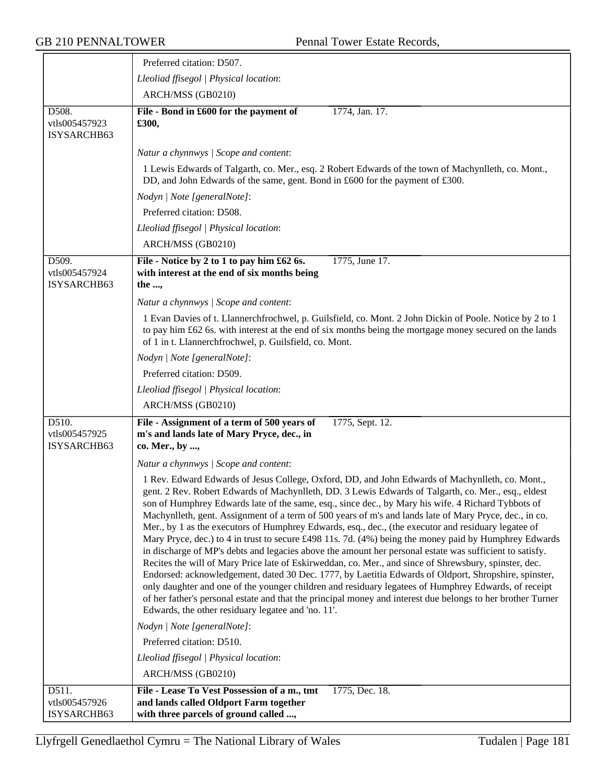|                                       | Preferred citation: D507.                                                                                                                                                                                                                                                                                                                                                                                                                                                                                                                                                                                                                                                                                                                                                                                                                                                                                                                                                                                                                                                                                                                                                                 |
|---------------------------------------|-------------------------------------------------------------------------------------------------------------------------------------------------------------------------------------------------------------------------------------------------------------------------------------------------------------------------------------------------------------------------------------------------------------------------------------------------------------------------------------------------------------------------------------------------------------------------------------------------------------------------------------------------------------------------------------------------------------------------------------------------------------------------------------------------------------------------------------------------------------------------------------------------------------------------------------------------------------------------------------------------------------------------------------------------------------------------------------------------------------------------------------------------------------------------------------------|
|                                       | Lleoliad ffisegol   Physical location:                                                                                                                                                                                                                                                                                                                                                                                                                                                                                                                                                                                                                                                                                                                                                                                                                                                                                                                                                                                                                                                                                                                                                    |
|                                       | ARCH/MSS (GB0210)                                                                                                                                                                                                                                                                                                                                                                                                                                                                                                                                                                                                                                                                                                                                                                                                                                                                                                                                                                                                                                                                                                                                                                         |
| D508.<br>vtls005457923<br>ISYSARCHB63 | File - Bond in £600 for the payment of<br>1774, Jan. 17.<br>£300,                                                                                                                                                                                                                                                                                                                                                                                                                                                                                                                                                                                                                                                                                                                                                                                                                                                                                                                                                                                                                                                                                                                         |
|                                       | Natur a chynnwys / Scope and content:                                                                                                                                                                                                                                                                                                                                                                                                                                                                                                                                                                                                                                                                                                                                                                                                                                                                                                                                                                                                                                                                                                                                                     |
|                                       | 1 Lewis Edwards of Talgarth, co. Mer., esq. 2 Robert Edwards of the town of Machynlleth, co. Mont.,<br>DD, and John Edwards of the same, gent. Bond in £600 for the payment of £300.                                                                                                                                                                                                                                                                                                                                                                                                                                                                                                                                                                                                                                                                                                                                                                                                                                                                                                                                                                                                      |
|                                       | Nodyn   Note [generalNote]:                                                                                                                                                                                                                                                                                                                                                                                                                                                                                                                                                                                                                                                                                                                                                                                                                                                                                                                                                                                                                                                                                                                                                               |
|                                       | Preferred citation: D508.                                                                                                                                                                                                                                                                                                                                                                                                                                                                                                                                                                                                                                                                                                                                                                                                                                                                                                                                                                                                                                                                                                                                                                 |
|                                       | Lleoliad ffisegol   Physical location:                                                                                                                                                                                                                                                                                                                                                                                                                                                                                                                                                                                                                                                                                                                                                                                                                                                                                                                                                                                                                                                                                                                                                    |
|                                       | ARCH/MSS (GB0210)                                                                                                                                                                                                                                                                                                                                                                                                                                                                                                                                                                                                                                                                                                                                                                                                                                                                                                                                                                                                                                                                                                                                                                         |
| D509.<br>vtls005457924<br>ISYSARCHB63 | File - Notice by 2 to 1 to pay him £62 6s.<br>1775, June 17.<br>with interest at the end of six months being<br>the ,                                                                                                                                                                                                                                                                                                                                                                                                                                                                                                                                                                                                                                                                                                                                                                                                                                                                                                                                                                                                                                                                     |
|                                       | Natur a chynnwys / Scope and content:                                                                                                                                                                                                                                                                                                                                                                                                                                                                                                                                                                                                                                                                                                                                                                                                                                                                                                                                                                                                                                                                                                                                                     |
|                                       | 1 Evan Davies of t. Llannerchfrochwel, p. Guilsfield, co. Mont. 2 John Dickin of Poole. Notice by 2 to 1<br>to pay him £62 6s. with interest at the end of six months being the mortgage money secured on the lands<br>of 1 in t. Llannerchfrochwel, p. Guilsfield, co. Mont.                                                                                                                                                                                                                                                                                                                                                                                                                                                                                                                                                                                                                                                                                                                                                                                                                                                                                                             |
|                                       | Nodyn   Note [generalNote]:                                                                                                                                                                                                                                                                                                                                                                                                                                                                                                                                                                                                                                                                                                                                                                                                                                                                                                                                                                                                                                                                                                                                                               |
|                                       | Preferred citation: D509.                                                                                                                                                                                                                                                                                                                                                                                                                                                                                                                                                                                                                                                                                                                                                                                                                                                                                                                                                                                                                                                                                                                                                                 |
|                                       | Lleoliad ffisegol   Physical location:                                                                                                                                                                                                                                                                                                                                                                                                                                                                                                                                                                                                                                                                                                                                                                                                                                                                                                                                                                                                                                                                                                                                                    |
|                                       | ARCH/MSS (GB0210)                                                                                                                                                                                                                                                                                                                                                                                                                                                                                                                                                                                                                                                                                                                                                                                                                                                                                                                                                                                                                                                                                                                                                                         |
| D510.<br>vtls005457925<br>ISYSARCHB63 | File - Assignment of a term of 500 years of<br>1775, Sept. 12.<br>m's and lands late of Mary Pryce, dec., in<br>co. Mer., by ,                                                                                                                                                                                                                                                                                                                                                                                                                                                                                                                                                                                                                                                                                                                                                                                                                                                                                                                                                                                                                                                            |
|                                       | Natur a chynnwys / Scope and content:                                                                                                                                                                                                                                                                                                                                                                                                                                                                                                                                                                                                                                                                                                                                                                                                                                                                                                                                                                                                                                                                                                                                                     |
|                                       | 1 Rev. Edward Edwards of Jesus College, Oxford, DD, and John Edwards of Machynlleth, co. Mont.,<br>gent. 2 Rev. Robert Edwards of Machynlleth, DD. 3 Lewis Edwards of Talgarth, co. Mer., esq., eldest<br>son of Humphrey Edwards late of the same, esq., since dec., by Mary his wife. 4 Richard Tybbots of<br>Machynlleth, gent. Assignment of a term of 500 years of m's and lands late of Mary Pryce, dec., in co.<br>Mer., by 1 as the executors of Humphrey Edwards, esq., dec., (the executor and residuary legatee of<br>Mary Pryce, dec.) to 4 in trust to secure £498 11s. 7d. (4%) being the money paid by Humphrey Edwards<br>in discharge of MP's debts and legacies above the amount her personal estate was sufficient to satisfy.<br>Recites the will of Mary Price late of Eskirweddan, co. Mer., and since of Shrewsbury, spinster, dec.<br>Endorsed: acknowledgement, dated 30 Dec. 1777, by Laetitia Edwards of Oldport, Shropshire, spinster,<br>only daughter and one of the younger children and residuary legatees of Humphrey Edwards, of receipt<br>of her father's personal estate and that the principal money and interest due belongs to her brother Turner |
|                                       | Edwards, the other residuary legatee and 'no. 11'.                                                                                                                                                                                                                                                                                                                                                                                                                                                                                                                                                                                                                                                                                                                                                                                                                                                                                                                                                                                                                                                                                                                                        |
|                                       | Nodyn   Note [generalNote]:                                                                                                                                                                                                                                                                                                                                                                                                                                                                                                                                                                                                                                                                                                                                                                                                                                                                                                                                                                                                                                                                                                                                                               |
|                                       | Preferred citation: D510.                                                                                                                                                                                                                                                                                                                                                                                                                                                                                                                                                                                                                                                                                                                                                                                                                                                                                                                                                                                                                                                                                                                                                                 |
|                                       | Lleoliad ffisegol   Physical location:                                                                                                                                                                                                                                                                                                                                                                                                                                                                                                                                                                                                                                                                                                                                                                                                                                                                                                                                                                                                                                                                                                                                                    |
|                                       | ARCH/MSS (GB0210)                                                                                                                                                                                                                                                                                                                                                                                                                                                                                                                                                                                                                                                                                                                                                                                                                                                                                                                                                                                                                                                                                                                                                                         |
| D511.<br>vtls005457926<br>ISYSARCHB63 | File - Lease To Vest Possession of a m., tmt<br>1775, Dec. 18.<br>and lands called Oldport Farm together<br>with three parcels of ground called ,                                                                                                                                                                                                                                                                                                                                                                                                                                                                                                                                                                                                                                                                                                                                                                                                                                                                                                                                                                                                                                         |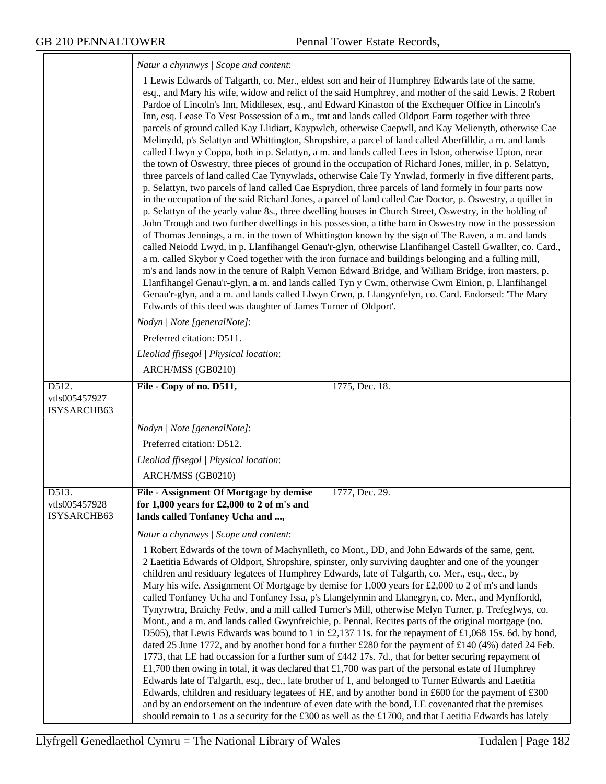|                                       | Natur a chynnwys / Scope and content:                                                                                                                                                                                                                                                                                                                                                                                                                                                                                                                                                                                                                                                                                                                                                                                                                                                                                                                                                                                                                                                                                                                                                                                                                                                                                                                                                                                                                                                                                                                                                                                                                                                                                                                                                                                                                                                                                                                                                                                                                                                                                                 |
|---------------------------------------|---------------------------------------------------------------------------------------------------------------------------------------------------------------------------------------------------------------------------------------------------------------------------------------------------------------------------------------------------------------------------------------------------------------------------------------------------------------------------------------------------------------------------------------------------------------------------------------------------------------------------------------------------------------------------------------------------------------------------------------------------------------------------------------------------------------------------------------------------------------------------------------------------------------------------------------------------------------------------------------------------------------------------------------------------------------------------------------------------------------------------------------------------------------------------------------------------------------------------------------------------------------------------------------------------------------------------------------------------------------------------------------------------------------------------------------------------------------------------------------------------------------------------------------------------------------------------------------------------------------------------------------------------------------------------------------------------------------------------------------------------------------------------------------------------------------------------------------------------------------------------------------------------------------------------------------------------------------------------------------------------------------------------------------------------------------------------------------------------------------------------------------|
|                                       | 1 Lewis Edwards of Talgarth, co. Mer., eldest son and heir of Humphrey Edwards late of the same,<br>esq., and Mary his wife, widow and relict of the said Humphrey, and mother of the said Lewis. 2 Robert<br>Pardoe of Lincoln's Inn, Middlesex, esq., and Edward Kinaston of the Exchequer Office in Lincoln's<br>Inn, esq. Lease To Vest Possession of a m., tmt and lands called Oldport Farm together with three<br>parcels of ground called Kay Llidiart, Kaypwlch, otherwise Caepwll, and Kay Melienyth, otherwise Cae<br>Melinydd, p's Selattyn and Whittington, Shropshire, a parcel of land called Aberfilldir, a m. and lands<br>called Llwyn y Coppa, both in p. Selattyn, a m. and lands called Lees in Iston, otherwise Upton, near<br>the town of Oswestry, three pieces of ground in the occupation of Richard Jones, miller, in p. Selattyn,<br>three parcels of land called Cae Tynywlads, otherwise Caie Ty Ynwlad, formerly in five different parts,<br>p. Selattyn, two parcels of land called Cae Esprydion, three parcels of land formely in four parts now<br>in the occupation of the said Richard Jones, a parcel of land called Cae Doctor, p. Oswestry, a quillet in<br>p. Selattyn of the yearly value 8s., three dwelling houses in Church Street, Oswestry, in the holding of<br>John Trough and two further dwellings in his possession, a title barn in Oswestry now in the possession<br>of Thomas Jennings, a m. in the town of Whittington known by the sign of The Raven, a m. and lands<br>called Neiodd Lwyd, in p. Llanfihangel Genau'r-glyn, otherwise Llanfihangel Castell Gwallter, co. Card.,<br>a m. called Skybor y Coed together with the iron furnace and buildings belonging and a fulling mill,<br>m's and lands now in the tenure of Ralph Vernon Edward Bridge, and William Bridge, iron masters, p.<br>Llanfihangel Genau'r-glyn, a m. and lands called Tyn y Cwm, otherwise Cwm Einion, p. Llanfihangel<br>Genau'r-glyn, and a m. and lands called Llwyn Crwn, p. Llangynfelyn, co. Card. Endorsed: 'The Mary<br>Edwards of this deed was daughter of James Turner of Oldport'. |
|                                       | Nodyn   Note [generalNote]:                                                                                                                                                                                                                                                                                                                                                                                                                                                                                                                                                                                                                                                                                                                                                                                                                                                                                                                                                                                                                                                                                                                                                                                                                                                                                                                                                                                                                                                                                                                                                                                                                                                                                                                                                                                                                                                                                                                                                                                                                                                                                                           |
|                                       | Preferred citation: D511.                                                                                                                                                                                                                                                                                                                                                                                                                                                                                                                                                                                                                                                                                                                                                                                                                                                                                                                                                                                                                                                                                                                                                                                                                                                                                                                                                                                                                                                                                                                                                                                                                                                                                                                                                                                                                                                                                                                                                                                                                                                                                                             |
|                                       | Lleoliad ffisegol   Physical location:                                                                                                                                                                                                                                                                                                                                                                                                                                                                                                                                                                                                                                                                                                                                                                                                                                                                                                                                                                                                                                                                                                                                                                                                                                                                                                                                                                                                                                                                                                                                                                                                                                                                                                                                                                                                                                                                                                                                                                                                                                                                                                |
|                                       | ARCH/MSS (GB0210)                                                                                                                                                                                                                                                                                                                                                                                                                                                                                                                                                                                                                                                                                                                                                                                                                                                                                                                                                                                                                                                                                                                                                                                                                                                                                                                                                                                                                                                                                                                                                                                                                                                                                                                                                                                                                                                                                                                                                                                                                                                                                                                     |
| D512.<br>vtls005457927<br>ISYSARCHB63 | File - Copy of no. D511,<br>1775, Dec. 18.                                                                                                                                                                                                                                                                                                                                                                                                                                                                                                                                                                                                                                                                                                                                                                                                                                                                                                                                                                                                                                                                                                                                                                                                                                                                                                                                                                                                                                                                                                                                                                                                                                                                                                                                                                                                                                                                                                                                                                                                                                                                                            |
|                                       | Nodyn   Note [generalNote]:                                                                                                                                                                                                                                                                                                                                                                                                                                                                                                                                                                                                                                                                                                                                                                                                                                                                                                                                                                                                                                                                                                                                                                                                                                                                                                                                                                                                                                                                                                                                                                                                                                                                                                                                                                                                                                                                                                                                                                                                                                                                                                           |
|                                       | Preferred citation: D512.                                                                                                                                                                                                                                                                                                                                                                                                                                                                                                                                                                                                                                                                                                                                                                                                                                                                                                                                                                                                                                                                                                                                                                                                                                                                                                                                                                                                                                                                                                                                                                                                                                                                                                                                                                                                                                                                                                                                                                                                                                                                                                             |
|                                       | Lleoliad ffisegol   Physical location:                                                                                                                                                                                                                                                                                                                                                                                                                                                                                                                                                                                                                                                                                                                                                                                                                                                                                                                                                                                                                                                                                                                                                                                                                                                                                                                                                                                                                                                                                                                                                                                                                                                                                                                                                                                                                                                                                                                                                                                                                                                                                                |
|                                       | ARCH/MSS (GB0210)                                                                                                                                                                                                                                                                                                                                                                                                                                                                                                                                                                                                                                                                                                                                                                                                                                                                                                                                                                                                                                                                                                                                                                                                                                                                                                                                                                                                                                                                                                                                                                                                                                                                                                                                                                                                                                                                                                                                                                                                                                                                                                                     |
| D513.<br>vtls005457928<br>ISYSARCHB63 | File - Assignment Of Mortgage by demise<br>1777, Dec. 29.<br>for 1,000 years for $£2,000$ to 2 of m's and<br>lands called Tonfaney Ucha and ,                                                                                                                                                                                                                                                                                                                                                                                                                                                                                                                                                                                                                                                                                                                                                                                                                                                                                                                                                                                                                                                                                                                                                                                                                                                                                                                                                                                                                                                                                                                                                                                                                                                                                                                                                                                                                                                                                                                                                                                         |
|                                       | Natur a chynnwys / Scope and content:                                                                                                                                                                                                                                                                                                                                                                                                                                                                                                                                                                                                                                                                                                                                                                                                                                                                                                                                                                                                                                                                                                                                                                                                                                                                                                                                                                                                                                                                                                                                                                                                                                                                                                                                                                                                                                                                                                                                                                                                                                                                                                 |
|                                       | 1 Robert Edwards of the town of Machynlleth, co Mont., DD, and John Edwards of the same, gent.<br>2 Laetitia Edwards of Oldport, Shropshire, spinster, only surviving daughter and one of the younger<br>children and residuary legatees of Humphrey Edwards, late of Talgarth, co. Mer., esq., dec., by<br>Mary his wife. Assignment Of Mortgage by demise for 1,000 years for £2,000 to 2 of m's and lands<br>called Tonfaney Ucha and Tonfaney Issa, p's Llangelynnin and Llanegryn, co. Mer., and Mynffordd,<br>Tynyrwtra, Braichy Fedw, and a mill called Turner's Mill, otherwise Melyn Turner, p. Trefeglwys, co.<br>Mont., and a m. and lands called Gwynfreichie, p. Pennal. Recites parts of the original mortgage (no.<br>D505), that Lewis Edwards was bound to 1 in £2,137 11s. for the repayment of £1,068 15s. 6d. by bond,<br>dated 25 June 1772, and by another bond for a further £280 for the payment of £140 (4%) dated 24 Feb.<br>1773, that LE had occassion for a further sum of £442 17s. 7d., that for better securing repayment of<br>£1,700 then owing in total, it was declared that £1,700 was part of the personal estate of Humphrey<br>Edwards late of Talgarth, esq., dec., late brother of 1, and belonged to Turner Edwards and Laetitia<br>Edwards, children and residuary legatees of HE, and by another bond in £600 for the payment of £300                                                                                                                                                                                                                                                                                                                                                                                                                                                                                                                                                                                                                                                                                                                                                    |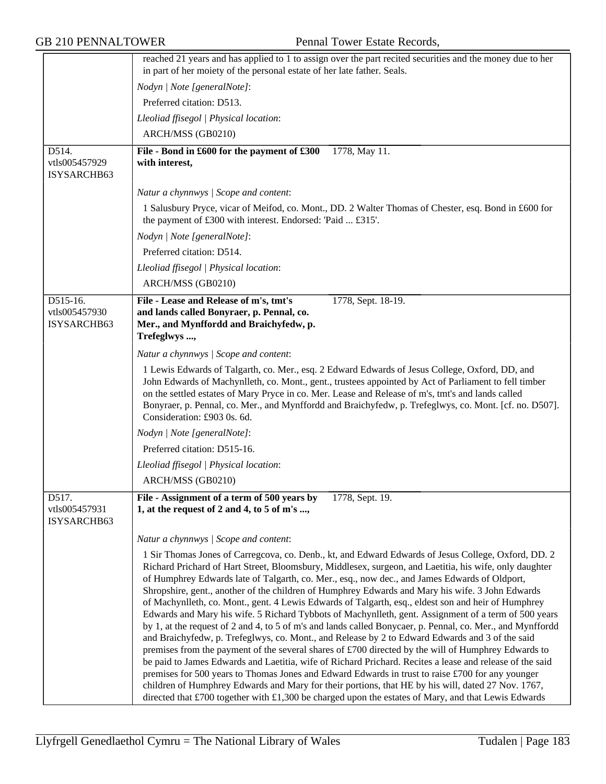|                                            | reached 21 years and has applied to 1 to assign over the part recited securities and the money due to her<br>in part of her moiety of the personal estate of her late father. Seals.                                                                                                                                                                                                                                                                                                                                                                                                                                                                                                                                                                                                                                                                                                                                                                                                                                                                                                                                                                                                                                                                                                           |  |
|--------------------------------------------|------------------------------------------------------------------------------------------------------------------------------------------------------------------------------------------------------------------------------------------------------------------------------------------------------------------------------------------------------------------------------------------------------------------------------------------------------------------------------------------------------------------------------------------------------------------------------------------------------------------------------------------------------------------------------------------------------------------------------------------------------------------------------------------------------------------------------------------------------------------------------------------------------------------------------------------------------------------------------------------------------------------------------------------------------------------------------------------------------------------------------------------------------------------------------------------------------------------------------------------------------------------------------------------------|--|
|                                            | Nodyn   Note [generalNote]:                                                                                                                                                                                                                                                                                                                                                                                                                                                                                                                                                                                                                                                                                                                                                                                                                                                                                                                                                                                                                                                                                                                                                                                                                                                                    |  |
|                                            | Preferred citation: D513.                                                                                                                                                                                                                                                                                                                                                                                                                                                                                                                                                                                                                                                                                                                                                                                                                                                                                                                                                                                                                                                                                                                                                                                                                                                                      |  |
|                                            |                                                                                                                                                                                                                                                                                                                                                                                                                                                                                                                                                                                                                                                                                                                                                                                                                                                                                                                                                                                                                                                                                                                                                                                                                                                                                                |  |
|                                            | Lleoliad ffisegol   Physical location:                                                                                                                                                                                                                                                                                                                                                                                                                                                                                                                                                                                                                                                                                                                                                                                                                                                                                                                                                                                                                                                                                                                                                                                                                                                         |  |
|                                            | ARCH/MSS (GB0210)                                                                                                                                                                                                                                                                                                                                                                                                                                                                                                                                                                                                                                                                                                                                                                                                                                                                                                                                                                                                                                                                                                                                                                                                                                                                              |  |
| D514.<br>vtls005457929<br>ISYSARCHB63      | File - Bond in £600 for the payment of £300<br>1778, May 11.<br>with interest,                                                                                                                                                                                                                                                                                                                                                                                                                                                                                                                                                                                                                                                                                                                                                                                                                                                                                                                                                                                                                                                                                                                                                                                                                 |  |
|                                            | Natur a chynnwys / Scope and content:                                                                                                                                                                                                                                                                                                                                                                                                                                                                                                                                                                                                                                                                                                                                                                                                                                                                                                                                                                                                                                                                                                                                                                                                                                                          |  |
|                                            | 1 Salusbury Pryce, vicar of Meifod, co. Mont., DD. 2 Walter Thomas of Chester, esq. Bond in £600 for<br>the payment of £300 with interest. Endorsed: 'Paid  £315'.                                                                                                                                                                                                                                                                                                                                                                                                                                                                                                                                                                                                                                                                                                                                                                                                                                                                                                                                                                                                                                                                                                                             |  |
|                                            | Nodyn   Note [generalNote]:                                                                                                                                                                                                                                                                                                                                                                                                                                                                                                                                                                                                                                                                                                                                                                                                                                                                                                                                                                                                                                                                                                                                                                                                                                                                    |  |
|                                            | Preferred citation: D514.                                                                                                                                                                                                                                                                                                                                                                                                                                                                                                                                                                                                                                                                                                                                                                                                                                                                                                                                                                                                                                                                                                                                                                                                                                                                      |  |
|                                            | Lleoliad ffisegol   Physical location:                                                                                                                                                                                                                                                                                                                                                                                                                                                                                                                                                                                                                                                                                                                                                                                                                                                                                                                                                                                                                                                                                                                                                                                                                                                         |  |
|                                            | ARCH/MSS (GB0210)                                                                                                                                                                                                                                                                                                                                                                                                                                                                                                                                                                                                                                                                                                                                                                                                                                                                                                                                                                                                                                                                                                                                                                                                                                                                              |  |
| $D515-16.$<br>vtls005457930<br>ISYSARCHB63 | File - Lease and Release of m's, tmt's<br>1778, Sept. 18-19.<br>and lands called Bonyraer, p. Pennal, co.<br>Mer., and Mynffordd and Braichyfedw, p.<br>Trefeglwys ,                                                                                                                                                                                                                                                                                                                                                                                                                                                                                                                                                                                                                                                                                                                                                                                                                                                                                                                                                                                                                                                                                                                           |  |
|                                            | Natur a chynnwys / Scope and content:                                                                                                                                                                                                                                                                                                                                                                                                                                                                                                                                                                                                                                                                                                                                                                                                                                                                                                                                                                                                                                                                                                                                                                                                                                                          |  |
|                                            | 1 Lewis Edwards of Talgarth, co. Mer., esq. 2 Edward Edwards of Jesus College, Oxford, DD, and<br>John Edwards of Machynlleth, co. Mont., gent., trustees appointed by Act of Parliament to fell timber<br>on the settled estates of Mary Pryce in co. Mer. Lease and Release of m's, tmt's and lands called<br>Bonyraer, p. Pennal, co. Mer., and Mynffordd and Braichyfedw, p. Trefeglwys, co. Mont. [cf. no. D507].<br>Consideration: £903 0s. 6d.                                                                                                                                                                                                                                                                                                                                                                                                                                                                                                                                                                                                                                                                                                                                                                                                                                          |  |
|                                            | Nodyn   Note [generalNote]:                                                                                                                                                                                                                                                                                                                                                                                                                                                                                                                                                                                                                                                                                                                                                                                                                                                                                                                                                                                                                                                                                                                                                                                                                                                                    |  |
|                                            | Preferred citation: D515-16.                                                                                                                                                                                                                                                                                                                                                                                                                                                                                                                                                                                                                                                                                                                                                                                                                                                                                                                                                                                                                                                                                                                                                                                                                                                                   |  |
|                                            | Lleoliad ffisegol   Physical location:                                                                                                                                                                                                                                                                                                                                                                                                                                                                                                                                                                                                                                                                                                                                                                                                                                                                                                                                                                                                                                                                                                                                                                                                                                                         |  |
|                                            | ARCH/MSS (GB0210)                                                                                                                                                                                                                                                                                                                                                                                                                                                                                                                                                                                                                                                                                                                                                                                                                                                                                                                                                                                                                                                                                                                                                                                                                                                                              |  |
| D517.<br>vtls005457931<br>ISYSARCHB63      | File - Assignment of a term of 500 years by<br>1778, Sept. 19.<br>1, at the request of 2 and 4, to 5 of m's ,                                                                                                                                                                                                                                                                                                                                                                                                                                                                                                                                                                                                                                                                                                                                                                                                                                                                                                                                                                                                                                                                                                                                                                                  |  |
|                                            | Natur a chynnwys / Scope and content:                                                                                                                                                                                                                                                                                                                                                                                                                                                                                                                                                                                                                                                                                                                                                                                                                                                                                                                                                                                                                                                                                                                                                                                                                                                          |  |
|                                            | 1 Sir Thomas Jones of Carregcova, co. Denb., kt, and Edward Edwards of Jesus College, Oxford, DD. 2<br>Richard Prichard of Hart Street, Bloomsbury, Middlesex, surgeon, and Laetitia, his wife, only daughter<br>of Humphrey Edwards late of Talgarth, co. Mer., esq., now dec., and James Edwards of Oldport,<br>Shropshire, gent., another of the children of Humphrey Edwards and Mary his wife. 3 John Edwards<br>of Machynlleth, co. Mont., gent. 4 Lewis Edwards of Talgarth, esq., eldest son and heir of Humphrey<br>Edwards and Mary his wife. 5 Richard Tybbots of Machynlleth, gent. Assignment of a term of 500 years<br>by 1, at the request of 2 and 4, to 5 of m's and lands called Bonycaer, p. Pennal, co. Mer., and Mynffordd<br>and Braichyfedw, p. Trefeglwys, co. Mont., and Release by 2 to Edward Edwards and 3 of the said<br>premises from the payment of the several shares of £700 directed by the will of Humphrey Edwards to<br>be paid to James Edwards and Laetitia, wife of Richard Prichard. Recites a lease and release of the said<br>premises for 500 years to Thomas Jones and Edward Edwards in trust to raise $\text{\pounds}700$ for any younger<br>children of Humphrey Edwards and Mary for their portions, that HE by his will, dated 27 Nov. 1767, |  |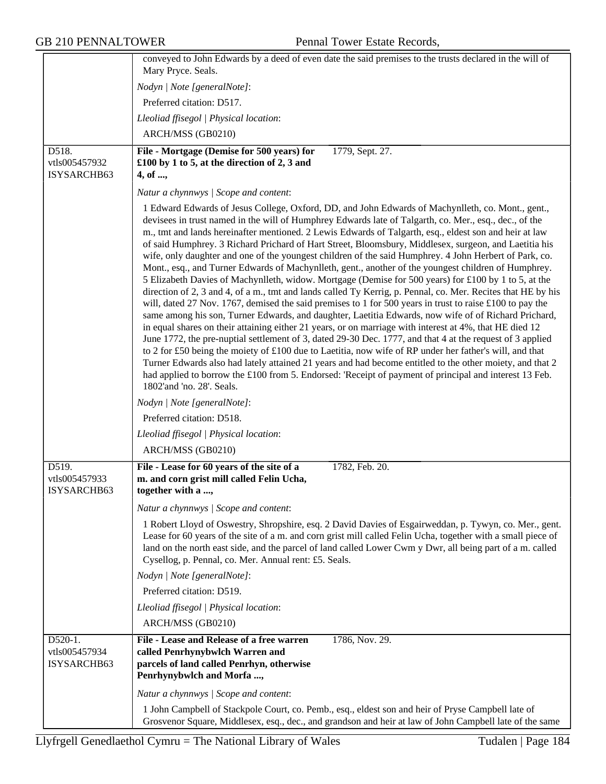|                                         | conveyed to John Edwards by a deed of even date the said premises to the trusts declared in the will of                                                                                                                                                                                                                                                                                                                                                                                                                                                                                                                                                                                                                                                                                                                                                                                                                                                                                                                                                                                                                                                                                                                                                                                                                                                                                                                                                                                                                                                                                                                                                                              |
|-----------------------------------------|--------------------------------------------------------------------------------------------------------------------------------------------------------------------------------------------------------------------------------------------------------------------------------------------------------------------------------------------------------------------------------------------------------------------------------------------------------------------------------------------------------------------------------------------------------------------------------------------------------------------------------------------------------------------------------------------------------------------------------------------------------------------------------------------------------------------------------------------------------------------------------------------------------------------------------------------------------------------------------------------------------------------------------------------------------------------------------------------------------------------------------------------------------------------------------------------------------------------------------------------------------------------------------------------------------------------------------------------------------------------------------------------------------------------------------------------------------------------------------------------------------------------------------------------------------------------------------------------------------------------------------------------------------------------------------------|
|                                         | Mary Pryce. Seals.                                                                                                                                                                                                                                                                                                                                                                                                                                                                                                                                                                                                                                                                                                                                                                                                                                                                                                                                                                                                                                                                                                                                                                                                                                                                                                                                                                                                                                                                                                                                                                                                                                                                   |
|                                         | Nodyn   Note [generalNote]:                                                                                                                                                                                                                                                                                                                                                                                                                                                                                                                                                                                                                                                                                                                                                                                                                                                                                                                                                                                                                                                                                                                                                                                                                                                                                                                                                                                                                                                                                                                                                                                                                                                          |
|                                         | Preferred citation: D517.                                                                                                                                                                                                                                                                                                                                                                                                                                                                                                                                                                                                                                                                                                                                                                                                                                                                                                                                                                                                                                                                                                                                                                                                                                                                                                                                                                                                                                                                                                                                                                                                                                                            |
|                                         | Lleoliad ffisegol   Physical location:                                                                                                                                                                                                                                                                                                                                                                                                                                                                                                                                                                                                                                                                                                                                                                                                                                                                                                                                                                                                                                                                                                                                                                                                                                                                                                                                                                                                                                                                                                                                                                                                                                               |
|                                         | ARCH/MSS (GB0210)                                                                                                                                                                                                                                                                                                                                                                                                                                                                                                                                                                                                                                                                                                                                                                                                                                                                                                                                                                                                                                                                                                                                                                                                                                                                                                                                                                                                                                                                                                                                                                                                                                                                    |
| D518.<br>vtls005457932                  | 1779, Sept. 27.<br>File - Mortgage (Demise for 500 years) for<br>£100 by 1 to 5, at the direction of 2, 3 and                                                                                                                                                                                                                                                                                                                                                                                                                                                                                                                                                                                                                                                                                                                                                                                                                                                                                                                                                                                                                                                                                                                                                                                                                                                                                                                                                                                                                                                                                                                                                                        |
| ISYSARCHB63                             | 4, of ,                                                                                                                                                                                                                                                                                                                                                                                                                                                                                                                                                                                                                                                                                                                                                                                                                                                                                                                                                                                                                                                                                                                                                                                                                                                                                                                                                                                                                                                                                                                                                                                                                                                                              |
|                                         | Natur a chynnwys / Scope and content:                                                                                                                                                                                                                                                                                                                                                                                                                                                                                                                                                                                                                                                                                                                                                                                                                                                                                                                                                                                                                                                                                                                                                                                                                                                                                                                                                                                                                                                                                                                                                                                                                                                |
|                                         | 1 Edward Edwards of Jesus College, Oxford, DD, and John Edwards of Machynlleth, co. Mont., gent.,<br>devisees in trust named in the will of Humphrey Edwards late of Talgarth, co. Mer., esq., dec., of the<br>m., tmt and lands hereinafter mentioned. 2 Lewis Edwards of Talgarth, esq., eldest son and heir at law<br>of said Humphrey. 3 Richard Prichard of Hart Street, Bloomsbury, Middlesex, surgeon, and Laetitia his<br>wife, only daughter and one of the youngest children of the said Humphrey. 4 John Herbert of Park, co.<br>Mont., esq., and Turner Edwards of Machynlleth, gent., another of the youngest children of Humphrey.<br>5 Elizabeth Davies of Machynlleth, widow. Mortgage (Demise for 500 years) for £100 by 1 to 5, at the<br>direction of 2, 3 and 4, of a m., tmt and lands called Ty Kerrig, p. Pennal, co. Mer. Recites that HE by his<br>will, dated 27 Nov. 1767, demised the said premises to 1 for 500 years in trust to raise $£100$ to pay the<br>same among his son, Turner Edwards, and daughter, Laetitia Edwards, now wife of of Richard Prichard,<br>in equal shares on their attaining either 21 years, or on marriage with interest at 4%, that HE died 12<br>June 1772, the pre-nuptial settlement of 3, dated 29-30 Dec. 1777, and that 4 at the request of 3 applied<br>to 2 for £50 being the moiety of £100 due to Laetitia, now wife of RP under her father's will, and that<br>Turner Edwards also had lately attained 21 years and had become entitled to the other moiety, and that 2<br>had applied to borrow the £100 from 5. Endorsed: 'Receipt of payment of principal and interest 13 Feb.<br>1802'and 'no. 28'. Seals. |
|                                         | Nodyn   Note [generalNote]:                                                                                                                                                                                                                                                                                                                                                                                                                                                                                                                                                                                                                                                                                                                                                                                                                                                                                                                                                                                                                                                                                                                                                                                                                                                                                                                                                                                                                                                                                                                                                                                                                                                          |
|                                         | Preferred citation: D518.                                                                                                                                                                                                                                                                                                                                                                                                                                                                                                                                                                                                                                                                                                                                                                                                                                                                                                                                                                                                                                                                                                                                                                                                                                                                                                                                                                                                                                                                                                                                                                                                                                                            |
|                                         | Lleoliad ffisegol   Physical location:                                                                                                                                                                                                                                                                                                                                                                                                                                                                                                                                                                                                                                                                                                                                                                                                                                                                                                                                                                                                                                                                                                                                                                                                                                                                                                                                                                                                                                                                                                                                                                                                                                               |
|                                         | ARCH/MSS (GB0210)                                                                                                                                                                                                                                                                                                                                                                                                                                                                                                                                                                                                                                                                                                                                                                                                                                                                                                                                                                                                                                                                                                                                                                                                                                                                                                                                                                                                                                                                                                                                                                                                                                                                    |
| D519.<br>vtls005457933<br>ISYSARCHB63   | File - Lease for 60 years of the site of a<br>1782, Feb. 20.<br>m. and corn grist mill called Felin Ucha,<br>together with a ,                                                                                                                                                                                                                                                                                                                                                                                                                                                                                                                                                                                                                                                                                                                                                                                                                                                                                                                                                                                                                                                                                                                                                                                                                                                                                                                                                                                                                                                                                                                                                       |
|                                         | Natur a chynnwys / Scope and content:                                                                                                                                                                                                                                                                                                                                                                                                                                                                                                                                                                                                                                                                                                                                                                                                                                                                                                                                                                                                                                                                                                                                                                                                                                                                                                                                                                                                                                                                                                                                                                                                                                                |
|                                         | 1 Robert Lloyd of Oswestry, Shropshire, esq. 2 David Davies of Esgairweddan, p. Tywyn, co. Mer., gent.<br>Lease for 60 years of the site of a m. and corn grist mill called Felin Ucha, together with a small piece of<br>land on the north east side, and the parcel of land called Lower Cwm y Dwr, all being part of a m. called<br>Cysellog, p. Pennal, co. Mer. Annual rent: £5. Seals.                                                                                                                                                                                                                                                                                                                                                                                                                                                                                                                                                                                                                                                                                                                                                                                                                                                                                                                                                                                                                                                                                                                                                                                                                                                                                         |
|                                         | Nodyn   Note [generalNote]:                                                                                                                                                                                                                                                                                                                                                                                                                                                                                                                                                                                                                                                                                                                                                                                                                                                                                                                                                                                                                                                                                                                                                                                                                                                                                                                                                                                                                                                                                                                                                                                                                                                          |
|                                         | Preferred citation: D519.                                                                                                                                                                                                                                                                                                                                                                                                                                                                                                                                                                                                                                                                                                                                                                                                                                                                                                                                                                                                                                                                                                                                                                                                                                                                                                                                                                                                                                                                                                                                                                                                                                                            |
|                                         | Lleoliad ffisegol   Physical location:                                                                                                                                                                                                                                                                                                                                                                                                                                                                                                                                                                                                                                                                                                                                                                                                                                                                                                                                                                                                                                                                                                                                                                                                                                                                                                                                                                                                                                                                                                                                                                                                                                               |
|                                         | ARCH/MSS (GB0210)                                                                                                                                                                                                                                                                                                                                                                                                                                                                                                                                                                                                                                                                                                                                                                                                                                                                                                                                                                                                                                                                                                                                                                                                                                                                                                                                                                                                                                                                                                                                                                                                                                                                    |
| D520-1.<br>vtls005457934<br>ISYSARCHB63 | File - Lease and Release of a free warren<br>1786, Nov. 29.<br>called Penrhynybwlch Warren and<br>parcels of land called Penrhyn, otherwise<br>Penrhynybwlch and Morfa ,                                                                                                                                                                                                                                                                                                                                                                                                                                                                                                                                                                                                                                                                                                                                                                                                                                                                                                                                                                                                                                                                                                                                                                                                                                                                                                                                                                                                                                                                                                             |
|                                         | Natur a chynnwys / Scope and content:                                                                                                                                                                                                                                                                                                                                                                                                                                                                                                                                                                                                                                                                                                                                                                                                                                                                                                                                                                                                                                                                                                                                                                                                                                                                                                                                                                                                                                                                                                                                                                                                                                                |
|                                         | 1 John Campbell of Stackpole Court, co. Pemb., esq., eldest son and heir of Pryse Campbell late of<br>Grosvenor Square, Middlesex, esq., dec., and grandson and heir at law of John Campbell late of the same                                                                                                                                                                                                                                                                                                                                                                                                                                                                                                                                                                                                                                                                                                                                                                                                                                                                                                                                                                                                                                                                                                                                                                                                                                                                                                                                                                                                                                                                        |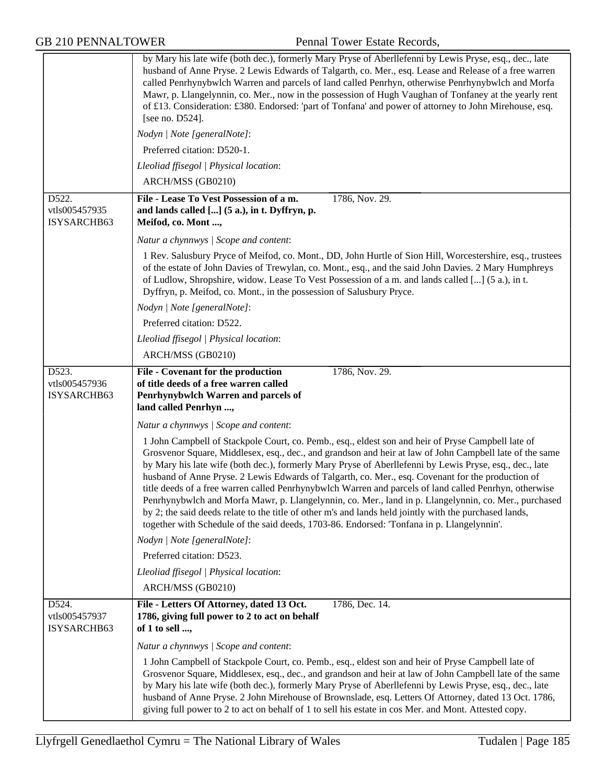|                                       | by Mary his late wife (both dec.), formerly Mary Pryse of Aberllefenni by Lewis Pryse, esq., dec., late<br>husband of Anne Pryse. 2 Lewis Edwards of Talgarth, co. Mer., esq. Lease and Release of a free warren<br>called Penrhynybwlch Warren and parcels of land called Penrhyn, otherwise Penrhynybwlch and Morfa<br>Mawr, p. Llangelynnin, co. Mer., now in the possession of Hugh Vaughan of Tonfaney at the yearly rent<br>of £13. Consideration: £380. Endorsed: 'part of Tonfana' and power of attorney to John Mirehouse, esq.<br>[see no. $D524$ ].<br>Nodyn   Note [generalNote]:                                                                                                                                                                                                                                                            |
|---------------------------------------|----------------------------------------------------------------------------------------------------------------------------------------------------------------------------------------------------------------------------------------------------------------------------------------------------------------------------------------------------------------------------------------------------------------------------------------------------------------------------------------------------------------------------------------------------------------------------------------------------------------------------------------------------------------------------------------------------------------------------------------------------------------------------------------------------------------------------------------------------------|
|                                       | Preferred citation: D520-1.                                                                                                                                                                                                                                                                                                                                                                                                                                                                                                                                                                                                                                                                                                                                                                                                                              |
|                                       |                                                                                                                                                                                                                                                                                                                                                                                                                                                                                                                                                                                                                                                                                                                                                                                                                                                          |
|                                       | Lleoliad ffisegol   Physical location:<br>ARCH/MSS (GB0210)                                                                                                                                                                                                                                                                                                                                                                                                                                                                                                                                                                                                                                                                                                                                                                                              |
|                                       |                                                                                                                                                                                                                                                                                                                                                                                                                                                                                                                                                                                                                                                                                                                                                                                                                                                          |
| D522.<br>vtls005457935<br>ISYSARCHB63 | File - Lease To Vest Possession of a m.<br>1786, Nov. 29.<br>and lands called [] (5 a.), in t. Dyffryn, p.<br>Meifod, co. Mont ,                                                                                                                                                                                                                                                                                                                                                                                                                                                                                                                                                                                                                                                                                                                         |
|                                       | Natur a chynnwys / Scope and content:                                                                                                                                                                                                                                                                                                                                                                                                                                                                                                                                                                                                                                                                                                                                                                                                                    |
|                                       | 1 Rev. Salusbury Pryce of Meifod, co. Mont., DD, John Hurtle of Sion Hill, Worcestershire, esq., trustees<br>of the estate of John Davies of Trewylan, co. Mont., esq., and the said John Davies. 2 Mary Humphreys<br>of Ludlow, Shropshire, widow. Lease To Vest Possession of a m. and lands called [] (5 a.), in t.<br>Dyffryn, p. Meifod, co. Mont., in the possession of Salusbury Pryce.                                                                                                                                                                                                                                                                                                                                                                                                                                                           |
|                                       | Nodyn   Note [generalNote]:                                                                                                                                                                                                                                                                                                                                                                                                                                                                                                                                                                                                                                                                                                                                                                                                                              |
|                                       | Preferred citation: D522.                                                                                                                                                                                                                                                                                                                                                                                                                                                                                                                                                                                                                                                                                                                                                                                                                                |
|                                       | Lleoliad ffisegol   Physical location:                                                                                                                                                                                                                                                                                                                                                                                                                                                                                                                                                                                                                                                                                                                                                                                                                   |
|                                       | ARCH/MSS (GB0210)                                                                                                                                                                                                                                                                                                                                                                                                                                                                                                                                                                                                                                                                                                                                                                                                                                        |
| D523.<br>vtls005457936<br>ISYSARCHB63 | 1786, Nov. 29.<br>File - Covenant for the production<br>of title deeds of a free warren called<br>Penrhynybwlch Warren and parcels of<br>land called Penrhyn ,                                                                                                                                                                                                                                                                                                                                                                                                                                                                                                                                                                                                                                                                                           |
|                                       | Natur a chynnwys / Scope and content:                                                                                                                                                                                                                                                                                                                                                                                                                                                                                                                                                                                                                                                                                                                                                                                                                    |
|                                       | 1 John Campbell of Stackpole Court, co. Pemb., esq., eldest son and heir of Pryse Campbell late of<br>Grosvenor Square, Middlesex, esq., dec., and grandson and heir at law of John Campbell late of the same<br>by Mary his late wife (both dec.), formerly Mary Pryse of Aberllefenni by Lewis Pryse, esq., dec., late<br>husband of Anne Pryse. 2 Lewis Edwards of Talgarth, co. Mer., esq. Covenant for the production of<br>title deeds of a free warren called Penrhynybwlch Warren and parcels of land called Penrhyn, otherwise<br>Penrhynybwlch and Morfa Mawr, p. Llangelynnin, co. Mer., land in p. Llangelynnin, co. Mer., purchased<br>by 2; the said deeds relate to the title of other m's and lands held jointly with the purchased lands,<br>together with Schedule of the said deeds, 1703-86. Endorsed: 'Tonfana in p. Llangelynnin'. |
|                                       | Nodyn   Note [generalNote]:                                                                                                                                                                                                                                                                                                                                                                                                                                                                                                                                                                                                                                                                                                                                                                                                                              |
|                                       | Preferred citation: D523.                                                                                                                                                                                                                                                                                                                                                                                                                                                                                                                                                                                                                                                                                                                                                                                                                                |
|                                       | Lleoliad ffisegol   Physical location:                                                                                                                                                                                                                                                                                                                                                                                                                                                                                                                                                                                                                                                                                                                                                                                                                   |
|                                       | ARCH/MSS (GB0210)                                                                                                                                                                                                                                                                                                                                                                                                                                                                                                                                                                                                                                                                                                                                                                                                                                        |
| D524.<br>vtls005457937<br>ISYSARCHB63 | File - Letters Of Attorney, dated 13 Oct.<br>1786, Dec. 14.<br>1786, giving full power to 2 to act on behalf<br>of 1 to sell ,                                                                                                                                                                                                                                                                                                                                                                                                                                                                                                                                                                                                                                                                                                                           |
|                                       | Natur a chynnwys / Scope and content:                                                                                                                                                                                                                                                                                                                                                                                                                                                                                                                                                                                                                                                                                                                                                                                                                    |
|                                       | 1 John Campbell of Stackpole Court, co. Pemb., esq., eldest son and heir of Pryse Campbell late of<br>Grosvenor Square, Middlesex, esq., dec., and grandson and heir at law of John Campbell late of the same<br>by Mary his late wife (both dec.), formerly Mary Pryse of Aberllefenni by Lewis Pryse, esq., dec., late<br>husband of Anne Pryse. 2 John Mirehouse of Brownslade, esq. Letters Of Attorney, dated 13 Oct. 1786,<br>giving full power to 2 to act on behalf of 1 to sell his estate in cos Mer. and Mont. Attested copy.                                                                                                                                                                                                                                                                                                                 |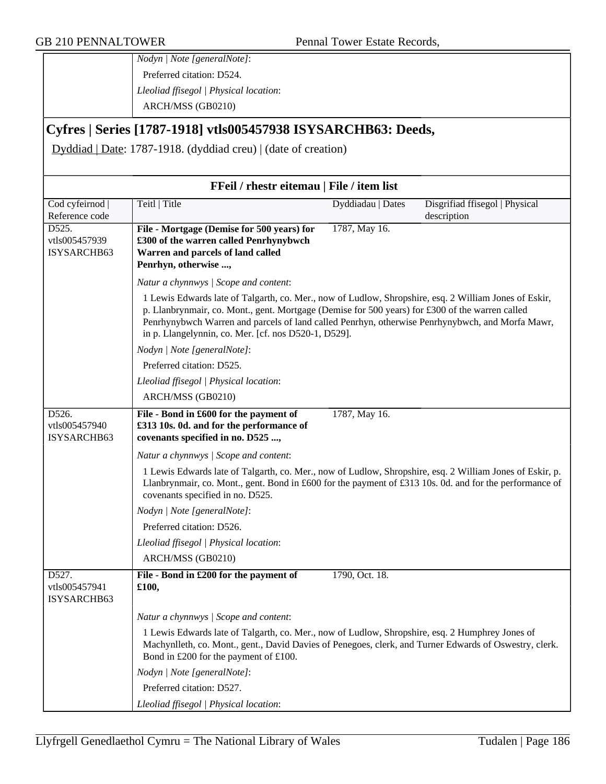*Nodyn | Note [generalNote]*: Preferred citation: D524. *Lleoliad ffisegol | Physical location*: ARCH/MSS (GB0210)

## **Cyfres | Series [1787-1918] vtls005457938 ISYSARCHB63: Deeds,**

Dyddiad | Date: 1787-1918. (dyddiad creu) | (date of creation)

| FFeil / rhestr eitemau   File / item list               |                                                                                                                                                                                                                                                                                                                                                                     |                   |                                |
|---------------------------------------------------------|---------------------------------------------------------------------------------------------------------------------------------------------------------------------------------------------------------------------------------------------------------------------------------------------------------------------------------------------------------------------|-------------------|--------------------------------|
| Cod cyfeirnod                                           | Teitl   Title                                                                                                                                                                                                                                                                                                                                                       | Dyddiadau   Dates | Disgrifiad ffisegol   Physical |
| Reference code<br>D525.<br>vtls005457939<br>ISYSARCHB63 | File - Mortgage (Demise for 500 years) for<br>£300 of the warren called Penrhynybwch<br>Warren and parcels of land called<br>Penrhyn, otherwise ,                                                                                                                                                                                                                   | 1787, May 16.     | description                    |
|                                                         | Natur a chynnwys / Scope and content:                                                                                                                                                                                                                                                                                                                               |                   |                                |
|                                                         | 1 Lewis Edwards late of Talgarth, co. Mer., now of Ludlow, Shropshire, esq. 2 William Jones of Eskir,<br>p. Llanbrynmair, co. Mont., gent. Mortgage (Demise for 500 years) for £300 of the warren called<br>Penrhynybwch Warren and parcels of land called Penrhyn, otherwise Penrhynybwch, and Morfa Mawr,<br>in p. Llangelynnin, co. Mer. [cf. nos D520-1, D529]. |                   |                                |
|                                                         | Nodyn   Note [generalNote]:                                                                                                                                                                                                                                                                                                                                         |                   |                                |
|                                                         | Preferred citation: D525.                                                                                                                                                                                                                                                                                                                                           |                   |                                |
|                                                         | Lleoliad ffisegol   Physical location:                                                                                                                                                                                                                                                                                                                              |                   |                                |
|                                                         | ARCH/MSS (GB0210)                                                                                                                                                                                                                                                                                                                                                   |                   |                                |
| D526.<br>vtls005457940<br>ISYSARCHB63                   | File - Bond in £600 for the payment of<br>£313 10s. 0d. and for the performance of<br>covenants specified in no. D525 ,                                                                                                                                                                                                                                             | 1787, May 16.     |                                |
|                                                         | Natur a chynnwys / Scope and content:                                                                                                                                                                                                                                                                                                                               |                   |                                |
|                                                         | 1 Lewis Edwards late of Talgarth, co. Mer., now of Ludlow, Shropshire, esq. 2 William Jones of Eskir, p.<br>Llanbrynmair, co. Mont., gent. Bond in £600 for the payment of £313 10s. 0d. and for the performance of<br>covenants specified in no. D525.                                                                                                             |                   |                                |
|                                                         | Nodyn   Note [generalNote]:                                                                                                                                                                                                                                                                                                                                         |                   |                                |
|                                                         | Preferred citation: D526.                                                                                                                                                                                                                                                                                                                                           |                   |                                |
|                                                         | Lleoliad ffisegol   Physical location:                                                                                                                                                                                                                                                                                                                              |                   |                                |
|                                                         | ARCH/MSS (GB0210)                                                                                                                                                                                                                                                                                                                                                   |                   |                                |
| D527.<br>vtls005457941<br>ISYSARCHB63                   | File - Bond in £200 for the payment of<br>£100,                                                                                                                                                                                                                                                                                                                     | 1790, Oct. 18.    |                                |
|                                                         | Natur a chynnwys / Scope and content:                                                                                                                                                                                                                                                                                                                               |                   |                                |
|                                                         | 1 Lewis Edwards late of Talgarth, co. Mer., now of Ludlow, Shropshire, esq. 2 Humphrey Jones of<br>Machynlleth, co. Mont., gent., David Davies of Penegoes, clerk, and Turner Edwards of Oswestry, clerk.<br>Bond in £200 for the payment of £100.                                                                                                                  |                   |                                |
|                                                         | Nodyn   Note [generalNote]:                                                                                                                                                                                                                                                                                                                                         |                   |                                |
|                                                         | Preferred citation: D527.                                                                                                                                                                                                                                                                                                                                           |                   |                                |
|                                                         | Lleoliad ffisegol   Physical location:                                                                                                                                                                                                                                                                                                                              |                   |                                |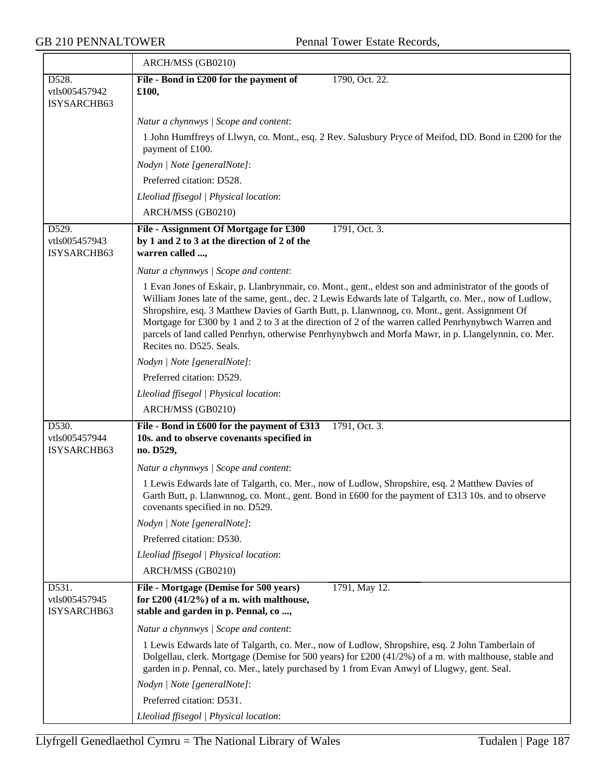|                                       | ARCH/MSS (GB0210)                                                                                                                                                                                                                                                                                                                                                                                                                                                                                                                                             |
|---------------------------------------|---------------------------------------------------------------------------------------------------------------------------------------------------------------------------------------------------------------------------------------------------------------------------------------------------------------------------------------------------------------------------------------------------------------------------------------------------------------------------------------------------------------------------------------------------------------|
| D528.<br>vtls005457942<br>ISYSARCHB63 | File - Bond in £200 for the payment of<br>1790, Oct. 22.<br>£100,                                                                                                                                                                                                                                                                                                                                                                                                                                                                                             |
|                                       | Natur a chynnwys / Scope and content:                                                                                                                                                                                                                                                                                                                                                                                                                                                                                                                         |
|                                       | 1 John Humffreys of Llwyn, co. Mont., esq. 2 Rev. Salusbury Pryce of Meifod, DD. Bond in £200 for the<br>payment of £100.                                                                                                                                                                                                                                                                                                                                                                                                                                     |
|                                       | Nodyn   Note [generalNote]:                                                                                                                                                                                                                                                                                                                                                                                                                                                                                                                                   |
|                                       | Preferred citation: D528.                                                                                                                                                                                                                                                                                                                                                                                                                                                                                                                                     |
|                                       | Lleoliad ffisegol   Physical location:                                                                                                                                                                                                                                                                                                                                                                                                                                                                                                                        |
|                                       | ARCH/MSS (GB0210)                                                                                                                                                                                                                                                                                                                                                                                                                                                                                                                                             |
| D529.<br>vtls005457943<br>ISYSARCHB63 | 1791, Oct. 3.<br>File - Assignment Of Mortgage for £300<br>by 1 and 2 to 3 at the direction of 2 of the<br>warren called ,                                                                                                                                                                                                                                                                                                                                                                                                                                    |
|                                       | Natur a chynnwys / Scope and content:                                                                                                                                                                                                                                                                                                                                                                                                                                                                                                                         |
|                                       | 1 Evan Jones of Eskair, p. Llanbrynmair, co. Mont., gent., eldest son and administrator of the goods of<br>William Jones late of the same, gent., dec. 2 Lewis Edwards late of Talgarth, co. Mer., now of Ludlow,<br>Shropshire, esq. 3 Matthew Davies of Garth Butt, p. Llanwnnog, co. Mont., gent. Assignment Of<br>Mortgage for £300 by 1 and 2 to 3 at the direction of 2 of the warren called Penrhynybwch Warren and<br>parcels of land called Penrhyn, otherwise Penrhynybwch and Morfa Mawr, in p. Llangelynnin, co. Mer.<br>Recites no. D525. Seals. |
|                                       | Nodyn   Note [generalNote]:                                                                                                                                                                                                                                                                                                                                                                                                                                                                                                                                   |
|                                       | Preferred citation: D529.                                                                                                                                                                                                                                                                                                                                                                                                                                                                                                                                     |
|                                       | Lleoliad ffisegol   Physical location:                                                                                                                                                                                                                                                                                                                                                                                                                                                                                                                        |
|                                       | ARCH/MSS (GB0210)                                                                                                                                                                                                                                                                                                                                                                                                                                                                                                                                             |
| D530.<br>vtls005457944<br>ISYSARCHB63 | File - Bond in £600 for the payment of £313<br>1791, Oct. 3.<br>10s. and to observe covenants specified in<br>no. D529,                                                                                                                                                                                                                                                                                                                                                                                                                                       |
|                                       | Natur a chynnwys / Scope and content:                                                                                                                                                                                                                                                                                                                                                                                                                                                                                                                         |
|                                       | 1 Lewis Edwards late of Talgarth, co. Mer., now of Ludlow, Shropshire, esq. 2 Matthew Davies of<br>Garth Butt, p. Llanwnnog, co. Mont., gent. Bond in £600 for the payment of £313 10s. and to observe<br>covenants specified in no. D529.                                                                                                                                                                                                                                                                                                                    |
|                                       | Nodyn   Note [generalNote]:                                                                                                                                                                                                                                                                                                                                                                                                                                                                                                                                   |
|                                       | Preferred citation: D530.                                                                                                                                                                                                                                                                                                                                                                                                                                                                                                                                     |
|                                       | Lleoliad ffisegol   Physical location:                                                                                                                                                                                                                                                                                                                                                                                                                                                                                                                        |
|                                       | ARCH/MSS (GB0210)                                                                                                                                                                                                                                                                                                                                                                                                                                                                                                                                             |
| D531.<br>vtls005457945<br>ISYSARCHB63 | File - Mortgage (Demise for 500 years)<br>1791, May 12.<br>for £200 $(41/2%)$ of a m. with malthouse,<br>stable and garden in p. Pennal, co,                                                                                                                                                                                                                                                                                                                                                                                                                  |
|                                       | Natur a chynnwys / Scope and content:                                                                                                                                                                                                                                                                                                                                                                                                                                                                                                                         |
|                                       | 1 Lewis Edwards late of Talgarth, co. Mer., now of Ludlow, Shropshire, esq. 2 John Tamberlain of<br>Dolgellau, clerk. Mortgage (Demise for 500 years) for £200 (41/2%) of a m. with malthouse, stable and<br>garden in p. Pennal, co. Mer., lately purchased by 1 from Evan Anwyl of Llugwy, gent. Seal.                                                                                                                                                                                                                                                      |
|                                       | Nodyn   Note [generalNote]:                                                                                                                                                                                                                                                                                                                                                                                                                                                                                                                                   |
|                                       | Preferred citation: D531.                                                                                                                                                                                                                                                                                                                                                                                                                                                                                                                                     |
|                                       | Lleoliad ffisegol   Physical location:                                                                                                                                                                                                                                                                                                                                                                                                                                                                                                                        |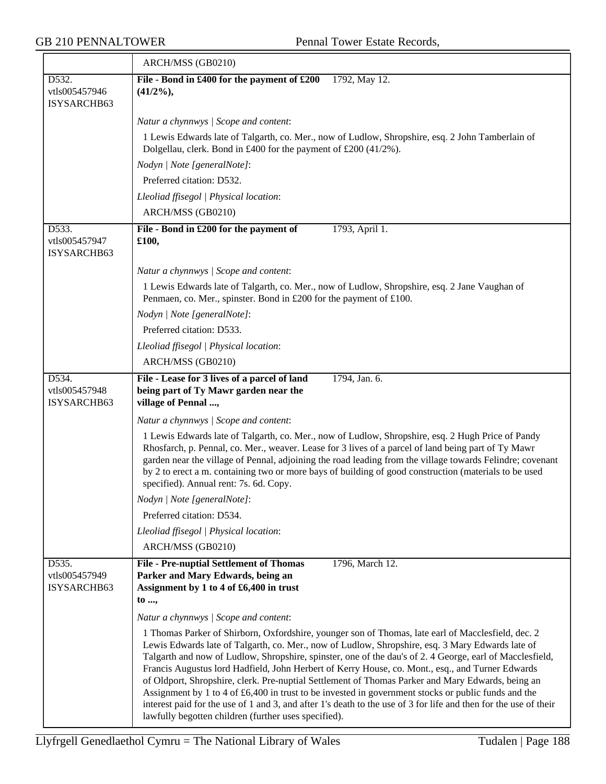|                                                     | ARCH/MSS (GB0210)                                                                                                                                                                                                                                                                                                                                                                                                                                                                                                                                                                                                                                                                                                                                                                                             |
|-----------------------------------------------------|---------------------------------------------------------------------------------------------------------------------------------------------------------------------------------------------------------------------------------------------------------------------------------------------------------------------------------------------------------------------------------------------------------------------------------------------------------------------------------------------------------------------------------------------------------------------------------------------------------------------------------------------------------------------------------------------------------------------------------------------------------------------------------------------------------------|
| D532.<br>vtls005457946<br>ISYSARCHB63               | File - Bond in £400 for the payment of £200 1792, May 12.<br>$(41/2\%)$                                                                                                                                                                                                                                                                                                                                                                                                                                                                                                                                                                                                                                                                                                                                       |
|                                                     | Natur a chynnwys / Scope and content:                                                                                                                                                                                                                                                                                                                                                                                                                                                                                                                                                                                                                                                                                                                                                                         |
|                                                     | 1 Lewis Edwards late of Talgarth, co. Mer., now of Ludlow, Shropshire, esq. 2 John Tamberlain of<br>Dolgellau, clerk. Bond in £400 for the payment of £200 (41/2%).                                                                                                                                                                                                                                                                                                                                                                                                                                                                                                                                                                                                                                           |
|                                                     | Nodyn   Note [generalNote]:                                                                                                                                                                                                                                                                                                                                                                                                                                                                                                                                                                                                                                                                                                                                                                                   |
|                                                     | Preferred citation: D532.                                                                                                                                                                                                                                                                                                                                                                                                                                                                                                                                                                                                                                                                                                                                                                                     |
|                                                     | Lleoliad ffisegol   Physical location:                                                                                                                                                                                                                                                                                                                                                                                                                                                                                                                                                                                                                                                                                                                                                                        |
|                                                     | ARCH/MSS (GB0210)                                                                                                                                                                                                                                                                                                                                                                                                                                                                                                                                                                                                                                                                                                                                                                                             |
| $\overline{D533}$ .<br>vtls005457947<br>ISYSARCHB63 | File - Bond in £200 for the payment of<br>1793, April 1.<br>£100,                                                                                                                                                                                                                                                                                                                                                                                                                                                                                                                                                                                                                                                                                                                                             |
|                                                     | Natur a chynnwys / Scope and content:                                                                                                                                                                                                                                                                                                                                                                                                                                                                                                                                                                                                                                                                                                                                                                         |
|                                                     | 1 Lewis Edwards late of Talgarth, co. Mer., now of Ludlow, Shropshire, esq. 2 Jane Vaughan of<br>Penmaen, co. Mer., spinster. Bond in £200 for the payment of £100.                                                                                                                                                                                                                                                                                                                                                                                                                                                                                                                                                                                                                                           |
|                                                     | Nodyn   Note [generalNote]:                                                                                                                                                                                                                                                                                                                                                                                                                                                                                                                                                                                                                                                                                                                                                                                   |
|                                                     | Preferred citation: D533.                                                                                                                                                                                                                                                                                                                                                                                                                                                                                                                                                                                                                                                                                                                                                                                     |
|                                                     | Lleoliad ffisegol   Physical location:                                                                                                                                                                                                                                                                                                                                                                                                                                                                                                                                                                                                                                                                                                                                                                        |
|                                                     | ARCH/MSS (GB0210)                                                                                                                                                                                                                                                                                                                                                                                                                                                                                                                                                                                                                                                                                                                                                                                             |
| D534.<br>vtls005457948<br>ISYSARCHB63               | File - Lease for 3 lives of a parcel of land<br>1794, Jan. 6.<br>being part of Ty Mawr garden near the<br>village of Pennal ,                                                                                                                                                                                                                                                                                                                                                                                                                                                                                                                                                                                                                                                                                 |
|                                                     | Natur a chynnwys / Scope and content:                                                                                                                                                                                                                                                                                                                                                                                                                                                                                                                                                                                                                                                                                                                                                                         |
|                                                     | 1 Lewis Edwards late of Talgarth, co. Mer., now of Ludlow, Shropshire, esq. 2 Hugh Price of Pandy<br>Rhosfarch, p. Pennal, co. Mer., weaver. Lease for 3 lives of a parcel of land being part of Ty Mawr<br>garden near the village of Pennal, adjoining the road leading from the village towards Felindre; covenant<br>by 2 to erect a m. containing two or more bays of building of good construction (materials to be used<br>specified). Annual rent: 7s. 6d. Copy.                                                                                                                                                                                                                                                                                                                                      |
|                                                     | Nodyn   Note [generalNote]:                                                                                                                                                                                                                                                                                                                                                                                                                                                                                                                                                                                                                                                                                                                                                                                   |
|                                                     | Preferred citation: D534.                                                                                                                                                                                                                                                                                                                                                                                                                                                                                                                                                                                                                                                                                                                                                                                     |
|                                                     | Lleoliad ffisegol   Physical location:                                                                                                                                                                                                                                                                                                                                                                                                                                                                                                                                                                                                                                                                                                                                                                        |
|                                                     | ARCH/MSS (GB0210)                                                                                                                                                                                                                                                                                                                                                                                                                                                                                                                                                                                                                                                                                                                                                                                             |
| D535.<br>vtls005457949<br>ISYSARCHB63               | <b>File - Pre-nuptial Settlement of Thomas</b><br>1796, March 12.<br>Parker and Mary Edwards, being an<br>Assignment by 1 to 4 of £6,400 in trust<br>to ,                                                                                                                                                                                                                                                                                                                                                                                                                                                                                                                                                                                                                                                     |
|                                                     | Natur a chynnwys / Scope and content:                                                                                                                                                                                                                                                                                                                                                                                                                                                                                                                                                                                                                                                                                                                                                                         |
|                                                     | 1 Thomas Parker of Shirborn, Oxfordshire, younger son of Thomas, late earl of Macclesfield, dec. 2<br>Lewis Edwards late of Talgarth, co. Mer., now of Ludlow, Shropshire, esq. 3 Mary Edwards late of<br>Talgarth and now of Ludlow, Shropshire, spinster, one of the dau's of 2.4 George, earl of Macclesfield,<br>Francis Augustus lord Hadfield, John Herbert of Kerry House, co. Mont., esq., and Turner Edwards<br>of Oldport, Shropshire, clerk. Pre-nuptial Settlement of Thomas Parker and Mary Edwards, being an<br>Assignment by 1 to 4 of £6,400 in trust to be invested in government stocks or public funds and the<br>interest paid for the use of 1 and 3, and after 1's death to the use of 3 for life and then for the use of their<br>lawfully begotten children (further uses specified). |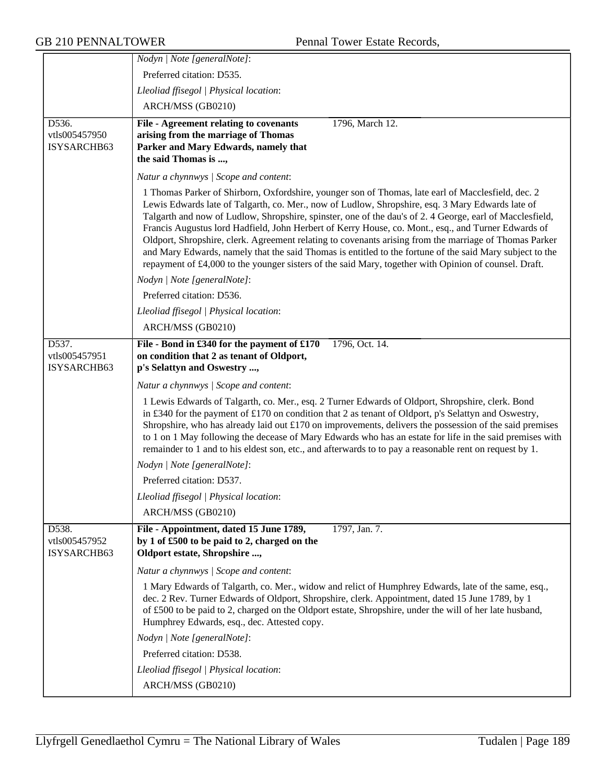|                                       | Nodyn   Note [generalNote]:                                                                                                                                                                                                                                                                                                                                                                                                                                                                                                                                                                                                                                                                                                                             |
|---------------------------------------|---------------------------------------------------------------------------------------------------------------------------------------------------------------------------------------------------------------------------------------------------------------------------------------------------------------------------------------------------------------------------------------------------------------------------------------------------------------------------------------------------------------------------------------------------------------------------------------------------------------------------------------------------------------------------------------------------------------------------------------------------------|
|                                       | Preferred citation: D535.                                                                                                                                                                                                                                                                                                                                                                                                                                                                                                                                                                                                                                                                                                                               |
|                                       | Lleoliad ffisegol   Physical location:                                                                                                                                                                                                                                                                                                                                                                                                                                                                                                                                                                                                                                                                                                                  |
|                                       | ARCH/MSS (GB0210)                                                                                                                                                                                                                                                                                                                                                                                                                                                                                                                                                                                                                                                                                                                                       |
| D536.<br>vtls005457950<br>ISYSARCHB63 | File - Agreement relating to covenants<br>1796, March 12.<br>arising from the marriage of Thomas<br>Parker and Mary Edwards, namely that<br>the said Thomas is ,                                                                                                                                                                                                                                                                                                                                                                                                                                                                                                                                                                                        |
|                                       | Natur a chynnwys / Scope and content:                                                                                                                                                                                                                                                                                                                                                                                                                                                                                                                                                                                                                                                                                                                   |
|                                       | 1 Thomas Parker of Shirborn, Oxfordshire, younger son of Thomas, late earl of Macclesfield, dec. 2<br>Lewis Edwards late of Talgarth, co. Mer., now of Ludlow, Shropshire, esq. 3 Mary Edwards late of<br>Talgarth and now of Ludlow, Shropshire, spinster, one of the dau's of 2.4 George, earl of Macclesfield,<br>Francis Augustus lord Hadfield, John Herbert of Kerry House, co. Mont., esq., and Turner Edwards of<br>Oldport, Shropshire, clerk. Agreement relating to covenants arising from the marriage of Thomas Parker<br>and Mary Edwards, namely that the said Thomas is entitled to the fortune of the said Mary subject to the<br>repayment of £4,000 to the younger sisters of the said Mary, together with Opinion of counsel. Draft. |
|                                       | Nodyn   Note [generalNote]:                                                                                                                                                                                                                                                                                                                                                                                                                                                                                                                                                                                                                                                                                                                             |
|                                       | Preferred citation: D536.                                                                                                                                                                                                                                                                                                                                                                                                                                                                                                                                                                                                                                                                                                                               |
|                                       | Lleoliad ffisegol   Physical location:                                                                                                                                                                                                                                                                                                                                                                                                                                                                                                                                                                                                                                                                                                                  |
|                                       | ARCH/MSS (GB0210)                                                                                                                                                                                                                                                                                                                                                                                                                                                                                                                                                                                                                                                                                                                                       |
| D537.                                 | File - Bond in £340 for the payment of £170<br>1796, Oct. 14.                                                                                                                                                                                                                                                                                                                                                                                                                                                                                                                                                                                                                                                                                           |
| vtls005457951                         | on condition that 2 as tenant of Oldport,                                                                                                                                                                                                                                                                                                                                                                                                                                                                                                                                                                                                                                                                                                               |
| ISYSARCHB63                           | p's Selattyn and Oswestry ,                                                                                                                                                                                                                                                                                                                                                                                                                                                                                                                                                                                                                                                                                                                             |
|                                       | Natur a chynnwys / Scope and content:                                                                                                                                                                                                                                                                                                                                                                                                                                                                                                                                                                                                                                                                                                                   |
|                                       | 1 Lewis Edwards of Talgarth, co. Mer., esq. 2 Turner Edwards of Oldport, Shropshire, clerk. Bond<br>in £340 for the payment of £170 on condition that 2 as tenant of Oldport, p's Selattyn and Oswestry,<br>Shropshire, who has already laid out £170 on improvements, delivers the possession of the said premises<br>to 1 on 1 May following the decease of Mary Edwards who has an estate for life in the said premises with<br>remainder to 1 and to his eldest son, etc., and afterwards to to pay a reasonable rent on request by 1.                                                                                                                                                                                                              |
|                                       | Nodyn   Note [generalNote]:                                                                                                                                                                                                                                                                                                                                                                                                                                                                                                                                                                                                                                                                                                                             |
|                                       | Preferred citation: D537.                                                                                                                                                                                                                                                                                                                                                                                                                                                                                                                                                                                                                                                                                                                               |
|                                       | Lleoliad ffisegol   Physical location:                                                                                                                                                                                                                                                                                                                                                                                                                                                                                                                                                                                                                                                                                                                  |
|                                       | ARCH/MSS (GB0210)                                                                                                                                                                                                                                                                                                                                                                                                                                                                                                                                                                                                                                                                                                                                       |
| D538.<br>vtls005457952<br>ISYSARCHB63 | 1797, Jan. 7.<br>File - Appointment, dated 15 June 1789,<br>by 1 of £500 to be paid to 2, charged on the<br>Oldport estate, Shropshire ,                                                                                                                                                                                                                                                                                                                                                                                                                                                                                                                                                                                                                |
|                                       | Natur a chynnwys / Scope and content:                                                                                                                                                                                                                                                                                                                                                                                                                                                                                                                                                                                                                                                                                                                   |
|                                       | 1 Mary Edwards of Talgarth, co. Mer., widow and relict of Humphrey Edwards, late of the same, esq.,<br>dec. 2 Rev. Turner Edwards of Oldport, Shropshire, clerk. Appointment, dated 15 June 1789, by 1<br>of £500 to be paid to 2, charged on the Oldport estate, Shropshire, under the will of her late husband,<br>Humphrey Edwards, esq., dec. Attested copy.                                                                                                                                                                                                                                                                                                                                                                                        |
|                                       | Nodyn   Note [generalNote]:                                                                                                                                                                                                                                                                                                                                                                                                                                                                                                                                                                                                                                                                                                                             |
|                                       | Preferred citation: D538.                                                                                                                                                                                                                                                                                                                                                                                                                                                                                                                                                                                                                                                                                                                               |
|                                       | Lleoliad ffisegol   Physical location:                                                                                                                                                                                                                                                                                                                                                                                                                                                                                                                                                                                                                                                                                                                  |
|                                       | ARCH/MSS (GB0210)                                                                                                                                                                                                                                                                                                                                                                                                                                                                                                                                                                                                                                                                                                                                       |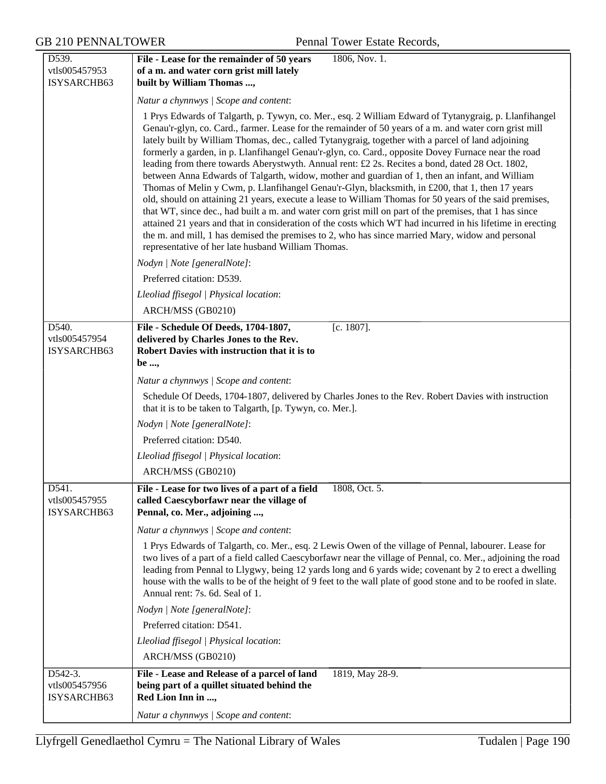| D539.                                 | 1806, Nov. 1.<br>File - Lease for the remainder of 50 years                                                                                                                                                                                                                                                                                                                                                                                                                                                                                                                                                                                                                                                                                                                                                                                                                                                                                                                                                                                                                                                                                                                                                                        |
|---------------------------------------|------------------------------------------------------------------------------------------------------------------------------------------------------------------------------------------------------------------------------------------------------------------------------------------------------------------------------------------------------------------------------------------------------------------------------------------------------------------------------------------------------------------------------------------------------------------------------------------------------------------------------------------------------------------------------------------------------------------------------------------------------------------------------------------------------------------------------------------------------------------------------------------------------------------------------------------------------------------------------------------------------------------------------------------------------------------------------------------------------------------------------------------------------------------------------------------------------------------------------------|
| vtls005457953                         | of a m. and water corn grist mill lately                                                                                                                                                                                                                                                                                                                                                                                                                                                                                                                                                                                                                                                                                                                                                                                                                                                                                                                                                                                                                                                                                                                                                                                           |
| ISYSARCHB63                           | built by William Thomas ,                                                                                                                                                                                                                                                                                                                                                                                                                                                                                                                                                                                                                                                                                                                                                                                                                                                                                                                                                                                                                                                                                                                                                                                                          |
|                                       | Natur a chynnwys / Scope and content:                                                                                                                                                                                                                                                                                                                                                                                                                                                                                                                                                                                                                                                                                                                                                                                                                                                                                                                                                                                                                                                                                                                                                                                              |
|                                       | 1 Prys Edwards of Talgarth, p. Tywyn, co. Mer., esq. 2 William Edward of Tytanygraig, p. Llanfihangel<br>Genau'r-glyn, co. Card., farmer. Lease for the remainder of 50 years of a m. and water corn grist mill<br>lately built by William Thomas, dec., called Tytanygraig, together with a parcel of land adjoining<br>formerly a garden, in p. Llanfihangel Genau'r-glyn, co. Card., opposite Dovey Furnace near the road<br>leading from there towards Aberystwyth. Annual rent: £2 2s. Recites a bond, dated 28 Oct. 1802,<br>between Anna Edwards of Talgarth, widow, mother and guardian of 1, then an infant, and William<br>Thomas of Melin y Cwm, p. Llanfihangel Genau'r-Glyn, blacksmith, in £200, that 1, then 17 years<br>old, should on attaining 21 years, execute a lease to William Thomas for 50 years of the said premises,<br>that WT, since dec., had built a m. and water corn grist mill on part of the premises, that 1 has since<br>attained 21 years and that in consideration of the costs which WT had incurred in his lifetime in erecting<br>the m. and mill, 1 has demised the premises to 2, who has since married Mary, widow and personal<br>representative of her late husband William Thomas. |
|                                       | Nodyn   Note [generalNote]:                                                                                                                                                                                                                                                                                                                                                                                                                                                                                                                                                                                                                                                                                                                                                                                                                                                                                                                                                                                                                                                                                                                                                                                                        |
|                                       | Preferred citation: D539.                                                                                                                                                                                                                                                                                                                                                                                                                                                                                                                                                                                                                                                                                                                                                                                                                                                                                                                                                                                                                                                                                                                                                                                                          |
|                                       | Lleoliad ffisegol   Physical location:                                                                                                                                                                                                                                                                                                                                                                                                                                                                                                                                                                                                                                                                                                                                                                                                                                                                                                                                                                                                                                                                                                                                                                                             |
|                                       | ARCH/MSS (GB0210)                                                                                                                                                                                                                                                                                                                                                                                                                                                                                                                                                                                                                                                                                                                                                                                                                                                                                                                                                                                                                                                                                                                                                                                                                  |
| D540.                                 | $[c. 1807]$ .<br>File - Schedule Of Deeds, 1704-1807,                                                                                                                                                                                                                                                                                                                                                                                                                                                                                                                                                                                                                                                                                                                                                                                                                                                                                                                                                                                                                                                                                                                                                                              |
| vtls005457954                         | delivered by Charles Jones to the Rev.                                                                                                                                                                                                                                                                                                                                                                                                                                                                                                                                                                                                                                                                                                                                                                                                                                                                                                                                                                                                                                                                                                                                                                                             |
| ISYSARCHB63                           | Robert Davies with instruction that it is to<br>be ,                                                                                                                                                                                                                                                                                                                                                                                                                                                                                                                                                                                                                                                                                                                                                                                                                                                                                                                                                                                                                                                                                                                                                                               |
|                                       | Natur a chynnwys / Scope and content:                                                                                                                                                                                                                                                                                                                                                                                                                                                                                                                                                                                                                                                                                                                                                                                                                                                                                                                                                                                                                                                                                                                                                                                              |
|                                       | Schedule Of Deeds, 1704-1807, delivered by Charles Jones to the Rev. Robert Davies with instruction                                                                                                                                                                                                                                                                                                                                                                                                                                                                                                                                                                                                                                                                                                                                                                                                                                                                                                                                                                                                                                                                                                                                |
|                                       | that it is to be taken to Talgarth, [p. Tywyn, co. Mer.].                                                                                                                                                                                                                                                                                                                                                                                                                                                                                                                                                                                                                                                                                                                                                                                                                                                                                                                                                                                                                                                                                                                                                                          |
|                                       | Nodyn   Note [generalNote]:                                                                                                                                                                                                                                                                                                                                                                                                                                                                                                                                                                                                                                                                                                                                                                                                                                                                                                                                                                                                                                                                                                                                                                                                        |
|                                       | Preferred citation: D540.                                                                                                                                                                                                                                                                                                                                                                                                                                                                                                                                                                                                                                                                                                                                                                                                                                                                                                                                                                                                                                                                                                                                                                                                          |
|                                       | Lleoliad ffisegol   Physical location:                                                                                                                                                                                                                                                                                                                                                                                                                                                                                                                                                                                                                                                                                                                                                                                                                                                                                                                                                                                                                                                                                                                                                                                             |
|                                       | ARCH/MSS (GB0210)                                                                                                                                                                                                                                                                                                                                                                                                                                                                                                                                                                                                                                                                                                                                                                                                                                                                                                                                                                                                                                                                                                                                                                                                                  |
| D541.<br>vtls005457955<br>ISYSARCHB63 | File - Lease for two lives of a part of a field<br>1808, Oct. 5.<br>called Caescyborfawr near the village of<br>Pennal, co. Mer., adjoining ,                                                                                                                                                                                                                                                                                                                                                                                                                                                                                                                                                                                                                                                                                                                                                                                                                                                                                                                                                                                                                                                                                      |
|                                       |                                                                                                                                                                                                                                                                                                                                                                                                                                                                                                                                                                                                                                                                                                                                                                                                                                                                                                                                                                                                                                                                                                                                                                                                                                    |
|                                       | Natur a chynnwys / Scope and content:                                                                                                                                                                                                                                                                                                                                                                                                                                                                                                                                                                                                                                                                                                                                                                                                                                                                                                                                                                                                                                                                                                                                                                                              |
|                                       | 1 Prys Edwards of Talgarth, co. Mer., esq. 2 Lewis Owen of the village of Pennal, labourer. Lease for<br>two lives of a part of a field called Caescyborfawr near the village of Pennal, co. Mer., adjoining the road<br>leading from Pennal to Llygwy, being 12 yards long and 6 yards wide; covenant by 2 to erect a dwelling<br>house with the walls to be of the height of 9 feet to the wall plate of good stone and to be roofed in slate.<br>Annual rent: 7s. 6d. Seal of 1.                                                                                                                                                                                                                                                                                                                                                                                                                                                                                                                                                                                                                                                                                                                                                |
|                                       | Nodyn   Note [generalNote]:                                                                                                                                                                                                                                                                                                                                                                                                                                                                                                                                                                                                                                                                                                                                                                                                                                                                                                                                                                                                                                                                                                                                                                                                        |
|                                       | Preferred citation: D541.                                                                                                                                                                                                                                                                                                                                                                                                                                                                                                                                                                                                                                                                                                                                                                                                                                                                                                                                                                                                                                                                                                                                                                                                          |
|                                       | Lleoliad ffisegol   Physical location:                                                                                                                                                                                                                                                                                                                                                                                                                                                                                                                                                                                                                                                                                                                                                                                                                                                                                                                                                                                                                                                                                                                                                                                             |
|                                       | ARCH/MSS (GB0210)                                                                                                                                                                                                                                                                                                                                                                                                                                                                                                                                                                                                                                                                                                                                                                                                                                                                                                                                                                                                                                                                                                                                                                                                                  |
| D542-3.                               | File - Lease and Release of a parcel of land<br>1819, May 28-9.                                                                                                                                                                                                                                                                                                                                                                                                                                                                                                                                                                                                                                                                                                                                                                                                                                                                                                                                                                                                                                                                                                                                                                    |
| vtls005457956<br>ISYSARCHB63          | being part of a quillet situated behind the<br>Red Lion Inn in ,                                                                                                                                                                                                                                                                                                                                                                                                                                                                                                                                                                                                                                                                                                                                                                                                                                                                                                                                                                                                                                                                                                                                                                   |
|                                       |                                                                                                                                                                                                                                                                                                                                                                                                                                                                                                                                                                                                                                                                                                                                                                                                                                                                                                                                                                                                                                                                                                                                                                                                                                    |
|                                       | Natur a chynnwys / Scope and content:                                                                                                                                                                                                                                                                                                                                                                                                                                                                                                                                                                                                                                                                                                                                                                                                                                                                                                                                                                                                                                                                                                                                                                                              |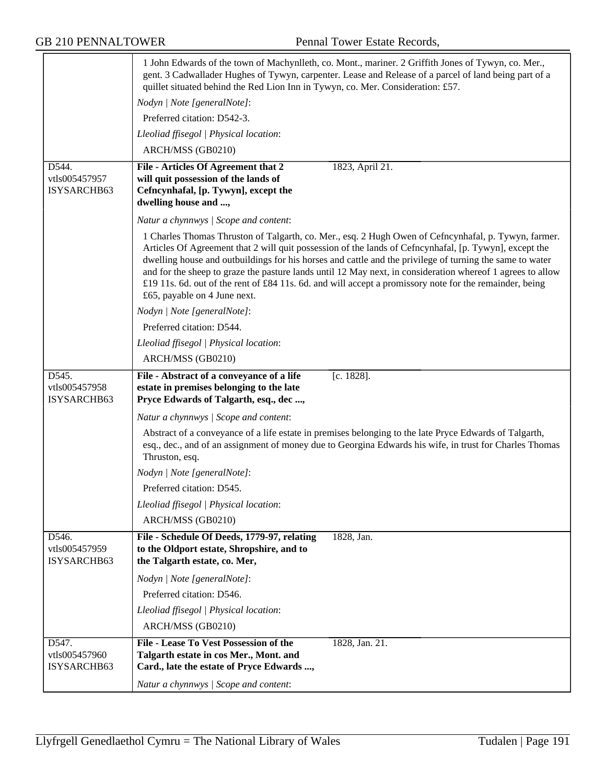|                                                     | 1 John Edwards of the town of Machynlleth, co. Mont., mariner. 2 Griffith Jones of Tywyn, co. Mer.,<br>gent. 3 Cadwallader Hughes of Tywyn, carpenter. Lease and Release of a parcel of land being part of a<br>quillet situated behind the Red Lion Inn in Tywyn, co. Mer. Consideration: £57.                                                                                                                                                                                                                                                                                     |
|-----------------------------------------------------|-------------------------------------------------------------------------------------------------------------------------------------------------------------------------------------------------------------------------------------------------------------------------------------------------------------------------------------------------------------------------------------------------------------------------------------------------------------------------------------------------------------------------------------------------------------------------------------|
|                                                     | Nodyn   Note [generalNote]:                                                                                                                                                                                                                                                                                                                                                                                                                                                                                                                                                         |
|                                                     | Preferred citation: D542-3.                                                                                                                                                                                                                                                                                                                                                                                                                                                                                                                                                         |
|                                                     | Lleoliad ffisegol   Physical location:                                                                                                                                                                                                                                                                                                                                                                                                                                                                                                                                              |
|                                                     | ARCH/MSS (GB0210)                                                                                                                                                                                                                                                                                                                                                                                                                                                                                                                                                                   |
| D544.<br>vtls005457957<br>ISYSARCHB63               | 1823, April 21.<br>File - Articles Of Agreement that 2<br>will quit possession of the lands of<br>Cefncynhafal, [p. Tywyn], except the<br>dwelling house and ,                                                                                                                                                                                                                                                                                                                                                                                                                      |
|                                                     | Natur a chynnwys / Scope and content:                                                                                                                                                                                                                                                                                                                                                                                                                                                                                                                                               |
|                                                     | 1 Charles Thomas Thruston of Talgarth, co. Mer., esq. 2 Hugh Owen of Cefncynhafal, p. Tywyn, farmer.<br>Articles Of Agreement that 2 will quit possession of the lands of Cefncynhafal, [p. Tywyn], except the<br>dwelling house and outbuildings for his horses and cattle and the privilege of turning the same to water<br>and for the sheep to graze the pasture lands until 12 May next, in consideration whereof 1 agrees to allow<br>£19 11s. 6d. out of the rent of £84 11s. 6d. and will accept a promissory note for the remainder, being<br>£65, payable on 4 June next. |
|                                                     | Nodyn   Note [generalNote]:                                                                                                                                                                                                                                                                                                                                                                                                                                                                                                                                                         |
|                                                     | Preferred citation: D544.                                                                                                                                                                                                                                                                                                                                                                                                                                                                                                                                                           |
|                                                     | Lleoliad ffisegol   Physical location:                                                                                                                                                                                                                                                                                                                                                                                                                                                                                                                                              |
|                                                     | ARCH/MSS (GB0210)                                                                                                                                                                                                                                                                                                                                                                                                                                                                                                                                                                   |
| $D5\overline{45}$ .<br>vtls005457958<br>ISYSARCHB63 | $[c. 1828]$ .<br>File - Abstract of a conveyance of a life<br>estate in premises belonging to the late<br>Pryce Edwards of Talgarth, esq., dec,                                                                                                                                                                                                                                                                                                                                                                                                                                     |
|                                                     | Natur a chynnwys / Scope and content:                                                                                                                                                                                                                                                                                                                                                                                                                                                                                                                                               |
|                                                     | Abstract of a conveyance of a life estate in premises belonging to the late Pryce Edwards of Talgarth,<br>esq., dec., and of an assignment of money due to Georgina Edwards his wife, in trust for Charles Thomas<br>Thruston, esq.                                                                                                                                                                                                                                                                                                                                                 |
|                                                     | Nodyn   Note [generalNote]:                                                                                                                                                                                                                                                                                                                                                                                                                                                                                                                                                         |
|                                                     | Preferred citation: D545.                                                                                                                                                                                                                                                                                                                                                                                                                                                                                                                                                           |
|                                                     | Lleoliad ffisegol   Physical location:                                                                                                                                                                                                                                                                                                                                                                                                                                                                                                                                              |
|                                                     | ARCH/MSS (GB0210)                                                                                                                                                                                                                                                                                                                                                                                                                                                                                                                                                                   |
| $D\overline{546}$ .<br>vtls005457959<br>ISYSARCHB63 | File - Schedule Of Deeds, 1779-97, relating<br>1828, Jan.<br>to the Oldport estate, Shropshire, and to<br>the Talgarth estate, co. Mer,                                                                                                                                                                                                                                                                                                                                                                                                                                             |
|                                                     | Nodyn   Note [generalNote]:                                                                                                                                                                                                                                                                                                                                                                                                                                                                                                                                                         |
|                                                     | Preferred citation: D546.                                                                                                                                                                                                                                                                                                                                                                                                                                                                                                                                                           |
|                                                     | Lleoliad ffisegol   Physical location:                                                                                                                                                                                                                                                                                                                                                                                                                                                                                                                                              |
|                                                     | ARCH/MSS (GB0210)                                                                                                                                                                                                                                                                                                                                                                                                                                                                                                                                                                   |
| D547.<br>vtls005457960<br>ISYSARCHB63               | File - Lease To Vest Possession of the<br>1828, Jan. 21.<br>Talgarth estate in cos Mer., Mont. and<br>Card., late the estate of Pryce Edwards ,<br>Natur a chynnwys / Scope and content:                                                                                                                                                                                                                                                                                                                                                                                            |
|                                                     |                                                                                                                                                                                                                                                                                                                                                                                                                                                                                                                                                                                     |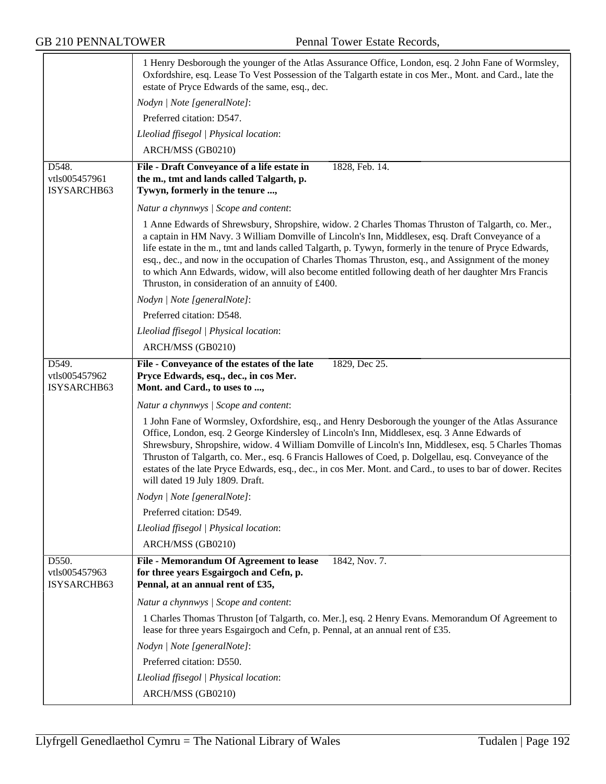|                                       | 1 Henry Desborough the younger of the Atlas Assurance Office, London, esq. 2 John Fane of Wormsley,<br>Oxfordshire, esq. Lease To Vest Possession of the Talgarth estate in cos Mer., Mont. and Card., late the<br>estate of Pryce Edwards of the same, esq., dec.                                                                                                                                                                                                                                                                                                                  |
|---------------------------------------|-------------------------------------------------------------------------------------------------------------------------------------------------------------------------------------------------------------------------------------------------------------------------------------------------------------------------------------------------------------------------------------------------------------------------------------------------------------------------------------------------------------------------------------------------------------------------------------|
|                                       | Nodyn   Note [generalNote]:                                                                                                                                                                                                                                                                                                                                                                                                                                                                                                                                                         |
|                                       | Preferred citation: D547.                                                                                                                                                                                                                                                                                                                                                                                                                                                                                                                                                           |
|                                       | Lleoliad ffisegol   Physical location:                                                                                                                                                                                                                                                                                                                                                                                                                                                                                                                                              |
|                                       | ARCH/MSS (GB0210)                                                                                                                                                                                                                                                                                                                                                                                                                                                                                                                                                                   |
| D548.<br>vtls005457961<br>ISYSARCHB63 | 1828, Feb. 14.<br>File - Draft Conveyance of a life estate in<br>the m., tmt and lands called Talgarth, p.<br>Tywyn, formerly in the tenure ,                                                                                                                                                                                                                                                                                                                                                                                                                                       |
|                                       | Natur a chynnwys / Scope and content:                                                                                                                                                                                                                                                                                                                                                                                                                                                                                                                                               |
|                                       | 1 Anne Edwards of Shrewsbury, Shropshire, widow. 2 Charles Thomas Thruston of Talgarth, co. Mer.,<br>a captain in HM Navy. 3 William Domville of Lincoln's Inn, Middlesex, esq. Draft Conveyance of a<br>life estate in the m., tmt and lands called Talgarth, p. Tywyn, formerly in the tenure of Pryce Edwards,<br>esq., dec., and now in the occupation of Charles Thomas Thruston, esq., and Assignment of the money<br>to which Ann Edwards, widow, will also become entitled following death of her daughter Mrs Francis<br>Thruston, in consideration of an annuity of £400. |
|                                       | Nodyn   Note [generalNote]:                                                                                                                                                                                                                                                                                                                                                                                                                                                                                                                                                         |
|                                       | Preferred citation: D548.                                                                                                                                                                                                                                                                                                                                                                                                                                                                                                                                                           |
|                                       | Lleoliad ffisegol   Physical location:                                                                                                                                                                                                                                                                                                                                                                                                                                                                                                                                              |
|                                       | ARCH/MSS (GB0210)                                                                                                                                                                                                                                                                                                                                                                                                                                                                                                                                                                   |
| D549.<br>vtls005457962<br>ISYSARCHB63 | File - Conveyance of the estates of the late<br>1829, Dec 25.<br>Pryce Edwards, esq., dec., in cos Mer.<br>Mont. and Card., to uses to ,                                                                                                                                                                                                                                                                                                                                                                                                                                            |
|                                       | Natur a chynnwys / Scope and content:                                                                                                                                                                                                                                                                                                                                                                                                                                                                                                                                               |
|                                       | 1 John Fane of Wormsley, Oxfordshire, esq., and Henry Desborough the younger of the Atlas Assurance<br>Office, London, esq. 2 George Kindersley of Lincoln's Inn, Middlesex, esq. 3 Anne Edwards of<br>Shrewsbury, Shropshire, widow. 4 William Domville of Lincoln's Inn, Middlesex, esq. 5 Charles Thomas<br>Thruston of Talgarth, co. Mer., esq. 6 Francis Hallowes of Coed, p. Dolgellau, esq. Conveyance of the<br>estates of the late Pryce Edwards, esq., dec., in cos Mer. Mont. and Card., to uses to bar of dower. Recites<br>will dated 19 July 1809. Draft.             |
|                                       | Nodyn   Note [generalNote]:                                                                                                                                                                                                                                                                                                                                                                                                                                                                                                                                                         |
|                                       | Preferred citation: D549.                                                                                                                                                                                                                                                                                                                                                                                                                                                                                                                                                           |
|                                       | Lleoliad ffisegol   Physical location:                                                                                                                                                                                                                                                                                                                                                                                                                                                                                                                                              |
|                                       | ARCH/MSS (GB0210)                                                                                                                                                                                                                                                                                                                                                                                                                                                                                                                                                                   |
| D550.<br>vtls005457963<br>ISYSARCHB63 | File - Memorandum Of Agreement to lease<br>1842, Nov. 7.<br>for three years Esgairgoch and Cefn, p.<br>Pennal, at an annual rent of £35,                                                                                                                                                                                                                                                                                                                                                                                                                                            |
|                                       | Natur a chynnwys / Scope and content:                                                                                                                                                                                                                                                                                                                                                                                                                                                                                                                                               |
|                                       | 1 Charles Thomas Thruston [of Talgarth, co. Mer.], esq. 2 Henry Evans. Memorandum Of Agreement to<br>lease for three years Esgairgoch and Cefn, p. Pennal, at an annual rent of £35.                                                                                                                                                                                                                                                                                                                                                                                                |
|                                       | Nodyn   Note [generalNote]:                                                                                                                                                                                                                                                                                                                                                                                                                                                                                                                                                         |
|                                       | Preferred citation: D550.                                                                                                                                                                                                                                                                                                                                                                                                                                                                                                                                                           |
|                                       | Lleoliad ffisegol   Physical location:                                                                                                                                                                                                                                                                                                                                                                                                                                                                                                                                              |
|                                       | ARCH/MSS (GB0210)                                                                                                                                                                                                                                                                                                                                                                                                                                                                                                                                                                   |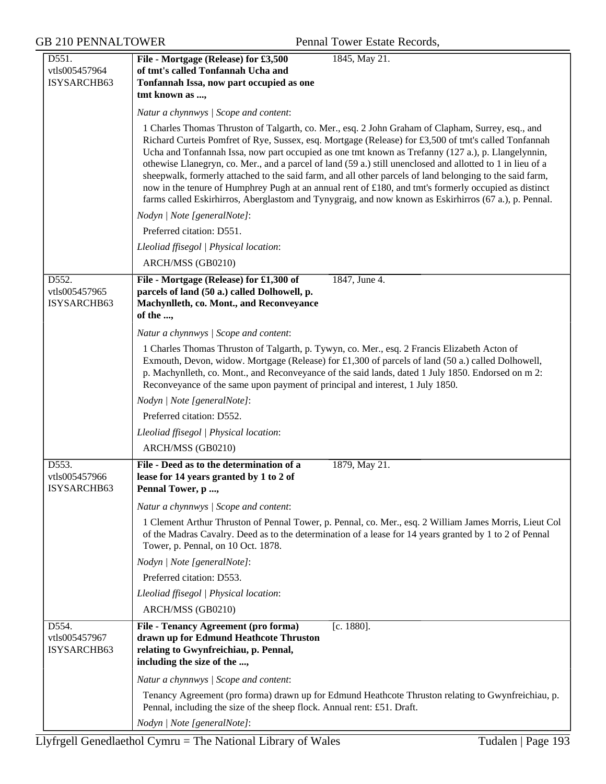| D551.                        | File - Mortgage (Release) for £3,500<br>1845, May 21.                                                                                                                                                            |
|------------------------------|------------------------------------------------------------------------------------------------------------------------------------------------------------------------------------------------------------------|
| vtls005457964                | of tmt's called Tonfannah Ucha and                                                                                                                                                                               |
| ISYSARCHB63                  | Tonfannah Issa, now part occupied as one                                                                                                                                                                         |
|                              | tmt known as ,                                                                                                                                                                                                   |
|                              | Natur a chynnwys / Scope and content:                                                                                                                                                                            |
|                              | 1 Charles Thomas Thruston of Talgarth, co. Mer., esq. 2 John Graham of Clapham, Surrey, esq., and                                                                                                                |
|                              | Richard Curteis Pomfret of Rye, Sussex, esq. Mortgage (Release) for £3,500 of tmt's called Tonfannah                                                                                                             |
|                              | Ucha and Tonfannah Issa, now part occupied as one tmt known as Trefanny (127 a.), p. Llangelynnin,<br>othewise Llanegryn, co. Mer., and a parcel of land (59 a.) still unenclosed and allotted to 1 in lieu of a |
|                              | sheepwalk, formerly attached to the said farm, and all other parcels of land belonging to the said farm,                                                                                                         |
|                              | now in the tenure of Humphrey Pugh at an annual rent of £180, and tmt's formerly occupied as distinct                                                                                                            |
|                              | farms called Eskirhirros, Aberglastom and Tynygraig, and now known as Eskirhirros (67 a.), p. Pennal.                                                                                                            |
|                              | Nodyn   Note [generalNote]:                                                                                                                                                                                      |
|                              | Preferred citation: D551.                                                                                                                                                                                        |
|                              | Lleoliad ffisegol   Physical location:                                                                                                                                                                           |
|                              | ARCH/MSS (GB0210)                                                                                                                                                                                                |
| D552.                        | File - Mortgage (Release) for £1,300 of<br>1847, June 4.                                                                                                                                                         |
| vtls005457965<br>ISYSARCHB63 | parcels of land (50 a.) called Dolhowell, p.<br>Machynlleth, co. Mont., and Reconveyance                                                                                                                         |
|                              | of the ,                                                                                                                                                                                                         |
|                              | Natur a chynnwys / Scope and content:                                                                                                                                                                            |
|                              | 1 Charles Thomas Thruston of Talgarth, p. Tywyn, co. Mer., esq. 2 Francis Elizabeth Acton of                                                                                                                     |
|                              | Exmouth, Devon, widow. Mortgage (Release) for £1,300 of parcels of land (50 a.) called Dolhowell,                                                                                                                |
|                              | p. Machynlleth, co. Mont., and Reconveyance of the said lands, dated 1 July 1850. Endorsed on m 2:                                                                                                               |
|                              | Reconveyance of the same upon payment of principal and interest, 1 July 1850.<br>Nodyn   Note [generalNote]:                                                                                                     |
|                              | Preferred citation: D552.                                                                                                                                                                                        |
|                              | Lleoliad ffisegol   Physical location:                                                                                                                                                                           |
|                              | ARCH/MSS (GB0210)                                                                                                                                                                                                |
| D553.                        | File - Deed as to the determination of a<br>1879, May 21.                                                                                                                                                        |
| vtls005457966                | lease for 14 years granted by 1 to 2 of                                                                                                                                                                          |
| ISYSARCHB63                  | Pennal Tower, p ,                                                                                                                                                                                                |
|                              | Natur a chynnwys / Scope and content:                                                                                                                                                                            |
|                              | 1 Clement Arthur Thruston of Pennal Tower, p. Pennal, co. Mer., esq. 2 William James Morris, Lieut Col                                                                                                           |
|                              | of the Madras Cavalry. Deed as to the determination of a lease for 14 years granted by 1 to 2 of Pennal<br>Tower, p. Pennal, on 10 Oct. 1878.                                                                    |
|                              | Nodyn   Note [generalNote]:                                                                                                                                                                                      |
|                              | Preferred citation: D553.                                                                                                                                                                                        |
|                              | Lleoliad ffisegol   Physical location:                                                                                                                                                                           |
|                              | ARCH/MSS (GB0210)                                                                                                                                                                                                |
| D554.                        | File - Tenancy Agreement (pro forma)<br>[c. 1880].                                                                                                                                                               |
| vtls005457967                | drawn up for Edmund Heathcote Thruston                                                                                                                                                                           |
| ISYSARCHB63                  | relating to Gwynfreichiau, p. Pennal,                                                                                                                                                                            |
|                              | including the size of the ,                                                                                                                                                                                      |
|                              | Natur a chynnwys / Scope and content:                                                                                                                                                                            |
|                              | Tenancy Agreement (pro forma) drawn up for Edmund Heathcote Thruston relating to Gwynfreichiau, p.<br>Pennal, including the size of the sheep flock. Annual rent: £51. Draft.                                    |
|                              | Nodyn   Note [generalNote]:                                                                                                                                                                                      |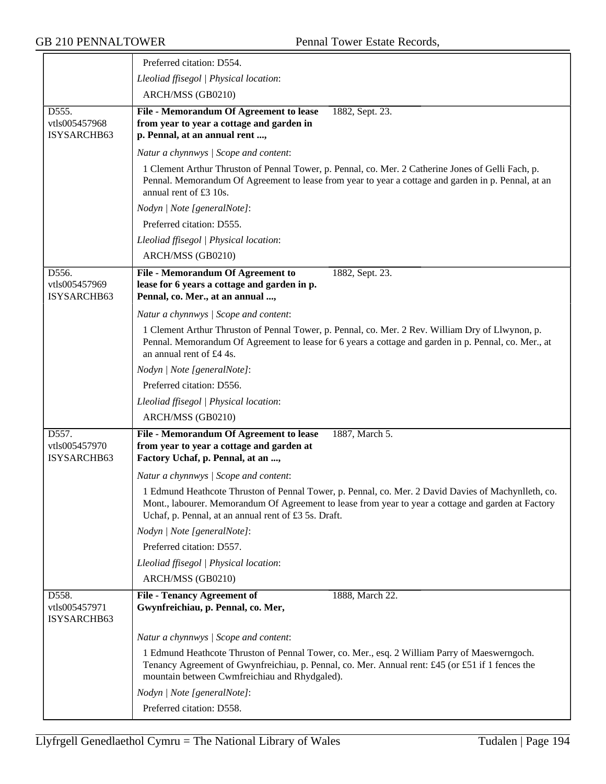|                                       | Preferred citation: D554.                                                                                                                                                                                                                                          |
|---------------------------------------|--------------------------------------------------------------------------------------------------------------------------------------------------------------------------------------------------------------------------------------------------------------------|
|                                       | Lleoliad ffisegol   Physical location:                                                                                                                                                                                                                             |
|                                       | ARCH/MSS (GB0210)                                                                                                                                                                                                                                                  |
| D555.<br>vtls005457968<br>ISYSARCHB63 | File - Memorandum Of Agreement to lease<br>1882, Sept. 23.<br>from year to year a cottage and garden in<br>p. Pennal, at an annual rent ,                                                                                                                          |
|                                       | Natur a chynnwys / Scope and content:                                                                                                                                                                                                                              |
|                                       | 1 Clement Arthur Thruston of Pennal Tower, p. Pennal, co. Mer. 2 Catherine Jones of Gelli Fach, p.<br>Pennal. Memorandum Of Agreement to lease from year to year a cottage and garden in p. Pennal, at an<br>annual rent of £3 10s.                                |
|                                       | Nodyn   Note [generalNote]:                                                                                                                                                                                                                                        |
|                                       | Preferred citation: D555.                                                                                                                                                                                                                                          |
|                                       | Lleoliad ffisegol   Physical location:                                                                                                                                                                                                                             |
|                                       | ARCH/MSS (GB0210)                                                                                                                                                                                                                                                  |
| D556.<br>vtls005457969<br>ISYSARCHB63 | <b>File - Memorandum Of Agreement to</b><br>1882, Sept. 23.<br>lease for 6 years a cottage and garden in p.<br>Pennal, co. Mer., at an annual ,                                                                                                                    |
|                                       | Natur a chynnwys / Scope and content:                                                                                                                                                                                                                              |
|                                       | 1 Clement Arthur Thruston of Pennal Tower, p. Pennal, co. Mer. 2 Rev. William Dry of Llwynon, p.<br>Pennal. Memorandum Of Agreement to lease for 6 years a cottage and garden in p. Pennal, co. Mer., at<br>an annual rent of £4 4s.                               |
|                                       | Nodyn   Note [generalNote]:                                                                                                                                                                                                                                        |
|                                       | Preferred citation: D556.                                                                                                                                                                                                                                          |
|                                       | Lleoliad ffisegol   Physical location:                                                                                                                                                                                                                             |
|                                       | ARCH/MSS (GB0210)                                                                                                                                                                                                                                                  |
| D557.<br>vtls005457970<br>ISYSARCHB63 | File - Memorandum Of Agreement to lease<br>1887, March 5.<br>from year to year a cottage and garden at<br>Factory Uchaf, p. Pennal, at an ,                                                                                                                        |
|                                       | Natur a chynnwys / Scope and content:                                                                                                                                                                                                                              |
|                                       | 1 Edmund Heathcote Thruston of Pennal Tower, p. Pennal, co. Mer. 2 David Davies of Machynlleth, co.<br>Mont., labourer. Memorandum Of Agreement to lease from year to year a cottage and garden at Factory<br>Uchaf, p. Pennal, at an annual rent of £3 5s. Draft. |
|                                       | Nodyn   Note [generalNote]:                                                                                                                                                                                                                                        |
|                                       | Preferred citation: D557.                                                                                                                                                                                                                                          |
|                                       | Lleoliad ffisegol   Physical location:                                                                                                                                                                                                                             |
|                                       | ARCH/MSS (GB0210)                                                                                                                                                                                                                                                  |
| D558.<br>vtls005457971<br>ISYSARCHB63 | <b>File - Tenancy Agreement of</b><br>1888, March 22.<br>Gwynfreichiau, p. Pennal, co. Mer,                                                                                                                                                                        |
|                                       | Natur a chynnwys / Scope and content:                                                                                                                                                                                                                              |
|                                       | 1 Edmund Heathcote Thruston of Pennal Tower, co. Mer., esq. 2 William Parry of Maeswerngoch.<br>Tenancy Agreement of Gwynfreichiau, p. Pennal, co. Mer. Annual rent: £45 (or £51 if 1 fences the<br>mountain between Cwmfreichiau and Rhydgaled).                  |
|                                       | Nodyn   Note [generalNote]:                                                                                                                                                                                                                                        |
|                                       | Preferred citation: D558.                                                                                                                                                                                                                                          |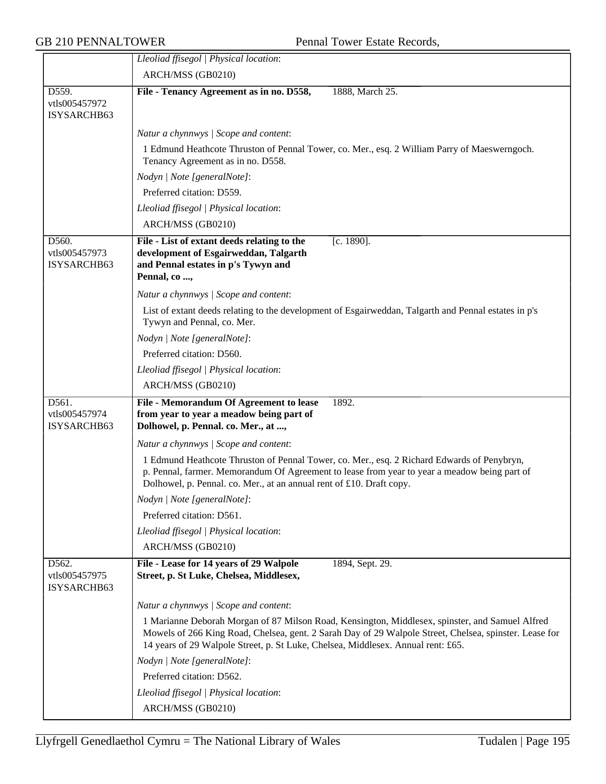|                                       | Lleoliad ffisegol   Physical location:                                                                                                                                                                                                                                                        |
|---------------------------------------|-----------------------------------------------------------------------------------------------------------------------------------------------------------------------------------------------------------------------------------------------------------------------------------------------|
|                                       | ARCH/MSS (GB0210)                                                                                                                                                                                                                                                                             |
| D559.<br>vtls005457972<br>ISYSARCHB63 | File - Tenancy Agreement as in no. D558,<br>1888, March 25.                                                                                                                                                                                                                                   |
|                                       | Natur a chynnwys / Scope and content:                                                                                                                                                                                                                                                         |
|                                       | 1 Edmund Heathcote Thruston of Pennal Tower, co. Mer., esq. 2 William Parry of Maeswerngoch.<br>Tenancy Agreement as in no. D558.                                                                                                                                                             |
|                                       | Nodyn   Note [generalNote]:                                                                                                                                                                                                                                                                   |
|                                       | Preferred citation: D559.                                                                                                                                                                                                                                                                     |
|                                       | Lleoliad ffisegol   Physical location:                                                                                                                                                                                                                                                        |
|                                       | ARCH/MSS (GB0210)                                                                                                                                                                                                                                                                             |
| D560.<br>vtls005457973<br>ISYSARCHB63 | $[c. 1890]$ .<br>File - List of extant deeds relating to the<br>development of Esgairweddan, Talgarth<br>and Pennal estates in p's Tywyn and<br>Pennal, co ,                                                                                                                                  |
|                                       | Natur a chynnwys / Scope and content:                                                                                                                                                                                                                                                         |
|                                       | List of extant deeds relating to the development of Esgairweddan, Talgarth and Pennal estates in p's<br>Tywyn and Pennal, co. Mer.                                                                                                                                                            |
|                                       | Nodyn   Note [generalNote]:                                                                                                                                                                                                                                                                   |
|                                       | Preferred citation: D560.                                                                                                                                                                                                                                                                     |
|                                       | Lleoliad ffisegol   Physical location:                                                                                                                                                                                                                                                        |
|                                       | ARCH/MSS (GB0210)                                                                                                                                                                                                                                                                             |
| D561.<br>vtls005457974<br>ISYSARCHB63 | File - Memorandum Of Agreement to lease<br>1892.<br>from year to year a meadow being part of<br>Dolhowel, p. Pennal. co. Mer., at ,                                                                                                                                                           |
|                                       | Natur a chynnwys / Scope and content:                                                                                                                                                                                                                                                         |
|                                       | 1 Edmund Heathcote Thruston of Pennal Tower, co. Mer., esq. 2 Richard Edwards of Penybryn,<br>p. Pennal, farmer. Memorandum Of Agreement to lease from year to year a meadow being part of<br>Dolhowel, p. Pennal. co. Mer., at an annual rent of £10. Draft copy.                            |
|                                       | Nodyn   Note [generalNote]:                                                                                                                                                                                                                                                                   |
|                                       | Preferred citation: D561.                                                                                                                                                                                                                                                                     |
|                                       | Lleoliad ffisegol   Physical location:                                                                                                                                                                                                                                                        |
|                                       | ARCH/MSS (GB0210)                                                                                                                                                                                                                                                                             |
| D562.<br>vtls005457975<br>ISYSARCHB63 | File - Lease for 14 years of 29 Walpole<br>1894, Sept. 29.<br>Street, p. St Luke, Chelsea, Middlesex,                                                                                                                                                                                         |
|                                       | Natur a chynnwys / Scope and content:                                                                                                                                                                                                                                                         |
|                                       | 1 Marianne Deborah Morgan of 87 Milson Road, Kensington, Middlesex, spinster, and Samuel Alfred<br>Mowels of 266 King Road, Chelsea, gent. 2 Sarah Day of 29 Walpole Street, Chelsea, spinster. Lease for<br>14 years of 29 Walpole Street, p. St Luke, Chelsea, Middlesex. Annual rent: £65. |
|                                       | Nodyn   Note [generalNote]:                                                                                                                                                                                                                                                                   |
|                                       | Preferred citation: D562.                                                                                                                                                                                                                                                                     |
|                                       | Lleoliad ffisegol   Physical location:                                                                                                                                                                                                                                                        |
|                                       | ARCH/MSS (GB0210)                                                                                                                                                                                                                                                                             |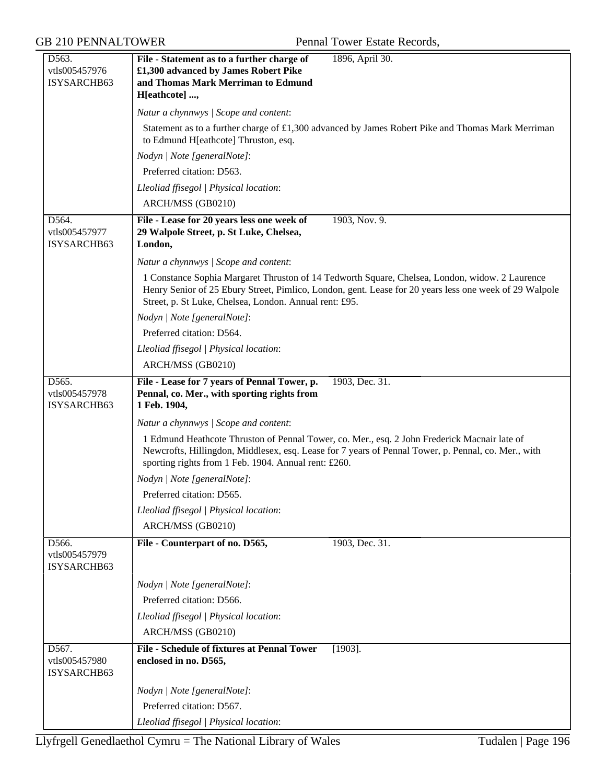| D563.<br>vtls005457976<br>ISYSARCHB63 | 1896, April 30.<br>File - Statement as to a further charge of<br>£1,300 advanced by James Robert Pike<br>and Thomas Mark Merriman to Edmund                                                                                                                        |
|---------------------------------------|--------------------------------------------------------------------------------------------------------------------------------------------------------------------------------------------------------------------------------------------------------------------|
|                                       | H[eathcote] ,                                                                                                                                                                                                                                                      |
|                                       | Natur a chynnwys / Scope and content:                                                                                                                                                                                                                              |
|                                       | Statement as to a further charge of £1,300 advanced by James Robert Pike and Thomas Mark Merriman<br>to Edmund H[eathcote] Thruston, esq.                                                                                                                          |
|                                       | Nodyn   Note [generalNote]:                                                                                                                                                                                                                                        |
|                                       | Preferred citation: D563.                                                                                                                                                                                                                                          |
|                                       | Lleoliad ffisegol   Physical location:                                                                                                                                                                                                                             |
|                                       | ARCH/MSS (GB0210)                                                                                                                                                                                                                                                  |
| D564.<br>vtls005457977<br>ISYSARCHB63 | 1903, Nov. 9.<br>File - Lease for 20 years less one week of<br>29 Walpole Street, p. St Luke, Chelsea,<br>London,                                                                                                                                                  |
|                                       | Natur a chynnwys / Scope and content:                                                                                                                                                                                                                              |
|                                       | 1 Constance Sophia Margaret Thruston of 14 Tedworth Square, Chelsea, London, widow. 2 Laurence<br>Henry Senior of 25 Ebury Street, Pimlico, London, gent. Lease for 20 years less one week of 29 Walpole<br>Street, p. St Luke, Chelsea, London. Annual rent: £95. |
|                                       | Nodyn   Note [generalNote]:                                                                                                                                                                                                                                        |
|                                       | Preferred citation: D564.                                                                                                                                                                                                                                          |
|                                       | Lleoliad ffisegol   Physical location:                                                                                                                                                                                                                             |
|                                       | ARCH/MSS (GB0210)                                                                                                                                                                                                                                                  |
| D565.<br>vtls005457978<br>ISYSARCHB63 | File - Lease for 7 years of Pennal Tower, p.<br>1903, Dec. 31.<br>Pennal, co. Mer., with sporting rights from<br>1 Feb. 1904,                                                                                                                                      |
|                                       | Natur a chynnwys / Scope and content:                                                                                                                                                                                                                              |
|                                       | 1 Edmund Heathcote Thruston of Pennal Tower, co. Mer., esq. 2 John Frederick Macnair late of<br>Newcrofts, Hillingdon, Middlesex, esq. Lease for 7 years of Pennal Tower, p. Pennal, co. Mer., with<br>sporting rights from 1 Feb. 1904. Annual rent: £260.        |
|                                       | Nodyn   Note [generalNote]:                                                                                                                                                                                                                                        |
|                                       | Preferred citation: D565.                                                                                                                                                                                                                                          |
|                                       | Lleoliad ffisegol   Physical location:                                                                                                                                                                                                                             |
|                                       | ARCH/MSS (GB0210)                                                                                                                                                                                                                                                  |
| D566.<br>vtls005457979<br>ISYSARCHB63 | File - Counterpart of no. D565,<br>1903, Dec. 31.                                                                                                                                                                                                                  |
|                                       | Nodyn   Note [generalNote]:                                                                                                                                                                                                                                        |
|                                       | Preferred citation: D566.                                                                                                                                                                                                                                          |
|                                       | Lleoliad ffisegol   Physical location:                                                                                                                                                                                                                             |
|                                       | ARCH/MSS (GB0210)                                                                                                                                                                                                                                                  |
| D567.<br>vtls005457980<br>ISYSARCHB63 | <b>File - Schedule of fixtures at Pennal Tower</b><br>$[1903]$ .<br>enclosed in no. D565,                                                                                                                                                                          |
|                                       | Nodyn   Note [generalNote]:                                                                                                                                                                                                                                        |
|                                       | Preferred citation: D567.                                                                                                                                                                                                                                          |
|                                       | Lleoliad ffisegol   Physical location:                                                                                                                                                                                                                             |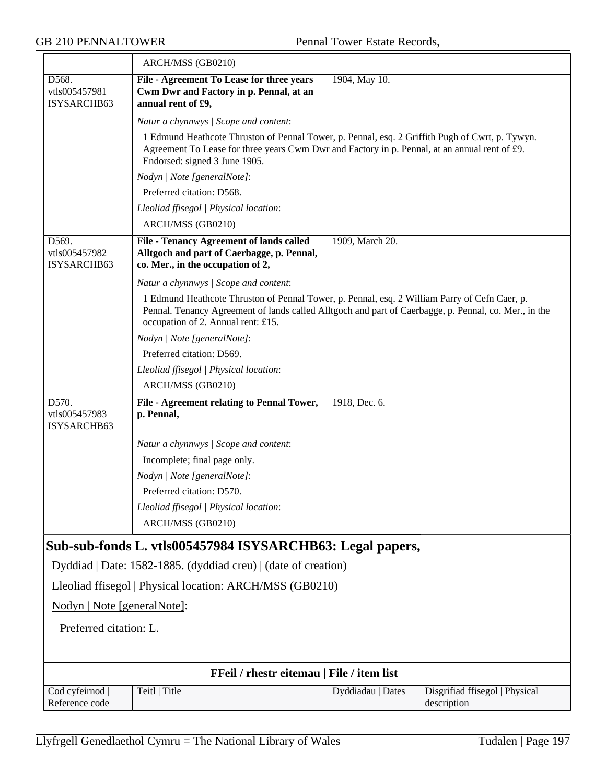|                                       | ARCH/MSS (GB0210)                                                                                                                                                                                                                            |
|---------------------------------------|----------------------------------------------------------------------------------------------------------------------------------------------------------------------------------------------------------------------------------------------|
| D568.<br>vtls005457981<br>ISYSARCHB63 | 1904, May 10.<br>File - Agreement To Lease for three years<br>Cwm Dwr and Factory in p. Pennal, at an<br>annual rent of £9,                                                                                                                  |
|                                       | Natur a chynnwys / Scope and content:                                                                                                                                                                                                        |
|                                       | 1 Edmund Heathcote Thruston of Pennal Tower, p. Pennal, esq. 2 Griffith Pugh of Cwrt, p. Tywyn.<br>Agreement To Lease for three years Cwm Dwr and Factory in p. Pennal, at an annual rent of £9.<br>Endorsed: signed 3 June 1905.            |
|                                       | Nodyn   Note [generalNote]:                                                                                                                                                                                                                  |
|                                       | Preferred citation: D568.                                                                                                                                                                                                                    |
|                                       | Lleoliad ffisegol   Physical location:<br>ARCH/MSS (GB0210)                                                                                                                                                                                  |
| D569.<br>vtls005457982<br>ISYSARCHB63 | 1909, March 20.<br><b>File - Tenancy Agreement of lands called</b><br>Alltgoch and part of Caerbagge, p. Pennal,<br>co. Mer., in the occupation of 2,                                                                                        |
|                                       | Natur a chynnwys / Scope and content:                                                                                                                                                                                                        |
|                                       | 1 Edmund Heathcote Thruston of Pennal Tower, p. Pennal, esq. 2 William Parry of Cefn Caer, p.<br>Pennal. Tenancy Agreement of lands called Alltgoch and part of Caerbagge, p. Pennal, co. Mer., in the<br>occupation of 2. Annual rent: £15. |
|                                       | Nodyn   Note [generalNote]:                                                                                                                                                                                                                  |
|                                       | Preferred citation: D569.                                                                                                                                                                                                                    |
|                                       | Lleoliad ffisegol   Physical location:                                                                                                                                                                                                       |
|                                       | ARCH/MSS (GB0210)                                                                                                                                                                                                                            |
| D570.<br>vtls005457983<br>ISYSARCHB63 | File - Agreement relating to Pennal Tower,<br>1918, Dec. 6.<br>p. Pennal,                                                                                                                                                                    |
|                                       | Natur a chynnwys / Scope and content:                                                                                                                                                                                                        |
|                                       | Incomplete; final page only.                                                                                                                                                                                                                 |
|                                       | Nodyn   Note [generalNote]:                                                                                                                                                                                                                  |
|                                       | Preferred citation: D570.                                                                                                                                                                                                                    |
|                                       | Lleoliad ffisegol   Physical location:                                                                                                                                                                                                       |
|                                       | ARCH/MSS (GB0210)                                                                                                                                                                                                                            |
|                                       | Sub-sub-fonds L. vtls005457984 ISYSARCHB63: Legal papers,                                                                                                                                                                                    |
|                                       | Dyddiad   Date: 1582-1885. (dyddiad creu)   (date of creation)                                                                                                                                                                               |
|                                       | Lleoliad ffisegol   Physical location: ARCH/MSS (GB0210)                                                                                                                                                                                     |
| Nodyn   Note [generalNote]:           |                                                                                                                                                                                                                                              |
| Preferred citation: L.                |                                                                                                                                                                                                                                              |
|                                       |                                                                                                                                                                                                                                              |
|                                       | FFeil / rhestr eitemau   File / item list                                                                                                                                                                                                    |
| Cod cyfeirnod  <br>Reference code     | Teitl   Title<br>Disgrifiad ffisegol   Physical<br>Dyddiadau   Dates<br>description                                                                                                                                                          |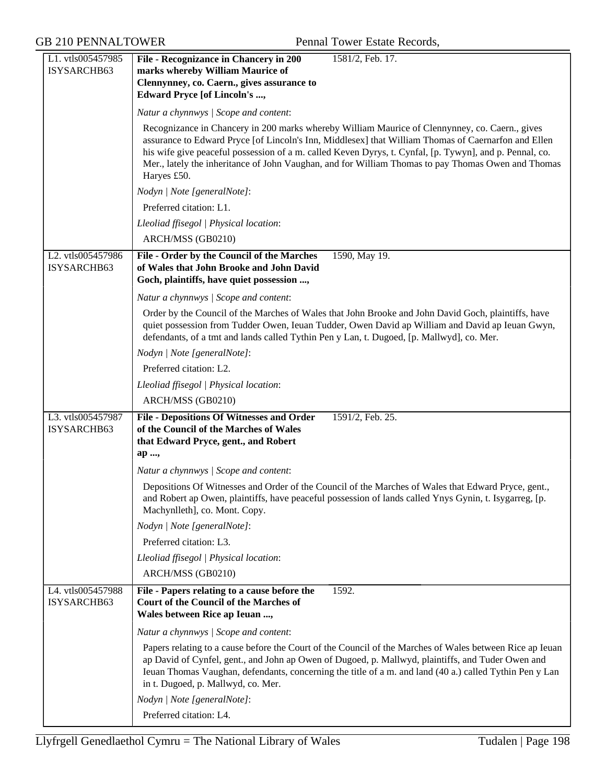| L1. vtls005457985<br>ISYSARCHB63 | File - Recognizance in Chancery in 200<br>1581/2, Feb. 17.<br>marks whereby William Maurice of                                                                                                                                                                                                                                                                                                                                        |
|----------------------------------|---------------------------------------------------------------------------------------------------------------------------------------------------------------------------------------------------------------------------------------------------------------------------------------------------------------------------------------------------------------------------------------------------------------------------------------|
|                                  | Clennynney, co. Caern., gives assurance to<br><b>Edward Pryce [of Lincoln's ,</b>                                                                                                                                                                                                                                                                                                                                                     |
|                                  | Natur a chynnwys / Scope and content:                                                                                                                                                                                                                                                                                                                                                                                                 |
|                                  | Recognizance in Chancery in 200 marks whereby William Maurice of Clennynney, co. Caern., gives<br>assurance to Edward Pryce [of Lincoln's Inn, Middlesex] that William Thomas of Caernarfon and Ellen<br>his wife give peaceful possession of a m. called Keven Dyrys, t. Cynfal, [p. Tywyn], and p. Pennal, co.<br>Mer., lately the inheritance of John Vaughan, and for William Thomas to pay Thomas Owen and Thomas<br>Haryes £50. |
|                                  | Nodyn   Note [generalNote]:                                                                                                                                                                                                                                                                                                                                                                                                           |
|                                  | Preferred citation: L1.                                                                                                                                                                                                                                                                                                                                                                                                               |
|                                  | Lleoliad ffisegol   Physical location:                                                                                                                                                                                                                                                                                                                                                                                                |
|                                  | ARCH/MSS (GB0210)                                                                                                                                                                                                                                                                                                                                                                                                                     |
| L2. vtls005457986<br>ISYSARCHB63 | File - Order by the Council of the Marches<br>1590, May 19.<br>of Wales that John Brooke and John David<br>Goch, plaintiffs, have quiet possession ,                                                                                                                                                                                                                                                                                  |
|                                  | Natur a chynnwys / Scope and content:                                                                                                                                                                                                                                                                                                                                                                                                 |
|                                  | Order by the Council of the Marches of Wales that John Brooke and John David Goch, plaintiffs, have<br>quiet possession from Tudder Owen, Ieuan Tudder, Owen David ap William and David ap Ieuan Gwyn,<br>defendants, of a tmt and lands called Tythin Pen y Lan, t. Dugoed, [p. Mallwyd], co. Mer.                                                                                                                                   |
|                                  | Nodyn   Note [generalNote]:                                                                                                                                                                                                                                                                                                                                                                                                           |
|                                  | Preferred citation: L2.                                                                                                                                                                                                                                                                                                                                                                                                               |
|                                  | Lleoliad ffisegol   Physical location:                                                                                                                                                                                                                                                                                                                                                                                                |
|                                  | ARCH/MSS (GB0210)                                                                                                                                                                                                                                                                                                                                                                                                                     |
| L3. vtls005457987                | <b>File - Depositions Of Witnesses and Order</b><br>1591/2, Feb. 25.                                                                                                                                                                                                                                                                                                                                                                  |
| ISYSARCHB63                      | of the Council of the Marches of Wales<br>that Edward Pryce, gent., and Robert                                                                                                                                                                                                                                                                                                                                                        |
|                                  | ap ,                                                                                                                                                                                                                                                                                                                                                                                                                                  |
|                                  | Natur a chynnwys / Scope and content:                                                                                                                                                                                                                                                                                                                                                                                                 |
|                                  | Depositions Of Witnesses and Order of the Council of the Marches of Wales that Edward Pryce, gent.,<br>and Robert ap Owen, plaintiffs, have peaceful possession of lands called Ynys Gynin, t. Isygarreg, [p.<br>Machynlleth], co. Mont. Copy.                                                                                                                                                                                        |
|                                  | Nodyn   Note [generalNote]:                                                                                                                                                                                                                                                                                                                                                                                                           |
|                                  | Preferred citation: L3.                                                                                                                                                                                                                                                                                                                                                                                                               |
|                                  | Lleoliad ffisegol   Physical location:                                                                                                                                                                                                                                                                                                                                                                                                |
|                                  | ARCH/MSS (GB0210)                                                                                                                                                                                                                                                                                                                                                                                                                     |
| L4. vtls005457988<br>ISYSARCHB63 | File - Papers relating to a cause before the<br>1592.<br><b>Court of the Council of the Marches of</b><br>Wales between Rice ap Ieuan ,                                                                                                                                                                                                                                                                                               |
|                                  | Natur a chynnwys / Scope and content:                                                                                                                                                                                                                                                                                                                                                                                                 |
|                                  | Papers relating to a cause before the Court of the Council of the Marches of Wales between Rice ap Ieuan<br>ap David of Cynfel, gent., and John ap Owen of Dugoed, p. Mallwyd, plaintiffs, and Tuder Owen and<br>Ieuan Thomas Vaughan, defendants, concerning the title of a m. and land (40 a.) called Tythin Pen y Lan<br>in t. Dugoed, p. Mallwyd, co. Mer.                                                                        |
|                                  | Nodyn   Note [generalNote]:                                                                                                                                                                                                                                                                                                                                                                                                           |
|                                  | Preferred citation: L4.                                                                                                                                                                                                                                                                                                                                                                                                               |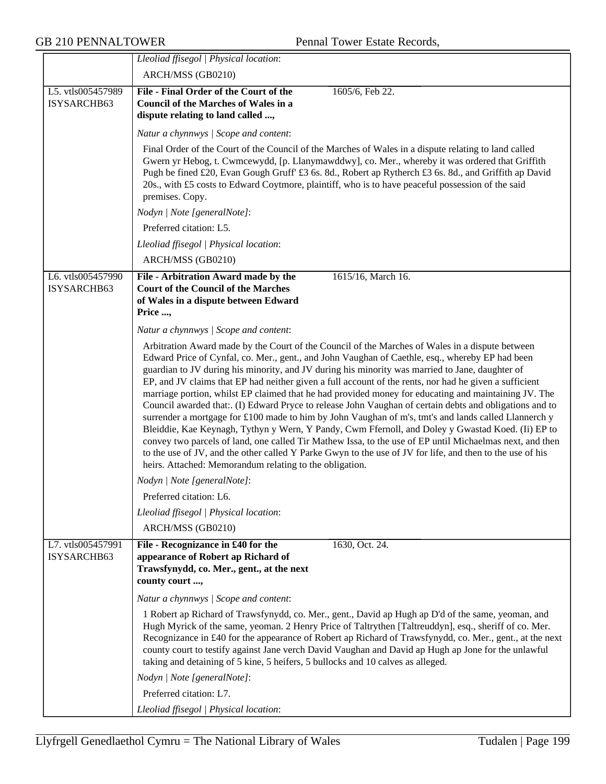|                                  | Lleoliad ffisegol   Physical location:                                                                                                                                                                                                                                                                                                                                                                                                                                                                                                                                                                                                                                                                                                                                                                                                                                                                                                                                                                                                                                                                                              |
|----------------------------------|-------------------------------------------------------------------------------------------------------------------------------------------------------------------------------------------------------------------------------------------------------------------------------------------------------------------------------------------------------------------------------------------------------------------------------------------------------------------------------------------------------------------------------------------------------------------------------------------------------------------------------------------------------------------------------------------------------------------------------------------------------------------------------------------------------------------------------------------------------------------------------------------------------------------------------------------------------------------------------------------------------------------------------------------------------------------------------------------------------------------------------------|
|                                  | ARCH/MSS (GB0210)                                                                                                                                                                                                                                                                                                                                                                                                                                                                                                                                                                                                                                                                                                                                                                                                                                                                                                                                                                                                                                                                                                                   |
| L5. vtls005457989<br>ISYSARCHB63 | File - Final Order of the Court of the<br>1605/6, Feb 22.<br><b>Council of the Marches of Wales in a</b><br>dispute relating to land called ,                                                                                                                                                                                                                                                                                                                                                                                                                                                                                                                                                                                                                                                                                                                                                                                                                                                                                                                                                                                       |
|                                  | Natur a chynnwys / Scope and content:                                                                                                                                                                                                                                                                                                                                                                                                                                                                                                                                                                                                                                                                                                                                                                                                                                                                                                                                                                                                                                                                                               |
|                                  | Final Order of the Court of the Council of the Marches of Wales in a dispute relating to land called<br>Gwern yr Hebog, t. Cwmcewydd, [p. Llanymawddwy], co. Mer., whereby it was ordered that Griffith<br>Pugh be fined £20, Evan Gough Gruff' £3 6s. 8d., Robert ap Rytherch £3 6s. 8d., and Griffith ap David<br>20s., with £5 costs to Edward Coytmore, plaintiff, who is to have peaceful possession of the said<br>premises. Copy.                                                                                                                                                                                                                                                                                                                                                                                                                                                                                                                                                                                                                                                                                            |
|                                  | Nodyn   Note [generalNote]:                                                                                                                                                                                                                                                                                                                                                                                                                                                                                                                                                                                                                                                                                                                                                                                                                                                                                                                                                                                                                                                                                                         |
|                                  | Preferred citation: L5.                                                                                                                                                                                                                                                                                                                                                                                                                                                                                                                                                                                                                                                                                                                                                                                                                                                                                                                                                                                                                                                                                                             |
|                                  | Lleoliad ffisegol   Physical location:                                                                                                                                                                                                                                                                                                                                                                                                                                                                                                                                                                                                                                                                                                                                                                                                                                                                                                                                                                                                                                                                                              |
|                                  | ARCH/MSS (GB0210)                                                                                                                                                                                                                                                                                                                                                                                                                                                                                                                                                                                                                                                                                                                                                                                                                                                                                                                                                                                                                                                                                                                   |
| L6. vtls005457990<br>ISYSARCHB63 | 1615/16, March 16.<br>File - Arbitration Award made by the<br><b>Court of the Council of the Marches</b><br>of Wales in a dispute between Edward<br>Price ,                                                                                                                                                                                                                                                                                                                                                                                                                                                                                                                                                                                                                                                                                                                                                                                                                                                                                                                                                                         |
|                                  | Natur a chynnwys / Scope and content:                                                                                                                                                                                                                                                                                                                                                                                                                                                                                                                                                                                                                                                                                                                                                                                                                                                                                                                                                                                                                                                                                               |
|                                  | Arbitration Award made by the Court of the Council of the Marches of Wales in a dispute between<br>Edward Price of Cynfal, co. Mer., gent., and John Vaughan of Caethle, esq., whereby EP had been<br>guardian to JV during his minority, and JV during his minority was married to Jane, daughter of<br>EP, and JV claims that EP had neither given a full account of the rents, nor had he given a sufficient<br>marriage portion, whilst EP claimed that he had provided money for educating and maintaining JV. The<br>Council awarded that:. (I) Edward Pryce to release John Vaughan of certain debts and obligations and to<br>surrender a mortgage for £100 made to him by John Vaughan of m's, tmt's and lands called Llannerch y<br>Bleiddie, Kae Keynagh, Tythyn y Wern, Y Pandy, Cwm Ffernoll, and Doley y Gwastad Koed. (Ii) EP to<br>convey two parcels of land, one called Tir Mathew Issa, to the use of EP until Michaelmas next, and then<br>to the use of JV, and the other called Y Parke Gwyn to the use of JV for life, and then to the use of his<br>heirs. Attached: Memorandum relating to the obligation. |
|                                  | Nodyn   Note [generalNote]:                                                                                                                                                                                                                                                                                                                                                                                                                                                                                                                                                                                                                                                                                                                                                                                                                                                                                                                                                                                                                                                                                                         |
|                                  | Preferred citation: L6.                                                                                                                                                                                                                                                                                                                                                                                                                                                                                                                                                                                                                                                                                                                                                                                                                                                                                                                                                                                                                                                                                                             |
|                                  | Lleoliad ffisegol   Physical location:                                                                                                                                                                                                                                                                                                                                                                                                                                                                                                                                                                                                                                                                                                                                                                                                                                                                                                                                                                                                                                                                                              |
|                                  | ARCH/MSS (GB0210)                                                                                                                                                                                                                                                                                                                                                                                                                                                                                                                                                                                                                                                                                                                                                                                                                                                                                                                                                                                                                                                                                                                   |
| L7. vtls005457991<br>ISYSARCHB63 | File - Recognizance in £40 for the<br>1630, Oct. 24.<br>appearance of Robert ap Richard of<br>Trawsfynydd, co. Mer., gent., at the next<br>county court ,                                                                                                                                                                                                                                                                                                                                                                                                                                                                                                                                                                                                                                                                                                                                                                                                                                                                                                                                                                           |
|                                  | Natur a chynnwys / Scope and content:                                                                                                                                                                                                                                                                                                                                                                                                                                                                                                                                                                                                                                                                                                                                                                                                                                                                                                                                                                                                                                                                                               |
|                                  | 1 Robert ap Richard of Trawsfynydd, co. Mer., gent., David ap Hugh ap D'd of the same, yeoman, and<br>Hugh Myrick of the same, yeoman. 2 Henry Price of Taltrythen [Taltreuddyn], esq., sheriff of co. Mer.<br>Recognizance in £40 for the appearance of Robert ap Richard of Trawsfynydd, co. Mer., gent., at the next<br>county court to testify against Jane verch David Vaughan and David ap Hugh ap Jone for the unlawful<br>taking and detaining of 5 kine, 5 heifers, 5 bullocks and 10 calves as alleged.                                                                                                                                                                                                                                                                                                                                                                                                                                                                                                                                                                                                                   |
|                                  | Nodyn   Note [generalNote]:                                                                                                                                                                                                                                                                                                                                                                                                                                                                                                                                                                                                                                                                                                                                                                                                                                                                                                                                                                                                                                                                                                         |
|                                  | Preferred citation: L7.                                                                                                                                                                                                                                                                                                                                                                                                                                                                                                                                                                                                                                                                                                                                                                                                                                                                                                                                                                                                                                                                                                             |
|                                  | Lleoliad ffisegol   Physical location:                                                                                                                                                                                                                                                                                                                                                                                                                                                                                                                                                                                                                                                                                                                                                                                                                                                                                                                                                                                                                                                                                              |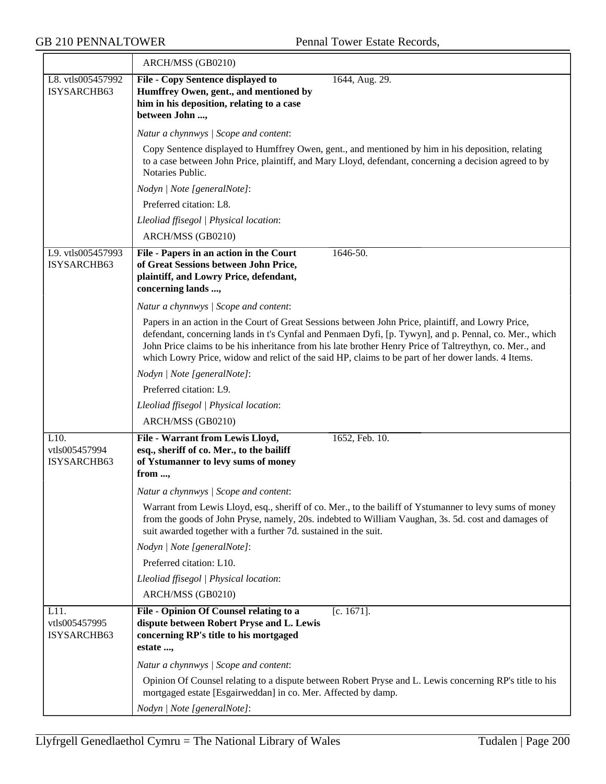|                                      | ARCH/MSS (GB0210)                                                                                                                                                                                                                                                                                                                                                                                                             |
|--------------------------------------|-------------------------------------------------------------------------------------------------------------------------------------------------------------------------------------------------------------------------------------------------------------------------------------------------------------------------------------------------------------------------------------------------------------------------------|
| L8. vtls005457992<br>ISYSARCHB63     | File - Copy Sentence displayed to<br>1644, Aug. 29.<br>Humffrey Owen, gent., and mentioned by<br>him in his deposition, relating to a case<br>between John ,                                                                                                                                                                                                                                                                  |
|                                      | Natur a chynnwys / Scope and content:                                                                                                                                                                                                                                                                                                                                                                                         |
|                                      | Copy Sentence displayed to Humffrey Owen, gent., and mentioned by him in his deposition, relating<br>to a case between John Price, plaintiff, and Mary Lloyd, defendant, concerning a decision agreed to by<br>Notaries Public.                                                                                                                                                                                               |
|                                      | Nodyn   Note [generalNote]:                                                                                                                                                                                                                                                                                                                                                                                                   |
|                                      | Preferred citation: L8.                                                                                                                                                                                                                                                                                                                                                                                                       |
|                                      | Lleoliad ffisegol   Physical location:                                                                                                                                                                                                                                                                                                                                                                                        |
|                                      | ARCH/MSS (GB0210)                                                                                                                                                                                                                                                                                                                                                                                                             |
| L9. vtls005457993<br>ISYSARCHB63     | 1646-50.<br>File - Papers in an action in the Court<br>of Great Sessions between John Price,<br>plaintiff, and Lowry Price, defendant,<br>concerning lands ,                                                                                                                                                                                                                                                                  |
|                                      | Natur a chynnwys / Scope and content:                                                                                                                                                                                                                                                                                                                                                                                         |
|                                      | Papers in an action in the Court of Great Sessions between John Price, plaintiff, and Lowry Price,<br>defendant, concerning lands in t's Cynfal and Penmaen Dyfi, [p. Tywyn], and p. Pennal, co. Mer., which<br>John Price claims to be his inheritance from his late brother Henry Price of Taltreythyn, co. Mer., and<br>which Lowry Price, widow and relict of the said HP, claims to be part of her dower lands. 4 Items. |
|                                      | Nodyn   Note [generalNote]:                                                                                                                                                                                                                                                                                                                                                                                                   |
|                                      | Preferred citation: L9.                                                                                                                                                                                                                                                                                                                                                                                                       |
|                                      | Lleoliad ffisegol   Physical location:                                                                                                                                                                                                                                                                                                                                                                                        |
|                                      | ARCH/MSS (GB0210)                                                                                                                                                                                                                                                                                                                                                                                                             |
| L10.<br>vtls005457994<br>ISYSARCHB63 | File - Warrant from Lewis Lloyd,<br>1652, Feb. 10.<br>esq., sheriff of co. Mer., to the bailiff<br>of Ystumanner to levy sums of money<br>from ,                                                                                                                                                                                                                                                                              |
|                                      | Natur a chynnwys / Scope and content:                                                                                                                                                                                                                                                                                                                                                                                         |
|                                      | Warrant from Lewis Lloyd, esq., sheriff of co. Mer., to the bailiff of Ystumanner to levy sums of money<br>from the goods of John Pryse, namely, 20s. indebted to William Vaughan, 3s. 5d. cost and damages of<br>suit awarded together with a further 7d. sustained in the suit.                                                                                                                                             |
|                                      | Nodyn   Note [generalNote]:                                                                                                                                                                                                                                                                                                                                                                                                   |
|                                      | Preferred citation: L10.                                                                                                                                                                                                                                                                                                                                                                                                      |
|                                      | Lleoliad ffisegol   Physical location:                                                                                                                                                                                                                                                                                                                                                                                        |
|                                      | ARCH/MSS (GB0210)                                                                                                                                                                                                                                                                                                                                                                                                             |
| L11.<br>vtls005457995<br>ISYSARCHB63 | File - Opinion Of Counsel relating to a<br>$[c. 1671]$ .<br>dispute between Robert Pryse and L. Lewis<br>concerning RP's title to his mortgaged<br>estate ,                                                                                                                                                                                                                                                                   |
|                                      | Natur a chynnwys / Scope and content:                                                                                                                                                                                                                                                                                                                                                                                         |
|                                      | Opinion Of Counsel relating to a dispute between Robert Pryse and L. Lewis concerning RP's title to his<br>mortgaged estate [Esgairweddan] in co. Mer. Affected by damp.                                                                                                                                                                                                                                                      |
|                                      | Nodyn   Note [generalNote]:                                                                                                                                                                                                                                                                                                                                                                                                   |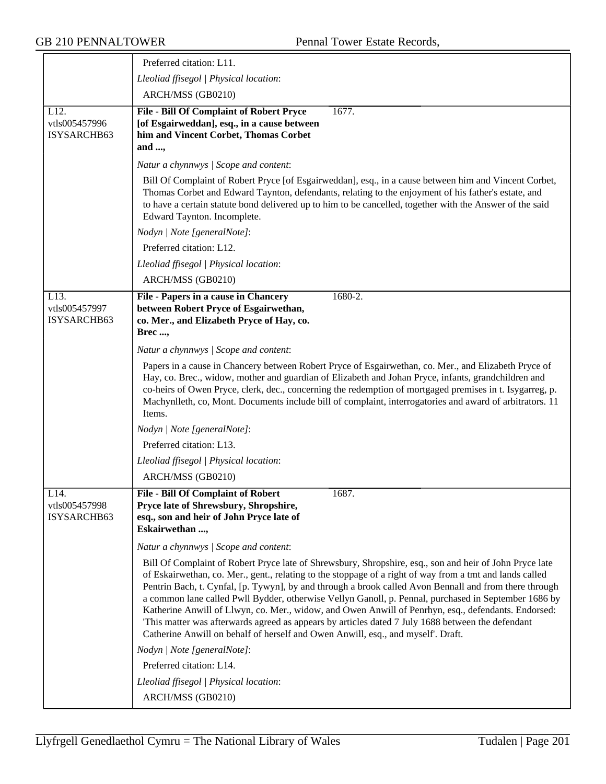|                                      | Preferred citation: L11.                                                                                                                                                                                                                                                                                                                                                                                                                                                                                                                                                                                                                                                                                                             |
|--------------------------------------|--------------------------------------------------------------------------------------------------------------------------------------------------------------------------------------------------------------------------------------------------------------------------------------------------------------------------------------------------------------------------------------------------------------------------------------------------------------------------------------------------------------------------------------------------------------------------------------------------------------------------------------------------------------------------------------------------------------------------------------|
|                                      | Lleoliad ffisegol   Physical location:                                                                                                                                                                                                                                                                                                                                                                                                                                                                                                                                                                                                                                                                                               |
|                                      | ARCH/MSS (GB0210)                                                                                                                                                                                                                                                                                                                                                                                                                                                                                                                                                                                                                                                                                                                    |
| L12.<br>vtls005457996<br>ISYSARCHB63 | <b>File - Bill Of Complaint of Robert Pryce</b><br>1677.<br>[of Esgairweddan], esq., in a cause between<br>him and Vincent Corbet, Thomas Corbet<br>and ,                                                                                                                                                                                                                                                                                                                                                                                                                                                                                                                                                                            |
|                                      | Natur a chynnwys / Scope and content:                                                                                                                                                                                                                                                                                                                                                                                                                                                                                                                                                                                                                                                                                                |
|                                      | Bill Of Complaint of Robert Pryce [of Esgairweddan], esq., in a cause between him and Vincent Corbet,<br>Thomas Corbet and Edward Taynton, defendants, relating to the enjoyment of his father's estate, and<br>to have a certain statute bond delivered up to him to be cancelled, together with the Answer of the said<br>Edward Taynton. Incomplete.                                                                                                                                                                                                                                                                                                                                                                              |
|                                      | Nodyn   Note [generalNote]:                                                                                                                                                                                                                                                                                                                                                                                                                                                                                                                                                                                                                                                                                                          |
|                                      | Preferred citation: L12.                                                                                                                                                                                                                                                                                                                                                                                                                                                                                                                                                                                                                                                                                                             |
|                                      | Lleoliad ffisegol   Physical location:                                                                                                                                                                                                                                                                                                                                                                                                                                                                                                                                                                                                                                                                                               |
|                                      | ARCH/MSS (GB0210)                                                                                                                                                                                                                                                                                                                                                                                                                                                                                                                                                                                                                                                                                                                    |
| L13.<br>vtls005457997<br>ISYSARCHB63 | File - Papers in a cause in Chancery<br>1680-2.<br>between Robert Pryce of Esgairwethan,<br>co. Mer., and Elizabeth Pryce of Hay, co.<br><b>Brec,</b>                                                                                                                                                                                                                                                                                                                                                                                                                                                                                                                                                                                |
|                                      | Natur a chynnwys / Scope and content:                                                                                                                                                                                                                                                                                                                                                                                                                                                                                                                                                                                                                                                                                                |
|                                      | Papers in a cause in Chancery between Robert Pryce of Esgairwethan, co. Mer., and Elizabeth Pryce of<br>Hay, co. Brec., widow, mother and guardian of Elizabeth and Johan Pryce, infants, grandchildren and<br>co-heirs of Owen Pryce, clerk, dec., concerning the redemption of mortgaged premises in t. Isygarreg, p.<br>Machynlleth, co, Mont. Documents include bill of complaint, interrogatories and award of arbitrators. 11<br>Items.                                                                                                                                                                                                                                                                                        |
|                                      | Nodyn   Note [generalNote]:                                                                                                                                                                                                                                                                                                                                                                                                                                                                                                                                                                                                                                                                                                          |
|                                      | Preferred citation: L13.                                                                                                                                                                                                                                                                                                                                                                                                                                                                                                                                                                                                                                                                                                             |
|                                      | Lleoliad ffisegol   Physical location:                                                                                                                                                                                                                                                                                                                                                                                                                                                                                                                                                                                                                                                                                               |
|                                      | ARCH/MSS (GB0210)                                                                                                                                                                                                                                                                                                                                                                                                                                                                                                                                                                                                                                                                                                                    |
| L14.<br>vtls005457998<br>ISYSARCHB63 | <b>File - Bill Of Complaint of Robert</b><br>1687.<br>Pryce late of Shrewsbury, Shropshire,<br>esq., son and heir of John Pryce late of<br>Eskairwethan ,                                                                                                                                                                                                                                                                                                                                                                                                                                                                                                                                                                            |
|                                      | Natur a chynnwys / Scope and content:                                                                                                                                                                                                                                                                                                                                                                                                                                                                                                                                                                                                                                                                                                |
|                                      | Bill Of Complaint of Robert Pryce late of Shrewsbury, Shropshire, esq., son and heir of John Pryce late<br>of Eskairwethan, co. Mer., gent., relating to the stoppage of a right of way from a tmt and lands called<br>Pentrin Bach, t. Cynfal, [p. Tywyn], by and through a brook called Avon Bennall and from there through<br>a common lane called Pwll Bydder, otherwise Vellyn Ganoll, p. Pennal, purchased in September 1686 by<br>Katherine Anwill of Llwyn, co. Mer., widow, and Owen Anwill of Penrhyn, esq., defendants. Endorsed:<br>This matter was afterwards agreed as appears by articles dated 7 July 1688 between the defendant<br>Catherine Anwill on behalf of herself and Owen Anwill, esq., and myself'. Draft. |
|                                      | Nodyn   Note [generalNote]:                                                                                                                                                                                                                                                                                                                                                                                                                                                                                                                                                                                                                                                                                                          |
|                                      | Preferred citation: L14.                                                                                                                                                                                                                                                                                                                                                                                                                                                                                                                                                                                                                                                                                                             |
|                                      | Lleoliad ffisegol   Physical location:                                                                                                                                                                                                                                                                                                                                                                                                                                                                                                                                                                                                                                                                                               |
|                                      | ARCH/MSS (GB0210)                                                                                                                                                                                                                                                                                                                                                                                                                                                                                                                                                                                                                                                                                                                    |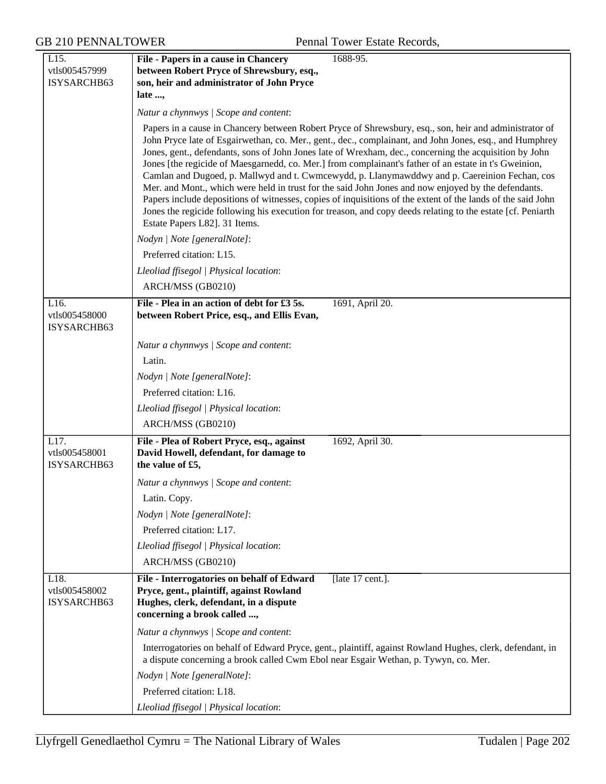| L15.                                 | 1688-95.<br>File - Papers in a cause in Chancery                                                                                                                                                                                                                                                                                                                                                                                                                                                                                                                                                                                                                                                                                                                                                                                                                                                            |
|--------------------------------------|-------------------------------------------------------------------------------------------------------------------------------------------------------------------------------------------------------------------------------------------------------------------------------------------------------------------------------------------------------------------------------------------------------------------------------------------------------------------------------------------------------------------------------------------------------------------------------------------------------------------------------------------------------------------------------------------------------------------------------------------------------------------------------------------------------------------------------------------------------------------------------------------------------------|
| vtls005457999                        | between Robert Pryce of Shrewsbury, esq.,                                                                                                                                                                                                                                                                                                                                                                                                                                                                                                                                                                                                                                                                                                                                                                                                                                                                   |
| ISYSARCHB63                          | son, heir and administrator of John Pryce                                                                                                                                                                                                                                                                                                                                                                                                                                                                                                                                                                                                                                                                                                                                                                                                                                                                   |
|                                      | late ,                                                                                                                                                                                                                                                                                                                                                                                                                                                                                                                                                                                                                                                                                                                                                                                                                                                                                                      |
|                                      | Natur a chynnwys / Scope and content:                                                                                                                                                                                                                                                                                                                                                                                                                                                                                                                                                                                                                                                                                                                                                                                                                                                                       |
|                                      | Papers in a cause in Chancery between Robert Pryce of Shrewsbury, esq., son, heir and administrator of<br>John Pryce late of Esgairwethan, co. Mer., gent., dec., complainant, and John Jones, esq., and Humphrey<br>Jones, gent., defendants, sons of John Jones late of Wrexham, dec., concerning the acquisition by John<br>Jones [the regicide of Maesgarnedd, co. Mer.] from complainant's father of an estate in t's Gweinion,<br>Camlan and Dugoed, p. Mallwyd and t. Cwmcewydd, p. Llanymawddwy and p. Caereinion Fechan, cos<br>Mer. and Mont., which were held in trust for the said John Jones and now enjoyed by the defendants.<br>Papers include depositions of witnesses, copies of inquisitions of the extent of the lands of the said John<br>Jones the regicide following his execution for treason, and copy deeds relating to the estate [cf. Peniarth<br>Estate Papers L82]. 31 Items. |
|                                      | Nodyn   Note [generalNote]:                                                                                                                                                                                                                                                                                                                                                                                                                                                                                                                                                                                                                                                                                                                                                                                                                                                                                 |
|                                      | Preferred citation: L15.                                                                                                                                                                                                                                                                                                                                                                                                                                                                                                                                                                                                                                                                                                                                                                                                                                                                                    |
|                                      | Lleoliad ffisegol   Physical location:                                                                                                                                                                                                                                                                                                                                                                                                                                                                                                                                                                                                                                                                                                                                                                                                                                                                      |
|                                      | ARCH/MSS (GB0210)                                                                                                                                                                                                                                                                                                                                                                                                                                                                                                                                                                                                                                                                                                                                                                                                                                                                                           |
| L16.<br>vtls005458000<br>ISYSARCHB63 | File - Plea in an action of debt for £3 5s.<br>1691, April 20.<br>between Robert Price, esq., and Ellis Evan,                                                                                                                                                                                                                                                                                                                                                                                                                                                                                                                                                                                                                                                                                                                                                                                               |
|                                      | Natur a chynnwys / Scope and content:                                                                                                                                                                                                                                                                                                                                                                                                                                                                                                                                                                                                                                                                                                                                                                                                                                                                       |
|                                      | Latin.                                                                                                                                                                                                                                                                                                                                                                                                                                                                                                                                                                                                                                                                                                                                                                                                                                                                                                      |
|                                      | Nodyn   Note [generalNote]:                                                                                                                                                                                                                                                                                                                                                                                                                                                                                                                                                                                                                                                                                                                                                                                                                                                                                 |
|                                      | Preferred citation: L16.                                                                                                                                                                                                                                                                                                                                                                                                                                                                                                                                                                                                                                                                                                                                                                                                                                                                                    |
|                                      | Lleoliad ffisegol   Physical location:                                                                                                                                                                                                                                                                                                                                                                                                                                                                                                                                                                                                                                                                                                                                                                                                                                                                      |
|                                      | ARCH/MSS (GB0210)                                                                                                                                                                                                                                                                                                                                                                                                                                                                                                                                                                                                                                                                                                                                                                                                                                                                                           |
| L17.<br>vtls005458001<br>ISYSARCHB63 | File - Plea of Robert Pryce, esq., against<br>1692, April 30.<br>David Howell, defendant, for damage to<br>the value of £5,                                                                                                                                                                                                                                                                                                                                                                                                                                                                                                                                                                                                                                                                                                                                                                                 |
|                                      | Natur a chynnwys   Scope and content:                                                                                                                                                                                                                                                                                                                                                                                                                                                                                                                                                                                                                                                                                                                                                                                                                                                                       |
|                                      | Latin. Copy.                                                                                                                                                                                                                                                                                                                                                                                                                                                                                                                                                                                                                                                                                                                                                                                                                                                                                                |
|                                      | Nodyn   Note [generalNote]:                                                                                                                                                                                                                                                                                                                                                                                                                                                                                                                                                                                                                                                                                                                                                                                                                                                                                 |
|                                      | Preferred citation: L17.                                                                                                                                                                                                                                                                                                                                                                                                                                                                                                                                                                                                                                                                                                                                                                                                                                                                                    |
|                                      | Lleoliad ffisegol   Physical location:                                                                                                                                                                                                                                                                                                                                                                                                                                                                                                                                                                                                                                                                                                                                                                                                                                                                      |
|                                      | ARCH/MSS (GB0210)                                                                                                                                                                                                                                                                                                                                                                                                                                                                                                                                                                                                                                                                                                                                                                                                                                                                                           |
| L18.<br>vtls005458002<br>ISYSARCHB63 | File - Interrogatories on behalf of Edward<br>[late 17 cent.].<br>Pryce, gent., plaintiff, against Rowland<br>Hughes, clerk, defendant, in a dispute<br>concerning a brook called ,                                                                                                                                                                                                                                                                                                                                                                                                                                                                                                                                                                                                                                                                                                                         |
|                                      | Natur a chynnwys / Scope and content:                                                                                                                                                                                                                                                                                                                                                                                                                                                                                                                                                                                                                                                                                                                                                                                                                                                                       |
|                                      | Interrogatories on behalf of Edward Pryce, gent., plaintiff, against Rowland Hughes, clerk, defendant, in<br>a dispute concerning a brook called Cwm Ebol near Esgair Wethan, p. Tywyn, co. Mer.                                                                                                                                                                                                                                                                                                                                                                                                                                                                                                                                                                                                                                                                                                            |
|                                      | Nodyn   Note [generalNote]:                                                                                                                                                                                                                                                                                                                                                                                                                                                                                                                                                                                                                                                                                                                                                                                                                                                                                 |
|                                      | Preferred citation: L18.                                                                                                                                                                                                                                                                                                                                                                                                                                                                                                                                                                                                                                                                                                                                                                                                                                                                                    |
|                                      | Lleoliad ffisegol   Physical location:                                                                                                                                                                                                                                                                                                                                                                                                                                                                                                                                                                                                                                                                                                                                                                                                                                                                      |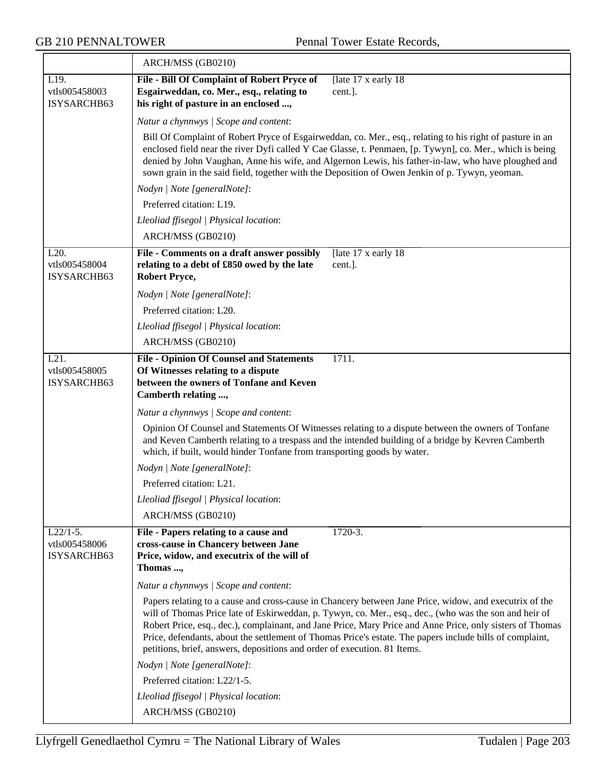$\overline{\phantom{0}}$ 

|                                            | ARCH/MSS (GB0210)                                                                                                                                                                                                                                                                                                                                                                                                                                                                                                     |
|--------------------------------------------|-----------------------------------------------------------------------------------------------------------------------------------------------------------------------------------------------------------------------------------------------------------------------------------------------------------------------------------------------------------------------------------------------------------------------------------------------------------------------------------------------------------------------|
| L19.<br>vtls005458003<br>ISYSARCHB63       | File - Bill Of Complaint of Robert Pryce of<br>[late 17 x early 18]<br>Esgairweddan, co. Mer., esq., relating to<br>cent.].<br>his right of pasture in an enclosed ,                                                                                                                                                                                                                                                                                                                                                  |
|                                            | Natur a chynnwys / Scope and content:                                                                                                                                                                                                                                                                                                                                                                                                                                                                                 |
|                                            | Bill Of Complaint of Robert Pryce of Esgairweddan, co. Mer., esq., relating to his right of pasture in an<br>enclosed field near the river Dyfi called Y Cae Glasse, t. Penmaen, [p. Tywyn], co. Mer., which is being<br>denied by John Vaughan, Anne his wife, and Algernon Lewis, his father-in-law, who have ploughed and<br>sown grain in the said field, together with the Deposition of Owen Jenkin of p. Tywyn, yeoman.                                                                                        |
|                                            | Nodyn   Note [generalNote]:                                                                                                                                                                                                                                                                                                                                                                                                                                                                                           |
|                                            | Preferred citation: L19.                                                                                                                                                                                                                                                                                                                                                                                                                                                                                              |
|                                            | Lleoliad ffisegol   Physical location:                                                                                                                                                                                                                                                                                                                                                                                                                                                                                |
|                                            | ARCH/MSS (GB0210)                                                                                                                                                                                                                                                                                                                                                                                                                                                                                                     |
| L20.<br>vtls005458004<br>ISYSARCHB63       | File - Comments on a draft answer possibly<br>[late 17 x early 18]<br>relating to a debt of £850 owed by the late<br>cent.].<br><b>Robert Pryce,</b>                                                                                                                                                                                                                                                                                                                                                                  |
|                                            | Nodyn   Note [generalNote]:                                                                                                                                                                                                                                                                                                                                                                                                                                                                                           |
|                                            | Preferred citation: L20.                                                                                                                                                                                                                                                                                                                                                                                                                                                                                              |
|                                            | Lleoliad ffisegol   Physical location:                                                                                                                                                                                                                                                                                                                                                                                                                                                                                |
|                                            | ARCH/MSS (GB0210)                                                                                                                                                                                                                                                                                                                                                                                                                                                                                                     |
| L21.<br>vtls005458005<br>ISYSARCHB63       | <b>File - Opinion Of Counsel and Statements</b><br>1711.<br>Of Witnesses relating to a dispute<br>between the owners of Tonfane and Keven<br>Camberth relating ,                                                                                                                                                                                                                                                                                                                                                      |
|                                            | Natur a chynnwys / Scope and content:                                                                                                                                                                                                                                                                                                                                                                                                                                                                                 |
|                                            | Opinion Of Counsel and Statements Of Witnesses relating to a dispute between the owners of Tonfane<br>and Keven Camberth relating to a trespass and the intended building of a bridge by Kevren Camberth<br>which, if built, would hinder Tonfane from transporting goods by water.                                                                                                                                                                                                                                   |
|                                            | Nodyn   Note [generalNote]:                                                                                                                                                                                                                                                                                                                                                                                                                                                                                           |
|                                            | Preferred citation: L21.                                                                                                                                                                                                                                                                                                                                                                                                                                                                                              |
|                                            | Lleoliad ffisegol   Physical location:                                                                                                                                                                                                                                                                                                                                                                                                                                                                                |
|                                            | ARCH/MSS (GB0210)                                                                                                                                                                                                                                                                                                                                                                                                                                                                                                     |
| $L22/1-5.$<br>vtls005458006<br>ISYSARCHB63 | 1720-3.<br>File - Papers relating to a cause and<br>cross-cause in Chancery between Jane<br>Price, widow, and executrix of the will of<br>Thomas ,                                                                                                                                                                                                                                                                                                                                                                    |
|                                            | Natur a chynnwys / Scope and content:                                                                                                                                                                                                                                                                                                                                                                                                                                                                                 |
|                                            | Papers relating to a cause and cross-cause in Chancery between Jane Price, widow, and executrix of the<br>will of Thomas Price late of Eskirweddan, p. Tywyn, co. Mer., esq., dec., (who was the son and heir of<br>Robert Price, esq., dec.), complainant, and Jane Price, Mary Price and Anne Price, only sisters of Thomas<br>Price, defendants, about the settlement of Thomas Price's estate. The papers include bills of complaint,<br>petitions, brief, answers, depositions and order of execution. 81 Items. |
|                                            | Nodyn   Note [generalNote]:                                                                                                                                                                                                                                                                                                                                                                                                                                                                                           |
|                                            | Preferred citation: L22/1-5.                                                                                                                                                                                                                                                                                                                                                                                                                                                                                          |
|                                            | Lleoliad ffisegol   Physical location:                                                                                                                                                                                                                                                                                                                                                                                                                                                                                |
|                                            | ARCH/MSS (GB0210)                                                                                                                                                                                                                                                                                                                                                                                                                                                                                                     |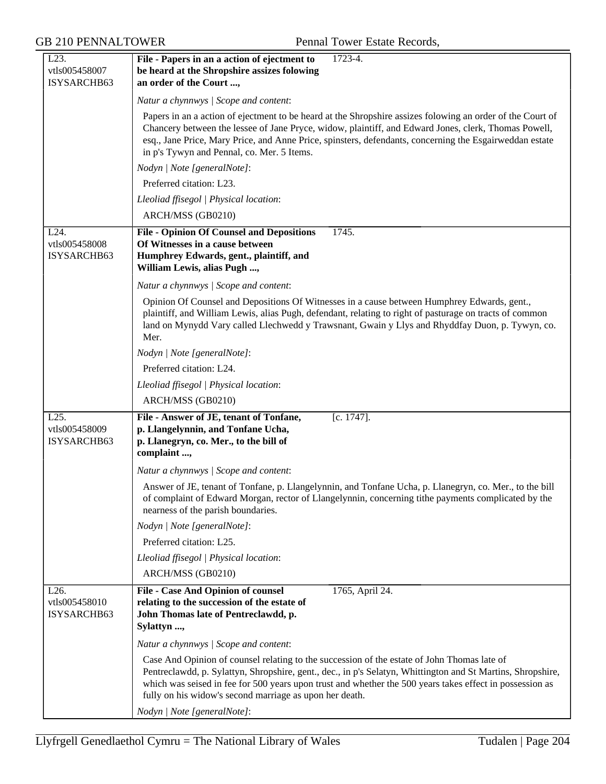| L23.<br>vtls005458007<br>ISYSARCHB63 | File - Papers in an a action of ejectment to<br>1723-4.<br>be heard at the Shropshire assizes folowing<br>an order of the Court ,                                                                                                                                                                                                                                                 |
|--------------------------------------|-----------------------------------------------------------------------------------------------------------------------------------------------------------------------------------------------------------------------------------------------------------------------------------------------------------------------------------------------------------------------------------|
|                                      | Natur a chynnwys / Scope and content:                                                                                                                                                                                                                                                                                                                                             |
|                                      | Papers in an a action of ejectment to be heard at the Shropshire assizes folowing an order of the Court of<br>Chancery between the lessee of Jane Pryce, widow, plaintiff, and Edward Jones, clerk, Thomas Powell,<br>esq., Jane Price, Mary Price, and Anne Price, spinsters, defendants, concerning the Esgairweddan estate<br>in p's Tywyn and Pennal, co. Mer. 5 Items.       |
|                                      | Nodyn   Note [generalNote]:                                                                                                                                                                                                                                                                                                                                                       |
|                                      | Preferred citation: L23.                                                                                                                                                                                                                                                                                                                                                          |
|                                      | Lleoliad ffisegol   Physical location:                                                                                                                                                                                                                                                                                                                                            |
|                                      | ARCH/MSS (GB0210)                                                                                                                                                                                                                                                                                                                                                                 |
| L24.                                 | 1745.<br><b>File - Opinion Of Counsel and Depositions</b>                                                                                                                                                                                                                                                                                                                         |
| vtls005458008<br>ISYSARCHB63         | Of Witnesses in a cause between<br>Humphrey Edwards, gent., plaintiff, and<br>William Lewis, alias Pugh ,                                                                                                                                                                                                                                                                         |
|                                      | Natur a chynnwys / Scope and content:                                                                                                                                                                                                                                                                                                                                             |
|                                      | Opinion Of Counsel and Depositions Of Witnesses in a cause between Humphrey Edwards, gent.,<br>plaintiff, and William Lewis, alias Pugh, defendant, relating to right of pasturage on tracts of common<br>land on Mynydd Vary called Llechwedd y Trawsnant, Gwain y Llys and Rhyddfay Duon, p. Tywyn, co.<br>Mer.                                                                 |
|                                      | Nodyn   Note [generalNote]:                                                                                                                                                                                                                                                                                                                                                       |
|                                      | Preferred citation: L24.                                                                                                                                                                                                                                                                                                                                                          |
|                                      | Lleoliad ffisegol   Physical location:                                                                                                                                                                                                                                                                                                                                            |
|                                      | ARCH/MSS (GB0210)                                                                                                                                                                                                                                                                                                                                                                 |
| L25.<br>vtls005458009<br>ISYSARCHB63 | File - Answer of JE, tenant of Tonfane,<br>$[c. 1747]$ .<br>p. Llangelynnin, and Tonfane Ucha,<br>p. Llanegryn, co. Mer., to the bill of<br>complaint ,                                                                                                                                                                                                                           |
|                                      | Natur a chynnwys / Scope and content:                                                                                                                                                                                                                                                                                                                                             |
|                                      | Answer of JE, tenant of Tonfane, p. Llangelynnin, and Tonfane Ucha, p. Llanegryn, co. Mer., to the bill<br>of complaint of Edward Morgan, rector of Llangelynnin, concerning tithe payments complicated by the<br>nearness of the parish boundaries.                                                                                                                              |
|                                      | Nodyn   Note [generalNote]:                                                                                                                                                                                                                                                                                                                                                       |
|                                      | Preferred citation: L25.                                                                                                                                                                                                                                                                                                                                                          |
|                                      | Lleoliad ffisegol   Physical location:                                                                                                                                                                                                                                                                                                                                            |
|                                      | ARCH/MSS (GB0210)                                                                                                                                                                                                                                                                                                                                                                 |
| L26.<br>vtls005458010<br>ISYSARCHB63 | File - Case And Opinion of counsel<br>1765, April 24.<br>relating to the succession of the estate of<br>John Thomas late of Pentreclawdd, p.<br>Sylattyn ,                                                                                                                                                                                                                        |
|                                      | Natur a chynnwys / Scope and content:                                                                                                                                                                                                                                                                                                                                             |
|                                      | Case And Opinion of counsel relating to the succession of the estate of John Thomas late of<br>Pentreclawdd, p. Sylattyn, Shropshire, gent., dec., in p's Selatyn, Whittington and St Martins, Shropshire,<br>which was seised in fee for 500 years upon trust and whether the 500 years takes effect in possession as<br>fully on his widow's second marriage as upon her death. |
|                                      | Nodyn   Note [generalNote]:                                                                                                                                                                                                                                                                                                                                                       |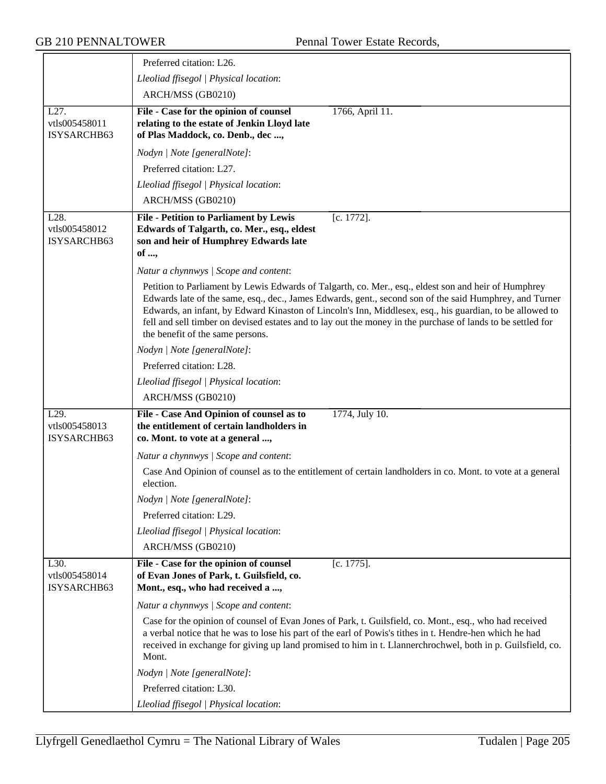|                                      | Preferred citation: L26.                                                                                                                                                                                                                                                                                                                                                                                                                                                       |
|--------------------------------------|--------------------------------------------------------------------------------------------------------------------------------------------------------------------------------------------------------------------------------------------------------------------------------------------------------------------------------------------------------------------------------------------------------------------------------------------------------------------------------|
|                                      | Lleoliad ffisegol   Physical location:                                                                                                                                                                                                                                                                                                                                                                                                                                         |
|                                      | ARCH/MSS (GB0210)                                                                                                                                                                                                                                                                                                                                                                                                                                                              |
| L27.<br>vtls005458011<br>ISYSARCHB63 | File - Case for the opinion of counsel<br>1766, April 11.<br>relating to the estate of Jenkin Lloyd late<br>of Plas Maddock, co. Denb., dec,                                                                                                                                                                                                                                                                                                                                   |
|                                      | Nodyn   Note [generalNote]:                                                                                                                                                                                                                                                                                                                                                                                                                                                    |
|                                      | Preferred citation: L27.                                                                                                                                                                                                                                                                                                                                                                                                                                                       |
|                                      | Lleoliad ffisegol   Physical location:                                                                                                                                                                                                                                                                                                                                                                                                                                         |
|                                      | ARCH/MSS (GB0210)                                                                                                                                                                                                                                                                                                                                                                                                                                                              |
| L28.<br>vtls005458012<br>ISYSARCHB63 | $[c. 1772]$ .<br><b>File - Petition to Parliament by Lewis</b><br>Edwards of Talgarth, co. Mer., esq., eldest<br>son and heir of Humphrey Edwards late<br>of ,                                                                                                                                                                                                                                                                                                                 |
|                                      | Natur a chynnwys / Scope and content:                                                                                                                                                                                                                                                                                                                                                                                                                                          |
|                                      | Petition to Parliament by Lewis Edwards of Talgarth, co. Mer., esq., eldest son and heir of Humphrey<br>Edwards late of the same, esq., dec., James Edwards, gent., second son of the said Humphrey, and Turner<br>Edwards, an infant, by Edward Kinaston of Lincoln's Inn, Middlesex, esq., his guardian, to be allowed to<br>fell and sell timber on devised estates and to lay out the money in the purchase of lands to be settled for<br>the benefit of the same persons. |
|                                      | Nodyn   Note [generalNote]:                                                                                                                                                                                                                                                                                                                                                                                                                                                    |
|                                      | Preferred citation: L28.                                                                                                                                                                                                                                                                                                                                                                                                                                                       |
|                                      | Lleoliad ffisegol   Physical location:                                                                                                                                                                                                                                                                                                                                                                                                                                         |
|                                      | ARCH/MSS (GB0210)                                                                                                                                                                                                                                                                                                                                                                                                                                                              |
| L29.<br>vtls005458013<br>ISYSARCHB63 | File - Case And Opinion of counsel as to<br>1774, July 10.<br>the entitlement of certain landholders in<br>co. Mont. to vote at a general ,                                                                                                                                                                                                                                                                                                                                    |
|                                      | Natur a chynnwys / Scope and content:                                                                                                                                                                                                                                                                                                                                                                                                                                          |
|                                      | Case And Opinion of counsel as to the entitlement of certain landholders in co. Mont. to vote at a general<br>election.                                                                                                                                                                                                                                                                                                                                                        |
|                                      | Nodyn   Note [generalNote]:                                                                                                                                                                                                                                                                                                                                                                                                                                                    |
|                                      | Preferred citation: L29.                                                                                                                                                                                                                                                                                                                                                                                                                                                       |
|                                      | Lleoliad ffisegol   Physical location:                                                                                                                                                                                                                                                                                                                                                                                                                                         |
|                                      | ARCH/MSS (GB0210)                                                                                                                                                                                                                                                                                                                                                                                                                                                              |
| L30.<br>vtls005458014<br>ISYSARCHB63 | $[c. 1775]$ .<br>File - Case for the opinion of counsel<br>of Evan Jones of Park, t. Guilsfield, co.<br>Mont., esq., who had received a ,                                                                                                                                                                                                                                                                                                                                      |
|                                      | Natur a chynnwys / Scope and content:                                                                                                                                                                                                                                                                                                                                                                                                                                          |
|                                      | Case for the opinion of counsel of Evan Jones of Park, t. Guilsfield, co. Mont., esq., who had received<br>a verbal notice that he was to lose his part of the earl of Powis's tithes in t. Hendre-hen which he had<br>received in exchange for giving up land promised to him in t. Llannerchrochwel, both in p. Guilsfield, co.<br>Mont.                                                                                                                                     |
|                                      | Nodyn   Note [generalNote]:                                                                                                                                                                                                                                                                                                                                                                                                                                                    |
|                                      | Preferred citation: L30.                                                                                                                                                                                                                                                                                                                                                                                                                                                       |
|                                      | Lleoliad ffisegol   Physical location:                                                                                                                                                                                                                                                                                                                                                                                                                                         |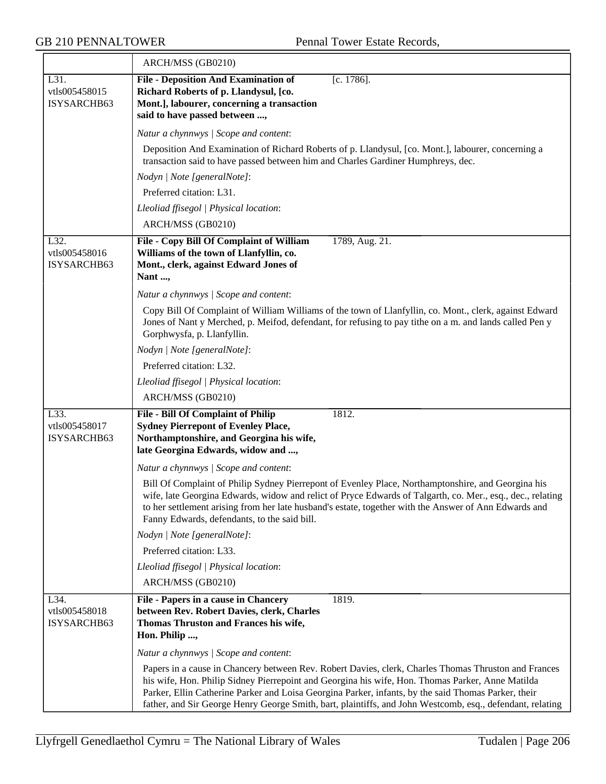|                                      | ARCH/MSS (GB0210)                                                                                                                                                                                                                                                                                                                                                                                                            |
|--------------------------------------|------------------------------------------------------------------------------------------------------------------------------------------------------------------------------------------------------------------------------------------------------------------------------------------------------------------------------------------------------------------------------------------------------------------------------|
| L31.<br>vtls005458015<br>ISYSARCHB63 | <b>File - Deposition And Examination of</b><br>$[c. 1786]$ .<br>Richard Roberts of p. Llandysul, [co.<br>Mont.], labourer, concerning a transaction<br>said to have passed between ,                                                                                                                                                                                                                                         |
|                                      | Natur a chynnwys / Scope and content:                                                                                                                                                                                                                                                                                                                                                                                        |
|                                      | Deposition And Examination of Richard Roberts of p. Llandysul, [co. Mont.], labourer, concerning a<br>transaction said to have passed between him and Charles Gardiner Humphreys, dec.                                                                                                                                                                                                                                       |
|                                      | Nodyn   Note [generalNote]:                                                                                                                                                                                                                                                                                                                                                                                                  |
|                                      | Preferred citation: L31.                                                                                                                                                                                                                                                                                                                                                                                                     |
|                                      | Lleoliad ffisegol   Physical location:                                                                                                                                                                                                                                                                                                                                                                                       |
|                                      | ARCH/MSS (GB0210)                                                                                                                                                                                                                                                                                                                                                                                                            |
| L32.<br>vtls005458016<br>ISYSARCHB63 | File - Copy Bill Of Complaint of William<br>1789, Aug. 21.<br>Williams of the town of Llanfyllin, co.<br>Mont., clerk, against Edward Jones of<br>Nant ,                                                                                                                                                                                                                                                                     |
|                                      | Natur a chynnwys / Scope and content:                                                                                                                                                                                                                                                                                                                                                                                        |
|                                      | Copy Bill Of Complaint of William Williams of the town of Llanfyllin, co. Mont., clerk, against Edward<br>Jones of Nant y Merched, p. Meifod, defendant, for refusing to pay tithe on a m. and lands called Pen y<br>Gorphwysfa, p. Llanfyllin.                                                                                                                                                                              |
|                                      | Nodyn   Note [generalNote]:                                                                                                                                                                                                                                                                                                                                                                                                  |
|                                      | Preferred citation: L32.                                                                                                                                                                                                                                                                                                                                                                                                     |
|                                      | Lleoliad ffisegol   Physical location:                                                                                                                                                                                                                                                                                                                                                                                       |
|                                      | ARCH/MSS (GB0210)                                                                                                                                                                                                                                                                                                                                                                                                            |
| L33.<br>vtls005458017<br>ISYSARCHB63 | <b>File - Bill Of Complaint of Philip</b><br>1812.<br><b>Sydney Pierrepont of Evenley Place,</b><br>Northamptonshire, and Georgina his wife,<br>late Georgina Edwards, widow and ,                                                                                                                                                                                                                                           |
|                                      | Natur a chynnwys / Scope and content:                                                                                                                                                                                                                                                                                                                                                                                        |
|                                      | Bill Of Complaint of Philip Sydney Pierrepont of Evenley Place, Northamptonshire, and Georgina his<br>wife, late Georgina Edwards, widow and relict of Pryce Edwards of Talgarth, co. Mer., esq., dec., relating<br>to her settlement arising from her late husband's estate, together with the Answer of Ann Edwards and<br>Fanny Edwards, defendants, to the said bill.                                                    |
|                                      | Nodyn   Note [generalNote]:                                                                                                                                                                                                                                                                                                                                                                                                  |
|                                      | Preferred citation: L33.                                                                                                                                                                                                                                                                                                                                                                                                     |
|                                      | Lleoliad ffisegol   Physical location:                                                                                                                                                                                                                                                                                                                                                                                       |
|                                      | ARCH/MSS (GB0210)                                                                                                                                                                                                                                                                                                                                                                                                            |
| L34.<br>vtls005458018<br>ISYSARCHB63 | 1819.<br>File - Papers in a cause in Chancery<br>between Rev. Robert Davies, clerk, Charles<br>Thomas Thruston and Frances his wife,<br>Hon. Philip ,                                                                                                                                                                                                                                                                        |
|                                      | Natur a chynnwys / Scope and content:                                                                                                                                                                                                                                                                                                                                                                                        |
|                                      | Papers in a cause in Chancery between Rev. Robert Davies, clerk, Charles Thomas Thruston and Frances<br>his wife, Hon. Philip Sidney Pierrepoint and Georgina his wife, Hon. Thomas Parker, Anne Matilda<br>Parker, Ellin Catherine Parker and Loisa Georgina Parker, infants, by the said Thomas Parker, their<br>father, and Sir George Henry George Smith, bart, plaintiffs, and John Westcomb, esq., defendant, relating |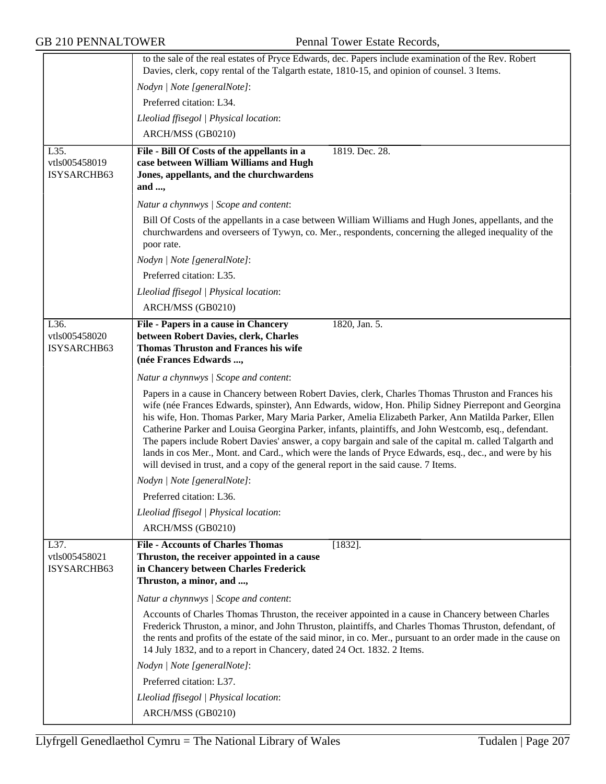|               | to the sale of the real estates of Pryce Edwards, dec. Papers include examination of the Rev. Robert<br>Davies, clerk, copy rental of the Talgarth estate, 1810-15, and opinion of counsel. 3 Items.                                                                                                                                                                                                                                                                                                                                                                                                                                                                                                                                    |
|---------------|-----------------------------------------------------------------------------------------------------------------------------------------------------------------------------------------------------------------------------------------------------------------------------------------------------------------------------------------------------------------------------------------------------------------------------------------------------------------------------------------------------------------------------------------------------------------------------------------------------------------------------------------------------------------------------------------------------------------------------------------|
|               | Nodyn   Note [generalNote]:                                                                                                                                                                                                                                                                                                                                                                                                                                                                                                                                                                                                                                                                                                             |
|               | Preferred citation: L34.                                                                                                                                                                                                                                                                                                                                                                                                                                                                                                                                                                                                                                                                                                                |
|               | Lleoliad ffisegol   Physical location:                                                                                                                                                                                                                                                                                                                                                                                                                                                                                                                                                                                                                                                                                                  |
|               | ARCH/MSS (GB0210)                                                                                                                                                                                                                                                                                                                                                                                                                                                                                                                                                                                                                                                                                                                       |
| L35.          | 1819. Dec. 28.                                                                                                                                                                                                                                                                                                                                                                                                                                                                                                                                                                                                                                                                                                                          |
| vtls005458019 | File - Bill Of Costs of the appellants in a<br>case between William Williams and Hugh                                                                                                                                                                                                                                                                                                                                                                                                                                                                                                                                                                                                                                                   |
| ISYSARCHB63   | Jones, appellants, and the churchwardens                                                                                                                                                                                                                                                                                                                                                                                                                                                                                                                                                                                                                                                                                                |
|               | and ,                                                                                                                                                                                                                                                                                                                                                                                                                                                                                                                                                                                                                                                                                                                                   |
|               | Natur a chynnwys / Scope and content:                                                                                                                                                                                                                                                                                                                                                                                                                                                                                                                                                                                                                                                                                                   |
|               | Bill Of Costs of the appellants in a case between William Williams and Hugh Jones, appellants, and the<br>churchwardens and overseers of Tywyn, co. Mer., respondents, concerning the alleged inequality of the<br>poor rate.                                                                                                                                                                                                                                                                                                                                                                                                                                                                                                           |
|               | Nodyn   Note [generalNote]:                                                                                                                                                                                                                                                                                                                                                                                                                                                                                                                                                                                                                                                                                                             |
|               | Preferred citation: L35.                                                                                                                                                                                                                                                                                                                                                                                                                                                                                                                                                                                                                                                                                                                |
|               | Lleoliad ffisegol   Physical location:                                                                                                                                                                                                                                                                                                                                                                                                                                                                                                                                                                                                                                                                                                  |
|               | ARCH/MSS (GB0210)                                                                                                                                                                                                                                                                                                                                                                                                                                                                                                                                                                                                                                                                                                                       |
| L36.          | File - Papers in a cause in Chancery<br>1820, Jan. 5.                                                                                                                                                                                                                                                                                                                                                                                                                                                                                                                                                                                                                                                                                   |
| vtls005458020 | between Robert Davies, clerk, Charles                                                                                                                                                                                                                                                                                                                                                                                                                                                                                                                                                                                                                                                                                                   |
| ISYSARCHB63   | <b>Thomas Thruston and Frances his wife</b><br>(née Frances Edwards ,                                                                                                                                                                                                                                                                                                                                                                                                                                                                                                                                                                                                                                                                   |
|               |                                                                                                                                                                                                                                                                                                                                                                                                                                                                                                                                                                                                                                                                                                                                         |
|               | Natur a chynnwys / Scope and content:                                                                                                                                                                                                                                                                                                                                                                                                                                                                                                                                                                                                                                                                                                   |
|               | Papers in a cause in Chancery between Robert Davies, clerk, Charles Thomas Thruston and Frances his<br>wife (née Frances Edwards, spinster), Ann Edwards, widow, Hon. Philip Sidney Pierrepont and Georgina<br>his wife, Hon. Thomas Parker, Mary Maria Parker, Amelia Elizabeth Parker, Ann Matilda Parker, Ellen<br>Catherine Parker and Louisa Georgina Parker, infants, plaintiffs, and John Westcomb, esq., defendant.<br>The papers include Robert Davies' answer, a copy bargain and sale of the capital m. called Talgarth and<br>lands in cos Mer., Mont. and Card., which were the lands of Pryce Edwards, esq., dec., and were by his<br>will devised in trust, and a copy of the general report in the said cause. 7 Items. |
|               | Nodyn   Note [generalNote]:                                                                                                                                                                                                                                                                                                                                                                                                                                                                                                                                                                                                                                                                                                             |
|               | Preferred citation: L36.                                                                                                                                                                                                                                                                                                                                                                                                                                                                                                                                                                                                                                                                                                                |
|               | Lleoliad ffisegol   Physical location:                                                                                                                                                                                                                                                                                                                                                                                                                                                                                                                                                                                                                                                                                                  |
|               | ARCH/MSS (GB0210)                                                                                                                                                                                                                                                                                                                                                                                                                                                                                                                                                                                                                                                                                                                       |
| L37.          | <b>File - Accounts of Charles Thomas</b><br>$[1832]$ .                                                                                                                                                                                                                                                                                                                                                                                                                                                                                                                                                                                                                                                                                  |
| vtls005458021 | Thruston, the receiver appointed in a cause                                                                                                                                                                                                                                                                                                                                                                                                                                                                                                                                                                                                                                                                                             |
| ISYSARCHB63   | in Chancery between Charles Frederick                                                                                                                                                                                                                                                                                                                                                                                                                                                                                                                                                                                                                                                                                                   |
|               | Thruston, a minor, and ,                                                                                                                                                                                                                                                                                                                                                                                                                                                                                                                                                                                                                                                                                                                |
|               | Natur a chynnwys / Scope and content:                                                                                                                                                                                                                                                                                                                                                                                                                                                                                                                                                                                                                                                                                                   |
|               | Accounts of Charles Thomas Thruston, the receiver appointed in a cause in Chancery between Charles<br>Frederick Thruston, a minor, and John Thruston, plaintiffs, and Charles Thomas Thruston, defendant, of<br>the rents and profits of the estate of the said minor, in co. Mer., pursuant to an order made in the cause on<br>14 July 1832, and to a report in Chancery, dated 24 Oct. 1832. 2 Items.                                                                                                                                                                                                                                                                                                                                |
|               | Nodyn   Note [generalNote]:                                                                                                                                                                                                                                                                                                                                                                                                                                                                                                                                                                                                                                                                                                             |
|               | Preferred citation: L37.                                                                                                                                                                                                                                                                                                                                                                                                                                                                                                                                                                                                                                                                                                                |
|               | Lleoliad ffisegol   Physical location:                                                                                                                                                                                                                                                                                                                                                                                                                                                                                                                                                                                                                                                                                                  |
|               | ARCH/MSS (GB0210)                                                                                                                                                                                                                                                                                                                                                                                                                                                                                                                                                                                                                                                                                                                       |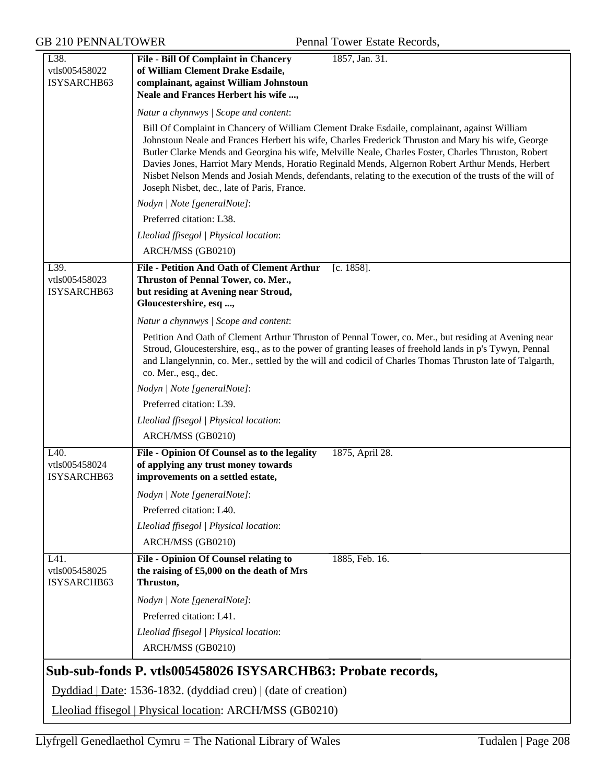| L38.                                                     | 1857, Jan. 31.<br><b>File - Bill Of Complaint in Chancery</b>                                                                                                                                                                                                                                                                                                                                                |
|----------------------------------------------------------|--------------------------------------------------------------------------------------------------------------------------------------------------------------------------------------------------------------------------------------------------------------------------------------------------------------------------------------------------------------------------------------------------------------|
| vtls005458022                                            | of William Clement Drake Esdaile,                                                                                                                                                                                                                                                                                                                                                                            |
| ISYSARCHB63                                              | complainant, against William Johnstoun                                                                                                                                                                                                                                                                                                                                                                       |
|                                                          | Neale and Frances Herbert his wife ,                                                                                                                                                                                                                                                                                                                                                                         |
|                                                          | Natur a chynnwys / Scope and content:                                                                                                                                                                                                                                                                                                                                                                        |
|                                                          | Bill Of Complaint in Chancery of William Clement Drake Esdaile, complainant, against William<br>Johnstoun Neale and Frances Herbert his wife, Charles Frederick Thruston and Mary his wife, George<br>Butler Clarke Mends and Georgina his wife, Melville Neale, Charles Foster, Charles Thruston, Robert<br>Davies Jones, Harriot Mary Mends, Horatio Reginald Mends, Algernon Robert Arthur Mends, Herbert |
|                                                          | Nisbet Nelson Mends and Josiah Mends, defendants, relating to the execution of the trusts of the will of<br>Joseph Nisbet, dec., late of Paris, France.                                                                                                                                                                                                                                                      |
|                                                          | Nodyn   Note [generalNote]:                                                                                                                                                                                                                                                                                                                                                                                  |
|                                                          | Preferred citation: L38.                                                                                                                                                                                                                                                                                                                                                                                     |
|                                                          | Lleoliad ffisegol   Physical location:                                                                                                                                                                                                                                                                                                                                                                       |
|                                                          | ARCH/MSS (GB0210)                                                                                                                                                                                                                                                                                                                                                                                            |
| L39.                                                     | <b>File - Petition And Oath of Clement Arthur</b><br>$[c. 1858]$ .                                                                                                                                                                                                                                                                                                                                           |
| vtls005458023                                            | Thruston of Pennal Tower, co. Mer.,                                                                                                                                                                                                                                                                                                                                                                          |
| ISYSARCHB63                                              | but residing at Avening near Stroud,                                                                                                                                                                                                                                                                                                                                                                         |
|                                                          | Gloucestershire, esq ,                                                                                                                                                                                                                                                                                                                                                                                       |
|                                                          | Natur a chynnwys / Scope and content:                                                                                                                                                                                                                                                                                                                                                                        |
|                                                          | Petition And Oath of Clement Arthur Thruston of Pennal Tower, co. Mer., but residing at Avening near<br>Stroud, Gloucestershire, esq., as to the power of granting leases of freehold lands in p's Tywyn, Pennal<br>and Llangelynnin, co. Mer., settled by the will and codicil of Charles Thomas Thruston late of Talgarth,                                                                                 |
|                                                          | co. Mer., esq., dec.                                                                                                                                                                                                                                                                                                                                                                                         |
|                                                          | Nodyn   Note [generalNote]:                                                                                                                                                                                                                                                                                                                                                                                  |
|                                                          | Preferred citation: L39.                                                                                                                                                                                                                                                                                                                                                                                     |
|                                                          | Lleoliad ffisegol   Physical location:                                                                                                                                                                                                                                                                                                                                                                       |
|                                                          | ARCH/MSS (GB0210)                                                                                                                                                                                                                                                                                                                                                                                            |
| L <sub>40</sub> .                                        | File - Opinion Of Counsel as to the legality<br>1875, April 28.                                                                                                                                                                                                                                                                                                                                              |
| vtls005458024<br>ISYSARCHB63                             | of applying any trust money towards<br>improvements on a settled estate,                                                                                                                                                                                                                                                                                                                                     |
|                                                          | Nodyn   Note [generalNote]:                                                                                                                                                                                                                                                                                                                                                                                  |
|                                                          | Preferred citation: L40.                                                                                                                                                                                                                                                                                                                                                                                     |
|                                                          | Lleoliad ffisegol   Physical location:                                                                                                                                                                                                                                                                                                                                                                       |
|                                                          | ARCH/MSS (GB0210)                                                                                                                                                                                                                                                                                                                                                                                            |
|                                                          |                                                                                                                                                                                                                                                                                                                                                                                                              |
| L41.<br>vtls005458025<br>ISYSARCHB63                     | <b>File - Opinion Of Counsel relating to</b><br>1885, Feb. 16.<br>the raising of £5,000 on the death of Mrs<br>Thruston,                                                                                                                                                                                                                                                                                     |
|                                                          | Nodyn   Note [generalNote]:                                                                                                                                                                                                                                                                                                                                                                                  |
|                                                          | Preferred citation: L41.                                                                                                                                                                                                                                                                                                                                                                                     |
|                                                          | Lleoliad ffisegol   Physical location:                                                                                                                                                                                                                                                                                                                                                                       |
|                                                          | ARCH/MSS (GB0210)                                                                                                                                                                                                                                                                                                                                                                                            |
|                                                          | Sub-sub-fonds P. vtls005458026 ISYSARCHB63: Probate records,                                                                                                                                                                                                                                                                                                                                                 |
|                                                          | Dyddiad   Date: 1536-1832. (dyddiad creu)   (date of creation)                                                                                                                                                                                                                                                                                                                                               |
| Lleoliad ffisegol   Physical location: ARCH/MSS (GB0210) |                                                                                                                                                                                                                                                                                                                                                                                                              |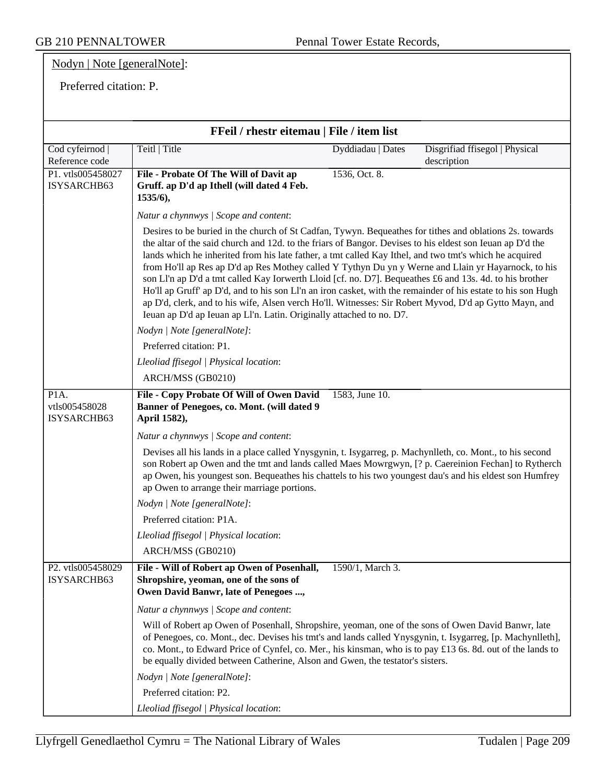Nodyn | Note [generalNote]:

Preferred citation: P.

| FFeil / rhestr eitemau   File / item list |                                                                                                                                                                                                                                                                                                                                                                                                                                                                                                                                                                                                                                                                                                                                                                                                                                                    |                   |                                               |
|-------------------------------------------|----------------------------------------------------------------------------------------------------------------------------------------------------------------------------------------------------------------------------------------------------------------------------------------------------------------------------------------------------------------------------------------------------------------------------------------------------------------------------------------------------------------------------------------------------------------------------------------------------------------------------------------------------------------------------------------------------------------------------------------------------------------------------------------------------------------------------------------------------|-------------------|-----------------------------------------------|
| Cod cyfeirnod  <br>Reference code         | Teitl   Title                                                                                                                                                                                                                                                                                                                                                                                                                                                                                                                                                                                                                                                                                                                                                                                                                                      | Dyddiadau   Dates | Disgrifiad ffisegol   Physical<br>description |
| P1. vtls005458027<br>ISYSARCHB63          | File - Probate Of The Will of Davit ap<br>Gruff. ap D'd ap Ithell (will dated 4 Feb.<br>1535/6),                                                                                                                                                                                                                                                                                                                                                                                                                                                                                                                                                                                                                                                                                                                                                   | 1536, Oct. 8.     |                                               |
|                                           | Natur a chynnwys / Scope and content:                                                                                                                                                                                                                                                                                                                                                                                                                                                                                                                                                                                                                                                                                                                                                                                                              |                   |                                               |
|                                           | Desires to be buried in the church of St Cadfan, Tywyn. Bequeathes for tithes and oblations 2s. towards<br>the altar of the said church and 12d. to the friars of Bangor. Devises to his eldest son Ieuan ap D'd the<br>lands which he inherited from his late father, a tmt called Kay Ithel, and two tmt's which he acquired<br>from Ho'll ap Res ap D'd ap Res Mothey called Y Tythyn Du yn y Werne and Llain yr Hayarnock, to his<br>son Ll'n ap D'd a tmt called Kay Iorwerth Lloid [cf. no. D7]. Bequeathes £6 and 13s. 4d. to his brother<br>Ho'll ap Gruff' ap D'd, and to his son Ll'n an iron casket, with the remainder of his estate to his son Hugh<br>ap D'd, clerk, and to his wife, Alsen verch Ho'll. Witnesses: Sir Robert Myvod, D'd ap Gytto Mayn, and<br>Ieuan ap D'd ap Ieuan ap Ll'n. Latin. Originally attached to no. D7. |                   |                                               |
|                                           | Nodyn   Note [generalNote]:                                                                                                                                                                                                                                                                                                                                                                                                                                                                                                                                                                                                                                                                                                                                                                                                                        |                   |                                               |
|                                           | Preferred citation: P1.                                                                                                                                                                                                                                                                                                                                                                                                                                                                                                                                                                                                                                                                                                                                                                                                                            |                   |                                               |
|                                           | Lleoliad ffisegol   Physical location:                                                                                                                                                                                                                                                                                                                                                                                                                                                                                                                                                                                                                                                                                                                                                                                                             |                   |                                               |
|                                           | ARCH/MSS (GB0210)                                                                                                                                                                                                                                                                                                                                                                                                                                                                                                                                                                                                                                                                                                                                                                                                                                  |                   |                                               |
| P1A.<br>vtls005458028<br>ISYSARCHB63      | File - Copy Probate Of Will of Owen David<br>Banner of Penegoes, co. Mont. (will dated 9<br>April 1582),                                                                                                                                                                                                                                                                                                                                                                                                                                                                                                                                                                                                                                                                                                                                           | 1583, June 10.    |                                               |
|                                           | Natur a chynnwys / Scope and content:                                                                                                                                                                                                                                                                                                                                                                                                                                                                                                                                                                                                                                                                                                                                                                                                              |                   |                                               |
|                                           | Devises all his lands in a place called Ynysgynin, t. Isygarreg, p. Machynlleth, co. Mont., to his second<br>son Robert ap Owen and the tmt and lands called Maes Mowrgwyn, [? p. Caereinion Fechan] to Rytherch<br>ap Owen, his youngest son. Bequeathes his chattels to his two youngest dau's and his eldest son Humfrey<br>ap Owen to arrange their marriage portions.                                                                                                                                                                                                                                                                                                                                                                                                                                                                         |                   |                                               |
|                                           | Nodyn   Note [generalNote]:                                                                                                                                                                                                                                                                                                                                                                                                                                                                                                                                                                                                                                                                                                                                                                                                                        |                   |                                               |
|                                           | Preferred citation: P1A.                                                                                                                                                                                                                                                                                                                                                                                                                                                                                                                                                                                                                                                                                                                                                                                                                           |                   |                                               |
|                                           | Lleoliad ffisegol   Physical location:                                                                                                                                                                                                                                                                                                                                                                                                                                                                                                                                                                                                                                                                                                                                                                                                             |                   |                                               |
|                                           | ARCH/MSS (GB0210)                                                                                                                                                                                                                                                                                                                                                                                                                                                                                                                                                                                                                                                                                                                                                                                                                                  |                   |                                               |
| P2. vtls005458029<br>ISYSARCHB63          | File - Will of Robert ap Owen of Posenhall,<br>Shropshire, yeoman, one of the sons of<br>Owen David Banwr, late of Penegoes ,                                                                                                                                                                                                                                                                                                                                                                                                                                                                                                                                                                                                                                                                                                                      | 1590/1, March 3.  |                                               |
|                                           | Natur a chynnwys / Scope and content:                                                                                                                                                                                                                                                                                                                                                                                                                                                                                                                                                                                                                                                                                                                                                                                                              |                   |                                               |
|                                           | Will of Robert ap Owen of Posenhall, Shropshire, yeoman, one of the sons of Owen David Banwr, late<br>of Penegoes, co. Mont., dec. Devises his tmt's and lands called Ynysgynin, t. Isygarreg, [p. Machynlleth],<br>co. Mont., to Edward Price of Cynfel, co. Mer., his kinsman, who is to pay £13 6s. 8d. out of the lands to<br>be equally divided between Catherine, Alson and Gwen, the testator's sisters.                                                                                                                                                                                                                                                                                                                                                                                                                                    |                   |                                               |
|                                           | Nodyn   Note [generalNote]:                                                                                                                                                                                                                                                                                                                                                                                                                                                                                                                                                                                                                                                                                                                                                                                                                        |                   |                                               |
|                                           | Preferred citation: P2.                                                                                                                                                                                                                                                                                                                                                                                                                                                                                                                                                                                                                                                                                                                                                                                                                            |                   |                                               |
|                                           | Lleoliad ffisegol   Physical location:                                                                                                                                                                                                                                                                                                                                                                                                                                                                                                                                                                                                                                                                                                                                                                                                             |                   |                                               |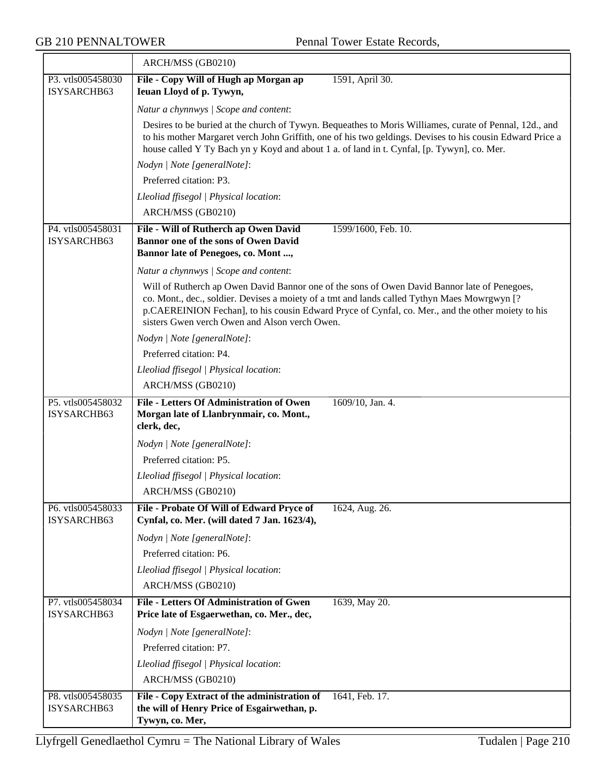$\equiv$ 

|                                  | ARCH/MSS (GB0210)                                                                                                                                                                                                                                                                                                                                  |
|----------------------------------|----------------------------------------------------------------------------------------------------------------------------------------------------------------------------------------------------------------------------------------------------------------------------------------------------------------------------------------------------|
| P3. vtls005458030<br>ISYSARCHB63 | File - Copy Will of Hugh ap Morgan ap<br>1591, April 30.<br>Ieuan Lloyd of p. Tywyn,                                                                                                                                                                                                                                                               |
|                                  | Natur a chynnwys / Scope and content:                                                                                                                                                                                                                                                                                                              |
|                                  | Desires to be buried at the church of Tywyn. Bequeathes to Moris Williames, curate of Pennal, 12d., and<br>to his mother Margaret verch John Griffith, one of his two geldings. Devises to his cousin Edward Price a<br>house called Y Ty Bach yn y Koyd and about 1 a. of land in t. Cynfal, [p. Tywyn], co. Mer.                                 |
|                                  | Nodyn   Note [generalNote]:                                                                                                                                                                                                                                                                                                                        |
|                                  | Preferred citation: P3.                                                                                                                                                                                                                                                                                                                            |
|                                  | Lleoliad ffisegol   Physical location:                                                                                                                                                                                                                                                                                                             |
|                                  | ARCH/MSS (GB0210)                                                                                                                                                                                                                                                                                                                                  |
| P4. vtls005458031<br>ISYSARCHB63 | 1599/1600, Feb. 10.<br>File - Will of Rutherch ap Owen David<br>Bannor one of the sons of Owen David<br>Bannor late of Penegoes, co. Mont,                                                                                                                                                                                                         |
|                                  | Natur a chynnwys / Scope and content:                                                                                                                                                                                                                                                                                                              |
|                                  | Will of Rutherch ap Owen David Bannor one of the sons of Owen David Bannor late of Penegoes,<br>co. Mont., dec., soldier. Devises a moiety of a tmt and lands called Tythyn Maes Mowrgwyn [?<br>p.CAEREINION Fechan], to his cousin Edward Pryce of Cynfal, co. Mer., and the other moiety to his<br>sisters Gwen verch Owen and Alson verch Owen. |
|                                  | Nodyn   Note [generalNote]:                                                                                                                                                                                                                                                                                                                        |
|                                  | Preferred citation: P4.                                                                                                                                                                                                                                                                                                                            |
|                                  | Lleoliad ffisegol   Physical location:                                                                                                                                                                                                                                                                                                             |
|                                  | ARCH/MSS (GB0210)                                                                                                                                                                                                                                                                                                                                  |
| P5. vtls005458032<br>ISYSARCHB63 | File - Letters Of Administration of Owen<br>1609/10, Jan. 4.<br>Morgan late of Llanbrynmair, co. Mont.,<br>clerk, dec,                                                                                                                                                                                                                             |
|                                  | Nodyn   Note [generalNote]:                                                                                                                                                                                                                                                                                                                        |
|                                  | Preferred citation: P5.                                                                                                                                                                                                                                                                                                                            |
|                                  | Lleoliad ffisegol   Physical location:                                                                                                                                                                                                                                                                                                             |
|                                  | ARCH/MSS (GB0210)                                                                                                                                                                                                                                                                                                                                  |
| P6. vtls005458033<br>ISYSARCHB63 | File - Probate Of Will of Edward Pryce of<br>1624, Aug. 26.<br>Cynfal, co. Mer. (will dated 7 Jan. 1623/4),                                                                                                                                                                                                                                        |
|                                  | Nodyn   Note [generalNote]:                                                                                                                                                                                                                                                                                                                        |
|                                  | Preferred citation: P6.                                                                                                                                                                                                                                                                                                                            |
|                                  | Lleoliad ffisegol   Physical location:                                                                                                                                                                                                                                                                                                             |
|                                  | ARCH/MSS (GB0210)                                                                                                                                                                                                                                                                                                                                  |
| P7. vtls005458034<br>ISYSARCHB63 | <b>File - Letters Of Administration of Gwen</b><br>1639, May 20.<br>Price late of Esgaerwethan, co. Mer., dec,                                                                                                                                                                                                                                     |
|                                  | Nodyn   Note [generalNote]:                                                                                                                                                                                                                                                                                                                        |
|                                  | Preferred citation: P7.                                                                                                                                                                                                                                                                                                                            |
|                                  | Lleoliad ffisegol   Physical location:                                                                                                                                                                                                                                                                                                             |
|                                  | ARCH/MSS (GB0210)                                                                                                                                                                                                                                                                                                                                  |
| P8. vtls005458035<br>ISYSARCHB63 | File - Copy Extract of the administration of<br>1641, Feb. 17.<br>the will of Henry Price of Esgairwethan, p.<br>Tywyn, co. Mer,                                                                                                                                                                                                                   |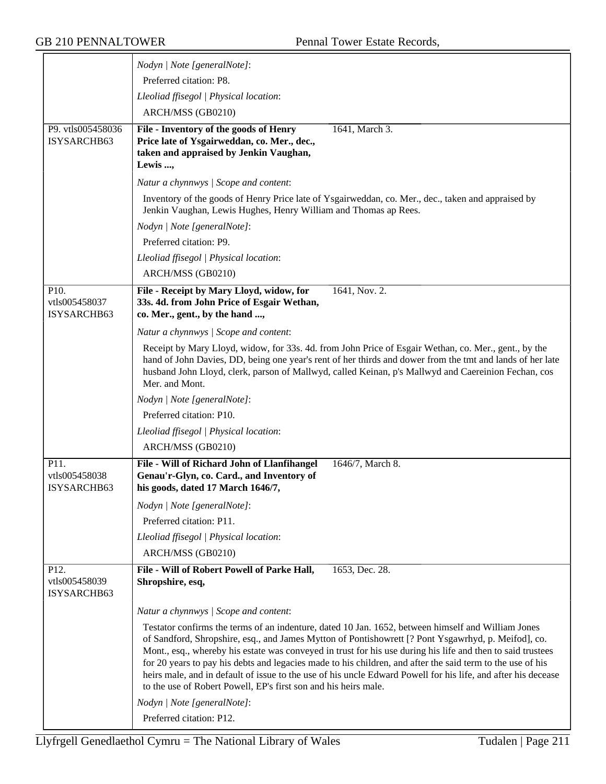|                                                   | Nodyn   Note [generalNote]:                                                                                                                                                                                                                                                                                                                                                                                                                                                                                                                                                                                                |
|---------------------------------------------------|----------------------------------------------------------------------------------------------------------------------------------------------------------------------------------------------------------------------------------------------------------------------------------------------------------------------------------------------------------------------------------------------------------------------------------------------------------------------------------------------------------------------------------------------------------------------------------------------------------------------------|
|                                                   | Preferred citation: P8.                                                                                                                                                                                                                                                                                                                                                                                                                                                                                                                                                                                                    |
|                                                   | Lleoliad ffisegol   Physical location:                                                                                                                                                                                                                                                                                                                                                                                                                                                                                                                                                                                     |
|                                                   | ARCH/MSS (GB0210)                                                                                                                                                                                                                                                                                                                                                                                                                                                                                                                                                                                                          |
| P9. vtls005458036<br>ISYSARCHB63                  | File - Inventory of the goods of Henry<br>1641, March 3.<br>Price late of Ysgairweddan, co. Mer., dec.,<br>taken and appraised by Jenkin Vaughan,<br>Lewis ,                                                                                                                                                                                                                                                                                                                                                                                                                                                               |
|                                                   | Natur a chynnwys / Scope and content:                                                                                                                                                                                                                                                                                                                                                                                                                                                                                                                                                                                      |
|                                                   | Inventory of the goods of Henry Price late of Ysgairweddan, co. Mer., dec., taken and appraised by<br>Jenkin Vaughan, Lewis Hughes, Henry William and Thomas ap Rees.                                                                                                                                                                                                                                                                                                                                                                                                                                                      |
|                                                   | Nodyn   Note [generalNote]:                                                                                                                                                                                                                                                                                                                                                                                                                                                                                                                                                                                                |
|                                                   | Preferred citation: P9.                                                                                                                                                                                                                                                                                                                                                                                                                                                                                                                                                                                                    |
|                                                   | Lleoliad ffisegol   Physical location:                                                                                                                                                                                                                                                                                                                                                                                                                                                                                                                                                                                     |
|                                                   | ARCH/MSS (GB0210)                                                                                                                                                                                                                                                                                                                                                                                                                                                                                                                                                                                                          |
| P10.<br>vtls005458037<br>ISYSARCHB63              | File - Receipt by Mary Lloyd, widow, for<br>1641, Nov. 2.<br>33s. 4d. from John Price of Esgair Wethan,<br>co. Mer., gent., by the hand ,                                                                                                                                                                                                                                                                                                                                                                                                                                                                                  |
|                                                   | Natur a chynnwys / Scope and content:                                                                                                                                                                                                                                                                                                                                                                                                                                                                                                                                                                                      |
|                                                   | Receipt by Mary Lloyd, widow, for 33s. 4d. from John Price of Esgair Wethan, co. Mer., gent., by the<br>hand of John Davies, DD, being one year's rent of her thirds and dower from the tmt and lands of her late<br>husband John Lloyd, clerk, parson of Mallwyd, called Keinan, p's Mallwyd and Caereinion Fechan, cos<br>Mer. and Mont.                                                                                                                                                                                                                                                                                 |
|                                                   | Nodyn   Note [generalNote]:                                                                                                                                                                                                                                                                                                                                                                                                                                                                                                                                                                                                |
|                                                   | Preferred citation: P10.                                                                                                                                                                                                                                                                                                                                                                                                                                                                                                                                                                                                   |
|                                                   | Lleoliad ffisegol   Physical location:                                                                                                                                                                                                                                                                                                                                                                                                                                                                                                                                                                                     |
|                                                   | ARCH/MSS (GB0210)                                                                                                                                                                                                                                                                                                                                                                                                                                                                                                                                                                                                          |
| P11.<br>vtls005458038<br>ISYSARCHB63              | File - Will of Richard John of Llanfihangel<br>1646/7, March 8.<br>Genau'r-Glyn, co. Card., and Inventory of<br>his goods, dated 17 March 1646/7,                                                                                                                                                                                                                                                                                                                                                                                                                                                                          |
|                                                   | Nodyn   Note [generalNote]:                                                                                                                                                                                                                                                                                                                                                                                                                                                                                                                                                                                                |
|                                                   | Preferred citation: P11.                                                                                                                                                                                                                                                                                                                                                                                                                                                                                                                                                                                                   |
|                                                   | Lleoliad ffisegol   Physical location:                                                                                                                                                                                                                                                                                                                                                                                                                                                                                                                                                                                     |
|                                                   | ARCH/MSS (GB0210)                                                                                                                                                                                                                                                                                                                                                                                                                                                                                                                                                                                                          |
| P <sub>12</sub> .<br>vtls005458039<br>ISYSARCHB63 | File - Will of Robert Powell of Parke Hall,<br>1653, Dec. 28.<br>Shropshire, esq,                                                                                                                                                                                                                                                                                                                                                                                                                                                                                                                                          |
|                                                   | Natur a chynnwys / Scope and content:                                                                                                                                                                                                                                                                                                                                                                                                                                                                                                                                                                                      |
|                                                   | Testator confirms the terms of an indenture, dated 10 Jan. 1652, between himself and William Jones<br>of Sandford, Shropshire, esq., and James Mytton of Pontishowrett [? Pont Ysgawrhyd, p. Meifod], co.<br>Mont., esq., whereby his estate was conveyed in trust for his use during his life and then to said trustees<br>for 20 years to pay his debts and legacies made to his children, and after the said term to the use of his<br>heirs male, and in default of issue to the use of his uncle Edward Powell for his life, and after his decease<br>to the use of Robert Powell, EP's first son and his heirs male. |
|                                                   | Nodyn   Note [generalNote]:                                                                                                                                                                                                                                                                                                                                                                                                                                                                                                                                                                                                |
|                                                   | Preferred citation: P12.                                                                                                                                                                                                                                                                                                                                                                                                                                                                                                                                                                                                   |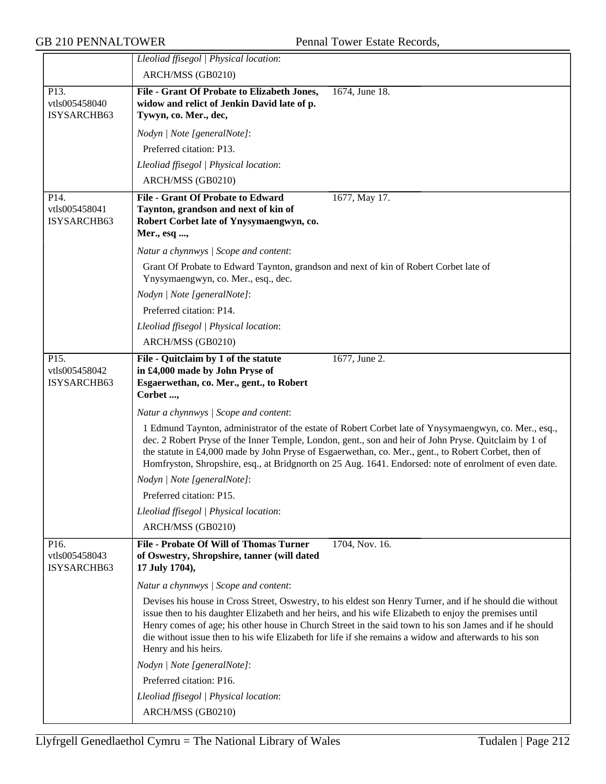|                                                   | Lleoliad ffisegol   Physical location:                                                                                                                                                                                                                                                                                                                                                                                                                           |
|---------------------------------------------------|------------------------------------------------------------------------------------------------------------------------------------------------------------------------------------------------------------------------------------------------------------------------------------------------------------------------------------------------------------------------------------------------------------------------------------------------------------------|
|                                                   | ARCH/MSS (GB0210)                                                                                                                                                                                                                                                                                                                                                                                                                                                |
| P13.                                              | File - Grant Of Probate to Elizabeth Jones,<br>1674, June 18.                                                                                                                                                                                                                                                                                                                                                                                                    |
| vtls005458040<br>ISYSARCHB63                      | widow and relict of Jenkin David late of p.<br>Tywyn, co. Mer., dec,                                                                                                                                                                                                                                                                                                                                                                                             |
|                                                   | Nodyn   Note [generalNote]:                                                                                                                                                                                                                                                                                                                                                                                                                                      |
|                                                   | Preferred citation: P13.                                                                                                                                                                                                                                                                                                                                                                                                                                         |
|                                                   | Lleoliad ffisegol   Physical location:                                                                                                                                                                                                                                                                                                                                                                                                                           |
|                                                   | ARCH/MSS (GB0210)                                                                                                                                                                                                                                                                                                                                                                                                                                                |
| P <sub>14</sub> .<br>vtls005458041<br>ISYSARCHB63 | <b>File - Grant Of Probate to Edward</b><br>1677, May 17.<br>Taynton, grandson and next of kin of<br>Robert Corbet late of Ynysymaengwyn, co.<br>Mer., esq ,                                                                                                                                                                                                                                                                                                     |
|                                                   | Natur a chynnwys / Scope and content:                                                                                                                                                                                                                                                                                                                                                                                                                            |
|                                                   | Grant Of Probate to Edward Taynton, grandson and next of kin of Robert Corbet late of<br>Ynysymaengwyn, co. Mer., esq., dec.<br>Nodyn   Note [generalNote]:                                                                                                                                                                                                                                                                                                      |
|                                                   | Preferred citation: P14.                                                                                                                                                                                                                                                                                                                                                                                                                                         |
|                                                   | Lleoliad ffisegol   Physical location:                                                                                                                                                                                                                                                                                                                                                                                                                           |
|                                                   | ARCH/MSS (GB0210)                                                                                                                                                                                                                                                                                                                                                                                                                                                |
| P15.<br>vtls005458042<br>ISYSARCHB63              | File - Quitclaim by 1 of the statute<br>$1677$ , June 2.<br>in £4,000 made by John Pryse of<br>Esgaerwethan, co. Mer., gent., to Robert<br>Corbet ,                                                                                                                                                                                                                                                                                                              |
|                                                   | Natur a chynnwys / Scope and content:                                                                                                                                                                                                                                                                                                                                                                                                                            |
|                                                   | 1 Edmund Taynton, administrator of the estate of Robert Corbet late of Ynysymaengwyn, co. Mer., esq.,<br>dec. 2 Robert Pryse of the Inner Temple, London, gent., son and heir of John Pryse. Quitclaim by 1 of<br>the statute in £4,000 made by John Pryse of Esgaerwethan, co. Mer., gent., to Robert Corbet, then of<br>Homfryston, Shropshire, esq., at Bridgnorth on 25 Aug. 1641. Endorsed: note of enrolment of even date.                                 |
|                                                   | Nodyn   Note [generalNote]:                                                                                                                                                                                                                                                                                                                                                                                                                                      |
|                                                   | Preferred citation: P15.                                                                                                                                                                                                                                                                                                                                                                                                                                         |
|                                                   | Lleoliad ffisegol   Physical location:                                                                                                                                                                                                                                                                                                                                                                                                                           |
|                                                   | ARCH/MSS (GB0210)                                                                                                                                                                                                                                                                                                                                                                                                                                                |
| P16.<br>vtls005458043<br>ISYSARCHB63              | <b>File - Probate Of Will of Thomas Turner</b><br>1704, Nov. 16.<br>of Oswestry, Shropshire, tanner (will dated<br>17 July 1704),                                                                                                                                                                                                                                                                                                                                |
|                                                   | Natur a chynnwys / Scope and content:                                                                                                                                                                                                                                                                                                                                                                                                                            |
|                                                   | Devises his house in Cross Street, Oswestry, to his eldest son Henry Turner, and if he should die without<br>issue then to his daughter Elizabeth and her heirs, and his wife Elizabeth to enjoy the premises until<br>Henry comes of age; his other house in Church Street in the said town to his son James and if he should<br>die without issue then to his wife Elizabeth for life if she remains a widow and afterwards to his son<br>Henry and his heirs. |
|                                                   | Nodyn   Note [generalNote]:                                                                                                                                                                                                                                                                                                                                                                                                                                      |
|                                                   | Preferred citation: P16.                                                                                                                                                                                                                                                                                                                                                                                                                                         |
|                                                   | Lleoliad ffisegol   Physical location:                                                                                                                                                                                                                                                                                                                                                                                                                           |
|                                                   | ARCH/MSS (GB0210)                                                                                                                                                                                                                                                                                                                                                                                                                                                |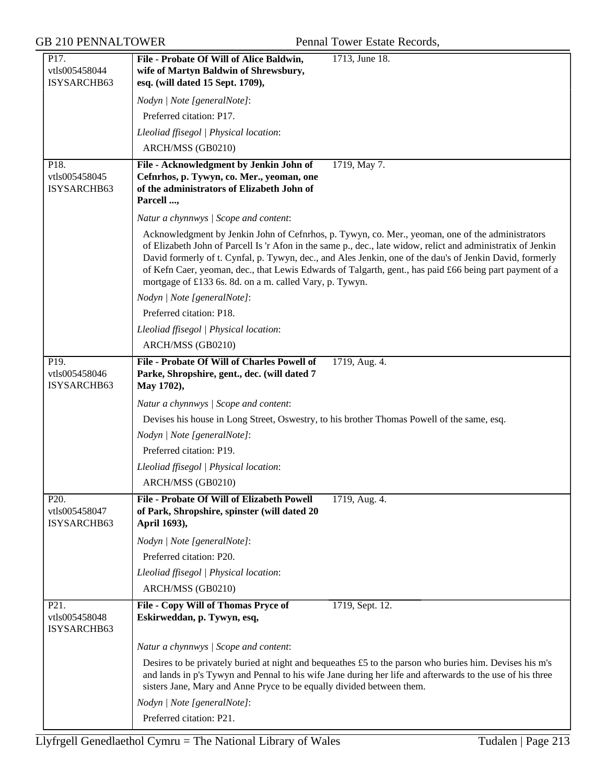| P17.<br>vtls005458044<br>ISYSARCHB63              | 1713, June 18.<br>File - Probate Of Will of Alice Baldwin,<br>wife of Martyn Baldwin of Shrewsbury,<br>esq. (will dated 15 Sept. 1709),                                                                                                                                                                                                                                                                                                                                                            |
|---------------------------------------------------|----------------------------------------------------------------------------------------------------------------------------------------------------------------------------------------------------------------------------------------------------------------------------------------------------------------------------------------------------------------------------------------------------------------------------------------------------------------------------------------------------|
|                                                   | Nodyn   Note [generalNote]:                                                                                                                                                                                                                                                                                                                                                                                                                                                                        |
|                                                   | Preferred citation: P17.                                                                                                                                                                                                                                                                                                                                                                                                                                                                           |
|                                                   | Lleoliad ffisegol   Physical location:                                                                                                                                                                                                                                                                                                                                                                                                                                                             |
|                                                   | ARCH/MSS (GB0210)                                                                                                                                                                                                                                                                                                                                                                                                                                                                                  |
| P18.<br>vtls005458045<br>ISYSARCHB63              | File - Acknowledgment by Jenkin John of<br>1719, May 7.<br>Cefnrhos, p. Tywyn, co. Mer., yeoman, one<br>of the administrators of Elizabeth John of<br>Parcell ,                                                                                                                                                                                                                                                                                                                                    |
|                                                   | Natur a chynnwys / Scope and content:                                                                                                                                                                                                                                                                                                                                                                                                                                                              |
|                                                   | Acknowledgment by Jenkin John of Cefnrhos, p. Tywyn, co. Mer., yeoman, one of the administrators<br>of Elizabeth John of Parcell Is 'r Afon in the same p., dec., late widow, relict and administratix of Jenkin<br>David formerly of t. Cynfal, p. Tywyn, dec., and Ales Jenkin, one of the dau's of Jenkin David, formerly<br>of Kefn Caer, yeoman, dec., that Lewis Edwards of Talgarth, gent., has paid £66 being part payment of a<br>mortgage of £133 6s. 8d. on a m. called Vary, p. Tywyn. |
|                                                   | Nodyn   Note [generalNote]:                                                                                                                                                                                                                                                                                                                                                                                                                                                                        |
|                                                   | Preferred citation: P18.                                                                                                                                                                                                                                                                                                                                                                                                                                                                           |
|                                                   | Lleoliad ffisegol   Physical location:                                                                                                                                                                                                                                                                                                                                                                                                                                                             |
|                                                   | ARCH/MSS (GB0210)                                                                                                                                                                                                                                                                                                                                                                                                                                                                                  |
| P <sub>19</sub> .<br>vtls005458046<br>ISYSARCHB63 | File - Probate Of Will of Charles Powell of<br>1719, Aug. 4.<br>Parke, Shropshire, gent., dec. (will dated 7<br>May 1702),                                                                                                                                                                                                                                                                                                                                                                         |
|                                                   | Natur a chynnwys / Scope and content:                                                                                                                                                                                                                                                                                                                                                                                                                                                              |
|                                                   | Devises his house in Long Street, Oswestry, to his brother Thomas Powell of the same, esq.                                                                                                                                                                                                                                                                                                                                                                                                         |
|                                                   | Nodyn   Note [generalNote]:                                                                                                                                                                                                                                                                                                                                                                                                                                                                        |
|                                                   | Preferred citation: P19.                                                                                                                                                                                                                                                                                                                                                                                                                                                                           |
|                                                   | Lleoliad ffisegol   Physical location:                                                                                                                                                                                                                                                                                                                                                                                                                                                             |
|                                                   | ARCH/MSS (GB0210)                                                                                                                                                                                                                                                                                                                                                                                                                                                                                  |
| P20.<br>vtls005458047<br>ISYSARCHB63              | File - Probate Of Will of Elizabeth Powell<br>1719, Aug. 4.<br>of Park, Shropshire, spinster (will dated 20<br>April 1693),                                                                                                                                                                                                                                                                                                                                                                        |
|                                                   | Nodyn   Note [generalNote]:                                                                                                                                                                                                                                                                                                                                                                                                                                                                        |
|                                                   | Preferred citation: P20.                                                                                                                                                                                                                                                                                                                                                                                                                                                                           |
|                                                   | Lleoliad ffisegol   Physical location:                                                                                                                                                                                                                                                                                                                                                                                                                                                             |
|                                                   | ARCH/MSS (GB0210)                                                                                                                                                                                                                                                                                                                                                                                                                                                                                  |
| P21.<br>vtls005458048<br>ISYSARCHB63              | File - Copy Will of Thomas Pryce of<br>1719, Sept. 12.<br>Eskirweddan, p. Tywyn, esq,                                                                                                                                                                                                                                                                                                                                                                                                              |
|                                                   | Natur a chynnwys / Scope and content:                                                                                                                                                                                                                                                                                                                                                                                                                                                              |
|                                                   | Desires to be privately buried at night and bequeathes £5 to the parson who buries him. Devises his m's<br>and lands in p's Tywyn and Pennal to his wife Jane during her life and afterwards to the use of his three<br>sisters Jane, Mary and Anne Pryce to be equally divided between them.                                                                                                                                                                                                      |
|                                                   | Nodyn   Note [generalNote]:                                                                                                                                                                                                                                                                                                                                                                                                                                                                        |
|                                                   | Preferred citation: P21.                                                                                                                                                                                                                                                                                                                                                                                                                                                                           |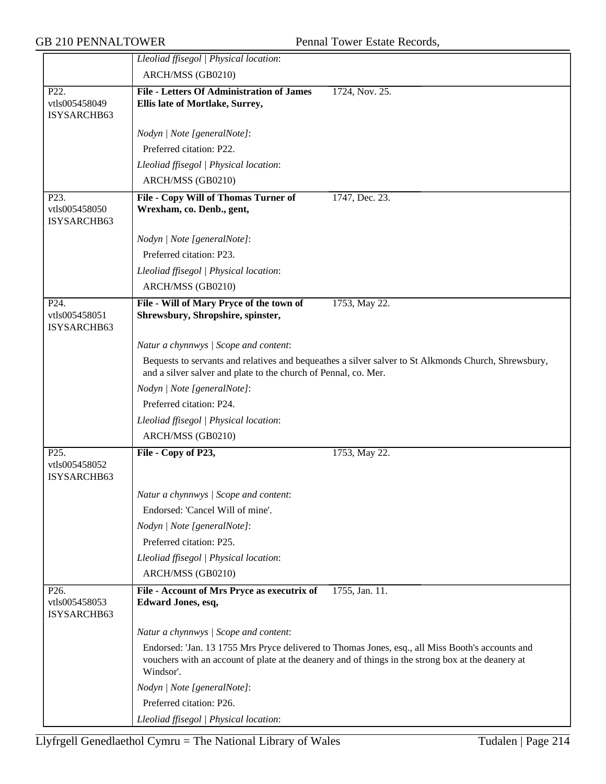|                                                   | Lleoliad ffisegol   Physical location:                                        |                                                                                                                                                                                                        |
|---------------------------------------------------|-------------------------------------------------------------------------------|--------------------------------------------------------------------------------------------------------------------------------------------------------------------------------------------------------|
|                                                   | ARCH/MSS (GB0210)                                                             |                                                                                                                                                                                                        |
| P22.                                              | <b>File - Letters Of Administration of James</b>                              | 1724, Nov. 25.                                                                                                                                                                                         |
| vtls005458049                                     | Ellis late of Mortlake, Surrey,                                               |                                                                                                                                                                                                        |
| ISYSARCHB63                                       |                                                                               |                                                                                                                                                                                                        |
|                                                   | Nodyn   Note [generalNote]:                                                   |                                                                                                                                                                                                        |
|                                                   | Preferred citation: P22.                                                      |                                                                                                                                                                                                        |
|                                                   | Lleoliad ffisegol   Physical location:                                        |                                                                                                                                                                                                        |
|                                                   | ARCH/MSS (GB0210)                                                             |                                                                                                                                                                                                        |
| P <sub>23</sub> .                                 | File - Copy Will of Thomas Turner of                                          | 1747, Dec. 23.                                                                                                                                                                                         |
| vtls005458050<br>ISYSARCHB63                      | Wrexham, co. Denb., gent,                                                     |                                                                                                                                                                                                        |
|                                                   | Nodyn   Note [generalNote]:                                                   |                                                                                                                                                                                                        |
|                                                   | Preferred citation: P23.                                                      |                                                                                                                                                                                                        |
|                                                   | Lleoliad ffisegol   Physical location:                                        |                                                                                                                                                                                                        |
|                                                   | ARCH/MSS (GB0210)                                                             |                                                                                                                                                                                                        |
| P <sub>24</sub> .<br>vtls005458051<br>ISYSARCHB63 | File - Will of Mary Pryce of the town of<br>Shrewsbury, Shropshire, spinster, | 1753, May 22.                                                                                                                                                                                          |
|                                                   | Natur a chynnwys / Scope and content:                                         |                                                                                                                                                                                                        |
|                                                   | and a silver salver and plate to the church of Pennal, co. Mer.               | Bequests to servants and relatives and bequeathes a silver salver to St Alkmonds Church, Shrewsbury,                                                                                                   |
|                                                   | Nodyn   Note [generalNote]:                                                   |                                                                                                                                                                                                        |
|                                                   | Preferred citation: P24.                                                      |                                                                                                                                                                                                        |
|                                                   | Lleoliad ffisegol   Physical location:                                        |                                                                                                                                                                                                        |
|                                                   | ARCH/MSS (GB0210)                                                             |                                                                                                                                                                                                        |
| P <sub>25</sub> .                                 | File - Copy of P23,                                                           | 1753, May 22.                                                                                                                                                                                          |
| vtls005458052<br>ISYSARCHB63                      |                                                                               |                                                                                                                                                                                                        |
|                                                   | Natur a chynnwys / Scope and content:                                         |                                                                                                                                                                                                        |
|                                                   | Endorsed: 'Cancel Will of mine'.                                              |                                                                                                                                                                                                        |
|                                                   | Nodyn   Note [generalNote]:                                                   |                                                                                                                                                                                                        |
|                                                   | Preferred citation: P25.                                                      |                                                                                                                                                                                                        |
|                                                   | Lleoliad ffisegol   Physical location:                                        |                                                                                                                                                                                                        |
|                                                   | ARCH/MSS (GB0210)                                                             |                                                                                                                                                                                                        |
| P <sub>26</sub> .                                 | File - Account of Mrs Pryce as executrix of                                   | 1755, Jan. 11.                                                                                                                                                                                         |
| vtls005458053<br>ISYSARCHB63                      | <b>Edward Jones, esq,</b>                                                     |                                                                                                                                                                                                        |
|                                                   | Natur a chynnwys / Scope and content:                                         |                                                                                                                                                                                                        |
|                                                   | Windsor'.                                                                     | Endorsed: 'Jan. 13 1755 Mrs Pryce delivered to Thomas Jones, esq., all Miss Booth's accounts and<br>vouchers with an account of plate at the deanery and of things in the strong box at the deanery at |
|                                                   | Nodyn   Note [generalNote]:                                                   |                                                                                                                                                                                                        |
|                                                   | Preferred citation: P26.                                                      |                                                                                                                                                                                                        |
|                                                   | Lleoliad ffisegol   Physical location:                                        |                                                                                                                                                                                                        |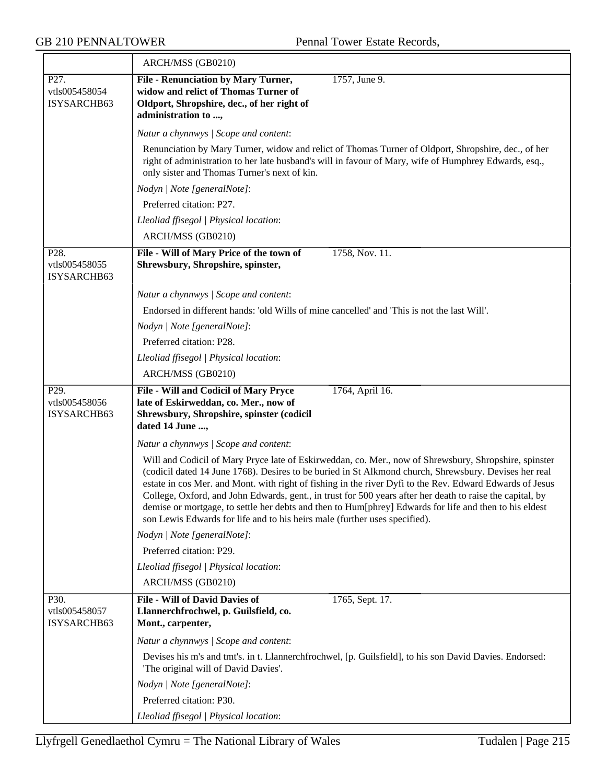|                                                   | ARCH/MSS (GB0210)                                                                                                                                                                                                                                                                                                                                                                                                                                                                                                                                                                                                               |
|---------------------------------------------------|---------------------------------------------------------------------------------------------------------------------------------------------------------------------------------------------------------------------------------------------------------------------------------------------------------------------------------------------------------------------------------------------------------------------------------------------------------------------------------------------------------------------------------------------------------------------------------------------------------------------------------|
| P27.<br>vtls005458054<br>ISYSARCHB63              | <b>File - Renunciation by Mary Turner,</b><br>1757, June 9.<br>widow and relict of Thomas Turner of<br>Oldport, Shropshire, dec., of her right of<br>administration to ,                                                                                                                                                                                                                                                                                                                                                                                                                                                        |
|                                                   | Natur a chynnwys / Scope and content:                                                                                                                                                                                                                                                                                                                                                                                                                                                                                                                                                                                           |
|                                                   | Renunciation by Mary Turner, widow and relict of Thomas Turner of Oldport, Shropshire, dec., of her<br>right of administration to her late husband's will in favour of Mary, wife of Humphrey Edwards, esq.,<br>only sister and Thomas Turner's next of kin.                                                                                                                                                                                                                                                                                                                                                                    |
|                                                   | Nodyn   Note [generalNote]:                                                                                                                                                                                                                                                                                                                                                                                                                                                                                                                                                                                                     |
|                                                   | Preferred citation: P27.                                                                                                                                                                                                                                                                                                                                                                                                                                                                                                                                                                                                        |
|                                                   | Lleoliad ffisegol   Physical location:                                                                                                                                                                                                                                                                                                                                                                                                                                                                                                                                                                                          |
|                                                   | ARCH/MSS (GB0210)                                                                                                                                                                                                                                                                                                                                                                                                                                                                                                                                                                                                               |
| P28.<br>vtls005458055<br>ISYSARCHB63              | File - Will of Mary Price of the town of<br>1758, Nov. 11.<br>Shrewsbury, Shropshire, spinster,                                                                                                                                                                                                                                                                                                                                                                                                                                                                                                                                 |
|                                                   | Natur a chynnwys / Scope and content:                                                                                                                                                                                                                                                                                                                                                                                                                                                                                                                                                                                           |
|                                                   | Endorsed in different hands: 'old Wills of mine cancelled' and 'This is not the last Will'.                                                                                                                                                                                                                                                                                                                                                                                                                                                                                                                                     |
|                                                   | Nodyn   Note [generalNote]:                                                                                                                                                                                                                                                                                                                                                                                                                                                                                                                                                                                                     |
|                                                   | Preferred citation: P28.                                                                                                                                                                                                                                                                                                                                                                                                                                                                                                                                                                                                        |
|                                                   | Lleoliad ffisegol   Physical location:                                                                                                                                                                                                                                                                                                                                                                                                                                                                                                                                                                                          |
|                                                   | ARCH/MSS (GB0210)                                                                                                                                                                                                                                                                                                                                                                                                                                                                                                                                                                                                               |
| P <sub>29</sub> .<br>vtls005458056<br>ISYSARCHB63 | File - Will and Codicil of Mary Pryce<br>1764, April 16.<br>late of Eskirweddan, co. Mer., now of<br>Shrewsbury, Shropshire, spinster (codicil<br>dated 14 June ,                                                                                                                                                                                                                                                                                                                                                                                                                                                               |
|                                                   | Natur a chynnwys / Scope and content:                                                                                                                                                                                                                                                                                                                                                                                                                                                                                                                                                                                           |
|                                                   | Will and Codicil of Mary Pryce late of Eskirweddan, co. Mer., now of Shrewsbury, Shropshire, spinster<br>(codicil dated 14 June 1768). Desires to be buried in St Alkmond church, Shrewsbury. Devises her real<br>estate in cos Mer. and Mont. with right of fishing in the river Dyfi to the Rev. Edward Edwards of Jesus<br>College, Oxford, and John Edwards, gent., in trust for 500 years after her death to raise the capital, by<br>demise or mortgage, to settle her debts and then to Hum[phrey] Edwards for life and then to his eldest<br>son Lewis Edwards for life and to his heirs male (further uses specified). |
|                                                   | Nodyn   Note [generalNote]:                                                                                                                                                                                                                                                                                                                                                                                                                                                                                                                                                                                                     |
|                                                   | Preferred citation: P29.                                                                                                                                                                                                                                                                                                                                                                                                                                                                                                                                                                                                        |
|                                                   | Lleoliad ffisegol   Physical location:                                                                                                                                                                                                                                                                                                                                                                                                                                                                                                                                                                                          |
|                                                   | ARCH/MSS (GB0210)                                                                                                                                                                                                                                                                                                                                                                                                                                                                                                                                                                                                               |
| P30.<br>vtls005458057<br>ISYSARCHB63              | <b>File - Will of David Davies of</b><br>1765, Sept. 17.<br>Llannerchfrochwel, p. Guilsfield, co.<br>Mont., carpenter,                                                                                                                                                                                                                                                                                                                                                                                                                                                                                                          |
|                                                   | Natur a chynnwys / Scope and content:                                                                                                                                                                                                                                                                                                                                                                                                                                                                                                                                                                                           |
|                                                   | Devises his m's and tmt's. in t. Llannerchfrochwel, [p. Guilsfield], to his son David Davies. Endorsed:<br>'The original will of David Davies'.                                                                                                                                                                                                                                                                                                                                                                                                                                                                                 |
|                                                   | Nodyn   Note [generalNote]:                                                                                                                                                                                                                                                                                                                                                                                                                                                                                                                                                                                                     |
|                                                   | Preferred citation: P30.                                                                                                                                                                                                                                                                                                                                                                                                                                                                                                                                                                                                        |
|                                                   | Lleoliad ffisegol   Physical location:                                                                                                                                                                                                                                                                                                                                                                                                                                                                                                                                                                                          |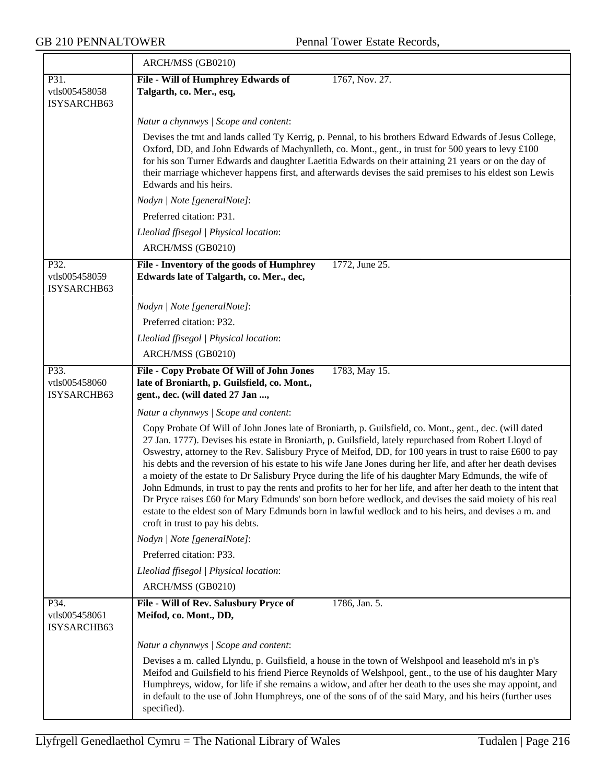$\overline{\phantom{0}}$ 

|                                      | ARCH/MSS (GB0210)                                                                                                                                                                                                                                                                                                                                                                                                                                                                                                                                                                                                                                                                                                                                                                                                                                                                                                                      |
|--------------------------------------|----------------------------------------------------------------------------------------------------------------------------------------------------------------------------------------------------------------------------------------------------------------------------------------------------------------------------------------------------------------------------------------------------------------------------------------------------------------------------------------------------------------------------------------------------------------------------------------------------------------------------------------------------------------------------------------------------------------------------------------------------------------------------------------------------------------------------------------------------------------------------------------------------------------------------------------|
| P31.<br>vtls005458058<br>ISYSARCHB63 | File - Will of Humphrey Edwards of<br>1767, Nov. 27.<br>Talgarth, co. Mer., esq,                                                                                                                                                                                                                                                                                                                                                                                                                                                                                                                                                                                                                                                                                                                                                                                                                                                       |
|                                      | Natur a chynnwys / Scope and content:                                                                                                                                                                                                                                                                                                                                                                                                                                                                                                                                                                                                                                                                                                                                                                                                                                                                                                  |
|                                      | Devises the tmt and lands called Ty Kerrig, p. Pennal, to his brothers Edward Edwards of Jesus College,<br>Oxford, DD, and John Edwards of Machynlleth, co. Mont., gent., in trust for 500 years to levy £100<br>for his son Turner Edwards and daughter Laetitia Edwards on their attaining 21 years or on the day of<br>their marriage whichever happens first, and afterwards devises the said premises to his eldest son Lewis<br>Edwards and his heirs.                                                                                                                                                                                                                                                                                                                                                                                                                                                                           |
|                                      | Nodyn   Note [generalNote]:                                                                                                                                                                                                                                                                                                                                                                                                                                                                                                                                                                                                                                                                                                                                                                                                                                                                                                            |
|                                      | Preferred citation: P31.                                                                                                                                                                                                                                                                                                                                                                                                                                                                                                                                                                                                                                                                                                                                                                                                                                                                                                               |
|                                      | Lleoliad ffisegol   Physical location:                                                                                                                                                                                                                                                                                                                                                                                                                                                                                                                                                                                                                                                                                                                                                                                                                                                                                                 |
|                                      | ARCH/MSS (GB0210)                                                                                                                                                                                                                                                                                                                                                                                                                                                                                                                                                                                                                                                                                                                                                                                                                                                                                                                      |
| P32.<br>vtls005458059<br>ISYSARCHB63 | 1772, June 25.<br>File - Inventory of the goods of Humphrey<br>Edwards late of Talgarth, co. Mer., dec,                                                                                                                                                                                                                                                                                                                                                                                                                                                                                                                                                                                                                                                                                                                                                                                                                                |
|                                      | Nodyn   Note [generalNote]:                                                                                                                                                                                                                                                                                                                                                                                                                                                                                                                                                                                                                                                                                                                                                                                                                                                                                                            |
|                                      | Preferred citation: P32.                                                                                                                                                                                                                                                                                                                                                                                                                                                                                                                                                                                                                                                                                                                                                                                                                                                                                                               |
|                                      | Lleoliad ffisegol   Physical location:                                                                                                                                                                                                                                                                                                                                                                                                                                                                                                                                                                                                                                                                                                                                                                                                                                                                                                 |
|                                      | ARCH/MSS (GB0210)                                                                                                                                                                                                                                                                                                                                                                                                                                                                                                                                                                                                                                                                                                                                                                                                                                                                                                                      |
| P33.<br>vtls005458060<br>ISYSARCHB63 | 1783, May 15.<br>File - Copy Probate Of Will of John Jones<br>late of Broniarth, p. Guilsfield, co. Mont.,<br>gent., dec. (will dated 27 Jan ,                                                                                                                                                                                                                                                                                                                                                                                                                                                                                                                                                                                                                                                                                                                                                                                         |
|                                      | Natur a chynnwys / Scope and content:                                                                                                                                                                                                                                                                                                                                                                                                                                                                                                                                                                                                                                                                                                                                                                                                                                                                                                  |
|                                      | Copy Probate Of Will of John Jones late of Broniarth, p. Guilsfield, co. Mont., gent., dec. (will dated<br>27 Jan. 1777). Devises his estate in Broniarth, p. Guilsfield, lately repurchased from Robert Lloyd of<br>Oswestry, attorney to the Rev. Salisbury Pryce of Meifod, DD, for 100 years in trust to raise £600 to pay<br>his debts and the reversion of his estate to his wife Jane Jones during her life, and after her death devises<br>a moiety of the estate to Dr Salisbury Pryce during the life of his daughter Mary Edmunds, the wife of<br>John Edmunds, in trust to pay the rents and profits to her for her life, and after her death to the intent that<br>Dr Pryce raises $£60$ for Mary Edmunds' son born before wedlock, and devises the said moiety of his real<br>estate to the eldest son of Mary Edmunds born in lawful wedlock and to his heirs, and devises a m. and<br>croft in trust to pay his debts. |
|                                      | Nodyn   Note [generalNote]:                                                                                                                                                                                                                                                                                                                                                                                                                                                                                                                                                                                                                                                                                                                                                                                                                                                                                                            |
|                                      | Preferred citation: P33.                                                                                                                                                                                                                                                                                                                                                                                                                                                                                                                                                                                                                                                                                                                                                                                                                                                                                                               |
|                                      | Lleoliad ffisegol   Physical location:                                                                                                                                                                                                                                                                                                                                                                                                                                                                                                                                                                                                                                                                                                                                                                                                                                                                                                 |
|                                      | ARCH/MSS (GB0210)                                                                                                                                                                                                                                                                                                                                                                                                                                                                                                                                                                                                                                                                                                                                                                                                                                                                                                                      |
| P34.<br>vtls005458061<br>ISYSARCHB63 | 1786, Jan. 5.<br>File - Will of Rev. Salusbury Pryce of<br>Meifod, co. Mont., DD,                                                                                                                                                                                                                                                                                                                                                                                                                                                                                                                                                                                                                                                                                                                                                                                                                                                      |
|                                      | Natur a chynnwys / Scope and content:                                                                                                                                                                                                                                                                                                                                                                                                                                                                                                                                                                                                                                                                                                                                                                                                                                                                                                  |
|                                      | Devises a m. called Llyndu, p. Guilsfield, a house in the town of Welshpool and leasehold m's in p's<br>Meifod and Guilsfield to his friend Pierce Reynolds of Welshpool, gent., to the use of his daughter Mary<br>Humphreys, widow, for life if she remains a widow, and after her death to the uses she may appoint, and<br>in default to the use of John Humphreys, one of the sons of of the said Mary, and his heirs (further uses<br>specified).                                                                                                                                                                                                                                                                                                                                                                                                                                                                                |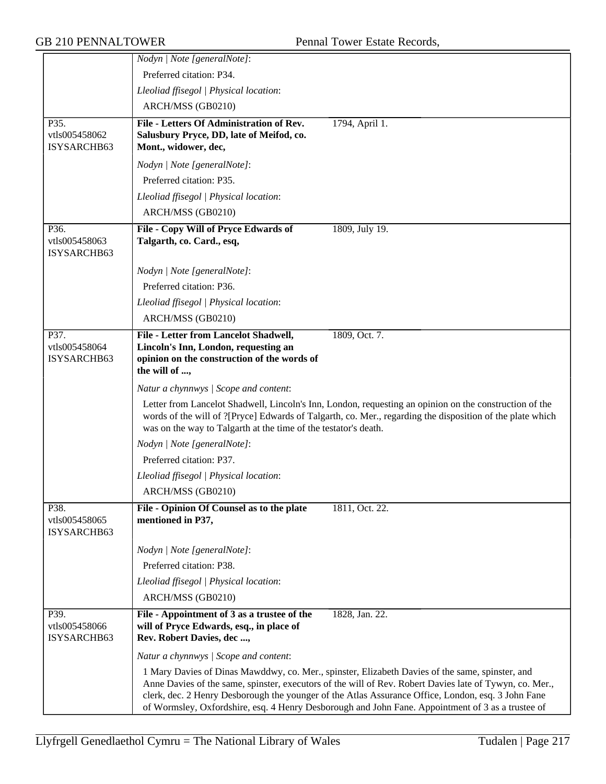|                                      | Nodyn   Note [generalNote]:                                                                                                                                                                                                                                                                                                                                                                                           |
|--------------------------------------|-----------------------------------------------------------------------------------------------------------------------------------------------------------------------------------------------------------------------------------------------------------------------------------------------------------------------------------------------------------------------------------------------------------------------|
|                                      | Preferred citation: P34.                                                                                                                                                                                                                                                                                                                                                                                              |
|                                      | Lleoliad ffisegol   Physical location:                                                                                                                                                                                                                                                                                                                                                                                |
|                                      | ARCH/MSS (GB0210)                                                                                                                                                                                                                                                                                                                                                                                                     |
| P35.<br>vtls005458062<br>ISYSARCHB63 | File - Letters Of Administration of Rev.<br>1794, April 1.<br>Salusbury Pryce, DD, late of Meifod, co.<br>Mont., widower, dec,                                                                                                                                                                                                                                                                                        |
|                                      | Nodyn   Note [generalNote]:                                                                                                                                                                                                                                                                                                                                                                                           |
|                                      | Preferred citation: P35.                                                                                                                                                                                                                                                                                                                                                                                              |
|                                      | Lleoliad ffisegol   Physical location:                                                                                                                                                                                                                                                                                                                                                                                |
|                                      | ARCH/MSS (GB0210)                                                                                                                                                                                                                                                                                                                                                                                                     |
| P36.<br>vtls005458063<br>ISYSARCHB63 | 1809, July 19.<br>File - Copy Will of Pryce Edwards of<br>Talgarth, co. Card., esq,                                                                                                                                                                                                                                                                                                                                   |
|                                      | Nodyn   Note [generalNote]:                                                                                                                                                                                                                                                                                                                                                                                           |
|                                      | Preferred citation: P36.                                                                                                                                                                                                                                                                                                                                                                                              |
|                                      | Lleoliad ffisegol   Physical location:                                                                                                                                                                                                                                                                                                                                                                                |
|                                      | ARCH/MSS (GB0210)                                                                                                                                                                                                                                                                                                                                                                                                     |
| P37.<br>vtls005458064<br>ISYSARCHB63 | <b>File - Letter from Lancelot Shadwell,</b><br>1809, Oct. 7.<br>Lincoln's Inn, London, requesting an<br>opinion on the construction of the words of<br>the will of ,                                                                                                                                                                                                                                                 |
|                                      | Natur a chynnwys / Scope and content:                                                                                                                                                                                                                                                                                                                                                                                 |
|                                      | Letter from Lancelot Shadwell, Lincoln's Inn, London, requesting an opinion on the construction of the<br>words of the will of ?[Pryce] Edwards of Talgarth, co. Mer., regarding the disposition of the plate which<br>was on the way to Talgarth at the time of the testator's death.                                                                                                                                |
|                                      | Nodyn   Note [generalNote]:                                                                                                                                                                                                                                                                                                                                                                                           |
|                                      | Preferred citation: P37.                                                                                                                                                                                                                                                                                                                                                                                              |
|                                      | Lleoliad ffisegol   Physical location:                                                                                                                                                                                                                                                                                                                                                                                |
|                                      | ARCH/MSS (GB0210)                                                                                                                                                                                                                                                                                                                                                                                                     |
| P38.<br>vtls005458065<br>ISYSARCHB63 | File - Opinion Of Counsel as to the plate<br>1811, Oct. 22.<br>mentioned in P37,                                                                                                                                                                                                                                                                                                                                      |
|                                      | Nodyn   Note [generalNote]:                                                                                                                                                                                                                                                                                                                                                                                           |
|                                      | Preferred citation: P38.                                                                                                                                                                                                                                                                                                                                                                                              |
|                                      | Lleoliad ffisegol   Physical location:                                                                                                                                                                                                                                                                                                                                                                                |
|                                      | ARCH/MSS (GB0210)                                                                                                                                                                                                                                                                                                                                                                                                     |
| P39.<br>vtls005458066<br>ISYSARCHB63 | File - Appointment of 3 as a trustee of the<br>1828, Jan. 22.<br>will of Pryce Edwards, esq., in place of<br>Rev. Robert Davies, dec ,                                                                                                                                                                                                                                                                                |
|                                      | Natur a chynnwys / Scope and content:                                                                                                                                                                                                                                                                                                                                                                                 |
|                                      | 1 Mary Davies of Dinas Mawddwy, co. Mer., spinster, Elizabeth Davies of the same, spinster, and<br>Anne Davies of the same, spinster, executors of the will of Rev. Robert Davies late of Tywyn, co. Mer.,<br>clerk, dec. 2 Henry Desborough the younger of the Atlas Assurance Office, London, esq. 3 John Fane<br>of Wormsley, Oxfordshire, esq. 4 Henry Desborough and John Fane. Appointment of 3 as a trustee of |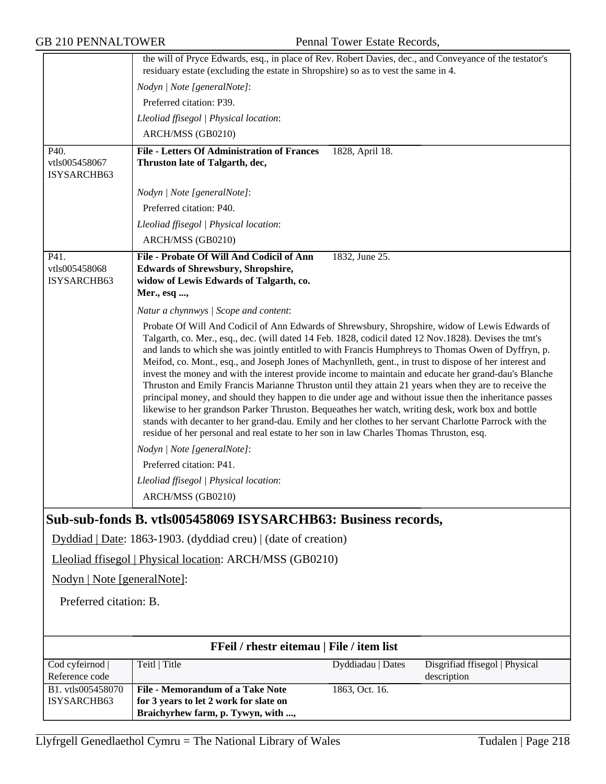|                                           | the will of Pryce Edwards, esq., in place of Rev. Robert Davies, dec., and Conveyance of the testator's<br>residuary estate (excluding the estate in Shropshire) so as to vest the same in 4.                     |  |  |
|-------------------------------------------|-------------------------------------------------------------------------------------------------------------------------------------------------------------------------------------------------------------------|--|--|
|                                           | Nodyn   Note [generalNote]:                                                                                                                                                                                       |  |  |
|                                           | Preferred citation: P39.                                                                                                                                                                                          |  |  |
|                                           | Lleoliad ffisegol   Physical location:                                                                                                                                                                            |  |  |
|                                           | ARCH/MSS (GB0210)                                                                                                                                                                                                 |  |  |
| P40.                                      | <b>File - Letters Of Administration of Frances</b><br>1828, April 18.                                                                                                                                             |  |  |
| vtls005458067                             | Thruston late of Talgarth, dec,                                                                                                                                                                                   |  |  |
| ISYSARCHB63                               |                                                                                                                                                                                                                   |  |  |
|                                           | Nodyn   Note [generalNote]:                                                                                                                                                                                       |  |  |
|                                           | Preferred citation: P40.                                                                                                                                                                                          |  |  |
|                                           | Lleoliad ffisegol   Physical location:                                                                                                                                                                            |  |  |
|                                           | ARCH/MSS (GB0210)                                                                                                                                                                                                 |  |  |
| P41.                                      | File - Probate Of Will And Codicil of Ann<br>1832, June 25.                                                                                                                                                       |  |  |
| vtls005458068<br>ISYSARCHB63              | <b>Edwards of Shrewsbury, Shropshire,</b><br>widow of Lewis Edwards of Talgarth, co.                                                                                                                              |  |  |
|                                           | Mer., esq ,                                                                                                                                                                                                       |  |  |
|                                           | Natur a chynnwys / Scope and content:                                                                                                                                                                             |  |  |
|                                           | Probate Of Will And Codicil of Ann Edwards of Shrewsbury, Shropshire, widow of Lewis Edwards of                                                                                                                   |  |  |
|                                           | Talgarth, co. Mer., esq., dec. (will dated 14 Feb. 1828, codicil dated 12 Nov.1828). Devises the tmt's                                                                                                            |  |  |
|                                           | and lands to which she was jointly entitled to with Francis Humphreys to Thomas Owen of Dyffryn, p.                                                                                                               |  |  |
|                                           | Meifod, co. Mont., esq., and Joseph Jones of Machynlleth, gent., in trust to dispose of her interest and<br>invest the money and with the interest provide income to maintain and educate her grand-dau's Blanche |  |  |
|                                           | Thruston and Emily Francis Marianne Thruston until they attain 21 years when they are to receive the                                                                                                              |  |  |
|                                           | principal money, and should they happen to die under age and without issue then the inheritance passes                                                                                                            |  |  |
|                                           | likewise to her grandson Parker Thruston. Bequeathes her watch, writing desk, work box and bottle<br>stands with decanter to her grand-dau. Emily and her clothes to her servant Charlotte Parrock with the       |  |  |
|                                           | residue of her personal and real estate to her son in law Charles Thomas Thruston, esq.                                                                                                                           |  |  |
|                                           | Nodyn   Note [generalNote]:                                                                                                                                                                                       |  |  |
|                                           | Preferred citation: P41.                                                                                                                                                                                          |  |  |
|                                           | Lleoliad ffisegol   Physical location:                                                                                                                                                                            |  |  |
|                                           | ARCH/MSS (GB0210)                                                                                                                                                                                                 |  |  |
|                                           | Sub-sub-fonds B. vtls005458069 ISYSARCHB63: Business records,                                                                                                                                                     |  |  |
|                                           | Dyddiad   Date: 1863-1903. (dyddiad creu)   (date of creation)                                                                                                                                                    |  |  |
|                                           | Lleoliad ffisegol   Physical location: ARCH/MSS (GB0210)                                                                                                                                                          |  |  |
| Nodyn   Note [generalNote]:               |                                                                                                                                                                                                                   |  |  |
| Preferred citation: B.                    |                                                                                                                                                                                                                   |  |  |
|                                           |                                                                                                                                                                                                                   |  |  |
|                                           |                                                                                                                                                                                                                   |  |  |
| FFeil / rhestr eitemau   File / item list |                                                                                                                                                                                                                   |  |  |
| Cod cyfeirnod                             | Teitl   Title<br>Dyddiadau   Dates<br>Disgrifiad ffisegol   Physical                                                                                                                                              |  |  |
| Reference code<br>B1. vtls005458070       | description<br><b>File - Memorandum of a Take Note</b><br>1863, Oct. 16.                                                                                                                                          |  |  |
| ISYSARCHB63                               | for 3 years to let 2 work for slate on                                                                                                                                                                            |  |  |
|                                           | Braichyrhew farm, p. Tywyn, with ,                                                                                                                                                                                |  |  |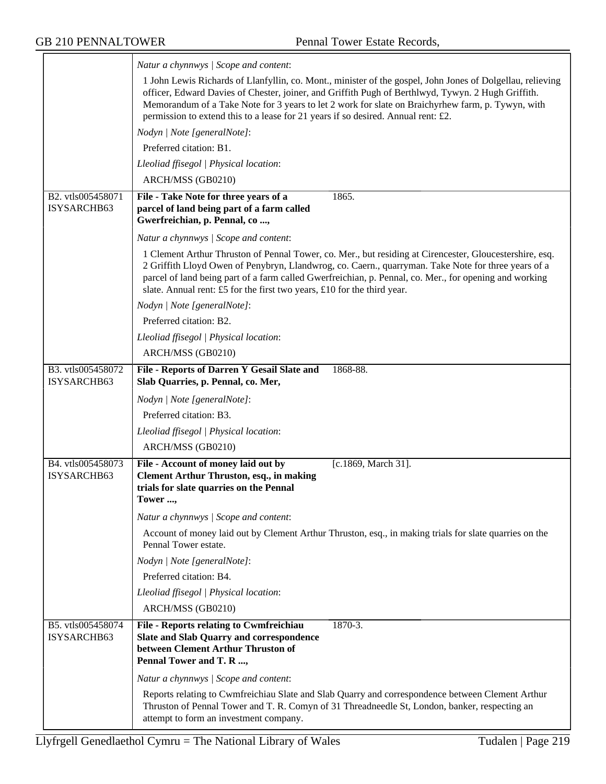$\equiv$ 

|                                  | Natur a chynnwys / Scope and content:                                                                                                                                                                                                                                                                                                                                                                      |
|----------------------------------|------------------------------------------------------------------------------------------------------------------------------------------------------------------------------------------------------------------------------------------------------------------------------------------------------------------------------------------------------------------------------------------------------------|
|                                  | 1 John Lewis Richards of Llanfyllin, co. Mont., minister of the gospel, John Jones of Dolgellau, relieving<br>officer, Edward Davies of Chester, joiner, and Griffith Pugh of Berthlwyd, Tywyn. 2 Hugh Griffith.<br>Memorandum of a Take Note for 3 years to let 2 work for slate on Braichyrhew farm, p. Tywyn, with<br>permission to extend this to a lease for 21 years if so desired. Annual rent: £2. |
|                                  | Nodyn   Note [generalNote]:                                                                                                                                                                                                                                                                                                                                                                                |
|                                  | Preferred citation: B1.                                                                                                                                                                                                                                                                                                                                                                                    |
|                                  | Lleoliad ffisegol   Physical location:                                                                                                                                                                                                                                                                                                                                                                     |
|                                  | ARCH/MSS (GB0210)                                                                                                                                                                                                                                                                                                                                                                                          |
| B2. vtls005458071<br>ISYSARCHB63 | File - Take Note for three years of a<br>1865.<br>parcel of land being part of a farm called<br>Gwerfreichian, p. Pennal, co,                                                                                                                                                                                                                                                                              |
|                                  | Natur a chynnwys / Scope and content:                                                                                                                                                                                                                                                                                                                                                                      |
|                                  | 1 Clement Arthur Thruston of Pennal Tower, co. Mer., but residing at Cirencester, Gloucestershire, esq.<br>2 Griffith Lloyd Owen of Penybryn, Llandwrog, co. Caern., quarryman. Take Note for three years of a<br>parcel of land being part of a farm called Gwerfreichian, p. Pennal, co. Mer., for opening and working<br>slate. Annual rent: £5 for the first two years, £10 for the third year.        |
|                                  | Nodyn   Note [generalNote]:                                                                                                                                                                                                                                                                                                                                                                                |
|                                  | Preferred citation: B2.                                                                                                                                                                                                                                                                                                                                                                                    |
|                                  | Lleoliad ffisegol   Physical location:                                                                                                                                                                                                                                                                                                                                                                     |
|                                  | ARCH/MSS (GB0210)                                                                                                                                                                                                                                                                                                                                                                                          |
| B3. vtls005458072<br>ISYSARCHB63 | File - Reports of Darren Y Gesail Slate and<br>1868-88.<br>Slab Quarries, p. Pennal, co. Mer,                                                                                                                                                                                                                                                                                                              |
|                                  | Nodyn   Note [generalNote]:                                                                                                                                                                                                                                                                                                                                                                                |
|                                  | Preferred citation: B3.                                                                                                                                                                                                                                                                                                                                                                                    |
|                                  | Lleoliad ffisegol   Physical location:                                                                                                                                                                                                                                                                                                                                                                     |
|                                  | ARCH/MSS (GB0210)                                                                                                                                                                                                                                                                                                                                                                                          |
| B4. vtls005458073                | File - Account of money laid out by<br>[c.1869, March 31].                                                                                                                                                                                                                                                                                                                                                 |
| ISYSARCHB63                      | <b>Clement Arthur Thruston, esq., in making</b><br>trials for slate quarries on the Pennal<br>Tower ,                                                                                                                                                                                                                                                                                                      |
|                                  | Natur a chynnwys / Scope and content:                                                                                                                                                                                                                                                                                                                                                                      |
|                                  | Account of money laid out by Clement Arthur Thruston, esq., in making trials for slate quarries on the<br>Pennal Tower estate.                                                                                                                                                                                                                                                                             |
|                                  | Nodyn   Note [generalNote]:                                                                                                                                                                                                                                                                                                                                                                                |
|                                  | Preferred citation: B4.                                                                                                                                                                                                                                                                                                                                                                                    |
|                                  | Lleoliad ffisegol   Physical location:                                                                                                                                                                                                                                                                                                                                                                     |
|                                  | ARCH/MSS (GB0210)                                                                                                                                                                                                                                                                                                                                                                                          |
| B5. vtls005458074<br>ISYSARCHB63 | $1870 - 3.$<br>File - Reports relating to Cwmfreichiau<br>Slate and Slab Quarry and correspondence<br>between Clement Arthur Thruston of<br>Pennal Tower and T. R ,                                                                                                                                                                                                                                        |
|                                  | Natur a chynnwys / Scope and content:                                                                                                                                                                                                                                                                                                                                                                      |
|                                  | Reports relating to Cwmfreichiau Slate and Slab Quarry and correspondence between Clement Arthur<br>Thruston of Pennal Tower and T. R. Comyn of 31 Threadneedle St, London, banker, respecting an<br>attempt to form an investment company.                                                                                                                                                                |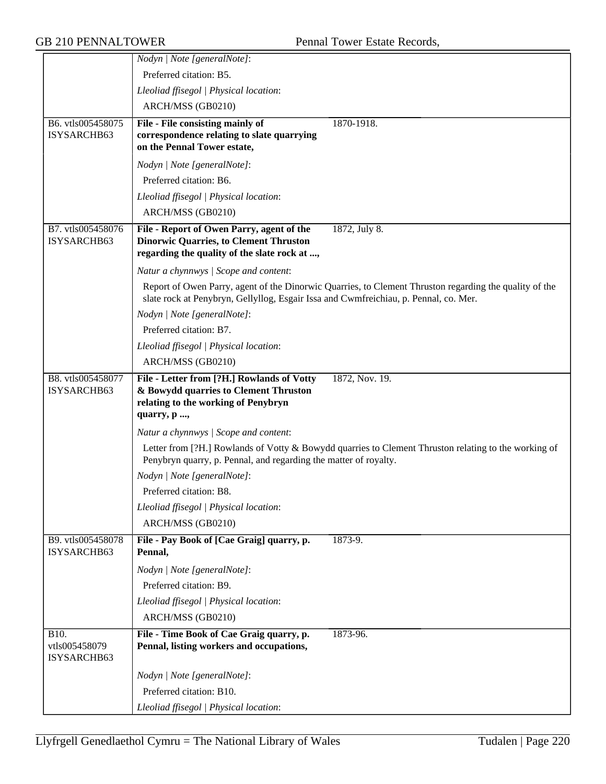|                                      | Nodyn   Note [generalNote]:                                                                                                                                                                    |
|--------------------------------------|------------------------------------------------------------------------------------------------------------------------------------------------------------------------------------------------|
|                                      | Preferred citation: B5.                                                                                                                                                                        |
|                                      | Lleoliad ffisegol   Physical location:                                                                                                                                                         |
|                                      | ARCH/MSS (GB0210)                                                                                                                                                                              |
| B6. vtls005458075                    | File - File consisting mainly of<br>1870-1918.                                                                                                                                                 |
| ISYSARCHB63                          | correspondence relating to slate quarrying<br>on the Pennal Tower estate,                                                                                                                      |
|                                      | Nodyn   Note [generalNote]:                                                                                                                                                                    |
|                                      | Preferred citation: B6.                                                                                                                                                                        |
|                                      | Lleoliad ffisegol   Physical location:                                                                                                                                                         |
|                                      | ARCH/MSS (GB0210)                                                                                                                                                                              |
| B7. vtls005458076<br>ISYSARCHB63     | File - Report of Owen Parry, agent of the<br>1872, July 8.<br><b>Dinorwic Quarries, to Clement Thruston</b><br>regarding the quality of the slate rock at ,                                    |
|                                      | Natur a chynnwys / Scope and content:                                                                                                                                                          |
|                                      | Report of Owen Parry, agent of the Dinorwic Quarries, to Clement Thruston regarding the quality of the<br>slate rock at Penybryn, Gellyllog, Esgair Issa and Cwmfreichiau, p. Pennal, co. Mer. |
|                                      | Nodyn   Note [generalNote]:                                                                                                                                                                    |
|                                      | Preferred citation: B7.                                                                                                                                                                        |
|                                      | Lleoliad ffisegol   Physical location:                                                                                                                                                         |
|                                      | ARCH/MSS (GB0210)                                                                                                                                                                              |
| B8. vtls005458077<br>ISYSARCHB63     | 1872, Nov. 19.<br>File - Letter from [?H.] Rowlands of Votty<br>& Bowydd quarries to Clement Thruston<br>relating to the working of Penybryn<br>quarry, p ,                                    |
|                                      | Natur a chynnwys / Scope and content:                                                                                                                                                          |
|                                      | Letter from [?H.] Rowlands of Votty & Bowydd quarries to Clement Thruston relating to the working of<br>Penybryn quarry, p. Pennal, and regarding the matter of royalty.                       |
|                                      | Nodyn   Note [generalNote]:                                                                                                                                                                    |
|                                      | Preferred citation: B8.                                                                                                                                                                        |
|                                      | Lleoliad ffisegol   Physical location:                                                                                                                                                         |
|                                      | ARCH/MSS (GB0210)                                                                                                                                                                              |
| B9. vtls005458078<br>ISYSARCHB63     | File - Pay Book of [Cae Graig] quarry, p.<br>1873-9.<br>Pennal,                                                                                                                                |
|                                      | Nodyn   Note [generalNote]:                                                                                                                                                                    |
|                                      | Preferred citation: B9.                                                                                                                                                                        |
|                                      | Lleoliad ffisegol   Physical location:                                                                                                                                                         |
|                                      | ARCH/MSS (GB0210)                                                                                                                                                                              |
| B10.<br>vtls005458079<br>ISYSARCHB63 | File - Time Book of Cae Graig quarry, p.<br>1873-96.<br>Pennal, listing workers and occupations,                                                                                               |
|                                      | Nodyn   Note [generalNote]:                                                                                                                                                                    |
|                                      | Preferred citation: B10.                                                                                                                                                                       |
|                                      | Lleoliad ffisegol   Physical location:                                                                                                                                                         |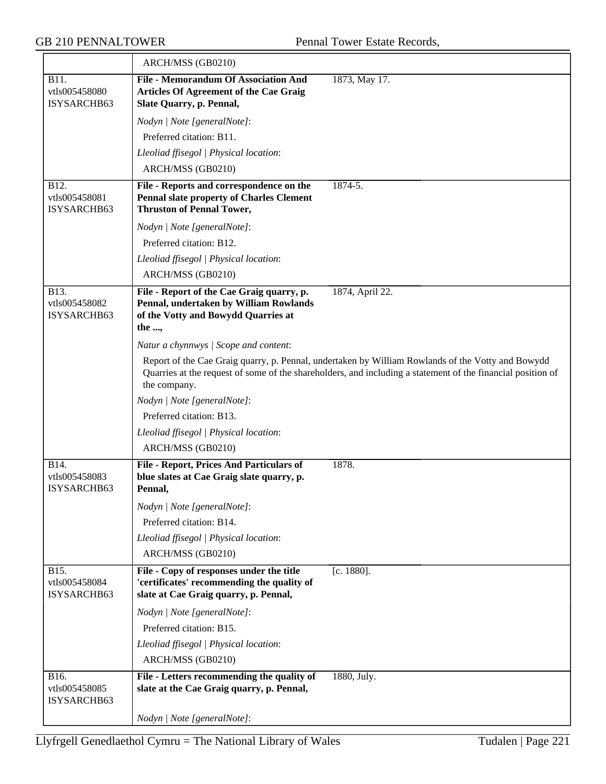|                                      | ARCH/MSS (GB0210)                                                                                                                   |                                                                                                                                                                                                                  |
|--------------------------------------|-------------------------------------------------------------------------------------------------------------------------------------|------------------------------------------------------------------------------------------------------------------------------------------------------------------------------------------------------------------|
| B11.<br>vtls005458080<br>ISYSARCHB63 | <b>File - Memorandum Of Association And</b><br><b>Articles Of Agreement of the Cae Graig</b><br>Slate Quarry, p. Pennal,            | 1873, May 17.                                                                                                                                                                                                    |
|                                      | Nodyn   Note [generalNote]:                                                                                                         |                                                                                                                                                                                                                  |
|                                      | Preferred citation: B11.                                                                                                            |                                                                                                                                                                                                                  |
|                                      | Lleoliad ffisegol   Physical location:                                                                                              |                                                                                                                                                                                                                  |
|                                      | ARCH/MSS (GB0210)                                                                                                                   |                                                                                                                                                                                                                  |
| B12.<br>vtls005458081<br>ISYSARCHB63 | File - Reports and correspondence on the<br><b>Pennal slate property of Charles Clement</b><br><b>Thruston of Pennal Tower,</b>     | $1874 - 5.$                                                                                                                                                                                                      |
|                                      | Nodyn   Note [generalNote]:                                                                                                         |                                                                                                                                                                                                                  |
|                                      | Preferred citation: B12.                                                                                                            |                                                                                                                                                                                                                  |
|                                      | Lleoliad ffisegol   Physical location:                                                                                              |                                                                                                                                                                                                                  |
|                                      | ARCH/MSS (GB0210)                                                                                                                   |                                                                                                                                                                                                                  |
| B13.<br>vtls005458082<br>ISYSARCHB63 | File - Report of the Cae Graig quarry, p.<br>Pennal, undertaken by William Rowlands<br>of the Votty and Bowydd Quarries at<br>the , | 1874, April 22.                                                                                                                                                                                                  |
|                                      | Natur a chynnwys / Scope and content:                                                                                               |                                                                                                                                                                                                                  |
|                                      | the company.                                                                                                                        | Report of the Cae Graig quarry, p. Pennal, undertaken by William Rowlands of the Votty and Bowydd<br>Quarries at the request of some of the shareholders, and including a statement of the financial position of |
|                                      | Nodyn   Note [generalNote]:                                                                                                         |                                                                                                                                                                                                                  |
|                                      | Preferred citation: B13.                                                                                                            |                                                                                                                                                                                                                  |
|                                      | Lleoliad ffisegol   Physical location:                                                                                              |                                                                                                                                                                                                                  |
|                                      | ARCH/MSS (GB0210)                                                                                                                   |                                                                                                                                                                                                                  |
| B14.<br>vtls005458083<br>ISYSARCHB63 | File - Report, Prices And Particulars of<br>blue slates at Cae Graig slate quarry, p.<br>Pennal,                                    | 1878.                                                                                                                                                                                                            |
|                                      | Nodyn   Note [generalNote]:                                                                                                         |                                                                                                                                                                                                                  |
|                                      | Preferred citation: B14.                                                                                                            |                                                                                                                                                                                                                  |
|                                      | Lleoliad ffisegol   Physical location:                                                                                              |                                                                                                                                                                                                                  |
|                                      | ARCH/MSS (GB0210)                                                                                                                   |                                                                                                                                                                                                                  |
| B15.<br>vtls005458084<br>ISYSARCHB63 | File - Copy of responses under the title<br>'certificates' recommending the quality of<br>slate at Cae Graig quarry, p. Pennal,     | [c. 1880].                                                                                                                                                                                                       |
|                                      | Nodyn   Note [generalNote]:                                                                                                         |                                                                                                                                                                                                                  |
|                                      | Preferred citation: B15.                                                                                                            |                                                                                                                                                                                                                  |
|                                      | Lleoliad ffisegol   Physical location:                                                                                              |                                                                                                                                                                                                                  |
|                                      | ARCH/MSS (GB0210)                                                                                                                   |                                                                                                                                                                                                                  |
| B16.<br>vtls005458085<br>ISYSARCHB63 | File - Letters recommending the quality of<br>slate at the Cae Graig quarry, p. Pennal,                                             | 1880, July.                                                                                                                                                                                                      |
|                                      | Nodyn   Note [generalNote]:                                                                                                         |                                                                                                                                                                                                                  |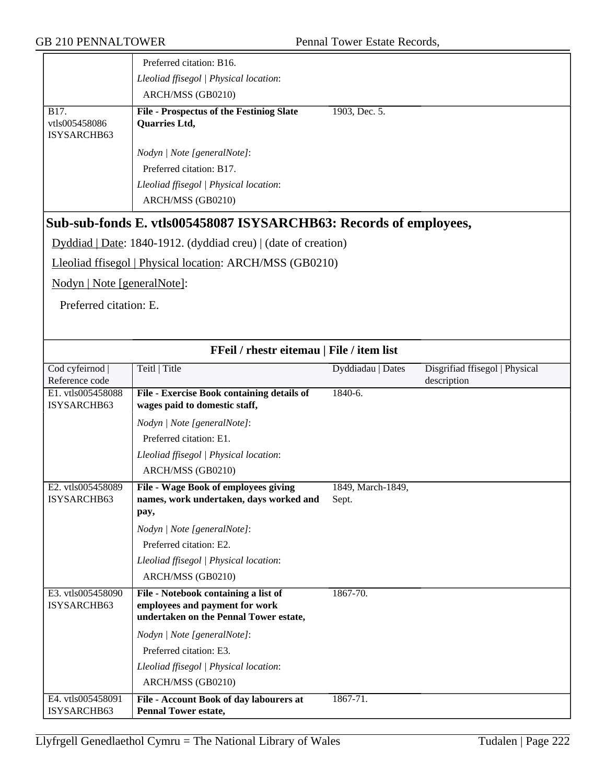|                                      | Preferred citation: B16.                                                    |                   |                                               |
|--------------------------------------|-----------------------------------------------------------------------------|-------------------|-----------------------------------------------|
|                                      | Lleoliad ffisegol   Physical location:                                      |                   |                                               |
|                                      | ARCH/MSS (GB0210)                                                           |                   |                                               |
| B17.<br>vtls005458086<br>ISYSARCHB63 | <b>File - Prospectus of the Festiniog Slate</b><br>Quarries Ltd,            | 1903, Dec. 5.     |                                               |
|                                      | Nodyn   Note [generalNote]:                                                 |                   |                                               |
|                                      | Preferred citation: B17.                                                    |                   |                                               |
|                                      | Lleoliad ffisegol   Physical location:                                      |                   |                                               |
|                                      | ARCH/MSS (GB0210)                                                           |                   |                                               |
|                                      | Sub-sub-fonds E. vtls005458087 ISYSARCHB63: Records of employees,           |                   |                                               |
|                                      | Dyddiad   Date: 1840-1912. (dyddiad creu)   (date of creation)              |                   |                                               |
|                                      | Lleoliad ffisegol   Physical location: ARCH/MSS (GB0210)                    |                   |                                               |
| Nodyn   Note [generalNote]:          |                                                                             |                   |                                               |
| Preferred citation: E.               |                                                                             |                   |                                               |
|                                      |                                                                             |                   |                                               |
|                                      |                                                                             |                   |                                               |
|                                      | FFeil / rhestr eitemau   File / item list                                   |                   |                                               |
| Cod cyfeirnod<br>Reference code      | Teitl   Title                                                               | Dyddiadau   Dates | Disgrifiad ffisegol   Physical<br>description |
| E1. vtls005458088<br>ISYSARCHB63     | File - Exercise Book containing details of<br>wages paid to domestic staff, | $1840-6.$         |                                               |
|                                      | Nodyn   Note [generalNote]:                                                 |                   |                                               |
|                                      | Preferred citation: E1.                                                     |                   |                                               |
|                                      | Lleoliad ffisegol   Physical location:                                      |                   |                                               |
|                                      | ARCH/MSS (GB0210)                                                           |                   |                                               |
| E2. vtls005458089                    | File - Wage Book of employees giving                                        | 1849, March-1849, |                                               |
| ISYSARCHB63                          | names, work undertaken, days worked and<br>pay,                             | Sept.             |                                               |
|                                      | Nodyn   Note [generalNote]:                                                 |                   |                                               |
|                                      | Preferred citation: E2.                                                     |                   |                                               |
|                                      | Lleoliad ffisegol   Physical location:                                      |                   |                                               |
|                                      | ARCH/MSS (GB0210)                                                           |                   |                                               |
| E3. vtls005458090                    | File - Notebook containing a list of                                        | 1867-70.          |                                               |
| ISYSARCHB63                          | employees and payment for work<br>undertaken on the Pennal Tower estate,    |                   |                                               |
|                                      | Nodyn   Note [generalNote]:                                                 |                   |                                               |
|                                      | Preferred citation: E3.                                                     |                   |                                               |
|                                      | Lleoliad ffisegol   Physical location:                                      |                   |                                               |
|                                      | ARCH/MSS (GB0210)                                                           |                   |                                               |
| E4. vtls005458091<br>ISYSARCHB63     | File - Account Book of day labourers at<br><b>Pennal Tower estate,</b>      | 1867-71.          |                                               |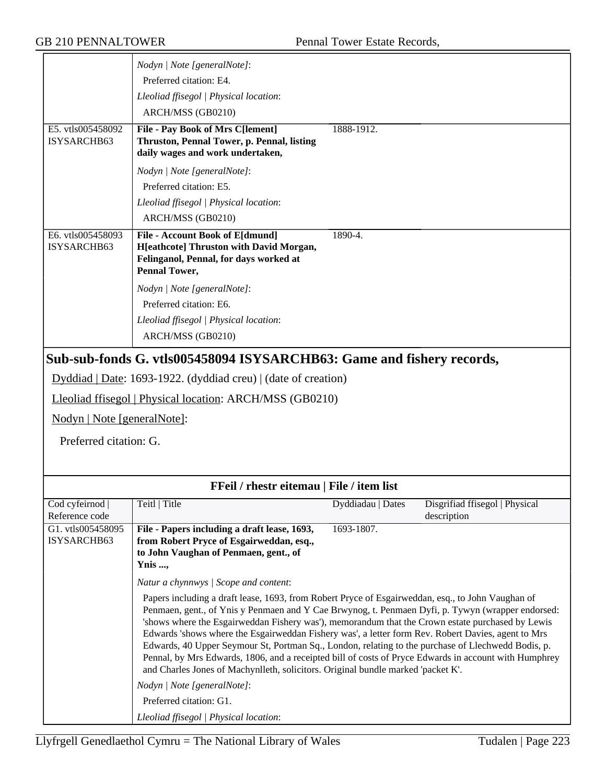|                                                                       | Nodyn   Note [generalNote]:                                                                                                                                                                                                                                                                                                                                                                                                                                                                                                                                                                                                                                                                                                                        |                   |                                               |
|-----------------------------------------------------------------------|----------------------------------------------------------------------------------------------------------------------------------------------------------------------------------------------------------------------------------------------------------------------------------------------------------------------------------------------------------------------------------------------------------------------------------------------------------------------------------------------------------------------------------------------------------------------------------------------------------------------------------------------------------------------------------------------------------------------------------------------------|-------------------|-----------------------------------------------|
|                                                                       | Preferred citation: E4.                                                                                                                                                                                                                                                                                                                                                                                                                                                                                                                                                                                                                                                                                                                            |                   |                                               |
|                                                                       | Lleoliad ffisegol   Physical location:                                                                                                                                                                                                                                                                                                                                                                                                                                                                                                                                                                                                                                                                                                             |                   |                                               |
|                                                                       | ARCH/MSS (GB0210)                                                                                                                                                                                                                                                                                                                                                                                                                                                                                                                                                                                                                                                                                                                                  |                   |                                               |
| E5. vtls005458092<br>ISYSARCHB63                                      | File - Pay Book of Mrs C[lement]<br>Thruston, Pennal Tower, p. Pennal, listing<br>daily wages and work undertaken,                                                                                                                                                                                                                                                                                                                                                                                                                                                                                                                                                                                                                                 | 1888-1912.        |                                               |
|                                                                       | Nodyn   Note [generalNote]:                                                                                                                                                                                                                                                                                                                                                                                                                                                                                                                                                                                                                                                                                                                        |                   |                                               |
|                                                                       | Preferred citation: E5.                                                                                                                                                                                                                                                                                                                                                                                                                                                                                                                                                                                                                                                                                                                            |                   |                                               |
|                                                                       | Lleoliad ffisegol   Physical location:                                                                                                                                                                                                                                                                                                                                                                                                                                                                                                                                                                                                                                                                                                             |                   |                                               |
|                                                                       | ARCH/MSS (GB0210)                                                                                                                                                                                                                                                                                                                                                                                                                                                                                                                                                                                                                                                                                                                                  |                   |                                               |
| E6. vtls005458093<br>ISYSARCHB63                                      | File - Account Book of E[dmund]<br><b>H</b> [eathcote] Thruston with David Morgan,<br>Felinganol, Pennal, for days worked at<br><b>Pennal Tower,</b>                                                                                                                                                                                                                                                                                                                                                                                                                                                                                                                                                                                               | 1890-4.           |                                               |
|                                                                       | Nodyn   Note [generalNote]:                                                                                                                                                                                                                                                                                                                                                                                                                                                                                                                                                                                                                                                                                                                        |                   |                                               |
|                                                                       | Preferred citation: E6.                                                                                                                                                                                                                                                                                                                                                                                                                                                                                                                                                                                                                                                                                                                            |                   |                                               |
|                                                                       | Lleoliad ffisegol   Physical location:                                                                                                                                                                                                                                                                                                                                                                                                                                                                                                                                                                                                                                                                                                             |                   |                                               |
|                                                                       | ARCH/MSS (GB0210)                                                                                                                                                                                                                                                                                                                                                                                                                                                                                                                                                                                                                                                                                                                                  |                   |                                               |
| Sub-sub-fonds G. vtls005458094 ISYSARCHB63: Game and fishery records, |                                                                                                                                                                                                                                                                                                                                                                                                                                                                                                                                                                                                                                                                                                                                                    |                   |                                               |
|                                                                       | Dyddiad   Date: 1693-1922. (dyddiad creu)   (date of creation)                                                                                                                                                                                                                                                                                                                                                                                                                                                                                                                                                                                                                                                                                     |                   |                                               |
|                                                                       | Lleoliad ffisegol   Physical location: ARCH/MSS (GB0210)                                                                                                                                                                                                                                                                                                                                                                                                                                                                                                                                                                                                                                                                                           |                   |                                               |
| Nodyn   Note [generalNote]:                                           |                                                                                                                                                                                                                                                                                                                                                                                                                                                                                                                                                                                                                                                                                                                                                    |                   |                                               |
| Preferred citation: G.                                                |                                                                                                                                                                                                                                                                                                                                                                                                                                                                                                                                                                                                                                                                                                                                                    |                   |                                               |
|                                                                       |                                                                                                                                                                                                                                                                                                                                                                                                                                                                                                                                                                                                                                                                                                                                                    |                   |                                               |
|                                                                       |                                                                                                                                                                                                                                                                                                                                                                                                                                                                                                                                                                                                                                                                                                                                                    |                   |                                               |
|                                                                       | FFeil / rhestr eitemau   File / item list                                                                                                                                                                                                                                                                                                                                                                                                                                                                                                                                                                                                                                                                                                          |                   |                                               |
| Cod cyfeirnod  <br>Reference code                                     | Teitl   Title                                                                                                                                                                                                                                                                                                                                                                                                                                                                                                                                                                                                                                                                                                                                      | Dyddiadau   Dates | Disgrifiad ffisegol   Physical<br>description |
| G1. vtls005458095<br>ISYSARCHB63                                      | File - Papers including a draft lease, 1693,<br>from Robert Pryce of Esgairweddan, esq.,<br>to John Vaughan of Penmaen, gent., of<br>Ynis ,                                                                                                                                                                                                                                                                                                                                                                                                                                                                                                                                                                                                        | 1693-1807.        |                                               |
|                                                                       | Natur a chynnwys / Scope and content:                                                                                                                                                                                                                                                                                                                                                                                                                                                                                                                                                                                                                                                                                                              |                   |                                               |
|                                                                       | Papers including a draft lease, 1693, from Robert Pryce of Esgairweddan, esq., to John Vaughan of<br>Penmaen, gent., of Ynis y Penmaen and Y Cae Brwynog, t. Penmaen Dyfi, p. Tywyn (wrapper endorsed:<br>'shows where the Esgairweddan Fishery was'), memorandum that the Crown estate purchased by Lewis<br>Edwards 'shows where the Esgairweddan Fishery was', a letter form Rev. Robert Davies, agent to Mrs<br>Edwards, 40 Upper Seymour St, Portman Sq., London, relating to the purchase of Llechwedd Bodis, p.<br>Pennal, by Mrs Edwards, 1806, and a receipted bill of costs of Pryce Edwards in account with Humphrey<br>and Charles Jones of Machynlleth, solicitors. Original bundle marked 'packet K'.<br>Nodyn   Note [generalNote]: |                   |                                               |
|                                                                       | Preferred citation: G1.                                                                                                                                                                                                                                                                                                                                                                                                                                                                                                                                                                                                                                                                                                                            |                   |                                               |
|                                                                       | Lleoliad ffisegol   Physical location:                                                                                                                                                                                                                                                                                                                                                                                                                                                                                                                                                                                                                                                                                                             |                   |                                               |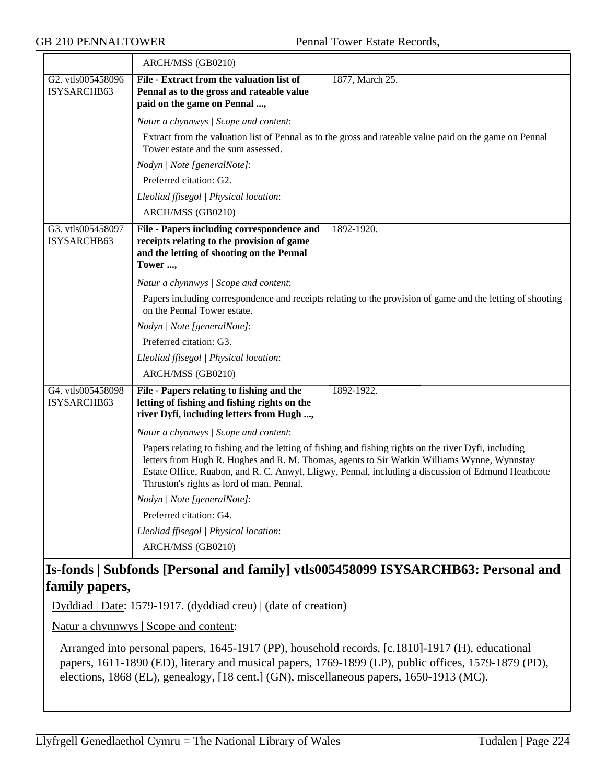|                                  | ARCH/MSS (GB0210)                                                                                                                                                                                                                                                                                                                                       |  |  |
|----------------------------------|---------------------------------------------------------------------------------------------------------------------------------------------------------------------------------------------------------------------------------------------------------------------------------------------------------------------------------------------------------|--|--|
| G2. vtls005458096<br>ISYSARCHB63 | File - Extract from the valuation list of<br>1877, March 25.<br>Pennal as to the gross and rateable value<br>paid on the game on Pennal ,                                                                                                                                                                                                               |  |  |
|                                  | Natur a chynnwys / Scope and content:                                                                                                                                                                                                                                                                                                                   |  |  |
|                                  | Extract from the valuation list of Pennal as to the gross and rateable value paid on the game on Pennal<br>Tower estate and the sum assessed.                                                                                                                                                                                                           |  |  |
|                                  | Nodyn   Note [generalNote]:                                                                                                                                                                                                                                                                                                                             |  |  |
|                                  | Preferred citation: G2.                                                                                                                                                                                                                                                                                                                                 |  |  |
|                                  | Lleoliad ffisegol   Physical location:                                                                                                                                                                                                                                                                                                                  |  |  |
|                                  | ARCH/MSS (GB0210)                                                                                                                                                                                                                                                                                                                                       |  |  |
| G3. vtls005458097<br>ISYSARCHB63 | File - Papers including correspondence and<br>1892-1920.<br>receipts relating to the provision of game<br>and the letting of shooting on the Pennal<br>Tower ,                                                                                                                                                                                          |  |  |
|                                  | Natur a chynnwys / Scope and content:                                                                                                                                                                                                                                                                                                                   |  |  |
|                                  | Papers including correspondence and receipts relating to the provision of game and the letting of shooting<br>on the Pennal Tower estate.                                                                                                                                                                                                               |  |  |
|                                  | Nodyn   Note [generalNote]:                                                                                                                                                                                                                                                                                                                             |  |  |
|                                  | Preferred citation: G3.                                                                                                                                                                                                                                                                                                                                 |  |  |
|                                  | Lleoliad ffisegol   Physical location:                                                                                                                                                                                                                                                                                                                  |  |  |
|                                  | ARCH/MSS (GB0210)                                                                                                                                                                                                                                                                                                                                       |  |  |
| G4. vtls005458098<br>ISYSARCHB63 | File - Papers relating to fishing and the<br>1892-1922.<br>letting of fishing and fishing rights on the<br>river Dyfi, including letters from Hugh ,                                                                                                                                                                                                    |  |  |
|                                  | Natur a chynnwys / Scope and content:                                                                                                                                                                                                                                                                                                                   |  |  |
|                                  | Papers relating to fishing and the letting of fishing and fishing rights on the river Dyfi, including<br>letters from Hugh R. Hughes and R. M. Thomas, agents to Sir Watkin Williams Wynne, Wynnstay<br>Estate Office, Ruabon, and R. C. Anwyl, Lligwy, Pennal, including a discussion of Edmund Heathcote<br>Thruston's rights as lord of man. Pennal. |  |  |
|                                  | Nodyn   Note [generalNote]:                                                                                                                                                                                                                                                                                                                             |  |  |
|                                  | Preferred citation: G4.                                                                                                                                                                                                                                                                                                                                 |  |  |
|                                  | Lleoliad ffisegol   Physical location:                                                                                                                                                                                                                                                                                                                  |  |  |
|                                  | ARCH/MSS (GB0210)                                                                                                                                                                                                                                                                                                                                       |  |  |

## **Is-fonds | Subfonds [Personal and family] vtls005458099 ISYSARCHB63: Personal and family papers,**

Dyddiad | Date: 1579-1917. (dyddiad creu) | (date of creation)

Natur a chynnwys | Scope and content:

Arranged into personal papers, 1645-1917 (PP), household records, [c.1810]-1917 (H), educational papers, 1611-1890 (ED), literary and musical papers, 1769-1899 (LP), public offices, 1579-1879 (PD), elections, 1868 (EL), genealogy, [18 cent.] (GN), miscellaneous papers, 1650-1913 (MC).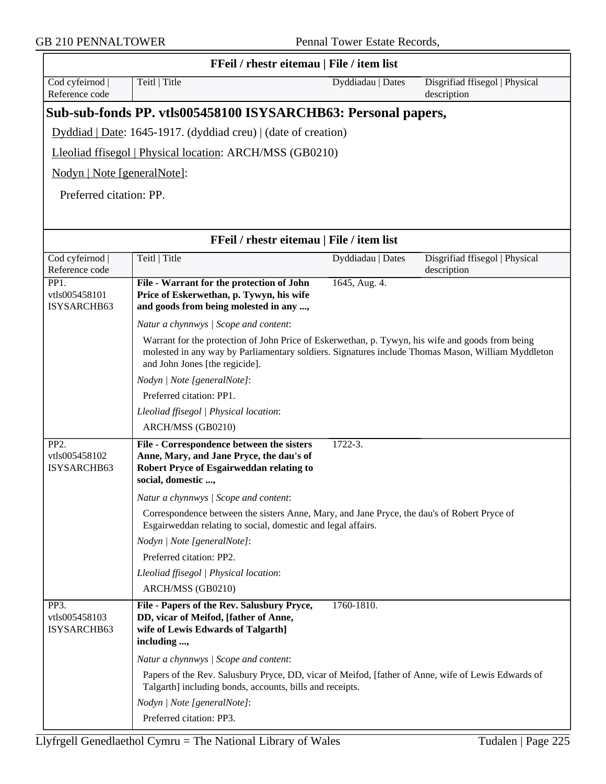$\overline{\phantom{0}}$ 

GB 210 PENNALTOWER Pennal Tower Estate Records,

| FFeil / rhestr eitemau   File / item list         |                                                                                                                                                                                                                                         |                   |                                               |  |
|---------------------------------------------------|-----------------------------------------------------------------------------------------------------------------------------------------------------------------------------------------------------------------------------------------|-------------------|-----------------------------------------------|--|
| Cod cyfeirnod<br>Reference code                   | Teitl   Title                                                                                                                                                                                                                           | Dyddiadau   Dates | Disgrifiad ffisegol   Physical<br>description |  |
|                                                   | Sub-sub-fonds PP. vtls005458100 ISYSARCHB63: Personal papers,                                                                                                                                                                           |                   |                                               |  |
|                                                   | Dyddiad   Date: 1645-1917. (dyddiad creu)   (date of creation)                                                                                                                                                                          |                   |                                               |  |
|                                                   | Lleoliad ffisegol   Physical location: ARCH/MSS (GB0210)                                                                                                                                                                                |                   |                                               |  |
| Nodyn   Note [generalNote]:                       |                                                                                                                                                                                                                                         |                   |                                               |  |
| Preferred citation: PP.                           |                                                                                                                                                                                                                                         |                   |                                               |  |
|                                                   |                                                                                                                                                                                                                                         |                   |                                               |  |
|                                                   | FFeil / rhestr eitemau   File / item list                                                                                                                                                                                               |                   |                                               |  |
| Cod cyfeirnod                                     | Teitl   Title                                                                                                                                                                                                                           | Dyddiadau   Dates | Disgrifiad ffisegol   Physical                |  |
| Reference code                                    |                                                                                                                                                                                                                                         |                   | description                                   |  |
| PP1.<br>vtls005458101<br>ISYSARCHB63              | File - Warrant for the protection of John<br>Price of Eskerwethan, p. Tywyn, his wife<br>and goods from being molested in any ,                                                                                                         | 1645, Aug. 4.     |                                               |  |
|                                                   | Natur a chynnwys / Scope and content:                                                                                                                                                                                                   |                   |                                               |  |
|                                                   | Warrant for the protection of John Price of Eskerwethan, p. Tywyn, his wife and goods from being<br>molested in any way by Parliamentary soldiers. Signatures include Thomas Mason, William Myddleton<br>and John Jones [the regicide]. |                   |                                               |  |
|                                                   | Nodyn   Note [generalNote]:                                                                                                                                                                                                             |                   |                                               |  |
|                                                   | Preferred citation: PP1.                                                                                                                                                                                                                |                   |                                               |  |
|                                                   | Lleoliad ffisegol   Physical location:                                                                                                                                                                                                  |                   |                                               |  |
|                                                   | ARCH/MSS (GB0210)                                                                                                                                                                                                                       |                   |                                               |  |
| PP <sub>2</sub> .<br>vtls005458102<br>ISYSARCHB63 | File - Correspondence between the sisters<br>Anne, Mary, and Jane Pryce, the dau's of<br>Robert Pryce of Esgairweddan relating to<br>social, domestic ,                                                                                 | $1722 - 3.$       |                                               |  |
|                                                   | Natur a chynnwys / Scope and content:                                                                                                                                                                                                   |                   |                                               |  |
|                                                   | Correspondence between the sisters Anne, Mary, and Jane Pryce, the dau's of Robert Pryce of<br>Esgairweddan relating to social, domestic and legal affairs.                                                                             |                   |                                               |  |
|                                                   | Nodyn   Note [generalNote]:                                                                                                                                                                                                             |                   |                                               |  |
|                                                   | Preferred citation: PP2.                                                                                                                                                                                                                |                   |                                               |  |
|                                                   | Lleoliad ffisegol   Physical location:                                                                                                                                                                                                  |                   |                                               |  |
|                                                   | ARCH/MSS (GB0210)                                                                                                                                                                                                                       |                   |                                               |  |
| PP3.<br>vtls005458103<br>ISYSARCHB63              | File - Papers of the Rev. Salusbury Pryce,<br>DD, vicar of Meifod, [father of Anne,<br>wife of Lewis Edwards of Talgarth]<br>including ,                                                                                                | 1760-1810.        |                                               |  |
|                                                   | Natur a chynnwys / Scope and content:                                                                                                                                                                                                   |                   |                                               |  |
|                                                   | Papers of the Rev. Salusbury Pryce, DD, vicar of Meifod, [father of Anne, wife of Lewis Edwards of<br>Talgarth] including bonds, accounts, bills and receipts.                                                                          |                   |                                               |  |
|                                                   | Nodyn   Note [generalNote]:                                                                                                                                                                                                             |                   |                                               |  |
|                                                   | Preferred citation: PP3.                                                                                                                                                                                                                |                   |                                               |  |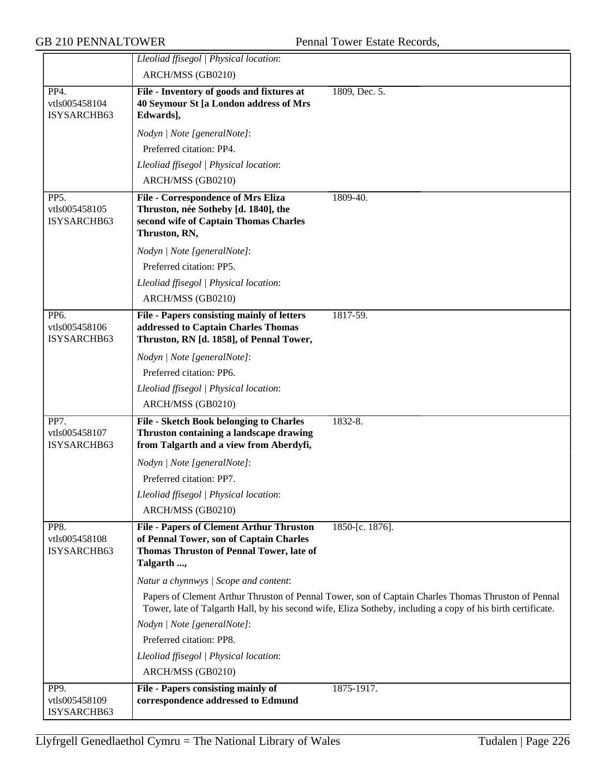|                                      | Lleoliad ffisegol   Physical location:                                                                                                               |                                                                                                                                                                                                                    |
|--------------------------------------|------------------------------------------------------------------------------------------------------------------------------------------------------|--------------------------------------------------------------------------------------------------------------------------------------------------------------------------------------------------------------------|
|                                      | ARCH/MSS (GB0210)                                                                                                                                    |                                                                                                                                                                                                                    |
| PP4.                                 | File - Inventory of goods and fixtures at                                                                                                            | 1809, Dec. 5.                                                                                                                                                                                                      |
| vtls005458104                        | 40 Seymour St [a London address of Mrs                                                                                                               |                                                                                                                                                                                                                    |
| ISYSARCHB63                          | Edwards],                                                                                                                                            |                                                                                                                                                                                                                    |
|                                      | Nodyn   Note [generalNote]:                                                                                                                          |                                                                                                                                                                                                                    |
|                                      | Preferred citation: PP4.                                                                                                                             |                                                                                                                                                                                                                    |
|                                      | Lleoliad ffisegol   Physical location:                                                                                                               |                                                                                                                                                                                                                    |
|                                      | ARCH/MSS (GB0210)                                                                                                                                    |                                                                                                                                                                                                                    |
| PP5.<br>vtls005458105<br>ISYSARCHB63 | File - Correspondence of Mrs Eliza<br>Thruston, née Sotheby [d. 1840], the<br>second wife of Captain Thomas Charles<br>Thruston, RN,                 | 1809-40.                                                                                                                                                                                                           |
|                                      | Nodyn   Note [generalNote]:                                                                                                                          |                                                                                                                                                                                                                    |
|                                      | Preferred citation: PP5.                                                                                                                             |                                                                                                                                                                                                                    |
|                                      | Lleoliad ffisegol   Physical location:                                                                                                               |                                                                                                                                                                                                                    |
|                                      | ARCH/MSS (GB0210)                                                                                                                                    |                                                                                                                                                                                                                    |
| PP6.<br>vtls005458106<br>ISYSARCHB63 | <b>File - Papers consisting mainly of letters</b><br>addressed to Captain Charles Thomas<br>Thruston, RN [d. 1858], of Pennal Tower,                 | 1817-59.                                                                                                                                                                                                           |
|                                      | Nodyn   Note [generalNote]:                                                                                                                          |                                                                                                                                                                                                                    |
|                                      | Preferred citation: PP6.                                                                                                                             |                                                                                                                                                                                                                    |
|                                      | Lleoliad ffisegol   Physical location:                                                                                                               |                                                                                                                                                                                                                    |
|                                      | ARCH/MSS (GB0210)                                                                                                                                    |                                                                                                                                                                                                                    |
| PP7.<br>vtls005458107<br>ISYSARCHB63 | <b>File - Sketch Book belonging to Charles</b><br>Thruston containing a landscape drawing<br>from Talgarth and a view from Aberdyfi,                 | 1832-8.                                                                                                                                                                                                            |
|                                      | Nodyn   Note [generalNote]:                                                                                                                          |                                                                                                                                                                                                                    |
|                                      | Preferred citation: PP7.                                                                                                                             |                                                                                                                                                                                                                    |
|                                      | Lleoliad ffisegol   Physical location:                                                                                                               |                                                                                                                                                                                                                    |
|                                      | ARCH/MSS (GB0210)                                                                                                                                    |                                                                                                                                                                                                                    |
| PP8.<br>vtls005458108<br>ISYSARCHB63 | <b>File - Papers of Clement Arthur Thruston</b><br>of Pennal Tower, son of Captain Charles<br>Thomas Thruston of Pennal Tower, late of<br>Talgarth , | 1850-[c. 1876].                                                                                                                                                                                                    |
|                                      | Natur a chynnwys / Scope and content:                                                                                                                |                                                                                                                                                                                                                    |
|                                      |                                                                                                                                                      | Papers of Clement Arthur Thruston of Pennal Tower, son of Captain Charles Thomas Thruston of Pennal<br>Tower, late of Talgarth Hall, by his second wife, Eliza Sotheby, including a copy of his birth certificate. |
|                                      | Nodyn   Note [generalNote]:                                                                                                                          |                                                                                                                                                                                                                    |
|                                      | Preferred citation: PP8.                                                                                                                             |                                                                                                                                                                                                                    |
|                                      | Lleoliad ffisegol   Physical location:                                                                                                               |                                                                                                                                                                                                                    |
|                                      | ARCH/MSS (GB0210)                                                                                                                                    |                                                                                                                                                                                                                    |
| PP9.<br>vtls005458109<br>ISYSARCHB63 | File - Papers consisting mainly of<br>correspondence addressed to Edmund                                                                             | 1875-1917.                                                                                                                                                                                                         |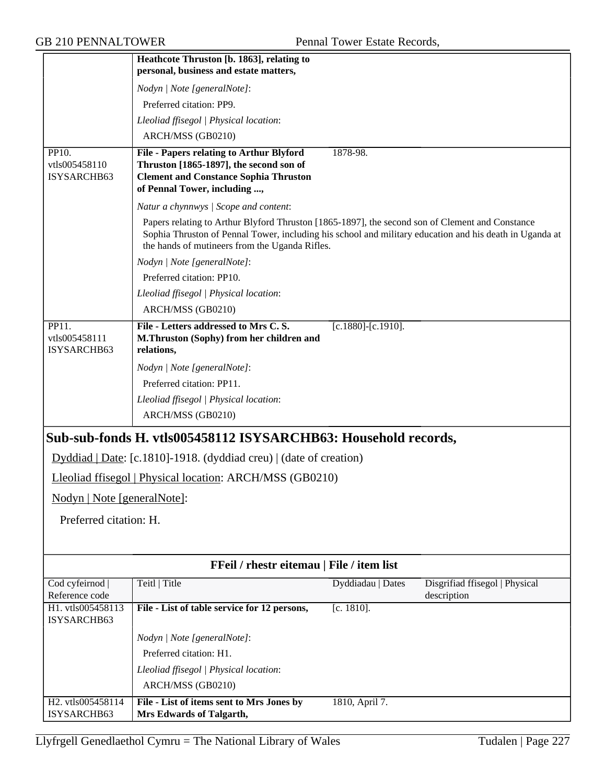|                                       | Heathcote Thruston [b. 1863], relating to                                                                                                                                                                                                                    |                           |                                               |
|---------------------------------------|--------------------------------------------------------------------------------------------------------------------------------------------------------------------------------------------------------------------------------------------------------------|---------------------------|-----------------------------------------------|
|                                       | personal, business and estate matters,                                                                                                                                                                                                                       |                           |                                               |
|                                       | Nodyn   Note [generalNote]:<br>Preferred citation: PP9.                                                                                                                                                                                                      |                           |                                               |
|                                       | Lleoliad ffisegol   Physical location:                                                                                                                                                                                                                       |                           |                                               |
|                                       | ARCH/MSS (GB0210)                                                                                                                                                                                                                                            |                           |                                               |
| PP10.                                 | File - Papers relating to Arthur Blyford                                                                                                                                                                                                                     | 1878-98.                  |                                               |
| vtls005458110<br>ISYSARCHB63          | Thruston [1865-1897], the second son of<br><b>Clement and Constance Sophia Thruston</b><br>of Pennal Tower, including ,                                                                                                                                      |                           |                                               |
|                                       | Natur a chynnwys / Scope and content:                                                                                                                                                                                                                        |                           |                                               |
|                                       | Papers relating to Arthur Blyford Thruston [1865-1897], the second son of Clement and Constance<br>Sophia Thruston of Pennal Tower, including his school and military education and his death in Uganda at<br>the hands of mutineers from the Uganda Rifles. |                           |                                               |
|                                       | Nodyn   Note [generalNote]:                                                                                                                                                                                                                                  |                           |                                               |
|                                       | Preferred citation: PP10.                                                                                                                                                                                                                                    |                           |                                               |
|                                       | Lleoliad ffisegol   Physical location:                                                                                                                                                                                                                       |                           |                                               |
|                                       | ARCH/MSS (GB0210)                                                                                                                                                                                                                                            |                           |                                               |
| PP11.<br>vtls005458111<br>ISYSARCHB63 | File - Letters addressed to Mrs C.S.<br>M.Thruston (Sophy) from her children and<br>relations,                                                                                                                                                               | $[c.1880]$ - $[c.1910]$ . |                                               |
|                                       | Nodyn   Note [generalNote]:                                                                                                                                                                                                                                  |                           |                                               |
|                                       | Preferred citation: PP11.                                                                                                                                                                                                                                    |                           |                                               |
|                                       | Lleoliad ffisegol   Physical location:                                                                                                                                                                                                                       |                           |                                               |
|                                       | ARCH/MSS (GB0210)                                                                                                                                                                                                                                            |                           |                                               |
|                                       | Sub-sub-fonds H. vtls005458112 ISYSARCHB63: Household records,                                                                                                                                                                                               |                           |                                               |
|                                       | $Dyddiad   Date: [c.1810] - 1918. (dyddiad creu)   (date of creation)$                                                                                                                                                                                       |                           |                                               |
|                                       | Lleoliad ffisegol   Physical location: ARCH/MSS (GB0210)                                                                                                                                                                                                     |                           |                                               |
| Nodyn   Note [generalNote]:           |                                                                                                                                                                                                                                                              |                           |                                               |
| Preferred citation: H.                |                                                                                                                                                                                                                                                              |                           |                                               |
|                                       |                                                                                                                                                                                                                                                              |                           |                                               |
|                                       |                                                                                                                                                                                                                                                              |                           |                                               |
|                                       | FFeil / rhestr eitemau   File / item list                                                                                                                                                                                                                    |                           |                                               |
| Cod cyfeirnod  <br>Reference code     | Teitl   Title                                                                                                                                                                                                                                                | Dyddiadau   Dates         | Disgrifiad ffisegol   Physical<br>description |
| H1. vtls005458113<br>ISYSARCHB63      | File - List of table service for 12 persons,                                                                                                                                                                                                                 | $[c. 1810]$ .             |                                               |
|                                       | Nodyn   Note [generalNote]:                                                                                                                                                                                                                                  |                           |                                               |
|                                       | Preferred citation: H1.                                                                                                                                                                                                                                      |                           |                                               |
|                                       | Lleoliad ffisegol   Physical location:                                                                                                                                                                                                                       |                           |                                               |
|                                       | ARCH/MSS (GB0210)                                                                                                                                                                                                                                            |                           |                                               |
| H2. vtls005458114<br>ISYSARCHB63      | File - List of items sent to Mrs Jones by<br>Mrs Edwards of Talgarth,                                                                                                                                                                                        | 1810, April 7.            |                                               |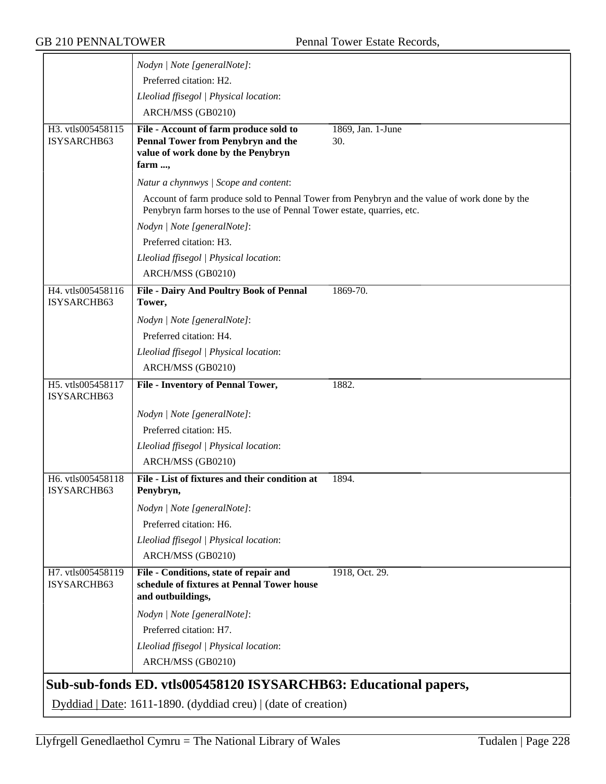|                                  | Nodyn   Note [generalNote]:                                                                               |                                                                                              |
|----------------------------------|-----------------------------------------------------------------------------------------------------------|----------------------------------------------------------------------------------------------|
|                                  | Preferred citation: H2.                                                                                   |                                                                                              |
|                                  | Lleoliad ffisegol   Physical location:                                                                    |                                                                                              |
|                                  | ARCH/MSS (GB0210)                                                                                         |                                                                                              |
| H3. vtls005458115                | File - Account of farm produce sold to                                                                    | 1869, Jan. 1-June                                                                            |
| ISYSARCHB63                      | Pennal Tower from Penybryn and the                                                                        | 30.                                                                                          |
|                                  | value of work done by the Penybryn<br>farm ,                                                              |                                                                                              |
|                                  | Natur a chynnwys / Scope and content:                                                                     |                                                                                              |
|                                  |                                                                                                           | Account of farm produce sold to Pennal Tower from Penybryn and the value of work done by the |
|                                  | Penybryn farm horses to the use of Pennal Tower estate, quarries, etc.                                    |                                                                                              |
|                                  | Nodyn   Note [generalNote]:                                                                               |                                                                                              |
|                                  | Preferred citation: H3.                                                                                   |                                                                                              |
|                                  | Lleoliad ffisegol   Physical location:                                                                    |                                                                                              |
|                                  | ARCH/MSS (GB0210)                                                                                         |                                                                                              |
| H4. vtls005458116<br>ISYSARCHB63 | <b>File - Dairy And Poultry Book of Pennal</b><br>Tower,                                                  | 1869-70.                                                                                     |
|                                  | Nodyn   Note [generalNote]:                                                                               |                                                                                              |
|                                  | Preferred citation: H4.                                                                                   |                                                                                              |
|                                  | Lleoliad ffisegol   Physical location:                                                                    |                                                                                              |
|                                  | ARCH/MSS (GB0210)                                                                                         |                                                                                              |
| H5. vtls005458117<br>ISYSARCHB63 | <b>File - Inventory of Pennal Tower,</b>                                                                  | 1882.                                                                                        |
|                                  | Nodyn   Note [generalNote]:                                                                               |                                                                                              |
|                                  | Preferred citation: H5.                                                                                   |                                                                                              |
|                                  | Lleoliad ffisegol   Physical location:                                                                    |                                                                                              |
|                                  | ARCH/MSS (GB0210)                                                                                         |                                                                                              |
| H6. vtls005458118                | File - List of fixtures and their condition at                                                            | 1894.                                                                                        |
| ISYSARCHB63                      | Penybryn,                                                                                                 |                                                                                              |
|                                  | Nodyn   Note [generalNote]:                                                                               |                                                                                              |
|                                  | Preferred citation: H6.                                                                                   |                                                                                              |
|                                  | Lleoliad ffisegol   Physical location:                                                                    |                                                                                              |
|                                  | ARCH/MSS (GB0210)                                                                                         |                                                                                              |
| H7. vtls005458119<br>ISYSARCHB63 | File - Conditions, state of repair and<br>schedule of fixtures at Pennal Tower house<br>and outbuildings, | 1918, Oct. 29.                                                                               |
|                                  | Nodyn   Note [generalNote]:                                                                               |                                                                                              |
|                                  | Preferred citation: H7.                                                                                   |                                                                                              |
|                                  | Lleoliad ffisegol   Physical location:                                                                    |                                                                                              |
|                                  | ARCH/MSS (GB0210)                                                                                         |                                                                                              |
|                                  | Sub-sub-fonds ED. vtls005458120 ISYSARCHB63: Educational papers,                                          |                                                                                              |
|                                  | Dyddiad   Date: 1611-1890. (dyddiad creu)   (date of creation)                                            |                                                                                              |
|                                  |                                                                                                           |                                                                                              |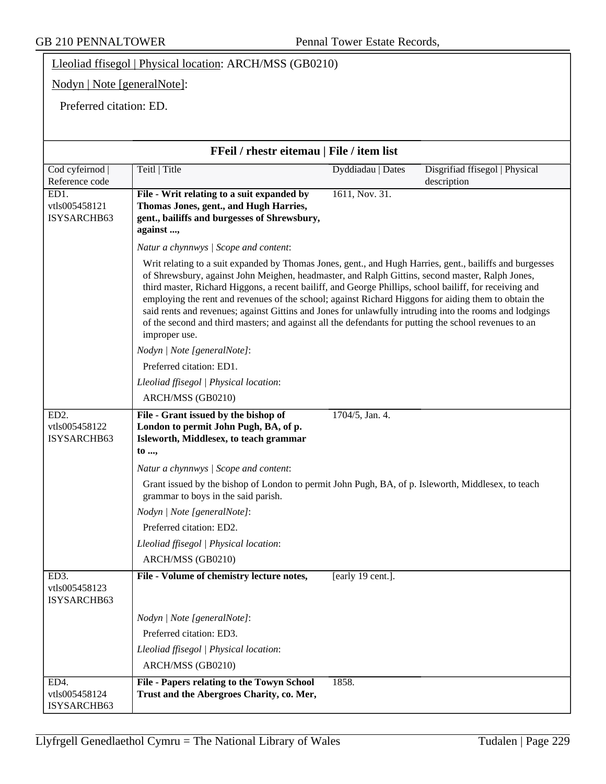Lleoliad ffisegol | Physical location: ARCH/MSS (GB0210)

Nodyn | Note [generalNote]:

Preferred citation: ED.

| FFeil / rhestr eitemau   File / item list         |                                                                                                                                                                                                                                                                                                                                                                                                                                                                                                                                                                                                                                                                     |  |
|---------------------------------------------------|---------------------------------------------------------------------------------------------------------------------------------------------------------------------------------------------------------------------------------------------------------------------------------------------------------------------------------------------------------------------------------------------------------------------------------------------------------------------------------------------------------------------------------------------------------------------------------------------------------------------------------------------------------------------|--|
| Cod cyfeirnod  <br>Reference code                 | Teitl   Title<br>Disgrifiad ffisegol   Physical<br>Dyddiadau   Dates<br>description                                                                                                                                                                                                                                                                                                                                                                                                                                                                                                                                                                                 |  |
| ED1.<br>vtls005458121<br>ISYSARCHB63              | 1611, Nov. 31.<br>File - Writ relating to a suit expanded by<br>Thomas Jones, gent., and Hugh Harries,<br>gent., bailiffs and burgesses of Shrewsbury,<br>against ,                                                                                                                                                                                                                                                                                                                                                                                                                                                                                                 |  |
|                                                   | Natur a chynnwys / Scope and content:                                                                                                                                                                                                                                                                                                                                                                                                                                                                                                                                                                                                                               |  |
|                                                   | Writ relating to a suit expanded by Thomas Jones, gent., and Hugh Harries, gent., bailiffs and burgesses<br>of Shrewsbury, against John Meighen, headmaster, and Ralph Gittins, second master, Ralph Jones,<br>third master, Richard Higgons, a recent bailiff, and George Phillips, school bailiff, for receiving and<br>employing the rent and revenues of the school; against Richard Higgons for aiding them to obtain the<br>said rents and revenues; against Gittins and Jones for unlawfully intruding into the rooms and lodgings<br>of the second and third masters; and against all the defendants for putting the school revenues to an<br>improper use. |  |
|                                                   | Nodyn   Note [generalNote]:                                                                                                                                                                                                                                                                                                                                                                                                                                                                                                                                                                                                                                         |  |
|                                                   | Preferred citation: ED1.                                                                                                                                                                                                                                                                                                                                                                                                                                                                                                                                                                                                                                            |  |
|                                                   | Lleoliad ffisegol   Physical location:                                                                                                                                                                                                                                                                                                                                                                                                                                                                                                                                                                                                                              |  |
|                                                   | ARCH/MSS (GB0210)                                                                                                                                                                                                                                                                                                                                                                                                                                                                                                                                                                                                                                                   |  |
| ED <sub>2</sub> .<br>vtls005458122<br>ISYSARCHB63 | 1704/5, Jan. 4.<br>File - Grant issued by the bishop of<br>London to permit John Pugh, BA, of p.<br>Isleworth, Middlesex, to teach grammar<br>to ,                                                                                                                                                                                                                                                                                                                                                                                                                                                                                                                  |  |
|                                                   | Natur a chynnwys / Scope and content:                                                                                                                                                                                                                                                                                                                                                                                                                                                                                                                                                                                                                               |  |
|                                                   | Grant issued by the bishop of London to permit John Pugh, BA, of p. Isleworth, Middlesex, to teach<br>grammar to boys in the said parish.                                                                                                                                                                                                                                                                                                                                                                                                                                                                                                                           |  |
|                                                   | Nodyn   Note [generalNote]:                                                                                                                                                                                                                                                                                                                                                                                                                                                                                                                                                                                                                                         |  |
|                                                   | Preferred citation: ED2.                                                                                                                                                                                                                                                                                                                                                                                                                                                                                                                                                                                                                                            |  |
|                                                   | Lleoliad ffisegol   Physical location:                                                                                                                                                                                                                                                                                                                                                                                                                                                                                                                                                                                                                              |  |
|                                                   | ARCH/MSS (GB0210)                                                                                                                                                                                                                                                                                                                                                                                                                                                                                                                                                                                                                                                   |  |
| ED3.<br>vtls005458123<br>ISYSARCHB63              | File - Volume of chemistry lecture notes,<br>[early 19 cent.].                                                                                                                                                                                                                                                                                                                                                                                                                                                                                                                                                                                                      |  |
|                                                   | Nodyn   Note [generalNote]:                                                                                                                                                                                                                                                                                                                                                                                                                                                                                                                                                                                                                                         |  |
|                                                   | Preferred citation: ED3.                                                                                                                                                                                                                                                                                                                                                                                                                                                                                                                                                                                                                                            |  |
|                                                   | Lleoliad ffisegol   Physical location:                                                                                                                                                                                                                                                                                                                                                                                                                                                                                                                                                                                                                              |  |
|                                                   | ARCH/MSS (GB0210)                                                                                                                                                                                                                                                                                                                                                                                                                                                                                                                                                                                                                                                   |  |
| ED4.<br>vtls005458124<br>ISYSARCHB63              | File - Papers relating to the Towyn School<br>1858.<br>Trust and the Abergroes Charity, co. Mer,                                                                                                                                                                                                                                                                                                                                                                                                                                                                                                                                                                    |  |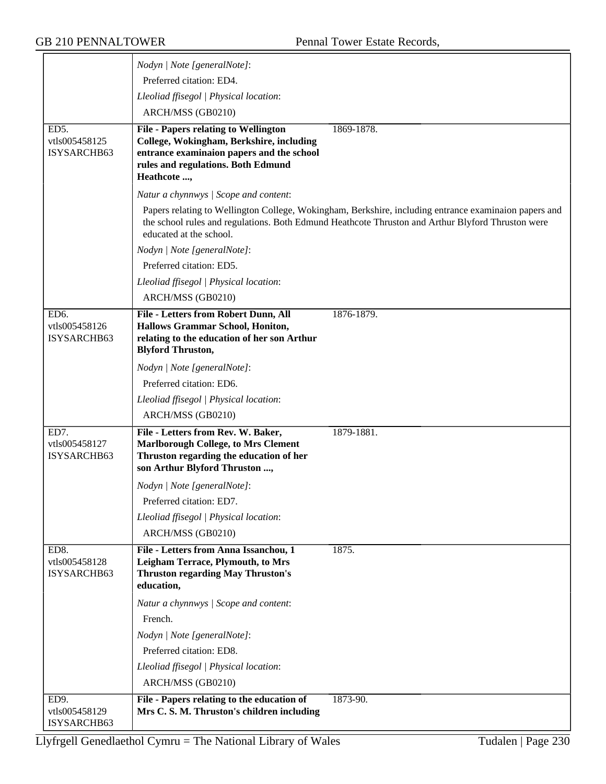|                                      | Nodyn   Note [generalNote]:                                                                                            |                                                                                                       |
|--------------------------------------|------------------------------------------------------------------------------------------------------------------------|-------------------------------------------------------------------------------------------------------|
|                                      | Preferred citation: ED4.                                                                                               |                                                                                                       |
|                                      | Lleoliad ffisegol   Physical location:                                                                                 |                                                                                                       |
|                                      | ARCH/MSS (GB0210)                                                                                                      |                                                                                                       |
| ED5.                                 | <b>File - Papers relating to Wellington</b>                                                                            | 1869-1878.                                                                                            |
| vtls005458125                        | College, Wokingham, Berkshire, including                                                                               |                                                                                                       |
| ISYSARCHB63                          | entrance examinaion papers and the school                                                                              |                                                                                                       |
|                                      | rules and regulations. Both Edmund<br>Heathcote ,                                                                      |                                                                                                       |
|                                      | Natur a chynnwys / Scope and content:                                                                                  |                                                                                                       |
|                                      |                                                                                                                        | Papers relating to Wellington College, Wokingham, Berkshire, including entrance examinaion papers and |
|                                      | educated at the school.                                                                                                | the school rules and regulations. Both Edmund Heathcote Thruston and Arthur Blyford Thruston were     |
|                                      | Nodyn   Note [generalNote]:                                                                                            |                                                                                                       |
|                                      | Preferred citation: ED5.                                                                                               |                                                                                                       |
|                                      | Lleoliad ffisegol   Physical location:                                                                                 |                                                                                                       |
|                                      | ARCH/MSS (GB0210)                                                                                                      |                                                                                                       |
| ED <sub>6</sub> .                    | File - Letters from Robert Dunn, All                                                                                   | 1876-1879.                                                                                            |
| vtls005458126                        | Hallows Grammar School, Honiton,                                                                                       |                                                                                                       |
| ISYSARCHB63                          | relating to the education of her son Arthur<br><b>Blyford Thruston,</b>                                                |                                                                                                       |
|                                      | Nodyn   Note [generalNote]:                                                                                            |                                                                                                       |
|                                      | Preferred citation: ED6.                                                                                               |                                                                                                       |
|                                      | Lleoliad ffisegol   Physical location:                                                                                 |                                                                                                       |
|                                      | ARCH/MSS (GB0210)                                                                                                      |                                                                                                       |
| ED7.                                 | File - Letters from Rev. W. Baker,                                                                                     | 1879-1881.                                                                                            |
| vtls005458127                        | <b>Marlborough College, to Mrs Clement</b>                                                                             |                                                                                                       |
| ISYSARCHB63                          | Thruston regarding the education of her<br>son Arthur Blyford Thruston ,                                               |                                                                                                       |
|                                      | Nodyn   Note [generalNote]:                                                                                            |                                                                                                       |
|                                      | Preferred citation: ED7.                                                                                               |                                                                                                       |
|                                      | Lleoliad ffisegol   Physical location:                                                                                 |                                                                                                       |
|                                      | ARCH/MSS (GB0210)                                                                                                      |                                                                                                       |
| ED8.<br>vtls005458128<br>ISYSARCHB63 | File - Letters from Anna Issanchou, 1<br>Leigham Terrace, Plymouth, to Mrs<br><b>Thruston regarding May Thruston's</b> | 1875.                                                                                                 |
|                                      | education,                                                                                                             |                                                                                                       |
|                                      | Natur a chynnwys / Scope and content:                                                                                  |                                                                                                       |
|                                      | French.                                                                                                                |                                                                                                       |
|                                      | Nodyn   Note [generalNote]:                                                                                            |                                                                                                       |
|                                      | Preferred citation: ED8.                                                                                               |                                                                                                       |
|                                      | Lleoliad ffisegol   Physical location:                                                                                 |                                                                                                       |
|                                      | ARCH/MSS (GB0210)                                                                                                      |                                                                                                       |
| ED9.                                 | File - Papers relating to the education of                                                                             | 1873-90.                                                                                              |
| vtls005458129<br>ISYSARCHB63         | Mrs C. S. M. Thruston's children including                                                                             |                                                                                                       |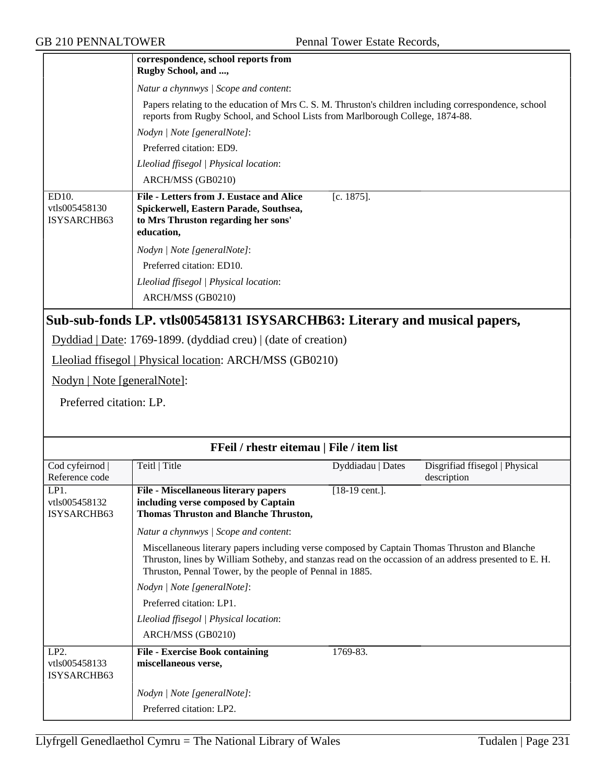|                                       | correspondence, school reports from<br>Rugby School, and ,                                                                                                                              |                   |                                               |
|---------------------------------------|-----------------------------------------------------------------------------------------------------------------------------------------------------------------------------------------|-------------------|-----------------------------------------------|
|                                       | Natur a chynnwys / Scope and content:                                                                                                                                                   |                   |                                               |
|                                       | Papers relating to the education of Mrs C. S. M. Thruston's children including correspondence, school<br>reports from Rugby School, and School Lists from Marlborough College, 1874-88. |                   |                                               |
|                                       | Nodyn   Note [generalNote]:                                                                                                                                                             |                   |                                               |
|                                       | Preferred citation: ED9.                                                                                                                                                                |                   |                                               |
|                                       | Lleoliad ffisegol   Physical location:                                                                                                                                                  |                   |                                               |
|                                       | ARCH/MSS (GB0210)                                                                                                                                                                       |                   |                                               |
| ED10.<br>vtls005458130<br>ISYSARCHB63 | File - Letters from J. Eustace and Alice<br>Spickerwell, Eastern Parade, Southsea,<br>to Mrs Thruston regarding her sons'<br>education,                                                 | $[c. 1875]$ .     |                                               |
|                                       | Nodyn   Note [generalNote]:                                                                                                                                                             |                   |                                               |
|                                       | Preferred citation: ED10.                                                                                                                                                               |                   |                                               |
|                                       | Lleoliad ffisegol   Physical location:                                                                                                                                                  |                   |                                               |
|                                       | ARCH/MSS (GB0210)                                                                                                                                                                       |                   |                                               |
|                                       | Sub-sub-fonds LP. vtls005458131 ISYSARCHB63: Literary and musical papers,                                                                                                               |                   |                                               |
|                                       | $Dyddiad   Date: 1769-1899. (dyddiad creu)   (date of creation)$                                                                                                                        |                   |                                               |
|                                       | Lleoliad ffisegol   Physical location: ARCH/MSS (GB0210)                                                                                                                                |                   |                                               |
| Nodyn   Note [generalNote]:           |                                                                                                                                                                                         |                   |                                               |
| Preferred citation: LP.               |                                                                                                                                                                                         |                   |                                               |
|                                       |                                                                                                                                                                                         |                   |                                               |
|                                       | FFeil / rhestr eitemau   File / item list                                                                                                                                               |                   |                                               |
| Cod cyfeirnod  <br>Reference code     | Teitl   Title                                                                                                                                                                           | Dyddiadau   Dates | Disgrifiad ffisegol   Physical<br>description |

| Cod cyfeirnod                                     | Teitl   Title                                                                                                                                                                                                                                                       | Dyddiadau   Dates         | Disgrifiad ffisegol   Physical |
|---------------------------------------------------|---------------------------------------------------------------------------------------------------------------------------------------------------------------------------------------------------------------------------------------------------------------------|---------------------------|--------------------------------|
| Reference code                                    |                                                                                                                                                                                                                                                                     |                           | description                    |
| LP1.                                              | <b>File - Miscellaneous literary papers</b>                                                                                                                                                                                                                         | $[18-19 \text{ cent.}]$ . |                                |
| vtls005458132                                     | including verse composed by Captain                                                                                                                                                                                                                                 |                           |                                |
| ISYSARCHB63                                       | <b>Thomas Thruston and Blanche Thruston,</b>                                                                                                                                                                                                                        |                           |                                |
|                                                   | Natur a chynnwys / Scope and content:                                                                                                                                                                                                                               |                           |                                |
|                                                   | Miscellaneous literary papers including verse composed by Captain Thomas Thruston and Blanche<br>Thruston, lines by William Sotheby, and stanzas read on the occassion of an address presented to E. H.<br>Thruston, Pennal Tower, by the people of Pennal in 1885. |                           |                                |
|                                                   | Nodyn   Note [generalNote]:                                                                                                                                                                                                                                         |                           |                                |
|                                                   | Preferred citation: LP1.                                                                                                                                                                                                                                            |                           |                                |
|                                                   | Lleoliad ffisegol   Physical location:                                                                                                                                                                                                                              |                           |                                |
|                                                   | ARCH/MSS (GB0210)                                                                                                                                                                                                                                                   |                           |                                |
| LP <sub>2</sub> .<br>vtls005458133<br>ISYSARCHB63 | <b>File - Exercise Book containing</b><br>miscellaneous verse,                                                                                                                                                                                                      | 1769-83.                  |                                |
|                                                   | Nodyn   Note [generalNote]:                                                                                                                                                                                                                                         |                           |                                |
|                                                   | Preferred citation: LP2.                                                                                                                                                                                                                                            |                           |                                |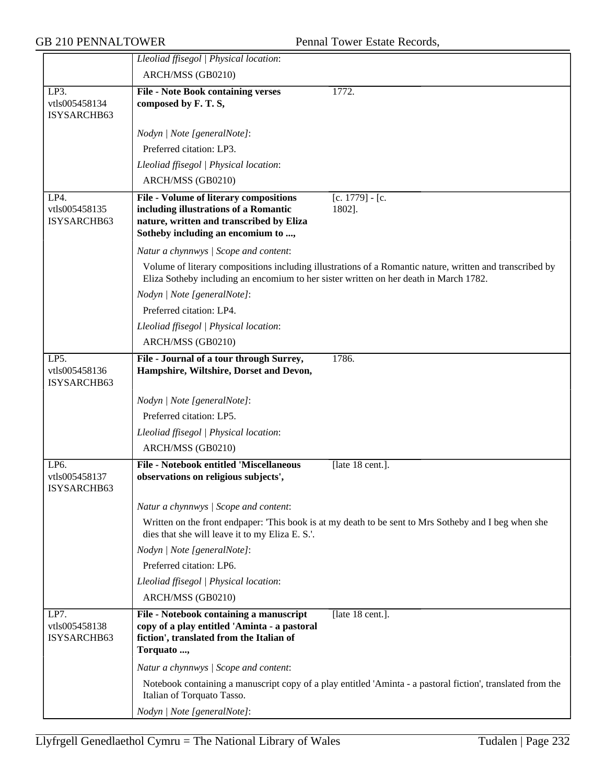|                                             | Lleoliad ffisegol   Physical location:                                                                                                                                                                                           |
|---------------------------------------------|----------------------------------------------------------------------------------------------------------------------------------------------------------------------------------------------------------------------------------|
|                                             | ARCH/MSS (GB0210)                                                                                                                                                                                                                |
| LP3.<br>vtls005458134<br>ISYSARCHB63        | 1772.<br><b>File - Note Book containing verses</b><br>composed by F. T. S,                                                                                                                                                       |
|                                             | Nodyn   Note [generalNote]:                                                                                                                                                                                                      |
|                                             | Preferred citation: LP3.                                                                                                                                                                                                         |
|                                             | Lleoliad ffisegol   Physical location:                                                                                                                                                                                           |
|                                             | ARCH/MSS (GB0210)                                                                                                                                                                                                                |
| LP4.<br>vtls005458135<br>ISYSARCHB63        | File - Volume of literary compositions<br>$[c. 1779] - [c.$<br>including illustrations of a Romantic<br>1802].<br>nature, written and transcribed by Eliza<br>Sotheby including an encomium to ,                                 |
|                                             | Natur a chynnwys / Scope and content:                                                                                                                                                                                            |
|                                             | Volume of literary compositions including illustrations of a Romantic nature, written and transcribed by<br>Eliza Sotheby including an encomium to her sister written on her death in March 1782.<br>Nodyn   Note [generalNote]: |
|                                             | Preferred citation: LP4.                                                                                                                                                                                                         |
|                                             | Lleoliad ffisegol   Physical location:                                                                                                                                                                                           |
|                                             | ARCH/MSS (GB0210)                                                                                                                                                                                                                |
| LP5.<br>vtls005458136<br>ISYSARCHB63        | File - Journal of a tour through Surrey,<br>1786.<br>Hampshire, Wiltshire, Dorset and Devon,                                                                                                                                     |
|                                             | Nodyn   Note [generalNote]:                                                                                                                                                                                                      |
|                                             | Preferred citation: LP5.                                                                                                                                                                                                         |
|                                             | Lleoliad ffisegol   Physical location:                                                                                                                                                                                           |
|                                             | ARCH/MSS (GB0210)                                                                                                                                                                                                                |
| LP6.<br>vtls005458137<br><b>ISYSARCHB63</b> | <b>File - Notebook entitled 'Miscellaneous</b><br>[late 18 cent.].<br>observations on religious subjects',                                                                                                                       |
|                                             | Natur a chynnwys / Scope and content:                                                                                                                                                                                            |
|                                             | Written on the front endpaper: 'This book is at my death to be sent to Mrs Sotheby and I beg when she<br>dies that she will leave it to my Eliza E. S.'.                                                                         |
|                                             | Nodyn   Note [generalNote]:                                                                                                                                                                                                      |
|                                             | Preferred citation: LP6.                                                                                                                                                                                                         |
|                                             | Lleoliad ffisegol   Physical location:                                                                                                                                                                                           |
|                                             | ARCH/MSS (GB0210)                                                                                                                                                                                                                |
| LP7.<br>vtls005458138<br>ISYSARCHB63        | File - Notebook containing a manuscript<br>[late 18 cent.].<br>copy of a play entitled 'Aminta - a pastoral<br>fiction', translated from the Italian of<br>Torquato ,                                                            |
|                                             | Natur a chynnwys / Scope and content:                                                                                                                                                                                            |
|                                             | Notebook containing a manuscript copy of a play entitled 'Aminta - a pastoral fiction', translated from the<br>Italian of Torquato Tasso.                                                                                        |
|                                             | Nodyn   Note [generalNote]:                                                                                                                                                                                                      |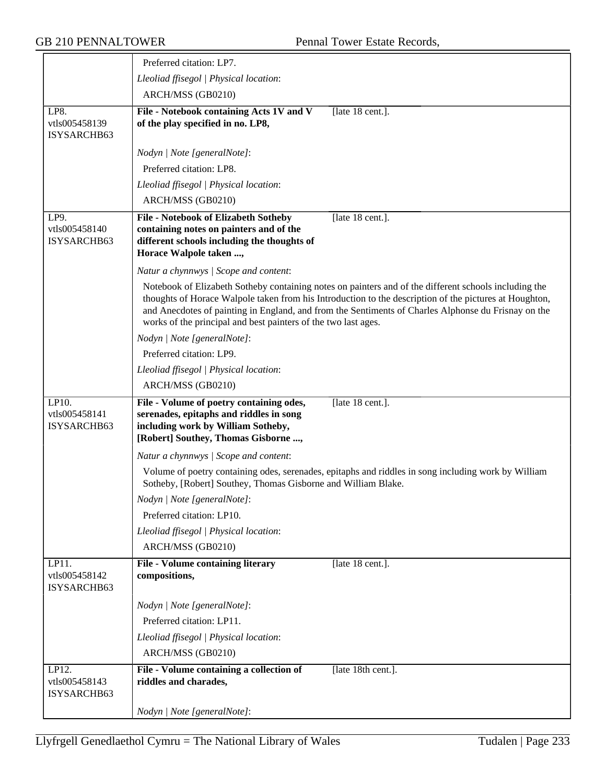|                                       | Preferred citation: LP7.                                                                                                                                                                                                                                                                                                                                                                 |
|---------------------------------------|------------------------------------------------------------------------------------------------------------------------------------------------------------------------------------------------------------------------------------------------------------------------------------------------------------------------------------------------------------------------------------------|
|                                       | Lleoliad ffisegol   Physical location:                                                                                                                                                                                                                                                                                                                                                   |
|                                       | ARCH/MSS (GB0210)                                                                                                                                                                                                                                                                                                                                                                        |
| LP8.<br>vtls005458139<br>ISYSARCHB63  | File - Notebook containing Acts 1V and V<br>[late 18 cent.].<br>of the play specified in no. LP8,                                                                                                                                                                                                                                                                                        |
|                                       | Nodyn   Note [generalNote]:                                                                                                                                                                                                                                                                                                                                                              |
|                                       | Preferred citation: LP8.                                                                                                                                                                                                                                                                                                                                                                 |
|                                       | Lleoliad ffisegol   Physical location:                                                                                                                                                                                                                                                                                                                                                   |
|                                       | ARCH/MSS (GB0210)                                                                                                                                                                                                                                                                                                                                                                        |
| LP9.<br>vtls005458140<br>ISYSARCHB63  | File - Notebook of Elizabeth Sotheby<br>[late 18 cent.].<br>containing notes on painters and of the<br>different schools including the thoughts of<br>Horace Walpole taken ,                                                                                                                                                                                                             |
|                                       | Natur a chynnwys / Scope and content:                                                                                                                                                                                                                                                                                                                                                    |
|                                       | Notebook of Elizabeth Sotheby containing notes on painters and of the different schools including the<br>thoughts of Horace Walpole taken from his Introduction to the description of the pictures at Houghton,<br>and Anecdotes of painting in England, and from the Sentiments of Charles Alphonse du Frisnay on the<br>works of the principal and best painters of the two last ages. |
|                                       | Nodyn   Note [generalNote]:                                                                                                                                                                                                                                                                                                                                                              |
|                                       | Preferred citation: LP9.                                                                                                                                                                                                                                                                                                                                                                 |
|                                       | Lleoliad ffisegol   Physical location:                                                                                                                                                                                                                                                                                                                                                   |
|                                       | ARCH/MSS (GB0210)                                                                                                                                                                                                                                                                                                                                                                        |
| LP10.<br>vtls005458141<br>ISYSARCHB63 | File - Volume of poetry containing odes,<br>[late 18 cent.].<br>serenades, epitaphs and riddles in song<br>including work by William Sotheby,<br>[Robert] Southey, Thomas Gisborne ,                                                                                                                                                                                                     |
|                                       | Natur a chynnwys / Scope and content:                                                                                                                                                                                                                                                                                                                                                    |
|                                       | Volume of poetry containing odes, serenades, epitaphs and riddles in song including work by William<br>Sotheby, [Robert] Southey, Thomas Gisborne and William Blake.                                                                                                                                                                                                                     |
|                                       | Nodyn   Note [generalNote]:                                                                                                                                                                                                                                                                                                                                                              |
|                                       | Preferred citation: LP10.                                                                                                                                                                                                                                                                                                                                                                |
|                                       | Lleoliad ffisegol   Physical location:                                                                                                                                                                                                                                                                                                                                                   |
|                                       | ARCH/MSS (GB0210)                                                                                                                                                                                                                                                                                                                                                                        |
| LP11.<br>vtls005458142<br>ISYSARCHB63 | <b>File - Volume containing literary</b><br>[late 18 cent.].<br>compositions,                                                                                                                                                                                                                                                                                                            |
|                                       | Nodyn   Note [generalNote]:                                                                                                                                                                                                                                                                                                                                                              |
|                                       | Preferred citation: LP11.                                                                                                                                                                                                                                                                                                                                                                |
|                                       | Lleoliad ffisegol   Physical location:                                                                                                                                                                                                                                                                                                                                                   |
|                                       | ARCH/MSS (GB0210)                                                                                                                                                                                                                                                                                                                                                                        |
| LP12.<br>vtls005458143<br>ISYSARCHB63 | File - Volume containing a collection of<br>[late 18th cent.].<br>riddles and charades,                                                                                                                                                                                                                                                                                                  |
|                                       | Nodyn   Note [generalNote]:                                                                                                                                                                                                                                                                                                                                                              |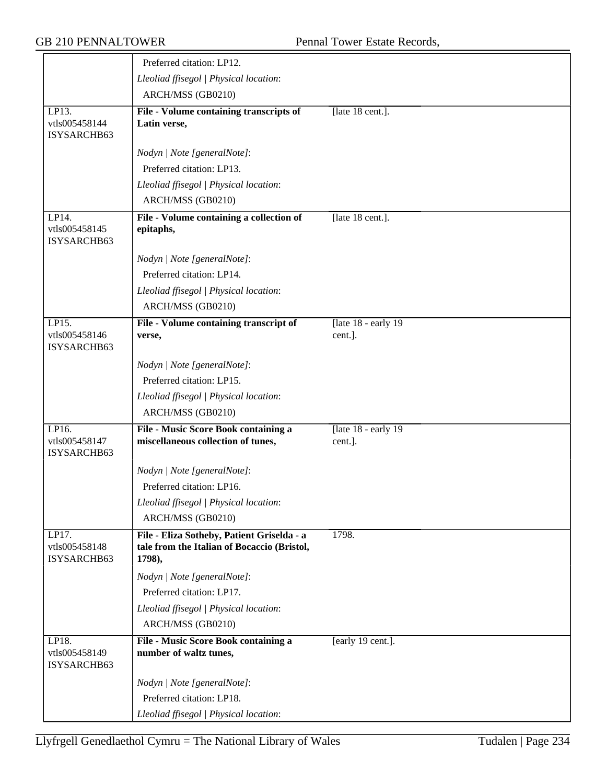|                                       | Preferred citation: LP12.                                                                           |                                  |
|---------------------------------------|-----------------------------------------------------------------------------------------------------|----------------------------------|
|                                       | Lleoliad ffisegol   Physical location:                                                              |                                  |
|                                       | ARCH/MSS (GB0210)                                                                                   |                                  |
| LP13.<br>vtls005458144<br>ISYSARCHB63 | File - Volume containing transcripts of<br>Latin verse,                                             | [late 18 cent.].                 |
|                                       | Nodyn   Note [generalNote]:                                                                         |                                  |
|                                       | Preferred citation: LP13.                                                                           |                                  |
|                                       | Lleoliad ffisegol   Physical location:                                                              |                                  |
|                                       | ARCH/MSS (GB0210)                                                                                   |                                  |
| LP14.<br>vtls005458145<br>ISYSARCHB63 | File - Volume containing a collection of<br>epitaphs,                                               | [late 18 cent.].                 |
|                                       | Nodyn   Note [generalNote]:                                                                         |                                  |
|                                       | Preferred citation: LP14.                                                                           |                                  |
|                                       | Lleoliad ffisegol   Physical location:                                                              |                                  |
|                                       | ARCH/MSS (GB0210)                                                                                   |                                  |
| LP15.                                 | File - Volume containing transcript of                                                              | [late $18$ - early $19$          |
| vtls005458146<br>ISYSARCHB63          | verse,                                                                                              | cent.].                          |
|                                       | Nodyn   Note [generalNote]:                                                                         |                                  |
|                                       | Preferred citation: LP15.                                                                           |                                  |
|                                       | Lleoliad ffisegol   Physical location:                                                              |                                  |
|                                       | ARCH/MSS (GB0210)                                                                                   |                                  |
| LP16.<br>vtls005458147<br>ISYSARCHB63 | File - Music Score Book containing a<br>miscellaneous collection of tunes,                          | [late $18$ - early 19<br>cent.]. |
|                                       | Nodyn   Note [generalNote]:                                                                         |                                  |
|                                       | Preferred citation: LP16.                                                                           |                                  |
|                                       | Lleoliad ffisegol   Physical location:                                                              |                                  |
|                                       | ARCH/MSS (GB0210)                                                                                   |                                  |
| LP17.<br>vtls005458148<br>ISYSARCHB63 | File - Eliza Sotheby, Patient Griselda - a<br>tale from the Italian of Bocaccio (Bristol,<br>1798), | 1798.                            |
|                                       | Nodyn   Note [generalNote]:                                                                         |                                  |
|                                       | Preferred citation: LP17.                                                                           |                                  |
|                                       | Lleoliad ffisegol   Physical location:                                                              |                                  |
|                                       | ARCH/MSS (GB0210)                                                                                   |                                  |
| LP18.<br>vtls005458149<br>ISYSARCHB63 | File - Music Score Book containing a<br>number of waltz tunes,                                      | [early 19 cent.].                |
|                                       | Nodyn   Note [generalNote]:                                                                         |                                  |
|                                       | Preferred citation: LP18.                                                                           |                                  |
|                                       | Lleoliad ffisegol   Physical location:                                                              |                                  |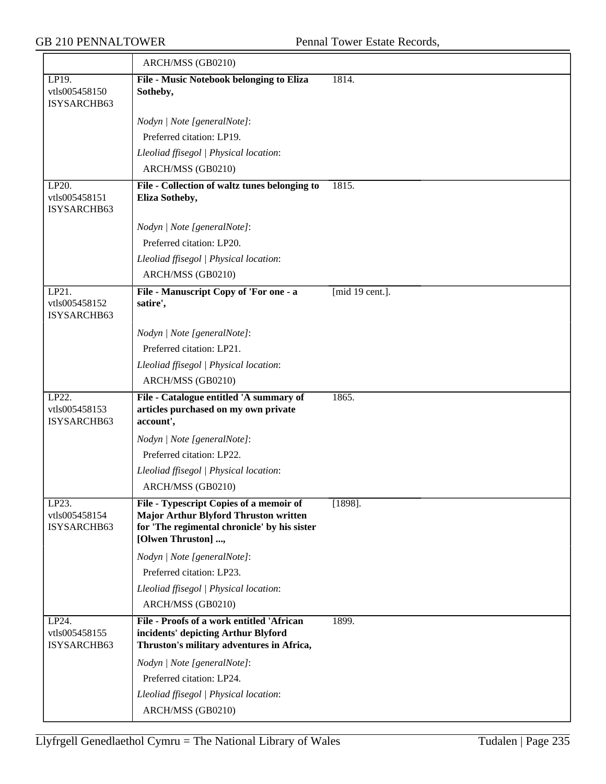|                                       | ARCH/MSS (GB0210)                                                                                                                                             |                 |
|---------------------------------------|---------------------------------------------------------------------------------------------------------------------------------------------------------------|-----------------|
| LP19.<br>vtls005458150<br>ISYSARCHB63 | File - Music Notebook belonging to Eliza<br>Sotheby,                                                                                                          | 1814.           |
|                                       | Nodyn   Note [generalNote]:                                                                                                                                   |                 |
|                                       | Preferred citation: LP19.                                                                                                                                     |                 |
|                                       | Lleoliad ffisegol   Physical location:                                                                                                                        |                 |
|                                       | ARCH/MSS (GB0210)                                                                                                                                             |                 |
| LP20.<br>vtls005458151<br>ISYSARCHB63 | File - Collection of waltz tunes belonging to<br>Eliza Sotheby,                                                                                               | 1815.           |
|                                       | Nodyn   Note [generalNote]:                                                                                                                                   |                 |
|                                       | Preferred citation: LP20.                                                                                                                                     |                 |
|                                       | Lleoliad ffisegol   Physical location:                                                                                                                        |                 |
|                                       | ARCH/MSS (GB0210)                                                                                                                                             |                 |
| LP21.<br>vtls005458152<br>ISYSARCHB63 | File - Manuscript Copy of 'For one - a<br>satire',                                                                                                            | [mid 19 cent.]. |
|                                       | Nodyn   Note [generalNote]:                                                                                                                                   |                 |
|                                       | Preferred citation: LP21.                                                                                                                                     |                 |
|                                       | Lleoliad ffisegol   Physical location:                                                                                                                        |                 |
|                                       | ARCH/MSS (GB0210)                                                                                                                                             |                 |
| LP22.<br>vtls005458153<br>ISYSARCHB63 | File - Catalogue entitled 'A summary of<br>articles purchased on my own private<br>account',                                                                  | 1865.           |
|                                       | Nodyn   Note [generalNote]:                                                                                                                                   |                 |
|                                       | Preferred citation: LP22.                                                                                                                                     |                 |
|                                       | Lleoliad ffisegol   Physical location:                                                                                                                        |                 |
|                                       | ARCH/MSS (GB0210)                                                                                                                                             |                 |
| LP23.<br>vtls005458154<br>ISYSARCHB63 | File - Typescript Copies of a memoir of<br><b>Major Arthur Blyford Thruston written</b><br>for 'The regimental chronicle' by his sister<br>[Olwen Thruston] , | $[1898]$ .      |
|                                       | Nodyn   Note [generalNote]:                                                                                                                                   |                 |
|                                       | Preferred citation: LP23.                                                                                                                                     |                 |
|                                       | Lleoliad ffisegol   Physical location:                                                                                                                        |                 |
|                                       | ARCH/MSS (GB0210)                                                                                                                                             |                 |
| LP24.<br>vtls005458155<br>ISYSARCHB63 | File - Proofs of a work entitled 'African<br>incidents' depicting Arthur Blyford<br>Thruston's military adventures in Africa,                                 | 1899.           |
|                                       | Nodyn   Note [generalNote]:                                                                                                                                   |                 |
|                                       | Preferred citation: LP24.                                                                                                                                     |                 |
|                                       |                                                                                                                                                               |                 |
|                                       | Lleoliad ffisegol   Physical location:                                                                                                                        |                 |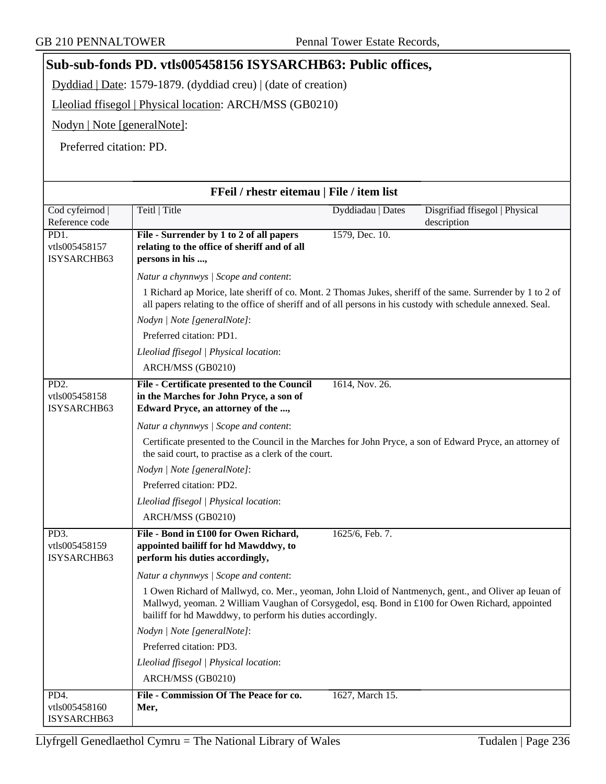## **Sub-sub-fonds PD. vtls005458156 ISYSARCHB63: Public offices,**

Dyddiad | Date: 1579-1879. (dyddiad creu) | (date of creation)

Lleoliad ffisegol | Physical location: ARCH/MSS (GB0210)

Nodyn | Note [generalNote]:

Preferred citation: PD.

|                              | FFeil / rhestr eitemau   File / item list                                                                                                                                                                                                                             |                   |                                |
|------------------------------|-----------------------------------------------------------------------------------------------------------------------------------------------------------------------------------------------------------------------------------------------------------------------|-------------------|--------------------------------|
| Cod cyfeirnod                | Teitl   Title                                                                                                                                                                                                                                                         | Dyddiadau   Dates | Disgrifiad ffisegol   Physical |
| Reference code               |                                                                                                                                                                                                                                                                       |                   | description                    |
| PD1.<br>vtls005458157        | File - Surrender by 1 to 2 of all papers<br>relating to the office of sheriff and of all                                                                                                                                                                              | 1579, Dec. 10.    |                                |
| ISYSARCHB63                  | persons in his ,                                                                                                                                                                                                                                                      |                   |                                |
|                              | Natur a chynnwys / Scope and content:                                                                                                                                                                                                                                 |                   |                                |
|                              | 1 Richard ap Morice, late sheriff of co. Mont. 2 Thomas Jukes, sheriff of the same. Surrender by 1 to 2 of                                                                                                                                                            |                   |                                |
|                              | all papers relating to the office of sheriff and of all persons in his custody with schedule annexed. Seal.                                                                                                                                                           |                   |                                |
|                              | Nodyn   Note [generalNote]:                                                                                                                                                                                                                                           |                   |                                |
|                              | Preferred citation: PD1.                                                                                                                                                                                                                                              |                   |                                |
|                              | Lleoliad ffisegol   Physical location:                                                                                                                                                                                                                                |                   |                                |
|                              | ARCH/MSS (GB0210)                                                                                                                                                                                                                                                     |                   |                                |
| PD <sub>2</sub> .            | File - Certificate presented to the Council                                                                                                                                                                                                                           | 1614, Nov. 26.    |                                |
| vtls005458158                | in the Marches for John Pryce, a son of                                                                                                                                                                                                                               |                   |                                |
| ISYSARCHB63                  | Edward Pryce, an attorney of the ,                                                                                                                                                                                                                                    |                   |                                |
|                              | Natur a chynnwys / Scope and content:                                                                                                                                                                                                                                 |                   |                                |
|                              | Certificate presented to the Council in the Marches for John Pryce, a son of Edward Pryce, an attorney of<br>the said court, to practise as a clerk of the court.                                                                                                     |                   |                                |
|                              | Nodyn   Note [generalNote]:                                                                                                                                                                                                                                           |                   |                                |
|                              | Preferred citation: PD2.                                                                                                                                                                                                                                              |                   |                                |
|                              | Lleoliad ffisegol   Physical location:                                                                                                                                                                                                                                |                   |                                |
|                              | ARCH/MSS (GB0210)                                                                                                                                                                                                                                                     |                   |                                |
| PD3.                         | File - Bond in £100 for Owen Richard,                                                                                                                                                                                                                                 | 1625/6, Feb. 7.   |                                |
| vtls005458159                | appointed bailiff for hd Mawddwy, to                                                                                                                                                                                                                                  |                   |                                |
| ISYSARCHB63                  | perform his duties accordingly,                                                                                                                                                                                                                                       |                   |                                |
|                              | Natur a chynnwys / Scope and content:                                                                                                                                                                                                                                 |                   |                                |
|                              | 1 Owen Richard of Mallwyd, co. Mer., yeoman, John Lloid of Nantmenych, gent., and Oliver ap Ieuan of<br>Mallwyd, yeoman. 2 William Vaughan of Corsygedol, esq. Bond in £100 for Owen Richard, appointed<br>bailiff for hd Mawddwy, to perform his duties accordingly. |                   |                                |
|                              | Nodyn   Note [generalNote]:                                                                                                                                                                                                                                           |                   |                                |
|                              | Preferred citation: PD3.                                                                                                                                                                                                                                              |                   |                                |
|                              | Lleoliad ffisegol   Physical location:                                                                                                                                                                                                                                |                   |                                |
|                              | ARCH/MSS (GB0210)                                                                                                                                                                                                                                                     |                   |                                |
| PD4.                         | File - Commission Of The Peace for co.                                                                                                                                                                                                                                | 1627, March 15.   |                                |
| vtls005458160<br>ISYSARCHB63 | Mer,                                                                                                                                                                                                                                                                  |                   |                                |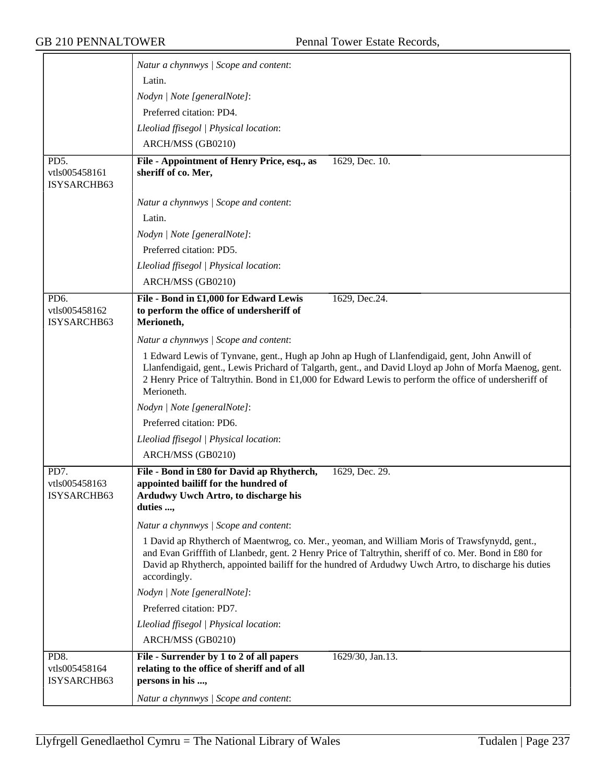|                                                   | Natur a chynnwys / Scope and content:                                                                                                                                                                                                                                                                                           |
|---------------------------------------------------|---------------------------------------------------------------------------------------------------------------------------------------------------------------------------------------------------------------------------------------------------------------------------------------------------------------------------------|
|                                                   | Latin.                                                                                                                                                                                                                                                                                                                          |
|                                                   | Nodyn   Note [generalNote]:                                                                                                                                                                                                                                                                                                     |
|                                                   | Preferred citation: PD4.                                                                                                                                                                                                                                                                                                        |
|                                                   | Lleoliad ffisegol   Physical location:                                                                                                                                                                                                                                                                                          |
|                                                   | ARCH/MSS (GB0210)                                                                                                                                                                                                                                                                                                               |
| PD5.                                              | File - Appointment of Henry Price, esq., as<br>1629, Dec. 10.                                                                                                                                                                                                                                                                   |
| vtls005458161<br>ISYSARCHB63                      | sheriff of co. Mer,                                                                                                                                                                                                                                                                                                             |
|                                                   | Natur a chynnwys / Scope and content:                                                                                                                                                                                                                                                                                           |
|                                                   | Latin.                                                                                                                                                                                                                                                                                                                          |
|                                                   | Nodyn   Note [generalNote]:                                                                                                                                                                                                                                                                                                     |
|                                                   | Preferred citation: PD5.                                                                                                                                                                                                                                                                                                        |
|                                                   | Lleoliad ffisegol   Physical location:                                                                                                                                                                                                                                                                                          |
|                                                   | ARCH/MSS (GB0210)                                                                                                                                                                                                                                                                                                               |
| PD <sub>6</sub> .<br>vtls005458162<br>ISYSARCHB63 | File - Bond in £1,000 for Edward Lewis<br>1629, Dec.24.<br>to perform the office of undersheriff of<br>Merioneth,                                                                                                                                                                                                               |
|                                                   | Natur a chynnwys / Scope and content:                                                                                                                                                                                                                                                                                           |
|                                                   | 1 Edward Lewis of Tynvane, gent., Hugh ap John ap Hugh of Llanfendigaid, gent, John Anwill of<br>Llanfendigaid, gent., Lewis Prichard of Talgarth, gent., and David Lloyd ap John of Morfa Maenog, gent.<br>2 Henry Price of Taltrythin. Bond in £1,000 for Edward Lewis to perform the office of undersheriff of<br>Merioneth. |
|                                                   | Nodyn   Note [generalNote]:                                                                                                                                                                                                                                                                                                     |
|                                                   | Preferred citation: PD6.                                                                                                                                                                                                                                                                                                        |
|                                                   | Lleoliad ffisegol   Physical location:                                                                                                                                                                                                                                                                                          |
|                                                   | ARCH/MSS (GB0210)                                                                                                                                                                                                                                                                                                               |
| PD7.<br>vtls005458163<br>ISYSARCHB63              | File - Bond in £80 for David ap Rhytherch,<br>1629, Dec. 29.<br>appointed bailiff for the hundred of<br>Ardudwy Uwch Artro, to discharge his<br>duties ,                                                                                                                                                                        |
|                                                   | Natur a chynnwys / Scope and content:                                                                                                                                                                                                                                                                                           |
|                                                   | 1 David ap Rhytherch of Maentwrog, co. Mer., yeoman, and William Moris of Trawsfynydd, gent.,<br>and Evan Grifffith of Llanbedr, gent. 2 Henry Price of Taltrythin, sheriff of co. Mer. Bond in £80 for<br>David ap Rhytherch, appointed bailiff for the hundred of Ardudwy Uwch Artro, to discharge his duties<br>accordingly. |
|                                                   | Nodyn   Note [generalNote]:                                                                                                                                                                                                                                                                                                     |
|                                                   | Preferred citation: PD7.                                                                                                                                                                                                                                                                                                        |
|                                                   | Lleoliad ffisegol   Physical location:                                                                                                                                                                                                                                                                                          |
|                                                   | ARCH/MSS (GB0210)                                                                                                                                                                                                                                                                                                               |
| PD8.<br>vtls005458164<br>ISYSARCHB63              | File - Surrender by 1 to 2 of all papers<br>1629/30, Jan.13.<br>relating to the office of sheriff and of all<br>persons in his ,                                                                                                                                                                                                |
|                                                   | Natur a chynnwys / Scope and content:                                                                                                                                                                                                                                                                                           |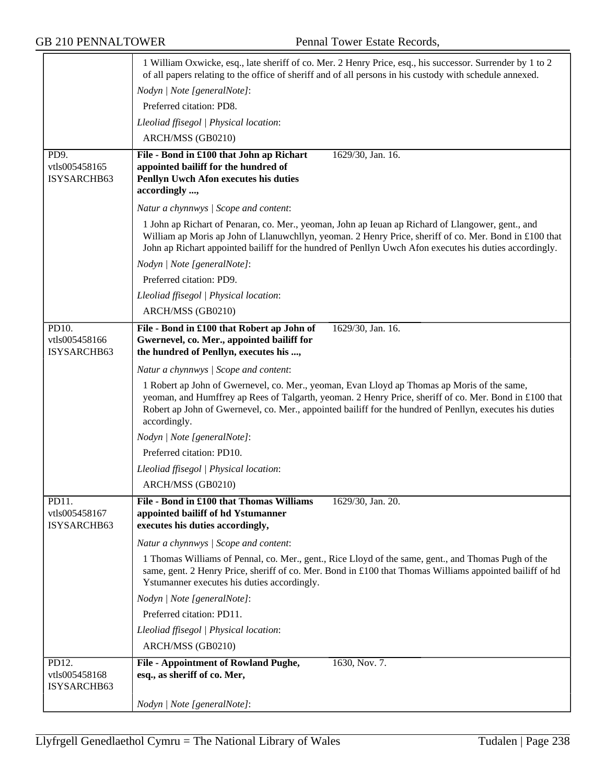|                                       | 1 William Oxwicke, esq., late sheriff of co. Mer. 2 Henry Price, esq., his successor. Surrender by 1 to 2<br>of all papers relating to the office of sheriff and of all persons in his custody with schedule annexed.                                                                                                             |
|---------------------------------------|-----------------------------------------------------------------------------------------------------------------------------------------------------------------------------------------------------------------------------------------------------------------------------------------------------------------------------------|
|                                       | Nodyn   Note [generalNote]:                                                                                                                                                                                                                                                                                                       |
|                                       | Preferred citation: PD8.                                                                                                                                                                                                                                                                                                          |
|                                       | Lleoliad ffisegol   Physical location:                                                                                                                                                                                                                                                                                            |
|                                       | ARCH/MSS (GB0210)                                                                                                                                                                                                                                                                                                                 |
| PD9.<br>vtls005458165<br>ISYSARCHB63  | File - Bond in £100 that John ap Richart<br>1629/30, Jan. 16.<br>appointed bailiff for the hundred of<br>Penllyn Uwch Afon executes his duties<br>accordingly ,                                                                                                                                                                   |
|                                       | Natur a chynnwys / Scope and content:                                                                                                                                                                                                                                                                                             |
|                                       | 1 John ap Richart of Penaran, co. Mer., yeoman, John ap Ieuan ap Richard of Llangower, gent., and<br>William ap Moris ap John of Llanuwchllyn, yeoman. 2 Henry Price, sheriff of co. Mer. Bond in £100 that<br>John ap Richart appointed bailiff for the hundred of Penllyn Uwch Afon executes his duties accordingly.            |
|                                       | Nodyn   Note [generalNote]:                                                                                                                                                                                                                                                                                                       |
|                                       | Preferred citation: PD9.                                                                                                                                                                                                                                                                                                          |
|                                       | Lleoliad ffisegol   Physical location:                                                                                                                                                                                                                                                                                            |
|                                       | ARCH/MSS (GB0210)                                                                                                                                                                                                                                                                                                                 |
| PD10.<br>vtls005458166<br>ISYSARCHB63 | File - Bond in £100 that Robert ap John of<br>1629/30, Jan. 16.<br>Gwernevel, co. Mer., appointed bailiff for<br>the hundred of Penllyn, executes his ,                                                                                                                                                                           |
|                                       | Natur a chynnwys / Scope and content:                                                                                                                                                                                                                                                                                             |
|                                       | 1 Robert ap John of Gwernevel, co. Mer., yeoman, Evan Lloyd ap Thomas ap Moris of the same,<br>yeoman, and Humffrey ap Rees of Talgarth, yeoman. 2 Henry Price, sheriff of co. Mer. Bond in £100 that<br>Robert ap John of Gwernevel, co. Mer., appointed bailiff for the hundred of Penllyn, executes his duties<br>accordingly. |
|                                       | Nodyn   Note [generalNote]:                                                                                                                                                                                                                                                                                                       |
|                                       | Preferred citation: PD10.                                                                                                                                                                                                                                                                                                         |
|                                       | Lleoliad ffisegol   Physical location:                                                                                                                                                                                                                                                                                            |
|                                       | ARCH/MSS (GB0210)                                                                                                                                                                                                                                                                                                                 |
| PD11.<br>vtls005458167<br>ISYSARCHB63 | File - Bond in £100 that Thomas Williams<br>1629/30, Jan. 20.<br>appointed bailiff of hd Ystumanner<br>executes his duties accordingly,                                                                                                                                                                                           |
|                                       | Natur a chynnwys / Scope and content:                                                                                                                                                                                                                                                                                             |
|                                       | 1 Thomas Williams of Pennal, co. Mer., gent., Rice Lloyd of the same, gent., and Thomas Pugh of the<br>same, gent. 2 Henry Price, sheriff of co. Mer. Bond in £100 that Thomas Williams appointed bailiff of hd<br>Ystumanner executes his duties accordingly.                                                                    |
|                                       | Nodyn   Note [generalNote]:                                                                                                                                                                                                                                                                                                       |
|                                       | Preferred citation: PD11.                                                                                                                                                                                                                                                                                                         |
|                                       | Lleoliad ffisegol   Physical location:                                                                                                                                                                                                                                                                                            |
|                                       | ARCH/MSS (GB0210)                                                                                                                                                                                                                                                                                                                 |
| PD12.<br>vtls005458168<br>ISYSARCHB63 | File - Appointment of Rowland Pughe,<br>1630, Nov. 7.<br>esq., as sheriff of co. Mer,                                                                                                                                                                                                                                             |
|                                       | Nodyn   Note [generalNote]:                                                                                                                                                                                                                                                                                                       |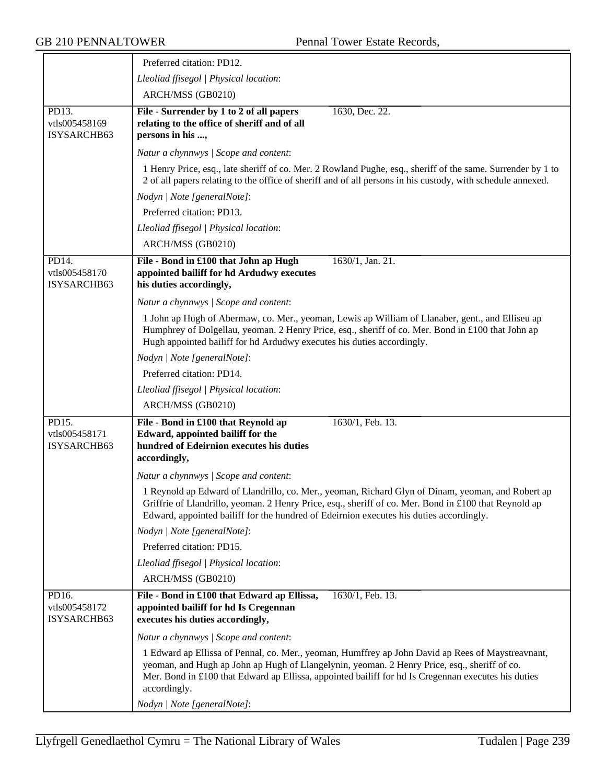|                                       | Preferred citation: PD12.                                                                                                                                                                                                                                                                                                |
|---------------------------------------|--------------------------------------------------------------------------------------------------------------------------------------------------------------------------------------------------------------------------------------------------------------------------------------------------------------------------|
|                                       | Lleoliad ffisegol   Physical location:                                                                                                                                                                                                                                                                                   |
|                                       | ARCH/MSS (GB0210)                                                                                                                                                                                                                                                                                                        |
| PD13.<br>vtls005458169<br>ISYSARCHB63 | File - Surrender by 1 to 2 of all papers<br>1630, Dec. 22.<br>relating to the office of sheriff and of all<br>persons in his ,                                                                                                                                                                                           |
|                                       | Natur a chynnwys / Scope and content:                                                                                                                                                                                                                                                                                    |
|                                       | 1 Henry Price, esq., late sheriff of co. Mer. 2 Rowland Pughe, esq., sheriff of the same. Surrender by 1 to<br>2 of all papers relating to the office of sheriff and of all persons in his custody, with schedule annexed.<br>Nodyn   Note [generalNote]:                                                                |
|                                       | Preferred citation: PD13.                                                                                                                                                                                                                                                                                                |
|                                       | Lleoliad ffisegol   Physical location:                                                                                                                                                                                                                                                                                   |
|                                       | ARCH/MSS (GB0210)                                                                                                                                                                                                                                                                                                        |
| PD14.                                 | File - Bond in £100 that John ap Hugh<br>1630/1, Jan. 21.                                                                                                                                                                                                                                                                |
| vtls005458170<br>ISYSARCHB63          | appointed bailiff for hd Ardudwy executes<br>his duties accordingly,                                                                                                                                                                                                                                                     |
|                                       | Natur a chynnwys / Scope and content:                                                                                                                                                                                                                                                                                    |
|                                       | 1 John ap Hugh of Abermaw, co. Mer., yeoman, Lewis ap William of Llanaber, gent., and Elliseu ap<br>Humphrey of Dolgellau, yeoman. 2 Henry Price, esq., sheriff of co. Mer. Bond in £100 that John ap<br>Hugh appointed bailiff for hd Ardudwy executes his duties accordingly.                                          |
|                                       | Nodyn   Note [generalNote]:                                                                                                                                                                                                                                                                                              |
|                                       | Preferred citation: PD14.                                                                                                                                                                                                                                                                                                |
|                                       | Lleoliad ffisegol   Physical location:                                                                                                                                                                                                                                                                                   |
|                                       | ARCH/MSS (GB0210)                                                                                                                                                                                                                                                                                                        |
| PD15.<br>vtls005458171<br>ISYSARCHB63 | File - Bond in £100 that Reynold ap<br>1630/1, Feb. 13.<br>Edward, appointed bailiff for the<br>hundred of Edeirnion executes his duties<br>accordingly,                                                                                                                                                                 |
|                                       | Natur a chynnwys / Scope and content:                                                                                                                                                                                                                                                                                    |
|                                       | 1 Reynold ap Edward of Llandrillo, co. Mer., yeoman, Richard Glyn of Dinam, yeoman, and Robert ap<br>Griffrie of Llandrillo, yeoman. 2 Henry Price, esq., sheriff of co. Mer. Bond in £100 that Reynold ap<br>Edward, appointed bailiff for the hundred of Edeirnion executes his duties accordingly.                    |
|                                       | Nodyn   Note [generalNote]:                                                                                                                                                                                                                                                                                              |
|                                       | Preferred citation: PD15.                                                                                                                                                                                                                                                                                                |
|                                       | Lleoliad ffisegol   Physical location:                                                                                                                                                                                                                                                                                   |
|                                       | ARCH/MSS (GB0210)                                                                                                                                                                                                                                                                                                        |
| PD16.<br>vtls005458172<br>ISYSARCHB63 | File - Bond in £100 that Edward ap Ellissa,<br>1630/1, Feb. 13.<br>appointed bailiff for hd Is Cregennan<br>executes his duties accordingly,                                                                                                                                                                             |
|                                       | Natur a chynnwys / Scope and content:                                                                                                                                                                                                                                                                                    |
|                                       | 1 Edward ap Ellissa of Pennal, co. Mer., yeoman, Humffrey ap John David ap Rees of Maystreavnant,<br>yeoman, and Hugh ap John ap Hugh of Llangelynin, yeoman. 2 Henry Price, esq., sheriff of co.<br>Mer. Bond in £100 that Edward ap Ellissa, appointed bailiff for hd Is Cregennan executes his duties<br>accordingly. |
|                                       | Nodyn   Note [generalNote]:                                                                                                                                                                                                                                                                                              |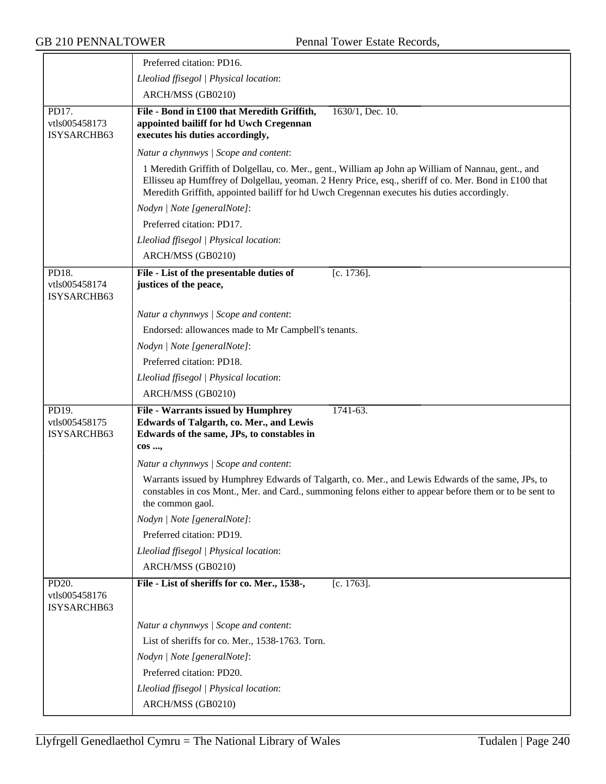|                                       | Preferred citation: PD16.                                                                                                                                                                                                                                                                                   |
|---------------------------------------|-------------------------------------------------------------------------------------------------------------------------------------------------------------------------------------------------------------------------------------------------------------------------------------------------------------|
|                                       | Lleoliad ffisegol   Physical location:                                                                                                                                                                                                                                                                      |
|                                       | ARCH/MSS (GB0210)                                                                                                                                                                                                                                                                                           |
| PD17.<br>vtls005458173<br>ISYSARCHB63 | File - Bond in £100 that Meredith Griffith,<br>1630/1, Dec. 10.<br>appointed bailiff for hd Uwch Cregennan<br>executes his duties accordingly,                                                                                                                                                              |
|                                       | Natur a chynnwys / Scope and content:                                                                                                                                                                                                                                                                       |
|                                       | 1 Meredith Griffith of Dolgellau, co. Mer., gent., William ap John ap William of Nannau, gent., and<br>Ellisseu ap Humffrey of Dolgellau, yeoman. 2 Henry Price, esq., sheriff of co. Mer. Bond in £100 that<br>Meredith Griffith, appointed bailiff for hd Uwch Cregennan executes his duties accordingly. |
|                                       | Nodyn   Note [generalNote]:                                                                                                                                                                                                                                                                                 |
|                                       | Preferred citation: PD17.                                                                                                                                                                                                                                                                                   |
|                                       | Lleoliad ffisegol   Physical location:                                                                                                                                                                                                                                                                      |
|                                       | ARCH/MSS (GB0210)                                                                                                                                                                                                                                                                                           |
| PD18.<br>vtls005458174<br>ISYSARCHB63 | $[c. 1736]$ .<br>File - List of the presentable duties of<br>justices of the peace,                                                                                                                                                                                                                         |
|                                       | Natur a chynnwys / Scope and content:                                                                                                                                                                                                                                                                       |
|                                       | Endorsed: allowances made to Mr Campbell's tenants.                                                                                                                                                                                                                                                         |
|                                       | Nodyn   Note [generalNote]:                                                                                                                                                                                                                                                                                 |
|                                       | Preferred citation: PD18.                                                                                                                                                                                                                                                                                   |
|                                       | Lleoliad ffisegol   Physical location:                                                                                                                                                                                                                                                                      |
|                                       | ARCH/MSS (GB0210)                                                                                                                                                                                                                                                                                           |
| PD19.<br>vtls005458175<br>ISYSARCHB63 | <b>File - Warrants issued by Humphrey</b><br>1741-63.<br>Edwards of Talgarth, co. Mer., and Lewis<br>Edwards of the same, JPs, to constables in<br>cos ,                                                                                                                                                    |
|                                       | Natur a chynnwys / Scope and content:                                                                                                                                                                                                                                                                       |
|                                       | Warrants issued by Humphrey Edwards of Talgarth, co. Mer., and Lewis Edwards of the same, JPs, to<br>constables in cos Mont., Mer. and Card., summoning felons either to appear before them or to be sent to<br>the common gaol.                                                                            |
|                                       | Nodyn   Note [generalNote]:                                                                                                                                                                                                                                                                                 |
|                                       | Preferred citation: PD19.                                                                                                                                                                                                                                                                                   |
|                                       | Lleoliad ffisegol   Physical location:                                                                                                                                                                                                                                                                      |
|                                       | ARCH/MSS (GB0210)                                                                                                                                                                                                                                                                                           |
| PD20.<br>vtls005458176<br>ISYSARCHB63 | File - List of sheriffs for co. Mer., 1538-,<br>$[c. 1763]$ .                                                                                                                                                                                                                                               |
|                                       | Natur a chynnwys / Scope and content:                                                                                                                                                                                                                                                                       |
|                                       | List of sheriffs for co. Mer., 1538-1763. Torn.                                                                                                                                                                                                                                                             |
|                                       | Nodyn   Note [generalNote]:                                                                                                                                                                                                                                                                                 |
|                                       | Preferred citation: PD20.                                                                                                                                                                                                                                                                                   |
|                                       | Lleoliad ffisegol   Physical location:                                                                                                                                                                                                                                                                      |
|                                       | ARCH/MSS (GB0210)                                                                                                                                                                                                                                                                                           |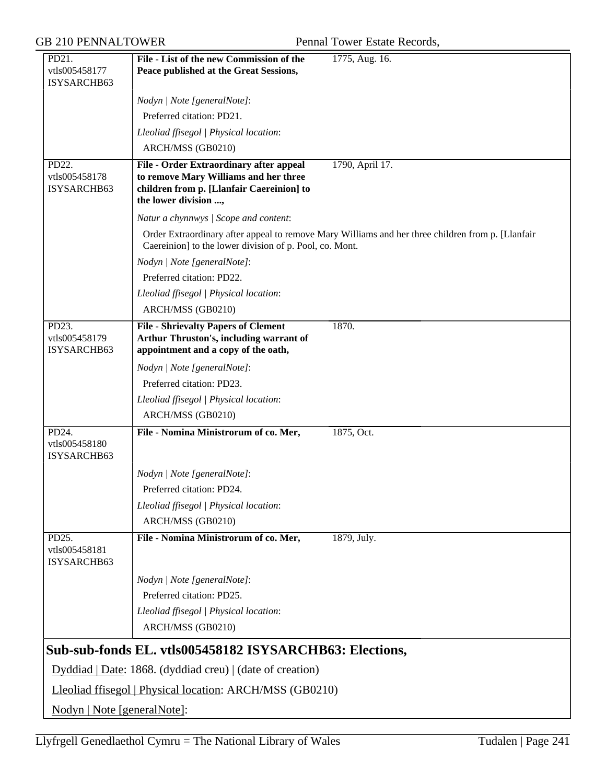GB 210 PENNALTOWER Pennal Tower Estate Records,

| PD21.                        | File - List of the new Commission of the                                              | 1775, Aug. 16.                                                                                    |
|------------------------------|---------------------------------------------------------------------------------------|---------------------------------------------------------------------------------------------------|
| vtls005458177                | Peace published at the Great Sessions,                                                |                                                                                                   |
| ISYSARCHB63                  |                                                                                       |                                                                                                   |
|                              | Nodyn   Note [generalNote]:                                                           |                                                                                                   |
|                              | Preferred citation: PD21.                                                             |                                                                                                   |
|                              | Lleoliad ffisegol   Physical location:                                                |                                                                                                   |
|                              | ARCH/MSS (GB0210)                                                                     |                                                                                                   |
| PD22.<br>vtls005458178       | File - Order Extraordinary after appeal<br>to remove Mary Williams and her three      | 1790, April 17.                                                                                   |
| ISYSARCHB63                  | children from p. [Llanfair Caereinion] to                                             |                                                                                                   |
|                              | the lower division ,                                                                  |                                                                                                   |
|                              | Natur a chynnwys / Scope and content:                                                 |                                                                                                   |
|                              | Caereinion] to the lower division of p. Pool, co. Mont.                               | Order Extraordinary after appeal to remove Mary Williams and her three children from p. [Llanfair |
|                              | Nodyn   Note [generalNote]:                                                           |                                                                                                   |
|                              | Preferred citation: PD22.                                                             |                                                                                                   |
|                              | Lleoliad ffisegol   Physical location:                                                |                                                                                                   |
|                              | ARCH/MSS (GB0210)                                                                     |                                                                                                   |
| PD23.                        | <b>File - Shrievalty Papers of Clement</b>                                            | 1870.                                                                                             |
| vtls005458179<br>ISYSARCHB63 | <b>Arthur Thruston's, including warrant of</b><br>appointment and a copy of the oath, |                                                                                                   |
|                              | Nodyn   Note [generalNote]:                                                           |                                                                                                   |
|                              | Preferred citation: PD23.                                                             |                                                                                                   |
|                              | Lleoliad ffisegol   Physical location:                                                |                                                                                                   |
|                              | ARCH/MSS (GB0210)                                                                     |                                                                                                   |
| PD24.                        | File - Nomina Ministrorum of co. Mer,                                                 | 1875, Oct.                                                                                        |
| vtls005458180<br>ISYSARCHB63 |                                                                                       |                                                                                                   |
|                              | Nodyn   Note [generalNote]:                                                           |                                                                                                   |
|                              | Preferred citation: PD24.                                                             |                                                                                                   |
|                              | Lleoliad ffisegol   Physical location:                                                |                                                                                                   |
|                              | ARCH/MSS (GB0210)                                                                     |                                                                                                   |
| PD25.                        | File - Nomina Ministrorum of co. Mer,                                                 | 1879, July.                                                                                       |
| vtls005458181<br>ISYSARCHB63 |                                                                                       |                                                                                                   |
|                              | Nodyn   Note [generalNote]:                                                           |                                                                                                   |
|                              | Preferred citation: PD25.                                                             |                                                                                                   |
|                              | Lleoliad ffisegol   Physical location:                                                |                                                                                                   |
|                              | ARCH/MSS (GB0210)                                                                     |                                                                                                   |
|                              | Sub-sub-fonds EL. vtls005458182 ISYSARCHB63: Elections,                               |                                                                                                   |
|                              | Dyddiad   Date: 1868. (dyddiad creu)   (date of creation)                             |                                                                                                   |
|                              | Lleoliad ffisegol   Physical location: ARCH/MSS (GB0210)                              |                                                                                                   |
| Nodyn   Note [generalNote]:  |                                                                                       |                                                                                                   |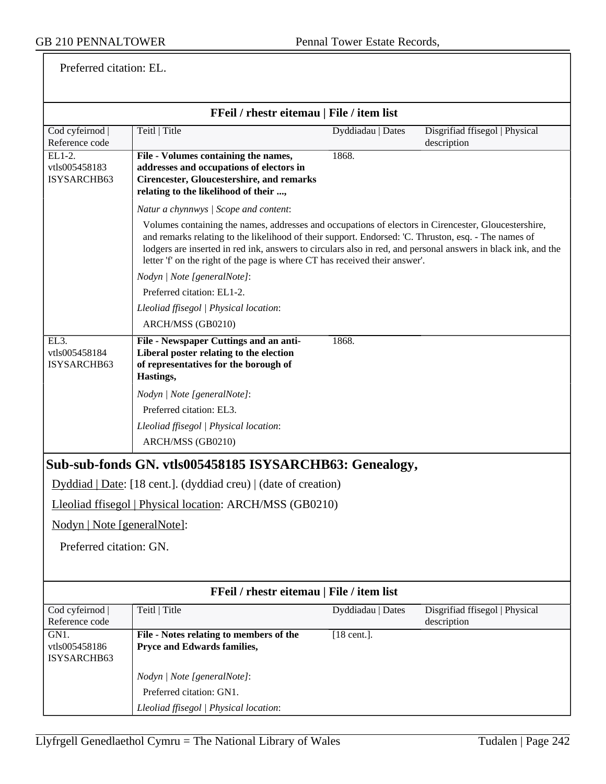Preferred citation: EL.

|                                                   | FFeil / rhestr eitemau   File / item list                                                                                                                                                                                                                                                                                                                                                                    |                   |                                               |
|---------------------------------------------------|--------------------------------------------------------------------------------------------------------------------------------------------------------------------------------------------------------------------------------------------------------------------------------------------------------------------------------------------------------------------------------------------------------------|-------------------|-----------------------------------------------|
| Cod cyfeirnod  <br>Reference code                 | Teitl   Title                                                                                                                                                                                                                                                                                                                                                                                                | Dyddiadau   Dates | Disgrifiad ffisegol   Physical<br>description |
| EL1-2.<br>vtls005458183<br>ISYSARCHB63            | File - Volumes containing the names,<br>addresses and occupations of electors in<br><b>Cirencester, Gloucestershire, and remarks</b><br>relating to the likelihood of their ,                                                                                                                                                                                                                                | 1868.             |                                               |
|                                                   | Natur a chynnwys / Scope and content:                                                                                                                                                                                                                                                                                                                                                                        |                   |                                               |
|                                                   | Volumes containing the names, addresses and occupations of electors in Cirencester, Gloucestershire,<br>and remarks relating to the likelihood of their support. Endorsed: 'C. Thruston, esq. - The names of<br>lodgers are inserted in red ink, answers to circulars also in red, and personal answers in black ink, and the<br>letter 'f' on the right of the page is where CT has received their answer'. |                   |                                               |
|                                                   | Nodyn   Note [generalNote]:                                                                                                                                                                                                                                                                                                                                                                                  |                   |                                               |
|                                                   | Preferred citation: EL1-2.                                                                                                                                                                                                                                                                                                                                                                                   |                   |                                               |
|                                                   | Lleoliad ffisegol   Physical location:                                                                                                                                                                                                                                                                                                                                                                       |                   |                                               |
|                                                   | ARCH/MSS (GB0210)                                                                                                                                                                                                                                                                                                                                                                                            |                   |                                               |
| EL <sub>3</sub> .<br>vtls005458184<br>ISYSARCHB63 | File - Newspaper Cuttings and an anti-<br>Liberal poster relating to the election<br>of representatives for the borough of<br>Hastings,                                                                                                                                                                                                                                                                      | 1868.             |                                               |
|                                                   | Nodyn   Note [generalNote]:                                                                                                                                                                                                                                                                                                                                                                                  |                   |                                               |
|                                                   | Preferred citation: EL3.                                                                                                                                                                                                                                                                                                                                                                                     |                   |                                               |
|                                                   | Lleoliad ffisegol   Physical location:                                                                                                                                                                                                                                                                                                                                                                       |                   |                                               |
|                                                   | ARCH/MSS (GB0210)                                                                                                                                                                                                                                                                                                                                                                                            |                   |                                               |
|                                                   | Sub-sub-fonds GN. vtls005458185 ISYSARCHB63: Genealogy,                                                                                                                                                                                                                                                                                                                                                      |                   |                                               |
|                                                   | $Dyddiad   Date: [18 cent.]$ . (dyddiad creu)   (date of creation)                                                                                                                                                                                                                                                                                                                                           |                   |                                               |
|                                                   | Lleoliad ffisegol   Physical location: ARCH/MSS (GB0210)                                                                                                                                                                                                                                                                                                                                                     |                   |                                               |
| Nodyn   Note [generalNote]:                       |                                                                                                                                                                                                                                                                                                                                                                                                              |                   |                                               |
| Preferred citation: GN.                           |                                                                                                                                                                                                                                                                                                                                                                                                              |                   |                                               |
|                                                   |                                                                                                                                                                                                                                                                                                                                                                                                              |                   |                                               |
| FFeil / rhestr eitemau   File / item list         |                                                                                                                                                                                                                                                                                                                                                                                                              |                   |                                               |
| Cod cyfeirnod                                     | Teitl   Title                                                                                                                                                                                                                                                                                                                                                                                                | Dyddiadau   Dates | Disgrifiad ffisegol   Physical                |
| Reference code<br>GN1.                            | File - Notes relating to members of the                                                                                                                                                                                                                                                                                                                                                                      | $[18$ cent.].     | description                                   |
| vtls005458186<br>ISYSARCHB63                      | Pryce and Edwards families,                                                                                                                                                                                                                                                                                                                                                                                  |                   |                                               |
|                                                   | Nodyn   Note [generalNote]:                                                                                                                                                                                                                                                                                                                                                                                  |                   |                                               |
|                                                   | Preferred citation: GN1.                                                                                                                                                                                                                                                                                                                                                                                     |                   |                                               |
|                                                   | Lleoliad ffisegol   Physical location:                                                                                                                                                                                                                                                                                                                                                                       |                   |                                               |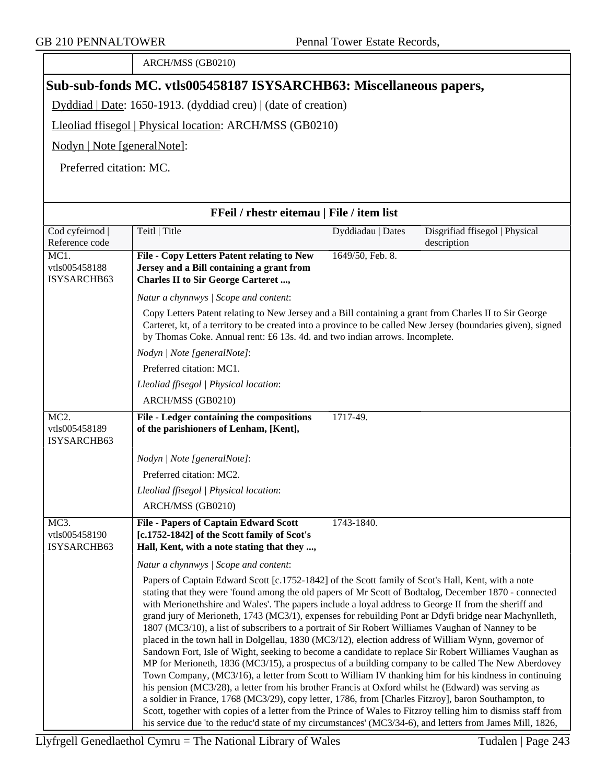|                                                   | ARCH/MSS (GB0210)                                                                                                                                                                                                                                                                                                                                                                                                                                                                                                                                                                                                                                                                                                                                                                                                                                                                                                                                                                                                                                                                                                                                                                                                                                                                                |                   |                                |
|---------------------------------------------------|--------------------------------------------------------------------------------------------------------------------------------------------------------------------------------------------------------------------------------------------------------------------------------------------------------------------------------------------------------------------------------------------------------------------------------------------------------------------------------------------------------------------------------------------------------------------------------------------------------------------------------------------------------------------------------------------------------------------------------------------------------------------------------------------------------------------------------------------------------------------------------------------------------------------------------------------------------------------------------------------------------------------------------------------------------------------------------------------------------------------------------------------------------------------------------------------------------------------------------------------------------------------------------------------------|-------------------|--------------------------------|
|                                                   | Sub-sub-fonds MC. vtls005458187 ISYSARCHB63: Miscellaneous papers,                                                                                                                                                                                                                                                                                                                                                                                                                                                                                                                                                                                                                                                                                                                                                                                                                                                                                                                                                                                                                                                                                                                                                                                                                               |                   |                                |
|                                                   | Dyddiad   Date: 1650-1913. (dyddiad creu)   (date of creation)                                                                                                                                                                                                                                                                                                                                                                                                                                                                                                                                                                                                                                                                                                                                                                                                                                                                                                                                                                                                                                                                                                                                                                                                                                   |                   |                                |
|                                                   | Lleoliad ffisegol   Physical location: ARCH/MSS (GB0210)                                                                                                                                                                                                                                                                                                                                                                                                                                                                                                                                                                                                                                                                                                                                                                                                                                                                                                                                                                                                                                                                                                                                                                                                                                         |                   |                                |
| Nodyn   Note [generalNote]:                       |                                                                                                                                                                                                                                                                                                                                                                                                                                                                                                                                                                                                                                                                                                                                                                                                                                                                                                                                                                                                                                                                                                                                                                                                                                                                                                  |                   |                                |
| Preferred citation: MC.                           |                                                                                                                                                                                                                                                                                                                                                                                                                                                                                                                                                                                                                                                                                                                                                                                                                                                                                                                                                                                                                                                                                                                                                                                                                                                                                                  |                   |                                |
|                                                   |                                                                                                                                                                                                                                                                                                                                                                                                                                                                                                                                                                                                                                                                                                                                                                                                                                                                                                                                                                                                                                                                                                                                                                                                                                                                                                  |                   |                                |
|                                                   | FFeil / rhestr eitemau   File / item list                                                                                                                                                                                                                                                                                                                                                                                                                                                                                                                                                                                                                                                                                                                                                                                                                                                                                                                                                                                                                                                                                                                                                                                                                                                        |                   |                                |
| Cod cyfeirnod                                     | Teitl   Title                                                                                                                                                                                                                                                                                                                                                                                                                                                                                                                                                                                                                                                                                                                                                                                                                                                                                                                                                                                                                                                                                                                                                                                                                                                                                    | Dyddiadau   Dates | Disgrifiad ffisegol   Physical |
| Reference code                                    |                                                                                                                                                                                                                                                                                                                                                                                                                                                                                                                                                                                                                                                                                                                                                                                                                                                                                                                                                                                                                                                                                                                                                                                                                                                                                                  |                   | description                    |
| MC1.                                              | <b>File - Copy Letters Patent relating to New</b>                                                                                                                                                                                                                                                                                                                                                                                                                                                                                                                                                                                                                                                                                                                                                                                                                                                                                                                                                                                                                                                                                                                                                                                                                                                | 1649/50, Feb. 8.  |                                |
| vtls005458188<br>ISYSARCHB63                      | Jersey and a Bill containing a grant from<br><b>Charles II to Sir George Carteret ,</b>                                                                                                                                                                                                                                                                                                                                                                                                                                                                                                                                                                                                                                                                                                                                                                                                                                                                                                                                                                                                                                                                                                                                                                                                          |                   |                                |
|                                                   | Natur a chynnwys / Scope and content:                                                                                                                                                                                                                                                                                                                                                                                                                                                                                                                                                                                                                                                                                                                                                                                                                                                                                                                                                                                                                                                                                                                                                                                                                                                            |                   |                                |
|                                                   | Copy Letters Patent relating to New Jersey and a Bill containing a grant from Charles II to Sir George                                                                                                                                                                                                                                                                                                                                                                                                                                                                                                                                                                                                                                                                                                                                                                                                                                                                                                                                                                                                                                                                                                                                                                                           |                   |                                |
|                                                   | Carteret, kt, of a territory to be created into a province to be called New Jersey (boundaries given), signed<br>by Thomas Coke. Annual rent: £6 13s. 4d. and two indian arrows. Incomplete.                                                                                                                                                                                                                                                                                                                                                                                                                                                                                                                                                                                                                                                                                                                                                                                                                                                                                                                                                                                                                                                                                                     |                   |                                |
|                                                   | Nodyn   Note [generalNote]:                                                                                                                                                                                                                                                                                                                                                                                                                                                                                                                                                                                                                                                                                                                                                                                                                                                                                                                                                                                                                                                                                                                                                                                                                                                                      |                   |                                |
|                                                   | Preferred citation: MC1.                                                                                                                                                                                                                                                                                                                                                                                                                                                                                                                                                                                                                                                                                                                                                                                                                                                                                                                                                                                                                                                                                                                                                                                                                                                                         |                   |                                |
|                                                   | Lleoliad ffisegol   Physical location:                                                                                                                                                                                                                                                                                                                                                                                                                                                                                                                                                                                                                                                                                                                                                                                                                                                                                                                                                                                                                                                                                                                                                                                                                                                           |                   |                                |
|                                                   | ARCH/MSS (GB0210)                                                                                                                                                                                                                                                                                                                                                                                                                                                                                                                                                                                                                                                                                                                                                                                                                                                                                                                                                                                                                                                                                                                                                                                                                                                                                |                   |                                |
| MC <sub>2</sub> .<br>vtls005458189<br>ISYSARCHB63 | File - Ledger containing the compositions<br>of the parishioners of Lenham, [Kent],                                                                                                                                                                                                                                                                                                                                                                                                                                                                                                                                                                                                                                                                                                                                                                                                                                                                                                                                                                                                                                                                                                                                                                                                              | 1717-49.          |                                |
|                                                   | Nodyn   Note [generalNote]:                                                                                                                                                                                                                                                                                                                                                                                                                                                                                                                                                                                                                                                                                                                                                                                                                                                                                                                                                                                                                                                                                                                                                                                                                                                                      |                   |                                |
|                                                   | Preferred citation: MC2.                                                                                                                                                                                                                                                                                                                                                                                                                                                                                                                                                                                                                                                                                                                                                                                                                                                                                                                                                                                                                                                                                                                                                                                                                                                                         |                   |                                |
|                                                   | Lleoliad ffisegol   Physical location:                                                                                                                                                                                                                                                                                                                                                                                                                                                                                                                                                                                                                                                                                                                                                                                                                                                                                                                                                                                                                                                                                                                                                                                                                                                           |                   |                                |
|                                                   | ARCH/MSS (GB0210)                                                                                                                                                                                                                                                                                                                                                                                                                                                                                                                                                                                                                                                                                                                                                                                                                                                                                                                                                                                                                                                                                                                                                                                                                                                                                |                   |                                |
| MC3.<br>vtls005458190<br>ISYSARCHB63              | <b>File - Papers of Captain Edward Scott</b><br>[c.1752-1842] of the Scott family of Scot's<br>Hall, Kent, with a note stating that they ,                                                                                                                                                                                                                                                                                                                                                                                                                                                                                                                                                                                                                                                                                                                                                                                                                                                                                                                                                                                                                                                                                                                                                       | 1743-1840.        |                                |
|                                                   | Natur a chynnwys / Scope and content:                                                                                                                                                                                                                                                                                                                                                                                                                                                                                                                                                                                                                                                                                                                                                                                                                                                                                                                                                                                                                                                                                                                                                                                                                                                            |                   |                                |
|                                                   | Papers of Captain Edward Scott [c.1752-1842] of the Scott family of Scot's Hall, Kent, with a note<br>stating that they were 'found among the old papers of Mr Scott of Bodtalog, December 1870 - connected<br>with Merionethshire and Wales'. The papers include a loyal address to George II from the sheriff and<br>grand jury of Merioneth, 1743 (MC3/1), expenses for rebuilding Pont ar Ddyfi bridge near Machynlleth,<br>1807 (MC3/10), a list of subscribers to a portrait of Sir Robert Williames Vaughan of Nanney to be<br>placed in the town hall in Dolgellau, 1830 (MC3/12), election address of William Wynn, governor of<br>Sandown Fort, Isle of Wight, seeking to become a candidate to replace Sir Robert Williames Vaughan as<br>MP for Merioneth, 1836 (MC3/15), a prospectus of a building company to be called The New Aberdovey<br>Town Company, (MC3/16), a letter from Scott to William IV thanking him for his kindness in continuing<br>his pension (MC3/28), a letter from his brother Francis at Oxford whilst he (Edward) was serving as<br>a soldier in France, 1768 (MC3/29), copy letter, 1786, from [Charles Fitzroy], baron Southampton, to<br>Scott, together with copies of a letter from the Prince of Wales to Fitzroy telling him to dismiss staff from |                   |                                |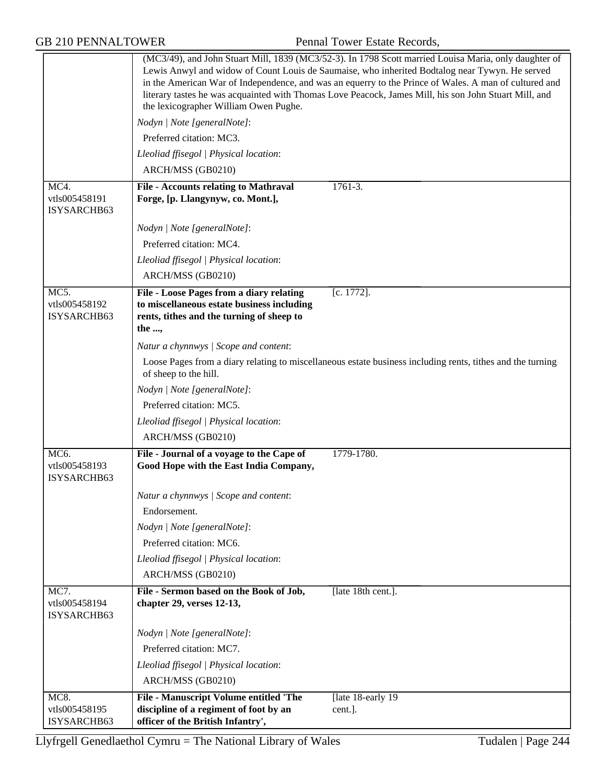GB 210 PENNALTOWER Pennal Tower Estate Records,

|                                                    | (MC3/49), and John Stuart Mill, 1839 (MC3/52-3). In 1798 Scott married Louisa Maria, only daughter of<br>Lewis Anwyl and widow of Count Louis de Saumaise, who inherited Bodtalog near Tywyn. He served<br>in the American War of Independence, and was an equerry to the Prince of Wales. A man of cultured and<br>literary tastes he was acquainted with Thomas Love Peacock, James Mill, his son John Stuart Mill, and<br>the lexicographer William Owen Pughe. |                                                                                                            |
|----------------------------------------------------|--------------------------------------------------------------------------------------------------------------------------------------------------------------------------------------------------------------------------------------------------------------------------------------------------------------------------------------------------------------------------------------------------------------------------------------------------------------------|------------------------------------------------------------------------------------------------------------|
|                                                    | Nodyn   Note [generalNote]:                                                                                                                                                                                                                                                                                                                                                                                                                                        |                                                                                                            |
|                                                    | Preferred citation: MC3.                                                                                                                                                                                                                                                                                                                                                                                                                                           |                                                                                                            |
|                                                    | Lleoliad ffisegol   Physical location:                                                                                                                                                                                                                                                                                                                                                                                                                             |                                                                                                            |
|                                                    | ARCH/MSS (GB0210)                                                                                                                                                                                                                                                                                                                                                                                                                                                  |                                                                                                            |
| MC4.<br>vtls005458191<br>ISYSARCHB63               | <b>File - Accounts relating to Mathraval</b><br>Forge, [p. Llangynyw, co. Mont.],                                                                                                                                                                                                                                                                                                                                                                                  | $1761 - 3.$                                                                                                |
|                                                    | Nodyn   Note [generalNote]:                                                                                                                                                                                                                                                                                                                                                                                                                                        |                                                                                                            |
|                                                    | Preferred citation: MC4.                                                                                                                                                                                                                                                                                                                                                                                                                                           |                                                                                                            |
|                                                    | Lleoliad ffisegol   Physical location:                                                                                                                                                                                                                                                                                                                                                                                                                             |                                                                                                            |
|                                                    | ARCH/MSS (GB0210)                                                                                                                                                                                                                                                                                                                                                                                                                                                  |                                                                                                            |
| $\overline{MC5}$ .<br>vtls005458192<br>ISYSARCHB63 | File - Loose Pages from a diary relating<br>to miscellaneous estate business including<br>rents, tithes and the turning of sheep to<br>the ,                                                                                                                                                                                                                                                                                                                       | $[c. 1772]$ .                                                                                              |
|                                                    | Natur a chynnwys / Scope and content:                                                                                                                                                                                                                                                                                                                                                                                                                              |                                                                                                            |
|                                                    | of sheep to the hill.                                                                                                                                                                                                                                                                                                                                                                                                                                              | Loose Pages from a diary relating to miscellaneous estate business including rents, tithes and the turning |
|                                                    | Nodyn   Note [generalNote]:                                                                                                                                                                                                                                                                                                                                                                                                                                        |                                                                                                            |
|                                                    | Preferred citation: MC5.                                                                                                                                                                                                                                                                                                                                                                                                                                           |                                                                                                            |
|                                                    | Lleoliad ffisegol   Physical location:                                                                                                                                                                                                                                                                                                                                                                                                                             |                                                                                                            |
|                                                    | ARCH/MSS (GB0210)                                                                                                                                                                                                                                                                                                                                                                                                                                                  |                                                                                                            |
| MC6.<br>vtls005458193<br>ISYSARCHB63               | File - Journal of a voyage to the Cape of<br>Good Hope with the East India Company,                                                                                                                                                                                                                                                                                                                                                                                | 1779-1780.                                                                                                 |
|                                                    | Natur a chynnwys / Scope and content:                                                                                                                                                                                                                                                                                                                                                                                                                              |                                                                                                            |
|                                                    | Endorsement.                                                                                                                                                                                                                                                                                                                                                                                                                                                       |                                                                                                            |
|                                                    | Nodyn   Note [generalNote]:                                                                                                                                                                                                                                                                                                                                                                                                                                        |                                                                                                            |
|                                                    | Preferred citation: MC6.                                                                                                                                                                                                                                                                                                                                                                                                                                           |                                                                                                            |
|                                                    | Lleoliad ffisegol   Physical location:                                                                                                                                                                                                                                                                                                                                                                                                                             |                                                                                                            |
|                                                    | ARCH/MSS (GB0210)                                                                                                                                                                                                                                                                                                                                                                                                                                                  |                                                                                                            |
| MC7.<br>vtls005458194<br>ISYSARCHB63               | File - Sermon based on the Book of Job,<br>chapter 29, verses 12-13,                                                                                                                                                                                                                                                                                                                                                                                               | [late 18th cent.].                                                                                         |
|                                                    | Nodyn   Note [generalNote]:                                                                                                                                                                                                                                                                                                                                                                                                                                        |                                                                                                            |
|                                                    | Preferred citation: MC7.                                                                                                                                                                                                                                                                                                                                                                                                                                           |                                                                                                            |
|                                                    | Lleoliad ffisegol   Physical location:                                                                                                                                                                                                                                                                                                                                                                                                                             |                                                                                                            |
|                                                    | ARCH/MSS (GB0210)                                                                                                                                                                                                                                                                                                                                                                                                                                                  |                                                                                                            |
| MC8.<br>vtls005458195<br>ISYSARCHB63               | File - Manuscript Volume entitled 'The<br>discipline of a regiment of foot by an<br>officer of the British Infantry',                                                                                                                                                                                                                                                                                                                                              | [late 18-early 19]<br>cent.].                                                                              |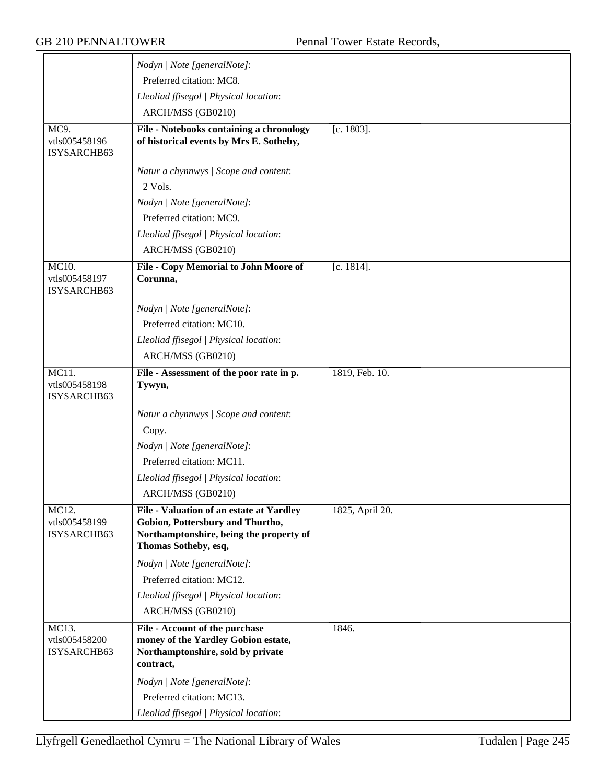|                                       | Nodyn   Note [generalNote]:                                                                         |                 |
|---------------------------------------|-----------------------------------------------------------------------------------------------------|-----------------|
|                                       | Preferred citation: MC8.                                                                            |                 |
|                                       | Lleoliad ffisegol   Physical location:                                                              |                 |
|                                       | ARCH/MSS (GB0210)                                                                                   |                 |
| MC9.                                  | File - Notebooks containing a chronology                                                            | $[c. 1803]$ .   |
| vtls005458196<br>ISYSARCHB63          | of historical events by Mrs E. Sotheby,                                                             |                 |
|                                       | Natur a chynnwys / Scope and content:                                                               |                 |
|                                       | 2 Vols.                                                                                             |                 |
|                                       | Nodyn   Note [generalNote]:                                                                         |                 |
|                                       | Preferred citation: MC9.                                                                            |                 |
|                                       | Lleoliad ffisegol   Physical location:                                                              |                 |
|                                       | ARCH/MSS (GB0210)                                                                                   |                 |
| MC10.                                 | File - Copy Memorial to John Moore of                                                               | [c. 1814].      |
| vtls005458197<br>ISYSARCHB63          | Corunna,                                                                                            |                 |
|                                       | Nodyn   Note [generalNote]:                                                                         |                 |
|                                       | Preferred citation: MC10.                                                                           |                 |
|                                       | Lleoliad ffisegol   Physical location:                                                              |                 |
|                                       | ARCH/MSS (GB0210)                                                                                   |                 |
| MC11.<br>vtls005458198<br>ISYSARCHB63 | File - Assessment of the poor rate in p.<br>Tywyn,                                                  | 1819, Feb. 10.  |
|                                       | Natur a chynnwys / Scope and content:                                                               |                 |
|                                       | Copy.                                                                                               |                 |
|                                       | Nodyn   Note [generalNote]:                                                                         |                 |
|                                       | Preferred citation: MC11.                                                                           |                 |
|                                       | Lleoliad ffisegol   Physical location:                                                              |                 |
|                                       | ARCH/MSS (GB0210)                                                                                   |                 |
| MC12.                                 | File - Valuation of an estate at Yardley                                                            | 1825, April 20. |
| vtls005458199<br>ISYSARCHB63          | Gobion, Pottersbury and Thurtho,<br>Northamptonshire, being the property of<br>Thomas Sotheby, esq, |                 |
|                                       | Nodyn   Note [generalNote]:                                                                         |                 |
|                                       | Preferred citation: MC12.                                                                           |                 |
|                                       | Lleoliad ffisegol   Physical location:                                                              |                 |
|                                       | ARCH/MSS (GB0210)                                                                                   |                 |
| MC13.                                 | File - Account of the purchase                                                                      | 1846.           |
| vtls005458200<br>ISYSARCHB63          | money of the Yardley Gobion estate,<br>Northamptonshire, sold by private<br>contract,               |                 |
|                                       | Nodyn   Note [generalNote]:                                                                         |                 |
|                                       | Preferred citation: MC13.                                                                           |                 |
|                                       | Lleoliad ffisegol   Physical location:                                                              |                 |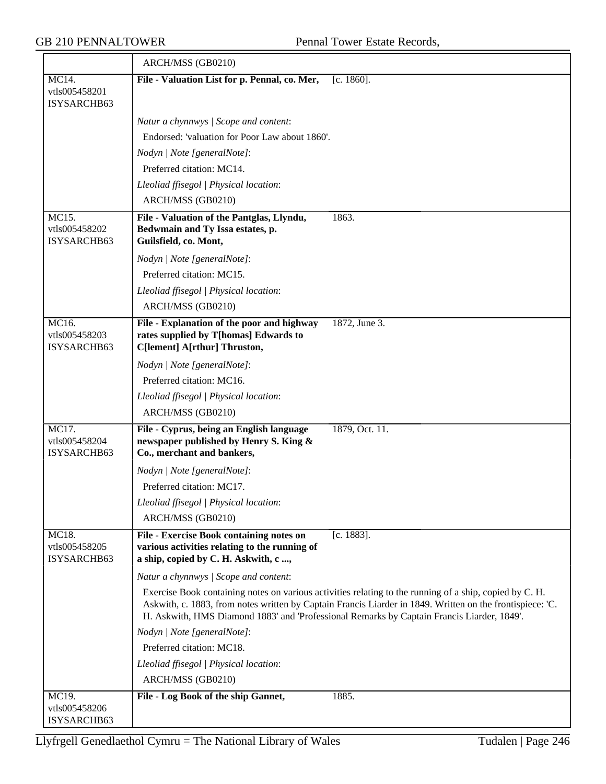|                                       | ARCH/MSS (GB0210)                                                                                                                 |                                                                                                                                                                                                                                                                                                                    |
|---------------------------------------|-----------------------------------------------------------------------------------------------------------------------------------|--------------------------------------------------------------------------------------------------------------------------------------------------------------------------------------------------------------------------------------------------------------------------------------------------------------------|
| MC14.<br>vtls005458201<br>ISYSARCHB63 | File - Valuation List for p. Pennal, co. Mer,                                                                                     | $[c. 1860]$ .                                                                                                                                                                                                                                                                                                      |
|                                       | Natur a chynnwys / Scope and content:                                                                                             |                                                                                                                                                                                                                                                                                                                    |
|                                       | Endorsed: 'valuation for Poor Law about 1860'.                                                                                    |                                                                                                                                                                                                                                                                                                                    |
|                                       | Nodyn   Note [generalNote]:                                                                                                       |                                                                                                                                                                                                                                                                                                                    |
|                                       | Preferred citation: MC14.                                                                                                         |                                                                                                                                                                                                                                                                                                                    |
|                                       | Lleoliad ffisegol   Physical location:                                                                                            |                                                                                                                                                                                                                                                                                                                    |
|                                       | ARCH/MSS (GB0210)                                                                                                                 |                                                                                                                                                                                                                                                                                                                    |
| MC15.                                 | File - Valuation of the Pantglas, Llyndu,                                                                                         | 1863.                                                                                                                                                                                                                                                                                                              |
| vtls005458202<br>ISYSARCHB63          | Bedwmain and Ty Issa estates, p.<br>Guilsfield, co. Mont,                                                                         |                                                                                                                                                                                                                                                                                                                    |
|                                       | Nodyn   Note [generalNote]:                                                                                                       |                                                                                                                                                                                                                                                                                                                    |
|                                       | Preferred citation: MC15.                                                                                                         |                                                                                                                                                                                                                                                                                                                    |
|                                       | Lleoliad ffisegol   Physical location:                                                                                            |                                                                                                                                                                                                                                                                                                                    |
|                                       | ARCH/MSS (GB0210)                                                                                                                 |                                                                                                                                                                                                                                                                                                                    |
| MC16.<br>vtls005458203<br>ISYSARCHB63 | File - Explanation of the poor and highway<br>rates supplied by T[homas] Edwards to<br>C[lement] A[rthur] Thruston,               | 1872, June 3.                                                                                                                                                                                                                                                                                                      |
|                                       | Nodyn   Note [generalNote]:                                                                                                       |                                                                                                                                                                                                                                                                                                                    |
|                                       | Preferred citation: MC16.                                                                                                         |                                                                                                                                                                                                                                                                                                                    |
|                                       | Lleoliad ffisegol   Physical location:                                                                                            |                                                                                                                                                                                                                                                                                                                    |
|                                       | ARCH/MSS (GB0210)                                                                                                                 |                                                                                                                                                                                                                                                                                                                    |
| MC17.<br>vtls005458204<br>ISYSARCHB63 | File - Cyprus, being an English language<br>newspaper published by Henry S. King &<br>Co., merchant and bankers,                  | 1879, Oct. 11.                                                                                                                                                                                                                                                                                                     |
|                                       | Nodyn   Note [generalNote]:                                                                                                       |                                                                                                                                                                                                                                                                                                                    |
|                                       | Preferred citation: MC17.                                                                                                         |                                                                                                                                                                                                                                                                                                                    |
|                                       | Lleoliad ffisegol   Physical location:                                                                                            |                                                                                                                                                                                                                                                                                                                    |
|                                       | ARCH/MSS (GB0210)                                                                                                                 |                                                                                                                                                                                                                                                                                                                    |
| MC18.<br>vtls005458205<br>ISYSARCHB63 | File - Exercise Book containing notes on<br>various activities relating to the running of<br>a ship, copied by C. H. Askwith, c , | [c. $1883$ ].                                                                                                                                                                                                                                                                                                      |
|                                       | Natur a chynnwys / Scope and content:                                                                                             |                                                                                                                                                                                                                                                                                                                    |
|                                       |                                                                                                                                   | Exercise Book containing notes on various activities relating to the running of a ship, copied by C. H.<br>Askwith, c. 1883, from notes written by Captain Francis Liarder in 1849. Written on the frontispiece: 'C.<br>H. Askwith, HMS Diamond 1883' and 'Professional Remarks by Captain Francis Liarder, 1849'. |
|                                       | Nodyn   Note [generalNote]:                                                                                                       |                                                                                                                                                                                                                                                                                                                    |
|                                       | Preferred citation: MC18.                                                                                                         |                                                                                                                                                                                                                                                                                                                    |
|                                       | Lleoliad ffisegol   Physical location:                                                                                            |                                                                                                                                                                                                                                                                                                                    |
|                                       | ARCH/MSS (GB0210)                                                                                                                 |                                                                                                                                                                                                                                                                                                                    |
| MC19.<br>vtls005458206<br>ISYSARCHB63 | File - Log Book of the ship Gannet,                                                                                               | 1885.                                                                                                                                                                                                                                                                                                              |